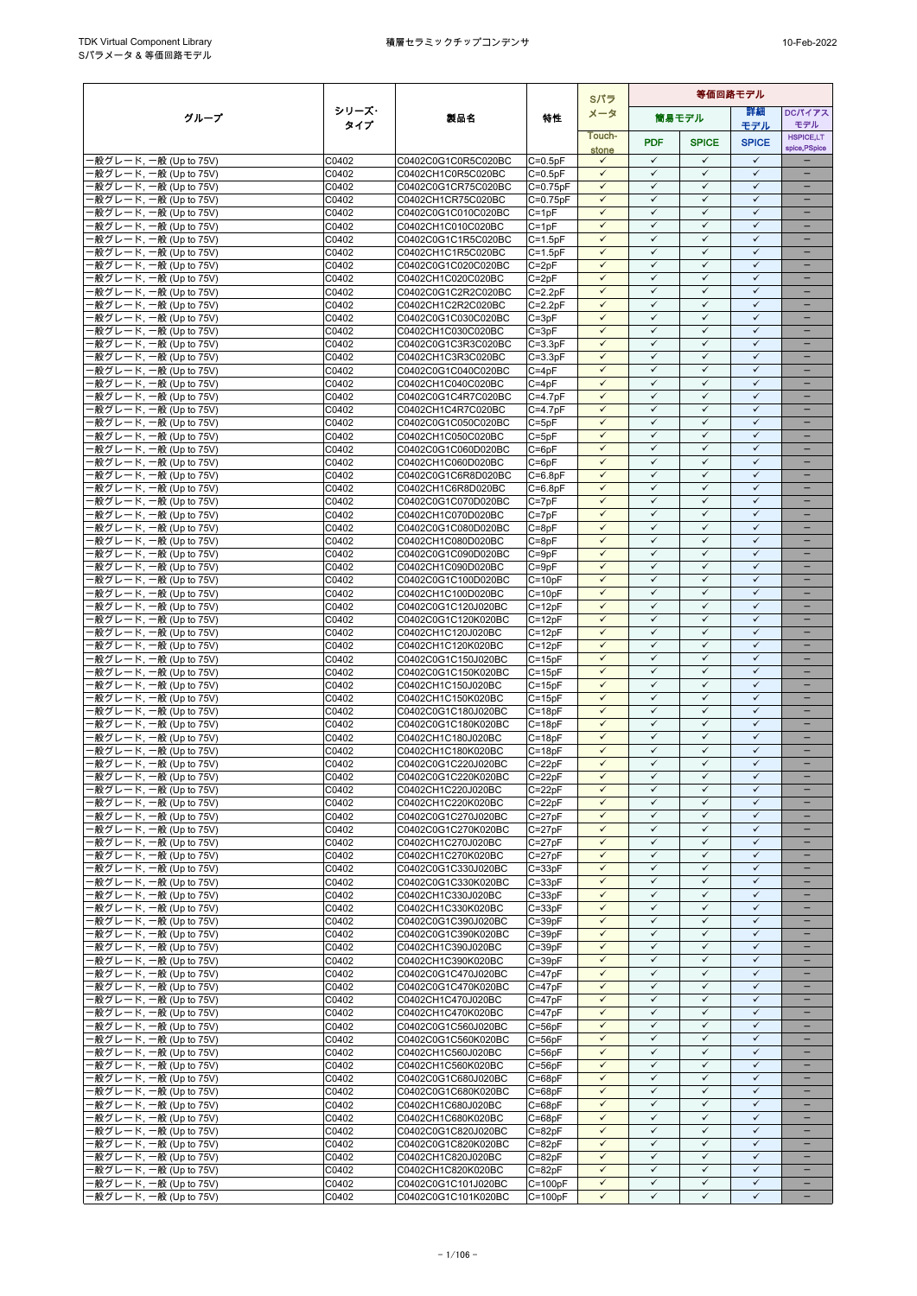|                                                  |                |                                            |                          | Sパラ                          | 等価回路モデル                      |                              |                              |                                               |
|--------------------------------------------------|----------------|--------------------------------------------|--------------------------|------------------------------|------------------------------|------------------------------|------------------------------|-----------------------------------------------|
| グループ                                             | シリーズ・          | 製品名                                        | 特性                       | メータ                          |                              | 筒易モデル                        | 詳細                           | DCパイアス                                        |
|                                                  | タイプ            |                                            |                          | Touch-                       |                              |                              | モデル                          | モデル<br><b>HSPICE,LT</b>                       |
|                                                  |                |                                            |                          | stone                        | <b>PDF</b>                   | <b>SPICE</b>                 | <b>SPICE</b>                 | spice, PSpice                                 |
| -般グレード, 一般 (Up to 75V)                           | C0402          | C0402C0G1C0R5C020BC                        | $C = 0.5pF$              | $\checkmark$                 | $\checkmark$                 | $\checkmark$                 | $\checkmark$                 |                                               |
| -般グレード, 一般 (Up to 75V)                           | C0402          | C0402CH1C0R5C020BC                         | $C=0.5pF$                | $\checkmark$<br>$\checkmark$ | $\checkmark$<br>$\checkmark$ | ✓<br>$\checkmark$            | $\checkmark$<br>$\checkmark$ | ÷<br>$\overline{\phantom{0}}$                 |
| ·般グレード, 一般 (Up to 75V)<br>·般グレード, 一般 (Up to 75V) | C0402<br>C0402 | C0402C0G1CR75C020BC<br>C0402CH1CR75C020BC  | $C=0.75pF$<br>$C=0.75pF$ | $\checkmark$                 | $\checkmark$                 | $\checkmark$                 | $\checkmark$                 |                                               |
| -般グレード, 一般 (Up to 75V)                           | C0402          | C0402C0G1C010C020BC                        | $C = 1pF$                | $\checkmark$                 | ✓                            | $\checkmark$                 | $\checkmark$                 | $\qquad \qquad -$                             |
| -般グレード, 一般 (Up to 75V)                           | C0402          | C0402CH1C010C020BC                         | $C = 1pF$                | $\checkmark$                 | $\checkmark$                 | $\checkmark$                 | $\checkmark$                 |                                               |
| -般グレード, 一般 (Up to 75V)                           | C0402          | C0402C0G1C1R5C020BC                        | $C=1.5pF$                | $\checkmark$                 | $\checkmark$                 | $\checkmark$                 | $\checkmark$                 |                                               |
| -般グレード, 一般 (Up to 75V)                           | C0402          | C0402CH1C1R5C020BC                         | $C = 1.5pF$              | $\checkmark$                 | $\checkmark$                 | $\checkmark$                 | $\checkmark$                 | $\equiv$                                      |
| 般グレード, 一般 (Up to 75V)                            | C0402          | C0402C0G1C020C020BC                        | $C = 2pF$                | $\checkmark$<br>$\checkmark$ | $\checkmark$<br>$\checkmark$ | $\checkmark$<br>$\checkmark$ | $\checkmark$<br>$\checkmark$ | $\overline{\phantom{0}}$                      |
| ·般グレード, 一般 (Up to 75V)<br>-般グレード, 一般 (Up to 75V) | C0402<br>C0402 | C0402CH1C020C020BC<br>C0402C0G1C2R2C020BC  | $C = 2pF$<br>$C = 2.2pF$ | $\checkmark$                 | $\checkmark$                 | $\checkmark$                 | $\checkmark$                 | $\qquad \qquad -$<br>$\overline{\phantom{0}}$ |
| ·般グレード, 一般 (Up to 75V)                           | C0402          | C0402CH1C2R2C020BC                         | $C = 2.2pF$              | $\checkmark$                 | ✓                            | $\checkmark$                 | $\checkmark$                 | $\qquad \qquad -$                             |
| -般グレード, 一般 (Up to 75V)                           | C0402          | C0402C0G1C030C020BC                        | $C = 3pF$                | $\checkmark$                 | $\checkmark$                 | $\checkmark$                 | $\checkmark$                 |                                               |
| -般グレード, 一般 (Up to 75V)                           | C0402          | C0402CH1C030C020BC                         | $C = 3pF$                | $\checkmark$                 | $\checkmark$                 | $\checkmark$                 | $\checkmark$                 | $\equiv$                                      |
| 般グレード, 一般 (Up to 75V)                            | C0402          | C0402C0G1C3R3C020BC                        | $C = 3.3pF$              | $\checkmark$                 | $\checkmark$                 | $\checkmark$                 | $\checkmark$                 |                                               |
| ·般グレード, 一般 (Up to 75V)                           | C0402          | C0402CH1C3R3C020BC                         | $C = 3.3pF$              | $\checkmark$<br>$\checkmark$ | $\checkmark$<br>$\checkmark$ | $\checkmark$<br>$\checkmark$ | $\checkmark$<br>$\checkmark$ | $\overline{\phantom{0}}$                      |
| -般グレード, 一般 (Up to 75V)<br>-般グレード, 一般 (Up to 75V) | C0402<br>C0402 | C0402C0G1C040C020BC<br>C0402CH1C040C020BC  | $C = 4pF$<br>$C = 4pF$   | $\checkmark$                 | ✓                            | $\checkmark$                 | $\checkmark$                 | $\qquad \qquad -$                             |
| -般グレード, 一般 (Up to 75V)                           | C0402          | C0402C0G1C4R7C020BC                        | $C = 4.7pF$              | $\checkmark$                 | $\checkmark$                 | $\checkmark$                 | $\checkmark$                 |                                               |
| 般グレード, 一般 (Up to 75V)                            | C0402          | C0402CH1C4R7C020BC                         | $C = 4.7pF$              | $\checkmark$                 | $\checkmark$                 | $\checkmark$                 | $\checkmark$                 |                                               |
| -般グレード, 一般 (Up to 75V)                           | C0402          | C0402C0G1C050C020BC                        | $C = 5pF$                | $\checkmark$                 | $\checkmark$                 | $\checkmark$                 | $\checkmark$                 |                                               |
| ·般グレード, 一般 (Up to 75V)                           | C0402          | C0402CH1C050C020BC                         | $C = 5pF$                | $\checkmark$                 | $\checkmark$                 | $\checkmark$                 | $\checkmark$                 | $\overline{\phantom{0}}$                      |
| ·般グレード, 一般 (Up to 75V)                           | C0402          | C0402C0G1C060D020BC                        | $C = 6pF$                | $\checkmark$<br>$\checkmark$ | $\checkmark$<br>$\checkmark$ | $\checkmark$<br>$\checkmark$ | $\checkmark$<br>$\checkmark$ |                                               |
| ·般グレード, 一般 (Up to 75V)<br>·般グレード, 一般 (Up to 75V) | C0402<br>C0402 | C0402CH1C060D020BC<br>C0402C0G1C6R8D020BC  | $C = 6pF$<br>$C = 6.8pF$ | $\checkmark$                 | $\checkmark$                 | $\checkmark$                 | $\checkmark$                 | $\qquad \qquad -$                             |
| ·般グレード, 一般 (Up to 75V)                           | C0402          | C0402CH1C6R8D020BC                         | $C = 6.8pF$              | $\checkmark$                 | $\checkmark$                 | $\checkmark$                 | $\checkmark$                 |                                               |
| ·般グレード, 一般 (Up to 75V)                           | C0402          | C0402C0G1C070D020BC                        | $C = 7pF$                | $\checkmark$                 | $\checkmark$                 | $\checkmark$                 | $\checkmark$                 |                                               |
| 般グレード, 一般 (Up to 75V)                            | C0402          | C0402CH1C070D020BC                         | $C = 7pF$                | $\checkmark$                 | $\checkmark$                 | $\checkmark$                 | $\checkmark$                 | $\overline{\phantom{0}}$                      |
| ·般グレード, 一般 (Up to 75V)                           | C0402          | C0402C0G1C080D020BC                        | $C = 8pF$                | $\checkmark$                 | $\checkmark$                 | $\checkmark$                 | $\checkmark$                 | $\qquad \qquad -$                             |
| -般グレード, 一般 (Up to 75V)                           | C0402          | C0402CH1C080D020BC                         | $C = 8pF$                | $\checkmark$                 | $\checkmark$<br>$\checkmark$ | $\checkmark$                 | $\checkmark$<br>$\checkmark$ | $\qquad \qquad -$                             |
| -般グレード, 一般 (Up to 75V)<br>·般グレード, 一般 (Up to 75V) | C0402<br>C0402 | C0402C0G1C090D020BC<br>C0402CH1C090D020BC  | $C = 9pF$<br>$C = 9pF$   | $\checkmark$<br>$\checkmark$ | $\checkmark$                 | $\checkmark$<br>$\checkmark$ | $\checkmark$                 | $\qquad \qquad -$                             |
| -般グレード, 一般 (Up to 75V)                           | C0402          | C0402C0G1C100D020BC                        | $C = 10pF$               | $\checkmark$                 | $\checkmark$                 | $\checkmark$                 | $\checkmark$                 | $\equiv$                                      |
| -般グレード, 一般 (Up to 75V)                           | C0402          | C0402CH1C100D020BC                         | $C = 10pF$               | $\checkmark$                 | $\checkmark$                 | $\checkmark$                 | $\checkmark$                 |                                               |
| 般グレード, 一般 (Up to 75V)                            | C0402          | C0402C0G1C120J020BC                        | $C = 12pF$               | $\checkmark$                 | $\checkmark$                 | $\checkmark$                 | $\checkmark$                 | $\overline{\phantom{0}}$                      |
| ·般グレード, 一般 (Up to 75V)                           | C0402          | C0402C0G1C120K020BC                        | $C = 12pF$               | $\checkmark$                 | $\checkmark$                 | $\checkmark$                 | $\checkmark$                 | -                                             |
| -般グレード, 一般 (Up to 75V)                           | C0402          | C0402CH1C120J020BC                         | $C = 12pF$               | $\checkmark$<br>$\checkmark$ | ✓<br>$\checkmark$            | $\checkmark$<br>$\checkmark$ | $\checkmark$<br>$\checkmark$ |                                               |
| -般グレード, 一般 (Up to 75V)<br>·般グレード, 一般 (Up to 75V) | C0402<br>C0402 | C0402CH1C120K020BC<br>C0402C0G1C150J020BC  | $C = 12pF$<br>$C = 15pF$ | $\checkmark$                 | $\checkmark$                 | $\checkmark$                 | $\checkmark$                 | $\qquad \qquad -$                             |
| -般グレード, 一般 (Up to 75V)                           | C0402          | C0402C0G1C150K020BC                        | $C = 15pF$               | $\checkmark$                 | $\checkmark$                 | $\checkmark$                 | $\checkmark$                 |                                               |
| -般グレード, 一般 (Up to 75V)                           | C0402          | C0402CH1C150J020BC                         | $C = 15pF$               | $\checkmark$                 | $\checkmark$                 | $\checkmark$                 | $\checkmark$                 | $\overline{\phantom{0}}$                      |
| -般グレード, 一般 (Up to 75V)                           | C0402          | C0402CH1C150K020BC                         | $C = 15pF$               | $\checkmark$                 | $\checkmark$                 | $\checkmark$                 | $\checkmark$                 |                                               |
| -般グレード, 一般 (Up to 75V)                           | C0402          | C0402C0G1C180J020BC                        | $C = 18pF$               | $\checkmark$                 | ✓                            | $\checkmark$                 | $\checkmark$                 | $\overline{\phantom{0}}$                      |
| -般グレード, 一般 (Up to 75V)                           | C0402          | C0402C0G1C180K020BC                        | $C = 18pF$               | $\checkmark$<br>$\checkmark$ | $\checkmark$<br>$\checkmark$ | $\checkmark$<br>$\checkmark$ | $\checkmark$<br>$\checkmark$ |                                               |
| -般グレード, 一般 (Up to 75V)<br>-般グレード, 一般 (Up to 75V) | C0402<br>C0402 | C0402CH1C180J020BC<br>C0402CH1C180K020BC   | $C = 18pF$<br>$C = 18pF$ | $\checkmark$                 | $\checkmark$                 | ✓                            | $\checkmark$                 |                                               |
| ·般グレード, 一般 (Up to 75V)                           | C0402          | C0402C0G1C220J020BC                        | $C = 22pF$               | $\checkmark$                 | $\checkmark$                 | $\checkmark$                 | $\checkmark$                 | $\overline{\phantom{0}}$                      |
| ·般グレード, 一般 (Up to 75V)                           | C0402          | C0402C0G1C220K020BC                        | $C = 22pF$               | $\checkmark$                 | $\checkmark$                 | $\checkmark$                 | $\checkmark$                 |                                               |
| ·般グレード, 一般 (Up to 75V)                           | C0402          | C0402CH1C220J020BC                         | $C = 22pF$               | $\checkmark$                 | ✓                            | ✓                            | ✓                            | $\overline{\phantom{0}}$                      |
| -般グレード, 一般 (Up to 75V)                           | C0402          | C0402CH1C220K020BC                         | $C = 22pF$               | $\checkmark$                 | $\checkmark$                 | $\checkmark$                 | $\checkmark$                 |                                               |
| -般グレード, 一般 (Up to 75V)                           | C0402          | C0402C0G1C270J020BC                        | $C = 27pF$               | $\checkmark$                 | $\checkmark$                 | $\checkmark$                 | $\checkmark$                 | $\overline{\phantom{0}}$                      |
| -般グレード, 一般 (Up to 75V)<br>-般グレード, 一般 (Up to 75V) | C0402<br>C0402 | C0402C0G1C270K020BC<br>C0402CH1C270J020BC  | $C = 27pF$<br>$C = 27pF$ | $\checkmark$<br>$\checkmark$ | $\checkmark$<br>$\checkmark$ | $\checkmark$<br>$\checkmark$ | $\checkmark$<br>$\checkmark$ |                                               |
| ·般グレード, 一般 (Up to 75V)                           | C0402          | C0402CH1C270K020BC                         | $C = 27pF$               | $\checkmark$                 | $\checkmark$                 | $\checkmark$                 | $\checkmark$                 |                                               |
| -般グレード, 一般 (Up to 75V)                           | C0402          | C0402C0G1C330J020BC                        | $C = 33pF$               | $\checkmark$                 | $\checkmark$                 | $\checkmark$                 | $\checkmark$                 | $\qquad \qquad -$                             |
| -般グレード, 一般 (Up to 75V)                           | C0402          | C0402C0G1C330K020BC                        | $C = 33pF$               | ✓                            | ✓                            | ✓                            | ✓                            |                                               |
| -般グレード, 一般 (Up to 75V)                           | C0402          | C0402CH1C330J020BC                         | $C = 33pF$               | $\checkmark$                 | $\checkmark$                 | $\checkmark$                 | $\checkmark$                 | $\qquad \qquad -$                             |
| ·般グレード, 一般 (Up to 75V)                           | C0402          | C0402CH1C330K020BC                         | $C = 33pF$               | $\checkmark$                 | $\checkmark$                 | $\checkmark$                 | $\checkmark$                 | $\overline{\phantom{0}}$                      |
| -般グレード, 一般 (Up to 75V)<br>·般グレード, 一般 (Up to 75V) | C0402<br>C0402 | C0402C0G1C390J020BC<br>C0402C0G1C390K020BC | $C = 39pF$<br>$C = 39pF$ | $\checkmark$<br>$\checkmark$ | $\checkmark$<br>$\checkmark$ | $\checkmark$<br>$\checkmark$ | $\checkmark$<br>$\checkmark$ | $\overline{\phantom{0}}$                      |
| -般グレード, 一般 (Up to 75V)                           | C0402          | C0402CH1C390J020BC                         | $C = 39pF$               | $\checkmark$                 | $\checkmark$                 | $\checkmark$                 | ✓                            | $\qquad \qquad -$                             |
| -般グレード, 一般 (Up to 75V)                           | C0402          | C0402CH1C390K020BC                         | $C = 39pF$               | $\checkmark$                 | ✓                            | $\checkmark$                 | $\checkmark$                 |                                               |
| -般グレード, 一般 (Up to 75V)                           | C0402          | C0402C0G1C470J020BC                        | $C = 47pF$               | $\checkmark$                 | $\checkmark$                 | $\checkmark$                 | $\checkmark$                 |                                               |
| -般グレード, 一般 (Up to 75V)                           | C0402          | C0402C0G1C470K020BC                        | $C = 47pF$               | $\checkmark$                 | $\checkmark$                 | $\checkmark$                 | $\checkmark$                 |                                               |
| ·般グレード, 一般 (Up to 75V)                           | C0402          | C0402CH1C470J020BC                         | $C = 47pF$               | $\checkmark$                 | $\checkmark$                 | $\checkmark$                 | $\checkmark$                 |                                               |
| -般グレード, 一般 (Up to 75V)<br>·般グレード, 一般 (Up to 75V) | C0402<br>C0402 | C0402CH1C470K020BC<br>C0402C0G1C560J020BC  | $C = 47pF$<br>$C = 56pF$ | $\checkmark$<br>$\checkmark$ | $\checkmark$<br>$\checkmark$ | $\checkmark$<br>$\checkmark$ | $\checkmark$<br>$\checkmark$ | $\overline{\phantom{0}}$<br>$\qquad \qquad -$ |
| -般グレード, 一般 (Up to 75V)                           | C0402          | C0402C0G1C560K020BC                        | $C = 56pF$               | $\checkmark$                 | ✓                            | ✓                            | ✓                            | $\overline{\phantom{0}}$                      |
| -般グレード, 一般 (Up to 75V)                           | C0402          | C0402CH1C560J020BC                         | $C = 56pF$               | $\checkmark$                 | $\checkmark$                 | $\checkmark$                 | $\checkmark$                 | $\qquad \qquad -$                             |
| ·般グレード, 一般 (Up to 75V)                           | C0402          | C0402CH1C560K020BC                         | $C = 56pF$               | $\checkmark$                 | ✓                            | $\checkmark$                 | $\checkmark$                 |                                               |
| -般グレード, 一般 (Up to 75V)                           | C0402          | C0402C0G1C680J020BC                        | $C = 68pF$               | $\checkmark$                 | ✓                            | $\checkmark$                 | ✓                            | ۰                                             |
| -般グレード, 一般 (Up to 75V)                           | C0402          | C0402C0G1C680K020BC                        | $C = 68pF$               | $\checkmark$                 | $\checkmark$                 | $\checkmark$                 | $\checkmark$                 | $\overline{\phantom{0}}$                      |
| ·般グレード, 一般 (Up to 75V)<br>-般グレード, 一般 (Up to 75V) | C0402<br>C0402 | C0402CH1C680J020BC<br>C0402CH1C680K020BC   | $C = 68pF$<br>$C = 68pF$ | $\checkmark$<br>$\checkmark$ | $\checkmark$<br>$\checkmark$ | $\checkmark$<br>$\checkmark$ | $\checkmark$<br>$\checkmark$ | -                                             |
| -般グレード, 一般 (Up to 75V)                           | C0402          | C0402C0G1C820J020BC                        | $C = 82pF$               | $\checkmark$                 | $\checkmark$                 | $\checkmark$                 | $\checkmark$                 |                                               |
| ·般グレード, 一般 (Up to 75V)                           | C0402          | C0402C0G1C820K020BC                        | $C = 82pF$               | $\checkmark$                 | $\checkmark$                 | $\checkmark$                 | $\checkmark$                 | -                                             |
| ·般グレード, 一般 (Up to 75V)                           | C0402          | C0402CH1C820J020BC                         | $C = 82pF$               | $\checkmark$                 | $\checkmark$                 | $\checkmark$                 | $\checkmark$                 |                                               |
| -般グレード, 一般 (Up to 75V)                           | C0402          | C0402CH1C820K020BC                         | $C = 82pF$               | $\checkmark$                 | $\checkmark$                 | $\checkmark$                 | ✓                            |                                               |
| -般グレード, 一般 (Up to 75V)                           | C0402          | C0402C0G1C101J020BC                        | $C = 100pF$              | $\checkmark$                 | $\checkmark$                 | $\checkmark$                 | $\checkmark$                 | $\overline{\phantom{0}}$                      |
| -般グレード, 一般 (Up to 75V)                           | C0402          | C0402C0G1C101K020BC                        | $C = 100pF$              | $\checkmark$                 | $\checkmark$                 | $\checkmark$                 | $\checkmark$                 | $\qquad \qquad -$                             |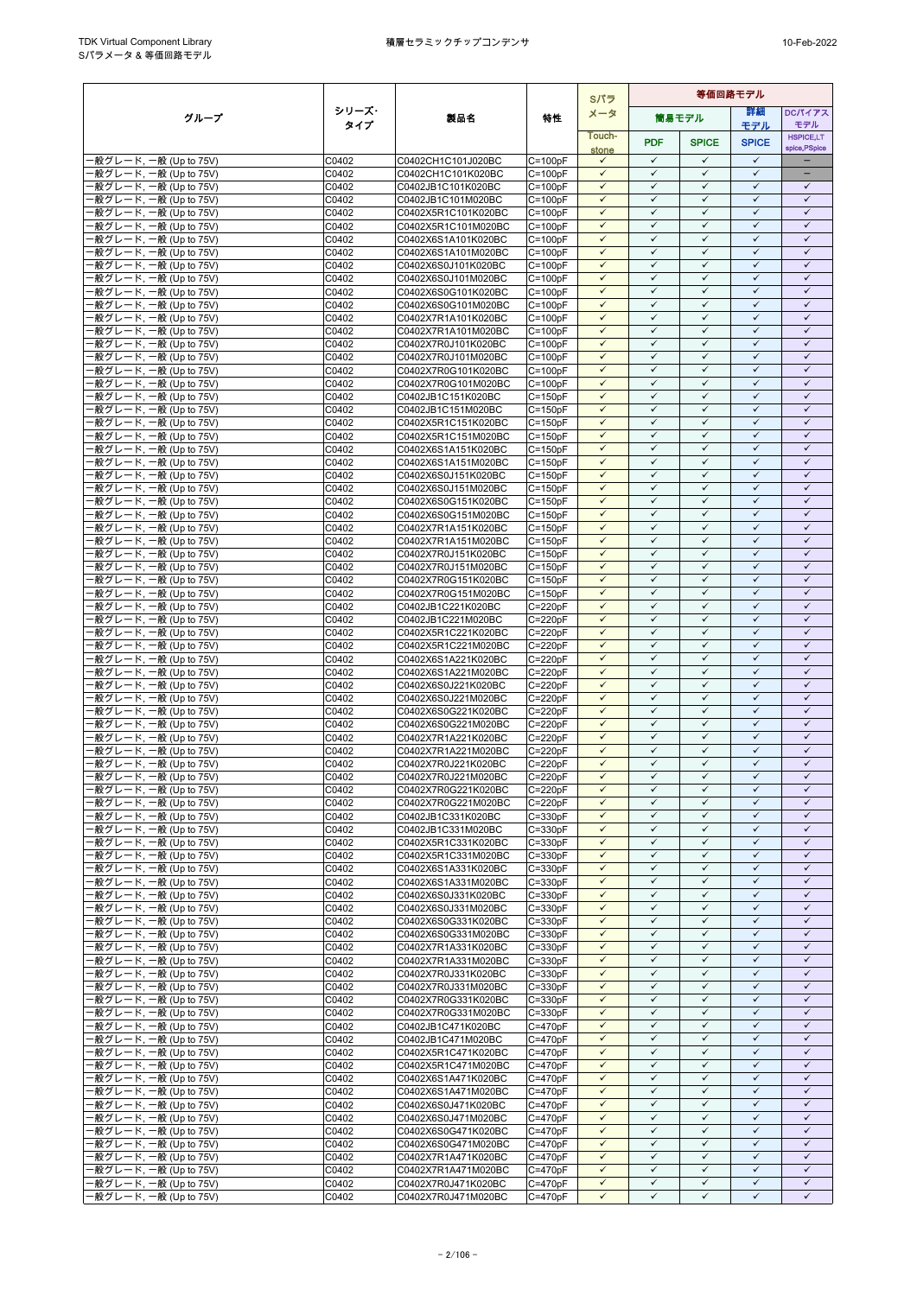|                                                  |                |                                            |                            | Sパラ                          | 等価回路モデル                      |                              |                              |                              |
|--------------------------------------------------|----------------|--------------------------------------------|----------------------------|------------------------------|------------------------------|------------------------------|------------------------------|------------------------------|
| グループ                                             | シリーズ・          | 製品名                                        | 特性                         | メータ                          |                              | 筒易モデル                        | 詳細                           | DCパイアス                       |
|                                                  | タイプ            |                                            |                            | Touch-                       |                              |                              | モデル                          | モデル<br><b>HSPICE,LT</b>      |
|                                                  |                |                                            |                            | stone                        | <b>PDF</b>                   | <b>SPICE</b>                 | <b>SPICE</b>                 | spice, PSpice                |
| -般グレード, 一般 (Up to 75V)                           | C0402          | C0402CH1C101J020BC                         | $C = 100pF$                | $\checkmark$                 | $\checkmark$                 | $\checkmark$                 | $\checkmark$                 | ÷                            |
| -般グレード, 一般 (Up to 75V)                           | C0402          | C0402CH1C101K020BC                         | $C = 100pF$                | $\checkmark$                 | $\checkmark$                 | $\checkmark$                 | $\checkmark$                 | ÷                            |
| ·般グレード, 一般 (Up to 75V)                           | C0402          | C0402JB1C101K020BC                         | $C = 100pF$                | $\checkmark$<br>$\checkmark$ | $\checkmark$<br>$\checkmark$ | $\checkmark$<br>$\checkmark$ | $\checkmark$<br>$\checkmark$ | $\checkmark$<br>$\checkmark$ |
| ·般グレード, 一般 (Up to 75V)<br>·般グレード, 一般 (Up to 75V) | C0402<br>C0402 | C0402JB1C101M020BC<br>C0402X5R1C101K020BC  | $C = 100pF$<br>$C = 100pF$ | $\checkmark$                 | $\checkmark$                 | $\checkmark$                 | ✓                            | $\checkmark$                 |
| 般グレード, 一般 (Up to 75V)                            | C0402          | C0402X5R1C101M020BC                        | $C = 100pF$                | $\checkmark$                 | $\checkmark$                 | $\checkmark$                 | $\checkmark$                 | $\checkmark$                 |
| 般グレード, 一般 (Up to 75V)                            | C0402          | C0402X6S1A101K020BC                        | $C = 100pF$                | $\checkmark$                 | $\checkmark$                 | $\checkmark$                 | $\checkmark$                 | $\checkmark$                 |
| -般グレード, 一般 (Up to 75V)                           | C0402          | C0402X6S1A101M020BC                        | $C = 100pF$                | $\checkmark$                 | $\checkmark$                 | $\checkmark$                 | $\checkmark$                 | $\checkmark$                 |
| ·般グレード, 一般 (Up to 75V)                           | C0402          | C0402X6S0J101K020BC                        | $C = 100pF$                | $\checkmark$                 | $\checkmark$                 | $\checkmark$                 | $\checkmark$                 | $\checkmark$                 |
| ·般グレード, 一般 (Up to 75V)                           | C0402          | C0402X6S0J101M020BC                        | $C = 100pF$                | $\checkmark$                 | $\checkmark$                 | $\checkmark$                 | $\checkmark$                 | $\checkmark$                 |
| ·般グレード, 一般 (Up to 75V)<br>·般グレード, 一般 (Up to 75V) | C0402<br>C0402 | C0402X6S0G101K020BC<br>C0402X6S0G101M020BC | $C=100pF$<br>$C = 100pF$   | $\checkmark$<br>$\checkmark$ | ✓<br>$\checkmark$            | ✓<br>$\checkmark$            | ✓<br>$\checkmark$            | $\checkmark$<br>$\checkmark$ |
| 般グレード, 一般 (Up to 75V)                            | C0402          | C0402X7R1A101K020BC                        | $C = 100pF$                | $\checkmark$                 | $\checkmark$                 | $\checkmark$                 | $\checkmark$                 | $\checkmark$                 |
| ·般グレード, 一般 (Up to 75V)                           | C0402          | C0402X7R1A101M020BC                        | $C = 100pF$                | $\checkmark$                 | $\checkmark$                 | $\checkmark$                 | $\checkmark$                 | $\checkmark$                 |
| ·般グレード, 一般 (Up to 75V)                           | C0402          | C0402X7R0J101K020BC                        | $C = 100pF$                | $\checkmark$                 | $\checkmark$                 | $\checkmark$                 | $\checkmark$                 | $\checkmark$                 |
| ·般グレード, 一般 (Up to 75V)                           | C0402          | C0402X7R0J101M020BC                        | $C=100pF$                  | $\checkmark$                 | $\checkmark$                 | $\checkmark$                 | $\checkmark$                 | $\checkmark$                 |
| -般グレード, 一般 (Up to 75V)                           | C0402          | C0402X7R0G101K020BC                        | $C = 100pF$                | $\checkmark$<br>$\checkmark$ | $\checkmark$<br>$\checkmark$ | $\checkmark$<br>$\checkmark$ | $\checkmark$<br>$\checkmark$ | $\checkmark$<br>$\checkmark$ |
| ·般グレード, 一般 (Up to 75V)<br>·般グレード, 一般 (Up to 75V) | C0402<br>C0402 | C0402X7R0G101M020BC<br>C0402JB1C151K020BC  | $C = 100pF$<br>$C = 150pF$ | $\checkmark$                 | $\checkmark$                 | $\checkmark$                 | $\checkmark$                 | $\checkmark$                 |
| ·般グレード, 一般 (Up to 75V)                           | C0402          | C0402JB1C151M020BC                         | $C = 150pF$                | $\checkmark$                 | $\checkmark$                 | $\checkmark$                 | $\checkmark$                 | $\checkmark$                 |
| -般グレード, 一般 (Up to 75V)                           | C0402          | C0402X5R1C151K020BC                        | $C = 150pF$                | $\checkmark$                 | $\checkmark$                 | $\checkmark$                 | $\checkmark$                 | $\checkmark$                 |
| ·般グレード, 一般 (Up to 75V)                           | C0402          | C0402X5R1C151M020BC                        | $C = 150pF$                | $\checkmark$                 | $\checkmark$                 | $\checkmark$                 | $\checkmark$                 | $\checkmark$                 |
| -般グレード, 一般 (Up to 75V)                           | C0402          | C0402X6S1A151K020BC                        | $C = 150pF$                | $\checkmark$                 | $\checkmark$                 | $\checkmark$                 | $\checkmark$                 | $\checkmark$                 |
| -般グレード, 一般 (Up to 75V)                           | C0402          | C0402X6S1A151M020BC                        | $C = 150pF$                | $\checkmark$<br>$\checkmark$ | $\checkmark$<br>$\checkmark$ | $\checkmark$<br>$\checkmark$ | $\checkmark$<br>$\checkmark$ | $\checkmark$<br>$\checkmark$ |
| ·般グレード, 一般 (Up to 75V)<br>·般グレード, 一般 (Up to 75V) | C0402<br>C0402 | C0402X6S0J151K020BC<br>C0402X6S0J151M020BC | $C = 150pF$<br>$C = 150pF$ | $\checkmark$                 | $\checkmark$                 | $\checkmark$                 | $\checkmark$                 | $\checkmark$                 |
| -般グレード, 一般 (Up to 75V)                           | C0402          | C0402X6S0G151K020BC                        | $C = 150pF$                | $\checkmark$                 | $\checkmark$                 | $\checkmark$                 | $\checkmark$                 | $\checkmark$                 |
| -般グレード, 一般 (Up to 75V)                           | C0402          | C0402X6S0G151M020BC                        | $C = 150pF$                | $\checkmark$                 | $\checkmark$                 | $\checkmark$                 | $\checkmark$                 | $\checkmark$                 |
| ·般グレード, 一般 (Up to 75V)                           | C0402          | C0402X7R1A151K020BC                        | $C = 150pF$                | $\checkmark$                 | $\checkmark$                 | $\checkmark$                 | $\checkmark$                 | $\checkmark$                 |
| ·般グレード, 一般 (Up to 75V)                           | C0402          | C0402X7R1A151M020BC                        | $C = 150pF$                | $\checkmark$                 | $\checkmark$                 | ✓                            | $\checkmark$                 | $\checkmark$                 |
| -般グレード, 一般 (Up to 75V)                           | C0402          | C0402X7R0J151K020BC                        | $C = 150pF$                | $\checkmark$<br>$\checkmark$ | $\checkmark$<br>$\checkmark$ | $\checkmark$<br>$\checkmark$ | $\checkmark$<br>$\checkmark$ | $\checkmark$<br>$\checkmark$ |
| ·般グレード, 一般 (Up to 75V)<br>·般グレード, 一般 (Up to 75V) | C0402<br>C0402 | C0402X7R0J151M020BC<br>C0402X7R0G151K020BC | $C = 150pF$<br>$C = 150pF$ | $\checkmark$                 | $\checkmark$                 | $\checkmark$                 | $\checkmark$                 | $\checkmark$                 |
| ·般グレード, 一般 (Up to 75V)                           | C0402          | C0402X7R0G151M020BC                        | $C = 150pF$                | $\checkmark$                 | $\checkmark$                 | $\checkmark$                 | $\checkmark$                 | $\checkmark$                 |
| -般グレード, 一般 (Up to 75V)                           | C0402          | C0402JB1C221K020BC                         | $C = 220pF$                | $\checkmark$                 | $\checkmark$                 | $\checkmark$                 | $\checkmark$                 | $\checkmark$                 |
| ·般グレード, 一般 (Up to 75V)                           | C0402          | C0402JB1C221M020BC                         | $C = 220pF$                | $\checkmark$                 | $\checkmark$                 | $\checkmark$                 | $\checkmark$                 | $\checkmark$                 |
| ·般グレード, 一般 (Up to 75V)                           | C0402          | C0402X5R1C221K020BC                        | $C = 220pF$                | $\checkmark$                 | $\checkmark$                 | $\checkmark$                 | $\checkmark$                 | $\checkmark$                 |
| -般グレード, 一般 (Up to 75V)                           | C0402          | C0402X5R1C221M020BC                        | $C = 220pF$                | $\checkmark$<br>$\checkmark$ | $\checkmark$<br>$\checkmark$ | $\checkmark$<br>$\checkmark$ | $\checkmark$<br>$\checkmark$ | $\checkmark$<br>$\checkmark$ |
| ·般グレード, 一般 (Up to 75V)<br>-般グレード, 一般 (Up to 75V) | C0402<br>C0402 | C0402X6S1A221K020BC<br>C0402X6S1A221M020BC | $C = 220pF$<br>$C = 220pF$ | $\checkmark$                 | $\checkmark$                 | $\checkmark$                 | $\checkmark$                 | $\checkmark$                 |
| ·般グレード, 一般 (Up to 75V)                           | C0402          | C0402X6S0J221K020BC                        | $C = 220pF$                | $\checkmark$                 | $\checkmark$                 | $\checkmark$                 | $\checkmark$                 | $\checkmark$                 |
| -般グレード, 一般 (Up to 75V)                           | C0402          | C0402X6S0J221M020BC                        | $C = 220pF$                | $\checkmark$                 | $\checkmark$                 | $\checkmark$                 | $\checkmark$                 | $\checkmark$                 |
| ·般グレード, 一般 (Up to 75V)                           | C0402          | C0402X6S0G221K020BC                        | $C = 220pF$                | $\checkmark$                 | $\checkmark$                 | $\checkmark$                 | $\checkmark$                 | $\checkmark$                 |
| ·般グレード, 一般 (Up to 75V)                           | C0402          | C0402X6S0G221M020BC                        | $C = 220pF$                | $\checkmark$                 | $\checkmark$                 | $\checkmark$                 | $\checkmark$                 | $\checkmark$                 |
| -般グレード, 一般 (Up to 75V)                           | C0402          | C0402X7R1A221K020BC                        | $C = 220pF$                | $\checkmark$<br>$\checkmark$ | $\checkmark$<br>$\checkmark$ | $\checkmark$<br>$\checkmark$ | $\checkmark$<br>$\checkmark$ | $\checkmark$<br>$\checkmark$ |
| -般グレード, 一般 (Up to 75V)<br>·般グレード, 一般 (Up to 75V) | C0402<br>C0402 | C0402X7R1A221M020BC<br>C0402X7R0J221K020BC | $C = 220pF$<br>$C = 220pF$ | $\checkmark$                 | $\checkmark$                 | $\checkmark$                 | $\checkmark$                 | $\checkmark$                 |
| 般グレード, 一般 (Up to 75V)                            | C0402          | C0402X7R0J221M020BC                        | $C = 220pF$                | $\checkmark$                 | $\checkmark$                 | $\checkmark$                 | $\checkmark$                 | $\checkmark$                 |
| -般グレード, 一般 (Up to 75V)                           | C0402          | C0402X7R0G221K020BC                        | $C = 220pF$                | $\checkmark$                 | $\checkmark$                 | $\checkmark$                 | $\checkmark$                 | $\checkmark$                 |
| -般グレード, 一般 (Up to 75V)                           | C0402          | C0402X7R0G221M020BC                        | $C = 220pF$                | $\checkmark$                 | $\checkmark$                 | $\checkmark$                 | $\checkmark$                 | $\checkmark$                 |
| -般グレード, 一般 (Up to 75V)                           | C0402          | C0402JB1C331K020BC                         | $C = 330pF$                | $\checkmark$                 | $\checkmark$                 | $\checkmark$                 | $\checkmark$                 | $\checkmark$                 |
| -般グレード, 一般 (Up to 75V)                           | C0402          | C0402JB1C331M020BC                         | $C = 330pF$                | $\checkmark$<br>$\checkmark$ | $\checkmark$<br>$\checkmark$ | $\checkmark$<br>$\checkmark$ | $\checkmark$<br>$\checkmark$ | ✓<br>$\checkmark$            |
| ·般グレード, 一般 (Up to 75V)<br>-般グレード, 一般 (Up to 75V) | C0402<br>C0402 | C0402X5R1C331K020BC<br>C0402X5R1C331M020BC | $C = 330pF$<br>$C = 330pF$ | $\checkmark$                 | $\checkmark$                 | $\checkmark$                 | $\checkmark$                 | $\checkmark$                 |
| ·般グレード, 一般 (Up to 75V)                           | C0402          | C0402X6S1A331K020BC                        | $C = 330pF$                | $\checkmark$                 | $\checkmark$                 | $\checkmark$                 | ✓                            | $\checkmark$                 |
| ·般グレード, 一般 (Up to 75V)                           | C0402          | C0402X6S1A331M020BC                        | $C = 330pF$                | $\checkmark$                 | $\checkmark$                 | $\checkmark$                 | $\checkmark$                 | $\checkmark$                 |
| -般グレード, 一般 (Up to 75V)                           | C0402          | C0402X6S0J331K020BC                        | $C = 330pF$                | $\checkmark$                 | $\checkmark$                 | $\checkmark$                 | $\checkmark$                 | $\checkmark$                 |
| 般グレード, 一般 (Up to 75V)                            | C0402          | C0402X6S0J331M020BC                        | $C = 330pF$                | $\checkmark$                 | $\checkmark$                 | $\checkmark$                 | $\checkmark$                 | $\checkmark$                 |
| -般グレード, 一般 (Up to 75V)                           | C0402          | C0402X6S0G331K020BC                        | $C = 330pF$                | $\checkmark$<br>$\checkmark$ | $\checkmark$<br>$\checkmark$ | $\checkmark$<br>$\checkmark$ | $\checkmark$<br>$\checkmark$ | $\checkmark$<br>$\checkmark$ |
| ·般グレード, 一般 (Up to 75V)<br>·般グレード, 一般 (Up to 75V) | C0402<br>C0402 | C0402X6S0G331M020BC<br>C0402X7R1A331K020BC | $C = 330pF$<br>$C = 330pF$ | $\checkmark$                 | $\checkmark$                 | ✓                            | ✓                            | $\checkmark$                 |
| ·般グレード, 一般 (Up to 75V)                           | C0402          | C0402X7R1A331M020BC                        | $C = 330pF$                | $\checkmark$                 | $\checkmark$                 | $\checkmark$                 | $\checkmark$                 | $\checkmark$                 |
| ·般グレード, 一般 (Up to 75V)                           | C0402          | C0402X7R0J331K020BC                        | $C = 330pF$                | $\checkmark$                 | $\checkmark$                 | $\checkmark$                 | $\checkmark$                 | $\checkmark$                 |
| 般グレード, 一般 (Up to 75V)                            | C0402          | C0402X7R0J331M020BC                        | $C = 330pF$                | $\checkmark$                 | $\checkmark$                 | $\checkmark$                 | $\checkmark$                 | $\checkmark$                 |
| -般グレード, 一般 (Up to 75V)                           | C0402          | C0402X7R0G331K020BC                        | $C = 330pF$                | $\checkmark$                 | $\checkmark$                 | $\checkmark$                 | $\checkmark$                 | $\checkmark$                 |
| ·般グレード, 一般 (Up to 75V)                           | C0402          | C0402X7R0G331M020BC                        | $C = 330pF$                | $\checkmark$                 | $\checkmark$                 | ✓                            | $\checkmark$                 | $\checkmark$                 |
| ·般グレード, 一般 (Up to 75V)<br>-般グレード, 一般 (Up to 75V) | C0402<br>C0402 | C0402JB1C471K020BC<br>C0402JB1C471M020BC   | $C = 470pF$<br>$C = 470pF$ | $\checkmark$<br>$\checkmark$ | $\checkmark$<br>$\checkmark$ | $\checkmark$<br>$\checkmark$ | $\checkmark$<br>$\checkmark$ | $\checkmark$<br>$\checkmark$ |
| ·般グレード, 一般 (Up to 75V)                           | C0402          | C0402X5R1C471K020BC                        | $C = 470pF$                | $\checkmark$                 | $\checkmark$                 | $\checkmark$                 | $\checkmark$                 | $\checkmark$                 |
| ·般グレード, 一般 (Up to 75V)                           | C0402          | C0402X5R1C471M020BC                        | $C = 470pF$                | $\checkmark$                 | $\checkmark$                 | $\checkmark$                 | $\checkmark$                 | $\checkmark$                 |
| -般グレード, 一般 (Up to 75V)                           | C0402          | C0402X6S1A471K020BC                        | $C = 470pF$                | $\checkmark$                 | $\checkmark$                 | $\checkmark$                 | $\checkmark$                 | $\checkmark$                 |
| ·般グレード, 一般 (Up to 75V)                           | C0402          | C0402X6S1A471M020BC                        | $C = 470pF$                | $\checkmark$                 | $\checkmark$                 | $\checkmark$                 | $\checkmark$                 | $\checkmark$                 |
| ·般グレード, 一般 (Up to 75V)                           | C0402          | C0402X6S0J471K020BC                        | $C = 470pF$                | $\checkmark$                 | $\checkmark$                 | $\checkmark$                 | $\checkmark$                 | $\checkmark$                 |
| ·般グレード, 一般 (Up to 75V)<br>-般グレード, 一般 (Up to 75V) | C0402<br>C0402 | C0402X6S0J471M020BC<br>C0402X6S0G471K020BC | $C = 470pF$<br>$C = 470pF$ | $\checkmark$<br>$\checkmark$ | $\checkmark$<br>$\checkmark$ | $\checkmark$<br>$\checkmark$ | ✓<br>$\checkmark$            | $\checkmark$<br>$\checkmark$ |
| ·般グレード, 一般 (Up to 75V)                           | C0402          | C0402X6S0G471M020BC                        | $C = 470pF$                | $\checkmark$                 | $\checkmark$                 | $\checkmark$                 | $\checkmark$                 | $\checkmark$                 |
| ·般グレード, 一般 (Up to 75V)                           | C0402          | C0402X7R1A471K020BC                        | $C = 470pF$                | $\checkmark$                 | $\checkmark$                 | $\checkmark$                 | $\checkmark$                 | $\checkmark$                 |
| -般グレード, 一般 (Up to 75V)                           | C0402          | C0402X7R1A471M020BC                        | $C = 470pF$                | $\checkmark$                 | $\checkmark$                 | $\checkmark$                 | $\checkmark$                 | $\checkmark$                 |
| ·般グレード, 一般 (Up to 75V)                           | C0402          | C0402X7R0J471K020BC                        | $C = 470pF$                | $\checkmark$                 | $\checkmark$                 | $\checkmark$                 | $\checkmark$                 | $\checkmark$                 |
| ·般グレード, 一般 (Up to 75V)                           | C0402          | C0402X7R0J471M020BC                        | $C = 470pF$                | ✓                            | ✓                            | ✓                            | ✓                            | ✓                            |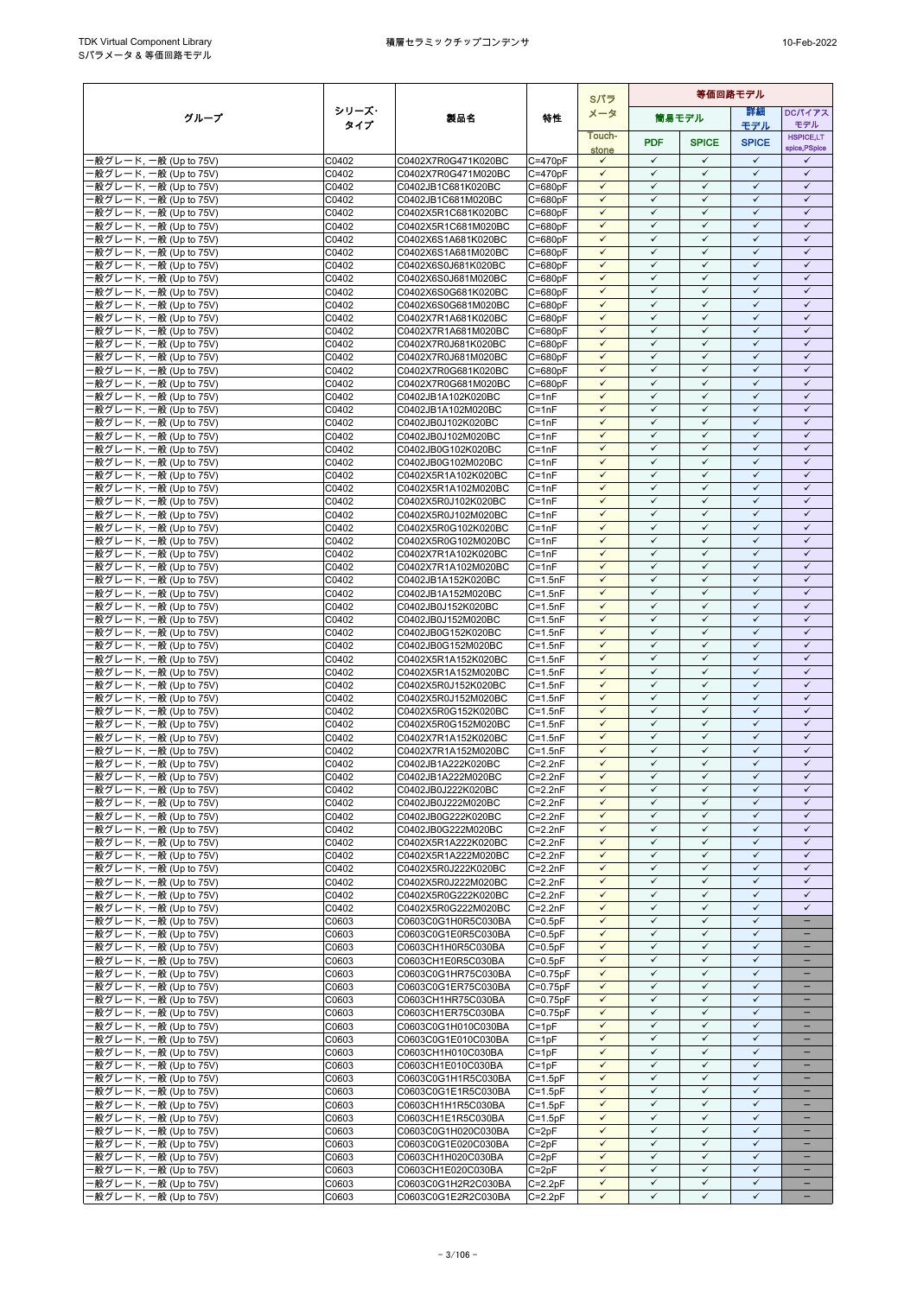|                                                  |                |                                            | Sパラ                                   |                              | 等価回路モデル                      |                              |                              |                               |
|--------------------------------------------------|----------------|--------------------------------------------|---------------------------------------|------------------------------|------------------------------|------------------------------|------------------------------|-------------------------------|
| グループ                                             | シリーズ・          | 製品名                                        | 特性                                    | メータ                          |                              | 筒易モデル                        | 詳細                           | DCパイアス                        |
|                                                  | タイプ            |                                            |                                       | Touch-                       |                              |                              | モデル                          | モデル<br><b>HSPICE,LT</b>       |
|                                                  |                |                                            |                                       | stone                        | <b>PDF</b>                   | <b>SPICE</b>                 | <b>SPICE</b>                 | spice, PSpice                 |
| -般グレード, 一般 (Up to 75V)                           | C0402          | C0402X7R0G471K020BC                        | $C = 470pF$                           | $\checkmark$                 | $\checkmark$                 | $\checkmark$                 | $\checkmark$                 | $\checkmark$                  |
| -般グレード, 一般 (Up to 75V)                           | C0402          | C0402X7R0G471M020BC                        | $C = 470pF$                           | $\checkmark$<br>$\checkmark$ | $\checkmark$<br>$\checkmark$ | $\checkmark$<br>$\checkmark$ | $\checkmark$<br>$\checkmark$ | $\checkmark$<br>$\checkmark$  |
| ·般グレード, 一般 (Up to 75V)<br>般グレード, 一般 (Up to 75V)  | C0402<br>C0402 | C0402JB1C681K020BC<br>C0402JB1C681M020BC   | $C = 680pF$<br>$C = 680pF$            | $\checkmark$                 | $\checkmark$                 | $\checkmark$                 | $\checkmark$                 | $\checkmark$                  |
| -般グレード, 一般 (Up to 75V)                           | C0402          | C0402X5R1C681K020BC                        | $C = 680pF$                           | $\checkmark$                 | $\checkmark$                 | $\checkmark$                 | $\checkmark$                 | $\checkmark$                  |
| -般グレード, 一般 (Up to 75V)                           | C0402          | C0402X5R1C681M020BC                        | $C = 680pF$                           | $\checkmark$                 | $\checkmark$                 | $\checkmark$                 | $\checkmark$                 | $\checkmark$                  |
| ·般グレード, 一般 (Up to 75V)                           | C0402          | C0402X6S1A681K020BC                        | $C = 680pF$                           | $\checkmark$                 | $\checkmark$                 | $\checkmark$                 | $\checkmark$                 | $\checkmark$                  |
| -般グレード, 一般 (Up to 75V)                           | C0402          | C0402X6S1A681M020BC                        | $C = 680pF$                           | $\checkmark$                 | $\checkmark$                 | $\checkmark$                 | $\checkmark$                 | $\checkmark$                  |
| 般グレード, 一般 (Up to 75V)                            | C0402          | C0402X6S0J681K020BC                        | $C = 680pF$                           | $\checkmark$<br>$\checkmark$ | $\checkmark$<br>$\checkmark$ | $\checkmark$<br>$\checkmark$ | $\checkmark$<br>$\checkmark$ | $\checkmark$<br>$\checkmark$  |
| ·般グレード, 一般 (Up to 75V)<br>-般グレード, 一般 (Up to 75V) | C0402<br>C0402 | C0402X6S0J681M020BC<br>C0402X6S0G681K020BC | $C = 680pF$<br>$C = 680pF$            | $\checkmark$                 | $\checkmark$                 | $\checkmark$                 | $\checkmark$                 | $\checkmark$                  |
| ·般グレード, 一般 (Up to 75V)                           | C0402          | C0402X6S0G681M020BC                        | $C = 680pF$                           | $\checkmark$                 | ✓                            | $\checkmark$                 | $\checkmark$                 | $\checkmark$                  |
| -般グレード, 一般 (Up to 75V)                           | C0402          | C0402X7R1A681K020BC                        | $C = 680pF$                           | $\checkmark$                 | $\checkmark$                 | $\checkmark$                 | $\checkmark$                 | $\checkmark$                  |
| -般グレード, 一般 (Up to 75V)                           | C0402          | C0402X7R1A681M020BC                        | $C = 680pF$                           | $\checkmark$                 | $\checkmark$                 | $\checkmark$                 | $\checkmark$                 | $\checkmark$                  |
| 般グレード, 一般 (Up to 75V)                            | C0402          | C0402X7R0J681K020BC                        | $C = 680pF$                           | $\checkmark$                 | $\checkmark$                 | $\checkmark$                 | $\checkmark$                 | $\checkmark$                  |
| ·般グレード, 一般 (Up to 75V)<br>-般グレード, 一般 (Up to 75V) | C0402<br>C0402 | C0402X7R0J681M020BC                        | $C = 680pF$<br>$C = 680pF$            | $\checkmark$<br>$\checkmark$ | $\checkmark$<br>$\checkmark$ | $\checkmark$<br>$\checkmark$ | $\checkmark$<br>$\checkmark$ | $\checkmark$<br>$\checkmark$  |
| -般グレード, 一般 (Up to 75V)                           | C0402          | C0402X7R0G681K020BC<br>C0402X7R0G681M020BC | $C = 680pF$                           | $\checkmark$                 | $\checkmark$                 | $\checkmark$                 | $\checkmark$                 | $\checkmark$                  |
| -般グレード, 一般 (Up to 75V)                           | C0402          | C0402JB1A102K020BC                         | $C = 1nF$                             | $\checkmark$                 | $\checkmark$                 | $\checkmark$                 | $\checkmark$                 | $\checkmark$                  |
| ·般グレード, 一般 (Up to 75V)                           | C0402          | C0402JB1A102M020BC                         | $C = 1nF$                             | $\checkmark$                 | $\checkmark$                 | $\checkmark$                 | $\checkmark$                 | $\checkmark$                  |
| -般グレード, 一般 (Up to 75V)                           | C0402          | C0402JB0J102K020BC                         | $C = 1nF$                             | $\checkmark$                 | $\checkmark$                 | $\checkmark$                 | $\checkmark$                 | $\checkmark$                  |
| -般グレード, 一般 (Up to 75V)                           | C0402          | C0402JB0J102M020BC                         | $C = 1nF$                             | $\checkmark$                 | $\checkmark$                 | $\checkmark$                 | $\checkmark$                 | $\checkmark$                  |
| ·般グレード, 一般 (Up to 75V)<br>-般グレード, 一般 (Up to 75V) | C0402<br>C0402 | C0402JB0G102K020BC<br>C0402JB0G102M020BC   | $C = 1nF$<br>$C = 1nF$                | $\checkmark$<br>$\checkmark$ | $\checkmark$<br>$\checkmark$ | $\checkmark$<br>$\checkmark$ | $\checkmark$<br>$\checkmark$ | $\checkmark$<br>$\checkmark$  |
| ·般グレード, 一般 (Up to 75V)                           | C0402          | C0402X5R1A102K020BC                        | $C = 1nF$                             | $\checkmark$                 | $\checkmark$                 | $\checkmark$                 | $\checkmark$                 | $\checkmark$                  |
| -般グレード, 一般 (Up to 75V)                           | C0402          | C0402X5R1A102M020BC                        | $C = 1nF$                             | $\checkmark$                 | $\checkmark$                 | $\checkmark$                 | $\checkmark$                 | $\checkmark$                  |
| ·般グレード, 一般 (Up to 75V)                           | C0402          | C0402X5R0J102K020BC                        | $C = 1nF$                             | $\checkmark$                 | $\checkmark$                 | $\checkmark$                 | $\checkmark$                 | $\checkmark$                  |
| ·般グレード, 一般 (Up to 75V)                           | C0402          | C0402X5R0J102M020BC                        | $C = 1nF$                             | $\checkmark$                 | $\checkmark$                 | $\checkmark$                 | $\checkmark$                 | $\checkmark$                  |
| ·般グレード, 一般 (Up to 75V)                           | C0402          | C0402X5R0G102K020BC                        | $C = 1nF$                             | $\checkmark$                 | $\checkmark$                 | $\checkmark$                 | $\checkmark$                 | $\checkmark$                  |
| -般グレード, 一般 (Up to 75V)<br>-般グレード, 一般 (Up to 75V) | C0402<br>C0402 | C0402X5R0G102M020BC<br>C0402X7R1A102K020BC | $C = 1nF$<br>$C = 1nF$                | $\checkmark$<br>$\checkmark$ | $\checkmark$<br>$\checkmark$ | $\checkmark$<br>$\checkmark$ | $\checkmark$<br>$\checkmark$ | $\checkmark$<br>$\checkmark$  |
| ·般グレード, 一般 (Up to 75V)                           | C0402          | C0402X7R1A102M020BC                        | $C = 1nF$                             | $\checkmark$                 | $\checkmark$                 | $\checkmark$                 | $\checkmark$                 | $\checkmark$                  |
| -般グレード, 一般 (Up to 75V)                           | C0402          | C0402JB1A152K020BC                         | $C = 1.5nF$                           | $\checkmark$                 | $\checkmark$                 | $\checkmark$                 | $\checkmark$                 | $\checkmark$                  |
| -般グレード, 一般 (Up to 75V)                           | C0402          | C0402JB1A152M020BC                         | $C = 1.5nF$                           | $\checkmark$                 | $\checkmark$                 | $\checkmark$                 | $\checkmark$                 | $\checkmark$                  |
| 般グレード, 一般 (Up to 75V)                            | C0402          | C0402JB0J152K020BC                         | $C = 1.5nF$                           | $\checkmark$                 | $\checkmark$                 | $\checkmark$                 | $\checkmark$                 | $\checkmark$                  |
| ·般グレード, 一般 (Up to 75V)                           | C0402          | C0402JB0J152M020BC                         | $C = 1.5nF$                           | $\checkmark$                 | $\checkmark$                 | $\checkmark$                 | $\checkmark$                 | $\checkmark$                  |
| -般グレード, 一般 (Up to 75V)<br>-般グレード, 一般 (Up to 75V) | C0402<br>C0402 | C0402JB0G152K020BC<br>C0402JB0G152M020BC   | $C = 1.5nF$<br>$C = 1.5nF$            | $\checkmark$<br>$\checkmark$ | ✓<br>$\checkmark$            | $\checkmark$<br>$\checkmark$ | $\checkmark$<br>$\checkmark$ | $\checkmark$<br>$\checkmark$  |
| ·般グレード, 一般 (Up to 75V)                           | C0402          | C0402X5R1A152K020BC                        | $C = 1.5nF$                           | $\checkmark$                 | $\checkmark$                 | $\checkmark$                 | $\checkmark$                 | $\checkmark$                  |
| -般グレード, 一般 (Up to 75V)                           | C0402          | C0402X5R1A152M020BC                        | $C = 1.5nF$                           | $\checkmark$                 | $\checkmark$                 | $\checkmark$                 | $\checkmark$                 | $\checkmark$                  |
| -般グレード, 一般 (Up to 75V)                           | C0402          | C0402X5R0J152K020BC                        | $C = 1.5nF$                           | $\checkmark$                 | $\checkmark$                 | $\checkmark$                 | $\checkmark$                 | $\checkmark$                  |
| -般グレード, 一般 (Up to 75V)                           | C0402          | C0402X5R0J152M020BC                        | $C = 1.5nF$                           | $\checkmark$                 | $\checkmark$                 | $\checkmark$                 | $\checkmark$                 | $\checkmark$                  |
| -般グレード, 一般 (Up to 75V)                           | C0402          | C0402X5R0G152K020BC                        | $C = 1.5nF$                           | $\checkmark$                 | ✓<br>$\checkmark$            | $\checkmark$<br>$\checkmark$ | $\checkmark$<br>$\checkmark$ | $\checkmark$<br>$\checkmark$  |
| -般グレード, 一般 (Up to 75V)<br>-般グレード, 一般 (Up to 75V) | C0402<br>C0402 | C0402X5R0G152M020BC<br>C0402X7R1A152K020BC | $C = 1.5nF$<br>$C = 1.5nF$            | $\checkmark$<br>$\checkmark$ | $\checkmark$                 | $\checkmark$                 | $\checkmark$                 | $\checkmark$                  |
| -般グレード, 一般 (Up to 75V)                           | C0402          | C0402X7R1A152M020BC                        | $C = 1.5nF$                           | $\checkmark$                 | $\checkmark$                 | $\checkmark$                 | $\checkmark$                 | $\checkmark$                  |
| ·般グレード, 一般 (Up to 75V)                           | C0402          | C0402JB1A222K020BC                         | $C = 2.2nF$                           | $\checkmark$                 | $\checkmark$                 | $\checkmark$                 | $\checkmark$                 | $\checkmark$                  |
| ·般グレード, 一般 (Up to 75V)                           | C0402          | C0402JB1A222M020BC                         | $C=2.2nF$                             | $\checkmark$                 | $\checkmark$                 | $\checkmark$                 | $\checkmark$                 | $\checkmark$                  |
| ·般グレード, 一般 (Up to 75V)                           | C0402          | C0402JB0J222K020BC                         | $C = 2.2nF$                           | $\checkmark$                 | ✓                            | $\checkmark$                 | $\checkmark$                 | $\checkmark$                  |
| -般グレード, 一般 (Up to 75V)                           | C0402          | C0402JB0J222M020BC                         | $C=2.2nF$                             | $\checkmark$                 | $\checkmark$<br>$\checkmark$ | $\checkmark$<br>$\checkmark$ | $\checkmark$<br>$\checkmark$ | $\checkmark$<br>$\checkmark$  |
| -般グレード, 一般 (Up to 75V)<br>-般グレード, 一般 (Up to 75V) | C0402<br>C0402 | C0402JB0G222K020BC<br>C0402JB0G222M020BC   | $C = 2.2nF$<br>$C=2.2nF$              | $\checkmark$<br>$\checkmark$ | $\checkmark$                 | $\checkmark$                 | $\checkmark$                 | $\checkmark$                  |
| -般グレード, 一般 (Up to 75V)                           | C0402          | C0402X5R1A222K020BC                        | $C = 2.2nF$                           | $\checkmark$                 | $\checkmark$                 | $\checkmark$                 | $\checkmark$                 | $\checkmark$                  |
| ·般グレード, 一般 (Up to 75V)                           | C0402          | C0402X5R1A222M020BC                        | $C=2.2nF$                             | $\checkmark$                 | $\checkmark$                 | $\checkmark$                 | $\checkmark$                 | $\checkmark$                  |
| -般グレード, 一般 (Up to 75V)                           | C0402          | C0402X5R0J222K020BC                        | $C = 2.2nF$                           | $\checkmark$                 | $\checkmark$                 | $\checkmark$                 | $\checkmark$                 | $\checkmark$                  |
| -般グレード, 一般 (Up to 75V)                           | C0402          | C0402X5R0J222M020BC                        | $C=2.2nF$                             | ✓                            | ✓                            | ✓                            | ✓                            | $\checkmark$                  |
| -般グレード, 一般 (Up to 75V)                           | C0402          | C0402X5R0G222K020BC                        | $C = 2.2nF$                           | $\checkmark$<br>$\checkmark$ | $\checkmark$<br>$\checkmark$ | $\checkmark$<br>$\checkmark$ | $\checkmark$<br>$\checkmark$ | $\checkmark$<br>$\checkmark$  |
| ·般グレード, 一般 (Up to 75V)<br>-般グレード, 一般 (Up to 75V) | C0402<br>C0603 | C0402X5R0G222M020BC<br>C0603C0G1H0R5C030BA | $C=2.2nF$<br>$C=0.5$ <sub>p</sub> $F$ | $\checkmark$                 | $\checkmark$                 | $\checkmark$                 | $\checkmark$                 |                               |
| ·般グレード, 一般 (Up to 75V)                           | C0603          | C0603C0G1E0R5C030BA                        | $C = 0.5pF$                           | $\checkmark$                 | $\checkmark$                 | $\checkmark$                 | $\checkmark$                 | $\overline{\phantom{0}}$      |
| -般グレード, 一般 (Up to 75V)                           | C0603          | C0603CH1H0R5C030BA                         | $C=0.5pF$                             | $\checkmark$                 | $\checkmark$                 | $\checkmark$                 | $\checkmark$                 | $\qquad \qquad -$             |
| -般グレード, 一般 (Up to 75V)                           | C0603          | C0603CH1E0R5C030BA                         | $C=0.5pF$                             | $\checkmark$                 | ✓                            | $\checkmark$                 | $\checkmark$                 |                               |
| -般グレード, 一般 (Up to 75V)                           | C0603          | C0603C0G1HR75C030BA                        | C=0.75pF                              | $\checkmark$                 | $\checkmark$                 | $\checkmark$                 | $\checkmark$                 |                               |
| -般グレード, 一般 (Up to 75V)                           | C0603          | C0603C0G1ER75C030BA                        | $C=0.75pF$                            | $\checkmark$<br>$\checkmark$ | $\checkmark$<br>$\checkmark$ | $\checkmark$<br>$\checkmark$ | $\checkmark$<br>$\checkmark$ |                               |
| ·般グレード, 一般 (Up to 75V)<br>-般グレード, 一般 (Up to 75V) | C0603<br>C0603 | C0603CH1HR75C030BA<br>C0603CH1ER75C030BA   | $C=0.75pF$<br>$C=0.75pF$              | $\checkmark$                 | $\checkmark$                 | $\checkmark$                 | $\checkmark$                 | $\overline{\phantom{0}}$      |
| ·般グレード, 一般 (Up to 75V)                           | C0603          | C0603C0G1H010C030BA                        | $C = 1pF$                             | $\checkmark$                 | $\checkmark$                 | $\checkmark$                 | $\checkmark$                 | $\qquad \qquad -$             |
| -般グレード, 一般 (Up to 75V)                           | C0603          | C0603C0G1E010C030BA                        | $C = 1pF$                             | $\checkmark$                 | ✓                            | $\checkmark$                 | ✓                            | $\overline{\phantom{0}}$      |
| -般グレード, 一般 (Up to 75V)                           | C0603          | C0603CH1H010C030BA                         | $C = 1pF$                             | $\checkmark$                 | $\checkmark$                 | $\checkmark$                 | $\checkmark$                 | $\qquad \qquad -$             |
| ·般グレード, 一般 (Up to 75V)                           | C0603          | C0603CH1E010C030BA                         | $C = 1pF$                             | $\checkmark$                 | ✓                            | $\checkmark$                 | $\checkmark$                 |                               |
| -般グレード, 一般 (Up to 75V)<br>-般グレード, 一般 (Up to 75V) | C0603<br>C0603 | C0603C0G1H1R5C030BA                        | $C = 1.5pF$<br>$C = 1.5pF$            | $\checkmark$<br>$\checkmark$ | ✓<br>$\checkmark$            | $\checkmark$<br>$\checkmark$ | $\checkmark$<br>$\checkmark$ | ۰<br>$\overline{\phantom{0}}$ |
| -般グレード, 一般 (Up to 75V)                           | C0603          | C0603C0G1E1R5C030BA<br>C0603CH1H1R5C030BA  | $C=1.5pF$                             | $\checkmark$                 | $\checkmark$                 | $\checkmark$                 | $\checkmark$                 |                               |
| -般グレード, 一般 (Up to 75V)                           | C0603          | C0603CH1E1R5C030BA                         | $C = 1.5pF$                           | $\checkmark$                 | $\checkmark$                 | $\checkmark$                 | $\checkmark$                 | -                             |
| -般グレード, 一般 (Up to 75V)                           | C0603          | C0603C0G1H020C030BA                        | $C = 2pF$                             | $\checkmark$                 | $\checkmark$                 | $\checkmark$                 | $\checkmark$                 |                               |
| ·般グレード, 一般 (Up to 75V)                           | C0603          | C0603C0G1E020C030BA                        | $C = 2pF$                             | $\checkmark$                 | $\checkmark$                 | $\checkmark$                 | $\checkmark$                 | -                             |
| ·般グレード, 一般 (Up to 75V)                           | C0603          | C0603CH1H020C030BA                         | $C = 2pF$                             | $\checkmark$                 | $\checkmark$                 | $\checkmark$                 | $\checkmark$                 |                               |
| -般グレード, 一般 (Up to 75V)<br>-般グレード, 一般 (Up to 75V) | C0603<br>C0603 | C0603CH1E020C030BA<br>C0603C0G1H2R2C030BA  | $C = 2pF$<br>$C=2.2pF$                | $\checkmark$<br>$\checkmark$ | $\checkmark$<br>$\checkmark$ | $\checkmark$<br>$\checkmark$ | $\checkmark$<br>$\checkmark$ | $\overline{\phantom{0}}$      |
| -般グレード, 一般 (Up to 75V)                           | C0603          | C0603C0G1E2R2C030BA                        | $C=2.2pF$                             | $\checkmark$                 | $\checkmark$                 | $\checkmark$                 | $\checkmark$                 | $\qquad \qquad -$             |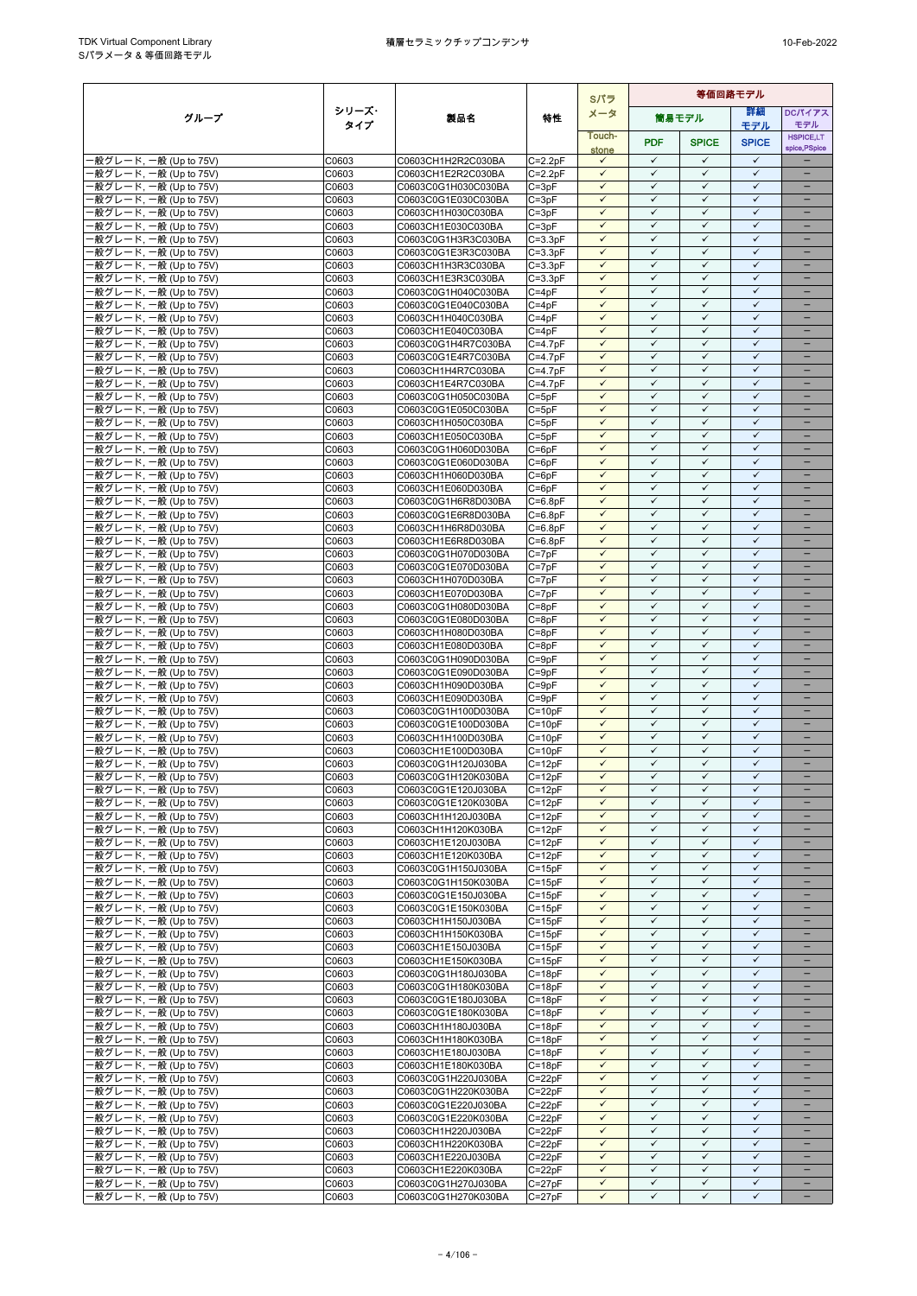|                                                  |                |                                            |                          | Sパラ                          |                              |                              | 等価回路モデル                      |                                               |  |
|--------------------------------------------------|----------------|--------------------------------------------|--------------------------|------------------------------|------------------------------|------------------------------|------------------------------|-----------------------------------------------|--|
| グループ                                             | シリーズ・          | 製品名                                        | 特性                       | メータ                          |                              | 筒易モデル                        | 詳細                           | <b>DCパイアス</b>                                 |  |
|                                                  | タイプ            |                                            |                          | Touch-                       |                              |                              | モデル                          | モデル<br><b>HSPICE,LT</b>                       |  |
|                                                  |                |                                            |                          | stone                        | <b>PDF</b>                   | <b>SPICE</b>                 | <b>SPICE</b>                 | spice, PSpice                                 |  |
| -般グレード, 一般 (Up to 75V)                           | C0603          | C0603CH1H2R2C030BA                         | $C = 2.2pF$              | $\checkmark$                 | $\checkmark$                 | $\checkmark$                 | $\checkmark$                 |                                               |  |
| -般グレード, 一般 (Up to 75V)                           | C0603          | C0603CH1E2R2C030BA                         | $C = 2.2pF$              | $\checkmark$<br>$\checkmark$ | $\checkmark$<br>$\checkmark$ | $\checkmark$<br>$\checkmark$ | $\checkmark$<br>$\checkmark$ | ÷<br>$\overline{\phantom{0}}$                 |  |
| ·般グレード, 一般 (Up to 75V)<br>般グレード, 一般 (Up to 75V)  | C0603<br>C0603 | C0603C0G1H030C030BA<br>C0603C0G1E030C030BA | $C = 3pF$<br>$C = 3pF$   | $\checkmark$                 | $\checkmark$                 | $\checkmark$                 | $\checkmark$                 |                                               |  |
| -般グレード, 一般 (Up to 75V)                           | C0603          | C0603CH1H030C030BA                         | $C = 3pF$                | $\checkmark$                 | ✓                            | $\checkmark$                 | $\checkmark$                 | $\qquad \qquad -$                             |  |
| -般グレード, 一般 (Up to 75V)                           | C0603          | C0603CH1E030C030BA                         | $C = 3pF$                | $\checkmark$                 | $\checkmark$                 | $\checkmark$                 | $\checkmark$                 |                                               |  |
| -般グレード, 一般 (Up to 75V)                           | C0603          | C0603C0G1H3R3C030BA                        | $C = 3.3pF$              | $\checkmark$                 | $\checkmark$                 | $\checkmark$                 | $\checkmark$                 |                                               |  |
| -般グレード, 一般 (Up to 75V)                           | C0603          | C0603C0G1E3R3C030BA                        | $C = 3.3pF$              | $\checkmark$                 | $\checkmark$                 | $\checkmark$                 | $\checkmark$                 | $\equiv$                                      |  |
| 般グレード, 一般 (Up to 75V)                            | C0603          | C0603CH1H3R3C030BA                         | $C = 3.3pF$              | $\checkmark$<br>$\checkmark$ | $\checkmark$<br>$\checkmark$ | $\checkmark$<br>$\checkmark$ | $\checkmark$<br>$\checkmark$ | $\overline{\phantom{0}}$                      |  |
| ·般グレード, 一般 (Up to 75V)<br>-般グレード, 一般 (Up to 75V) | C0603<br>C0603 | C0603CH1E3R3C030BA<br>C0603C0G1H040C030BA  | $C = 3.3pF$<br>$C = 4pF$ | $\checkmark$                 | $\checkmark$                 | $\checkmark$                 | $\checkmark$                 | $\qquad \qquad -$                             |  |
| ·般グレード, 一般 (Up to 75V)                           | C0603          | C0603C0G1E040C030BA                        | $C = 4pF$                | $\checkmark$                 | ✓                            | $\checkmark$                 | $\checkmark$                 | $\qquad \qquad -$                             |  |
| -般グレード, 一般 (Up to 75V)                           | C0603          | C0603CH1H040C030BA                         | $C = 4pF$                | $\checkmark$                 | $\checkmark$                 | $\checkmark$                 | $\checkmark$                 |                                               |  |
| -般グレード, 一般 (Up to 75V)                           | C0603          | C0603CH1E040C030BA                         | $C = 4pF$                | $\checkmark$                 | $\checkmark$                 | $\checkmark$                 | $\checkmark$                 | $\equiv$                                      |  |
| 般グレード, 一般 (Up to 75V)                            | C0603          | C0603C0G1H4R7C030BA                        | $C=4.7pF$                | $\checkmark$                 | $\checkmark$                 | $\checkmark$                 | $\checkmark$                 |                                               |  |
| ·般グレード, 一般 (Up to 75V)<br>-般グレード, 一般 (Up to 75V) | C0603<br>C0603 | C0603C0G1E4R7C030BA                        | $C = 4.7pF$              | $\checkmark$<br>$\checkmark$ | $\checkmark$<br>$\checkmark$ | $\checkmark$<br>$\checkmark$ | $\checkmark$<br>$\checkmark$ | $\overline{\phantom{0}}$<br>$\qquad \qquad -$ |  |
| -般グレード, 一般 (Up to 75V)                           | C0603          | C0603CH1H4R7C030BA<br>C0603CH1E4R7C030BA   | $C=4.7pF$<br>$C=4.7pF$   | $\checkmark$                 | ✓                            | $\checkmark$                 | $\checkmark$                 |                                               |  |
| -般グレード, 一般 (Up to 75V)                           | C0603          | C0603C0G1H050C030BA                        | $C = 5pF$                | $\checkmark$                 | $\checkmark$                 | $\checkmark$                 | $\checkmark$                 |                                               |  |
| 般グレード, 一般 (Up to 75V)                            | C0603          | C0603C0G1E050C030BA                        | $C = 5pF$                | $\checkmark$                 | $\checkmark$                 | $\checkmark$                 | $\checkmark$                 |                                               |  |
| -般グレード, 一般 (Up to 75V)                           | C0603          | C0603CH1H050C030BA                         | $C = 5pF$                | $\checkmark$                 | $\checkmark$                 | $\checkmark$                 | $\checkmark$                 |                                               |  |
| -般グレード, 一般 (Up to 75V)                           | C0603          | C0603CH1E050C030BA                         | $C = 5pF$                | $\checkmark$                 | $\checkmark$                 | $\checkmark$                 | $\checkmark$                 | $\overline{\phantom{0}}$                      |  |
| 般グレード, 一般 (Up to 75V)<br>-般グレード, 一般 (Up to 75V)  | C0603<br>C0603 | C0603C0G1H060D030BA<br>C0603C0G1E060D030BA | $C = 6pF$<br>$C = 6pF$   | $\checkmark$<br>$\checkmark$ | $\checkmark$<br>$\checkmark$ | $\checkmark$<br>$\checkmark$ | $\checkmark$<br>$\checkmark$ | $\qquad \qquad -$                             |  |
| -般グレード, 一般 (Up to 75V)                           | C0603          | C0603CH1H060D030BA                         | $C = 6pF$                | $\checkmark$                 | $\checkmark$                 | $\checkmark$                 | $\checkmark$                 |                                               |  |
| ·般グレード, 一般 (Up to 75V)                           | C0603          | C0603CH1E060D030BA                         | $C = 6pF$                | $\checkmark$                 | $\checkmark$                 | $\checkmark$                 | $\checkmark$                 |                                               |  |
| ·般グレード, 一般 (Up to 75V)                           | C0603          | C0603C0G1H6R8D030BA                        | $C=6.8pF$                | $\checkmark$                 | $\checkmark$                 | $\checkmark$                 | $\checkmark$                 |                                               |  |
| -般グレード, 一般 (Up to 75V)                           | C0603          | C0603C0G1E6R8D030BA                        | $C = 6.8pF$              | $\checkmark$                 | $\checkmark$                 | $\checkmark$                 | $\checkmark$                 | $\overline{\phantom{0}}$                      |  |
| ·般グレード, 一般 (Up to 75V)                           | C0603          | C0603CH1H6R8D030BA                         | $C = 6.8pF$              | $\checkmark$<br>$\checkmark$ | $\checkmark$<br>$\checkmark$ | $\checkmark$<br>$\checkmark$ | $\checkmark$<br>$\checkmark$ | $\qquad \qquad -$                             |  |
| -般グレード, 一般 (Up to 75V)<br>-般グレード, 一般 (Up to 75V) | C0603<br>C0603 | C0603CH1E6R8D030BA<br>C0603C0G1H070D030BA  | $C = 6.8pF$<br>$C = 7pF$ | $\checkmark$                 | $\checkmark$                 | $\checkmark$                 | $\checkmark$                 | $\qquad \qquad -$                             |  |
| ·般グレード, 一般 (Up to 75V)                           | C0603          | C0603C0G1E070D030BA                        | $C = 7pF$                | $\checkmark$                 | $\checkmark$                 | $\checkmark$                 | $\checkmark$                 |                                               |  |
| -般グレード, 一般 (Up to 75V)                           | C0603          | C0603CH1H070D030BA                         | $C = 7pF$                | $\checkmark$                 | $\checkmark$                 | $\checkmark$                 | $\checkmark$                 | $\equiv$                                      |  |
| -般グレード, 一般 (Up to 75V)                           | C0603          | C0603CH1E070D030BA                         | $C = 7pF$                | $\checkmark$                 | $\checkmark$                 | $\checkmark$                 | $\checkmark$                 |                                               |  |
| 般グレード, 一般 (Up to 75V)                            | C0603          | C0603C0G1H080D030BA                        | $C = 8pF$                | $\checkmark$                 | $\checkmark$                 | $\checkmark$                 | $\checkmark$                 |                                               |  |
| ·般グレード, 一般 (Up to 75V)<br>-般グレード, 一般 (Up to 75V) | C0603<br>C0603 | C0603C0G1E080D030BA<br>C0603CH1H080D030BA  | $C = 8pF$<br>$C = 8pF$   | $\checkmark$<br>$\checkmark$ | $\checkmark$<br>✓            | $\checkmark$<br>$\checkmark$ | $\checkmark$<br>$\checkmark$ | -                                             |  |
| -般グレード, 一般 (Up to 75V)                           | C0603          | C0603CH1E080D030BA                         | $C = 8pF$                | $\checkmark$                 | $\checkmark$                 | $\checkmark$                 | $\checkmark$                 | $\qquad \qquad -$                             |  |
| ·般グレード, 一般 (Up to 75V)                           | C0603          | C0603C0G1H090D030BA                        | $C = 9pF$                | $\checkmark$                 | $\checkmark$                 | $\checkmark$                 | $\checkmark$                 |                                               |  |
| -般グレード, 一般 (Up to 75V)                           | C0603          | C0603C0G1E090D030BA                        | $C = 9pF$                | $\checkmark$                 | $\checkmark$                 | $\checkmark$                 | $\checkmark$                 |                                               |  |
| -般グレード, 一般 (Up to 75V)                           | C0603          | C0603CH1H090D030BA                         | $C = 9pF$                | $\checkmark$                 | $\checkmark$                 | $\checkmark$                 | $\checkmark$                 | $\overline{\phantom{0}}$                      |  |
| -般グレード, 一般 (Up to 75V)<br>-般グレード, 一般 (Up to 75V) | C0603<br>C0603 | C0603CH1E090D030BA                         | $C = 9pF$<br>$C = 10pF$  | $\checkmark$<br>$\checkmark$ | $\checkmark$<br>✓            | $\checkmark$<br>$\checkmark$ | $\checkmark$<br>$\checkmark$ | $\overline{\phantom{0}}$                      |  |
| -般グレード, 一般 (Up to 75V)                           | C0603          | C0603C0G1H100D030BA<br>C0603C0G1E100D030BA | $C = 10pF$               | $\checkmark$                 | $\checkmark$                 | $\checkmark$                 | $\checkmark$                 |                                               |  |
| -般グレード, 一般 (Up to 75V)                           | C0603          | C0603CH1H100D030BA                         | $C = 10pF$               | $\checkmark$                 | $\checkmark$                 | $\checkmark$                 | $\checkmark$                 |                                               |  |
| -般グレード, 一般 (Up to 75V)                           | C0603          | C0603CH1E100D030BA                         | $C = 10pF$               | $\checkmark$                 | $\checkmark$                 | $\checkmark$                 | $\checkmark$                 |                                               |  |
| ·般グレード, 一般 (Up to 75V)                           | C0603          | C0603C0G1H120J030BA                        | $C = 12pF$               | $\checkmark$                 | $\checkmark$                 | $\checkmark$                 | $\checkmark$                 | $\overline{\phantom{0}}$                      |  |
| ·般グレード, 一般 (Up to 75V)                           | C0603          | C0603C0G1H120K030BA                        | $C = 12pF$               | $\checkmark$                 | $\checkmark$                 | $\checkmark$                 | $\checkmark$                 |                                               |  |
| ·般グレード, 一般 (Up to 75V)<br>-般グレード, 一般 (Up to 75V) | C0603<br>C0603 | C0603C0G1E120J030BA<br>C0603C0G1E120K030BA | $C = 12pF$<br>$C = 12pF$ | $\checkmark$<br>$\checkmark$ | ✓<br>$\checkmark$            | ✓<br>$\checkmark$            | ✓<br>$\checkmark$            | $\overline{\phantom{0}}$                      |  |
| -般グレード, 一般 (Up to 75V)                           | C0603          | C0603CH1H120J030BA                         | $C = 12pF$               | $\checkmark$                 | $\checkmark$                 | $\checkmark$                 | $\checkmark$                 |                                               |  |
| -般グレード, 一般 (Up to 75V)                           | C0603          | C0603CH1H120K030BA                         | $C = 12pF$               | $\checkmark$                 | $\checkmark$                 | $\checkmark$                 | $\checkmark$                 | $\overline{\phantom{0}}$                      |  |
| -般グレード, 一般 (Up to 75V)                           | C0603          | C0603CH1E120J030BA                         | $C = 12pF$               | $\checkmark$                 | $\checkmark$                 | $\checkmark$                 | $\checkmark$                 |                                               |  |
| ·般グレード, 一般 (Up to 75V)                           | C0603          | C0603CH1E120K030BA                         | $C = 12pF$               | $\checkmark$                 | $\checkmark$                 | $\checkmark$                 | $\checkmark$                 |                                               |  |
| -般グレード, 一般 (Up to 75V)                           | C0603          | C0603C0G1H150J030BA                        | $C = 15pF$               | $\checkmark$                 | $\checkmark$                 | $\checkmark$                 | $\checkmark$                 | $\qquad \qquad -$                             |  |
| -般グレード, 一般 (Up to 75V)<br>-般グレード, 一般 (Up to 75V) | C0603<br>C0603 | C0603C0G1H150K030BA<br>C0603C0G1E150J030BA | $C = 15pF$<br>$C = 15pF$ | ✓<br>$\checkmark$            | ✓<br>$\checkmark$            | ✓<br>$\checkmark$            | ✓<br>$\checkmark$            | $\qquad \qquad -$                             |  |
| ·般グレード, 一般 (Up to 75V)                           | C0603          | C0603C0G1E150K030BA                        | $C = 15pF$               | $\checkmark$                 | $\checkmark$                 | $\checkmark$                 | $\checkmark$                 | $\overline{\phantom{0}}$                      |  |
| -般グレード, 一般 (Up to 75V)                           | C0603          | C0603CH1H150J030BA                         | $C = 15pF$               | $\checkmark$                 | $\checkmark$                 | $\checkmark$                 | $\checkmark$                 |                                               |  |
| ·般グレード, 一般 (Up to 75V)                           | C0603          | C0603CH1H150K030BA                         | $C = 15pF$               | $\checkmark$                 | $\checkmark$                 | $\checkmark$                 | $\checkmark$                 | $\overline{\phantom{0}}$                      |  |
| -般グレード, 一般 (Up to 75V)                           | C0603          | C0603CH1E150J030BA                         | $C = 15pF$               | $\checkmark$                 | $\checkmark$                 | $\checkmark$                 | $\checkmark$                 | $\qquad \qquad -$                             |  |
| -般グレード, 一般 (Up to 75V)                           | C0603          | C0603CH1E150K030BA                         | $C = 15pF$               | $\checkmark$<br>$\checkmark$ | ✓<br>$\checkmark$            | $\checkmark$<br>$\checkmark$ | $\checkmark$<br>$\checkmark$ |                                               |  |
| -般グレード, 一般 (Up to 75V)<br>-般グレード, 一般 (Up to 75V) | C0603<br>C0603 | C0603C0G1H180J030BA<br>C0603C0G1H180K030BA | $C = 18pF$<br>$C = 18pF$ | $\checkmark$                 | $\checkmark$                 | $\checkmark$                 | $\checkmark$                 |                                               |  |
| ·般グレード, 一般 (Up to 75V)                           | C0603          | C0603C0G1E180J030BA                        | $C = 18pF$               | $\checkmark$                 | $\checkmark$                 | $\checkmark$                 | $\checkmark$                 |                                               |  |
| -般グレード, 一般 (Up to 75V)                           | C0603          | C0603C0G1E180K030BA                        | $C = 18pF$               | $\checkmark$                 | $\checkmark$                 | $\checkmark$                 | $\checkmark$                 | $\overline{\phantom{0}}$                      |  |
| ·般グレード, 一般 (Up to 75V)                           | C0603          | C0603CH1H180J030BA                         | $C = 18pF$               | $\checkmark$                 | $\checkmark$                 | $\checkmark$                 | $\checkmark$                 |                                               |  |
| -般グレード, 一般 (Up to 75V)                           | C0603          | C0603CH1H180K030BA                         | $C = 18pF$               | $\checkmark$                 | ✓                            | ✓                            | ✓                            | $\overline{\phantom{0}}$                      |  |
| -般グレード, 一般 (Up to 75V)<br>·般グレード, 一般 (Up to 75V) | C0603<br>C0603 | C0603CH1E180J030BA<br>C0603CH1E180K030BA   | $C = 18pF$<br>$C = 18pF$ | $\checkmark$<br>$\checkmark$ | $\checkmark$<br>✓            | $\checkmark$<br>$\checkmark$ | $\checkmark$<br>$\checkmark$ | $\qquad \qquad -$                             |  |
| -般グレード, 一般 (Up to 75V)                           | C0603          | C0603C0G1H220J030BA                        | $C = 22pF$               | $\checkmark$                 | ✓                            | $\checkmark$                 | $\checkmark$                 |                                               |  |
| -般グレード, 一般 (Up to 75V)                           | C0603          | C0603C0G1H220K030BA                        | $C = 22pF$               | $\checkmark$                 | $\checkmark$                 | $\checkmark$                 | $\checkmark$                 | $\overline{\phantom{0}}$                      |  |
| ·般グレード, 一般 (Up to 75V)                           | C0603          | C0603C0G1E220J030BA                        | $C = 22pF$               | $\checkmark$                 | $\checkmark$                 | $\checkmark$                 | $\checkmark$                 |                                               |  |
| -般グレード, 一般 (Up to 75V)                           | C0603          | C0603C0G1E220K030BA                        | $C = 22pF$               | $\checkmark$                 | $\checkmark$                 | $\checkmark$                 | $\checkmark$                 | -                                             |  |
| -般グレード, 一般 (Up to 75V)<br>·般グレード, 一般 (Up to 75V) | C0603          | C0603CH1H220J030BA                         | $C = 22pF$<br>$C = 22pF$ | $\checkmark$<br>$\checkmark$ | $\checkmark$<br>$\checkmark$ | $\checkmark$<br>$\checkmark$ | $\checkmark$<br>$\checkmark$ | -                                             |  |
| ·般グレード, 一般 (Up to 75V)                           | C0603<br>C0603 | C0603CH1H220K030BA<br>C0603CH1E220J030BA   | $C = 22pF$               | $\checkmark$                 | $\checkmark$                 | $\checkmark$                 | $\checkmark$                 |                                               |  |
| -般グレード, 一般 (Up to 75V)                           | C0603          | C0603CH1E220K030BA                         | $C = 22pF$               | $\checkmark$                 | $\checkmark$                 | $\checkmark$                 | $\checkmark$                 |                                               |  |
| -般グレード, 一般 (Up to 75V)                           | C0603          | C0603C0G1H270J030BA                        | $C = 27pF$               | $\checkmark$                 | $\checkmark$                 | $\checkmark$                 | $\checkmark$                 | $\overline{\phantom{0}}$                      |  |
| -般グレード, 一般 (Up to 75V)                           | C0603          | C0603C0G1H270K030BA                        | $C = 27pF$               | $\checkmark$                 | $\checkmark$                 | $\checkmark$                 | $\checkmark$                 | $\qquad \qquad -$                             |  |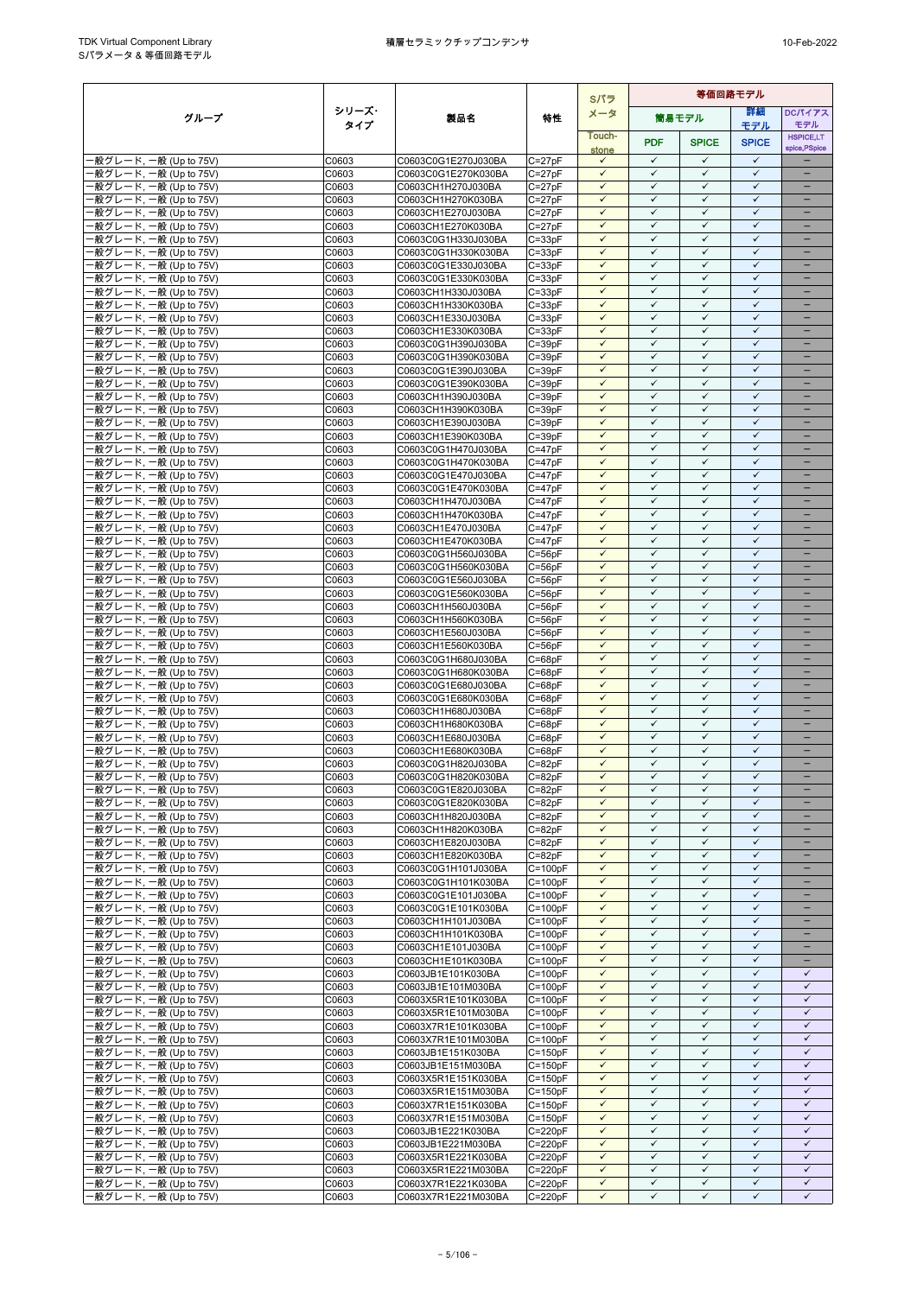|                                                  |                |                                            |                            | Sパラ                          | 等価回路モデル                      |                              |                              |                              |
|--------------------------------------------------|----------------|--------------------------------------------|----------------------------|------------------------------|------------------------------|------------------------------|------------------------------|------------------------------|
| グループ                                             | シリーズ・          | 製品名                                        | 特性                         | メータ                          |                              | 簡易モデル                        | 詳細                           | <b>DCパイアス</b>                |
|                                                  | タイプ            |                                            |                            | Touch-                       |                              |                              | モデル                          | モデル<br><b>HSPICE,LT</b>      |
|                                                  |                |                                            |                            | stone                        | <b>PDF</b>                   | <b>SPICE</b>                 | <b>SPICE</b>                 | spice, PSpice                |
| -般グレード, 一般 (Up to 75V)                           | C0603          | C0603C0G1E270J030BA                        | $C = 27pF$                 | $\checkmark$                 | $\checkmark$                 | $\checkmark$                 | $\checkmark$                 |                              |
| -般グレード, 一般 (Up to 75V)                           | C0603          | C0603C0G1E270K030BA                        | $C = 27pF$                 | $\checkmark$                 | $\checkmark$                 | $\checkmark$                 | $\checkmark$                 | $\equiv$                     |
| ·般グレード, 一般 (Up to 75V)<br>-般グレード, 一般 (Up to 75V) | C0603<br>C0603 | C0603CH1H270J030BA<br>C0603CH1H270K030BA   | $C = 27pF$<br>$C = 27pF$   | $\checkmark$<br>$\checkmark$ | $\checkmark$<br>$\checkmark$ | $\checkmark$<br>$\checkmark$ | $\checkmark$<br>$\checkmark$ | -<br>$\qquad \qquad -$       |
| ·般グレード, 一般 (Up to 75V)                           | C0603          | C0603CH1E270J030BA                         | $C = 27pF$                 | $\checkmark$                 | $\checkmark$                 | $\checkmark$                 | ✓                            | -                            |
| -般グレード, 一般 (Up to 75V)                           | C0603          | C0603CH1E270K030BA                         | $C = 27pF$                 | $\checkmark$                 | $\checkmark$                 | ✓                            | $\checkmark$                 |                              |
| -般グレード, 一般 (Up to 75V)                           | C0603          | C0603C0G1H330J030BA                        | $C = 33pF$                 | $\checkmark$                 | $\checkmark$                 | $\checkmark$                 | $\checkmark$                 | ۳                            |
| -般グレード, 一般 (Up to 75V)                           | C0603          | C0603C0G1H330K030BA                        | $C = 33pF$                 | $\checkmark$                 | $\checkmark$                 | $\checkmark$                 | $\checkmark$                 |                              |
| -般グレード, 一般 (Up to 75V)                           | C0603          | C0603C0G1E330J030BA                        | $C = 33pF$                 | $\checkmark$                 | $\checkmark$                 | $\checkmark$                 | $\checkmark$<br>$\checkmark$ | $\equiv$                     |
| -般グレード, 一般 (Up to 75V)<br>-般グレード, 一般 (Up to 75V) | C0603<br>C0603 | C0603C0G1E330K030BA<br>C0603CH1H330J030BA  | $C = 33pF$<br>$C = 33pF$   | $\checkmark$<br>$\checkmark$ | $\checkmark$<br>$\checkmark$ | $\checkmark$<br>$\checkmark$ | $\checkmark$                 | $\qquad \qquad -$            |
| -般グレード, 一般 (Up to 75V)                           | C0603          | C0603CH1H330K030BA                         | $C = 33pF$                 | $\checkmark$                 | $\checkmark$                 | $\checkmark$                 | $\checkmark$                 |                              |
| ·般グレード, 一般 (Up to 75V)                           | C0603          | C0603CH1E330J030BA                         | $C = 33pF$                 | $\checkmark$                 | $\checkmark$                 | $\checkmark$                 | $\checkmark$                 |                              |
| ·般グレード, 一般 (Up to 75V)                           | C0603          | C0603CH1E330K030BA                         | $C = 33pF$                 | $\checkmark$                 | $\checkmark$                 | $\checkmark$                 | $\checkmark$                 |                              |
| ·般グレード, 一般 (Up to 75V)                           | C0603          | C0603C0G1H390J030BA                        | $C = 39pF$                 | $\checkmark$                 | $\checkmark$                 | $\checkmark$                 | $\checkmark$                 | $\overline{\phantom{0}}$     |
| -般グレード, 一般 (Up to 75V)                           | C0603          | C0603C0G1H390K030BA                        | $C = 39pF$                 | $\checkmark$                 | $\checkmark$                 | $\checkmark$                 | $\checkmark$                 | -                            |
| -般グレード, 一般 (Up to 75V)<br>-般グレード, 一般 (Up to 75V) | C0603<br>C0603 | C0603C0G1E390J030BA<br>C0603C0G1E390K030BA | $C = 39pF$<br>$C = 39pF$   | $\checkmark$<br>$\checkmark$ | $\checkmark$<br>$\checkmark$ | $\checkmark$<br>$\checkmark$ | $\checkmark$<br>$\checkmark$ | -                            |
| ·般グレード, 一般 (Up to 75V)                           | C0603          | C0603CH1H390J030BA                         | $C = 39pF$                 | $\checkmark$                 | $\checkmark$                 | $\checkmark$                 | $\checkmark$                 |                              |
| ·般グレード, 一般 (Up to 75V)                           | C0603          | C0603CH1H390K030BA                         | $C = 39pF$                 | $\checkmark$                 | $\checkmark$                 | $\checkmark$                 | $\checkmark$                 |                              |
| ·般グレード, 一般 (Up to 75V)                           | C0603          | C0603CH1E390J030BA                         | $C = 39pF$                 | $\checkmark$                 | $\checkmark$                 | $\checkmark$                 | $\checkmark$                 | ÷                            |
| ·般グレード, 一般 (Up to 75V)                           | C0603          | C0603CH1E390K030BA                         | $C = 39pF$                 | $\checkmark$                 | $\checkmark$                 | $\checkmark$                 | $\checkmark$                 | -                            |
| -般グレード, 一般 (Up to 75V)                           | C0603          | C0603C0G1H470J030BA                        | $C = 47pF$                 | $\checkmark$                 | $\checkmark$                 | $\checkmark$                 | $\checkmark$                 | $\overline{\phantom{0}}$     |
| -般グレード, 一般 (Up to 75V)                           | C0603<br>C0603 | C0603C0G1H470K030BA<br>C0603C0G1E470J030BA | $C = 47pF$<br>$C = 47pF$   | $\checkmark$<br>$\checkmark$ | $\checkmark$<br>$\checkmark$ | $\checkmark$<br>$\checkmark$ | $\checkmark$<br>$\checkmark$ | -                            |
| ·般グレード, 一般 (Up to 75V)<br>-般グレード, 一般 (Up to 75V) | C0603          | C0603C0G1E470K030BA                        | $C = 47pF$                 | $\checkmark$                 | $\checkmark$                 | $\checkmark$                 | $\checkmark$                 | ÷,                           |
| -般グレード, 一般 (Up to 75V)                           | C0603          | C0603CH1H470J030BA                         | $C = 47pF$                 | $\checkmark$                 | $\checkmark$                 | $\checkmark$                 | $\checkmark$                 | ÷                            |
| ·般グレード, 一般 (Up to 75V)                           | C0603          | C0603CH1H470K030BA                         | $C = 47pF$                 | $\checkmark$                 | $\checkmark$                 | $\checkmark$                 | $\checkmark$                 | $\equiv$                     |
| -般グレード, 一般 (Up to 75V)                           | C0603          | C0603CH1E470J030BA                         | $C = 47pF$                 | $\checkmark$                 | $\checkmark$                 | $\checkmark$                 | $\checkmark$                 | $\overline{\phantom{a}}$     |
| -般グレード, 一般 (Up to 75V)                           | C0603          | C0603CH1E470K030BA                         | $C = 47pF$                 | ✓                            | ✓                            | $\checkmark$                 | ✓                            |                              |
| -般グレード, 一般 (Up to 75V)<br>·般グレード, 一般 (Up to 75V) | C0603<br>C0603 | C0603C0G1H560J030BA<br>C0603C0G1H560K030BA | $C = 56pF$<br>$C = 56pF$   | $\checkmark$<br>$\checkmark$ | $\checkmark$<br>$\checkmark$ | $\checkmark$<br>$\checkmark$ | $\checkmark$<br>$\checkmark$ | -<br>۳                       |
| 般グレード, 一般 (Up to 75V)                            | C0603          | C0603C0G1E560J030BA                        | $C = 56pF$                 | $\checkmark$                 | $\checkmark$                 | $\checkmark$                 | $\checkmark$                 |                              |
| -般グレード, 一般 (Up to 75V)                           | C0603          | C0603C0G1E560K030BA                        | $C = 56pF$                 | $\checkmark$                 | $\checkmark$                 | $\checkmark$                 | $\checkmark$                 | $\overline{\phantom{0}}$     |
| -般グレード, 一般 (Up to 75V)                           | C0603          | C0603CH1H560J030BA                         | $C = 56pF$                 | $\checkmark$                 | $\checkmark$                 | $\checkmark$                 | $\checkmark$                 | -                            |
| ·般グレード, 一般 (Up to 75V)                           | C0603          | C0603CH1H560K030BA                         | $C = 56pF$                 | $\checkmark$                 | $\checkmark$                 | $\checkmark$                 | $\checkmark$                 | -                            |
| -般グレード, 一般 (Up to 75V)                           | C0603          | C0603CH1E560J030BA                         | $C = 56pF$                 | $\checkmark$                 | $\checkmark$                 | $\checkmark$                 | $\checkmark$                 |                              |
| -般グレード, 一般 (Up to 75V)                           | C0603<br>C0603 | C0603CH1E560K030BA<br>C0603C0G1H680J030BA  | $C = 56pF$<br>$C = 68pF$   | $\checkmark$<br>$\checkmark$ | $\checkmark$<br>$\checkmark$ | $\checkmark$<br>$\checkmark$ | $\checkmark$<br>$\checkmark$ | -                            |
| ·般グレード, 一般 (Up to 75V)<br>-般グレード, 一般 (Up to 75V) | C0603          | C0603C0G1H680K030BA                        | $C = 68pF$                 | $\checkmark$                 | $\checkmark$                 | $\checkmark$                 | $\checkmark$                 | $\overline{\phantom{0}}$     |
| -般グレード, 一般 (Up to 75V)                           | C0603          | C0603C0G1E680J030BA                        | $C = 68pF$                 | $\checkmark$                 | $\checkmark$                 | $\checkmark$                 | $\checkmark$                 | -                            |
| -般グレード, 一般 (Up to 75V)                           | C0603          | C0603C0G1E680K030BA                        | $C = 68pF$                 | $\checkmark$                 | $\checkmark$                 | $\checkmark$                 | $\checkmark$                 | -                            |
| -般グレード, 一般 (Up to 75V)                           | C0603          | C0603CH1H680J030BA                         | $C = 68pF$                 | $\checkmark$                 | $\checkmark$                 | $\checkmark$                 | $\checkmark$                 | -                            |
| ·般グレード, 一般 (Up to 75V)                           | C0603          | C0603CH1H680K030BA                         | $C = 68pF$                 | $\checkmark$                 | $\checkmark$                 | $\checkmark$                 | $\checkmark$                 |                              |
| -般グレード, 一般 (Up to 75V)<br>-般グレード, 一般 (Up to 75V) | C0603<br>C0603 | C0603CH1E680J030BA<br>C0603CH1E680K030BA   | $C = 68pF$<br>$C = 68pF$   | $\checkmark$<br>$\checkmark$ | $\checkmark$<br>$\checkmark$ | $\checkmark$<br>$\checkmark$ | $\checkmark$<br>$\checkmark$ | ۳<br>÷                       |
| ·般グレード, 一般 (Up to 75V)                           | C0603          | C0603C0G1H820J030BA                        | $C = 82pF$                 | $\checkmark$                 | $\checkmark$                 | $\checkmark$                 | $\checkmark$                 | -                            |
| ·般グレード, 一般 (Up to 75V)                           | C0603          | C0603C0G1H820K030BA                        | $C = 82pF$                 | $\checkmark$                 | $\checkmark$                 | $\checkmark$                 | $\checkmark$                 | -                            |
| -般グレード, 一般 (Up to 75V)                           | C0603          | C0603C0G1E820J030BA                        | $C = 82pF$                 | $\checkmark$                 | $\checkmark$                 | $\checkmark$                 | $\checkmark$                 |                              |
| -般グレード, 一般 (Up to 75V)                           | C0603          | C0603C0G1E820K030BA                        | $C = 82pF$                 | $\checkmark$                 | $\checkmark$                 | $\checkmark$                 | $\checkmark$                 |                              |
| -般グレード, 一般 (Up to 75V)                           | C0603          | C0603CH1H820J030BA                         | $C = 82pF$                 | $\checkmark$                 | $\checkmark$                 | $\checkmark$                 | $\checkmark$                 | $\equiv$                     |
| -般グレード, 一般 (Up to 75V)                           | C0603          | C0603CH1H820K030BA                         | $C = 82pF$                 | $\checkmark$<br>$\checkmark$ | $\checkmark$<br>$\checkmark$ | $\checkmark$<br>$\checkmark$ | $\checkmark$<br>$\checkmark$ |                              |
| -般グレード, 一般 (Up to 75V)<br>-般グレード, 一般 (Up to 75V) | C0603<br>C0603 | C0603CH1E820J030BA<br>C0603CH1E820K030BA   | $C = 82pF$<br>$C = 82pF$   | $\checkmark$                 | $\checkmark$                 | $\checkmark$                 | ✓                            | -                            |
| -般グレード, 一般 (Up to 75V)                           | C0603          | C0603C0G1H101J030BA                        | $C = 100pF$                | $\checkmark$                 | $\checkmark$                 | $\checkmark$                 | $\checkmark$                 | -                            |
| -般グレード, 一般 (Up to 75V)                           | C0603          | C0603C0G1H101K030BA                        | $C = 100pF$                | $\checkmark$                 | $\checkmark$                 | $\checkmark$                 | $\checkmark$                 |                              |
| -般グレード, 一般 (Up to 75V)                           | C0603          | C0603C0G1E101J030BA                        | $C = 100pF$                | $\checkmark$                 | $\checkmark$                 | $\checkmark$                 | $\checkmark$                 |                              |
| ·般グレード, 一般 (Up to 75V)                           | C0603          | C0603C0G1E101K030BA                        | $C = 100pF$                | $\checkmark$                 | $\checkmark$                 | $\checkmark$                 | $\checkmark$                 | $\overline{\phantom{0}}$     |
| -般グレード, 一般 (Up to 75V)<br>-般グレード, 一般 (Up to 75V) | C0603<br>C0603 | C0603CH1H101J030BA<br>C0603CH1H101K030BA   | $C = 100pF$<br>$C = 100pF$ | $\checkmark$<br>$\checkmark$ | $\checkmark$<br>$\checkmark$ | $\checkmark$<br>$\checkmark$ | $\checkmark$<br>$\checkmark$ | -                            |
| -般グレード, 一般 (Up to 75V)                           | C0603          | C0603CH1E101J030BA                         | $C=100pF$                  | $\checkmark$                 | ✓                            | $\checkmark$                 | ✓                            |                              |
| -般グレード, 一般 (Up to 75V)                           | C0603          | C0603CH1E101K030BA                         | $C = 100pF$                | $\checkmark$                 | $\checkmark$                 | $\checkmark$                 | $\checkmark$                 | -                            |
| ·般グレード, 一般 (Up to 75V)                           | C0603          | C0603JB1E101K030BA                         | $C=100pF$                  | $\checkmark$                 | $\checkmark$                 | $\checkmark$                 | $\checkmark$                 | ✓                            |
| -般グレード, 一般 (Up to 75V)                           | C0603          | C0603JB1E101M030BA                         | $C = 100pF$                | $\checkmark$                 | ✓                            | $\checkmark$                 | $\checkmark$                 | $\checkmark$                 |
| -般グレード, 一般 (Up to 75V)                           | C0603          | C0603X5R1E101K030BA                        | $C = 100pF$                | $\checkmark$                 | $\checkmark$                 | $\checkmark$                 | $\checkmark$                 | $\checkmark$                 |
| ·般グレード, 一般 (Up to 75V)<br>-般グレード, 一般 (Up to 75V) | C0603<br>C0603 | C0603X5R1E101M030BA<br>C0603X7R1E101K030BA | $C=100pF$<br>$C = 100pF$   | $\checkmark$<br>$\checkmark$ | $\checkmark$<br>$\checkmark$ | $\checkmark$<br>$\checkmark$ | $\checkmark$<br>$\checkmark$ | $\checkmark$<br>$\checkmark$ |
| -般グレード, 一般 (Up to 75V)                           | C0603          | C0603X7R1E101M030BA                        | $C = 100pF$                | $\checkmark$                 | $\checkmark$                 | $\checkmark$                 | $\checkmark$                 | $\checkmark$                 |
| ·般グレード, 一般 (Up to 75V)                           | C0603          | C0603JB1E151K030BA                         | $C = 150pF$                | $\checkmark$                 | $\checkmark$                 | $\checkmark$                 | $\checkmark$                 | $\checkmark$                 |
| ·般グレード, 一般 (Up to 75V)                           | C0603          | C0603JB1E151M030BA                         | $C = 150pF$                | $\checkmark$                 | $\checkmark$                 | $\checkmark$                 | $\checkmark$                 | $\checkmark$                 |
| 般グレード, 一般 (Up to 75V)                            | C0603          | C0603X5R1E151K030BA                        | $C = 150pF$                | $\checkmark$                 | $\checkmark$                 | $\checkmark$                 | $\checkmark$                 | $\checkmark$                 |
| ·般グレード, 一般 (Up to 75V)                           | C0603          | C0603X5R1E151M030BA                        | $C = 150pF$                | $\checkmark$                 | $\checkmark$                 | $\checkmark$                 | $\checkmark$                 | $\checkmark$                 |
| -般グレード, 一般 (Up to 75V)<br>-般グレード, 一般 (Up to 75V) | C0603<br>C0603 | C0603X7R1E151K030BA<br>C0603X7R1E151M030BA | $C = 150pF$<br>$C = 150pF$ | $\checkmark$<br>$\checkmark$ | $\checkmark$<br>$\checkmark$ | $\checkmark$<br>$\checkmark$ | $\checkmark$<br>$\checkmark$ | $\checkmark$<br>✓            |
| -般グレード, 一般 (Up to 75V)                           | C0603          | C0603JB1E221K030BA                         | $C = 220pF$                | $\checkmark$                 | $\checkmark$                 | $\checkmark$                 | $\checkmark$                 | $\checkmark$                 |
| -般グレード, 一般 (Up to 75V)                           | C0603          | C0603JB1E221M030BA                         | $C = 220pF$                | $\checkmark$                 | $\checkmark$                 | $\checkmark$                 | $\checkmark$                 | $\checkmark$                 |
| ·般グレード, 一般 (Up to 75V)                           | C0603          | C0603X5R1E221K030BA                        | $C = 220pF$                | $\checkmark$                 | ✓                            | $\checkmark$                 | $\checkmark$                 | $\checkmark$                 |
| -般グレード, 一般 (Up to 75V)                           | C0603          | C0603X5R1E221M030BA                        | $C = 220pF$                | $\checkmark$                 | $\checkmark$                 | $\checkmark$                 | $\checkmark$                 | $\checkmark$                 |
| ·般グレード, 一般 (Up to 75V)                           | C0603          | C0603X7R1E221K030BA                        | $C = 220pF$                | $\checkmark$                 | $\checkmark$                 | $\checkmark$                 | $\checkmark$                 | $\checkmark$                 |
| -般グレード, 一般 (Up to 75V)                           | C0603          | C0603X7R1E221M030BA                        | C=220pF                    | $\checkmark$                 | ✓                            | $\checkmark$                 | ✓                            | ✓                            |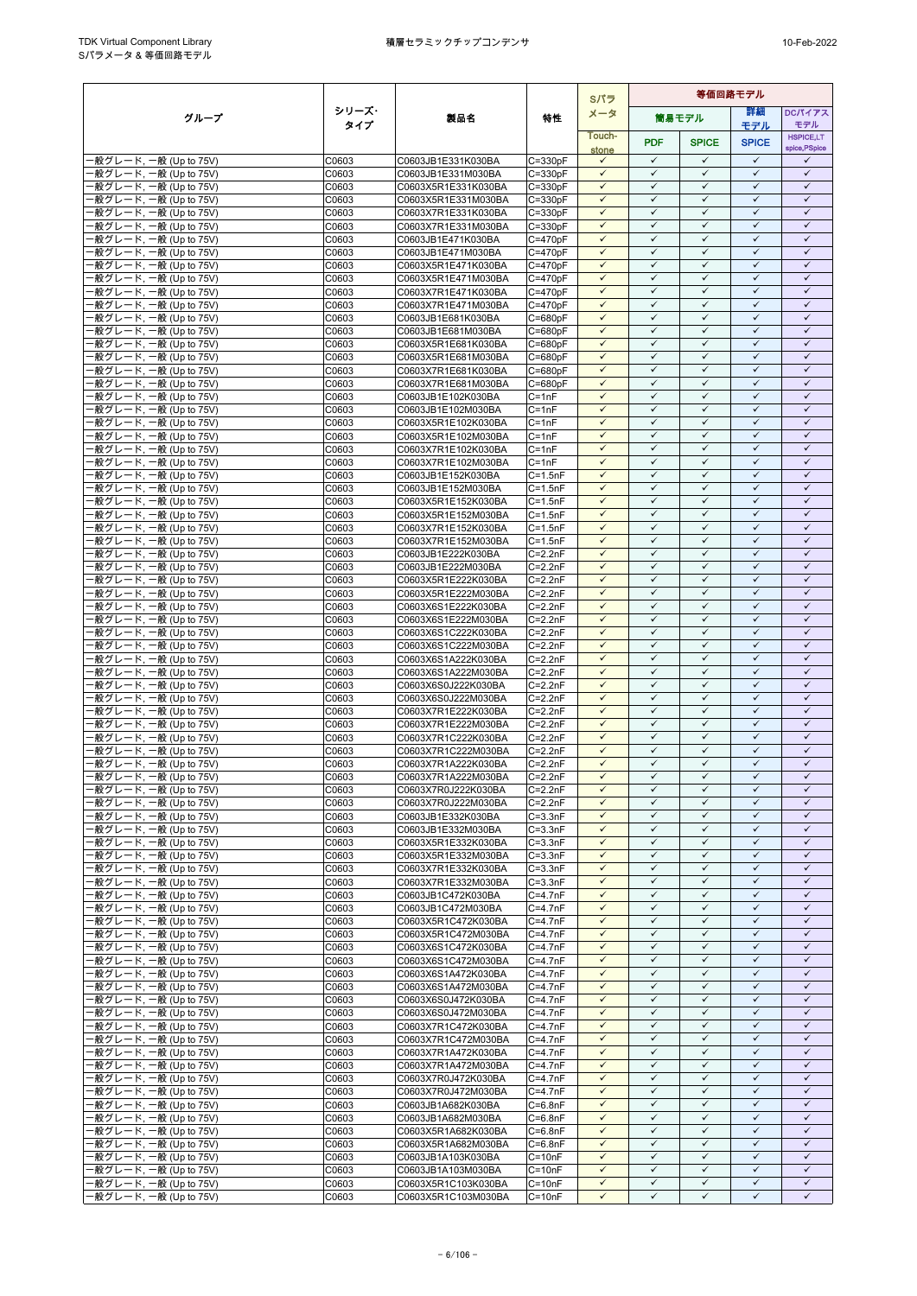|                                                  |                |                                            |                            | Sパラ                          | 等価回路モデル                      |                              |                              |                              |  |
|--------------------------------------------------|----------------|--------------------------------------------|----------------------------|------------------------------|------------------------------|------------------------------|------------------------------|------------------------------|--|
| グループ                                             | シリーズ・          | 製品名                                        | 特性                         | メータ                          |                              | 筒易モデル                        | 詳細                           | DCパイアス                       |  |
|                                                  | タイプ            |                                            |                            | Touch-                       |                              |                              | モデル                          | モデル<br><b>HSPICE,LT</b>      |  |
|                                                  |                |                                            |                            | stone                        | <b>PDF</b>                   | <b>SPICE</b>                 | <b>SPICE</b>                 | spice, PSpice                |  |
| -般グレード, 一般 (Up to 75V)                           | C0603          | C0603JB1E331K030BA                         | $C = 330pF$                | $\checkmark$                 | $\checkmark$                 | $\checkmark$                 | $\checkmark$                 | ✓                            |  |
| -般グレード, 一般 (Up to 75V)                           | C0603          | C0603JB1E331M030BA                         | $C = 330pF$                | $\checkmark$                 | $\checkmark$                 | $\checkmark$                 | $\checkmark$                 | $\checkmark$                 |  |
| ·般グレード, 一般 (Up to 75V)                           | C0603          | C0603X5R1E331K030BA                        | $C = 330pF$                | $\checkmark$<br>$\checkmark$ | $\checkmark$<br>$\checkmark$ | $\checkmark$<br>$\checkmark$ | $\checkmark$<br>$\checkmark$ | $\checkmark$<br>$\checkmark$ |  |
| -般グレード, 一般 (Up to 75V)<br>·般グレード, 一般 (Up to 75V) | C0603<br>C0603 | C0603X5R1E331M030BA<br>C0603X7R1E331K030BA | $C = 330pF$<br>$C = 330pF$ | $\checkmark$                 | $\checkmark$                 | $\checkmark$                 | $\checkmark$                 | $\checkmark$                 |  |
| -般グレード, 一般 (Up to 75V)                           | C0603          | C0603X7R1E331M030BA                        | $C = 330pF$                | $\checkmark$                 | $\checkmark$                 | ✓                            | $\checkmark$                 | $\checkmark$                 |  |
| 般グレード, 一般 (Up to 75V)                            | C0603          | C0603JB1E471K030BA                         | $C = 470pF$                | $\checkmark$                 | $\checkmark$                 | $\checkmark$                 | $\checkmark$                 | $\checkmark$                 |  |
| -般グレード, 一般 (Up to 75V)                           | C0603          | C0603JB1E471M030BA                         | $C = 470pF$                | $\checkmark$                 | $\checkmark$                 | $\checkmark$                 | $\checkmark$                 | $\checkmark$                 |  |
| ·般グレード, 一般 (Up to 75V)                           | C0603          | C0603X5R1E471K030BA                        | $C = 470pF$                | $\checkmark$                 | $\checkmark$                 | $\checkmark$                 | $\checkmark$                 | $\checkmark$                 |  |
| -般グレード, 一般 (Up to 75V)                           | C0603          | C0603X5R1E471M030BA                        | $C = 470pF$                | $\checkmark$                 | $\checkmark$                 | $\checkmark$                 | $\checkmark$                 | $\checkmark$                 |  |
| ·般グレード, 一般 (Up to 75V)<br>·般グレード, 一般 (Up to 75V) | C0603<br>C0603 | C0603X7R1E471K030BA<br>C0603X7R1E471M030BA | $C = 470pF$<br>$C = 470pF$ | $\checkmark$<br>$\checkmark$ | ✓<br>$\checkmark$            | ✓<br>$\checkmark$            | ✓<br>$\checkmark$            | ✓<br>$\checkmark$            |  |
| ·般グレード, 一般 (Up to 75V)                           | C0603          | C0603JB1E681K030BA                         | C=680pF                    | $\checkmark$                 | $\checkmark$                 | $\checkmark$                 | $\checkmark$                 | $\checkmark$                 |  |
| ·般グレード, 一般 (Up to 75V)                           | C0603          | C0603JB1E681M030BA                         | $C = 680pF$                | $\checkmark$                 | $\checkmark$                 | $\checkmark$                 | $\checkmark$                 | $\checkmark$                 |  |
| ·般グレード, 一般 (Up to 75V)                           | C0603          | C0603X5R1E681K030BA                        | $C = 680pF$                | $\checkmark$                 | $\checkmark$                 | $\checkmark$                 | $\checkmark$                 | $\checkmark$                 |  |
| ·般グレード, 一般 (Up to 75V)                           | C0603          | C0603X5R1E681M030BA                        | $C = 680pF$                | $\checkmark$                 | $\checkmark$                 | $\checkmark$                 | $\checkmark$                 | $\checkmark$                 |  |
| ·般グレード, 一般 (Up to 75V)                           | C0603          | C0603X7R1E681K030BA                        | $C = 680pF$                | $\checkmark$<br>$\checkmark$ | $\checkmark$<br>$\checkmark$ | $\checkmark$<br>$\checkmark$ | $\checkmark$<br>$\checkmark$ | $\checkmark$<br>$\checkmark$ |  |
| ·般グレード, 一般 (Up to 75V)<br>·般グレード, 一般 (Up to 75V) | C0603<br>C0603 | C0603X7R1E681M030BA<br>C0603JB1E102K030BA  | $C = 680pF$<br>$C = 1nF$   | $\checkmark$                 | $\checkmark$                 | $\checkmark$                 | $\checkmark$                 | $\checkmark$                 |  |
| ·般グレード, 一般 (Up to 75V)                           | C0603          | C0603JB1E102M030BA                         | $C = 1nF$                  | $\checkmark$                 | $\checkmark$                 | $\checkmark$                 | $\checkmark$                 | $\checkmark$                 |  |
| ·般グレード, 一般 (Up to 75V)                           | C0603          | C0603X5R1E102K030BA                        | $C = 1nF$                  | $\checkmark$                 | $\checkmark$                 | $\checkmark$                 | $\checkmark$                 | $\checkmark$                 |  |
| ·般グレード, 一般 (Up to 75V)                           | C0603          | C0603X5R1E102M030BA                        | $C = 1nF$                  | $\checkmark$                 | $\checkmark$                 | $\checkmark$                 | $\checkmark$                 | $\checkmark$                 |  |
| -般グレード, 一般 (Up to 75V)                           | C0603          | C0603X7R1E102K030BA                        | $C = 1nF$                  | $\checkmark$                 | $\checkmark$                 | $\checkmark$                 | $\checkmark$                 | $\checkmark$                 |  |
| -般グレード, 一般 (Up to 75V)                           | C0603          | C0603X7R1E102M030BA                        | $C = 1nF$                  | $\checkmark$<br>$\checkmark$ | $\checkmark$<br>$\checkmark$ | $\checkmark$<br>$\checkmark$ | $\checkmark$<br>$\checkmark$ | $\checkmark$<br>$\checkmark$ |  |
| ·般グレード, 一般 (Up to 75V)<br>般グレード, 一般 (Up to 75V)  | C0603<br>C0603 | C0603JB1E152K030BA<br>C0603JB1E152M030BA   | $C = 1.5nF$<br>$C = 1.5nF$ | $\checkmark$                 | $\checkmark$                 | $\checkmark$                 | $\checkmark$                 | $\checkmark$                 |  |
| -般グレード, 一般 (Up to 75V)                           | C0603          | C0603X5R1E152K030BA                        | $C = 1.5nF$                | $\checkmark$                 | $\checkmark$                 | $\checkmark$                 | $\checkmark$                 | $\checkmark$                 |  |
| -般グレード, 一般 (Up to 75V)                           | C0603          | C0603X5R1E152M030BA                        | $C = 1.5nF$                | $\checkmark$                 | $\checkmark$                 | $\checkmark$                 | $\checkmark$                 | $\checkmark$                 |  |
| ·般グレード, 一般 (Up to 75V)                           | C0603          | C0603X7R1E152K030BA                        | $C = 1.5nF$                | $\checkmark$                 | $\checkmark$                 | $\checkmark$                 | $\checkmark$                 | $\checkmark$                 |  |
| ·般グレード, 一般 (Up to 75V)                           | C0603          | C0603X7R1E152M030BA                        | $C = 1.5nF$                | $\checkmark$                 | $\checkmark$                 | ✓                            | $\checkmark$                 | $\checkmark$                 |  |
| ·般グレード, 一般 (Up to 75V)                           | C0603          | C0603JB1E222K030BA                         | $C=2.2nF$                  | $\checkmark$<br>$\checkmark$ | $\checkmark$<br>$\checkmark$ | $\checkmark$<br>$\checkmark$ | $\checkmark$<br>$\checkmark$ | $\checkmark$<br>$\checkmark$ |  |
| ·般グレード, 一般 (Up to 75V)<br>·般グレード, 一般 (Up to 75V) | C0603<br>C0603 | C0603JB1E222M030BA<br>C0603X5R1E222K030BA  | $C = 2.2nF$<br>$C = 2.2nF$ | $\checkmark$                 | $\checkmark$                 | $\checkmark$                 | $\checkmark$                 | $\checkmark$                 |  |
| ·般グレード, 一般 (Up to 75V)                           | C0603          | C0603X5R1E222M030BA                        | $C = 2.2nF$                | $\checkmark$                 | $\checkmark$                 | $\checkmark$                 | $\checkmark$                 | $\checkmark$                 |  |
| -般グレード, 一般 (Up to 75V)                           | C0603          | C0603X6S1E222K030BA                        | $C = 2.2nF$                | $\checkmark$                 | $\checkmark$                 | $\checkmark$                 | $\checkmark$                 | $\checkmark$                 |  |
| ·般グレード, 一般 (Up to 75V)                           | C0603          | C0603X6S1E222M030BA                        | $C = 2.2nF$                | $\checkmark$                 | $\checkmark$                 | $\checkmark$                 | $\checkmark$                 | $\checkmark$                 |  |
| ·般グレード, 一般 (Up to 75V)                           | C0603          | C0603X6S1C222K030BA                        | $C = 2.2nF$                | $\checkmark$                 | $\checkmark$                 | $\checkmark$                 | $\checkmark$                 | $\checkmark$                 |  |
| -般グレード, 一般 (Up to 75V)                           | C0603          | C0603X6S1C222M030BA                        | $C = 2.2nF$                | $\checkmark$<br>$\checkmark$ | $\checkmark$<br>$\checkmark$ | $\checkmark$<br>$\checkmark$ | $\checkmark$<br>$\checkmark$ | $\checkmark$<br>$\checkmark$ |  |
| ·般グレード, 一般 (Up to 75V)<br>-般グレード, 一般 (Up to 75V) | C0603<br>C0603 | C0603X6S1A222K030BA<br>C0603X6S1A222M030BA | $C = 2.2nF$<br>$C = 2.2nF$ | $\checkmark$                 | $\checkmark$                 | $\checkmark$                 | $\checkmark$                 | $\checkmark$                 |  |
| ·般グレード, 一般 (Up to 75V)                           | C0603          | C0603X6S0J222K030BA                        | $C = 2.2nF$                | $\checkmark$                 | $\checkmark$                 | $\checkmark$                 | $\checkmark$                 | $\checkmark$                 |  |
| -般グレード, 一般 (Up to 75V)                           | C0603          | C0603X6S0J222M030BA                        | $C = 2.2nF$                | $\checkmark$                 | $\checkmark$                 | $\checkmark$                 | $\checkmark$                 | $\checkmark$                 |  |
| ·般グレード, 一般 (Up to 75V)                           | C0603          | C0603X7R1E222K030BA                        | $C=2.2nF$                  | $\checkmark$                 | $\checkmark$                 | $\checkmark$                 | $\checkmark$                 | $\checkmark$                 |  |
| ·般グレード, 一般 (Up to 75V)                           | C0603          | C0603X7R1E222M030BA                        | $C = 2.2nF$                | $\checkmark$                 | $\checkmark$                 | $\checkmark$                 | $\checkmark$                 | $\checkmark$                 |  |
| -般グレード, 一般 (Up to 75V)                           | C0603          | C0603X7R1C222K030BA                        | $C=2.2nF$                  | $\checkmark$<br>$\checkmark$ | $\checkmark$<br>$\checkmark$ | $\checkmark$<br>$\checkmark$ | $\checkmark$<br>$\checkmark$ | $\checkmark$<br>$\checkmark$ |  |
| -般グレード, 一般 (Up to 75V)<br>·般グレード, 一般 (Up to 75V) | C0603<br>C0603 | C0603X7R1C222M030BA<br>C0603X7R1A222K030BA | $C = 2.2nF$<br>$C = 2.2nF$ | $\checkmark$                 | $\checkmark$                 | $\checkmark$                 | $\checkmark$                 | $\checkmark$                 |  |
| ·般グレード, 一般 (Up to 75V)                           | C0603          | C0603X7R1A222M030BA                        | $C=2.2nF$                  | $\checkmark$                 | $\checkmark$                 | $\checkmark$                 | $\checkmark$                 | $\checkmark$                 |  |
| -般グレード, 一般 (Up to 75V)                           | C0603          | C0603X7R0J222K030BA                        | $C=2.2nF$                  | $\checkmark$                 | $\checkmark$                 | $\checkmark$                 | $\checkmark$                 | $\checkmark$                 |  |
| -般グレード, 一般 (Up to 75V)                           | C0603          | C0603X7R0J222M030BA                        | $C = 2.2nF$                | $\checkmark$                 | $\checkmark$                 | $\checkmark$                 | $\checkmark$                 | $\checkmark$                 |  |
| -般グレード, 一般 (Up to 75V)                           | C0603          | C0603JB1E332K030BA                         | $C = 3.3nF$                | $\checkmark$                 | $\checkmark$                 | $\checkmark$                 | $\checkmark$                 | $\checkmark$                 |  |
| -般グレード, 一般 (Up to 75V)                           | C0603          | C0603JB1E332M030BA                         | $C = 3.3nF$                | $\checkmark$                 | $\checkmark$                 | $\checkmark$                 | $\checkmark$<br>$\checkmark$ | ✓                            |  |
| -般グレード, 一般 (Up to 75V)<br>-般グレード, 一般 (Up to 75V) | C0603<br>C0603 | C0603X5R1E332K030BA<br>C0603X5R1E332M030BA | $C = 3.3nF$<br>$C = 3.3nF$ | $\checkmark$<br>$\checkmark$ | $\checkmark$<br>$\checkmark$ | $\checkmark$<br>$\checkmark$ | $\checkmark$                 | $\checkmark$<br>$\checkmark$ |  |
| ·般グレード, 一般 (Up to 75V)                           | C0603          | C0603X7R1E332K030BA                        | $C = 3.3nF$                | $\checkmark$                 | $\checkmark$                 | $\checkmark$                 | $\checkmark$                 | $\checkmark$                 |  |
| ·般グレード, 一般 (Up to 75V)                           | C0603          | C0603X7R1E332M030BA                        | $C = 3.3nF$                | $\checkmark$                 | $\checkmark$                 | $\checkmark$                 | $\checkmark$                 | $\checkmark$                 |  |
| -般グレード, 一般 (Up to 75V)                           | C0603          | C0603JB1C472K030BA                         | $C = 4.7nF$                | $\checkmark$                 | $\checkmark$                 | $\checkmark$                 | $\checkmark$                 | $\checkmark$                 |  |
| ·般グレード, 一般 (Up to 75V)                           | C0603          | C0603JB1C472M030BA                         | $C=4.7nF$                  | $\checkmark$                 | $\checkmark$                 | $\checkmark$                 | $\checkmark$                 | $\checkmark$                 |  |
| -般グレード, 一般 (Up to 75V)                           | C0603          | C0603X5R1C472K030BA                        | $C = 4.7nF$                | $\checkmark$<br>$\checkmark$ | $\checkmark$<br>$\checkmark$ | $\checkmark$<br>$\checkmark$ | $\checkmark$<br>$\checkmark$ | $\checkmark$<br>$\checkmark$ |  |
| ·般グレード, 一般 (Up to 75V)<br>·般グレード, 一般 (Up to 75V) | C0603<br>C0603 | C0603X5R1C472M030BA<br>C0603X6S1C472K030BA | $C = 4.7nF$<br>$C=4.7nF$   | $\checkmark$                 | $\checkmark$                 | ✓                            | ✓                            | $\checkmark$                 |  |
| ·般グレード, 一般 (Up to 75V)                           | C0603          | C0603X6S1C472M030BA                        | $C = 4.7nF$                | $\checkmark$                 | $\checkmark$                 | $\checkmark$                 | $\checkmark$                 | $\checkmark$                 |  |
| ·般グレード, 一般 (Up to 75V)                           | C0603          | C0603X6S1A472K030BA                        | $C = 4.7nF$                | $\checkmark$                 | $\checkmark$                 | $\checkmark$                 | $\checkmark$                 | $\checkmark$                 |  |
| 般グレード, 一般 (Up to 75V)                            | C0603          | C0603X6S1A472M030BA                        | $C=4.7nF$                  | $\checkmark$                 | $\checkmark$                 | $\checkmark$                 | $\checkmark$                 | $\checkmark$                 |  |
| -般グレード, 一般 (Up to 75V)                           | C0603          | C0603X6S0J472K030BA                        | $C = 4.7nF$                | $\checkmark$                 | $\checkmark$                 | $\checkmark$                 | $\checkmark$                 | $\checkmark$                 |  |
| ·般グレード, 一般 (Up to 75V)                           | C0603          | C0603X6S0J472M030BA                        | $C = 4.7nF$                | $\checkmark$                 | $\checkmark$                 | ✓                            | $\checkmark$                 | $\checkmark$                 |  |
| ·般グレード, 一般 (Up to 75V)<br>-般グレード, 一般 (Up to 75V) | C0603<br>C0603 | C0603X7R1C472K030BA<br>C0603X7R1C472M030BA | $C=4.7nF$<br>$C = 4.7nF$   | $\checkmark$<br>$\checkmark$ | $\checkmark$<br>$\checkmark$ | $\checkmark$<br>$\checkmark$ | $\checkmark$<br>$\checkmark$ | $\checkmark$<br>$\checkmark$ |  |
| ·般グレード, 一般 (Up to 75V)                           | C0603          | C0603X7R1A472K030BA                        | $C = 4.7nF$                | $\checkmark$                 | $\checkmark$                 | $\checkmark$                 | $\checkmark$                 | $\checkmark$                 |  |
| -般グレード, 一般 (Up to 75V)                           | C0603          | C0603X7R1A472M030BA                        | $C = 4.7nF$                | $\checkmark$                 | $\checkmark$                 | $\checkmark$                 | $\checkmark$                 | $\checkmark$                 |  |
| -般グレード, 一般 (Up to 75V)                           | C0603          | C0603X7R0J472K030BA                        | $C = 4.7nF$                | $\checkmark$                 | $\checkmark$                 | $\checkmark$                 | $\checkmark$                 | $\checkmark$                 |  |
| ·般グレード, 一般 (Up to 75V)                           | C0603          | C0603X7R0J472M030BA                        | $C=4.7nF$                  | $\checkmark$                 | $\checkmark$                 | $\checkmark$                 | $\checkmark$                 | $\checkmark$                 |  |
| ·般グレード, 一般 (Up to 75V)                           | C0603          | C0603JB1A682K030BA                         | $C = 6.8nF$                | $\checkmark$                 | $\checkmark$                 | $\checkmark$                 | $\checkmark$                 | $\checkmark$                 |  |
| ·般グレード, 一般 (Up to 75V)<br>-般グレード, 一般 (Up to 75V) | C0603<br>C0603 | C0603JB1A682M030BA<br>C0603X5R1A682K030BA  | $C=6.8nF$<br>$C = 6.8nF$   | $\checkmark$<br>$\checkmark$ | $\checkmark$<br>$\checkmark$ | $\checkmark$<br>$\checkmark$ | ✓<br>✓                       | $\checkmark$<br>$\checkmark$ |  |
| ·般グレード, 一般 (Up to 75V)                           | C0603          | C0603X5R1A682M030BA                        | $C=6.8nF$                  | $\checkmark$                 | $\checkmark$                 | $\checkmark$                 | $\checkmark$                 | $\checkmark$                 |  |
| ·般グレード, 一般 (Up to 75V)                           | C0603          | C0603JB1A103K030BA                         | $C = 10nF$                 | $\checkmark$                 | $\checkmark$                 | $\checkmark$                 | $\checkmark$                 | $\checkmark$                 |  |
| -般グレード, 一般 (Up to 75V)                           | C0603          | C0603JB1A103M030BA                         | $C = 10nF$                 | $\checkmark$                 | $\checkmark$                 | $\checkmark$                 | $\checkmark$                 | $\checkmark$                 |  |
| ·般グレード, 一般 (Up to 75V)                           | C0603          | C0603X5R1C103K030BA                        | $C = 10nF$                 | $\checkmark$                 | $\checkmark$                 | $\checkmark$                 | $\checkmark$                 | $\checkmark$                 |  |
| ·般グレード, 一般 (Up to 75V)                           | C0603          | C0603X5R1C103M030BA                        | $C = 10nF$                 | ✓                            | ✓                            | ✓                            | ✓                            | ✓                            |  |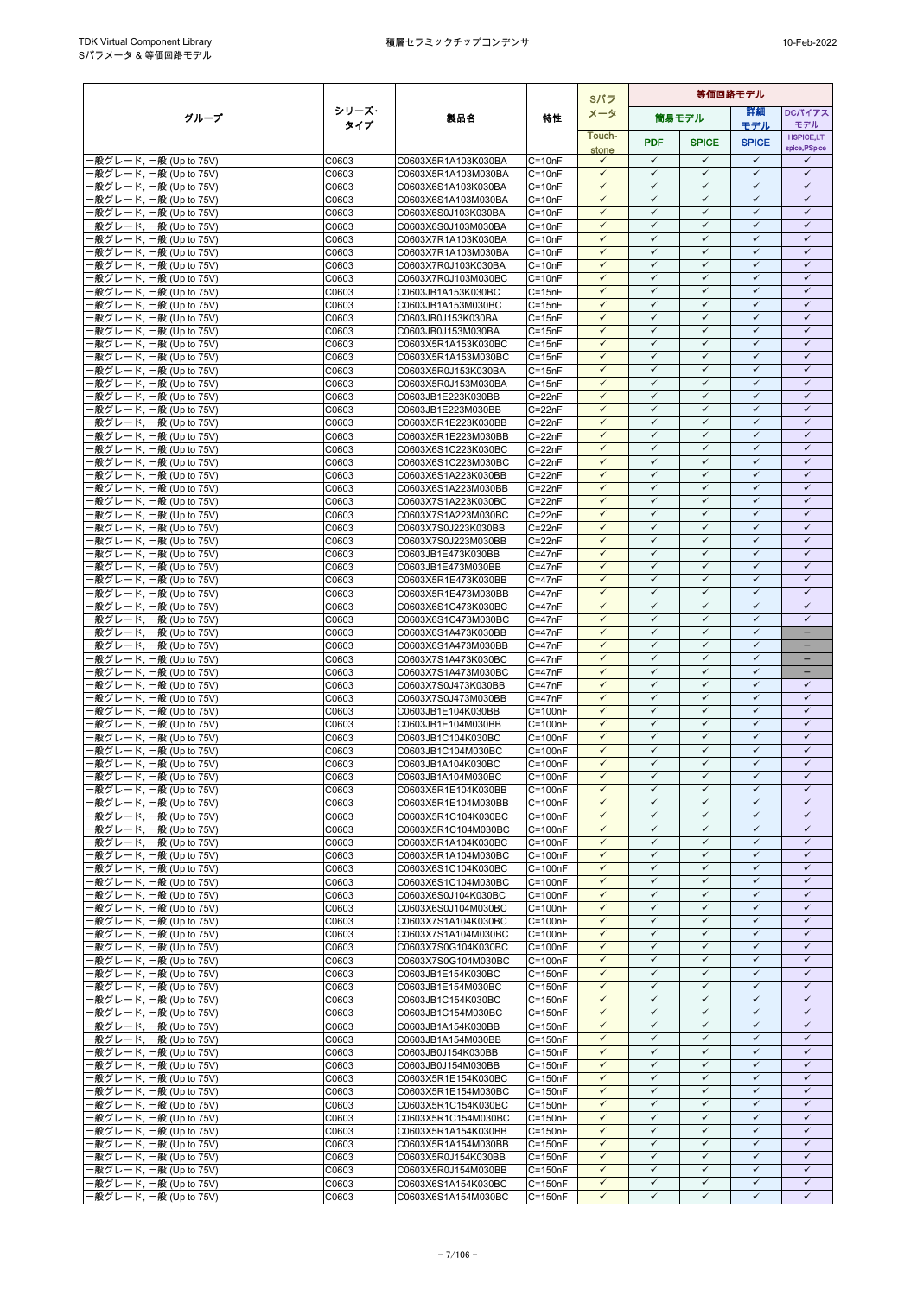|                                                  |                |                                            |                            | Sパラ                          | 等価回路モデル                      |                              |                              |                              |
|--------------------------------------------------|----------------|--------------------------------------------|----------------------------|------------------------------|------------------------------|------------------------------|------------------------------|------------------------------|
| グループ                                             | シリーズ・          | 製品名                                        | 特性                         | メータ                          |                              | 筒易モデル                        | 等細                           | <b>DCパイアス</b>                |
|                                                  | タイプ            |                                            |                            | Touch-                       |                              |                              | モデル                          | モデル<br><b>HSPICE,LT</b>      |
|                                                  |                |                                            |                            | stone                        | <b>PDF</b>                   | <b>SPICE</b>                 | <b>SPICE</b>                 | spice, PSpice                |
| ·般グレード, 一般 (Up to 75V)                           | C0603          | C0603X5R1A103K030BA                        | $C = 10nF$                 | $\checkmark$                 | $\checkmark$                 | $\checkmark$                 | $\checkmark$<br>$\checkmark$ | ✓                            |
| 般グレード, 一般 (Up to 75V)<br>·般グレード, 一般 (Up to 75V)  | C0603<br>C0603 | C0603X5R1A103M030BA<br>C0603X6S1A103K030BA | $C = 10nF$<br>$C = 10nF$   | $\checkmark$<br>$\checkmark$ | $\checkmark$<br>$\checkmark$ | $\checkmark$<br>$\checkmark$ | $\checkmark$                 | $\checkmark$<br>$\checkmark$ |
| ·般グレード, 一般 (Up to 75V)                           | C0603          | C0603X6S1A103M030BA                        | $C = 10nF$                 | $\checkmark$                 | $\checkmark$                 | $\checkmark$                 | $\checkmark$                 | $\checkmark$                 |
| 般グレード, 一般 (Up to 75V)                            | C0603          | C0603X6S0J103K030BA                        | $C = 10nF$                 | $\checkmark$                 | $\checkmark$                 | $\checkmark$                 | $\checkmark$                 | $\checkmark$                 |
| ·般グレード, 一般 (Up to 75V)                           | C0603          | C0603X6S0J103M030BA                        | $C = 10nF$                 | $\checkmark$                 | $\checkmark$                 | $\checkmark$                 | $\checkmark$                 | $\checkmark$                 |
| ·般グレード, 一般 (Up to 75V)                           | C0603          | C0603X7R1A103K030BA                        | $C = 10nF$                 | $\checkmark$                 | $\checkmark$                 | $\checkmark$                 | $\checkmark$                 | $\checkmark$                 |
| -般グレード, 一般 (Up to 75V)                           | C0603          | C0603X7R1A103M030BA                        | $C = 10nF$                 | $\checkmark$<br>$\checkmark$ | $\checkmark$<br>$\checkmark$ | $\checkmark$<br>$\checkmark$ | $\checkmark$<br>$\checkmark$ | $\checkmark$<br>$\checkmark$ |
| -般グレード, 一般 (Up to 75V)<br>·般グレード, 一般 (Up to 75V) | C0603<br>C0603 | C0603X7R0J103K030BA<br>C0603X7R0J103M030BC | $C = 10nF$<br>$C = 10nF$   | $\checkmark$                 | $\checkmark$                 | $\checkmark$                 | $\checkmark$                 | $\checkmark$                 |
| ·般グレード, 一般 (Up to 75V)                           | C0603          | C0603JB1A153K030BC                         | $C = 15nF$                 | $\checkmark$                 | $\checkmark$                 | $\checkmark$                 | $\checkmark$                 | $\checkmark$                 |
| ·般グレード, 一般 (Up to 75V)                           | C0603          | C0603JB1A153M030BC                         | $C = 15nF$                 | $\checkmark$                 | $\checkmark$                 | $\checkmark$                 | $\checkmark$                 | $\checkmark$                 |
| ·般グレード, 一般 (Up to 75V)                           | C0603          | C0603JB0J153K030BA                         | $C = 15nF$                 | ✓                            | ✓                            | ✓                            | $\checkmark$                 | ✓                            |
| ·般グレード, 一般 (Up to 75V)                           | C0603          | C0603JB0J153M030BA                         | $C = 15nF$                 | $\checkmark$<br>$\checkmark$ | $\checkmark$<br>$\checkmark$ | $\checkmark$<br>$\checkmark$ | $\checkmark$<br>$\checkmark$ | $\checkmark$<br>$\checkmark$ |
| ·般グレード, 一般 (Up to 75V)<br>·般グレード, 一般 (Up to 75V) | C0603<br>C0603 | C0603X5R1A153K030BC<br>C0603X5R1A153M030BC | $C = 15nF$<br>$C = 15nF$   | $\checkmark$                 | $\checkmark$                 | $\checkmark$                 | $\checkmark$                 | $\checkmark$                 |
| ·般グレード, 一般 (Up to 75V)                           | C0603          | C0603X5R0J153K030BA                        | $C = 15nF$                 | $\checkmark$                 | $\checkmark$                 | $\checkmark$                 | $\checkmark$                 | $\checkmark$                 |
| ·般グレード, 一般 (Up to 75V)                           | C0603          | C0603X5R0J153M030BA                        | $C = 15nF$                 | $\checkmark$                 | $\checkmark$                 | ✓                            | ✓                            | ✓                            |
| ·般グレード, 一般 (Up to 75V)                           | C0603          | C0603JB1E223K030BB                         | $C = 22nF$                 | $\checkmark$                 | $\checkmark$                 | $\checkmark$                 | $\checkmark$                 | $\checkmark$                 |
| ·般グレード, 一般 (Up to 75V)                           | C0603          | C0603JB1E223M030BB                         | C=22nF                     | $\checkmark$                 | $\checkmark$                 | $\checkmark$                 | $\checkmark$                 | $\checkmark$                 |
| ·般グレード, 一般 (Up to 75V)<br>-般グレード, 一般 (Up to 75V) | C0603<br>C0603 | C0603X5R1E223K030BB                        | $C = 22nF$<br>$C = 22nF$   | $\checkmark$<br>$\checkmark$ | $\checkmark$<br>$\checkmark$ | $\checkmark$<br>$\checkmark$ | $\checkmark$<br>$\checkmark$ | $\checkmark$<br>$\checkmark$ |
| ·般グレード, 一般 (Up to 75V)                           | C0603          | C0603X5R1E223M030BB<br>C0603X6S1C223K030BC | $C = 22nF$                 | $\checkmark$                 | $\checkmark$                 | $\checkmark$                 | $\checkmark$                 | $\checkmark$                 |
| ·般グレード, 一般 (Up to 75V)                           | C0603          | C0603X6S1C223M030BC                        | $C = 22nF$                 | $\checkmark$                 | $\checkmark$                 | $\checkmark$                 | $\checkmark$                 | $\checkmark$                 |
| ·般グレード, 一般 (Up to 75V)                           | C0603          | C0603X6S1A223K030BB                        | $C = 22nF$                 | $\checkmark$                 | $\checkmark$                 | $\checkmark$                 | $\checkmark$                 | $\checkmark$                 |
| ·般グレード, 一般 (Up to 75V)                           | C0603          | C0603X6S1A223M030BB                        | $C = 22nF$                 | $\checkmark$                 | $\checkmark$                 | $\checkmark$                 | $\checkmark$                 | $\checkmark$                 |
| ·般グレード, 一般 (Up to 75V)                           | C0603          | C0603X7S1A223K030BC                        | $C = 22nF$                 | $\checkmark$                 | $\checkmark$                 | $\checkmark$                 | $\checkmark$                 | $\checkmark$                 |
| -般グレード, 一般 (Up to 75V)                           | C0603<br>C0603 | C0603X7S1A223M030BC                        | $C = 22nF$<br>$C = 22nF$   | $\checkmark$<br>$\checkmark$ | $\checkmark$<br>$\checkmark$ | $\checkmark$<br>$\checkmark$ | $\checkmark$<br>$\checkmark$ | $\checkmark$<br>$\checkmark$ |
| ·般グレード, 一般 (Up to 75V)<br>·般グレード, 一般 (Up to 75V) | C0603          | C0603X7S0J223K030BB<br>C0603X7S0J223M030BB | $C = 22nF$                 | $\checkmark$                 | $\checkmark$                 | $\checkmark$                 | $\checkmark$                 | $\checkmark$                 |
| -般グレード, 一般 (Up to 75V)                           | C0603          | C0603JB1E473K030BB                         | $C = 47nF$                 | $\checkmark$                 | $\checkmark$                 | $\checkmark$                 | $\checkmark$                 | $\checkmark$                 |
| ·般グレード, 一般 (Up to 75V)                           | C0603          | C0603JB1E473M030BB                         | $C = 47nF$                 | $\checkmark$                 | $\checkmark$                 | $\checkmark$                 | $\checkmark$                 | $\checkmark$                 |
| ·般グレード, 一般 (Up to 75V)                           | C0603          | C0603X5R1E473K030BB                        | $C = 47nF$                 | $\checkmark$                 | $\checkmark$                 | $\checkmark$                 | $\checkmark$                 | $\checkmark$                 |
| -般グレード, 一般 (Up to 75V)                           | C0603          | C0603X5R1E473M030BB                        | $C = 47nF$                 | $\checkmark$                 | $\checkmark$                 | $\checkmark$                 | $\checkmark$                 | $\checkmark$                 |
| ·般グレード, 一般 (Up to 75V)<br>·般グレード, 一般 (Up to 75V) | C0603<br>C0603 | C0603X6S1C473K030BC<br>C0603X6S1C473M030BC | $C = 47nF$<br>$C = 47nF$   | $\checkmark$<br>$\checkmark$ | $\checkmark$<br>$\checkmark$ | $\checkmark$<br>$\checkmark$ | $\checkmark$<br>$\checkmark$ | $\checkmark$<br>$\checkmark$ |
| ·般グレード, 一般 (Up to 75V)                           | C0603          | C0603X6S1A473K030BB                        | $C = 47nF$                 | $\checkmark$                 | $\checkmark$                 | ✓                            | ✓                            |                              |
| ·般グレード, 一般 (Up to 75V)                           | C0603          | C0603X6S1A473M030BB                        | $C = 47nF$                 | $\checkmark$                 | $\checkmark$                 | $\checkmark$                 | $\checkmark$                 | -                            |
| ·般グレード, 一般 (Up to 75V)                           | C0603          | C0603X7S1A473K030BC                        | $C = 47nF$                 | $\checkmark$                 | $\checkmark$                 | $\checkmark$                 | $\checkmark$                 |                              |
| ·般グレード, 一般 (Up to 75V)                           | C0603          | C0603X7S1A473M030BC                        | $C = 47nF$                 | $\checkmark$                 | $\checkmark$                 | $\checkmark$                 | $\checkmark$                 | $\overline{\phantom{0}}$     |
| -般グレード, 一般 (Up to 75V)                           | C0603          | C0603X7S0J473K030BB                        | $C = 47nF$                 | $\checkmark$<br>$\checkmark$ | $\checkmark$<br>$\checkmark$ | $\checkmark$<br>$\checkmark$ | $\checkmark$<br>$\checkmark$ | $\checkmark$<br>$\checkmark$ |
| -般グレード, 一般 (Up to 75V)<br>-般グレード, 一般 (Up to 75V) | C0603<br>C0603 | C0603X7S0J473M030BB<br>C0603JB1E104K030BB  | $C = 47nF$<br>$C = 100nF$  | $\checkmark$                 | $\checkmark$                 | $\checkmark$                 | $\checkmark$                 | $\checkmark$                 |
| -般グレード, 一般 (Up to 75V)                           | C0603          | C0603JB1E104M030BB                         | $C = 100nF$                | $\checkmark$                 | $\checkmark$                 | $\checkmark$                 | $\checkmark$                 | $\checkmark$                 |
| ·般グレード, 一般 (Up to 75V)                           | C0603          | C0603JB1C104K030BC                         | $C = 100nF$                | $\checkmark$                 | $\checkmark$                 | $\checkmark$                 | $\checkmark$                 | $\checkmark$                 |
| ·般グレード, 一般 (Up to 75V)                           | C0603          | C0603JB1C104M030BC                         | $C = 100nF$                | ✓                            | $\checkmark$                 | $\checkmark$                 | $\checkmark$                 | $\checkmark$                 |
| ·般グレード, 一般 (Up to 75V)                           | C0603          | C0603JB1A104K030BC                         | $C = 100nF$                | $\checkmark$                 | $\checkmark$                 | $\checkmark$                 | $\checkmark$                 | $\checkmark$                 |
| ·般グレード, 一般 (Up to 75V)                           | C0603          | C0603JB1A104M030BC                         | $C=100nF$                  | $\checkmark$                 | $\checkmark$                 | $\checkmark$<br>$\checkmark$ | $\checkmark$                 | $\checkmark$                 |
| ·般グレード, 一般 (Up to 75V)<br>-般グレード, 一般 (Up to 75V) | C0603<br>C0603 | C0603X5R1E104K030BB<br>C0603X5R1E104M030BB | $C = 100nF$<br>$C = 100nF$ | $\checkmark$<br>$\checkmark$ | $\checkmark$<br>$\checkmark$ | $\checkmark$                 | ✓<br>$\checkmark$            | ✓<br>$\checkmark$            |
| ·般グレード, 一般 (Up to 75V)                           | C0603          | C0603X5R1C104K030BC                        | $C = 100nF$                | $\checkmark$                 | $\checkmark$                 | $\checkmark$                 | $\checkmark$                 | $\checkmark$                 |
| -般グレード, 一般 (Up to 75V)                           | C0603          | C0603X5R1C104M030BC                        | $C = 100nF$                | $\checkmark$                 | $\checkmark$                 | $\checkmark$                 | $\checkmark$                 | $\checkmark$                 |
| -般グレード, 一般 (Up to 75V)                           | C0603          | C0603X5R1A104K030BC                        | $C = 100nF$                | $\checkmark$                 | $\checkmark$                 | $\checkmark$                 | $\checkmark$                 | $\checkmark$                 |
| ·般グレード, 一般 (Up to 75V)                           | C0603          | C0603X5R1A104M030BC                        | $C = 100nF$                | $\checkmark$                 | $\checkmark$                 | ✓                            | $\checkmark$                 | $\checkmark$                 |
| ·般グレード, 一般 (Up to 75V)                           | C0603          | C0603X6S1C104K030BC                        | $C = 100nF$                | $\checkmark$                 | $\checkmark$                 | $\checkmark$                 | $\checkmark$                 | $\checkmark$                 |
| -般グレード, 一般 (Up to 75V)<br>·般グレード, 一般 (Up to 75V) | C0603<br>C0603 | C0603X6S1C104M030BC<br>C0603X6S0J104K030BC | $C = 100nF$<br>$C = 100nF$ | $\checkmark$<br>$\checkmark$ | $\checkmark$<br>$\checkmark$ | ✓<br>$\checkmark$            | ✓<br>$\checkmark$            | $\checkmark$<br>$\checkmark$ |
| ·般グレード, 一般 (Up to 75V)                           | C0603          | C0603X6S0J104M030BC                        | $C = 100nF$                | $\checkmark$                 | $\checkmark$                 | $\checkmark$                 | $\checkmark$                 | $\checkmark$                 |
| -般グレード, 一般 (Up to 75V)                           | C0603          | C0603X7S1A104K030BC                        | $C = 100nF$                | $\checkmark$                 | $\checkmark$                 | $\checkmark$                 | $\checkmark$                 | ✓                            |
| ·般グレード, 一般 (Up to 75V)                           | C0603          | C0603X7S1A104M030BC                        | $C = 100nF$                | $\checkmark$                 | $\checkmark$                 | $\checkmark$                 | $\checkmark$                 | $\checkmark$                 |
| ·般グレード, 一般 (Up to 75V)                           | C0603          | C0603X7S0G104K030BC                        | $C = 100nF$                | $\checkmark$                 | $\checkmark$                 | $\checkmark$                 | $\checkmark$                 | $\checkmark$                 |
| ·般グレード, 一般 (Up to 75V)                           | C0603          | C0603X7S0G104M030BC                        | $C = 100nF$                | $\checkmark$<br>$\checkmark$ | $\checkmark$<br>$\checkmark$ | $\checkmark$<br>$\checkmark$ | $\checkmark$<br>$\checkmark$ | $\checkmark$<br>$\checkmark$ |
| ·般グレード, 一般 (Up to 75V)<br>-般グレード, 一般 (Up to 75V) | C0603<br>C0603 | C0603JB1E154K030BC<br>C0603JB1E154M030BC   | $C = 150nF$<br>$C = 150nF$ | $\checkmark$                 | $\checkmark$                 | $\checkmark$                 | $\checkmark$                 | $\checkmark$                 |
| ·般グレード, 一般 (Up to 75V)                           | C0603          | C0603JB1C154K030BC                         | $C = 150nF$                | $\checkmark$                 | $\checkmark$                 | $\checkmark$                 | $\checkmark$                 | $\checkmark$                 |
| -般グレード, 一般 (Up to 75V)                           | C0603          | C0603JB1C154M030BC                         | $C = 150nF$                | $\checkmark$                 | $\checkmark$                 | $\checkmark$                 | $\checkmark$                 | $\checkmark$                 |
| ·般グレード, 一般 (Up to 75V)                           | C0603          | C0603JB1A154K030BB                         | $C = 150nF$                | $\checkmark$                 | $\checkmark$                 | $\checkmark$                 | $\checkmark$                 | $\checkmark$                 |
| -般グレード, 一般 (Up to 75V)                           | C0603          | C0603JB1A154M030BB                         | $C = 150nF$                | $\checkmark$                 | ✓                            | ✓                            | ✓                            | ✓                            |
| ·般グレード, 一般 (Up to 75V)<br>·般グレード, 一般 (Up to 75V) | C0603<br>C0603 | C0603JB0J154K030BB<br>C0603JB0J154M030BB   | $C = 150nF$<br>$C = 150nF$ | $\checkmark$<br>$\checkmark$ | $\checkmark$<br>$\checkmark$ | $\checkmark$<br>$\checkmark$ | $\checkmark$<br>$\checkmark$ | $\checkmark$<br>$\checkmark$ |
| 般グレード, 一般 (Up to 75V)                            | C0603          | C0603X5R1E154K030BC                        | $C = 150nF$                | $\checkmark$                 | $\checkmark$                 | $\checkmark$                 | $\checkmark$                 | ✓                            |
| -般グレード, 一般 (Up to 75V)                           | C0603          | C0603X5R1E154M030BC                        | $C = 150nF$                | $\checkmark$                 | $\checkmark$                 | $\checkmark$                 | $\checkmark$                 | $\checkmark$                 |
| ·般グレード, 一般 (Up to 75V)                           | C0603          | C0603X5R1C154K030BC                        | $C = 150nF$                | $\checkmark$                 | $\checkmark$                 | ✓                            | $\checkmark$                 | $\checkmark$                 |
| ·般グレード, 一般 (Up to 75V)                           | C0603          | C0603X5R1C154M030BC                        | $C = 150nF$                | $\checkmark$                 | $\checkmark$                 | $\checkmark$                 | $\checkmark$                 | $\checkmark$                 |
| -般グレード, 一般 (Up to 75V)                           | C0603          | C0603X5R1A154K030BB                        | $C = 150nF$                | $\checkmark$<br>$\checkmark$ | $\checkmark$<br>$\checkmark$ | $\checkmark$<br>$\checkmark$ | $\checkmark$<br>$\checkmark$ | $\checkmark$<br>$\checkmark$ |
| ·般グレード, 一般 (Up to 75V)<br>·般グレード, 一般 (Up to 75V) | C0603<br>C0603 | C0603X5R1A154M030BB<br>C0603X5R0J154K030BB | $C = 150nF$<br>$C = 150nF$ | $\checkmark$                 | $\checkmark$                 | $\checkmark$                 | $\checkmark$                 | $\checkmark$                 |
| -般グレード, 一般 (Up to 75V)                           | C0603          | C0603X5R0J154M030BB                        | $C = 150nF$                | $\checkmark$                 | $\checkmark$                 | $\checkmark$                 | $\checkmark$                 | $\checkmark$                 |
| -般グレード, 一般 (Up to 75V)                           | C0603          | C0603X6S1A154K030BC                        | $C = 150nF$                | $\checkmark$                 | $\checkmark$                 | $\checkmark$                 | $\checkmark$                 | $\checkmark$                 |
| -般グレード, 一般 (Up to 75V)                           | C0603          | C0603X6S1A154M030BC                        | $C = 150nF$                | $\checkmark$                 | $\checkmark$                 | $\checkmark$                 | $\checkmark$                 | ✓                            |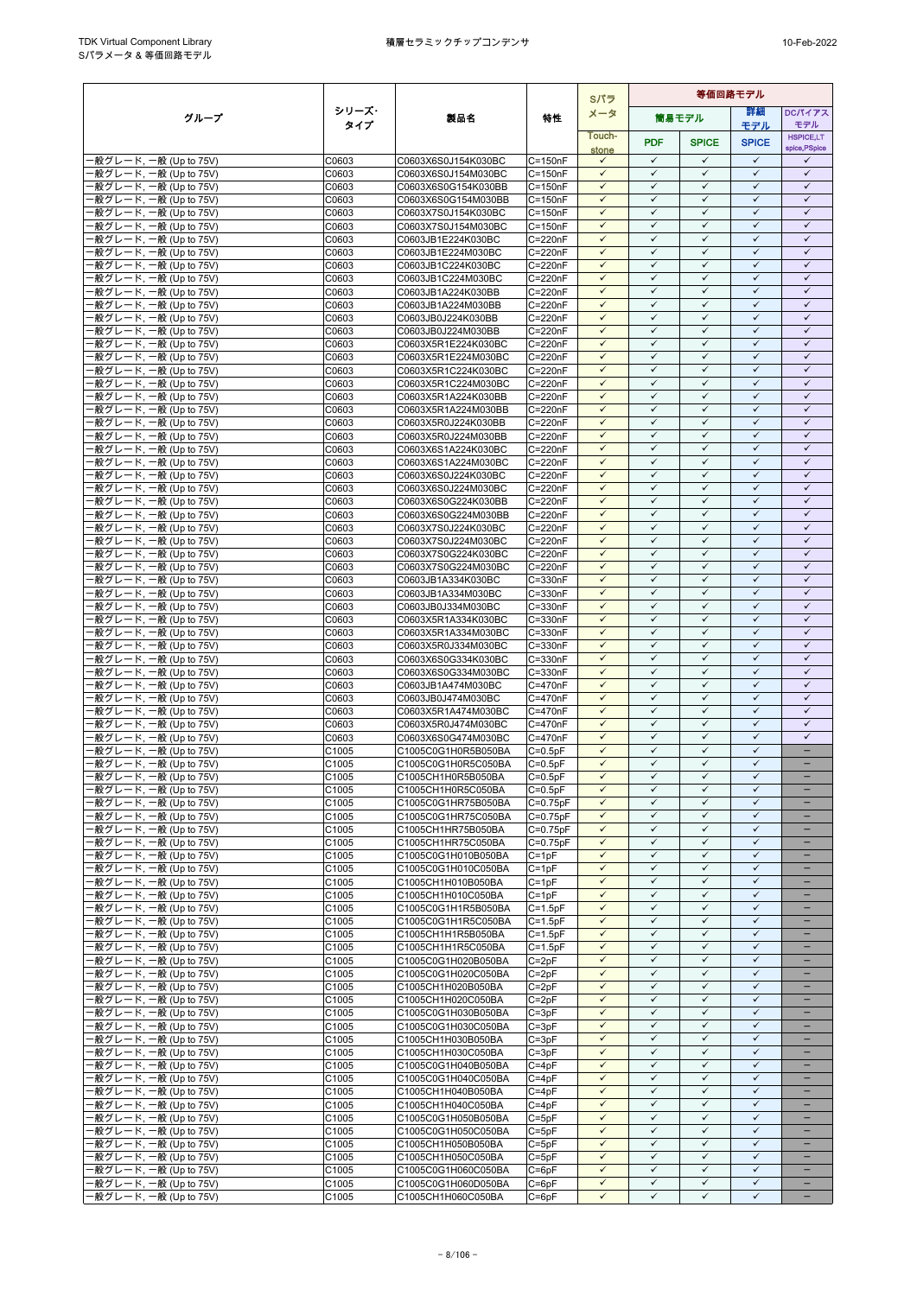|                                                  |                |                                            | Sパラ                      |                              | 筒易モデル<br>Touch-<br><b>PDF</b><br><b>SPICE</b><br>stone<br>$\checkmark$<br>$\checkmark$<br>$\checkmark$<br>$\checkmark$<br>$\checkmark$<br>$\checkmark$<br>$\checkmark$<br>$\checkmark$<br>$\checkmark$<br>$\checkmark$<br>$\checkmark$<br>$\checkmark$<br>$\checkmark$<br>$\checkmark$<br>$\checkmark$<br>$\checkmark$<br>$\checkmark$<br>$\checkmark$<br>$\checkmark$<br>$\checkmark$<br>$\checkmark$<br>$\checkmark$<br>$\checkmark$<br>$\checkmark$<br>$\checkmark$<br>$\checkmark$<br>$\checkmark$<br>$\checkmark$<br>$\checkmark$<br>$\checkmark$<br>$\checkmark$<br>$\checkmark$<br>$\checkmark$<br>$\checkmark$<br>$\checkmark$<br>$\checkmark$<br>$\checkmark$<br>$\checkmark$<br>$\checkmark$<br>$\checkmark$<br>$\checkmark$<br>$\checkmark$<br>$\checkmark$<br>$\checkmark$<br>$\checkmark$<br>$\checkmark$<br>$\checkmark$<br>$\checkmark$<br>$\checkmark$<br>$\checkmark$<br>$\checkmark$<br>$\checkmark$<br>$\checkmark$<br>$\checkmark$<br>$\checkmark$<br>$\checkmark$<br>$\checkmark$<br>$\checkmark$<br>$\checkmark$<br>$\checkmark$<br>$\checkmark$<br>$\checkmark$<br>$\checkmark$<br>$\checkmark$<br>$\checkmark$<br>$\checkmark$<br>$\checkmark$<br>$\checkmark$<br>$\checkmark$<br>$\checkmark$<br>$\checkmark$<br>$\checkmark$<br>$\checkmark$<br>$\checkmark$<br>$\checkmark$<br>$\checkmark$<br>$\checkmark$<br>$\checkmark$<br>$\checkmark$<br>$\checkmark$<br>$\checkmark$<br>$\checkmark$<br>$\checkmark$<br>$\checkmark$<br>$\checkmark$<br>$\checkmark$<br>$\checkmark$<br>$\checkmark$<br>✓<br>$\checkmark$<br>$\checkmark$<br>$\checkmark$<br>$\checkmark$<br>$\checkmark$<br>$\checkmark$<br>$\checkmark$<br>$\checkmark$<br>$\checkmark$<br>$\checkmark$<br>$\checkmark$<br>$\checkmark$<br>$\checkmark$<br>$\checkmark$<br>$\checkmark$<br>$\checkmark$<br>$\checkmark$<br>$\checkmark$<br>$\checkmark$<br>$\checkmark$<br>$\checkmark$<br>$\checkmark$<br>$\checkmark$<br>$\checkmark$<br>$\checkmark$<br>$\checkmark$<br>$\checkmark$<br>$\checkmark$<br>$\checkmark$<br>$\checkmark$<br>$\checkmark$<br>$\checkmark$<br>$\checkmark$<br>$\checkmark$<br>$\checkmark$<br>$\checkmark$<br>$\checkmark$<br>$\checkmark$<br>$\checkmark$<br>$\checkmark$<br>$\checkmark$<br>$\checkmark$<br>$\checkmark$<br>$\checkmark$<br>$\checkmark$<br>$\checkmark$<br>$\checkmark$<br>$\checkmark$<br>$\checkmark$<br>$\checkmark$<br>$\checkmark$<br>$\checkmark$<br>$\checkmark$<br>$\checkmark$<br>$\checkmark$<br>$\checkmark$<br>$\checkmark$<br>$\checkmark$<br>$\checkmark$<br>$\checkmark$<br>$\checkmark$<br>$\checkmark$<br>$\checkmark$<br>$\checkmark$<br>$\checkmark$<br>$\checkmark$<br>$\checkmark$<br>$\checkmark$<br>$\checkmark$<br>$\checkmark$<br>$\checkmark$<br>$\checkmark$<br>$\checkmark$<br>$\checkmark$<br>$\checkmark$<br>$\checkmark$<br>$\checkmark$<br>$\checkmark$<br>$\checkmark$ |                              |                              | 等価回路モデル                           |  |  |  |
|--------------------------------------------------|----------------|--------------------------------------------|--------------------------|------------------------------|---------------------------------------------------------------------------------------------------------------------------------------------------------------------------------------------------------------------------------------------------------------------------------------------------------------------------------------------------------------------------------------------------------------------------------------------------------------------------------------------------------------------------------------------------------------------------------------------------------------------------------------------------------------------------------------------------------------------------------------------------------------------------------------------------------------------------------------------------------------------------------------------------------------------------------------------------------------------------------------------------------------------------------------------------------------------------------------------------------------------------------------------------------------------------------------------------------------------------------------------------------------------------------------------------------------------------------------------------------------------------------------------------------------------------------------------------------------------------------------------------------------------------------------------------------------------------------------------------------------------------------------------------------------------------------------------------------------------------------------------------------------------------------------------------------------------------------------------------------------------------------------------------------------------------------------------------------------------------------------------------------------------------------------------------------------------------------------------------------------------------------------------------------------------------------------------------------------------------------------------------------------------------------------------------------------------------------------------------------------------------------------------------------------------------------------------------------------------------------------------------------------------------------------------------------------------------------------------------------------------------------------------------------------------------------------------------------------------------------------------------------------------------------------------------------------------------------------------|------------------------------|------------------------------|-----------------------------------|--|--|--|
| グループ                                             | シリーズ・          | 製品名                                        | 特性                       | メータ                          |                                                                                                                                                                                                                                                                                                                                                                                                                                                                                                                                                                                                                                                                                                                                                                                                                                                                                                                                                                                                                                                                                                                                                                                                                                                                                                                                                                                                                                                                                                                                                                                                                                                                                                                                                                                                                                                                                                                                                                                                                                                                                                                                                                                                                                                                                                                                                                                                                                                                                                                                                                                                                                                                                                                                                                                                                                             |                              | 詳細                           | <b>DCパイアス</b>                     |  |  |  |
|                                                  | タイプ            |                                            |                          |                              |                                                                                                                                                                                                                                                                                                                                                                                                                                                                                                                                                                                                                                                                                                                                                                                                                                                                                                                                                                                                                                                                                                                                                                                                                                                                                                                                                                                                                                                                                                                                                                                                                                                                                                                                                                                                                                                                                                                                                                                                                                                                                                                                                                                                                                                                                                                                                                                                                                                                                                                                                                                                                                                                                                                                                                                                                                             |                              | モデル                          | モデル                               |  |  |  |
|                                                  |                |                                            |                          |                              |                                                                                                                                                                                                                                                                                                                                                                                                                                                                                                                                                                                                                                                                                                                                                                                                                                                                                                                                                                                                                                                                                                                                                                                                                                                                                                                                                                                                                                                                                                                                                                                                                                                                                                                                                                                                                                                                                                                                                                                                                                                                                                                                                                                                                                                                                                                                                                                                                                                                                                                                                                                                                                                                                                                                                                                                                                             |                              | <b>SPICE</b>                 | <b>HSPICE,LT</b><br>spice, PSpice |  |  |  |
| -般グレード, 一般 (Up to 75V)                           | C0603          | C0603X6S0J154K030BC                        | $C = 150nF$              |                              |                                                                                                                                                                                                                                                                                                                                                                                                                                                                                                                                                                                                                                                                                                                                                                                                                                                                                                                                                                                                                                                                                                                                                                                                                                                                                                                                                                                                                                                                                                                                                                                                                                                                                                                                                                                                                                                                                                                                                                                                                                                                                                                                                                                                                                                                                                                                                                                                                                                                                                                                                                                                                                                                                                                                                                                                                                             |                              | $\checkmark$                 | $\checkmark$                      |  |  |  |
| -般グレード, 一般 (Up to 75V)                           | C0603          | C0603X6S0J154M030BC                        | $C = 150nF$              |                              |                                                                                                                                                                                                                                                                                                                                                                                                                                                                                                                                                                                                                                                                                                                                                                                                                                                                                                                                                                                                                                                                                                                                                                                                                                                                                                                                                                                                                                                                                                                                                                                                                                                                                                                                                                                                                                                                                                                                                                                                                                                                                                                                                                                                                                                                                                                                                                                                                                                                                                                                                                                                                                                                                                                                                                                                                                             |                              | $\checkmark$                 | $\checkmark$                      |  |  |  |
| ·般グレード, 一般 (Up to 75V)                           | C0603          | C0603X6S0G154K030BB                        | $C = 150nF$              |                              |                                                                                                                                                                                                                                                                                                                                                                                                                                                                                                                                                                                                                                                                                                                                                                                                                                                                                                                                                                                                                                                                                                                                                                                                                                                                                                                                                                                                                                                                                                                                                                                                                                                                                                                                                                                                                                                                                                                                                                                                                                                                                                                                                                                                                                                                                                                                                                                                                                                                                                                                                                                                                                                                                                                                                                                                                                             |                              | $\checkmark$                 | $\checkmark$                      |  |  |  |
| ·般グレード, 一般 (Up to 75V)                           | C0603          | C0603X6S0G154M030BB                        | $C = 150nF$              |                              |                                                                                                                                                                                                                                                                                                                                                                                                                                                                                                                                                                                                                                                                                                                                                                                                                                                                                                                                                                                                                                                                                                                                                                                                                                                                                                                                                                                                                                                                                                                                                                                                                                                                                                                                                                                                                                                                                                                                                                                                                                                                                                                                                                                                                                                                                                                                                                                                                                                                                                                                                                                                                                                                                                                                                                                                                                             |                              | $\checkmark$                 | $\checkmark$                      |  |  |  |
| ·般グレード, 一般 (Up to 75V)                           | C0603          | C0603X7S0J154K030BC                        | $C = 150nF$              |                              |                                                                                                                                                                                                                                                                                                                                                                                                                                                                                                                                                                                                                                                                                                                                                                                                                                                                                                                                                                                                                                                                                                                                                                                                                                                                                                                                                                                                                                                                                                                                                                                                                                                                                                                                                                                                                                                                                                                                                                                                                                                                                                                                                                                                                                                                                                                                                                                                                                                                                                                                                                                                                                                                                                                                                                                                                                             |                              | $\checkmark$                 | $\checkmark$                      |  |  |  |
| -般グレード, 一般 (Up to 75V)                           | C0603          | C0603X7S0J154M030BC                        | $C = 150nF$              |                              |                                                                                                                                                                                                                                                                                                                                                                                                                                                                                                                                                                                                                                                                                                                                                                                                                                                                                                                                                                                                                                                                                                                                                                                                                                                                                                                                                                                                                                                                                                                                                                                                                                                                                                                                                                                                                                                                                                                                                                                                                                                                                                                                                                                                                                                                                                                                                                                                                                                                                                                                                                                                                                                                                                                                                                                                                                             |                              | $\checkmark$                 | $\checkmark$                      |  |  |  |
| 般グレード, 一般 (Up to 75V)                            | C0603          | C0603JB1E224K030BC                         | C=220nF                  |                              |                                                                                                                                                                                                                                                                                                                                                                                                                                                                                                                                                                                                                                                                                                                                                                                                                                                                                                                                                                                                                                                                                                                                                                                                                                                                                                                                                                                                                                                                                                                                                                                                                                                                                                                                                                                                                                                                                                                                                                                                                                                                                                                                                                                                                                                                                                                                                                                                                                                                                                                                                                                                                                                                                                                                                                                                                                             |                              | $\checkmark$                 | $\checkmark$                      |  |  |  |
| -般グレード, 一般 (Up to 75V)                           | C0603          | C0603JB1E224M030BC                         | C=220nF                  |                              |                                                                                                                                                                                                                                                                                                                                                                                                                                                                                                                                                                                                                                                                                                                                                                                                                                                                                                                                                                                                                                                                                                                                                                                                                                                                                                                                                                                                                                                                                                                                                                                                                                                                                                                                                                                                                                                                                                                                                                                                                                                                                                                                                                                                                                                                                                                                                                                                                                                                                                                                                                                                                                                                                                                                                                                                                                             |                              | $\checkmark$<br>$\checkmark$ | $\checkmark$                      |  |  |  |
| ·般グレード, 一般 (Up to 75V)                           | C0603<br>C0603 | C0603JB1C224K030BC                         | $C = 220nF$              |                              |                                                                                                                                                                                                                                                                                                                                                                                                                                                                                                                                                                                                                                                                                                                                                                                                                                                                                                                                                                                                                                                                                                                                                                                                                                                                                                                                                                                                                                                                                                                                                                                                                                                                                                                                                                                                                                                                                                                                                                                                                                                                                                                                                                                                                                                                                                                                                                                                                                                                                                                                                                                                                                                                                                                                                                                                                                             |                              | $\checkmark$                 | $\checkmark$<br>$\checkmark$      |  |  |  |
| ·般グレード, 一般 (Up to 75V)<br>-般グレード, 一般 (Up to 75V) | C0603          | C0603JB1C224M030BC<br>C0603JB1A224K030BB   | C=220nF<br>C=220nF       |                              |                                                                                                                                                                                                                                                                                                                                                                                                                                                                                                                                                                                                                                                                                                                                                                                                                                                                                                                                                                                                                                                                                                                                                                                                                                                                                                                                                                                                                                                                                                                                                                                                                                                                                                                                                                                                                                                                                                                                                                                                                                                                                                                                                                                                                                                                                                                                                                                                                                                                                                                                                                                                                                                                                                                                                                                                                                             |                              | $\checkmark$                 | $\checkmark$                      |  |  |  |
| -般グレード, 一般 (Up to 75V)                           | C0603          | C0603JB1A224M030BB                         | C=220nF                  |                              |                                                                                                                                                                                                                                                                                                                                                                                                                                                                                                                                                                                                                                                                                                                                                                                                                                                                                                                                                                                                                                                                                                                                                                                                                                                                                                                                                                                                                                                                                                                                                                                                                                                                                                                                                                                                                                                                                                                                                                                                                                                                                                                                                                                                                                                                                                                                                                                                                                                                                                                                                                                                                                                                                                                                                                                                                                             |                              | $\checkmark$                 | $\checkmark$                      |  |  |  |
| 般グレード, 一般 (Up to 75V)                            | C0603          | C0603JB0J224K030BB                         | C=220nF                  |                              |                                                                                                                                                                                                                                                                                                                                                                                                                                                                                                                                                                                                                                                                                                                                                                                                                                                                                                                                                                                                                                                                                                                                                                                                                                                                                                                                                                                                                                                                                                                                                                                                                                                                                                                                                                                                                                                                                                                                                                                                                                                                                                                                                                                                                                                                                                                                                                                                                                                                                                                                                                                                                                                                                                                                                                                                                                             |                              | $\checkmark$                 | $\checkmark$                      |  |  |  |
| 般グレード, 一般 (Up to 75V)                            | C0603          | C0603JB0J224M030BB                         | $C = 220nF$              |                              |                                                                                                                                                                                                                                                                                                                                                                                                                                                                                                                                                                                                                                                                                                                                                                                                                                                                                                                                                                                                                                                                                                                                                                                                                                                                                                                                                                                                                                                                                                                                                                                                                                                                                                                                                                                                                                                                                                                                                                                                                                                                                                                                                                                                                                                                                                                                                                                                                                                                                                                                                                                                                                                                                                                                                                                                                                             |                              | $\checkmark$                 | $\checkmark$                      |  |  |  |
| ·般グレード, 一般 (Up to 75V)                           | C0603          | C0603X5R1E224K030BC                        | $C = 220nF$              |                              |                                                                                                                                                                                                                                                                                                                                                                                                                                                                                                                                                                                                                                                                                                                                                                                                                                                                                                                                                                                                                                                                                                                                                                                                                                                                                                                                                                                                                                                                                                                                                                                                                                                                                                                                                                                                                                                                                                                                                                                                                                                                                                                                                                                                                                                                                                                                                                                                                                                                                                                                                                                                                                                                                                                                                                                                                                             |                              | $\checkmark$                 | $\checkmark$                      |  |  |  |
| -般グレード, 一般 (Up to 75V)                           | C0603          | C0603X5R1E224M030BC                        | $C = 220nF$              |                              |                                                                                                                                                                                                                                                                                                                                                                                                                                                                                                                                                                                                                                                                                                                                                                                                                                                                                                                                                                                                                                                                                                                                                                                                                                                                                                                                                                                                                                                                                                                                                                                                                                                                                                                                                                                                                                                                                                                                                                                                                                                                                                                                                                                                                                                                                                                                                                                                                                                                                                                                                                                                                                                                                                                                                                                                                                             |                              | $\checkmark$                 | $\checkmark$                      |  |  |  |
| -般グレード, 一般 (Up to 75V)                           | C0603          | C0603X5R1C224K030BC                        | $C = 220nF$              |                              |                                                                                                                                                                                                                                                                                                                                                                                                                                                                                                                                                                                                                                                                                                                                                                                                                                                                                                                                                                                                                                                                                                                                                                                                                                                                                                                                                                                                                                                                                                                                                                                                                                                                                                                                                                                                                                                                                                                                                                                                                                                                                                                                                                                                                                                                                                                                                                                                                                                                                                                                                                                                                                                                                                                                                                                                                                             |                              | $\checkmark$                 | $\checkmark$                      |  |  |  |
| ·般グレード, 一般 (Up to 75V)                           | C0603          | C0603X5R1C224M030BC                        | C=220nF                  |                              |                                                                                                                                                                                                                                                                                                                                                                                                                                                                                                                                                                                                                                                                                                                                                                                                                                                                                                                                                                                                                                                                                                                                                                                                                                                                                                                                                                                                                                                                                                                                                                                                                                                                                                                                                                                                                                                                                                                                                                                                                                                                                                                                                                                                                                                                                                                                                                                                                                                                                                                                                                                                                                                                                                                                                                                                                                             |                              | $\checkmark$                 | $\checkmark$                      |  |  |  |
| ·般グレード, 一般 (Up to 75V)                           | C0603          | C0603X5R1A224K030BB                        | C=220nF                  |                              |                                                                                                                                                                                                                                                                                                                                                                                                                                                                                                                                                                                                                                                                                                                                                                                                                                                                                                                                                                                                                                                                                                                                                                                                                                                                                                                                                                                                                                                                                                                                                                                                                                                                                                                                                                                                                                                                                                                                                                                                                                                                                                                                                                                                                                                                                                                                                                                                                                                                                                                                                                                                                                                                                                                                                                                                                                             |                              | $\checkmark$                 | $\checkmark$                      |  |  |  |
| ·般グレード, 一般 (Up to 75V)                           | C0603          | C0603X5R1A224M030BB                        | C=220nF                  |                              |                                                                                                                                                                                                                                                                                                                                                                                                                                                                                                                                                                                                                                                                                                                                                                                                                                                                                                                                                                                                                                                                                                                                                                                                                                                                                                                                                                                                                                                                                                                                                                                                                                                                                                                                                                                                                                                                                                                                                                                                                                                                                                                                                                                                                                                                                                                                                                                                                                                                                                                                                                                                                                                                                                                                                                                                                                             |                              | $\checkmark$                 | $\checkmark$                      |  |  |  |
| -般グレード, 一般 (Up to 75V)                           | C0603          | C0603X5R0J224K030BB                        | C=220nF                  |                              |                                                                                                                                                                                                                                                                                                                                                                                                                                                                                                                                                                                                                                                                                                                                                                                                                                                                                                                                                                                                                                                                                                                                                                                                                                                                                                                                                                                                                                                                                                                                                                                                                                                                                                                                                                                                                                                                                                                                                                                                                                                                                                                                                                                                                                                                                                                                                                                                                                                                                                                                                                                                                                                                                                                                                                                                                                             |                              | $\checkmark$<br>$\checkmark$ | $\checkmark$<br>$\checkmark$      |  |  |  |
| ·般グレード, 一般 (Up to 75V)                           | C0603          | C0603X5R0J224M030BB<br>C0603X6S1A224K030BC | C=220nF                  |                              |                                                                                                                                                                                                                                                                                                                                                                                                                                                                                                                                                                                                                                                                                                                                                                                                                                                                                                                                                                                                                                                                                                                                                                                                                                                                                                                                                                                                                                                                                                                                                                                                                                                                                                                                                                                                                                                                                                                                                                                                                                                                                                                                                                                                                                                                                                                                                                                                                                                                                                                                                                                                                                                                                                                                                                                                                                             |                              | $\checkmark$                 | $\checkmark$                      |  |  |  |
| -般グレード, 一般 (Up to 75V)<br>-般グレード, 一般 (Up to 75V) | C0603<br>C0603 | C0603X6S1A224M030BC                        | C=220nF<br>C=220nF       |                              |                                                                                                                                                                                                                                                                                                                                                                                                                                                                                                                                                                                                                                                                                                                                                                                                                                                                                                                                                                                                                                                                                                                                                                                                                                                                                                                                                                                                                                                                                                                                                                                                                                                                                                                                                                                                                                                                                                                                                                                                                                                                                                                                                                                                                                                                                                                                                                                                                                                                                                                                                                                                                                                                                                                                                                                                                                             |                              | $\checkmark$                 | $\checkmark$                      |  |  |  |
| ·般グレード, 一般 (Up to 75V)                           | C0603          | C0603X6S0J224K030BC                        | $C = 220nF$              |                              |                                                                                                                                                                                                                                                                                                                                                                                                                                                                                                                                                                                                                                                                                                                                                                                                                                                                                                                                                                                                                                                                                                                                                                                                                                                                                                                                                                                                                                                                                                                                                                                                                                                                                                                                                                                                                                                                                                                                                                                                                                                                                                                                                                                                                                                                                                                                                                                                                                                                                                                                                                                                                                                                                                                                                                                                                                             |                              | $\checkmark$                 | $\checkmark$                      |  |  |  |
| -般グレード, 一般 (Up to 75V)                           | C0603          | C0603X6S0J224M030BC                        | C=220nF                  |                              |                                                                                                                                                                                                                                                                                                                                                                                                                                                                                                                                                                                                                                                                                                                                                                                                                                                                                                                                                                                                                                                                                                                                                                                                                                                                                                                                                                                                                                                                                                                                                                                                                                                                                                                                                                                                                                                                                                                                                                                                                                                                                                                                                                                                                                                                                                                                                                                                                                                                                                                                                                                                                                                                                                                                                                                                                                             |                              | $\checkmark$                 | $\checkmark$                      |  |  |  |
| -般グレード, 一般 (Up to 75V)                           | C0603          | C0603X6S0G224K030BB                        | C=220nF                  |                              |                                                                                                                                                                                                                                                                                                                                                                                                                                                                                                                                                                                                                                                                                                                                                                                                                                                                                                                                                                                                                                                                                                                                                                                                                                                                                                                                                                                                                                                                                                                                                                                                                                                                                                                                                                                                                                                                                                                                                                                                                                                                                                                                                                                                                                                                                                                                                                                                                                                                                                                                                                                                                                                                                                                                                                                                                                             |                              | $\checkmark$                 | $\checkmark$                      |  |  |  |
| -般グレード, 一般 (Up to 75V)                           | C0603          | C0603X6S0G224M030BB                        | $C = 220nF$              |                              |                                                                                                                                                                                                                                                                                                                                                                                                                                                                                                                                                                                                                                                                                                                                                                                                                                                                                                                                                                                                                                                                                                                                                                                                                                                                                                                                                                                                                                                                                                                                                                                                                                                                                                                                                                                                                                                                                                                                                                                                                                                                                                                                                                                                                                                                                                                                                                                                                                                                                                                                                                                                                                                                                                                                                                                                                                             |                              | $\checkmark$                 | $\checkmark$                      |  |  |  |
| -般グレード, 一般 (Up to 75V)                           | C0603          | C0603X7S0J224K030BC                        | $C = 220nF$              |                              |                                                                                                                                                                                                                                                                                                                                                                                                                                                                                                                                                                                                                                                                                                                                                                                                                                                                                                                                                                                                                                                                                                                                                                                                                                                                                                                                                                                                                                                                                                                                                                                                                                                                                                                                                                                                                                                                                                                                                                                                                                                                                                                                                                                                                                                                                                                                                                                                                                                                                                                                                                                                                                                                                                                                                                                                                                             |                              | $\checkmark$                 | $\checkmark$                      |  |  |  |
| -般グレード, 一般 (Up to 75V)                           | C0603          | C0603X7S0J224M030BC                        | C=220nF                  |                              |                                                                                                                                                                                                                                                                                                                                                                                                                                                                                                                                                                                                                                                                                                                                                                                                                                                                                                                                                                                                                                                                                                                                                                                                                                                                                                                                                                                                                                                                                                                                                                                                                                                                                                                                                                                                                                                                                                                                                                                                                                                                                                                                                                                                                                                                                                                                                                                                                                                                                                                                                                                                                                                                                                                                                                                                                                             |                              | $\checkmark$                 | $\checkmark$                      |  |  |  |
| -般グレード, 一般 (Up to 75V)                           | C0603          | C0603X7S0G224K030BC                        | $C = 220nF$              |                              |                                                                                                                                                                                                                                                                                                                                                                                                                                                                                                                                                                                                                                                                                                                                                                                                                                                                                                                                                                                                                                                                                                                                                                                                                                                                                                                                                                                                                                                                                                                                                                                                                                                                                                                                                                                                                                                                                                                                                                                                                                                                                                                                                                                                                                                                                                                                                                                                                                                                                                                                                                                                                                                                                                                                                                                                                                             |                              | $\checkmark$                 | $\checkmark$                      |  |  |  |
| ·般グレード, 一般 (Up to 75V)                           | C0603          | C0603X7S0G224M030BC                        | C=220nF                  |                              |                                                                                                                                                                                                                                                                                                                                                                                                                                                                                                                                                                                                                                                                                                                                                                                                                                                                                                                                                                                                                                                                                                                                                                                                                                                                                                                                                                                                                                                                                                                                                                                                                                                                                                                                                                                                                                                                                                                                                                                                                                                                                                                                                                                                                                                                                                                                                                                                                                                                                                                                                                                                                                                                                                                                                                                                                                             |                              | $\checkmark$                 | $\checkmark$                      |  |  |  |
| ·般グレード, 一般 (Up to 75V)                           | C0603          | C0603JB1A334K030BC                         | C=330nF                  |                              |                                                                                                                                                                                                                                                                                                                                                                                                                                                                                                                                                                                                                                                                                                                                                                                                                                                                                                                                                                                                                                                                                                                                                                                                                                                                                                                                                                                                                                                                                                                                                                                                                                                                                                                                                                                                                                                                                                                                                                                                                                                                                                                                                                                                                                                                                                                                                                                                                                                                                                                                                                                                                                                                                                                                                                                                                                             |                              | $\checkmark$                 | $\checkmark$                      |  |  |  |
| -般グレード, 一般 (Up to 75V)                           | C0603          | C0603JB1A334M030BC                         | C=330nF                  |                              |                                                                                                                                                                                                                                                                                                                                                                                                                                                                                                                                                                                                                                                                                                                                                                                                                                                                                                                                                                                                                                                                                                                                                                                                                                                                                                                                                                                                                                                                                                                                                                                                                                                                                                                                                                                                                                                                                                                                                                                                                                                                                                                                                                                                                                                                                                                                                                                                                                                                                                                                                                                                                                                                                                                                                                                                                                             |                              | $\checkmark$                 | $\checkmark$                      |  |  |  |
| 般グレード, 一般 (Up to 75V)                            | C0603          | C0603JB0J334M030BC                         | C=330nF                  |                              |                                                                                                                                                                                                                                                                                                                                                                                                                                                                                                                                                                                                                                                                                                                                                                                                                                                                                                                                                                                                                                                                                                                                                                                                                                                                                                                                                                                                                                                                                                                                                                                                                                                                                                                                                                                                                                                                                                                                                                                                                                                                                                                                                                                                                                                                                                                                                                                                                                                                                                                                                                                                                                                                                                                                                                                                                                             |                              | $\checkmark$                 | $\checkmark$<br>$\checkmark$      |  |  |  |
| ·般グレード, 一般 (Up to 75V)<br>·般グレード, 一般 (Up to 75V) | C0603<br>C0603 | C0603X5R1A334K030BC                        | C=330nF<br>C=330nF       |                              |                                                                                                                                                                                                                                                                                                                                                                                                                                                                                                                                                                                                                                                                                                                                                                                                                                                                                                                                                                                                                                                                                                                                                                                                                                                                                                                                                                                                                                                                                                                                                                                                                                                                                                                                                                                                                                                                                                                                                                                                                                                                                                                                                                                                                                                                                                                                                                                                                                                                                                                                                                                                                                                                                                                                                                                                                                             |                              | $\checkmark$<br>$\checkmark$ | $\checkmark$                      |  |  |  |
| -般グレード, 一般 (Up to 75V)                           | C0603          | C0603X5R1A334M030BC<br>C0603X5R0J334M030BC | C=330nF                  |                              |                                                                                                                                                                                                                                                                                                                                                                                                                                                                                                                                                                                                                                                                                                                                                                                                                                                                                                                                                                                                                                                                                                                                                                                                                                                                                                                                                                                                                                                                                                                                                                                                                                                                                                                                                                                                                                                                                                                                                                                                                                                                                                                                                                                                                                                                                                                                                                                                                                                                                                                                                                                                                                                                                                                                                                                                                                             |                              | $\checkmark$                 | $\checkmark$                      |  |  |  |
| ·般グレード, 一般 (Up to 75V)                           | C0603          | C0603X6S0G334K030BC                        | $C = 330nF$              |                              |                                                                                                                                                                                                                                                                                                                                                                                                                                                                                                                                                                                                                                                                                                                                                                                                                                                                                                                                                                                                                                                                                                                                                                                                                                                                                                                                                                                                                                                                                                                                                                                                                                                                                                                                                                                                                                                                                                                                                                                                                                                                                                                                                                                                                                                                                                                                                                                                                                                                                                                                                                                                                                                                                                                                                                                                                                             |                              | $\checkmark$                 | $\checkmark$                      |  |  |  |
| -般グレード, 一般 (Up to 75V)                           | C0603          | C0603X6S0G334M030BC                        | C=330nF                  |                              |                                                                                                                                                                                                                                                                                                                                                                                                                                                                                                                                                                                                                                                                                                                                                                                                                                                                                                                                                                                                                                                                                                                                                                                                                                                                                                                                                                                                                                                                                                                                                                                                                                                                                                                                                                                                                                                                                                                                                                                                                                                                                                                                                                                                                                                                                                                                                                                                                                                                                                                                                                                                                                                                                                                                                                                                                                             |                              | $\checkmark$                 | $\checkmark$                      |  |  |  |
| 般グレード, 一般 (Up to 75V)                            | C0603          | C0603JB1A474M030BC                         | $C = 470nF$              |                              |                                                                                                                                                                                                                                                                                                                                                                                                                                                                                                                                                                                                                                                                                                                                                                                                                                                                                                                                                                                                                                                                                                                                                                                                                                                                                                                                                                                                                                                                                                                                                                                                                                                                                                                                                                                                                                                                                                                                                                                                                                                                                                                                                                                                                                                                                                                                                                                                                                                                                                                                                                                                                                                                                                                                                                                                                                             |                              | $\checkmark$                 | $\checkmark$                      |  |  |  |
| -般グレード, 一般 (Up to 75V)                           | C0603          | C0603JB0J474M030BC                         | $C = 470nF$              |                              |                                                                                                                                                                                                                                                                                                                                                                                                                                                                                                                                                                                                                                                                                                                                                                                                                                                                                                                                                                                                                                                                                                                                                                                                                                                                                                                                                                                                                                                                                                                                                                                                                                                                                                                                                                                                                                                                                                                                                                                                                                                                                                                                                                                                                                                                                                                                                                                                                                                                                                                                                                                                                                                                                                                                                                                                                                             |                              | $\checkmark$                 | $\checkmark$                      |  |  |  |
| -般グレード, 一般 (Up to 75V)                           | C0603          | C0603X5R1A474M030BC                        | C=470nF                  |                              |                                                                                                                                                                                                                                                                                                                                                                                                                                                                                                                                                                                                                                                                                                                                                                                                                                                                                                                                                                                                                                                                                                                                                                                                                                                                                                                                                                                                                                                                                                                                                                                                                                                                                                                                                                                                                                                                                                                                                                                                                                                                                                                                                                                                                                                                                                                                                                                                                                                                                                                                                                                                                                                                                                                                                                                                                                             |                              | $\checkmark$                 | $\checkmark$                      |  |  |  |
| ·般グレード, 一般 (Up to 75V)                           | C0603          | C0603X5R0J474M030BC                        | $C = 470nF$              |                              |                                                                                                                                                                                                                                                                                                                                                                                                                                                                                                                                                                                                                                                                                                                                                                                                                                                                                                                                                                                                                                                                                                                                                                                                                                                                                                                                                                                                                                                                                                                                                                                                                                                                                                                                                                                                                                                                                                                                                                                                                                                                                                                                                                                                                                                                                                                                                                                                                                                                                                                                                                                                                                                                                                                                                                                                                                             |                              | $\checkmark$                 | $\checkmark$                      |  |  |  |
| -般グレード, 一般 (Up to 75V)                           | C0603          | C0603X6S0G474M030BC                        | $C = 470nF$              |                              |                                                                                                                                                                                                                                                                                                                                                                                                                                                                                                                                                                                                                                                                                                                                                                                                                                                                                                                                                                                                                                                                                                                                                                                                                                                                                                                                                                                                                                                                                                                                                                                                                                                                                                                                                                                                                                                                                                                                                                                                                                                                                                                                                                                                                                                                                                                                                                                                                                                                                                                                                                                                                                                                                                                                                                                                                                             |                              | $\checkmark$                 | $\checkmark$                      |  |  |  |
| -般グレード, 一般 (Up to 75V)                           | C1005          | C1005C0G1H0R5B050BA                        | $C=0.5pF$                |                              |                                                                                                                                                                                                                                                                                                                                                                                                                                                                                                                                                                                                                                                                                                                                                                                                                                                                                                                                                                                                                                                                                                                                                                                                                                                                                                                                                                                                                                                                                                                                                                                                                                                                                                                                                                                                                                                                                                                                                                                                                                                                                                                                                                                                                                                                                                                                                                                                                                                                                                                                                                                                                                                                                                                                                                                                                                             |                              | $\checkmark$                 | $\overline{\phantom{0}}$          |  |  |  |
| ·般グレード, 一般 (Up to 75V)                           | C1005          | C1005C0G1H0R5C050BA                        | $C=0.5pF$                |                              |                                                                                                                                                                                                                                                                                                                                                                                                                                                                                                                                                                                                                                                                                                                                                                                                                                                                                                                                                                                                                                                                                                                                                                                                                                                                                                                                                                                                                                                                                                                                                                                                                                                                                                                                                                                                                                                                                                                                                                                                                                                                                                                                                                                                                                                                                                                                                                                                                                                                                                                                                                                                                                                                                                                                                                                                                                             |                              | $\checkmark$                 |                                   |  |  |  |
| ·般グレード, 一般 (Up to 75V)                           | C1005          | C1005CH1H0R5B050BA                         | $C=0.5pF$                |                              |                                                                                                                                                                                                                                                                                                                                                                                                                                                                                                                                                                                                                                                                                                                                                                                                                                                                                                                                                                                                                                                                                                                                                                                                                                                                                                                                                                                                                                                                                                                                                                                                                                                                                                                                                                                                                                                                                                                                                                                                                                                                                                                                                                                                                                                                                                                                                                                                                                                                                                                                                                                                                                                                                                                                                                                                                                             |                              | $\checkmark$                 |                                   |  |  |  |
| -般グレード, 一般 (Up to 75V)                           | C1005<br>C1005 | C1005CH1H0R5C050BA                         | $C=0.5pF$                |                              |                                                                                                                                                                                                                                                                                                                                                                                                                                                                                                                                                                                                                                                                                                                                                                                                                                                                                                                                                                                                                                                                                                                                                                                                                                                                                                                                                                                                                                                                                                                                                                                                                                                                                                                                                                                                                                                                                                                                                                                                                                                                                                                                                                                                                                                                                                                                                                                                                                                                                                                                                                                                                                                                                                                                                                                                                                             |                              | $\checkmark$<br>$\checkmark$ |                                   |  |  |  |
| -般グレード, 一般 (Up to 75V)<br>-般グレード, 一般 (Up to 75V) | C1005          | C1005C0G1HR75B050BA<br>C1005C0G1HR75C050BA | $C=0.75pF$<br>$C=0.75pF$ |                              |                                                                                                                                                                                                                                                                                                                                                                                                                                                                                                                                                                                                                                                                                                                                                                                                                                                                                                                                                                                                                                                                                                                                                                                                                                                                                                                                                                                                                                                                                                                                                                                                                                                                                                                                                                                                                                                                                                                                                                                                                                                                                                                                                                                                                                                                                                                                                                                                                                                                                                                                                                                                                                                                                                                                                                                                                                             |                              | $\checkmark$                 |                                   |  |  |  |
| -般グレード, 一般 (Up to 75V)                           | C1005          | C1005CH1HR75B050BA                         | $C=0.75pF$               |                              |                                                                                                                                                                                                                                                                                                                                                                                                                                                                                                                                                                                                                                                                                                                                                                                                                                                                                                                                                                                                                                                                                                                                                                                                                                                                                                                                                                                                                                                                                                                                                                                                                                                                                                                                                                                                                                                                                                                                                                                                                                                                                                                                                                                                                                                                                                                                                                                                                                                                                                                                                                                                                                                                                                                                                                                                                                             |                              | $\checkmark$                 |                                   |  |  |  |
| ·般グレード, 一般 (Up to 75V)                           | C1005          | C1005CH1HR75C050BA                         | $C=0.75pF$               |                              |                                                                                                                                                                                                                                                                                                                                                                                                                                                                                                                                                                                                                                                                                                                                                                                                                                                                                                                                                                                                                                                                                                                                                                                                                                                                                                                                                                                                                                                                                                                                                                                                                                                                                                                                                                                                                                                                                                                                                                                                                                                                                                                                                                                                                                                                                                                                                                                                                                                                                                                                                                                                                                                                                                                                                                                                                                             |                              | $\checkmark$                 |                                   |  |  |  |
| -般グレード, 一般 (Up to 75V)                           | C1005          | C1005C0G1H010B050BA                        | $C = 1pF$                |                              |                                                                                                                                                                                                                                                                                                                                                                                                                                                                                                                                                                                                                                                                                                                                                                                                                                                                                                                                                                                                                                                                                                                                                                                                                                                                                                                                                                                                                                                                                                                                                                                                                                                                                                                                                                                                                                                                                                                                                                                                                                                                                                                                                                                                                                                                                                                                                                                                                                                                                                                                                                                                                                                                                                                                                                                                                                             |                              | $\checkmark$                 | $\qquad \qquad -$                 |  |  |  |
| -般グレード, 一般 (Up to 75V)                           | C1005          | C1005C0G1H010C050BA                        | $C = 1pF$                |                              |                                                                                                                                                                                                                                                                                                                                                                                                                                                                                                                                                                                                                                                                                                                                                                                                                                                                                                                                                                                                                                                                                                                                                                                                                                                                                                                                                                                                                                                                                                                                                                                                                                                                                                                                                                                                                                                                                                                                                                                                                                                                                                                                                                                                                                                                                                                                                                                                                                                                                                                                                                                                                                                                                                                                                                                                                                             |                              | $\checkmark$                 |                                   |  |  |  |
| -般グレード, 一般 (Up to 75V)                           | C1005          | C1005CH1H010B050BA                         | $C = 1pF$                |                              |                                                                                                                                                                                                                                                                                                                                                                                                                                                                                                                                                                                                                                                                                                                                                                                                                                                                                                                                                                                                                                                                                                                                                                                                                                                                                                                                                                                                                                                                                                                                                                                                                                                                                                                                                                                                                                                                                                                                                                                                                                                                                                                                                                                                                                                                                                                                                                                                                                                                                                                                                                                                                                                                                                                                                                                                                                             |                              | $\checkmark$                 |                                   |  |  |  |
| -般グレード, 一般 (Up to 75V)                           | C1005          | C1005CH1H010C050BA                         | $C = 1pF$                | $\checkmark$                 | $\checkmark$                                                                                                                                                                                                                                                                                                                                                                                                                                                                                                                                                                                                                                                                                                                                                                                                                                                                                                                                                                                                                                                                                                                                                                                                                                                                                                                                                                                                                                                                                                                                                                                                                                                                                                                                                                                                                                                                                                                                                                                                                                                                                                                                                                                                                                                                                                                                                                                                                                                                                                                                                                                                                                                                                                                                                                                                                                | $\checkmark$                 | $\checkmark$                 |                                   |  |  |  |
| ·般グレード, 一般 (Up to 75V)                           | C1005          | C1005C0G1H1R5B050BA                        | $C=1.5$ <sub>p</sub> $F$ | $\checkmark$                 | $\checkmark$                                                                                                                                                                                                                                                                                                                                                                                                                                                                                                                                                                                                                                                                                                                                                                                                                                                                                                                                                                                                                                                                                                                                                                                                                                                                                                                                                                                                                                                                                                                                                                                                                                                                                                                                                                                                                                                                                                                                                                                                                                                                                                                                                                                                                                                                                                                                                                                                                                                                                                                                                                                                                                                                                                                                                                                                                                | $\checkmark$                 | $\checkmark$                 |                                   |  |  |  |
| -般グレード, 一般 (Up to 75V)                           | C1005          | C1005C0G1H1R5C050BA                        | $C = 1.5pF$              | $\checkmark$                 | $\checkmark$                                                                                                                                                                                                                                                                                                                                                                                                                                                                                                                                                                                                                                                                                                                                                                                                                                                                                                                                                                                                                                                                                                                                                                                                                                                                                                                                                                                                                                                                                                                                                                                                                                                                                                                                                                                                                                                                                                                                                                                                                                                                                                                                                                                                                                                                                                                                                                                                                                                                                                                                                                                                                                                                                                                                                                                                                                | $\checkmark$                 | $\checkmark$                 | $\overline{\phantom{0}}$          |  |  |  |
| -般グレード, 一般 (Up to 75V)                           | C1005          | C1005CH1H1R5B050BA                         | $C=1.5pF$                | $\checkmark$                 | $\checkmark$                                                                                                                                                                                                                                                                                                                                                                                                                                                                                                                                                                                                                                                                                                                                                                                                                                                                                                                                                                                                                                                                                                                                                                                                                                                                                                                                                                                                                                                                                                                                                                                                                                                                                                                                                                                                                                                                                                                                                                                                                                                                                                                                                                                                                                                                                                                                                                                                                                                                                                                                                                                                                                                                                                                                                                                                                                | $\checkmark$                 | $\checkmark$                 |                                   |  |  |  |
| ·般グレード, 一般 (Up to 75V)                           | C1005          | C1005CH1H1R5C050BA                         | $C=1.5pF$                | $\checkmark$                 | $\checkmark$                                                                                                                                                                                                                                                                                                                                                                                                                                                                                                                                                                                                                                                                                                                                                                                                                                                                                                                                                                                                                                                                                                                                                                                                                                                                                                                                                                                                                                                                                                                                                                                                                                                                                                                                                                                                                                                                                                                                                                                                                                                                                                                                                                                                                                                                                                                                                                                                                                                                                                                                                                                                                                                                                                                                                                                                                                | $\checkmark$                 | $\checkmark$<br>$\checkmark$ |                                   |  |  |  |
| ·般グレード, 一般 (Up to 75V)                           | C1005<br>C1005 | C1005C0G1H020B050BA                        | $C = 2pF$<br>$C = 2pF$   | $\checkmark$<br>$\checkmark$ | $\checkmark$<br>$\checkmark$                                                                                                                                                                                                                                                                                                                                                                                                                                                                                                                                                                                                                                                                                                                                                                                                                                                                                                                                                                                                                                                                                                                                                                                                                                                                                                                                                                                                                                                                                                                                                                                                                                                                                                                                                                                                                                                                                                                                                                                                                                                                                                                                                                                                                                                                                                                                                                                                                                                                                                                                                                                                                                                                                                                                                                                                                | $\checkmark$<br>$\checkmark$ | $\checkmark$                 | $\qquad \qquad -$                 |  |  |  |
| ·般グレード, 一般 (Up to 75V)<br>-般グレード, 一般 (Up to 75V) | C1005          | C1005C0G1H020C050BA<br>C1005CH1H020B050BA  | $C = 2pF$                | $\checkmark$                 | $\checkmark$                                                                                                                                                                                                                                                                                                                                                                                                                                                                                                                                                                                                                                                                                                                                                                                                                                                                                                                                                                                                                                                                                                                                                                                                                                                                                                                                                                                                                                                                                                                                                                                                                                                                                                                                                                                                                                                                                                                                                                                                                                                                                                                                                                                                                                                                                                                                                                                                                                                                                                                                                                                                                                                                                                                                                                                                                                | $\checkmark$                 | $\checkmark$                 | ۰                                 |  |  |  |
| -般グレード, 一般 (Up to 75V)                           | C1005          | C1005CH1H020C050BA                         | $C = 2pF$                | $\checkmark$                 | $\checkmark$                                                                                                                                                                                                                                                                                                                                                                                                                                                                                                                                                                                                                                                                                                                                                                                                                                                                                                                                                                                                                                                                                                                                                                                                                                                                                                                                                                                                                                                                                                                                                                                                                                                                                                                                                                                                                                                                                                                                                                                                                                                                                                                                                                                                                                                                                                                                                                                                                                                                                                                                                                                                                                                                                                                                                                                                                                | $\checkmark$                 | $\checkmark$                 | $\equiv$                          |  |  |  |
| ·般グレード, 一般 (Up to 75V)                           | C1005          | C1005C0G1H030B050BA                        | $C = 3pF$                | $\checkmark$                 | $\checkmark$                                                                                                                                                                                                                                                                                                                                                                                                                                                                                                                                                                                                                                                                                                                                                                                                                                                                                                                                                                                                                                                                                                                                                                                                                                                                                                                                                                                                                                                                                                                                                                                                                                                                                                                                                                                                                                                                                                                                                                                                                                                                                                                                                                                                                                                                                                                                                                                                                                                                                                                                                                                                                                                                                                                                                                                                                                | $\checkmark$                 | $\checkmark$                 |                                   |  |  |  |
| ·般グレード, 一般 (Up to 75V)                           | C1005          | C1005C0G1H030C050BA                        | $C = 3pF$                | $\checkmark$                 | $\checkmark$                                                                                                                                                                                                                                                                                                                                                                                                                                                                                                                                                                                                                                                                                                                                                                                                                                                                                                                                                                                                                                                                                                                                                                                                                                                                                                                                                                                                                                                                                                                                                                                                                                                                                                                                                                                                                                                                                                                                                                                                                                                                                                                                                                                                                                                                                                                                                                                                                                                                                                                                                                                                                                                                                                                                                                                                                                | $\checkmark$                 | $\checkmark$                 | $\qquad \qquad -$                 |  |  |  |
| ·般グレード, 一般 (Up to 75V)                           | C1005          | C1005CH1H030B050BA                         | $C = 3pF$                | $\checkmark$                 | $\checkmark$                                                                                                                                                                                                                                                                                                                                                                                                                                                                                                                                                                                                                                                                                                                                                                                                                                                                                                                                                                                                                                                                                                                                                                                                                                                                                                                                                                                                                                                                                                                                                                                                                                                                                                                                                                                                                                                                                                                                                                                                                                                                                                                                                                                                                                                                                                                                                                                                                                                                                                                                                                                                                                                                                                                                                                                                                                | $\checkmark$                 | $\checkmark$                 |                                   |  |  |  |
| ·般グレード, 一般 (Up to 75V)                           | C1005          | C1005CH1H030C050BA                         | $C = 3pF$                | $\checkmark$                 | $\checkmark$                                                                                                                                                                                                                                                                                                                                                                                                                                                                                                                                                                                                                                                                                                                                                                                                                                                                                                                                                                                                                                                                                                                                                                                                                                                                                                                                                                                                                                                                                                                                                                                                                                                                                                                                                                                                                                                                                                                                                                                                                                                                                                                                                                                                                                                                                                                                                                                                                                                                                                                                                                                                                                                                                                                                                                                                                                | $\checkmark$                 | $\checkmark$                 | -                                 |  |  |  |
| ·般グレード, 一般 (Up to 75V)                           | C1005          | C1005C0G1H040B050BA                        | $C = 4pF$                | $\checkmark$                 | $\checkmark$                                                                                                                                                                                                                                                                                                                                                                                                                                                                                                                                                                                                                                                                                                                                                                                                                                                                                                                                                                                                                                                                                                                                                                                                                                                                                                                                                                                                                                                                                                                                                                                                                                                                                                                                                                                                                                                                                                                                                                                                                                                                                                                                                                                                                                                                                                                                                                                                                                                                                                                                                                                                                                                                                                                                                                                                                                | $\checkmark$                 | $\checkmark$                 | $\equiv$                          |  |  |  |
| -般グレード, 一般 (Up to 75V)                           | C1005          | C1005C0G1H040C050BA                        | $C = 4pF$                | $\checkmark$                 | $\checkmark$                                                                                                                                                                                                                                                                                                                                                                                                                                                                                                                                                                                                                                                                                                                                                                                                                                                                                                                                                                                                                                                                                                                                                                                                                                                                                                                                                                                                                                                                                                                                                                                                                                                                                                                                                                                                                                                                                                                                                                                                                                                                                                                                                                                                                                                                                                                                                                                                                                                                                                                                                                                                                                                                                                                                                                                                                                | $\checkmark$                 | $\checkmark$                 |                                   |  |  |  |
| ·般グレード, 一般 (Up to 75V)                           | C1005          | C1005CH1H040B050BA                         | $C = 4pF$                | $\checkmark$                 | $\checkmark$                                                                                                                                                                                                                                                                                                                                                                                                                                                                                                                                                                                                                                                                                                                                                                                                                                                                                                                                                                                                                                                                                                                                                                                                                                                                                                                                                                                                                                                                                                                                                                                                                                                                                                                                                                                                                                                                                                                                                                                                                                                                                                                                                                                                                                                                                                                                                                                                                                                                                                                                                                                                                                                                                                                                                                                                                                | $\checkmark$                 | $\checkmark$                 |                                   |  |  |  |
| -般グレード, 一般 (Up to 75V)                           | C1005          | C1005CH1H040C050BA                         | $C = 4pF$                | $\checkmark$                 | $\checkmark$                                                                                                                                                                                                                                                                                                                                                                                                                                                                                                                                                                                                                                                                                                                                                                                                                                                                                                                                                                                                                                                                                                                                                                                                                                                                                                                                                                                                                                                                                                                                                                                                                                                                                                                                                                                                                                                                                                                                                                                                                                                                                                                                                                                                                                                                                                                                                                                                                                                                                                                                                                                                                                                                                                                                                                                                                                | $\checkmark$                 | $\checkmark$                 | $\qquad \qquad -$                 |  |  |  |
| ·般グレード, 一般 (Up to 75V)                           | C1005          | C1005C0G1H050B050BA                        | $C = 5pF$                | $\checkmark$<br>$\checkmark$ | $\checkmark$<br>$\checkmark$                                                                                                                                                                                                                                                                                                                                                                                                                                                                                                                                                                                                                                                                                                                                                                                                                                                                                                                                                                                                                                                                                                                                                                                                                                                                                                                                                                                                                                                                                                                                                                                                                                                                                                                                                                                                                                                                                                                                                                                                                                                                                                                                                                                                                                                                                                                                                                                                                                                                                                                                                                                                                                                                                                                                                                                                                | $\checkmark$<br>$\checkmark$ | $\checkmark$<br>$\checkmark$ | $\overline{\phantom{0}}$          |  |  |  |
| -般グレード, 一般 (Up to 75V)<br>-般グレード, 一般 (Up to 75V) | C1005<br>C1005 | C1005C0G1H050C050BA<br>C1005CH1H050B050BA  | $C = 5pF$<br>$C = 5pF$   | $\checkmark$                 | $\checkmark$                                                                                                                                                                                                                                                                                                                                                                                                                                                                                                                                                                                                                                                                                                                                                                                                                                                                                                                                                                                                                                                                                                                                                                                                                                                                                                                                                                                                                                                                                                                                                                                                                                                                                                                                                                                                                                                                                                                                                                                                                                                                                                                                                                                                                                                                                                                                                                                                                                                                                                                                                                                                                                                                                                                                                                                                                                | $\checkmark$                 | $\checkmark$                 | $\overline{\phantom{0}}$          |  |  |  |
| ·般グレード, 一般 (Up to 75V)                           | C1005          | C1005CH1H050C050BA                         | $C = 5pF$                | $\checkmark$                 | $\checkmark$                                                                                                                                                                                                                                                                                                                                                                                                                                                                                                                                                                                                                                                                                                                                                                                                                                                                                                                                                                                                                                                                                                                                                                                                                                                                                                                                                                                                                                                                                                                                                                                                                                                                                                                                                                                                                                                                                                                                                                                                                                                                                                                                                                                                                                                                                                                                                                                                                                                                                                                                                                                                                                                                                                                                                                                                                                | $\checkmark$                 | $\checkmark$                 |                                   |  |  |  |
| - 般グレード, 一般 (Up to 75V)                          | C1005          | C1005C0G1H060C050BA                        | $C = 6pF$                | $\checkmark$                 | $\checkmark$                                                                                                                                                                                                                                                                                                                                                                                                                                                                                                                                                                                                                                                                                                                                                                                                                                                                                                                                                                                                                                                                                                                                                                                                                                                                                                                                                                                                                                                                                                                                                                                                                                                                                                                                                                                                                                                                                                                                                                                                                                                                                                                                                                                                                                                                                                                                                                                                                                                                                                                                                                                                                                                                                                                                                                                                                                | $\checkmark$                 | $\checkmark$                 | $\overline{\phantom{0}}$          |  |  |  |
| -般グレード, 一般 (Up to 75V)                           | C1005          | C1005C0G1H060D050BA                        | $C = 6pF$                | $\checkmark$                 | $\checkmark$                                                                                                                                                                                                                                                                                                                                                                                                                                                                                                                                                                                                                                                                                                                                                                                                                                                                                                                                                                                                                                                                                                                                                                                                                                                                                                                                                                                                                                                                                                                                                                                                                                                                                                                                                                                                                                                                                                                                                                                                                                                                                                                                                                                                                                                                                                                                                                                                                                                                                                                                                                                                                                                                                                                                                                                                                                | $\checkmark$                 | $\checkmark$                 | $\qquad \qquad -$                 |  |  |  |
| - 般グレード, 一般 (Up to 75V)                          | C1005          | C1005CH1H060C050BA                         | $C = 6pF$                | $\checkmark$                 | $\checkmark$                                                                                                                                                                                                                                                                                                                                                                                                                                                                                                                                                                                                                                                                                                                                                                                                                                                                                                                                                                                                                                                                                                                                                                                                                                                                                                                                                                                                                                                                                                                                                                                                                                                                                                                                                                                                                                                                                                                                                                                                                                                                                                                                                                                                                                                                                                                                                                                                                                                                                                                                                                                                                                                                                                                                                                                                                                | $\checkmark$                 | $\checkmark$                 |                                   |  |  |  |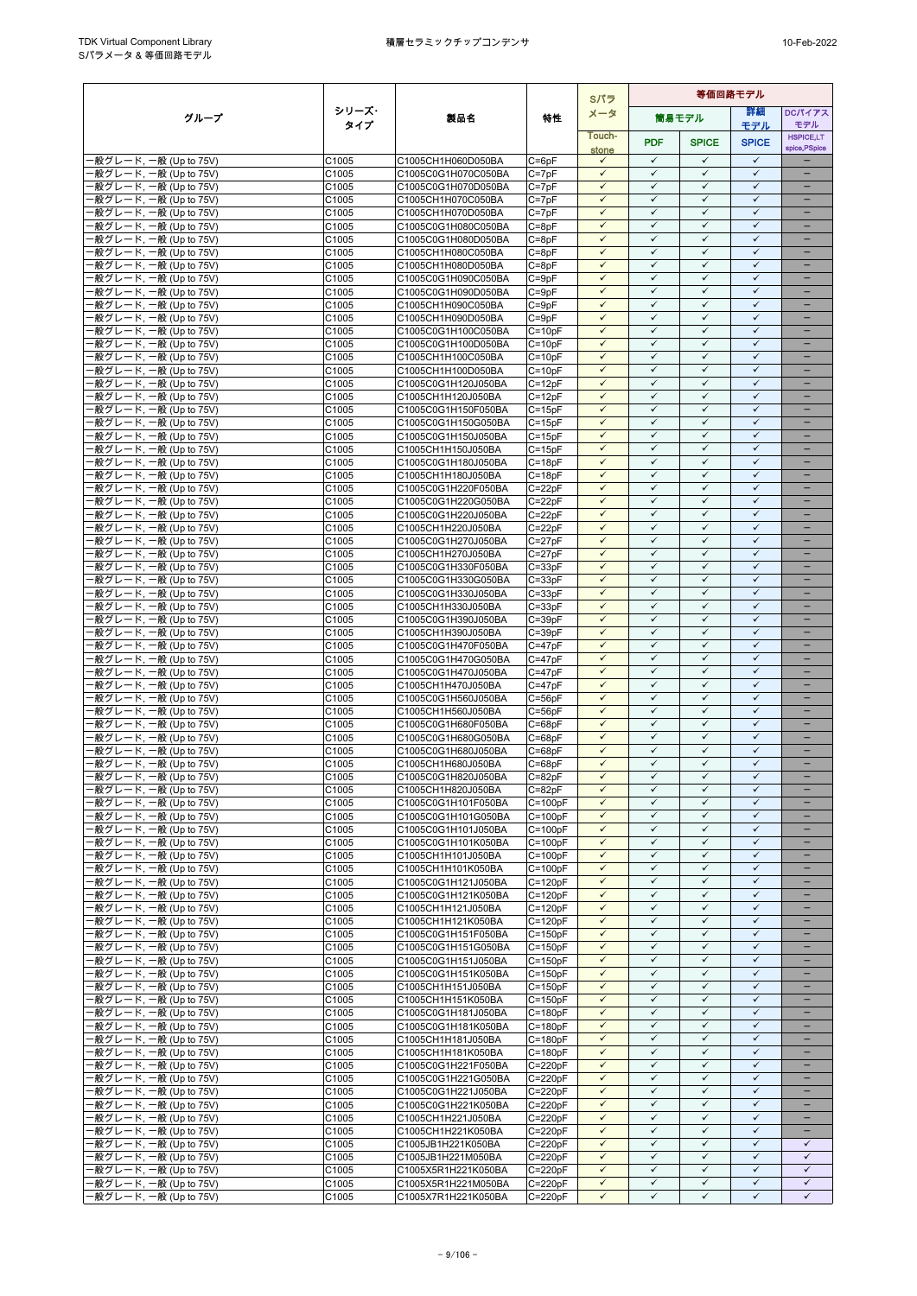|                                                  |                   |                                            |                            | Sパラ                          | 等価回路モデル                      |                              |                              |                                      |  |
|--------------------------------------------------|-------------------|--------------------------------------------|----------------------------|------------------------------|------------------------------|------------------------------|------------------------------|--------------------------------------|--|
| グループ                                             | シリーズ・             | 製品名                                        | 特性                         | メータ                          |                              | 筒易モデル                        | 詳細                           | <b>DCパイアス</b>                        |  |
|                                                  | タイプ               |                                            |                            | Touch-                       |                              |                              | モデル                          | モデル<br><b>HSPICE,LT</b>              |  |
|                                                  |                   |                                            |                            | stone                        | <b>PDF</b>                   | <b>SPICE</b>                 | <b>SPICE</b>                 | spice, PSpice                        |  |
| -般グレード, 一般 (Up to 75V)                           | C1005             | C1005CH1H060D050BA                         | C=6pF                      | $\checkmark$                 | $\checkmark$                 | $\checkmark$                 | $\checkmark$                 |                                      |  |
| -般グレード, 一般 (Up to 75V)<br>·般グレード, 一般 (Up to 75V) | C1005<br>C1005    | C1005C0G1H070C050BA<br>C1005C0G1H070D050BA | $C = 7pF$<br>$C = 7pF$     | $\checkmark$<br>$\checkmark$ | $\checkmark$<br>$\checkmark$ | $\checkmark$<br>$\checkmark$ | $\checkmark$<br>$\checkmark$ | $\equiv$<br>$\overline{\phantom{0}}$ |  |
| 般グレード, 一般 (Up to 75V)                            | C1005             | C1005CH1H070C050BA                         | $C = 7pF$                  | $\checkmark$                 | $\checkmark$                 | $\checkmark$                 | $\checkmark$                 |                                      |  |
| -般グレード, 一般 (Up to 75V)                           | C1005             | C1005CH1H070D050BA                         | $C = 7pF$                  | $\checkmark$                 | $\checkmark$                 | $\checkmark$                 | $\checkmark$                 | $\qquad \qquad -$                    |  |
| ·般グレード, 一般 (Up to 75V)                           | C1005             | C1005C0G1H080C050BA                        | $C = 8pF$                  | $\checkmark$                 | $\checkmark$                 | $\checkmark$                 | $\checkmark$                 |                                      |  |
| ·般グレード, 一般 (Up to 75V)                           | C1005             | C1005C0G1H080D050BA                        | $C = 8pF$                  | $\checkmark$                 | $\checkmark$                 | $\checkmark$                 | $\checkmark$                 | -                                    |  |
| ·般グレード, 一般 (Up to 75V)                           | C1005<br>C1005    | C1005CH1H080C050BA                         | $C = 8pF$                  | $\checkmark$<br>$\checkmark$ | $\checkmark$<br>$\checkmark$ | $\checkmark$<br>$\checkmark$ | $\checkmark$<br>$\checkmark$ | ÷<br>$\equiv$                        |  |
| 般グレード, 一般 (Up to 75V)<br>-般グレード, 一般 (Up to 75V)  | C1005             | C1005CH1H080D050BA<br>C1005C0G1H090C050BA  | $C = 8pF$<br>$C = 9pF$     | $\checkmark$                 | $\checkmark$                 | $\checkmark$                 | $\checkmark$                 | $\equiv$                             |  |
| -般グレード, 一般 (Up to 75V)                           | C1005             | C1005C0G1H090D050BA                        | $C = 9pF$                  | $\checkmark$                 | $\checkmark$                 | $\checkmark$                 | $\checkmark$                 | -                                    |  |
| -般グレード, 一般 (Up to 75V)                           | C1005             | C1005CH1H090C050BA                         | $C = 9pF$                  | $\checkmark$                 | $\checkmark$                 | $\checkmark$                 | $\checkmark$                 | -                                    |  |
| -般グレード, 一般 (Up to 75V)                           | C1005             | C1005CH1H090D050BA                         | $C = 9pF$                  | $\checkmark$                 | $\checkmark$                 | $\checkmark$                 | $\checkmark$                 |                                      |  |
| -般グレード, 一般 (Up to 75V)                           | C1005<br>C1005    | C1005C0G1H100C050BA<br>C1005C0G1H100D050BA | $C = 10pF$<br>$C = 10pF$   | $\checkmark$<br>$\checkmark$ | $\checkmark$<br>$\checkmark$ | $\checkmark$<br>$\checkmark$ | $\checkmark$<br>$\checkmark$ | ÷                                    |  |
| ·般グレード, 一般 (Up to 75V)<br>·般グレード, 一般 (Up to 75V) | C1005             | C1005CH1H100C050BA                         | $C = 10pF$                 | $\checkmark$                 | $\checkmark$                 | $\checkmark$                 | $\checkmark$                 | ÷                                    |  |
| -般グレード, 一般 (Up to 75V)                           | C1005             | C1005CH1H100D050BA                         | $C = 10pF$                 | $\checkmark$                 | $\checkmark$                 | $\checkmark$                 | $\checkmark$                 | -                                    |  |
| -般グレード, 一般 (Up to 75V)                           | C1005             | C1005C0G1H120J050BA                        | $C = 12pF$                 | $\checkmark$                 | $\checkmark$                 | $\checkmark$                 | $\checkmark$                 |                                      |  |
| -般グレード, 一般 (Up to 75V)                           | C1005             | C1005CH1H120J050BA                         | $C = 12pF$                 | $\checkmark$                 | $\checkmark$                 | $\checkmark$                 | $\checkmark$                 | ÷,                                   |  |
| ·般グレード, 一般 (Up to 75V)<br>·般グレード, 一般 (Up to 75V) | C1005<br>C1005    | C1005C0G1H150F050BA                        | $C = 15pF$<br>$C = 15pF$   | $\checkmark$<br>$\checkmark$ | $\checkmark$<br>$\checkmark$ | $\checkmark$<br>$\checkmark$ | $\checkmark$<br>$\checkmark$ |                                      |  |
| -般グレード, 一般 (Up to 75V)                           | C1005             | C1005C0G1H150G050BA<br>C1005C0G1H150J050BA | $C = 15pF$                 | $\checkmark$                 | $\checkmark$                 | $\checkmark$                 | $\checkmark$                 | -                                    |  |
| 般グレード, 一般 (Up to 75V)                            | C1005             | C1005CH1H150J050BA                         | $C = 15pF$                 | $\checkmark$                 | $\checkmark$                 | $\checkmark$                 | $\checkmark$                 | -                                    |  |
| ·般グレード, 一般 (Up to 75V)                           | C1005             | C1005C0G1H180J050BA                        | $C = 18pF$                 | $\checkmark$                 | $\checkmark$                 | $\checkmark$                 | $\checkmark$                 | -                                    |  |
| ·般グレード, 一般 (Up to 75V)                           | C1005             | C1005CH1H180J050BA                         | $C = 18pF$                 | $\checkmark$                 | $\checkmark$                 | $\checkmark$                 | $\checkmark$                 |                                      |  |
| ·般グレード, 一般 (Up to 75V)                           | C1005             | C1005C0G1H220F050BA                        | $C = 22pF$                 | $\checkmark$                 | $\checkmark$<br>$\checkmark$ | $\checkmark$                 | $\checkmark$<br>$\checkmark$ | -                                    |  |
| ·般グレード, 一般 (Up to 75V)<br>-般グレード, 一般 (Up to 75V) | C1005<br>C1005    | C1005C0G1H220G050BA<br>C1005C0G1H220J050BA | $C = 22pF$<br>$C = 22pF$   | $\checkmark$<br>$\checkmark$ | $\checkmark$                 | $\checkmark$<br>$\checkmark$ | $\checkmark$                 | $\equiv$                             |  |
| ·般グレード, 一般 (Up to 75V)                           | C1005             | C1005CH1H220J050BA                         | $C = 22pF$                 | $\checkmark$                 | $\checkmark$                 | $\checkmark$                 | $\checkmark$                 | -                                    |  |
| ·般グレード, 一般 (Up to 75V)                           | C1005             | C1005C0G1H270J050BA                        | $C = 27pF$                 | $\checkmark$                 | $\checkmark$                 | $\checkmark$                 | $\checkmark$                 | $\overline{\phantom{0}}$             |  |
| -般グレード, 一般 (Up to 75V)                           | C1005             | C1005CH1H270J050BA                         | $C = 27pF$                 | $\checkmark$                 | $\checkmark$                 | $\checkmark$                 | $\checkmark$                 | -                                    |  |
| ·般グレード, 一般 (Up to 75V)                           | C1005             | C1005C0G1H330F050BA                        | $C = 33pF$                 | $\checkmark$                 | $\checkmark$                 | $\checkmark$                 | $\checkmark$                 |                                      |  |
| -般グレード, 一般 (Up to 75V)                           | C1005             | C1005C0G1H330G050BA                        | $C = 33pF$                 | $\checkmark$<br>$\checkmark$ | $\checkmark$<br>$\checkmark$ | $\checkmark$<br>$\checkmark$ | $\checkmark$<br>$\checkmark$ | $\equiv$                             |  |
| -般グレード, 一般 (Up to 75V)<br>-般グレード, 一般 (Up to 75V) | C1005<br>C1005    | C1005C0G1H330J050BA<br>C1005CH1H330J050BA  | $C = 33pF$<br>$C = 33pF$   | $\checkmark$                 | $\checkmark$                 | $\checkmark$                 | $\checkmark$                 | $\equiv$                             |  |
| ·般グレード, 一般 (Up to 75V)                           | C1005             | C1005C0G1H390J050BA                        | $C = 39pF$                 | $\checkmark$                 | $\checkmark$                 | $\checkmark$                 | $\checkmark$                 | $\equiv$                             |  |
| ·般グレード, 一般 (Up to 75V)                           | C1005             | C1005CH1H390J050BA                         | $C = 39pF$                 | ✓                            | ✓                            | ✓                            | ✓                            |                                      |  |
| -般グレード, 一般 (Up to 75V)                           | C1005             | C1005C0G1H470F050BA                        | $C = 47pF$                 | $\checkmark$                 | $\checkmark$                 | $\checkmark$                 | $\checkmark$                 | -                                    |  |
| ·般グレード, 一般 (Up to 75V)                           | C1005             | C1005C0G1H470G050BA                        | $C = 47pF$                 | $\checkmark$                 | $\checkmark$<br>$\checkmark$ | $\checkmark$                 | $\checkmark$<br>$\checkmark$ |                                      |  |
| ·般グレード, 一般 (Up to 75V)<br>-般グレード, 一般 (Up to 75V) | C1005<br>C1005    | C1005C0G1H470J050BA<br>C1005CH1H470J050BA  | $C = 47pF$<br>$C = 47pF$   | $\checkmark$<br>$\checkmark$ | $\checkmark$                 | $\checkmark$<br>$\checkmark$ | $\checkmark$                 | $\overline{\phantom{0}}$             |  |
| -般グレード, 一般 (Up to 75V)                           | C1005             | C1005C0G1H560J050BA                        | $C = 56pF$                 | $\checkmark$                 | $\checkmark$                 | $\checkmark$                 | $\checkmark$                 | -                                    |  |
| -般グレード, 一般 (Up to 75V)                           | C1005             | C1005CH1H560J050BA                         | $C = 56pF$                 | $\checkmark$                 | $\checkmark$                 | $\checkmark$                 | $\checkmark$                 | -                                    |  |
| -般グレード, 一般 (Up to 75V)                           | C1005             | C1005C0G1H680F050BA                        | $C = 68pF$                 | $\checkmark$                 | $\checkmark$                 | $\checkmark$                 | $\checkmark$                 |                                      |  |
| -般グレード, 一般 (Up to 75V)                           | C1005             | C1005C0G1H680G050BA                        | $C = 68pF$                 | $\checkmark$<br>$\checkmark$ | $\checkmark$<br>$\checkmark$ | $\checkmark$<br>$\checkmark$ | $\checkmark$<br>$\checkmark$ | -                                    |  |
| ·般グレード, 一般 (Up to 75V)<br>·般グレード, 一般 (Up to 75V) | C1005<br>C1005    | C1005C0G1H680J050BA<br>C1005CH1H680J050BA  | C=68pF<br>$C = 68pF$       | $\checkmark$                 | $\checkmark$                 | $\checkmark$                 | $\checkmark$                 | -                                    |  |
| ·般グレード, 一般 (Up to 75V)                           | C <sub>1005</sub> | C1005C0G1H820J050BA                        | $C = 82pF$                 | $\checkmark$                 | $\checkmark$                 | $\checkmark$                 | $\checkmark$                 |                                      |  |
| ·般グレード, 一般 (Up to 75V)                           | C1005             | C1005CH1H820J050BA                         | $C = 82pF$                 | $\checkmark$                 | $\checkmark$                 | $\checkmark$                 | ✓                            | $\overline{\phantom{0}}$             |  |
| - 般グレード, 一般 (Up to 75V)                          | C1005             | C1005C0G1H101F050BA                        | $C = 100pF$                | $\checkmark$                 | $\checkmark$                 | $\checkmark$                 | $\checkmark$                 | -                                    |  |
| -般グレード, 一般 (Up to 75V)                           | C1005             | C1005C0G1H101G050BA                        | $C=100pF$                  | $\checkmark$                 | $\checkmark$                 | $\checkmark$                 | $\checkmark$                 |                                      |  |
| -般グレード, 一般 (Up to 75V)<br>-般グレード, 一般 (Up to 75V) | C1005<br>C1005    | C1005C0G1H101J050BA<br>C1005C0G1H101K050BA | $C = 100pF$<br>$C = 100pF$ | $\checkmark$<br>$\checkmark$ | $\checkmark$<br>$\checkmark$ | $\checkmark$<br>$\checkmark$ | $\checkmark$<br>$\checkmark$ | ÷                                    |  |
| ·般グレード, 一般 (Up to 75V)                           | C1005             | C1005CH1H101J050BA                         | $C=100pF$                  | $\checkmark$                 | $\checkmark$                 | $\checkmark$                 | $\checkmark$                 |                                      |  |
| -般グレード, 一般 (Up to 75V)                           | C1005             | C1005CH1H101K050BA                         | $C = 100pF$                | $\checkmark$                 | $\checkmark$                 | $\checkmark$                 | $\checkmark$                 | $\overline{\phantom{a}}$             |  |
| -般グレード, 一般 (Up to 75V)                           | C1005             | C1005C0G1H121J050BA                        | $C = 120pF$                | ✓                            | ✓                            | $\checkmark$                 | ✓                            |                                      |  |
| -般グレード, 一般 (Up to 75V)                           | C1005             | C1005C0G1H121K050BA                        | $C = 120pF$                | $\checkmark$                 | $\checkmark$                 | $\checkmark$                 | $\checkmark$                 | -                                    |  |
| ·般グレード, 一般 (Up to 75V)<br>-般グレード, 一般 (Up to 75V) | C1005<br>C1005    | C1005CH1H121J050BA<br>C1005CH1H121K050BA   | $C = 120pF$<br>$C = 120pF$ | $\checkmark$<br>$\checkmark$ | $\checkmark$<br>$\checkmark$ | $\checkmark$<br>$\checkmark$ | $\checkmark$<br>$\checkmark$ | ÷                                    |  |
| -般グレード, 一般 (Up to 75V)                           | C1005             | C1005C0G1H151F050BA                        | $C = 150pF$                | $\checkmark$                 | $\checkmark$                 | $\checkmark$                 | $\checkmark$                 | $\equiv$                             |  |
| -般グレード, 一般 (Up to 75V)                           | C1005             | C1005C0G1H151G050BA                        | $C = 150pF$                | $\checkmark$                 | $\checkmark$                 | $\checkmark$                 | $\checkmark$                 | -                                    |  |
| ·般グレード, 一般 (Up to 75V)                           | C1005             | C1005C0G1H151J050BA                        | $C = 150pF$                | $\checkmark$                 | $\checkmark$                 | $\checkmark$                 | ✓                            | -                                    |  |
| -般グレード, 一般 (Up to 75V)                           | C1005             | C1005C0G1H151K050BA                        | $C = 150pF$                | $\checkmark$                 | $\checkmark$                 | $\checkmark$                 | $\checkmark$                 |                                      |  |
| ·般グレード, 一般 (Up to 75V)                           | C1005<br>C1005    | C1005CH1H151J050BA                         | $C = 150pF$<br>$C = 150pF$ | $\checkmark$<br>$\checkmark$ | $\checkmark$<br>$\checkmark$ | $\checkmark$<br>$\checkmark$ | $\checkmark$<br>$\checkmark$ |                                      |  |
| ·般グレード, 一般 (Up to 75V)<br>·般グレード, 一般 (Up to 75V) | C1005             | C1005CH1H151K050BA<br>C1005C0G1H181J050BA  | $C = 180pF$                | $\checkmark$                 | $\checkmark$                 | $\checkmark$                 | $\checkmark$                 | $\overline{\phantom{0}}$             |  |
| -般グレード, 一般 (Up to 75V)                           | C1005             | C1005C0G1H181K050BA                        | $C = 180pF$                | $\checkmark$                 | $\checkmark$                 | $\checkmark$                 | $\checkmark$                 | -                                    |  |
| -般グレード, 一般 (Up to 75V)                           | C1005             | C1005CH1H181J050BA                         | $C = 180pF$                | $\checkmark$                 | $\checkmark$                 | $\checkmark$                 | ✓                            | -                                    |  |
| -般グレード, 一般 (Up to 75V)                           | C1005             | C1005CH1H181K050BA                         | $C = 180pF$                | $\checkmark$                 | $\checkmark$                 | $\checkmark$                 | $\checkmark$                 | -                                    |  |
| ·般グレード, 一般 (Up to 75V)<br>-般グレード, 一般 (Up to 75V) | C1005             | C1005C0G1H221F050BA                        | $C = 220pF$                | $\checkmark$<br>$\checkmark$ | $\checkmark$<br>$\checkmark$ | $\checkmark$<br>$\checkmark$ | $\checkmark$<br>$\checkmark$ | -                                    |  |
| -般グレード, 一般 (Up to 75V)                           | C1005<br>C1005    | C1005C0G1H221G050BA<br>C1005C0G1H221J050BA | $C = 220pF$<br>$C = 220pF$ | $\checkmark$                 | $\checkmark$                 | $\checkmark$                 | $\checkmark$                 | $\overline{\phantom{0}}$             |  |
| ·般グレード, 一般 (Up to 75V)                           | C1005             | C1005C0G1H221K050BA                        | $C = 220pF$                | $\checkmark$                 | $\checkmark$                 | $\checkmark$                 | $\checkmark$                 |                                      |  |
| -般グレード, 一般 (Up to 75V)                           | C1005             | C1005CH1H221J050BA                         | $C = 220pF$                | $\checkmark$                 | $\checkmark$                 | $\checkmark$                 | $\checkmark$                 | $\qquad \qquad -$                    |  |
| -般グレード, 一般 (Up to 75V)                           | C1005             | C1005CH1H221K050BA                         | $C = 220pF$                | $\checkmark$                 | $\checkmark$                 | $\checkmark$                 | $\checkmark$                 |                                      |  |
| ·般グレード, 一般 (Up to 75V)                           | C1005             | C1005JB1H221K050BA                         | $C = 220pF$                | $\checkmark$<br>$\checkmark$ | $\checkmark$<br>$\checkmark$ | $\checkmark$<br>$\checkmark$ | $\checkmark$<br>$\checkmark$ | $\checkmark$<br>$\checkmark$         |  |
| ·般グレード, 一般 (Up to 75V)<br>般グレード, 一般 (Up to 75V)  | C1005<br>C1005    | C1005JB1H221M050BA<br>C1005X5R1H221K050BA  | $C = 220pF$<br>$C = 220pF$ | $\checkmark$                 | $\checkmark$                 | $\checkmark$                 | $\checkmark$                 | $\checkmark$                         |  |
| ·般グレード, 一般 (Up to 75V)                           | C1005             | C1005X5R1H221M050BA                        | $C = 220pF$                | $\checkmark$                 | $\checkmark$                 | $\checkmark$                 | $\checkmark$                 | $\checkmark$                         |  |
| -般グレード, 一般 (Up to 75V)                           | C1005             | C1005X7R1H221K050BA                        | $C = 220pF$                | $\checkmark$                 | $\checkmark$                 | $\checkmark$                 | $\checkmark$                 | ✓                                    |  |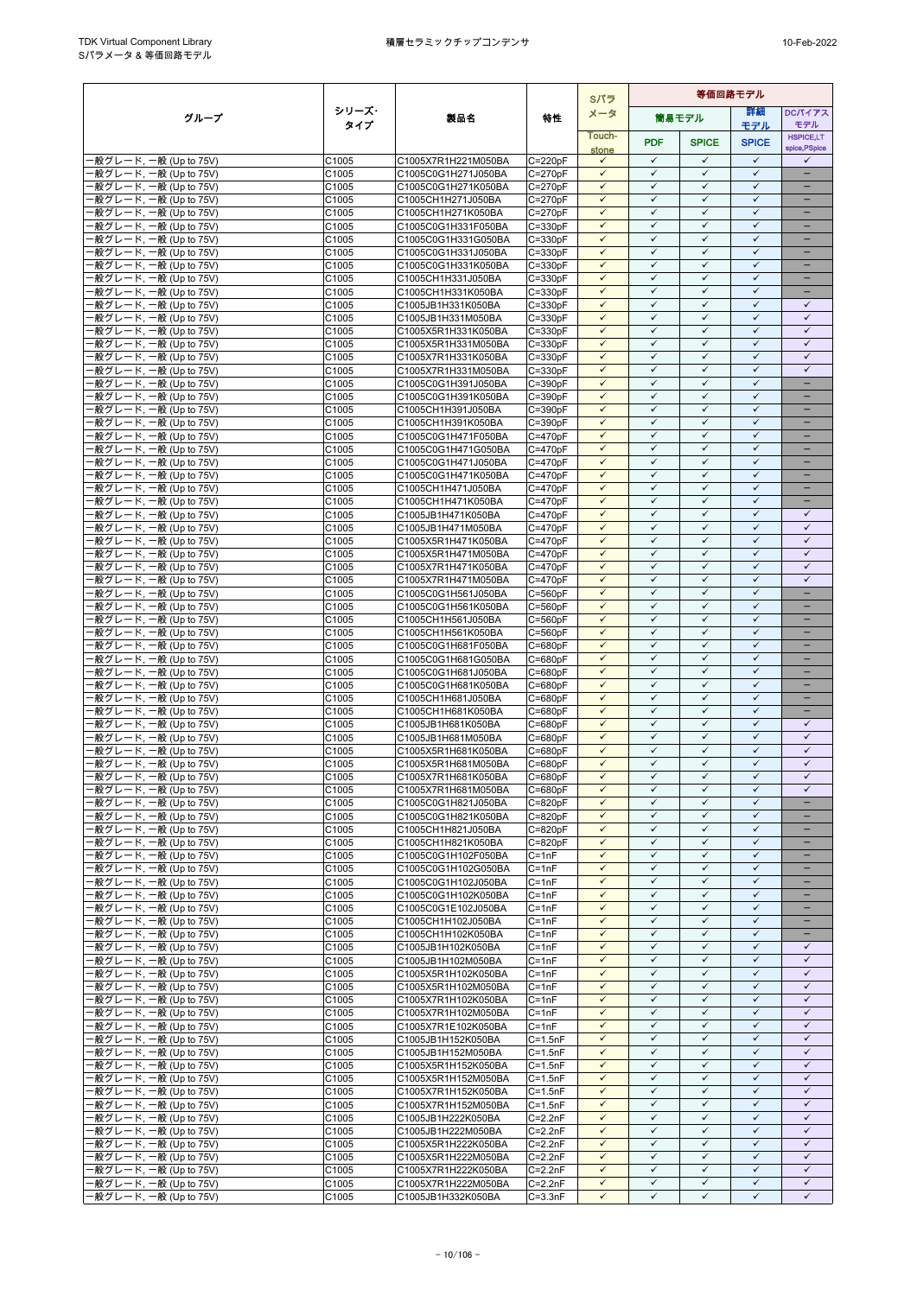|                                                  |                |                                            |                            | Sパラ                          |                              |                              | 等価回路モデル                      |                                               |
|--------------------------------------------------|----------------|--------------------------------------------|----------------------------|------------------------------|------------------------------|------------------------------|------------------------------|-----------------------------------------------|
| グループ                                             | シリーズ・          | 製品名                                        | 特性                         | メータ                          |                              | 筒易モデル                        | 詳細                           | <b>DCパイアス</b>                                 |
|                                                  | タイプ            |                                            |                            | Touch-                       |                              |                              | モデル                          | モデル<br><b>HSPICE,LT</b>                       |
|                                                  |                |                                            |                            | stone                        | <b>PDF</b>                   | <b>SPICE</b>                 | <b>SPICE</b>                 | spice, PSpice                                 |
| -般グレード, 一般 (Up to 75V)                           | C1005          | C1005X7R1H221M050BA                        | $C = 220pF$                | $\checkmark$                 | $\checkmark$                 | $\checkmark$                 | $\checkmark$                 | $\checkmark$                                  |
| -般グレード, 一般 (Up to 75V)                           | C1005          | C1005C0G1H271J050BA                        | $C = 270pF$                | $\checkmark$                 | $\checkmark$                 | $\checkmark$                 | $\checkmark$                 |                                               |
| ·般グレード, 一般 (Up to 75V)<br>-般グレード, 一般 (Up to 75V) | C1005<br>C1005 | C1005C0G1H271K050BA<br>C1005CH1H271J050BA  | $C = 270pF$<br>$C = 270pF$ | $\checkmark$<br>$\checkmark$ | $\checkmark$<br>$\checkmark$ | $\checkmark$<br>$\checkmark$ | $\checkmark$<br>$\checkmark$ | -<br>$\overline{\phantom{0}}$                 |
| ·般グレード, 一般 (Up to 75V)                           | C1005          | C1005CH1H271K050BA                         | $C = 270pF$                | $\checkmark$                 | ✓                            | $\checkmark$                 | $\checkmark$                 | -                                             |
| -般グレード, 一般 (Up to 75V)                           | C1005          | C1005C0G1H331F050BA                        | $C = 330pF$                | $\checkmark$                 | $\checkmark$                 | $\checkmark$                 | $\checkmark$                 |                                               |
| 般グレード, 一般 (Up to 75V)                            | C1005          | C1005C0G1H331G050BA                        | $C = 330pF$                | $\checkmark$                 | $\checkmark$                 | $\checkmark$                 | $\checkmark$                 | ۳                                             |
| -般グレード, 一般 (Up to 75V)                           | C1005          | C1005C0G1H331J050BA                        | $C = 330pF$                | $\checkmark$                 | $\checkmark$                 | $\checkmark$                 | $\checkmark$                 |                                               |
| ·般グレード, 一般 (Up to 75V)                           | C1005          | C1005C0G1H331K050BA                        | $C = 330pF$                | $\checkmark$<br>$\checkmark$ | $\checkmark$<br>$\checkmark$ | $\checkmark$<br>$\checkmark$ | $\checkmark$<br>$\checkmark$ | $\equiv$<br>$\qquad \qquad -$                 |
| ·般グレード, 一般 (Up to 75V)<br>-般グレード, 一般 (Up to 75V) | C1005<br>C1005 | C1005CH1H331J050BA<br>C1005CH1H331K050BA   | $C = 330pF$<br>$C = 330pF$ | $\checkmark$                 | ✓                            | ✓                            | $\checkmark$                 |                                               |
| -般グレード, 一般 (Up to 75V)                           | C1005          | C1005JB1H331K050BA                         | $C = 330pF$                | $\checkmark$                 | $\checkmark$                 | $\checkmark$                 | $\checkmark$                 | $\checkmark$                                  |
| 般グレード, 一般 (Up to 75V)                            | C1005          | C1005JB1H331M050BA                         | $C = 330pF$                | $\checkmark$                 | $\checkmark$                 | $\checkmark$                 | $\checkmark$                 | $\checkmark$                                  |
| 般グレード, 一般 (Up to 75V)                            | C1005          | C1005X5R1H331K050BA                        | $C = 330pF$                | $\checkmark$                 | $\checkmark$                 | $\checkmark$                 | $\checkmark$                 | $\checkmark$                                  |
| ·般グレード, 一般 (Up to 75V)                           | C1005          | C1005X5R1H331M050BA                        | $C = 330pF$                | $\checkmark$                 | $\checkmark$                 | $\checkmark$                 | $\checkmark$                 | $\checkmark$                                  |
| -般グレード, 一般 (Up to 75V)<br>-般グレード, 一般 (Up to 75V) | C1005<br>C1005 | C1005X7R1H331K050BA<br>C1005X7R1H331M050BA | $C = 330pF$<br>$C = 330pF$ | $\checkmark$<br>$\checkmark$ | $\checkmark$<br>$\checkmark$ | $\checkmark$<br>$\checkmark$ | $\checkmark$<br>$\checkmark$ | $\checkmark$<br>$\checkmark$                  |
| ·般グレード, 一般 (Up to 75V)                           | C1005          | C1005C0G1H391J050BA                        | $C = 390pF$                | $\checkmark$                 | $\checkmark$                 | $\checkmark$                 | $\checkmark$                 |                                               |
| ·般グレード, 一般 (Up to 75V)                           | C1005          | C1005C0G1H391K050BA                        | $C = 390pF$                | $\checkmark$                 | $\checkmark$                 | $\checkmark$                 | $\checkmark$                 |                                               |
| ·般グレード, 一般 (Up to 75V)                           | C1005          | C1005CH1H391J050BA                         | $C = 390pF$                | $\checkmark$                 | $\checkmark$                 | ✓                            | $\checkmark$                 |                                               |
| -般グレード, 一般 (Up to 75V)                           | C1005          | C1005CH1H391K050BA                         | $C = 390pF$                | $\checkmark$                 | $\checkmark$                 | $\checkmark$                 | $\checkmark$                 | $\equiv$                                      |
| ·般グレード, 一般 (Up to 75V)                           | C1005          | C1005C0G1H471F050BA                        | $C = 470pF$                | $\checkmark$<br>$\checkmark$ | $\checkmark$<br>✓            | $\checkmark$<br>$\checkmark$ | $\checkmark$<br>$\checkmark$ | -<br>$\overline{\phantom{0}}$                 |
| -般グレード, 一般 (Up to 75V)<br>-般グレード, 一般 (Up to 75V) | C1005<br>C1005 | C1005C0G1H471G050BA<br>C1005C0G1H471J050BA | $C = 470pF$<br>$C = 470pF$ | $\checkmark$                 | $\checkmark$                 | $\checkmark$                 | $\checkmark$                 | -                                             |
| ·般グレード, 一般 (Up to 75V)                           | C1005          | C1005C0G1H471K050BA                        | $C = 470pF$                | $\checkmark$                 | $\checkmark$                 | $\checkmark$                 | $\checkmark$                 |                                               |
| -般グレード, 一般 (Up to 75V)                           | C1005          | C1005CH1H471J050BA                         | $C = 470pF$                | $\checkmark$                 | $\checkmark$                 | $\checkmark$                 | $\checkmark$                 | $\equiv$                                      |
| -般グレード, 一般 (Up to 75V)                           | C1005          | C1005CH1H471K050BA                         | $C = 470pF$                | $\checkmark$                 | $\checkmark$                 | $\checkmark$                 | $\checkmark$                 | ÷                                             |
| -般グレード, 一般 (Up to 75V)                           | C1005          | C1005JB1H471K050BA                         | $C = 470pF$                | $\checkmark$                 | $\checkmark$<br>$\checkmark$ | $\checkmark$                 | $\checkmark$<br>$\checkmark$ | $\checkmark$<br>$\checkmark$                  |
| ·般グレード, 一般 (Up to 75V)<br>-般グレード, 一般 (Up to 75V) | C1005<br>C1005 | C1005JB1H471M050BA<br>C1005X5R1H471K050BA  | $C = 470pF$<br>$C = 470pF$ | $\checkmark$<br>$\checkmark$ | ✓                            | $\checkmark$<br>$\checkmark$ | $\checkmark$                 | $\checkmark$                                  |
| -般グレード, 一般 (Up to 75V)                           | C1005          | C1005X5R1H471M050BA                        | $C = 470pF$                | $\checkmark$                 | $\checkmark$                 | $\checkmark$                 | $\checkmark$                 | $\checkmark$                                  |
| ·般グレード, 一般 (Up to 75V)                           | C1005          | C1005X7R1H471K050BA                        | $C = 470pF$                | $\checkmark$                 | $\checkmark$                 | $\checkmark$                 | $\checkmark$                 | $\checkmark$                                  |
| ·般グレード, 一般 (Up to 75V)                           | C1005          | C1005X7R1H471M050BA                        | $C = 470pF$                | $\checkmark$                 | $\checkmark$                 | $\checkmark$                 | $\checkmark$                 | $\checkmark$                                  |
| -般グレード, 一般 (Up to 75V)                           | C1005          | C1005C0G1H561J050BA                        | $C = 560pF$                | $\checkmark$                 | $\checkmark$                 | $\checkmark$                 | $\checkmark$                 | $\overline{\phantom{0}}$                      |
| 般グレード, 一般 (Up to 75V)                            | C1005          | C1005C0G1H561K050BA                        | $C = 560pF$                | $\checkmark$                 | $\checkmark$<br>$\checkmark$ | $\checkmark$                 | $\checkmark$<br>$\checkmark$ | $\overline{\phantom{0}}$                      |
| ·般グレード, 一般 (Up to 75V)<br>·般グレード, 一般 (Up to 75V) | C1005<br>C1005 | C1005CH1H561J050BA<br>C1005CH1H561K050BA   | $C = 560pF$<br>$C = 560pF$ | $\checkmark$<br>$\checkmark$ | $\checkmark$                 | $\checkmark$<br>$\checkmark$ | $\checkmark$                 |                                               |
| -般グレード, 一般 (Up to 75V)                           | C1005          | C1005C0G1H681F050BA                        | $C = 680pF$                | $\checkmark$                 | $\checkmark$                 | $\checkmark$                 | $\checkmark$                 |                                               |
| ·般グレード, 一般 (Up to 75V)                           | C1005          | C1005C0G1H681G050BA                        | C=680pF                    | $\checkmark$                 | $\checkmark$                 | $\checkmark$                 | $\checkmark$                 | $\equiv$                                      |
| -般グレード, 一般 (Up to 75V)                           | C1005          | C1005C0G1H681J050BA                        | $C = 680pF$                | $\checkmark$                 | $\checkmark$                 | $\checkmark$                 | $\checkmark$                 | $\overline{\phantom{0}}$                      |
| ·般グレード, 一般 (Up to 75V)                           | C1005          | C1005C0G1H681K050BA                        | $C = 680pF$                | $\checkmark$                 | $\checkmark$                 | $\checkmark$                 | $\checkmark$                 | -                                             |
| -般グレード, 一般 (Up to 75V)<br>-般グレード, 一般 (Up to 75V) | C1005<br>C1005 | C1005CH1H681J050BA<br>C1005CH1H681K050BA   | $C = 680pF$<br>$C = 680pF$ | $\checkmark$<br>$\checkmark$ | $\checkmark$<br>$\checkmark$ | $\checkmark$<br>$\checkmark$ | ✓<br>$\checkmark$            | $\overline{\phantom{0}}$<br>$\qquad \qquad -$ |
| ·般グレード, 一般 (Up to 75V)                           | C1005          | C1005JB1H681K050BA                         | $C = 680pF$                | $\checkmark$                 | $\checkmark$                 | $\checkmark$                 | $\checkmark$                 | $\checkmark$                                  |
| -般グレード, 一般 (Up to 75V)                           | C1005          | C1005JB1H681M050BA                         | $C = 680pF$                | $\checkmark$                 | $\checkmark$                 | $\checkmark$                 | $\checkmark$                 | $\checkmark$                                  |
| -般グレード, 一般 (Up to 75V)                           | C1005          | C1005X5R1H681K050BA                        | $C = 680pF$                | $\checkmark$                 | $\checkmark$                 | $\checkmark$                 | $\checkmark$                 | $\checkmark$                                  |
| ·般グレード, 一般 (Up to 75V)                           | C1005          | C1005X5R1H681M050BA                        | $C = 680pF$                | $\checkmark$                 | $\checkmark$                 | $\checkmark$                 | $\checkmark$                 | $\checkmark$                                  |
| ·般グレード, 一般 (Up to 75V)                           | C1005          | C1005X7R1H681K050BA                        | $C = 680pF$                | $\checkmark$<br>$\checkmark$ | $\checkmark$<br>$\checkmark$ | $\checkmark$<br>$\checkmark$ | $\checkmark$<br>$\checkmark$ | $\checkmark$<br>$\checkmark$                  |
| -般グレード, 一般 (Up to 75V)<br>-般グレード, 一般 (Up to 75V) | C1005<br>C1005 | C1005X7R1H681M050BA<br>C1005C0G1H821J050BA | $C = 680pF$<br>$C = 820pF$ | $\checkmark$                 | $\checkmark$                 | $\checkmark$                 | $\checkmark$                 |                                               |
| -般グレード, 一般 (Up to 75V)                           | C1005          | C1005C0G1H821K050BA                        | $C = 820pF$                | $\checkmark$                 | $\checkmark$                 | $\checkmark$                 | $\checkmark$                 | -                                             |
| -般グレード, 一般 (Up to 75V)                           | C1005          | C1005CH1H821J050BA                         | $C = 820pF$                | $\checkmark$                 | $\checkmark$                 | $\checkmark$                 | $\checkmark$                 |                                               |
| ·般グレード, 一般 (Up to 75V)                           | C1005          | C1005CH1H821K050BA                         | $C = 820pF$                | $\checkmark$                 | $\checkmark$                 | $\checkmark$                 | $\checkmark$                 |                                               |
| -般グレード, 一般 (Up to 75V)                           | C1005          | C1005C0G1H102F050BA                        | $C = 1nF$                  | $\checkmark$                 | ✓                            | $\checkmark$                 | $\checkmark$                 | -                                             |
| -般グレード, 一般 (Up to 75V)<br>-般グレード, 一般 (Up to 75V) | C1005<br>C1005 | C1005C0G1H102G050BA<br>C1005C0G1H102J050BA | $C = 1nF$<br>$C = 1nF$     | $\checkmark$<br>$\checkmark$ | ✓<br>✓                       | $\checkmark$<br>$\checkmark$ | $\checkmark$<br>$\checkmark$ |                                               |
| -般グレード, 一般 (Up to 75V)                           | C1005          | C1005C0G1H102K050BA                        | $C = 1nF$                  | $\checkmark$                 | $\checkmark$                 | $\checkmark$                 | $\checkmark$                 |                                               |
| ·般グレード, 一般 (Up to 75V)                           | C1005          | C1005C0G1E102J050BA                        | $C = 1nF$                  | ✓                            | $\checkmark$                 | $\checkmark$                 | $\checkmark$                 |                                               |
| -般グレード, 一般 (Up to 75V)                           | C1005          | C1005CH1H102J050BA                         | $C = 1nF$                  | $\checkmark$                 | $\checkmark$                 | $\checkmark$                 | $\checkmark$                 | $\equiv$                                      |
| -般グレード, 一般 (Up to 75V)                           | C1005          | C1005CH1H102K050BA                         | $C = 1nF$                  | $\checkmark$                 | $\checkmark$                 | $\checkmark$                 | $\checkmark$                 |                                               |
| ·般グレード, 一般 (Up to 75V)                           | C1005<br>C1005 | C1005JB1H102K050BA                         | $C = 1nF$                  | $\checkmark$<br>$\checkmark$ | ✓<br>$\checkmark$            | $\checkmark$<br>$\checkmark$ | ✓<br>$\checkmark$            | ✓<br>$\checkmark$                             |
| -般グレード, 一般 (Up to 75V)<br>·般グレード, 一般 (Up to 75V) | C1005          | C1005JB1H102M050BA<br>C1005X5R1H102K050BA  | $C = 1nF$<br>$C = 1nF$     | $\checkmark$                 | $\checkmark$                 | $\checkmark$                 | $\checkmark$                 | $\checkmark$                                  |
| 般グレード, 一般 (Up to 75V)                            | C1005          | C1005X5R1H102M050BA                        | $C = 1nF$                  | $\checkmark$                 | ✓                            | ✓                            | $\checkmark$                 | $\checkmark$                                  |
| -般グレード, 一般 (Up to 75V)                           | C1005          | C1005X7R1H102K050BA                        | $C = 1nF$                  | $\checkmark$                 | $\checkmark$                 | $\checkmark$                 | $\checkmark$                 | $\checkmark$                                  |
| ·般グレード, 一般 (Up to 75V)                           | C1005          | C1005X7R1H102M050BA                        | $C = 1nF$                  | $\checkmark$                 | ✓                            | $\checkmark$                 | ✓                            | $\checkmark$                                  |
| ·般グレード, 一般 (Up to 75V)                           | C1005          | C1005X7R1E102K050BA                        | $C = 1nF$                  | $\checkmark$                 | $\checkmark$                 | $\checkmark$                 | $\checkmark$                 | $\checkmark$                                  |
| ·般グレード, 一般 (Up to 75V)<br>·般グレード, 一般 (Up to 75V) | C1005<br>C1005 | C1005JB1H152K050BA                         | $C = 1.5nF$<br>$C = 1.5nF$ | $\checkmark$<br>$\checkmark$ | $\checkmark$<br>$\checkmark$ | $\checkmark$<br>$\checkmark$ | ✓<br>$\checkmark$            | $\checkmark$<br>$\checkmark$                  |
| ·般グレード, 一般 (Up to 75V)                           | C1005          | C1005JB1H152M050BA<br>C1005X5R1H152K050BA  | $C = 1.5nF$                | $\checkmark$                 | $\checkmark$                 | $\checkmark$                 | $\checkmark$                 | $\checkmark$                                  |
| -般グレード, 一般 (Up to 75V)                           | C1005          | C1005X5R1H152M050BA                        | $C = 1.5nF$                | $\checkmark$                 | $\checkmark$                 | $\checkmark$                 | $\checkmark$                 | $\checkmark$                                  |
| ·般グレード, 一般 (Up to 75V)                           | C1005          | C1005X7R1H152K050BA                        | $C = 1.5nF$                | $\checkmark$                 | $\checkmark$                 | $\checkmark$                 | $\checkmark$                 | $\checkmark$                                  |
| ·般グレード, 一般 (Up to 75V)                           | C1005          | C1005X7R1H152M050BA                        | $C=1.5nF$                  | $\checkmark$                 | $\checkmark$                 | $\checkmark$                 | $\checkmark$                 | $\checkmark$                                  |
| ·般グレード, 一般 (Up to 75V)                           | C1005          | C1005JB1H222K050BA                         | $C=2.2nF$                  | $\checkmark$                 | ✓<br>$\checkmark$            | ✓                            | $\checkmark$<br>$\checkmark$ | $\checkmark$                                  |
| ·般グレード, 一般 (Up to 75V)<br>·般グレード, 一般 (Up to 75V) | C1005<br>C1005 | C1005JB1H222M050BA<br>C1005X5R1H222K050BA  | $C = 2.2nF$<br>$C = 2.2nF$ | $\checkmark$<br>$\checkmark$ | $\checkmark$                 | $\checkmark$<br>$\checkmark$ | $\checkmark$                 | $\checkmark$<br>$\checkmark$                  |
| ·般グレード, 一般 (Up to 75V)                           | C1005          | C1005X5R1H222M050BA                        | $C = 2.2nF$                | ✓                            | ✓                            | $\checkmark$                 | $\checkmark$                 | $\checkmark$                                  |
| -般グレード, 一般 (Up to 75V)                           | C1005          | C1005X7R1H222K050BA                        | $C = 2.2nF$                | $\checkmark$                 | $\checkmark$                 | $\checkmark$                 | $\checkmark$                 | $\checkmark$                                  |
| ·般グレード, 一般 (Up to 75V)                           | C1005          | C1005X7R1H222M050BA                        | $C=2.2nF$                  | $\checkmark$                 | $\checkmark$                 | $\checkmark$                 | $\checkmark$                 | $\checkmark$                                  |
| ·般グレード, 一般 (Up to 75V)                           | C1005          | C1005JB1H332K050BA                         | $C = 3.3nF$                | $\checkmark$                 | ✓                            | ✓                            | ✓                            | ✓                                             |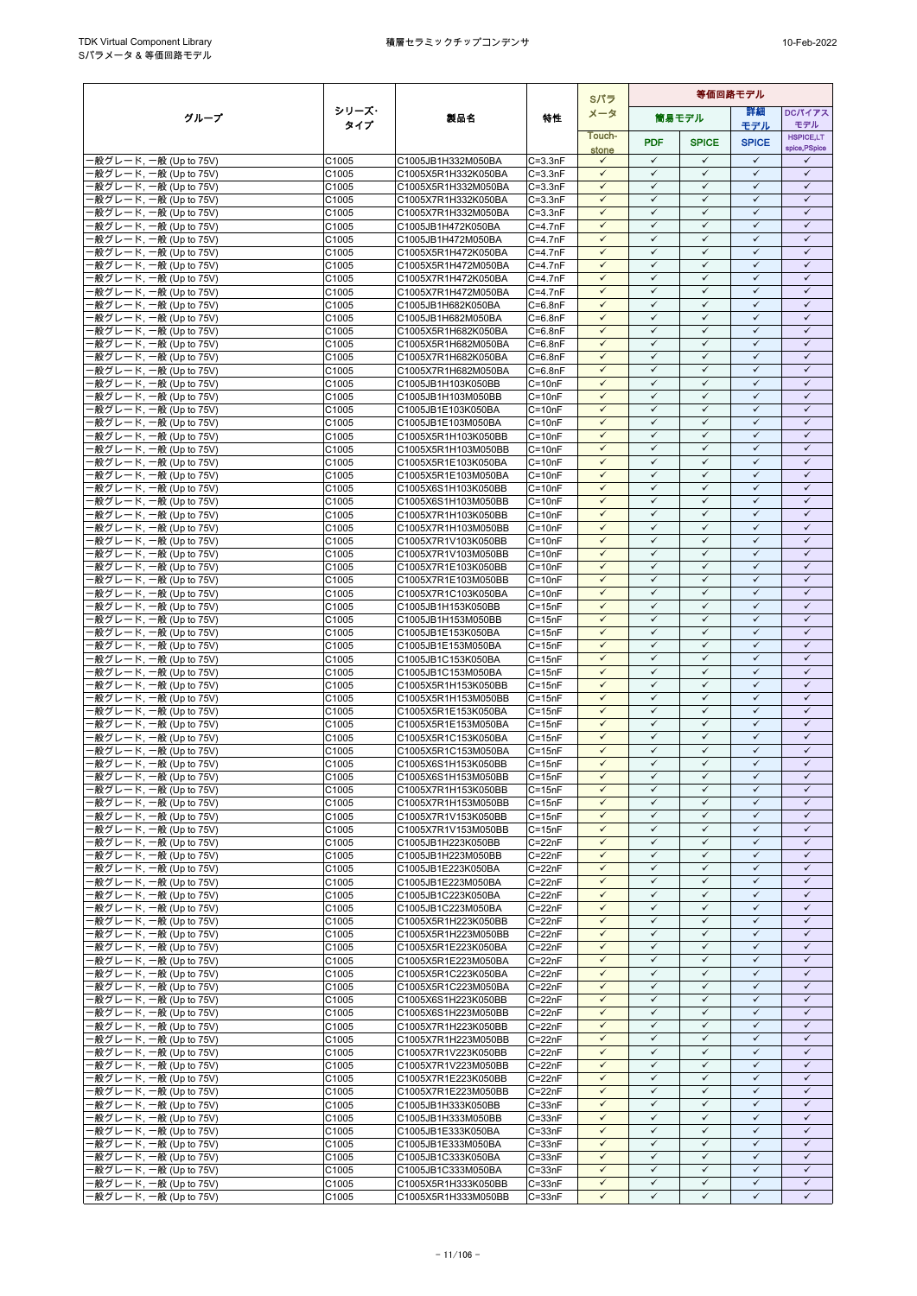|                                                   |                |                                            |                            | Sパラ                          | 等価回路モデル                      |                              |                              |                              |  |
|---------------------------------------------------|----------------|--------------------------------------------|----------------------------|------------------------------|------------------------------|------------------------------|------------------------------|------------------------------|--|
| グループ                                              | シリーズ・          | 製品名                                        | 特性                         | メータ                          |                              | 筒易モデル                        | 詳細                           | <b>DCパイアス</b>                |  |
|                                                   | タイプ            |                                            |                            | Touch-                       |                              |                              | モデル                          | モデル<br><b>HSPICE,LT</b>      |  |
|                                                   |                |                                            |                            | stone                        | <b>PDF</b>                   | <b>SPICE</b>                 | <b>SPICE</b>                 | spice, PSpice                |  |
| -般グレード, 一般 (Up to 75V)                            | C1005          | C1005JB1H332M050BA                         | $C = 3.3nF$                | $\checkmark$<br>$\checkmark$ | $\checkmark$<br>$\checkmark$ | $\checkmark$<br>$\checkmark$ | $\checkmark$<br>$\checkmark$ | ✓<br>$\checkmark$            |  |
| -般グレード, 一般 (Up to 75V)<br>·般グレード, 一般 (Up to 75V)  | C1005<br>C1005 | C1005X5R1H332K050BA<br>C1005X5R1H332M050BA | $C = 3.3nF$<br>$C = 3.3nF$ | $\checkmark$                 | $\checkmark$                 | $\checkmark$                 | $\checkmark$                 | $\checkmark$                 |  |
| ·般グレード, 一般 (Up to 75V)                            | C1005          | C1005X7R1H332K050BA                        | $C = 3.3nF$                | $\checkmark$                 | $\checkmark$                 | $\checkmark$                 | $\checkmark$                 | $\checkmark$                 |  |
| ·般グレード, 一般 (Up to 75V)                            | C1005          | C1005X7R1H332M050BA                        | $C = 3.3nF$                | $\checkmark$                 | $\checkmark$                 | $\checkmark$                 | $\checkmark$                 | $\checkmark$                 |  |
| -般グレード, 一般 (Up to 75V)                            | C1005          | C1005JB1H472K050BA                         | $C = 4.7nF$                | $\checkmark$                 | $\checkmark$                 | ✓                            | ✓                            | ✓                            |  |
| ·般グレード, 一般 (Up to 75V)                            | C1005          | C1005JB1H472M050BA                         | $C=4.7nF$                  | $\checkmark$                 | $\checkmark$                 | $\checkmark$                 | $\checkmark$                 | $\checkmark$                 |  |
| ·般グレード, 一般 (Up to 75V)<br>般グレード, 一般 (Up to 75V)   | C1005<br>C1005 | C1005X5R1H472K050BA<br>C1005X5R1H472M050BA | $C = 4.7nF$<br>$C = 4.7nF$ | $\checkmark$<br>$\checkmark$ | $\checkmark$<br>$\checkmark$ | $\checkmark$<br>$\checkmark$ | $\checkmark$<br>$\checkmark$ | $\checkmark$<br>$\checkmark$ |  |
| ·般グレード, 一般 (Up to 75V)                            | C1005          | C1005X7R1H472K050BA                        | $C = 4.7nF$                | $\checkmark$                 | $\checkmark$                 | $\checkmark$                 | $\checkmark$                 | $\checkmark$                 |  |
| ·般グレード, 一般 (Up to 75V)                            | C1005          | C1005X7R1H472M050BA                        | $C = 4.7nF$                | $\checkmark$                 | $\checkmark$                 | $\checkmark$                 | $\checkmark$                 | $\checkmark$                 |  |
| ·般グレード, 一般 (Up to 75V)                            | C1005          | C1005JB1H682K050BA                         | $C = 6.8nF$                | $\checkmark$                 | $\checkmark$                 | $\checkmark$                 | $\checkmark$                 | $\checkmark$                 |  |
| 般グレード, 一般 (Up to 75V)                             | C1005          | C1005JB1H682M050BA                         | $C = 6.8nF$                | $\checkmark$<br>$\checkmark$ | $\checkmark$<br>$\checkmark$ | $\checkmark$<br>$\checkmark$ | $\checkmark$<br>$\checkmark$ | $\checkmark$<br>$\checkmark$ |  |
| ·般グレード, 一般 (Up to 75V)<br>·般グレード, 一般 (Up to 75V)  | C1005<br>C1005 | C1005X5R1H682K050BA<br>C1005X5R1H682M050BA | $C = 6.8nF$<br>$C = 6.8nF$ | $\checkmark$                 | $\checkmark$                 | $\checkmark$                 | $\checkmark$                 | $\checkmark$                 |  |
| 般グレード, 一般 (Up to 75V)                             | C1005          | C1005X7R1H682K050BA                        | $C = 6.8nF$                | $\checkmark$                 | $\checkmark$                 | $\checkmark$                 | $\checkmark$                 | $\checkmark$                 |  |
| ·般グレード, 一般 (Up to 75V)                            | C1005          | C1005X7R1H682M050BA                        | $C = 6.8nF$                | $\checkmark$                 | $\checkmark$                 | $\checkmark$                 | $\checkmark$                 | $\checkmark$                 |  |
| ·般グレード, 一般 (Up to 75V)                            | C1005          | C1005JB1H103K050BB                         | $C = 10nF$                 | $\checkmark$                 | $\checkmark$                 | $\checkmark$                 | $\checkmark$                 | $\checkmark$                 |  |
| ·般グレード, 一般 (Up to 75V)<br>·般グレード, 一般 (Up to 75V)  | C1005<br>C1005 | C1005JB1H103M050BB<br>C1005JB1E103K050BA   | $C = 10nF$<br>$C = 10nF$   | $\checkmark$                 | $\checkmark$<br>✓            | $\checkmark$<br>✓            | $\checkmark$<br>✓            | $\checkmark$<br>✓            |  |
| ·般グレード, 一般 (Up to 75V)                            | C1005          | C1005JB1E103M050BA                         | $C = 10nF$                 | $\checkmark$                 | $\checkmark$                 | $\checkmark$                 | $\checkmark$                 | $\checkmark$                 |  |
| ·般グレード, 一般 (Up to 75V)                            | C1005          | C1005X5R1H103K050BB                        | $C = 10nF$                 | $\checkmark$                 | $\checkmark$                 | $\checkmark$                 | $\checkmark$                 | $\checkmark$                 |  |
| -般グレード, 一般 (Up to 75V)                            | C1005          | C1005X5R1H103M050BB                        | $C = 10nF$                 | $\checkmark$                 | $\checkmark$                 | $\checkmark$                 | $\checkmark$                 | $\checkmark$                 |  |
| ·般グレード, 一般 (Up to 75V)                            | C1005          | C1005X5R1E103K050BA                        | $C = 10nF$                 | $\checkmark$                 | $\checkmark$                 | $\checkmark$                 | $\checkmark$                 | $\checkmark$                 |  |
| ·般グレード, 一般 (Up to 75V)<br>-般グレード, 一般 (Up to 75V)  | C1005<br>C1005 | C1005X5R1E103M050BA<br>C1005X6S1H103K050BB | $C = 10nF$<br>$C = 10nF$   | $\checkmark$<br>$\checkmark$ | $\checkmark$<br>$\checkmark$ | ✓<br>$\checkmark$            | $\checkmark$<br>$\checkmark$ | $\checkmark$<br>$\checkmark$ |  |
| 般グレード, 一般 (Up to 75V)                             | C1005          | C1005X6S1H103M050BB                        | $C = 10nF$                 | $\checkmark$                 | $\checkmark$                 | $\checkmark$                 | $\checkmark$                 | $\checkmark$                 |  |
| 般グレード, 一般 (Up to 75V)                             | C1005          | C1005X7R1H103K050BB                        | $C = 10nF$                 | $\checkmark$                 | $\checkmark$                 | $\checkmark$                 | $\checkmark$                 | $\checkmark$                 |  |
| ·般グレード, 一般 (Up to 75V)                            | C1005          | C1005X7R1H103M050BB                        | $C = 10nF$                 | $\checkmark$                 | $\checkmark$                 | $\checkmark$                 | $\checkmark$                 | $\checkmark$                 |  |
| ·般グレード, 一般 (Up to 75V)                            | C1005          | C1005X7R1V103K050BB                        | $C = 10nF$                 | $\checkmark$<br>$\checkmark$ | $\checkmark$<br>$\checkmark$ | $\checkmark$<br>$\checkmark$ | $\checkmark$<br>$\checkmark$ | $\checkmark$<br>$\checkmark$ |  |
| ·般グレード, 一般 (Up to 75V)<br>·般グレード, 一般 (Up to 75V)  | C1005<br>C1005 | C1005X7R1V103M050BB<br>C1005X7R1E103K050BB | $C = 10nF$<br>$C = 10nF$   | $\checkmark$                 | $\checkmark$                 | $\checkmark$                 | $\checkmark$                 | $\checkmark$                 |  |
| ·般グレード, 一般 (Up to 75V)                            | C1005          | C1005X7R1E103M050BB                        | $C = 10nF$                 | $\checkmark$                 | $\checkmark$                 | $\checkmark$                 | $\checkmark$                 | $\checkmark$                 |  |
| ·般グレード, 一般 (Up to 75V)                            | C1005          | C1005X7R1C103K050BA                        | $C = 10nF$                 | $\checkmark$                 | $\checkmark$                 | $\checkmark$                 | $\checkmark$                 | $\checkmark$                 |  |
| -般グレード, 一般 (Up to 75V)                            | C1005          | C1005JB1H153K050BB                         | $C = 15nF$                 | $\checkmark$                 | $\checkmark$                 | $\checkmark$                 | $\checkmark$                 | $\checkmark$                 |  |
| ·般グレード, 一般 (Up to 75V)<br>·般グレード, 一般 (Up to 75V)  | C1005<br>C1005 | C1005JB1H153M050BB<br>C1005JB1E153K050BA   | $C = 15nF$<br>$C = 15nF$   | $\checkmark$<br>$\checkmark$ | $\checkmark$<br>$\checkmark$ | $\checkmark$<br>$\checkmark$ | $\checkmark$<br>$\checkmark$ | $\checkmark$<br>$\checkmark$ |  |
| -般グレード, 一般 (Up to 75V)                            | C1005          | C1005JB1E153M050BA                         | $C = 15nF$                 | $\checkmark$                 | $\checkmark$                 | $\checkmark$                 | $\checkmark$                 | $\checkmark$                 |  |
| ·般グレード, 一般 (Up to 75V)                            | C1005          | C1005JB1C153K050BA                         | $C = 15nF$                 | $\checkmark$                 | $\checkmark$                 | $\checkmark$                 | $\checkmark$                 | $\checkmark$                 |  |
| ·般グレード, 一般 (Up to 75V)                            | C1005          | C1005JB1C153M050BA                         | $C = 15nF$                 | $\checkmark$                 | $\checkmark$                 | $\checkmark$                 | $\checkmark$                 | $\checkmark$                 |  |
| ·般グレード, 一般 (Up to 75V)                            | C1005          | C1005X5R1H153K050BB                        | $C = 15nF$                 | $\checkmark$<br>$\checkmark$ | $\checkmark$<br>$\checkmark$ | $\checkmark$<br>$\checkmark$ | $\checkmark$<br>$\checkmark$ | $\checkmark$<br>$\checkmark$ |  |
| ·般グレード, 一般 (Up to 75V)<br>·般グレード, 一般 (Up to 75V)  | C1005<br>C1005 | C1005X5R1H153M050BB<br>C1005X5R1E153K050BA | $C = 15nF$<br>$C = 15nF$   | $\checkmark$                 | $\checkmark$                 | $\checkmark$                 | $\checkmark$                 | $\checkmark$                 |  |
| ·般グレード, 一般 (Up to 75V)                            | C1005          | C1005X5R1E153M050BA                        | $C = 15nF$                 | $\checkmark$                 | $\checkmark$                 | ✓                            | $\checkmark$                 | $\checkmark$                 |  |
| -般グレード, 一般 (Up to 75V)                            | C1005          | C1005X5R1C153K050BA                        | $C = 15nF$                 | $\checkmark$                 | $\checkmark$                 | $\checkmark$                 | $\checkmark$                 | $\checkmark$                 |  |
| ·般グレード, 一般 (Up to 75V)                            | C1005          | C1005X5R1C153M050BA                        | C=15nF                     | $\checkmark$                 | $\checkmark$                 | $\checkmark$                 | $\checkmark$                 | $\checkmark$                 |  |
| 般グレード, 一般 (Up to 75V)<br>·般グレード, 一般 (Up to 75V)   | C1005<br>C1005 | C1005X6S1H153K050BB<br>C1005X6S1H153M050BB | $C = 15nF$<br>$C = 15nF$   | $\checkmark$<br>$\checkmark$ | $\checkmark$<br>$\checkmark$ | $\checkmark$<br>$\checkmark$ | $\checkmark$<br>$\checkmark$ | $\checkmark$<br>$\checkmark$ |  |
| ·般グレード, 一般 (Up to 75V)                            | C1005          | C1005X7R1H153K050BB                        | $C = 15nF$                 | $\checkmark$                 | $\checkmark$                 | $\checkmark$                 | $\checkmark$                 | $\checkmark$                 |  |
| -般グレード, 一般 (Up to 75V)                            | C1005          | C1005X7R1H153M050BB                        | $C = 15nF$                 | $\checkmark$                 | $\checkmark$                 | $\checkmark$                 | $\checkmark$                 | $\checkmark$                 |  |
| -般グレード, 一般 (Up to 75V)                            | C1005          | C1005X7R1V153K050BB                        | $C = 15nF$                 | $\checkmark$                 | $\checkmark$                 | $\checkmark$                 | $\checkmark$                 | $\checkmark$                 |  |
| ·般グレード, 一般 (Up to 75V)                            | C1005          | C1005X7R1V153M050BB                        | $C = 15nF$                 | $\checkmark$                 | $\checkmark$                 | $\checkmark$                 | $\checkmark$                 | $\checkmark$                 |  |
| ·般グレード, 一般 (Up to 75V)<br>- 般グレード, 一般 (Up to 75V) | C1005<br>C1005 | C1005JB1H223K050BB<br>C1005JB1H223M050BB   | $C = 22nF$<br>$C = 22nF$   | $\checkmark$<br>$\checkmark$ | $\checkmark$<br>$\checkmark$ | $\checkmark$<br>$\checkmark$ | $\checkmark$<br>$\checkmark$ | ✓<br>$\checkmark$            |  |
| ·般グレード, 一般 (Up to 75V)                            | C1005          | C1005JB1E223K050BA                         | $C = 22nF$                 | $\checkmark$                 | $\checkmark$                 | $\checkmark$                 | $\checkmark$                 | $\checkmark$                 |  |
| -般グレード, 一般 (Up to 75V)                            | C1005          | C1005JB1E223M050BA                         | $C = 22nF$                 | $\checkmark$                 | $\checkmark$                 | ✓                            | $\checkmark$                 | $\checkmark$                 |  |
| -般グレード, 一般 (Up to 75V)                            | C1005          | C1005JB1C223K050BA                         | $C = 22nF$                 | $\checkmark$                 | $\checkmark$                 | $\checkmark$                 | $\checkmark$                 | $\checkmark$                 |  |
| ·般グレード, 一般 (Up to 75V)                            | C1005<br>C1005 | C1005JB1C223M050BA<br>C1005X5R1H223K050BB  | $C = 22nF$<br>$C = 22nF$   | $\checkmark$<br>$\checkmark$ | $\checkmark$<br>$\checkmark$ | $\checkmark$<br>$\checkmark$ | $\checkmark$<br>$\checkmark$ | $\checkmark$<br>$\checkmark$ |  |
| ·般グレード, 一般 (Up to 75V)<br>-般グレード, 一般 (Up to 75V)  | C1005          | C1005X5R1H223M050BB                        | $C = 22nF$                 | $\checkmark$                 | $\checkmark$                 | $\checkmark$                 | $\checkmark$                 | $\checkmark$                 |  |
| ·般グレード, 一般 (Up to 75V)                            | C1005          | C1005X5R1E223K050BA                        | $C = 22nF$                 | $\checkmark$                 | $\checkmark$                 | ✓                            | $\checkmark$                 | $\checkmark$                 |  |
| ·般グレード, 一般 (Up to 75V)                            | C1005          | C1005X5R1E223M050BA                        | $C = 22nF$                 | $\checkmark$                 | $\checkmark$                 | $\checkmark$                 | $\checkmark$                 | $\checkmark$                 |  |
| -般グレード, 一般 (Up to 75V)                            | C1005          | C1005X5R1C223K050BA                        | $C = 22nF$                 | $\checkmark$<br>$\checkmark$ | $\checkmark$<br>$\checkmark$ | $\checkmark$<br>$\checkmark$ | ✓<br>$\checkmark$            | ✓<br>$\checkmark$            |  |
| -般グレード, 一般 (Up to 75V)<br>·般グレード, 一般 (Up to 75V)  | C1005<br>C1005 | C1005X5R1C223M050BA<br>C1005X6S1H223K050BB | $C = 22nF$<br>$C = 22nF$   | $\checkmark$                 | $\checkmark$                 | $\checkmark$                 | $\checkmark$                 | $\checkmark$                 |  |
| ·般グレード, 一般 (Up to 75V)                            | C1005          | C1005X6S1H223M050BB                        | $C = 22nF$                 | $\checkmark$                 | $\checkmark$                 | $\checkmark$                 | $\checkmark$                 | $\checkmark$                 |  |
| - 般グレード, 一般 (Up to 75V)                           | C1005          | C1005X7R1H223K050BB                        | $C = 22nF$                 | $\checkmark$                 | $\checkmark$                 | $\checkmark$                 | $\checkmark$                 | $\checkmark$                 |  |
| 般グレード, 一般 (Up to 75V)                             | C1005          | C1005X7R1H223M050BB                        | $C = 22nF$                 | $\checkmark$                 | $\checkmark$                 | $\checkmark$                 | $\checkmark$                 | $\checkmark$                 |  |
| ·般グレード, 一般 (Up to 75V)                            | C1005          | C1005X7R1V223K050BB                        | $C = 22nF$                 | $\checkmark$<br>$\checkmark$ | $\checkmark$<br>$\checkmark$ | $\checkmark$<br>$\checkmark$ | $\checkmark$<br>$\checkmark$ | $\checkmark$<br>$\checkmark$ |  |
| ·般グレード, 一般 (Up to 75V)<br>·般グレード, 一般 (Up to 75V)  | C1005<br>C1005 | C1005X7R1V223M050BB<br>C1005X7R1E223K050BB | $C = 22nF$<br>$C = 22nF$   | $\checkmark$                 | $\checkmark$                 | $\checkmark$                 | $\checkmark$                 | $\checkmark$                 |  |
| ·般グレード, 一般 (Up to 75V)                            | C1005          | C1005X7R1E223M050BB                        | $C = 22nF$                 | $\checkmark$                 | $\checkmark$                 | $\checkmark$                 | $\checkmark$                 | $\checkmark$                 |  |
| -般グレード, 一般 (Up to 75V)                            | C1005          | C1005JB1H333K050BB                         | $C = 33nF$                 | $\checkmark$                 | $\checkmark$                 | $\checkmark$                 | $\checkmark$                 | $\checkmark$                 |  |
| ·般グレード, 一般 (Up to 75V)                            | C1005          | C1005JB1H333M050BB                         | $C = 33nF$                 | $\checkmark$                 | $\checkmark$                 | $\checkmark$                 | $\checkmark$                 | $\checkmark$                 |  |
| -般グレード, 一般 (Up to 75V)<br>·般グレード, 一般 (Up to 75V)  | C1005<br>C1005 | C1005JB1E333K050BA<br>C1005JB1E333M050BA   | $C = 33nF$<br>$C = 33nF$   | $\checkmark$<br>$\checkmark$ | ✓<br>$\checkmark$            | ✓<br>$\checkmark$            | ✓<br>$\checkmark$            | ✓<br>$\checkmark$            |  |
| ·般グレード, 一般 (Up to 75V)                            | C1005          | C1005JB1C333K050BA                         | $C = 33nF$                 | $\checkmark$                 | $\checkmark$                 | $\checkmark$                 | $\checkmark$                 | $\checkmark$                 |  |
| -般グレード, 一般 (Up to 75V)                            | C1005          | C1005JB1C333M050BA                         | $C = 33nF$                 | $\checkmark$                 | $\checkmark$                 | $\checkmark$                 | $\checkmark$                 | $\checkmark$                 |  |
| ·般グレード, 一般 (Up to 75V)                            | C1005          | C1005X5R1H333K050BB                        | $C = 33nF$                 | $\checkmark$                 | $\checkmark$                 | $\checkmark$                 | $\checkmark$                 | $\checkmark$                 |  |
| ·般グレード, 一般 (Up to 75V)                            | C1005          | C1005X5R1H333M050BB                        | $C = 33nF$                 | $\checkmark$                 | $\checkmark$                 | ✓                            | $\checkmark$                 | $\checkmark$                 |  |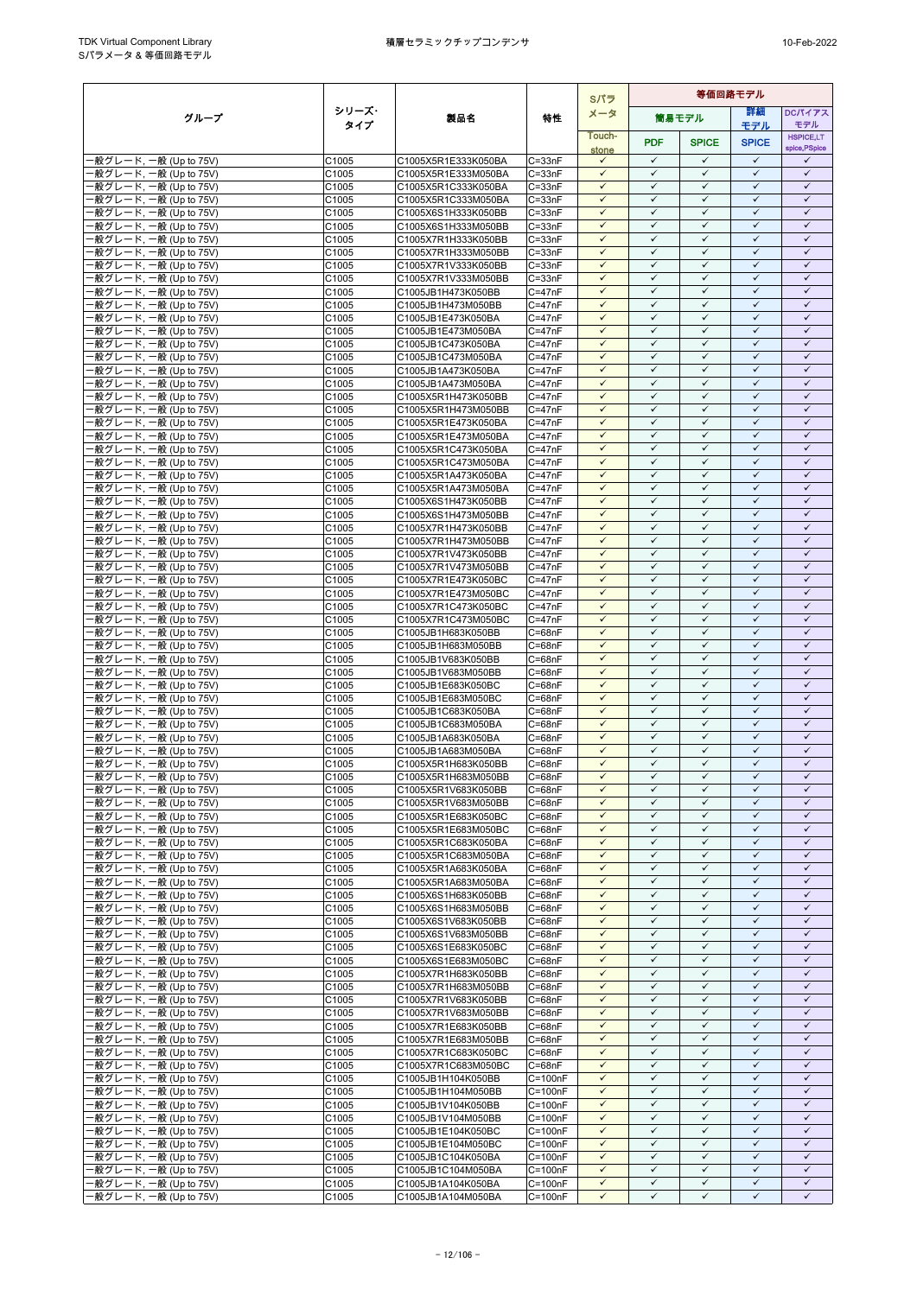|                                                  |                |                                            |                            | Sパラ                          | 等価回路モデル                      |                              |                              |                              |
|--------------------------------------------------|----------------|--------------------------------------------|----------------------------|------------------------------|------------------------------|------------------------------|------------------------------|------------------------------|
| グループ                                             | シリーズ・          | 製品名                                        | 特性                         | メータ                          |                              | 簡易モデル                        | 詳細                           | <b>DCパイアス</b>                |
|                                                  | タイプ            |                                            |                            | Touch-                       |                              |                              | モデル                          | モデル<br><b>HSPICE,LT</b>      |
|                                                  |                |                                            |                            | stone                        | <b>PDF</b>                   | <b>SPICE</b>                 | <b>SPICE</b>                 | spice, PSpice                |
| ·般グレード, 一般 (Up to 75V)                           | C1005          | C1005X5R1E333K050BA                        | $C = 33nF$                 | $\checkmark$                 | $\checkmark$                 | $\checkmark$                 | $\checkmark$<br>$\checkmark$ | ✓                            |
| 般グレード, 一般 (Up to 75V)<br>·般グレード, 一般 (Up to 75V)  | C1005<br>C1005 | C1005X5R1E333M050BA<br>C1005X5R1C333K050BA | $C = 33nF$<br>$C = 33nF$   | $\checkmark$<br>$\checkmark$ | $\checkmark$<br>$\checkmark$ | $\checkmark$<br>$\checkmark$ | $\checkmark$                 | $\checkmark$<br>$\checkmark$ |
| ·般グレード, 一般 (Up to 75V)                           | C1005          | C1005X5R1C333M050BA                        | $C = 33nF$                 | $\checkmark$                 | $\checkmark$                 | $\checkmark$                 | $\checkmark$                 | $\checkmark$                 |
| -般グレード, 一般 (Up to 75V)                           | C1005          | C1005X6S1H333K050BB                        | $C = 33nF$                 | $\checkmark$                 | $\checkmark$                 | $\checkmark$                 | $\checkmark$                 | $\checkmark$                 |
| 般グレード, 一般 (Up to 75V)                            | C1005          | C1005X6S1H333M050BB                        | $C = 33nF$                 | $\checkmark$                 | $\checkmark$                 | $\checkmark$                 | $\checkmark$                 | $\checkmark$                 |
| ·般グレード, 一般 (Up to 75V)                           | C1005          | C1005X7R1H333K050BB                        | $C = 33nF$                 | $\checkmark$                 | $\checkmark$                 | $\checkmark$                 | $\checkmark$                 | $\checkmark$                 |
| -般グレード, 一般 (Up to 75V)<br>-般グレード, 一般 (Up to 75V) | C1005<br>C1005 | C1005X7R1H333M050BB<br>C1005X7R1V333K050BB | $C = 33nF$<br>$C = 33nF$   | $\checkmark$<br>$\checkmark$ | $\checkmark$<br>$\checkmark$ | $\checkmark$<br>$\checkmark$ | $\checkmark$<br>$\checkmark$ | $\checkmark$<br>$\checkmark$ |
| ·般グレード, 一般 (Up to 75V)                           | C1005          | C1005X7R1V333M050BB                        | $C = 33nF$                 | $\checkmark$                 | $\checkmark$                 | $\checkmark$                 | $\checkmark$                 | $\checkmark$                 |
| -般グレード, 一般 (Up to 75V)                           | C1005          | C1005JB1H473K050BB                         | $C = 47nF$                 | $\checkmark$                 | $\checkmark$                 | $\checkmark$                 | $\checkmark$                 | $\checkmark$                 |
| ·般グレード. 一般 (Up to 75V)                           | C1005          | C1005JB1H473M050BB                         | $C = 47nF$                 | $\checkmark$                 | $\checkmark$                 | $\checkmark$                 | $\checkmark$                 | $\checkmark$                 |
| ·般グレード, 一般 (Up to 75V)                           | C1005          | C1005JB1E473K050BA                         | $C = 47nF$                 | $\checkmark$<br>$\checkmark$ | ✓<br>$\checkmark$            | ✓<br>$\checkmark$            | $\checkmark$<br>$\checkmark$ | ✓<br>$\checkmark$            |
| ·般グレード, 一般 (Up to 75V)<br>·般グレード, 一般 (Up to 75V) | C1005<br>C1005 | C1005JB1E473M050BA<br>C1005JB1C473K050BA   | $C = 47nF$<br>$C = 47nF$   | $\checkmark$                 | $\checkmark$                 | $\checkmark$                 | $\checkmark$                 | $\checkmark$                 |
| ·般グレード, 一般 (Up to 75V)                           | C1005          | C1005JB1C473M050BA                         | $C = 47nF$                 | $\checkmark$                 | $\checkmark$                 | $\checkmark$                 | $\checkmark$                 | $\checkmark$                 |
| ·般グレード, 一般 (Up to 75V)                           | C1005          | C1005JB1A473K050BA                         | $C = 47nF$                 | $\checkmark$                 | $\checkmark$                 | $\checkmark$                 | $\checkmark$                 | $\checkmark$                 |
| ·般グレード, 一般 (Up to 75V)                           | C1005          | C1005JB1A473M050BA                         | $C = 47nF$                 | $\checkmark$                 | $\checkmark$                 | ✓                            | ✓                            | ✓                            |
| ·般グレード, 一般 (Up to 75V)<br>·般グレード, 一般 (Up to 75V) | C1005          | C1005X5R1H473K050BB                        | $C = 47nF$                 | $\checkmark$<br>$\checkmark$ | $\checkmark$<br>$\checkmark$ | $\checkmark$<br>$\checkmark$ | $\checkmark$<br>$\checkmark$ | $\checkmark$<br>$\checkmark$ |
| ·般グレード, 一般 (Up to 75V)                           | C1005<br>C1005 | C1005X5R1H473M050BB<br>C1005X5R1E473K050BA | $C = 47nF$<br>$C = 47nF$   | $\checkmark$                 | $\checkmark$                 | $\checkmark$                 | $\checkmark$                 | $\checkmark$                 |
| -般グレード, 一般 (Up to 75V)                           | C1005          | C1005X5R1E473M050BA                        | $C = 47nF$                 | $\checkmark$                 | $\checkmark$                 | $\checkmark$                 | $\checkmark$                 | $\checkmark$                 |
| ·般グレード, 一般 (Up to 75V)                           | C1005          | C1005X5R1C473K050BA                        | $C = 47nF$                 | $\checkmark$                 | $\checkmark$                 | $\checkmark$                 | $\checkmark$                 | $\checkmark$                 |
| ·般グレード, 一般 (Up to 75V)                           | C1005          | C1005X5R1C473M050BA                        | $C = 47nF$                 | $\checkmark$                 | $\checkmark$                 | $\checkmark$                 | $\checkmark$                 | $\checkmark$                 |
| ·般グレード, 一般 (Up to 75V)                           | C1005          | C1005X5R1A473K050BA                        | $C = 47nF$<br>$C = 47nF$   | $\checkmark$<br>$\checkmark$ | $\checkmark$<br>$\checkmark$ | $\checkmark$<br>$\checkmark$ | $\checkmark$<br>$\checkmark$ | $\checkmark$<br>$\checkmark$ |
| ·般グレード, 一般 (Up to 75V)<br>·般グレード, 一般 (Up to 75V) | C1005<br>C1005 | C1005X5R1A473M050BA<br>C1005X6S1H473K050BB | $C = 47nF$                 | $\checkmark$                 | $\checkmark$                 | $\checkmark$                 | $\checkmark$                 | $\checkmark$                 |
| -般グレード, 一般 (Up to 75V)                           | C1005          | C1005X6S1H473M050BB                        | $C = 47nF$                 | $\checkmark$                 | $\checkmark$                 | $\checkmark$                 | $\checkmark$                 | $\checkmark$                 |
| ·般グレード, 一般 (Up to 75V)                           | C1005          | C1005X7R1H473K050BB                        | $C = 47nF$                 | $\checkmark$                 | $\checkmark$                 | $\checkmark$                 | $\checkmark$                 | $\checkmark$                 |
| ·般グレード, 一般 (Up to 75V)                           | C1005          | C1005X7R1H473M050BB                        | $C = 47nF$                 | $\checkmark$                 | $\checkmark$                 | $\checkmark$                 | $\checkmark$                 | $\checkmark$                 |
| -般グレード, 一般 (Up to 75V)                           | C1005<br>C1005 | C1005X7R1V473K050BB                        | $C = 47nF$<br>$C = 47nF$   | $\checkmark$<br>$\checkmark$ | $\checkmark$<br>$\checkmark$ | $\checkmark$<br>$\checkmark$ | $\checkmark$<br>$\checkmark$ | $\checkmark$<br>$\checkmark$ |
| ·般グレード, 一般 (Up to 75V)<br>·般グレード, 一般 (Up to 75V) | C1005          | C1005X7R1V473M050BB<br>C1005X7R1E473K050BC | $C = 47nF$                 | $\checkmark$                 | $\checkmark$                 | $\checkmark$                 | $\checkmark$                 | $\checkmark$                 |
| -般グレード, 一般 (Up to 75V)                           | C1005          | C1005X7R1E473M050BC                        | $C = 47nF$                 | $\checkmark$                 | $\checkmark$                 | $\checkmark$                 | $\checkmark$                 | $\checkmark$                 |
| ·般グレード, 一般 (Up to 75V)                           | C1005          | C1005X7R1C473K050BC                        | $C = 47nF$                 | $\checkmark$                 | $\checkmark$                 | $\checkmark$                 | $\checkmark$                 | $\checkmark$                 |
| ·般グレード, 一般 (Up to 75V)                           | C1005          | C1005X7R1C473M050BC                        | $C = 47nF$                 | $\checkmark$                 | $\checkmark$                 | $\checkmark$                 | $\checkmark$                 | $\checkmark$                 |
| ·般グレード, 一般 (Up to 75V)                           | C1005<br>C1005 | C1005JB1H683K050BB<br>C1005JB1H683M050BB   | $C = 68nF$<br>$C = 68nF$   | $\checkmark$<br>$\checkmark$ | $\checkmark$<br>$\checkmark$ | ✓<br>$\checkmark$            | $\checkmark$<br>$\checkmark$ | $\checkmark$<br>$\checkmark$ |
| ·般グレード, 一般 (Up to 75V)<br>·般グレード, 一般 (Up to 75V) | C1005          | C1005JB1V683K050BB                         | $C = 68nF$                 | $\checkmark$                 | $\checkmark$                 | $\checkmark$                 | $\checkmark$                 | $\checkmark$                 |
| ·般グレード, 一般 (Up to 75V)                           | C1005          | C1005JB1V683M050BB                         | $C = 68nF$                 | $\checkmark$                 | $\checkmark$                 | $\checkmark$                 | $\checkmark$                 | $\checkmark$                 |
| -般グレード, 一般 (Up to 75V)                           | C1005          | C1005JB1E683K050BC                         | $C = 68nF$                 | $\checkmark$                 | $\checkmark$                 | $\checkmark$                 | $\checkmark$                 | $\checkmark$                 |
| -般グレード, 一般 (Up to 75V)                           | C1005          | C1005JB1E683M050BC                         | $C = 68nF$                 | $\checkmark$                 | $\checkmark$                 | $\checkmark$                 | $\checkmark$                 | $\checkmark$                 |
| -般グレード, 一般 (Up to 75V)<br>-般グレード, 一般 (Up to 75V) | C1005<br>C1005 | C1005JB1C683K050BA<br>C1005JB1C683M050BA   | $C = 68nF$<br>$C = 68nF$   | $\checkmark$<br>$\checkmark$ | $\checkmark$<br>$\checkmark$ | $\checkmark$<br>$\checkmark$ | $\checkmark$<br>$\checkmark$ | $\checkmark$<br>$\checkmark$ |
| ·般グレード, 一般 (Up to 75V)                           | C1005          | C1005JB1A683K050BA                         | $C = 68nF$                 | $\checkmark$                 | $\checkmark$                 | $\checkmark$                 | $\checkmark$                 | $\checkmark$                 |
| ·般グレード, 一般 (Up to 75V)                           | C1005          | C1005JB1A683M050BA                         | $C = 68nF$                 | $\checkmark$                 | $\checkmark$                 | $\checkmark$                 | $\checkmark$                 | $\checkmark$                 |
| ·般グレード, 一般 (Up to 75V)                           | C1005          | C1005X5R1H683K050BB                        | $C = 68nF$                 | $\checkmark$                 | $\checkmark$                 | $\checkmark$                 | $\checkmark$                 | $\checkmark$                 |
| ·般グレード, 一般 (Up to 75V)                           | C1005          | C1005X5R1H683M050BB                        | $C = 68nF$                 | $\checkmark$                 | $\checkmark$                 | $\checkmark$                 | $\checkmark$                 | $\checkmark$                 |
| ·般グレード, 一般 (Up to 75V)<br>-般グレード, 一般 (Up to 75V) | C1005<br>C1005 | C1005X5R1V683K050BB<br>C1005X5R1V683M050BB | $C = 68nF$<br>$C = 68nF$   | $\checkmark$<br>$\checkmark$ | $\checkmark$<br>$\checkmark$ | $\checkmark$<br>$\checkmark$ | ✓<br>$\checkmark$            | ✓<br>$\checkmark$            |
| ·般グレード, 一般 (Up to 75V)                           | C1005          | C1005X5R1E683K050BC                        | $C = 68nF$                 | $\checkmark$                 | $\checkmark$                 | $\checkmark$                 | $\checkmark$                 | $\checkmark$                 |
| -般グレード, 一般 (Up to 75V)                           | C1005          | C1005X5R1E683M050BC                        | $C = 68nF$                 | $\checkmark$                 | $\checkmark$                 | $\checkmark$                 | $\checkmark$                 | $\checkmark$                 |
| -般グレード, 一般 (Up to 75V)                           | C1005          | C1005X5R1C683K050BA                        | $C = 68nF$                 | $\checkmark$                 | $\checkmark$                 | $\checkmark$                 | $\checkmark$                 | $\checkmark$                 |
| ·般グレード, 一般 (Up to 75V)<br>·般グレード, 一般 (Up to 75V) | C1005<br>C1005 | C1005X5R1C683M050BA                        | $C = 68nF$<br>$C = 68nF$   | $\checkmark$<br>$\checkmark$ | $\checkmark$<br>$\checkmark$ | $\checkmark$<br>$\checkmark$ | $\checkmark$<br>$\checkmark$ | $\checkmark$<br>$\checkmark$ |
| -般グレード, 一般 (Up to 75V)                           | C1005          | C1005X5R1A683K050BA<br>C1005X5R1A683M050BA | $C = 68nF$                 | $\checkmark$                 | $\checkmark$                 | $\checkmark$                 | ✓                            | $\checkmark$                 |
| -般グレード, 一般 (Up to 75V)                           | C1005          | C1005X6S1H683K050BB                        | $C = 68nF$                 | $\checkmark$                 | $\checkmark$                 | $\checkmark$                 | $\checkmark$                 | $\checkmark$                 |
| 般グレード, 一般 (Up to 75V)                            | C1005          | C1005X6S1H683M050BB                        | $C = 68nF$                 | $\checkmark$                 | $\checkmark$                 | $\checkmark$                 | $\checkmark$                 | $\checkmark$                 |
| ·般グレード, 一般 (Up to 75V)                           | C1005          | C1005X6S1V683K050BB                        | $C = 68nF$                 | $\checkmark$                 | $\checkmark$                 | $\checkmark$                 | $\checkmark$                 | $\checkmark$                 |
| ·般グレード, 一般 (Up to 75V)<br>·般グレード, 一般 (Up to 75V) | C1005<br>C1005 | C1005X6S1V683M050BB<br>C1005X6S1E683K050BC | $C = 68nF$<br>$C = 68nF$   | $\checkmark$<br>$\checkmark$ | $\checkmark$<br>$\checkmark$ | $\checkmark$<br>$\checkmark$ | $\checkmark$<br>$\checkmark$ | $\checkmark$<br>$\checkmark$ |
| ·般グレード, 一般 (Up to 75V)                           | C1005          | C1005X6S1E683M050BC                        | $C = 68nF$                 | $\checkmark$                 | $\checkmark$                 | $\checkmark$                 | $\checkmark$                 | $\checkmark$                 |
| ·般グレード, 一般 (Up to 75V)                           | C1005          | C1005X7R1H683K050BB                        | $C = 68nF$                 | $\checkmark$                 | $\checkmark$                 | $\checkmark$                 | $\checkmark$                 | $\checkmark$                 |
| -般グレード, 一般 (Up to 75V)                           | C1005          | C1005X7R1H683M050BB                        | $C = 68nF$                 | $\checkmark$                 | $\checkmark$                 | $\checkmark$                 | $\checkmark$                 | $\checkmark$                 |
| ·般グレード, 一般 (Up to 75V)                           | C1005          | C1005X7R1V683K050BB                        | $C = 68nF$                 | $\checkmark$                 | $\checkmark$                 | $\checkmark$                 | $\checkmark$                 | $\checkmark$                 |
| -般グレード, 一般 (Up to 75V)<br>·般グレード, 一般 (Up to 75V) | C1005<br>C1005 | C1005X7R1V683M050BB<br>C1005X7R1E683K050BB | $C = 68nF$<br>$C = 68nF$   | $\checkmark$<br>$\checkmark$ | $\checkmark$<br>$\checkmark$ | $\checkmark$<br>$\checkmark$ | $\checkmark$<br>$\checkmark$ | $\checkmark$<br>$\checkmark$ |
| -般グレード, 一般 (Up to 75V)                           | C1005          | C1005X7R1E683M050BB                        | $C = 68nF$                 | $\checkmark$                 | ✓                            | ✓                            | ✓                            | ✓                            |
| ·般グレード, 一般 (Up to 75V)                           | C1005          | C1005X7R1C683K050BC                        | $C = 68nF$                 | $\checkmark$                 | $\checkmark$                 | $\checkmark$                 | $\checkmark$                 | $\checkmark$                 |
| ·般グレード, 一般 (Up to 75V)                           | C1005          | C1005X7R1C683M050BC                        | C=68nF                     | $\checkmark$                 | $\checkmark$                 | $\checkmark$                 | $\checkmark$                 | $\checkmark$                 |
| 般グレード, 一般 (Up to 75V)                            | C1005          | C1005JB1H104K050BB                         | $C = 100nF$                | $\checkmark$<br>$\checkmark$ | $\checkmark$<br>$\checkmark$ | $\checkmark$<br>$\checkmark$ | $\checkmark$<br>$\checkmark$ | $\checkmark$<br>$\checkmark$ |
| ·般グレード, 一般 (Up to 75V)<br>·般グレード, 一般 (Up to 75V) | C1005<br>C1005 | C1005JB1H104M050BB<br>C1005JB1V104K050BB   | $C = 100nF$<br>$C = 100nF$ | $\checkmark$                 | $\checkmark$                 | ✓                            | $\checkmark$                 | $\checkmark$                 |
| ·般グレード, 一般 (Up to 75V)                           | C1005          | C1005JB1V104M050BB                         | $C = 100nF$                | $\checkmark$                 | $\checkmark$                 | $\checkmark$                 | $\checkmark$                 | $\checkmark$                 |
| -般グレード, 一般 (Up to 75V)                           | C1005          | C1005JB1E104K050BC                         | $C = 100nF$                | $\checkmark$                 | $\checkmark$                 | $\checkmark$                 | $\checkmark$                 | $\checkmark$                 |
| ·般グレード, 一般 (Up to 75V)                           | C1005          | C1005JB1E104M050BC                         | $C = 100nF$                | $\checkmark$                 | $\checkmark$                 | $\checkmark$                 | $\checkmark$                 | $\checkmark$                 |
| ·般グレード, 一般 (Up to 75V)                           | C1005          | C1005JB1C104K050BA                         | C=100nF                    | $\checkmark$<br>$\checkmark$ | $\checkmark$<br>$\checkmark$ | $\checkmark$<br>$\checkmark$ | $\checkmark$<br>$\checkmark$ | $\checkmark$<br>$\checkmark$ |
| -般グレード, 一般 (Up to 75V)<br>·般グレード, 一般 (Up to 75V) | C1005<br>C1005 | C1005JB1C104M050BA<br>C1005JB1A104K050BA   | $C = 100nF$<br>$C = 100nF$ | $\checkmark$                 | $\checkmark$                 | $\checkmark$                 | $\checkmark$                 | $\checkmark$                 |
| -般グレード, 一般 (Up to 75V)                           | C1005          | C1005JB1A104M050BA                         | $C = 100nF$                | $\checkmark$                 | $\checkmark$                 | $\checkmark$                 | $\checkmark$                 | ✓                            |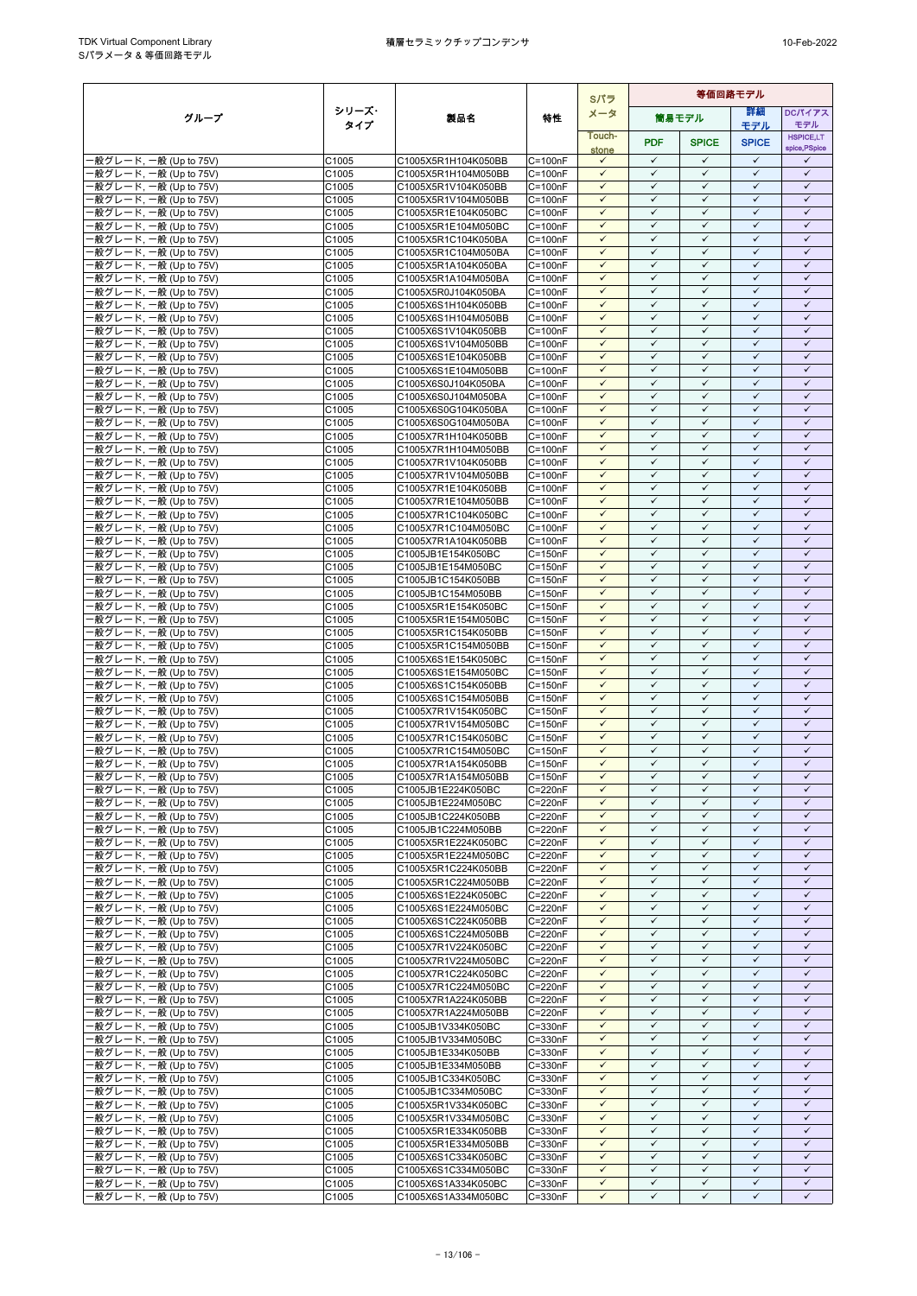|                                                   |                |                                            |                            | Sパラ                          | 等価回路モデル                      |                              |                              |                              |
|---------------------------------------------------|----------------|--------------------------------------------|----------------------------|------------------------------|------------------------------|------------------------------|------------------------------|------------------------------|
| グループ                                              | シリーズ・          | 製品名                                        | 特性                         | メータ                          |                              | 簡易モデル                        | 詳細                           | <b>DCパイアス</b>                |
|                                                   | タイプ            |                                            |                            | Touch-                       |                              |                              | モデル                          | モデル<br><b>HSPICE,LT</b>      |
|                                                   |                |                                            |                            | stone                        | <b>PDF</b>                   | <b>SPICE</b>                 | <b>SPICE</b>                 | spice, PSpice                |
| -般グレード, 一般 (Up to 75V)                            | C1005          | C1005X5R1H104K050BB                        | C=100nF                    | $\checkmark$                 | $\checkmark$                 | $\checkmark$                 | $\checkmark$                 | ✓                            |
| ·般グレード, 一般 (Up to 75V)<br>·般グレード, 一般 (Up to 75V)  | C1005<br>C1005 | C1005X5R1H104M050BB<br>C1005X5R1V104K050BB | $C = 100nF$<br>$C = 100nF$ | $\checkmark$<br>$\checkmark$ | $\checkmark$<br>$\checkmark$ | $\checkmark$<br>$\checkmark$ | $\checkmark$<br>$\checkmark$ | $\checkmark$<br>$\checkmark$ |
| ·般グレード, 一般 (Up to 75V)                            | C1005          | C1005X5R1V104M050BB                        | $C = 100nF$                | $\checkmark$                 | $\checkmark$                 | $\checkmark$                 | $\checkmark$                 | $\checkmark$                 |
| ·般グレード, 一般 (Up to 75V)                            | C1005          | C1005X5R1E104K050BC                        | $C = 100nF$                | $\checkmark$                 | $\checkmark$                 | $\checkmark$                 | $\checkmark$                 | $\checkmark$                 |
| -般グレード, 一般 (Up to 75V)                            | C1005          | C1005X5R1E104M050BC                        | $C = 100nF$                | $\checkmark$                 | $\checkmark$                 | $\checkmark$                 | ✓                            | ✓                            |
| -般グレード, 一般 (Up to 75V)                            | C1005          | C1005X5R1C104K050BA                        | $C = 100nF$                | $\checkmark$                 | $\checkmark$                 | $\checkmark$                 | $\checkmark$                 | $\checkmark$                 |
| ·般グレード, 一般 (Up to 75V)                            | C1005          | C1005X5R1C104M050BA                        | C=100nF                    | $\checkmark$<br>$\checkmark$ | $\checkmark$<br>$\checkmark$ | $\checkmark$<br>$\checkmark$ | $\checkmark$<br>$\checkmark$ | $\checkmark$<br>$\checkmark$ |
| ·般グレード, 一般 (Up to 75V)<br>·般グレード, 一般 (Up to 75V)  | C1005<br>C1005 | C1005X5R1A104K050BA<br>C1005X5R1A104M050BA | $C = 100nF$<br>$C = 100nF$ | $\checkmark$                 | $\checkmark$                 | $\checkmark$                 | $\checkmark$                 | $\checkmark$                 |
| ·般グレード, 一般 (Up to 75V)                            | C1005          | C1005X5R0J104K050BA                        | $C = 100nF$                | $\checkmark$                 | $\checkmark$                 | $\checkmark$                 | $\checkmark$                 | $\checkmark$                 |
| -般グレード, 一般 (Up to 75V)                            | C1005          | C1005X6S1H104K050BB                        | $C = 100nF$                | $\checkmark$                 | $\checkmark$                 | $\checkmark$                 | $\checkmark$                 | $\checkmark$                 |
| ·般グレード, 一般 (Up to 75V)                            | C1005          | C1005X6S1H104M050BB                        | $C = 100nF$                | $\checkmark$                 | $\checkmark$                 | $\checkmark$                 | $\checkmark$                 | $\checkmark$                 |
| ·般グレード, 一般 (Up to 75V)                            | C1005          | C1005X6S1V104K050BB                        | $C = 100nF$                | $\checkmark$<br>$\checkmark$ | $\checkmark$<br>$\checkmark$ | $\checkmark$<br>$\checkmark$ | $\checkmark$<br>$\checkmark$ | $\checkmark$<br>$\checkmark$ |
| ·般グレード, 一般 (Up to 75V)<br>般グレード, 一般 (Up to 75V)   | C1005<br>C1005 | C1005X6S1V104M050BB<br>C1005X6S1E104K050BB | $C = 100nF$<br>$C = 100nF$ | $\checkmark$                 | $\checkmark$                 | $\checkmark$                 | $\checkmark$                 | $\checkmark$                 |
| ·般グレード, 一般 (Up to 75V)                            | C1005          | C1005X6S1E104M050BB                        | $C = 100nF$                | $\checkmark$                 | $\checkmark$                 | $\checkmark$                 | $\checkmark$                 | $\checkmark$                 |
| -般グレード, 一般 (Up to 75V)                            | C1005          | C1005X6S0J104K050BA                        | $C = 100nF$                | $\checkmark$                 | $\checkmark$                 | $\checkmark$                 | $\checkmark$                 | $\checkmark$                 |
| ·般グレード, 一般 (Up to 75V)                            | C1005          | C1005X6S0J104M050BA                        | $C = 100nF$                | $\checkmark$                 | $\checkmark$                 | $\checkmark$                 | $\checkmark$                 | $\checkmark$                 |
| ·般グレード, 一般 (Up to 75V)                            | C1005          | C1005X6S0G104K050BA                        | $C = 100nF$                | $\checkmark$                 | $\checkmark$<br>$\checkmark$ | $\checkmark$                 | $\checkmark$<br>$\checkmark$ | $\checkmark$                 |
| -般グレード, 一般 (Up to 75V)<br>·般グレード, 一般 (Up to 75V)  | C1005<br>C1005 | C1005X6S0G104M050BA<br>C1005X7R1H104K050BB | $C = 100nF$<br>$C = 100nF$ | $\checkmark$<br>$\checkmark$ | $\checkmark$                 | $\checkmark$<br>$\checkmark$ | $\checkmark$                 | $\checkmark$<br>$\checkmark$ |
| ·般グレード, 一般 (Up to 75V)                            | C1005          | C1005X7R1H104M050BB                        | $C = 100nF$                | $\checkmark$                 | $\checkmark$                 | $\checkmark$                 | $\checkmark$                 | $\checkmark$                 |
| -般グレード, 一般 (Up to 75V)                            | C1005          | C1005X7R1V104K050BB                        | $C = 100nF$                | $\checkmark$                 | $\checkmark$                 | $\checkmark$                 | $\checkmark$                 | $\checkmark$                 |
| ·般グレード, 一般 (Up to 75V)                            | C1005          | C1005X7R1V104M050BB                        | $C = 100nF$                | $\checkmark$                 | $\checkmark$                 | $\checkmark$                 | ✓                            | $\checkmark$                 |
| -般グレード, 一般 (Up to 75V)                            | C1005          | C1005X7R1E104K050BB                        | $C = 100nF$                | $\checkmark$<br>$\checkmark$ | $\checkmark$<br>$\checkmark$ | $\checkmark$<br>$\checkmark$ | $\checkmark$<br>$\checkmark$ | $\checkmark$<br>$\checkmark$ |
| -般グレード, 一般 (Up to 75V)<br>般グレード, 一般 (Up to 75V)   | C1005<br>C1005 | C1005X7R1E104M050BB<br>C1005X7R1C104K050BC | C=100nF<br>$C = 100nF$     | $\checkmark$                 | $\checkmark$                 | $\checkmark$                 | $\checkmark$                 | $\checkmark$                 |
| ·般グレード, 一般 (Up to 75V)                            | C1005          | C1005X7R1C104M050BC                        | $C = 100nF$                | $\checkmark$                 | $\checkmark$                 | $\checkmark$                 | $\checkmark$                 | $\checkmark$                 |
| ·般グレード, 一般 (Up to 75V)                            | C1005          | C1005X7R1A104K050BB                        | $C = 100nF$                | $\checkmark$                 | $\checkmark$                 | $\checkmark$                 | $\checkmark$                 | $\checkmark$                 |
| ·般グレード, 一般 (Up to 75V)                            | C1005          | C1005JB1E154K050BC                         | $C = 150nF$                | $\checkmark$                 | $\checkmark$                 | $\checkmark$                 | $\checkmark$                 | $\checkmark$                 |
| ·般グレード, 一般 (Up to 75V)                            | C1005          | C1005JB1E154M050BC                         | $C = 150nF$                | $\checkmark$                 | $\checkmark$                 | $\checkmark$                 | $\checkmark$                 | $\checkmark$                 |
| ·般グレード, 一般 (Up to 75V)<br>·般グレード, 一般 (Up to 75V)  | C1005<br>C1005 | C1005JB1C154K050BB<br>C1005JB1C154M050BB   | $C = 150nF$<br>$C = 150nF$ | $\checkmark$<br>$\checkmark$ | $\checkmark$<br>$\checkmark$ | $\checkmark$<br>$\checkmark$ | $\checkmark$<br>$\checkmark$ | $\checkmark$<br>$\checkmark$ |
| 般グレード, 一般 (Up to 75V)                             | C1005          | C1005X5R1E154K050BC                        | $C = 150nF$                | $\checkmark$                 | $\checkmark$                 | $\checkmark$                 | $\checkmark$                 | $\checkmark$                 |
| ·般グレード, 一般 (Up to 75V)                            | C1005          | C1005X5R1E154M050BC                        | $C = 150nF$                | $\checkmark$                 | $\checkmark$                 | $\checkmark$                 | $\checkmark$                 | $\checkmark$                 |
| ·般グレード, 一般 (Up to 75V)                            | C1005          | C1005X5R1C154K050BB                        | $C = 150nF$                | $\checkmark$                 | $\checkmark$                 | $\checkmark$                 | $\checkmark$                 | $\checkmark$                 |
| ·般グレード, 一般 (Up to 75V)                            | C1005          | C1005X5R1C154M050BB                        | $C = 150nF$                | $\checkmark$                 | $\checkmark$                 | $\checkmark$                 | $\checkmark$                 | $\checkmark$                 |
| -般グレード, 一般 (Up to 75V)<br>·般グレード, 一般 (Up to 75V)  | C1005<br>C1005 | C1005X6S1E154K050BC<br>C1005X6S1E154M050BC | $C = 150nF$<br>$C = 150nF$ | $\checkmark$<br>$\checkmark$ | $\checkmark$<br>$\checkmark$ | $\checkmark$<br>$\checkmark$ | $\checkmark$<br>$\checkmark$ | $\checkmark$<br>$\checkmark$ |
| ·般グレード, 一般 (Up to 75V)                            | C1005          | C1005X6S1C154K050BB                        | $C = 150nF$                | $\checkmark$                 | $\checkmark$                 | $\checkmark$                 | $\checkmark$                 | $\checkmark$                 |
| ·般グレード, 一般 (Up to 75V)                            | C1005          | C1005X6S1C154M050BB                        | $C = 150nF$                | $\checkmark$                 | $\checkmark$                 | $\checkmark$                 | $\checkmark$                 | $\checkmark$                 |
| ·般グレード, 一般 (Up to 75V)                            | C1005          | C1005X7R1V154K050BC                        | $C = 150nF$                | $\checkmark$                 | $\checkmark$                 | $\checkmark$                 | $\checkmark$                 | $\checkmark$                 |
| ·般グレード, 一般 (Up to 75V)                            | C1005          | C1005X7R1V154M050BC                        | $C = 150nF$                | $\checkmark$                 | $\checkmark$                 | $\checkmark$                 | $\checkmark$                 | $\checkmark$                 |
| -般グレード, 一般 (Up to 75V)<br>·般グレード, 一般 (Up to 75V)  | C1005<br>C1005 | C1005X7R1C154K050BC<br>C1005X7R1C154M050BC | $C = 150nF$<br>$C = 150nF$ | $\checkmark$<br>$\checkmark$ | $\checkmark$<br>$\checkmark$ | $\checkmark$<br>$\checkmark$ | $\checkmark$<br>$\checkmark$ | $\checkmark$<br>$\checkmark$ |
| ·般グレード, 一般 (Up to 75V)                            | C1005          | C1005X7R1A154K050BB                        | $C = 150nF$                | $\checkmark$                 | $\checkmark$                 | $\checkmark$                 | $\checkmark$                 | $\checkmark$                 |
| ·般グレード, 一般 (Up to 75V)                            | C1005          | C1005X7R1A154M050BB                        | $C = 150nF$                | $\checkmark$                 | $\checkmark$                 | $\checkmark$                 | $\checkmark$                 | $\checkmark$                 |
| ·般グレード, 一般 (Up to 75V)                            | C1005          | C1005JB1E224K050BC                         | $C = 220nF$                | $\checkmark$                 | $\checkmark$                 | $\checkmark$                 | $\checkmark$                 | $\checkmark$                 |
| -般グレード, 一般 (Up to 75V)                            | C1005          | C1005JB1E224M050BC                         | C=220nF                    | $\checkmark$                 | $\checkmark$                 | $\checkmark$                 | $\checkmark$                 | $\checkmark$                 |
| - 般グレード, 一般 (Up to 75V)<br>-般グレード, 一般 (Up to 75V) | C1005<br>C1005 | C1005JB1C224K050BB<br>C1005JB1C224M050BB   | C=220nF<br>C=220nF         | $\checkmark$<br>$\checkmark$ | $\checkmark$<br>$\checkmark$ | $\checkmark$<br>$\checkmark$ | $\checkmark$<br>$\checkmark$ | $\checkmark$<br>$\checkmark$ |
| ·般グレード, 一般 (Up to 75V)                            | C1005          | C1005X5R1E224K050BC                        | C=220nF                    | $\checkmark$                 | ✓                            | $\checkmark$                 | $\checkmark$                 | ✓                            |
| -般グレード, 一般 (Up to 75V)                            | C1005          | C1005X5R1E224M050BC                        | C=220nF                    | $\checkmark$                 | $\checkmark$                 | $\checkmark$                 | $\checkmark$                 | $\checkmark$                 |
| ·般グレード, 一般 (Up to 75V)                            | C1005          | C1005X5R1C224K050BB                        | C=220nF                    | $\checkmark$                 | $\checkmark$                 | $\checkmark$                 | $\checkmark$                 | $\checkmark$                 |
| -般グレード, 一般 (Up to 75V)                            | C1005          | C1005X5R1C224M050BB                        | C=220nF                    | $\checkmark$<br>$\checkmark$ | $\checkmark$<br>$\checkmark$ | $\checkmark$<br>$\checkmark$ | $\checkmark$<br>$\checkmark$ | $\checkmark$<br>$\checkmark$ |
| -般グレード, 一般 (Up to 75V)<br>-般グレード, 一般 (Up to 75V)  | C1005<br>C1005 | C1005X6S1E224K050BC<br>C1005X6S1E224M050BC | C=220nF<br>$C = 220nF$     | $\checkmark$                 | $\checkmark$                 | $\checkmark$                 | $\checkmark$                 | $\checkmark$                 |
| ·般グレード, 一般 (Up to 75V)                            | C1005          | C1005X6S1C224K050BB                        | C=220nF                    | $\checkmark$                 | $\checkmark$                 | $\checkmark$                 | $\checkmark$                 | $\checkmark$                 |
| ·般グレード, 一般 (Up to 75V)                            | C1005          | C1005X6S1C224M050BB                        | C=220nF                    | $\checkmark$                 | $\checkmark$                 | $\checkmark$                 | $\checkmark$                 | $\checkmark$                 |
| -般グレード, 一般 (Up to 75V)                            | C1005          | C1005X7R1V224K050BC                        | $C = 220nF$                | $\checkmark$                 | $\checkmark$                 | $\checkmark$                 | $\checkmark$                 | $\checkmark$                 |
| -般グレード, 一般 (Up to 75V)<br>-般グレード, 一般 (Up to 75V)  | C1005<br>C1005 | C1005X7R1V224M050BC<br>C1005X7R1C224K050BC | C=220nF<br>C=220nF         | $\checkmark$<br>✓            | $\checkmark$<br>✓            | $\checkmark$<br>✓            | $\checkmark$<br>✓            | $\checkmark$<br>✓            |
| -般グレード, 一般 (Up to 75V)                            | C1005          | C1005X7R1C224M050BC                        | C=220nF                    | $\checkmark$                 | $\checkmark$                 | $\checkmark$                 | $\checkmark$                 | $\checkmark$                 |
| ·般グレード, 一般 (Up to 75V)                            | C1005          | C1005X7R1A224K050BB                        | C=220nF                    | $\checkmark$                 | $\checkmark$                 | $\checkmark$                 | $\checkmark$                 | $\checkmark$                 |
| ·般グレード, 一般 (Up to 75V)                            | C1005          | C1005X7R1A224M050BB                        | C=220nF                    | $\checkmark$                 | $\checkmark$                 | $\checkmark$                 | $\checkmark$                 | $\checkmark$                 |
| -般グレード, 一般 (Up to 75V)                            | C1005          | C1005JB1V334K050BC                         | C=330nF                    | $\checkmark$                 | $\checkmark$                 | $\checkmark$                 | $\checkmark$                 | $\checkmark$                 |
| -般グレード, 一般 (Up to 75V)<br>-般グレード, 一般 (Up to 75V)  | C1005<br>C1005 | C1005JB1V334M050BC<br>C1005JB1E334K050BB   | $C = 330nF$<br>C=330nF     | $\checkmark$<br>$\checkmark$ | $\checkmark$<br>$\checkmark$ | $\checkmark$<br>$\checkmark$ | $\checkmark$<br>$\checkmark$ | $\checkmark$<br>$\checkmark$ |
| -般グレード, 一般 (Up to 75V)                            | C1005          | C1005JB1E334M050BB                         | C=330nF                    | ✓                            | $\checkmark$                 | $\checkmark$                 | $\checkmark$                 | $\checkmark$                 |
| ·般グレード, 一般 (Up to 75V)                            | C1005          | C1005JB1C334K050BC                         | $C = 330nF$                | $\checkmark$                 | $\checkmark$                 | $\checkmark$                 | $\checkmark$                 | $\checkmark$                 |
| ·般グレード, 一般 (Up to 75V)                            | C1005          | C1005JB1C334M050BC                         | C=330nF                    | $\checkmark$                 | $\checkmark$                 | $\checkmark$                 | $\checkmark$                 | $\checkmark$                 |
| -般グレード, 一般 (Up to 75V)                            | C1005          | C1005X5R1V334K050BC                        | C=330nF                    | $\checkmark$                 | $\checkmark$                 | $\checkmark$                 | $\checkmark$                 | $\checkmark$                 |
| ·般グレード, 一般 (Up to 75V)<br>-般グレード, 一般 (Up to 75V)  | C1005          | C1005X5R1V334M050BC                        | $C = 330nF$<br>C=330nF     | $\checkmark$<br>$\checkmark$ | $\checkmark$<br>$\checkmark$ | $\checkmark$<br>$\checkmark$ | $\checkmark$<br>$\checkmark$ | $\checkmark$<br>$\checkmark$ |
| -般グレード, 一般 (Up to 75V)                            | C1005<br>C1005 | C1005X5R1E334K050BB<br>C1005X5R1E334M050BB | C=330nF                    | $\checkmark$                 | $\checkmark$                 | $\checkmark$                 | $\checkmark$                 | $\checkmark$                 |
| ·般グレード, 一般 (Up to 75V)                            | C1005          | C1005X6S1C334K050BC                        | C=330nF                    | $\checkmark$                 | $\checkmark$                 | $\checkmark$                 | $\checkmark$                 | $\checkmark$                 |
| -般グレード, 一般 (Up to 75V)                            | C1005          | C1005X6S1C334M050BC                        | C=330nF                    | $\checkmark$                 | $\checkmark$                 | $\checkmark$                 | $\checkmark$                 | $\checkmark$                 |
| -般グレード, 一般 (Up to 75V)                            | C1005          | C1005X6S1A334K050BC                        | C=330nF                    | $\checkmark$                 | $\checkmark$                 | $\checkmark$                 | $\checkmark$                 | $\checkmark$                 |
| ·般グレード, 一般 (Up to 75V)                            | C1005          | C1005X6S1A334M050BC                        | C=330nF                    | $\checkmark$                 | $\checkmark$                 | $\checkmark$                 | $\checkmark$                 | $\checkmark$                 |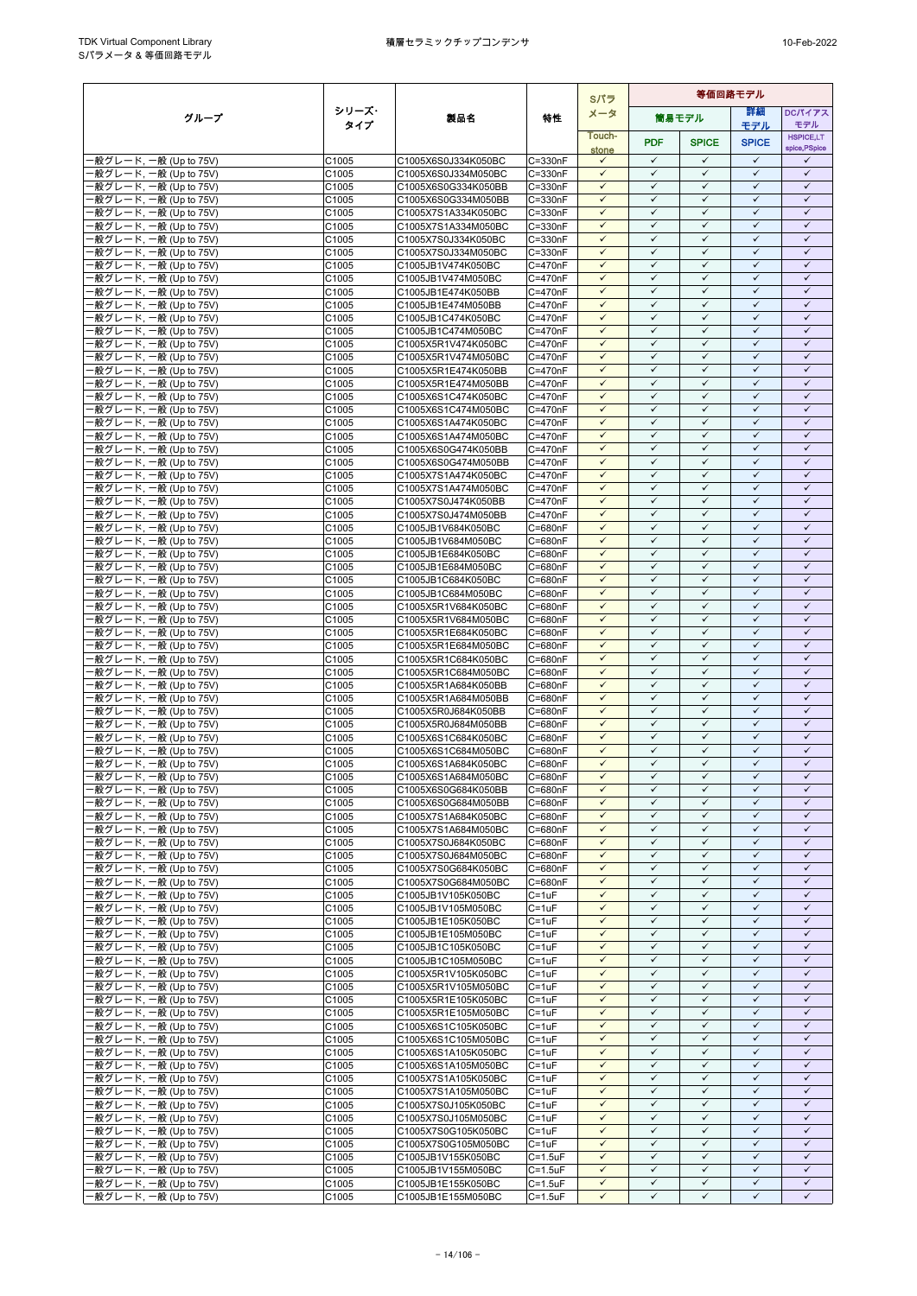|                                                  |                   | 等価回路モデル<br>Sパラ                             |                        |                              |                              |                              |                              |                              |  |
|--------------------------------------------------|-------------------|--------------------------------------------|------------------------|------------------------------|------------------------------|------------------------------|------------------------------|------------------------------|--|
| グループ                                             | シリーズ・             | 製品名                                        | 特性                     | メータ                          |                              | 簡易モデル                        | 詳細                           | <b>DCパイアス</b>                |  |
|                                                  | タイプ               |                                            |                        | Touch-                       |                              |                              | モデル                          | モデル<br><b>HSPICE,LT</b>      |  |
|                                                  |                   |                                            |                        | stone                        | <b>PDF</b>                   | <b>SPICE</b>                 | <b>SPICE</b>                 | spice, PSpice                |  |
| -般グレード, 一般 (Up to 75V)                           | C1005             | C1005X6S0J334K050BC                        | C=330nF                | $\checkmark$                 | $\checkmark$                 | $\checkmark$                 | $\checkmark$<br>$\checkmark$ | ✓                            |  |
| -般グレード, 一般 (Up to 75V)<br>-般グレード, 一般 (Up to 75V) | C1005<br>C1005    | C1005X6S0J334M050BC<br>C1005X6S0G334K050BB | C=330nF<br>C=330nF     | $\checkmark$<br>$\checkmark$ | $\checkmark$<br>$\checkmark$ | $\checkmark$<br>$\checkmark$ | $\checkmark$                 | $\checkmark$<br>$\checkmark$ |  |
| ·般グレード, 一般 (Up to 75V)                           | C1005             | C1005X6S0G334M050BB                        | C=330nF                | $\checkmark$                 | $\checkmark$                 | $\checkmark$                 | $\checkmark$                 | $\checkmark$                 |  |
| -般グレード, 一般 (Up to 75V)                           | C1005             | C1005X7S1A334K050BC                        | C=330nF                | $\checkmark$                 | $\checkmark$                 | $\checkmark$                 | $\checkmark$                 | $\checkmark$                 |  |
| ·般グレード, 一般 (Up to 75V)                           | C1005             | C1005X7S1A334M050BC                        | C=330nF                | $\checkmark$                 | $\checkmark$                 | $\checkmark$                 | $\checkmark$                 | $\checkmark$                 |  |
| ·般グレード, 一般 (Up to 75V)                           | C1005             | C1005X7S0J334K050BC                        | C=330nF                | $\checkmark$                 | $\checkmark$                 | $\checkmark$                 | $\checkmark$                 | $\checkmark$                 |  |
| ·般グレード, 一般 (Up to 75V)<br>般グレード, 一般 (Up to 75V)  | C1005             | C1005X7S0J334M050BC<br>C1005JB1V474K050BC  | C=330nF                | $\checkmark$<br>$\checkmark$ | $\checkmark$<br>$\checkmark$ | $\checkmark$<br>$\checkmark$ | $\checkmark$<br>$\checkmark$ | $\checkmark$<br>$\checkmark$ |  |
| ·般グレード, 一般 (Up to 75V)                           | C1005<br>C1005    | C1005JB1V474M050BC                         | $C = 470nF$<br>C=470nF | $\checkmark$                 | $\checkmark$                 | $\checkmark$                 | $\checkmark$                 | $\checkmark$                 |  |
| -般グレード, 一般 (Up to 75V)                           | C1005             | C1005JB1E474K050BB                         | C=470nF                | $\checkmark$                 | $\checkmark$                 | $\checkmark$                 | $\checkmark$                 | $\checkmark$                 |  |
| ·般グレード, 一般 (Up to 75V)                           | C1005             | C1005JB1E474M050BB                         | C=470nF                | $\checkmark$                 | $\checkmark$                 | $\checkmark$                 | $\checkmark$                 | $\checkmark$                 |  |
| -般グレード, 一般 (Up to 75V)                           | C1005             | C1005JB1C474K050BC                         | C=470nF                | $\checkmark$                 | $\checkmark$                 | $\checkmark$                 | ✓                            | $\checkmark$                 |  |
| ·般グレード, 一般 (Up to 75V)                           | C1005             | C1005JB1C474M050BC                         | C=470nF                | $\checkmark$<br>$\checkmark$ | $\checkmark$<br>$\checkmark$ | $\checkmark$<br>$\checkmark$ | $\checkmark$<br>$\checkmark$ | $\checkmark$<br>$\checkmark$ |  |
| ·般グレード, 一般 (Up to 75V)<br>·般グレード, 一般 (Up to 75V) | C1005<br>C1005    | C1005X5R1V474K050BC<br>C1005X5R1V474M050BC | C=470nF<br>C=470nF     | $\checkmark$                 | $\checkmark$                 | $\checkmark$                 | $\checkmark$                 | $\checkmark$                 |  |
| -般グレード, 一般 (Up to 75V)                           | C1005             | C1005X5R1E474K050BB                        | C=470nF                | $\checkmark$                 | $\checkmark$                 | $\checkmark$                 | $\checkmark$                 | $\checkmark$                 |  |
| -般グレード, 一般 (Up to 75V)                           | C1005             | C1005X5R1E474M050BB                        | C=470nF                | $\checkmark$                 | $\checkmark$                 | $\checkmark$                 | ✓                            | $\checkmark$                 |  |
| -般グレード, 一般 (Up to 75V)                           | C1005             | C1005X6S1C474K050BC                        | C=470nF                | $\checkmark$                 | $\checkmark$                 | $\checkmark$                 | $\checkmark$                 | $\checkmark$                 |  |
| ·般グレード, 一般 (Up to 75V)                           | C1005             | C1005X6S1C474M050BC                        | C=470nF                | $\checkmark$                 | $\checkmark$                 | $\checkmark$                 | $\checkmark$                 | $\checkmark$                 |  |
| ·般グレード, 一般 (Up to 75V)<br>·般グレード, 一般 (Up to 75V) | C1005<br>C1005    | C1005X6S1A474K050BC<br>C1005X6S1A474M050BC | C=470nF<br>C=470nF     | $\checkmark$<br>$\checkmark$ | $\checkmark$<br>$\checkmark$ | $\checkmark$<br>$\checkmark$ | $\checkmark$<br>$\checkmark$ | $\checkmark$<br>$\checkmark$ |  |
| ·般グレード, 一般 (Up to 75V)                           | C1005             | C1005X6S0G474K050BB                        | C=470nF                | $\checkmark$                 | $\checkmark$                 | $\checkmark$                 | $\checkmark$                 | $\checkmark$                 |  |
| ·般グレード. 一般 (Up to 75V)                           | C1005             | C1005X6S0G474M050BB                        | C=470nF                | $\checkmark$                 | $\checkmark$                 | $\checkmark$                 | $\checkmark$                 | $\checkmark$                 |  |
| ·般グレード, 一般 (Up to 75V)                           | C1005             | C1005X7S1A474K050BC                        | C=470nF                | $\checkmark$                 | $\checkmark$                 | $\checkmark$                 | $\checkmark$                 | $\checkmark$                 |  |
| ·般グレード, 一般 (Up to 75V)                           | C1005             | C1005X7S1A474M050BC                        | $C = 470nF$            | $\checkmark$                 | $\checkmark$                 | $\checkmark$                 | $\checkmark$                 | $\checkmark$                 |  |
| ·般グレード, 一般 (Up to 75V)                           | C1005             | C1005X7S0J474K050BB                        | $C = 470nF$            | $\checkmark$                 | $\checkmark$<br>$\checkmark$ | $\checkmark$<br>$\checkmark$ | $\checkmark$<br>$\checkmark$ | $\checkmark$<br>$\checkmark$ |  |
| 般グレード, 一般 (Up to 75V)<br>·般グレード, 一般 (Up to 75V)  | C1005<br>C1005    | C1005X7S0J474M050BB                        | C=470nF<br>C=680nF     | $\checkmark$<br>$\checkmark$ | $\checkmark$                 | $\checkmark$                 | $\checkmark$                 | $\checkmark$                 |  |
| ·般グレード, 一般 (Up to 75V)                           | C1005             | C1005JB1V684K050BC<br>C1005JB1V684M050BC   | C=680nF                | $\checkmark$                 | $\checkmark$                 | $\checkmark$                 | $\checkmark$                 | $\checkmark$                 |  |
| ·般グレード, 一般 (Up to 75V)                           | C1005             | C1005JB1E684K050BC                         | C=680nF                | $\checkmark$                 | $\checkmark$                 | $\checkmark$                 | $\checkmark$                 | $\checkmark$                 |  |
| ·般グレード, 一般 (Up to 75V)                           | C1005             | C1005JB1E684M050BC                         | C=680nF                | $\checkmark$                 | $\checkmark$                 | $\checkmark$                 | $\checkmark$                 | $\checkmark$                 |  |
| ·般グレード, 一般 (Up to 75V)                           | C1005             | C1005JB1C684K050BC                         | C=680nF                | $\checkmark$                 | $\checkmark$                 | $\checkmark$                 | $\checkmark$                 | $\checkmark$                 |  |
| 般グレード, 一般 (Up to 75V)                            | C1005             | C1005JB1C684M050BC                         | C=680nF                | $\checkmark$                 | $\checkmark$                 | $\checkmark$                 | $\checkmark$                 | $\checkmark$                 |  |
| ·般グレード, 一般 (Up to 75V)<br>·般グレード, 一般 (Up to 75V) | C1005<br>C1005    | C1005X5R1V684K050BC<br>C1005X5R1V684M050BC | C=680nF<br>C=680nF     | $\checkmark$<br>$\checkmark$ | $\checkmark$<br>$\checkmark$ | $\checkmark$<br>$\checkmark$ | $\checkmark$<br>$\checkmark$ | $\checkmark$<br>$\checkmark$ |  |
| ·般グレード, 一般 (Up to 75V)                           | C1005             | C1005X5R1E684K050BC                        | C=680nF                | ✓                            | ✓                            | $\checkmark$                 | ✓                            | ✓                            |  |
| -般グレード, 一般 (Up to 75V)                           | C1005             | C1005X5R1E684M050BC                        | C=680nF                | $\checkmark$                 | $\checkmark$                 | $\checkmark$                 | $\checkmark$                 | $\checkmark$                 |  |
| ·般グレード, 一般 (Up to 75V)                           | C1005             | C1005X5R1C684K050BC                        | C=680nF                | $\checkmark$                 | $\checkmark$                 | $\checkmark$                 | $\checkmark$                 | $\checkmark$                 |  |
| ·般グレード, 一般 (Up to 75V)                           | C1005             | C1005X5R1C684M050BC                        | C=680nF                | $\checkmark$                 | $\checkmark$                 | $\checkmark$                 | $\checkmark$                 | $\checkmark$                 |  |
| -般グレード, 一般 (Up to 75V)                           | C1005             | C1005X5R1A684K050BB                        | C=680nF                | $\checkmark$<br>$\checkmark$ | $\checkmark$<br>$\checkmark$ | $\checkmark$<br>$\checkmark$ | $\checkmark$<br>$\checkmark$ | $\checkmark$<br>$\checkmark$ |  |
| -般グレード, 一般 (Up to 75V)<br>-般グレード, 一般 (Up to 75V) | C1005<br>C1005    | C1005X5R1A684M050BB<br>C1005X5R0J684K050BB | C=680nF<br>C=680nF     | $\checkmark$                 | $\checkmark$                 | $\checkmark$                 | $\checkmark$                 | $\checkmark$                 |  |
| -般グレード, 一般 (Up to 75V)                           | C1005             | C1005X5R0J684M050BB                        | C=680nF                | $\checkmark$                 | $\checkmark$                 | $\checkmark$                 | $\checkmark$                 | $\checkmark$                 |  |
| ·般グレード, 一般 (Up to 75V)                           | C1005             | C1005X6S1C684K050BC                        | C=680nF                | $\checkmark$                 | $\checkmark$                 | $\checkmark$                 | $\checkmark$                 | $\checkmark$                 |  |
| ·般グレード, 一般 (Up to 75V)                           | C1005             | C1005X6S1C684M050BC                        | C=680nF                | $\checkmark$                 | $\checkmark$                 | $\checkmark$                 | $\checkmark$                 | $\checkmark$                 |  |
| ·般グレード, 一般 (Up to 75V)                           | C1005             | C1005X6S1A684K050BC                        | C=680nF                | $\checkmark$                 | $\checkmark$                 | $\checkmark$                 | $\checkmark$                 | $\checkmark$                 |  |
| ·般グレード, 一般 (Up to 75V)                           | C <sub>1005</sub> | C1005X6S1A684M050BC                        | $C = 680nF$            | $\checkmark$                 | $\checkmark$                 | $\checkmark$<br>$\checkmark$ | $\checkmark$                 | $\checkmark$                 |  |
| ·般グレード, 一般 (Up to 75V)<br>-般グレード, 一般 (Up to 75V) | C1005<br>C1005    | C1005X6S0G684K050BB<br>C1005X6S0G684M050BB | C=680nF<br>C=680nF     | $\checkmark$<br>$\checkmark$ | $\checkmark$<br>$\checkmark$ | $\checkmark$                 | ✓<br>$\checkmark$            | ✓<br>$\checkmark$            |  |
| -般グレード, 一般 (Up to 75V)                           | C1005             | C1005X7S1A684K050BC                        | C=680nF                | $\checkmark$                 | $\checkmark$                 | $\checkmark$                 | $\checkmark$                 | $\checkmark$                 |  |
| -般グレード, 一般 (Up to 75V)                           | C1005             | C1005X7S1A684M050BC                        | C=680nF                | $\checkmark$                 | $\checkmark$                 | $\checkmark$                 | $\checkmark$                 | $\checkmark$                 |  |
| -般グレード, 一般 (Up to 75V)                           | C1005             | C1005X7S0J684K050BC                        | C=680nF                | $\checkmark$                 | $\checkmark$                 | $\checkmark$                 | $\checkmark$                 | $\checkmark$                 |  |
| ·般グレード, 一般 (Up to 75V)                           | C1005             | C1005X7S0J684M050BC                        | C=680nF                | $\checkmark$                 | $\checkmark$                 | $\checkmark$                 | $\checkmark$                 | $\checkmark$                 |  |
| -般グレード, 一般 (Up to 75V)<br>-般グレード, 一般 (Up to 75V) | C1005<br>C1005    | C1005X7S0G684K050BC<br>C1005X7S0G684M050BC | C=680nF<br>C=680nF     | $\checkmark$<br>✓            | $\checkmark$<br>✓            | $\checkmark$<br>$\checkmark$ | $\checkmark$<br>✓            | $\checkmark$<br>✓            |  |
| -般グレード, 一般 (Up to 75V)                           | C1005             | C1005JB1V105K050BC                         | $C = 1uF$              | $\checkmark$                 | $\checkmark$                 | $\checkmark$                 | $\checkmark$                 | $\checkmark$                 |  |
| ·般グレード, 一般 (Up to 75V)                           | C1005             | C1005JB1V105M050BC                         | $C = 1uF$              | $\checkmark$                 | $\checkmark$                 | $\checkmark$                 | $\checkmark$                 | $\checkmark$                 |  |
| -般グレード, 一般 (Up to 75V)                           | C1005             | C1005JB1E105K050BC                         | $C = 1uF$              | $\checkmark$                 | $\checkmark$                 | $\checkmark$                 | $\checkmark$                 | $\checkmark$                 |  |
| -般グレード, 一般 (Up to 75V)                           | C1005             | C1005JB1E105M050BC                         | $C = 1uF$              | $\checkmark$                 | $\checkmark$                 | $\checkmark$                 | $\checkmark$                 | $\checkmark$                 |  |
| -般グレード, 一般 (Up to 75V)                           | C1005             | C1005JB1C105K050BC                         | $C = 1uF$              | $\checkmark$                 | $\checkmark$                 | $\checkmark$                 | $\checkmark$                 | $\checkmark$                 |  |
| -般グレード, 一般 (Up to 75V)<br>-般グレード, 一般 (Up to 75V) | C1005<br>C1005    | C1005JB1C105M050BC<br>C1005X5R1V105K050BC  | $C = 1uF$<br>$C = 1uF$ | $\checkmark$<br>$\checkmark$ | $\checkmark$<br>$\checkmark$ | $\checkmark$<br>$\checkmark$ | $\checkmark$<br>$\checkmark$ | $\checkmark$<br>✓            |  |
| ·般グレード, 一般 (Up to 75V)                           | C1005             | C1005X5R1V105M050BC                        | $C = 1uF$              | $\checkmark$                 | $\checkmark$                 | $\checkmark$                 | $\checkmark$                 | $\checkmark$                 |  |
| ·般グレード, 一般 (Up to 75V)                           | C1005             | C1005X5R1E105K050BC                        | $C = 1uF$              | $\checkmark$                 | $\checkmark$                 | $\checkmark$                 | $\checkmark$                 | $\checkmark$                 |  |
| ·般グレード, 一般 (Up to 75V)                           | C1005             | C1005X5R1E105M050BC                        | $C = 1uF$              | $\checkmark$                 | $\checkmark$                 | $\checkmark$                 | $\checkmark$                 | $\checkmark$                 |  |
| -般グレード, 一般 (Up to 75V)                           | C1005             | C1005X6S1C105K050BC                        | $C = 1uF$              | $\checkmark$                 | $\checkmark$                 | $\checkmark$                 | $\checkmark$                 | $\checkmark$                 |  |
| -般グレード, 一般 (Up to 75V)                           | C1005<br>C1005    | C1005X6S1C105M050BC                        | $C = 1uF$<br>$C = 1uF$ | $\checkmark$<br>$\checkmark$ | $\checkmark$<br>$\checkmark$ | $\checkmark$<br>$\checkmark$ | ✓<br>$\checkmark$            | ✓<br>$\checkmark$            |  |
| -般グレード, 一般 (Up to 75V)<br>·般グレード, 一般 (Up to 75V) | C1005             | C1005X6S1A105K050BC<br>C1005X6S1A105M050BC | $C = 1uF$              | $\checkmark$                 | $\checkmark$                 | $\checkmark$                 | $\checkmark$                 | $\checkmark$                 |  |
| ·般グレード, 一般 (Up to 75V)                           | C1005             | C1005X7S1A105K050BC                        | $C = 1uF$              | $\checkmark$                 | $\checkmark$                 | $\checkmark$                 | ✓                            | ✓                            |  |
| -般グレード, 一般 (Up to 75V)                           | C1005             | C1005X7S1A105M050BC                        | $C = 1uF$              | $\checkmark$                 | $\checkmark$                 | $\checkmark$                 | $\checkmark$                 | $\checkmark$                 |  |
| ·般グレード, 一般 (Up to 75V)                           | C1005             | C1005X7S0J105K050BC                        | $C = 1uF$              | $\checkmark$                 | $\checkmark$                 | $\checkmark$                 | $\checkmark$                 | $\checkmark$                 |  |
| -般グレード, 一般 (Up to 75V)                           | C1005             | C1005X7S0J105M050BC                        | $C = 1uF$              | $\checkmark$                 | $\checkmark$                 | $\checkmark$                 | $\checkmark$                 | $\checkmark$                 |  |
| -般グレード, 一般 (Up to 75V)<br>·般グレード, 一般 (Up to 75V) | C1005<br>C1005    | C1005X7S0G105K050BC                        | $C = 1uF$<br>$C = 1uF$ | $\checkmark$<br>$\checkmark$ | $\checkmark$<br>$\checkmark$ | $\checkmark$<br>$\checkmark$ | $\checkmark$<br>$\checkmark$ | $\checkmark$<br>$\checkmark$ |  |
| ·般グレード, 一般 (Up to 75V)                           | C1005             | C1005X7S0G105M050BC<br>C1005JB1V155K050BC  | $C = 1.5$ u $F$        | $\checkmark$                 | $\checkmark$                 | $\checkmark$                 | $\checkmark$                 | $\checkmark$                 |  |
| 般グレード, 一般 (Up to 75V)                            | C1005             | C1005JB1V155M050BC                         | $C = 1.5$ u $F$        | $\checkmark$                 | $\checkmark$                 | $\checkmark$                 | $\checkmark$                 | $\checkmark$                 |  |
| ·般グレード, 一般 (Up to 75V)                           | C1005             | C1005JB1E155K050BC                         | $C = 1.5$ uF           | $\checkmark$                 | $\checkmark$                 | $\checkmark$                 | $\checkmark$                 | $\checkmark$                 |  |
| -般グレード, 一般 (Up to 75V)                           | C1005             | C1005JB1E155M050BC                         | $C = 1.5$ u $F$        | $\checkmark$                 | $\checkmark$                 | $\checkmark$                 | $\checkmark$                 | ✓                            |  |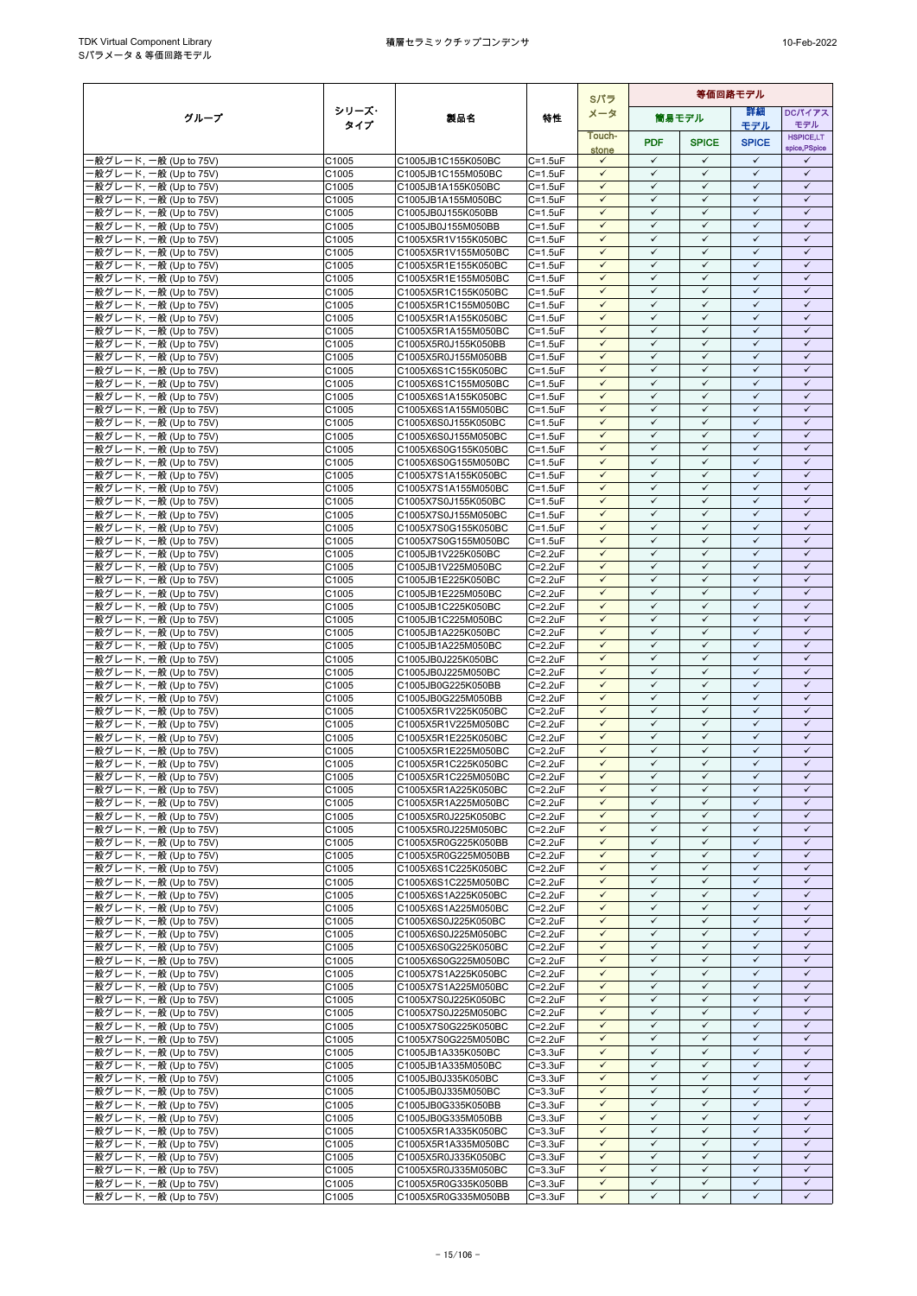|                                                  |                |                                            | Sパラ                                |                              |                              | 等価回路モデル                      |                              |                              |  |
|--------------------------------------------------|----------------|--------------------------------------------|------------------------------------|------------------------------|------------------------------|------------------------------|------------------------------|------------------------------|--|
| グループ                                             | シリーズ・          | 製品名                                        | 特性                                 | メータ                          |                              | 簡易モデル                        | 詳細                           | <b>DCパイアス</b>                |  |
|                                                  | タイプ            |                                            |                                    | Touch-                       |                              |                              | モデル                          | モデル<br><b>HSPICE,LT</b>      |  |
|                                                  |                |                                            |                                    | stone                        | <b>PDF</b>                   | <b>SPICE</b>                 | <b>SPICE</b>                 | spice, PSpice                |  |
| ·般グレード, 一般 (Up to 75V)                           | C1005          | C1005JB1C155K050BC                         | $C = 1.5$ u $F$                    | $\checkmark$                 | $\checkmark$                 | $\checkmark$                 | $\checkmark$<br>$\checkmark$ | ✓                            |  |
| 般グレード, 一般 (Up to 75V)<br>-般グレード, 一般 (Up to 75V)  | C1005<br>C1005 | C1005JB1C155M050BC<br>C1005JB1A155K050BC   | $C = 1.5$ u $F$<br>$C = 1.5$ u $F$ | $\checkmark$<br>$\checkmark$ | $\checkmark$<br>$\checkmark$ | $\checkmark$<br>$\checkmark$ | $\checkmark$                 | $\checkmark$<br>$\checkmark$ |  |
| ·般グレード, 一般 (Up to 75V)                           | C1005          | C1005JB1A155M050BC                         | $C = 1.5$ u $F$                    | $\checkmark$                 | $\checkmark$                 | $\checkmark$                 | $\checkmark$                 | $\checkmark$                 |  |
| 般グレード, 一般 (Up to 75V)                            | C1005          | C1005JB0J155K050BB                         | $C = 1.5$ u $F$                    | $\checkmark$                 | $\checkmark$                 | $\checkmark$                 | $\checkmark$                 | $\checkmark$                 |  |
| 般グレード, 一般 (Up to 75V)                            | C1005          | C1005JB0J155M050BB                         | $C = 1.5$ u $F$                    | $\checkmark$                 | $\checkmark$                 | $\checkmark$                 | $\checkmark$                 | $\checkmark$                 |  |
| ·般グレード, 一般 (Up to 75V)<br>-般グレード, 一般 (Up to 75V) | C1005<br>C1005 | C1005X5R1V155K050BC<br>C1005X5R1V155M050BC | $C = 1.5$ u $F$<br>$C = 1.5$ u $F$ | $\checkmark$<br>$\checkmark$ | $\checkmark$<br>$\checkmark$ | $\checkmark$<br>$\checkmark$ | $\checkmark$<br>$\checkmark$ | $\checkmark$<br>$\checkmark$ |  |
| 般グレード, 一般 (Up to 75V)                            | C1005          | C1005X5R1E155K050BC                        | $C = 1.5$ u $F$                    | $\checkmark$                 | $\checkmark$                 | $\checkmark$                 | $\checkmark$                 | $\checkmark$                 |  |
| ·般グレード, 一般 (Up to 75V)                           | C1005          | C1005X5R1E155M050BC                        | $C = 1.5$ u $F$                    | $\checkmark$                 | $\checkmark$                 | $\checkmark$                 | $\checkmark$                 | $\checkmark$                 |  |
| -般グレード, 一般 (Up to 75V)                           | C1005          | C1005X5R1C155K050BC                        | $C = 1.5$ u $F$                    | $\checkmark$                 | $\checkmark$                 | $\checkmark$                 | $\checkmark$                 | $\checkmark$                 |  |
| ·般グレード. 一般 (Up to 75V)<br>·般グレード, 一般 (Up to 75V) | C1005<br>C1005 | C1005X5R1C155M050BC<br>C1005X5R1A155K050BC | $C = 1.5$ u $F$<br>$C = 1.5$ u $F$ | $\checkmark$<br>$\checkmark$ | $\checkmark$<br>✓            | $\checkmark$<br>✓            | $\checkmark$<br>$\checkmark$ | $\checkmark$<br>✓            |  |
| ·般グレード, 一般 (Up to 75V)                           | C1005          | C1005X5R1A155M050BC                        | $C = 1.5$ u $F$                    | $\checkmark$                 | $\checkmark$                 | $\checkmark$                 | $\checkmark$                 | $\checkmark$                 |  |
| ·般グレード, 一般 (Up to 75V)                           | C1005          | C1005X5R0J155K050BB                        | $C = 1.5$ u $F$                    | $\checkmark$                 | $\checkmark$                 | $\checkmark$                 | $\checkmark$                 | $\checkmark$                 |  |
| ·般グレード, 一般 (Up to 75V)                           | C1005          | C1005X5R0J155M050BB                        | $C = 1.5$ u $F$                    | $\checkmark$                 | $\checkmark$                 | $\checkmark$                 | $\checkmark$<br>$\checkmark$ | $\checkmark$                 |  |
| ·般グレード, 一般 (Up to 75V)<br>·般グレード, 一般 (Up to 75V) | C1005<br>C1005 | C1005X6S1C155K050BC<br>C1005X6S1C155M050BC | $C = 1.5$ u $F$<br>$C = 1.5$ u $F$ | $\checkmark$<br>$\checkmark$ | $\checkmark$<br>✓            | $\checkmark$<br>✓            | ✓                            | $\checkmark$<br>✓            |  |
| ·般グレード, 一般 (Up to 75V)                           | C1005          | C1005X6S1A155K050BC                        | $C = 1.5$ u $F$                    | $\checkmark$                 | $\checkmark$                 | $\checkmark$                 | $\checkmark$                 | $\checkmark$                 |  |
| ·般グレード, 一般 (Up to 75V)                           | C1005          | C1005X6S1A155M050BC                        | $C = 1.5$ u $F$                    | $\checkmark$                 | $\checkmark$                 | $\checkmark$                 | $\checkmark$                 | $\checkmark$                 |  |
| ·般グレード, 一般 (Up to 75V)                           | C1005          | C1005X6S0J155K050BC                        | $C = 1.5$ u $F$                    | $\checkmark$                 | $\checkmark$                 | $\checkmark$                 | $\checkmark$                 | $\checkmark$                 |  |
| -般グレード, 一般 (Up to 75V)<br>·般グレード, 一般 (Up to 75V) | C1005<br>C1005 | C1005X6S0J155M050BC<br>C1005X6S0G155K050BC | $C = 1.5$ u $F$<br>$C = 1.5$ u $F$ | $\checkmark$<br>$\checkmark$ | $\checkmark$<br>$\checkmark$ | $\checkmark$<br>$\checkmark$ | $\checkmark$<br>$\checkmark$ | $\checkmark$<br>$\checkmark$ |  |
| ·般グレード. 一般 (Up to 75V)                           | C1005          | C1005X6S0G155M050BC                        | $C = 1.5$ u $F$                    | $\checkmark$                 | $\checkmark$                 | $\checkmark$                 | ✓                            | $\checkmark$                 |  |
| ·般グレード, 一般 (Up to 75V)                           | C1005          | C1005X7S1A155K050BC                        | $C = 1.5uF$                        | $\checkmark$                 | $\checkmark$                 | $\checkmark$                 | $\checkmark$                 | $\checkmark$                 |  |
| ·般グレード, 一般 (Up to 75V)                           | C1005          | C1005X7S1A155M050BC                        | $C = 1.5$ u $F$                    | $\checkmark$                 | $\checkmark$                 | $\checkmark$                 | $\checkmark$                 | $\checkmark$                 |  |
| ·般グレード, 一般 (Up to 75V)<br>-般グレード, 一般 (Up to 75V) | C1005<br>C1005 | C1005X7S0J155K050BC<br>C1005X7S0J155M050BC | $C = 1.5$ u $F$<br>$C = 1.5$ u $F$ | $\checkmark$<br>$\checkmark$ | $\checkmark$<br>$\checkmark$ | $\checkmark$<br>$\checkmark$ | $\checkmark$<br>$\checkmark$ | $\checkmark$<br>$\checkmark$ |  |
| ·般グレード, 一般 (Up to 75V)                           | C1005          | C1005X7S0G155K050BC                        | $C = 1.5$ u $F$                    | $\checkmark$                 | $\checkmark$                 | $\checkmark$                 | $\checkmark$                 | $\checkmark$                 |  |
| ·般グレード, 一般 (Up to 75V)                           | C1005          | C1005X7S0G155M050BC                        | $C = 1.5$ u $F$                    | $\checkmark$                 | $\checkmark$                 | $\checkmark$                 | $\checkmark$                 | $\checkmark$                 |  |
| -般グレード, 一般 (Up to 75V)                           | C1005          | C1005JB1V225K050BC                         | $C = 2.2uF$                        | $\checkmark$                 | $\checkmark$                 | $\checkmark$                 | $\checkmark$                 | $\checkmark$                 |  |
| ·般グレード, 一般 (Up to 75V)<br>·般グレード, 一般 (Up to 75V) | C1005<br>C1005 | C1005JB1V225M050BC<br>C1005JB1E225K050BC   | $C = 2.2uF$<br>$C = 2.2uF$         | $\checkmark$<br>$\checkmark$ | $\checkmark$<br>$\checkmark$ | $\checkmark$<br>$\checkmark$ | $\checkmark$<br>$\checkmark$ | $\checkmark$<br>$\checkmark$ |  |
| -般グレード, 一般 (Up to 75V)                           | C1005          | C1005JB1E225M050BC                         | $C = 2.2uF$                        | $\checkmark$                 | $\checkmark$                 | $\checkmark$                 | $\checkmark$                 | $\checkmark$                 |  |
| ·般グレード, 一般 (Up to 75V)                           | C1005          | C1005JB1C225K050BC                         | $C = 2.2uF$                        | $\checkmark$                 | $\checkmark$                 | $\checkmark$                 | $\checkmark$                 | $\checkmark$                 |  |
| ·般グレード, 一般 (Up to 75V)                           | C1005          | C1005JB1C225M050BC                         | $C = 2.2uF$                        | $\checkmark$                 | $\checkmark$                 | $\checkmark$                 | $\checkmark$                 | $\checkmark$                 |  |
| ·般グレード, 一般 (Up to 75V)<br>·般グレード, 一般 (Up to 75V) | C1005<br>C1005 | C1005JB1A225K050BC<br>C1005JB1A225M050BC   | $C = 2.2uF$<br>$C = 2.2uF$         | $\checkmark$<br>$\checkmark$ | $\checkmark$<br>$\checkmark$ | ✓<br>$\checkmark$            | $\checkmark$<br>$\checkmark$ | $\checkmark$<br>$\checkmark$ |  |
| ·般グレード, 一般 (Up to 75V)                           | C1005          | C1005JB0J225K050BC                         | $C = 2.2uF$                        | $\checkmark$                 | $\checkmark$                 | $\checkmark$                 | $\checkmark$                 | $\checkmark$                 |  |
| ·般グレード, 一般 (Up to 75V)                           | C1005          | C1005JB0J225M050BC                         | $C = 2.2uF$                        | $\checkmark$                 | $\checkmark$                 | $\checkmark$                 | $\checkmark$                 | $\checkmark$                 |  |
| -般グレード, 一般 (Up to 75V)                           | C1005          | C1005JB0G225K050BB                         | $C = 2.2uF$                        | $\checkmark$                 | $\checkmark$<br>$\checkmark$ | $\checkmark$                 | $\checkmark$<br>$\checkmark$ | $\checkmark$                 |  |
| -般グレード, 一般 (Up to 75V)<br>·般グレード, 一般 (Up to 75V) | C1005<br>C1005 | C1005JB0G225M050BB<br>C1005X5R1V225K050BC  | $C = 2.2uF$<br>$C = 2.2uF$         | $\checkmark$<br>$\checkmark$ | $\checkmark$                 | $\checkmark$<br>$\checkmark$ | $\checkmark$                 | $\checkmark$<br>$\checkmark$ |  |
| ·般グレード, 一般 (Up to 75V)                           | C1005          | C1005X5R1V225M050BC                        | $C = 2.2uF$                        | $\checkmark$                 | $\checkmark$                 | $\checkmark$                 | $\checkmark$                 | $\checkmark$                 |  |
| -般グレード, 一般 (Up to 75V)                           | C1005          | C1005X5R1E225K050BC                        | $C = 2.2uF$                        | $\checkmark$                 | $\checkmark$                 | $\checkmark$                 | $\checkmark$                 | $\checkmark$                 |  |
| ·般グレード, 一般 (Up to 75V)                           | C1005          | C1005X5R1E225M050BC                        | $C = 2.2uF$                        | $\checkmark$                 | $\checkmark$                 | $\checkmark$                 | $\checkmark$                 | $\checkmark$                 |  |
| ·般グレード, 一般 (Up to 75V)<br>·般グレード, 一般 (Up to 75V) | C1005<br>C1005 | C1005X5R1C225K050BC<br>C1005X5R1C225M050BC | $C = 2.2uF$<br>$C = 2.2uF$         | $\checkmark$<br>$\checkmark$ | $\checkmark$<br>$\checkmark$ | $\checkmark$<br>$\checkmark$ | $\checkmark$<br>$\checkmark$ | $\checkmark$<br>$\checkmark$ |  |
| ·般グレード, 一般 (Up to 75V)                           | C1005          | C1005X5R1A225K050BC                        | $C = 2.2uF$                        | $\checkmark$                 | $\checkmark$                 | $\checkmark$                 | $\checkmark$                 | ✓                            |  |
| -般グレード, 一般 (Up to 75V)                           | C1005          | C1005X5R1A225M050BC                        | $C = 2.2uF$                        | $\checkmark$                 | $\checkmark$                 | $\checkmark$                 | $\checkmark$                 | $\checkmark$                 |  |
| ·般グレード, 一般 (Up to 75V)                           | C1005          | C1005X5R0J225K050BC                        | $C = 2.2uF$                        | $\checkmark$                 | $\checkmark$                 | $\checkmark$                 | $\checkmark$                 | $\checkmark$                 |  |
| -般グレード, 一般 (Up to 75V)<br>-般グレード, 一般 (Up to 75V) | C1005<br>C1005 | C1005X5R0J225M050BC<br>C1005X5R0G225K050BB | $C = 2.2uF$<br>$C = 2.2uF$         | $\checkmark$<br>$\checkmark$ | $\checkmark$<br>$\checkmark$ | $\checkmark$<br>$\checkmark$ | $\checkmark$<br>$\checkmark$ | $\checkmark$<br>$\checkmark$ |  |
| ·般グレード, 一般 (Up to 75V)                           | C1005          | C1005X5R0G225M050BB                        | $C = 2.2uF$                        | $\checkmark$                 | $\checkmark$                 | $\checkmark$                 | $\checkmark$                 | $\checkmark$                 |  |
| ·般グレード, 一般 (Up to 75V)                           | C1005          | C1005X6S1C225K050BC                        | $C = 2.2uF$                        | $\checkmark$                 | $\checkmark$                 | $\checkmark$                 | $\checkmark$                 | $\checkmark$                 |  |
| -般グレード, 一般 (Up to 75V)                           | C1005          | C1005X6S1C225M050BC                        | $C = 2.2uF$                        | $\checkmark$                 | $\checkmark$                 | $\checkmark$                 | ✓                            | $\checkmark$                 |  |
| -般グレード, 一般 (Up to 75V)<br>·般グレード, 一般 (Up to 75V) | C1005<br>C1005 | C1005X6S1A225K050BC<br>C1005X6S1A225M050BC | $C = 2.2uF$<br>$C = 2.2uF$         | $\checkmark$<br>$\checkmark$ | $\checkmark$<br>$\checkmark$ | $\checkmark$<br>$\checkmark$ | $\checkmark$<br>$\checkmark$ | $\checkmark$<br>$\checkmark$ |  |
| -般グレード, 一般 (Up to 75V)                           | C1005          | C1005X6S0J225K050BC                        | $C = 2.2uF$                        | $\checkmark$                 | $\checkmark$                 | $\checkmark$                 | $\checkmark$                 | $\checkmark$                 |  |
| ·般グレード, 一般 (Up to 75V)                           | C1005          | C1005X6S0J225M050BC                        | $C = 2.2uF$                        | $\checkmark$                 | $\checkmark$                 | $\checkmark$                 | $\checkmark$                 | $\checkmark$                 |  |
| ·般グレード, 一般 (Up to 75V)                           | C1005          | C1005X6S0G225K050BC                        | $C = 2.2uF$                        | $\checkmark$                 | $\checkmark$                 | $\checkmark$                 | $\checkmark$                 | $\checkmark$                 |  |
| ·般グレード, 一般 (Up to 75V)<br>·般グレード, 一般 (Up to 75V) | C1005<br>C1005 | C1005X6S0G225M050BC<br>C1005X7S1A225K050BC | $C = 2.2uF$<br>$C = 2.2uF$         | $\checkmark$<br>$\checkmark$ | $\checkmark$<br>$\checkmark$ | $\checkmark$<br>$\checkmark$ | ✓<br>$\checkmark$            | $\checkmark$<br>$\checkmark$ |  |
| -般グレード, 一般 (Up to 75V)                           | C1005          | C1005X7S1A225M050BC                        | $C = 2.2uF$                        | $\checkmark$                 | $\checkmark$                 | $\checkmark$                 | $\checkmark$                 | $\checkmark$                 |  |
| ·般グレード, 一般 (Up to 75V)                           | C1005          | C1005X7S0J225K050BC                        | $C = 2.2uF$                        | $\checkmark$                 | $\checkmark$                 | $\checkmark$                 | $\checkmark$                 | $\checkmark$                 |  |
| -般グレード, 一般 (Up to 75V)                           | C1005          | C1005X7S0J225M050BC                        | $C = 2.2uF$                        | $\checkmark$                 | $\checkmark$                 | $\checkmark$                 | $\checkmark$                 | $\checkmark$                 |  |
| ·般グレード, 一般 (Up to 75V)<br>-般グレード, 一般 (Up to 75V) | C1005<br>C1005 | C1005X7S0G225K050BC<br>C1005X7S0G225M050BC | $C = 2.2uF$<br>$C = 2.2uF$         | $\checkmark$<br>$\checkmark$ | $\checkmark$<br>✓            | $\checkmark$<br>✓            | $\checkmark$<br>✓            | $\checkmark$<br>✓            |  |
| ·般グレード, 一般 (Up to 75V)                           | C1005          | C1005JB1A335K050BC                         | $C = 3.3uF$                        | $\checkmark$                 | $\checkmark$                 | $\checkmark$                 | $\checkmark$                 | $\checkmark$                 |  |
| ·般グレード, 一般 (Up to 75V)                           | C1005          | C1005JB1A335M050BC                         | $C = 3.3uF$                        | $\checkmark$                 | $\checkmark$                 | $\checkmark$                 | $\checkmark$                 | $\checkmark$                 |  |
| 般グレード, 一般 (Up to 75V)                            | C1005          | C1005JB0J335K050BC                         | $C = 3.3uF$                        | $\checkmark$                 | $\checkmark$                 | $\checkmark$                 | $\checkmark$                 | $\checkmark$                 |  |
| ·般グレード, 一般 (Up to 75V)<br>·般グレード, 一般 (Up to 75V) | C1005<br>C1005 | C1005JB0J335M050BC<br>C1005JB0G335K050BB   | $C = 3.3uF$<br>$C = 3.3uF$         | $\checkmark$<br>$\checkmark$ | $\checkmark$<br>$\checkmark$ | $\checkmark$<br>✓            | $\checkmark$<br>$\checkmark$ | $\checkmark$<br>$\checkmark$ |  |
| ·般グレード, 一般 (Up to 75V)                           | C1005          | C1005JB0G335M050BB                         | $C = 3.3uF$                        | $\checkmark$                 | $\checkmark$                 | $\checkmark$                 | $\checkmark$                 | $\checkmark$                 |  |
| -般グレード, 一般 (Up to 75V)                           | C1005          | C1005X5R1A335K050BC                        | $C = 3.3uF$                        | $\checkmark$                 | $\checkmark$                 | $\checkmark$                 | $\checkmark$                 | $\checkmark$                 |  |
| ·般グレード, 一般 (Up to 75V)                           | C1005          | C1005X5R1A335M050BC                        | $C = 3.3uF$                        | $\checkmark$                 | $\checkmark$                 | $\checkmark$                 | $\checkmark$                 | $\checkmark$                 |  |
| ·般グレード, 一般 (Up to 75V)<br>-般グレード, 一般 (Up to 75V) | C1005<br>C1005 | C1005X5R0J335K050BC<br>C1005X5R0J335M050BC | $C = 3.3uF$<br>$C = 3.3uF$         | $\checkmark$<br>$\checkmark$ | $\checkmark$<br>$\checkmark$ | $\checkmark$<br>$\checkmark$ | $\checkmark$<br>$\checkmark$ | $\checkmark$<br>$\checkmark$ |  |
| ·般グレード, 一般 (Up to 75V)                           | C1005          | C1005X5R0G335K050BB                        | $C = 3.3uF$                        | $\checkmark$                 | $\checkmark$                 | $\checkmark$                 | $\checkmark$                 | $\checkmark$                 |  |
| -般グレード, 一般 (Up to 75V)                           | C1005          | C1005X5R0G335M050BB                        | $C = 3.3uF$                        | $\checkmark$                 | $\checkmark$                 | $\checkmark$                 | $\checkmark$                 | ✓                            |  |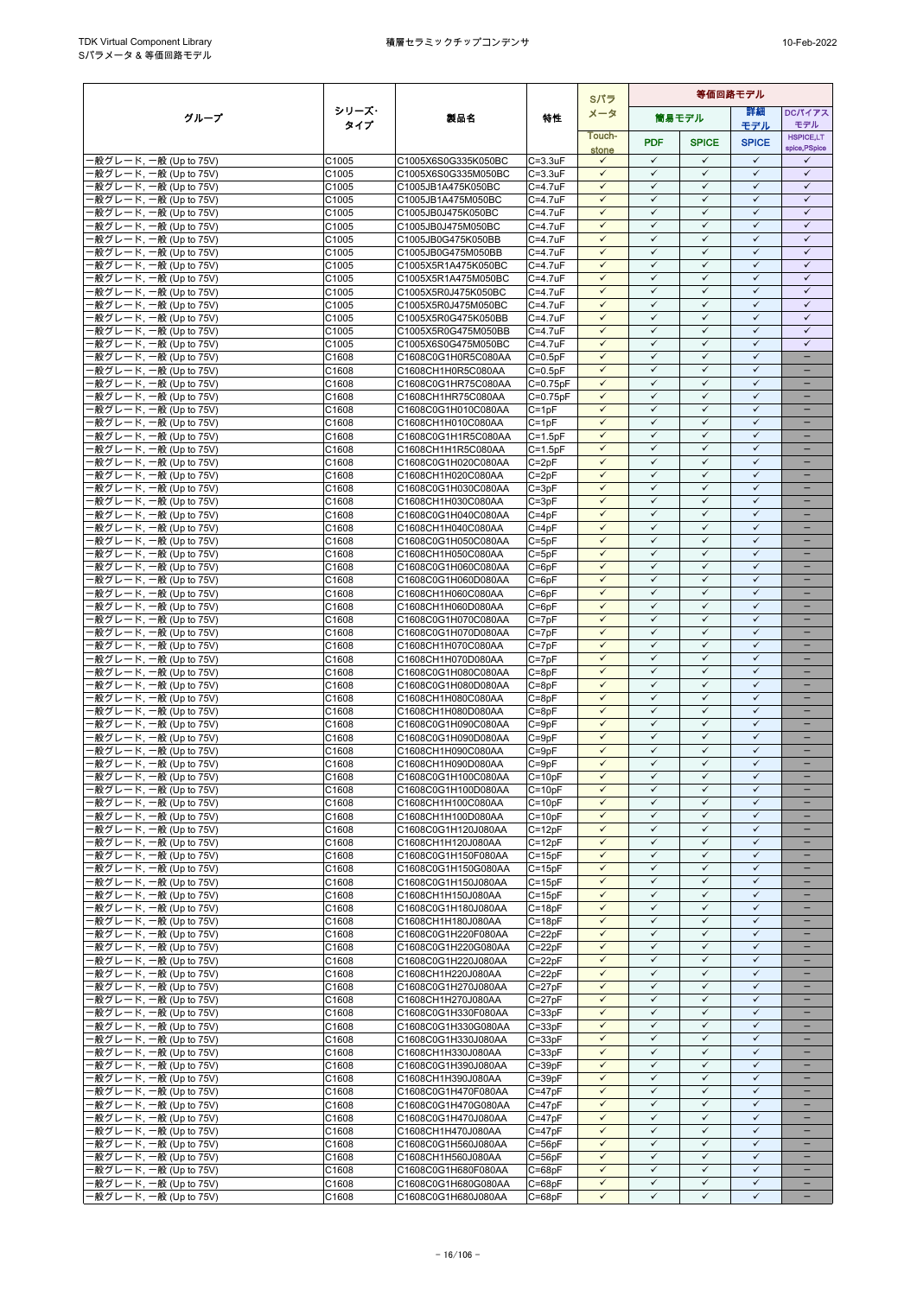|                                                  |                |                                            |                          | Sパラ                          | 等価回路モデル                      |                              |                              |                                               |
|--------------------------------------------------|----------------|--------------------------------------------|--------------------------|------------------------------|------------------------------|------------------------------|------------------------------|-----------------------------------------------|
| グループ                                             | シリーズ・          | 製品名                                        | 特性                       | メータ                          |                              | 簡易モデル                        | 詳細                           | DCパイアス                                        |
|                                                  | タイプ            |                                            |                          | Touch-                       |                              |                              | モデル                          | モデル<br><b>HSPICE,LT</b>                       |
|                                                  |                |                                            |                          | stone                        | <b>PDF</b>                   | <b>SPICE</b>                 | <b>SPICE</b>                 | spice, PSpice                                 |
| ·般グレード, 一般 (Up to 75V)                           | C1005          | C1005X6S0G335K050BC                        | $C = 3.3uF$              | $\checkmark$                 | $\checkmark$                 | $\checkmark$                 | $\checkmark$                 | $\checkmark$                                  |
| 般グレード, 一般 (Up to 75V)                            | C1005          | C1005X6S0G335M050BC                        | $C = 3.3uF$              | $\checkmark$                 | $\checkmark$                 | $\checkmark$                 | $\checkmark$                 | $\checkmark$                                  |
| ·般グレード, 一般 (Up to 75V)<br>·般グレード, 一般 (Up to 75V) | C1005          | C1005JB1A475K050BC<br>C1005JB1A475M050BC   | C=4.7uF                  | $\checkmark$<br>$\checkmark$ | $\checkmark$<br>$\checkmark$ | $\checkmark$<br>$\checkmark$ | $\checkmark$<br>$\checkmark$ | $\checkmark$<br>$\checkmark$                  |
| -般グレード, 一般 (Up to 75V)                           | C1005<br>C1005 | C1005JB0J475K050BC                         | C=4.7uF<br>C=4.7uF       | $\checkmark$                 | $\checkmark$                 | $\checkmark$                 | $\checkmark$                 | $\checkmark$                                  |
| -般グレード, 一般 (Up to 75V)                           | C1005          | C1005JB0J475M050BC                         | C=4.7uF                  | $\checkmark$                 | $\checkmark$                 | $\checkmark$                 | $\checkmark$                 | $\checkmark$                                  |
| 般グレード, 一般 (Up to 75V)                            | C1005          | C1005JB0G475K050BB                         | $C=4.7$ uF               | $\checkmark$                 | $\checkmark$                 | $\checkmark$                 | $\checkmark$                 | $\checkmark$                                  |
| -般グレード, 一般 (Up to 75V)                           | C1005          | C1005JB0G475M050BB                         | C=4.7uF                  | $\checkmark$                 | $\checkmark$                 | $\checkmark$                 | $\checkmark$                 | $\checkmark$                                  |
| -般グレード, 一般 (Up to 75V)                           | C1005          | C1005X5R1A475K050BC                        | C=4.7uF                  | $\checkmark$                 | $\checkmark$                 | $\checkmark$                 | $\checkmark$                 | $\checkmark$                                  |
| 般グレード, 一般 (Up to 75V)<br>-般グレード, 一般 (Up to 75V)  | C1005<br>C1005 | C1005X5R1A475M050BC<br>C1005X5R0J475K050BC | C=4.7uF<br>C=4.7uF       | $\checkmark$<br>$\checkmark$ | $\checkmark$<br>$\checkmark$ | $\checkmark$<br>$\checkmark$ | $\checkmark$<br>$\checkmark$ | $\checkmark$<br>$\checkmark$                  |
| ·般グレード, 一般 (Up to 75V)                           | C1005          | C1005X5R0J475M050BC                        | C=4.7uF                  | $\checkmark$                 | $\checkmark$                 | $\checkmark$                 | $\checkmark$                 | $\checkmark$                                  |
| -般グレード, 一般 (Up to 75V)                           | C1005          | C1005X5R0G475K050BB                        | C=4.7uF                  | $\checkmark$                 | $\checkmark$                 | $\checkmark$                 | $\checkmark$                 | $\checkmark$                                  |
| 般グレード, 一般 (Up to 75V)                            | C1005          | C1005X5R0G475M050BB                        | $C = 4.7uF$              | $\checkmark$                 | $\checkmark$                 | $\checkmark$                 | $\checkmark$                 | $\checkmark$                                  |
| ·般グレード, 一般 (Up to 75V)                           | C1005          | C1005X6S0G475M050BC                        | C=4.7uF                  | $\checkmark$                 | $\checkmark$                 | $\checkmark$                 | $\checkmark$                 | $\checkmark$                                  |
| -般グレード, 一般 (Up to 75V)                           | C1608          | C1608C0G1H0R5C080AA                        | $C=0.5pF$                | $\checkmark$<br>$\checkmark$ | $\checkmark$<br>$\checkmark$ | $\checkmark$<br>$\checkmark$ | $\checkmark$<br>$\checkmark$ | $\overline{\phantom{0}}$                      |
| 般グレード, 一般 (Up to 75V)<br>-般グレード, 一般 (Up to 75V)  | C1608<br>C1608 | C1608CH1H0R5C080AA<br>C1608C0G1HR75C080AA  | $C=0.5pF$<br>$C=0.75pF$  | $\checkmark$                 | $\checkmark$                 | $\checkmark$                 | $\checkmark$                 | $\qquad \qquad -$                             |
| -般グレード, 一般 (Up to 75V)                           | C1608          | C1608CH1HR75C080AA                         | $C=0.75pF$               | $\checkmark$                 | $\checkmark$                 | $\checkmark$                 | $\checkmark$                 |                                               |
| ·般グレード, 一般 (Up to 75V)                           | C1608          | C1608C0G1H010C080AA                        | $C = 1pF$                | $\checkmark$                 | $\checkmark$                 | $\checkmark$                 | $\checkmark$                 |                                               |
| 般グレード, 一般 (Up to 75V)                            | C1608          | C1608CH1H010C080AA                         | $C = 1pF$                | $\checkmark$                 | $\checkmark$                 | $\checkmark$                 | $\checkmark$                 |                                               |
| ·般グレード, 一般 (Up to 75V)                           | C1608          | C1608C0G1H1R5C080AA                        | $C = 1.5pF$              | $\checkmark$                 | $\checkmark$                 | $\checkmark$                 | $\checkmark$                 | $\equiv$                                      |
| 般グレード, 一般 (Up to 75V)<br>·般グレード, 一般 (Up to 75V)  | C1608<br>C1608 | C1608CH1H1R5C080AA<br>C1608C0G1H020C080AA  | $C = 1.5pF$<br>$C = 2pF$ | $\checkmark$<br>$\checkmark$ | $\checkmark$<br>$\checkmark$ | $\checkmark$<br>$\checkmark$ | $\checkmark$<br>$\checkmark$ | $\qquad \qquad -$                             |
| ·般グレード, 一般 (Up to 75V)                           | C1608          | C1608CH1H020C080AA                         | $C = 2pF$                | $\checkmark$                 | $\checkmark$                 | $\checkmark$                 | $\checkmark$                 |                                               |
| ·般グレード, 一般 (Up to 75V)                           | C1608          | C1608C0G1H030C080AA                        | $C = 3pF$                | $\checkmark$                 | $\checkmark$                 | $\checkmark$                 | $\checkmark$                 |                                               |
| -般グレード, 一般 (Up to 75V)                           | C1608          | C1608CH1H030C080AA                         | $C = 3pF$                | $\checkmark$                 | $\checkmark$                 | $\checkmark$                 | $\checkmark$                 |                                               |
| -般グレード, 一般 (Up to 75V)                           | C1608          | C1608C0G1H040C080AA                        | $C = 4pF$                | $\checkmark$                 | $\checkmark$                 | $\checkmark$                 | $\checkmark$                 | $\overline{\phantom{0}}$                      |
| ·般グレード, 一般 (Up to 75V)                           | C1608          | C1608CH1H040C080AA                         | $C = 4pF$                | $\checkmark$<br>$\checkmark$ | $\checkmark$<br>$\checkmark$ | $\checkmark$<br>$\checkmark$ | $\checkmark$<br>$\checkmark$ | $\qquad \qquad -$<br>$\overline{\phantom{0}}$ |
| -般グレード, 一般 (Up to 75V)<br>-般グレード, 一般 (Up to 75V) | C1608<br>C1608 | C1608C0G1H050C080AA<br>C1608CH1H050C080AA  | $C = 5pF$<br>$C = 5pF$   | $\checkmark$                 | $\checkmark$                 | $\checkmark$                 | $\checkmark$                 | $\overline{\phantom{0}}$                      |
| ·般グレード, 一般 (Up to 75V)                           | C1608          | C1608C0G1H060C080AA                        | $C = 6pF$                | $\checkmark$                 | $\checkmark$                 | $\checkmark$                 | $\checkmark$                 |                                               |
| 般グレード, 一般 (Up to 75V)                            | C1608          | C1608C0G1H060D080AA                        | $C = 6pF$                | $\checkmark$                 | $\checkmark$                 | $\checkmark$                 | $\checkmark$                 | $\equiv$                                      |
| -般グレード, 一般 (Up to 75V)                           | C1608          | C1608CH1H060C080AA                         | $C = 6pF$                | $\checkmark$                 | $\checkmark$                 | $\checkmark$                 | $\checkmark$                 |                                               |
| 般グレード, 一般 (Up to 75V)                            | C1608          | C1608CH1H060D080AA                         | $C = 6pF$                | $\checkmark$                 | $\checkmark$                 | $\checkmark$<br>$\checkmark$ | $\checkmark$<br>$\checkmark$ | $\overline{\phantom{0}}$                      |
| ·般グレード, 一般 (Up to 75V)<br>般グレード, 一般 (Up to 75V)  | C1608<br>C1608 | C1608C0G1H070C080AA<br>C1608C0G1H070D080AA | $C = 7pF$<br>$C = 7pF$   | $\checkmark$<br>$\checkmark$ | $\checkmark$<br>✓            | $\checkmark$                 | $\checkmark$                 | -                                             |
| -般グレード, 一般 (Up to 75V)                           | C1608          | C1608CH1H070C080AA                         | $C = 7pF$                | $\checkmark$                 | $\checkmark$                 | $\checkmark$                 | $\checkmark$                 | $-$                                           |
| ·般グレード, 一般 (Up to 75V)                           | C1608          | C1608CH1H070D080AA                         | $C = 7pF$                | $\checkmark$                 | $\checkmark$                 | $\checkmark$                 | $\checkmark$                 |                                               |
| -般グレード, 一般 (Up to 75V)                           | C1608          | C1608C0G1H080C080AA                        | $C = 8pF$                | $\checkmark$                 | $\checkmark$                 | $\checkmark$                 | $\checkmark$                 |                                               |
| -般グレード, 一般 (Up to 75V)                           | C1608          | C1608C0G1H080D080AA                        | $C = 8pF$                | $\checkmark$                 | $\checkmark$                 | $\checkmark$                 | $\checkmark$                 | $\overline{\phantom{0}}$                      |
| -般グレード, 一般 (Up to 75V)<br>·般グレード, 一般 (Up to 75V) | C1608<br>C1608 | C1608CH1H080C080AA<br>C1608CH1H080D080AA   | $C = 8pF$<br>$C = 8pF$   | $\checkmark$<br>$\checkmark$ | $\checkmark$<br>$\checkmark$ | $\checkmark$<br>$\checkmark$ | $\checkmark$<br>$\checkmark$ | $\overline{\phantom{0}}$                      |
| ·般グレード, 一般 (Up to 75V)                           | C1608          | C1608C0G1H090C080AA                        | $C = 9pF$                | $\checkmark$                 | $\checkmark$                 | $\checkmark$                 | $\checkmark$                 |                                               |
| -般グレード, 一般 (Up to 75V)                           | C1608          | C1608C0G1H090D080AA                        | $C = 9pF$                | $\checkmark$                 | $\checkmark$                 | $\checkmark$                 | $\checkmark$                 |                                               |
| -般グレード, 一般 (Up to 75V)                           | C1608          | C1608CH1H090C080AA                         | $C = 9pF$                | $\checkmark$                 | $\checkmark$                 | $\checkmark$                 | $\checkmark$                 |                                               |
| 般グレード, 一般 (Up to 75V)                            | C1608          | C1608CH1H090D080AA                         | $C = 9pF$                | $\checkmark$                 | $\checkmark$                 | $\checkmark$                 | $\checkmark$                 | $\overline{\phantom{0}}$                      |
| ·般グレード, 一般 (Up to 75V)                           | C1608          | C1608C0G1H100C080AA                        | $C=10pF$                 | $\checkmark$<br>$\checkmark$ | $\checkmark$<br>✓            | $\checkmark$<br>✓            | $\checkmark$<br>✓            | $\overline{\phantom{0}}$                      |
| ·般グレード, 一般 (Up to 75V)<br>-般グレード, 一般 (Up to 75V) | C1608<br>C1608 | C1608C0G1H100D080AA<br>C1608CH1H100C080AA  | $C = 10pF$<br>$C = 10pF$ | $\checkmark$                 | $\checkmark$                 | $\checkmark$                 | $\checkmark$                 |                                               |
| ·般グレード, 一般 (Up to 75V)                           | C1608          | C1608CH1H100D080AA                         | $C = 10pF$               | $\checkmark$                 | $\checkmark$                 | $\checkmark$                 | $\checkmark$                 |                                               |
| -般グレード, 一般 (Up to 75V)                           | C1608          | C1608C0G1H120J080AA                        | $C = 12pF$               | $\checkmark$                 | $\checkmark$                 | $\checkmark$                 | $\checkmark$                 | $\overline{\phantom{0}}$                      |
| -般グレード, 一般 (Up to 75V)                           | C1608          | C1608CH1H120J080AA                         | $C = 12pF$               | $\checkmark$                 | $\checkmark$                 | $\checkmark$                 | $\checkmark$                 |                                               |
| -般グレード, 一般 (Up to 75V)                           | C1608          | C1608C0G1H150F080AA                        | $C = 15pF$               | $\checkmark$<br>$\checkmark$ | $\checkmark$<br>$\checkmark$ | $\checkmark$<br>$\checkmark$ | $\checkmark$<br>$\checkmark$ |                                               |
| ·般グレード, 一般 (Up to 75V)<br>-般グレード, 一般 (Up to 75V) | C1608<br>C1608 | C1608C0G1H150G080AA<br>C1608C0G1H150J080AA | $C = 15pF$<br>$C = 15pF$ | ✓                            | $\checkmark$                 | ✓                            | ✓                            | -                                             |
| -般グレード, 一般 (Up to 75V)                           | C1608          | C1608CH1H150J080AA                         | $C = 15pF$               | $\checkmark$                 | $\checkmark$                 | $\checkmark$                 | $\checkmark$                 | $\qquad \qquad -$                             |
| 般グレード, 一般 (Up to 75V)                            | C1608          | C1608C0G1H180J080AA                        | $C = 18pF$               | $\checkmark$                 | $\checkmark$                 | $\checkmark$                 | $\checkmark$                 | $\overline{\phantom{0}}$                      |
| -般グレード, 一般 (Up to 75V)                           | C1608          | C1608CH1H180J080AA                         | $C = 18pF$               | $\checkmark$                 | $\checkmark$                 | $\checkmark$                 | $\checkmark$                 |                                               |
| ·般グレード, 一般 (Up to 75V)                           | C1608          | C1608C0G1H220F080AA                        | $C = 22pF$               | $\checkmark$                 | $\checkmark$                 | $\checkmark$                 | $\checkmark$                 | $\overline{\phantom{0}}$                      |
| ·般グレード, 一般 (Up to 75V)<br>-般グレード, 一般 (Up to 75V) | C1608<br>C1608 | C1608C0G1H220G080AA<br>C1608C0G1H220J080AA | $C = 22pF$<br>$C = 22pF$ | $\checkmark$<br>$\checkmark$ | $\checkmark$<br>$\checkmark$ | $\checkmark$<br>$\checkmark$ | $\checkmark$<br>$\checkmark$ | $\qquad \qquad -$                             |
| -般グレード, 一般 (Up to 75V)                           | C1608          | C1608CH1H220J080AA                         | $C = 22pF$               | $\checkmark$                 | $\checkmark$                 | $\checkmark$                 | $\checkmark$                 |                                               |
| -般グレード, 一般 (Up to 75V)                           | C1608          | C1608C0G1H270J080AA                        | $C = 27pF$               | $\checkmark$                 | $\checkmark$                 | $\checkmark$                 | $\checkmark$                 |                                               |
| ·般グレード, 一般 (Up to 75V)                           | C1608          | C1608CH1H270J080AA                         | $C = 27pF$               | $\checkmark$                 | $\checkmark$                 | $\checkmark$                 | $\checkmark$                 |                                               |
| -般グレード, 一般 (Up to 75V)                           | C1608          | C1608C0G1H330F080AA                        | $C = 33pF$               | $\checkmark$                 | $\checkmark$                 | $\checkmark$                 | $\checkmark$                 | $\overline{\phantom{0}}$                      |
| ·般グレード, 一般 (Up to 75V)<br>-般グレード, 一般 (Up to 75V) | C1608<br>C1608 | C1608C0G1H330G080AA<br>C1608C0G1H330J080AA | $C = 33pF$<br>$C = 33pF$ | $\checkmark$<br>$\checkmark$ | $\checkmark$<br>$\checkmark$ | $\checkmark$<br>$\checkmark$ | $\checkmark$<br>$\checkmark$ | $\overline{\phantom{0}}$                      |
| ·般グレード, 一般 (Up to 75V)                           | C1608          | C1608CH1H330J080AA                         | $C = 33pF$               | $\checkmark$                 | $\checkmark$                 | $\checkmark$                 | $\checkmark$                 | $\qquad \qquad -$                             |
| ·般グレード, 一般 (Up to 75V)                           | C1608          | C1608C0G1H390J080AA                        | $C = 39pF$               | $\checkmark$                 | $\checkmark$                 | $\checkmark$                 | $\checkmark$                 |                                               |
| ·般グレード, 一般 (Up to 75V)                           | C1608          | C1608CH1H390J080AA                         | $C = 39pF$               | $\checkmark$                 | $\checkmark$                 | $\checkmark$                 | $\checkmark$                 |                                               |
| ·般グレード, 一般 (Up to 75V)                           | C1608          | C1608C0G1H470F080AA                        | $C = 47pF$               | $\checkmark$                 | $\checkmark$                 | $\checkmark$                 | $\checkmark$                 | $\equiv$                                      |
| ·般グレード, 一般 (Up to 75V)                           | C1608<br>C1608 | C1608C0G1H470G080AA                        | $C = 47pF$               | $\checkmark$<br>$\checkmark$ | $\checkmark$<br>$\checkmark$ | $\checkmark$<br>$\checkmark$ | $\checkmark$<br>$\checkmark$ | $\qquad \qquad -$                             |
| ·般グレード, 一般 (Up to 75V)<br>·般グレード, 一般 (Up to 75V) | C1608          | C1608C0G1H470J080AA<br>C1608CH1H470J080AA  | $C = 47pF$<br>$C = 47pF$ | $\checkmark$                 | $\checkmark$                 | $\checkmark$                 | $\checkmark$                 |                                               |
| ·般グレード, 一般 (Up to 75V)                           | C1608          | C1608C0G1H560J080AA                        | $C = 56pF$               | $\checkmark$                 | $\checkmark$                 | $\checkmark$                 | $\checkmark$                 | -                                             |
| ·般グレード, 一般 (Up to 75V)                           | C1608          | C1608CH1H560J080AA                         | $C = 56pF$               | $\checkmark$                 | $\checkmark$                 | $\checkmark$                 | $\checkmark$                 |                                               |
| -般グレード, 一般 (Up to 75V)                           | C1608          | C1608C0G1H680F080AA                        | $C = 68pF$               | $\checkmark$                 | $\checkmark$                 | $\checkmark$                 | $\checkmark$                 |                                               |
| -般グレード, 一般 (Up to 75V)<br>-般グレード, 一般 (Up to 75V) | C1608          | C1608C0G1H680G080AA                        | $C = 68pF$               | $\checkmark$<br>$\checkmark$ | $\checkmark$<br>$\checkmark$ | $\checkmark$<br>$\checkmark$ | $\checkmark$<br>$\checkmark$ | $\overline{\phantom{0}}$<br>$\qquad \qquad -$ |
|                                                  | C1608          | C1608C0G1H680J080AA                        | $C = 68pF$               |                              |                              |                              |                              |                                               |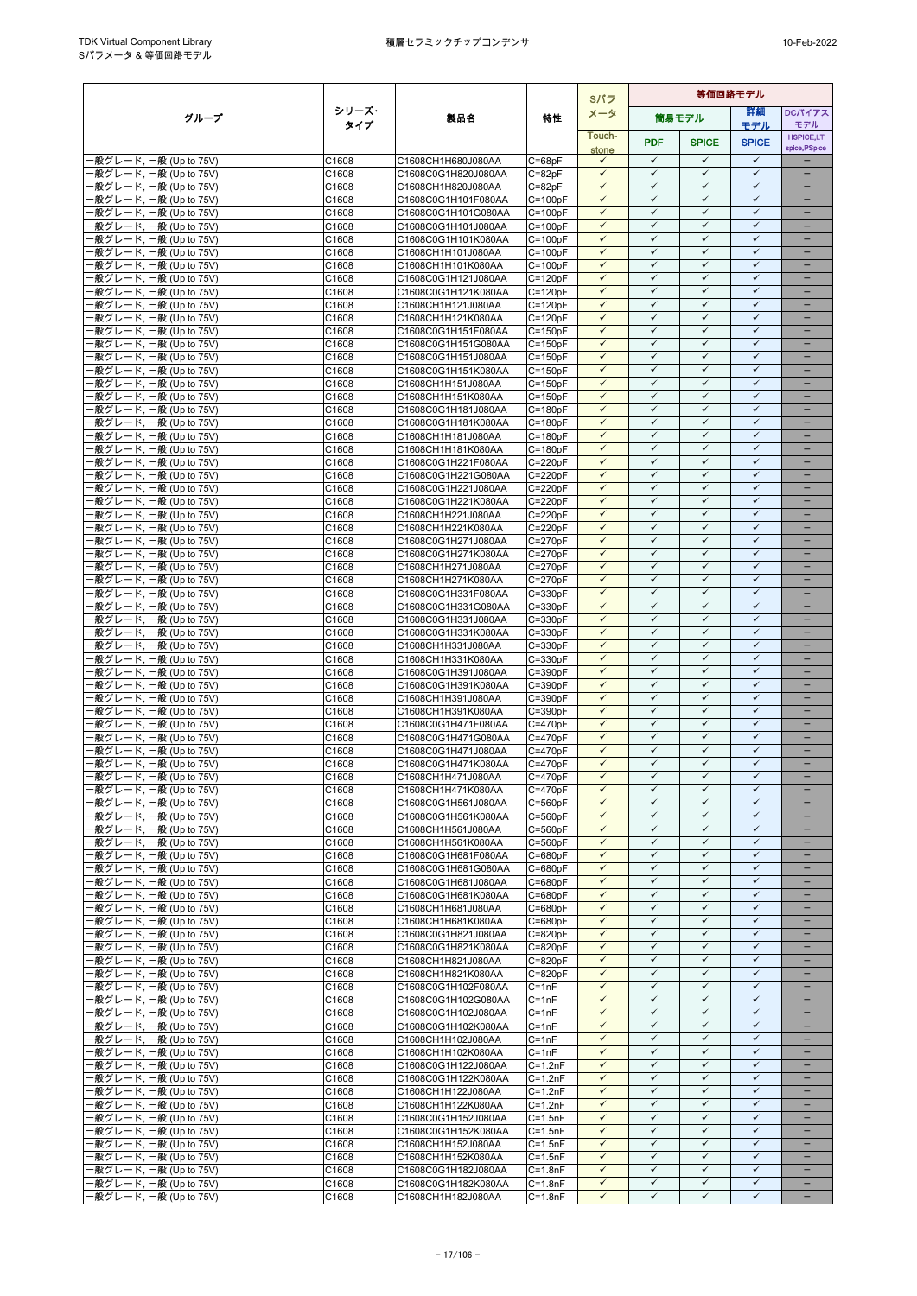|                                                  |                |                                           |                            | Sパラ                          |                              |                              | 等価回路モデル                      |                                                      |
|--------------------------------------------------|----------------|-------------------------------------------|----------------------------|------------------------------|------------------------------|------------------------------|------------------------------|------------------------------------------------------|
| グループ                                             | シリーズ・          | 製品名                                       | 特性                         | メータ                          |                              | 簡易モデル                        | 詳細                           | <b>DCパイアス</b>                                        |
|                                                  | タイプ            |                                           |                            | Touch-                       |                              |                              | モデル                          | モデル<br><b>HSPICE,LT</b>                              |
|                                                  |                |                                           |                            | stone                        | <b>PDF</b>                   | <b>SPICE</b>                 | <b>SPICE</b>                 | spice, PSpice                                        |
| -般グレード, 一般 (Up to 75V)                           | C1608          | C1608CH1H680J080AA                        | $C = 68pF$                 | $\checkmark$                 | $\checkmark$                 | $\checkmark$                 | $\checkmark$                 |                                                      |
| -般グレード, 一般 (Up to 75V)<br>·般グレード, 一般 (Up to 75V) | C1608<br>C1608 | C1608C0G1H820J080AA<br>C1608CH1H820J080AA | $C = 82pF$<br>$C = 82pF$   | $\checkmark$<br>$\checkmark$ | $\checkmark$<br>$\checkmark$ | $\checkmark$<br>$\checkmark$ | $\checkmark$<br>$\checkmark$ | $\equiv$                                             |
| -般グレード, 一般 (Up to 75V)                           | C1608          | C1608C0G1H101F080AA                       | $C = 100pF$                | $\checkmark$                 | $\checkmark$                 | $\checkmark$                 | $\checkmark$                 | $\qquad \qquad -$                                    |
| ·般グレード, 一般 (Up to 75V)                           | C1608          | C1608C0G1H101G080AA                       | $C = 100pF$                | $\checkmark$                 | ✓                            | $\checkmark$                 | $\checkmark$                 | $\qquad \qquad -$                                    |
| -般グレード, 一般 (Up to 75V)                           | C1608          | C1608C0G1H101J080AA                       | $C = 100pF$                | $\checkmark$                 | $\checkmark$                 | $\checkmark$                 | $\checkmark$                 |                                                      |
| -般グレード, 一般 (Up to 75V)<br>-般グレード, 一般 (Up to 75V) | C1608<br>C1608 | C1608C0G1H101K080AA<br>C1608CH1H101J080AA | $C = 100pF$<br>$C = 100pF$ | $\checkmark$<br>$\checkmark$ | $\checkmark$<br>$\checkmark$ | $\checkmark$<br>$\checkmark$ | $\checkmark$<br>$\checkmark$ | $\equiv$                                             |
| ·般グレード, 一般 (Up to 75V)                           | C1608          | C1608CH1H101K080AA                        | $C = 100pF$                | $\checkmark$                 | $\checkmark$                 | $\checkmark$                 | $\checkmark$                 | $\overline{\phantom{0}}$                             |
| ·般グレード, 一般 (Up to 75V)                           | C1608          | C1608C0G1H121J080AA                       | $C = 120pF$                | $\checkmark$                 | $\checkmark$                 | $\checkmark$                 | $\checkmark$                 | -                                                    |
| -般グレード, 一般 (Up to 75V)                           | C1608          | C1608C0G1H121K080AA                       | $C = 120pF$                | $\checkmark$                 | ✓                            | $\checkmark$                 | $\checkmark$                 |                                                      |
| -般グレード, 一般 (Up to 75V)<br>-般グレード, 一般 (Up to 75V) | C1608          | C1608CH1H121J080AA                        | $C = 120pF$<br>$C = 120pF$ | $\checkmark$<br>$\checkmark$ | $\checkmark$<br>$\checkmark$ | $\checkmark$<br>$\checkmark$ | $\checkmark$<br>$\checkmark$ |                                                      |
| -般グレード, 一般 (Up to 75V)                           | C1608<br>C1608 | C1608CH1H121K080AA<br>C1608C0G1H151F080AA | $C = 150pF$                | $\checkmark$                 | $\checkmark$                 | $\checkmark$                 | $\checkmark$                 |                                                      |
| -般グレード, 一般 (Up to 75V)                           | C1608          | C1608C0G1H151G080AA                       | $C = 150pF$                | $\checkmark$                 | $\checkmark$                 | $\checkmark$                 | $\checkmark$                 | $\overline{\phantom{0}}$                             |
| 般グレード, 一般 (Up to 75V)                            | C1608          | C1608C0G1H151J080AA                       | $C = 150pF$                | $\checkmark$                 | $\checkmark$                 | $\checkmark$                 | $\checkmark$                 |                                                      |
| -般グレード, 一般 (Up to 75V)                           | C1608<br>C1608 | C1608C0G1H151K080AA                       | $C = 150pF$                | $\checkmark$<br>$\checkmark$ | ✓<br>$\checkmark$            | $\checkmark$<br>$\checkmark$ | $\checkmark$<br>$\checkmark$ | $\qquad \qquad -$                                    |
| -般グレード, 一般 (Up to 75V)<br>·般グレード, 一般 (Up to 75V) | C1608          | C1608CH1H151J080AA<br>C1608CH1H151K080AA  | $C = 150pF$<br>$C = 150pF$ | $\checkmark$                 | $\checkmark$                 | $\checkmark$                 | $\checkmark$                 |                                                      |
| 般グレード, 一般 (Up to 75V)                            | C1608          | C1608C0G1H181J080AA                       | $C = 180pF$                | $\checkmark$                 | $\checkmark$                 | $\checkmark$                 | $\checkmark$                 |                                                      |
| ·般グレード, 一般 (Up to 75V)                           | C1608          | C1608C0G1H181K080AA                       | $C = 180pF$                | $\checkmark$                 | $\checkmark$                 | $\checkmark$                 | $\checkmark$                 | $\overline{\phantom{0}}$                             |
| ·般グレード, 一般 (Up to 75V)                           | C1608          | C1608CH1H181J080AA                        | $C = 180pF$                | $\checkmark$                 | $\checkmark$                 | $\checkmark$                 | $\checkmark$                 | $\qquad \qquad -$                                    |
| -般グレード, 一般 (Up to 75V)<br>-般グレード, 一般 (Up to 75V) | C1608<br>C1608 | C1608CH1H181K080AA<br>C1608C0G1H221F080AA | $C = 180pF$<br>$C = 220pF$ | $\checkmark$<br>$\checkmark$ | $\checkmark$<br>$\checkmark$ | $\checkmark$<br>$\checkmark$ | $\checkmark$<br>$\checkmark$ | $\overline{\phantom{0}}$<br>$\qquad \qquad -$        |
| ·般グレード, 一般 (Up to 75V)                           | C1608          | C1608C0G1H221G080AA                       | $C = 220pF$                | $\checkmark$                 | $\checkmark$                 | $\checkmark$                 | $\checkmark$                 |                                                      |
| 般グレード, 一般 (Up to 75V)                            | C1608          | C1608C0G1H221J080AA                       | $C = 220pF$                | $\checkmark$                 | $\checkmark$                 | $\checkmark$                 | $\checkmark$                 | $\equiv$                                             |
| -般グレード, 一般 (Up to 75V)                           | C1608          | C1608C0G1H221K080AA                       | $C = 220pF$                | $\checkmark$<br>$\checkmark$ | $\checkmark$<br>$\checkmark$ | $\checkmark$<br>$\checkmark$ | $\checkmark$<br>$\checkmark$ | $\overline{\phantom{0}}$<br>$\overline{\phantom{0}}$ |
| -般グレード, 一般 (Up to 75V)<br>-般グレード. 一般 (Up to 75V) | C1608<br>C1608 | C1608CH1H221J080AA<br>C1608CH1H221K080AA  | $C = 220pF$<br>$C = 220pF$ | $\checkmark$                 | $\checkmark$                 | $\checkmark$                 | $\checkmark$                 | $\qquad \qquad -$                                    |
| -般グレード, 一般 (Up to 75V)                           | C1608          | C1608C0G1H271J080AA                       | $C = 270pF$                | $\checkmark$                 | ✓                            | $\checkmark$                 | $\checkmark$                 |                                                      |
| -般グレード, 一般 (Up to 75V)                           | C1608          | C1608C0G1H271K080AA                       | $C = 270pF$                | $\checkmark$                 | $\checkmark$                 | $\checkmark$                 | $\checkmark$                 | $\qquad \qquad -$                                    |
| ·般グレード, 一般 (Up to 75V)                           | C1608          | C1608CH1H271J080AA                        | $C = 270pF$                | $\checkmark$<br>$\checkmark$ | $\checkmark$<br>$\checkmark$ | $\checkmark$<br>$\checkmark$ | $\checkmark$<br>$\checkmark$ | $\equiv$                                             |
| -般グレード, 一般 (Up to 75V)<br>-般グレード, 一般 (Up to 75V) | C1608<br>C1608 | C1608CH1H271K080AA<br>C1608C0G1H331F080AA | $C = 270pF$<br>$C = 330pF$ | $\checkmark$                 | $\checkmark$                 | $\checkmark$                 | $\checkmark$                 | $\overline{\phantom{0}}$                             |
| -般グレード, 一般 (Up to 75V)                           | C1608          | C1608C0G1H331G080AA                       | $C = 330pF$                | $\checkmark$                 | $\checkmark$                 | $\checkmark$                 | $\checkmark$                 |                                                      |
| -般グレード, 一般 (Up to 75V)                           | C1608          | C1608C0G1H331J080AA                       | $C = 330pF$                | $\checkmark$                 | ✓                            | $\checkmark$                 | ✓                            | $\overline{\phantom{0}}$                             |
| -般グレード, 一般 (Up to 75V)                           | C1608          | C1608C0G1H331K080AA                       | $C = 330pF$                | $\checkmark$<br>$\checkmark$ | $\checkmark$<br>$\checkmark$ | $\checkmark$<br>$\checkmark$ | $\checkmark$<br>$\checkmark$ |                                                      |
| -般グレード, 一般 (Up to 75V)<br>·般グレード, 一般 (Up to 75V) | C1608<br>C1608 | C1608CH1H331J080AA<br>C1608CH1H331K080AA  | $C = 330pF$<br>$C = 330pF$ | $\checkmark$                 | $\checkmark$                 | $\checkmark$                 | $\checkmark$                 |                                                      |
| -般グレード, 一般 (Up to 75V)                           | C1608          | C1608C0G1H391J080AA                       | $C = 390pF$                | $\checkmark$                 | $\checkmark$                 | $\checkmark$                 | $\checkmark$                 | $\overline{\phantom{0}}$                             |
| -般グレード, 一般 (Up to 75V)                           | C1608          | C1608C0G1H391K080AA                       | $C = 390pF$                | $\checkmark$                 | $\checkmark$                 | $\checkmark$                 | $\checkmark$                 | $\qquad \qquad -$                                    |
| -般グレード, 一般 (Up to 75V)                           | C1608          | C1608CH1H391J080AA                        | $C = 390pF$                | $\checkmark$<br>$\checkmark$ | $\checkmark$<br>$\checkmark$ | $\checkmark$<br>$\checkmark$ | ✓<br>$\checkmark$            | $\overline{\phantom{0}}$                             |
| -般グレード, 一般 (Up to 75V)<br>-般グレード, 一般 (Up to 75V) | C1608<br>C1608 | C1608CH1H391K080AA<br>C1608C0G1H471F080AA | $C = 390pF$<br>$C = 470pF$ | $\checkmark$                 | $\checkmark$                 | $\checkmark$                 | $\checkmark$                 | $\qquad \qquad -$                                    |
| -般グレード, 一般 (Up to 75V)                           | C1608          | C1608C0G1H471G080AA                       | $C = 470pF$                | $\checkmark$                 | $\checkmark$                 | $\checkmark$                 | $\checkmark$                 | $\equiv$                                             |
| -般グレード, 一般 (Up to 75V)                           | C1608          | C1608C0G1H471J080AA                       | $C = 470pF$                | $\checkmark$                 | $\checkmark$                 | $\checkmark$                 | $\checkmark$                 | $\overline{\phantom{0}}$                             |
| ·般グレード, 一般 (Up to 75V)                           | C1608          | C1608C0G1H471K080AA                       | $C = 470pF$                | $\checkmark$                 | $\checkmark$                 | $\checkmark$                 | $\checkmark$                 |                                                      |
| ·般グレード, 一般 (Up to 75V)<br>-般グレード, 一般 (Up to 75V) | C1608<br>C1608 | C1608CH1H471J080AA<br>C1608CH1H471K080AA  | $C = 470pF$<br>$C = 470pF$ | $\checkmark$<br>$\checkmark$ | $\checkmark$<br>$\checkmark$ | $\checkmark$<br>$\checkmark$ | $\checkmark$<br>$\checkmark$ |                                                      |
| -般グレード, 一般 (Up to 75V)                           | C1608          | C1608C0G1H561J080AA                       | $C = 560pF$                | $\checkmark$                 | $\checkmark$                 | $\checkmark$                 | $\checkmark$                 |                                                      |
| -般グレード, 一般 (Up to 75V)                           | C1608          | C1608C0G1H561K080AA                       | C=560pF                    | $\checkmark$                 | $\checkmark$                 | $\checkmark$                 | $\checkmark$                 |                                                      |
| -般グレード, 一般 (Up to 75V)                           | C1608          | C1608CH1H561J080AA                        | $C = 560pF$                | $\checkmark$                 | $\checkmark$                 | $\checkmark$                 | $\checkmark$                 |                                                      |
| -般グレード, 一般 (Up to 75V)<br>-般グレード, 一般 (Up to 75V) | C1608<br>C1608 | C1608CH1H561K080AA<br>C1608C0G1H681F080AA | $C = 560pF$<br>$C = 680pF$ | $\checkmark$<br>$\checkmark$ | $\checkmark$<br>$\checkmark$ | $\checkmark$<br>$\checkmark$ | $\checkmark$<br>$\checkmark$ | $\qquad \qquad -$                                    |
| -般グレード, 一般 (Up to 75V)                           | C1608          | C1608C0G1H681G080AA                       | $C = 680pF$                | $\checkmark$                 | ✓                            | $\checkmark$                 | ✓                            |                                                      |
| -般グレード, 一般 (Up to 75V)                           | C1608          | C1608C0G1H681J080AA                       | $C = 680pF$                | $\checkmark$                 | $\checkmark$                 | $\checkmark$                 | $\checkmark$                 |                                                      |
| -般グレード, 一般 (Up to 75V)                           | C1608          | C1608C0G1H681K080AA                       | $C = 680pF$                | $\checkmark$                 | $\checkmark$                 | $\checkmark$                 | $\checkmark$                 |                                                      |
| ·般グレード, 一般 (Up to 75V)<br>-般グレード, 一般 (Up to 75V) | C1608<br>C1608 | C1608CH1H681J080AA<br>C1608CH1H681K080AA  | $C = 680pF$<br>$C = 680pF$ | $\checkmark$<br>$\checkmark$ | $\checkmark$<br>$\checkmark$ | $\checkmark$<br>$\checkmark$ | $\checkmark$<br>$\checkmark$ | $\overline{\phantom{0}}$                             |
| -般グレード, 一般 (Up to 75V)                           | C1608          | C1608C0G1H821J080AA                       | $C = 820pF$                | $\checkmark$                 | $\checkmark$                 | $\checkmark$                 | $\checkmark$                 |                                                      |
| -般グレード, 一般 (Up to 75V)                           | C1608          | C1608C0G1H821K080AA                       | $C = 820pF$                | $\checkmark$                 | ✓                            | ✓                            | ✓                            |                                                      |
| -般グレード, 一般 (Up to 75V)                           | C1608          | C1608CH1H821J080AA                        | $C = 820pF$                | $\checkmark$                 | $\checkmark$                 | $\checkmark$                 | $\checkmark$                 | $\qquad \qquad -$                                    |
| ·般グレード, 一般 (Up to 75V)<br>-般グレード, 一般 (Up to 75V) | C1608<br>C1608 | C1608CH1H821K080AA<br>C1608C0G1H102F080AA | $C = 820pF$<br>$C = 1nF$   | $\checkmark$<br>$\checkmark$ | ✓<br>✓                       | $\checkmark$<br>$\checkmark$ | $\checkmark$<br>$\checkmark$ |                                                      |
| -般グレード, 一般 (Up to 75V)                           | C1608          | C1608C0G1H102G080AA                       | $C = 1nF$                  | $\checkmark$                 | $\checkmark$                 | $\checkmark$                 | $\checkmark$                 | $\overline{\phantom{0}}$                             |
| ·般グレード, 一般 (Up to 75V)                           | C1608          | C1608C0G1H102J080AA                       | $C = 1nF$                  | $\checkmark$                 | $\checkmark$                 | $\checkmark$                 | $\checkmark$                 |                                                      |
| ·般グレード, 一般 (Up to 75V)                           | C1608          | C1608C0G1H102K080AA                       | $C = 1nF$                  | $\checkmark$                 | $\checkmark$                 | $\checkmark$                 | $\checkmark$                 | $\qquad \qquad -$                                    |
| -般グレード, 一般 (Up to 75V)<br>-般グレード, 一般 (Up to 75V) | C1608<br>C1608 | C1608CH1H102J080AA<br>C1608CH1H102K080AA  | $C = 1nF$<br>$C = 1nF$     | $\checkmark$<br>$\checkmark$ | $\checkmark$<br>$\checkmark$ | $\checkmark$<br>$\checkmark$ | $\checkmark$<br>$\checkmark$ | -                                                    |
| ·般グレード, 一般 (Up to 75V)                           | C1608          | C1608C0G1H122J080AA                       | $C=1.2nF$                  | $\checkmark$                 | $\checkmark$                 | $\checkmark$                 | $\checkmark$                 |                                                      |
| -般グレード, 一般 (Up to 75V)                           | C1608          | C1608C0G1H122K080AA                       | $C=1.2nF$                  | $\checkmark$                 | $\checkmark$                 | $\checkmark$                 | $\checkmark$                 |                                                      |
| -般グレード, 一般 (Up to 75V)                           | C1608          | C1608CH1H122J080AA                        | $C=1.2nF$                  | $\checkmark$                 | $\checkmark$                 | $\checkmark$                 | $\checkmark$                 |                                                      |
| -般グレード, 一般 (Up to 75V)<br>-般グレード, 一般 (Up to 75V) | C1608<br>C1608 | C1608CH1H122K080AA<br>C1608C0G1H152J080AA | $C=1.2nF$<br>$C = 1.5nF$   | $\checkmark$<br>$\checkmark$ | $\checkmark$<br>✓            | $\checkmark$<br>$\checkmark$ | $\checkmark$<br>$\checkmark$ | $\qquad \qquad -$<br>$\qquad \qquad -$               |
| -般グレード, 一般 (Up to 75V)                           | C1608          | C1608C0G1H152K080AA                       | $C = 1.5nF$                | $\checkmark$                 | $\checkmark$                 | $\checkmark$                 | $\checkmark$                 |                                                      |
| -般グレード, 一般 (Up to 75V)                           | C1608          | C1608CH1H152J080AA                        | $C = 1.5nF$                | $\checkmark$                 | $\checkmark$                 | $\checkmark$                 | $\checkmark$                 | $\overline{\phantom{0}}$                             |
| ·般グレード, 一般 (Up to 75V)                           | C1608          | C1608CH1H152K080AA                        | $C = 1.5nF$                | $\checkmark$                 | ✓                            | $\checkmark$                 | $\checkmark$                 |                                                      |
| -般グレード, 一般 (Up to 75V)<br>-般グレード, 一般 (Up to 75V) | C1608<br>C1608 | C1608C0G1H182J080AA                       | $C = 1.8nF$                | $\checkmark$<br>$\checkmark$ | $\checkmark$<br>$\checkmark$ | $\checkmark$<br>$\checkmark$ | $\checkmark$<br>$\checkmark$ | $\overline{\phantom{0}}$<br>$\qquad \qquad -$        |
| - 般グレード, 一般 (Up to 75V)                          | C1608          | C1608C0G1H182K080AA<br>C1608CH1H182J080AA | $C=1.8nF$<br>$C = 1.8nF$   | $\checkmark$                 | $\checkmark$                 | $\checkmark$                 | ✓                            |                                                      |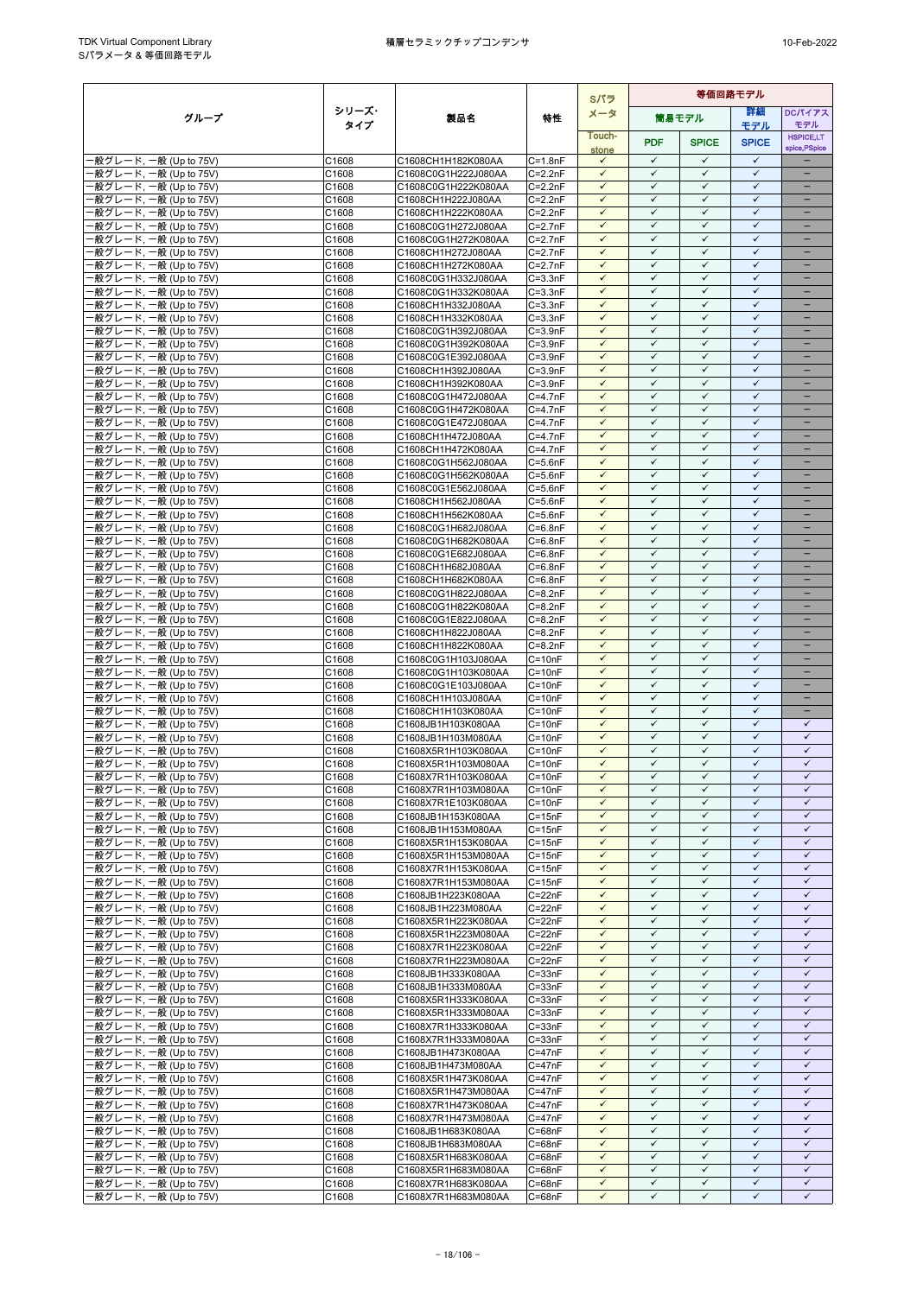|                                                  |                |                                            |                            | Sパラ                          | 等価回路モデル                      |                              |                              |                                      |
|--------------------------------------------------|----------------|--------------------------------------------|----------------------------|------------------------------|------------------------------|------------------------------|------------------------------|--------------------------------------|
| グループ                                             | シリーズ・          | 製品名                                        | 特性                         | メータ                          |                              | 簡易モデル                        | 詳細                           | <b>DCパイアス</b>                        |
|                                                  | タイプ            |                                            |                            | Touch-                       |                              |                              | モデル                          | モデル<br><b>HSPICE,LT</b>              |
|                                                  |                |                                            |                            | stone                        | <b>PDF</b>                   | <b>SPICE</b>                 | <b>SPICE</b>                 | spice, PSpice                        |
| ·般グレード, 一般 (Up to 75V)                           | C1608          | C1608CH1H182K080AA                         | $C = 1.8nF$                | $\checkmark$                 | $\checkmark$                 | $\checkmark$                 | $\checkmark$                 |                                      |
| 般グレード, 一般 (Up to 75V)<br>·般グレード, 一般 (Up to 75V)  | C1608<br>C1608 | C1608C0G1H222J080AA<br>C1608C0G1H222K080AA | $C = 2.2nF$<br>$C = 2.2nF$ | $\checkmark$<br>$\checkmark$ | $\checkmark$<br>$\checkmark$ | $\checkmark$<br>$\checkmark$ | $\checkmark$<br>$\checkmark$ | $\equiv$<br>$\overline{\phantom{0}}$ |
| ·般グレード, 一般 (Up to 75V)                           | C1608          | C1608CH1H222J080AA                         | $C = 2.2nF$                | $\checkmark$                 | $\checkmark$                 | $\checkmark$                 | $\checkmark$                 | -                                    |
| -般グレード, 一般 (Up to 75V)                           | C1608          | C1608CH1H222K080AA                         | $C = 2.2nF$                | $\checkmark$                 | $\checkmark$                 | $\checkmark$                 | $\checkmark$                 | $\qquad \qquad -$                    |
| ·般グレード, 一般 (Up to 75V)                           | C1608          | C1608C0G1H272J080AA                        | $C = 2.7nF$                | $\checkmark$                 | $\checkmark$                 | $\checkmark$                 | $\checkmark$                 |                                      |
| ·般グレード, 一般 (Up to 75V)                           | C1608          | C1608C0G1H272K080AA                        | $C = 2.7nF$                | $\checkmark$                 | $\checkmark$                 | $\checkmark$                 | $\checkmark$                 |                                      |
| -般グレード, 一般 (Up to 75V)                           | C1608          | C1608CH1H272J080AA<br>C1608CH1H272K080AA   | $C = 2.7nF$                | $\checkmark$<br>$\checkmark$ | $\checkmark$<br>$\checkmark$ | $\checkmark$<br>$\checkmark$ | $\checkmark$<br>$\checkmark$ | $\overline{\phantom{0}}$<br>$\equiv$ |
| -般グレード, 一般 (Up to 75V)<br>·般グレード, 一般 (Up to 75V) | C1608<br>C1608 | C1608C0G1H332J080AA                        | $C=2.7nF$<br>$C = 3.3nF$   | $\checkmark$                 | $\checkmark$                 | $\checkmark$                 | $\checkmark$                 | -                                    |
| -般グレード, 一般 (Up to 75V)                           | C1608          | C1608C0G1H332K080AA                        | $C = 3.3nF$                | $\checkmark$                 | $\checkmark$                 | $\checkmark$                 | $\checkmark$                 | $\qquad \qquad -$                    |
| ·般グレード, 一般 (Up to 75V)                           | C1608          | C1608CH1H332J080AA                         | $C = 3.3nF$                | $\checkmark$                 | $\checkmark$                 | $\checkmark$                 | $\checkmark$                 | -                                    |
| ·般グレード, 一般 (Up to 75V)                           | C1608          | C1608CH1H332K080AA                         | $C = 3.3nF$                | $\checkmark$                 | ✓                            | ✓                            | $\checkmark$                 |                                      |
| ·般グレード, 一般 (Up to 75V)                           | C1608          | C1608C0G1H392J080AA                        | $C = 3.9nF$                | $\checkmark$<br>$\checkmark$ | $\checkmark$<br>$\checkmark$ | $\checkmark$<br>$\checkmark$ | $\checkmark$<br>$\checkmark$ | ۳                                    |
| ·般グレード, 一般 (Up to 75V)<br>·般グレード, 一般 (Up to 75V) | C1608<br>C1608 | C1608C0G1H392K080AA<br>C1608C0G1E392J080AA | $C = 3.9nF$<br>$C = 3.9nF$ | $\checkmark$                 | $\checkmark$                 | $\checkmark$                 | $\checkmark$                 | ÷                                    |
| ·般グレード, 一般 (Up to 75V)                           | C1608          | C1608CH1H392J080AA                         | $C = 3.9nF$                | $\checkmark$                 | $\checkmark$                 | $\checkmark$                 | $\checkmark$                 | -                                    |
| ·般グレード, 一般 (Up to 75V)                           | C1608          | C1608CH1H392K080AA                         | $C = 3.9nF$                | $\checkmark$                 | ✓                            | ✓                            | $\checkmark$                 |                                      |
| ·般グレード, 一般 (Up to 75V)                           | C1608          | C1608C0G1H472J080AA                        | $C=4.7nF$                  | $\checkmark$                 | $\checkmark$                 | $\checkmark$                 | $\checkmark$                 | $\overline{\phantom{0}}$             |
| ·般グレード, 一般 (Up to 75V)                           | C1608          | C1608C0G1H472K080AA                        | C=4.7nF                    | $\checkmark$<br>$\checkmark$ | $\checkmark$<br>$\checkmark$ | $\checkmark$<br>$\checkmark$ | $\checkmark$<br>$\checkmark$ |                                      |
| ·般グレード, 一般 (Up to 75V)<br>-般グレード, 一般 (Up to 75V) | C1608<br>C1608 | C1608C0G1E472J080AA<br>C1608CH1H472J080AA  | $C = 4.7nF$<br>$C = 4.7nF$ | $\checkmark$                 | $\checkmark$                 | $\checkmark$                 | $\checkmark$                 | $\overline{\phantom{0}}$             |
| ·般グレード, 一般 (Up to 75V)                           | C1608          | C1608CH1H472K080AA                         | $C = 4.7nF$                | $\checkmark$                 | $\checkmark$                 | $\checkmark$                 | $\checkmark$                 | -                                    |
| ·般グレード, 一般 (Up to 75V)                           | C1608          | C1608C0G1H562J080AA                        | $C = 5.6nF$                | $\checkmark$                 | $\checkmark$                 | $\checkmark$                 | $\checkmark$                 | -                                    |
| ·般グレード, 一般 (Up to 75V)                           | C1608          | C1608C0G1H562K080AA                        | $C = 5.6nF$                | $\checkmark$                 | $\checkmark$                 | $\checkmark$                 | $\checkmark$                 |                                      |
| ·般グレード, 一般 (Up to 75V)                           | C1608          | C1608C0G1E562J080AA                        | $C = 5.6nF$                | $\checkmark$                 | $\checkmark$                 | $\checkmark$                 | $\checkmark$<br>$\checkmark$ | -                                    |
| ·般グレード, 一般 (Up to 75V)<br>-般グレード, 一般 (Up to 75V) | C1608<br>C1608 | C1608CH1H562J080AA<br>C1608CH1H562K080AA   | $C = 5.6nF$<br>$C = 5.6nF$ | $\checkmark$<br>$\checkmark$ | $\checkmark$<br>$\checkmark$ | $\checkmark$<br>$\checkmark$ | $\checkmark$                 | -                                    |
| ·般グレード, 一般 (Up to 75V)                           | C1608          | C1608C0G1H682J080AA                        | $C=6.8nF$                  | $\checkmark$                 | $\checkmark$                 | $\checkmark$                 | $\checkmark$                 | -                                    |
| ·般グレード, 一般 (Up to 75V)                           | C1608          | C1608C0G1H682K080AA                        | $C = 6.8nF$                | $\checkmark$                 | $\checkmark$                 | $\checkmark$                 | $\checkmark$                 | $\equiv$                             |
| -般グレード, 一般 (Up to 75V)                           | C1608          | C1608C0G1E682J080AA                        | $C=6.8nF$                  | $\checkmark$                 | $\checkmark$                 | $\checkmark$                 | $\checkmark$                 | -                                    |
| ·般グレード, 一般 (Up to 75V)                           | C1608          | C1608CH1H682J080AA                         | $C = 6.8nF$                | $\checkmark$                 | $\checkmark$                 | $\checkmark$                 | $\checkmark$                 |                                      |
| ·般グレード, 一般 (Up to 75V)                           | C1608          | C1608CH1H682K080AA                         | $C=6.8nF$                  | $\checkmark$<br>$\checkmark$ | $\checkmark$<br>$\checkmark$ | $\checkmark$<br>$\checkmark$ | $\checkmark$<br>$\checkmark$ | $\equiv$                             |
| -般グレード, 一般 (Up to 75V)<br>·般グレード, 一般 (Up to 75V) | C1608<br>C1608 | C1608C0G1H822J080AA<br>C1608C0G1H822K080AA | $C = 8.2nF$<br>$C = 8.2nF$ | $\checkmark$                 | $\checkmark$                 | $\checkmark$                 | $\checkmark$                 | $\equiv$                             |
| ·般グレード, 一般 (Up to 75V)                           | C1608          | C1608C0G1E822J080AA                        | $C = 8.2nF$                | $\checkmark$                 | $\checkmark$                 | $\checkmark$                 | $\checkmark$                 | $\qquad \qquad -$                    |
| ·般グレード, 一般 (Up to 75V)                           | C1608          | C1608CH1H822J080AA                         | $C = 8.2nF$                | $\checkmark$                 | $\checkmark$                 | ✓                            | $\checkmark$                 |                                      |
| ·般グレード, 一般 (Up to 75V)                           | C1608          | C1608CH1H822K080AA                         | $C = 8.2nF$                | $\checkmark$                 | $\checkmark$                 | $\checkmark$                 | $\checkmark$                 | -                                    |
| ·般グレード, 一般 (Up to 75V)                           | C1608          | C1608C0G1H103J080AA                        | $C = 10nF$                 | $\checkmark$                 | $\checkmark$                 | $\checkmark$                 | $\checkmark$<br>$\checkmark$ |                                      |
| ·般グレード, 一般 (Up to 75V)<br>-般グレード, 一般 (Up to 75V) | C1608<br>C1608 | C1608C0G1H103K080AA<br>C1608C0G1E103J080AA | $C = 10nF$<br>$C = 10nF$   | $\checkmark$<br>$\checkmark$ | $\checkmark$<br>$\checkmark$ | $\checkmark$<br>$\checkmark$ | $\checkmark$                 | $\qquad \qquad -$                    |
| -般グレード, 一般 (Up to 75V)                           | C1608          | C1608CH1H103J080AA                         | $C = 10nF$                 | $\checkmark$                 | $\checkmark$                 | $\checkmark$                 | $\checkmark$                 | -                                    |
| -般グレード, 一般 (Up to 75V)                           | C1608          | C1608CH1H103K080AA                         | $C = 10nF$                 | $\checkmark$                 | $\checkmark$                 | $\checkmark$                 | $\checkmark$                 | -                                    |
| ·般グレード, 一般 (Up to 75V)                           | C1608          | C1608JB1H103K080AA                         | $C = 10nF$                 | $\checkmark$                 | $\checkmark$                 | $\checkmark$                 | $\checkmark$                 | $\checkmark$                         |
| ·般グレード, 一般 (Up to 75V)                           | C1608          | C1608JB1H103M080AA                         | $C = 10nF$                 | $\checkmark$<br>$\checkmark$ | $\checkmark$<br>$\checkmark$ | $\checkmark$<br>$\checkmark$ | $\checkmark$<br>$\checkmark$ | $\checkmark$<br>$\checkmark$         |
| ·般グレード, 一般 (Up to 75V)<br>·般グレード, 一般 (Up to 75V) | C1608<br>C1608 | C1608X5R1H103K080AA<br>C1608X5R1H103M080AA | $C = 10nF$<br>$C = 10nF$   | $\checkmark$                 | $\checkmark$                 | $\checkmark$                 | $\checkmark$                 | $\checkmark$                         |
| ·般グレード, 一般 (Up to 75V)                           | C1608          | C1608X7R1H103K080AA                        | $C=10nF$                   | $\checkmark$                 | $\checkmark$                 | $\checkmark$                 | $\checkmark$                 | $\checkmark$                         |
| ·般グレード, 一般 (Up to 75V)                           | C1608          | C1608X7R1H103M080AA                        | $C = 10nF$                 | $\checkmark$                 | $\checkmark$                 | $\checkmark$                 | ✓                            | ✓                                    |
| -般グレード, 一般 (Up to 75V)                           | C1608          | C1608X7R1E103K080AA                        | $C = 10nF$                 | $\checkmark$                 | $\checkmark$                 | $\checkmark$                 | $\checkmark$                 | $\checkmark$                         |
| ·般グレード, 一般 (Up to 75V)                           | C1608          | C1608JB1H153K080AA                         | $C = 15nF$                 | $\checkmark$                 | $\checkmark$                 | $\checkmark$                 | $\checkmark$                 | $\checkmark$                         |
| -般グレード, 一般 (Up to 75V)<br>-般グレード, 一般 (Up to 75V) | C1608<br>C1608 | C1608JB1H153M080AA<br>C1608X5R1H153K080AA  | $C = 15nF$<br>$C = 15nF$   | $\checkmark$<br>$\checkmark$ | $\checkmark$<br>$\checkmark$ | $\checkmark$<br>$\checkmark$ | $\checkmark$<br>$\checkmark$ | $\checkmark$<br>$\checkmark$         |
| ·般グレード, 一般 (Up to 75V)                           | C1608          | C1608X5R1H153M080AA                        | $C = 15nF$                 | $\checkmark$                 | $\checkmark$                 | ✓                            | $\checkmark$                 | $\checkmark$                         |
| ·般グレード, 一般 (Up to 75V)                           | C1608          | C1608X7R1H153K080AA                        | $C = 15nF$                 | $\checkmark$                 | $\checkmark$                 | $\checkmark$                 | $\checkmark$                 | $\checkmark$                         |
| -般グレード, 一般 (Up to 75V)                           | C1608          | C1608X7R1H153M080AA                        | $C = 15nF$                 | $\checkmark$                 | $\checkmark$                 | ✓                            | ✓                            | $\checkmark$                         |
| ·般グレード, 一般 (Up to 75V)                           | C1608          | C1608JB1H223K080AA                         | $C = 22nF$                 | $\checkmark$                 | $\checkmark$                 | $\checkmark$                 | $\checkmark$                 | $\checkmark$                         |
| ·般グレード, 一般 (Up to 75V)<br>-般グレード, 一般 (Up to 75V) | C1608<br>C1608 | C1608JB1H223M080AA<br>C1608X5R1H223K080AA  | $C = 22nF$<br>$C = 22nF$   | $\checkmark$<br>$\checkmark$ | $\checkmark$<br>$\checkmark$ | $\checkmark$<br>$\checkmark$ | $\checkmark$<br>$\checkmark$ | $\checkmark$<br>✓                    |
| ·般グレード, 一般 (Up to 75V)                           | C1608          | C1608X5R1H223M080AA                        | $C = 22nF$                 | $\checkmark$                 | $\checkmark$                 | $\checkmark$                 | $\checkmark$                 | $\checkmark$                         |
| ·般グレード, 一般 (Up to 75V)                           | C1608          | C1608X7R1H223K080AA                        | $C = 22nF$                 | $\checkmark$                 | $\checkmark$                 | $\checkmark$                 | $\checkmark$                 | $\checkmark$                         |
| ·般グレード, 一般 (Up to 75V)                           | C1608          | C1608X7R1H223M080AA                        | $C = 22nF$                 | $\checkmark$                 | $\checkmark$                 | $\checkmark$                 | ✓                            | $\checkmark$                         |
| ·般グレード, 一般 (Up to 75V)                           | C1608          | C1608JB1H333K080AA                         | $C = 33nF$                 | $\checkmark$                 | $\checkmark$                 | $\checkmark$                 | $\checkmark$                 | $\checkmark$                         |
| -般グレード, 一般 (Up to 75V)<br>·般グレード, 一般 (Up to 75V) | C1608<br>C1608 | C1608JB1H333M080AA<br>C1608X5R1H333K080AA  | $C = 33nF$<br>$C = 33nF$   | $\checkmark$<br>$\checkmark$ | $\checkmark$<br>$\checkmark$ | $\checkmark$<br>$\checkmark$ | $\checkmark$<br>$\checkmark$ | $\checkmark$<br>$\checkmark$         |
| -般グレード, 一般 (Up to 75V)                           | C1608          | C1608X5R1H333M080AA                        | $C = 33nF$                 | $\checkmark$                 | $\checkmark$                 | $\checkmark$                 | $\checkmark$                 | $\checkmark$                         |
| ·般グレード, 一般 (Up to 75V)                           | C1608          | C1608X7R1H333K080AA                        | $C = 33nF$                 | $\checkmark$                 | $\checkmark$                 | $\checkmark$                 | $\checkmark$                 | $\checkmark$                         |
| -般グレード, 一般 (Up to 75V)                           | C1608          | C1608X7R1H333M080AA                        | $C = 33nF$                 | $\checkmark$                 | ✓                            | ✓                            | ✓                            | ✓                                    |
| ·般グレード, 一般 (Up to 75V)                           | C1608          | C1608JB1H473K080AA                         | $C = 47nF$                 | $\checkmark$                 | $\checkmark$                 | $\checkmark$                 | $\checkmark$                 | $\checkmark$                         |
| ·般グレード, 一般 (Up to 75V)<br>-般グレード, 一般 (Up to 75V) | C1608<br>C1608 | C1608JB1H473M080AA<br>C1608X5R1H473K080AA  | C=47nF<br>$C = 47nF$       | $\checkmark$<br>$\checkmark$ | $\checkmark$<br>$\checkmark$ | $\checkmark$<br>$\checkmark$ | $\checkmark$<br>$\checkmark$ | $\checkmark$<br>✓                    |
| -般グレード, 一般 (Up to 75V)                           | C1608          | C1608X5R1H473M080AA                        | $C = 47nF$                 | $\checkmark$                 | $\checkmark$                 | $\checkmark$                 | $\checkmark$                 | $\checkmark$                         |
| ·般グレード, 一般 (Up to 75V)                           | C1608          | C1608X7R1H473K080AA                        | $C = 47nF$                 | $\checkmark$                 | $\checkmark$                 | ✓                            | $\checkmark$                 | $\checkmark$                         |
| ·般グレード, 一般 (Up to 75V)                           | C1608          | C1608X7R1H473M080AA                        | $C = 47nF$                 | $\checkmark$                 | $\checkmark$                 | $\checkmark$                 | $\checkmark$                 | $\checkmark$                         |
| -般グレード, 一般 (Up to 75V)                           | C1608          | C1608JB1H683K080AA                         | $C = 68nF$                 | $\checkmark$                 | $\checkmark$                 | $\checkmark$                 | $\checkmark$                 | $\checkmark$                         |
| ·般グレード, 一般 (Up to 75V)                           | C1608          | C1608JB1H683M080AA                         | $C = 68nF$                 | $\checkmark$<br>$\checkmark$ | $\checkmark$<br>$\checkmark$ | $\checkmark$<br>$\checkmark$ | $\checkmark$<br>$\checkmark$ | $\checkmark$<br>$\checkmark$         |
| ·般グレード, 一般 (Up to 75V)<br>-般グレード, 一般 (Up to 75V) | C1608<br>C1608 | C1608X5R1H683K080AA<br>C1608X5R1H683M080AA | $C = 68nF$<br>$C = 68nF$   | $\checkmark$                 | $\checkmark$                 | $\checkmark$                 | $\checkmark$                 | $\checkmark$                         |
| -般グレード, 一般 (Up to 75V)                           | C1608          | C1608X7R1H683K080AA                        | $C = 68nF$                 | $\checkmark$                 | $\checkmark$                 | $\checkmark$                 | $\checkmark$                 | $\checkmark$                         |
| -般グレード, 一般 (Up to 75V)                           | C1608          | C1608X7R1H683M080AA                        | C=68nF                     | $\checkmark$                 | $\checkmark$                 | ✓                            | $\checkmark$                 | ✓                                    |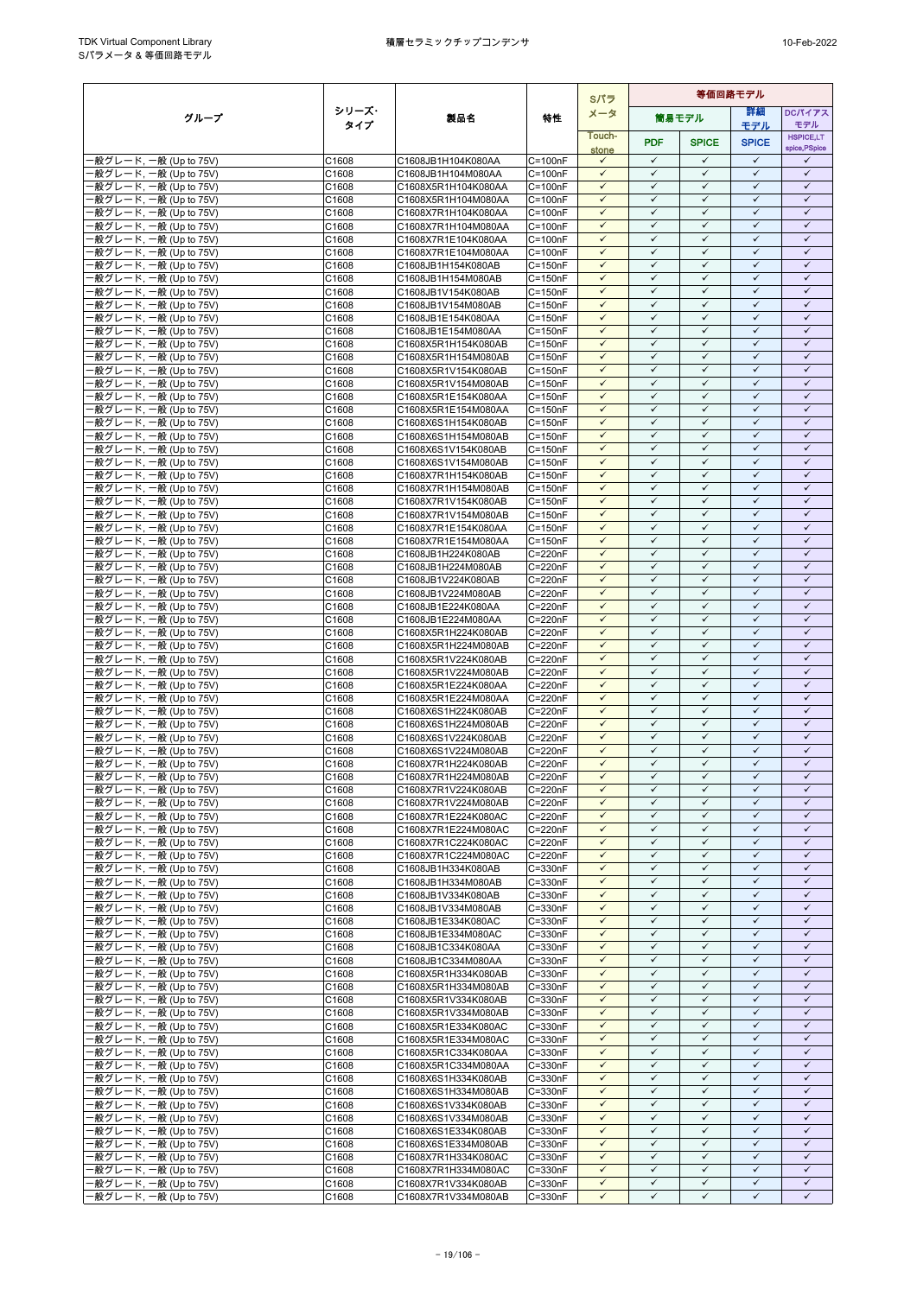|                                                  |                |                                            |                            | Sパラ                          | 等価回路モデル                      |                              |                              |                              |
|--------------------------------------------------|----------------|--------------------------------------------|----------------------------|------------------------------|------------------------------|------------------------------|------------------------------|------------------------------|
| グループ                                             | シリーズ・          | 製品名                                        | 特性                         | メータ                          |                              | 筒易モデル                        | 詳細                           | <b>DCパイアス</b>                |
|                                                  | タイプ            |                                            |                            | Touch-                       |                              |                              | モデル                          | モデル<br><b>HSPICE,LT</b>      |
|                                                  |                |                                            |                            | stone                        | <b>PDF</b>                   | <b>SPICE</b>                 | <b>SPICE</b>                 | spice, PSpice                |
| -般グレード, 一般 (Up to 75V)                           | C1608          | C1608JB1H104K080AA                         | $C = 100nF$                | $\checkmark$                 | $\checkmark$                 | $\checkmark$                 | $\checkmark$<br>$\checkmark$ | ✓                            |
| -般グレード, 一般 (Up to 75V)<br>-般グレード, 一般 (Up to 75V) | C1608<br>C1608 | C1608JB1H104M080AA<br>C1608X5R1H104K080AA  | $C = 100nF$<br>$C = 100nF$ | $\checkmark$<br>$\checkmark$ | $\checkmark$<br>$\checkmark$ | $\checkmark$<br>$\checkmark$ | $\checkmark$                 | $\checkmark$<br>$\checkmark$ |
| ·般グレード, 一般 (Up to 75V)                           | C1608          | C1608X5R1H104M080AA                        | $C = 100nF$                | $\checkmark$                 | $\checkmark$                 | $\checkmark$                 | $\checkmark$                 | $\checkmark$                 |
| -般グレード, 一般 (Up to 75V)                           | C1608          | C1608X7R1H104K080AA                        | $C = 100nF$                | $\checkmark$                 | $\checkmark$                 | $\checkmark$                 | $\checkmark$                 | $\checkmark$                 |
| ·般グレード, 一般 (Up to 75V)                           | C1608          | C1608X7R1H104M080AA                        | $C = 100nF$                | $\checkmark$                 | $\checkmark$                 | $\checkmark$                 | $\checkmark$                 | $\checkmark$                 |
| ·般グレード, 一般 (Up to 75V)                           | C1608          | C1608X7R1E104K080AA                        | $C = 100nF$                | $\checkmark$                 | $\checkmark$                 | $\checkmark$                 | $\checkmark$                 | $\checkmark$                 |
| ·般グレード, 一般 (Up to 75V)                           | C1608          | C1608X7R1E104M080AA                        | $C = 100nF$                | $\checkmark$<br>$\checkmark$ | $\checkmark$<br>$\checkmark$ | $\checkmark$<br>$\checkmark$ | $\checkmark$<br>$\checkmark$ | $\checkmark$<br>$\checkmark$ |
| 般グレード, 一般 (Up to 75V)<br>·般グレード, 一般 (Up to 75V)  | C1608<br>C1608 | C1608JB1H154K080AB<br>C1608JB1H154M080AB   | $C = 150nF$<br>$C = 150nF$ | $\checkmark$                 | $\checkmark$                 | $\checkmark$                 | $\checkmark$                 | $\checkmark$                 |
| -般グレード, 一般 (Up to 75V)                           | C1608          | C1608JB1V154K080AB                         | $C = 150nF$                | $\checkmark$                 | $\checkmark$                 | $\checkmark$                 | $\checkmark$                 | $\checkmark$                 |
| ·般グレード, 一般 (Up to 75V)                           | C1608          | C1608JB1V154M080AB                         | $C = 150nF$                | $\checkmark$                 | $\checkmark$                 | $\checkmark$                 | $\checkmark$                 | $\checkmark$                 |
| -般グレード, 一般 (Up to 75V)                           | C1608          | C1608JB1E154K080AA                         | $C = 150nF$                | $\checkmark$                 | $\checkmark$                 | $\checkmark$                 | ✓                            | $\checkmark$                 |
| ·般グレード, 一般 (Up to 75V)                           | C1608          | C1608JB1E154M080AA                         | $C = 150nF$                | $\checkmark$<br>$\checkmark$ | $\checkmark$<br>$\checkmark$ | $\checkmark$<br>$\checkmark$ | $\checkmark$<br>$\checkmark$ | $\checkmark$<br>$\checkmark$ |
| ·般グレード, 一般 (Up to 75V)<br>·般グレード, 一般 (Up to 75V) | C1608<br>C1608 | C1608X5R1H154K080AB<br>C1608X5R1H154M080AB | $C = 150nF$<br>$C = 150nF$ | $\checkmark$                 | $\checkmark$                 | $\checkmark$                 | $\checkmark$                 | $\checkmark$                 |
| -般グレード, 一般 (Up to 75V)                           | C1608          | C1608X5R1V154K080AB                        | $C = 150nF$                | $\checkmark$                 | $\checkmark$                 | $\checkmark$                 | $\checkmark$                 | $\checkmark$                 |
| -般グレード, 一般 (Up to 75V)                           | C1608          | C1608X5R1V154M080AB                        | $C = 150nF$                | $\checkmark$                 | $\checkmark$                 | $\checkmark$                 | ✓                            | $\checkmark$                 |
| -般グレード, 一般 (Up to 75V)                           | C1608          | C1608X5R1E154K080AA                        | $C = 150nF$                | $\checkmark$                 | $\checkmark$                 | $\checkmark$                 | $\checkmark$                 | $\checkmark$                 |
| ·般グレード, 一般 (Up to 75V)                           | C1608          | C1608X5R1E154M080AA                        | $C = 150nF$                | $\checkmark$                 | $\checkmark$                 | $\checkmark$                 | $\checkmark$                 | $\checkmark$                 |
| 般グレード, 一般 (Up to 75V)<br>·般グレード, 一般 (Up to 75V)  | C1608<br>C1608 | C1608X6S1H154K080AB<br>C1608X6S1H154M080AB | $C = 150nF$<br>$C = 150nF$ | $\checkmark$<br>$\checkmark$ | $\checkmark$<br>$\checkmark$ | $\checkmark$<br>$\checkmark$ | $\checkmark$<br>$\checkmark$ | $\checkmark$<br>$\checkmark$ |
| 般グレード, 一般 (Up to 75V)                            | C1608          | C1608X6S1V154K080AB                        | $C = 150nF$                | $\checkmark$                 | $\checkmark$                 | $\checkmark$                 | $\checkmark$                 | $\checkmark$                 |
| ·般グレード. 一般 (Up to 75V)                           | C1608          | C1608X6S1V154M080AB                        | $C = 150nF$                | $\checkmark$                 | $\checkmark$                 | $\checkmark$                 | $\checkmark$                 | $\checkmark$                 |
| ·般グレード, 一般 (Up to 75V)                           | C1608          | C1608X7R1H154K080AB                        | $C = 150nF$                | $\checkmark$                 | $\checkmark$                 | $\checkmark$                 | $\checkmark$                 | $\checkmark$                 |
| ·般グレード, 一般 (Up to 75V)                           | C1608          | C1608X7R1H154M080AB                        | $C = 150nF$                | $\checkmark$                 | $\checkmark$                 | $\checkmark$                 | $\checkmark$                 | $\checkmark$                 |
| ·般グレード, 一般 (Up to 75V)                           | C1608          | C1608X7R1V154K080AB                        | $C = 150nF$                | $\checkmark$<br>$\checkmark$ | $\checkmark$<br>$\checkmark$ | $\checkmark$<br>$\checkmark$ | $\checkmark$<br>$\checkmark$ | $\checkmark$<br>$\checkmark$ |
| 般グレード, 一般 (Up to 75V)<br>·般グレード, 一般 (Up to 75V)  | C1608<br>C1608 | C1608X7R1V154M080AB<br>C1608X7R1E154K080AA | $C = 150nF$<br>$C = 150nF$ | $\checkmark$                 | $\checkmark$                 | $\checkmark$                 | $\checkmark$                 | $\checkmark$                 |
| ·般グレード, 一般 (Up to 75V)                           | C1608          | C1608X7R1E154M080AA                        | $C = 150nF$                | $\checkmark$                 | $\checkmark$                 | $\checkmark$                 | $\checkmark$                 | $\checkmark$                 |
| ·般グレード, 一般 (Up to 75V)                           | C1608          | C1608JB1H224K080AB                         | C=220nF                    | $\checkmark$                 | $\checkmark$                 | $\checkmark$                 | $\checkmark$                 | $\checkmark$                 |
| ·般グレード, 一般 (Up to 75V)                           | C1608          | C1608JB1H224M080AB                         | C=220nF                    | $\checkmark$                 | $\checkmark$                 | $\checkmark$                 | $\checkmark$                 | $\checkmark$                 |
| ·般グレード, 一般 (Up to 75V)                           | C1608          | C1608JB1V224K080AB                         | C=220nF                    | $\checkmark$                 | $\checkmark$                 | $\checkmark$                 | $\checkmark$                 | $\checkmark$                 |
| 般グレード, 一般 (Up to 75V)<br>·般グレード, 一般 (Up to 75V)  | C1608<br>C1608 | C1608JB1V224M080AB<br>C1608JB1E224K080AA   | C=220nF<br>C=220nF         | $\checkmark$<br>$\checkmark$ | $\checkmark$<br>$\checkmark$ | $\checkmark$<br>$\checkmark$ | $\checkmark$<br>$\checkmark$ | $\checkmark$<br>$\checkmark$ |
| ·般グレード, 一般 (Up to 75V)                           | C1608          | C1608JB1E224M080AA                         | C=220nF                    | $\checkmark$                 | $\checkmark$                 | $\checkmark$                 | $\checkmark$                 | $\checkmark$                 |
| ·般グレード, 一般 (Up to 75V)                           | C1608          | C1608X5R1H224K080AB                        | C=220nF                    | ✓                            | ✓                            | $\checkmark$                 | ✓                            | ✓                            |
| -般グレード, 一般 (Up to 75V)                           | C1608          | C1608X5R1H224M080AB                        | C=220nF                    | $\checkmark$                 | $\checkmark$                 | $\checkmark$                 | $\checkmark$                 | $\checkmark$                 |
| ·般グレード, 一般 (Up to 75V)                           | C1608          | C1608X5R1V224K080AB                        | C=220nF                    | $\checkmark$                 | $\checkmark$                 | $\checkmark$                 | $\checkmark$                 | $\checkmark$                 |
| ·般グレード, 一般 (Up to 75V)<br>-般グレード, 一般 (Up to 75V) | C1608<br>C1608 | C1608X5R1V224M080AB<br>C1608X5R1E224K080AA | C=220nF<br>C=220nF         | $\checkmark$<br>$\checkmark$ | $\checkmark$<br>$\checkmark$ | $\checkmark$<br>$\checkmark$ | $\checkmark$<br>$\checkmark$ | $\checkmark$<br>$\checkmark$ |
| -般グレード, 一般 (Up to 75V)                           | C1608          | C1608X5R1E224M080AA                        | C=220nF                    | $\checkmark$                 | $\checkmark$                 | $\checkmark$                 | $\checkmark$                 | $\checkmark$                 |
| -般グレード, 一般 (Up to 75V)                           | C1608          | C1608X6S1H224K080AB                        | C=220nF                    | $\checkmark$                 | $\checkmark$                 | $\checkmark$                 | $\checkmark$                 | $\checkmark$                 |
| -般グレード, 一般 (Up to 75V)                           | C1608          | C1608X6S1H224M080AB                        | C=220nF                    | $\checkmark$                 | $\checkmark$                 | $\checkmark$                 | $\checkmark$                 | $\checkmark$                 |
| ·般グレード, 一般 (Up to 75V)                           | C1608          | C1608X6S1V224K080AB                        | C=220nF                    | $\checkmark$                 | $\checkmark$                 | $\checkmark$                 | $\checkmark$                 | $\checkmark$                 |
| ·般グレード, 一般 (Up to 75V)<br>·般グレード, 一般 (Up to 75V) | C1608<br>C1608 | C1608X6S1V224M080AB<br>C1608X7R1H224K080AB | C=220nF<br>C=220nF         | $\checkmark$<br>$\checkmark$ | $\checkmark$<br>$\checkmark$ | $\checkmark$<br>$\checkmark$ | $\checkmark$<br>$\checkmark$ | ✓<br>$\checkmark$            |
| ·般グレード, 一般 (Up to 75V)                           | C1608          | C1608X7R1H224M080AB                        | $C = 220nF$                | $\checkmark$                 | $\checkmark$                 | $\checkmark$                 | $\checkmark$                 | $\checkmark$                 |
| ·般グレード, 一般 (Up to 75V)                           | C1608          | C1608X7R1V224K080AB                        | C=220nF                    | $\checkmark$                 | $\checkmark$                 | $\checkmark$                 | ✓                            | ✓                            |
| -般グレード. 一般 (Up to 75V)                           | C1608          | C1608X7R1V224M080AB                        | C=220nF                    | $\checkmark$                 | $\checkmark$                 | $\checkmark$                 | $\checkmark$                 | $\checkmark$                 |
| -般グレード, 一般 (Up to 75V)                           | C1608          | C1608X7R1E224K080AC                        | C=220nF                    | $\checkmark$                 | $\checkmark$                 | $\checkmark$                 | $\checkmark$                 | $\checkmark$                 |
| -般グレード, 一般 (Up to 75V)                           | C1608          | C1608X7R1E224M080AC                        | C=220nF                    | $\checkmark$<br>$\checkmark$ | $\checkmark$<br>$\checkmark$ | $\checkmark$<br>$\checkmark$ | $\checkmark$<br>$\checkmark$ | $\checkmark$<br>$\checkmark$ |
| -般グレード, 一般 (Up to 75V)<br>·般グレード, 一般 (Up to 75V) | C1608<br>C1608 | C1608X7R1C224K080AC<br>C1608X7R1C224M080AC | C=220nF<br>C=220nF         | $\checkmark$                 | $\checkmark$                 | $\checkmark$                 | $\checkmark$                 | $\checkmark$                 |
| -般グレード, 一般 (Up to 75V)                           | C1608          | C1608JB1H334K080AB                         | C=330nF                    | $\checkmark$                 | $\checkmark$                 | $\checkmark$                 | $\checkmark$                 | $\checkmark$                 |
| -般グレード, 一般 (Up to 75V)                           | C1608          | C1608JB1H334M080AB                         | C=330nF                    | ✓                            | ✓                            | $\checkmark$                 | ✓                            | ✓                            |
| -般グレード, 一般 (Up to 75V)                           | C1608          | C1608JB1V334K080AB                         | C=330nF                    | $\checkmark$                 | $\checkmark$                 | $\checkmark$                 | $\checkmark$                 | $\checkmark$                 |
| ·般グレード, 一般 (Up to 75V)                           | C1608          | C1608JB1V334M080AB                         | C=330nF<br>C=330nF         | $\checkmark$<br>$\checkmark$ | $\checkmark$<br>$\checkmark$ | $\checkmark$<br>$\checkmark$ | $\checkmark$<br>$\checkmark$ | $\checkmark$<br>$\checkmark$ |
| 般グレード, 一般 (Up to 75V)<br>-般グレード, 一般 (Up to 75V)  | C1608<br>C1608 | C1608JB1E334K080AC<br>C1608JB1E334M080AC   | C=330nF                    | $\checkmark$                 | $\checkmark$                 | $\checkmark$                 | $\checkmark$                 | $\checkmark$                 |
| -般グレード, 一般 (Up to 75V)                           | C1608          | C1608JB1C334K080AA                         | C=330nF                    | $\checkmark$                 | $\checkmark$                 | $\checkmark$                 | ✓                            | $\checkmark$                 |
| ·般グレード, 一般 (Up to 75V)                           | C1608          | C1608JB1C334M080AA                         | C=330nF                    | $\checkmark$                 | $\checkmark$                 | $\checkmark$                 | ✓                            | $\checkmark$                 |
| -般グレード, 一般 (Up to 75V)                           | C1608          | C1608X5R1H334K080AB                        | C=330nF                    | ✓                            | $\checkmark$                 | $\checkmark$                 | $\checkmark$                 | ✓                            |
| ·般グレード, 一般 (Up to 75V)                           | C1608          | C1608X5R1H334M080AB                        | C=330nF                    | $\checkmark$                 | $\checkmark$<br>$\checkmark$ | $\checkmark$<br>$\checkmark$ | $\checkmark$<br>$\checkmark$ | $\checkmark$<br>$\checkmark$ |
| ·般グレード, 一般 (Up to 75V)<br>·般グレード, 一般 (Up to 75V) | C1608<br>C1608 | C1608X5R1V334K080AB<br>C1608X5R1V334M080AB | C=330nF<br>C=330nF         | $\checkmark$<br>$\checkmark$ | $\checkmark$                 | $\checkmark$                 | $\checkmark$                 | $\checkmark$                 |
| -般グレード, 一般 (Up to 75V)                           | C1608          | C1608X5R1E334K080AC                        | $C = 330nF$                | $\checkmark$                 | $\checkmark$                 | $\checkmark$                 | $\checkmark$                 | $\checkmark$                 |
| -般グレード, 一般 (Up to 75V)                           | C1608          | C1608X5R1E334M080AC                        | C=330nF                    | $\checkmark$                 | $\checkmark$                 | $\checkmark$                 | ✓                            | ✓                            |
| -般グレード, 一般 (Up to 75V)                           | C1608          | C1608X5R1C334K080AA                        | C=330nF                    | $\checkmark$                 | $\checkmark$                 | $\checkmark$                 | $\checkmark$                 | $\checkmark$                 |
| ·般グレード, 一般 (Up to 75V)                           | C1608          | C1608X5R1C334M080AA                        | C=330nF                    | $\checkmark$                 | $\checkmark$                 | $\checkmark$                 | $\checkmark$                 | $\checkmark$                 |
| ·般グレード, 一般 (Up to 75V)<br>-般グレード, 一般 (Up to 75V) | C1608<br>C1608 | C1608X6S1H334K080AB<br>C1608X6S1H334M080AB | C=330nF<br>C=330nF         | $\checkmark$<br>$\checkmark$ | ✓<br>$\checkmark$            | $\checkmark$<br>$\checkmark$ | ✓<br>$\checkmark$            | ✓<br>$\checkmark$            |
| ·般グレード, 一般 (Up to 75V)                           | C1608          | C1608X6S1V334K080AB                        | C=330nF                    | $\checkmark$                 | $\checkmark$                 | $\checkmark$                 | $\checkmark$                 | $\checkmark$                 |
| -般グレード, 一般 (Up to 75V)                           | C1608          | C1608X6S1V334M080AB                        | C=330nF                    | $\checkmark$                 | $\checkmark$                 | $\checkmark$                 | $\checkmark$                 | $\checkmark$                 |
| -般グレード, 一般 (Up to 75V)                           | C1608          | C1608X6S1E334K080AB                        | C=330nF                    | $\checkmark$                 | $\checkmark$                 | $\checkmark$                 | $\checkmark$                 | $\checkmark$                 |
| ·般グレード, 一般 (Up to 75V)                           | C1608          | C1608X6S1E334M080AB                        | $C = 330nF$                | $\checkmark$                 | $\checkmark$                 | $\checkmark$                 | $\checkmark$                 | $\checkmark$                 |
| ·般グレード, 一般 (Up to 75V)<br>般グレード, 一般 (Up to 75V)  | C1608          | C1608X7R1H334K080AC<br>C1608X7R1H334M080AC | C=330nF<br>C=330nF         | $\checkmark$<br>$\checkmark$ | $\checkmark$<br>$\checkmark$ | $\checkmark$<br>$\checkmark$ | $\checkmark$<br>✓            | $\checkmark$<br>$\checkmark$ |
| ·般グレード, 一般 (Up to 75V)                           | C1608<br>C1608 | C1608X7R1V334K080AB                        | C=330nF                    | $\checkmark$                 | $\checkmark$                 | $\checkmark$                 | $\checkmark$                 | $\checkmark$                 |
| -般グレード, 一般 (Up to 75V)                           | C1608          | C1608X7R1V334M080AB                        | C=330nF                    | $\checkmark$                 | $\checkmark$                 | $\checkmark$                 | $\checkmark$                 | ✓                            |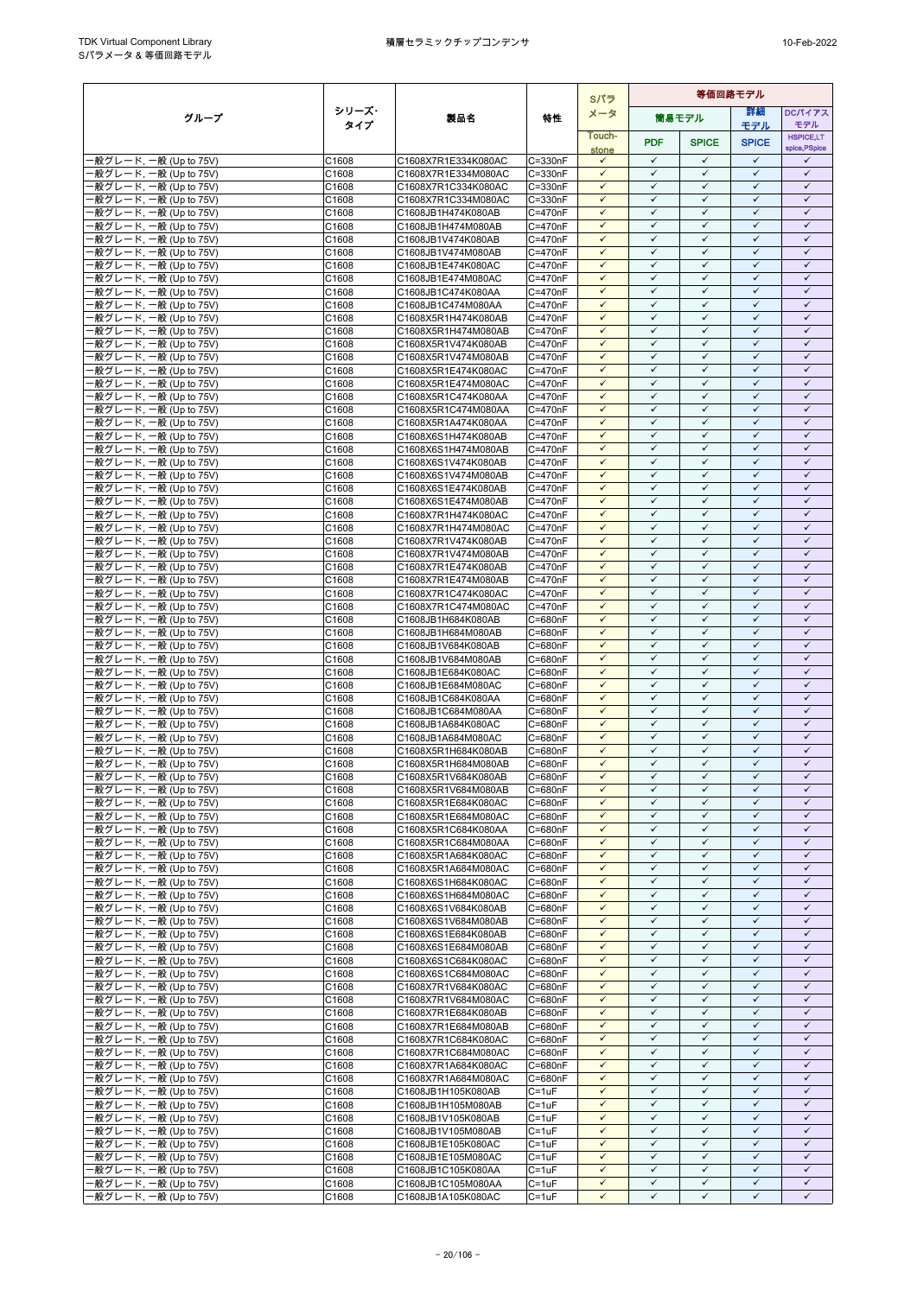|                                                  |                |                                            |                        | Sパラ                          | 等価回路モデル                      |                              |                              |                              |
|--------------------------------------------------|----------------|--------------------------------------------|------------------------|------------------------------|------------------------------|------------------------------|------------------------------|------------------------------|
| グループ                                             | シリーズ・          | 製品名                                        | 特性                     | メータ                          |                              | 筒易モデル                        | 詳細                           | DCパイアス                       |
|                                                  | タイプ            |                                            |                        | Touch-                       |                              |                              | モデル                          | モデル<br><b>HSPICE,LT</b>      |
|                                                  |                |                                            |                        | stone                        | <b>PDF</b>                   | <b>SPICE</b>                 | <b>SPICE</b>                 | spice, PSpice                |
| ·般グレード, 一般 (Up to 75V)                           | C1608          | C1608X7R1E334K080AC                        | C=330nF                | $\checkmark$                 | $\checkmark$<br>$\checkmark$ | $\checkmark$                 | $\checkmark$                 | $\checkmark$                 |
| 般グレード, 一般 (Up to 75V)<br>·般グレード, 一般 (Up to 75V)  | C1608<br>C1608 | C1608X7R1E334M080AC<br>C1608X7R1C334K080AC | C=330nF<br>C=330nF     | $\checkmark$<br>$\checkmark$ | $\checkmark$                 | ✓<br>$\checkmark$            | $\checkmark$<br>$\checkmark$ | $\checkmark$<br>$\checkmark$ |
| ·般グレード, 一般 (Up to 75V)                           | C1608          | C1608X7R1C334M080AC                        | C=330nF                | $\checkmark$                 | $\checkmark$                 | $\checkmark$                 | $\checkmark$                 | $\checkmark$                 |
| -般グレード, 一般 (Up to 75V)                           | C1608          | C1608JB1H474K080AB                         | C=470nF                | $\checkmark$                 | $\checkmark$                 | $\checkmark$                 | ✓                            | $\checkmark$                 |
| -般グレード, 一般 (Up to 75V)                           | C1608          | C1608JB1H474M080AB                         | C=470nF                | $\checkmark$                 | $\checkmark$                 | $\checkmark$                 | $\checkmark$                 | $\checkmark$                 |
| ·般グレード, 一般 (Up to 75V)                           | C1608          | C1608JB1V474K080AB                         | $C = 470nF$            | $\checkmark$                 | $\checkmark$                 | $\checkmark$                 | $\checkmark$                 | $\checkmark$                 |
| -般グレード, 一般 (Up to 75V)                           | C1608          | C1608JB1V474M080AB                         | C=470nF<br>C=470nF     | $\checkmark$<br>$\checkmark$ | $\checkmark$<br>$\checkmark$ | $\checkmark$<br>$\checkmark$ | $\checkmark$<br>$\checkmark$ | $\checkmark$<br>$\checkmark$ |
| -般グレード, 一般 (Up to 75V)<br>·般グレード, 一般 (Up to 75V) | C1608<br>C1608 | C1608JB1E474K080AC<br>C1608JB1E474M080AC   | C=470nF                | $\checkmark$                 | $\checkmark$                 | $\checkmark$                 | $\checkmark$                 | $\checkmark$                 |
| -般グレード, 一般 (Up to 75V)                           | C1608          | C1608JB1C474K080AA                         | C=470nF                | $\checkmark$                 | $\checkmark$                 | $\checkmark$                 | $\checkmark$                 | $\checkmark$                 |
| ·般グレード, 一般 (Up to 75V)                           | C1608          | C1608JB1C474M080AA                         | C=470nF                | $\checkmark$                 | ✓                            | $\checkmark$                 | $\checkmark$                 | $\checkmark$                 |
| -般グレード, 一般 (Up to 75V)                           | C1608          | C1608X5R1H474K080AB                        | C=470nF                | $\checkmark$                 | $\checkmark$                 | $\checkmark$                 | $\checkmark$                 | $\checkmark$                 |
| 般グレード, 一般 (Up to 75V)                            | C1608          | C1608X5R1H474M080AB                        | C=470nF                | $\checkmark$<br>$\checkmark$ | $\checkmark$<br>$\checkmark$ | $\checkmark$<br>$\checkmark$ | $\checkmark$<br>$\checkmark$ | $\checkmark$<br>$\checkmark$ |
| ·般グレード, 一般 (Up to 75V)<br>·般グレード, 一般 (Up to 75V) | C1608<br>C1608 | C1608X5R1V474K080AB<br>C1608X5R1V474M080AB | C=470nF<br>C=470nF     | $\checkmark$                 | $\checkmark$                 | $\checkmark$                 | $\checkmark$                 | $\checkmark$                 |
| 般グレード, 一般 (Up to 75V)                            | C1608          | C1608X5R1E474K080AC                        | C=470nF                | $\checkmark$                 | $\checkmark$                 | $\checkmark$                 | $\checkmark$                 | $\checkmark$                 |
| ·般グレード, 一般 (Up to 75V)                           | C1608          | C1608X5R1E474M080AC                        | C=470nF                | $\checkmark$                 | ✓                            | $\checkmark$                 | ✓                            | $\checkmark$                 |
| -般グレード, 一般 (Up to 75V)                           | C1608          | C1608X5R1C474K080AA                        | C=470nF                | $\checkmark$                 | $\checkmark$                 | $\checkmark$                 | $\checkmark$                 | $\checkmark$                 |
| ·般グレード, 一般 (Up to 75V)                           | C1608          | C1608X5R1C474M080AA                        | C=470nF                | $\checkmark$                 | $\checkmark$                 | $\checkmark$                 | $\checkmark$                 | $\checkmark$                 |
| 般グレード, 一般 (Up to 75V)<br>·般グレード, 一般 (Up to 75V)  | C1608<br>C1608 | C1608X5R1A474K080AA                        | C=470nF<br>C=470nF     | $\checkmark$<br>$\checkmark$ | $\checkmark$<br>$\checkmark$ | $\checkmark$<br>$\checkmark$ | $\checkmark$<br>$\checkmark$ | $\checkmark$<br>$\checkmark$ |
| 般グレード, 一般 (Up to 75V)                            | C1608          | C1608X6S1H474K080AB<br>C1608X6S1H474M080AB | C=470nF                | $\checkmark$                 | $\checkmark$                 | ✓                            | $\checkmark$                 | $\checkmark$                 |
| -般グレード, 一般 (Up to 75V)                           | C1608          | C1608X6S1V474K080AB                        | C=470nF                | $\checkmark$                 | $\checkmark$                 | $\checkmark$                 | $\checkmark$                 | $\checkmark$                 |
| ·般グレード, 一般 (Up to 75V)                           | C1608          | C1608X6S1V474M080AB                        | C=470nF                | $\checkmark$                 | $\checkmark$                 | $\checkmark$                 | $\checkmark$                 | $\checkmark$                 |
| ·般グレード, 一般 (Up to 75V)                           | C1608          | C1608X6S1E474K080AB                        | C=470nF                | $\checkmark$                 | $\checkmark$                 | $\checkmark$                 | $\checkmark$                 | $\checkmark$                 |
| ·般グレード, 一般 (Up to 75V)                           | C1608          | C1608X6S1E474M080AB                        | C=470nF                | ✓<br>$\checkmark$            | $\checkmark$<br>$\checkmark$ | ✓<br>$\checkmark$            | $\checkmark$<br>$\checkmark$ | $\checkmark$<br>$\checkmark$ |
| -般グレード, 一般 (Up to 75V)<br>·般グレード, 一般 (Up to 75V) | C1608<br>C1608 | C1608X7R1H474K080AC<br>C1608X7R1H474M080AC | C=470nF<br>C=470nF     | $\checkmark$                 | $\checkmark$                 | $\checkmark$                 | $\checkmark$                 | $\checkmark$                 |
| 般グレード, 一般 (Up to 75V)                            | C1608          | C1608X7R1V474K080AB                        | C=470nF                | $\checkmark$                 | ✓                            | $\checkmark$                 | $\checkmark$                 | $\checkmark$                 |
| -般グレード, 一般 (Up to 75V)                           | C1608          | C1608X7R1V474M080AB                        | C=470nF                | $\checkmark$                 | $\checkmark$                 | $\checkmark$                 | $\checkmark$                 | $\checkmark$                 |
| ·般グレード, 一般 (Up to 75V)                           | C1608          | C1608X7R1E474K080AB                        | C=470nF                | $\checkmark$                 | $\checkmark$                 | $\checkmark$                 | $\checkmark$                 | $\checkmark$                 |
| 般グレード, 一般 (Up to 75V)                            | C1608          | C1608X7R1E474M080AB                        | C=470nF                | $\checkmark$                 | $\checkmark$                 | $\checkmark$                 | $\checkmark$                 | $\checkmark$                 |
| -般グレード, 一般 (Up to 75V)                           | C1608<br>C1608 | C1608X7R1C474K080AC<br>C1608X7R1C474M080AC | C=470nF<br>C=470nF     | $\checkmark$<br>$\checkmark$ | $\checkmark$<br>$\checkmark$ | $\checkmark$<br>$\checkmark$ | $\checkmark$<br>$\checkmark$ | $\checkmark$<br>$\checkmark$ |
| ·般グレード, 一般 (Up to 75V)<br>·般グレード, 一般 (Up to 75V) | C1608          | C1608JB1H684K080AB                         | C=680nF                | $\checkmark$                 | $\checkmark$                 | $\checkmark$                 | $\checkmark$                 | $\checkmark$                 |
| ·般グレード, 一般 (Up to 75V)                           | C1608          | C1608JB1H684M080AB                         | C=680nF                | $\checkmark$                 | ✓                            | $\checkmark$                 | $\checkmark$                 | $\checkmark$                 |
| -般グレード, 一般 (Up to 75V)                           | C1608          | C1608JB1V684K080AB                         | C=680nF                | $\checkmark$                 | $\checkmark$                 | $\checkmark$                 | $\checkmark$                 | $\checkmark$                 |
| ·般グレード, 一般 (Up to 75V)                           | C1608          | C1608JB1V684M080AB                         | C=680nF                | $\checkmark$                 | $\checkmark$                 | $\checkmark$                 | $\checkmark$                 | $\checkmark$                 |
| ·般グレード, 一般 (Up to 75V)                           | C1608          | C1608JB1E684K080AC                         | C=680nF                | $\checkmark$<br>$\checkmark$ | $\checkmark$<br>$\checkmark$ | ✓<br>$\checkmark$            | $\checkmark$<br>$\checkmark$ | $\checkmark$<br>$\checkmark$ |
| -般グレード, 一般 (Up to 75V)<br>-般グレード, 一般 (Up to 75V) | C1608<br>C1608 | C1608JB1E684M080AC<br>C1608JB1C684K080AA   | C=680nF<br>C=680nF     | $\checkmark$                 | $\checkmark$                 | $\checkmark$                 | $\checkmark$                 | $\checkmark$                 |
| ·般グレード, 一般 (Up to 75V)                           | C1608          | C1608JB1C684M080AA                         | C=680nF                | $\checkmark$                 | $\checkmark$                 | $\checkmark$                 | $\checkmark$                 | $\checkmark$                 |
| -般グレード, 一般 (Up to 75V)                           | C1608          | C1608JB1A684K080AC                         | C=680nF                | $\checkmark$                 | $\checkmark$                 | $\checkmark$                 | $\checkmark$                 | $\checkmark$                 |
| -般グレード, 一般 (Up to 75V)                           | C1608          | C1608JB1A684M080AC                         | C=680nF                | $\checkmark$                 | $\checkmark$                 | $\checkmark$                 | $\checkmark$                 | $\checkmark$                 |
| ·般グレード, 一般 (Up to 75V)                           | C1608          | C1608X5R1H684K080AB                        | C=680nF                | ✓                            | $\checkmark$<br>$\checkmark$ | ✓                            | $\checkmark$                 | $\checkmark$                 |
| ·般グレード, 一般 (Up to 75V)<br>·般グレード, 一般 (Up to 75V) | C1608<br>C1608 | C1608X5R1H684M080AB<br>C1608X5R1V684K080AB | C=680nF<br>C=680nF     | $\checkmark$<br>$\checkmark$ | $\checkmark$                 | $\checkmark$<br>$\checkmark$ | $\checkmark$<br>$\checkmark$ | $\checkmark$<br>$\checkmark$ |
| ·般グレード, 一般 (Up to 75V)                           | C1608          | C1608X5R1V684M080AB                        | C=680nF                | $\checkmark$                 | ✓                            | $\checkmark$                 | ✓                            | ✓                            |
| -般グレード, 一般 (Up to 75V)                           | C1608          | C1608X5R1E684K080AC                        | C=680nF                | $\checkmark$                 | ✓                            | $\checkmark$                 | $\checkmark$                 | $\checkmark$                 |
| ·般グレード, 一般 (Up to 75V)                           | C1608          | C1608X5R1E684M080AC                        | C=680nF                | $\checkmark$                 | $\checkmark$                 | $\checkmark$                 | $\checkmark$                 | $\checkmark$                 |
| -般グレード, 一般 (Up to 75V)                           | C1608          | C1608X5R1C684K080AA                        | C=680nF                | $\checkmark$                 | $\checkmark$                 | $\checkmark$                 | $\checkmark$                 | $\checkmark$                 |
| -般グレード, 一般 (Up to 75V)<br>·般グレード, 一般 (Up to 75V) | C1608<br>C1608 | C1608X5R1C684M080AA<br>C1608X5R1A684K080AC | C=680nF<br>C=680nF     | $\checkmark$<br>$\checkmark$ | $\checkmark$<br>$\checkmark$ | $\checkmark$<br>$\checkmark$ | $\checkmark$<br>$\checkmark$ | $\checkmark$<br>$\checkmark$ |
| ·般グレード, 一般 (Up to 75V)                           | C1608          | C1608X5R1A684M080AC                        | C=680nF                | $\checkmark$                 | $\checkmark$                 | $\checkmark$                 | $\checkmark$                 | $\checkmark$                 |
| -般グレード, 一般 (Up to 75V)                           | C1608          | C1608X6S1H684K080AC                        | C=680nF                | $\checkmark$                 | ✓                            | ✓                            | ✓                            | $\checkmark$                 |
| ·般グレード, 一般 (Up to 75V)                           | C1608          | C1608X6S1H684M080AC                        | C=680nF                | $\checkmark$                 | $\checkmark$                 | $\checkmark$                 | $\checkmark$                 | $\checkmark$                 |
| ·般グレード, 一般 (Up to 75V)                           | C1608          | C1608X6S1V684K080AB                        | C=680nF                | $\checkmark$                 | $\checkmark$                 | $\checkmark$                 | $\checkmark$                 | $\checkmark$                 |
| ·般グレード, 一般 (Up to 75V)                           | C1608<br>C1608 | C1608X6S1V684M080AB<br>C1608X6S1E684K080AB | C=680nF<br>C=680nF     | $\checkmark$<br>$\checkmark$ | $\checkmark$<br>$\checkmark$ | $\checkmark$<br>$\checkmark$ | $\checkmark$<br>$\checkmark$ | $\checkmark$<br>$\checkmark$ |
| ·般グレード, 一般 (Up to 75V)<br>·般グレード, 一般 (Up to 75V) | C1608          | C1608X6S1E684M080AB                        | C=680nF                | $\checkmark$                 | ✓                            | $\checkmark$                 | $\checkmark$                 | $\checkmark$                 |
| ·般グレード, 一般 (Up to 75V)                           | C1608          | C1608X6S1C684K080AC                        | C=680nF                | $\checkmark$                 | ✓                            | $\checkmark$                 | $\checkmark$                 | $\checkmark$                 |
| -般グレード, 一般 (Up to 75V)                           | C1608          | C1608X6S1C684M080AC                        | C=680nF                | $\checkmark$                 | $\checkmark$                 | $\checkmark$                 | $\checkmark$                 | $\checkmark$                 |
| -般グレード, 一般 (Up to 75V)                           | C1608          | C1608X7R1V684K080AC                        | C=680nF                | $\checkmark$                 | $\checkmark$                 | $\checkmark$                 | $\checkmark$                 | $\checkmark$                 |
| ·般グレード, 一般 (Up to 75V)                           | C1608          | C1608X7R1V684M080AC                        | C=680nF                | ✓                            | ✓                            | $\checkmark$                 | $\checkmark$<br>$\checkmark$ | $\checkmark$                 |
| ·般グレード, 一般 (Up to 75V)<br>·般グレード, 一般 (Up to 75V) | C1608<br>C1608 | C1608X7R1E684K080AB<br>C1608X7R1E684M080AB | C=680nF<br>C=680nF     | $\checkmark$<br>$\checkmark$ | $\checkmark$<br>$\checkmark$ | $\checkmark$<br>$\checkmark$ | $\checkmark$                 | $\checkmark$<br>$\checkmark$ |
| ·般グレード, 一般 (Up to 75V)                           | C1608          | C1608X7R1C684K080AC                        | C=680nF                | $\checkmark$                 | ✓                            | $\checkmark$                 | ✓                            | $\checkmark$                 |
| ·般グレード, 一般 (Up to 75V)                           | C1608          | C1608X7R1C684M080AC                        | C=680nF                | $\checkmark$                 | $\checkmark$                 | $\checkmark$                 | $\checkmark$                 | $\checkmark$                 |
| ·般グレード, 一般 (Up to 75V)                           | C1608          | C1608X7R1A684K080AC                        | C=680nF                | $\checkmark$                 | $\checkmark$                 | $\checkmark$                 | ✓                            | $\checkmark$                 |
| ·般グレード, 一般 (Up to 75V)                           | C1608          | C1608X7R1A684M080AC                        | C=680nF                | $\checkmark$                 | ✓                            | ✓                            | $\checkmark$                 | $\checkmark$                 |
| ·般グレード, 一般 (Up to 75V)<br>·般グレード, 一般 (Up to 75V) | C1608<br>C1608 | C1608JB1H105K080AB<br>C1608JB1H105M080AB   | $C = 1uF$<br>$C = 1uF$ | $\checkmark$<br>$\checkmark$ | $\checkmark$<br>✓            | $\checkmark$<br>$\checkmark$ | $\checkmark$<br>$\checkmark$ | $\checkmark$<br>$\checkmark$ |
| ·般グレード, 一般 (Up to 75V)                           | C1608          | C1608JB1V105K080AB                         | $C = 1uF$              | $\checkmark$                 | $\checkmark$                 | $\checkmark$                 | $\checkmark$                 | $\checkmark$                 |
| ·般グレード, 一般 (Up to 75V)                           | C1608          | C1608JB1V105M080AB                         | $C = 1uF$              | $\checkmark$                 | $\checkmark$                 | $\checkmark$                 | $\checkmark$                 | $\checkmark$                 |
| ·般グレード, 一般 (Up to 75V)                           | C1608          | C1608JB1E105K080AC                         | $C = 1uF$              | $\checkmark$                 | $\checkmark$                 | $\checkmark$                 | $\checkmark$                 | $\checkmark$                 |
| ·般グレード, 一般 (Up to 75V)                           | C1608          | C1608JB1E105M080AC                         | $C = 1uF$              | $\checkmark$                 | $\checkmark$                 | $\checkmark$                 | $\checkmark$                 | $\checkmark$                 |
| 般グレード, 一般 (Up to 75V)<br>·般グレード, 一般 (Up to 75V)  | C1608<br>C1608 | C1608JB1C105K080AA<br>C1608JB1C105M080AA   | $C = 1uF$<br>$C = 1uF$ | $\checkmark$<br>$\checkmark$ | $\checkmark$<br>$\checkmark$ | $\checkmark$<br>$\checkmark$ | $\checkmark$<br>$\checkmark$ | $\checkmark$<br>$\checkmark$ |
| -般グレード, 一般 (Up to 75V)                           | C1608          | C1608JB1A105K080AC                         | $C = 1uF$              | $\checkmark$                 | ✓                            | $\checkmark$                 | $\checkmark$                 | $\checkmark$                 |
|                                                  |                |                                            |                        |                              |                              |                              |                              |                              |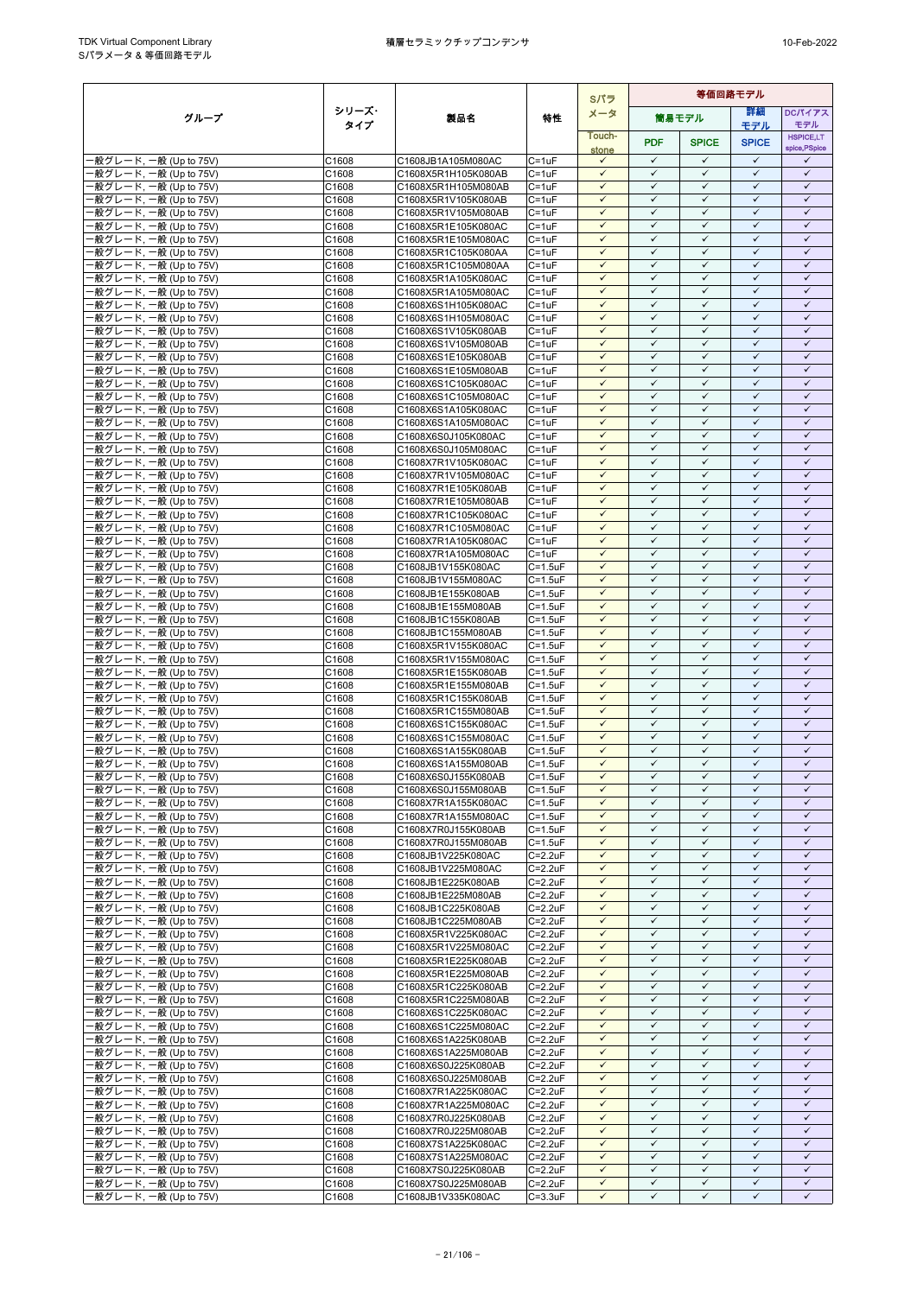|                                                  |                   |                                            |                                    | Sパラ                          | 等価回路モデル                      |                              |                              |                              |
|--------------------------------------------------|-------------------|--------------------------------------------|------------------------------------|------------------------------|------------------------------|------------------------------|------------------------------|------------------------------|
| グループ                                             | シリーズ・             | 製品名                                        | 特性                                 | メータ                          |                              | 筒易モデル                        | 詳細                           | <b>DCパイアス</b>                |
|                                                  | タイプ               |                                            |                                    | Touch-                       |                              |                              | モデル                          | モデル<br><b>HSPICE,LT</b>      |
|                                                  |                   |                                            |                                    | stone                        | <b>PDF</b>                   | <b>SPICE</b>                 | <b>SPICE</b>                 | spice, PSpice                |
| -般グレード, 一般 (Up to 75V)                           | C1608             | C1608JB1A105M080AC                         | $C = 1uF$                          | $\checkmark$                 | $\checkmark$                 | $\checkmark$                 | $\checkmark$                 | ✓                            |
| ·般グレード, 一般 (Up to 75V)<br>·般グレード, 一般 (Up to 75V) | C1608<br>C1608    | C1608X5R1H105K080AB<br>C1608X5R1H105M080AB | $C = 1uF$<br>C=1uF                 | $\checkmark$<br>$\checkmark$ | $\checkmark$<br>$\checkmark$ | $\checkmark$<br>$\checkmark$ | $\checkmark$<br>$\checkmark$ | $\checkmark$<br>$\checkmark$ |
| ·般グレード, 一般 (Up to 75V)                           | C1608             | C1608X5R1V105K080AB                        | $C = 1uF$                          | $\checkmark$                 | $\checkmark$                 | $\checkmark$                 | $\checkmark$                 | $\checkmark$                 |
| ·般グレード, 一般 (Up to 75V)                           | C1608             | C1608X5R1V105M080AB                        | C=1uF                              | $\checkmark$                 | $\checkmark$                 | $\checkmark$                 | $\checkmark$                 | $\checkmark$                 |
| -般グレード, 一般 (Up to 75V)                           | C1608             | C1608X5R1E105K080AC                        | $C = 1uF$                          | $\checkmark$                 | $\checkmark$                 | $\checkmark$                 | ✓                            | ✓                            |
| -般グレード, 一般 (Up to 75V)                           | C1608             | C1608X5R1E105M080AC                        | $C = 1uF$                          | $\checkmark$                 | $\checkmark$                 | $\checkmark$                 | $\checkmark$                 | $\checkmark$                 |
| -般グレード, 一般 (Up to 75V)                           | C1608             | C1608X5R1C105K080AA                        | C=1uF                              | $\checkmark$<br>$\checkmark$ | $\checkmark$<br>$\checkmark$ | $\checkmark$<br>$\checkmark$ | $\checkmark$<br>$\checkmark$ | $\checkmark$<br>$\checkmark$ |
| ·般グレード, 一般 (Up to 75V)<br>·般グレード, 一般 (Up to 75V) | C1608<br>C1608    | C1608X5R1C105M080AA<br>C1608X5R1A105K080AC | $C = 1uF$<br>$C = 1uF$             | $\checkmark$                 | $\checkmark$                 | $\checkmark$                 | $\checkmark$                 | $\checkmark$                 |
| ·般グレード, 一般 (Up to 75V)                           | C1608             | C1608X5R1A105M080AC                        | $C = 1uF$                          | $\checkmark$                 | $\checkmark$                 | $\checkmark$                 | $\checkmark$                 | $\checkmark$                 |
| -般グレード, 一般 (Up to 75V)                           | C1608             | C1608X6S1H105K080AC                        | $C = 1uF$                          | $\checkmark$                 | $\checkmark$                 | $\checkmark$                 | $\checkmark$                 | $\checkmark$                 |
| ·般グレード, 一般 (Up to 75V)                           | C1608             | C1608X6S1H105M080AC                        | $C = 1uF$                          | $\checkmark$                 | $\checkmark$                 | $\checkmark$                 | $\checkmark$                 | $\checkmark$                 |
| ·般グレード, 一般 (Up to 75V)                           | C1608             | C1608X6S1V105K080AB                        | $C = 1uF$                          | $\checkmark$<br>$\checkmark$ | $\checkmark$<br>$\checkmark$ | $\checkmark$<br>$\checkmark$ | $\checkmark$<br>$\checkmark$ | $\checkmark$<br>$\checkmark$ |
| ·般グレード, 一般 (Up to 75V)<br>般グレード, 一般 (Up to 75V)  | C1608<br>C1608    | C1608X6S1V105M080AB<br>C1608X6S1E105K080AB | C=1uF<br>$C = 1uF$                 | $\checkmark$                 | $\checkmark$                 | $\checkmark$                 | $\checkmark$                 | $\checkmark$                 |
| ·般グレード, 一般 (Up to 75V)                           | C1608             | C1608X6S1E105M080AB                        | $C = 1uF$                          | $\checkmark$                 | $\checkmark$                 | $\checkmark$                 | $\checkmark$                 | $\checkmark$                 |
| -般グレード, 一般 (Up to 75V)                           | C1608             | C1608X6S1C105K080AC                        | $C = 1uF$                          | $\checkmark$                 | $\checkmark$                 | $\checkmark$                 | $\checkmark$                 | $\checkmark$                 |
| ·般グレード, 一般 (Up to 75V)                           | C1608             | C1608X6S1C105M080AC                        | $C = 1uF$                          | $\checkmark$                 | $\checkmark$                 | $\checkmark$                 | $\checkmark$                 | $\checkmark$                 |
| ·般グレード, 一般 (Up to 75V)                           | C1608             | C1608X6S1A105K080AC                        | $C = 1uF$                          | $\checkmark$                 | $\checkmark$                 | $\checkmark$                 | $\checkmark$                 | $\checkmark$                 |
| -般グレード, 一般 (Up to 75V)<br>·般グレード, 一般 (Up to 75V) | C1608<br>C1608    | C1608X6S1A105M080AC<br>C1608X6S0J105K080AC | $C = 1uF$<br>C=1uF                 | $\checkmark$<br>$\checkmark$ | $\checkmark$<br>$\checkmark$ | $\checkmark$<br>$\checkmark$ | $\checkmark$<br>$\checkmark$ | $\checkmark$<br>$\checkmark$ |
| ·般グレード, 一般 (Up to 75V)                           | C1608             | C1608X6S0J105M080AC                        | $C = 1uF$                          | $\checkmark$                 | $\checkmark$                 | $\checkmark$                 | $\checkmark$                 | $\checkmark$                 |
| -般グレード, 一般 (Up to 75V)                           | C1608             | C1608X7R1V105K080AC                        | $C = 1uF$                          | $\checkmark$                 | $\checkmark$                 | $\checkmark$                 | $\checkmark$                 | $\checkmark$                 |
| ·般グレード, 一般 (Up to 75V)                           | C1608             | C1608X7R1V105M080AC                        | $C = 1uF$                          | $\checkmark$                 | $\checkmark$                 | $\checkmark$                 | ✓                            | $\checkmark$                 |
| -般グレード, 一般 (Up to 75V)                           | C1608             | C1608X7R1E105K080AB                        | $C = 1uF$                          | $\checkmark$                 | $\checkmark$                 | $\checkmark$                 | $\checkmark$                 | $\checkmark$                 |
| -般グレード, 一般 (Up to 75V)<br>般グレード, 一般 (Up to 75V)  | C1608<br>C1608    | C1608X7R1E105M080AB<br>C1608X7R1C105K080AC | C=1uF<br>$C = 1uF$                 | $\checkmark$<br>$\checkmark$ | $\checkmark$<br>$\checkmark$ | $\checkmark$<br>$\checkmark$ | $\checkmark$<br>$\checkmark$ | $\checkmark$<br>$\checkmark$ |
| -般グレード, 一般 (Up to 75V)                           | C1608             | C1608X7R1C105M080AC                        | $C = 1uF$                          | $\checkmark$                 | $\checkmark$                 | $\checkmark$                 | $\checkmark$                 | $\checkmark$                 |
| ·般グレード, 一般 (Up to 75V)                           | C1608             | C1608X7R1A105K080AC                        | $C = 1uF$                          | $\checkmark$                 | $\checkmark$                 | $\checkmark$                 | $\checkmark$                 | $\checkmark$                 |
| ·般グレード, 一般 (Up to 75V)                           | C1608             | C1608X7R1A105M080AC                        | $C = 1uF$                          | $\checkmark$                 | $\checkmark$                 | $\checkmark$                 | $\checkmark$                 | $\checkmark$                 |
| ·般グレード, 一般 (Up to 75V)                           | C1608             | C1608JB1V155K080AC                         | $C = 1.5$ u $F$                    | $\checkmark$                 | $\checkmark$                 | $\checkmark$                 | $\checkmark$                 | $\checkmark$                 |
| ·般グレード, 一般 (Up to 75V)                           | C1608<br>C1608    | C1608JB1V155M080AC<br>C1608JB1E155K080AB   | $C = 1.5$ u $F$<br>$C = 1.5$ u $F$ | $\checkmark$<br>$\checkmark$ | $\checkmark$<br>$\checkmark$ | $\checkmark$<br>$\checkmark$ | $\checkmark$<br>$\checkmark$ | $\checkmark$<br>$\checkmark$ |
| ·般グレード, 一般 (Up to 75V)<br>-般グレード, 一般 (Up to 75V) | C1608             | C1608JB1E155M080AB                         | $C = 1.5$ u $F$                    | $\checkmark$                 | $\checkmark$                 | $\checkmark$                 | $\checkmark$                 | $\checkmark$                 |
| ·般グレード, 一般 (Up to 75V)                           | C1608             | C1608JB1C155K080AB                         | $C = 1.5$ u $F$                    | $\checkmark$                 | $\checkmark$                 | $\checkmark$                 | $\checkmark$                 | $\checkmark$                 |
| ·般グレード, 一般 (Up to 75V)                           | C1608             | C1608JB1C155M080AB                         | $C = 1.5$ u $F$                    | $\checkmark$                 | $\checkmark$                 | $\checkmark$                 | $\checkmark$                 | $\checkmark$                 |
| ·般グレード, 一般 (Up to 75V)                           | C1608             | C1608X5R1V155K080AC                        | $C = 1.5$ u $F$                    | $\checkmark$                 | $\checkmark$                 | $\checkmark$                 | $\checkmark$                 | $\checkmark$                 |
| -般グレード, 一般 (Up to 75V)                           | C1608<br>C1608    | C1608X5R1V155M080AC<br>C1608X5R1E155K080AB | $C = 1.5$ u $F$<br>$C = 1.5$ u $F$ | $\checkmark$<br>$\checkmark$ | $\checkmark$<br>$\checkmark$ | $\checkmark$<br>$\checkmark$ | $\checkmark$<br>$\checkmark$ | $\checkmark$<br>$\checkmark$ |
| ·般グレード, 一般 (Up to 75V)<br>·般グレード, 一般 (Up to 75V) | C1608             | C1608X5R1E155M080AB                        | $C = 1.5$ u $F$                    | $\checkmark$                 | $\checkmark$                 | $\checkmark$                 | $\checkmark$                 | $\checkmark$                 |
| ·般グレード, 一般 (Up to 75V)                           | C1608             | C1608X5R1C155K080AB                        | $C = 1.5$ u $F$                    | $\checkmark$                 | $\checkmark$                 | $\checkmark$                 | $\checkmark$                 | $\checkmark$                 |
| ·般グレード, 一般 (Up to 75V)                           | C <sub>1608</sub> | C1608X5R1C155M080AB                        | $C = 1.5$ u $F$                    | $\checkmark$                 | $\checkmark$                 | $\checkmark$                 | $\checkmark$                 | $\checkmark$                 |
| ·般グレード, 一般 (Up to 75V)                           | C1608             | C1608X6S1C155K080AC                        | $C = 1.5$ u $F$                    | $\checkmark$                 | $\checkmark$                 | $\checkmark$                 | ✓                            | $\checkmark$                 |
| -般グレード, 一般 (Up to 75V)                           | C1608             | C1608X6S1C155M080AC                        | $C = 1.5$ u $F$                    | $\checkmark$<br>$\checkmark$ | $\checkmark$<br>$\checkmark$ | $\checkmark$<br>$\checkmark$ | $\checkmark$<br>$\checkmark$ | $\checkmark$<br>$\checkmark$ |
| ·般グレード, 一般 (Up to 75V)<br>·般グレード, 一般 (Up to 75V) | C1608<br>C1608    | C1608X6S1A155K080AB<br>C1608X6S1A155M080AB | C=1.5uF<br>$C = 1.5$ u $F$         | $\checkmark$                 | $\checkmark$                 | $\checkmark$                 | $\checkmark$                 | $\checkmark$                 |
| ·般グレード, 一般 (Up to 75V)                           | C1608             | C1608X6S0J155K080AB                        | $C=1.5$ u $F$                      | $\checkmark$                 | $\checkmark$                 | $\checkmark$                 | $\checkmark$                 | $\checkmark$                 |
| ·般グレード, 一般 (Up to 75V)                           | C1608             | C1608X6S0J155M080AB                        | $C = 1.5uF$                        | $\checkmark$                 | $\checkmark$                 | $\checkmark$                 | $\checkmark$                 | $\checkmark$                 |
| -般グレード, 一般 (Up to 75V)                           | C1608             | C1608X7R1A155K080AC                        | $C = 1.5$ u $F$                    | $\checkmark$                 | $\checkmark$                 | $\checkmark$                 | $\checkmark$                 | $\checkmark$                 |
| - 般グレード, 一般 (Up to 75V)                          | C1608             | C1608X7R1A155M080AC                        | $C = 1.5$ u $F$                    | $\checkmark$<br>$\checkmark$ | $\checkmark$<br>$\checkmark$ | $\checkmark$<br>$\checkmark$ | $\checkmark$<br>$\checkmark$ | $\checkmark$<br>$\checkmark$ |
| -般グレード, 一般 (Up to 75V)<br>·般グレード, 一般 (Up to 75V) | C1608<br>C1608    | C1608X7R0J155K080AB<br>C1608X7R0J155M080AB | $C = 1.5$ u $F$<br>$C = 1.5$ u $F$ | $\checkmark$                 | ✓                            | $\checkmark$                 | $\checkmark$                 | $\checkmark$                 |
| -般グレード, 一般 (Up to 75V)                           | C1608             | C1608JB1V225K080AC                         | $C = 2.2uF$                        | $\checkmark$                 | $\checkmark$                 | $\checkmark$                 | $\checkmark$                 | $\checkmark$                 |
| ·般グレード, 一般 (Up to 75V)                           | C1608             | C1608JB1V225M080AC                         | $C = 2.2uF$                        | $\checkmark$                 | $\checkmark$                 | $\checkmark$                 | $\checkmark$                 | $\checkmark$                 |
| -般グレード, 一般 (Up to 75V)                           | C1608             | C1608JB1E225K080AB                         | $C = 2.2uF$                        | $\checkmark$                 | $\checkmark$                 | $\checkmark$                 | $\checkmark$                 | $\checkmark$                 |
| -般グレード, 一般 (Up to 75V)<br>-般グレード, 一般 (Up to 75V) | C1608             | C1608JB1E225M080AB                         | $C = 2.2uF$                        | $\checkmark$<br>$\checkmark$ | $\checkmark$<br>$\checkmark$ | $\checkmark$<br>$\checkmark$ | $\checkmark$<br>$\checkmark$ | $\checkmark$<br>$\checkmark$ |
| -般グレード, 一般 (Up to 75V)                           | C1608<br>C1608    | C1608JB1C225K080AB<br>C1608JB1C225M080AB   | $C = 2.2uF$<br>$C = 2.2uF$         | $\checkmark$                 | $\checkmark$                 | $\checkmark$                 | $\checkmark$                 | $\checkmark$                 |
| ·般グレード, 一般 (Up to 75V)                           | C1608             | C1608X5R1V225K080AC                        | $C = 2.2uF$                        | $\checkmark$                 | $\checkmark$                 | $\checkmark$                 | $\checkmark$                 | $\checkmark$                 |
| -般グレード, 一般 (Up to 75V)                           | C1608             | C1608X5R1V225M080AC                        | $C = 2.2uF$                        | $\checkmark$                 | $\checkmark$                 | $\checkmark$                 | $\checkmark$                 | $\checkmark$                 |
| -般グレード, 一般 (Up to 75V)                           | C1608             | C1608X5R1E225K080AB                        | $C = 2.2uF$                        | $\checkmark$                 | $\checkmark$                 | $\checkmark$                 | $\checkmark$                 | $\checkmark$                 |
| -般グレード, 一般 (Up to 75V)                           | C1608             | C1608X5R1E225M080AB                        | $C = 2.2uF$                        | ✓<br>$\checkmark$            | ✓<br>$\checkmark$            | $\checkmark$<br>$\checkmark$ | ✓<br>$\checkmark$            | ✓<br>$\checkmark$            |
| -般グレード, 一般 (Up to 75V)<br>·般グレード, 一般 (Up to 75V) | C1608<br>C1608    | C1608X5R1C225K080AB<br>C1608X5R1C225M080AB | $C = 2.2uF$<br>$C = 2.2uF$         | $\checkmark$                 | $\checkmark$                 | $\checkmark$                 | $\checkmark$                 | $\checkmark$                 |
| ·般グレード, 一般 (Up to 75V)                           | C1608             | C1608X6S1C225K080AC                        | $C = 2.2uF$                        | $\checkmark$                 | $\checkmark$                 | $\checkmark$                 | $\checkmark$                 | $\checkmark$                 |
| -般グレード, 一般 (Up to 75V)                           | C1608             | C1608X6S1C225M080AC                        | $C = 2.2uF$                        | $\checkmark$                 | $\checkmark$                 | $\checkmark$                 | $\checkmark$                 | $\checkmark$                 |
| -般グレード, 一般 (Up to 75V)                           | C1608             | C1608X6S1A225K080AB                        | $C = 2.2uF$                        | $\checkmark$                 | $\checkmark$                 | $\checkmark$                 | $\checkmark$                 | $\checkmark$                 |
| -般グレード, 一般 (Up to 75V)                           | C1608             | C1608X6S1A225M080AB                        | $C = 2.2uF$                        | $\checkmark$<br>$\checkmark$ | $\checkmark$<br>$\checkmark$ | $\checkmark$<br>$\checkmark$ | $\checkmark$<br>$\checkmark$ | $\checkmark$<br>$\checkmark$ |
| -般グレード, 一般 (Up to 75V)<br>·般グレード, 一般 (Up to 75V) | C1608<br>C1608    | C1608X6S0J225K080AB<br>C1608X6S0J225M080AB | $C = 2.2uF$<br>$C = 2.2uF$         | $\checkmark$                 | $\checkmark$                 | $\checkmark$                 | $\checkmark$                 | $\checkmark$                 |
| ·般グレード, 一般 (Up to 75V)                           | C1608             | C1608X7R1A225K080AC                        | $C = 2.2uF$                        | $\checkmark$                 | $\checkmark$                 | $\checkmark$                 | $\checkmark$                 | $\checkmark$                 |
| ·般グレード, 一般 (Up to 75V)                           | C1608             | C1608X7R1A225M080AC                        | $C = 2.2uF$                        | $\checkmark$                 | $\checkmark$                 | $\checkmark$                 | $\checkmark$                 | $\checkmark$                 |
| ·般グレード, 一般 (Up to 75V)                           | C1608             | C1608X7R0J225K080AB                        | $C = 2.2uF$                        | $\checkmark$                 | $\checkmark$                 | $\checkmark$                 | $\checkmark$                 | $\checkmark$                 |
| -般グレード, 一般 (Up to 75V)                           | C1608             | C1608X7R0J225M080AB                        | $C = 2.2uF$                        | $\checkmark$                 | $\checkmark$<br>$\checkmark$ | $\checkmark$<br>$\checkmark$ | $\checkmark$<br>$\checkmark$ | $\checkmark$<br>$\checkmark$ |
| -般グレード, 一般 (Up to 75V)<br>·般グレード, 一般 (Up to 75V) | C1608<br>C1608    | C1608X7S1A225K080AC<br>C1608X7S1A225M080AC | $C = 2.2uF$<br>$C = 2.2uF$         | $\checkmark$<br>$\checkmark$ | $\checkmark$                 | $\checkmark$                 | $\checkmark$                 | $\checkmark$                 |
| -般グレード, 一般 (Up to 75V)                           | C1608             | C1608X7S0J225K080AB                        | $C = 2.2uF$                        | $\checkmark$                 | $\checkmark$                 | $\checkmark$                 | $\checkmark$                 | $\checkmark$                 |
| -般グレード, 一般 (Up to 75V)                           | C1608             | C1608X7S0J225M080AB                        | $C = 2.2uF$                        | $\checkmark$                 | $\checkmark$                 | $\checkmark$                 | $\checkmark$                 | $\checkmark$                 |
| ·般グレード, 一般 (Up to 75V)                           | C1608             | C1608JB1V335K080AC                         | $C = 3.3uF$                        | $\checkmark$                 | $\checkmark$                 | $\checkmark$                 | $\checkmark$                 | $\checkmark$                 |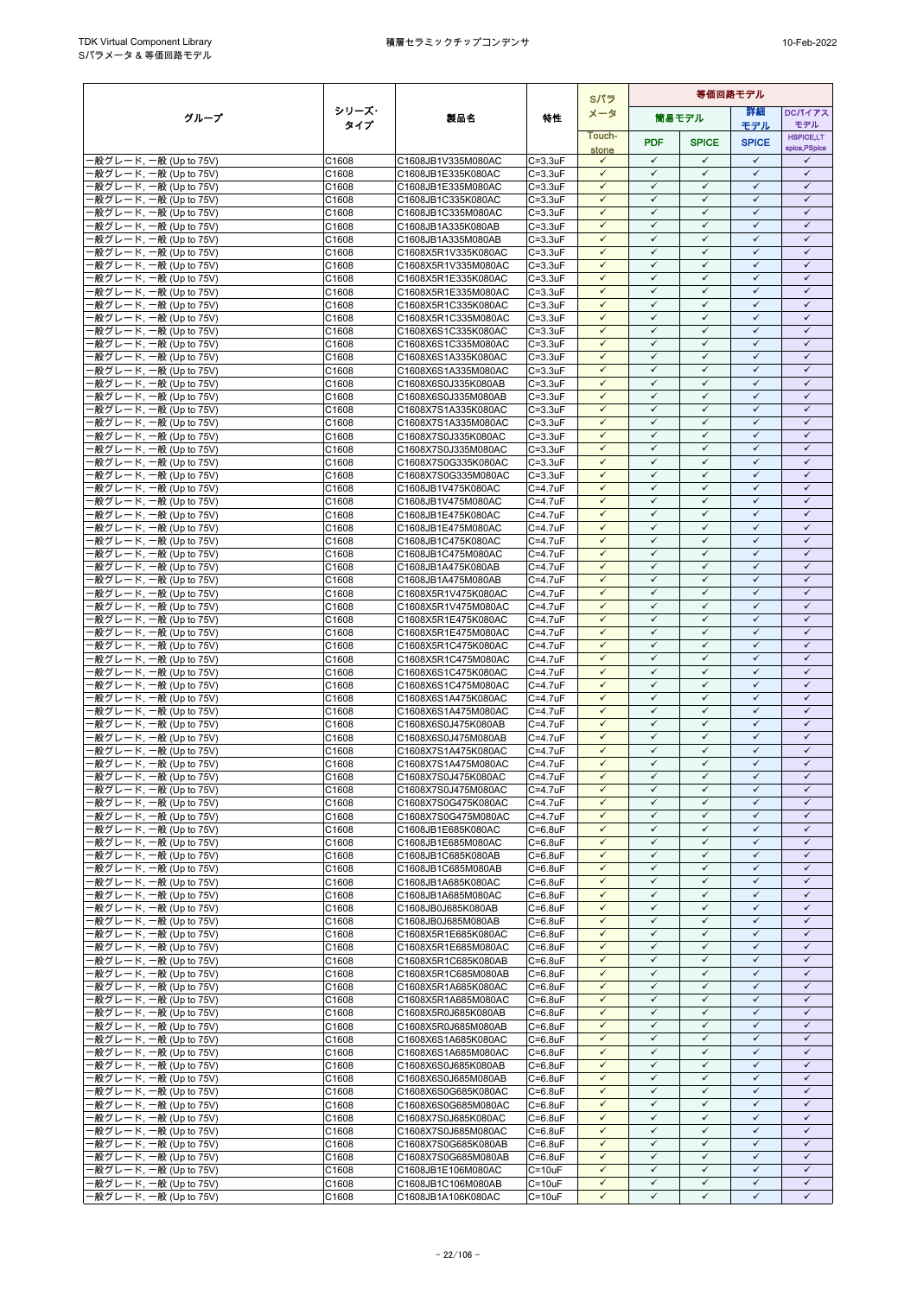|                                                  |                |                                            |                                    | Sパラ                          | 等価回路モデル                      |                              |                              |                              |
|--------------------------------------------------|----------------|--------------------------------------------|------------------------------------|------------------------------|------------------------------|------------------------------|------------------------------|------------------------------|
| グループ                                             | シリーズ・          | 製品名                                        | 特性                                 | メータ                          |                              | 簡易モデル                        | 詳細                           | <b>DCパイアス</b>                |
|                                                  | タイプ            |                                            |                                    | Touch-                       |                              |                              | モデル                          | モデル<br><b>HSPICE,LT</b>      |
|                                                  |                |                                            |                                    | stone                        | <b>PDF</b>                   | <b>SPICE</b>                 | <b>SPICE</b>                 | spice, PSpice                |
| ·般グレード, 一般 (Up to 75V)                           | C1608          | C1608JB1V335M080AC                         | $C = 3.3uF$                        | $\checkmark$                 | $\checkmark$                 | $\checkmark$                 | $\checkmark$<br>$\checkmark$ | ✓                            |
| 般グレード, 一般 (Up to 75V)<br>·般グレード, 一般 (Up to 75V)  | C1608<br>C1608 | C1608JB1E335K080AC<br>C1608JB1E335M080AC   | $C = 3.3uF$<br>$C = 3.3uF$         | $\checkmark$<br>$\checkmark$ | $\checkmark$<br>$\checkmark$ | $\checkmark$<br>$\checkmark$ | $\checkmark$                 | $\checkmark$<br>$\checkmark$ |
| ·般グレード, 一般 (Up to 75V)                           | C1608          | C1608JB1C335K080AC                         | $C = 3.3uF$                        | $\checkmark$                 | $\checkmark$                 | $\checkmark$                 | $\checkmark$                 | $\checkmark$                 |
| -般グレード, 一般 (Up to 75V)                           | C1608          | C1608JB1C335M080AC                         | $C = 3.3uF$                        | $\checkmark$                 | $\checkmark$                 | $\checkmark$                 | $\checkmark$                 | $\checkmark$                 |
| 般グレード, 一般 (Up to 75V)                            | C1608          | C1608JB1A335K080AB                         | $C = 3.3uF$                        | $\checkmark$                 | $\checkmark$                 | $\checkmark$                 | $\checkmark$                 | $\checkmark$                 |
| ·般グレード, 一般 (Up to 75V)                           | C1608          | C1608JB1A335M080AB                         | $C = 3.3uF$                        | $\checkmark$                 | $\checkmark$                 | $\checkmark$                 | $\checkmark$                 | $\checkmark$                 |
| -般グレード, 一般 (Up to 75V)<br>般グレード, 一般 (Up to 75V)  | C1608          | C1608X5R1V335K080AC                        | $C = 3.3uF$                        | $\checkmark$<br>$\checkmark$ | $\checkmark$<br>$\checkmark$ | $\checkmark$<br>$\checkmark$ | $\checkmark$<br>$\checkmark$ | $\checkmark$<br>$\checkmark$ |
| ·般グレード, 一般 (Up to 75V)                           | C1608<br>C1608 | C1608X5R1V335M080AC<br>C1608X5R1E335K080AC | $C = 3.3uF$<br>$C = 3.3uF$         | $\checkmark$                 | $\checkmark$                 | $\checkmark$                 | $\checkmark$                 | $\checkmark$                 |
| -般グレード, 一般 (Up to 75V)                           | C1608          | C1608X5R1E335M080AC                        | $C = 3.3uF$                        | $\checkmark$                 | $\checkmark$                 | $\checkmark$                 | $\checkmark$                 | $\checkmark$                 |
| ·般グレード, 一般 (Up to 75V)                           | C1608          | C1608X5R1C335K080AC                        | $C = 3.3uF$                        | $\checkmark$                 | $\checkmark$                 | $\checkmark$                 | $\checkmark$                 | $\checkmark$                 |
| ·般グレード, 一般 (Up to 75V)                           | C1608          | C1608X5R1C335M080AC                        | $C = 3.3uF$                        | $\checkmark$                 | ✓                            | ✓                            | $\checkmark$                 | ✓                            |
| ·般グレード, 一般 (Up to 75V)                           | C1608          | C1608X6S1C335K080AC                        | $C = 3.3uF$                        | $\checkmark$<br>$\checkmark$ | $\checkmark$<br>$\checkmark$ | $\checkmark$<br>$\checkmark$ | $\checkmark$<br>$\checkmark$ | $\checkmark$<br>$\checkmark$ |
| ·般グレード, 一般 (Up to 75V)<br>·般グレード, 一般 (Up to 75V) | C1608<br>C1608 | C1608X6S1C335M080AC<br>C1608X6S1A335K080AC | $C = 3.3uF$<br>$C = 3.3uF$         | $\checkmark$                 | $\checkmark$                 | $\checkmark$                 | $\checkmark$                 | $\checkmark$                 |
| ·般グレード, 一般 (Up to 75V)                           | C1608          | C1608X6S1A335M080AC                        | $C = 3.3uF$                        | $\checkmark$                 | $\checkmark$                 | $\checkmark$                 | $\checkmark$                 | $\checkmark$                 |
| ·般グレード, 一般 (Up to 75V)                           | C1608          | C1608X6S0J335K080AB                        | $C = 3.3uF$                        | $\checkmark$                 | ✓                            | ✓                            | ✓                            | ✓                            |
| ·般グレード, 一般 (Up to 75V)                           | C1608          | C1608X6S0J335M080AB                        | $C = 3.3uF$                        | $\checkmark$                 | $\checkmark$                 | $\checkmark$                 | $\checkmark$                 | $\checkmark$                 |
| ·般グレード, 一般 (Up to 75V)                           | C1608          | C1608X7S1A335K080AC                        | $C = 3.3uF$                        | $\checkmark$                 | $\checkmark$                 | $\checkmark$                 | $\checkmark$                 | $\checkmark$                 |
| ·般グレード, 一般 (Up to 75V)<br>-般グレード, 一般 (Up to 75V) | C1608<br>C1608 | C1608X7S1A335M080AC<br>C1608X7S0J335K080AC | $C = 3.3uF$<br>$C = 3.3uF$         | $\checkmark$<br>$\checkmark$ | $\checkmark$<br>$\checkmark$ | $\checkmark$<br>$\checkmark$ | $\checkmark$<br>$\checkmark$ | $\checkmark$<br>$\checkmark$ |
| ·般グレード, 一般 (Up to 75V)                           | C1608          | C1608X7S0J335M080AC                        | $C = 3.3uF$                        | $\checkmark$                 | $\checkmark$                 | $\checkmark$                 | $\checkmark$                 | $\checkmark$                 |
| ·般グレード. 一般 (Up to 75V)                           | C1608          | C1608X7S0G335K080AC                        | $C = 3.3uF$                        | $\checkmark$                 | $\checkmark$                 | $\checkmark$                 | $\checkmark$                 | $\checkmark$                 |
| ·般グレード, 一般 (Up to 75V)                           | C1608          | C1608X7S0G335M080AC                        | $C = 3.3uF$                        | $\checkmark$                 | $\checkmark$                 | $\checkmark$                 | $\checkmark$                 | $\checkmark$                 |
| ·般グレード, 一般 (Up to 75V)                           | C1608          | C1608JB1V475K080AC                         | $C = 4.7$ u $F$                    | $\checkmark$                 | $\checkmark$                 | $\checkmark$                 | $\checkmark$                 | $\checkmark$                 |
| ·般グレード, 一般 (Up to 75V)                           | C1608          | C1608JB1V475M080AC                         | C=4.7uF                            | $\checkmark$                 | $\checkmark$                 | $\checkmark$                 | $\checkmark$                 | $\checkmark$                 |
| -般グレード, 一般 (Up to 75V)                           | C1608<br>C1608 | C1608JB1E475K080AC                         | $C = 4.7uF$<br>C=4.7uF             | $\checkmark$<br>$\checkmark$ | $\checkmark$<br>$\checkmark$ | $\checkmark$<br>$\checkmark$ | $\checkmark$<br>$\checkmark$ | $\checkmark$<br>$\checkmark$ |
| ·般グレード, 一般 (Up to 75V)<br>·般グレード, 一般 (Up to 75V) | C1608          | C1608JB1E475M080AC<br>C1608JB1C475K080AC   | $C = 4.7$ u $F$                    | $\checkmark$                 | $\checkmark$                 | $\checkmark$                 | $\checkmark$                 | $\checkmark$                 |
| -般グレード, 一般 (Up to 75V)                           | C1608          | C1608JB1C475M080AC                         | $C = 4.7uF$                        | $\checkmark$                 | $\checkmark$                 | $\checkmark$                 | $\checkmark$                 | $\checkmark$                 |
| ·般グレード, 一般 (Up to 75V)                           | C1608          | C1608JB1A475K080AB                         | C=4.7uF                            | $\checkmark$                 | $\checkmark$                 | $\checkmark$                 | $\checkmark$                 | $\checkmark$                 |
| ·般グレード, 一般 (Up to 75V)                           | C1608          | C1608JB1A475M080AB                         | $C = 4.7uF$                        | $\checkmark$                 | $\checkmark$                 | $\checkmark$                 | $\checkmark$                 | $\checkmark$                 |
| -般グレード, 一般 (Up to 75V)                           | C1608          | C1608X5R1V475K080AC                        | C=4.7uF                            | $\checkmark$                 | $\checkmark$                 | $\checkmark$                 | $\checkmark$                 | $\checkmark$                 |
| ·般グレード, 一般 (Up to 75V)<br>·般グレード, 一般 (Up to 75V) | C1608<br>C1608 | C1608X5R1V475M080AC<br>C1608X5R1E475K080AC | C=4.7uF<br>C=4.7uF                 | $\checkmark$<br>$\checkmark$ | $\checkmark$<br>$\checkmark$ | $\checkmark$<br>$\checkmark$ | $\checkmark$<br>$\checkmark$ | $\checkmark$<br>$\checkmark$ |
| ·般グレード, 一般 (Up to 75V)                           | C1608          | C1608X5R1E475M080AC                        | C=4.7uF                            | $\checkmark$                 | $\checkmark$                 | ✓                            | $\checkmark$                 | $\checkmark$                 |
| ·般グレード, 一般 (Up to 75V)                           | C1608          | C1608X5R1C475K080AC                        | $C=4.7$ u $F$                      | $\checkmark$                 | $\checkmark$                 | $\checkmark$                 | $\checkmark$                 | $\checkmark$                 |
| ·般グレード, 一般 (Up to 75V)                           | C1608          | C1608X5R1C475M080AC                        | C=4.7uF                            | $\checkmark$                 | $\checkmark$                 | $\checkmark$                 | $\checkmark$                 | $\checkmark$                 |
| ·般グレード, 一般 (Up to 75V)                           | C1608          | C1608X6S1C475K080AC                        | C=4.7uF                            | $\checkmark$                 | $\checkmark$                 | $\checkmark$                 | $\checkmark$                 | $\checkmark$                 |
| -般グレード, 一般 (Up to 75V)                           | C1608          | C1608X6S1C475M080AC                        | $C = 4.7$ u $F$                    | $\checkmark$                 | $\checkmark$<br>$\checkmark$ | $\checkmark$                 | $\checkmark$<br>$\checkmark$ | $\checkmark$                 |
| -般グレード, 一般 (Up to 75V)<br>-般グレード, 一般 (Up to 75V) | C1608<br>C1608 | C1608X6S1A475K080AC<br>C1608X6S1A475M080AC | C=4.7uF<br>C=4.7uF                 | $\checkmark$<br>$\checkmark$ | $\checkmark$                 | $\checkmark$<br>$\checkmark$ | $\checkmark$                 | $\checkmark$<br>$\checkmark$ |
| ·般グレード, 一般 (Up to 75V)                           | C1608          | C1608X6S0J475K080AB                        | C=4.7uF                            | $\checkmark$                 | $\checkmark$                 | $\checkmark$                 | $\checkmark$                 | $\checkmark$                 |
| ·般グレード, 一般 (Up to 75V)                           | C1608          | C1608X6S0J475M080AB                        | $C = 4.7$ u $F$                    | $\checkmark$                 | $\checkmark$                 | $\checkmark$                 | $\checkmark$                 | $\checkmark$                 |
| ·般グレード, 一般 (Up to 75V)                           | C1608          | C1608X7S1A475K080AC                        | C=4.7uF                            | $\checkmark$                 | $\checkmark$                 | $\checkmark$                 | $\checkmark$                 | $\checkmark$                 |
| ·般グレード, 一般 (Up to 75V)                           | C1608          | C1608X7S1A475M080AC                        | $C = 4.7uF$                        | $\checkmark$                 | $\checkmark$                 | $\checkmark$                 | $\checkmark$                 | $\checkmark$                 |
| ·般グレード, 一般 (Up to 75V)                           | C1608          | C1608X7S0J475K080AC                        | $C=4.7uF$                          | $\checkmark$                 | $\checkmark$                 | $\checkmark$<br>$\checkmark$ | $\checkmark$                 | $\checkmark$                 |
| ·般グレード, 一般 (Up to 75V)<br>-般グレード, 一般 (Up to 75V) | C1608<br>C1608 | C1608X7S0J475M080AC<br>C1608X7S0G475K080AC | $C=4.7uF$<br>$C = 4.7uF$           | $\checkmark$<br>$\checkmark$ | $\checkmark$<br>$\checkmark$ | $\checkmark$                 | ✓<br>$\checkmark$            | ✓<br>$\checkmark$            |
| ·般グレード, 一般 (Up to 75V)                           | C1608          | C1608X7S0G475M080AC                        | C=4.7uF                            | $\checkmark$                 | $\checkmark$                 | $\checkmark$                 | $\checkmark$                 | $\checkmark$                 |
| -般グレード, 一般 (Up to 75V)                           | C1608          | C1608JB1E685K080AC                         | $C = 6.8$ u $F$                    | $\checkmark$                 | $\checkmark$                 | $\checkmark$                 | $\checkmark$                 | $\checkmark$                 |
| -般グレード, 一般 (Up to 75V)                           | C1608          | C1608JB1E685M080AC                         | $C = 6.8$ u $F$                    | $\checkmark$                 | $\checkmark$                 | $\checkmark$                 | $\checkmark$                 | $\checkmark$                 |
| ·般グレード, 一般 (Up to 75V)                           | C1608          | C1608JB1C685K080AB                         | C=6.8uF                            | $\checkmark$                 | $\checkmark$                 | ✓                            | $\checkmark$                 | $\checkmark$                 |
| ·般グレード, 一般 (Up to 75V)                           | C1608          | C1608JB1C685M080AB                         | $C=6.8$ u $F$<br>$C = 6.8$ u $F$   | $\checkmark$                 | $\checkmark$                 | $\checkmark$                 | $\checkmark$                 | $\checkmark$<br>$\checkmark$ |
| -般グレード, 一般 (Up to 75V)<br>·般グレード, 一般 (Up to 75V) | C1608<br>C1608 | C1608JB1A685K080AC<br>C1608JB1A685M080AC   | $C = 6.8$ u $F$                    | $\checkmark$<br>$\checkmark$ | $\checkmark$<br>$\checkmark$ | ✓<br>$\checkmark$            | ✓<br>$\checkmark$            | $\checkmark$                 |
| ·般グレード, 一般 (Up to 75V)                           | C1608          | C1608JB0J685K080AB                         | $C = 6.8$ u $F$                    | $\checkmark$                 | $\checkmark$                 | $\checkmark$                 | $\checkmark$                 | $\checkmark$                 |
| -般グレード, 一般 (Up to 75V)                           | C1608          | C1608JB0J685M080AB                         | $C = 6.8$ u $F$                    | $\checkmark$                 | $\checkmark$                 | $\checkmark$                 | $\checkmark$                 | ✓                            |
| ·般グレード, 一般 (Up to 75V)                           | C1608          | C1608X5R1E685K080AC                        | $C = 6.8$ u $F$                    | $\checkmark$                 | $\checkmark$                 | $\checkmark$                 | $\checkmark$                 | $\checkmark$                 |
| ·般グレード, 一般 (Up to 75V)                           | C1608          | C1608X5R1E685M080AC                        | $C=6.8$ uF                         | $\checkmark$                 | $\checkmark$                 | $\checkmark$                 | ✓                            | $\checkmark$                 |
| ·般グレード, 一般 (Up to 75V)<br>-般グレード, 一般 (Up to 75V) | C1608          | C1608X5R1C685K080AB                        | $C=6.8$ u $F$                      | $\checkmark$<br>$\checkmark$ | $\checkmark$<br>$\checkmark$ | $\checkmark$<br>$\checkmark$ | ✓<br>$\checkmark$            | $\checkmark$<br>$\checkmark$ |
| ·般グレード, 一般 (Up to 75V)                           | C1608<br>C1608 | C1608X5R1C685M080AB<br>C1608X5R1A685K080AC | $C = 6.8uF$<br>$C = 6.8$ u $F$     | $\checkmark$                 | $\checkmark$                 | $\checkmark$                 | $\checkmark$                 | $\checkmark$                 |
| ·般グレード, 一般 (Up to 75V)                           | C1608          | C1608X5R1A685M080AC                        | $C = 6.8$ u $F$                    | $\checkmark$                 | $\checkmark$                 | $\checkmark$                 | $\checkmark$                 | $\checkmark$                 |
| -般グレード, 一般 (Up to 75V)                           | C1608          | C1608X5R0J685K080AB                        | $C = 6.8uF$                        | $\checkmark$                 | $\checkmark$                 | $\checkmark$                 | $\checkmark$                 | $\checkmark$                 |
| ·般グレード, 一般 (Up to 75V)                           | C1608          | C1608X5R0J685M080AB                        | C=6.8uF                            | $\checkmark$                 | $\checkmark$                 | $\checkmark$                 | $\checkmark$                 | $\checkmark$                 |
| -般グレード, 一般 (Up to 75V)                           | C1608          | C1608X6S1A685K080AC                        | $C = 6.8uF$                        | $\checkmark$                 | ✓                            | ✓                            | ✓                            | ✓                            |
| ·般グレード, 一般 (Up to 75V)                           | C1608          | C1608X6S1A685M080AC                        | $C = 6.8uF$                        | $\checkmark$<br>$\checkmark$ | $\checkmark$<br>$\checkmark$ | $\checkmark$<br>$\checkmark$ | $\checkmark$<br>$\checkmark$ | $\checkmark$<br>$\checkmark$ |
| ·般グレード, 一般 (Up to 75V)<br>-般グレード, 一般 (Up to 75V) | C1608<br>C1608 | C1608X6S0J685K080AB<br>C1608X6S0J685M080AB | $C = 6.8$ u $F$<br>$C = 6.8$ u $F$ | $\checkmark$                 | $\checkmark$                 | $\checkmark$                 | $\checkmark$                 | ✓                            |
| -般グレード, 一般 (Up to 75V)                           | C1608          | C1608X6S0G685K080AC                        | $C = 6.8uF$                        | $\checkmark$                 | $\checkmark$                 | $\checkmark$                 | $\checkmark$                 | $\checkmark$                 |
| ·般グレード, 一般 (Up to 75V)                           | C1608          | C1608X6S0G685M080AC                        | $C=6.8$ uF                         | $\checkmark$                 | $\checkmark$                 | ✓                            | $\checkmark$                 | $\checkmark$                 |
| ·般グレード, 一般 (Up to 75V)                           | C1608          | C1608X7S0J685K080AC                        | $C = 6.8uF$                        | $\checkmark$                 | $\checkmark$                 | $\checkmark$                 | $\checkmark$                 | $\checkmark$                 |
| -般グレード, 一般 (Up to 75V)                           | C1608          | C1608X7S0J685M080AC                        | $C=6.8$ u $F$                      | $\checkmark$                 | $\checkmark$                 | $\checkmark$                 | $\checkmark$                 | $\checkmark$                 |
| ·般グレード, 一般 (Up to 75V)                           | C1608<br>C1608 | C1608X7S0G685K080AB<br>C1608X7S0G685M080AB | C=6.8uF<br>$C = 6.8$ u $F$         | $\checkmark$<br>$\checkmark$ | $\checkmark$<br>$\checkmark$ | $\checkmark$<br>$\checkmark$ | $\checkmark$<br>$\checkmark$ | $\checkmark$<br>$\checkmark$ |
| ·般グレード, 一般 (Up to 75V)<br>-般グレード, 一般 (Up to 75V) | C1608          | C1608JB1E106M080AC                         | $C = 10uF$                         | $\checkmark$                 | $\checkmark$                 | $\checkmark$                 | $\checkmark$                 | $\checkmark$                 |
| ·般グレード, 一般 (Up to 75V)                           | C1608          | C1608JB1C106M080AB                         | $C = 10uF$                         | $\checkmark$                 | $\checkmark$                 | $\checkmark$                 | $\checkmark$                 | $\checkmark$                 |
| -般グレード, 一般 (Up to 75V)                           | C1608          | C1608JB1A106K080AC                         | $C = 10uF$                         | $\checkmark$                 | $\checkmark$                 | ✓                            | $\checkmark$                 | ✓                            |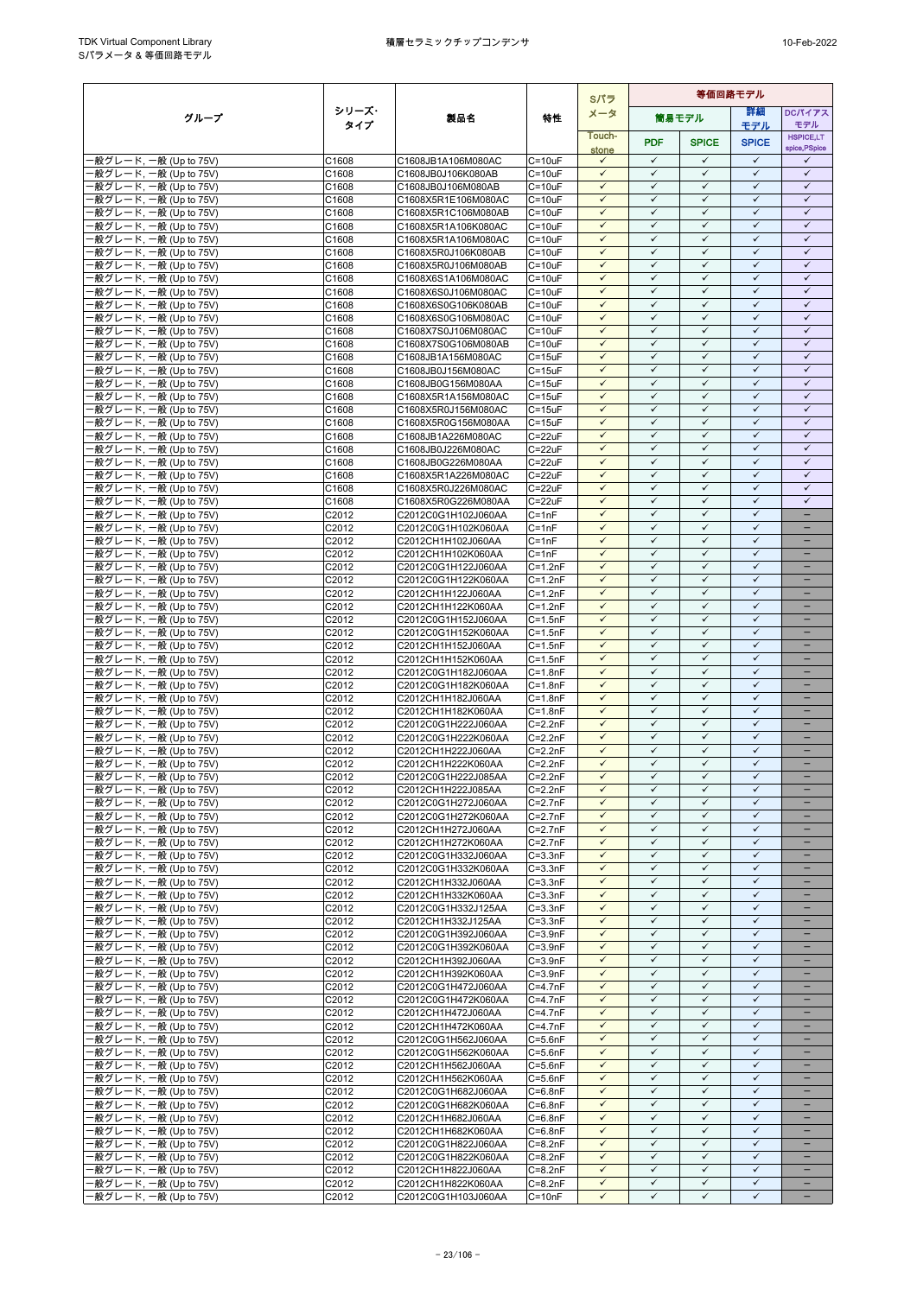|                                                  |                |                                            |                            | Sパラ                          | 等価回路モデル                      |                              |                              |                                               |
|--------------------------------------------------|----------------|--------------------------------------------|----------------------------|------------------------------|------------------------------|------------------------------|------------------------------|-----------------------------------------------|
| グループ                                             | シリーズ・          | 製品名                                        | 特性                         | メータ                          |                              | 筒易モデル                        | 詳細                           | DCパイアス                                        |
|                                                  | タイプ            |                                            |                            | Touch-                       |                              |                              | モデル                          | モデル<br><b>HSPICE,LT</b>                       |
|                                                  |                |                                            |                            | stone                        | <b>PDF</b>                   | <b>SPICE</b>                 | <b>SPICE</b>                 | spice, PSpice                                 |
| -般グレード, 一般 (Up to 75V)                           | C1608          | C1608JB1A106M080AC                         | $C = 10uF$                 | $\checkmark$                 | $\checkmark$                 | $\checkmark$                 | $\checkmark$                 | $\checkmark$                                  |
| -般グレード, 一般 (Up to 75V)<br>·般グレード, 一般 (Up to 75V) | C1608<br>C1608 | C1608JB0J106K080AB<br>C1608JB0J106M080AB   | $C = 10uF$<br>$C = 10uF$   | $\checkmark$<br>$\checkmark$ | $\checkmark$<br>$\checkmark$ | $\checkmark$<br>$\checkmark$ | $\checkmark$<br>$\checkmark$ | $\checkmark$<br>$\checkmark$                  |
| 般グレード, 一般 (Up to 75V)                            | C1608          | C1608X5R1E106M080AC                        | $C = 10uF$                 | $\checkmark$                 | $\checkmark$                 | $\checkmark$                 | $\checkmark$                 | $\checkmark$                                  |
| -般グレード, 一般 (Up to 75V)                           | C1608          | C1608X5R1C106M080AB                        | $C = 10uF$                 | $\checkmark$                 | ✓                            | $\checkmark$                 | $\checkmark$                 | $\checkmark$                                  |
| -般グレード, 一般 (Up to 75V)                           | C1608          | C1608X5R1A106K080AC                        | $C = 10uF$                 | $\checkmark$                 | $\checkmark$                 | $\checkmark$                 | $\checkmark$                 | $\checkmark$                                  |
| ·般グレード, 一般 (Up to 75V)                           | C1608          | C1608X5R1A106M080AC                        | $C = 10uF$                 | $\checkmark$<br>$\checkmark$ | $\checkmark$<br>$\checkmark$ | $\checkmark$<br>$\checkmark$ | $\checkmark$<br>$\checkmark$ | $\checkmark$<br>$\checkmark$                  |
| -般グレード, 一般 (Up to 75V)<br>般グレード, 一般 (Up to 75V)  | C1608<br>C1608 | C1608X5R0J106K080AB<br>C1608X5R0J106M080AB | $C = 10uF$<br>$C = 10uF$   | $\checkmark$                 | $\checkmark$                 | $\checkmark$                 | $\checkmark$                 | $\checkmark$                                  |
| ·般グレード, 一般 (Up to 75V)                           | C1608          | C1608X6S1A106M080AC                        | $C = 10uF$                 | $\checkmark$                 | $\checkmark$                 | $\checkmark$                 | $\checkmark$                 | $\checkmark$                                  |
| -般グレード, 一般 (Up to 75V)                           | C1608          | C1608X6S0J106M080AC                        | $C = 10uF$                 | $\checkmark$                 | $\checkmark$                 | $\checkmark$                 | $\checkmark$                 | $\checkmark$                                  |
| ·般グレード, 一般 (Up to 75V)                           | C1608          | C1608X6S0G106K080AB                        | $C = 10uF$                 | $\checkmark$<br>$\checkmark$ | ✓<br>$\checkmark$            | $\checkmark$<br>$\checkmark$ | $\checkmark$<br>$\checkmark$ | $\checkmark$<br>$\checkmark$                  |
| -般グレード, 一般 (Up to 75V)<br>-般グレード, 一般 (Up to 75V) | C1608<br>C1608 | C1608X6S0G106M080AC<br>C1608X7S0J106M080AC | $C = 10uF$<br>$C = 10uF$   | $\checkmark$                 | $\checkmark$                 | $\checkmark$                 | $\checkmark$                 | $\checkmark$                                  |
| ·般グレード, 一般 (Up to 75V)                           | C1608          | C1608X7S0G106M080AB                        | $C = 10uF$                 | $\checkmark$                 | $\checkmark$                 | $\checkmark$                 | $\checkmark$                 | $\checkmark$                                  |
| ·般グレード, 一般 (Up to 75V)                           | C1608          | C1608JB1A156M080AC                         | $C = 15uF$                 | $\checkmark$                 | $\checkmark$                 | $\checkmark$                 | $\checkmark$                 | $\checkmark$                                  |
| -般グレード, 一般 (Up to 75V)                           | C1608          | C1608JB0J156M080AC                         | $C = 15uF$                 | $\checkmark$                 | $\checkmark$<br>$\checkmark$ | $\checkmark$<br>$\checkmark$ | $\checkmark$<br>✓            | $\checkmark$<br>$\checkmark$                  |
| -般グレード, 一般 (Up to 75V)<br>-般グレード, 一般 (Up to 75V) | C1608<br>C1608 | C1608JB0G156M080AA<br>C1608X5R1A156M080AC  | $C = 15uF$<br>$C = 15uF$   | $\checkmark$<br>$\checkmark$ | $\checkmark$                 | $\checkmark$                 | $\checkmark$                 | $\checkmark$                                  |
| ·般グレード, 一般 (Up to 75V)                           | C1608          | C1608X5R0J156M080AC                        | $C = 15uF$                 | $\checkmark$                 | $\checkmark$                 | $\checkmark$                 | $\checkmark$                 | $\checkmark$                                  |
| -般グレード, 一般 (Up to 75V)                           | C1608          | C1608X5R0G156M080AA                        | $C = 15uF$                 | $\checkmark$                 | $\checkmark$                 | $\checkmark$                 | $\checkmark$                 | $\checkmark$                                  |
| -般グレード, 一般 (Up to 75V)<br>·般グレード, 一般 (Up to 75V) | C1608          | C1608JB1A226M080AC                         | $C = 22uF$                 | $\checkmark$<br>$\checkmark$ | $\checkmark$<br>$\checkmark$ | $\checkmark$<br>$\checkmark$ | $\checkmark$<br>$\checkmark$ | $\checkmark$<br>$\checkmark$                  |
| -般グレード, 一般 (Up to 75V)                           | C1608<br>C1608 | C1608JB0J226M080AC<br>C1608JB0G226M080AA   | $C = 22uF$<br>$C = 22uF$   | $\checkmark$                 | $\checkmark$                 | $\checkmark$                 | $\checkmark$                 | $\checkmark$                                  |
| ·般グレード, 一般 (Up to 75V)                           | C1608          | C1608X5R1A226M080AC                        | $C = 22uF$                 | $\checkmark$                 | $\checkmark$                 | $\checkmark$                 | $\checkmark$                 | $\checkmark$                                  |
| ·般グレード, 一般 (Up to 75V)                           | C1608          | C1608X5R0J226M080AC                        | $C = 22uF$                 | $\checkmark$                 | $\checkmark$                 | $\checkmark$                 | $\checkmark$                 | $\checkmark$                                  |
| ·般グレード, 一般 (Up to 75V)                           | C1608          | C1608X5R0G226M080AA                        | C=22uF                     | $\checkmark$                 | $\checkmark$<br>$\checkmark$ | $\checkmark$<br>$\checkmark$ | $\checkmark$<br>$\checkmark$ | $\checkmark$                                  |
| ·般グレード, 一般 (Up to 75V)<br>·般グレード, 一般 (Up to 75V) | C2012<br>C2012 | C2012C0G1H102J060AA<br>C2012C0G1H102K060AA | $C = 1nF$<br>$C = 1nF$     | $\checkmark$<br>$\checkmark$ | $\checkmark$                 | $\checkmark$                 | $\checkmark$                 | $\overline{\phantom{0}}$<br>$\qquad \qquad -$ |
| -般グレード, 一般 (Up to 75V)                           | C2012          | C2012CH1H102J060AA                         | $C = 1nF$                  | $\checkmark$                 | $\checkmark$                 | $\checkmark$                 | $\checkmark$                 | $\qquad \qquad -$                             |
| -般グレード, 一般 (Up to 75V)                           | C2012          | C2012CH1H102K060AA                         | $C = 1nF$                  | $\checkmark$                 | $\checkmark$                 | $\checkmark$                 | $\checkmark$                 | $\qquad \qquad -$                             |
| ·般グレード, 一般 (Up to 75V)                           | C2012          | C2012C0G1H122J060AA                        | $C=1.2nF$                  | $\checkmark$                 | $\checkmark$                 | $\checkmark$                 | $\checkmark$<br>$\checkmark$ | $\equiv$                                      |
| -般グレード, 一般 (Up to 75V)<br>-般グレード, 一般 (Up to 75V) | C2012<br>C2012 | C2012C0G1H122K060AA<br>C2012CH1H122J060AA  | $C=1.2nF$<br>$C = 1.2nF$   | $\checkmark$<br>$\checkmark$ | $\checkmark$<br>$\checkmark$ | $\checkmark$<br>$\checkmark$ | $\checkmark$                 |                                               |
| ·般グレード, 一般 (Up to 75V)                           | C2012          | C2012CH1H122K060AA                         | $C = 1.2nF$                | $\checkmark$                 | $\checkmark$                 | $\checkmark$                 | $\checkmark$                 | $\overline{\phantom{0}}$                      |
| ·般グレード, 一般 (Up to 75V)                           | C2012          | C2012C0G1H152J060AA                        | $C = 1.5nF$                | $\checkmark$                 | $\checkmark$                 | $\checkmark$                 | $\checkmark$                 | -                                             |
| -般グレード, 一般 (Up to 75V)                           | C2012          | C2012C0G1H152K060AA                        | $C = 1.5nF$                | ✓<br>$\checkmark$            | ✓<br>$\checkmark$            | $\checkmark$<br>$\checkmark$ | $\checkmark$<br>$\checkmark$ |                                               |
| -般グレード, 一般 (Up to 75V)<br>·般グレード, 一般 (Up to 75V) | C2012<br>C2012 | C2012CH1H152J060AA<br>C2012CH1H152K060AA   | $C = 1.5nF$<br>$C = 1.5nF$ | $\checkmark$                 | $\checkmark$                 | $\checkmark$                 | $\checkmark$                 | $\qquad \qquad -$                             |
| -般グレード, 一般 (Up to 75V)                           | C2012          | C2012C0G1H182J060AA                        | $C = 1.8nF$                | $\checkmark$                 | $\checkmark$                 | $\checkmark$                 | $\checkmark$                 |                                               |
| -般グレード, 一般 (Up to 75V)                           | C2012          | C2012C0G1H182K060AA                        | $C = 1.8nF$                | $\checkmark$                 | $\checkmark$                 | $\checkmark$                 | $\checkmark$                 | $\overline{\phantom{0}}$                      |
| -般グレード, 一般 (Up to 75V)                           | C2012          | C2012CH1H182J060AA                         | $C = 1.8nF$                | $\checkmark$                 | $\checkmark$                 | $\checkmark$                 | $\checkmark$                 |                                               |
| -般グレード, 一般 (Up to 75V)<br>-般グレード, 一般 (Up to 75V) | C2012<br>C2012 | C2012CH1H182K060AA<br>C2012C0G1H222J060AA  | $C = 1.8nF$<br>$C = 2.2nF$ | $\checkmark$<br>$\checkmark$ | ✓<br>$\checkmark$            | $\checkmark$<br>$\checkmark$ | $\checkmark$<br>$\checkmark$ | $\overline{\phantom{0}}$                      |
| -般グレード, 一般 (Up to 75V)                           | C2012          | C2012C0G1H222K060AA                        | $C = 2.2nF$                | $\checkmark$                 | $\checkmark$                 | $\checkmark$                 | $\checkmark$                 |                                               |
| 般グレード, 一般 (Up to 75V)                            | C2012          | C2012CH1H222J060AA                         | $C=2.2nF$                  | $\checkmark$                 | $\checkmark$                 | ✓                            | $\checkmark$                 |                                               |
| ·般グレード, 一般 (Up to 75V)                           | C2012          | C2012CH1H222K060AA                         | $C = 2.2nF$                | $\checkmark$                 | $\checkmark$                 | $\checkmark$                 | $\checkmark$                 | $\overline{\phantom{0}}$                      |
| ·般グレード, 一般 (Up to 75V)<br>·般グレード, 一般 (Up to 75V) | C2012<br>C2012 | C2012C0G1H222J085AA<br>C2012CH1H222J085AA  | $C=2.2nF$<br>$C=2.2nF$     | $\checkmark$<br>$\checkmark$ | $\checkmark$<br>✓            | $\checkmark$<br>✓            | $\checkmark$<br>✓            | $\overline{\phantom{0}}$                      |
| -般グレード, 一般 (Up to 75V)                           | C2012          | C2012C0G1H272J060AA                        | $C=2.7nF$                  | $\checkmark$                 | $\checkmark$                 | $\checkmark$                 | $\checkmark$                 |                                               |
| -般グレード, 一般 (Up to 75V)                           | C2012          | C2012C0G1H272K060AA                        | $C=2.7nF$                  | $\checkmark$                 | $\checkmark$                 | $\checkmark$                 | $\checkmark$                 |                                               |
| -般グレード, 一般 (Up to 75V)                           | C2012          | C2012CH1H272J060AA                         | $C=2.7nF$                  | $\checkmark$                 | $\checkmark$                 | $\checkmark$                 | $\checkmark$                 | $\overline{\phantom{0}}$                      |
| -般グレード, 一般 (Up to 75V)<br>·般グレード, 一般 (Up to 75V) | C2012<br>C2012 | C2012CH1H272K060AA<br>C2012C0G1H332J060AA  | $C=2.7nF$<br>$C = 3.3nF$   | $\checkmark$<br>$\checkmark$ | $\checkmark$<br>$\checkmark$ | $\checkmark$<br>$\checkmark$ | $\checkmark$<br>$\checkmark$ |                                               |
| -般グレード, 一般 (Up to 75V)                           | C2012          | C2012C0G1H332K060AA                        | $C = 3.3nF$                | $\checkmark$                 | $\checkmark$                 | $\checkmark$                 | $\checkmark$                 | $-$                                           |
| -般グレード, 一般 (Up to 75V)                           | C2012          | C2012CH1H332J060AA                         | $C = 3.3nF$                | ✓                            | ✓                            | ✓                            | ✓                            |                                               |
| -般グレード, 一般 (Up to 75V)                           | C2012          | C2012CH1H332K060AA                         | $C = 3.3nF$                | $\checkmark$                 | $\checkmark$                 | $\checkmark$                 | $\checkmark$                 | $\qquad \qquad -$                             |
| ·般グレード, 一般 (Up to 75V)<br>-般グレード, 一般 (Up to 75V) | C2012<br>C2012 | C2012C0G1H332J125AA<br>C2012CH1H332J125AA  | $C = 3.3nF$<br>$C = 3.3nF$ | $\checkmark$<br>$\checkmark$ | $\checkmark$<br>$\checkmark$ | $\checkmark$<br>$\checkmark$ | $\checkmark$<br>$\checkmark$ | $\overline{\phantom{0}}$                      |
| ·般グレード, 一般 (Up to 75V)                           | C2012          | C2012C0G1H392J060AA                        | $C = 3.9nF$                | $\checkmark$                 | $\checkmark$                 | $\checkmark$                 | $\checkmark$                 | $\overline{\phantom{0}}$                      |
| -般グレード, 一般 (Up to 75V)                           | C2012          | C2012C0G1H392K060AA                        | $C = 3.9nF$                | $\checkmark$                 | $\checkmark$                 | $\checkmark$                 | $\checkmark$                 | $\qquad \qquad -$                             |
| -般グレード, 一般 (Up to 75V)                           | C2012          | C2012CH1H392J060AA                         | $C = 3.9nF$                | $\checkmark$                 | ✓                            | $\checkmark$                 | $\checkmark$                 |                                               |
| -般グレード, 一般 (Up to 75V)<br>-般グレード, 一般 (Up to 75V) | C2012<br>C2012 | C2012CH1H392K060AA<br>C2012C0G1H472J060AA  | $C = 3.9nF$<br>$C=4.7nF$   | $\checkmark$<br>$\checkmark$ | $\checkmark$<br>$\checkmark$ | $\checkmark$<br>$\checkmark$ | $\checkmark$<br>$\checkmark$ |                                               |
| ·般グレード, 一般 (Up to 75V)                           | C2012          | C2012C0G1H472K060AA                        | $C=4.7nF$                  | $\checkmark$                 | $\checkmark$                 | $\checkmark$                 | $\checkmark$                 |                                               |
| -般グレード, 一般 (Up to 75V)                           | C2012          | C2012CH1H472J060AA                         | $C=4.7nF$                  | $\checkmark$                 | $\checkmark$                 | $\checkmark$                 | $\checkmark$                 | $\overline{\phantom{0}}$                      |
| ·般グレード, 一般 (Up to 75V)                           | C2012          | C2012CH1H472K060AA                         | $C=4.7nF$                  | $\checkmark$                 | $\checkmark$                 | $\checkmark$                 | $\checkmark$                 | $\qquad \qquad -$                             |
| -般グレード, 一般 (Up to 75V)<br>-般グレード, 一般 (Up to 75V) | C2012<br>C2012 | C2012C0G1H562J060AA<br>C2012C0G1H562K060AA | $C = 5.6nF$<br>$C = 5.6nF$ | $\checkmark$<br>$\checkmark$ | ✓<br>$\checkmark$            | ✓<br>$\checkmark$            | $\checkmark$<br>$\checkmark$ | $\overline{\phantom{0}}$<br>$\qquad \qquad -$ |
| ·般グレード, 一般 (Up to 75V)                           | C2012          | C2012CH1H562J060AA                         | $C = 5.6nF$                | $\checkmark$                 | ✓                            | $\checkmark$                 | $\checkmark$                 |                                               |
| ·般グレード, 一般 (Up to 75V)                           | C2012          | C2012CH1H562K060AA                         | $C = 5.6nF$                | $\checkmark$                 | ✓                            | $\checkmark$                 | $\checkmark$                 | $\overline{\phantom{0}}$                      |
| -般グレード, 一般 (Up to 75V)                           | C2012          | C2012C0G1H682J060AA                        | $C = 6.8nF$                | $\checkmark$                 | $\checkmark$                 | $\checkmark$                 | $\checkmark$                 | $\overline{\phantom{0}}$                      |
| ·般グレード, 一般 (Up to 75V)<br>-般グレード, 一般 (Up to 75V) | C2012<br>C2012 | C2012C0G1H682K060AA<br>C2012CH1H682J060AA  | $C=6.8nF$<br>$C = 6.8nF$   | $\checkmark$<br>$\checkmark$ | $\checkmark$<br>$\checkmark$ | $\checkmark$<br>$\checkmark$ | $\checkmark$<br>$\checkmark$ | -                                             |
| -般グレード, 一般 (Up to 75V)                           | C2012          | C2012CH1H682K060AA                         | $C=6.8nF$                  | $\checkmark$                 | $\checkmark$                 | $\checkmark$                 | $\checkmark$                 |                                               |
| -般グレード, 一般 (Up to 75V)                           | C2012          | C2012C0G1H822J060AA                        | $C = 8.2nF$                | $\checkmark$                 | $\checkmark$                 | $\checkmark$                 | $\checkmark$                 | -                                             |
| -般グレード, 一般 (Up to 75V)                           | C2012          | C2012C0G1H822K060AA                        | $C = 8.2nF$                | $\checkmark$                 | $\checkmark$                 | $\checkmark$                 | $\checkmark$                 |                                               |
| -般グレード, 一般 (Up to 75V)<br>-般グレード, 一般 (Up to 75V) | C2012<br>C2012 | C2012CH1H822J060AA<br>C2012CH1H822K060AA   | $C = 8.2nF$<br>$C = 8.2nF$ | $\checkmark$<br>$\checkmark$ | $\checkmark$<br>$\checkmark$ | $\checkmark$<br>$\checkmark$ | $\checkmark$<br>$\checkmark$ | $\overline{\phantom{0}}$                      |
| -般グレード, 一般 (Up to 75V)                           | C2012          | C2012C0G1H103J060AA                        | $C = 10nF$                 | $\checkmark$                 | $\checkmark$                 | $\checkmark$                 | $\checkmark$                 | $\qquad \qquad -$                             |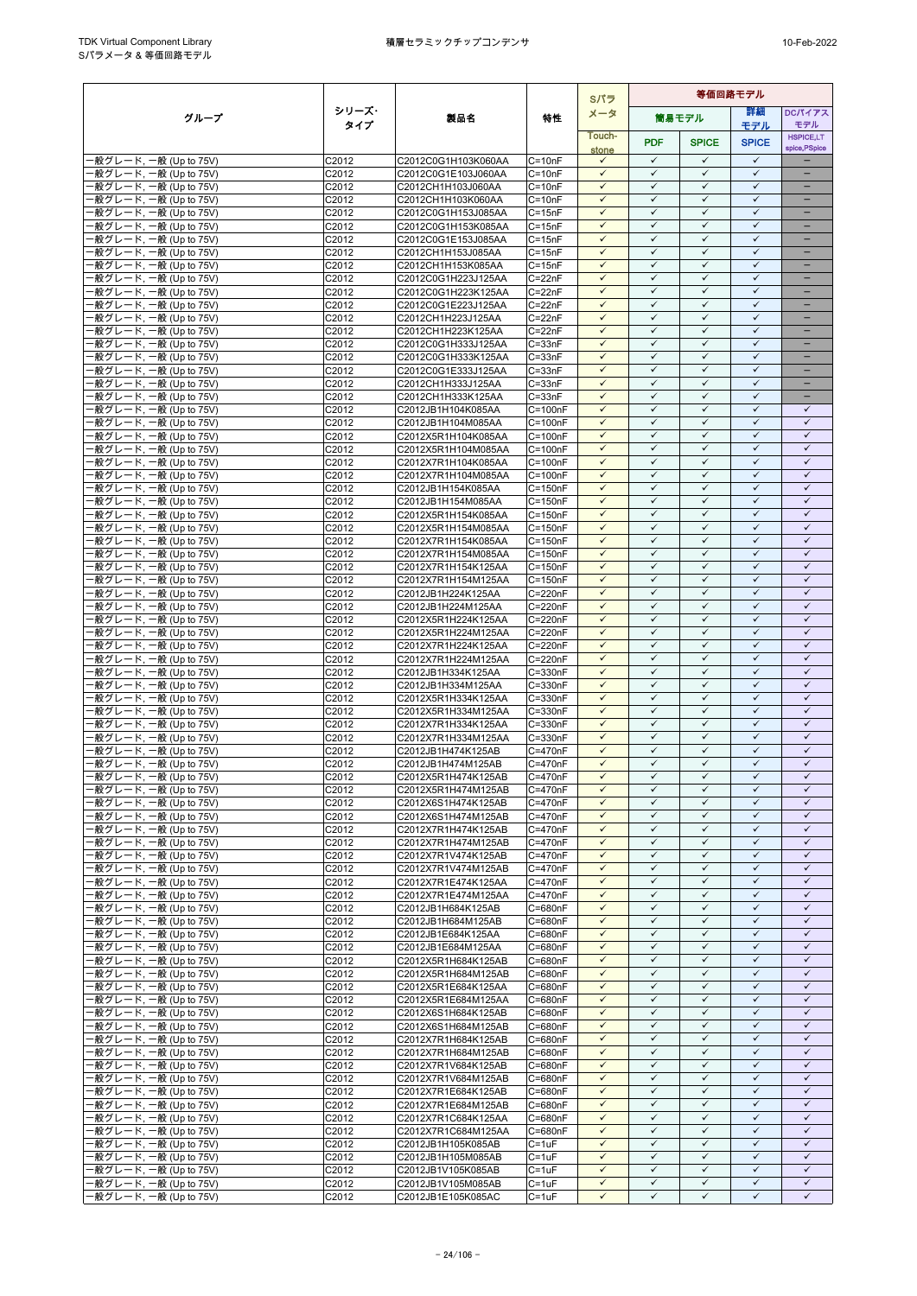|                                                   |                |                                            |                            | Sパラ                          | 等価回路モデル                      |                              |                              |                                      |
|---------------------------------------------------|----------------|--------------------------------------------|----------------------------|------------------------------|------------------------------|------------------------------|------------------------------|--------------------------------------|
| グループ                                              | シリーズ・          | 製品名                                        | 特性                         | メータ                          |                              | 筒易モデル                        | 詳細                           | <b>DCパイアス</b>                        |
|                                                   | タイプ            |                                            |                            | Touch-                       |                              |                              | モデル                          | モデル<br><b>HSPICE,LT</b>              |
|                                                   |                |                                            |                            | stone                        | <b>PDF</b>                   | <b>SPICE</b>                 | <b>SPICE</b>                 | spice, PSpice                        |
| ·般グレード, 一般 (Up to 75V)                            | C2012          | C2012C0G1H103K060AA                        | $C = 10nF$                 | $\checkmark$                 | $\checkmark$                 | $\checkmark$                 | $\checkmark$                 |                                      |
| 般グレード, 一般 (Up to 75V)<br>·般グレード, 一般 (Up to 75V)   | C2012<br>C2012 | C2012C0G1E103J060AA<br>C2012CH1H103J060AA  | $C = 10nF$<br>$C = 10nF$   | $\checkmark$<br>$\checkmark$ | $\checkmark$<br>$\checkmark$ | $\checkmark$<br>$\checkmark$ | $\checkmark$<br>$\checkmark$ | $\equiv$<br>$\qquad \qquad -$        |
| ·般グレード, 一般 (Up to 75V)                            | C2012          | C2012CH1H103K060AA                         | $C = 10nF$                 | $\checkmark$                 | $\checkmark$                 | $\checkmark$                 | $\checkmark$                 | -                                    |
| -般グレード, 一般 (Up to 75V)                            | C2012          | C2012C0G1H153J085AA                        | $C = 15nF$                 | $\checkmark$                 | $\checkmark$                 | $\checkmark$                 | $\checkmark$                 | $\qquad \qquad -$                    |
| ·般グレード, 一般 (Up to 75V)                            | C2012          | C2012C0G1H153K085AA                        | $C = 15nF$                 | $\checkmark$                 | $\checkmark$                 | $\checkmark$                 | $\checkmark$                 |                                      |
| ·般グレード, 一般 (Up to 75V)                            | C2012          | C2012C0G1E153J085AA                        | $C = 15nF$                 | $\checkmark$                 | $\checkmark$                 | $\checkmark$                 | $\checkmark$                 |                                      |
| -般グレード, 一般 (Up to 75V)<br>-般グレード, 一般 (Up to 75V)  | C2012<br>C2012 | C2012CH1H153J085AA<br>C2012CH1H153K085AA   | $C = 15nF$<br>$C = 15nF$   | $\checkmark$<br>$\checkmark$ | $\checkmark$<br>$\checkmark$ | $\checkmark$<br>$\checkmark$ | $\checkmark$<br>$\checkmark$ | $\overline{\phantom{0}}$<br>$\equiv$ |
| ·般グレード, 一般 (Up to 75V)                            | C2012          | C2012C0G1H223J125AA                        | $C = 22nF$                 | $\checkmark$                 | $\checkmark$                 | $\checkmark$                 | $\checkmark$                 | -                                    |
| -般グレード, 一般 (Up to 75V)                            | C2012          | C2012C0G1H223K125AA                        | $C = 22nF$                 | $\checkmark$                 | $\checkmark$                 | $\checkmark$                 | $\checkmark$                 | $\qquad \qquad -$                    |
| ·般グレード, 一般 (Up to 75V)                            | C2012          | C2012C0G1E223J125AA                        | $C = 22nF$                 | $\checkmark$                 | $\checkmark$                 | $\checkmark$                 | $\checkmark$                 | -                                    |
| ·般グレード, 一般 (Up to 75V)                            | C2012          | C2012CH1H223J125AA                         | $C = 22nF$<br>$C = 22nF$   | $\checkmark$<br>$\checkmark$ | ✓<br>$\checkmark$            | ✓<br>$\checkmark$            | $\checkmark$<br>$\checkmark$ | $=$                                  |
| ·般グレード, 一般 (Up to 75V)<br>·般グレード, 一般 (Up to 75V)  | C2012<br>C2012 | C2012CH1H223K125AA<br>C2012C0G1H333J125AA  | $C = 33nF$                 | $\checkmark$                 | $\checkmark$                 | $\checkmark$                 | $\checkmark$                 |                                      |
| ·般グレード, 一般 (Up to 75V)                            | C2012          | C2012C0G1H333K125AA                        | $C = 33nF$                 | $\checkmark$                 | $\checkmark$                 | $\checkmark$                 | $\checkmark$                 | $\overline{\phantom{0}}$             |
| ·般グレード, 一般 (Up to 75V)                            | C2012          | C2012C0G1E333J125AA                        | $C = 33nF$                 | $\checkmark$                 | $\checkmark$                 | $\checkmark$                 | $\checkmark$                 | -                                    |
| ·般グレード, 一般 (Up to 75V)                            | C2012          | C2012CH1H333J125AA                         | $C = 33nF$                 | $\checkmark$                 | $\checkmark$                 | ✓                            | $\checkmark$                 |                                      |
| ·般グレード, 一般 (Up to 75V)<br>·般グレード, 一般 (Up to 75V)  | C2012<br>C2012 | C2012CH1H333K125AA                         | $C = 33nF$<br>$C = 100nF$  | $\checkmark$<br>$\checkmark$ | $\checkmark$<br>$\checkmark$ | $\checkmark$<br>$\checkmark$ | $\checkmark$<br>$\checkmark$ | -<br>$\checkmark$                    |
| ·般グレード, 一般 (Up to 75V)                            | C2012          | C2012JB1H104K085AA<br>C2012JB1H104M085AA   | $C = 100nF$                | $\checkmark$                 | $\checkmark$                 | $\checkmark$                 | $\checkmark$                 | $\checkmark$                         |
| -般グレード, 一般 (Up to 75V)                            | C2012          | C2012X5R1H104K085AA                        | $C = 100nF$                | $\checkmark$                 | $\checkmark$                 | $\checkmark$                 | $\checkmark$                 | $\checkmark$                         |
| 般グレード, 一般 (Up to 75V)                             | C2012          | C2012X5R1H104M085AA                        | $C = 100nF$                | $\checkmark$                 | $\checkmark$                 | $\checkmark$                 | $\checkmark$                 | $\checkmark$                         |
| ·般グレード. 一般 (Up to 75V)                            | C2012          | C2012X7R1H104K085AA                        | $C = 100nF$                | $\checkmark$                 | $\checkmark$                 | $\checkmark$                 | $\checkmark$                 | $\checkmark$                         |
| ·般グレード, 一般 (Up to 75V)<br>·般グレード, 一般 (Up to 75V)  | C2012<br>C2012 | C2012X7R1H104M085AA<br>C2012JB1H154K085AA  | $C = 100nF$<br>$C = 150nF$ | $\checkmark$<br>$\checkmark$ | $\checkmark$<br>$\checkmark$ | $\checkmark$<br>$\checkmark$ | $\checkmark$<br>$\checkmark$ | $\checkmark$<br>$\checkmark$         |
| ·般グレード, 一般 (Up to 75V)                            | C2012          | C2012JB1H154M085AA                         | $C = 150nF$                | $\checkmark$                 | $\checkmark$                 | $\checkmark$                 | $\checkmark$                 | $\checkmark$                         |
| -般グレード, 一般 (Up to 75V)                            | C2012          | C2012X5R1H154K085AA                        | $C = 150nF$                | $\checkmark$                 | $\checkmark$                 | $\checkmark$                 | $\checkmark$                 | $\checkmark$                         |
| ·般グレード, 一般 (Up to 75V)                            | C2012          | C2012X5R1H154M085AA                        | $C = 150nF$                | $\checkmark$                 | $\checkmark$                 | $\checkmark$                 | $\checkmark$                 | $\checkmark$                         |
| ·般グレード, 一般 (Up to 75V)                            | C2012          | C2012X7R1H154K085AA                        | $C = 150nF$                | $\checkmark$                 | $\checkmark$                 | $\checkmark$                 | $\checkmark$                 | $\checkmark$                         |
| -般グレード, 一般 (Up to 75V)                            | C2012<br>C2012 | C2012X7R1H154M085AA<br>C2012X7R1H154K125AA | $C = 150nF$<br>$C = 150nF$ | $\checkmark$<br>$\checkmark$ | $\checkmark$<br>$\checkmark$ | $\checkmark$<br>$\checkmark$ | $\checkmark$<br>$\checkmark$ | $\checkmark$<br>$\checkmark$         |
| ·般グレード, 一般 (Up to 75V)<br>·般グレード, 一般 (Up to 75V)  | C2012          | C2012X7R1H154M125AA                        | $C = 150nF$                | $\checkmark$                 | $\checkmark$                 | $\checkmark$                 | $\checkmark$                 | $\checkmark$                         |
| -般グレード, 一般 (Up to 75V)                            | C2012          | C2012JB1H224K125AA                         | C=220nF                    | $\checkmark$                 | $\checkmark$                 | $\checkmark$                 | $\checkmark$                 | $\checkmark$                         |
| ·般グレード, 一般 (Up to 75V)                            | C2012          | C2012JB1H224M125AA                         | C=220nF                    | $\checkmark$                 | $\checkmark$                 | $\checkmark$                 | $\checkmark$                 | $\checkmark$                         |
| ·般グレード, 一般 (Up to 75V)                            | C2012          | C2012X5R1H224K125AA                        | C=220nF                    | $\checkmark$                 | $\checkmark$                 | $\checkmark$                 | $\checkmark$                 | $\checkmark$                         |
| ·般グレード, 一般 (Up to 75V)<br>·般グレード, 一般 (Up to 75V)  | C2012<br>C2012 | C2012X5R1H224M125AA<br>C2012X7R1H224K125AA | C=220nF<br>C=220nF         | $\checkmark$<br>$\checkmark$ | $\checkmark$<br>$\checkmark$ | ✓<br>$\checkmark$            | $\checkmark$<br>$\checkmark$ | $\checkmark$<br>$\checkmark$         |
| ·般グレード, 一般 (Up to 75V)                            | C2012          | C2012X7R1H224M125AA                        | C=220nF                    | $\checkmark$                 | $\checkmark$                 | $\checkmark$                 | $\checkmark$                 | $\checkmark$                         |
| ·般グレード, 一般 (Up to 75V)                            | C2012          | C2012JB1H334K125AA                         | C=330nF                    | $\checkmark$                 | $\checkmark$                 | $\checkmark$                 | $\checkmark$                 | $\checkmark$                         |
| -般グレード, 一般 (Up to 75V)                            | C2012          | C2012JB1H334M125AA                         | C=330nF                    | $\checkmark$                 | $\checkmark$                 | $\checkmark$                 | $\checkmark$                 | $\checkmark$                         |
| -般グレード, 一般 (Up to 75V)                            | C2012          | C2012X5R1H334K125AA                        | C=330nF                    | $\checkmark$                 | $\checkmark$                 | $\checkmark$                 | $\checkmark$                 | $\checkmark$                         |
| -般グレード, 一般 (Up to 75V)<br>-般グレード, 一般 (Up to 75V)  | C2012<br>C2012 | C2012X5R1H334M125AA<br>C2012X7R1H334K125AA | C=330nF<br>C=330nF         | $\checkmark$<br>$\checkmark$ | $\checkmark$<br>$\checkmark$ | $\checkmark$<br>$\checkmark$ | $\checkmark$<br>$\checkmark$ | $\checkmark$<br>$\checkmark$         |
| ·般グレード, 一般 (Up to 75V)                            | C2012          | C2012X7R1H334M125AA                        | C=330nF                    | $\checkmark$                 | $\checkmark$                 | $\checkmark$                 | $\checkmark$                 | $\checkmark$                         |
| 般グレード, 一般 (Up to 75V)                             | C2012          | C2012JB1H474K125AB                         | C=470nF                    | $\checkmark$                 | $\checkmark$                 | $\checkmark$                 | $\checkmark$                 | $\checkmark$                         |
| ·般グレード, 一般 (Up to 75V)                            | C2012          | C2012JB1H474M125AB                         | C=470nF                    | $\checkmark$                 | $\checkmark$                 | $\checkmark$                 | $\checkmark$                 | $\checkmark$                         |
| ·般グレード, 一般 (Up to 75V)                            | C2012          | C2012X5R1H474K125AB                        | C=470nF                    | $\checkmark$<br>$\checkmark$ | $\checkmark$<br>$\checkmark$ | $\checkmark$<br>$\checkmark$ | $\checkmark$<br>$\checkmark$ | $\checkmark$<br>✓                    |
| ·般グレード, 一般 (Up to 75V)<br>-般グレード, 一般 (Up to 75V)  | C2012<br>C2012 | C2012X5R1H474M125AB<br>C2012X6S1H474K125AB | C=470nF<br>C=470nF         | $\checkmark$                 | $\checkmark$                 | $\checkmark$                 | $\checkmark$                 | $\checkmark$                         |
| -般グレード, 一般 (Up to 75V)                            | C2012          | C2012X6S1H474M125AB                        | C=470nF                    | $\checkmark$                 | $\checkmark$                 | $\checkmark$                 | $\checkmark$                 | $\checkmark$                         |
| -般グレード, 一般 (Up to 75V)                            | C2012          | C2012X7R1H474K125AB                        | C=470nF                    | $\checkmark$                 | $\checkmark$                 | $\checkmark$                 | $\checkmark$                 | $\checkmark$                         |
| 一般グレード, 一般 (Up to 75V)                            | C2012          | C2012X7R1H474M125AB                        | C=470nF                    | $\checkmark$                 | $\checkmark$                 | $\checkmark$                 | $\checkmark$                 | $\checkmark$                         |
| ·般グレード, 一般 (Up to 75V)<br>-般グレード, 一般 (Up to 75V)  | C2012<br>C2012 | C2012X7R1V474K125AB                        | $C = 470nF$<br>C=470nF     | $\checkmark$<br>$\checkmark$ | $\checkmark$<br>$\checkmark$ | $\checkmark$<br>$\checkmark$ | $\checkmark$<br>$\checkmark$ | $\checkmark$<br>$\checkmark$         |
| -般グレード, 一般 (Up to 75V)                            | C2012          | C2012X7R1V474M125AB<br>C2012X7R1E474K125AA | C=470nF                    | $\checkmark$                 | $\checkmark$                 | $\checkmark$                 | ✓                            | $\checkmark$                         |
| ·般グレード, 一般 (Up to 75V)                            | C2012          | C2012X7R1E474M125AA                        | C=470nF                    | $\checkmark$                 | $\checkmark$                 | $\checkmark$                 | $\checkmark$                 | $\checkmark$                         |
| ·般グレード, 一般 (Up to 75V)                            | C2012          | C2012JB1H684K125AB                         | C=680nF                    | $\checkmark$                 | $\checkmark$                 | $\checkmark$                 | $\checkmark$                 | $\checkmark$                         |
| -般グレード, 一般 (Up to 75V)                            | C2012          | C2012JB1H684M125AB                         | C=680nF                    | $\checkmark$                 | $\checkmark$                 | $\checkmark$                 | $\checkmark$                 | $\checkmark$                         |
| ·般グレード, 一般 (Up to 75V)<br>-般グレード, 一般 (Up to 75V)  | C2012<br>C2012 | C2012JB1E684K125AA<br>C2012JB1E684M125AA   | C=680nF<br>C=680nF         | $\checkmark$<br>$\checkmark$ | $\checkmark$<br>$\checkmark$ | $\checkmark$<br>$\checkmark$ | $\checkmark$<br>$\checkmark$ | $\checkmark$<br>$\checkmark$         |
| ·般グレード, 一般 (Up to 75V)                            | C2012          | C2012X5R1H684K125AB                        | C=680nF                    | $\checkmark$                 | $\checkmark$                 | $\checkmark$                 | $\checkmark$                 | $\checkmark$                         |
| ·般グレード, 一般 (Up to 75V)                            | C2012          | C2012X5R1H684M125AB                        | C=680nF                    | $\checkmark$                 | $\checkmark$                 | $\checkmark$                 | $\checkmark$                 | $\checkmark$                         |
| -般グレード, 一般 (Up to 75V)                            | C2012          | C2012X5R1E684K125AA                        | C=680nF                    | $\checkmark$                 | $\checkmark$                 | $\checkmark$                 | $\checkmark$                 | $\checkmark$                         |
| ·般グレード, 一般 (Up to 75V)                            | C2012          | C2012X5R1E684M125AA                        | C=680nF                    | $\checkmark$                 | $\checkmark$                 | $\checkmark$                 | $\checkmark$                 | $\checkmark$                         |
| - 般グレード, 一般 (Up to 75V)<br>·般グレード, 一般 (Up to 75V) | C2012<br>C2012 | C2012X6S1H684K125AB<br>C2012X6S1H684M125AB | C=680nF<br>C=680nF         | $\checkmark$<br>$\checkmark$ | $\checkmark$<br>$\checkmark$ | $\checkmark$<br>$\checkmark$ | $\checkmark$<br>$\checkmark$ | $\checkmark$<br>$\checkmark$         |
| -般グレード, 一般 (Up to 75V)                            | C2012          | C2012X7R1H684K125AB                        | C=680nF                    | $\checkmark$                 | ✓                            | ✓                            | ✓                            | ✓                                    |
| ·般グレード, 一般 (Up to 75V)                            | C2012          | C2012X7R1H684M125AB                        | C=680nF                    | $\checkmark$                 | $\checkmark$                 | $\checkmark$                 | $\checkmark$                 | $\checkmark$                         |
| ·般グレード, 一般 (Up to 75V)                            | C2012          | C2012X7R1V684K125AB                        | C=680nF                    | $\checkmark$                 | $\checkmark$                 | $\checkmark$                 | $\checkmark$                 | $\checkmark$                         |
| -般グレード, 一般 (Up to 75V)                            | C2012          | C2012X7R1V684M125AB                        | C=680nF                    | $\checkmark$                 | $\checkmark$                 | $\checkmark$                 | $\checkmark$                 | $\checkmark$                         |
| -般グレード, 一般 (Up to 75V)<br>·般グレード, 一般 (Up to 75V)  | C2012<br>C2012 | C2012X7R1E684K125AB<br>C2012X7R1E684M125AB | C=680nF<br>C=680nF         | $\checkmark$<br>$\checkmark$ | $\checkmark$<br>$\checkmark$ | $\checkmark$<br>✓            | $\checkmark$<br>$\checkmark$ | $\checkmark$<br>$\checkmark$         |
| -般グレード, 一般 (Up to 75V)                            | C2012          | C2012X7R1C684K125AA                        | C=680nF                    | $\checkmark$                 | $\checkmark$                 | $\checkmark$                 | $\checkmark$                 | $\checkmark$                         |
| ·般グレード, 一般 (Up to 75V)                            | C2012          | C2012X7R1C684M125AA                        | C=680nF                    | $\checkmark$                 | $\checkmark$                 | $\checkmark$                 | $\checkmark$                 | $\checkmark$                         |
| ·般グレード, 一般 (Up to 75V)                            | C2012          | C2012JB1H105K085AB                         | $C = 1uF$                  | $\checkmark$                 | $\checkmark$                 | $\checkmark$                 | $\checkmark$                 | $\checkmark$                         |
| ·般グレード, 一般 (Up to 75V)                            | C2012          | C2012JB1H105M085AB                         | $C = 1uF$                  | $\checkmark$                 | $\checkmark$                 | $\checkmark$                 | $\checkmark$                 | $\checkmark$                         |
| -般グレード, 一般 (Up to 75V)<br>-般グレード, 一般 (Up to 75V)  | C2012<br>C2012 | C2012JB1V105K085AB<br>C2012JB1V105M085AB   | $C = 1uF$<br>$C = 1uF$     | $\checkmark$<br>$\checkmark$ | $\checkmark$<br>$\checkmark$ | $\checkmark$<br>$\checkmark$ | $\checkmark$<br>$\checkmark$ | $\checkmark$<br>$\checkmark$         |
| -般グレード, 一般 (Up to 75V)                            | C2012          | C2012JB1E105K085AC                         | $C = 1uF$                  | $\checkmark$                 | $\checkmark$                 | $\checkmark$                 | $\checkmark$                 | $\checkmark$                         |
|                                                   |                |                                            |                            |                              |                              |                              |                              |                                      |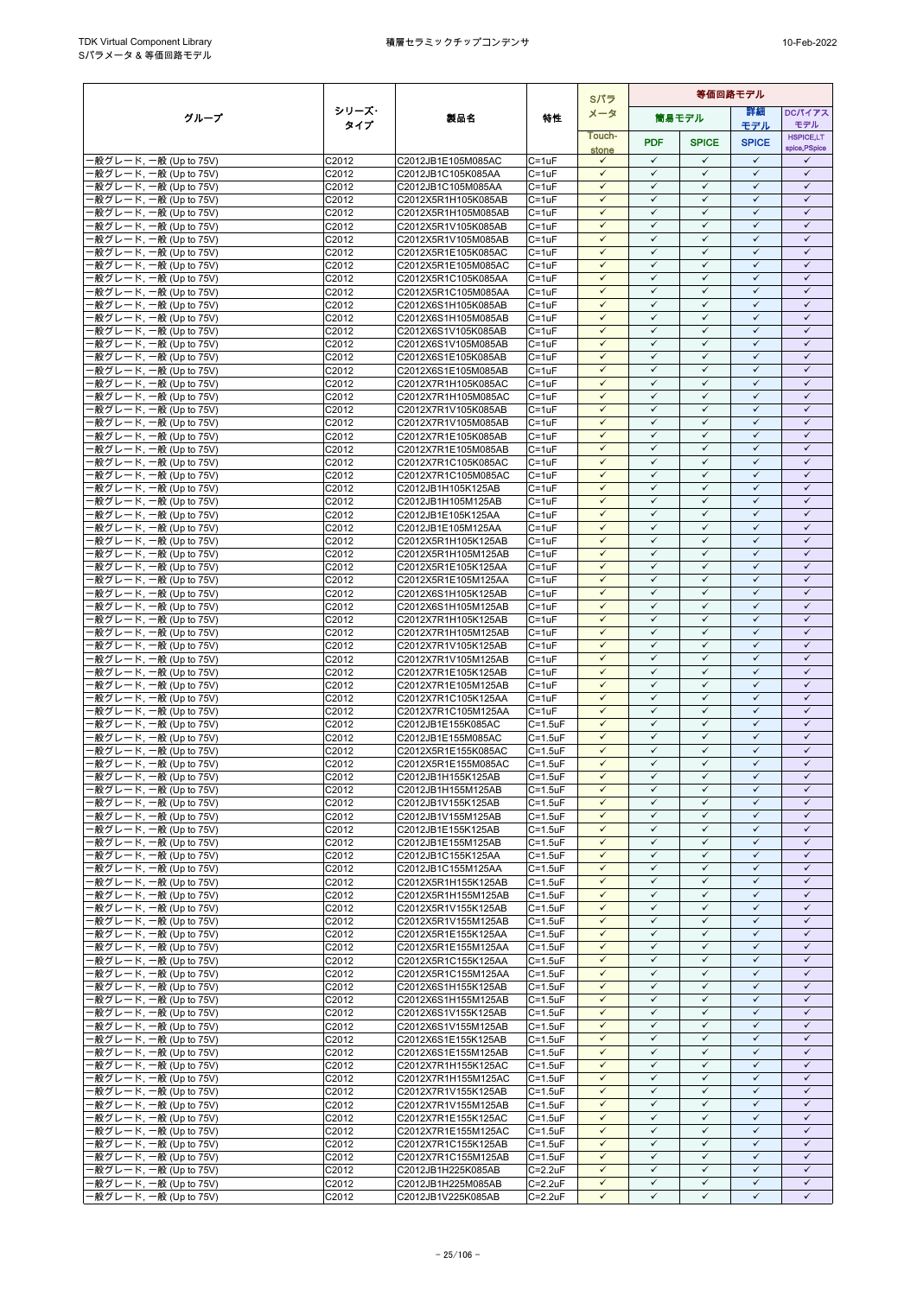|                                                  | Sパラ            |                                            |                                |                              | 等価回路モデル                      |                              |                              |                              |  |  |  |  |
|--------------------------------------------------|----------------|--------------------------------------------|--------------------------------|------------------------------|------------------------------|------------------------------|------------------------------|------------------------------|--|--|--|--|
| グループ                                             | シリーズ・          | 製品名                                        | 特性                             | メータ                          |                              | 簡易モデル                        | 詳細                           | <b>DCパイアス</b>                |  |  |  |  |
|                                                  | タイプ            |                                            |                                | Touch-                       |                              |                              | モデル                          | モデル<br><b>HSPICE,LT</b>      |  |  |  |  |
|                                                  |                |                                            |                                | stone                        | <b>PDF</b>                   | <b>SPICE</b>                 | <b>SPICE</b>                 | spice, PSpice                |  |  |  |  |
| ·般グレード, 一般 (Up to 75V)                           | C2012          | C2012JB1E105M085AC                         | $C = 1uF$                      | $\checkmark$                 | $\checkmark$                 | $\checkmark$                 | $\checkmark$                 | ✓                            |  |  |  |  |
| 般グレード, 一般 (Up to 75V)<br>·般グレード, 一般 (Up to 75V)  | C2012<br>C2012 | C2012JB1C105K085AA<br>C2012JB1C105M085AA   | $C = 1uF$<br>$C = 1uF$         | $\checkmark$<br>$\checkmark$ | $\checkmark$<br>$\checkmark$ | $\checkmark$<br>$\checkmark$ | $\checkmark$<br>$\checkmark$ | $\checkmark$<br>$\checkmark$ |  |  |  |  |
| ·般グレード, 一般 (Up to 75V)                           | C2012          | C2012X5R1H105K085AB                        | $C = 1uF$                      | $\checkmark$                 | $\checkmark$                 | $\checkmark$                 | $\checkmark$                 | $\checkmark$                 |  |  |  |  |
| 般グレード, 一般 (Up to 75V)                            | C2012          | C2012X5R1H105M085AB                        | $C = 1uF$                      | $\checkmark$                 | $\checkmark$                 | $\checkmark$                 | $\checkmark$                 | $\checkmark$                 |  |  |  |  |
| 般グレード, 一般 (Up to 75V)                            | C2012          | C2012X5R1V105K085AB                        | $C = 1uF$                      | $\checkmark$                 | $\checkmark$                 | $\checkmark$                 | $\checkmark$                 | $\checkmark$                 |  |  |  |  |
| ·般グレード, 一般 (Up to 75V)                           | C2012          | C2012X5R1V105M085AB                        | $C = 1uF$                      | $\checkmark$                 | $\checkmark$                 | $\checkmark$                 | $\checkmark$                 | $\checkmark$                 |  |  |  |  |
| -般グレード, 一般 (Up to 75V)<br>般グレード, 一般 (Up to 75V)  | C2012<br>C2012 | C2012X5R1E105K085AC                        | $C = 1uF$<br>$C = 1uF$         | $\checkmark$<br>$\checkmark$ | $\checkmark$<br>$\checkmark$ | $\checkmark$<br>$\checkmark$ | $\checkmark$<br>$\checkmark$ | $\checkmark$<br>$\checkmark$ |  |  |  |  |
| ·般グレード, 一般 (Up to 75V)                           | C2012          | C2012X5R1E105M085AC<br>C2012X5R1C105K085AA | $C = 1uF$                      | $\checkmark$                 | $\checkmark$                 | $\checkmark$                 | $\checkmark$                 | $\checkmark$                 |  |  |  |  |
| ·般グレード, 一般 (Up to 75V)                           | C2012          | C2012X5R1C105M085AA                        | $C = 1uF$                      | $\checkmark$                 | $\checkmark$                 | $\checkmark$                 | $\checkmark$                 | $\checkmark$                 |  |  |  |  |
| ·般グレード. 一般 (Up to 75V)                           | C2012          | C2012X6S1H105K085AB                        | $C = 1uF$                      | $\checkmark$                 | $\checkmark$                 | $\checkmark$                 | $\checkmark$                 | $\checkmark$                 |  |  |  |  |
| ·般グレード, 一般 (Up to 75V)                           | C2012          | C2012X6S1H105M085AB                        | $C = 1uF$                      | ✓                            | ✓                            | ✓                            | $\checkmark$                 | ✓                            |  |  |  |  |
| ·般グレード, 一般 (Up to 75V)                           | C2012          | C2012X6S1V105K085AB                        | $C = 1uF$                      | $\checkmark$<br>$\checkmark$ | $\checkmark$<br>$\checkmark$ | $\checkmark$<br>$\checkmark$ | $\checkmark$<br>$\checkmark$ | $\checkmark$<br>$\checkmark$ |  |  |  |  |
| ·般グレード, 一般 (Up to 75V)<br>·般グレード, 一般 (Up to 75V) | C2012<br>C2012 | C2012X6S1V105M085AB<br>C2012X6S1E105K085AB | $C = 1uF$<br>$C = 1uF$         | $\checkmark$                 | $\checkmark$                 | $\checkmark$                 | $\checkmark$                 | $\checkmark$                 |  |  |  |  |
| ·般グレード, 一般 (Up to 75V)                           | C2012          | C2012X6S1E105M085AB                        | $C = 1uF$                      | $\checkmark$                 | $\checkmark$                 | $\checkmark$                 | $\checkmark$                 | $\checkmark$                 |  |  |  |  |
| ·般グレード, 一般 (Up to 75V)                           | C2012          | C2012X7R1H105K085AC                        | $C = 1uF$                      | $\checkmark$                 | $\checkmark$                 | ✓                            | $\checkmark$                 | $\checkmark$                 |  |  |  |  |
| ·般グレード, 一般 (Up to 75V)                           | C2012          | C2012X7R1H105M085AC                        | $C = 1uF$                      | $\checkmark$                 | $\checkmark$                 | $\checkmark$                 | $\checkmark$                 | $\checkmark$                 |  |  |  |  |
| ·般グレード, 一般 (Up to 75V)                           | C2012          | C2012X7R1V105K085AB                        | $C = 1uF$                      | $\checkmark$                 | $\checkmark$                 | $\checkmark$                 | $\checkmark$                 | $\checkmark$                 |  |  |  |  |
| ·般グレード, 一般 (Up to 75V)<br>-般グレード, 一般 (Up to 75V) | C2012<br>C2012 | C2012X7R1V105M085AB<br>C2012X7R1E105K085AB | $C = 1uF$<br>$C = 1uF$         | $\checkmark$<br>$\checkmark$ | $\checkmark$<br>$\checkmark$ | $\checkmark$<br>$\checkmark$ | $\checkmark$<br>$\checkmark$ | $\checkmark$<br>$\checkmark$ |  |  |  |  |
| 般グレード, 一般 (Up to 75V)                            | C2012          | C2012X7R1E105M085AB                        | $C = 1uF$                      | $\checkmark$                 | $\checkmark$                 | $\checkmark$                 | $\checkmark$                 | $\checkmark$                 |  |  |  |  |
| -般グレード, 一般 (Up to 75V)                           | C2012          | C2012X7R1C105K085AC                        | $C = 1uF$                      | $\checkmark$                 | $\checkmark$                 | $\checkmark$                 | $\checkmark$                 | $\checkmark$                 |  |  |  |  |
| ·般グレード, 一般 (Up to 75V)                           | C2012          | C2012X7R1C105M085AC                        | $C = 1uF$                      | $\checkmark$                 | $\checkmark$                 | $\checkmark$                 | $\checkmark$                 | $\checkmark$                 |  |  |  |  |
| ·般グレード, 一般 (Up to 75V)                           | C2012          | C2012JB1H105K125AB                         | $C = 1uF$                      | $\checkmark$                 | $\checkmark$                 | $\checkmark$                 | $\checkmark$                 | $\checkmark$                 |  |  |  |  |
| ·般グレード, 一般 (Up to 75V)                           | C2012          | C2012JB1H105M125AB                         | $C = 1uF$                      | $\checkmark$                 | $\checkmark$                 | $\checkmark$                 | $\checkmark$                 | $\checkmark$                 |  |  |  |  |
| -般グレード, 一般 (Up to 75V)                           | C2012          | C2012JB1E105K125AA                         | $C = 1uF$<br>$C = 1uF$         | $\checkmark$<br>$\checkmark$ | $\checkmark$<br>$\checkmark$ | $\checkmark$<br>$\checkmark$ | $\checkmark$<br>$\checkmark$ | $\checkmark$<br>$\checkmark$ |  |  |  |  |
| ·般グレード, 一般 (Up to 75V)<br>·般グレード, 一般 (Up to 75V) | C2012<br>C2012 | C2012JB1E105M125AA<br>C2012X5R1H105K125AB  | $C = 1uF$                      | $\checkmark$                 | $\checkmark$                 | $\checkmark$                 | $\checkmark$                 | $\checkmark$                 |  |  |  |  |
| -般グレード, 一般 (Up to 75V)                           | C2012          | C2012X5R1H105M125AB                        | $C = 1uF$                      | $\checkmark$                 | $\checkmark$                 | $\checkmark$                 | $\checkmark$                 | $\checkmark$                 |  |  |  |  |
| ·般グレード, 一般 (Up to 75V)                           | C2012          | C2012X5R1E105K125AA                        | $C = 1uF$                      | $\checkmark$                 | $\checkmark$                 | $\checkmark$                 | $\checkmark$                 | $\checkmark$                 |  |  |  |  |
| ·般グレード, 一般 (Up to 75V)                           | C2012          | C2012X5R1E105M125AA                        | $C = 1uF$                      | $\checkmark$                 | $\checkmark$                 | $\checkmark$                 | $\checkmark$                 | $\checkmark$                 |  |  |  |  |
| -般グレード, 一般 (Up to 75V)                           | C2012          | C2012X6S1H105K125AB                        | $C = 1uF$                      | $\checkmark$                 | $\checkmark$                 | $\checkmark$                 | $\checkmark$                 | $\checkmark$                 |  |  |  |  |
| ·般グレード, 一般 (Up to 75V)<br>·般グレード, 一般 (Up to 75V) | C2012<br>C2012 | C2012X6S1H105M125AB<br>C2012X7R1H105K125AB | $C = 1uF$<br>$C = 1uF$         | $\checkmark$<br>$\checkmark$ | $\checkmark$<br>$\checkmark$ | $\checkmark$<br>$\checkmark$ | $\checkmark$<br>$\checkmark$ | $\checkmark$<br>$\checkmark$ |  |  |  |  |
| ·般グレード, 一般 (Up to 75V)                           | C2012          | C2012X7R1H105M125AB                        | $C = 1uF$                      | $\checkmark$                 | $\checkmark$                 | ✓                            | ✓                            | $\checkmark$                 |  |  |  |  |
| ·般グレード, 一般 (Up to 75V)                           | C2012          | C2012X7R1V105K125AB                        | $C = 1uF$                      | $\checkmark$                 | $\checkmark$                 | $\checkmark$                 | $\checkmark$                 | $\checkmark$                 |  |  |  |  |
| ·般グレード, 一般 (Up to 75V)                           | C2012          | C2012X7R1V105M125AB                        | $C = 1uF$                      | $\checkmark$                 | $\checkmark$                 | $\checkmark$                 | $\checkmark$                 | $\checkmark$                 |  |  |  |  |
| ·般グレード, 一般 (Up to 75V)                           | C2012          | C2012X7R1E105K125AB                        | $C = 1uF$                      | $\checkmark$                 | $\checkmark$                 | $\checkmark$                 | $\checkmark$                 | $\checkmark$                 |  |  |  |  |
| -般グレード, 一般 (Up to 75V)                           | C2012          | C2012X7R1E105M125AB                        | $C = 1uF$                      | $\checkmark$<br>$\checkmark$ | $\checkmark$<br>$\checkmark$ | $\checkmark$<br>$\checkmark$ | $\checkmark$<br>$\checkmark$ | $\checkmark$<br>$\checkmark$ |  |  |  |  |
| -般グレード, 一般 (Up to 75V)<br>-般グレード, 一般 (Up to 75V) | C2012<br>C2012 | C2012X7R1C105K125AA<br>C2012X7R1C105M125AA | $C = 1uF$<br>$C = 1uF$         | $\checkmark$                 | $\checkmark$                 | $\checkmark$                 | $\checkmark$                 | $\checkmark$                 |  |  |  |  |
| -般グレード, 一般 (Up to 75V)                           | C2012          | C2012JB1E155K085AC                         | $C = 1.5$ u $F$                | $\checkmark$                 | $\checkmark$                 | $\checkmark$                 | $\checkmark$                 | $\checkmark$                 |  |  |  |  |
| -般グレード, 一般 (Up to 75V)                           | C2012          | C2012JB1E155M085AC                         | $C = 1.5$ u $F$                | $\checkmark$                 | $\checkmark$                 | $\checkmark$                 | $\checkmark$                 | $\checkmark$                 |  |  |  |  |
| ·般グレード, 一般 (Up to 75V)                           | C2012          | C2012X5R1E155K085AC                        | $C = 1.5$ u $F$                | $\checkmark$                 | $\checkmark$                 | $\checkmark$                 | $\checkmark$                 | $\checkmark$                 |  |  |  |  |
| ·般グレード, 一般 (Up to 75V)                           | C2012          | C2012X5R1E155M085AC                        | $C = 1.5$ u $F$                | $\checkmark$                 | $\checkmark$                 | $\checkmark$                 | $\checkmark$                 | $\checkmark$                 |  |  |  |  |
| ·般グレード, 一般 (Up to 75V)                           | C2012          | C2012JB1H155K125AB                         | $C=1.5uF$                      | $\checkmark$                 | $\checkmark$                 | $\checkmark$<br>$\checkmark$ | $\checkmark$<br>$\checkmark$ | $\checkmark$                 |  |  |  |  |
| ·般グレード, 一般 (Up to 75V)<br>-般グレード, 一般 (Up to 75V) | C2012<br>C2012 | C2012JB1H155M125AB<br>C2012JB1V155K125AB   | $C = 1.5uF$<br>$C = 1.5$ u $F$ | $\checkmark$<br>$\checkmark$ | $\checkmark$<br>$\checkmark$ | $\checkmark$                 | $\checkmark$                 | ✓<br>$\checkmark$            |  |  |  |  |
| -般グレード, 一般 (Up to 75V)                           | C2012          | C2012JB1V155M125AB                         | $C = 1.5uF$                    | $\checkmark$                 | $\checkmark$                 | $\checkmark$                 | $\checkmark$                 | $\checkmark$                 |  |  |  |  |
| -般グレード, 一般 (Up to 75V)                           | C2012          | C2012JB1E155K125AB                         | $C = 1.5$ u $F$                | $\checkmark$                 | $\checkmark$                 | $\checkmark$                 | $\checkmark$                 | $\checkmark$                 |  |  |  |  |
| 一般グレード, 一般 (Up to 75V)                           | C2012          | C2012JB1E155M125AB                         | $C = 1.5$ u $F$                | $\checkmark$                 | $\checkmark$                 | $\checkmark$                 | $\checkmark$                 | $\checkmark$                 |  |  |  |  |
| ·般グレード, 一般 (Up to 75V)                           | C2012          | C2012JB1C155K125AA                         | $C = 1.5uF$                    | $\checkmark$                 | $\checkmark$                 | $\checkmark$                 | $\checkmark$                 | $\checkmark$                 |  |  |  |  |
| -般グレード, 一般 (Up to 75V)<br>-般グレード, 一般 (Up to 75V) | C2012          | C2012JB1C155M125AA                         | $C = 1.5$ u $F$                | $\checkmark$                 | $\checkmark$                 | $\checkmark$                 | $\checkmark$                 | $\checkmark$<br>$\checkmark$ |  |  |  |  |
| -般グレード, 一般 (Up to 75V)                           | C2012<br>C2012 | C2012X5R1H155K125AB<br>C2012X5R1H155M125AB | $C = 1.5uF$<br>$C = 1.5$ u $F$ | $\checkmark$<br>$\checkmark$ | $\checkmark$<br>$\checkmark$ | $\checkmark$<br>$\checkmark$ | ✓<br>$\checkmark$            | $\checkmark$                 |  |  |  |  |
| ·般グレード, 一般 (Up to 75V)                           | C2012          | C2012X5R1V155K125AB                        | $C = 1.5$ u $F$                | $\checkmark$                 | $\checkmark$                 | $\checkmark$                 | $\checkmark$                 | $\checkmark$                 |  |  |  |  |
| -般グレード, 一般 (Up to 75V)                           | C2012          | C2012X5R1V155M125AB                        | $C = 1.5$ u $F$                | $\checkmark$                 | $\checkmark$                 | $\checkmark$                 | $\checkmark$                 | $\checkmark$                 |  |  |  |  |
| ·般グレード, 一般 (Up to 75V)                           | C2012          | C2012X5R1E155K125AA                        | $C = 1.5uF$                    | $\checkmark$                 | $\checkmark$                 | $\checkmark$                 | $\checkmark$                 | $\checkmark$                 |  |  |  |  |
| ·般グレード, 一般 (Up to 75V)                           | C2012          | C2012X5R1E155M125AA                        | $C = 1.5uF$                    | $\checkmark$                 | $\checkmark$                 | $\checkmark$                 | $\checkmark$                 | $\checkmark$                 |  |  |  |  |
| -般グレード, 一般 (Up to 75V)                           | C2012          | C2012X5R1C155K125AA                        | $C = 1.5$ u $F$                | $\checkmark$<br>$\checkmark$ | $\checkmark$<br>$\checkmark$ | $\checkmark$<br>$\checkmark$ | $\checkmark$<br>$\checkmark$ | $\checkmark$<br>$\checkmark$ |  |  |  |  |
| ·般グレード, 一般 (Up to 75V)<br>-般グレード, 一般 (Up to 75V) | C2012<br>C2012 | C2012X5R1C155M125AA<br>C2012X6S1H155K125AB | $C = 1.5uF$<br>$C = 1.5$ u $F$ | $\checkmark$                 | $\checkmark$                 | $\checkmark$                 | $\checkmark$                 | $\checkmark$                 |  |  |  |  |
| ·般グレード, 一般 (Up to 75V)                           | C2012          | C2012X6S1H155M125AB                        | $C = 1.5$ u $F$                | $\checkmark$                 | $\checkmark$                 | $\checkmark$                 | $\checkmark$                 | $\checkmark$                 |  |  |  |  |
| -般グレード, 一般 (Up to 75V)                           | C2012          | C2012X6S1V155K125AB                        | $C = 1.5$ u $F$                | $\checkmark$                 | $\checkmark$                 | $\checkmark$                 | $\checkmark$                 | $\checkmark$                 |  |  |  |  |
| ·般グレード, 一般 (Up to 75V)                           | C2012          | C2012X6S1V155M125AB                        | $C = 1.5uF$                    | $\checkmark$                 | $\checkmark$                 | $\checkmark$                 | $\checkmark$                 | $\checkmark$                 |  |  |  |  |
| -般グレード, 一般 (Up to 75V)                           | C2012          | C2012X6S1E155K125AB                        | $C = 1.5$ u $F$                | $\checkmark$                 | $\checkmark$                 | ✓                            | ✓                            | ✓                            |  |  |  |  |
| ·般グレード, 一般 (Up to 75V)<br>·般グレード, 一般 (Up to 75V) | C2012<br>C2012 | C2012X6S1E155M125AB<br>C2012X7R1H155K125AC | $C = 1.5uF$<br>$C = 1.5uF$     | $\checkmark$<br>$\checkmark$ | $\checkmark$<br>$\checkmark$ | $\checkmark$<br>$\checkmark$ | $\checkmark$<br>$\checkmark$ | $\checkmark$<br>$\checkmark$ |  |  |  |  |
| -般グレード, 一般 (Up to 75V)                           | C2012          | C2012X7R1H155M125AC                        | $C = 1.5$ u $F$                | $\checkmark$                 | $\checkmark$                 | $\checkmark$                 | $\checkmark$                 | $\checkmark$                 |  |  |  |  |
| -般グレード, 一般 (Up to 75V)                           | C2012          | C2012X7R1V155K125AB                        | $C = 1.5uF$                    | $\checkmark$                 | $\checkmark$                 | $\checkmark$                 | $\checkmark$                 | $\checkmark$                 |  |  |  |  |
| ·般グレード, 一般 (Up to 75V)                           | C2012          | C2012X7R1V155M125AB                        | $C = 1.5uF$                    | $\checkmark$                 | $\checkmark$                 | $\checkmark$                 | $\checkmark$                 | $\checkmark$                 |  |  |  |  |
| -般グレード, 一般 (Up to 75V)                           | C2012          | C2012X7R1E155K125AC                        | $C = 1.5$ u $F$                | $\checkmark$                 | $\checkmark$                 | $\checkmark$                 | $\checkmark$                 | $\checkmark$                 |  |  |  |  |
| -般グレード, 一般 (Up to 75V)                           | C2012          | C2012X7R1E155M125AC                        | $C = 1.5$ u $F$                | $\checkmark$<br>$\checkmark$ | $\checkmark$<br>$\checkmark$ | $\checkmark$<br>$\checkmark$ | $\checkmark$<br>$\checkmark$ | $\checkmark$<br>$\checkmark$ |  |  |  |  |
| ·般グレード, 一般 (Up to 75V)<br>·般グレード, 一般 (Up to 75V) | C2012<br>C2012 | C2012X7R1C155K125AB<br>C2012X7R1C155M125AB | $C = 1.5uF$<br>$C = 1.5$ u $F$ | $\checkmark$                 | $\checkmark$                 | $\checkmark$                 | $\checkmark$                 | $\checkmark$                 |  |  |  |  |
| -般グレード, 一般 (Up to 75V)                           | C2012          | C2012JB1H225K085AB                         | $C = 2.2uF$                    | $\checkmark$                 | $\checkmark$                 | $\checkmark$                 | $\checkmark$                 | $\checkmark$                 |  |  |  |  |
| -般グレード, 一般 (Up to 75V)                           | C2012          | C2012JB1H225M085AB                         | $C = 2.2uF$                    | $\checkmark$                 | $\checkmark$                 | $\checkmark$                 | $\checkmark$                 | $\checkmark$                 |  |  |  |  |
| ·般グレード, 一般 (Up to 75V)                           | C2012          | C2012JB1V225K085AB                         | $C = 2.2uF$                    | $\checkmark$                 | $\checkmark$                 | $\checkmark$                 | $\checkmark$                 | ✓                            |  |  |  |  |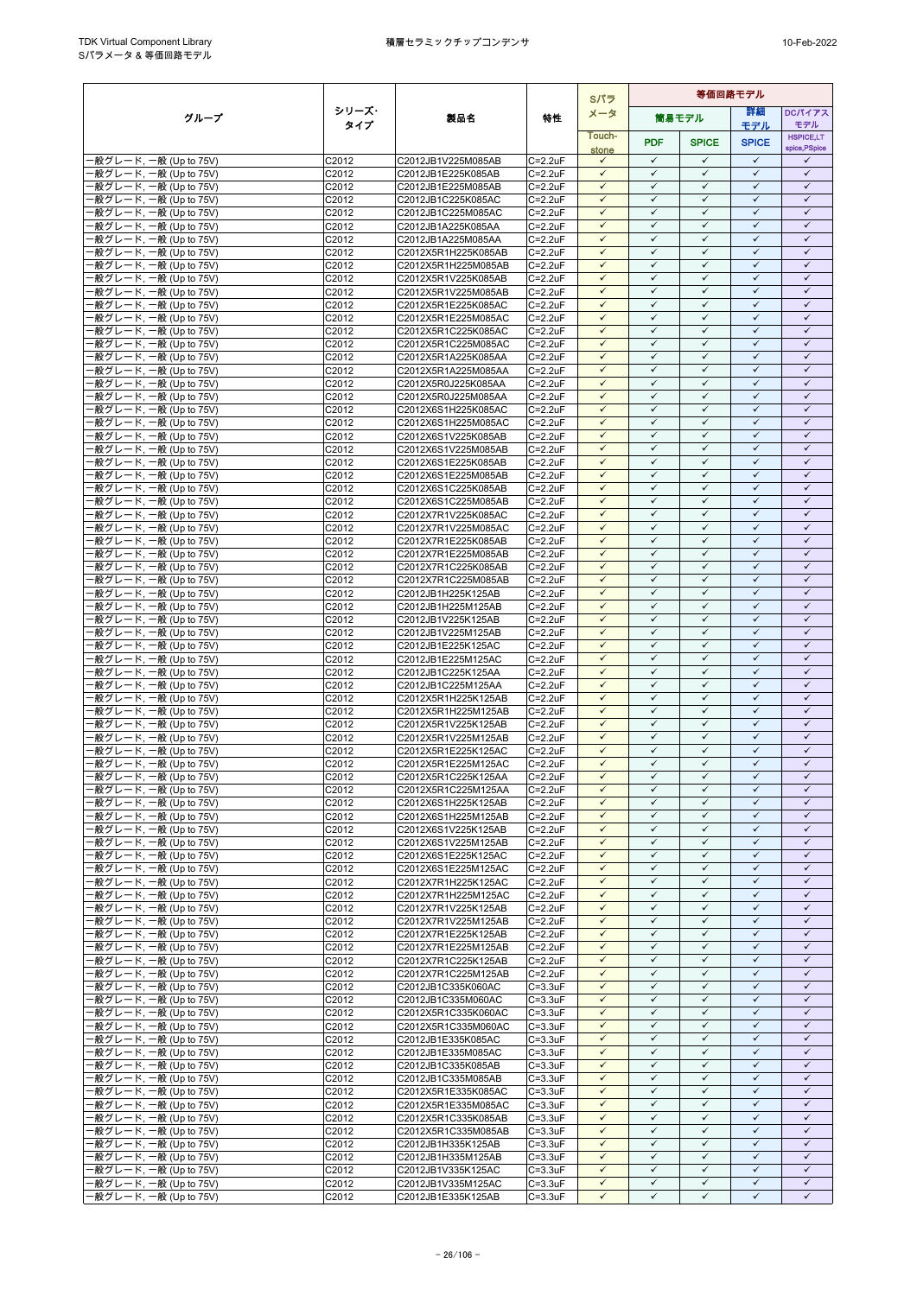|                                                  |                |                                            |                            | Sパラ                          | 等価回路モデル                      |                              |                              |                                   |
|--------------------------------------------------|----------------|--------------------------------------------|----------------------------|------------------------------|------------------------------|------------------------------|------------------------------|-----------------------------------|
| グループ                                             | シリーズ・          | 製品名                                        | 特性                         | メータ                          |                              | 筒易モデル                        | 詳細                           | <b>DCパイアス</b>                     |
|                                                  | タイプ            |                                            |                            | Touch-                       |                              |                              | モデル                          | モデル                               |
|                                                  |                |                                            |                            | stone                        | <b>PDF</b>                   | <b>SPICE</b>                 | <b>SPICE</b>                 | <b>HSPICE,LT</b><br>spice, PSpice |
| ·般グレード, 一般 (Up to 75V)                           | C2012          | C2012JB1V225M085AB                         | $C = 2.2uF$                | $\checkmark$                 | $\checkmark$                 | $\checkmark$                 | $\checkmark$                 | ✓                                 |
| 般グレード, 一般 (Up to 75V)                            | C2012          | C2012JB1E225K085AB                         | $C = 2.2uF$                | $\checkmark$                 | $\checkmark$                 | $\checkmark$                 | $\checkmark$                 | $\checkmark$                      |
| ·般グレード, 一般 (Up to 75V)                           | C2012          | C2012JB1E225M085AB                         | $C = 2.2uF$                | $\checkmark$                 | $\checkmark$                 | $\checkmark$                 | $\checkmark$                 | $\checkmark$                      |
| ·般グレード, 一般 (Up to 75V)<br>-般グレード, 一般 (Up to 75V) | C2012<br>C2012 | C2012JB1C225K085AC<br>C2012JB1C225M085AC   | $C = 2.2uF$<br>$C = 2.2uF$ | $\checkmark$<br>$\checkmark$ | $\checkmark$<br>$\checkmark$ | $\checkmark$<br>$\checkmark$ | $\checkmark$<br>$\checkmark$ | $\checkmark$<br>$\checkmark$      |
| 般グレード, 一般 (Up to 75V)                            | C2012          | C2012JB1A225K085AA                         | $C = 2.2uF$                | $\checkmark$                 | $\checkmark$                 | $\checkmark$                 | $\checkmark$                 | $\checkmark$                      |
| ·般グレード, 一般 (Up to 75V)                           | C2012          | C2012JB1A225M085AA                         | $C = 2.2uF$                | $\checkmark$                 | $\checkmark$                 | $\checkmark$                 | $\checkmark$                 | $\checkmark$                      |
| -般グレード, 一般 (Up to 75V)                           | C2012          | C2012X5R1H225K085AB                        | $C = 2.2uF$                | $\checkmark$                 | $\checkmark$                 | $\checkmark$                 | $\checkmark$                 | $\checkmark$                      |
| 般グレード, 一般 (Up to 75V)                            | C2012          | C2012X5R1H225M085AB                        | $C = 2.2uF$                | $\checkmark$                 | $\checkmark$                 | $\checkmark$                 | $\checkmark$                 | $\checkmark$                      |
| ·般グレード, 一般 (Up to 75V)                           | C2012          | C2012X5R1V225K085AB                        | $C = 2.2uF$                | $\checkmark$                 | $\checkmark$                 | $\checkmark$                 | $\checkmark$                 | $\checkmark$                      |
| -般グレード, 一般 (Up to 75V)<br>·般グレード. 一般 (Up to 75V) | C2012<br>C2012 | C2012X5R1V225M085AB                        | $C = 2.2uF$<br>$C = 2.2uF$ | $\checkmark$<br>$\checkmark$ | $\checkmark$<br>$\checkmark$ | $\checkmark$<br>$\checkmark$ | $\checkmark$<br>$\checkmark$ | $\checkmark$<br>$\checkmark$      |
| ·般グレード, 一般 (Up to 75V)                           | C2012          | C2012X5R1E225K085AC<br>C2012X5R1E225M085AC | $C = 2.2uF$                | $\checkmark$                 | ✓                            | ✓                            | $\checkmark$                 | ✓                                 |
| ·般グレード, 一般 (Up to 75V)                           | C2012          | C2012X5R1C225K085AC                        | $C = 2.2uF$                | $\checkmark$                 | $\checkmark$                 | $\checkmark$                 | $\checkmark$                 | $\checkmark$                      |
| ·般グレード, 一般 (Up to 75V)                           | C2012          | C2012X5R1C225M085AC                        | $C = 2.2uF$                | $\checkmark$                 | $\checkmark$                 | $\checkmark$                 | $\checkmark$                 | $\checkmark$                      |
| ·般グレード, 一般 (Up to 75V)                           | C2012          | C2012X5R1A225K085AA                        | $C = 2.2uF$                | $\checkmark$                 | $\checkmark$                 | $\checkmark$                 | $\checkmark$                 | $\checkmark$                      |
| ·般グレード, 一般 (Up to 75V)                           | C2012          | C2012X5R1A225M085AA                        | $C = 2.2uF$                | $\checkmark$                 | $\checkmark$                 | $\checkmark$                 | $\checkmark$                 | $\checkmark$                      |
| ·般グレード, 一般 (Up to 75V)<br>·般グレード, 一般 (Up to 75V) | C2012<br>C2012 | C2012X5R0J225K085AA<br>C2012X5R0J225M085AA | $C = 2.2uF$<br>$C = 2.2uF$ | $\checkmark$<br>$\checkmark$ | ✓<br>$\checkmark$            | ✓<br>$\checkmark$            | $\checkmark$<br>$\checkmark$ | ✓<br>$\checkmark$                 |
| ·般グレード, 一般 (Up to 75V)                           | C2012          | C2012X6S1H225K085AC                        | C=2.2uF                    | $\checkmark$                 | $\checkmark$                 | $\checkmark$                 | $\checkmark$                 | $\checkmark$                      |
| ·般グレード, 一般 (Up to 75V)                           | C2012          | C2012X6S1H225M085AC                        | $C = 2.2uF$                | $\checkmark$                 | $\checkmark$                 | $\checkmark$                 | $\checkmark$                 | $\checkmark$                      |
| -般グレード, 一般 (Up to 75V)                           | C2012          | C2012X6S1V225K085AB                        | $C = 2.2uF$                | $\checkmark$                 | $\checkmark$                 | $\checkmark$                 | $\checkmark$                 | $\checkmark$                      |
| 般グレード, 一般 (Up to 75V)                            | C2012          | C2012X6S1V225M085AB                        | $C = 2.2uF$                | $\checkmark$                 | $\checkmark$                 | $\checkmark$                 | $\checkmark$                 | $\checkmark$                      |
| -般グレード, 一般 (Up to 75V)                           | C2012          | C2012X6S1E225K085AB                        | $C = 2.2uF$                | $\checkmark$                 | $\checkmark$                 | $\checkmark$                 | $\checkmark$                 | $\checkmark$                      |
| ·般グレード, 一般 (Up to 75V)                           | C2012          | C2012X6S1E225M085AB                        | $C = 2.2uF$<br>$C = 2.2uF$ | $\checkmark$<br>$\checkmark$ | $\checkmark$<br>$\checkmark$ | $\checkmark$<br>$\checkmark$ | $\checkmark$<br>$\checkmark$ | $\checkmark$<br>$\checkmark$      |
| ·般グレード, 一般 (Up to 75V)<br>·般グレード, 一般 (Up to 75V) | C2012<br>C2012 | C2012X6S1C225K085AB<br>C2012X6S1C225M085AB | $C = 2.2uF$                | $\checkmark$                 | $\checkmark$                 | $\checkmark$                 | $\checkmark$                 | $\checkmark$                      |
| -般グレード, 一般 (Up to 75V)                           | C2012          | C2012X7R1V225K085AC                        | $C = 2.2uF$                | $\checkmark$                 | $\checkmark$                 | $\checkmark$                 | $\checkmark$                 | $\checkmark$                      |
| ·般グレード, 一般 (Up to 75V)                           | C2012          | C2012X7R1V225M085AC                        | $C = 2.2uF$                | $\checkmark$                 | $\checkmark$                 | $\checkmark$                 | $\checkmark$                 | $\checkmark$                      |
| ·般グレード, 一般 (Up to 75V)                           | C2012          | C2012X7R1E225K085AB                        | $C = 2.2uF$                | $\checkmark$                 | $\checkmark$                 | $\checkmark$                 | $\checkmark$                 | $\checkmark$                      |
| -般グレード, 一般 (Up to 75V)                           | C2012          | C2012X7R1E225M085AB                        | $C = 2.2uF$                | $\checkmark$                 | $\checkmark$                 | $\checkmark$                 | $\checkmark$                 | $\checkmark$                      |
| ·般グレード, 一般 (Up to 75V)<br>·般グレード, 一般 (Up to 75V) | C2012<br>C2012 | C2012X7R1C225K085AB<br>C2012X7R1C225M085AB | $C = 2.2uF$<br>$C = 2.2uF$ | $\checkmark$<br>$\checkmark$ | $\checkmark$<br>$\checkmark$ | $\checkmark$<br>$\checkmark$ | $\checkmark$<br>$\checkmark$ | $\checkmark$<br>$\checkmark$      |
| -般グレード, 一般 (Up to 75V)                           | C2012          | C2012JB1H225K125AB                         | $C = 2.2uF$                | $\checkmark$                 | $\checkmark$                 | $\checkmark$                 | $\checkmark$                 | $\checkmark$                      |
| ·般グレード, 一般 (Up to 75V)                           | C2012          | C2012JB1H225M125AB                         | $C = 2.2uF$                | $\checkmark$                 | $\checkmark$                 | $\checkmark$                 | $\checkmark$                 | $\checkmark$                      |
| ·般グレード, 一般 (Up to 75V)                           | C2012          | C2012JB1V225K125AB                         | $C = 2.2uF$                | $\checkmark$                 | $\checkmark$                 | $\checkmark$                 | $\checkmark$                 | $\checkmark$                      |
| ·般グレード, 一般 (Up to 75V)                           | C2012          | C2012JB1V225M125AB                         | $C = 2.2uF$                | $\checkmark$                 | $\checkmark$                 | ✓                            | $\checkmark$                 | $\checkmark$                      |
| ·般グレード, 一般 (Up to 75V)                           | C2012          | C2012JB1E225K125AC                         | $C = 2.2uF$                | $\checkmark$                 | $\checkmark$                 | $\checkmark$                 | $\checkmark$                 | $\checkmark$                      |
| ·般グレード, 一般 (Up to 75V)<br>·般グレード, 一般 (Up to 75V) | C2012<br>C2012 | C2012JB1E225M125AC<br>C2012JB1C225K125AA   | $C = 2.2uF$<br>$C = 2.2uF$ | $\checkmark$<br>$\checkmark$ | $\checkmark$<br>$\checkmark$ | $\checkmark$<br>$\checkmark$ | $\checkmark$<br>$\checkmark$ | $\checkmark$<br>$\checkmark$      |
| -般グレード, 一般 (Up to 75V)                           | C2012          | C2012JB1C225M125AA                         | $C = 2.2uF$                | $\checkmark$                 | $\checkmark$                 | $\checkmark$                 | $\checkmark$                 | $\checkmark$                      |
| -般グレード, 一般 (Up to 75V)                           | C2012          | C2012X5R1H225K125AB                        | $C=2.2uF$                  | $\checkmark$                 | $\checkmark$                 | $\checkmark$                 | $\checkmark$                 | $\checkmark$                      |
| -般グレード, 一般 (Up to 75V)                           | C2012          | C2012X5R1H225M125AB                        | $C = 2.2uF$                | $\checkmark$                 | $\checkmark$                 | $\checkmark$                 | $\checkmark$                 | $\checkmark$                      |
| -般グレード, 一般 (Up to 75V)                           | C2012          | C2012X5R1V225K125AB                        | $C = 2.2uF$                | $\checkmark$                 | $\checkmark$                 | $\checkmark$                 | $\checkmark$                 | $\checkmark$                      |
| ·般グレード, 一般 (Up to 75V)                           | C2012          | C2012X5R1V225M125AB                        | $C = 2.2uF$                | $\checkmark$                 | $\checkmark$                 | $\checkmark$                 | $\checkmark$<br>$\checkmark$ | $\checkmark$                      |
| 般グレード, 一般 (Up to 75V)<br>·般グレード, 一般 (Up to 75V)  | C2012<br>C2012 | C2012X5R1E225K125AC<br>C2012X5R1E225M125AC | $C = 2.2uF$<br>$C = 2.2uF$ | $\checkmark$<br>$\checkmark$ | $\checkmark$<br>$\checkmark$ | $\checkmark$<br>$\checkmark$ | $\checkmark$                 | $\checkmark$<br>$\checkmark$      |
| ·般グレード, 一般 (Up to 75V)                           | C2012          | C2012X5R1C225K125AA                        | $C = 2.2uF$                | $\checkmark$                 | $\checkmark$                 | $\checkmark$                 | $\checkmark$                 | $\checkmark$                      |
| ·般グレード, 一般 (Up to 75V)                           | C2012          | C2012X5R1C225M125AA                        | $C = 2.2uF$                | $\checkmark$                 | $\checkmark$                 | $\checkmark$                 | $\checkmark$                 | ✓                                 |
| -般グレード, 一般 (Up to 75V)                           | C2012          | C2012X6S1H225K125AB                        | $C = 2.2uF$                | $\checkmark$                 | $\checkmark$                 | $\checkmark$                 | $\checkmark$                 | $\checkmark$                      |
| -般グレード, 一般 (Up to 75V)                           | C2012          | C2012X6S1H225M125AB                        | $C=2.2uF$                  | $\checkmark$                 | $\checkmark$                 | $\checkmark$                 | $\checkmark$                 | $\checkmark$                      |
| -般グレード, 一般 (Up to 75V)                           | C2012          | C2012X6S1V225K125AB                        | $C = 2.2uF$                | $\checkmark$                 | $\checkmark$                 | $\checkmark$                 | $\checkmark$                 | $\checkmark$                      |
| 一般グレード, 一般 (Up to 75V)<br>-般グレード, 一般 (Up to 75V) | C2012<br>C2012 | C2012X6S1V225M125AB<br>C2012X6S1E225K125AC | $C = 2.2uF$<br>$C = 2.2uF$ | $\checkmark$<br>$\checkmark$ | $\checkmark$<br>$\checkmark$ | $\checkmark$<br>$\checkmark$ | $\checkmark$<br>$\checkmark$ | $\checkmark$<br>$\checkmark$      |
| -般グレード, 一般 (Up to 75V)                           | C2012          | C2012X6S1E225M125AC                        | $C = 2.2uF$                | $\checkmark$                 | $\checkmark$                 | $\checkmark$                 | $\checkmark$                 | $\checkmark$                      |
| -般グレード, 一般 (Up to 75V)                           | C2012          | C2012X7R1H225K125AC                        | $C = 2.2uF$                | $\checkmark$                 | $\checkmark$                 | $\checkmark$                 | ✓                            | $\checkmark$                      |
| -般グレード, 一般 (Up to 75V)                           | C2012          | C2012X7R1H225M125AC                        | $C = 2.2uF$                | $\checkmark$                 | $\checkmark$                 | $\checkmark$                 | $\checkmark$                 | $\checkmark$                      |
| ·般グレード, 一般 (Up to 75V)                           | C2012          | C2012X7R1V225K125AB                        | $C = 2.2uF$                | $\checkmark$                 | $\checkmark$                 | $\checkmark$                 | $\checkmark$                 | $\checkmark$                      |
| -般グレード, 一般 (Up to 75V)                           | C2012          | C2012X7R1V225M125AB                        | $C = 2.2uF$                | $\checkmark$                 | $\checkmark$<br>$\checkmark$ | $\checkmark$                 | $\checkmark$                 | $\checkmark$                      |
| ·般グレード, 一般 (Up to 75V)<br>·般グレード, 一般 (Up to 75V) | C2012<br>C2012 | C2012X7R1E225K125AB<br>C2012X7R1E225M125AB | $C = 2.2uF$<br>$C = 2.2uF$ | $\checkmark$<br>$\checkmark$ | $\checkmark$                 | $\checkmark$<br>$\checkmark$ | $\checkmark$<br>$\checkmark$ | $\checkmark$<br>$\checkmark$      |
| -般グレード, 一般 (Up to 75V)                           | C2012          | C2012X7R1C225K125AB                        | $C = 2.2uF$                | $\checkmark$                 | $\checkmark$                 | $\checkmark$                 | $\checkmark$                 | $\checkmark$                      |
| ·般グレード, 一般 (Up to 75V)                           | C2012          | C2012X7R1C225M125AB                        | $C = 2.2uF$                | $\checkmark$                 | $\checkmark$                 | $\checkmark$                 | $\checkmark$                 | $\checkmark$                      |
| -般グレード, 一般 (Up to 75V)                           | C2012          | C2012JB1C335K060AC                         | $C = 3.3uF$                | $\checkmark$                 | $\checkmark$                 | $\checkmark$                 | $\checkmark$                 | $\checkmark$                      |
| ·般グレード, 一般 (Up to 75V)                           | C2012          | C2012JB1C335M060AC                         | $C = 3.3uF$                | $\checkmark$                 | $\checkmark$                 | $\checkmark$                 | $\checkmark$                 | $\checkmark$                      |
| -般グレード, 一般 (Up to 75V)                           | C2012          | C2012X5R1C335K060AC                        | $C = 3.3uF$                | $\checkmark$                 | $\checkmark$                 | $\checkmark$                 | $\checkmark$                 | $\checkmark$                      |
| ·般グレード, 一般 (Up to 75V)<br>-般グレード, 一般 (Up to 75V) | C2012<br>C2012 | C2012X5R1C335M060AC<br>C2012JB1E335K085AC  | $C = 3.3uF$<br>$C = 3.3uF$ | $\checkmark$<br>$\checkmark$ | $\checkmark$<br>$\checkmark$ | $\checkmark$<br>✓            | $\checkmark$<br>$\checkmark$ | $\checkmark$<br>✓                 |
| ·般グレード, 一般 (Up to 75V)                           | C2012          | C2012JB1E335M085AC                         | $C = 3.3uF$                | $\checkmark$                 | $\checkmark$                 | $\checkmark$                 | $\checkmark$                 | $\checkmark$                      |
| ·般グレード, 一般 (Up to 75V)                           | C2012          | C2012JB1C335K085AB                         | $C = 3.3uF$                | $\checkmark$                 | $\checkmark$                 | $\checkmark$                 | $\checkmark$                 | $\checkmark$                      |
| -般グレード, 一般 (Up to 75V)                           | C2012          | C2012JB1C335M085AB                         | $C = 3.3uF$                | $\checkmark$                 | $\checkmark$                 | $\checkmark$                 | $\checkmark$                 | $\checkmark$                      |
| -般グレード, 一般 (Up to 75V)                           | C2012          | C2012X5R1E335K085AC                        | $C = 3.3uF$                | $\checkmark$                 | $\checkmark$                 | $\checkmark$                 | $\checkmark$                 | $\checkmark$                      |
| ·般グレード, 一般 (Up to 75V)                           | C2012          | C2012X5R1E335M085AC                        | $C = 3.3uF$                | $\checkmark$                 | $\checkmark$                 | $\checkmark$                 | $\checkmark$                 | $\checkmark$                      |
| -般グレード, 一般 (Up to 75V)<br>-般グレード, 一般 (Up to 75V) | C2012<br>C2012 | C2012X5R1C335K085AB<br>C2012X5R1C335M085AB | $C = 3.3uF$<br>$C = 3.3uF$ | $\checkmark$<br>$\checkmark$ | $\checkmark$<br>$\checkmark$ | $\checkmark$<br>$\checkmark$ | $\checkmark$<br>$\checkmark$ | $\checkmark$<br>$\checkmark$      |
| ·般グレード, 一般 (Up to 75V)                           | C2012          | C2012JB1H335K125AB                         | $C = 3.3uF$                | $\checkmark$                 | $\checkmark$                 | $\checkmark$                 | $\checkmark$                 | $\checkmark$                      |
| ·般グレード, 一般 (Up to 75V)                           | C2012          | C2012JB1H335M125AB                         | $C = 3.3uF$                | $\checkmark$                 | $\checkmark$                 | $\checkmark$                 | $\checkmark$                 | $\checkmark$                      |
| -般グレード, 一般 (Up to 75V)                           | C2012          | C2012JB1V335K125AC                         | $C = 3.3uF$                | $\checkmark$                 | $\checkmark$                 | $\checkmark$                 | $\checkmark$                 | $\checkmark$                      |
| -般グレード, 一般 (Up to 75V)                           | C2012          | C2012JB1V335M125AC                         | $C = 3.3uF$                | $\checkmark$                 | $\checkmark$                 | $\checkmark$                 | $\checkmark$                 | $\checkmark$                      |
| ·般グレード, 一般 (Up to 75V)                           | C2012          | C2012JB1E335K125AB                         | $C = 3.3uF$                | $\checkmark$                 | $\checkmark$                 | $\checkmark$                 | ✓                            | $\checkmark$                      |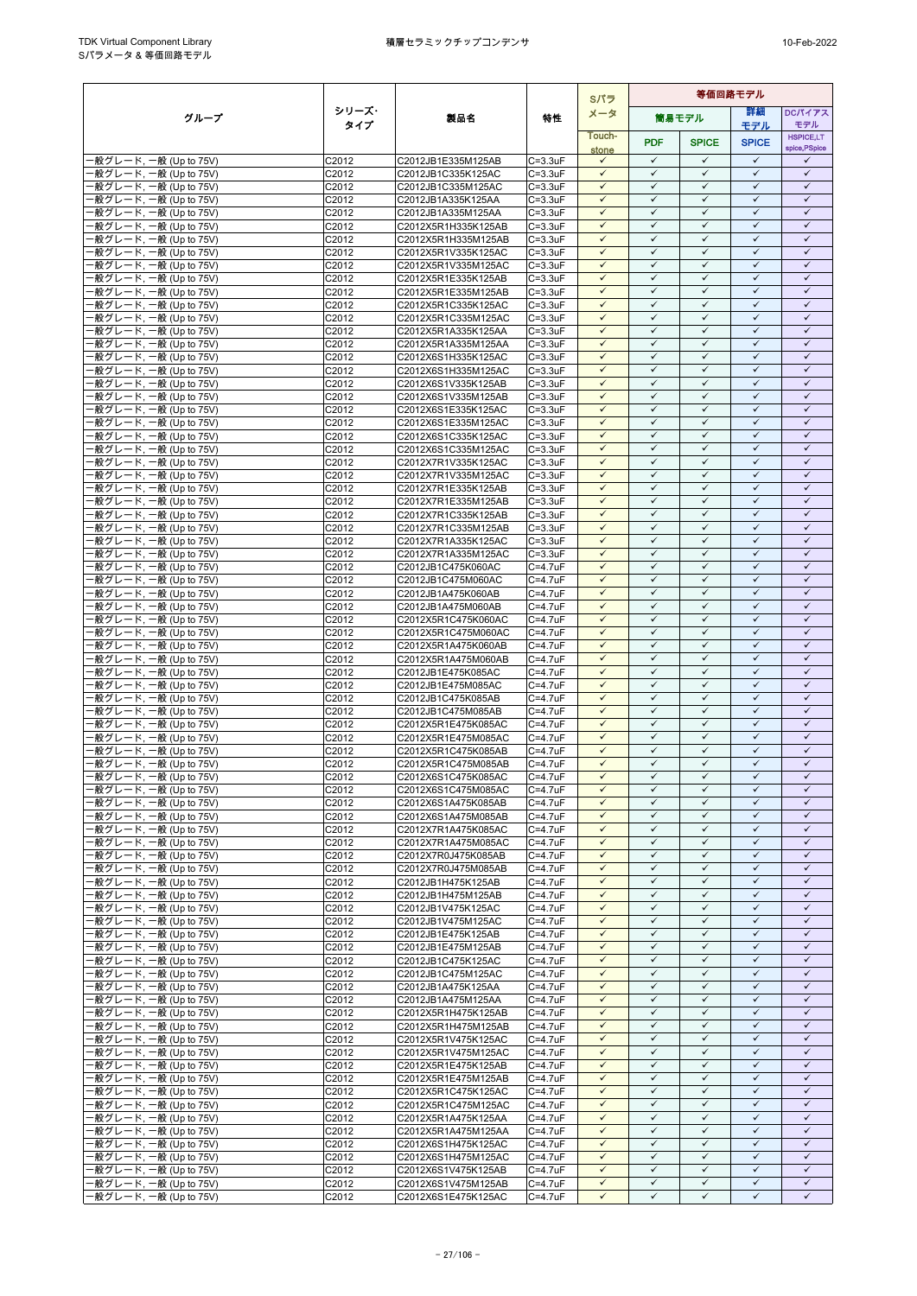|                                                  |                            |                                            |                                  | Sパラ                          |                              | 等価回路モデル                      |                              |                              |
|--------------------------------------------------|----------------------------|--------------------------------------------|----------------------------------|------------------------------|------------------------------|------------------------------|------------------------------|------------------------------|
| グループ                                             | シリーズ・                      | 製品名                                        | 特性                               | メータ                          |                              | 筒易モデル                        | 詳細                           | <b>DCパイアス</b>                |
|                                                  | タイプ                        |                                            |                                  | Touch-                       |                              |                              | モデル                          | モデル<br><b>HSPICE,LT</b>      |
|                                                  |                            |                                            |                                  | stone                        | <b>PDF</b>                   | <b>SPICE</b>                 | <b>SPICE</b>                 | spice, PSpice                |
| -般グレード, 一般 (Up to 75V)                           | C2012                      | C2012JB1E335M125AB                         | $C = 3.3uF$                      | $\checkmark$                 | $\checkmark$<br>$\checkmark$ | $\checkmark$                 | $\checkmark$                 | ✓                            |
| -般グレード, 一般 (Up to 75V)<br>·般グレード, 一般 (Up to 75V) | C2012<br>C2012             | C2012JB1C335K125AC<br>C2012JB1C335M125AC   | $C = 3.3uF$<br>$C = 3.3uF$       | $\checkmark$<br>$\checkmark$ | $\checkmark$                 | $\checkmark$<br>$\checkmark$ | $\checkmark$<br>$\checkmark$ | $\checkmark$<br>$\checkmark$ |
| ·般グレード, 一般 (Up to 75V)                           | C2012                      | C2012JB1A335K125AA                         | $C = 3.3uF$                      | $\checkmark$                 | $\checkmark$                 | $\checkmark$                 | $\checkmark$                 | $\checkmark$                 |
| -般グレード, 一般 (Up to 75V)                           | C2012                      | C2012JB1A335M125AA                         | $C = 3.3uF$                      | $\checkmark$                 | $\checkmark$                 | $\checkmark$                 | $\checkmark$                 | $\checkmark$                 |
| ·般グレード, 一般 (Up to 75V)                           | C2012                      | C2012X5R1H335K125AB                        | $C = 3.3uF$                      | $\checkmark$                 | $\checkmark$                 | $\checkmark$                 | $\checkmark$                 | $\checkmark$                 |
| ·般グレード, 一般 (Up to 75V)<br>·般グレード, 一般 (Up to 75V) | C <sub>2012</sub><br>C2012 | C2012X5R1H335M125AB<br>C2012X5R1V335K125AC | $C = 3.3uF$<br>$C = 3.3$ u $F$   | $\checkmark$<br>$\checkmark$ | $\checkmark$<br>$\checkmark$ | $\checkmark$<br>$\checkmark$ | $\checkmark$<br>$\checkmark$ | $\checkmark$<br>$\checkmark$ |
| 般グレード, 一般 (Up to 75V)                            | C2012                      | C2012X5R1V335M125AC                        | $C = 3.3uF$                      | $\checkmark$                 | $\checkmark$                 | $\checkmark$                 | $\checkmark$                 | $\checkmark$                 |
| ·般グレード, 一般 (Up to 75V)                           | C2012                      | C2012X5R1E335K125AB                        | $C = 3.3uF$                      | $\checkmark$                 | $\checkmark$                 | $\checkmark$                 | $\checkmark$                 | $\checkmark$                 |
| -般グレード, 一般 (Up to 75V)                           | C2012                      | C2012X5R1E335M125AB                        | $C = 3.3uF$                      | $\checkmark$                 | $\checkmark$                 | $\checkmark$                 | $\checkmark$                 | $\checkmark$                 |
| ·般グレード, 一般 (Up to 75V)<br>-般グレード, 一般 (Up to 75V) | C2012<br>C2012             | C2012X5R1C335K125AC<br>C2012X5R1C335M125AC | $C = 3.3uF$<br>$C = 3.3uF$       | $\checkmark$<br>$\checkmark$ | $\checkmark$<br>$\checkmark$ | $\checkmark$<br>$\checkmark$ | $\checkmark$<br>$\checkmark$ | $\checkmark$<br>$\checkmark$ |
| ·般グレード, 一般 (Up to 75V)                           | C2012                      | C2012X5R1A335K125AA                        | $C = 3.3uF$                      | $\checkmark$                 | $\checkmark$                 | $\checkmark$                 | $\checkmark$                 | $\checkmark$                 |
| ·般グレード, 一般 (Up to 75V)                           | C2012                      | C2012X5R1A335M125AA                        | $C = 3.3$ u $F$                  | $\checkmark$                 | $\checkmark$                 | $\checkmark$                 | $\checkmark$                 | $\checkmark$                 |
| ·般グレード, 一般 (Up to 75V)                           | C2012                      | C2012X6S1H335K125AC                        | $C = 3.3uF$                      | $\checkmark$                 | $\checkmark$                 | $\checkmark$                 | $\checkmark$<br>$\checkmark$ | $\checkmark$                 |
| -般グレード, 一般 (Up to 75V)<br>-般グレード, 一般 (Up to 75V) | C2012<br>C2012             | C2012X6S1H335M125AC<br>C2012X6S1V335K125AB | $C = 3.3uF$<br>$C = 3.3$ u $F$   | $\checkmark$<br>$\checkmark$ | $\checkmark$<br>$\checkmark$ | $\checkmark$<br>$\checkmark$ | $\checkmark$                 | $\checkmark$<br>$\checkmark$ |
| -般グレード, 一般 (Up to 75V)                           | C2012                      | C2012X6S1V335M125AB                        | $C = 3.3uF$                      | $\checkmark$                 | $\checkmark$                 | $\checkmark$                 | $\checkmark$                 | $\checkmark$                 |
| ·般グレード, 一般 (Up to 75V)                           | C2012                      | C2012X6S1E335K125AC                        | $C = 3.3uF$                      | $\checkmark$                 | $\checkmark$                 | $\checkmark$                 | $\checkmark$                 | $\checkmark$                 |
| ·般グレード, 一般 (Up to 75V)                           | C2012                      | C2012X6S1E335M125AC                        | $C = 3.3uF$                      | $\checkmark$                 | $\checkmark$                 | $\checkmark$                 | $\checkmark$                 | $\checkmark$                 |
| -般グレード, 一般 (Up to 75V)<br>·般グレード, 一般 (Up to 75V) | C2012<br>C2012             | C2012X6S1C335K125AC<br>C2012X6S1C335M125AC | $C = 3.3uF$<br>$C = 3.3uF$       | $\checkmark$<br>$\checkmark$ | $\checkmark$<br>$\checkmark$ | $\checkmark$<br>$\checkmark$ | $\checkmark$<br>$\checkmark$ | $\checkmark$<br>$\checkmark$ |
| ·般グレード, 一般 (Up to 75V)                           | C2012                      | C2012X7R1V335K125AC                        | $C = 3.3uF$                      | $\checkmark$                 | $\checkmark$                 | $\checkmark$                 | $\checkmark$                 | $\checkmark$                 |
| ·般グレード, 一般 (Up to 75V)                           | C2012                      | C2012X7R1V335M125AC                        | $C = 3.3uF$                      | $\checkmark$                 | $\checkmark$                 | $\checkmark$                 | $\checkmark$                 | $\checkmark$                 |
| ·般グレード, 一般 (Up to 75V)                           | C <sub>2012</sub>          | C2012X7R1E335K125AB                        | $C = 3.3uF$                      | $\checkmark$<br>$\checkmark$ | $\checkmark$<br>$\checkmark$ | $\checkmark$<br>$\checkmark$ | $\checkmark$<br>$\checkmark$ | $\checkmark$<br>$\checkmark$ |
| ·般グレード, 一般 (Up to 75V)<br>般グレード, 一般 (Up to 75V)  | C2012<br>C2012             | C2012X7R1E335M125AB<br>C2012X7R1C335K125AB | $C = 3.3$ u $F$<br>$C = 3.3uF$   | $\checkmark$                 | $\checkmark$                 | $\checkmark$                 | $\checkmark$                 | $\checkmark$                 |
| ·般グレード, 一般 (Up to 75V)                           | C2012                      | C2012X7R1C335M125AB                        | $C = 3.3$ u $F$                  | $\checkmark$                 | $\checkmark$                 | $\checkmark$                 | $\checkmark$                 | $\checkmark$                 |
| ·般グレード, 一般 (Up to 75V)                           | C2012                      | C2012X7R1A335K125AC                        | $C = 3.3uF$                      | $\checkmark$                 | $\checkmark$                 | $\checkmark$                 | $\checkmark$                 | $\checkmark$                 |
| ·般グレード, 一般 (Up to 75V)                           | C2012                      | C2012X7R1A335M125AC                        | $C = 3.3uF$                      | $\checkmark$                 | $\checkmark$                 | $\checkmark$                 | $\checkmark$                 | $\checkmark$                 |
| ·般グレード, 一般 (Up to 75V)<br>·般グレード, 一般 (Up to 75V) | C2012<br>C2012             | C2012JB1C475K060AC<br>C2012JB1C475M060AC   | C=4.7uF<br>$C = 4.7uF$           | $\checkmark$<br>$\checkmark$ | $\checkmark$<br>$\checkmark$ | $\checkmark$<br>$\checkmark$ | $\checkmark$<br>$\checkmark$ | $\checkmark$<br>$\checkmark$ |
| 般グレード, 一般 (Up to 75V)                            | C2012                      | C2012JB1A475K060AB                         | C=4.7uF                          | $\checkmark$                 | $\checkmark$                 | $\checkmark$                 | $\checkmark$                 | $\checkmark$                 |
| ·般グレード, 一般 (Up to 75V)                           | C2012                      | C2012JB1A475M060AB                         | C=4.7uF                          | $\checkmark$                 | $\checkmark$                 | $\checkmark$                 | $\checkmark$                 | $\checkmark$                 |
| ·般グレード, 一般 (Up to 75V)                           | C2012                      | C2012X5R1C475K060AC                        | C=4.7uF                          | $\checkmark$                 | $\checkmark$                 | $\checkmark$                 | $\checkmark$                 | $\checkmark$                 |
| ·般グレード, 一般 (Up to 75V)<br>-般グレード, 一般 (Up to 75V) | C2012<br>C2012             | C2012X5R1C475M060AC<br>C2012X5R1A475K060AB | C=4.7uF<br>C=4.7uF               | ✓<br>$\checkmark$            | ✓<br>$\checkmark$            | $\checkmark$<br>$\checkmark$ | ✓<br>$\checkmark$            | ✓<br>$\checkmark$            |
| ·般グレード, 一般 (Up to 75V)                           | C2012                      | C2012X5R1A475M060AB                        | C=4.7uF                          | $\checkmark$                 | $\checkmark$                 | $\checkmark$                 | $\checkmark$                 | $\checkmark$                 |
| ·般グレード, 一般 (Up to 75V)                           | C2012                      | C2012JB1E475K085AC                         | C=4.7uF                          | $\checkmark$                 | $\checkmark$                 | $\checkmark$                 | $\checkmark$                 | $\checkmark$                 |
| -般グレード, 一般 (Up to 75V)                           | C2012                      | C2012JB1E475M085AC                         | C=4.7uF                          | $\checkmark$                 | $\checkmark$<br>$\checkmark$ | $\checkmark$                 | $\checkmark$<br>$\checkmark$ | $\checkmark$                 |
| -般グレード, 一般 (Up to 75V)<br>-般グレード, 一般 (Up to 75V) | C2012<br>C2012             | C2012JB1C475K085AB<br>C2012JB1C475M085AB   | C=4.7uF<br>C=4.7uF               | $\checkmark$<br>$\checkmark$ | $\checkmark$                 | $\checkmark$<br>$\checkmark$ | $\checkmark$                 | $\checkmark$<br>$\checkmark$ |
| -般グレード, 一般 (Up to 75V)                           | C2012                      | C2012X5R1E475K085AC                        | C=4.7uF                          | $\checkmark$                 | $\checkmark$                 | $\checkmark$                 | $\checkmark$                 | $\checkmark$                 |
| ·般グレード, 一般 (Up to 75V)                           | C2012                      | C2012X5R1E475M085AC                        | C=4.7uF                          | $\checkmark$                 | $\checkmark$                 | $\checkmark$                 | $\checkmark$                 | $\checkmark$                 |
| ·般グレード, 一般 (Up to 75V)                           | C2012                      | C2012X5R1C475K085AB                        | C=4.7uF                          | $\checkmark$                 | $\checkmark$                 | $\checkmark$                 | $\checkmark$                 | $\checkmark$                 |
| ·般グレード, 一般 (Up to 75V)<br>·般グレード, 一般 (Up to 75V) | C2012<br>C2012             | C2012X5R1C475M085AB<br>C2012X6S1C475K085AC | $C = 4.7$ u $F$<br>$C=4.7$ u $F$ | $\checkmark$<br>$\checkmark$ | $\checkmark$<br>$\checkmark$ | $\checkmark$<br>$\checkmark$ | $\checkmark$<br>$\checkmark$ | $\checkmark$<br>$\checkmark$ |
| ·般グレード, 一般 (Up to 75V)                           | C2012                      | C2012X6S1C475M085AC                        | C=4.7uF                          | $\checkmark$                 | $\checkmark$                 | $\checkmark$                 | ✓                            | ✓                            |
| -般グレード, 一般 (Up to 75V)                           | C2012                      | C2012X6S1A475K085AB                        | C=4.7uF                          | $\checkmark$                 | $\checkmark$                 | $\checkmark$                 | $\checkmark$                 | $\checkmark$                 |
| -般グレード, 一般 (Up to 75V)                           | C2012                      | C2012X6S1A475M085AB                        | C=4.7uF                          | $\checkmark$                 | $\checkmark$                 | $\checkmark$                 | $\checkmark$                 | $\checkmark$                 |
| -般グレード, 一般 (Up to 75V)<br>-般グレード, 一般 (Up to 75V) | C2012<br>C2012             | C2012X7R1A475K085AC<br>C2012X7R1A475M085AC | $\overline{C}$ =4.7uF<br>C=4.7uF | $\checkmark$<br>$\checkmark$ | $\checkmark$<br>$\checkmark$ | $\checkmark$<br>$\checkmark$ | $\checkmark$<br>$\checkmark$ | $\checkmark$<br>$\checkmark$ |
| ·般グレード, 一般 (Up to 75V)                           | C2012                      | C2012X7R0J475K085AB                        | C=4.7uF                          | $\checkmark$                 | $\checkmark$                 | $\checkmark$                 | $\checkmark$                 | $\checkmark$                 |
| -般グレード, 一般 (Up to 75V)                           | C2012                      | C2012X7R0J475M085AB                        | C=4.7uF                          | $\checkmark$                 | $\checkmark$                 | $\checkmark$                 | $\checkmark$                 | $\checkmark$                 |
| -般グレード, 一般 (Up to 75V)                           | C2012                      | C2012JB1H475K125AB                         | C=4.7uF                          | ✓                            | $\checkmark$                 | $\checkmark$                 | ✓                            | $\checkmark$                 |
| -般グレード, 一般 (Up to 75V)<br>·般グレード, 一般 (Up to 75V) | C2012<br>C2012             | C2012JB1H475M125AB<br>C2012JB1V475K125AC   | C=4.7uF<br>C=4.7uF               | $\checkmark$<br>$\checkmark$ | $\checkmark$<br>$\checkmark$ | $\checkmark$<br>$\checkmark$ | $\checkmark$<br>$\checkmark$ | $\checkmark$<br>$\checkmark$ |
| -般グレード, 一般 (Up to 75V)                           | C2012                      | C2012JB1V475M125AC                         | C=4.7uF                          | $\checkmark$                 | $\checkmark$                 | $\checkmark$                 | $\checkmark$                 | $\checkmark$                 |
| -般グレード, 一般 (Up to 75V)                           | C2012                      | C2012JB1E475K125AB                         | C=4.7uF                          | $\checkmark$                 | $\checkmark$                 | $\checkmark$                 | $\checkmark$                 | $\checkmark$                 |
| -般グレード, 一般 (Up to 75V)                           | C2012                      | C2012JB1E475M125AB                         | C=4.7uF                          | $\checkmark$                 | $\checkmark$                 | $\checkmark$                 | $\checkmark$                 | $\checkmark$                 |
| -般グレード, 一般 (Up to 75V)<br>-般グレード, 一般 (Up to 75V) | C2012<br>C2012             | C2012JB1C475K125AC<br>C2012JB1C475M125AC   | C=4.7uF<br>C=4.7uF               | $\checkmark$<br>$\checkmark$ | $\checkmark$<br>$\checkmark$ | $\checkmark$<br>$\checkmark$ | ✓<br>✓                       | $\checkmark$<br>$\checkmark$ |
| ·般グレード, 一般 (Up to 75V)                           | C2012                      | C2012JB1A475K125AA                         | C=4.7uF                          | $\checkmark$                 | $\checkmark$                 | $\checkmark$                 | $\checkmark$                 | $\checkmark$                 |
| ·般グレード, 一般 (Up to 75V)                           | C2012                      | C2012JB1A475M125AA                         | C=4.7uF                          | $\checkmark$                 | $\checkmark$                 | $\checkmark$                 | $\checkmark$                 | $\checkmark$                 |
| -般グレード, 一般 (Up to 75V)                           | C2012                      | C2012X5R1H475K125AB                        | $C = 4.7$ u $F$                  | $\checkmark$                 | $\checkmark$                 | $\checkmark$                 | $\checkmark$                 | $\checkmark$                 |
| -般グレード, 一般 (Up to 75V)<br>-般グレード, 一般 (Up to 75V) | C2012<br>C2012             | C2012X5R1H475M125AB<br>C2012X5R1V475K125AC | C=4.7uF<br>C=4.7uF               | $\checkmark$<br>$\checkmark$ | $\checkmark$<br>$\checkmark$ | $\checkmark$<br>$\checkmark$ | $\checkmark$<br>✓            | $\checkmark$<br>✓            |
| -般グレード, 一般 (Up to 75V)                           | C2012                      | C2012X5R1V475M125AC                        | C=4.7uF                          | $\checkmark$                 | $\checkmark$                 | $\checkmark$                 | $\checkmark$                 | $\checkmark$                 |
| ·般グレード, 一般 (Up to 75V)                           | C2012                      | C2012X5R1E475K125AB                        | C=4.7uF                          | $\checkmark$                 | $\checkmark$                 | $\checkmark$                 | $\checkmark$                 | $\checkmark$                 |
| ·般グレード, 一般 (Up to 75V)                           | C2012                      | C2012X5R1E475M125AB                        | C=4.7uF                          | $\checkmark$                 | $\checkmark$                 | $\checkmark$                 | ✓                            | $\checkmark$                 |
| -般グレード, 一般 (Up to 75V)<br>·般グレード, 一般 (Up to 75V) | C2012<br>C2012             | C2012X5R1C475K125AC<br>C2012X5R1C475M125AC | $C = 4.7uF$<br>$C=4.7uF$         | $\checkmark$<br>$\checkmark$ | $\checkmark$<br>$\checkmark$ | $\checkmark$<br>$\checkmark$ | $\checkmark$<br>$\checkmark$ | $\checkmark$<br>$\checkmark$ |
| -般グレード, 一般 (Up to 75V)                           | C2012                      | C2012X5R1A475K125AA                        | C=4.7uF                          | $\checkmark$                 | $\checkmark$                 | $\checkmark$                 | $\checkmark$                 | $\checkmark$                 |
| -般グレード, 一般 (Up to 75V)                           | C2012                      | C2012X5R1A475M125AA                        | C=4.7uF                          | $\checkmark$                 | $\checkmark$                 | $\checkmark$                 | $\checkmark$                 | $\checkmark$                 |
| -般グレード, 一般 (Up to 75V)                           | C2012                      | C2012X6S1H475K125AC                        | C=4.7uF                          | $\checkmark$                 | $\checkmark$                 | $\checkmark$                 | $\checkmark$                 | $\checkmark$                 |
| ·般グレード, 一般 (Up to 75V)<br>般グレード, 一般 (Up to 75V)  | C2012<br>C2012             | C2012X6S1H475M125AC<br>C2012X6S1V475K125AB | C=4.7uF<br>C=4.7uF               | $\checkmark$<br>$\checkmark$ | $\checkmark$<br>$\checkmark$ | $\checkmark$<br>$\checkmark$ | $\checkmark$<br>$\checkmark$ | $\checkmark$<br>$\checkmark$ |
| ·般グレード, 一般 (Up to 75V)                           | C2012                      | C2012X6S1V475M125AB                        | C=4.7uF                          | $\checkmark$                 | $\checkmark$                 | $\checkmark$                 | $\checkmark$                 | $\checkmark$                 |
| -般グレード, 一般 (Up to 75V)                           | C2012                      | C2012X6S1E475K125AC                        | C=4.7uF                          | $\checkmark$                 | $\checkmark$                 | $\checkmark$                 | ✓                            | ✓                            |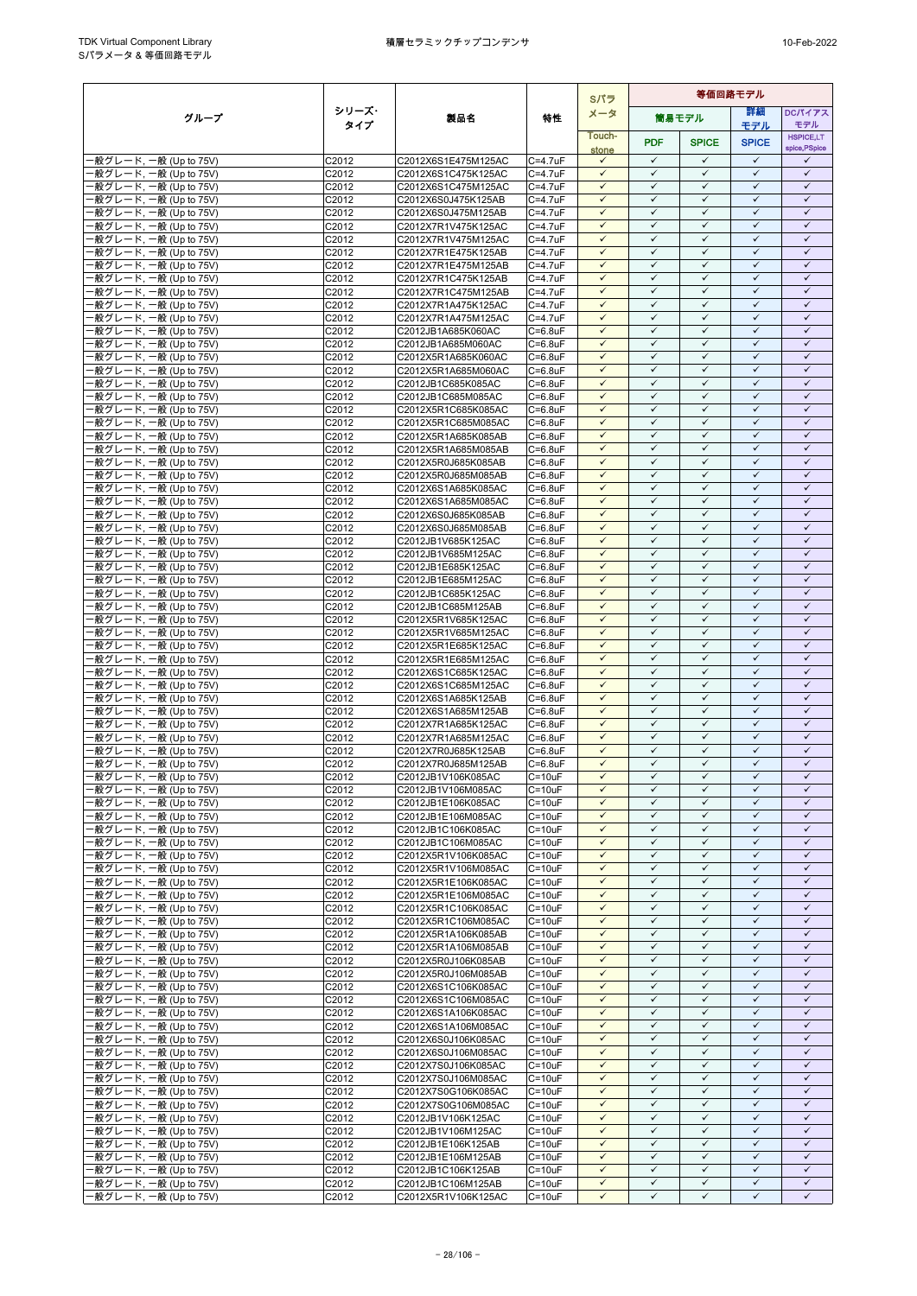|                                                  |                     |                                            |                                    |                              |                              |                              | Sパラ                          |                              | 等価回路モデル |  |  |  |  |  |
|--------------------------------------------------|---------------------|--------------------------------------------|------------------------------------|------------------------------|------------------------------|------------------------------|------------------------------|------------------------------|---------|--|--|--|--|--|
| グループ                                             | シリーズ・               | 製品名                                        | 特性                                 | メータ                          |                              | 筒易モデル                        | 等細                           | DCパイアス                       |         |  |  |  |  |  |
|                                                  | タイプ                 |                                            |                                    | Touch-                       |                              |                              | モデル                          | モデル<br><b>HSPICE,LT</b>      |         |  |  |  |  |  |
|                                                  |                     |                                            |                                    | stone                        | <b>PDF</b>                   | <b>SPICE</b>                 | <b>SPICE</b>                 | spice, PSpice                |         |  |  |  |  |  |
| ·般グレード, 一般 (Up to 75V)                           | C2012               | C2012X6S1E475M125AC                        | $C = 4.7uF$                        | $\checkmark$                 | $\checkmark$                 | $\checkmark$                 | $\checkmark$                 | $\checkmark$                 |         |  |  |  |  |  |
| 般グレード, 一般 (Up to 75V)<br>·般グレード, 一般 (Up to 75V)  | C2012<br>C2012      | C2012X6S1C475K125AC<br>C2012X6S1C475M125AC | $C = 4.7$ u $F$<br>$C = 4.7uF$     | $\checkmark$<br>$\checkmark$ | $\checkmark$<br>$\checkmark$ | ✓<br>$\checkmark$            | $\checkmark$<br>$\checkmark$ | $\checkmark$<br>$\checkmark$ |         |  |  |  |  |  |
| ·般グレード, 一般 (Up to 75V)                           | C2012               | C2012X6S0J475K125AB                        | $C = 4.7$ u $F$                    | $\checkmark$                 | $\checkmark$                 | $\checkmark$                 | $\checkmark$                 | $\checkmark$                 |         |  |  |  |  |  |
| 般グレード, 一般 (Up to 75V)                            | C2012               | C2012X6S0J475M125AB                        | $C = 4.7$ u $F$                    | $\checkmark$                 | $\checkmark$                 | $\checkmark$                 | $\checkmark$                 | $\checkmark$                 |         |  |  |  |  |  |
| -般グレード, 一般 (Up to 75V)                           | C2012               | C2012X7R1V475K125AC                        | $C = 4.7$ u $F$                    | $\checkmark$                 | $\checkmark$                 | $\checkmark$                 | $\checkmark$                 | $\checkmark$                 |         |  |  |  |  |  |
| ·般グレード, 一般 (Up to 75V)                           | C2012               | C2012X7R1V475M125AC                        | $C = 4.7$ u $F$                    | $\checkmark$                 | $\checkmark$                 | $\checkmark$                 | $\checkmark$                 | $\checkmark$                 |         |  |  |  |  |  |
| -般グレード, 一般 (Up to 75V)                           | C2012               | C2012X7R1E475K125AB                        | $C = 4.7$ u $F$                    | $\checkmark$<br>$\checkmark$ | $\checkmark$<br>$\checkmark$ | $\checkmark$<br>$\checkmark$ | $\checkmark$<br>$\checkmark$ | $\checkmark$<br>$\checkmark$ |         |  |  |  |  |  |
| -般グレード, 一般 (Up to 75V)<br>·般グレード, 一般 (Up to 75V) | C2012<br>C2012      | C2012X7R1E475M125AB<br>C2012X7R1C475K125AB | $C = 4.7$ u $F$<br>$C = 4.7$ u $F$ | $\checkmark$                 | $\checkmark$                 | $\checkmark$                 | $\checkmark$                 | $\checkmark$                 |         |  |  |  |  |  |
| -般グレード, 一般 (Up to 75V)                           | C2012               | C2012X7R1C475M125AB                        | C=4.7uF                            | $\checkmark$                 | $\checkmark$                 | $\checkmark$                 | $\checkmark$                 | $\checkmark$                 |         |  |  |  |  |  |
| ·般グレード, 一般 (Up to 75V)                           | C2012               | C2012X7R1A475K125AC                        | $C = 4.7$ u $F$                    | $\checkmark$                 | ✓                            | $\checkmark$                 | $\checkmark$                 | $\checkmark$                 |         |  |  |  |  |  |
| -般グレード, 一般 (Up to 75V)                           | C2012               | C2012X7R1A475M125AC                        | $C = 4.7$ u $F$                    | $\checkmark$                 | $\checkmark$                 | $\checkmark$                 | $\checkmark$                 | $\checkmark$                 |         |  |  |  |  |  |
| 般グレード, 一般 (Up to 75V)                            | C2012               | C2012JB1A685K060AC                         | $C=6.8$ u $F$                      | $\checkmark$<br>$\checkmark$ | $\checkmark$<br>$\checkmark$ | $\checkmark$<br>$\checkmark$ | $\checkmark$<br>$\checkmark$ | $\checkmark$<br>$\checkmark$ |         |  |  |  |  |  |
| ·般グレード, 一般 (Up to 75V)<br>·般グレード, 一般 (Up to 75V) | C2012<br>C2012      | C2012JB1A685M060AC<br>C2012X5R1A685K060AC  | $C=6.8$ u $F$<br>$C=6.8$ u $F$     | $\checkmark$                 | $\checkmark$                 | $\checkmark$                 | $\checkmark$                 | $\checkmark$                 |         |  |  |  |  |  |
| 般グレード, 一般 (Up to 75V)                            | C2012               | C2012X5R1A685M060AC                        | $C=6.8$ u $F$                      | $\checkmark$                 | $\checkmark$                 | $\checkmark$                 | $\checkmark$                 | $\checkmark$                 |         |  |  |  |  |  |
| -般グレード, 一般 (Up to 75V)                           | C2012               | C2012JB1C685K085AC                         | $C=6.8$ u $F$                      | $\checkmark$                 | $\checkmark$                 | $\checkmark$                 | ✓                            | $\checkmark$                 |         |  |  |  |  |  |
| ·般グレード, 一般 (Up to 75V)                           | C2012               | C2012JB1C685M085AC                         | $C = 6.8$ u $F$                    | $\checkmark$                 | $\checkmark$                 | $\checkmark$                 | $\checkmark$                 | $\checkmark$                 |         |  |  |  |  |  |
| ·般グレード, 一般 (Up to 75V)                           | C2012               | C2012X5R1C685K085AC                        | $C = 6.8$ u $F$                    | $\checkmark$                 | $\checkmark$<br>$\checkmark$ | $\checkmark$                 | $\checkmark$                 | $\checkmark$<br>$\checkmark$ |         |  |  |  |  |  |
| ·般グレード, 一般 (Up to 75V)<br>·般グレード, 一般 (Up to 75V) | C2012<br>C2012      | C2012X5R1C685M085AC<br>C2012X5R1A685K085AB | $C=6.8$ u $F$<br>$C=6.8$ u $F$     | $\checkmark$<br>$\checkmark$ | $\checkmark$                 | $\checkmark$<br>$\checkmark$ | $\checkmark$<br>$\checkmark$ | $\checkmark$                 |         |  |  |  |  |  |
| ·般グレード, 一般 (Up to 75V)                           | C2012               | C2012X5R1A685M085AB                        | $C=6.8$ u $F$                      | $\checkmark$                 | $\checkmark$                 | ✓                            | $\checkmark$                 | $\checkmark$                 |         |  |  |  |  |  |
| ·般グレード, 一般 (Up to 75V)                           | C2012               | C2012X5R0J685K085AB                        | $C = 6.8$ u $F$                    | $\checkmark$                 | $\checkmark$                 | $\checkmark$                 | $\checkmark$                 | $\checkmark$                 |         |  |  |  |  |  |
| ·般グレード, 一般 (Up to 75V)                           | C2012               | C2012X5R0J685M085AB                        | $C=6.8$ u $F$                      | $\checkmark$                 | $\checkmark$                 | $\checkmark$                 | $\checkmark$                 | $\checkmark$                 |         |  |  |  |  |  |
| ·般グレード, 一般 (Up to 75V)                           | $\overline{C}$ 2012 | C2012X6S1A685K085AC                        | $C=6.8$ u $F$                      | $\checkmark$<br>✓            | $\checkmark$<br>$\checkmark$ | $\checkmark$<br>✓            | $\checkmark$<br>$\checkmark$ | $\checkmark$<br>$\checkmark$ |         |  |  |  |  |  |
| ·般グレード, 一般 (Up to 75V)<br>-般グレード, 一般 (Up to 75V) | C2012<br>C2012      | C2012X6S1A685M085AC<br>C2012X6S0J685K085AB | $C=6.8$ u $F$<br>$C=6.8$ u $F$     | $\checkmark$                 | $\checkmark$                 | $\checkmark$                 | $\checkmark$                 | $\checkmark$                 |         |  |  |  |  |  |
| ·般グレード, 一般 (Up to 75V)                           | C2012               | C2012X6S0J685M085AB                        | $C=6.8$ u $F$                      | $\checkmark$                 | $\checkmark$                 | $\checkmark$                 | $\checkmark$                 | $\checkmark$                 |         |  |  |  |  |  |
| -般グレード, 一般 (Up to 75V)                           | C2012               | C2012JB1V685K125AC                         | $C=6.8$ u $F$                      | $\checkmark$                 | $\checkmark$                 | $\checkmark$                 | $\checkmark$                 | $\checkmark$                 |         |  |  |  |  |  |
| -般グレード, 一般 (Up to 75V)                           | C2012               | C2012JB1V685M125AC                         | $C=6.8$ u $F$                      | $\checkmark$                 | $\checkmark$                 | $\checkmark$                 | $\checkmark$                 | $\checkmark$                 |         |  |  |  |  |  |
| ·般グレード, 一般 (Up to 75V)                           | C2012               | C2012JB1E685K125AC                         | $C=6.8$ u $F$                      | $\checkmark$                 | $\checkmark$                 | $\checkmark$                 | $\checkmark$                 | $\checkmark$                 |         |  |  |  |  |  |
| 般グレード, 一般 (Up to 75V)                            | C2012               | C2012JB1E685M125AC                         | $C=6.8$ u $F$                      | $\checkmark$<br>$\checkmark$ | $\checkmark$<br>$\checkmark$ | $\checkmark$<br>$\checkmark$ | $\checkmark$<br>$\checkmark$ | $\checkmark$<br>$\checkmark$ |         |  |  |  |  |  |
| -般グレード, 一般 (Up to 75V)<br>·般グレード, 一般 (Up to 75V) | C2012<br>C2012      | C2012JB1C685K125AC<br>C2012JB1C685M125AB   | $C = 6.8$ u $F$<br>$C=6.8$ u $F$   | $\checkmark$                 | $\checkmark$                 | $\checkmark$                 | $\checkmark$                 | $\checkmark$                 |         |  |  |  |  |  |
| ·般グレード, 一般 (Up to 75V)                           | C2012               | C2012X5R1V685K125AC                        | $C=6.8$ u $F$                      | $\checkmark$                 | $\checkmark$                 | $\checkmark$                 | $\checkmark$                 | $\checkmark$                 |         |  |  |  |  |  |
| ·般グレード, 一般 (Up to 75V)                           | C2012               | C2012X5R1V685M125AC                        | $C=6.8$ u $F$                      | $\checkmark$                 | ✓                            | $\checkmark$                 | $\checkmark$                 | $\checkmark$                 |         |  |  |  |  |  |
| -般グレード, 一般 (Up to 75V)                           | C2012               | C2012X5R1E685K125AC                        | $C=6.8$ u $F$                      | $\checkmark$                 | $\checkmark$                 | $\checkmark$                 | $\checkmark$                 | $\checkmark$                 |         |  |  |  |  |  |
| ·般グレード, 一般 (Up to 75V)                           | C2012               | C2012X5R1E685M125AC                        | $C = 6.8$ u $F$                    | $\checkmark$                 | $\checkmark$<br>$\checkmark$ | $\checkmark$                 | $\checkmark$                 | $\checkmark$                 |         |  |  |  |  |  |
| ·般グレード, 一般 (Up to 75V)<br>-般グレード, 一般 (Up to 75V) | C2012<br>C2012      | C2012X6S1C685K125AC<br>C2012X6S1C685M125AC | $C=6.8$ u $F$<br>$C=6.8$ u $F$     | $\checkmark$<br>$\checkmark$ | $\checkmark$                 | ✓<br>$\checkmark$            | $\checkmark$<br>$\checkmark$ | $\checkmark$<br>$\checkmark$ |         |  |  |  |  |  |
| -般グレード, 一般 (Up to 75V)                           | C2012               | C2012X6S1A685K125AB                        | $C=6.8$ u $F$                      | $\checkmark$                 | $\checkmark$                 | $\checkmark$                 | $\checkmark$                 | $\checkmark$                 |         |  |  |  |  |  |
| -般グレード, 一般 (Up to 75V)                           | C2012               | C2012X6S1A685M125AB                        | $C=6.8$ u $F$                      | $\checkmark$                 | ✓                            | $\checkmark$                 | $\checkmark$                 | $\checkmark$                 |         |  |  |  |  |  |
| ·般グレード, 一般 (Up to 75V)                           | C2012               | C2012X7R1A685K125AC                        | $C=6.8$ u $F$                      | $\checkmark$                 | $\checkmark$                 | $\checkmark$                 | $\checkmark$                 | $\checkmark$                 |         |  |  |  |  |  |
| -般グレード, 一般 (Up to 75V)                           | C <sub>2012</sub>   | C2012X7R1A685M125AC                        | $C=6.8$ u $F$                      | $\checkmark$<br>✓            | $\checkmark$<br>$\checkmark$ | $\checkmark$<br>✓            | $\checkmark$<br>$\checkmark$ | $\checkmark$<br>$\checkmark$ |         |  |  |  |  |  |
| ·般グレード, 一般 (Up to 75V)<br>·般グレード, 一般 (Up to 75V) | C2012<br>C2012      | C2012X7R0J685K125AB<br>C2012X7R0J685M125AB | $C=6.8$ u $F$<br>$C = 6.8$ u $F$   | $\checkmark$                 | $\checkmark$                 | $\checkmark$                 | $\checkmark$                 | $\checkmark$                 |         |  |  |  |  |  |
| ·般グレード, 一般 (Up to 75V)                           | C2012               | C2012JB1V106K085AC                         | $C=10$ u $F$                       | $\checkmark$                 | $\checkmark$                 | $\checkmark$                 | $\checkmark$                 | $\checkmark$                 |         |  |  |  |  |  |
| ·般グレード, 一般 (Up to 75V)                           | C2012               | C2012JB1V106M085AC                         | $C = 10uF$                         | $\checkmark$                 | ✓                            | $\checkmark$                 | ✓                            | $\checkmark$                 |         |  |  |  |  |  |
| -般グレード, 一般 (Up to 75V)                           | C2012               | C2012JB1E106K085AC                         | $C = 10uF$                         | $\checkmark$                 | $\checkmark$                 | $\checkmark$                 | $\checkmark$                 | $\checkmark$                 |         |  |  |  |  |  |
| ·般グレード, 一般 (Up to 75V)                           | C2012               | C2012JB1E106M085AC                         | $C = 10uF$                         | $\checkmark$                 | $\checkmark$                 | $\checkmark$                 | $\checkmark$                 | $\checkmark$                 |         |  |  |  |  |  |
| -般グレード, 一般 (Up to 75V)<br>-般グレード, 一般 (Up to 75V) | C2012<br>C2012      | C2012JB1C106K085AC<br>C2012JB1C106M085AC   | $C = 10uF$<br>$C = 10uF$           | $\checkmark$<br>$\checkmark$ | $\checkmark$<br>$\checkmark$ | $\checkmark$<br>$\checkmark$ | $\checkmark$<br>$\checkmark$ | $\checkmark$<br>$\checkmark$ |         |  |  |  |  |  |
| ·般グレード, 一般 (Up to 75V)                           | C2012               | C2012X5R1V106K085AC                        | $C = 10uF$                         | $\checkmark$                 | $\checkmark$                 | $\checkmark$                 | $\checkmark$                 | $\checkmark$                 |         |  |  |  |  |  |
| ·般グレード, 一般 (Up to 75V)                           | C2012               | C2012X5R1V106M085AC                        | $C = 10uF$                         | $\checkmark$                 | $\checkmark$                 | $\checkmark$                 | $\checkmark$                 | $\checkmark$                 |         |  |  |  |  |  |
| -般グレード, 一般 (Up to 75V)                           | C2012               | C2012X5R1E106K085AC                        | $C = 10uF$                         | $\checkmark$                 | ✓                            | $\checkmark$                 | ✓                            | $\checkmark$                 |         |  |  |  |  |  |
| ·般グレード, 一般 (Up to 75V)                           | C2012               | C2012X5R1E106M085AC                        | $C = 10uF$                         | $\checkmark$                 | $\checkmark$                 | $\checkmark$                 | $\checkmark$                 | $\checkmark$                 |         |  |  |  |  |  |
| ·般グレード, 一般 (Up to 75V)<br>-般グレード, 一般 (Up to 75V) | C2012               | C2012X5R1C106K085AC                        | $C = 10uF$<br>$C = 10uF$           | $\checkmark$<br>$\checkmark$ | $\checkmark$<br>$\checkmark$ | $\checkmark$<br>$\checkmark$ | $\checkmark$<br>$\checkmark$ | $\checkmark$<br>$\checkmark$ |         |  |  |  |  |  |
| ·般グレード, 一般 (Up to 75V)                           | C2012<br>C2012      | C2012X5R1C106M085AC<br>C2012X5R1A106K085AB | $C = 10uF$                         | $\checkmark$                 | ✓                            | $\checkmark$                 | $\checkmark$                 | $\checkmark$                 |         |  |  |  |  |  |
| -般グレード, 一般 (Up to 75V)                           | C2012               | C2012X5R1A106M085AB                        | $C = 10uF$                         | $\checkmark$                 | $\checkmark$                 | $\checkmark$                 | $\checkmark$                 | $\checkmark$                 |         |  |  |  |  |  |
| -般グレード, 一般 (Up to 75V)                           | C2012               | C2012X5R0J106K085AB                        | $C = 10uF$                         | $\checkmark$                 | ✓                            | $\checkmark$                 | $\checkmark$                 | $\checkmark$                 |         |  |  |  |  |  |
| -般グレード, 一般 (Up to 75V)                           | C2012               | C2012X5R0J106M085AB                        | $C = 10uF$                         | $\checkmark$                 | $\checkmark$                 | $\checkmark$                 | $\checkmark$                 | $\checkmark$                 |         |  |  |  |  |  |
| -般グレード, 一般 (Up to 75V)                           | C2012               | C2012X6S1C106K085AC                        | $C = 10uF$                         | $\checkmark$                 | $\checkmark$<br>$\checkmark$ | $\checkmark$                 | $\checkmark$<br>$\checkmark$ | $\checkmark$                 |         |  |  |  |  |  |
| ·般グレード, 一般 (Up to 75V)<br>-般グレード, 一般 (Up to 75V) | C2012<br>C2012      | C2012X6S1C106M085AC<br>C2012X6S1A106K085AC | $C = 10uF$<br>$C = 10uF$           | $\checkmark$<br>$\checkmark$ | $\checkmark$                 | $\checkmark$<br>$\checkmark$ | $\checkmark$                 | $\checkmark$<br>$\checkmark$ |         |  |  |  |  |  |
| ·般グレード, 一般 (Up to 75V)                           | C2012               | C2012X6S1A106M085AC                        | $C = 10uF$                         | $\checkmark$                 | $\checkmark$                 | $\checkmark$                 | $\checkmark$                 | $\checkmark$                 |         |  |  |  |  |  |
| -般グレード, 一般 (Up to 75V)                           | C2012               | C2012X6S0J106K085AC                        | $C = 10uF$                         | $\checkmark$                 | ✓                            | $\checkmark$                 | ✓                            | $\checkmark$                 |         |  |  |  |  |  |
| ·般グレード, 一般 (Up to 75V)                           | C2012               | C2012X6S0J106M085AC                        | $C = 10uF$                         | $\checkmark$                 | $\checkmark$                 | $\checkmark$                 | $\checkmark$                 | $\checkmark$                 |         |  |  |  |  |  |
| ·般グレード, 一般 (Up to 75V)                           | C2012               | C2012X7S0J106K085AC                        | $C = 10uF$                         | $\checkmark$                 | $\checkmark$                 | $\checkmark$                 | $\checkmark$                 | $\checkmark$                 |         |  |  |  |  |  |
| ·般グレード, 一般 (Up to 75V)<br>-般グレード, 一般 (Up to 75V) | C2012<br>C2012      | C2012X7S0J106M085AC<br>C2012X7S0G106K085AC | $C = 10uF$<br>$C = 10uF$           | $\checkmark$<br>$\checkmark$ | $\checkmark$<br>$\checkmark$ | ✓<br>$\checkmark$            | $\checkmark$<br>$\checkmark$ | $\checkmark$<br>$\checkmark$ |         |  |  |  |  |  |
| ·般グレード, 一般 (Up to 75V)                           | C2012               | C2012X7S0G106M085AC                        | $C = 10uF$                         | $\checkmark$                 | $\checkmark$                 | $\checkmark$                 | $\checkmark$                 | $\checkmark$                 |         |  |  |  |  |  |
| ·般グレード, 一般 (Up to 75V)                           | C2012               | C2012JB1V106K125AC                         | $C = 10uF$                         | $\checkmark$                 | $\checkmark$                 | $\checkmark$                 | $\checkmark$                 | $\checkmark$                 |         |  |  |  |  |  |
| ·般グレード, 一般 (Up to 75V)                           | C2012               | C2012JB1V106M125AC                         | $C = 10uF$                         | $\checkmark$                 | $\checkmark$                 | $\checkmark$                 | $\checkmark$                 | $\checkmark$                 |         |  |  |  |  |  |
| ·般グレード, 一般 (Up to 75V)                           | C2012               | C2012JB1E106K125AB                         | $C = 10uF$                         | $\checkmark$                 | $\checkmark$                 | $\checkmark$                 | $\checkmark$                 | $\checkmark$                 |         |  |  |  |  |  |
| ·般グレード, 一般 (Up to 75V)<br>般グレード, 一般 (Up to 75V)  | C2012<br>C2012      | C2012JB1E106M125AB<br>C2012JB1C106K125AB   | $C = 10uF$<br>$C = 10uF$           | $\checkmark$<br>$\checkmark$ | $\checkmark$<br>$\checkmark$ | $\checkmark$<br>$\checkmark$ | $\checkmark$<br>✓            | $\checkmark$<br>$\checkmark$ |         |  |  |  |  |  |
| ·般グレード, 一般 (Up to 75V)                           | C2012               | C2012JB1C106M125AB                         | $C = 10uF$                         | $\checkmark$                 | $\checkmark$                 | $\checkmark$                 | $\checkmark$                 | $\checkmark$                 |         |  |  |  |  |  |
| -般グレード, 一般 (Up to 75V)                           | C2012               | C2012X5R1V106K125AC                        | $C = 10uF$                         | $\checkmark$                 | ✓                            | $\checkmark$                 | ✓                            | $\checkmark$                 |         |  |  |  |  |  |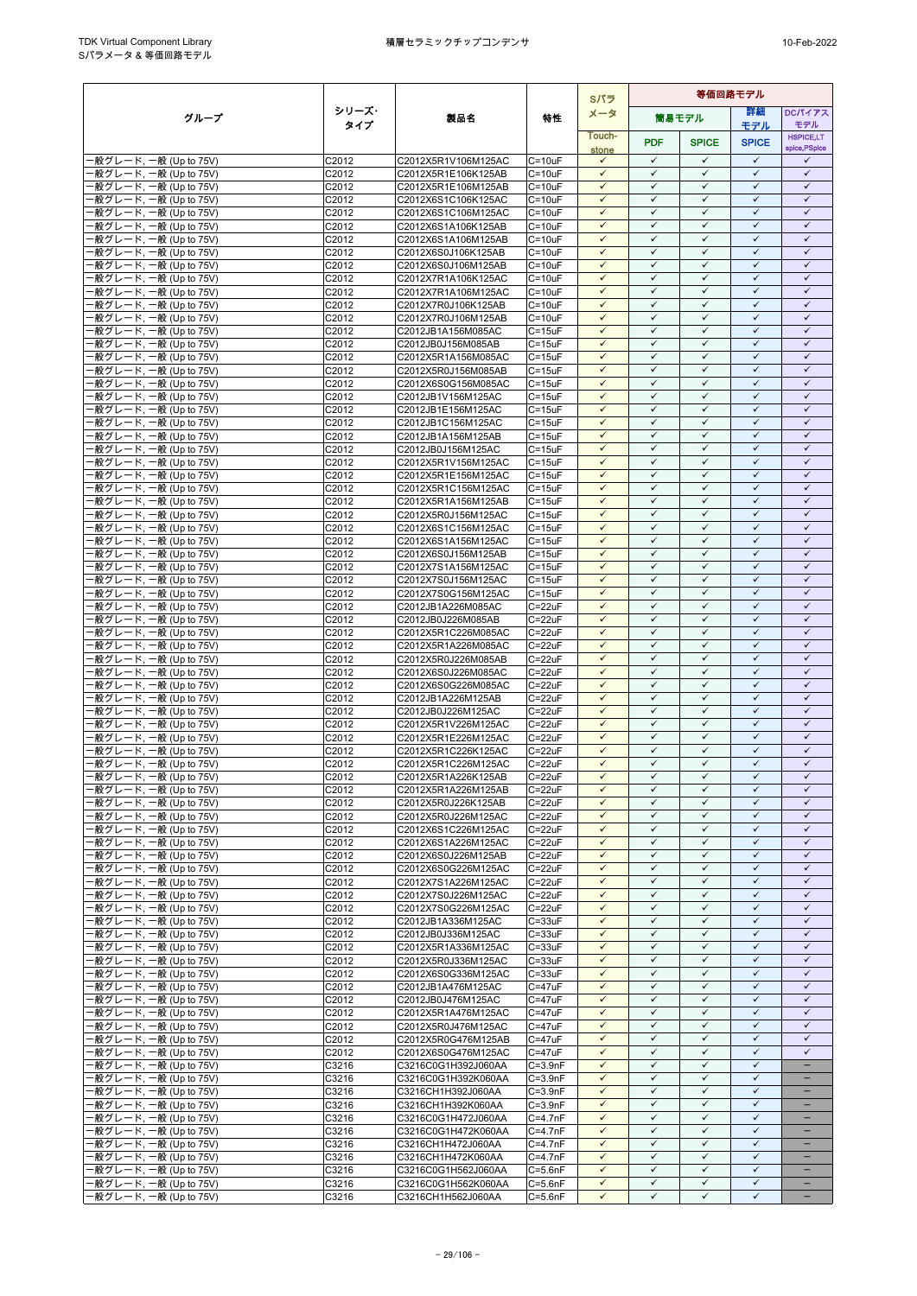|                                                  |                     |                                            |                            | Sパラ                          | 等価回路モデル                      |                              |                              |                              |
|--------------------------------------------------|---------------------|--------------------------------------------|----------------------------|------------------------------|------------------------------|------------------------------|------------------------------|------------------------------|
| グループ                                             | シリーズ・               | 製品名                                        | 特性                         | メータ                          |                              | 筒易モデル                        | 詳細                           | DCパイアス                       |
|                                                  | タイプ                 |                                            |                            | Touch-                       |                              |                              | モデル                          | モデル<br><b>HSPICE,LT</b>      |
|                                                  |                     |                                            |                            | stone                        | <b>PDF</b>                   | <b>SPICE</b>                 | <b>SPICE</b>                 | spice, PSpice                |
| ·般グレード, 一般 (Up to 75V)                           | C2012               | C2012X5R1V106M125AC                        | $C = 10uF$                 | $\checkmark$<br>$\checkmark$ | $\checkmark$<br>$\checkmark$ | $\checkmark$<br>✓            | $\checkmark$<br>$\checkmark$ | $\checkmark$<br>$\checkmark$ |
| 般グレード, 一般 (Up to 75V)<br>·般グレード, 一般 (Up to 75V)  | C2012<br>C2012      | C2012X5R1E106K125AB<br>C2012X5R1E106M125AB | $C = 10uF$<br>$C = 10uF$   | $\checkmark$                 | $\checkmark$                 | $\checkmark$                 | $\checkmark$                 | $\checkmark$                 |
| ·般グレード, 一般 (Up to 75V)                           | C2012               | C2012X6S1C106K125AC                        | $C = 10uF$                 | $\checkmark$                 | $\checkmark$                 | $\checkmark$                 | $\checkmark$                 | $\checkmark$                 |
| 般グレード, 一般 (Up to 75V)                            | C2012               | C2012X6S1C106M125AC                        | $C = 10uF$                 | $\checkmark$                 | $\checkmark$                 | $\checkmark$                 | $\checkmark$                 | $\checkmark$                 |
| -般グレード, 一般 (Up to 75V)                           | C2012               | C2012X6S1A106K125AB                        | $C = 10uF$                 | $\checkmark$<br>$\checkmark$ | $\checkmark$<br>$\checkmark$ | $\checkmark$                 | $\checkmark$<br>$\checkmark$ | $\checkmark$<br>$\checkmark$ |
| ·般グレード, 一般 (Up to 75V)<br>-般グレード, 一般 (Up to 75V) | C2012<br>C2012      | C2012X6S1A106M125AB<br>C2012X6S0J106K125AB | $C = 10uF$<br>$C = 10uF$   | $\checkmark$                 | $\checkmark$                 | $\checkmark$<br>$\checkmark$ | $\checkmark$                 | $\checkmark$                 |
| -般グレード, 一般 (Up to 75V)                           | C2012               | C2012X6S0J106M125AB                        | $C = 10uF$                 | $\checkmark$                 | $\checkmark$                 | $\checkmark$                 | $\checkmark$                 | $\checkmark$                 |
| ·般グレード, 一般 (Up to 75V)                           | C2012               | C2012X7R1A106K125AC                        | $C = 10uF$                 | $\checkmark$                 | $\checkmark$                 | $\checkmark$                 | $\checkmark$                 | $\checkmark$                 |
| -般グレード, 一般 (Up to 75V)                           | C2012               | C2012X7R1A106M125AC                        | $C = 10uF$                 | $\checkmark$                 | $\checkmark$                 | $\checkmark$                 | $\checkmark$                 | $\checkmark$                 |
| ·般グレード, 一般 (Up to 75V)<br>-般グレード, 一般 (Up to 75V) | C2012<br>C2012      | C2012X7R0J106K125AB<br>C2012X7R0J106M125AB | $C = 10uF$<br>$C = 10uF$   | $\checkmark$<br>$\checkmark$ | ✓<br>$\checkmark$            | $\checkmark$<br>$\checkmark$ | $\checkmark$<br>$\checkmark$ | $\checkmark$<br>$\checkmark$ |
| 般グレード, 一般 (Up to 75V)                            | C2012               | C2012JB1A156M085AC                         | $C = 15uF$                 | $\checkmark$                 | $\checkmark$                 | $\checkmark$                 | $\checkmark$                 | $\checkmark$                 |
| ·般グレード, 一般 (Up to 75V)                           | C2012               | C2012JB0J156M085AB                         | $C = 15uF$                 | $\checkmark$                 | $\checkmark$                 | $\checkmark$                 | $\checkmark$                 | $\checkmark$                 |
| ·般グレード, 一般 (Up to 75V)                           | C2012               | C2012X5R1A156M085AC                        | $C = 15uF$                 | $\checkmark$                 | $\checkmark$                 | $\checkmark$                 | $\checkmark$<br>$\checkmark$ | $\checkmark$                 |
| 般グレード, 一般 (Up to 75V)<br>-般グレード, 一般 (Up to 75V)  | C2012<br>C2012      | C2012X5R0J156M085AB<br>C2012X6S0G156M085AC | $C = 15uF$<br>$C = 15uF$   | $\checkmark$<br>$\checkmark$ | $\checkmark$<br>$\checkmark$ | $\checkmark$<br>$\checkmark$ | ✓                            | $\checkmark$<br>$\checkmark$ |
| -般グレード, 一般 (Up to 75V)                           | C2012               | C2012JB1V156M125AC                         | $C = 15uF$                 | $\checkmark$                 | $\checkmark$                 | $\checkmark$                 | $\checkmark$                 | $\checkmark$                 |
| ·般グレード, 一般 (Up to 75V)                           | C2012               | C2012JB1E156M125AC                         | $C = 15uF$                 | $\checkmark$                 | $\checkmark$                 | $\checkmark$                 | $\checkmark$                 | $\checkmark$                 |
| ·般グレード, 一般 (Up to 75V)                           | C2012               | C2012JB1C156M125AC                         | $C = 15uF$                 | $\checkmark$                 | $\checkmark$                 | $\checkmark$                 | $\checkmark$                 | $\checkmark$                 |
| -般グレード, 一般 (Up to 75V)<br>·般グレード, 一般 (Up to 75V) | C2012<br>C2012      | C2012JB1A156M125AB<br>C2012JB0J156M125AC   | $C = 15uF$<br>$C = 15uF$   | $\checkmark$<br>$\checkmark$ | $\checkmark$<br>$\checkmark$ | $\checkmark$<br>✓            | $\checkmark$<br>$\checkmark$ | $\checkmark$<br>$\checkmark$ |
| ·般グレード, 一般 (Up to 75V)                           | C2012               | C2012X5R1V156M125AC                        | $C = 15uF$                 | $\checkmark$                 | $\checkmark$                 | $\checkmark$                 | $\checkmark$                 | $\checkmark$                 |
| ·般グレード, 一般 (Up to 75V)                           | C2012               | C2012X5R1E156M125AC                        | $C = 15uF$                 | $\checkmark$                 | $\checkmark$                 | $\checkmark$                 | $\checkmark$                 | $\checkmark$                 |
| ·般グレード, 一般 (Up to 75V)                           | $\overline{C}$ 2012 | C2012X5R1C156M125AC                        | $C = 15uF$                 | $\checkmark$                 | $\checkmark$                 | $\checkmark$                 | $\checkmark$                 | $\checkmark$                 |
| -般グレード, 一般 (Up to 75V)<br>-般グレード, 一般 (Up to 75V) | C2012<br>C2012      | C2012X5R1A156M125AB<br>C2012X5R0J156M125AC | $C = 15uF$<br>$C = 15uF$   | ✓<br>$\checkmark$            | $\checkmark$<br>$\checkmark$ | ✓<br>$\checkmark$            | $\checkmark$<br>$\checkmark$ | $\checkmark$<br>$\checkmark$ |
| ·般グレード, 一般 (Up to 75V)                           | C2012               | C2012X6S1C156M125AC                        | $C = 15uF$                 | $\checkmark$                 | $\checkmark$                 | $\checkmark$                 | $\checkmark$                 | $\checkmark$                 |
| -般グレード, 一般 (Up to 75V)                           | C2012               | C2012X6S1A156M125AC                        | $C = 15uF$                 | $\checkmark$                 | $\checkmark$                 | $\checkmark$                 | $\checkmark$                 | $\checkmark$                 |
| -般グレード, 一般 (Up to 75V)                           | C2012               | C2012X6S0J156M125AB                        | $C = 15uF$                 | $\checkmark$                 | $\checkmark$                 | $\checkmark$                 | $\checkmark$                 | $\checkmark$                 |
| ·般グレード, 一般 (Up to 75V)<br>般グレード, 一般 (Up to 75V)  | C2012<br>C2012      | C2012X7S1A156M125AC<br>C2012X7S0J156M125AC | $C = 15uF$<br>$C = 15uF$   | $\checkmark$<br>$\checkmark$ | $\checkmark$<br>$\checkmark$ | $\checkmark$<br>$\checkmark$ | $\checkmark$<br>$\checkmark$ | $\checkmark$<br>$\checkmark$ |
| -般グレード, 一般 (Up to 75V)                           | C2012               | C2012X7S0G156M125AC                        | $C = 15uF$                 | $\checkmark$                 | $\checkmark$                 | $\checkmark$                 | $\checkmark$                 | $\checkmark$                 |
| ·般グレード, 一般 (Up to 75V)                           | C2012               | C2012JB1A226M085AC                         | $C = 22uF$                 | $\checkmark$                 | $\checkmark$                 | $\checkmark$                 | $\checkmark$                 | $\checkmark$                 |
| ·般グレード, 一般 (Up to 75V)                           | C2012               | C2012JB0J226M085AB                         | $C = 22uF$                 | $\checkmark$                 | $\checkmark$                 | $\checkmark$                 | $\checkmark$                 | $\checkmark$                 |
| ·般グレード, 一般 (Up to 75V)<br>-般グレード, 一般 (Up to 75V) | C2012<br>C2012      | C2012X5R1C226M085AC<br>C2012X5R1A226M085AC | $C = 22uF$<br>$C = 22uF$   | $\checkmark$<br>$\checkmark$ | ✓<br>$\checkmark$            | $\checkmark$<br>$\checkmark$ | $\checkmark$<br>$\checkmark$ | $\checkmark$<br>$\checkmark$ |
| ·般グレード, 一般 (Up to 75V)                           | C2012               | C2012X5R0J226M085AB                        | C=22uF                     | $\checkmark$                 | $\checkmark$                 | $\checkmark$                 | $\checkmark$                 | $\checkmark$                 |
| -般グレード, 一般 (Up to 75V)                           | C2012               | C2012X6S0J226M085AC                        | $C = 22uF$                 | $\checkmark$                 | $\checkmark$                 | ✓                            | $\checkmark$                 | $\checkmark$                 |
| -般グレード, 一般 (Up to 75V)                           | C2012               | C2012X6S0G226M085AC                        | $C = 22uF$                 | $\checkmark$                 | $\checkmark$                 | $\checkmark$                 | $\checkmark$                 | $\checkmark$                 |
| -般グレード, 一般 (Up to 75V)<br>-般グレード, 一般 (Up to 75V) | C2012<br>C2012      | C2012JB1A226M125AB<br>C2012JB0J226M125AC   | $C = 22uF$<br>$C = 22uF$   | $\checkmark$<br>$\checkmark$ | $\checkmark$<br>✓            | $\checkmark$<br>$\checkmark$ | $\checkmark$<br>$\checkmark$ | $\checkmark$<br>$\checkmark$ |
| ·般グレード, 一般 (Up to 75V)                           | C2012               | C2012X5R1V226M125AC                        | $C = 22uF$                 | $\checkmark$                 | $\checkmark$                 | $\checkmark$                 | $\checkmark$                 | $\checkmark$                 |
| -般グレード, 一般 (Up to 75V)                           | C <sub>2012</sub>   | C2012X5R1E226M125AC                        | $C = 22uF$                 | $\checkmark$                 | $\checkmark$                 | $\checkmark$                 | $\checkmark$                 | $\checkmark$                 |
| ·般グレード, 一般 (Up to 75V)                           | C2012               | C2012X5R1C226K125AC                        | $C = 22uF$                 | ✓                            | $\checkmark$                 | ✓                            | $\checkmark$                 | $\checkmark$                 |
| 般グレード, 一般 (Up to 75V)<br>·般グレード, 一般 (Up to 75V)  | C2012<br>C2012      | C2012X5R1C226M125AC<br>C2012X5R1A226K125AB | $C = 22uF$<br>$C = 22uF$   | $\checkmark$<br>$\checkmark$ | $\checkmark$<br>$\checkmark$ | $\checkmark$<br>$\checkmark$ | $\checkmark$<br>$\checkmark$ | $\checkmark$<br>$\checkmark$ |
| ·般グレード, 一般 (Up to 75V)                           | C2012               | C2012X5R1A226M125AB                        | $C = 22uF$                 | $\checkmark$                 | ✓                            | $\checkmark$                 | ✓                            | $\checkmark$                 |
| -般グレード, 一般 (Up to 75V)                           | C2012               | C2012X5R0J226K125AB                        | $C = 22uF$                 | $\checkmark$                 | $\checkmark$                 | $\checkmark$                 | $\checkmark$                 | $\checkmark$                 |
| -般グレード, 一般 (Up to 75V)                           | C2012               | C2012X5R0J226M125AC                        | $C = 22uF$                 | $\checkmark$                 | $\checkmark$                 | $\checkmark$                 | $\checkmark$                 | $\checkmark$                 |
| -般グレード, 一般 (Up to 75V)<br>-般グレード, 一般 (Up to 75V) | C2012<br>C2012      | C2012X6S1C226M125AC<br>C2012X6S1A226M125AC | $C = 22uF$<br>$C = 22uF$   | $\checkmark$<br>$\checkmark$ | ✓<br>$\checkmark$            | $\checkmark$<br>$\checkmark$ | $\checkmark$<br>$\checkmark$ | $\checkmark$<br>$\checkmark$ |
| ·般グレード, 一般 (Up to 75V)                           | C2012               | C2012X6S0J226M125AB                        | $C = 22uF$                 | $\checkmark$                 | ✓                            | $\checkmark$                 | $\checkmark$                 | $\checkmark$                 |
| -般グレード, 一般 (Up to 75V)                           | C2012               | C2012X6S0G226M125AC                        | $C = 22uF$                 | $\checkmark$                 | $\checkmark$                 | $\checkmark$                 | $\checkmark$                 | $\checkmark$                 |
| -般グレード, 一般 (Up to 75V)                           | C2012               | C2012X7S1A226M125AC                        | $C = 22uF$                 | $\checkmark$                 | ✓                            | $\checkmark$                 | ✓                            | $\checkmark$                 |
| ·般グレード, 一般 (Up to 75V)<br>·般グレード, 一般 (Up to 75V) | C2012<br>C2012      | C2012X7S0J226M125AC<br>C2012X7S0G226M125AC | $C = 22uF$<br>$C = 22uF$   | $\checkmark$<br>$\checkmark$ | $\checkmark$<br>$\checkmark$ | $\checkmark$<br>$\checkmark$ | $\checkmark$<br>$\checkmark$ | $\checkmark$<br>$\checkmark$ |
| -般グレード, 一般 (Up to 75V)                           | C2012               | C2012JB1A336M125AC                         | $C = 33uF$                 | $\checkmark$                 | $\checkmark$                 | $\checkmark$                 | $\checkmark$                 | $\checkmark$                 |
| ·般グレード, 一般 (Up to 75V)                           | C2012               | C2012JB0J336M125AC                         | $C = 33uF$                 | $\checkmark$                 | $\checkmark$                 | $\checkmark$                 | $\checkmark$                 | $\checkmark$                 |
| ·般グレード, 一般 (Up to 75V)                           | C2012               | C2012X5R1A336M125AC                        | $C = 33uF$                 | $\checkmark$                 | $\checkmark$                 | $\checkmark$                 | $\checkmark$                 | $\checkmark$                 |
| -般グレード, 一般 (Up to 75V)<br>-般グレード, 一般 (Up to 75V) | C2012<br>C2012      | C2012X5R0J336M125AC<br>C2012X6S0G336M125AC | $C = 33uF$<br>$C = 33uF$   | $\checkmark$<br>$\checkmark$ | $\checkmark$<br>$\checkmark$ | $\checkmark$<br>$\checkmark$ | $\checkmark$<br>$\checkmark$ | $\checkmark$<br>$\checkmark$ |
| -般グレード, 一般 (Up to 75V)                           | C2012               | C2012JB1A476M125AC                         | $C = 47uF$                 | $\checkmark$                 | $\checkmark$                 | $\checkmark$                 | $\checkmark$                 | $\checkmark$                 |
| ·般グレード, 一般 (Up to 75V)                           | C2012               | C2012JB0J476M125AC                         | $C = 47uF$                 | $\checkmark$                 | $\checkmark$                 | $\checkmark$                 | $\checkmark$                 | $\checkmark$                 |
| -般グレード, 一般 (Up to 75V)                           | C2012               | C2012X5R1A476M125AC                        | $C = 47uF$                 | $\checkmark$                 | $\checkmark$                 | $\checkmark$                 | $\checkmark$                 | $\checkmark$                 |
| ·般グレード, 一般 (Up to 75V)<br>-般グレード, 一般 (Up to 75V) | C2012<br>C2012      | C2012X5R0J476M125AC<br>C2012X5R0G476M125AB | $C = 47uF$<br>$C = 47uF$   | $\checkmark$<br>$\checkmark$ | $\checkmark$<br>✓            | $\checkmark$<br>$\checkmark$ | $\checkmark$<br>✓            | $\checkmark$<br>$\checkmark$ |
| ·般グレード, 一般 (Up to 75V)                           | C2012               | C2012X6S0G476M125AC                        | $C = 47uF$                 | $\checkmark$                 | $\checkmark$                 | $\checkmark$                 | $\checkmark$                 | $\checkmark$                 |
| ·般グレード, 一般 (Up to 75V)                           | C3216               | C3216C0G1H392J060AA                        | $C = 3.9nF$                | $\checkmark$                 | $\checkmark$                 | $\checkmark$                 | $\checkmark$                 |                              |
| ·般グレード, 一般 (Up to 75V)                           | C3216               | C3216C0G1H392K060AA                        | $C = 3.9nF$                | $\checkmark$                 | ✓                            | $\checkmark$                 | $\checkmark$                 | $\equiv$                     |
| -般グレード, 一般 (Up to 75V)<br>·般グレード, 一般 (Up to 75V) | C3216<br>C3216      | C3216CH1H392J060AA<br>C3216CH1H392K060AA   | $C = 3.9nF$<br>$C = 3.9nF$ | $\checkmark$<br>$\checkmark$ | $\checkmark$<br>$\checkmark$ | $\checkmark$<br>$\checkmark$ | $\checkmark$<br>$\checkmark$ | $\overline{\phantom{0}}$     |
| ·般グレード, 一般 (Up to 75V)                           | C3216               | C3216C0G1H472J060AA                        | $C=4.7nF$                  | $\checkmark$                 | $\checkmark$                 | $\checkmark$                 | $\checkmark$                 | -                            |
| ·般グレード, 一般 (Up to 75V)                           | C3216               | C3216C0G1H472K060AA                        | $C=4.7nF$                  | $\checkmark$                 | $\checkmark$                 | $\checkmark$                 | $\checkmark$                 |                              |
| ·般グレード, 一般 (Up to 75V)                           | C3216               | C3216CH1H472J060AA                         | $C=4.7nF$                  | $\checkmark$                 | $\checkmark$                 | $\checkmark$                 | $\checkmark$                 | -                            |
| ·般グレード, 一般 (Up to 75V)<br>-般グレード, 一般 (Up to 75V) | C3216               | C3216CH1H472K060AA                         | $C = 4.7nF$<br>$C = 5.6nF$ | $\checkmark$<br>$\checkmark$ | $\checkmark$<br>$\checkmark$ | $\checkmark$<br>$\checkmark$ | $\checkmark$<br>$\checkmark$ | $\equiv$                     |
| -般グレード, 一般 (Up to 75V)                           | C3216<br>C3216      | C3216C0G1H562J060AA<br>C3216C0G1H562K060AA | $C = 5.6nF$                | $\checkmark$                 | $\checkmark$                 | $\checkmark$                 | $\checkmark$                 | $\overline{\phantom{0}}$     |
| -般グレード, 一般 (Up to 75V)                           | C3216               | C3216CH1H562J060AA                         | $C = 5.6nF$                | $\checkmark$                 | $\checkmark$                 | $\checkmark$                 | $\checkmark$                 | $\overline{\phantom{a}}$     |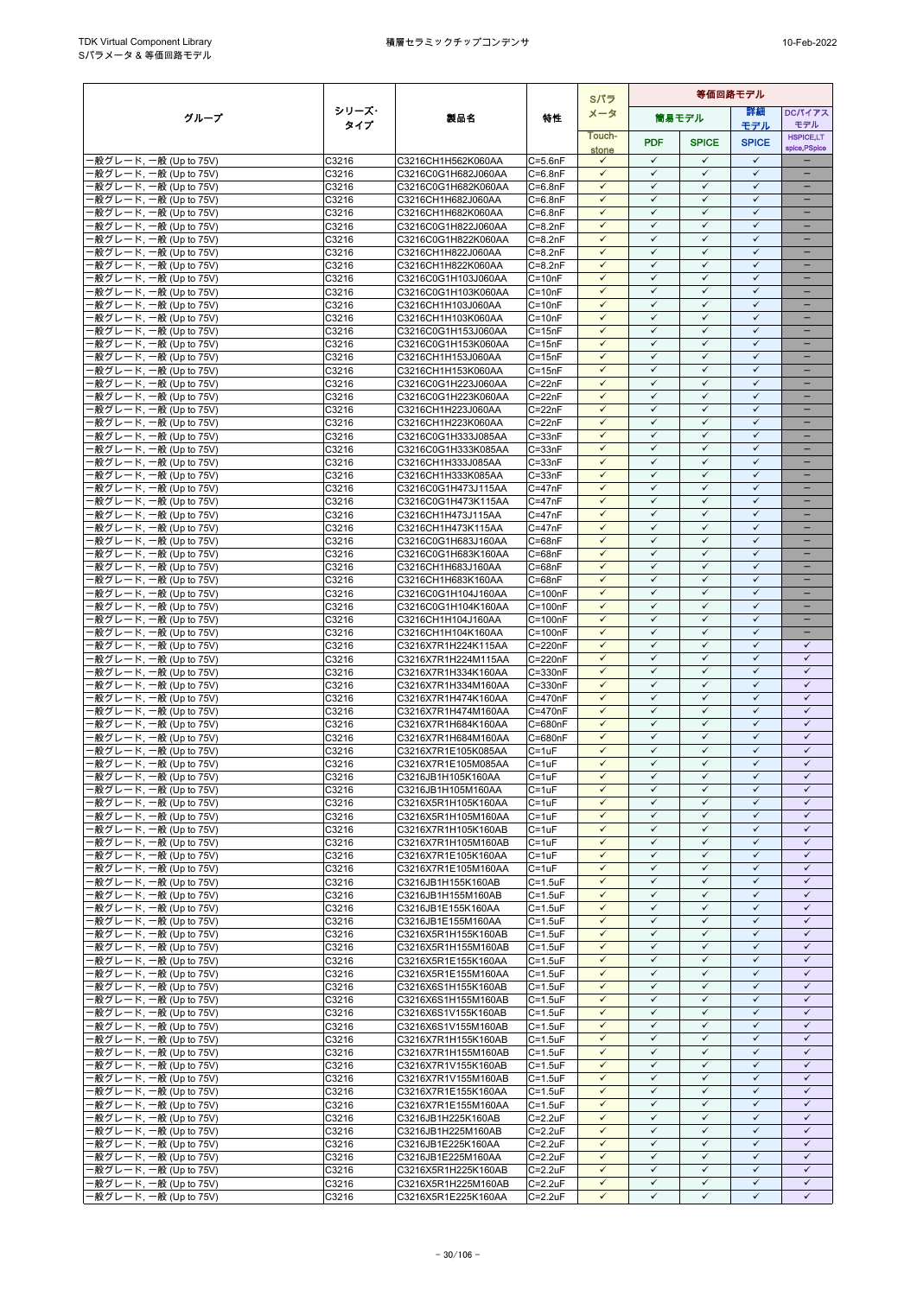|                                                  |                |                                            |                                | Sパラ                          | 等価回路モデル                      |                              |                              |                                      |
|--------------------------------------------------|----------------|--------------------------------------------|--------------------------------|------------------------------|------------------------------|------------------------------|------------------------------|--------------------------------------|
| グループ                                             | シリーズ・          | 製品名                                        | 特性                             | メータ                          |                              | 簡易モデル                        | 等細                           | <b>DCパイアス</b>                        |
|                                                  | タイプ            |                                            |                                | Touch-                       |                              |                              | モデル                          | モデル<br><b>HSPICE,LT</b>              |
|                                                  |                |                                            |                                | stone                        | <b>PDF</b>                   | <b>SPICE</b>                 | <b>SPICE</b>                 | spice, PSpice                        |
| ·般グレード, 一般 (Up to 75V)                           | C3216          | C3216CH1H562K060AA                         | $C = 5.6nF$                    | $\checkmark$                 | $\checkmark$                 | $\checkmark$                 | $\checkmark$                 |                                      |
| 般グレード, 一般 (Up to 75V)<br>·般グレード, 一般 (Up to 75V)  | C3216<br>C3216 | C3216C0G1H682J060AA<br>C3216C0G1H682K060AA | $C = 6.8nF$<br>$C = 6.8nF$     | $\checkmark$<br>$\checkmark$ | $\checkmark$<br>$\checkmark$ | $\checkmark$<br>$\checkmark$ | $\checkmark$<br>$\checkmark$ | $\equiv$<br>$\qquad \qquad -$        |
| ·般グレード, 一般 (Up to 75V)                           | C3216          | C3216CH1H682J060AA                         | $C = 6.8nF$                    | $\checkmark$                 | $\checkmark$                 | $\checkmark$                 | $\checkmark$                 | -                                    |
| -般グレード, 一般 (Up to 75V)                           | C3216          | C3216CH1H682K060AA                         | $C = 6.8nF$                    | $\checkmark$                 | $\checkmark$                 | $\checkmark$                 | $\checkmark$                 | $\qquad \qquad -$                    |
| ·般グレード, 一般 (Up to 75V)                           | C3216          | C3216C0G1H822J060AA                        | $C = 8.2nF$                    | $\checkmark$                 | $\checkmark$                 | $\checkmark$                 | $\checkmark$                 |                                      |
| ·般グレード, 一般 (Up to 75V)                           | C3216          | C3216C0G1H822K060AA                        | $C = 8.2nF$                    | $\checkmark$                 | $\checkmark$                 | $\checkmark$                 | $\checkmark$                 |                                      |
| -般グレード, 一般 (Up to 75V)<br>-般グレード, 一般 (Up to 75V) | C3216<br>C3216 | C3216CH1H822J060AA<br>C3216CH1H822K060AA   | $C = 8.2nF$<br>$C = 8.2nF$     | $\checkmark$<br>$\checkmark$ | $\checkmark$<br>$\checkmark$ | $\checkmark$<br>$\checkmark$ | $\checkmark$<br>$\checkmark$ | $\overline{\phantom{0}}$<br>$\equiv$ |
| ·般グレード, 一般 (Up to 75V)                           | C3216          | C3216C0G1H103J060AA                        | $C = 10nF$                     | $\checkmark$                 | $\checkmark$                 | $\checkmark$                 | $\checkmark$                 | -                                    |
| -般グレード, 一般 (Up to 75V)                           | C3216          | C3216C0G1H103K060AA                        | $C = 10nF$                     | $\checkmark$                 | $\checkmark$                 | $\checkmark$                 | $\checkmark$                 | $\qquad \qquad -$                    |
| ·般グレード, 一般 (Up to 75V)                           | C3216          | C3216CH1H103J060AA                         | $C = 10nF$                     | $\checkmark$                 | $\checkmark$                 | $\checkmark$                 | $\checkmark$                 | -                                    |
| ·般グレード, 一般 (Up to 75V)                           | C3216          | C3216CH1H103K060AA                         | $C = 10nF$                     | $\checkmark$<br>$\checkmark$ | ✓<br>$\checkmark$            | ✓<br>$\checkmark$            | $\checkmark$<br>$\checkmark$ | $=$                                  |
| ·般グレード, 一般 (Up to 75V)<br>·般グレード, 一般 (Up to 75V) | C3216<br>C3216 | C3216C0G1H153J060AA<br>C3216C0G1H153K060AA | $C = 15nF$<br>$C = 15nF$       | $\checkmark$                 | $\checkmark$                 | $\checkmark$                 | $\checkmark$                 |                                      |
| ·般グレード, 一般 (Up to 75V)                           | C3216          | C3216CH1H153J060AA                         | $C = 15nF$                     | $\checkmark$                 | $\checkmark$                 | $\checkmark$                 | $\checkmark$                 | $\overline{\phantom{0}}$             |
| ·般グレード, 一般 (Up to 75V)                           | C3216          | C3216CH1H153K060AA                         | $C = 15nF$                     | $\checkmark$                 | $\checkmark$                 | $\checkmark$                 | $\checkmark$                 | -                                    |
| ·般グレード, 一般 (Up to 75V)                           | C3216          | C3216C0G1H223J060AA                        | $C = 22nF$                     | $\checkmark$                 | $\checkmark$                 | ✓                            | $\checkmark$                 |                                      |
| -般グレード, 一般 (Up to 75V)                           | C3216          | C3216C0G1H223K060AA                        | $C = 22nF$                     | $\checkmark$<br>$\checkmark$ | $\checkmark$<br>$\checkmark$ | $\checkmark$<br>$\checkmark$ | $\checkmark$<br>$\checkmark$ | ÷                                    |
| ·般グレード, 一般 (Up to 75V)<br>·般グレード, 一般 (Up to 75V) | C3216<br>C3216 | C3216CH1H223J060AA<br>C3216CH1H223K060AA   | $C = 22nF$<br>$C = 22nF$       | $\checkmark$                 | $\checkmark$                 | $\checkmark$                 | $\checkmark$                 |                                      |
| -般グレード, 一般 (Up to 75V)                           | C3216          | C3216C0G1H333J085AA                        | $C = 33nF$                     | $\checkmark$                 | $\checkmark$                 | $\checkmark$                 | $\checkmark$                 | -                                    |
| ·般グレード, 一般 (Up to 75V)                           | C3216          | C3216C0G1H333K085AA                        | $C = 33nF$                     | $\checkmark$                 | $\checkmark$                 | $\checkmark$                 | $\checkmark$                 | $\overline{\phantom{0}}$             |
| ·般グレード. 一般 (Up to 75V)                           | C3216          | C3216CH1H333J085AA                         | $C = 33nF$                     | $\checkmark$                 | $\checkmark$                 | $\checkmark$                 | $\checkmark$                 | -                                    |
| ·般グレード, 一般 (Up to 75V)                           | C3216          | C3216CH1H333K085AA<br>C3216C0G1H473J115AA  | $C = 33nF$<br>$C = 47nF$       | $\checkmark$<br>$\checkmark$ | $\checkmark$<br>$\checkmark$ | $\checkmark$<br>$\checkmark$ | $\checkmark$<br>$\checkmark$ | -                                    |
| ·般グレード, 一般 (Up to 75V)<br>·般グレード, 一般 (Up to 75V) | C3216<br>C3216 | C3216C0G1H473K115AA                        | $C = 47nF$                     | $\checkmark$                 | $\checkmark$                 | $\checkmark$                 | $\checkmark$                 |                                      |
| -般グレード, 一般 (Up to 75V)                           | C3216          | C3216CH1H473J115AA                         | $C = 47nF$                     | $\checkmark$                 | $\checkmark$                 | $\checkmark$                 | $\checkmark$                 | $\equiv$                             |
| ·般グレード, 一般 (Up to 75V)                           | C3216          | C3216CH1H473K115AA                         | $C = 47nF$                     | $\checkmark$                 | $\checkmark$                 | $\checkmark$                 | $\checkmark$                 | -                                    |
| ·般グレード, 一般 (Up to 75V)                           | C3216          | C3216C0G1H683J160AA                        | $C = 68nF$                     | $\checkmark$                 | $\checkmark$                 | $\checkmark$                 | $\checkmark$                 | $\overline{\phantom{0}}$             |
| -般グレード, 一般 (Up to 75V)                           | C3216          | C3216C0G1H683K160AA                        | $C = 68nF$<br>$C = 68nF$       | $\checkmark$<br>$\checkmark$ | $\checkmark$<br>$\checkmark$ | $\checkmark$<br>$\checkmark$ | $\checkmark$<br>$\checkmark$ | -                                    |
| ·般グレード, 一般 (Up to 75V)<br>·般グレード, 一般 (Up to 75V) | C3216<br>C3216 | C3216CH1H683J160AA<br>C3216CH1H683K160AA   | $C = 68nF$                     | $\checkmark$                 | $\checkmark$                 | $\checkmark$                 | $\checkmark$                 | $\equiv$                             |
| -般グレード, 一般 (Up to 75V)                           | C3216          | C3216C0G1H104J160AA                        | $C = 100nF$                    | $\checkmark$                 | $\checkmark$                 | $\checkmark$                 | $\checkmark$                 |                                      |
| ·般グレード, 一般 (Up to 75V)                           | C3216          | C3216C0G1H104K160AA                        | $C = 100nF$                    | $\checkmark$                 | $\checkmark$                 | $\checkmark$                 | $\checkmark$                 | $\equiv$                             |
| ·般グレード, 一般 (Up to 75V)                           | C3216          | C3216CH1H104J160AA                         | $C = 100nF$                    | $\checkmark$                 | $\checkmark$                 | $\checkmark$                 | $\checkmark$                 | ÷                                    |
| ·般グレード, 一般 (Up to 75V)                           | C3216<br>C3216 | C3216CH1H104K160AA<br>C3216X7R1H224K115AA  | $C = 100nF$<br>C=220nF         | $\checkmark$<br>$\checkmark$ | $\checkmark$<br>$\checkmark$ | ✓<br>$\checkmark$            | ✓<br>$\checkmark$            | $\checkmark$                         |
| ·般グレード, 一般 (Up to 75V)<br>·般グレード, 一般 (Up to 75V) | C3216          | C3216X7R1H224M115AA                        | C=220nF                        | $\checkmark$                 | $\checkmark$                 | $\checkmark$                 | $\checkmark$                 | $\checkmark$                         |
| ·般グレード, 一般 (Up to 75V)                           | C3216          | C3216X7R1H334K160AA                        | C=330nF                        | $\checkmark$                 | $\checkmark$                 | $\checkmark$                 | $\checkmark$                 | $\checkmark$                         |
| -般グレード, 一般 (Up to 75V)                           | C3216          | C3216X7R1H334M160AA                        | C=330nF                        | $\checkmark$                 | $\checkmark$                 | $\checkmark$                 | $\checkmark$                 | $\checkmark$                         |
| -般グレード, 一般 (Up to 75V)                           | C3216          | C3216X7R1H474K160AA                        | C=470nF                        | $\checkmark$                 | $\checkmark$                 | $\checkmark$                 | $\checkmark$                 | $\checkmark$                         |
| -般グレード, 一般 (Up to 75V)<br>-般グレード, 一般 (Up to 75V) | C3216<br>C3216 | C3216X7R1H474M160AA<br>C3216X7R1H684K160AA | C=470nF<br>C=680nF             | $\checkmark$<br>$\checkmark$ | $\checkmark$<br>$\checkmark$ | $\checkmark$<br>$\checkmark$ | $\checkmark$<br>$\checkmark$ | $\checkmark$<br>$\checkmark$         |
| ·般グレード, 一般 (Up to 75V)                           | C3216          | C3216X7R1H684M160AA                        | C=680nF                        | $\checkmark$                 | $\checkmark$                 | $\checkmark$                 | $\checkmark$                 | $\checkmark$                         |
| ·般グレード, 一般 (Up to 75V)                           | C3216          | C3216X7R1E105K085AA                        | $C = 1uF$                      | $\checkmark$                 | $\checkmark$                 | $\checkmark$                 | $\checkmark$                 | $\checkmark$                         |
| ·般グレード, 一般 (Up to 75V)                           | C3216          | C3216X7R1E105M085AA                        | $C = 1uF$                      | $\checkmark$                 | $\checkmark$                 | $\checkmark$                 | $\checkmark$                 | $\checkmark$                         |
| ·般グレード, 一般 (Up to 75V)                           | C3216          | C3216JB1H105K160AA                         | $C = 1uF$                      | $\checkmark$                 | $\checkmark$                 | $\checkmark$                 | $\checkmark$                 | $\checkmark$                         |
| ·般グレード, 一般 (Up to 75V)<br>-般グレード, 一般 (Up to 75V) | C3216<br>C3216 | C3216JB1H105M160AA<br>C3216X5R1H105K160AA  | $C = 1uF$<br>$C = 1uF$         | $\checkmark$<br>$\checkmark$ | $\checkmark$<br>$\checkmark$ | $\checkmark$<br>$\checkmark$ | $\checkmark$<br>$\checkmark$ | ✓<br>$\checkmark$                    |
| -般グレード, 一般 (Up to 75V)                           | C3216          | C3216X5R1H105M160AA                        | $C = 1uF$                      | $\checkmark$                 | $\checkmark$                 | $\checkmark$                 | $\checkmark$                 | $\checkmark$                         |
| -般グレード, 一般 (Up to 75V)                           | C3216          | C3216X7R1H105K160AB                        | $C = 1uF$                      | $\checkmark$                 | $\checkmark$                 | $\checkmark$                 | $\checkmark$                 | $\checkmark$                         |
| 一般グレード, 一般 (Up to 75V)                           | C3216          | C3216X7R1H105M160AB                        | $C = 1uF$                      | $\checkmark$                 | $\checkmark$                 | $\checkmark$                 | $\checkmark$                 | $\checkmark$                         |
| ·般グレード, 一般 (Up to 75V)                           | C3216          | C3216X7R1E105K160AA                        | $C = 1uF$                      | $\checkmark$<br>$\checkmark$ | $\checkmark$<br>$\checkmark$ | $\checkmark$<br>$\checkmark$ | $\checkmark$<br>$\checkmark$ | $\checkmark$<br>$\checkmark$         |
| -般グレード, 一般 (Up to 75V)<br>-般グレード, 一般 (Up to 75V) | C3216<br>C3216 | C3216X7R1E105M160AA<br>C3216JB1H155K160AB  | $C = 1uF$<br>$C = 1.5$ u $F$   | $\checkmark$                 | $\checkmark$                 | $\checkmark$                 | ✓                            | $\checkmark$                         |
| ·般グレード, 一般 (Up to 75V)                           | C3216          | C3216JB1H155M160AB                         | $C = 1.5$ u $F$                | $\checkmark$                 | $\checkmark$                 | $\checkmark$                 | $\checkmark$                 | $\checkmark$                         |
| ·般グレード, 一般 (Up to 75V)                           | C3216          | C3216JB1E155K160AA                         | $C = 1.5$ u $F$                | $\checkmark$                 | $\checkmark$                 | $\checkmark$                 | $\checkmark$                 | $\checkmark$                         |
| -般グレード, 一般 (Up to 75V)                           | C3216          | C3216JB1E155M160AA                         | $C = 1.5$ u $F$                | $\checkmark$                 | $\checkmark$                 | $\checkmark$                 | $\checkmark$                 | $\checkmark$                         |
| ·般グレード, 一般 (Up to 75V)                           | C3216          | C3216X5R1H155K160AB<br>C3216X5R1H155M160AB | $C = 1.5$ u $F$                | $\checkmark$<br>$\checkmark$ | $\checkmark$<br>$\checkmark$ | $\checkmark$<br>$\checkmark$ | $\checkmark$<br>$\checkmark$ | $\checkmark$<br>$\checkmark$         |
| ·般グレード, 一般 (Up to 75V)<br>·般グレード, 一般 (Up to 75V) | C3216<br>C3216 | C3216X5R1E155K160AA                        | $C = 1.5uF$<br>$C = 1.5$ u $F$ | $\checkmark$                 | $\checkmark$                 | $\checkmark$                 | ✓                            | $\checkmark$                         |
| ·般グレード, 一般 (Up to 75V)                           | C3216          | C3216X5R1E155M160AA                        | $C = 1.5uF$                    | $\checkmark$                 | $\checkmark$                 | $\checkmark$                 | $\checkmark$                 | $\checkmark$                         |
| -般グレード, 一般 (Up to 75V)                           | C3216          | C3216X6S1H155K160AB                        | $C = 1.5$ u $F$                | $\checkmark$                 | $\checkmark$                 | $\checkmark$                 | $\checkmark$                 | $\checkmark$                         |
| ·般グレード, 一般 (Up to 75V)                           | C3216          | C3216X6S1H155M160AB                        | $C = 1.5$ u $F$                | $\checkmark$                 | $\checkmark$                 | $\checkmark$                 | $\checkmark$                 | $\checkmark$                         |
| -般グレード, 一般 (Up to 75V)                           | C3216          | C3216X6S1V155K160AB                        | $C = 1.5$ u $F$                | $\checkmark$<br>$\checkmark$ | $\checkmark$<br>$\checkmark$ | $\checkmark$<br>$\checkmark$ | $\checkmark$<br>$\checkmark$ | $\checkmark$<br>$\checkmark$         |
| ·般グレード, 一般 (Up to 75V)<br>-般グレード, 一般 (Up to 75V) | C3216<br>C3216 | C3216X6S1V155M160AB<br>C3216X7R1H155K160AB | $C = 1.5uF$<br>$C = 1.5$ u $F$ | $\checkmark$                 | $\checkmark$                 | ✓                            | ✓                            | ✓                                    |
| ·般グレード, 一般 (Up to 75V)                           | C3216          | C3216X7R1H155M160AB                        | $C = 1.5uF$                    | $\checkmark$                 | $\checkmark$                 | $\checkmark$                 | $\checkmark$                 | $\checkmark$                         |
| ·般グレード, 一般 (Up to 75V)                           | C3216          | C3216X7R1V155K160AB                        | $C = 1.5$ u $F$                | $\checkmark$                 | $\checkmark$                 | $\checkmark$                 | $\checkmark$                 | $\checkmark$                         |
| -般グレード, 一般 (Up to 75V)                           | C3216          | C3216X7R1V155M160AB                        | $C = 1.5$ u $F$                | $\checkmark$                 | $\checkmark$                 | $\checkmark$                 | $\checkmark$                 | $\checkmark$                         |
| -般グレード, 一般 (Up to 75V)                           | C3216          | C3216X7R1E155K160AA                        | $C = 1.5uF$                    | $\checkmark$<br>$\checkmark$ | $\checkmark$<br>$\checkmark$ | $\checkmark$<br>✓            | $\checkmark$<br>$\checkmark$ | $\checkmark$<br>$\checkmark$         |
| ·般グレード, 一般 (Up to 75V)<br>-般グレード, 一般 (Up to 75V) | C3216<br>C3216 | C3216X7R1E155M160AA<br>C3216JB1H225K160AB  | $C = 1.5uF$<br>$C = 2.2uF$     | $\checkmark$                 | $\checkmark$                 | $\checkmark$                 | $\checkmark$                 | $\checkmark$                         |
| -般グレード, 一般 (Up to 75V)                           | C3216          | C3216JB1H225M160AB                         | $C = 2.2uF$                    | $\checkmark$                 | $\checkmark$                 | $\checkmark$                 | $\checkmark$                 | $\checkmark$                         |
| ·般グレード, 一般 (Up to 75V)                           | C3216          | C3216JB1E225K160AA                         | $C=2.2uF$                      | $\checkmark$                 | $\checkmark$                 | $\checkmark$                 | $\checkmark$                 | $\checkmark$                         |
| ·般グレード, 一般 (Up to 75V)                           |                |                                            |                                |                              |                              |                              |                              |                                      |
|                                                  | C3216          | C3216JB1E225M160AA                         | $C = 2.2uF$                    | $\checkmark$                 | $\checkmark$                 | $\checkmark$                 | $\checkmark$                 | $\checkmark$                         |
| -般グレード, 一般 (Up to 75V)<br>-般グレード, 一般 (Up to 75V) | C3216<br>C3216 | C3216X5R1H225K160AB<br>C3216X5R1H225M160AB | $C = 2.2uF$<br>$C = 2.2uF$     | $\checkmark$<br>$\checkmark$ | $\checkmark$<br>$\checkmark$ | $\checkmark$<br>$\checkmark$ | $\checkmark$<br>$\checkmark$ | $\checkmark$<br>$\checkmark$         |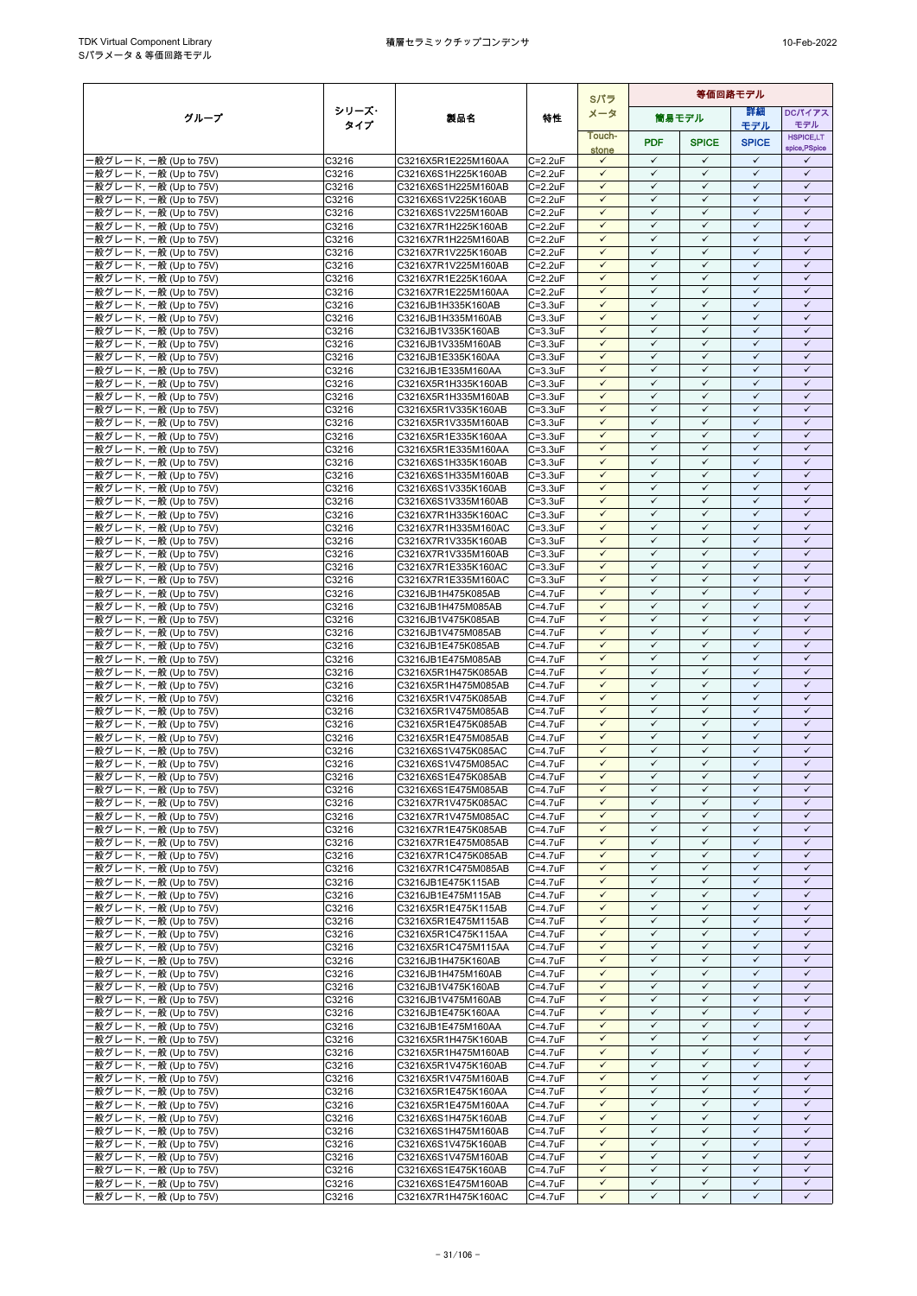|                                                  |                |                                            |                                | Sパラ                          |                              |                              | 等価回路モデル                      |                              |
|--------------------------------------------------|----------------|--------------------------------------------|--------------------------------|------------------------------|------------------------------|------------------------------|------------------------------|------------------------------|
| グループ                                             | シリーズ・          | 製品名                                        | 特性                             | メータ                          |                              | 筒易モデル                        | 詳細                           | <b>DCパイアス</b>                |
|                                                  | タイプ            |                                            |                                | Touch-                       |                              |                              | モデル                          | モデル<br><b>HSPICE,LT</b>      |
|                                                  |                |                                            |                                | stone                        | <b>PDF</b>                   | <b>SPICE</b>                 | <b>SPICE</b>                 | spice, PSpice                |
| -般グレード, 一般 (Up to 75V)                           | C3216          | C3216X5R1E225M160AA                        | $C = 2.2uF$                    | $\checkmark$                 | $\checkmark$                 | $\checkmark$                 | $\checkmark$                 | ✓                            |
| ·般グレード, 一般 (Up to 75V)<br>·般グレード, 一般 (Up to 75V) | C3216<br>C3216 | C3216X6S1H225K160AB<br>C3216X6S1H225M160AB | $C = 2.2uF$<br>C=2.2uF         | $\checkmark$<br>$\checkmark$ | $\checkmark$<br>$\checkmark$ | $\checkmark$<br>$\checkmark$ | $\checkmark$<br>$\checkmark$ | $\checkmark$<br>$\checkmark$ |
| ·般グレード, 一般 (Up to 75V)                           | C3216          | C3216X6S1V225K160AB                        | $C = 2.2uF$                    | $\checkmark$                 | $\checkmark$                 | $\checkmark$                 | $\checkmark$                 | $\checkmark$                 |
| ·般グレード, 一般 (Up to 75V)                           | C3216          | C3216X6S1V225M160AB                        | $C = 2.2uF$                    | $\checkmark$                 | $\checkmark$                 | $\checkmark$                 | $\checkmark$                 | $\checkmark$                 |
| -般グレード, 一般 (Up to 75V)                           | C3216          | C3216X7R1H225K160AB                        | $C = 2.2uF$                    | $\checkmark$                 | $\checkmark$                 | $\checkmark$                 | ✓                            | ✓                            |
| -般グレード, 一般 (Up to 75V)                           | C3216          | C3216X7R1H225M160AB                        | $C = 2.2uF$                    | $\checkmark$                 | $\checkmark$                 | $\checkmark$                 | $\checkmark$                 | $\checkmark$                 |
| ·般グレード, 一般 (Up to 75V)                           | C3216          | C3216X7R1V225K160AB                        | C=2.2uF                        | $\checkmark$<br>$\checkmark$ | $\checkmark$<br>$\checkmark$ | $\checkmark$<br>$\checkmark$ | $\checkmark$<br>$\checkmark$ | $\checkmark$<br>$\checkmark$ |
| ·般グレード, 一般 (Up to 75V)<br>·般グレード, 一般 (Up to 75V) | C3216<br>C3216 | C3216X7R1V225M160AB<br>C3216X7R1E225K160AA | $C = 2.2uF$<br>$C = 2.2uF$     | $\checkmark$                 | $\checkmark$                 | $\checkmark$                 | $\checkmark$                 | $\checkmark$                 |
| ·般グレード, 一般 (Up to 75V)                           | C3216          | C3216X7R1E225M160AA                        | $C = 2.2uF$                    | $\checkmark$                 | $\checkmark$                 | $\checkmark$                 | $\checkmark$                 | $\checkmark$                 |
| -般グレード, 一般 (Up to 75V)                           | C3216          | C3216JB1H335K160AB                         | $C = 3.3uF$                    | $\checkmark$                 | $\checkmark$                 | $\checkmark$                 | $\checkmark$                 | $\checkmark$                 |
| ·般グレード, 一般 (Up to 75V)                           | C3216          | C3216JB1H335M160AB                         | $C = 3.3uF$                    | $\checkmark$                 | $\checkmark$                 | $\checkmark$                 | $\checkmark$                 | $\checkmark$                 |
| ·般グレード, 一般 (Up to 75V)                           | C3216          | C3216JB1V335K160AB<br>C3216JB1V335M160AB   | $C = 3.3uF$<br>$C = 3.3$ u $F$ | $\checkmark$<br>$\checkmark$ | $\checkmark$<br>$\checkmark$ | $\checkmark$<br>$\checkmark$ | $\checkmark$<br>$\checkmark$ | $\checkmark$<br>$\checkmark$ |
| ·般グレード, 一般 (Up to 75V)<br>般グレード, 一般 (Up to 75V)  | C3216<br>C3216 | C3216JB1E335K160AA                         | $C = 3.3uF$                    | $\checkmark$                 | $\checkmark$                 | $\checkmark$                 | $\checkmark$                 | $\checkmark$                 |
| ·般グレード, 一般 (Up to 75V)                           | C3216          | C3216JB1E335M160AA                         | $C = 3.3uF$                    | $\checkmark$                 | $\checkmark$                 | $\checkmark$                 | $\checkmark$                 | $\checkmark$                 |
| -般グレード, 一般 (Up to 75V)                           | C3216          | C3216X5R1H335K160AB                        | $C = 3.3uF$                    | $\checkmark$                 | $\checkmark$                 | $\checkmark$                 | $\checkmark$                 | $\checkmark$                 |
| ·般グレード, 一般 (Up to 75V)                           | C3216          | C3216X5R1H335M160AB                        | $C = 3.3uF$                    | $\checkmark$                 | $\checkmark$                 | $\checkmark$                 | $\checkmark$                 | $\checkmark$                 |
| ·般グレード, 一般 (Up to 75V)                           | C3216          | C3216X5R1V335K160AB                        | $C = 3.3uF$                    | $\checkmark$<br>$\checkmark$ | $\checkmark$<br>$\checkmark$ | $\checkmark$<br>$\checkmark$ | $\checkmark$<br>$\checkmark$ | $\checkmark$<br>$\checkmark$ |
| ·般グレード, 一般 (Up to 75V)<br>般グレード, 一般 (Up to 75V)  | C3216<br>C3216 | C3216X5R1V335M160AB<br>C3216X5R1E335K160AA | $C = 3.3uF$<br>$C = 3.3$ u $F$ | $\checkmark$                 | $\checkmark$                 | $\checkmark$                 | $\checkmark$                 | $\checkmark$                 |
| -般グレード, 一般 (Up to 75V)                           | C3216          | C3216X5R1E335M160AA                        | $C = 3.3uF$                    | $\checkmark$                 | $\checkmark$                 | $\checkmark$                 | $\checkmark$                 | $\checkmark$                 |
| -般グレード, 一般 (Up to 75V)                           | C3216          | C3216X6S1H335K160AB                        | $C = 3.3uF$                    | $\checkmark$                 | $\checkmark$                 | $\checkmark$                 | $\checkmark$                 | $\checkmark$                 |
| ·般グレード, 一般 (Up to 75V)                           | C3216          | C3216X6S1H335M160AB                        | $C = 3.3$ u $F$                | $\checkmark$                 | $\checkmark$                 | $\checkmark$                 | ✓                            | $\checkmark$                 |
| -般グレード, 一般 (Up to 75V)                           | C3216          | C3216X6S1V335K160AB                        | $C = 3.3uF$                    | $\checkmark$<br>$\checkmark$ | $\checkmark$<br>$\checkmark$ | $\checkmark$<br>$\checkmark$ | $\checkmark$<br>$\checkmark$ | $\checkmark$<br>$\checkmark$ |
| ·般グレード, 一般 (Up to 75V)<br>般グレード, 一般 (Up to 75V)  | C3216<br>C3216 | C3216X6S1V335M160AB<br>C3216X7R1H335K160AC | $C = 3.3uF$<br>$C = 3.3uF$     | $\checkmark$                 | $\checkmark$                 | $\checkmark$                 | $\checkmark$                 | $\checkmark$                 |
| -般グレード, 一般 (Up to 75V)                           | C3216          | C3216X7R1H335M160AC                        | $C = 3.3uF$                    | $\checkmark$                 | $\checkmark$                 | $\checkmark$                 | $\checkmark$                 | $\checkmark$                 |
| ·般グレード, 一般 (Up to 75V)                           | C3216          | C3216X7R1V335K160AB                        | $C = 3.3uF$                    | $\checkmark$                 | $\checkmark$                 | $\checkmark$                 | $\checkmark$                 | $\checkmark$                 |
| ·般グレード, 一般 (Up to 75V)                           | C3216          | C3216X7R1V335M160AB                        | $C = 3.3uF$                    | $\checkmark$                 | $\checkmark$                 | $\checkmark$                 | $\checkmark$                 | $\checkmark$                 |
| ·般グレード, 一般 (Up to 75V)                           | C3216          | C3216X7R1E335K160AC                        | $C = 3.3uF$                    | $\checkmark$<br>$\checkmark$ | $\checkmark$<br>$\checkmark$ | $\checkmark$<br>$\checkmark$ | $\checkmark$<br>$\checkmark$ | $\checkmark$<br>$\checkmark$ |
| ·般グレード, 一般 (Up to 75V)<br>·般グレード, 一般 (Up to 75V) | C3216<br>C3216 | C3216X7R1E335M160AC<br>C3216JB1H475K085AB  | $C = 3.3uF$<br>C=4.7uF         | $\checkmark$                 | $\checkmark$                 | $\checkmark$                 | $\checkmark$                 | $\checkmark$                 |
| -般グレード, 一般 (Up to 75V)                           | C3216          | C3216JB1H475M085AB                         | C=4.7uF                        | $\checkmark$                 | $\checkmark$                 | $\checkmark$                 | $\checkmark$                 | $\checkmark$                 |
| ·般グレード, 一般 (Up to 75V)                           | C3216          | C3216JB1V475K085AB                         | C=4.7uF                        | $\checkmark$                 | $\checkmark$                 | $\checkmark$                 | $\checkmark$                 | $\checkmark$                 |
| ·般グレード, 一般 (Up to 75V)                           | C3216          | C3216JB1V475M085AB                         | C=4.7uF                        | $\checkmark$                 | $\checkmark$                 | $\checkmark$                 | $\checkmark$                 | $\checkmark$                 |
| ·般グレード, 一般 (Up to 75V)                           | C3216          | C3216JB1E475K085AB                         | $C = 4.7uF$                    | $\checkmark$                 | $\checkmark$<br>$\checkmark$ | $\checkmark$<br>$\checkmark$ | $\checkmark$<br>$\checkmark$ | $\checkmark$<br>$\checkmark$ |
| -般グレード, 一般 (Up to 75V)<br>·般グレード, 一般 (Up to 75V) | C3216<br>C3216 | C3216JB1E475M085AB<br>C3216X5R1H475K085AB  | C=4.7uF<br>C=4.7uF             | $\checkmark$<br>$\checkmark$ | $\checkmark$                 | $\checkmark$                 | $\checkmark$                 | $\checkmark$                 |
| ·般グレード, 一般 (Up to 75V)                           | C3216          | C3216X5R1H475M085AB                        | C=4.7uF                        | $\checkmark$                 | $\checkmark$                 | $\checkmark$                 | $\checkmark$                 | $\checkmark$                 |
| ·般グレード, 一般 (Up to 75V)                           | C3216          | C3216X5R1V475K085AB                        | C=4.7uF                        | $\checkmark$                 | $\checkmark$                 | $\checkmark$                 | $\checkmark$                 | $\checkmark$                 |
| ·般グレード, 一般 (Up to 75V)                           | C3216          | C3216X5R1V475M085AB                        | C=4.7uF                        | $\checkmark$                 | $\checkmark$                 | $\checkmark$                 | $\checkmark$                 | $\checkmark$                 |
| ·般グレード, 一般 (Up to 75V)                           | C3216          | C3216X5R1E475K085AB                        | C=4.7uF                        | $\checkmark$<br>$\checkmark$ | $\checkmark$<br>$\checkmark$ | $\checkmark$<br>$\checkmark$ | $\checkmark$<br>$\checkmark$ | $\checkmark$<br>$\checkmark$ |
| -般グレード, 一般 (Up to 75V)<br>·般グレード, 一般 (Up to 75V) | C3216<br>C3216 | C3216X5R1E475M085AB<br>C3216X6S1V475K085AC | $C = 4.7uF$<br>C=4.7uF         | $\checkmark$                 | $\checkmark$                 | $\checkmark$                 | $\checkmark$                 | $\checkmark$                 |
| ·般グレード, 一般 (Up to 75V)                           | C3216          | C3216X6S1V475M085AC                        | C=4.7uF                        | $\checkmark$                 | $\checkmark$                 | $\checkmark$                 | $\checkmark$                 | $\checkmark$                 |
| ·般グレード, 一般 (Up to 75V)                           | C3216          | C3216X6S1E475K085AB                        | $C=4.7$ uF                     | $\checkmark$                 | $\checkmark$                 | $\checkmark$                 | $\checkmark$                 | $\checkmark$                 |
| ·般グレード, 一般 (Up to 75V)                           | C3216          | C3216X6S1E475M085AB                        | $C = 4.7$ u $F$                | $\checkmark$                 | $\checkmark$                 | $\checkmark$                 | $\checkmark$                 | $\checkmark$                 |
| -般グレード, 一般 (Up to 75V)<br>-般グレード, 一般 (Up to 75V) | C3216          | C3216X7R1V475K085AC                        | $C = 4.7uF$                    | $\checkmark$<br>$\checkmark$ | $\checkmark$<br>$\checkmark$ | $\checkmark$<br>$\checkmark$ | $\checkmark$<br>$\checkmark$ | $\checkmark$<br>$\checkmark$ |
| -般グレード, 一般 (Up to 75V)                           | C3216<br>C3216 | C3216X7R1V475M085AC<br>C3216X7R1E475K085AB | $C = 4.7uF$<br>C=4.7uF         | $\checkmark$                 | $\checkmark$                 | $\checkmark$                 | $\checkmark$                 | $\checkmark$                 |
| -般グレード, 一般 (Up to 75V)                           | C3216          | C3216X7R1E475M085AB                        | $C=4.7$ uF                     | $\checkmark$                 | $\checkmark$                 | $\checkmark$                 | $\checkmark$                 | $\checkmark$                 |
| - 般グレード, 一般 (Up to 75V)                          | C3216          | C3216X7R1C475K085AB                        | $C = 4.7uF$                    | $\checkmark$                 | $\checkmark$                 | $\checkmark$                 | $\checkmark$                 | $\checkmark$                 |
| ·般グレード, 一般 (Up to 75V)                           | C3216          | C3216X7R1C475M085AB                        | C=4.7uF                        | $\checkmark$                 | $\checkmark$                 | $\checkmark$                 | $\checkmark$                 | $\checkmark$                 |
| -般グレード, 一般 (Up to 75V)<br>-般グレード, 一般 (Up to 75V) | C3216<br>C3216 | C3216JB1E475K115AB<br>C3216JB1E475M115AB   | C=4.7uF<br>C=4.7uF             | $\checkmark$<br>$\checkmark$ | $\checkmark$<br>$\checkmark$ | $\checkmark$<br>$\checkmark$ | $\checkmark$<br>$\checkmark$ | $\checkmark$<br>$\checkmark$ |
| -般グレード, 一般 (Up to 75V)                           | C3216          | C3216X5R1E475K115AB                        | $C = 4.7uF$                    | $\checkmark$                 | $\checkmark$                 | $\checkmark$                 | $\checkmark$                 | $\checkmark$                 |
| -般グレード, 一般 (Up to 75V)                           | C3216          | C3216X5R1E475M115AB                        | C=4.7uF                        | $\checkmark$                 | $\checkmark$                 | $\checkmark$                 | $\checkmark$                 | $\checkmark$                 |
| ·般グレード, 一般 (Up to 75V)                           | C3216          | C3216X5R1C475K115AA                        | C=4.7uF                        | $\checkmark$                 | $\checkmark$                 | $\checkmark$                 | $\checkmark$                 | $\checkmark$                 |
| ·般グレード, 一般 (Up to 75V)                           | C3216          | C3216X5R1C475M115AA                        | C=4.7uF                        | $\checkmark$                 | $\checkmark$                 | $\checkmark$                 | $\checkmark$                 | $\checkmark$                 |
| -般グレード, 一般 (Up to 75V)<br>-般グレード, 一般 (Up to 75V) | C3216<br>C3216 | C3216JB1H475K160AB<br>C3216JB1H475M160AB   | C=4.7uF<br>C=4.7uF             | $\checkmark$<br>✓            | $\checkmark$<br>✓            | $\checkmark$<br>$\checkmark$ | $\checkmark$<br>✓            | $\checkmark$<br>✓            |
| -般グレード, 一般 (Up to 75V)                           | C3216          | C3216JB1V475K160AB                         | C=4.7uF                        | $\checkmark$                 | $\checkmark$                 | $\checkmark$                 | $\checkmark$                 | $\checkmark$                 |
| ·般グレード, 一般 (Up to 75V)                           | C3216          | C3216JB1V475M160AB                         | C=4.7uF                        | $\checkmark$                 | $\checkmark$                 | $\checkmark$                 | $\checkmark$                 | $\checkmark$                 |
| ·般グレード, 一般 (Up to 75V)                           | C3216          | C3216JB1E475K160AA                         | C=4.7uF                        | $\checkmark$                 | $\checkmark$                 | $\checkmark$                 | $\checkmark$                 | $\checkmark$                 |
| -般グレード, 一般 (Up to 75V)                           | C3216          | C3216JB1E475M160AA                         | $C = 4.7$ u $F$                | $\checkmark$                 | $\checkmark$<br>$\checkmark$ | $\checkmark$                 | $\checkmark$                 | $\checkmark$                 |
| -般グレード, 一般 (Up to 75V)<br>-般グレード, 一般 (Up to 75V) | C3216<br>C3216 | C3216X5R1H475K160AB<br>C3216X5R1H475M160AB | C=4.7uF<br>C=4.7uF             | $\checkmark$<br>$\checkmark$ | $\checkmark$                 | $\checkmark$<br>$\checkmark$ | $\checkmark$<br>$\checkmark$ | $\checkmark$<br>$\checkmark$ |
| -般グレード, 一般 (Up to 75V)                           | C3216          | C3216X5R1V475K160AB                        | C=4.7uF                        | $\checkmark$                 | $\checkmark$                 | $\checkmark$                 | ✓                            | $\checkmark$                 |
| ·般グレード, 一般 (Up to 75V)                           | C3216          | C3216X5R1V475M160AB                        | C=4.7uF                        | $\checkmark$                 | $\checkmark$                 | $\checkmark$                 | $\checkmark$                 | $\checkmark$                 |
| ·般グレード, 一般 (Up to 75V)                           | C3216          | C3216X5R1E475K160AA                        | C=4.7uF                        | $\checkmark$                 | $\checkmark$                 | $\checkmark$                 | $\checkmark$                 | $\checkmark$                 |
| -般グレード, 一般 (Up to 75V)                           | C3216          | C3216X5R1E475M160AA                        | $C = 4.7$ u $F$                | $\checkmark$                 | $\checkmark$                 | $\checkmark$                 | $\checkmark$                 | $\checkmark$                 |
| -般グレード, 一般 (Up to 75V)<br>-般グレード, 一般 (Up to 75V) | C3216<br>C3216 | C3216X6S1H475K160AB<br>C3216X6S1H475M160AB | C=4.7uF<br>C=4.7uF             | $\checkmark$<br>$\checkmark$ | $\checkmark$<br>$\checkmark$ | $\checkmark$<br>$\checkmark$ | $\checkmark$<br>$\checkmark$ | $\checkmark$<br>$\checkmark$ |
| -般グレード, 一般 (Up to 75V)                           | C3216          | C3216X6S1V475K160AB                        | $C = 4.7$ u $F$                | $\checkmark$                 | $\checkmark$                 | $\checkmark$                 | $\checkmark$                 | $\checkmark$                 |
| ·般グレード, 一般 (Up to 75V)                           | C3216          | C3216X6S1V475M160AB                        | C=4.7uF                        | $\checkmark$                 | $\checkmark$                 | $\checkmark$                 | $\checkmark$                 | $\checkmark$                 |
| -般グレード, 一般 (Up to 75V)                           | C3216          | C3216X6S1E475K160AB                        | C=4.7uF                        | $\checkmark$                 | $\checkmark$                 | $\checkmark$                 | $\checkmark$                 | $\checkmark$                 |
| -般グレード, 一般 (Up to 75V)                           | C3216          | C3216X6S1E475M160AB                        | C=4.7uF                        | $\checkmark$                 | $\checkmark$                 | $\checkmark$                 | $\checkmark$                 | $\checkmark$                 |
| -般グレード, 一般 (Up to 75V)                           | C3216          | C3216X7R1H475K160AC                        | $C = 4.7uF$                    | $\checkmark$                 | $\checkmark$                 | $\checkmark$                 | $\checkmark$                 | $\checkmark$                 |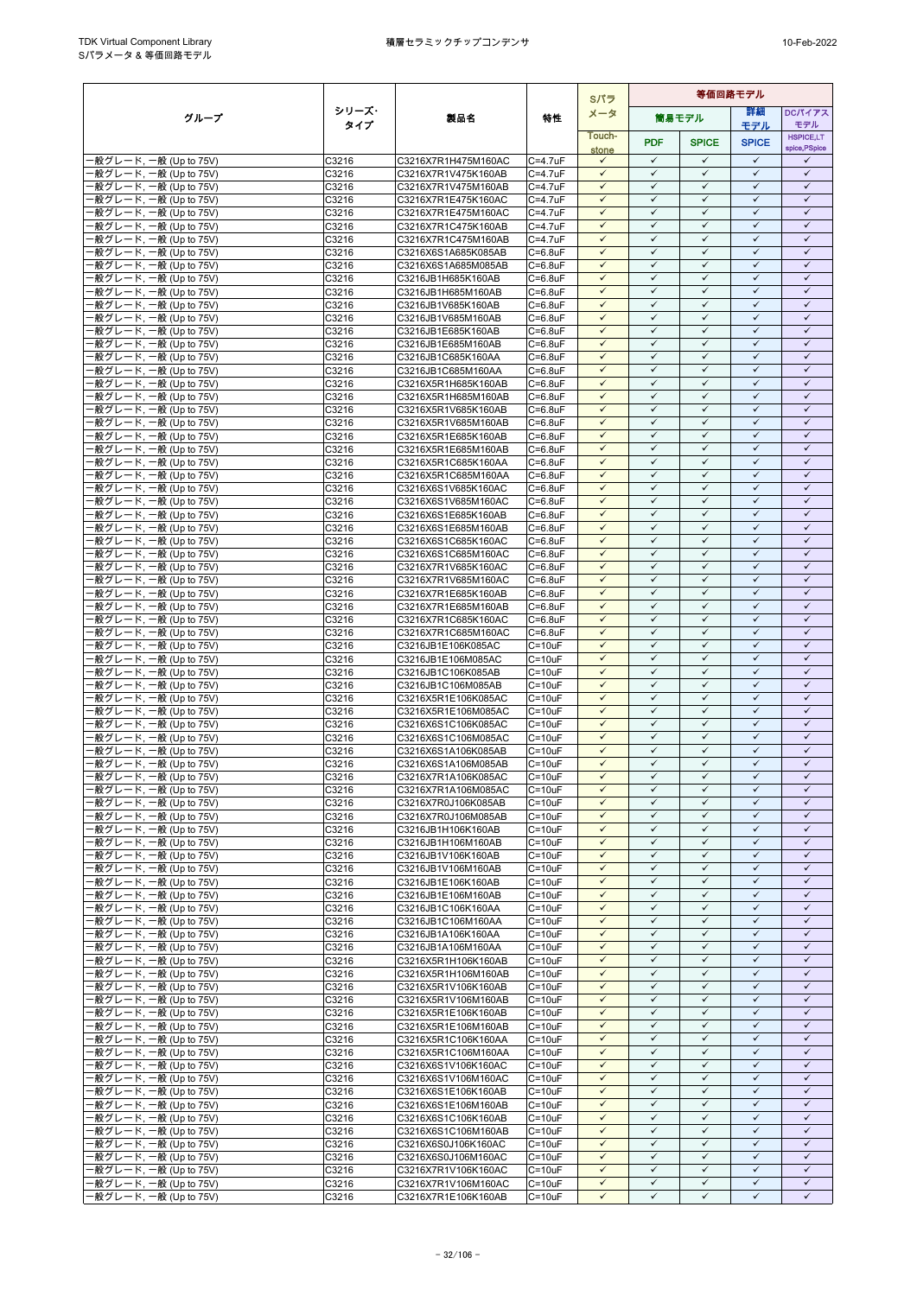|                                                  |                |                                            |                                    |                              | Sパラ                          | 等価回路モデル                      |                              |                              |  |  |  |
|--------------------------------------------------|----------------|--------------------------------------------|------------------------------------|------------------------------|------------------------------|------------------------------|------------------------------|------------------------------|--|--|--|
| グループ                                             | シリーズ・          | 製品名                                        | 特性                                 | メータ                          |                              | 筒易モデル                        | 等細                           | <b>DCパイアス</b>                |  |  |  |
|                                                  | タイプ            |                                            |                                    | Touch-                       |                              |                              | モデル                          | モデル<br><b>HSPICE,LT</b>      |  |  |  |
|                                                  |                |                                            |                                    | stone                        | <b>PDF</b>                   | <b>SPICE</b>                 | <b>SPICE</b>                 | spice, PSpice                |  |  |  |
| ·般グレード, 一般 (Up to 75V)                           | C3216          | C3216X7R1H475M160AC                        | C=4.7uF                            | $\checkmark$                 | $\checkmark$                 | $\checkmark$                 | $\checkmark$                 | ✓                            |  |  |  |
| 般グレード, 一般 (Up to 75V)<br>·般グレード, 一般 (Up to 75V)  | C3216<br>C3216 | C3216X7R1V475K160AB<br>C3216X7R1V475M160AB | $C = 4.7$ u $F$<br>C=4.7uF         | $\checkmark$<br>$\checkmark$ | $\checkmark$<br>$\checkmark$ | $\checkmark$<br>$\checkmark$ | $\checkmark$<br>$\checkmark$ | $\checkmark$<br>$\checkmark$ |  |  |  |
| ·般グレード, 一般 (Up to 75V)                           | C3216          | C3216X7R1E475K160AC                        | C=4.7uF                            | $\checkmark$                 | $\checkmark$                 | $\checkmark$                 | $\checkmark$                 | $\checkmark$                 |  |  |  |
| ·般グレード, 一般 (Up to 75V)                           | C3216          | C3216X7R1E475M160AC                        | C=4.7uF                            | $\checkmark$                 | $\checkmark$                 | $\checkmark$                 | $\checkmark$                 | $\checkmark$                 |  |  |  |
| 般グレード, 一般 (Up to 75V)                            | C3216          | C3216X7R1C475K160AB                        | C=4.7uF                            | $\checkmark$                 | $\checkmark$                 | $\checkmark$                 | $\checkmark$                 | $\checkmark$                 |  |  |  |
| ·般グレード, 一般 (Up to 75V)                           | C3216          | C3216X7R1C475M160AB                        | $C = 4.7uF$                        | $\checkmark$                 | $\checkmark$                 | $\checkmark$                 | $\checkmark$                 | $\checkmark$                 |  |  |  |
| -般グレード, 一般 (Up to 75V)<br>般グレード, 一般 (Up to 75V)  | C3216<br>C3216 | C3216X6S1A685K085AB<br>C3216X6S1A685M085AB | $C = 6.8$ u $F$<br>$C=6.8$ u $F$   | $\checkmark$<br>$\checkmark$ | $\checkmark$<br>$\checkmark$ | $\checkmark$<br>$\checkmark$ | $\checkmark$<br>$\checkmark$ | $\checkmark$<br>$\checkmark$ |  |  |  |
| ·般グレード, 一般 (Up to 75V)                           | C3216          | C3216JB1H685K160AB                         | $C = 6.8$ u $F$                    | $\checkmark$                 | $\checkmark$                 | $\checkmark$                 | $\checkmark$                 | $\checkmark$                 |  |  |  |
| ·般グレード, 一般 (Up to 75V)                           | C3216          | C3216JB1H685M160AB                         | $C=6.8$ u $F$                      | $\checkmark$                 | $\checkmark$                 | $\checkmark$                 | $\checkmark$                 | $\checkmark$                 |  |  |  |
| ·般グレード, 一般 (Up to 75V)                           | C3216          | C3216JB1V685K160AB                         | $C=6.8$ u $F$                      | $\checkmark$                 | $\checkmark$                 | $\checkmark$                 | $\checkmark$                 | $\checkmark$                 |  |  |  |
| ·般グレード, 一般 (Up to 75V)                           | C3216          | C3216JB1V685M160AB                         | $C = 6.8$ u $F$                    | $\checkmark$                 | ✓                            | ✓                            | $\checkmark$                 | ✓                            |  |  |  |
| ·般グレード, 一般 (Up to 75V)                           | C3216<br>C3216 | C3216JB1E685K160AB<br>C3216JB1E685M160AB   | $C=6.8$ u $F$<br>$C=6.8$ u $F$     | $\checkmark$<br>$\checkmark$ | $\checkmark$<br>$\checkmark$ | $\checkmark$<br>$\checkmark$ | $\checkmark$<br>$\checkmark$ | $\checkmark$<br>$\checkmark$ |  |  |  |
| ·般グレード, 一般 (Up to 75V)<br>·般グレード, 一般 (Up to 75V) | C3216          | C3216JB1C685K160AA                         | $C=6.8$ u $F$                      | $\checkmark$                 | $\checkmark$                 | $\checkmark$                 | $\checkmark$                 | $\checkmark$                 |  |  |  |
| ·般グレード, 一般 (Up to 75V)                           | C3216          | C3216JB1C685M160AA                         | $C=6.8$ u $F$                      | $\checkmark$                 | $\checkmark$                 | $\checkmark$                 | $\checkmark$                 | $\checkmark$                 |  |  |  |
| ·般グレード, 一般 (Up to 75V)                           | C3216          | C3216X5R1H685K160AB                        | $C = 6.8$ u $F$                    | $\checkmark$                 | $\checkmark$                 | ✓                            | $\checkmark$                 | ✓                            |  |  |  |
| ·般グレード, 一般 (Up to 75V)                           | C3216          | C3216X5R1H685M160AB                        | $C=6.8$ u $F$                      | $\checkmark$                 | $\checkmark$                 | $\checkmark$                 | $\checkmark$                 | $\checkmark$                 |  |  |  |
| ·般グレード, 一般 (Up to 75V)                           | C3216          | C3216X5R1V685K160AB                        | $C = 6.8$ u $F$                    | $\checkmark$<br>$\checkmark$ | $\checkmark$<br>$\checkmark$ | $\checkmark$<br>$\checkmark$ | $\checkmark$<br>$\checkmark$ | $\checkmark$<br>$\checkmark$ |  |  |  |
| ·般グレード, 一般 (Up to 75V)<br>·般グレード, 一般 (Up to 75V) | C3216<br>C3216 | C3216X5R1V685M160AB<br>C3216X5R1E685K160AB | $C=6.8$ u $F$<br>$C=6.8$ u $F$     | $\checkmark$                 | $\checkmark$                 | $\checkmark$                 | $\checkmark$                 | $\checkmark$                 |  |  |  |
| ·般グレード, 一般 (Up to 75V)                           | C3216          | C3216X5R1E685M160AB                        | C=6.8uF                            | $\checkmark$                 | $\checkmark$                 | $\checkmark$                 | $\checkmark$                 | $\checkmark$                 |  |  |  |
| ·般グレード, 一般 (Up to 75V)                           | C3216          | C3216X5R1C685K160AA                        | $C=6.8$ u $F$                      | $\checkmark$                 | $\checkmark$                 | $\checkmark$                 | $\checkmark$                 | $\checkmark$                 |  |  |  |
| ·般グレード, 一般 (Up to 75V)                           | C3216          | C3216X5R1C685M160AA                        | $C=6.8$ u $F$                      | $\checkmark$                 | $\checkmark$                 | $\checkmark$                 | $\checkmark$                 | $\checkmark$                 |  |  |  |
| ·般グレード, 一般 (Up to 75V)                           | C3216          | C3216X6S1V685K160AC                        | $C = 6.8$ u $F$                    | $\checkmark$<br>$\checkmark$ | $\checkmark$<br>$\checkmark$ | $\checkmark$<br>$\checkmark$ | $\checkmark$<br>$\checkmark$ | $\checkmark$<br>$\checkmark$ |  |  |  |
| ·般グレード, 一般 (Up to 75V)<br>-般グレード, 一般 (Up to 75V) | C3216<br>C3216 | C3216X6S1V685M160AC<br>C3216X6S1E685K160AB | $C = 6.8$ u $F$<br>$C=6.8$ u $F$   | $\checkmark$                 | $\checkmark$                 | $\checkmark$                 | $\checkmark$                 | $\checkmark$                 |  |  |  |
| ·般グレード, 一般 (Up to 75V)                           | C3216          | C3216X6S1E685M160AB                        | $C = 6.8$ u $F$                    | $\checkmark$                 | $\checkmark$                 | $\checkmark$                 | $\checkmark$                 | $\checkmark$                 |  |  |  |
| ·般グレード, 一般 (Up to 75V)                           | C3216          | C3216X6S1C685K160AC                        | $C=6.8$ u $F$                      | $\checkmark$                 | $\checkmark$                 | $\checkmark$                 | $\checkmark$                 | $\checkmark$                 |  |  |  |
| -般グレード, 一般 (Up to 75V)                           | C3216          | C3216X6S1C685M160AC                        | $C = 6.8$ u $F$                    | $\checkmark$                 | $\checkmark$                 | $\checkmark$                 | $\checkmark$                 | $\checkmark$                 |  |  |  |
| ·般グレード, 一般 (Up to 75V)                           | C3216          | C3216X7R1V685K160AC                        | $C = 6.8$ u $F$                    | $\checkmark$                 | $\checkmark$                 | $\checkmark$                 | $\checkmark$                 | $\checkmark$                 |  |  |  |
| ·般グレード, 一般 (Up to 75V)<br>·般グレード, 一般 (Up to 75V) | C3216<br>C3216 | C3216X7R1V685M160AC<br>C3216X7R1E685K160AB | $C = 6.8$ u $F$<br>$C = 6.8$ u $F$ | $\checkmark$<br>$\checkmark$ | $\checkmark$<br>$\checkmark$ | $\checkmark$<br>$\checkmark$ | $\checkmark$<br>$\checkmark$ | $\checkmark$<br>$\checkmark$ |  |  |  |
| ·般グレード, 一般 (Up to 75V)                           | C3216          | C3216X7R1E685M160AB                        | $C=6.8$ u $F$                      | $\checkmark$                 | $\checkmark$                 | $\checkmark$                 | $\checkmark$                 | $\checkmark$                 |  |  |  |
| ·般グレード, 一般 (Up to 75V)                           | C3216          | C3216X7R1C685K160AC                        | $C = 6.8$ u $F$                    | $\checkmark$                 | $\checkmark$                 | $\checkmark$                 | $\checkmark$                 | $\checkmark$                 |  |  |  |
| ·般グレード, 一般 (Up to 75V)                           | C3216          | C3216X7R1C685M160AC                        | $C = 6.8$ u $F$                    | $\checkmark$                 | $\checkmark$                 | ✓                            | $\checkmark$                 | $\checkmark$                 |  |  |  |
| ·般グレード, 一般 (Up to 75V)                           | C3216          | C3216JB1E106K085AC                         | $C = 10uF$                         | $\checkmark$                 | $\checkmark$                 | $\checkmark$                 | $\checkmark$                 | $\checkmark$                 |  |  |  |
| ·般グレード, 一般 (Up to 75V)<br>·般グレード, 一般 (Up to 75V) | C3216<br>C3216 | C3216JB1E106M085AC<br>C3216JB1C106K085AB   | $C = 10uF$<br>$C = 10uF$           | $\checkmark$<br>$\checkmark$ | $\checkmark$<br>$\checkmark$ | $\checkmark$<br>$\checkmark$ | $\checkmark$<br>$\checkmark$ | $\checkmark$<br>$\checkmark$ |  |  |  |
| -般グレード, 一般 (Up to 75V)                           | C3216          | C3216JB1C106M085AB                         | $C = 10uF$                         | $\checkmark$                 | $\checkmark$                 | $\checkmark$                 | $\checkmark$                 | $\checkmark$                 |  |  |  |
| -般グレード, 一般 (Up to 75V)                           | C3216          | C3216X5R1E106K085AC                        | $C = 10uF$                         | $\checkmark$                 | $\checkmark$                 | $\checkmark$                 | $\checkmark$                 | $\checkmark$                 |  |  |  |
| -般グレード, 一般 (Up to 75V)                           | C3216          | C3216X5R1E106M085AC                        | $C = 10uF$                         | $\checkmark$                 | $\checkmark$                 | $\checkmark$                 | $\checkmark$                 | $\checkmark$                 |  |  |  |
| -般グレード, 一般 (Up to 75V)                           | C3216          | C3216X6S1C106K085AC                        | $C = 10uF$                         | $\checkmark$                 | $\checkmark$                 | $\checkmark$                 | $\checkmark$                 | $\checkmark$                 |  |  |  |
| ·般グレード, 一般 (Up to 75V)                           | C3216<br>C3216 | C3216X6S1C106M085AC<br>C3216X6S1A106K085AB | $C = 10uF$<br>$C = 10uF$           | $\checkmark$<br>$\checkmark$ | $\checkmark$<br>$\checkmark$ | $\checkmark$<br>$\checkmark$ | $\checkmark$<br>$\checkmark$ | $\checkmark$<br>$\checkmark$ |  |  |  |
| ·般グレード, 一般 (Up to 75V)<br>·般グレード, 一般 (Up to 75V) | C3216          | C3216X6S1A106M085AB                        | $C = 10uF$                         | $\checkmark$                 | $\checkmark$                 | $\checkmark$                 | $\checkmark$                 | $\checkmark$                 |  |  |  |
| ·般グレード, 一般 (Up to 75V)                           | C3216          | C3216X7R1A106K085AC                        | $C = 10uF$                         | $\checkmark$                 | $\checkmark$                 | $\checkmark$                 | $\checkmark$                 | $\checkmark$                 |  |  |  |
| ·般グレード, 一般 (Up to 75V)                           | C3216          | C3216X7R1A106M085AC                        | $C = 10uF$                         | $\checkmark$                 | $\checkmark$                 | $\checkmark$                 | ✓                            | ✓                            |  |  |  |
| -般グレード, 一般 (Up to 75V)                           | C3216          | C3216X7R0J106K085AB                        | $C = 10uF$                         | $\checkmark$                 | $\checkmark$                 | $\checkmark$                 | $\checkmark$                 | $\checkmark$                 |  |  |  |
| -般グレード, 一般 (Up to 75V)<br>-般グレード, 一般 (Up to 75V) | C3216          | C3216X7R0J106M085AB<br>C3216JB1H106K160AB  | $C = 10uF$<br>$C = 10uF$           | $\checkmark$<br>$\checkmark$ | $\checkmark$<br>$\checkmark$ | $\checkmark$<br>$\checkmark$ | $\checkmark$<br>$\checkmark$ | $\checkmark$<br>$\checkmark$ |  |  |  |
| -般グレード, 一般 (Up to 75V)                           | C3216<br>C3216 | C3216JB1H106M160AB                         | $C = 10uF$                         | $\checkmark$                 | $\checkmark$                 | $\checkmark$                 | $\checkmark$                 | $\checkmark$                 |  |  |  |
| ·般グレード, 一般 (Up to 75V)                           | C3216          | C3216JB1V106K160AB                         | $C = 10uF$                         | $\checkmark$                 | $\checkmark$                 | $\checkmark$                 | $\checkmark$                 | $\checkmark$                 |  |  |  |
| -般グレード, 一般 (Up to 75V)                           | C3216          | C3216JB1V106M160AB                         | $C = 10uF$                         | $\checkmark$                 | $\checkmark$                 | $\checkmark$                 | $\checkmark$                 | $\checkmark$                 |  |  |  |
| -般グレード, 一般 (Up to 75V)                           | C3216          | C3216JB1E106K160AB                         | $C = 10uF$                         | $\checkmark$                 | $\checkmark$                 | $\checkmark$                 | ✓                            | $\checkmark$                 |  |  |  |
| ·般グレード, 一般 (Up to 75V)<br>·般グレード, 一般 (Up to 75V) | C3216<br>C3216 | C3216JB1E106M160AB<br>C3216JB1C106K160AA   | $C = 10uF$<br>$C = 10uF$           | $\checkmark$<br>$\checkmark$ | $\checkmark$<br>$\checkmark$ | $\checkmark$<br>$\checkmark$ | $\checkmark$<br>$\checkmark$ | $\checkmark$<br>$\checkmark$ |  |  |  |
| -般グレード, 一般 (Up to 75V)                           | C3216          | C3216JB1C106M160AA                         | $C = 10uF$                         | $\checkmark$                 | $\checkmark$                 | $\checkmark$                 | $\checkmark$                 | ✓                            |  |  |  |
| ·般グレード, 一般 (Up to 75V)                           | C3216          | C3216JB1A106K160AA                         | $C = 10uF$                         | $\checkmark$                 | $\checkmark$                 | $\checkmark$                 | $\checkmark$                 | $\checkmark$                 |  |  |  |
| ·般グレード, 一般 (Up to 75V)                           | C3216          | C3216JB1A106M160AA                         | $C = 10uF$                         | $\checkmark$                 | $\checkmark$                 | $\checkmark$                 | $\checkmark$                 | $\checkmark$                 |  |  |  |
| ·般グレード, 一般 (Up to 75V)                           | C3216          | C3216X5R1H106K160AB                        | $C = 10uF$                         | $\checkmark$                 | $\checkmark$                 | $\checkmark$                 | $\checkmark$                 | $\checkmark$                 |  |  |  |
| -般グレード, 一般 (Up to 75V)<br>-般グレード, 一般 (Up to 75V) | C3216          | C3216X5R1H106M160AB                        | $C = 10uF$<br>$C = 10uF$           | $\checkmark$<br>$\checkmark$ | $\checkmark$<br>$\checkmark$ | $\checkmark$<br>$\checkmark$ | $\checkmark$<br>$\checkmark$ | $\checkmark$<br>$\checkmark$ |  |  |  |
| ·般グレード, 一般 (Up to 75V)                           | C3216<br>C3216 | C3216X5R1V106K160AB<br>C3216X5R1V106M160AB | $C = 10uF$                         | $\checkmark$                 | $\checkmark$                 | $\checkmark$                 | $\checkmark$                 | $\checkmark$                 |  |  |  |
| -般グレード, 一般 (Up to 75V)                           | C3216          | C3216X5R1E106K160AB                        | $C = 10uF$                         | $\checkmark$                 | $\checkmark$                 | $\checkmark$                 | $\checkmark$                 | $\checkmark$                 |  |  |  |
| ·般グレード, 一般 (Up to 75V)                           | C3216          | C3216X5R1E106M160AB                        | $C = 10uF$                         | $\checkmark$                 | $\checkmark$                 | $\checkmark$                 | $\checkmark$                 | $\checkmark$                 |  |  |  |
| -般グレード, 一般 (Up to 75V)                           | C3216          | C3216X5R1C106K160AA                        | $C = 10uF$                         | $\checkmark$                 | $\checkmark$                 | ✓                            | ✓                            | ✓                            |  |  |  |
| ·般グレード, 一般 (Up to 75V)                           | C3216          | C3216X5R1C106M160AA                        | $C = 10uF$<br>$C = 10uF$           | $\checkmark$<br>$\checkmark$ | $\checkmark$<br>$\checkmark$ | $\checkmark$<br>$\checkmark$ | $\checkmark$<br>$\checkmark$ | $\checkmark$<br>$\checkmark$ |  |  |  |
| ·般グレード, 一般 (Up to 75V)<br>-般グレード, 一般 (Up to 75V) | C3216<br>C3216 | C3216X6S1V106K160AC<br>C3216X6S1V106M160AC | $C = 10uF$                         | $\checkmark$                 | $\checkmark$                 | $\checkmark$                 | $\checkmark$                 | $\checkmark$                 |  |  |  |
| -般グレード, 一般 (Up to 75V)                           | C3216          | C3216X6S1E106K160AB                        | $C = 10uF$                         | $\checkmark$                 | $\checkmark$                 | $\checkmark$                 | $\checkmark$                 | $\checkmark$                 |  |  |  |
| ·般グレード, 一般 (Up to 75V)                           | C3216          | C3216X6S1E106M160AB                        | $C = 10uF$                         | $\checkmark$                 | $\checkmark$                 | ✓                            | $\checkmark$                 | $\checkmark$                 |  |  |  |
| -般グレード, 一般 (Up to 75V)                           | C3216          | C3216X6S1C106K160AB                        | $C = 10uF$                         | $\checkmark$                 | $\checkmark$                 | $\checkmark$                 | $\checkmark$                 | $\checkmark$                 |  |  |  |
| -般グレード, 一般 (Up to 75V)<br>·般グレード, 一般 (Up to 75V) | C3216          | C3216X6S1C106M160AB                        | $C = 10uF$<br>$C = 10uF$           | $\checkmark$<br>$\checkmark$ | $\checkmark$<br>$\checkmark$ | $\checkmark$<br>$\checkmark$ | $\checkmark$<br>$\checkmark$ | $\checkmark$<br>$\checkmark$ |  |  |  |
| ·般グレード, 一般 (Up to 75V)                           | C3216<br>C3216 | C3216X6S0J106K160AC<br>C3216X6S0J106M160AC | $C = 10uF$                         | $\checkmark$                 | $\checkmark$                 | $\checkmark$                 | $\checkmark$                 | $\checkmark$                 |  |  |  |
| -般グレード, 一般 (Up to 75V)                           | C3216          | C3216X7R1V106K160AC                        | $C = 10uF$                         | $\checkmark$                 | $\checkmark$                 | $\checkmark$                 | $\checkmark$                 | $\checkmark$                 |  |  |  |
| -般グレード, 一般 (Up to 75V)                           | C3216          | C3216X7R1V106M160AC                        | $C = 10uF$                         | $\checkmark$                 | $\checkmark$                 | $\checkmark$                 | $\checkmark$                 | $\checkmark$                 |  |  |  |
| -般グレード, 一般 (Up to 75V)                           | C3216          | C3216X7R1E106K160AB                        | $C = 10uF$                         | $\checkmark$                 | $\checkmark$                 | $\checkmark$                 | ✓                            | ✓                            |  |  |  |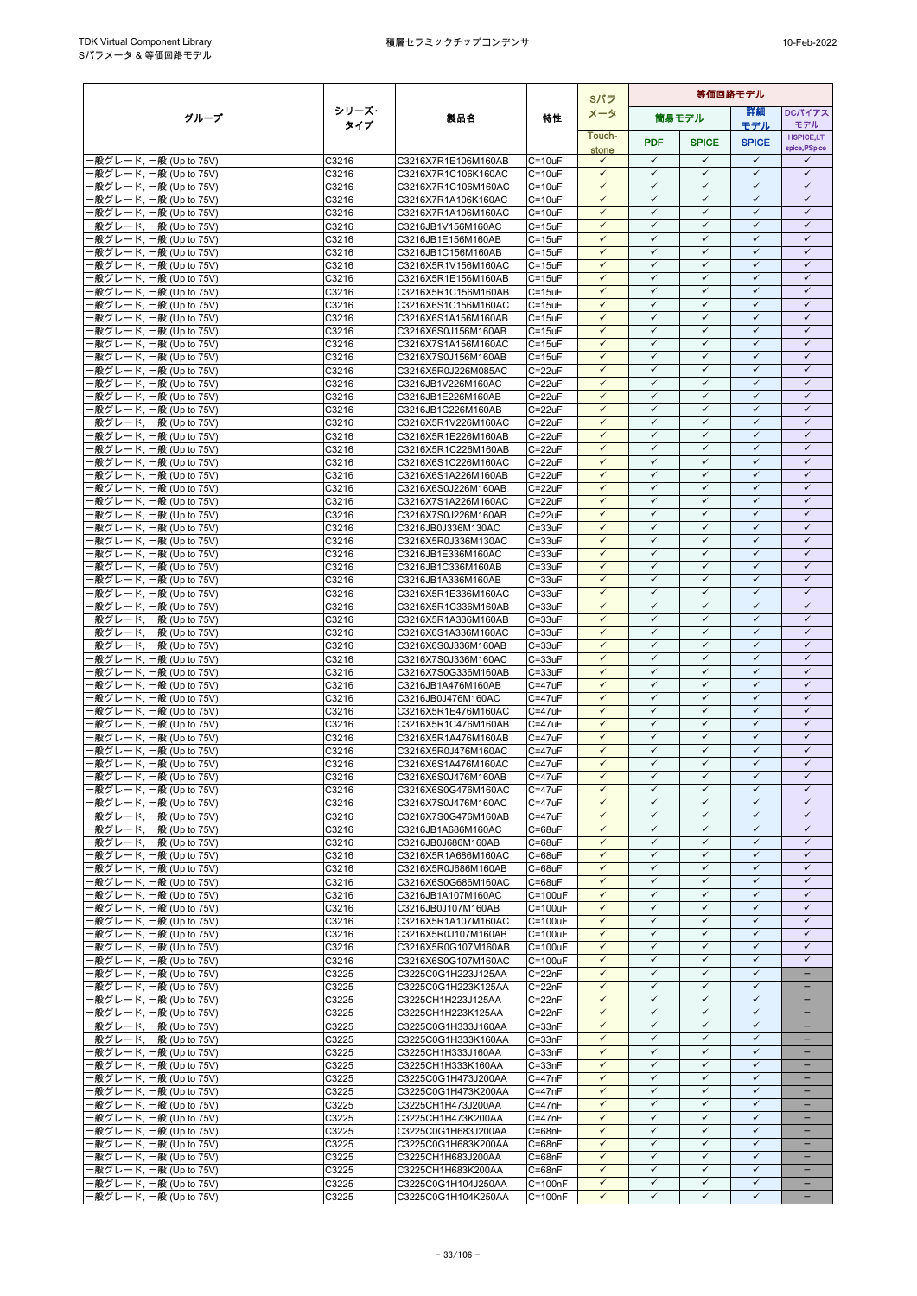|                                                   |                |                                            |                            | Sパラ                          | 等価回路モデル                      |                              |                              |                                   |  |  |
|---------------------------------------------------|----------------|--------------------------------------------|----------------------------|------------------------------|------------------------------|------------------------------|------------------------------|-----------------------------------|--|--|
| グループ                                              | シリーズ・          | 製品名                                        | 特性                         | メータ                          |                              | 筒易モデル                        | 等細                           | <b>DCパイアス</b>                     |  |  |
|                                                   | タイプ            |                                            |                            | Touch-                       |                              |                              | モデル                          | モデル                               |  |  |
|                                                   |                |                                            |                            | stone                        | <b>PDF</b>                   | <b>SPICE</b>                 | <b>SPICE</b>                 | <b>HSPICE,LT</b><br>spice, PSpice |  |  |
| ·般グレード, 一般 (Up to 75V)                            | C3216          | C3216X7R1E106M160AB                        | $C = 10uF$                 | $\checkmark$                 | $\checkmark$                 | $\checkmark$                 | $\checkmark$                 | ✓                                 |  |  |
| 般グレード, 一般 (Up to 75V)                             | C3216          | C3216X7R1C106K160AC                        | $C = 10uF$                 | $\checkmark$                 | $\checkmark$                 | $\checkmark$                 | $\checkmark$                 | $\checkmark$                      |  |  |
| ·般グレード, 一般 (Up to 75V)                            | C3216          | C3216X7R1C106M160AC                        | $C = 10uF$                 | $\checkmark$                 | $\checkmark$                 | $\checkmark$                 | $\checkmark$                 | $\checkmark$                      |  |  |
| ·般グレード, 一般 (Up to 75V)                            | C3216<br>C3216 | C3216X7R1A106K160AC                        | $C = 10uF$<br>$C = 10uF$   | $\checkmark$<br>$\checkmark$ | $\checkmark$<br>$\checkmark$ | $\checkmark$<br>$\checkmark$ | $\checkmark$<br>$\checkmark$ | $\checkmark$<br>$\checkmark$      |  |  |
| ·般グレード, 一般 (Up to 75V)<br>般グレード, 一般 (Up to 75V)   | C3216          | C3216X7R1A106M160AC<br>C3216JB1V156M160AC  | $C = 15uF$                 | $\checkmark$                 | $\checkmark$                 | $\checkmark$                 | $\checkmark$                 | $\checkmark$                      |  |  |
| ·般グレード, 一般 (Up to 75V)                            | C3216          | C3216JB1E156M160AB                         | $C = 15uF$                 | $\checkmark$                 | $\checkmark$                 | $\checkmark$                 | $\checkmark$                 | $\checkmark$                      |  |  |
| -般グレード, 一般 (Up to 75V)                            | C3216          | C3216JB1C156M160AB                         | $C = 15uF$                 | $\checkmark$                 | $\checkmark$                 | $\checkmark$                 | $\checkmark$                 | $\checkmark$                      |  |  |
| 般グレード, 一般 (Up to 75V)                             | C3216          | C3216X5R1V156M160AC                        | $C = 15uF$                 | $\checkmark$                 | $\checkmark$                 | $\checkmark$                 | $\checkmark$                 | $\checkmark$                      |  |  |
| ·般グレード, 一般 (Up to 75V)                            | C3216          | C3216X5R1E156M160AB                        | $C = 15uF$                 | $\checkmark$                 | $\checkmark$                 | $\checkmark$                 | $\checkmark$                 | $\checkmark$                      |  |  |
| ·般グレード, 一般 (Up to 75V)<br>·般グレード, 一般 (Up to 75V)  | C3216<br>C3216 | C3216X5R1C156M160AB                        | $C = 15uF$<br>$C = 15uF$   | $\checkmark$<br>$\checkmark$ | $\checkmark$<br>$\checkmark$ | $\checkmark$<br>$\checkmark$ | $\checkmark$<br>$\checkmark$ | $\checkmark$<br>$\checkmark$      |  |  |
| ·般グレード, 一般 (Up to 75V)                            | C3216          | C3216X6S1C156M160AC<br>C3216X6S1A156M160AB | $C = 15uF$                 | $\checkmark$                 | ✓                            | ✓                            | $\checkmark$                 | ✓                                 |  |  |
| ·般グレード, 一般 (Up to 75V)                            | C3216          | C3216X6S0J156M160AB                        | $C = 15uF$                 | $\checkmark$                 | $\checkmark$                 | $\checkmark$                 | $\checkmark$                 | $\checkmark$                      |  |  |
| ·般グレード, 一般 (Up to 75V)                            | C3216          | C3216X7S1A156M160AC                        | $C = 15uF$                 | $\checkmark$                 | $\checkmark$                 | $\checkmark$                 | $\checkmark$                 | $\checkmark$                      |  |  |
| ·般グレード, 一般 (Up to 75V)                            | C3216          | C3216X7S0J156M160AB                        | $C = 15uF$                 | $\checkmark$                 | $\checkmark$                 | $\checkmark$                 | $\checkmark$                 | $\checkmark$                      |  |  |
| ·般グレード, 一般 (Up to 75V)                            | C3216          | C3216X5R0J226M085AC                        | $C = 22uF$                 | $\checkmark$                 | $\checkmark$                 | $\checkmark$                 | $\checkmark$                 | $\checkmark$                      |  |  |
| ·般グレード, 一般 (Up to 75V)<br>·般グレード, 一般 (Up to 75V)  | C3216<br>C3216 | C3216JB1V226M160AC<br>C3216JB1E226M160AB   | $C = 22uF$<br>$C = 22uF$   | $\checkmark$<br>$\checkmark$ | ✓<br>$\checkmark$            | ✓<br>$\checkmark$            | $\checkmark$<br>$\checkmark$ | ✓<br>$\checkmark$                 |  |  |
| ·般グレード, 一般 (Up to 75V)                            | C3216          | C3216JB1C226M160AB                         | $C = 22uF$                 | $\checkmark$                 | $\checkmark$                 | $\checkmark$                 | $\checkmark$                 | $\checkmark$                      |  |  |
| ·般グレード, 一般 (Up to 75V)                            | C3216          | C3216X5R1V226M160AC                        | $C = 22uF$                 | $\checkmark$                 | $\checkmark$                 | $\checkmark$                 | $\checkmark$                 | $\checkmark$                      |  |  |
| ·般グレード, 一般 (Up to 75V)                            | C3216          | C3216X5R1E226M160AB                        | $C = 22uF$                 | $\checkmark$                 | $\checkmark$                 | $\checkmark$                 | $\checkmark$                 | $\checkmark$                      |  |  |
| ·般グレード, 一般 (Up to 75V)                            | C3216          | C3216X5R1C226M160AB                        | $C = 22uF$                 | $\checkmark$                 | $\checkmark$                 | $\checkmark$                 | $\checkmark$                 | $\checkmark$                      |  |  |
| ·般グレード, 一般 (Up to 75V)                            | C3216          | C3216X6S1C226M160AC                        | $C = 22uF$                 | $\checkmark$                 | $\checkmark$                 | $\checkmark$                 | $\checkmark$                 | $\checkmark$                      |  |  |
| ·般グレード, 一般 (Up to 75V)                            | C3216          | C3216X6S1A226M160AB<br>C3216X6S0J226M160AB | $C = 22uF$<br>C=22uF       | $\checkmark$<br>$\checkmark$ | $\checkmark$<br>$\checkmark$ | $\checkmark$<br>$\checkmark$ | $\checkmark$<br>$\checkmark$ | $\checkmark$<br>$\checkmark$      |  |  |
| ·般グレード, 一般 (Up to 75V)<br>·般グレード, 一般 (Up to 75V)  | C3216<br>C3216 | C3216X7S1A226M160AC                        | $C = 22uF$                 | $\checkmark$                 | $\checkmark$                 | $\checkmark$                 | $\checkmark$                 | $\checkmark$                      |  |  |
| -般グレード, 一般 (Up to 75V)                            | C3216          | C3216X7S0J226M160AB                        | $C = 22uF$                 | $\checkmark$                 | $\checkmark$                 | $\checkmark$                 | $\checkmark$                 | $\checkmark$                      |  |  |
| ·般グレード, 一般 (Up to 75V)                            | C3216          | C3216JB0J336M130AC                         | $C = 33uF$                 | $\checkmark$                 | $\checkmark$                 | $\checkmark$                 | $\checkmark$                 | $\checkmark$                      |  |  |
| ·般グレード, 一般 (Up to 75V)                            | C3216          | C3216X5R0J336M130AC                        | $C = 33uF$                 | $\checkmark$                 | $\checkmark$                 | $\checkmark$                 | $\checkmark$                 | $\checkmark$                      |  |  |
| -般グレード, 一般 (Up to 75V)                            | C3216          | C3216JB1E336M160AC                         | $C = 33uF$                 | $\checkmark$                 | $\checkmark$                 | $\checkmark$                 | $\checkmark$                 | $\checkmark$                      |  |  |
| ·般グレード, 一般 (Up to 75V)<br>·般グレード, 一般 (Up to 75V)  | C3216<br>C3216 | C3216JB1C336M160AB<br>C3216JB1A336M160AB   | $C = 33uF$<br>$C = 33uF$   | $\checkmark$<br>$\checkmark$ | $\checkmark$<br>$\checkmark$ | $\checkmark$<br>$\checkmark$ | $\checkmark$<br>$\checkmark$ | $\checkmark$<br>$\checkmark$      |  |  |
| -般グレード, 一般 (Up to 75V)                            | C3216          | C3216X5R1E336M160AC                        | $C = 33uF$                 | $\checkmark$                 | $\checkmark$                 | $\checkmark$                 | $\checkmark$                 | $\checkmark$                      |  |  |
| ·般グレード, 一般 (Up to 75V)                            | C3216          | C3216X5R1C336M160AB                        | $C = 33uF$                 | $\checkmark$                 | $\checkmark$                 | $\checkmark$                 | $\checkmark$                 | $\checkmark$                      |  |  |
| ·般グレード, 一般 (Up to 75V)                            | C3216          | C3216X5R1A336M160AB                        | $C = 33uF$                 | $\checkmark$                 | $\checkmark$                 | $\checkmark$                 | $\checkmark$                 | $\checkmark$                      |  |  |
| ·般グレード, 一般 (Up to 75V)                            | C3216          | C3216X6S1A336M160AC                        | $C = 33uF$                 | $\checkmark$                 | $\checkmark$                 | ✓                            | $\checkmark$                 | $\checkmark$                      |  |  |
| ·般グレード, 一般 (Up to 75V)                            | C3216          | C3216X6S0J336M160AB                        | $C = 33uF$                 | $\checkmark$                 | $\checkmark$                 | $\checkmark$                 | $\checkmark$                 | $\checkmark$                      |  |  |
| ·般グレード, 一般 (Up to 75V)<br>·般グレード, 一般 (Up to 75V)  | C3216<br>C3216 | C3216X7S0J336M160AC<br>C3216X7S0G336M160AB | $C = 33uF$<br>$C = 33uF$   | $\checkmark$<br>$\checkmark$ | $\checkmark$<br>$\checkmark$ | $\checkmark$<br>$\checkmark$ | $\checkmark$<br>$\checkmark$ | $\checkmark$<br>$\checkmark$      |  |  |
| -般グレード, 一般 (Up to 75V)                            | C3216          | C3216JB1A476M160AB                         | $C = 47uF$                 | $\checkmark$                 | $\checkmark$                 | $\checkmark$                 | $\checkmark$                 | $\checkmark$                      |  |  |
| -般グレード, 一般 (Up to 75V)                            | C3216          | C3216JB0J476M160AC                         | C=47uF                     | $\checkmark$                 | $\checkmark$                 | $\checkmark$                 | $\checkmark$                 | $\checkmark$                      |  |  |
| -般グレード, 一般 (Up to 75V)                            | C3216          | C3216X5R1E476M160AC                        | $C = 47uF$                 | $\checkmark$                 | $\checkmark$                 | $\checkmark$                 | $\checkmark$                 | $\checkmark$                      |  |  |
| -般グレード, 一般 (Up to 75V)                            | C3216          | C3216X5R1C476M160AB                        | $C = 47uF$                 | $\checkmark$                 | $\checkmark$                 | $\checkmark$                 | $\checkmark$                 | $\checkmark$                      |  |  |
| ·般グレード, 一般 (Up to 75V)                            | C3216          | C3216X5R1A476M160AB                        | $C = 47uF$                 | $\checkmark$                 | $\checkmark$                 | $\checkmark$                 | $\checkmark$<br>$\checkmark$ | $\checkmark$                      |  |  |
| ·般グレード, 一般 (Up to 75V)<br>·般グレード, 一般 (Up to 75V)  | C3216<br>C3216 | C3216X5R0J476M160AC<br>C3216X6S1A476M160AC | $C = 47uF$<br>$C = 47uF$   | $\checkmark$<br>$\checkmark$ | $\checkmark$<br>$\checkmark$ | $\checkmark$<br>$\checkmark$ | $\checkmark$                 | $\checkmark$<br>$\checkmark$      |  |  |
| ·般グレード, 一般 (Up to 75V)                            | C3216          | C3216X6S0J476M160AB                        | C=47uF                     | $\checkmark$                 | $\checkmark$                 | $\checkmark$                 | $\checkmark$                 | $\checkmark$                      |  |  |
| ·般グレード, 一般 (Up to 75V)                            | C3216          | C3216X6S0G476M160AC                        | C=47uF                     | $\checkmark$                 | $\checkmark$                 | $\checkmark$                 | $\checkmark$                 | ✓                                 |  |  |
| -般グレード, 一般 (Up to 75V)                            | C3216          | C3216X7S0J476M160AC                        | $C = 47uF$                 | $\checkmark$                 | $\checkmark$                 | $\checkmark$                 | $\checkmark$                 | $\checkmark$                      |  |  |
| -般グレード, 一般 (Up to 75V)                            | C3216          | C3216X7S0G476M160AB                        | $C = 47uF$                 | $\checkmark$                 | $\checkmark$                 | $\checkmark$                 | $\checkmark$                 | $\checkmark$                      |  |  |
| -般グレード, 一般 (Up to 75V)                            | C3216          | C3216JB1A686M160AC                         | $C = 68uF$                 | $\checkmark$                 | $\checkmark$<br>$\checkmark$ | $\checkmark$<br>$\checkmark$ | $\checkmark$<br>$\checkmark$ | $\checkmark$<br>$\checkmark$      |  |  |
| - 般グレード, 一般 (Up to 75V)<br>·般グレード, 一般 (Up to 75V) | C3216<br>C3216 | C3216JB0J686M160AB<br>C3216X5R1A686M160AC  | $C = 68uF$<br>$C = 68uF$   | $\checkmark$<br>$\checkmark$ | $\checkmark$                 | ✓                            | $\checkmark$                 | $\checkmark$                      |  |  |
| ·般グレード, 一般 (Up to 75V)                            | C3216          | C3216X5R0J686M160AB                        | $C = 68uF$                 | $\checkmark$                 | $\checkmark$                 | $\checkmark$                 | $\checkmark$                 | $\checkmark$                      |  |  |
| -般グレード, 一般 (Up to 75V)                            | C3216          | C3216X6S0G686M160AC                        | $C = 68uF$                 | $\checkmark$                 | $\checkmark$                 | $\checkmark$                 | ✓                            | $\checkmark$                      |  |  |
| ·般グレード, 一般 (Up to 75V)                            | C3216          | C3216JB1A107M160AC                         | $C = 100uF$                | $\checkmark$                 | $\checkmark$                 | $\checkmark$                 | $\checkmark$                 | $\checkmark$                      |  |  |
| 般グレード, 一般 (Up to 75V)                             | C3216          | C3216JB0J107M160AB                         | C=100uF                    | $\checkmark$                 | $\checkmark$                 | $\checkmark$                 | $\checkmark$                 | $\checkmark$                      |  |  |
| ·般グレード, 一般 (Up to 75V)                            | C3216          | C3216X5R1A107M160AC                        | $C = 100uF$                | $\checkmark$                 | $\checkmark$                 | $\checkmark$                 | $\checkmark$                 | ✓                                 |  |  |
| ·般グレード, 一般 (Up to 75V)<br>·般グレード, 一般 (Up to 75V)  | C3216<br>C3216 | C3216X5R0J107M160AB<br>C3216X5R0G107M160AB | $C = 100uF$<br>$C = 100uF$ | $\checkmark$<br>$\checkmark$ | $\checkmark$<br>$\checkmark$ | $\checkmark$<br>$\checkmark$ | $\checkmark$<br>$\checkmark$ | $\checkmark$<br>$\checkmark$      |  |  |
| -般グレード, 一般 (Up to 75V)                            | C3216          | C3216X6S0G107M160AC                        | $C = 100uF$                | $\checkmark$                 | $\checkmark$                 | $\checkmark$                 | $\checkmark$                 | $\checkmark$                      |  |  |
| ·般グレード, 一般 (Up to 75V)                            | C3225          | C3225C0G1H223J125AA                        | $C = 22nF$                 | $\checkmark$                 | $\checkmark$                 | $\checkmark$                 | $\checkmark$                 |                                   |  |  |
| ·般グレード, 一般 (Up to 75V)                            | C3225          | C3225C0G1H223K125AA                        | $C = 22nF$                 | $\checkmark$                 | $\checkmark$                 | $\checkmark$                 | $\checkmark$                 |                                   |  |  |
| ·般グレード, 一般 (Up to 75V)                            | C3225          | C3225CH1H223J125AA                         | $C = 22nF$                 | $\checkmark$                 | $\checkmark$                 | $\checkmark$                 | $\checkmark$                 |                                   |  |  |
| -般グレード, 一般 (Up to 75V)                            | C3225          | C3225CH1H223K125AA                         | $C = 22nF$                 | $\checkmark$                 | $\checkmark$<br>$\checkmark$ | $\checkmark$                 | $\checkmark$                 | $\overline{\phantom{0}}$          |  |  |
| ·般グレード, 一般 (Up to 75V)<br>-般グレード, 一般 (Up to 75V)  | C3225<br>C3225 | C3225C0G1H333J160AA<br>C3225C0G1H333K160AA | $C = 33nF$<br>$C = 33nF$   | $\checkmark$<br>$\checkmark$ | $\checkmark$                 | $\checkmark$<br>✓            | $\checkmark$<br>✓            | $\qquad \qquad -$<br>-            |  |  |
| ·般グレード, 一般 (Up to 75V)                            | C3225          | C3225CH1H333J160AA                         | $C = 33nF$                 | $\checkmark$                 | $\checkmark$                 | $\checkmark$                 | $\checkmark$                 | -                                 |  |  |
| ·般グレード, 一般 (Up to 75V)                            | C3225          | C3225CH1H333K160AA                         | $C = 33nF$                 | $\checkmark$                 | $\checkmark$                 | $\checkmark$                 | $\checkmark$                 |                                   |  |  |
| 般グレード, 一般 (Up to 75V)                             | C3225          | C3225C0G1H473J200AA                        | $C = 47nF$                 | $\checkmark$                 | $\checkmark$                 | $\checkmark$                 | ✓                            | -                                 |  |  |
| -般グレード, 一般 (Up to 75V)                            | C3225          | C3225C0G1H473K200AA                        | $C = 47nF$                 | $\checkmark$                 | $\checkmark$                 | $\checkmark$                 | $\checkmark$                 | $\overline{\phantom{0}}$          |  |  |
| ·般グレード, 一般 (Up to 75V)                            | C3225          | C3225CH1H473J200AA                         | $C = 47nF$                 | $\checkmark$                 | $\checkmark$                 | ✓                            | $\checkmark$                 |                                   |  |  |
| ·般グレード, 一般 (Up to 75V)<br>·般グレード, 一般 (Up to 75V)  | C3225<br>C3225 | C3225CH1H473K200AA<br>C3225C0G1H683J200AA  | $C = 47nF$<br>$C = 68nF$   | $\checkmark$<br>$\checkmark$ | $\checkmark$<br>$\checkmark$ | $\checkmark$<br>$\checkmark$ | $\checkmark$<br>$\checkmark$ | $\qquad \qquad -$                 |  |  |
| ·般グレード, 一般 (Up to 75V)                            | C3225          | C3225C0G1H683K200AA                        | $C = 68nF$                 | $\checkmark$                 | $\checkmark$                 | $\checkmark$                 | $\checkmark$                 | -                                 |  |  |
| ·般グレード, 一般 (Up to 75V)                            | C3225          | C3225CH1H683J200AA                         | $C = 68nF$                 | $\checkmark$                 | $\checkmark$                 | $\checkmark$                 | $\checkmark$                 | $\equiv$                          |  |  |
| -般グレード, 一般 (Up to 75V)                            | C3225          | C3225CH1H683K200AA                         | $C = 68nF$                 | $\checkmark$                 | $\checkmark$                 | $\checkmark$                 | $\checkmark$                 |                                   |  |  |
| -般グレード, 一般 (Up to 75V)                            | C3225          | C3225C0G1H104J250AA                        | $C = 100nF$                | $\checkmark$                 | $\checkmark$                 | $\checkmark$                 | $\checkmark$                 | $\overline{\phantom{0}}$          |  |  |
| ·般グレード, 一般 (Up to 75V)                            | C3225          | C3225C0G1H104K250AA                        | $C = 100nF$                | $\checkmark$                 | $\checkmark$                 | $\checkmark$                 | $\checkmark$                 | $\overline{\phantom{a}}$          |  |  |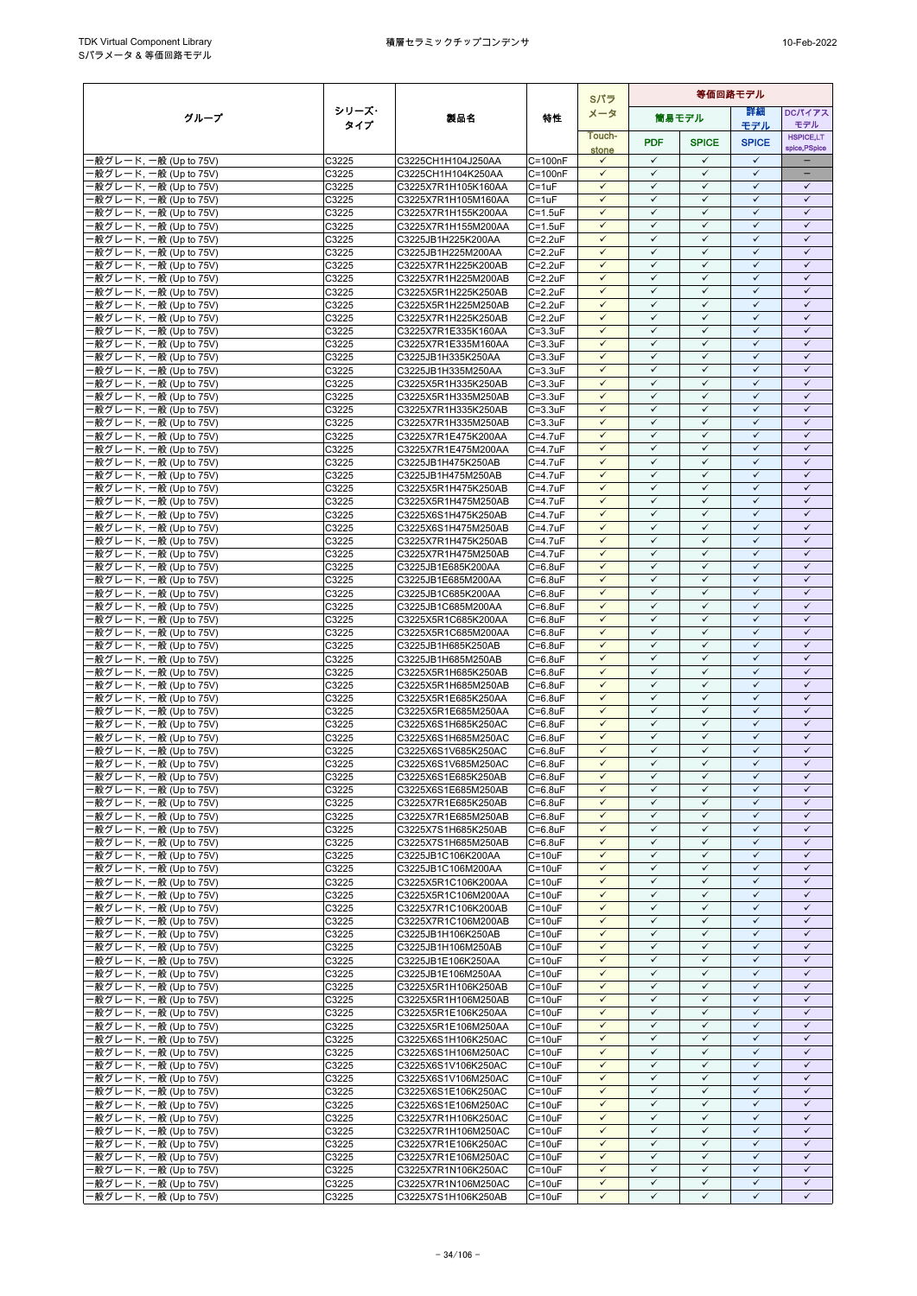|                                                  |                |                                            |                                  |                              |                              |                              | Sパラ                          | 等価回路モデル                      |  |  |  |  |  |
|--------------------------------------------------|----------------|--------------------------------------------|----------------------------------|------------------------------|------------------------------|------------------------------|------------------------------|------------------------------|--|--|--|--|--|
| グループ                                             | シリーズ・          | 製品名                                        | 特性                               | メータ                          |                              | 簡易モデル                        | 等細                           | <b>DCパイアス</b>                |  |  |  |  |  |
|                                                  | タイプ            |                                            |                                  | Touch-                       |                              |                              | モデル                          | モデル<br><b>HSPICE,LT</b>      |  |  |  |  |  |
|                                                  |                |                                            |                                  | stone                        | <b>PDF</b>                   | <b>SPICE</b>                 | <b>SPICE</b>                 | spice, PSpice                |  |  |  |  |  |
| ·般グレード, 一般 (Up to 75V)                           | C3225          | C3225CH1H104J250AA                         | $C = 100nF$                      | $\checkmark$                 | $\checkmark$                 | $\checkmark$                 | $\checkmark$                 |                              |  |  |  |  |  |
| 般グレード, 一般 (Up to 75V)<br>·般グレード, 一般 (Up to 75V)  | C3225<br>C3225 | C3225CH1H104K250AA<br>C3225X7R1H105K160AA  | $C = 100nF$<br>$C = 1uF$         | $\checkmark$<br>$\checkmark$ | $\checkmark$<br>$\checkmark$ | $\checkmark$<br>$\checkmark$ | $\checkmark$<br>$\checkmark$ | ÷<br>$\checkmark$            |  |  |  |  |  |
| ·般グレード, 一般 (Up to 75V)                           | C3225          | C3225X7R1H105M160AA                        | $C = 1uF$                        | $\checkmark$                 | $\checkmark$                 | $\checkmark$                 | $\checkmark$                 | $\checkmark$                 |  |  |  |  |  |
| ·般グレード, 一般 (Up to 75V)                           | C3225          | C3225X7R1H155K200AA                        | $C = 1.5$ u $F$                  | $\checkmark$                 | $\checkmark$                 | $\checkmark$                 | $\checkmark$                 | $\checkmark$                 |  |  |  |  |  |
| 般グレード, 一般 (Up to 75V)                            | C3225          | C3225X7R1H155M200AA                        | $C = 1.5$ u $F$                  | $\checkmark$                 | $\checkmark$                 | $\checkmark$                 | $\checkmark$                 | $\checkmark$                 |  |  |  |  |  |
| ·般グレード, 一般 (Up to 75V)                           | C3225          | C3225JB1H225K200AA                         | $C = 2.2uF$                      | $\checkmark$                 | $\checkmark$                 | $\checkmark$                 | $\checkmark$                 | $\checkmark$                 |  |  |  |  |  |
| -般グレード, 一般 (Up to 75V)<br>般グレード, 一般 (Up to 75V)  | C3225          | C3225JB1H225M200AA                         | $C = 2.2uF$                      | $\checkmark$<br>$\checkmark$ | $\checkmark$<br>$\checkmark$ | $\checkmark$<br>$\checkmark$ | $\checkmark$<br>$\checkmark$ | $\checkmark$<br>$\checkmark$ |  |  |  |  |  |
| ·般グレード, 一般 (Up to 75V)                           | C3225<br>C3225 | C3225X7R1H225K200AB<br>C3225X7R1H225M200AB | $C = 2.2uF$<br>$C = 2.2uF$       | $\checkmark$                 | $\checkmark$                 | $\checkmark$                 | $\checkmark$                 | $\checkmark$                 |  |  |  |  |  |
| ·般グレード, 一般 (Up to 75V)                           | C3225          | C3225X5R1H225K250AB                        | $C = 2.2uF$                      | $\checkmark$                 | $\checkmark$                 | $\checkmark$                 | $\checkmark$                 | $\checkmark$                 |  |  |  |  |  |
| ·般グレード, 一般 (Up to 75V)                           | C3225          | C3225X5R1H225M250AB                        | $C = 2.2uF$                      | $\checkmark$                 | $\checkmark$                 | $\checkmark$                 | $\checkmark$                 | $\checkmark$                 |  |  |  |  |  |
| ·般グレード, 一般 (Up to 75V)                           | C3225          | C3225X7R1H225K250AB                        | $C = 2.2uF$                      | $\checkmark$                 | ✓                            | ✓                            | $\checkmark$                 | ✓                            |  |  |  |  |  |
| ·般グレード, 一般 (Up to 75V)                           | C3225          | C3225X7R1E335K160AA                        | $C = 3.3uF$                      | $\checkmark$<br>$\checkmark$ | $\checkmark$<br>$\checkmark$ | $\checkmark$<br>$\checkmark$ | $\checkmark$<br>$\checkmark$ | $\checkmark$<br>$\checkmark$ |  |  |  |  |  |
| ·般グレード, 一般 (Up to 75V)<br>·般グレード, 一般 (Up to 75V) | C3225<br>C3225 | C3225X7R1E335M160AA<br>C3225JB1H335K250AA  | $C = 3.3uF$<br>$C = 3.3uF$       | $\checkmark$                 | $\checkmark$                 | $\checkmark$                 | $\checkmark$                 | $\checkmark$                 |  |  |  |  |  |
| ·般グレード, 一般 (Up to 75V)                           | C3225          | C3225JB1H335M250AA                         | $C = 3.3uF$                      | $\checkmark$                 | $\checkmark$                 | $\checkmark$                 | $\checkmark$                 | $\checkmark$                 |  |  |  |  |  |
| ·般グレード, 一般 (Up to 75V)                           | C3225          | C3225X5R1H335K250AB                        | $C = 3.3uF$                      | $\checkmark$                 | ✓                            | ✓                            | $\checkmark$                 | ✓                            |  |  |  |  |  |
| ·般グレード, 一般 (Up to 75V)                           | C3225          | C3225X5R1H335M250AB                        | $C = 3.3uF$                      | $\checkmark$                 | $\checkmark$                 | $\checkmark$                 | $\checkmark$                 | $\checkmark$                 |  |  |  |  |  |
| ·般グレード, 一般 (Up to 75V)                           | C3225          | C3225X7R1H335K250AB                        | $C = 3.3uF$                      | $\checkmark$                 | $\checkmark$                 | $\checkmark$                 | $\checkmark$                 | $\checkmark$                 |  |  |  |  |  |
| ·般グレード, 一般 (Up to 75V)<br>·般グレード, 一般 (Up to 75V) | C3225<br>C3225 | C3225X7R1H335M250AB<br>C3225X7R1E475K200AA | $C = 3.3uF$<br>$C=4.7$ u $F$     | $\checkmark$<br>$\checkmark$ | $\checkmark$<br>$\checkmark$ | $\checkmark$<br>$\checkmark$ | $\checkmark$<br>$\checkmark$ | $\checkmark$<br>$\checkmark$ |  |  |  |  |  |
| ·般グレード, 一般 (Up to 75V)                           | C3225          | C3225X7R1E475M200AA                        | C=4.7uF                          | $\checkmark$                 | $\checkmark$                 | $\checkmark$                 | $\checkmark$                 | $\checkmark$                 |  |  |  |  |  |
| ·般グレード, 一般 (Up to 75V)                           | C3225          | C3225JB1H475K250AB                         | $C = 4.7uF$                      | $\checkmark$                 | $\checkmark$                 | $\checkmark$                 | $\checkmark$                 | $\checkmark$                 |  |  |  |  |  |
| ·般グレード, 一般 (Up to 75V)                           | C3225          | C3225JB1H475M250AB                         | C=4.7uF                          | $\checkmark$                 | $\checkmark$                 | $\checkmark$                 | $\checkmark$                 | $\checkmark$                 |  |  |  |  |  |
| ·般グレード, 一般 (Up to 75V)                           | C3225          | C3225X5R1H475K250AB                        | $C = 4.7$ u $F$                  | $\checkmark$                 | $\checkmark$                 | $\checkmark$                 | $\checkmark$                 | $\checkmark$                 |  |  |  |  |  |
| ·般グレード, 一般 (Up to 75V)                           | C3225          | C3225X5R1H475M250AB                        | $C = 4.7$ uF                     | $\checkmark$                 | $\checkmark$                 | $\checkmark$                 | $\checkmark$                 | $\checkmark$                 |  |  |  |  |  |
| -般グレード, 一般 (Up to 75V)                           | C3225<br>C3225 | C3225X6S1H475K250AB                        | $C = 4.7$ u $F$<br>C=4.7uF       | $\checkmark$<br>$\checkmark$ | $\checkmark$<br>$\checkmark$ | $\checkmark$<br>$\checkmark$ | $\checkmark$<br>$\checkmark$ | $\checkmark$<br>$\checkmark$ |  |  |  |  |  |
| ·般グレード, 一般 (Up to 75V)<br>·般グレード, 一般 (Up to 75V) | C3225          | C3225X6S1H475M250AB<br>C3225X7R1H475K250AB | C=4.7uF                          | $\checkmark$                 | $\checkmark$                 | $\checkmark$                 | $\checkmark$                 | $\checkmark$                 |  |  |  |  |  |
| -般グレード, 一般 (Up to 75V)                           | C3225          | C3225X7R1H475M250AB                        | $C = 4.7uF$                      | $\checkmark$                 | $\checkmark$                 | $\checkmark$                 | $\checkmark$                 | $\checkmark$                 |  |  |  |  |  |
| ·般グレード, 一般 (Up to 75V)                           | C3225          | C3225JB1E685K200AA                         | $C = 6.8$ u $F$                  | $\checkmark$                 | $\checkmark$                 | $\checkmark$                 | $\checkmark$                 | $\checkmark$                 |  |  |  |  |  |
| ·般グレード, 一般 (Up to 75V)                           | C3225          | C3225JB1E685M200AA                         | $C=6.8$ u $F$                    | $\checkmark$                 | $\checkmark$                 | $\checkmark$                 | $\checkmark$                 | $\checkmark$                 |  |  |  |  |  |
| ·般グレード, 一般 (Up to 75V)                           | C3225          | C3225JB1C685K200AA                         | $C = 6.8$ u $F$                  | $\checkmark$                 | $\checkmark$                 | $\checkmark$                 | $\checkmark$                 | $\checkmark$                 |  |  |  |  |  |
| ·般グレード, 一般 (Up to 75V)<br>·般グレード, 一般 (Up to 75V) | C3225<br>C3225 | C3225JB1C685M200AA<br>C3225X5R1C685K200AA  | $C=6.8$ u $F$<br>$C=6.8$ u $F$   | $\checkmark$<br>$\checkmark$ | $\checkmark$<br>$\checkmark$ | $\checkmark$<br>$\checkmark$ | $\checkmark$<br>$\checkmark$ | $\checkmark$<br>$\checkmark$ |  |  |  |  |  |
| ·般グレード, 一般 (Up to 75V)                           | C3225          | C3225X5R1C685M200AA                        | $C = 6.8$ u $F$                  | $\checkmark$                 | $\checkmark$                 | ✓                            | ✓                            | $\checkmark$                 |  |  |  |  |  |
| ·般グレード, 一般 (Up to 75V)                           | C3225          | C3225JB1H685K250AB                         | $C=6.8$ u $F$                    | $\checkmark$                 | $\checkmark$                 | $\checkmark$                 | $\checkmark$                 | $\checkmark$                 |  |  |  |  |  |
| ·般グレード, 一般 (Up to 75V)                           | C3225          | C3225JB1H685M250AB                         | $C = 6.8$ u $F$                  | $\checkmark$                 | $\checkmark$                 | $\checkmark$                 | $\checkmark$                 | $\checkmark$                 |  |  |  |  |  |
| ·般グレード, 一般 (Up to 75V)                           | C3225          | C3225X5R1H685K250AB                        | $C=6.8$ u $F$                    | $\checkmark$                 | $\checkmark$                 | $\checkmark$                 | $\checkmark$                 | $\checkmark$                 |  |  |  |  |  |
| -般グレード, 一般 (Up to 75V)                           | C3225          | C3225X5R1H685M250AB                        | $C=6.8$ u $F$                    | $\checkmark$<br>$\checkmark$ | $\checkmark$<br>$\checkmark$ | $\checkmark$<br>$\checkmark$ | $\checkmark$<br>$\checkmark$ | $\checkmark$<br>$\checkmark$ |  |  |  |  |  |
| -般グレード, 一般 (Up to 75V)<br>-般グレード, 一般 (Up to 75V) | C3225<br>C3225 | C3225X5R1E685K250AA<br>C3225X5R1E685M250AA | $C = 6.8$ u $F$<br>$C=6.8$ u $F$ | $\checkmark$                 | $\checkmark$                 | $\checkmark$                 | $\checkmark$                 | $\checkmark$                 |  |  |  |  |  |
| -般グレード, 一般 (Up to 75V)                           | C3225          | C3225X6S1H685K250AC                        | $C=6.8$ u $F$                    | $\checkmark$                 | $\checkmark$                 | $\checkmark$                 | $\checkmark$                 | $\checkmark$                 |  |  |  |  |  |
| ·般グレード, 一般 (Up to 75V)                           | C3225          | C3225X6S1H685M250AC                        | $C = 6.8$ u $F$                  | $\checkmark$                 | $\checkmark$                 | $\checkmark$                 | $\checkmark$                 | $\checkmark$                 |  |  |  |  |  |
| -般グレード, 一般 (Up to 75V)                           | C3225          | C3225X6S1V685K250AC                        | $C = 6.8$ u $F$                  | $\checkmark$                 | $\checkmark$                 | $\checkmark$                 | $\checkmark$                 | $\checkmark$                 |  |  |  |  |  |
| ·般グレード, 一般 (Up to 75V)                           | C3225          | C3225X6S1V685M250AC                        | $C = 6.8$ uF                     | $\checkmark$                 | $\checkmark$                 | $\checkmark$                 | $\checkmark$                 | $\checkmark$                 |  |  |  |  |  |
| ·般グレード, 一般 (Up to 75V)                           | C3225          | C3225X6S1E685K250AB                        | $C = 6.8$ u $F$                  | $\checkmark$                 | $\checkmark$                 | $\checkmark$<br>$\checkmark$ | $\checkmark$                 | $\checkmark$                 |  |  |  |  |  |
| ·般グレード, 一般 (Up to 75V)<br>-般グレード, 一般 (Up to 75V) | C3225<br>C3225 | C3225X6S1E685M250AB<br>C3225X7R1E685K250AB | $C = 6.8uF$<br>$C=6.8$ u $F$     | $\checkmark$<br>$\checkmark$ | $\checkmark$<br>$\checkmark$ | $\checkmark$                 | ✓<br>$\checkmark$            | ✓<br>$\checkmark$            |  |  |  |  |  |
| ·般グレード, 一般 (Up to 75V)                           | C3225          | C3225X7R1E685M250AB                        | $C = 6.8$ u $F$                  | $\checkmark$                 | $\checkmark$                 | $\checkmark$                 | $\checkmark$                 | $\checkmark$                 |  |  |  |  |  |
| -般グレード, 一般 (Up to 75V)                           | C3225          | C3225X7S1H685K250AB                        | $C=6.8$ u $F$                    | $\checkmark$                 | $\checkmark$                 | $\checkmark$                 | $\checkmark$                 | $\checkmark$                 |  |  |  |  |  |
| -般グレード, 一般 (Up to 75V)                           | C3225          | C3225X7S1H685M250AB                        | $C=6.8$ u $F$                    | $\checkmark$                 | $\checkmark$                 | $\checkmark$                 | $\checkmark$                 | $\checkmark$                 |  |  |  |  |  |
| ·般グレード, 一般 (Up to 75V)                           | C3225          | C3225JB1C106K200AA                         | $C = 10uF$                       | $\checkmark$                 | $\checkmark$                 | ✓                            | $\checkmark$                 | $\checkmark$                 |  |  |  |  |  |
| ·般グレード, 一般 (Up to 75V)<br>-般グレード, 一般 (Up to 75V) | C3225          | C3225JB1C106M200AA<br>C3225X5R1C106K200AA  | $C = 10uF$                       | $\checkmark$<br>$\checkmark$ | $\checkmark$<br>$\checkmark$ | $\checkmark$<br>$\checkmark$ | $\checkmark$<br>✓            | $\checkmark$<br>$\checkmark$ |  |  |  |  |  |
| ·般グレード, 一般 (Up to 75V)                           | C3225<br>C3225 | C3225X5R1C106M200AA                        | $C = 10uF$<br>$C = 10uF$         | $\checkmark$                 | $\checkmark$                 | $\checkmark$                 | $\checkmark$                 | $\checkmark$                 |  |  |  |  |  |
| ·般グレード, 一般 (Up to 75V)                           | C3225          | C3225X7R1C106K200AB                        | $C = 10uF$                       | $\checkmark$                 | $\checkmark$                 | $\checkmark$                 | $\checkmark$                 | $\checkmark$                 |  |  |  |  |  |
| -般グレード, 一般 (Up to 75V)                           | C3225          | C3225X7R1C106M200AB                        | $C = 10uF$                       | $\checkmark$                 | $\checkmark$                 | $\checkmark$                 | $\checkmark$                 | $\checkmark$                 |  |  |  |  |  |
| ·般グレード, 一般 (Up to 75V)                           | C3225          | C3225JB1H106K250AB                         | $C = 10uF$                       | $\checkmark$                 | $\checkmark$                 | $\checkmark$                 | $\checkmark$                 | $\checkmark$                 |  |  |  |  |  |
| ·般グレード, 一般 (Up to 75V)                           | C3225          | C3225JB1H106M250AB                         | $C = 10uF$                       | $\checkmark$                 | $\checkmark$                 | $\checkmark$                 | $\checkmark$                 | $\checkmark$                 |  |  |  |  |  |
| ·般グレード, 一般 (Up to 75V)<br>-般グレード, 一般 (Up to 75V) | C3225<br>C3225 | C3225JB1E106K250AA<br>C3225JB1E106M250AA   | $C = 10uF$<br>$C = 10uF$         | $\checkmark$<br>$\checkmark$ | $\checkmark$<br>$\checkmark$ | $\checkmark$<br>$\checkmark$ | ✓<br>$\checkmark$            | $\checkmark$<br>$\checkmark$ |  |  |  |  |  |
| -般グレード, 一般 (Up to 75V)                           | C3225          | C3225X5R1H106K250AB                        | $C = 10uF$                       | $\checkmark$                 | $\checkmark$                 | $\checkmark$                 | $\checkmark$                 | $\checkmark$                 |  |  |  |  |  |
| ·般グレード, 一般 (Up to 75V)                           | C3225          | C3225X5R1H106M250AB                        | $C = 10uF$                       | $\checkmark$                 | $\checkmark$                 | $\checkmark$                 | $\checkmark$                 | $\checkmark$                 |  |  |  |  |  |
| -般グレード, 一般 (Up to 75V)                           | C3225          | C3225X5R1E106K250AA                        | $C = 10uF$                       | $\checkmark$                 | $\checkmark$                 | $\checkmark$                 | $\checkmark$                 | $\checkmark$                 |  |  |  |  |  |
| ·般グレード, 一般 (Up to 75V)                           | C3225          | C3225X5R1E106M250AA                        | $C = 10uF$                       | $\checkmark$                 | $\checkmark$                 | $\checkmark$                 | $\checkmark$                 | $\checkmark$                 |  |  |  |  |  |
| -般グレード, 一般 (Up to 75V)                           | C3225          | C3225X6S1H106K250AC                        | $C = 10uF$                       | $\checkmark$<br>$\checkmark$ | $\checkmark$<br>$\checkmark$ | ✓<br>$\checkmark$            | ✓<br>$\checkmark$            | ✓<br>$\checkmark$            |  |  |  |  |  |
| ·般グレード, 一般 (Up to 75V)<br>·般グレード, 一般 (Up to 75V) | C3225<br>C3225 | C3225X6S1H106M250AC<br>C3225X6S1V106K250AC | $C = 10uF$<br>$C = 10uF$         | $\checkmark$                 | $\checkmark$                 | $\checkmark$                 | $\checkmark$                 | $\checkmark$                 |  |  |  |  |  |
| -般グレード, 一般 (Up to 75V)                           | C3225          | C3225X6S1V106M250AC                        | $C = 10uF$                       | $\checkmark$                 | $\checkmark$                 | $\checkmark$                 | $\checkmark$                 | $\checkmark$                 |  |  |  |  |  |
| -般グレード, 一般 (Up to 75V)                           | C3225          | C3225X6S1E106K250AC                        | $C = 10uF$                       | $\checkmark$                 | $\checkmark$                 | $\checkmark$                 | $\checkmark$                 | $\checkmark$                 |  |  |  |  |  |
| ·般グレード, 一般 (Up to 75V)                           | C3225          | C3225X6S1E106M250AC                        | $C = 10uF$                       | $\checkmark$                 | $\checkmark$                 | ✓                            | $\checkmark$                 | $\checkmark$                 |  |  |  |  |  |
| ·般グレード, 一般 (Up to 75V)                           | C3225          | C3225X7R1H106K250AC                        | $C = 10uF$                       | $\checkmark$                 | $\checkmark$                 | $\checkmark$                 | $\checkmark$                 | $\checkmark$                 |  |  |  |  |  |
| -般グレード, 一般 (Up to 75V)<br>·般グレード, 一般 (Up to 75V) | C3225          | C3225X7R1H106M250AC                        | $C = 10uF$<br>$C = 10uF$         | $\checkmark$<br>$\checkmark$ | $\checkmark$<br>$\checkmark$ | $\checkmark$<br>$\checkmark$ | $\checkmark$<br>$\checkmark$ | $\checkmark$<br>$\checkmark$ |  |  |  |  |  |
| ·般グレード, 一般 (Up to 75V)                           | C3225<br>C3225 | C3225X7R1E106K250AC<br>C3225X7R1E106M250AC | $C = 10uF$                       | $\checkmark$                 | $\checkmark$                 | $\checkmark$                 | $\checkmark$                 | $\checkmark$                 |  |  |  |  |  |
| -般グレード, 一般 (Up to 75V)                           | C3225          | C3225X7R1N106K250AC                        | $C = 10uF$                       | $\checkmark$                 | $\checkmark$                 | $\checkmark$                 | $\checkmark$                 | $\checkmark$                 |  |  |  |  |  |
| -般グレード, 一般 (Up to 75V)                           | C3225          | C3225X7R1N106M250AC                        | $C = 10uF$                       | $\checkmark$                 | $\checkmark$                 | $\checkmark$                 | $\checkmark$                 | $\checkmark$                 |  |  |  |  |  |
| -般グレード, 一般 (Up to 75V)                           | C3225          | C3225X7S1H106K250AB                        | $C = 10uF$                       | $\checkmark$                 | $\checkmark$                 | ✓                            | ✓                            | ✓                            |  |  |  |  |  |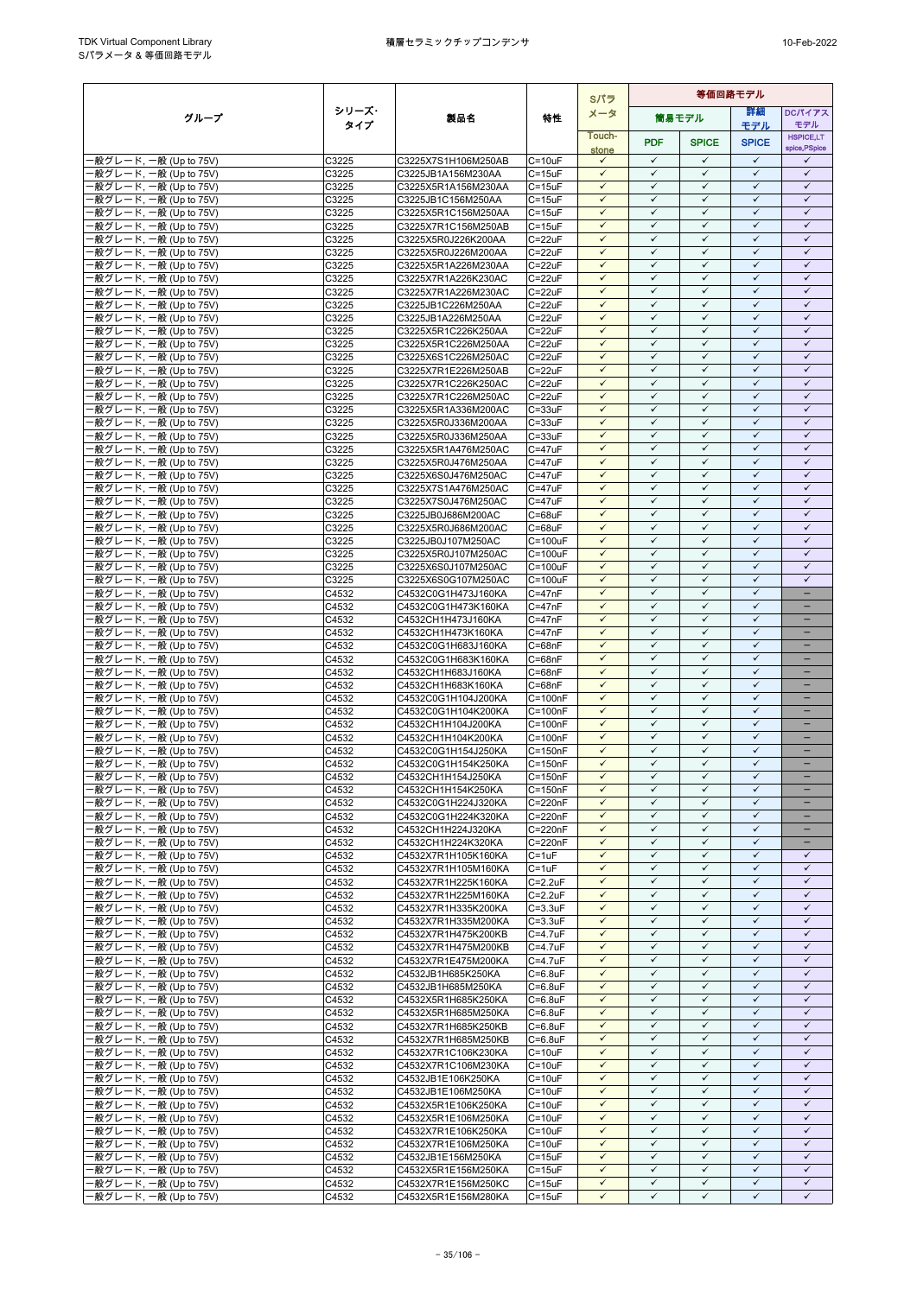ř.

|                                                  |                |                                            |                            | Sパラ                          | 等価回路モデル                      |                              |                              |                              |
|--------------------------------------------------|----------------|--------------------------------------------|----------------------------|------------------------------|------------------------------|------------------------------|------------------------------|------------------------------|
| グループ                                             | シリーズ・          | 製品名                                        | 特性                         | メータ                          |                              | 筒易モデル                        | 詳細                           | DCパイアス                       |
|                                                  | タイプ            |                                            |                            | Touch-                       |                              |                              | モデル                          | モデル<br><b>HSPICE,LT</b>      |
|                                                  |                |                                            |                            | stone                        | <b>PDF</b>                   | <b>SPICE</b>                 | <b>SPICE</b>                 | spice, PSpice                |
| -般グレード, 一般 (Up to 75V)                           | C3225          | C3225X7S1H106M250AB                        | $C = 10uF$                 | $\checkmark$                 | $\checkmark$                 | $\checkmark$                 | $\checkmark$                 | ✓                            |
| -般グレード, 一般 (Up to 75V)                           | C3225          | C3225JB1A156M230AA                         | $C = 15uF$                 | $\checkmark$                 | $\checkmark$                 | $\checkmark$                 | $\checkmark$                 | $\checkmark$                 |
| ·般グレード, 一般 (Up to 75V)                           | C3225          | C3225X5R1A156M230AA                        | $C = 15uF$                 | $\checkmark$<br>$\checkmark$ | $\checkmark$<br>$\checkmark$ | $\checkmark$<br>$\checkmark$ | $\checkmark$<br>$\checkmark$ | $\checkmark$<br>$\checkmark$ |
| ·般グレード, 一般 (Up to 75V)<br>·般グレード, 一般 (Up to 75V) | C3225<br>C3225 | C3225JB1C156M250AA<br>C3225X5R1C156M250AA  | $C = 15uF$<br>$C = 15uF$   | $\checkmark$                 | $\checkmark$                 | $\checkmark$                 | $\checkmark$                 | $\checkmark$                 |
| -般グレード, 一般 (Up to 75V)                           | C3225          | C3225X7R1C156M250AB                        | $C = 15uF$                 | $\checkmark$                 | $\checkmark$                 | $\checkmark$                 | $\checkmark$                 | $\checkmark$                 |
| 般グレード, 一般 (Up to 75V)                            | C3225          | C3225X5R0J226K200AA                        | $C = 22uF$                 | $\checkmark$                 | $\checkmark$                 | $\checkmark$                 | $\checkmark$                 | $\checkmark$                 |
| ·般グレード, 一般 (Up to 75V)                           | C3225          | C3225X5R0J226M200AA                        | $C = 22uF$                 | $\checkmark$                 | $\checkmark$                 | $\checkmark$                 | $\checkmark$                 | $\checkmark$                 |
| ·般グレード, 一般 (Up to 75V)                           | C3225          | C3225X5R1A226M230AA                        | $C = 22uF$                 | $\checkmark$                 | $\checkmark$                 | $\checkmark$                 | $\checkmark$                 | $\checkmark$                 |
| -般グレード, 一般 (Up to 75V)<br>·般グレード, 一般 (Up to 75V) | C3225<br>C3225 | C3225X7R1A226K230AC<br>C3225X7R1A226M230AC | $C = 22uF$<br>$C = 22uF$   | $\checkmark$<br>$\checkmark$ | $\checkmark$<br>✓            | $\checkmark$<br>✓            | $\checkmark$<br>$\checkmark$ | $\checkmark$<br>✓            |
| ·般グレード, 一般 (Up to 75V)                           | C3225          | C3225JB1C226M250AA                         | $C = 22uF$                 | $\checkmark$                 | $\checkmark$                 | $\checkmark$                 | $\checkmark$                 | $\checkmark$                 |
| ·般グレード, 一般 (Up to 75V)                           | C3225          | C3225JB1A226M250AA                         | C=22uF                     | $\checkmark$                 | $\checkmark$                 | $\checkmark$                 | $\checkmark$                 | $\checkmark$                 |
| ·般グレード, 一般 (Up to 75V)                           | C3225          | C3225X5R1C226K250AA                        | $C = 22uF$                 | $\checkmark$                 | $\checkmark$                 | $\checkmark$                 | $\checkmark$                 | $\checkmark$                 |
| ·般グレード, 一般 (Up to 75V)                           | C3225          | C3225X5R1C226M250AA                        | $C = 22uF$                 | $\checkmark$                 | $\checkmark$                 | $\checkmark$                 | $\checkmark$                 | $\checkmark$                 |
| ·般グレード, 一般 (Up to 75V)                           | C3225          | C3225X6S1C226M250AC                        | C=22uF                     | $\checkmark$                 | $\checkmark$                 | $\checkmark$                 | $\checkmark$                 | $\checkmark$                 |
| ·般グレード, 一般 (Up to 75V)<br>·般グレード, 一般 (Up to 75V) | C3225<br>C3225 | C3225X7R1E226M250AB<br>C3225X7R1C226K250AC | $C = 22uF$<br>$C = 22uF$   | $\checkmark$<br>$\checkmark$ | $\checkmark$<br>$\checkmark$ | $\checkmark$<br>$\checkmark$ | $\checkmark$<br>$\checkmark$ | $\checkmark$<br>$\checkmark$ |
| ·般グレード, 一般 (Up to 75V)                           | C3225          | C3225X7R1C226M250AC                        | C=22uF                     | $\checkmark$                 | $\checkmark$                 | $\checkmark$                 | $\checkmark$                 | $\checkmark$                 |
| ·般グレード, 一般 (Up to 75V)                           | C3225          | C3225X5R1A336M200AC                        | $C = 33uF$                 | $\checkmark$                 | $\checkmark$                 | $\checkmark$                 | $\checkmark$                 | $\checkmark$                 |
| ·般グレード, 一般 (Up to 75V)                           | C3225          | C3225X5R0J336M200AA                        | $C = 33uF$                 | $\checkmark$                 | $\checkmark$                 | $\checkmark$                 | $\checkmark$                 | $\checkmark$                 |
| ·般グレード, 一般 (Up to 75V)                           | C3225          | C3225X5R0J336M250AA                        | $C = 33uF$                 | $\checkmark$                 | $\checkmark$                 | $\checkmark$                 | $\checkmark$                 | $\checkmark$                 |
| ·般グレード, 一般 (Up to 75V)                           | C3225          | C3225X5R1A476M250AC                        | $C = 47uF$                 | $\checkmark$                 | $\checkmark$<br>$\checkmark$ | $\checkmark$                 | $\checkmark$<br>$\checkmark$ | $\checkmark$                 |
| -般グレード, 一般 (Up to 75V)<br>·般グレード, 一般 (Up to 75V) | C3225<br>C3225 | C3225X5R0J476M250AA<br>C3225X6S0J476M250AC | $C = 47uF$<br>C=47uF       | $\checkmark$<br>$\checkmark$ | $\checkmark$                 | $\checkmark$<br>$\checkmark$ | $\checkmark$                 | $\checkmark$<br>$\checkmark$ |
| ·般グレード, 一般 (Up to 75V)                           | C3225          | C3225X7S1A476M250AC                        | $C = 47uF$                 | $\checkmark$                 | $\checkmark$                 | $\checkmark$                 | $\checkmark$                 | $\checkmark$                 |
| ·般グレード, 一般 (Up to 75V)                           | C3225          | C3225X7S0J476M250AC                        | $C = 47uF$                 | $\checkmark$                 | $\checkmark$                 | $\checkmark$                 | $\checkmark$                 | $\checkmark$                 |
| -般グレード, 一般 (Up to 75V)                           | C3225          | C3225JB0J686M200AC                         | $C = 68uF$                 | $\checkmark$                 | $\checkmark$                 | $\checkmark$                 | $\checkmark$                 | $\checkmark$                 |
| ·般グレード, 一般 (Up to 75V)                           | C3225          | C3225X5R0J686M200AC                        | $C = 68uF$                 | $\checkmark$                 | $\checkmark$                 | $\checkmark$                 | $\checkmark$                 | $\checkmark$                 |
| ·般グレード, 一般 (Up to 75V)                           | C3225          | C3225JB0J107M250AC                         | C=100uF                    | $\checkmark$<br>$\checkmark$ | $\checkmark$<br>$\checkmark$ | ✓<br>$\checkmark$            | $\checkmark$<br>$\checkmark$ | $\checkmark$<br>$\checkmark$ |
| ·般グレード, 一般 (Up to 75V)<br>·般グレード, 一般 (Up to 75V) | C3225<br>C3225 | C3225X5R0J107M250AC<br>C3225X6S0J107M250AC | $C = 100uF$<br>C=100uF     | $\checkmark$                 | $\checkmark$                 | $\checkmark$                 | $\checkmark$                 | $\checkmark$                 |
| ·般グレード, 一般 (Up to 75V)                           | C3225          | C3225X6S0G107M250AC                        | $C = 100uF$                | $\checkmark$                 | $\checkmark$                 | $\checkmark$                 | $\checkmark$                 | $\checkmark$                 |
| ·般グレード, 一般 (Up to 75V)                           | C4532          | C4532C0G1H473J160KA                        | $C = 47nF$                 | $\checkmark$                 | $\checkmark$                 | $\checkmark$                 | $\checkmark$                 | $\equiv$                     |
| -般グレード, 一般 (Up to 75V)                           | C4532          | C4532C0G1H473K160KA                        | $C = 47nF$                 | $\checkmark$                 | $\checkmark$                 | $\checkmark$                 | $\checkmark$                 | -                            |
| ·般グレード, 一般 (Up to 75V)                           | C4532          | C4532CH1H473J160KA                         | $C = 47nF$                 | $\checkmark$                 | $\checkmark$                 | $\checkmark$                 | $\checkmark$                 | -                            |
| -般グレード, 一般 (Up to 75V)                           | C4532          | C4532CH1H473K160KA                         | $C = 47nF$                 | $\checkmark$<br>$\checkmark$ | $\checkmark$<br>$\checkmark$ | $\checkmark$<br>$\checkmark$ | $\checkmark$<br>$\checkmark$ |                              |
| -般グレード, 一般 (Up to 75V)<br>·般グレード, 一般 (Up to 75V) | C4532<br>C4532 | C4532C0G1H683J160KA<br>C4532C0G1H683K160KA | $C = 68nF$<br>$C = 68nF$   | $\checkmark$                 | $\checkmark$                 | $\checkmark$                 | $\checkmark$                 | $\equiv$                     |
| -般グレード, 一般 (Up to 75V)                           | C4532          | C4532CH1H683J160KA                         | $C = 68nF$                 | $\checkmark$                 | $\checkmark$                 | $\checkmark$                 | $\checkmark$                 | ÷                            |
| ·般グレード, 一般 (Up to 75V)                           | C4532          | C4532CH1H683K160KA                         | $C = 68nF$                 | $\checkmark$                 | $\checkmark$                 | $\checkmark$                 | $\checkmark$                 | $\qquad \qquad -$            |
| -般グレード, 一般 (Up to 75V)                           | C4532          | C4532C0G1H104J200KA                        | $C = 100nF$                | $\checkmark$                 | $\checkmark$                 | $\checkmark$                 | $\checkmark$                 | -                            |
| -般グレード, 一般 (Up to 75V)                           | C4532          | C4532C0G1H104K200KA                        | $C = 100nF$                | $\checkmark$                 | $\checkmark$                 | $\checkmark$                 | $\checkmark$                 | -                            |
| ·般グレード, 一般 (Up to 75V)<br>-般グレード, 一般 (Up to 75V) | C4532<br>C4532 | C4532CH1H104J200KA<br>C4532CH1H104K200KA   | $C = 100nF$<br>$C = 100nF$ | $\checkmark$<br>$\checkmark$ | $\checkmark$<br>$\checkmark$ | $\checkmark$<br>$\checkmark$ | $\checkmark$<br>$\checkmark$ | ۳                            |
| -般グレード, 一般 (Up to 75V)                           | C4532          | C4532C0G1H154J250KA                        | $C = 150nF$                | $\checkmark$                 | $\checkmark$                 | $\checkmark$                 | $\checkmark$                 | $\overline{\phantom{0}}$     |
| ·般グレード, 一般 (Up to 75V)                           | C4532          | C4532C0G1H154K250KA                        | $C = 150nF$                | $\checkmark$                 | $\checkmark$                 | $\checkmark$                 | $\checkmark$                 | -                            |
| ·般グレード, 一般 (Up to 75V)                           | C4532          | C4532CH1H154J250KA                         | $C = 150nF$                | $\checkmark$                 | $\checkmark$                 | $\checkmark$                 | $\checkmark$                 | -                            |
| -般グレード, 一般 (Up to 75V)                           | C4532          | C4532CH1H154K250KA                         | $C = 150nF$                | $\checkmark$                 | $\checkmark$                 | $\checkmark$                 | $\checkmark$                 |                              |
| -般グレード, 一般 (Up to 75V)                           | C4532          | C4532C0G1H224J320KA                        | C=220nF                    | $\checkmark$                 | $\checkmark$                 | $\checkmark$                 | $\checkmark$                 | $\equiv$                     |
| -般グレード, 一般 (Up to 75V)<br>-般グレード, 一般 (Up to 75V) | C4532<br>C4532 | C4532C0G1H224K320KA<br>C4532CH1H224J320KA  | C=220nF<br>C=220nF         | $\checkmark$<br>$\checkmark$ | $\checkmark$<br>$\checkmark$ | $\checkmark$<br>$\checkmark$ | $\checkmark$<br>$\checkmark$ |                              |
| -般グレード, 一般 (Up to 75V)                           | C4532          | C4532CH1H224K320KA                         | C=220nF                    | $\checkmark$                 | $\checkmark$                 | $\checkmark$                 | $\checkmark$                 | $\qquad \qquad -$            |
| -般グレード, 一般 (Up to 75V)                           | C4532          | C4532X7R1H105K160KA                        | $C = 1uF$                  | $\checkmark$                 | $\checkmark$                 | $\checkmark$                 | $\checkmark$                 | ✓                            |
| -般グレード, 一般 (Up to 75V)                           | C4532          | C4532X7R1H105M160KA                        | $C = 1uF$                  | $\checkmark$                 | $\checkmark$                 | $\checkmark$                 | $\checkmark$                 | $\checkmark$                 |
| -般グレード, 一般 (Up to 75V)                           | C4532          | C4532X7R1H225K160KA                        | $C=2.2uF$                  | $\checkmark$                 | $\checkmark$                 | $\checkmark$                 | $\checkmark$                 | $\checkmark$                 |
| -般グレード, 一般 (Up to 75V)                           | C4532          | C4532X7R1H225M160KA                        | $C = 2.2uF$                | $\checkmark$                 | $\checkmark$<br>$\checkmark$ | $\checkmark$<br>$\checkmark$ | $\checkmark$<br>$\checkmark$ | $\checkmark$<br>$\checkmark$ |
| 般グレード, 一般 (Up to 75V)<br>-般グレード, 一般 (Up to 75V)  | C4532<br>C4532 | C4532X7R1H335K200KA<br>C4532X7R1H335M200KA | $C = 3.3uF$<br>$C = 3.3uF$ | $\checkmark$<br>$\checkmark$ | $\checkmark$                 | $\checkmark$                 | $\checkmark$                 | $\checkmark$                 |
| ·般グレード, 一般 (Up to 75V)                           | C4532          | C4532X7R1H475K200KB                        | $C = 4.7$ u $F$            | $\checkmark$                 | $\checkmark$                 | $\checkmark$                 | $\checkmark$                 | $\checkmark$                 |
| ·般グレード, 一般 (Up to 75V)                           | C4532          | C4532X7R1H475M200KB                        | $C = 4.7uF$                | $\checkmark$                 | $\checkmark$                 | ✓                            | $\checkmark$                 | $\checkmark$                 |
| ·般グレード, 一般 (Up to 75V)                           | C4532          | C4532X7R1E475M200KA                        | $C = 4.7$ u $F$            | $\checkmark$                 | $\checkmark$                 | $\checkmark$                 | $\checkmark$                 | $\checkmark$                 |
| 般グレード, 一般 (Up to 75V)                            | C4532          | C4532JB1H685K250KA                         | $C = 6.8$ u $F$            | $\checkmark$                 | $\checkmark$                 | $\checkmark$                 | $\checkmark$                 | $\checkmark$                 |
| 般グレード, 一般 (Up to 75V)                            | C4532          | C4532JB1H685M250KA                         | $C=6.8$ u $F$              | $\checkmark$                 | $\checkmark$<br>$\checkmark$ | $\checkmark$                 | $\checkmark$<br>$\checkmark$ | $\checkmark$<br>$\checkmark$ |
| -般グレード, 一般 (Up to 75V)<br>·般グレード, 一般 (Up to 75V) | C4532<br>C4532 | C4532X5R1H685K250KA<br>C4532X5R1H685M250KA | $C = 6.8uF$<br>$C=6.8$ uF  | $\checkmark$<br>$\checkmark$ | $\checkmark$                 | $\checkmark$<br>✓            | $\checkmark$                 | $\checkmark$                 |
| ·般グレード, 一般 (Up to 75V)                           | C4532          | C4532X7R1H685K250KB                        | $C = 6.8uF$                | $\checkmark$                 | $\checkmark$                 | $\checkmark$                 | $\checkmark$                 | $\checkmark$                 |
| ·般グレード, 一般 (Up to 75V)                           | C4532          | C4532X7R1H685M250KB                        | $C=6.8$ u $F$              | $\checkmark$                 | $\checkmark$                 | $\checkmark$                 | $\checkmark$                 | $\checkmark$                 |
| ·般グレード, 一般 (Up to 75V)                           | C4532          | C4532X7R1C106K230KA                        | $C = 10uF$                 | $\checkmark$                 | $\checkmark$                 | $\checkmark$                 | $\checkmark$                 | $\checkmark$                 |
| ·般グレード, 一般 (Up to 75V)                           | C4532          | C4532X7R1C106M230KA                        | $C = 10uF$                 | $\checkmark$                 | $\checkmark$                 | $\checkmark$                 | $\checkmark$                 | $\checkmark$                 |
| -般グレード, 一般 (Up to 75V)                           | C4532          | C4532JB1E106K250KA                         | $C = 10uF$                 | $\checkmark$                 | $\checkmark$<br>$\checkmark$ | $\checkmark$                 | $\checkmark$<br>$\checkmark$ | $\checkmark$                 |
| ·般グレード, 一般 (Up to 75V)<br>·般グレード, 一般 (Up to 75V) | C4532<br>C4532 | C4532JB1E106M250KA<br>C4532X5R1E106K250KA  | $C = 10uF$<br>$C = 10uF$   | $\checkmark$<br>$\checkmark$ | $\checkmark$                 | $\checkmark$<br>$\checkmark$ | $\checkmark$                 | $\checkmark$<br>$\checkmark$ |
| ·般グレード, 一般 (Up to 75V)                           | C4532          | C4532X5R1E106M250KA                        | $C = 10uF$                 | $\checkmark$                 | $\checkmark$                 | $\checkmark$                 | $\checkmark$                 | $\checkmark$                 |
| ·般グレード, 一般 (Up to 75V)                           | C4532          | C4532X7R1E106K250KA                        | $C = 10uF$                 | $\checkmark$                 | $\checkmark$                 | $\checkmark$                 | ✓                            | $\checkmark$                 |
| ·般グレード, 一般 (Up to 75V)                           | C4532          | C4532X7R1E106M250KA                        | $C = 10uF$                 | $\checkmark$                 | $\checkmark$                 | $\checkmark$                 | $\checkmark$                 | $\checkmark$                 |
| ·般グレード, 一般 (Up to 75V)                           | C4532          | C4532JB1E156M250KA                         | $C = 15uF$                 | $\checkmark$                 | $\checkmark$                 | $\checkmark$                 | $\checkmark$                 | $\checkmark$                 |
| -般グレード, 一般 (Up to 75V)                           | C4532          | C4532X5R1E156M250KA                        | $C = 15uF$                 | $\checkmark$<br>$\checkmark$ | $\checkmark$<br>$\checkmark$ | $\checkmark$<br>$\checkmark$ | $\checkmark$<br>$\checkmark$ | $\checkmark$<br>$\checkmark$ |
| ·般グレード, 一般 (Up to 75V)<br>·般グレード, 一般 (Up to 75V) | C4532<br>C4532 | C4532X7R1E156M250KC<br>C4532X5R1E156M280KA | $C = 15uF$                 | ✓                            | ✓                            | ✓                            | ✓                            | ✓                            |
|                                                  |                |                                            | C=15uF                     |                              |                              |                              |                              |                              |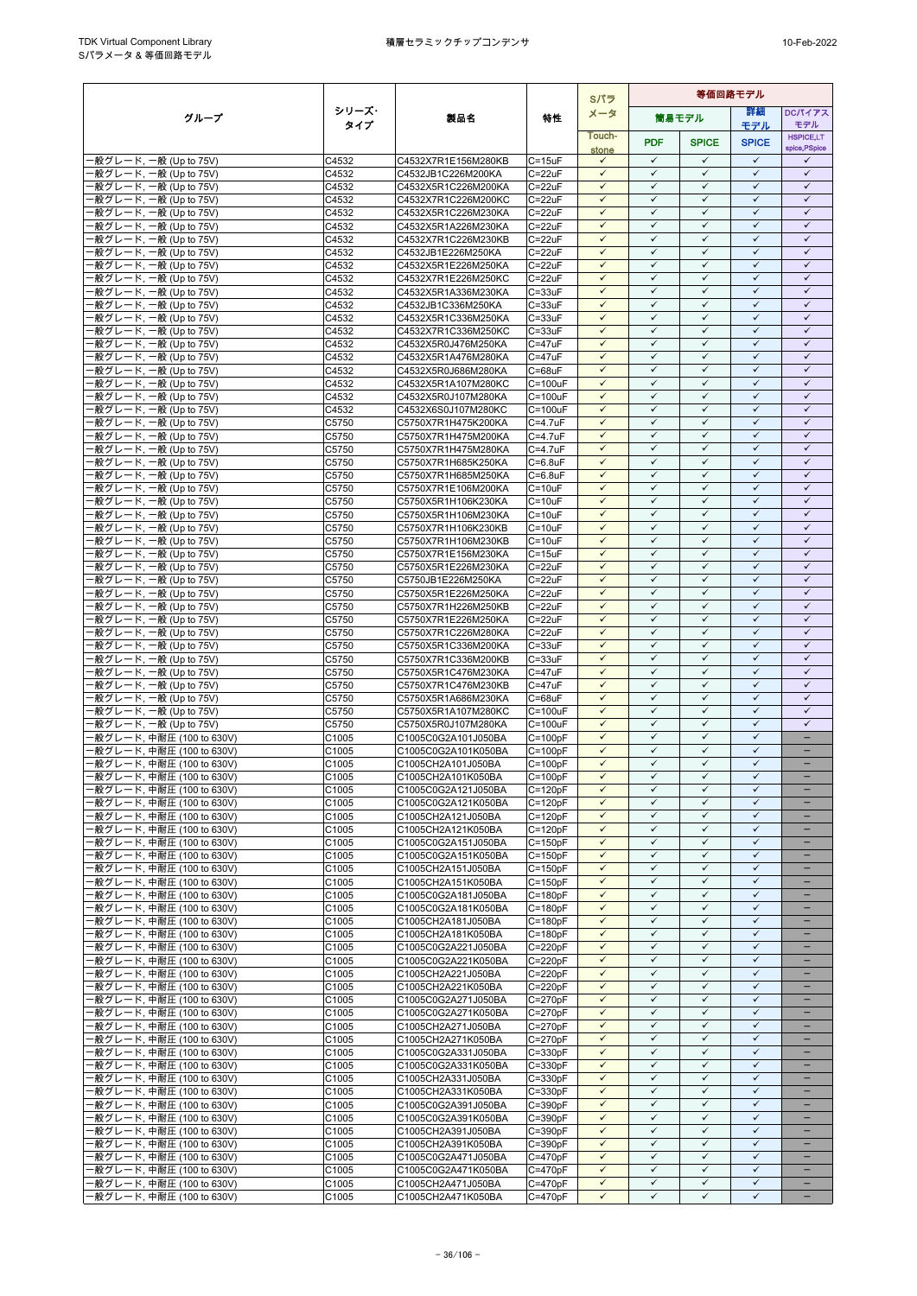|                                                        |                             |                                            |                            | Sパラ                          | 等価回路モデル                      |                              |                              |                               |
|--------------------------------------------------------|-----------------------------|--------------------------------------------|----------------------------|------------------------------|------------------------------|------------------------------|------------------------------|-------------------------------|
| グループ                                                   | シリーズ・                       | 製品名                                        | 特性                         | メータ                          |                              | 筒易モデル                        | 詳細                           | DCパイアス                        |
|                                                        | タイプ                         |                                            |                            | Touch-                       |                              |                              | モデル                          | モデル<br><b>HSPICE,LT</b>       |
|                                                        |                             |                                            |                            | stone                        | <b>PDF</b>                   | <b>SPICE</b>                 | <b>SPICE</b>                 | spice, PSpice                 |
| ·般グレード, 一般 (Up to 75V)                                 | C4532                       | C4532X7R1E156M280KB                        | $C = 15uF$                 | $\checkmark$<br>$\checkmark$ | $\checkmark$<br>$\checkmark$ | $\checkmark$<br>$\checkmark$ | $\checkmark$<br>$\checkmark$ | $\checkmark$<br>$\checkmark$  |
| 般グレード, 一般 (Up to 75V)<br>·般グレード, 一般 (Up to 75V)        | C4532<br>C4532              | C4532JB1C226M200KA<br>C4532X5R1C226M200KA  | $C = 22uF$<br>$C = 22uF$   | $\checkmark$                 | $\checkmark$                 | $\checkmark$                 | $\checkmark$                 | $\checkmark$                  |
| ·般グレード, 一般 (Up to 75V)                                 | C4532                       | C4532X7R1C226M200KC                        | $C = 22uF$                 | $\checkmark$                 | $\checkmark$                 | $\checkmark$                 | $\checkmark$                 | $\checkmark$                  |
| -般グレード, 一般 (Up to 75V)                                 | C4532                       | C4532X5R1C226M230KA                        | $C = 22uF$                 | $\checkmark$                 | $\checkmark$                 | $\checkmark$                 | $\checkmark$                 | $\checkmark$                  |
| -般グレード, 一般 (Up to 75V)                                 | C4532                       | C4532X5R1A226M230KA                        | $C = 22uF$                 | $\checkmark$<br>$\checkmark$ | $\checkmark$                 | $\checkmark$                 | $\checkmark$                 | $\checkmark$                  |
| ·般グレード, 一般 (Up to 75V)<br>-般グレード, 一般 (Up to 75V)       | C4532<br>C4532              | C4532X7R1C226M230KB<br>C4532JB1E226M250KA  | $C = 22uF$<br>$C = 22uF$   | $\checkmark$                 | $\checkmark$<br>$\checkmark$ | $\checkmark$<br>$\checkmark$ | $\checkmark$<br>$\checkmark$ | $\checkmark$<br>$\checkmark$  |
| -般グレード, 一般 (Up to 75V)                                 | C4532                       | C4532X5R1E226M250KA                        | $C = 22uF$                 | $\checkmark$                 | $\checkmark$                 | $\checkmark$                 | $\checkmark$                 | $\checkmark$                  |
| ·般グレード, 一般 (Up to 75V)                                 | C4532                       | C4532X7R1E226M250KC                        | $C = 22uF$                 | $\checkmark$                 | $\checkmark$                 | $\checkmark$                 | $\checkmark$                 | $\checkmark$                  |
| -般グレード, 一般 (Up to 75V)                                 | C4532                       | C4532X5R1A336M230KA                        | $C = 33uF$                 | $\checkmark$                 | $\checkmark$                 | $\checkmark$                 | $\checkmark$                 | $\checkmark$                  |
| ·般グレード, 一般 (Up to 75V)<br>-般グレード, 一般 (Up to 75V)       | C4532<br>C4532              | C4532JB1C336M250KA<br>C4532X5R1C336M250KA  | $C = 33uF$<br>$C = 33uF$   | $\checkmark$<br>$\checkmark$ | $\checkmark$<br>$\checkmark$ | $\checkmark$<br>$\checkmark$ | $\checkmark$<br>$\checkmark$ | $\checkmark$<br>$\checkmark$  |
| 般グレード, 一般 (Up to 75V)                                  | C4532                       | C4532X7R1C336M250KC                        | $C = 33uF$                 | $\checkmark$                 | $\checkmark$                 | $\checkmark$                 | $\checkmark$                 | $\checkmark$                  |
| ·般グレード, 一般 (Up to 75V)                                 | C4532                       | C4532X5R0J476M250KA                        | $C = 47uF$                 | $\checkmark$                 | $\checkmark$                 | $\checkmark$                 | $\checkmark$                 | $\checkmark$                  |
| ·般グレード, 一般 (Up to 75V)                                 | C4532                       | C4532X5R1A476M280KA                        | $C = 47uF$                 | $\checkmark$                 | $\checkmark$                 | $\checkmark$                 | $\checkmark$<br>$\checkmark$ | $\checkmark$                  |
| 般グレード, 一般 (Up to 75V)<br>-般グレード, 一般 (Up to 75V)        | C4532<br>C4532              | C4532X5R0J686M280KA<br>C4532X5R1A107M280KC | $C = 68uF$<br>$C = 100uF$  | $\checkmark$<br>$\checkmark$ | $\checkmark$<br>$\checkmark$ | $\checkmark$<br>$\checkmark$ | $\checkmark$                 | $\checkmark$<br>$\checkmark$  |
| -般グレード, 一般 (Up to 75V)                                 | C4532                       | C4532X5R0J107M280KA                        | $C = 100uF$                | $\checkmark$                 | $\checkmark$                 | $\checkmark$                 | $\checkmark$                 | $\checkmark$                  |
| ·般グレード, 一般 (Up to 75V)                                 | C4532                       | C4532X6S0J107M280KC                        | C=100uF                    | $\checkmark$                 | $\checkmark$                 | $\checkmark$                 | $\checkmark$                 | $\checkmark$                  |
| ·般グレード, 一般 (Up to 75V)                                 | C5750                       | C5750X7R1H475K200KA                        | $C = 4.7$ u $F$            | $\checkmark$                 | $\checkmark$                 | $\checkmark$                 | $\checkmark$                 | $\checkmark$                  |
| ·般グレード, 一般 (Up to 75V)<br>般グレード, 一般 (Up to 75V)        | C5750<br>C5750              | C5750X7R1H475M200KA<br>C5750X7R1H475M280KA | C=4.7uF<br>$C = 4.7uF$     | $\checkmark$<br>$\checkmark$ | $\checkmark$<br>$\checkmark$ | $\checkmark$<br>$\checkmark$ | $\checkmark$<br>$\checkmark$ | $\checkmark$<br>$\checkmark$  |
| ·般グレード, 一般 (Up to 75V)                                 | C5750                       | C5750X7R1H685K250KA                        | $C=6.8$ u $F$              | $\checkmark$                 | $\checkmark$                 | $\checkmark$                 | $\checkmark$                 | $\checkmark$                  |
| ·般グレード, 一般 (Up to 75V)                                 | C5750                       | C5750X7R1H685M250KA                        | $C=6.8$ u $F$              | $\checkmark$                 | $\checkmark$                 | $\checkmark$                 | $\checkmark$                 | $\checkmark$                  |
| ·般グレード, 一般 (Up to 75V)                                 | C5750                       | C5750X7R1E106M200KA                        | $C = 10uF$                 | $\checkmark$                 | $\checkmark$                 | $\checkmark$                 | $\checkmark$                 | $\checkmark$                  |
| ·般グレード, 一般 (Up to 75V)<br>-般グレード, 一般 (Up to 75V)       | C5750<br>C5750              | C5750X5R1H106K230KA<br>C5750X5R1H106M230KA | $C = 10uF$<br>$C = 10uF$   | $\checkmark$<br>$\checkmark$ | $\checkmark$<br>$\checkmark$ | $\checkmark$<br>$\checkmark$ | $\checkmark$<br>$\checkmark$ | $\checkmark$<br>$\checkmark$  |
| 般グレード, 一般 (Up to 75V)                                  | C5750                       | C5750X7R1H106K230KB                        | $C = 10uF$                 | $\checkmark$                 | $\checkmark$                 | $\checkmark$                 | $\checkmark$                 | $\checkmark$                  |
| -般グレード, 一般 (Up to 75V)                                 | C5750                       | C5750X7R1H106M230KB                        | $C = 10uF$                 | $\checkmark$                 | $\checkmark$                 | $\checkmark$                 | $\checkmark$                 | $\checkmark$                  |
| -般グレード, 一般 (Up to 75V)                                 | C5750                       | C5750X7R1E156M230KA                        | $C = 15uF$                 | $\checkmark$                 | $\checkmark$                 | $\checkmark$                 | $\checkmark$                 | $\checkmark$                  |
| ·般グレード, 一般 (Up to 75V)<br>般グレード, 一般 (Up to 75V)        | C5750<br>C5750              | C5750X5R1E226M230KA<br>C5750JB1E226M250KA  | $C = 22uF$<br>$C = 22uF$   | $\checkmark$<br>$\checkmark$ | $\checkmark$<br>$\checkmark$ | $\checkmark$<br>$\checkmark$ | $\checkmark$<br>$\checkmark$ | $\checkmark$<br>$\checkmark$  |
| -般グレード, 一般 (Up to 75V)                                 | C5750                       | C5750X5R1E226M250KA                        | $C = 22uF$                 | $\checkmark$                 | $\checkmark$                 | $\checkmark$                 | $\checkmark$                 | $\checkmark$                  |
| ·般グレード, 一般 (Up to 75V)                                 | C5750                       | C5750X7R1H226M250KB                        | $C = 22uF$                 | $\checkmark$                 | $\checkmark$                 | $\checkmark$                 | $\checkmark$                 | $\checkmark$                  |
| ·般グレード, 一般 (Up to 75V)                                 | C5750                       | C5750X7R1E226M250KA                        | $C = 22uF$                 | $\checkmark$                 | $\checkmark$                 | $\checkmark$                 | $\checkmark$                 | $\checkmark$                  |
| ·般グレード, 一般 (Up to 75V)<br>-般グレード, 一般 (Up to 75V)       | C5750<br>C5750              | C5750X7R1C226M280KA<br>C5750X5R1C336M200KA | $C = 22uF$<br>$C = 33uF$   | ✓<br>$\checkmark$            | ✓<br>$\checkmark$            | $\checkmark$<br>$\checkmark$ | $\checkmark$<br>$\checkmark$ | $\checkmark$<br>$\checkmark$  |
| ·般グレード, 一般 (Up to 75V)                                 | C5750                       | C5750X7R1C336M200KB                        | $C = 33uF$                 | $\checkmark$                 | $\checkmark$                 | $\checkmark$                 | $\checkmark$                 | $\checkmark$                  |
| ·般グレード, 一般 (Up to 75V)                                 | C5750                       | C5750X5R1C476M230KA                        | $C = 47uF$                 | $\checkmark$                 | $\checkmark$                 | $\checkmark$                 | $\checkmark$                 | $\checkmark$                  |
| -般グレード, 一般 (Up to 75V)                                 | C5750                       | C5750X7R1C476M230KB                        | $C = 47uF$                 | $\checkmark$                 | $\checkmark$                 | $\checkmark$                 | $\checkmark$                 | $\checkmark$                  |
| -般グレード, 一般 (Up to 75V)<br>-般グレード, 一般 (Up to 75V)       | C5750<br>C5750              | C5750X5R1A686M230KA<br>C5750X5R1A107M280KC | $C = 68uF$<br>$C = 100uF$  | $\checkmark$<br>$\checkmark$ | $\checkmark$<br>$\checkmark$ | $\checkmark$<br>$\checkmark$ | $\checkmark$<br>$\checkmark$ | $\checkmark$<br>$\checkmark$  |
| -般グレード, 一般 (Up to 75V)                                 | C5750                       | C5750X5R0J107M280KA                        | $C = 100uF$                | $\checkmark$                 | $\checkmark$                 | $\checkmark$                 | $\checkmark$                 | $\checkmark$                  |
| -般グレード, 中耐圧 (100 to 630V)                              | C1005                       | C1005C0G2A101J050BA                        | $C = 100pF$                | $\checkmark$                 | $\checkmark$                 | $\checkmark$                 | $\checkmark$                 | -                             |
| ·般グレード, 中耐圧 (100 to 630V)                              | C1005                       | C1005C0G2A101K050BA                        | $C = 100pF$                | $\checkmark$                 | $\checkmark$                 | $\checkmark$                 | $\checkmark$                 |                               |
| ·般グレード, 中耐圧 (100 to 630V)<br>般グレード, 中耐圧 (100 to 630V)  | C1005<br>C <sub>100</sub> 5 | C1005CH2A101J050BA<br>C1005CH2A101K050BA   | $C = 100pF$<br>$C=100pF$   | $\checkmark$<br>$\checkmark$ | $\checkmark$<br>$\checkmark$ | $\checkmark$<br>$\checkmark$ | $\checkmark$<br>$\checkmark$ | $\overline{\phantom{0}}$      |
| ·般グレード, 中耐圧 (100 to 630V)                              | C1005                       | C1005C0G2A121J050BA                        | $C = 120pF$                | $\checkmark$                 | $\checkmark$                 | ✓                            | ✓                            | $\overline{\phantom{0}}$      |
| -般グレード, 中耐圧 (100 to 630V)                              | C1005                       | C1005C0G2A121K050BA                        | $C = 120pF$                | $\checkmark$                 | $\checkmark$                 | $\checkmark$                 | $\checkmark$                 |                               |
| -般グレード, 中耐圧 (100 to 630V)                              | C1005                       | C1005CH2A121J050BA                         | $C=120pF$                  | $\checkmark$                 | $\checkmark$                 | $\checkmark$                 | $\checkmark$                 |                               |
| -般グレード, 中耐圧 (100 to 630V)                              | C1005<br>C1005              | C1005CH2A121K050BA<br>C1005C0G2A151J050BA  | $C = 120pF$<br>$C = 150pF$ | $\checkmark$<br>$\checkmark$ | $\checkmark$<br>$\checkmark$ | $\checkmark$<br>$\checkmark$ | $\checkmark$<br>$\checkmark$ | $\equiv$                      |
| -般グレード, 中耐圧 (100 to 630V)<br>·般グレード, 中耐圧 (100 to 630V) | C1005                       | C1005C0G2A151K050BA                        | $C = 150pF$                | $\checkmark$                 | $\checkmark$                 | $\checkmark$                 | $\checkmark$                 |                               |
| ·般グレード, 中耐圧 (100 to 630V)                              | C1005                       | C1005CH2A151J050BA                         | $C = 150pF$                | $\checkmark$                 | $\checkmark$                 | $\checkmark$                 | $\checkmark$                 | -                             |
| -般グレード, 中耐圧 (100 to 630V)                              | C1005                       | C1005CH2A151K050BA                         | $C = 150pF$                | ✓                            | $\checkmark$                 | ✓                            | ✓                            |                               |
| -般グレード, 中耐圧 (100 to 630V)<br>·般グレード, 中耐圧 (100 to 630V) | C1005<br>C1005              | C1005C0G2A181J050BA<br>C1005C0G2A181K050BA | $C = 180pF$<br>$C = 180pF$ | $\checkmark$<br>$\checkmark$ | $\checkmark$<br>$\checkmark$ | $\checkmark$<br>$\checkmark$ | $\checkmark$<br>$\checkmark$ | $\qquad \qquad -$<br>$\equiv$ |
| ·般グレード, 中耐圧 (100 to 630V)                              | C1005                       | C1005CH2A181J050BA                         | $C = 180pF$                | $\checkmark$                 | $\checkmark$                 | $\checkmark$                 | $\checkmark$                 |                               |
| ·般グレード, 中耐圧 (100 to 630V)                              | C1005                       | C1005CH2A181K050BA                         | $C = 180pF$                | $\checkmark$                 | $\checkmark$                 | $\checkmark$                 | $\checkmark$                 | $\overline{\phantom{0}}$      |
| ·般グレード, 中耐圧 (100 to 630V)                              | C1005                       | C1005C0G2A221J050BA                        | $C = 220pF$                | $\checkmark$                 | $\checkmark$                 | $\checkmark$                 | $\checkmark$                 | $\qquad \qquad -$             |
| ·般グレード, 中耐圧 (100 to 630V)                              | C1005                       | C1005C0G2A221K050BA                        | $C = 220pF$                | $\checkmark$<br>$\checkmark$ | $\checkmark$<br>$\checkmark$ | $\checkmark$<br>$\checkmark$ | ✓<br>$\checkmark$            |                               |
| -般グレード, 中耐圧 (100 to 630V)<br>·般グレード, 中耐圧 (100 to 630V) | C1005<br>C1005              | C1005CH2A221J050BA<br>C1005CH2A221K050BA   | $C = 220pF$<br>$C = 220pF$ | $\checkmark$                 | $\checkmark$                 | $\checkmark$                 | $\checkmark$                 |                               |
| ·般グレード, 中耐圧 (100 to 630V)                              | C1005                       | C1005C0G2A271J050BA                        | $C = 270pF$                | $\checkmark$                 | ✓                            | $\checkmark$                 | $\checkmark$                 |                               |
| -般グレード, 中耐圧 (100 to 630V)                              | C1005                       | C1005C0G2A271K050BA                        | $C = 270pF$                | $\checkmark$                 | $\checkmark$                 | $\checkmark$                 | $\checkmark$                 | $\qquad \qquad -$             |
| ·般グレード, 中耐圧 (100 to 630V)                              | C1005                       | C1005CH2A271J050BA                         | $C = 270pF$                | $\checkmark$<br>$\checkmark$ | $\checkmark$<br>$\checkmark$ | $\checkmark$<br>$\checkmark$ | $\checkmark$<br>✓            | ۰                             |
| ·般グレード, 中耐圧 (100 to 630V)<br>·般グレード, 中耐圧 (100 to 630V) | C1005<br>C1005              | C1005CH2A271K050BA<br>C1005C0G2A331J050BA  | $C = 270pF$<br>$C = 330pF$ | $\checkmark$                 | $\checkmark$                 | $\checkmark$                 | $\checkmark$                 | $\qquad \qquad -$             |
| ·般グレード, 中耐圧 (100 to 630V)                              | C1005                       | C1005C0G2A331K050BA                        | $C = 330pF$                | $\checkmark$                 | $\checkmark$                 | $\checkmark$                 | $\checkmark$                 |                               |
| ·般グレード, 中耐圧 (100 to 630V)                              | C1005                       | C1005CH2A331J050BA                         | $C = 330pF$                | $\checkmark$                 | ✓                            | $\checkmark$                 | $\checkmark$                 |                               |
| -般グレード, 中耐圧 (100 to 630V)                              | C1005                       | C1005CH2A331K050BA                         | $C = 330pF$                | $\checkmark$                 | $\checkmark$<br>$\checkmark$ | $\checkmark$<br>$\checkmark$ | $\checkmark$<br>$\checkmark$ | $\overline{\phantom{0}}$      |
| ·般グレード, 中耐圧 (100 to 630V)<br>·般グレード, 中耐圧 (100 to 630V) | C1005<br>C1005              | C1005C0G2A391J050BA<br>C1005C0G2A391K050BA | $C = 390pF$<br>$C = 390pF$ | $\checkmark$<br>$\checkmark$ | $\checkmark$                 | $\checkmark$                 | $\checkmark$                 | $\qquad \qquad -$             |
| ·般グレード, 中耐圧 (100 to 630V)                              | C1005                       | C1005CH2A391J050BA                         | $C = 390pF$                | $\checkmark$                 | $\checkmark$                 | $\checkmark$                 | $\checkmark$                 |                               |
| ·般グレード, 中耐圧 (100 to 630V)                              | C1005                       | C1005CH2A391K050BA                         | $C = 390pF$                | $\checkmark$                 | $\checkmark$                 | $\checkmark$                 | $\checkmark$                 | -                             |
| ·般グレード, 中耐圧 (100 to 630V)                              | C1005                       | C1005C0G2A471J050BA                        | $C = 470pF$                | $\checkmark$                 | $\checkmark$                 | $\checkmark$                 | $\checkmark$                 |                               |
| ·般グレード, 中耐圧 (100 to 630V)<br>-般グレード, 中耐圧 (100 to 630V) | C1005<br>C1005              | C1005C0G2A471K050BA<br>C1005CH2A471J050BA  | $C = 470pF$<br>$C = 470pF$ | $\checkmark$<br>$\checkmark$ | $\checkmark$<br>$\checkmark$ | $\checkmark$<br>$\checkmark$ | $\checkmark$<br>$\checkmark$ |                               |
| 一般グレード, 中耐圧 (100 to 630V)                              | C1005                       | C1005CH2A471K050BA                         | $C = 470pF$                | $\checkmark$                 | $\checkmark$                 | $\checkmark$                 | $\checkmark$                 | $\qquad \qquad -$             |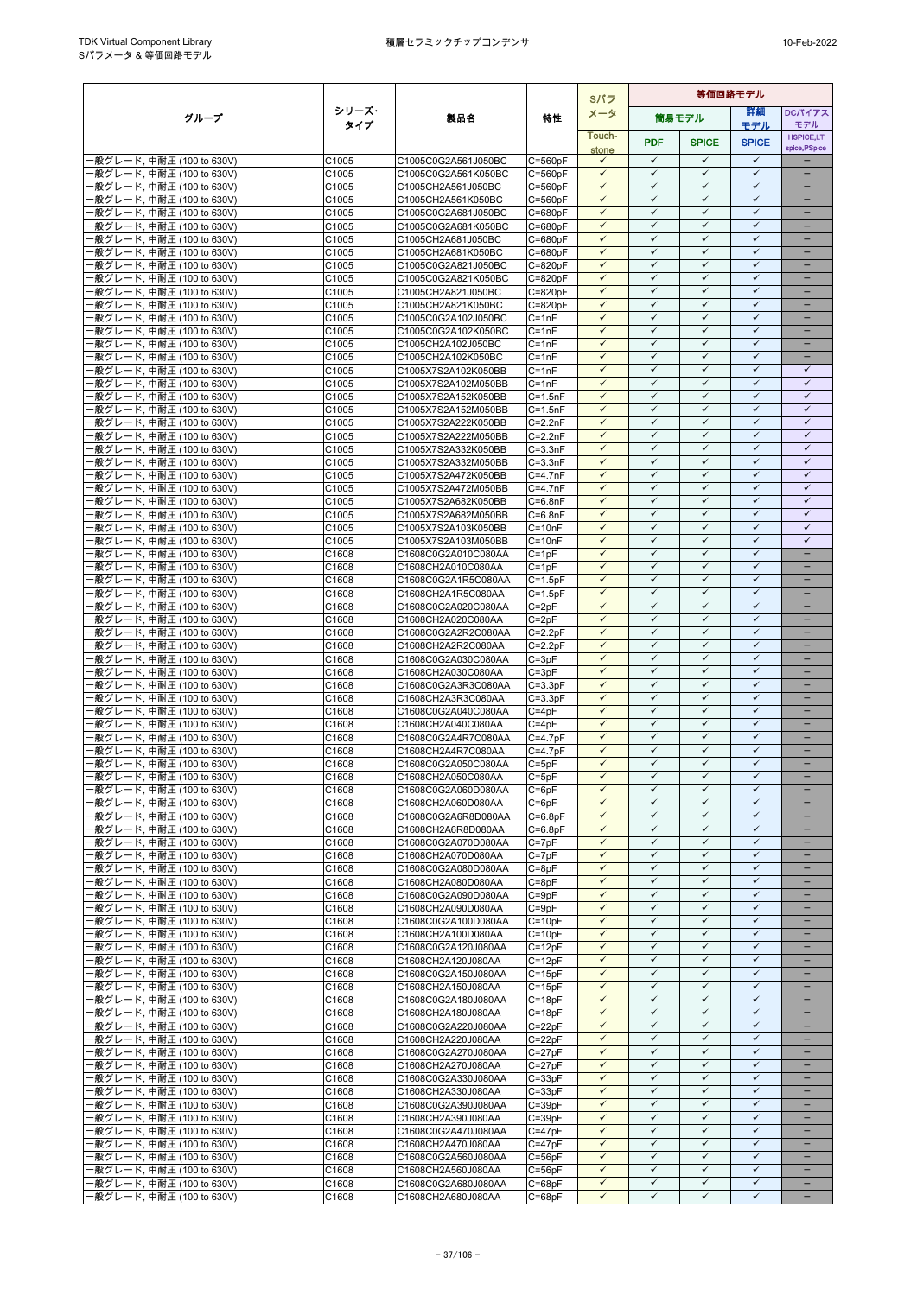|                                                        |                |                                            |                            | Sパラ                          | 等価回路モデル                      |                              |                              |                              |  |
|--------------------------------------------------------|----------------|--------------------------------------------|----------------------------|------------------------------|------------------------------|------------------------------|------------------------------|------------------------------|--|
| グループ                                                   | シリーズ・          | 製品名                                        | 特性                         | メータ                          |                              | 簡易モデル                        | 詳細                           | <b>DCパイアス</b>                |  |
|                                                        | タイプ            |                                            |                            | Touch-                       |                              |                              | モデル                          | モデル<br><b>HSPICE,LT</b>      |  |
|                                                        |                |                                            |                            | stone                        | <b>PDF</b>                   | <b>SPICE</b>                 | <b>SPICE</b>                 | spice, PSpice                |  |
| -般グレード, 中耐圧 (100 to 630V)                              | C1005          | C1005C0G2A561J050BC                        | $C = 560pF$                | $\checkmark$                 | $\checkmark$                 | $\checkmark$                 | $\checkmark$                 |                              |  |
| ·般グレード. 中耐圧 (100 to 630V)                              | C1005          | C1005C0G2A561K050BC                        | $C = 560pF$                | $\checkmark$                 | $\checkmark$                 | $\checkmark$                 | $\checkmark$                 |                              |  |
| ·般グレード, 中耐圧 (100 to 630V)                              | C1005          | C1005CH2A561J050BC                         | $C = 560pF$                | $\checkmark$                 | $\checkmark$                 | $\checkmark$<br>$\checkmark$ | $\checkmark$<br>$\checkmark$ | $\qquad \qquad -$            |  |
| -般グレード, 中耐圧 (100 to 630V)<br>·般グレード, 中耐圧 (100 to 630V) | C1005<br>C1005 | C1005CH2A561K050BC<br>C1005C0G2A681J050BC  | $C = 560pF$<br>$C = 680pF$ | $\checkmark$<br>$\checkmark$ | $\checkmark$<br>✓            | $\checkmark$                 | $\checkmark$                 | -                            |  |
| -般グレード, 中耐圧 (100 to 630V)                              | C1005          | C1005C0G2A681K050BC                        | $C = 680pF$                | $\checkmark$                 | $\checkmark$                 | $\checkmark$                 | $\checkmark$                 |                              |  |
| ·般グレード, 中耐圧 (100 to 630V)                              | C1005          | C1005CH2A681J050BC                         | $C = 680pF$                | $\checkmark$                 | $\checkmark$                 | $\checkmark$                 | $\checkmark$                 | $\equiv$                     |  |
| ·般グレード, 中耐圧 (100 to 630V)                              | C1005          | C1005CH2A681K050BC                         | $C = 680pF$                | $\checkmark$                 | $\checkmark$                 | $\checkmark$                 | $\checkmark$                 |                              |  |
| ·般グレード, 中耐圧 (100 to 630V)                              | C1005          | C1005C0G2A821J050BC                        | $C = 820pF$                | $\checkmark$                 | $\checkmark$                 | $\checkmark$                 | $\checkmark$                 |                              |  |
| ·般グレード, 中耐圧 (100 to 630V)                              | C1005          | C1005C0G2A821K050BC                        | $C = 820pF$                | $\checkmark$                 | $\checkmark$                 | $\checkmark$                 | $\checkmark$                 | -                            |  |
| ·般グレード, 中耐圧 (100 to 630V)<br>-般グレード, 中耐圧 (100 to 630V) | C1005<br>C1005 | C1005CH2A821J050BC<br>C1005CH2A821K050BC   | $C = 820pF$<br>$C = 820pF$ | $\checkmark$<br>$\checkmark$ | ✓<br>$\checkmark$            | ✓<br>$\checkmark$            | $\checkmark$<br>$\checkmark$ |                              |  |
| ·般グレード, 中耐圧 (100 to 630V)                              | C1005          | C1005C0G2A102J050BC                        | $C = 1nF$                  | $\checkmark$                 | $\checkmark$                 | $\checkmark$                 | $\checkmark$                 |                              |  |
| ·般グレード, 中耐圧 (100 to 630V)                              | C1005          | C1005C0G2A102K050BC                        | $C = 1nF$                  | $\checkmark$                 | $\checkmark$                 | $\checkmark$                 | $\checkmark$                 |                              |  |
| -般グレード, 中耐圧 (100 to 630V)                              | C1005          | C1005CH2A102J050BC                         | $C = 1nF$                  | $\checkmark$                 | $\checkmark$                 | $\checkmark$                 | $\checkmark$                 | $\overline{\phantom{0}}$     |  |
| ·般グレード, 中耐圧 (100 to 630V)                              | C1005          | C1005CH2A102K050BC                         | $C = 1nF$                  | $\checkmark$                 | $\checkmark$                 | ✓                            | $\checkmark$                 |                              |  |
| ·般グレード, 中耐圧 (100 to 630V)                              | C1005          | C1005X7S2A102K050BB                        | $C = 1nF$                  | $\checkmark$                 | $\checkmark$                 | $\checkmark$                 | $\checkmark$                 | $\checkmark$                 |  |
| -般グレード, 中耐圧 (100 to 630V)<br>-般グレード, 中耐圧 (100 to 630V) | C1005<br>C1005 | C1005X7S2A102M050BB<br>C1005X7S2A152K050BB | $C = 1nF$<br>$C = 1.5nF$   | $\checkmark$<br>$\checkmark$ | $\checkmark$<br>$\checkmark$ | $\checkmark$<br>$\checkmark$ | $\checkmark$<br>$\checkmark$ | $\checkmark$<br>$\checkmark$ |  |
| ·般グレード, 中耐圧 (100 to 630V)                              | C1005          | C1005X7S2A152M050BB                        | $C = 1.5nF$                | $\checkmark$                 | $\checkmark$                 | $\checkmark$                 | $\checkmark$                 | $\checkmark$                 |  |
| ·般グレード, 中耐圧 (100 to 630V)                              | C1005          | C1005X7S2A222K050BB                        | $C = 2.2nF$                | $\checkmark$                 | $\checkmark$                 | $\checkmark$                 | $\checkmark$                 | $\checkmark$                 |  |
| ·般グレード, 中耐圧 (100 to 630V)                              | C1005          | C1005X7S2A222M050BB                        | $C = 2.2nF$                | $\checkmark$                 | $\checkmark$                 | $\checkmark$                 | $\checkmark$                 | $\checkmark$                 |  |
| ·般グレード, 中耐圧 (100 to 630V)                              | C1005          | C1005X7S2A332K050BB                        | $C = 3.3nF$                | $\checkmark$                 | $\checkmark$                 | $\checkmark$                 | $\checkmark$                 | $\checkmark$                 |  |
| -般グレード, 中耐圧 (100 to 630V)                              | C1005          | C1005X7S2A332M050BB                        | $C = 3.3nF$                | $\checkmark$                 | $\checkmark$                 | $\checkmark$                 | $\checkmark$                 | $\checkmark$                 |  |
| ·般グレード, 中耐圧 (100 to 630V)                              | C1005<br>C1005 | C1005X7S2A472K050BB<br>C1005X7S2A472M050BB | $C=4.7nF$<br>$C=4.7nF$     | $\checkmark$<br>$\checkmark$ | $\checkmark$<br>$\checkmark$ | $\checkmark$<br>$\checkmark$ | $\checkmark$<br>$\checkmark$ | $\checkmark$<br>$\checkmark$ |  |
| ·般グレード, 中耐圧 (100 to 630V)<br>-般グレード, 中耐圧 (100 to 630V) | C1005          | C1005X7S2A682K050BB                        | $C = 6.8nF$                | $\checkmark$                 | $\checkmark$                 | $\checkmark$                 | $\checkmark$                 | $\checkmark$                 |  |
| -般グレード, 中耐圧 (100 to 630V)                              | C1005          | C1005X7S2A682M050BB                        | $C = 6.8nF$                | $\checkmark$                 | $\checkmark$                 | $\checkmark$                 | $\checkmark$                 | $\checkmark$                 |  |
| ·般グレード, 中耐圧 (100 to 630V)                              | C1005          | C1005X7S2A103K050BB                        | $C = 10nF$                 | $\checkmark$                 | $\checkmark$                 | $\checkmark$                 | $\checkmark$                 | $\checkmark$                 |  |
| ·般グレード, 中耐圧 (100 to 630V)                              | C1005          | C1005X7S2A103M050BB                        | $C = 10nF$                 | ✓                            | ✓                            | ✓                            | ✓                            | $\checkmark$                 |  |
| -般グレード, 中耐圧 (100 to 630V)                              | C1608          | C1608C0G2A010C080AA                        | $C = 1pF$                  | $\checkmark$                 | $\checkmark$                 | $\checkmark$                 | $\checkmark$                 | ÷                            |  |
| ·般グレード, 中耐圧 (100 to 630V)                              | C1608<br>C1608 | C1608CH2A010C080AA<br>C1608C0G2A1R5C080AA  | $C = 1pF$<br>$C = 1.5pF$   | $\checkmark$<br>$\checkmark$ | $\checkmark$<br>$\checkmark$ | $\checkmark$<br>$\checkmark$ | $\checkmark$<br>$\checkmark$ | $\equiv$                     |  |
| ·般グレード, 中耐圧 (100 to 630V)<br>-般グレード, 中耐圧 (100 to 630V) | C1608          | C1608CH2A1R5C080AA                         | $C = 1.5pF$                | $\checkmark$                 | $\checkmark$                 | $\checkmark$                 | $\checkmark$                 | $\overline{\phantom{0}}$     |  |
| ·般グレード, 中耐圧 (100 to 630V)                              | C1608          | C1608C0G2A020C080AA                        | $C = 2pF$                  | $\checkmark$                 | $\checkmark$                 | $\checkmark$                 | $\checkmark$                 |                              |  |
| -般グレード, 中耐圧 (100 to 630V)                              | C1608          | C1608CH2A020C080AA                         | $C = 2pF$                  | $\checkmark$                 | ✓                            | $\checkmark$                 | $\checkmark$                 |                              |  |
| -般グレード, 中耐圧 (100 to 630V)                              | C1608          | C1608C0G2A2R2C080AA                        | $C = 2.2pF$                | $\checkmark$                 | $\checkmark$                 | $\checkmark$                 | $\checkmark$                 |                              |  |
| -般グレード, 中耐圧 (100 to 630V)                              | C1608          | C1608CH2A2R2C080AA                         | $C = 2.2pF$                | $\checkmark$                 | $\checkmark$                 | $\checkmark$                 | $\checkmark$                 |                              |  |
| ·般グレード, 中耐圧 (100 to 630V)                              | C1608          | C1608C0G2A030C080AA                        | $C = 3pF$                  | $\checkmark$<br>$\checkmark$ | $\checkmark$<br>$\checkmark$ | $\checkmark$<br>$\checkmark$ | $\checkmark$<br>$\checkmark$ | $\overline{\phantom{0}}$     |  |
| -般グレード, 中耐圧 (100 to 630V)<br>·般グレード, 中耐圧 (100 to 630V) | C1608<br>C1608 | C1608CH2A030C080AA<br>C1608C0G2A3R3C080AA  | $C = 3pF$<br>$C = 3.3pF$   | $\checkmark$                 | $\checkmark$                 | $\checkmark$                 | $\checkmark$                 | $\qquad \qquad -$            |  |
| -般グレード, 中耐圧 (100 to 630V)                              | C1608          | C1608CH2A3R3C080AA                         | $C = 3.3pF$                | $\checkmark$                 | ✓                            | ✓                            | $\checkmark$                 |                              |  |
| -般グレード, 中耐圧 (100 to 630V)                              | C1608          | C1608C0G2A040C080AA                        | $C = 4pF$                  | $\checkmark$                 | $\checkmark$                 | $\checkmark$                 | $\checkmark$                 |                              |  |
| -般グレード, 中耐圧 (100 to 630V)                              | C1608          | C1608CH2A040C080AA                         | $C = 4pF$                  | $\checkmark$                 | $\checkmark$                 | $\checkmark$                 | $\checkmark$                 |                              |  |
| -般グレード, 中耐圧 (100 to 630V)                              | C1608          | C1608C0G2A4R7C080AA                        | $C = 4.7pF$                | $\checkmark$                 | $\checkmark$                 | $\checkmark$                 | $\checkmark$                 | $\equiv$                     |  |
| ·般グレード, 中耐圧 (100 to 630V)                              | C1608          | C1608CH2A4R7C080AA                         | $C=4.7pF$                  | $\checkmark$<br>$\checkmark$ | $\checkmark$<br>$\checkmark$ | $\checkmark$<br>$\checkmark$ | $\checkmark$<br>$\checkmark$ | $\overline{\phantom{0}}$     |  |
| ·般グレード, 中耐圧 (100 to 630V)<br>·般グレード, 中耐圧 (100 to 630V) | C1608<br>C1608 | C1608C0G2A050C080AA<br>C1608CH2A050C080AA  | $C = 5pF$<br>$C = 5nF$     | $\checkmark$                 | $\checkmark$                 | $\checkmark$                 | $\checkmark$                 |                              |  |
| ·般グレード, 中耐圧 (100 to 630V)                              | C1608          | C1608C0G2A060D080AA                        | $C = 6pF$                  | $\checkmark$                 | $\checkmark$                 | $\checkmark$                 | $\checkmark$                 |                              |  |
| -般グレード, 中耐圧 (100 to 630V)                              | C1608          | C1608CH2A060D080AA                         | $C = 6pF$                  | $\checkmark$                 | $\checkmark$                 | $\checkmark$                 | $\checkmark$                 |                              |  |
| -般グレード, 中耐圧 (100 to 630V)                              | C1608          | C1608C0G2A6R8D080AA                        | $C = 6.8pF$                | $\checkmark$                 | $\checkmark$                 | $\checkmark$                 | $\checkmark$                 |                              |  |
| ·般グレード, 中耐圧 (100 to 630V)                              | C1608          | C1608CH2A6R8D080AA                         | $C = 6.8pF$                | $\checkmark$                 | ✓                            | $\checkmark$                 | $\checkmark$                 |                              |  |
| -般グレード, 中耐圧 (100 to 630V)                              | C1608          | C1608C0G2A070D080AA                        | $C = 7pF$                  | $\checkmark$                 | $\checkmark$                 | $\checkmark$                 | $\checkmark$                 |                              |  |
| -般グレード, 中耐圧 (100 to 630V)<br>-般グレード, 中耐圧 (100 to 630V) | C1608<br>C1608 | C1608CH2A070D080AA<br>C1608C0G2A080D080AA  | $C = 7pF$<br>$C = 8pF$     | $\checkmark$<br>$\checkmark$ | $\checkmark$<br>✓            | $\checkmark$<br>$\checkmark$ | $\checkmark$<br>✓            | $\qquad \qquad -$            |  |
| -般グレード, 中耐圧 (100 to 630V)                              | C1608          | C1608CH2A080D080AA                         | $C = 8pF$                  | $\checkmark$                 | $\checkmark$                 | $\checkmark$                 | $\checkmark$                 |                              |  |
| -般グレード, 中耐圧 (100 to 630V)                              | C1608          | C1608C0G2A090D080AA                        | $C = 9pF$                  | $\checkmark$                 | $\checkmark$                 | $\checkmark$                 | $\checkmark$                 |                              |  |
| 般グレード, 中耐圧 (100 to 630V)                               | C1608          | C1608CH2A090D080AA                         | $C = 9pF$                  | $\checkmark$                 | ✓                            | $\checkmark$                 | $\checkmark$                 |                              |  |
| -般グレード, 中耐圧 (100 to 630V)                              | C1608          | C1608C0G2A100D080AA                        | $C = 10pF$                 | $\checkmark$                 | $\checkmark$                 | $\checkmark$                 | $\checkmark$                 | $\overline{\phantom{0}}$     |  |
| ·般グレード, 中耐圧 (100 to 630V)                              | C1608          | C1608CH2A100D080AA                         | $C = 10pF$                 | $\checkmark$                 | $\checkmark$                 | $\checkmark$                 | $\checkmark$                 |                              |  |
| -般グレード, 中耐圧 (100 to 630V)<br>-般グレード, 中耐圧 (100 to 630V) | C1608<br>C1608 | C1608C0G2A120J080AA<br>C1608CH2A120J080AA  | $C = 12pF$<br>$C = 12pF$   | ✓<br>$\checkmark$            | ✓<br>$\checkmark$            | ✓<br>$\checkmark$            | ✓<br>$\checkmark$            | $\qquad \qquad -$            |  |
| ·般グレード, 中耐圧 (100 to 630V)                              | C1608          | C1608C0G2A150J080AA                        | $C = 15pF$                 | $\checkmark$                 | $\checkmark$                 | $\checkmark$                 | $\checkmark$                 |                              |  |
| ·般グレード, 中耐圧 (100 to 630V)                              | C1608          | C1608CH2A150J080AA                         | $C = 15pF$                 | $\checkmark$                 | ✓                            | ✓                            | $\checkmark$                 |                              |  |
| -般グレード, 中耐圧 (100 to 630V)                              | C1608          | C1608C0G2A180J080AA                        | $C = 18pF$                 | $\checkmark$                 | $\checkmark$                 | $\checkmark$                 | $\checkmark$                 | $\overline{\phantom{0}}$     |  |
| ·般グレード, 中耐圧 (100 to 630V)                              | C1608          | C1608CH2A180J080AA                         | $C = 18pF$                 | $\checkmark$                 | $\checkmark$                 | $\checkmark$                 | $\checkmark$                 |                              |  |
| ·般グレード, 中耐圧 (100 to 630V)                              | C1608          | C1608C0G2A220J080AA                        | $C = 22pF$                 | $\checkmark$                 | $\checkmark$                 | $\checkmark$                 | $\checkmark$                 | $\qquad \qquad -$            |  |
| ·般グレード, 中耐圧 (100 to 630V)<br>-般グレード, 中耐圧 (100 to 630V) | C1608<br>C1608 | C1608CH2A220J080AA<br>C1608C0G2A270J080AA  | $C = 22pF$<br>$C = 27pF$   | $\checkmark$<br>$\checkmark$ | $\checkmark$<br>$\checkmark$ | $\checkmark$<br>$\checkmark$ | $\checkmark$<br>$\checkmark$ | -                            |  |
| ·般グレード, 中耐圧 (100 to 630V)                              | C1608          | C1608CH2A270J080AA                         | $C = 27pF$                 | $\checkmark$                 | ✓                            | $\checkmark$                 | $\checkmark$                 |                              |  |
| ·般グレード, 中耐圧 (100 to 630V)                              | C1608          | C1608C0G2A330J080AA                        | $C = 33pF$                 | $\checkmark$                 | $\checkmark$                 | $\checkmark$                 | $\checkmark$                 |                              |  |
| ·般グレード, 中耐圧 (100 to 630V)                              | C1608          | C1608CH2A330J080AA                         | $C = 33pF$                 | $\checkmark$                 | $\checkmark$                 | $\checkmark$                 | $\checkmark$                 |                              |  |
| ·般グレード, 中耐圧 (100 to 630V)                              | C1608          | C1608C0G2A390J080AA                        | $C = 39pF$                 | $\checkmark$                 | $\checkmark$                 | $\checkmark$                 | $\checkmark$                 | $\qquad \qquad -$            |  |
| -般グレード, 中耐圧 (100 to 630V)                              | C1608          | C1608CH2A390J080AA                         | $C = 39pF$                 | $\checkmark$                 | ✓                            | $\checkmark$                 | ✓                            | $\overline{\phantom{0}}$     |  |
| -般グレード, 中耐圧 (100 to 630V)<br>-般グレード, 中耐圧 (100 to 630V) | C1608<br>C1608 | C1608C0G2A470J080AA<br>C1608CH2A470J080AA  | $C = 47pF$<br>$C = 47pF$   | $\checkmark$<br>$\checkmark$ | $\checkmark$<br>$\checkmark$ | $\checkmark$<br>$\checkmark$ | $\checkmark$<br>$\checkmark$ | $\overline{\phantom{0}}$     |  |
| ·般グレード, 中耐圧 (100 to 630V)                              | C1608          | C1608C0G2A560J080AA                        | $C = 56pF$                 | $\checkmark$                 | $\checkmark$                 | $\checkmark$                 | $\checkmark$                 |                              |  |
| -般グレード, 中耐圧 (100 to 630V)                              | C1608          | C1608CH2A560J080AA                         | $C = 56pF$                 | $\checkmark$                 | $\checkmark$                 | $\checkmark$                 | $\checkmark$                 | $\overline{\phantom{0}}$     |  |
| -般グレード, 中耐圧 (100 to 630V)                              | C1608          | C1608C0G2A680J080AA                        | $C = 68pF$                 | $\checkmark$                 | $\checkmark$                 | $\checkmark$                 | $\checkmark$                 | $\qquad \qquad -$            |  |
| -般グレード, 中耐圧 (100 to 630V)                              | C1608          | C1608CH2A680J080AA                         | $C = 68pF$                 | $\checkmark$                 | $\checkmark$                 | $\checkmark$                 | ✓                            |                              |  |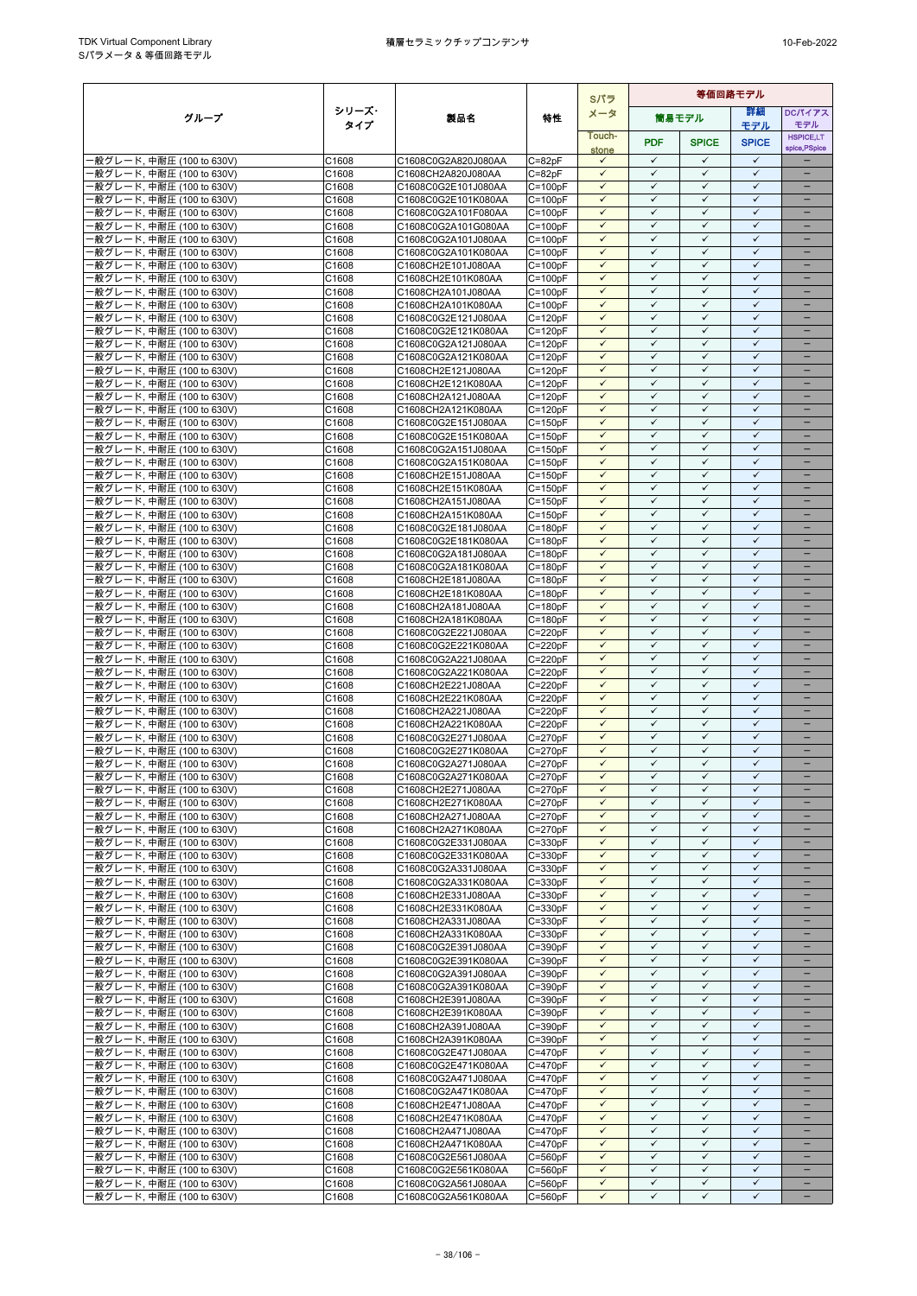|                                                        |                |                                            |                            | Sパラ                          | 等価回路モデル                      |                              |                              |                          |
|--------------------------------------------------------|----------------|--------------------------------------------|----------------------------|------------------------------|------------------------------|------------------------------|------------------------------|--------------------------|
| グループ                                                   | シリーズ・          | 製品名                                        | 特性                         | メータ                          |                              | 簡易モデル                        | 詳細                           | DCパイアス                   |
|                                                        | タイプ            |                                            |                            | Touch-                       |                              |                              | モデル                          | モデル<br><b>HSPICE,LT</b>  |
|                                                        |                |                                            |                            | stone                        | <b>PDF</b>                   | <b>SPICE</b>                 | <b>SPICE</b>                 | spice, PSpice            |
| -般グレード, 中耐圧 (100 to 630V)                              | C1608          | C1608C0G2A820J080AA                        | $C = 82pF$                 | ✓                            | $\checkmark$                 | $\checkmark$                 | $\checkmark$                 |                          |
| -般グレード, 中耐圧 (100 to 630V)<br>·般グレード, 中耐圧 (100 to 630V) | C1608<br>C1608 | C1608CH2A820J080AA                         | $C = 82pF$<br>$C = 100pF$  | $\checkmark$<br>$\checkmark$ | ✓<br>$\checkmark$            | ✓<br>$\checkmark$            | $\checkmark$<br>$\checkmark$ | $\overline{\phantom{0}}$ |
| 般グレード, 中耐圧 (100 to 630V)                               | C1608          | C1608C0G2E101J080AA<br>C1608C0G2E101K080AA | $C = 100pF$                | $\checkmark$                 | $\checkmark$                 | $\checkmark$                 | $\checkmark$                 |                          |
| ·般グレード, 中耐圧 (100 to 630V)                              | C1608          | C1608C0G2A101F080AA                        | $C = 100pF$                | $\checkmark$                 | $\checkmark$                 | $\checkmark$                 | $\checkmark$                 | $\qquad \qquad -$        |
| ·般グレード, 中耐圧 (100 to 630V)                              | C1608          | C1608C0G2A101G080AA                        | $C = 100pF$                | $\checkmark$                 | $\checkmark$                 | $\checkmark$                 | $\checkmark$                 |                          |
| -般グレード, 中耐圧 (100 to 630V)                              | C1608          | C1608C0G2A101J080AA                        | $C = 100pF$                | $\checkmark$<br>$\checkmark$ | $\checkmark$<br>$\checkmark$ | $\checkmark$<br>$\checkmark$ | $\checkmark$<br>$\checkmark$ | $\equiv$                 |
| ·般グレード, 中耐圧 (100 to 630V)<br>·般グレード, 中耐圧 (100 to 630V) | C1608<br>C1608 | C1608C0G2A101K080AA<br>C1608CH2E101J080AA  | $C = 100pF$<br>$C = 100pF$ | $\checkmark$                 | $\checkmark$                 | $\checkmark$                 | $\checkmark$                 | $\equiv$                 |
| ·般グレード, 中耐圧 (100 to 630V)                              | C1608          | C1608CH2E101K080AA                         | $C = 100pF$                | $\checkmark$                 | $\checkmark$                 | $\checkmark$                 | $\checkmark$                 |                          |
| -般グレード, 中耐圧 (100 to 630V)                              | C1608          | C1608CH2A101J080AA                         | $C = 100pF$                | $\checkmark$                 | $\checkmark$                 | $\checkmark$                 | $\checkmark$                 | $\qquad \qquad -$        |
| ·般グレード, 中耐圧 (100 to 630V)                              | C1608          | C1608CH2A101K080AA                         | $C = 100pF$                | $\checkmark$                 | $\checkmark$                 | $\checkmark$                 | $\checkmark$                 | $\qquad \qquad -$        |
| -般グレード, 中耐圧 (100 to 630V)<br>·般グレード, 中耐圧 (100 to 630V) | C1608<br>C1608 | C1608C0G2E121J080AA<br>C1608C0G2E121K080AA | $C = 120pF$<br>$C = 120pF$ | $\checkmark$<br>$\checkmark$ | $\checkmark$<br>$\checkmark$ | ✓<br>$\checkmark$            | $\checkmark$<br>$\checkmark$ | $\equiv$                 |
| ·般グレード, 中耐圧 (100 to 630V)                              | C1608          | C1608C0G2A121J080AA                        | $C = 120pF$                | $\checkmark$                 | $\checkmark$                 | $\checkmark$                 | $\checkmark$                 |                          |
| -般グレード, 中耐圧 (100 to 630V)                              | C1608          | C1608C0G2A121K080AA                        | $C = 120pF$                | $\checkmark$                 | $\checkmark$                 | $\checkmark$                 | $\checkmark$                 | $\overline{\phantom{0}}$ |
| ·般グレード, 中耐圧 (100 to 630V)                              | C1608          | C1608CH2E121J080AA                         | $C = 120pF$                | $\checkmark$                 | $\checkmark$                 | $\checkmark$                 | $\checkmark$                 | $\qquad \qquad -$        |
| ·般グレード, 中耐圧 (100 to 630V)<br>-般グレード, 中耐圧 (100 to 630V) | C1608<br>C1608 | C1608CH2E121K080AA<br>C1608CH2A121J080AA   | $C = 120pF$<br>$C = 120pF$ | $\checkmark$<br>$\checkmark$ | ✓<br>$\checkmark$            | ✓<br>$\checkmark$            | $\checkmark$<br>$\checkmark$ |                          |
| ·般グレード, 中耐圧 (100 to 630V)                              | C1608          | C1608CH2A121K080AA                         | $C = 120pF$                | $\checkmark$                 | $\checkmark$                 | $\checkmark$                 | $\checkmark$                 |                          |
| ·般グレード, 中耐圧 (100 to 630V)                              | C1608          | C1608C0G2E151J080AA                        | $C = 150pF$                | $\checkmark$                 | $\checkmark$                 | $\checkmark$                 | $\checkmark$                 |                          |
| -般グレード, 中耐圧 (100 to 630V)                              | C1608          | C1608C0G2E151K080AA                        | $C = 150pF$                | $\checkmark$                 | $\checkmark$                 | $\checkmark$                 | $\checkmark$                 | $\overline{\phantom{0}}$ |
| ·般グレード, 中耐圧 (100 to 630V)<br>·般グレード, 中耐圧 (100 to 630V) | C1608<br>C1608 | C1608C0G2A151J080AA<br>C1608C0G2A151K080AA | $C = 150pF$<br>$C = 150pF$ | $\checkmark$<br>$\checkmark$ | ✓<br>$\checkmark$            | ✓<br>$\checkmark$            | $\checkmark$<br>$\checkmark$ | $\qquad \qquad -$        |
| -般グレード, 中耐圧 (100 to 630V)                              | C1608          | C1608CH2E151J080AA                         | $C = 150pF$                | $\checkmark$                 | $\checkmark$                 | $\checkmark$                 | $\checkmark$                 |                          |
| ·般グレード, 中耐圧 (100 to 630V)                              | C1608          | C1608CH2E151K080AA                         | $C = 150pF$                | $\checkmark$                 | $\checkmark$                 | $\checkmark$                 | $\checkmark$                 |                          |
| ·般グレード, 中耐圧 (100 to 630V)                              | C1608          | C1608CH2A151J080AA                         | $C = 150pF$                | $\checkmark$                 | ✓                            | $\checkmark$                 | $\checkmark$                 |                          |
| ·般グレード. 中耐圧 (100 to 630V)<br>·般グレード, 中耐圧 (100 to 630V) | C1608<br>C1608 | C1608CH2A151K080AA<br>C1608C0G2E181J080AA  | $C = 150pF$<br>$C = 180pF$ | $\checkmark$<br>$\checkmark$ | $\checkmark$<br>$\checkmark$ | $\checkmark$<br>$\checkmark$ | $\checkmark$<br>$\checkmark$ |                          |
| ·般グレード, 中耐圧 (100 to 630V)                              | C1608          | C1608C0G2E181K080AA                        | $C = 180pF$                | $\checkmark$                 | $\checkmark$                 | $\checkmark$                 | $\checkmark$                 | $\overline{\phantom{0}}$ |
| -般グレード, 中耐圧 (100 to 630V)                              | C1608          | C1608C0G2A181J080AA                        | $C = 180pF$                | $\checkmark$                 | $\checkmark$                 | $\checkmark$                 | $\checkmark$                 | -                        |
| ·般グレード, 中耐圧 (100 to 630V)                              | C1608          | C1608C0G2A181K080AA                        | $C = 180pF$                | $\checkmark$                 | $\checkmark$                 | $\checkmark$                 | $\checkmark$                 |                          |
| ·般グレード, 中耐圧 (100 to 630V)<br>·般グレード, 中耐圧 (100 to 630V) | C1608<br>C1608 | C1608CH2E181J080AA<br>C1608CH2E181K080AA   | $C = 180pF$<br>$C = 180pF$ | $\checkmark$<br>$\checkmark$ | $\checkmark$<br>$\checkmark$ | $\checkmark$<br>$\checkmark$ | $\checkmark$<br>$\checkmark$ | -                        |
| ·般グレード, 中耐圧 (100 to 630V)                              | C1608          | C1608CH2A181J080AA                         | $C = 180pF$                | $\checkmark$                 | $\checkmark$                 | $\checkmark$                 | $\checkmark$                 |                          |
| ·般グレード, 中耐圧 (100 to 630V)                              | C1608          | C1608CH2A181K080AA                         | $C = 180pF$                | $\checkmark$                 | $\checkmark$                 | $\checkmark$                 | $\checkmark$                 | -                        |
| ·般グレード, 中耐圧 (100 to 630V)                              | C1608          | C1608C0G2E221J080AA                        | $C = 220pF$                | ✓                            | ✓                            | ✓                            | ✓                            |                          |
| -般グレード, 中耐圧 (100 to 630V)<br>·般グレード, 中耐圧 (100 to 630V) | C1608<br>C1608 | C1608C0G2E221K080AA<br>C1608C0G2A221J080AA | $C = 220pF$<br>C=220pF     | $\checkmark$<br>$\checkmark$ | $\checkmark$<br>$\checkmark$ | $\checkmark$<br>$\checkmark$ | $\checkmark$<br>$\checkmark$ | $\overline{\phantom{0}}$ |
| ·般グレード, 中耐圧 (100 to 630V)                              | C1608          | C1608C0G2A221K080AA                        | $C = 220pF$                | $\checkmark$                 | $\checkmark$                 | $\checkmark$                 | $\checkmark$                 |                          |
| -般グレード, 中耐圧 (100 to 630V)                              | C1608          | C1608CH2E221J080AA                         | $C = 220pF$                | $\checkmark$                 | $\checkmark$                 | $\checkmark$                 | $\checkmark$                 | $\overline{\phantom{0}}$ |
| ·般グレード, 中耐圧 (100 to 630V)                              | C1608          | C1608CH2E221K080AA                         | $C = 220pF$                | $\checkmark$                 | $\checkmark$                 | $\checkmark$                 | $\checkmark$                 |                          |
| -般グレード, 中耐圧 (100 to 630V)<br>-般グレード, 中耐圧 (100 to 630V) | C1608<br>C1608 | C1608CH2A221J080AA<br>C1608CH2A221K080AA   | $C = 220pF$<br>$C = 220pF$ | $\checkmark$<br>$\checkmark$ | ✓<br>$\checkmark$            | $\checkmark$<br>$\checkmark$ | ✓<br>$\checkmark$            |                          |
| -般グレード, 中耐圧 (100 to 630V)                              | C1608          | C1608C0G2E271J080AA                        | $C = 270pF$                | $\checkmark$                 | $\checkmark$                 | $\checkmark$                 | $\checkmark$                 |                          |
| ·般グレード, 中耐圧 (100 to 630V)                              | C1608          | C1608C0G2E271K080AA                        | $C = 270pF$                | $\checkmark$                 | ✓                            | ✓                            | $\checkmark$                 |                          |
| ·般グレード, 中耐圧 (100 to 630V)                              | C1608          | C1608C0G2A271J080AA                        | $C = 270pF$                | $\checkmark$                 | $\checkmark$                 | $\checkmark$                 | $\checkmark$                 | $\overline{\phantom{0}}$ |
| 般グレード, 中耐圧 (100 to 630V)<br>·般グレード, 中耐圧 (100 to 630V)  | C1608<br>C1608 | C1608C0G2A271K080AA<br>C1608CH2E271J080AA  | $C = 270pF$<br>$C = 270pF$ | $\checkmark$<br>$\checkmark$ | $\checkmark$<br>✓            | $\checkmark$<br>✓            | $\checkmark$<br>✓            | $\overline{\phantom{0}}$ |
| -般グレード, 中耐圧 (100 to 630V)                              | C1608          | C1608CH2E271K080AA                         | $C = 270pF$                | $\checkmark$                 | $\checkmark$                 | $\checkmark$                 | $\checkmark$                 |                          |
| -般グレード, 中耐圧 (100 to 630V)                              | C1608          | C1608CH2A271J080AA                         | $C = 270pF$                | $\checkmark$                 | $\checkmark$                 | $\checkmark$                 | $\checkmark$                 |                          |
| -般グレード, 中耐圧 (100 to 630V)                              | C1608          | C1608CH2A271K080AA                         | $C = 270pF$                | $\checkmark$                 | $\checkmark$                 | $\checkmark$                 | ✓                            | $\equiv$                 |
| -般グレード, 中耐圧 (100 to 630V)<br>·般グレード, 中耐圧 (100 to 630V) | C1608<br>C1608 | C1608C0G2E331J080AA<br>C1608C0G2E331K080AA | $C = 330pF$<br>$C = 330pF$ | $\checkmark$<br>$\checkmark$ | $\checkmark$<br>$\checkmark$ | $\checkmark$<br>$\checkmark$ | $\checkmark$<br>$\checkmark$ |                          |
| -般グレード, 中耐圧 (100 to 630V)                              | C1608          | C1608C0G2A331J080AA                        | $C = 330pF$                | $\checkmark$                 | $\checkmark$                 | $\checkmark$                 | $\checkmark$                 | -                        |
| ·般グレード, 中耐圧 (100 to 630V)                              | C1608          | C1608C0G2A331K080AA                        | $C = 330pF$                | ✓                            | ✓                            | ✓                            | ✓                            |                          |
| -般グレード, 中耐圧 (100 to 630V)                              | C1608          | C1608CH2E331J080AA                         | C=330pF                    | $\checkmark$                 | $\checkmark$                 | $\checkmark$                 | $\checkmark$                 | $\qquad \qquad -$        |
| ·般グレード, 中耐圧 (100 to 630V)<br>·般グレード, 中耐圧 (100 to 630V) | C1608<br>C1608 | C1608CH2E331K080AA<br>C1608CH2A331J080AA   | C=330pF<br>$C = 330pF$     | $\checkmark$<br>$\checkmark$ | $\checkmark$<br>✓            | $\checkmark$<br>$\checkmark$ | $\checkmark$<br>$\checkmark$ |                          |
| ·般グレード, 中耐圧 (100 to 630V)                              | C1608          | C1608CH2A331K080AA                         | $C = 330pF$                | $\checkmark$                 | $\checkmark$                 | $\checkmark$                 | $\checkmark$                 |                          |
| -般グレード, 中耐圧 (100 to 630V)                              | C1608          | C1608C0G2E391J080AA                        | $C = 390pF$                | $\checkmark$                 | $\checkmark$                 | $\checkmark$                 | $\checkmark$                 | $\qquad \qquad -$        |
| -般グレード, 中耐圧 (100 to 630V)                              | C1608          | C1608C0G2E391K080AA                        | $C = 390pF$                | $\checkmark$                 | ✓                            | $\checkmark$                 | ✓                            |                          |
| -般グレード, 中耐圧 (100 to 630V)<br>-般グレード, 中耐圧 (100 to 630V) | C1608<br>C1608 | C1608C0G2A391J080AA<br>C1608C0G2A391K080AA | $C = 390pF$<br>$C = 390pF$ | $\checkmark$<br>$\checkmark$ | $\checkmark$<br>$\checkmark$ | $\checkmark$<br>$\checkmark$ | $\checkmark$<br>$\checkmark$ |                          |
| ·般グレード, 中耐圧 (100 to 630V)                              | C1608          | C1608CH2E391J080AA                         | $C = 390pF$                | $\checkmark$                 | ✓                            | $\checkmark$                 | $\checkmark$                 |                          |
| -般グレード, 中耐圧 (100 to 630V)                              | C1608          | C1608CH2E391K080AA                         | $C = 390pF$                | $\checkmark$                 | $\checkmark$                 | $\checkmark$                 | $\checkmark$                 | $\qquad \qquad -$        |
| ·般グレード, 中耐圧 (100 to 630V)                              | C1608          | C1608CH2A391J080AA                         | $C = 390pF$                | $\checkmark$                 | $\checkmark$                 | $\checkmark$                 | $\checkmark$                 |                          |
| ·般グレード, 中耐圧 (100 to 630V)<br>-般グレード, 中耐圧 (100 to 630V) | C1608<br>C1608 | C1608CH2A391K080AA<br>C1608C0G2E471J080AA  | $C = 390pF$<br>$C = 470pF$ | ✓<br>$\checkmark$            | ✓<br>$\checkmark$            | ✓<br>$\checkmark$            | ✓<br>$\checkmark$            | -<br>$\qquad \qquad -$   |
| ·般グレード, 中耐圧 (100 to 630V)                              | C1608          | C1608C0G2E471K080AA                        | $C = 470pF$                | $\checkmark$                 | $\checkmark$                 | ✓                            | $\checkmark$                 |                          |
| ·般グレード, 中耐圧 (100 to 630V)                              | C1608          | C1608C0G2A471J080AA                        | $C = 470pF$                | $\checkmark$                 | ✓                            | $\checkmark$                 | $\checkmark$                 |                          |
| -般グレード, 中耐圧 (100 to 630V)                              | C1608          | C1608C0G2A471K080AA                        | $C = 470pF$                | $\checkmark$                 | $\checkmark$                 | $\checkmark$                 | $\checkmark$                 | $\overline{\phantom{0}}$ |
| ·般グレード, 中耐圧 (100 to 630V)<br>-般グレード, 中耐圧 (100 to 630V) | C1608<br>C1608 | C1608CH2E471J080AA<br>C1608CH2E471K080AA   | $C = 470pF$<br>$C = 470pF$ | $\checkmark$<br>$\checkmark$ | $\checkmark$<br>$\checkmark$ | $\checkmark$<br>$\checkmark$ | $\checkmark$<br>$\checkmark$ | $\qquad \qquad -$        |
| -般グレード, 中耐圧 (100 to 630V)                              | C1608          | C1608CH2A471J080AA                         | $C = 470pF$                | ✓                            | $\checkmark$                 | $\checkmark$                 | $\checkmark$                 |                          |
| -般グレード, 中耐圧 (100 to 630V)                              | C1608          | C1608CH2A471K080AA                         | $C = 470pF$                | $\checkmark$                 | $\checkmark$                 | $\checkmark$                 | $\checkmark$                 | -                        |
| -般グレード, 中耐圧 (100 to 630V)                              | C1608          | C1608C0G2E561J080AA                        | $C = 560pF$                | $\checkmark$                 | ✓                            | $\checkmark$                 | $\checkmark$                 |                          |
| ·般グレード, 中耐圧 (100 to 630V)<br>-般グレード, 中耐圧 (100 to 630V) | C1608<br>C1608 | C1608C0G2E561K080AA<br>C1608C0G2A561J080AA | $C = 560pF$<br>$C = 560pF$ | $\checkmark$<br>$\checkmark$ | $\checkmark$<br>$\checkmark$ | $\checkmark$<br>$\checkmark$ | $\checkmark$<br>$\checkmark$ |                          |
| - 般グレード, 中耐圧 (100 to 630V)                             | C1608          | C1608C0G2A561K080AA                        | $C = 560pF$                | $\checkmark$                 | $\checkmark$                 | $\checkmark$                 | $\checkmark$                 | $\qquad \qquad -$        |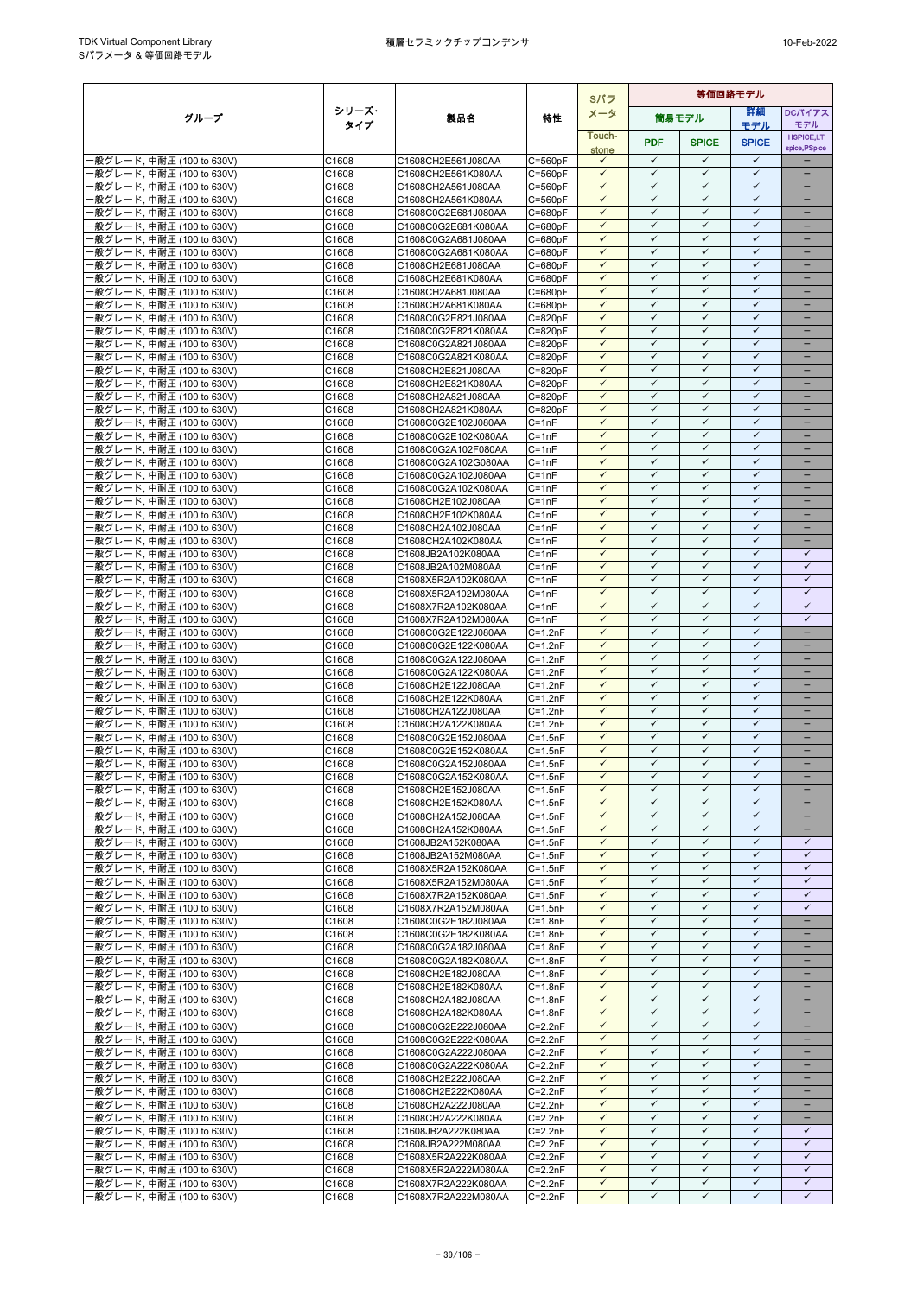|                                                        |                | Sパラ                                        |                            |                              | 等価回路モデル                      |                              |                              |                               |
|--------------------------------------------------------|----------------|--------------------------------------------|----------------------------|------------------------------|------------------------------|------------------------------|------------------------------|-------------------------------|
| グループ                                                   | シリーズ・          | 製品名                                        | 特性                         | メータ                          |                              | 筒易モデル                        | 等細                           | <b>DCパイアス</b>                 |
|                                                        | タイプ            |                                            |                            | Touch-                       |                              |                              | モデル                          | モデル<br><b>HSPICE,LT</b>       |
|                                                        |                |                                            |                            | stone                        | <b>PDF</b>                   | <b>SPICE</b>                 | <b>SPICE</b>                 | spice, PSpice                 |
| -般グレード, 中耐圧 (100 to 630V)                              | C1608          | C1608CH2E561J080AA                         | $C = 560pF$                | $\checkmark$                 | $\checkmark$                 | $\checkmark$                 | $\checkmark$                 |                               |
| ·般グレード, 中耐圧 (100 to 630V)<br>·般グレード, 中耐圧 (100 to 630V) | C1608<br>C1608 | C1608CH2E561K080AA<br>C1608CH2A561J080AA   | $C = 560pF$<br>C=560pF     | $\checkmark$<br>$\checkmark$ | $\checkmark$<br>$\checkmark$ | $\checkmark$<br>$\checkmark$ | $\checkmark$<br>$\checkmark$ | $\overline{\phantom{0}}$      |
| ·般グレード, 中耐圧 (100 to 630V)                              | C1608          | C1608CH2A561K080AA                         | $C = 560pF$                | $\checkmark$                 | $\checkmark$                 | $\checkmark$                 | $\checkmark$                 |                               |
| ·般グレード, 中耐圧 (100 to 630V)                              | C1608          | C1608C0G2E681J080AA                        | C=680pF                    | $\checkmark$                 | $\checkmark$                 | $\checkmark$                 | $\checkmark$                 | $\qquad \qquad -$             |
| ·般グレード, 中耐圧 (100 to 630V)                              | C1608          | C1608C0G2E681K080AA                        | C=680pF                    | ✓                            | $\checkmark$                 | $\checkmark$                 | $\checkmark$                 |                               |
| ·般グレード, 中耐圧 (100 to 630V)                              | C1608          | C1608C0G2A681J080AA                        | $C = 680pF$                | $\checkmark$                 | $\checkmark$                 | $\checkmark$                 | $\checkmark$                 |                               |
| ·般グレード, 中耐圧 (100 to 630V)                              | C1608          | C1608C0G2A681K080AA                        | C=680pF                    | $\checkmark$<br>$\checkmark$ | $\checkmark$<br>$\checkmark$ | $\checkmark$<br>$\checkmark$ | $\checkmark$<br>$\checkmark$ | ۳<br>-                        |
| ·般グレード, 中耐圧 (100 to 630V)<br>·般グレード, 中耐圧 (100 to 630V) | C1608<br>C1608 | C1608CH2E681J080AA<br>C1608CH2E681K080AA   | $C = 680pF$<br>$C = 680pF$ | $\checkmark$                 | $\checkmark$                 | $\checkmark$                 | $\checkmark$                 | $\equiv$                      |
| -般グレード, 中耐圧 (100 to 630V)                              | C1608          | C1608CH2A681J080AA                         | $C = 680pF$                | $\checkmark$                 | $\checkmark$                 | $\checkmark$                 | $\checkmark$                 | -                             |
| ·般グレード, 中耐圧 (100 to 630V)                              | C1608          | C1608CH2A681K080AA                         | C=680pF                    | $\checkmark$                 | $\checkmark$                 | $\checkmark$                 | $\checkmark$                 | -                             |
| -般グレード, 中耐圧 (100 to 630V)                              | C1608          | C1608C0G2E821J080AA                        | $C = 820pF$                | $\checkmark$                 | $\checkmark$                 | $\checkmark$                 | ✓                            |                               |
| ·般グレード, 中耐圧 (100 to 630V)                              | C1608          | C1608C0G2E821K080AA                        | $C = 820pF$                | $\checkmark$<br>$\checkmark$ | $\checkmark$<br>✓            | $\checkmark$<br>$\checkmark$ | $\checkmark$<br>$\checkmark$ | ۳                             |
| ·般グレード, 中耐圧 (100 to 630V)<br>-般グレード, 中耐圧 (100 to 630V) | C1608<br>C1608 | C1608C0G2A821J080AA<br>C1608C0G2A821K080AA | $C = 820pF$<br>$C = 820pF$ | $\checkmark$                 | $\checkmark$                 | $\checkmark$                 | $\checkmark$                 | $\equiv$                      |
| ·般グレード, 中耐圧 (100 to 630V)                              | C1608          | C1608CH2E821J080AA                         | C=820pF                    | $\checkmark$                 | $\checkmark$                 | $\checkmark$                 | $\checkmark$                 | -                             |
| -般グレード, 中耐圧 (100 to 630V)                              | C1608          | C1608CH2E821K080AA                         | $C = 820pF$                | $\checkmark$                 | $\checkmark$                 | $\checkmark$                 | $\checkmark$                 |                               |
| -般グレード, 中耐圧 (100 to 630V)                              | C1608          | C1608CH2A821J080AA                         | $C = 820pF$                | $\checkmark$                 | $\checkmark$                 | $\checkmark$                 | $\checkmark$                 |                               |
| ·般グレード, 中耐圧 (100 to 630V)                              | C1608          | C1608CH2A821K080AA                         | C=820pF                    | $\checkmark$                 | $\checkmark$                 | $\checkmark$                 | $\checkmark$                 |                               |
| ·般グレード, 中耐圧 (100 to 630V)<br>-般グレード, 中耐圧 (100 to 630V) | C1608<br>C1608 | C1608C0G2E102J080AA                        | $C = 1nF$<br>$C = 1nF$     | $\checkmark$<br>$\checkmark$ | $\checkmark$<br>$\checkmark$ | $\checkmark$<br>$\checkmark$ | $\checkmark$<br>$\checkmark$ | $\overline{\phantom{0}}$      |
| ·般グレード, 中耐圧 (100 to 630V)                              | C1608          | C1608C0G2E102K080AA<br>C1608C0G2A102F080AA | $C = 1nF$                  | $\checkmark$                 | $\checkmark$                 | $\checkmark$                 | $\checkmark$                 | -                             |
| ·般グレード. 中耐圧 (100 to 630V)                              | C1608          | C1608C0G2A102G080AA                        | $C = 1nF$                  | $\checkmark$                 | $\checkmark$                 | $\checkmark$                 | $\checkmark$                 | -                             |
| -般グレード, 中耐圧 (100 to 630V)                              | C1608          | C1608C0G2A102J080AA                        | $C = 1nF$                  | $\checkmark$                 | $\checkmark$                 | $\checkmark$                 | $\checkmark$                 |                               |
| ·般グレード, 中耐圧 (100 to 630V)                              | C1608          | C1608C0G2A102K080AA                        | $C = 1nF$                  | $\checkmark$                 | $\checkmark$                 | $\checkmark$                 | $\checkmark$                 |                               |
| ·般グレード, 中耐圧 (100 to 630V)                              | C1608          | C1608CH2E102J080AA                         | $C = 1nF$                  | $\checkmark$                 | ✓                            | $\checkmark$                 | $\checkmark$                 |                               |
| ·般グレード, 中耐圧 (100 to 630V)                              | C1608<br>C1608 | C1608CH2E102K080AA                         | $C = 1nF$<br>$C = 1nF$     | $\checkmark$<br>$\checkmark$ | $\checkmark$<br>$\checkmark$ | $\checkmark$<br>$\checkmark$ | $\checkmark$<br>$\checkmark$ | $\equiv$<br>-                 |
| ·般グレード, 中耐圧 (100 to 630V)<br>·般グレード, 中耐圧 (100 to 630V) | C1608          | C1608CH2A102J080AA<br>C1608CH2A102K080AA   | $C = 1nF$                  | $\checkmark$                 | $\checkmark$                 | $\checkmark$                 | $\checkmark$                 | -                             |
| ·般グレード, 中耐圧 (100 to 630V)                              | C1608          | C1608JB2A102K080AA                         | $C = 1nF$                  | $\checkmark$                 | $\checkmark$                 | $\checkmark$                 | $\checkmark$                 | $\checkmark$                  |
| ·般グレード, 中耐圧 (100 to 630V)                              | C1608          | C1608JB2A102M080AA                         | C=1nF                      | $\checkmark$                 | $\checkmark$                 | $\checkmark$                 | $\checkmark$                 | $\checkmark$                  |
| ·般グレード, 中耐圧 (100 to 630V)                              | C1608          | C1608X5R2A102K080AA                        | $C = 1nF$                  | $\checkmark$                 | $\checkmark$                 | $\checkmark$                 | $\checkmark$                 | $\checkmark$                  |
| ·般グレード, 中耐圧 (100 to 630V)                              | C1608          | C1608X5R2A102M080AA                        | $C = 1nF$                  | $\checkmark$                 | $\checkmark$                 | $\checkmark$                 | $\checkmark$                 | $\checkmark$                  |
| ·般グレード, 中耐圧 (100 to 630V)<br>-般グレード, 中耐圧 (100 to 630V) | C1608<br>C1608 | C1608X7R2A102K080AA<br>C1608X7R2A102M080AA | $C = 1nF$<br>$C = 1nF$     | $\checkmark$<br>$\checkmark$ | $\checkmark$<br>$\checkmark$ | $\checkmark$<br>$\checkmark$ | $\checkmark$<br>$\checkmark$ | $\checkmark$<br>$\checkmark$  |
| ·般グレード, 中耐圧 (100 to 630V)                              | C1608          | C1608C0G2E122J080AA                        | $C = 1.2nF$                | ✓                            | ✓                            | $\checkmark$                 | ✓                            |                               |
| -般グレード, 中耐圧 (100 to 630V)                              | C1608          | C1608C0G2E122K080AA                        | $C = 1.2nF$                | $\checkmark$                 | $\checkmark$                 | $\checkmark$                 | $\checkmark$                 | -                             |
| ·般グレード, 中耐圧 (100 to 630V)                              | C1608          | C1608C0G2A122J080AA                        | C=1.2nF                    | $\checkmark$                 | $\checkmark$                 | $\checkmark$                 | $\checkmark$                 |                               |
| ·般グレード, 中耐圧 (100 to 630V)                              | C1608          | C1608C0G2A122K080AA                        | $C = 1.2nF$                | $\checkmark$                 | $\checkmark$                 | $\checkmark$                 | $\checkmark$                 |                               |
| -般グレード, 中耐圧 (100 to 630V)                              | C1608          | C1608CH2E122J080AA                         | $C = 1.2nF$                | $\checkmark$                 | $\checkmark$<br>$\checkmark$ | $\checkmark$                 | $\checkmark$<br>$\checkmark$ | $\overline{\phantom{0}}$      |
| -般グレード, 中耐圧 (100 to 630V)<br>-般グレード, 中耐圧 (100 to 630V) | C1608<br>C1608 | C1608CH2E122K080AA<br>C1608CH2A122J080AA   | $C = 1.2nF$<br>$C = 1.2nF$ | $\checkmark$<br>$\checkmark$ | $\checkmark$                 | $\checkmark$<br>$\checkmark$ | $\checkmark$                 | -<br>-                        |
| -般グレード, 中耐圧 (100 to 630V)                              | C1608          | C1608CH2A122K080AA                         | $C = 1.2nF$                | $\checkmark$                 | $\checkmark$                 | $\checkmark$                 | $\checkmark$                 |                               |
| ·般グレード, 中耐圧 (100 to 630V)                              | C1608          | C1608C0G2E152J080AA                        | $C = 1.5nF$                | $\checkmark$                 | $\checkmark$                 | $\checkmark$                 | $\checkmark$                 |                               |
| ·般グレード, 中耐圧 (100 to 630V)                              | C1608          | C1608C0G2E152K080AA                        | $C = 1.5nF$                | ✓                            | $\checkmark$                 | $\checkmark$                 | $\checkmark$                 |                               |
| ·般グレード, 中耐圧 (100 to 630V)                              | C1608          | C1608C0G2A152J080AA                        | $C = 1.5nF$                | $\checkmark$                 | $\checkmark$                 | $\checkmark$                 | $\checkmark$                 | ÷                             |
| 般グレード, 中耐圧 (100 to 630V)                               | C1608          | C1608C0G2A152K080AA                        | $C=1.5nF$                  | $\checkmark$                 | $\checkmark$                 | $\checkmark$                 | $\checkmark$                 |                               |
| ·般グレード, 中耐圧 (100 to 630V)<br>-般グレード, 中耐圧 (100 to 630V) | C1608<br>C1608 | C1608CH2E152J080AA<br>C1608CH2E152K080AA   | $C = 1.5nF$<br>$C = 1.5nF$ | $\checkmark$<br>$\checkmark$ | ✓<br>$\checkmark$            | $\checkmark$<br>$\checkmark$ | ✓<br>$\checkmark$            | $\overline{\phantom{0}}$<br>- |
| -般グレード, 中耐圧 (100 to 630V)                              | C1608          | C1608CH2A152J080AA                         | $C = 1.5nF$                | $\checkmark$                 | $\checkmark$                 | $\checkmark$                 | $\checkmark$                 |                               |
| -般グレード, 中耐圧 (100 to 630V)                              | C1608          | C1608CH2A152K080AA                         | $C = 1.5nF$                | $\checkmark$                 | $\checkmark$                 | $\checkmark$                 | $\checkmark$                 | $\overline{\phantom{0}}$      |
| -般グレード, 中耐圧 (100 to 630V)                              | C1608          | C1608JB2A152K080AA                         | $C = 1.5nF$                | $\checkmark$                 | $\checkmark$                 | $\checkmark$                 | $\checkmark$                 | $\checkmark$                  |
| ·般グレード, 中耐圧 (100 to 630V)                              | C1608          | C1608JB2A152M080AA                         | $C = 1.5nF$                | $\checkmark$                 | $\checkmark$                 | $\checkmark$                 | $\checkmark$                 | $\checkmark$                  |
| -般グレード, 中耐圧 (100 to 630V)                              | C1608          | C1608X5R2A152K080AA                        | $C = 1.5nF$                | $\checkmark$                 | $\checkmark$                 | $\checkmark$                 | $\checkmark$                 | $\checkmark$                  |
| ·般グレード, 中耐圧 (100 to 630V)<br>-般グレード, 中耐圧 (100 to 630V) | C1608<br>C1608 | C1608X5R2A152M080AA<br>C1608X7R2A152K080AA | $C = 1.5nF$<br>$C = 1.5nF$ | ✓<br>$\checkmark$            | ✓<br>$\checkmark$            | $\checkmark$<br>$\checkmark$ | ✓<br>$\checkmark$            | ✓<br>$\checkmark$             |
| ·般グレード, 中耐圧 (100 to 630V)                              | C1608          | C1608X7R2A152M080AA                        | $C = 1.5nF$                | $\checkmark$                 | $\checkmark$                 | $\checkmark$                 | $\checkmark$                 | $\checkmark$                  |
| -般グレード, 中耐圧 (100 to 630V)                              | C1608          | C1608C0G2E182J080AA                        | $C = 1.8nF$                | $\checkmark$                 | $\checkmark$                 | $\checkmark$                 | $\checkmark$                 | ÷,                            |
| -般グレード, 中耐圧 (100 to 630V)                              | C1608          | C1608C0G2E182K080AA                        | $C = 1.8nF$                | $\checkmark$                 | $\checkmark$                 | $\checkmark$                 | $\checkmark$                 | $\equiv$                      |
| -般グレード, 中耐圧 (100 to 630V)                              | C1608          | C1608C0G2A182J080AA                        | $C = 1.8nF$                | $\checkmark$                 | $\checkmark$                 | $\checkmark$                 | $\checkmark$                 | -                             |
| -般グレード, 中耐圧 (100 to 630V)                              | C1608          | C1608C0G2A182K080AA<br>C1608CH2E182J080AA  | $C = 1.8nF$                | $\checkmark$<br>✓            | $\checkmark$<br>$\checkmark$ | $\checkmark$<br>✓            | $\checkmark$<br>$\checkmark$ | -                             |
| -般グレード, 中耐圧 (100 to 630V)<br>·般グレード, 中耐圧 (100 to 630V) | C1608<br>C1608 | C1608CH2E182K080AA                         | $C = 1.8nF$<br>$C = 1.8nF$ | $\checkmark$                 | $\checkmark$                 | $\checkmark$                 | $\checkmark$                 |                               |
| 般グレード, 中耐圧 (100 to 630V)                               | C1608          | C1608CH2A182J080AA                         | $C = 1.8nF$                | $\checkmark$                 | $\checkmark$                 | $\checkmark$                 | $\checkmark$                 |                               |
| -般グレード, 中耐圧 (100 to 630V)                              | C1608          | C1608CH2A182K080AA                         | $C = 1.8nF$                | $\checkmark$                 | $\checkmark$                 | $\checkmark$                 | $\checkmark$                 | $\overline{\phantom{0}}$      |
| -般グレード, 中耐圧 (100 to 630V)                              | C1608          | C1608C0G2E222J080AA                        | $C = 2.2nF$                | $\checkmark$                 | $\checkmark$                 | $\checkmark$                 | $\checkmark$                 | -                             |
| ·般グレード, 中耐圧 (100 to 630V)                              | C1608          | C1608C0G2E222K080AA                        | $C = 2.2nF$                | $\checkmark$                 | ✓                            | $\checkmark$                 | ✓                            |                               |
| -般グレード, 中耐圧 (100 to 630V)                              | C1608          | C1608C0G2A222J080AA                        | $C = 2.2nF$                | $\checkmark$<br>$\checkmark$ | $\checkmark$<br>✓            | $\checkmark$<br>✓            | $\checkmark$<br>✓            | -                             |
| ·般グレード, 中耐圧 (100 to 630V)<br>·般グレード, 中耐圧 (100 to 630V) | C1608<br>C1608 | C1608C0G2A222K080AA<br>C1608CH2E222J080AA  | $C = 2.2nF$<br>$C = 2.2nF$ | $\checkmark$                 | ✓                            | $\checkmark$                 | $\checkmark$                 |                               |
| -般グレード, 中耐圧 (100 to 630V)                              | C1608          | C1608CH2E222K080AA                         | $C = 2.2nF$                | $\checkmark$                 | $\checkmark$                 | $\checkmark$                 | $\checkmark$                 | $\overline{\phantom{0}}$      |
| ·般グレード, 中耐圧 (100 to 630V)                              | C1608          | C1608CH2A222J080AA                         | $C = 2.2nF$                | $\checkmark$                 | $\checkmark$                 | $\checkmark$                 | $\checkmark$                 |                               |
| -般グレード, 中耐圧 (100 to 630V)                              | C1608          | C1608CH2A222K080AA                         | $C = 2.2nF$                | $\checkmark$                 | $\checkmark$                 | $\checkmark$                 | $\checkmark$                 | $\qquad \qquad -$             |
| -般グレード, 中耐圧 (100 to 630V)                              | C1608          | C1608JB2A222K080AA                         | $C = 2.2nF$                | $\checkmark$                 | $\checkmark$                 | $\checkmark$                 | $\checkmark$                 | ✓                             |
| -般グレード, 中耐圧 (100 to 630V)                              | C1608<br>C1608 | C1608JB2A222M080AA                         | $C = 2.2nF$<br>$C = 2.2nF$ | $\checkmark$<br>$\checkmark$ | $\checkmark$<br>✓            | $\checkmark$<br>$\checkmark$ | $\checkmark$<br>$\checkmark$ | $\checkmark$<br>$\checkmark$  |
| ·般グレード, 中耐圧 (100 to 630V)<br>·般グレード, 中耐圧 (100 to 630V) | C1608          | C1608X5R2A222K080AA<br>C1608X5R2A222M080AA | $C = 2.2nF$                | $\checkmark$                 | $\checkmark$                 | $\checkmark$                 | $\checkmark$                 | $\checkmark$                  |
| ·般グレード, 中耐圧 (100 to 630V)                              | C1608          | C1608X7R2A222K080AA                        | $C = 2.2nF$                | $\checkmark$                 | $\checkmark$                 | $\checkmark$                 | $\checkmark$                 | $\checkmark$                  |
| ·般グレード, 中耐圧 (100 to 630V)                              | C1608          | C1608X7R2A222M080AA                        | C=2.2nF                    | $\checkmark$                 | $\checkmark$                 | $\checkmark$                 | $\checkmark$                 | ✓                             |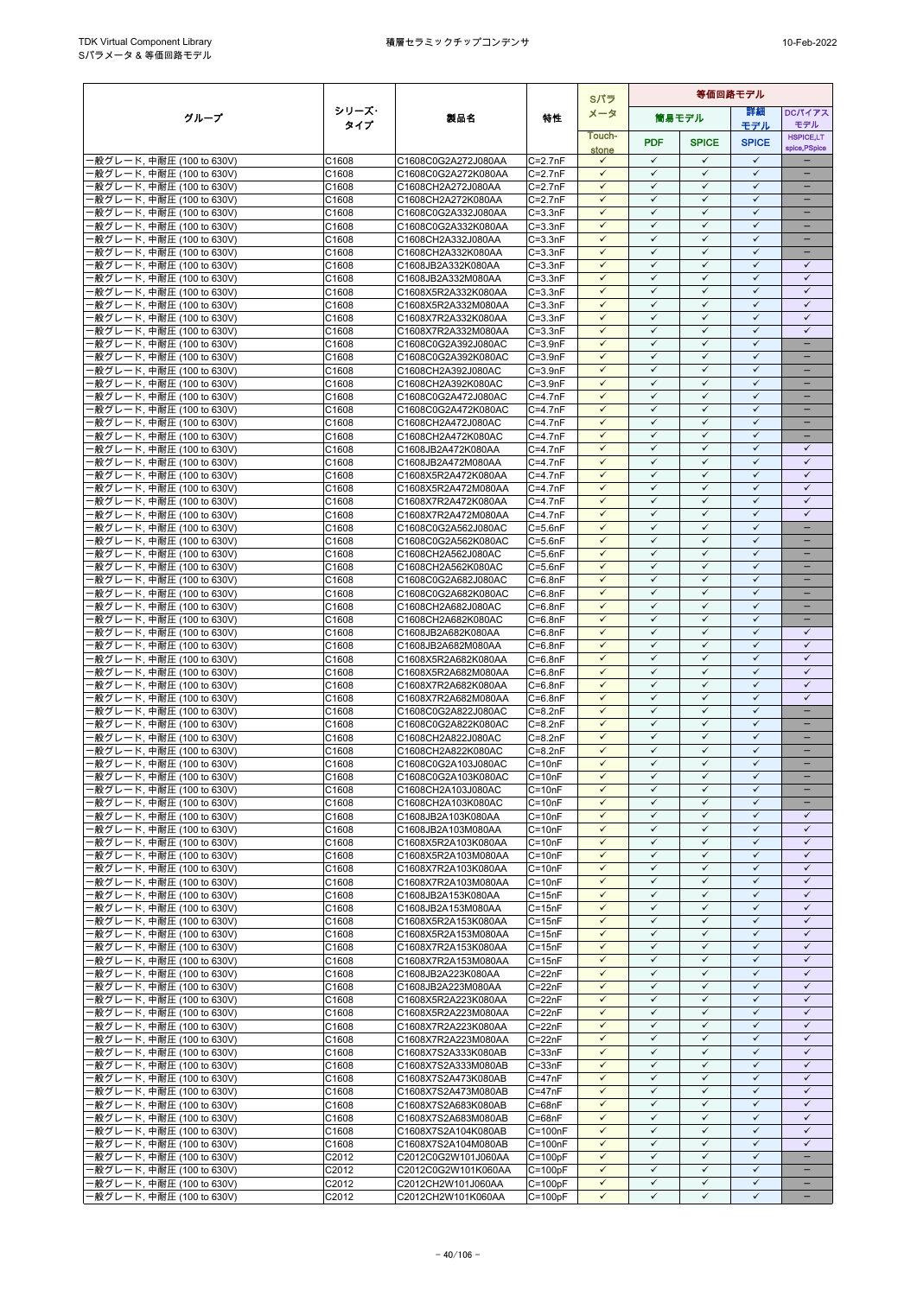|                                                         |                |                                            |                            | Sパラ                          | 等価回路モデル                      |                              |                              |                              |
|---------------------------------------------------------|----------------|--------------------------------------------|----------------------------|------------------------------|------------------------------|------------------------------|------------------------------|------------------------------|
| グループ                                                    | シリーズ・          | 製品名                                        | 特性                         | メータ                          |                              | 筒易モデル                        | 詳細                           | DCパイアス                       |
|                                                         | タイプ            |                                            |                            | Touch-                       |                              |                              | モデル                          | モデル<br><b>HSPICE,LT</b>      |
|                                                         |                |                                            |                            | stone                        | <b>PDF</b>                   | <b>SPICE</b>                 | <b>SPICE</b>                 | spice, PSpice                |
| ·般グレード, 中耐圧 (100 to 630V)                               | C1608          | C1608C0G2A272J080AA                        | $C=2.7nF$                  | $\checkmark$                 | $\checkmark$                 | $\checkmark$                 | $\checkmark$                 |                              |
| ·般グレード, 中耐圧 (100 to 630V)                               | C1608          | C1608C0G2A272K080AA                        | $C=2.7nF$                  | $\checkmark$                 | $\checkmark$                 | ✓                            | $\checkmark$                 |                              |
| -般グレード, 中耐圧 (100 to 630V)                               | C1608          | C1608CH2A272J080AA                         | $C = 2.7nF$                | $\checkmark$                 | $\checkmark$<br>$\checkmark$ | $\checkmark$                 | $\checkmark$<br>$\checkmark$ | ÷                            |
| ·般グレード, 中耐圧 (100 to 630V)<br>般グレード, 中耐圧 (100 to 630V)   | C1608<br>C1608 | C1608CH2A272K080AA<br>C1608C0G2A332J080AA  | $C = 2.7nF$<br>$C = 3.3nF$ | $\checkmark$<br>$\checkmark$ | $\checkmark$                 | ✓<br>$\checkmark$            | ✓                            | $\qquad \qquad -$            |
| ·般グレード, 中耐圧 (100 to 630V)                               | C1608          | C1608C0G2A332K080AA                        | $C = 3.3nF$                | $\checkmark$                 | $\checkmark$                 | $\checkmark$                 | $\checkmark$                 |                              |
| ·般グレード, 中耐圧 (100 to 630V)                               | C1608          | C1608CH2A332J080AA                         | $C = 3.3nF$                | $\checkmark$                 | $\checkmark$                 | $\checkmark$                 | $\checkmark$                 |                              |
| ·般グレード, 中耐圧 (100 to 630V)                               | C1608          | C1608CH2A332K080AA                         | $C = 3.3nF$                | $\checkmark$                 | $\checkmark$                 | $\checkmark$                 | $\checkmark$                 | $\equiv$                     |
| ·般グレード, 中耐圧 (100 to 630V)                               | C1608          | C1608JB2A332K080AA                         | $C = 3.3nF$                | $\checkmark$                 | $\checkmark$                 | $\checkmark$                 | $\checkmark$                 | $\checkmark$                 |
| ·般グレード, 中耐圧 (100 to 630V)<br>·般グレード, 中耐圧 (100 to 630V)  | C1608<br>C1608 | C1608JB2A332M080AA<br>C1608X5R2A332K080AA  | $C = 3.3nF$<br>$C = 3.3nF$ | $\checkmark$<br>$\checkmark$ | $\checkmark$<br>$\checkmark$ | $\checkmark$<br>$\checkmark$ | $\checkmark$<br>$\checkmark$ | $\checkmark$<br>$\checkmark$ |
| ·般グレード, 中耐圧 (100 to 630V)                               | C1608          | C1608X5R2A332M080AA                        | $C = 3.3nF$                | $\checkmark$                 | ✓                            | ✓                            | $\checkmark$                 | $\checkmark$                 |
| ·般グレード, 中耐圧 (100 to 630V)                               | C1608          | C1608X7R2A332K080AA                        | $C = 3.3nF$                | $\checkmark$                 | $\checkmark$                 | ✓                            | ✓                            | $\checkmark$                 |
| ·般グレード, 中耐圧 (100 to 630V)                               | C1608          | C1608X7R2A332M080AA                        | $C = 3.3nF$                | $\checkmark$                 | $\checkmark$                 | $\checkmark$                 | $\checkmark$                 | $\checkmark$                 |
| ·般グレード, 中耐圧 (100 to 630V)                               | C1608          | C1608C0G2A392J080AC                        | $C = 3.9nF$                | ✓                            | $\checkmark$                 | ✓                            | $\checkmark$                 | $\equiv$                     |
| ·般グレード, 中耐圧 (100 to 630V)                               | C1608          | C1608C0G2A392K080AC                        | $C = 3.9nF$                | $\checkmark$<br>$\checkmark$ | $\checkmark$<br>$\checkmark$ | $\checkmark$<br>$\checkmark$ | $\checkmark$<br>$\checkmark$ | $\equiv$                     |
| ·般グレード, 中耐圧 (100 to 630V)<br>·般グレード, 中耐圧 (100 to 630V)  | C1608<br>C1608 | C1608CH2A392J080AC<br>C1608CH2A392K080AC   | $C = 3.9nF$<br>$C = 3.9nF$ | $\checkmark$                 | ✓                            | ✓                            | $\checkmark$                 | -                            |
| ·般グレード, 中耐圧 (100 to 630V)                               | C1608          | C1608C0G2A472J080AC                        | $C=4.7nF$                  | $\checkmark$                 | $\checkmark$                 | $\checkmark$                 | $\checkmark$                 |                              |
| ·般グレード, 中耐圧 (100 to 630V)                               | C1608          | C1608C0G2A472K080AC                        | $C = 4.7nF$                | $\checkmark$                 | $\checkmark$                 | $\checkmark$                 | $\checkmark$                 |                              |
| ·般グレード, 中耐圧 (100 to 630V)                               | C1608          | C1608CH2A472J080AC                         | $C=4.7nF$                  | $\checkmark$                 | $\checkmark$                 | ✓                            | $\checkmark$                 |                              |
| ·般グレード, 中耐圧 (100 to 630V)                               | C1608          | C1608CH2A472K080AC                         | $C=4.7nF$                  | $\checkmark$                 | $\checkmark$                 | $\checkmark$                 | $\checkmark$                 | $\overline{\phantom{0}}$     |
| ·般グレード, 中耐圧 (100 to 630V)                               | C1608          | C1608JB2A472K080AA                         | $C = 4.7nF$                | $\checkmark$                 | $\checkmark$                 | ✓                            | $\checkmark$                 | $\checkmark$                 |
| ·般グレード, 中耐圧 (100 to 630V)<br>·般グレード, 中耐圧 (100 to 630V)  | C1608<br>C1608 | C1608JB2A472M080AA<br>C1608X5R2A472K080AA  | $C = 4.7nF$<br>$C=4.7nF$   | $\checkmark$<br>$\checkmark$ | $\checkmark$<br>$\checkmark$ | $\checkmark$<br>$\checkmark$ | $\checkmark$<br>$\checkmark$ | $\checkmark$<br>$\checkmark$ |
| ·般グレード, 中耐圧 (100 to 630V)                               | C1608          | C1608X5R2A472M080AA                        | $C=4.7nF$                  | $\checkmark$                 | $\checkmark$                 | $\checkmark$                 | $\checkmark$                 | $\checkmark$                 |
| ·般グレード, 中耐圧 (100 to 630V)                               | C1608          | C1608X7R2A472K080AA                        | $C = 4.7nF$                | ✓                            | $\checkmark$                 | ✓                            | $\checkmark$                 | $\checkmark$                 |
| ·般グレード, 中耐圧 (100 to 630V)                               | C1608          | C1608X7R2A472M080AA                        | $C=4.7nF$                  | $\checkmark$                 | $\checkmark$                 | $\checkmark$                 | $\checkmark$                 | $\checkmark$                 |
| ·般グレード, 中耐圧 (100 to 630V)                               | C1608          | C1608C0G2A562J080AC                        | $C = 5.6nF$                | $\checkmark$                 | $\checkmark$                 | $\checkmark$                 | $\checkmark$                 | $\qquad \qquad -$            |
| ·般グレード, 中耐圧 (100 to 630V)                               | C1608          | C1608C0G2A562K080AC                        | $C = 5.6nF$                | $\checkmark$<br>$\checkmark$ | ✓<br>$\checkmark$            | ✓<br>$\checkmark$            | $\checkmark$<br>$\checkmark$ | $\overline{\phantom{0}}$     |
| ·般グレード, 中耐圧 (100 to 630V)<br>·般グレード, 中耐圧 (100 to 630V)  | C1608<br>C1608 | C1608CH2A562J080AC<br>C1608CH2A562K080AC   | $C = 5.6nF$<br>$C = 5.6nF$ | $\checkmark$                 | $\checkmark$                 | $\checkmark$                 | $\checkmark$                 | -                            |
| ·般グレード, 中耐圧 (100 to 630V)                               | C1608          | C1608C0G2A682J080AC                        | $C = 6.8nF$                | $\checkmark$                 | $\checkmark$                 | $\checkmark$                 | $\checkmark$                 | ۳                            |
| ·般グレード, 中耐圧 (100 to 630V)                               | C1608          | C1608C0G2A682K080AC                        | $C = 6.8nF$                | $\checkmark$                 | $\checkmark$                 | $\checkmark$                 | $\checkmark$                 |                              |
| ·般グレード, 中耐圧 (100 to 630V)                               | C1608          | C1608CH2A682J080AC                         | $C=6.8nF$                  | $\checkmark$                 | $\checkmark$                 | $\checkmark$                 | $\checkmark$                 | $\equiv$                     |
| ·般グレード, 中耐圧 (100 to 630V)                               | C1608          | C1608CH2A682K080AC                         | $C = 6.8nF$                | $\checkmark$                 | $\checkmark$                 | $\checkmark$                 | $\checkmark$                 | -                            |
| ·般グレード, 中耐圧 (100 to 630V)                               | C1608          | C1608JB2A682K080AA                         | $C = 6.8nF$                | $\checkmark$<br>$\checkmark$ | ✓<br>$\checkmark$            | ✓<br>$\checkmark$            | $\checkmark$<br>$\checkmark$ | ✓<br>$\checkmark$            |
| ·般グレード, 中耐圧 (100 to 630V)<br>·般グレード, 中耐圧 (100 to 630V)  | C1608<br>C1608 | C1608JB2A682M080AA<br>C1608X5R2A682K080AA  | $C=6.8nF$<br>$C = 6.8nF$   | $\checkmark$                 | $\checkmark$                 | $\checkmark$                 | $\checkmark$                 | $\checkmark$                 |
| ·般グレード, 中耐圧 (100 to 630V)                               | C1608          | C1608X5R2A682M080AA                        | $C=6.8nF$                  | $\checkmark$                 | $\checkmark$                 | ✓                            | $\checkmark$                 | $\checkmark$                 |
| -般グレード, 中耐圧 (100 to 630V)                               | C1608          | C1608X7R2A682K080AA                        | $C = 6.8nF$                | $\checkmark$                 | $\checkmark$                 | $\checkmark$                 | $\checkmark$                 | $\checkmark$                 |
| ·般グレード, 中耐圧 (100 to 630V)                               | C1608          | C1608X7R2A682M080AA                        | $C=6.8nF$                  | $\checkmark$                 | $\checkmark$                 | $\checkmark$                 | $\checkmark$                 | $\checkmark$                 |
| -般グレード, 中耐圧 (100 to 630V)                               | C1608          | C1608C0G2A822J080AC                        | $C = 8.2nF$                | $\checkmark$                 | $\checkmark$                 | $\checkmark$                 | ✓                            | -                            |
| -般グレード, 中耐圧 (100 to 630V)                               | C1608          | C1608C0G2A822K080AC                        | $C = 8.2nF$                | $\checkmark$<br>$\checkmark$ | $\checkmark$<br>$\checkmark$ | $\checkmark$<br>$\checkmark$ | $\checkmark$<br>$\checkmark$ |                              |
| -般グレード, 中耐圧 (100 to 630V)<br>·般グレード, 中耐圧 (100 to 630V)  | C1608<br>C1608 | C1608CH2A822J080AC<br>C1608CH2A822K080AC   | $C = 8.2nF$<br>$C = 8.2nF$ | ✓                            | ✓                            | ✓                            | $\checkmark$                 |                              |
| ·般グレード, 中耐圧 (100 to 630V)                               | C1608          | C1608C0G2A103J080AC                        | $C = 10nF$                 | $\checkmark$                 | $\checkmark$                 | $\checkmark$                 | $\checkmark$                 | $\overline{\phantom{0}}$     |
| 般グレード, 中耐圧 (100 to 630V)                                | C1608          | C1608C0G2A103K080AC                        | $C = 10nF$                 | $\checkmark$                 | $\checkmark$                 | $\checkmark$                 | $\checkmark$                 |                              |
| ·般グレード, 中耐圧 (100 to 630V)                               | C1608          | C1608CH2A103J080AC                         | $C = 10nF$                 | $\checkmark$                 | ✓                            | $\checkmark$                 | ✓                            | $\overline{\phantom{0}}$     |
| -般グレード, 中耐圧 (100 to 630V)                               | C1608          | C1608CH2A103K080AC                         | $C = 10nF$                 | $\checkmark$                 | $\checkmark$                 | $\checkmark$                 | $\checkmark$                 | -                            |
| ·般グレード, 中耐圧 (100 to 630V)                               | C1608          | C1608JB2A103K080AA                         | $C = 10nF$                 | $\checkmark$                 | $\checkmark$<br>$\checkmark$ | $\checkmark$                 | $\checkmark$<br>$\checkmark$ | $\checkmark$<br>$\checkmark$ |
| -般グレード, 中耐圧 (100 to 630V)<br>-般グレード, 中耐圧 (100 to 630V)  | C1608<br>C1608 | C1608JB2A103M080AA<br>C1608X5R2A103K080AA  | $C = 10nF$<br>$C = 10nF$   | $\checkmark$<br>$\checkmark$ | $\checkmark$                 | $\checkmark$<br>$\checkmark$ | $\checkmark$                 | $\checkmark$                 |
| ·般グレード, 中耐圧 (100 to 630V)                               | C1608          | C1608X5R2A103M080AA                        | $C = 10nF$                 | $\checkmark$                 | $\checkmark$                 | ✓                            | $\checkmark$                 | $\checkmark$                 |
| ·般グレード, 中耐圧 (100 to 630V)                               | C1608          | C1608X7R2A103K080AA                        | $C = 10nF$                 | $\checkmark$                 | $\checkmark$                 | $\checkmark$                 | $\checkmark$                 | $\checkmark$                 |
| -般グレード, 中耐圧 (100 to 630V)                               | C1608          | C1608X7R2A103M080AA                        | $C = 10nF$                 | $\checkmark$                 | ✓                            | ✓                            | ✓                            | $\checkmark$                 |
| -般グレード, 中耐圧 (100 to 630V)                               | C1608          | C1608JB2A153K080AA                         | $C = 15nF$                 | $\checkmark$                 | $\checkmark$                 | $\checkmark$                 | $\checkmark$                 | $\checkmark$                 |
| ·般グレード, 中耐圧 (100 to 630V)<br>·般グレード, 中耐圧 (100 to 630V)  | C1608<br>C1608 | C1608JB2A153M080AA<br>C1608X5R2A153K080AA  | $C = 15nF$<br>$C = 15nF$   | $\checkmark$<br>$\checkmark$ | $\checkmark$<br>$\checkmark$ | $\checkmark$<br>$\checkmark$ | $\checkmark$<br>$\checkmark$ | $\checkmark$<br>$\checkmark$ |
| ·般グレード, 中耐圧 (100 to 630V)                               | C1608          | C1608X5R2A153M080AA                        | $C = 15nF$                 | $\checkmark$                 | $\checkmark$                 | $\checkmark$                 | $\checkmark$                 | $\checkmark$                 |
| ·般グレード, 中耐圧 (100 to 630V)                               | C1608          | C1608X7R2A153K080AA                        | $C = 15nF$                 | $\checkmark$                 | $\checkmark$                 | $\checkmark$                 | $\checkmark$                 | $\checkmark$                 |
| ·般グレード, 中耐圧 (100 to 630V)                               | C1608          | C1608X7R2A153M080AA                        | $C = 15nF$                 | $\checkmark$                 | ✓                            | $\checkmark$                 | ✓                            | $\checkmark$                 |
| -般グレード, 中耐圧 (100 to 630V)                               | C1608          | C1608JB2A223K080AA                         | $C = 22nF$                 | $\checkmark$                 | $\checkmark$                 | $\checkmark$                 | $\checkmark$                 | $\checkmark$                 |
| ·般グレード, 中耐圧 (100 to 630V)                               | C1608          | C1608JB2A223M080AA                         | $C = 22nF$                 | $\checkmark$<br>✓            | $\checkmark$<br>✓            | $\checkmark$<br>$\checkmark$ | $\checkmark$<br>$\checkmark$ | $\checkmark$<br>$\checkmark$ |
| ·般グレード, 中耐圧 (100 to 630V)<br>-般グレード, 中耐圧 (100 to 630V)  | C1608<br>C1608 | C1608X5R2A223K080AA<br>C1608X5R2A223M080AA | $C = 22nF$<br>$C = 22nF$   | $\checkmark$                 | $\checkmark$                 | $\checkmark$                 | $\checkmark$                 | $\checkmark$                 |
| ·般グレード, 中耐圧 (100 to 630V)                               | C1608          | C1608X7R2A223K080AA                        | $C = 22nF$                 | $\checkmark$                 | $\checkmark$                 | $\checkmark$                 | $\checkmark$                 | $\checkmark$                 |
| ·般グレード, 中耐圧 (100 to 630V)                               | C1608          | C1608X7R2A223M080AA                        | $C = 22nF$                 | $\checkmark$                 | ✓                            | $\checkmark$                 | ✓                            | $\checkmark$                 |
| ·般グレード, 中耐圧 (100 to 630V)                               | C1608          | C1608X7S2A333K080AB                        | $C = 33nF$                 | $\checkmark$                 | $\checkmark$                 | $\checkmark$                 | $\checkmark$                 | $\checkmark$                 |
| ·般グレード, 中耐圧 (100 to 630V)                               | C1608          | C1608X7S2A333M080AB                        | $C = 33nF$                 | $\checkmark$                 | $\checkmark$                 | $\checkmark$                 | ✓                            | $\checkmark$                 |
| ·般グレード, 中耐圧 (100 to 630V)                               | C1608          | C1608X7S2A473K080AB                        | $C = 47nF$                 | $\checkmark$<br>$\checkmark$ | ✓<br>$\checkmark$            | ✓<br>$\checkmark$            | $\checkmark$<br>$\checkmark$ | $\checkmark$<br>$\checkmark$ |
| -般グレード, 中耐圧 (100 to 630V)<br>·般グレード, 中耐圧 (100 to 630V)  | C1608<br>C1608 | C1608X7S2A473M080AB<br>C1608X7S2A683K080AB | $C = 47nF$<br>$C = 68nF$   | $\checkmark$                 | $\checkmark$                 | ✓                            | $\checkmark$                 | $\checkmark$                 |
| ·般グレード, 中耐圧 (100 to 630V)                               | C1608          | C1608X7S2A683M080AB                        | $C = 68nF$                 | $\checkmark$                 | $\checkmark$                 | $\checkmark$                 | $\checkmark$                 | $\checkmark$                 |
| ·般グレード, 中耐圧 (100 to 630V)                               | C1608          | C1608X7S2A104K080AB                        | $C = 100nF$                | $\checkmark$                 | $\checkmark$                 | $\checkmark$                 | $\checkmark$                 | $\checkmark$                 |
| ·般グレード, 中耐圧 (100 to 630V)                               | C1608          | C1608X7S2A104M080AB                        | $C = 100nF$                | $\checkmark$                 | $\checkmark$                 | $\checkmark$                 | $\checkmark$                 | $\checkmark$                 |
| ·般グレード, 中耐圧 (100 to 630V)                               | C2012          | C2012C0G2W101J060AA                        | $C = 100pF$                | $\checkmark$                 | $\checkmark$                 | $\checkmark$                 | $\checkmark$                 | ÷                            |
| ·般グレード, 中耐圧 (100 to 630V)                               | C2012          | C2012C0G2W101K060AA                        | $C=100pF$                  | $\checkmark$<br>$\checkmark$ | $\checkmark$<br>✓            | $\checkmark$<br>$\checkmark$ | $\checkmark$<br>$\checkmark$ | $\equiv$                     |
| -般グレード, 中耐圧 (100 to 630V)<br>- 般グレード, 中耐圧 (100 to 630V) | C2012<br>C2012 | C2012CH2W101J060AA<br>C2012CH2W101K060AA   | $C = 100pF$<br>$C=100pF$   | $\checkmark$                 | $\checkmark$                 | $\checkmark$                 | $\checkmark$                 | -                            |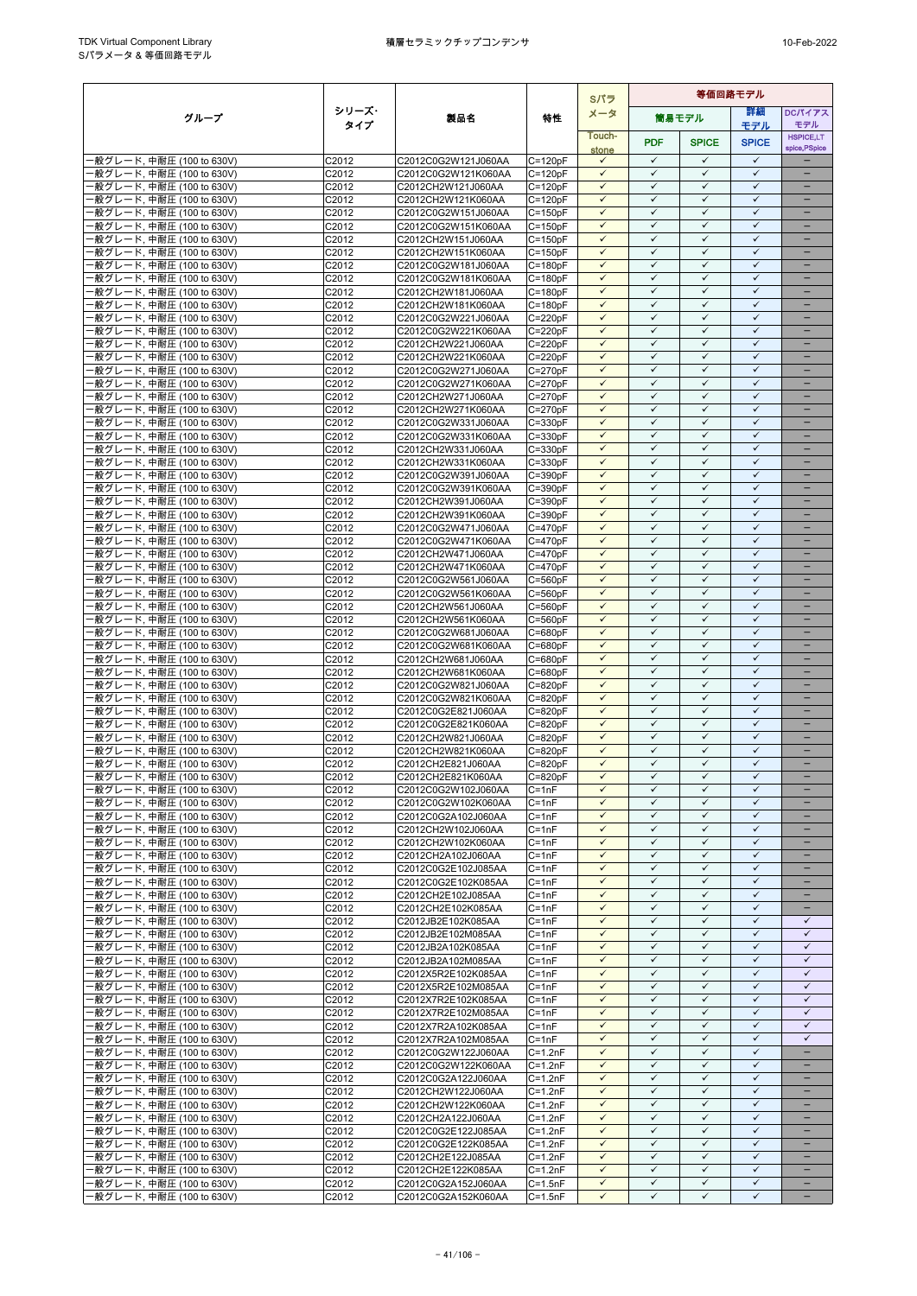|                                                        |                   |                                            |                            | Sパラ                          | 等価回路モデル                      |                              |                              |                               |  |  |
|--------------------------------------------------------|-------------------|--------------------------------------------|----------------------------|------------------------------|------------------------------|------------------------------|------------------------------|-------------------------------|--|--|
| グループ                                                   | シリーズ・             | 製品名                                        | 特性                         | メータ                          |                              | 筒易モデル                        | 詳細                           | <b>DCパイアス</b>                 |  |  |
|                                                        | タイプ               |                                            |                            | Touch-                       |                              |                              | モデル                          | モデル<br><b>HSPICE,LT</b>       |  |  |
|                                                        |                   |                                            |                            | stone                        | <b>PDF</b>                   | <b>SPICE</b>                 | <b>SPICE</b>                 | spice, PSpice                 |  |  |
| ·般グレード, 中耐圧 (100 to 630V)                              | C2012             | C2012C0G2W121J060AA                        | $C = 120pF$                | $\checkmark$                 | $\checkmark$                 | $\checkmark$                 | $\checkmark$                 |                               |  |  |
| -般グレード, 中耐圧 (100 to 630V)<br>-般グレード, 中耐圧 (100 to 630V) | C2012<br>C2012    | C2012C0G2W121K060AA<br>C2012CH2W121J060AA  | $C = 120pF$<br>$C = 120pF$ | $\checkmark$<br>$\checkmark$ | $\checkmark$<br>$\checkmark$ | ✓<br>$\checkmark$            | $\checkmark$<br>$\checkmark$ | ÷                             |  |  |
| ·般グレード, 中耐圧 (100 to 630V)                              | C2012             | C2012CH2W121K060AA                         | $C = 120pF$                | $\checkmark$                 | $\checkmark$                 | ✓                            | $\checkmark$                 |                               |  |  |
| ·般グレード, 中耐圧 (100 to 630V)                              | C2012             | C2012C0G2W151J060AA                        | $C = 150pF$                | $\checkmark$                 | $\checkmark$                 | $\checkmark$                 | ✓                            | $\qquad \qquad -$             |  |  |
| ·般グレード, 中耐圧 (100 to 630V)                              | C2012             | C2012C0G2W151K060AA                        | $C = 150pF$                | $\checkmark$                 | $\checkmark$                 | $\checkmark$                 | $\checkmark$                 |                               |  |  |
| ·般グレード, 中耐圧 (100 to 630V)                              | C2012             | C2012CH2W151J060AA                         | $C = 150pF$                | $\checkmark$                 | $\checkmark$                 | $\checkmark$                 | $\checkmark$                 |                               |  |  |
| ·般グレード, 中耐圧 (100 to 630V)                              | C2012             | C2012CH2W151K060AA                         | $C = 150pF$                | $\checkmark$<br>$\checkmark$ | $\checkmark$<br>$\checkmark$ | $\checkmark$<br>$\checkmark$ | $\checkmark$<br>$\checkmark$ | $\equiv$<br>-                 |  |  |
| ·般グレード, 中耐圧 (100 to 630V)<br>·般グレード, 中耐圧 (100 to 630V) | C2012<br>C2012    | C2012C0G2W181J060AA<br>C2012C0G2W181K060AA | $C = 180pF$<br>$C = 180pF$ | $\checkmark$                 | $\checkmark$                 | $\checkmark$                 | $\checkmark$                 | -                             |  |  |
| ·般グレード, 中耐圧 (100 to 630V)                              | C2012             | C2012CH2W181J060AA                         | $C = 180pF$                | $\checkmark$                 | $\checkmark$                 | $\checkmark$                 | $\checkmark$                 | $\equiv$                      |  |  |
| -般グレード, 中耐圧 (100 to 630V)                              | C2012             | C2012CH2W181K060AA                         | $C = 180pF$                | $\checkmark$                 | ✓                            | ✓                            | $\checkmark$                 | -                             |  |  |
| ·般グレード, 中耐圧 (100 to 630V)                              | C2012             | C2012C0G2W221J060AA                        | $C = 220pF$                | $\checkmark$                 | $\checkmark$                 | $\checkmark$                 | $\checkmark$                 |                               |  |  |
| ·般グレード, 中耐圧 (100 to 630V)                              | C2012             | C2012C0G2W221K060AA                        | $C = 220pF$                | $\checkmark$                 | $\checkmark$                 | $\checkmark$                 | $\checkmark$                 | ۳                             |  |  |
| ·般グレード, 中耐圧 (100 to 630V)<br>·般グレード, 中耐圧 (100 to 630V) | C2012<br>C2012    | C2012CH2W221J060AA<br>C2012CH2W221K060AA   | $C = 220pF$<br>$C = 220pF$ | ✓<br>$\checkmark$            | $\checkmark$<br>$\checkmark$ | ✓<br>$\checkmark$            | $\checkmark$<br>$\checkmark$ | $\equiv$                      |  |  |
| ·般グレード, 中耐圧 (100 to 630V)                              | C2012             | C2012C0G2W271J060AA                        | $C = 270pF$                | $\checkmark$                 | $\checkmark$                 | $\checkmark$                 | $\checkmark$                 | -                             |  |  |
| ·般グレード, 中耐圧 (100 to 630V)                              | C2012             | C2012C0G2W271K060AA                        | $C = 270pF$                | $\checkmark$                 | $\checkmark$                 | ✓                            | $\checkmark$                 |                               |  |  |
| ·般グレード, 中耐圧 (100 to 630V)                              | C2012             | C2012CH2W271J060AA                         | $C = 270pF$                | $\checkmark$                 | $\checkmark$                 | $\checkmark$                 | $\checkmark$                 |                               |  |  |
| ·般グレード, 中耐圧 (100 to 630V)                              | C2012             | C2012CH2W271K060AA                         | $C = 270pF$                | $\checkmark$                 | $\checkmark$                 | $\checkmark$                 | $\checkmark$                 |                               |  |  |
| ·般グレード, 中耐圧 (100 to 630V)                              | C2012             | C2012C0G2W331J060AA                        | $C = 330pF$                | $\checkmark$                 | $\checkmark$                 | ✓                            | $\checkmark$                 |                               |  |  |
| -般グレード, 中耐圧 (100 to 630V)                              | C2012             | C2012C0G2W331K060AA                        | $C = 330pF$                | $\checkmark$<br>$\checkmark$ | $\checkmark$<br>$\checkmark$ | $\checkmark$<br>✓            | $\checkmark$<br>$\checkmark$ | $\overline{\phantom{0}}$      |  |  |
| ·般グレード, 中耐圧 (100 to 630V)<br>·般グレード, 中耐圧 (100 to 630V) | C2012<br>C2012    | C2012CH2W331J060AA<br>C2012CH2W331K060AA   | $C = 330pF$<br>$C = 330pF$ | $\checkmark$                 | ✓                            | $\checkmark$                 | $\checkmark$                 | $\overline{\phantom{0}}$      |  |  |
| ·般グレード, 中耐圧 (100 to 630V)                              | C2012             | C2012C0G2W391J060AA                        | $C = 390pF$                | $\checkmark$                 | $\checkmark$                 | $\checkmark$                 | $\checkmark$                 |                               |  |  |
| ·般グレード, 中耐圧 (100 to 630V)                              | C2012             | C2012C0G2W391K060AA                        | $C = 390pF$                | $\checkmark$                 | $\checkmark$                 | $\checkmark$                 | $\checkmark$                 |                               |  |  |
| ·般グレード, 中耐圧 (100 to 630V)                              | C2012             | C2012CH2W391J060AA                         | $C = 390pF$                | ✓                            | $\checkmark$                 | ✓                            | $\checkmark$                 |                               |  |  |
| ·般グレード, 中耐圧 (100 to 630V)                              | C2012             | C2012CH2W391K060AA                         | $C = 390pF$                | $\checkmark$                 | $\checkmark$                 | $\checkmark$                 | $\checkmark$                 | -                             |  |  |
| ·般グレード, 中耐圧 (100 to 630V)                              | C2012<br>C2012    | C2012C0G2W471J060AA                        | $C = 470pF$                | $\checkmark$<br>$\checkmark$ | $\checkmark$<br>✓            | $\checkmark$<br>✓            | $\checkmark$<br>✓            | -<br>$\overline{\phantom{0}}$ |  |  |
| ·般グレード, 中耐圧 (100 to 630V)<br>-般グレード, 中耐圧 (100 to 630V) | C2012             | C2012C0G2W471K060AA<br>C2012CH2W471J060AA  | $C = 470pF$<br>$C = 470pF$ | $\checkmark$                 | $\checkmark$                 | $\checkmark$                 | $\checkmark$                 | -                             |  |  |
| ·般グレード, 中耐圧 (100 to 630V)                              | C2012             | C2012CH2W471K060AA                         | $C = 470pF$                | $\checkmark$                 | $\checkmark$                 | $\checkmark$                 | $\checkmark$                 |                               |  |  |
| ·般グレード, 中耐圧 (100 to 630V)                              | C2012             | C2012C0G2W561J060AA                        | $C = 560pF$                | $\checkmark$                 | $\checkmark$                 | $\checkmark$                 | $\checkmark$                 | ۳                             |  |  |
| ·般グレード, 中耐圧 (100 to 630V)                              | C2012             | C2012C0G2W561K060AA                        | $C = 560pF$                | $\checkmark$                 | $\checkmark$                 | $\checkmark$                 | $\checkmark$                 |                               |  |  |
| ·般グレード, 中耐圧 (100 to 630V)                              | C2012             | C2012CH2W561J060AA                         | $C = 560pF$                | $\checkmark$                 | $\checkmark$                 | $\checkmark$                 | $\checkmark$                 | $\equiv$                      |  |  |
| ·般グレード, 中耐圧 (100 to 630V)                              | C2012             | C2012CH2W561K060AA                         | $C = 560pF$                | $\checkmark$                 | $\checkmark$<br>✓            | $\checkmark$<br>✓            | $\checkmark$<br>$\checkmark$ | $\qquad \qquad -$             |  |  |
| ·般グレード, 中耐圧 (100 to 630V)<br>·般グレード, 中耐圧 (100 to 630V) | C2012<br>C2012    | C2012C0G2W681J060AA<br>C2012C0G2W681K060AA | $C = 680pF$<br>$C = 680pF$ | $\checkmark$<br>$\checkmark$ | $\checkmark$                 | $\checkmark$                 | $\checkmark$                 | $\overline{\phantom{0}}$      |  |  |
| ·般グレード, 中耐圧 (100 to 630V)                              | C2012             | C2012CH2W681J060AA                         | C=680pF                    | $\checkmark$                 | $\checkmark$                 | $\checkmark$                 | $\checkmark$                 |                               |  |  |
| ·般グレード, 中耐圧 (100 to 630V)                              | C2012             | C2012CH2W681K060AA                         | $C = 680pF$                | $\checkmark$                 | $\checkmark$                 | ✓                            | $\checkmark$                 |                               |  |  |
| -般グレード, 中耐圧 (100 to 630V)                              | C2012             | C2012C0G2W821J060AA                        | $C = 820pF$                | $\checkmark$                 | $\checkmark$                 | $\checkmark$                 | $\checkmark$                 | $\overline{\phantom{0}}$      |  |  |
| ·般グレード, 中耐圧 (100 to 630V)                              | C2012             | C2012C0G2W821K060AA                        | $C = 820pF$                | $\checkmark$                 | $\checkmark$                 | $\checkmark$                 | $\checkmark$                 |                               |  |  |
| -般グレード, 中耐圧 (100 to 630V)<br>-般グレード, 中耐圧 (100 to 630V) | C2012<br>C2012    | C2012C0G2E821J060AA                        | $C = 820pF$                | $\checkmark$<br>$\checkmark$ | $\checkmark$<br>$\checkmark$ | $\checkmark$<br>$\checkmark$ | ✓<br>$\checkmark$            | -                             |  |  |
| -般グレード, 中耐圧 (100 to 630V)                              | C <sub>2012</sub> | C2012C0G2E821K060AA<br>C2012CH2W821J060AA  | $C = 820pF$<br>$C = 820pF$ | $\checkmark$                 | $\checkmark$                 | $\checkmark$                 | $\checkmark$                 |                               |  |  |
| ·般グレード, 中耐圧 (100 to 630V)                              | C2012             | C2012CH2W821K060AA                         | $C = 820pF$                | ✓                            | $\checkmark$                 | ✓                            | $\checkmark$                 |                               |  |  |
| ·般グレード, 中耐圧 (100 to 630V)                              | C2012             | C2012CH2E821J060AA                         | $C = 820pF$                | $\checkmark$                 | $\checkmark$                 | $\checkmark$                 | $\checkmark$                 | ÷                             |  |  |
| 般グレード, 中耐圧 (100 to 630V)                               | C <sub>2012</sub> | C2012CH2E821K060AA                         | $C = 820pF$                | $\checkmark$                 | $\checkmark$                 | $\checkmark$                 | $\checkmark$                 |                               |  |  |
| -般グレード, 中耐圧 (100 to 630V)                              | C2012             | C2012C0G2W102J060AA                        | $C = 1nF$                  | $\checkmark$                 | ✓                            | $\checkmark$                 | ✓                            | $\overline{\phantom{0}}$      |  |  |
| -般グレード, 中耐圧 (100 to 630V)                              | C2012             | C2012C0G2W102K060AA<br>C2012C0G2A102J060AA | $C = 1nF$                  | $\checkmark$<br>$\checkmark$ | $\checkmark$<br>$\checkmark$ | $\checkmark$<br>$\checkmark$ | $\checkmark$<br>$\checkmark$ |                               |  |  |
| ·般グレード, 中耐圧 (100 to 630V)<br>-般グレード, 中耐圧 (100 to 630V) | C2012<br>C2012    | C2012CH2W102J060AA                         | $C = 1nF$<br>$C = 1nF$     | $\checkmark$                 | $\checkmark$                 | $\checkmark$                 | $\checkmark$                 | ÷                             |  |  |
| -般グレード, 中耐圧 (100 to 630V)                              | C2012             | C2012CH2W102K060AA                         | $C = 1nF$                  | $\checkmark$                 | $\checkmark$                 | $\checkmark$                 | $\checkmark$                 |                               |  |  |
| ·般グレード, 中耐圧 (100 to 630V)                              | C2012             | C2012CH2A102J060AA                         | $C = 1nF$                  | $\checkmark$                 | $\checkmark$                 | $\checkmark$                 | $\checkmark$                 |                               |  |  |
| -般グレード, 中耐圧 (100 to 630V)                              | C2012             | C2012C0G2E102J085AA                        | $C = 1nF$                  | $\checkmark$                 | $\checkmark$                 | $\checkmark$                 | $\checkmark$                 | $-$                           |  |  |
| ·般グレード, 中耐圧 (100 to 630V)                              | C2012             | C2012C0G2E102K085AA                        | $C = 1nF$                  | $\checkmark$                 | $\checkmark$                 | ✓                            | ✓                            |                               |  |  |
| -般グレード, 中耐圧 (100 to 630V)<br>·般グレード, 中耐圧 (100 to 630V) | C2012<br>C2012    | C2012CH2E102J085AA<br>C2012CH2E102K085AA   | $C = 1nF$<br>$C = 1nF$     | $\checkmark$<br>$\checkmark$ | $\checkmark$<br>$\checkmark$ | $\checkmark$<br>$\checkmark$ | $\checkmark$<br>$\checkmark$ | -<br>$\equiv$                 |  |  |
| ·般グレード, 中耐圧 (100 to 630V)                              | C2012             | C2012JB2E102K085AA                         | $C = 1nF$                  | $\checkmark$                 | $\checkmark$                 | $\checkmark$                 | $\checkmark$                 | $\checkmark$                  |  |  |
| ·般グレード, 中耐圧 (100 to 630V)                              | C2012             | C2012JB2E102M085AA                         | $C = 1nF$                  | $\checkmark$                 | $\checkmark$                 | $\checkmark$                 | $\checkmark$                 | $\checkmark$                  |  |  |
| ·般グレード, 中耐圧 (100 to 630V)                              | C2012             | C2012JB2A102K085AA                         | $C = 1nF$                  | $\checkmark$                 | $\checkmark$                 | $\checkmark$                 | $\checkmark$                 | $\checkmark$                  |  |  |
| -般グレード, 中耐圧 (100 to 630V)                              | C2012             | C2012JB2A102M085AA                         | $C = 1nF$                  | $\checkmark$                 | $\checkmark$                 | $\checkmark$                 | $\checkmark$                 | $\checkmark$                  |  |  |
| -般グレード, 中耐圧 (100 to 630V)                              | C2012             | C2012X5R2E102K085AA                        | $C = 1nF$                  | $\checkmark$                 | $\checkmark$                 | $\checkmark$                 | $\checkmark$                 | $\checkmark$                  |  |  |
| ·般グレード, 中耐圧 (100 to 630V)<br>·般グレード, 中耐圧 (100 to 630V) | C2012<br>C2012    | C2012X5R2E102M085AA<br>C2012X7R2E102K085AA | $C = 1nF$<br>$C = 1nF$     | $\checkmark$<br>✓            | $\checkmark$<br>✓            | $\checkmark$<br>$\checkmark$ | $\checkmark$<br>$\checkmark$ | $\checkmark$<br>$\checkmark$  |  |  |
| -般グレード, 中耐圧 (100 to 630V)                              | C2012             | C2012X7R2E102M085AA                        | $C = 1nF$                  | $\checkmark$                 | $\checkmark$                 | $\checkmark$                 | $\checkmark$                 | $\checkmark$                  |  |  |
| ·般グレード, 中耐圧 (100 to 630V)                              | C2012             | C2012X7R2A102K085AA                        | $C = 1nF$                  | $\checkmark$                 | $\checkmark$                 | $\checkmark$                 | $\checkmark$                 | $\checkmark$                  |  |  |
| ·般グレード, 中耐圧 (100 to 630V)                              | C2012             | C2012X7R2A102M085AA                        | $C = 1nF$                  | $\checkmark$                 | ✓                            | $\checkmark$                 | $\checkmark$                 | $\checkmark$                  |  |  |
| -般グレード, 中耐圧 (100 to 630V)                              | C2012             | C2012C0G2W122J060AA                        | $C=1.2nF$                  | $\checkmark$                 | $\checkmark$                 | $\checkmark$                 | $\checkmark$                 | -                             |  |  |
| ·般グレード, 中耐圧 (100 to 630V)                              | C2012             | C2012C0G2W122K060AA                        | $C=1.2nF$                  | $\checkmark$<br>$\checkmark$ | $\checkmark$<br>$\checkmark$ | $\checkmark$<br>✓            | $\checkmark$<br>$\checkmark$ | ÷                             |  |  |
| ·般グレード, 中耐圧 (100 to 630V)<br>-般グレード, 中耐圧 (100 to 630V) | C2012<br>C2012    | C2012C0G2A122J060AA<br>C2012CH2W122J060AA  | $C=1.2nF$<br>$C=1.2nF$     | $\checkmark$                 | $\checkmark$                 | $\checkmark$                 | $\checkmark$                 | $\overline{\phantom{0}}$      |  |  |
| ·般グレード, 中耐圧 (100 to 630V)                              | C2012             | C2012CH2W122K060AA                         | $C=1.2nF$                  | $\checkmark$                 | $\checkmark$                 | $\checkmark$                 | $\checkmark$                 |                               |  |  |
| ·般グレード, 中耐圧 (100 to 630V)                              | C2012             | C2012CH2A122J060AA                         | $C = 1.2nF$                | $\checkmark$                 | $\checkmark$                 | $\checkmark$                 | $\checkmark$                 | -                             |  |  |
| -般グレード, 中耐圧 (100 to 630V)                              | C2012             | C2012C0G2E122J085AA                        | $C=1.2nF$                  | $\checkmark$                 | $\checkmark$                 | $\checkmark$                 | $\checkmark$                 |                               |  |  |
| ·般グレード, 中耐圧 (100 to 630V)                              | C2012             | C2012C0G2E122K085AA                        | $C=1.2nF$                  | $\checkmark$                 | $\checkmark$                 | $\checkmark$                 | $\checkmark$                 | -                             |  |  |
| ·般グレード, 中耐圧 (100 to 630V)                              | C2012             | C2012CH2E122J085AA                         | $C=1.2nF$                  | $\checkmark$                 | $\checkmark$                 | $\checkmark$                 | $\checkmark$                 |                               |  |  |
| -般グレード, 中耐圧 (100 to 630V)<br>一般グレード, 中耐圧 (100 to 630V) | C2012<br>C2012    | C2012CH2E122K085AA<br>C2012C0G2A152J060AA  | $C=1.2nF$<br>$C = 1.5nF$   | $\checkmark$<br>$\checkmark$ | $\checkmark$<br>$\checkmark$ | $\checkmark$<br>$\checkmark$ | $\checkmark$<br>$\checkmark$ | $\overline{\phantom{0}}$      |  |  |
| 一般グレード, 中耐圧 (100 to 630V)                              | C2012             | C2012C0G2A152K060AA                        | $C = 1.5nF$                | $\checkmark$                 | $\checkmark$                 | $\checkmark$                 | $\checkmark$                 | $\qquad \qquad -$             |  |  |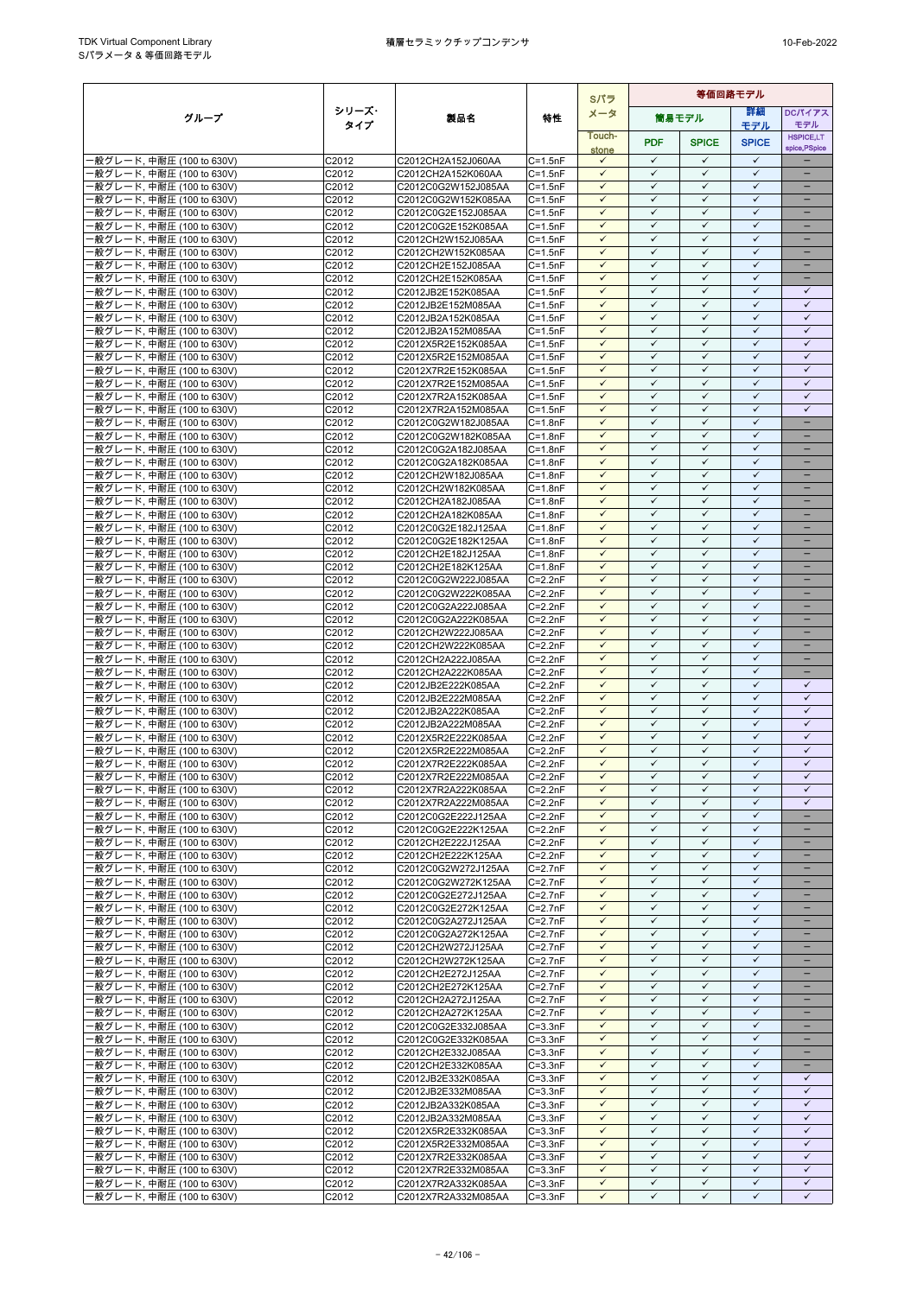|                                                        |                            |                                            |                            | Sパラ                          | 等価回路モデル                      |                              |                              |                               |
|--------------------------------------------------------|----------------------------|--------------------------------------------|----------------------------|------------------------------|------------------------------|------------------------------|------------------------------|-------------------------------|
| グループ                                                   | シリーズ・                      | 製品名                                        | 特性                         | メータ                          |                              | 簡易モデル                        | 等細                           | <b>DCパイアス</b>                 |
|                                                        | タイプ                        |                                            |                            | Touch-                       |                              |                              | モデル                          | モデル<br><b>HSPICE,LT</b>       |
|                                                        |                            |                                            |                            | stone                        | <b>PDF</b>                   | <b>SPICE</b>                 | <b>SPICE</b>                 | spice, PSpice                 |
| -般グレード, 中耐圧 (100 to 630V)                              | C2012                      | C2012CH2A152J060AA                         | $C = 1.5nF$                | $\checkmark$                 | $\checkmark$                 | $\checkmark$                 | $\checkmark$                 |                               |
| ·般グレード, 中耐圧 (100 to 630V)                              | C2012                      | C2012CH2A152K060AA                         | $C = 1.5nF$                | $\checkmark$                 | $\checkmark$                 | $\checkmark$                 | $\checkmark$                 |                               |
| ·般グレード, 中耐圧 (100 to 630V)                              | C2012                      | C2012C0G2W152J085AA                        | $C = 1.5nF$                | $\checkmark$                 | $\checkmark$<br>$\checkmark$ | $\checkmark$                 | $\checkmark$<br>$\checkmark$ | $\overline{\phantom{0}}$      |
| ·般グレード, 中耐圧 (100 to 630V)<br>·般グレード, 中耐圧 (100 to 630V) | C2012<br>C2012             | C2012C0G2W152K085AA<br>C2012C0G2E152J085AA | $C = 1.5nF$<br>$C = 1.5nF$ | $\checkmark$<br>$\checkmark$ | $\checkmark$                 | $\checkmark$<br>$\checkmark$ | $\checkmark$                 | $\qquad \qquad -$             |
| ·般グレード, 中耐圧 (100 to 630V)                              | C2012                      | C2012C0G2E152K085AA                        | $C = 1.5nF$                | ✓                            | $\checkmark$                 | $\checkmark$                 | $\checkmark$                 |                               |
| ·般グレード, 中耐圧 (100 to 630V)                              | C2012                      | C2012CH2W152J085AA                         | $C = 1.5nF$                | $\checkmark$                 | $\checkmark$                 | $\checkmark$                 | $\checkmark$                 |                               |
| ·般グレード, 中耐圧 (100 to 630V)                              | C2012                      | C2012CH2W152K085AA                         | $C = 1.5nF$                | $\checkmark$                 | $\checkmark$                 | $\checkmark$                 | $\checkmark$                 | ÷                             |
| ·般グレード. 中耐圧 (100 to 630V)                              | C2012                      | C2012CH2E152J085AA                         | $C = 1.5nF$                | $\checkmark$                 | $\checkmark$                 | $\checkmark$                 | $\checkmark$                 | $\equiv$                      |
| ·般グレード, 中耐圧 (100 to 630V)                              | C2012                      | C2012CH2E152K085AA                         | $C = 1.5nF$                | $\checkmark$                 | $\checkmark$<br>$\checkmark$ | $\checkmark$                 | $\checkmark$<br>$\checkmark$ | -                             |
| -般グレード, 中耐圧 (100 to 630V)<br>·般グレード. 中耐圧 (100 to 630V) | C2012<br>C2012             | C2012JB2E152K085AA<br>C2012JB2E152M085AA   | $C = 1.5nF$<br>$C = 1.5nF$ | $\checkmark$<br>$\checkmark$ | $\checkmark$                 | $\checkmark$<br>$\checkmark$ | $\checkmark$                 | ✓<br>$\checkmark$             |
| -般グレード, 中耐圧 (100 to 630V)                              | C2012                      | C2012JB2A152K085AA                         | $C = 1.5nF$                | $\checkmark$                 | $\checkmark$                 | $\checkmark$                 | ✓                            | $\checkmark$                  |
| ·般グレード, 中耐圧 (100 to 630V)                              | C2012                      | C2012JB2A152M085AA                         | $C = 1.5nF$                | $\checkmark$                 | $\checkmark$                 | $\checkmark$                 | $\checkmark$                 | $\checkmark$                  |
| ·般グレード, 中耐圧 (100 to 630V)                              | C2012                      | C2012X5R2E152K085AA                        | $C = 1.5nF$                | $\checkmark$                 | ✓                            | $\checkmark$                 | $\checkmark$                 | $\checkmark$                  |
| -般グレード, 中耐圧 (100 to 630V)                              | C2012                      | C2012X5R2E152M085AA                        | $C = 1.5nF$                | $\checkmark$                 | $\checkmark$                 | $\checkmark$                 | $\checkmark$                 | $\checkmark$                  |
| ·般グレード, 中耐圧 (100 to 630V)                              | C2012                      | C2012X7R2E152K085AA                        | $C = 1.5nF$                | $\checkmark$                 | $\checkmark$                 | $\checkmark$                 | $\checkmark$                 | $\checkmark$                  |
| -般グレード, 中耐圧 (100 to 630V)<br>-般グレード, 中耐圧 (100 to 630V) | C2012<br>C2012             | C2012X7R2E152M085AA<br>C2012X7R2A152K085AA | $C = 1.5nF$<br>$C = 1.5nF$ | $\checkmark$<br>$\checkmark$ | $\checkmark$<br>$\checkmark$ | $\checkmark$<br>$\checkmark$ | ✓<br>$\checkmark$            | $\checkmark$<br>$\checkmark$  |
| ·般グレード, 中耐圧 (100 to 630V)                              | C2012                      | C2012X7R2A152M085AA                        | C=1.5nF                    | $\checkmark$                 | $\checkmark$                 | $\checkmark$                 | $\checkmark$                 | $\checkmark$                  |
| ·般グレード, 中耐圧 (100 to 630V)                              | C2012                      | C2012C0G2W182J085AA                        | $C = 1.8nF$                | $\checkmark$                 | $\checkmark$                 | $\checkmark$                 | $\checkmark$                 | $\equiv$                      |
| -般グレード, 中耐圧 (100 to 630V)                              | C2012                      | C2012C0G2W182K085AA                        | $C = 1.8nF$                | $\checkmark$                 | $\checkmark$                 | $\checkmark$                 | $\checkmark$                 | $\overline{\phantom{0}}$      |
| ·般グレード, 中耐圧 (100 to 630V)                              | C2012                      | C2012C0G2A182J085AA                        | $C = 1.8nF$                | $\checkmark$                 | $\checkmark$                 | $\checkmark$                 | $\checkmark$                 | -                             |
| ·般グレード, 中耐圧 (100 to 630V)                              | C2012                      | C2012C0G2A182K085AA<br>C2012CH2W182J085AA  | $C = 1.8nF$<br>$C = 1.8nF$ | $\checkmark$<br>$\checkmark$ | $\checkmark$<br>$\checkmark$ | $\checkmark$<br>$\checkmark$ | $\checkmark$<br>$\checkmark$ | -                             |
| -般グレード, 中耐圧 (100 to 630V)<br>·般グレード, 中耐圧 (100 to 630V) | C2012<br>C <sub>2012</sub> | C2012CH2W182K085AA                         | $C = 1.8nF$                | $\checkmark$                 | $\checkmark$                 | $\checkmark$                 | $\checkmark$                 |                               |
| ·般グレード, 中耐圧 (100 to 630V)                              | C2012                      | C2012CH2A182J085AA                         | C=1.8nF                    | $\checkmark$                 | ✓                            | $\checkmark$                 | $\checkmark$                 |                               |
| ·般グレード, 中耐圧 (100 to 630V)                              | C2012                      | C2012CH2A182K085AA                         | $C = 1.8nF$                | $\checkmark$                 | $\checkmark$                 | $\checkmark$                 | $\checkmark$                 | -                             |
| ·般グレード, 中耐圧 (100 to 630V)                              | C2012                      | C2012C0G2E182J125AA                        | $C = 1.8nF$                | $\checkmark$                 | $\checkmark$                 | $\checkmark$                 | $\checkmark$                 | -                             |
| ·般グレード, 中耐圧 (100 to 630V)                              | C2012                      | C2012C0G2E182K125AA                        | $C = 1.8nF$                | $\checkmark$                 | $\checkmark$                 | $\checkmark$                 | $\checkmark$                 | $\overline{\phantom{0}}$      |
| ·般グレード, 中耐圧 (100 to 630V)                              | C2012                      | C2012CH2E182J125AA                         | $C = 1.8nF$                | $\checkmark$<br>$\checkmark$ | $\checkmark$<br>$\checkmark$ | $\checkmark$<br>$\checkmark$ | $\checkmark$<br>$\checkmark$ | -                             |
| ·般グレード, 中耐圧 (100 to 630V)<br>·般グレード, 中耐圧 (100 to 630V) | C2012<br>C2012             | C2012CH2E182K125AA<br>C2012C0G2W222J085AA  | $C = 1.8nF$<br>$C = 2.2nF$ | $\checkmark$                 | $\checkmark$                 | $\checkmark$                 | $\checkmark$                 | $=$                           |
| ·般グレード, 中耐圧 (100 to 630V)                              | C2012                      | C2012C0G2W222K085AA                        | $C = 2.2nF$                | $\checkmark$                 | $\checkmark$                 | $\checkmark$                 | $\checkmark$                 |                               |
| ·般グレード, 中耐圧 (100 to 630V)                              | C2012                      | C2012C0G2A222J085AA                        | $C = 2.2nF$                | $\checkmark$                 | $\checkmark$                 | $\checkmark$                 | $\checkmark$                 | -                             |
| -般グレード, 中耐圧 (100 to 630V)                              | C2012                      | C2012C0G2A222K085AA                        | $C = 2.2nF$                | $\checkmark$                 | $\checkmark$                 | $\checkmark$                 | $\checkmark$                 | $\qquad \qquad -$             |
| ·般グレード, 中耐圧 (100 to 630V)                              | C2012                      | C2012CH2W222J085AA                         | $C = 2.2nF$                | ✓                            | ✓                            | $\checkmark$                 | ✓                            |                               |
| -般グレード, 中耐圧 (100 to 630V)                              | C2012                      | C2012CH2W222K085AA                         | $C = 2.2nF$                | $\checkmark$<br>$\checkmark$ | $\checkmark$<br>$\checkmark$ | $\checkmark$<br>$\checkmark$ | $\checkmark$<br>$\checkmark$ | -                             |
| ·般グレード, 中耐圧 (100 to 630V)<br>·般グレード, 中耐圧 (100 to 630V) | C2012<br>C2012             | C2012CH2A222J085AA<br>C2012CH2A222K085AA   | C=2.2nF<br>$C = 2.2nF$     | $\checkmark$                 | $\checkmark$                 | $\checkmark$                 | $\checkmark$                 |                               |
| -般グレード, 中耐圧 (100 to 630V)                              | C2012                      | C2012JB2E222K085AA                         | $C = 2.2nF$                | $\checkmark$                 | $\checkmark$                 | $\checkmark$                 | $\checkmark$                 | $\checkmark$                  |
| -般グレード, 中耐圧 (100 to 630V)                              | C2012                      | C2012JB2E222M085AA                         | $C = 2.2nF$                | $\checkmark$                 | $\checkmark$                 | $\checkmark$                 | $\checkmark$                 | $\checkmark$                  |
| -般グレード, 中耐圧 (100 to 630V)                              | C2012                      | C2012JB2A222K085AA                         | $C = 2.2nF$                | $\checkmark$                 | $\checkmark$                 | $\checkmark$                 | $\checkmark$                 | $\checkmark$                  |
| -般グレード, 中耐圧 (100 to 630V)                              | C2012                      | C2012JB2A222M085AA                         | $C = 2.2nF$                | $\checkmark$                 | $\checkmark$                 | $\checkmark$                 | $\checkmark$                 | $\checkmark$                  |
| -般グレード, 中耐圧 (100 to 630V)                              | C <sub>2012</sub>          | C2012X5R2E222K085AA<br>C2012X5R2E222M085AA | $C = 2.2nF$                | $\checkmark$<br>✓            | $\checkmark$<br>✓            | $\checkmark$<br>$\checkmark$ | $\checkmark$<br>$\checkmark$ | $\checkmark$<br>✓             |
| ·般グレード, 中耐圧 (100 to 630V)<br>·般グレード, 中耐圧 (100 to 630V) | C2012<br>C2012             | C2012X7R2E222K085AA                        | C=2.2nF<br>$C = 2.2nF$     | $\checkmark$                 | $\checkmark$                 | $\checkmark$                 | $\checkmark$                 | $\checkmark$                  |
| 般グレード, 中耐圧 (100 to 630V)                               | C2012                      | C2012X7R2E222M085AA                        | $C = 2.2nF$                | $\checkmark$                 | $\checkmark$                 | $\checkmark$                 | $\checkmark$                 | $\checkmark$                  |
| ·般グレード, 中耐圧 (100 to 630V)                              | C2012                      | C2012X7R2A222K085AA                        | $C = 2.2nF$                | $\checkmark$                 | $\checkmark$                 | $\checkmark$                 | $\checkmark$                 | ✓                             |
| -般グレード, 中耐圧 (100 to 630V)                              | C2012                      | C2012X7R2A222M085AA                        | $C=2.2nF$                  | $\checkmark$                 | $\checkmark$                 | $\checkmark$                 | $\checkmark$                 | $\checkmark$                  |
| -般グレード, 中耐圧 (100 to 630V)                              | C2012                      | C2012C0G2E222J125AA                        | $C = 2.2nF$                | $\checkmark$                 | $\checkmark$                 | $\checkmark$                 | $\checkmark$                 |                               |
| -般グレード, 中耐圧 (100 to 630V)                              | C2012<br>C2012             | C2012C0G2E222K125AA                        | $C = 2.2nF$                | $\checkmark$<br>$\checkmark$ | $\checkmark$<br>$\checkmark$ | $\checkmark$<br>$\checkmark$ | $\checkmark$<br>$\checkmark$ | ÷                             |
| -般グレード, 中耐圧 (100 to 630V)<br>·般グレード, 中耐圧 (100 to 630V) | C2012                      | C2012CH2E222J125AA<br>C2012CH2E222K125AA   | $C = 2.2nF$<br>$C = 2.2nF$ | $\checkmark$                 | $\checkmark$                 | $\checkmark$                 | $\checkmark$                 |                               |
| -般グレード, 中耐圧 (100 to 630V)                              | C2012                      | C2012C0G2W272J125AA                        | $C = 2.7nF$                | $\checkmark$                 | $\checkmark$                 | $\checkmark$                 | $\checkmark$                 | $-$                           |
| ·般グレード, 中耐圧 (100 to 630V)                              | C2012                      | C2012C0G2W272K125AA                        | $C = 2.7nF$                | ✓                            | ✓                            | $\checkmark$                 | ✓                            |                               |
| -般グレード, 中耐圧 (100 to 630V)                              | C2012                      | C2012C0G2E272J125AA                        | $C = 2.7nF$                | $\checkmark$                 | $\checkmark$                 | $\checkmark$                 | $\checkmark$                 | -                             |
| ·般グレード, 中耐圧 (100 to 630V)                              | C2012                      | C2012C0G2E272K125AA                        | $C = 2.7nF$                | $\checkmark$                 | $\checkmark$                 | $\checkmark$                 | $\checkmark$                 | $\equiv$                      |
| ·般グレード, 中耐圧 (100 to 630V)<br>-般グレード, 中耐圧 (100 to 630V) | C2012                      | C2012C0G2A272J125AA                        | $C = 2.7nF$                | $\checkmark$<br>$\checkmark$ | $\checkmark$<br>$\checkmark$ | $\checkmark$<br>$\checkmark$ | $\checkmark$<br>$\checkmark$ |                               |
| -般グレード, 中耐圧 (100 to 630V)                              | C2012<br>C2012             | C2012C0G2A272K125AA<br>C2012CH2W272J125AA  | $C = 2.7nF$<br>$C = 2.7nF$ | $\checkmark$                 | $\checkmark$                 | $\checkmark$                 | $\checkmark$                 | -                             |
| -般グレード, 中耐圧 (100 to 630V)                              | C2012                      | C2012CH2W272K125AA                         | $C = 2.7nF$                | $\checkmark$                 | $\checkmark$                 | $\checkmark$                 | $\checkmark$                 | -                             |
| -般グレード, 中耐圧 (100 to 630V)                              | C2012                      | C2012CH2E272J125AA                         | $C = 2.7nF$                | ✓                            | $\checkmark$                 | $\checkmark$                 | $\checkmark$                 |                               |
| ·般グレード, 中耐圧 (100 to 630V)                              | C2012                      | C2012CH2E272K125AA                         | $C = 2.7nF$                | $\checkmark$                 | $\checkmark$                 | $\checkmark$                 | $\checkmark$                 |                               |
| ·般グレード, 中耐圧 (100 to 630V)                              | C2012                      | C2012CH2A272J125AA                         | $C=2.7nF$                  | $\checkmark$                 | $\checkmark$                 | $\checkmark$                 | $\checkmark$                 |                               |
| -般グレード, 中耐圧 (100 to 630V)                              | C2012                      | C2012CH2A272K125AA                         | $C = 2.7nF$                | $\checkmark$<br>$\checkmark$ | $\checkmark$<br>$\checkmark$ | $\checkmark$<br>$\checkmark$ | $\checkmark$<br>$\checkmark$ | $\overline{\phantom{0}}$<br>- |
| -般グレード, 中耐圧 (100 to 630V)<br>-般グレード, 中耐圧 (100 to 630V) | C2012<br>C2012             | C2012C0G2E332J085AA<br>C2012C0G2E332K085AA | $C = 3.3nF$<br>$C = 3.3nF$ | $\checkmark$                 | $\checkmark$                 | $\checkmark$                 | ✓                            | -                             |
| -般グレード, 中耐圧 (100 to 630V)                              | C2012                      | C2012CH2E332J085AA                         | $C = 3.3nF$                | $\checkmark$                 | $\checkmark$                 | $\checkmark$                 | $\checkmark$                 | -                             |
| ·般グレード, 中耐圧 (100 to 630V)                              | C2012                      | C2012CH2E332K085AA                         | $C = 3.3nF$                | $\checkmark$                 | $\checkmark$                 | $\checkmark$                 | ✓                            |                               |
| ·般グレード, 中耐圧 (100 to 630V)                              | C2012                      | C2012JB2E332K085AA                         | $C = 3.3nF$                | $\checkmark$                 | $\checkmark$                 | $\checkmark$                 | ✓                            | $\checkmark$                  |
| -般グレード, 中耐圧 (100 to 630V)                              | C2012                      | C2012JB2E332M085AA                         | $C = 3.3nF$                | $\checkmark$                 | $\checkmark$                 | $\checkmark$                 | $\checkmark$                 | $\checkmark$                  |
| ·般グレード, 中耐圧 (100 to 630V)                              | C2012<br>C2012             | C2012JB2A332K085AA                         | $C = 3.3nF$<br>$C = 3.3nF$ | $\checkmark$<br>$\checkmark$ | $\checkmark$<br>$\checkmark$ | $\checkmark$<br>$\checkmark$ | $\checkmark$<br>$\checkmark$ | $\checkmark$<br>$\checkmark$  |
| -般グレード, 中耐圧 (100 to 630V)<br>-般グレード, 中耐圧 (100 to 630V) | C2012                      | C2012JB2A332M085AA<br>C2012X5R2E332K085AA  | $C = 3.3nF$                | $\checkmark$                 | $\checkmark$                 | $\checkmark$                 | $\checkmark$                 | $\checkmark$                  |
| -般グレード, 中耐圧 (100 to 630V)                              | C2012                      | C2012X5R2E332M085AA                        | $C = 3.3nF$                | $\checkmark$                 | $\checkmark$                 | $\checkmark$                 | $\checkmark$                 | $\checkmark$                  |
| ·般グレード, 中耐圧 (100 to 630V)                              | C2012                      | C2012X7R2E332K085AA                        | $C = 3.3nF$                | $\checkmark$                 | $\checkmark$                 | $\checkmark$                 | $\checkmark$                 | $\checkmark$                  |
| ·般グレード, 中耐圧 (100 to 630V)                              | C2012                      | C2012X7R2E332M085AA                        | $C = 3.3nF$                | $\checkmark$                 | $\checkmark$                 | $\checkmark$                 | $\checkmark$                 | $\checkmark$                  |
| -般グレード, 中耐圧 (100 to 630V)                              | C2012                      | C2012X7R2A332K085AA                        | $C = 3.3nF$                | $\checkmark$                 | $\checkmark$                 | $\checkmark$                 | $\checkmark$                 | $\checkmark$                  |
| ·般グレード, 中耐圧 (100 to 630V)                              | C2012                      | C2012X7R2A332M085AA                        | $C = 3.3nF$                | $\checkmark$                 | $\checkmark$                 | $\checkmark$                 | ✓                            | ✓                             |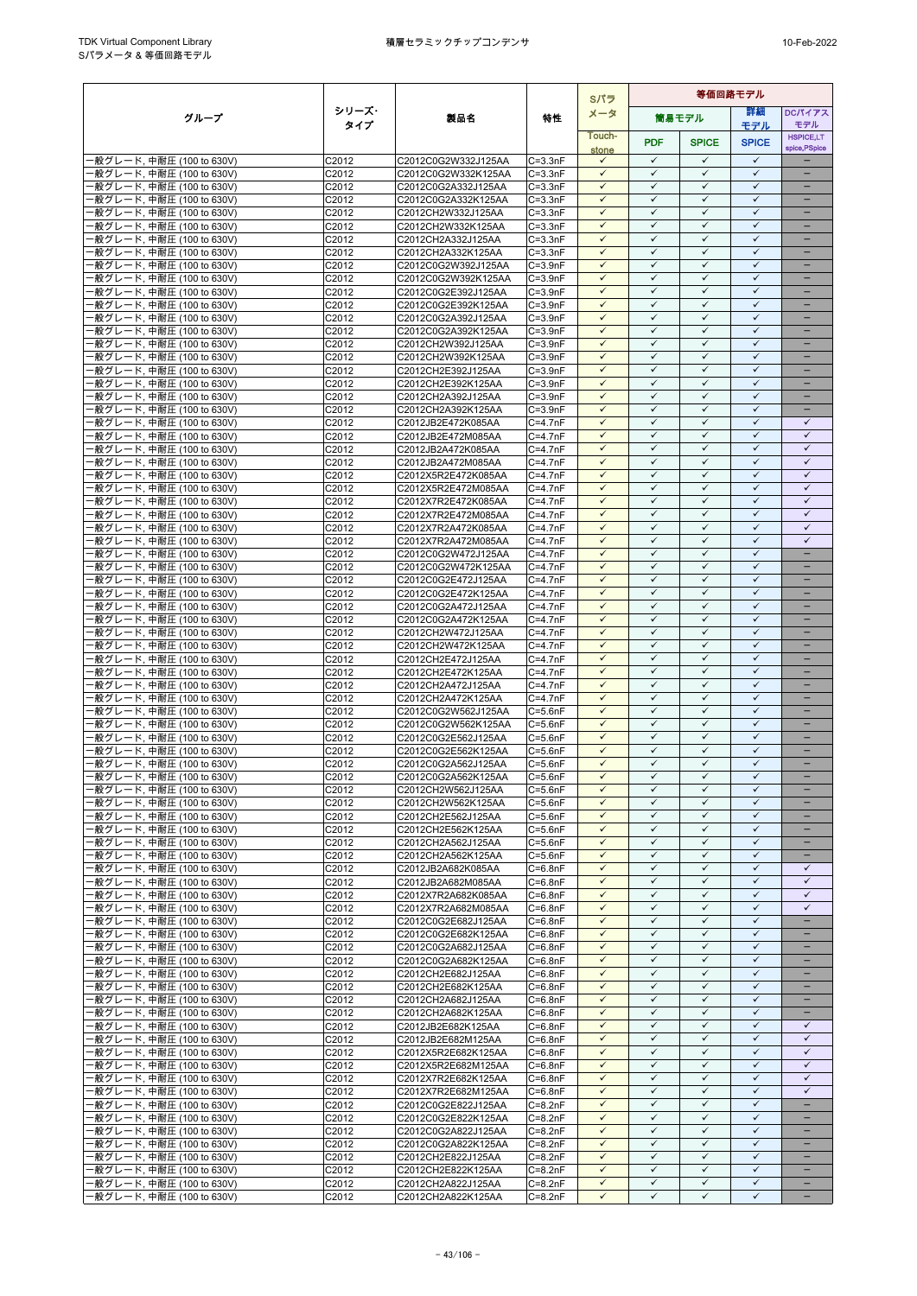|                                                        |                |                                            |                            | Sパラ                          | 等価回路モデル                      |                              |                              |                                      |  |
|--------------------------------------------------------|----------------|--------------------------------------------|----------------------------|------------------------------|------------------------------|------------------------------|------------------------------|--------------------------------------|--|
| グループ                                                   | シリーズ・          | 製品名                                        | 特性                         | メータ                          |                              | 筒易モデル                        | 詳細                           | <b>DCパイアス</b>                        |  |
|                                                        | タイプ            |                                            |                            | Touch-                       |                              |                              | モデル                          | モデル<br><b>HSPICE,LT</b>              |  |
|                                                        |                |                                            |                            | stone                        | <b>PDF</b>                   | <b>SPICE</b>                 | <b>SPICE</b>                 | spice, PSpice                        |  |
| -般グレード, 中耐圧 (100 to 630V)                              | C2012          | C2012C0G2W332J125AA                        | $C = 3.3nF$                | $\checkmark$                 | $\checkmark$                 | ✓                            | $\checkmark$                 | ۳                                    |  |
| -般グレード, 中耐圧 (100 to 630V)                              | C2012          | C2012C0G2W332K125AA                        | $C = 3.3nF$                | $\checkmark$                 | $\checkmark$                 | $\checkmark$                 | $\checkmark$                 | $\equiv$                             |  |
| ·般グレード, 中耐圧 (100 to 630V)<br>·般グレード, 中耐圧 (100 to 630V) | C2012<br>C2012 | C2012C0G2A332J125AA<br>C2012C0G2A332K125AA | $C = 3.3nF$<br>$C = 3.3nF$ | $\checkmark$<br>$\checkmark$ | $\checkmark$<br>$\checkmark$ | $\checkmark$<br>$\checkmark$ | $\checkmark$<br>$\checkmark$ | -<br>$\overline{\phantom{0}}$        |  |
| ·般グレード, 中耐圧 (100 to 630V)                              | C2012          | C2012CH2W332J125AA                         | $C = 3.3nF$                | $\checkmark$                 | $\checkmark$                 | $\checkmark$                 | $\checkmark$                 | -                                    |  |
| ·般グレード, 中耐圧 (100 to 630V)                              | C2012          | C2012CH2W332K125AA                         | $C = 3.3nF$                | $\checkmark$                 | $\checkmark$                 | ✓                            | $\checkmark$                 |                                      |  |
| ·般グレード, 中耐圧 (100 to 630V)                              | C2012          | C2012CH2A332J125AA                         | $C = 3.3nF$                | $\checkmark$                 | $\checkmark$                 | $\checkmark$                 | $\checkmark$                 | $=$                                  |  |
| ·般グレード, 中耐圧 (100 to 630V)                              | C2012          | C2012CH2A332K125AA                         | $C = 3.3nF$                | $\checkmark$                 | $\checkmark$                 | $\checkmark$                 | $\checkmark$                 |                                      |  |
| ·般グレード, 中耐圧 (100 to 630V)<br>·般グレード, 中耐圧 (100 to 630V) | C2012          | C2012C0G2W392J125AA<br>C2012C0G2W392K125AA | $C = 3.9nF$                | $\checkmark$<br>$\checkmark$ | $\checkmark$<br>$\checkmark$ | $\checkmark$<br>$\checkmark$ | $\checkmark$<br>$\checkmark$ | $\overline{\phantom{0}}$<br>$\equiv$ |  |
| ·般グレード, 中耐圧 (100 to 630V)                              | C2012<br>C2012 | C2012C0G2E392J125AA                        | $C = 3.9nF$<br>$C = 3.9nF$ | $\checkmark$                 | $\checkmark$                 | ✓                            | $\checkmark$                 |                                      |  |
| ·般グレード, 中耐圧 (100 to 630V)                              | C2012          | C2012C0G2E392K125AA                        | $C = 3.9nF$                | $\checkmark$                 | $\checkmark$                 | $\checkmark$                 | $\checkmark$                 |                                      |  |
| ·般グレード, 中耐圧 (100 to 630V)                              | C2012          | C2012C0G2A392J125AA                        | $C = 3.9nF$                | $\checkmark$                 | $\checkmark$                 | $\checkmark$                 | $\checkmark$                 |                                      |  |
| ·般グレード, 中耐圧 (100 to 630V)                              | C2012          | C2012C0G2A392K125AA                        | $C = 3.9nF$                | $\checkmark$                 | $\checkmark$                 | $\checkmark$                 | $\checkmark$                 |                                      |  |
| ·般グレード, 中耐圧 (100 to 630V)                              | C2012          | C2012CH2W392J125AA                         | $C = 3.9nF$                | $\checkmark$                 | $\checkmark$<br>$\checkmark$ | $\checkmark$                 | $\checkmark$<br>$\checkmark$ | $\overline{\phantom{0}}$             |  |
| ·般グレード, 中耐圧 (100 to 630V)<br>·般グレード, 中耐圧 (100 to 630V) | C2012<br>C2012 | C2012CH2W392K125AA<br>C2012CH2E392J125AA   | $C = 3.9nF$<br>$C = 3.9nF$ | $\checkmark$<br>$\checkmark$ | $\checkmark$                 | $\checkmark$<br>$\checkmark$ | $\checkmark$                 | -<br>-                               |  |
| ·般グレード, 中耐圧 (100 to 630V)                              | C2012          | C2012CH2E392K125AA                         | $C = 3.9nF$                | $\checkmark$                 | $\checkmark$                 | $\checkmark$                 | $\checkmark$                 |                                      |  |
| ·般グレード, 中耐圧 (100 to 630V)                              | C2012          | C2012CH2A392J125AA                         | $C = 3.9nF$                | $\checkmark$                 | $\checkmark$                 | $\checkmark$                 | $\checkmark$                 | -                                    |  |
| 般グレード, 中耐圧 (100 to 630V)                               | C2012          | C2012CH2A392K125AA                         | $C = 3.9nF$                | ✓                            | ✓                            | ✓                            | $\checkmark$                 |                                      |  |
| ·般グレード, 中耐圧 (100 to 630V)                              | C2012          | C2012JB2E472K085AA                         | $C = 4.7nF$                | $\checkmark$                 | $\checkmark$                 | $\checkmark$                 | $\checkmark$                 | $\checkmark$                         |  |
| ·般グレード, 中耐圧 (100 to 630V)                              | C2012          | C2012JB2E472M085AA                         | $C = 4.7nF$                | $\checkmark$                 | $\checkmark$                 | $\checkmark$                 | $\checkmark$                 | $\checkmark$                         |  |
| ·般グレード, 中耐圧 (100 to 630V)<br>·般グレード, 中耐圧 (100 to 630V) | C2012<br>C2012 | C2012JB2A472K085AA<br>C2012JB2A472M085AA   | $C = 4.7nF$<br>$C = 4.7nF$ | $\checkmark$<br>$\checkmark$ | $\checkmark$<br>$\checkmark$ | $\checkmark$<br>$\checkmark$ | $\checkmark$<br>$\checkmark$ | $\checkmark$<br>$\checkmark$         |  |
| ·般グレード, 中耐圧 (100 to 630V)                              | C2012          | C2012X5R2E472K085AA                        | $C = 4.7nF$                | $\checkmark$                 | $\checkmark$                 | $\checkmark$                 | $\checkmark$                 | $\checkmark$                         |  |
| ·般グレード, 中耐圧 (100 to 630V)                              | C2012          | C2012X5R2E472M085AA                        | $C = 4.7nF$                | $\checkmark$                 | $\checkmark$                 | $\checkmark$                 | $\checkmark$                 | $\checkmark$                         |  |
| ·般グレード, 中耐圧 (100 to 630V)                              | C2012          | C2012X7R2E472K085AA                        | $C = 4.7nF$                | $\checkmark$                 | $\checkmark$                 | $\checkmark$                 | $\checkmark$                 | $\checkmark$                         |  |
| ·般グレード, 中耐圧 (100 to 630V)                              | C2012          | C2012X7R2E472M085AA                        | $C = 4.7nF$                | $\checkmark$                 | $\checkmark$                 | $\checkmark$                 | $\checkmark$                 | $\checkmark$                         |  |
| ·般グレード, 中耐圧 (100 to 630V)                              | C2012          | C2012X7R2A472K085AA                        | $C = 4.7nF$                | $\checkmark$                 | $\checkmark$                 | $\checkmark$                 | $\checkmark$                 | $\checkmark$                         |  |
| ·般グレード, 中耐圧 (100 to 630V)<br>·般グレード, 中耐圧 (100 to 630V) | C2012<br>C2012 | C2012X7R2A472M085AA<br>C2012C0G2W472J125AA | $C = 4.7nF$<br>$C = 4.7nF$ | $\checkmark$<br>$\checkmark$ | $\checkmark$<br>$\checkmark$ | ✓<br>$\checkmark$            | $\checkmark$<br>$\checkmark$ | $\checkmark$<br>-                    |  |
| 般グレード, 中耐圧 (100 to 630V)                               | C2012          | C2012C0G2W472K125AA                        | $C = 4.7nF$                | $\checkmark$                 | $\checkmark$                 | $\checkmark$                 | $\checkmark$                 | $\equiv$                             |  |
| ·般グレード, 中耐圧 (100 to 630V)                              | C2012          | C2012C0G2E472J125AA                        | $C = 4.7nF$                | $\checkmark$                 | $\checkmark$                 | $\checkmark$                 | $\checkmark$                 |                                      |  |
| -般グレード, 中耐圧 (100 to 630V)                              | C2012          | C2012C0G2E472K125AA                        | $C = 4.7nF$                | $\checkmark$                 | $\checkmark$                 | $\checkmark$                 | $\checkmark$                 | $\overline{\phantom{0}}$             |  |
| ·般グレード, 中耐圧 (100 to 630V)                              | C2012          | C2012C0G2A472J125AA                        | $C = 4.7nF$                | $\checkmark$                 | $\checkmark$                 | $\checkmark$                 | $\checkmark$                 | -                                    |  |
| ·般グレード, 中耐圧 (100 to 630V)                              | C2012          | C2012C0G2A472K125AA                        | $C = 4.7nF$                | $\checkmark$                 | $\checkmark$                 | $\checkmark$                 | $\checkmark$                 | -                                    |  |
| ·般グレード, 中耐圧 (100 to 630V)<br>·般グレード, 中耐圧 (100 to 630V) | C2012<br>C2012 | C2012CH2W472J125AA<br>C2012CH2W472K125AA   | $C = 4.7nF$<br>$C = 4.7nF$ | $\checkmark$<br>$\checkmark$ | $\checkmark$<br>$\checkmark$ | $\checkmark$<br>$\checkmark$ | $\checkmark$<br>$\checkmark$ |                                      |  |
| ·般グレード, 中耐圧 (100 to 630V)                              | C2012          | C2012CH2E472J125AA                         | $C = 4.7nF$                | $\checkmark$                 | ✓                            | $\checkmark$                 | $\checkmark$                 |                                      |  |
| ·般グレード, 中耐圧 (100 to 630V)                              | C2012          | C2012CH2E472K125AA                         | $C = 4.7nF$                | $\checkmark$                 | $\checkmark$                 | $\checkmark$                 | $\checkmark$                 | ÷                                    |  |
| ·般グレード, 中耐圧 (100 to 630V)                              | C2012          | C2012CH2A472J125AA                         | $C = 4.7nF$                | $\checkmark$                 | $\checkmark$                 | $\checkmark$                 | $\checkmark$                 | -                                    |  |
| ·般グレード, 中耐圧 (100 to 630V)                              | C2012          | C2012CH2A472K125AA                         | $C = 4.7nF$                | $\checkmark$                 | $\checkmark$                 | ✓                            | $\checkmark$                 | -                                    |  |
| -般グレード, 中耐圧 (100 to 630V)                              | C2012          | C2012C0G2W562J125AA<br>C2012C0G2W562K125AA | $C = 5.6nF$                | $\checkmark$<br>$\checkmark$ | $\checkmark$<br>$\checkmark$ | $\checkmark$<br>$\checkmark$ | $\checkmark$<br>$\checkmark$ | -                                    |  |
| ·般グレード, 中耐圧 (100 to 630V)<br>·般グレード, 中耐圧 (100 to 630V) | C2012<br>C2012 | C2012C0G2E562J125AA                        | $C = 5.6nF$<br>$C = 5.6nF$ | $\checkmark$                 | $\checkmark$                 | $\checkmark$                 | $\checkmark$                 | $\equiv$                             |  |
| ·般グレード, 中耐圧 (100 to 630V)                              | C2012          | C2012C0G2E562K125AA                        | $C = 5.6nF$                | $\checkmark$                 | $\checkmark$                 | $\checkmark$                 | $\checkmark$                 | ÷                                    |  |
| ·般グレード, 中耐圧 (100 to 630V)                              | C2012          | C2012C0G2A562J125AA                        | $C = 5.6nF$                | $\checkmark$                 | $\checkmark$                 | $\checkmark$                 | $\checkmark$                 | -                                    |  |
| ·般グレード, 中耐圧 (100 to 630V)                              | C2012          | C2012C0G2A562K125AA                        | $C=5.6nF$                  | $\checkmark$                 | $\checkmark$                 | $\checkmark$                 | $\checkmark$                 | -                                    |  |
| -般グレード, 中耐圧 (100 to 630V)                              | C2012          | C2012CH2W562J125AA                         | $C=5.6nF$                  | $\checkmark$                 | $\checkmark$<br>$\checkmark$ | $\checkmark$                 | $\checkmark$<br>$\checkmark$ |                                      |  |
| -般グレード, 中耐圧 (100 to 630V)<br>-般グレード, 中耐圧 (100 to 630V) | C2012<br>C2012 | C2012CH2W562K125AA<br>C2012CH2E562J125AA   | $C = 5.6nF$<br>$C = 5.6nF$ | $\checkmark$<br>$\checkmark$ | $\checkmark$                 | $\checkmark$<br>$\checkmark$ | $\checkmark$                 | $\overline{\phantom{0}}$             |  |
| -般グレード, 中耐圧 (100 to 630V)                              | C2012          | C2012CH2E562K125AA                         | $C = 5.6nF$                | $\checkmark$                 | $\checkmark$                 | $\checkmark$                 | $\checkmark$                 |                                      |  |
| -般グレード, 中耐圧 (100 to 630V)                              | C2012          | C2012CH2A562J125AA                         | $C = 5.6nF$                | $\checkmark$                 | $\checkmark$                 | $\checkmark$                 | $\checkmark$                 | $\equiv$                             |  |
| -般グレード, 中耐圧 (100 to 630V)                              | C2012          | C2012CH2A562K125AA                         | $C = 5.6nF$                | $\checkmark$                 | $\checkmark$                 | $\checkmark$                 | $\checkmark$                 | -                                    |  |
| ·般グレード, 中耐圧 (100 to 630V)                              | C2012          | C2012JB2A682K085AA                         | $C = 6.8nF$                | $\checkmark$                 | $\checkmark$                 | $\checkmark$                 | $\checkmark$                 | ✓                                    |  |
| ·般グレード, 中耐圧 (100 to 630V)                              | C2012          | C2012JB2A682M085AA                         | $C = 6.8nF$                | $\checkmark$<br>$\checkmark$ | $\checkmark$<br>$\checkmark$ | $\checkmark$<br>$\checkmark$ | $\checkmark$<br>$\checkmark$ | $\checkmark$<br>$\checkmark$         |  |
| ·般グレード, 中耐圧 (100 to 630V)<br>·般グレード, 中耐圧 (100 to 630V) | C2012<br>C2012 | C2012X7R2A682K085AA<br>C2012X7R2A682M085AA | $C = 6.8nF$<br>$C = 6.8nF$ | $\checkmark$                 | $\checkmark$                 | $\checkmark$                 | $\checkmark$                 | $\checkmark$                         |  |
| -般グレード, 中耐圧 (100 to 630V)                              | C2012          | C2012C0G2E682J125AA                        | $C = 6.8nF$                | $\checkmark$                 | $\checkmark$                 | $\checkmark$                 | $\checkmark$                 | $\qquad \qquad -$                    |  |
| ·般グレード, 中耐圧 (100 to 630V)                              | C2012          | C2012C0G2E682K125AA                        | $C = 6.8nF$                | $\checkmark$                 | $\checkmark$                 | $\checkmark$                 | $\checkmark$                 | -                                    |  |
| ·般グレード, 中耐圧 (100 to 630V)                              | C2012          | C2012C0G2A682J125AA                        | $C = 6.8nF$                | $\checkmark$                 | $\checkmark$                 | ✓                            | ✓                            |                                      |  |
| ·般グレード, 中耐圧 (100 to 630V)                              | C2012          | C2012C0G2A682K125AA                        | $C = 6.8nF$                | $\checkmark$                 | $\checkmark$                 | $\checkmark$                 | $\checkmark$                 | $\qquad \qquad -$                    |  |
| ·般グレード, 中耐圧 (100 to 630V)<br>·般グレード, 中耐圧 (100 to 630V) | C2012<br>C2012 | C2012CH2E682J125AA<br>C2012CH2E682K125AA   | $C = 6.8nF$<br>$C = 6.8nF$ | $\checkmark$<br>$\checkmark$ | $\checkmark$<br>$\checkmark$ | $\checkmark$<br>$\checkmark$ | $\checkmark$<br>$\checkmark$ |                                      |  |
| -般グレード, 中耐圧 (100 to 630V)                              | C2012          | C2012CH2A682J125AA                         | $C = 6.8nF$                | $\checkmark$                 | $\checkmark$                 | $\checkmark$                 | $\checkmark$                 | -                                    |  |
| ·般グレード, 中耐圧 (100 to 630V)                              | C2012          | C2012CH2A682K125AA                         | $C = 6.8nF$                | $\checkmark$                 | $\checkmark$                 | $\checkmark$                 | $\checkmark$                 |                                      |  |
| ·般グレード, 中耐圧 (100 to 630V)                              | C2012          | C2012JB2E682K125AA                         | $C = 6.8nF$                | $\checkmark$                 | $\checkmark$                 | $\checkmark$                 | $\checkmark$                 | $\checkmark$                         |  |
| ·般グレード, 中耐圧 (100 to 630V)                              | C2012          | C2012JB2E682M125AA                         | $C = 6.8nF$                | $\checkmark$                 | $\checkmark$                 | $\checkmark$                 | $\checkmark$                 | $\checkmark$                         |  |
| ·般グレード, 中耐圧 (100 to 630V)                              | C2012          | C2012X5R2E682K125AA                        | $C = 6.8nF$                | $\checkmark$                 | $\checkmark$                 | $\checkmark$                 | $\checkmark$                 | $\checkmark$                         |  |
| ·般グレード, 中耐圧 (100 to 630V)                              | C2012          | C2012X5R2E682M125AA                        | $C = 6.8nF$                | $\checkmark$<br>$\checkmark$ | $\checkmark$<br>$\checkmark$ | $\checkmark$<br>$\checkmark$ | $\checkmark$<br>$\checkmark$ | $\checkmark$<br>$\checkmark$         |  |
| -般グレード, 中耐圧 (100 to 630V)<br>·般グレード, 中耐圧 (100 to 630V) | C2012<br>C2012 | C2012X7R2E682K125AA<br>C2012X7R2E682M125AA | $C = 6.8nF$<br>$C = 6.8nF$ | $\checkmark$                 | $\checkmark$                 | $\checkmark$                 | $\checkmark$                 | $\checkmark$                         |  |
| ·般グレード, 中耐圧 (100 to 630V)                              | C2012          | C2012C0G2E822J125AA                        | $C = 8.2nF$                | $\checkmark$                 | $\checkmark$                 | $\checkmark$                 | $\checkmark$                 | -                                    |  |
| ·般グレード, 中耐圧 (100 to 630V)                              | C2012          | C2012C0G2E822K125AA                        | $C = 8.2nF$                | $\checkmark$                 | $\checkmark$                 | $\checkmark$                 | $\checkmark$                 | -                                    |  |
| ·般グレード, 中耐圧 (100 to 630V)                              | C2012          | C2012C0G2A822J125AA                        | $C = 8.2nF$                | $\checkmark$                 | $\checkmark$                 | ✓                            | $\checkmark$                 |                                      |  |
| ·般グレード, 中耐圧 (100 to 630V)                              | C2012          | C2012C0G2A822K125AA                        | $C = 8.2nF$                | $\checkmark$                 | $\checkmark$                 | $\checkmark$                 | $\checkmark$                 | ÷                                    |  |
| ·般グレード, 中耐圧 (100 to 630V)<br>-般グレード, 中耐圧 (100 to 630V) | C2012<br>C2012 | C2012CH2E822J125AA<br>C2012CH2E822K125AA   | $C = 8.2nF$<br>$C = 8.2nF$ | $\checkmark$<br>$\checkmark$ | $\checkmark$<br>$\checkmark$ | ✓<br>$\checkmark$            | $\checkmark$<br>$\checkmark$ | $\equiv$                             |  |
| ·般グレード, 中耐圧 (100 to 630V)                              | C2012          | C2012CH2A822J125AA                         | $C = 8.2nF$                | $\checkmark$                 | $\checkmark$                 | $\checkmark$                 | $\checkmark$                 | $\qquad \qquad -$                    |  |
| ·般グレード, 中耐圧 (100 to 630V)                              | C2012          | C2012CH2A822K125AA                         | $C = 8.2nF$                | $\checkmark$                 | ✓                            | ✓                            | ✓                            | -                                    |  |
|                                                        |                |                                            |                            |                              |                              |                              |                              |                                      |  |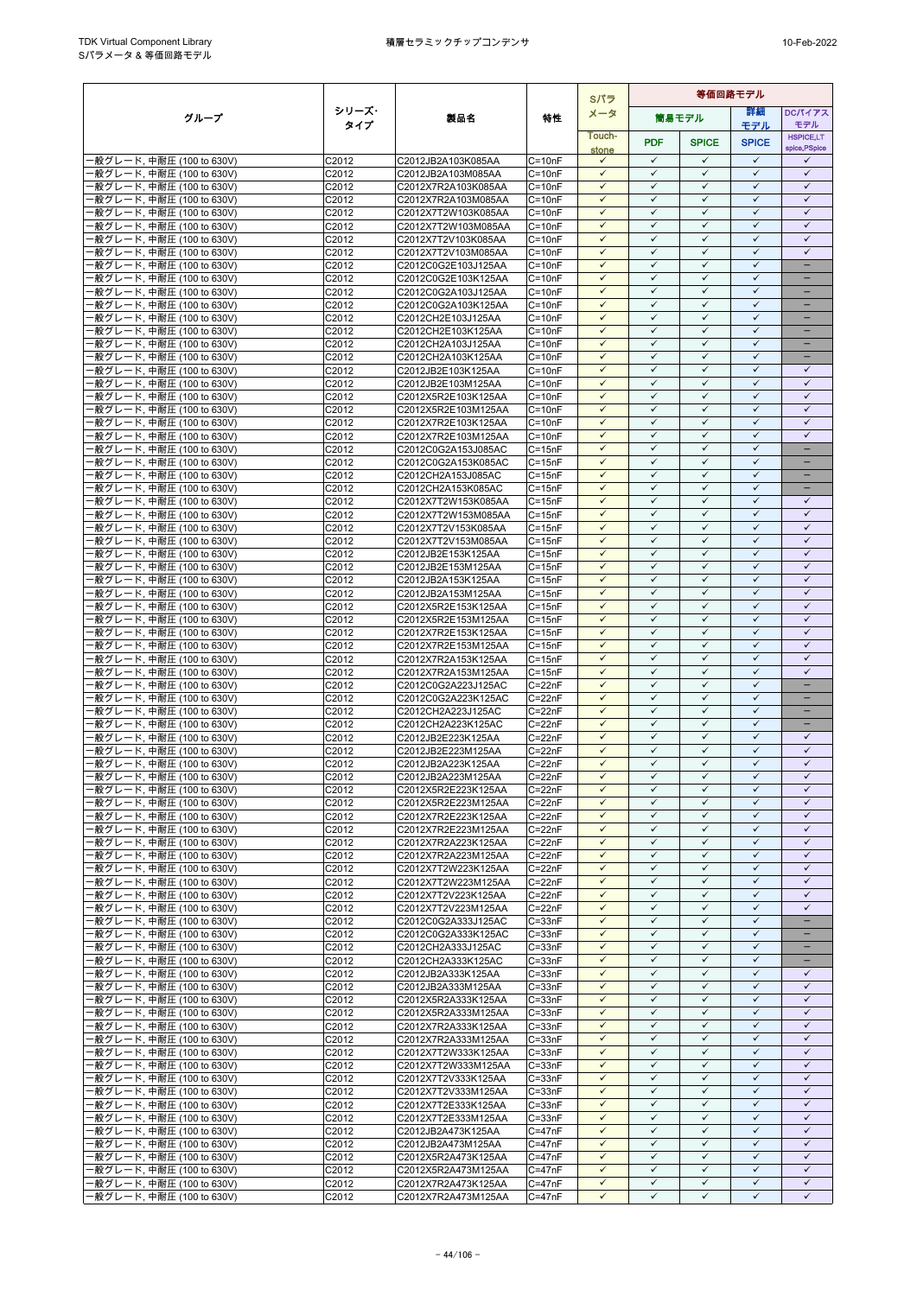|                                                        |                   |                                            |                          | Sパラ                          | 等価回路モデル                      |                              |                              |                              |
|--------------------------------------------------------|-------------------|--------------------------------------------|--------------------------|------------------------------|------------------------------|------------------------------|------------------------------|------------------------------|
| グループ                                                   | シリーズ・             | 製品名                                        | 特性                       | メータ                          |                              | 筒易モデル                        | 等細                           | <b>DCパイアス</b>                |
|                                                        | タイプ               |                                            |                          | Touch-                       |                              |                              | モデル                          | モデル<br><b>HSPICE,LT</b>      |
|                                                        |                   |                                            |                          | stone                        | <b>PDF</b>                   | <b>SPICE</b>                 | <b>SPICE</b>                 | spice, PSpice                |
| -般グレード, 中耐圧 (100 to 630V)                              | C2012             | C2012JB2A103K085AA                         | $C = 10nF$               | $\checkmark$                 | $\checkmark$                 | $\checkmark$                 | $\checkmark$                 | ✓                            |
| ·般グレード, 中耐圧 (100 to 630V)<br>·般グレード, 中耐圧 (100 to 630V) | C2012<br>C2012    | C2012JB2A103M085AA<br>C2012X7R2A103K085AA  | $C = 10nF$<br>$C = 10nF$ | $\checkmark$<br>$\checkmark$ | $\checkmark$<br>$\checkmark$ | $\checkmark$<br>$\checkmark$ | $\checkmark$<br>$\checkmark$ | $\checkmark$<br>$\checkmark$ |
| ·般グレード, 中耐圧 (100 to 630V)                              | C2012             | C2012X7R2A103M085AA                        | $C = 10nF$               | $\checkmark$                 | $\checkmark$                 | $\checkmark$                 | $\checkmark$                 | $\checkmark$                 |
| ·般グレード, 中耐圧 (100 to 630V)                              | C2012             | C2012X7T2W103K085AA                        | $C = 10nF$               | $\checkmark$                 | $\checkmark$                 | $\checkmark$                 | $\checkmark$                 | $\checkmark$                 |
| ·般グレード, 中耐圧 (100 to 630V)                              | C2012             | C2012X7T2W103M085AA                        | $C = 10nF$               | ✓                            | $\checkmark$                 | $\checkmark$                 | $\checkmark$                 | $\checkmark$                 |
| ·般グレード, 中耐圧 (100 to 630V)                              | C2012             | C2012X7T2V103K085AA                        | $C = 10nF$               | $\checkmark$                 | $\checkmark$                 | $\checkmark$                 | $\checkmark$                 | $\checkmark$                 |
| ·般グレード, 中耐圧 (100 to 630V)                              | C2012             | C2012X7T2V103M085AA                        | $C = 10nF$               | $\checkmark$<br>$\checkmark$ | $\checkmark$<br>$\checkmark$ | $\checkmark$<br>$\checkmark$ | $\checkmark$<br>$\checkmark$ | $\checkmark$<br>÷,           |
| ·般グレード, 中耐圧 (100 to 630V)<br>·般グレード, 中耐圧 (100 to 630V) | C2012<br>C2012    | C2012C0G2E103J125AA<br>C2012C0G2E103K125AA | $C = 10nF$<br>$C = 10nF$ | $\checkmark$                 | $\checkmark$                 | $\checkmark$                 | $\checkmark$                 | $\equiv$                     |
| -般グレード, 中耐圧 (100 to 630V)                              | C2012             | C2012C0G2A103J125AA                        | $C = 10nF$               | $\checkmark$                 | $\checkmark$                 | $\checkmark$                 | $\checkmark$                 | -                            |
| ·般グレード, 中耐圧 (100 to 630V)                              | C2012             | C2012C0G2A103K125AA                        | $C = 10nF$               | $\checkmark$                 | $\checkmark$                 | $\checkmark$                 | $\checkmark$                 | -                            |
| -般グレード, 中耐圧 (100 to 630V)                              | C2012             | C2012CH2E103J125AA                         | $C = 10nF$               | ✓                            | $\checkmark$                 | $\checkmark$                 | $\checkmark$                 |                              |
| ·般グレード, 中耐圧 (100 to 630V)                              | C2012             | C2012CH2E103K125AA                         | $C = 10nF$               | $\checkmark$<br>$\checkmark$ | $\checkmark$<br>✓            | $\checkmark$<br>$\checkmark$ | $\checkmark$<br>$\checkmark$ | ÷                            |
| ·般グレード, 中耐圧 (100 to 630V)<br>-般グレード, 中耐圧 (100 to 630V) | C2012<br>C2012    | C2012CH2A103J125AA<br>C2012CH2A103K125AA   | $C = 10nF$<br>$C = 10nF$ | $\checkmark$                 | $\checkmark$                 | $\checkmark$                 | $\checkmark$                 | $\overline{\phantom{0}}$     |
| ·般グレード, 中耐圧 (100 to 630V)                              | C2012             | C2012JB2E103K125AA                         | $C = 10nF$               | $\checkmark$                 | $\checkmark$                 | $\checkmark$                 | $\checkmark$                 | ✓                            |
| -般グレード, 中耐圧 (100 to 630V)                              | C2012             | C2012JB2E103M125AA                         | $C = 10nF$               | $\checkmark$                 | $\checkmark$                 | $\checkmark$                 | ✓                            | $\checkmark$                 |
| -般グレード, 中耐圧 (100 to 630V)                              | C2012             | C2012X5R2E103K125AA                        | $C = 10nF$               | $\checkmark$                 | $\checkmark$                 | $\checkmark$                 | $\checkmark$                 | $\checkmark$                 |
| ·般グレード, 中耐圧 (100 to 630V)                              | C2012             | C2012X5R2E103M125AA                        | $C = 10nF$               | $\checkmark$                 | $\checkmark$                 | $\checkmark$                 | $\checkmark$                 | $\checkmark$                 |
| ·般グレード, 中耐圧 (100 to 630V)                              | C2012             | C2012X7R2E103K125AA                        | $C = 10nF$               | $\checkmark$<br>$\checkmark$ | $\checkmark$<br>$\checkmark$ | $\checkmark$<br>$\checkmark$ | $\checkmark$<br>$\checkmark$ | $\checkmark$<br>$\checkmark$ |
| -般グレード, 中耐圧 (100 to 630V)<br>·般グレード, 中耐圧 (100 to 630V) | C2012<br>C2012    | C2012X7R2E103M125AA<br>C2012C0G2A153J085AC | $C = 10nF$<br>$C = 15nF$ | $\checkmark$                 | $\checkmark$                 | $\checkmark$                 | $\checkmark$                 | $\qquad \qquad -$            |
| ·般グレード, 中耐圧 (100 to 630V)                              | C2012             | C2012C0G2A153K085AC                        | $C = 15nF$               | $\checkmark$                 | $\checkmark$                 | $\checkmark$                 | $\checkmark$                 | -                            |
| -般グレード, 中耐圧 (100 to 630V)                              | C2012             | C2012CH2A153J085AC                         | $C = 15nF$               | $\checkmark$                 | $\checkmark$                 | $\checkmark$                 | $\checkmark$                 |                              |
| ·般グレード, 中耐圧 (100 to 630V)                              | C <sub>2012</sub> | C2012CH2A153K085AC                         | $C = 15nF$               | $\checkmark$                 | $\checkmark$                 | $\checkmark$                 | $\checkmark$                 |                              |
| ·般グレード, 中耐圧 (100 to 630V)                              | C2012             | C2012X7T2W153K085AA                        | $C = 15nF$               | $\checkmark$                 | ✓                            | $\checkmark$                 | $\checkmark$                 | ✓                            |
| ·般グレード, 中耐圧 (100 to 630V)                              | C2012             | C2012X7T2W153M085AA                        | $C = 15nF$               | $\checkmark$<br>$\checkmark$ | $\checkmark$<br>$\checkmark$ | $\checkmark$<br>$\checkmark$ | $\checkmark$<br>$\checkmark$ | $\checkmark$<br>$\checkmark$ |
| ·般グレード, 中耐圧 (100 to 630V)<br>·般グレード, 中耐圧 (100 to 630V) | C2012<br>C2012    | C2012X7T2V153K085AA<br>C2012X7T2V153M085AA | $C = 15nF$<br>$C = 15nF$ | $\checkmark$                 | $\checkmark$                 | $\checkmark$                 | $\checkmark$                 | $\checkmark$                 |
| ·般グレード, 中耐圧 (100 to 630V)                              | C2012             | C2012JB2E153K125AA                         | $C = 15nF$               | $\checkmark$                 | $\checkmark$                 | $\checkmark$                 | $\checkmark$                 | $\checkmark$                 |
| ·般グレード, 中耐圧 (100 to 630V)                              | C2012             | C2012JB2E153M125AA                         | $C = 15nF$               | $\checkmark$                 | $\checkmark$                 | $\checkmark$                 | $\checkmark$                 | $\checkmark$                 |
| ·般グレード, 中耐圧 (100 to 630V)                              | C2012             | C2012JB2A153K125AA                         | $C = 15nF$               | $\checkmark$                 | $\checkmark$                 | $\checkmark$                 | $\checkmark$                 | $\checkmark$                 |
| ·般グレード, 中耐圧 (100 to 630V)                              | C2012             | C2012JB2A153M125AA                         | $C = 15nF$               | $\checkmark$                 | $\checkmark$                 | $\checkmark$                 | $\checkmark$                 | $\checkmark$                 |
| ·般グレード, 中耐圧 (100 to 630V)                              | C2012             | C2012X5R2E153K125AA                        | $C = 15nF$               | $\checkmark$<br>$\checkmark$ | $\checkmark$<br>$\checkmark$ | $\checkmark$<br>$\checkmark$ | $\checkmark$<br>$\checkmark$ | $\checkmark$<br>$\checkmark$ |
| -般グレード, 中耐圧 (100 to 630V)<br>·般グレード, 中耐圧 (100 to 630V) | C2012<br>C2012    | C2012X5R2E153M125AA<br>C2012X7R2E153K125AA | $C = 15nF$<br>$C = 15nF$ | ✓                            | ✓                            | $\checkmark$                 | ✓                            | ✓                            |
| -般グレード, 中耐圧 (100 to 630V)                              | C2012             | C2012X7R2E153M125AA                        | $C = 15nF$               | $\checkmark$                 | $\checkmark$                 | $\checkmark$                 | $\checkmark$                 | $\checkmark$                 |
| ·般グレード, 中耐圧 (100 to 630V)                              | C2012             | C2012X7R2A153K125AA                        | C=15nF                   | $\checkmark$                 | $\checkmark$                 | $\checkmark$                 | $\checkmark$                 | $\checkmark$                 |
| ·般グレード, 中耐圧 (100 to 630V)                              | C2012             | C2012X7R2A153M125AA                        | $C = 15nF$               | $\checkmark$                 | $\checkmark$                 | $\checkmark$                 | $\checkmark$                 | $\checkmark$                 |
| -般グレード, 中耐圧 (100 to 630V)                              | C2012             | C2012C0G2A223J125AC                        | $C = 22nF$               | $\checkmark$                 | $\checkmark$                 | $\checkmark$                 | $\checkmark$                 | $\equiv$                     |
| -般グレード, 中耐圧 (100 to 630V)                              | C2012             | C2012C0G2A223K125AC                        | $C = 22nF$               | $\checkmark$                 | $\checkmark$                 | $\checkmark$                 | $\checkmark$                 | -                            |
| -般グレード, 中耐圧 (100 to 630V)<br>-般グレード, 中耐圧 (100 to 630V) | C2012<br>C2012    | C2012CH2A223J125AC<br>C2012CH2A223K125AC   | $C = 22nF$<br>$C = 22nF$ | $\checkmark$<br>$\checkmark$ | $\checkmark$<br>$\checkmark$ | $\checkmark$<br>$\checkmark$ | $\checkmark$<br>$\checkmark$ | -                            |
| -般グレード, 中耐圧 (100 to 630V)                              | C <sub>2012</sub> | C2012JB2E223K125AA                         | $C = 22nF$               | $\checkmark$                 | $\checkmark$                 | $\checkmark$                 | $\checkmark$                 | ✓                            |
| ·般グレード, 中耐圧 (100 to 630V)                              | C2012             | C2012JB2E223M125AA                         | C=22nF                   | ✓                            | ✓                            | $\checkmark$                 | $\checkmark$                 | ✓                            |
| ·般グレード, 中耐圧 (100 to 630V)                              | C2012             | C2012JB2A223K125AA                         | $C = 22nF$               | $\checkmark$                 | $\checkmark$                 | $\checkmark$                 | $\checkmark$                 | $\checkmark$                 |
| 般グレード, 中耐圧 (100 to 630V)                               | C2012             | C2012JB2A223M125AA                         | $C = 22nF$               | $\checkmark$                 | $\checkmark$                 | $\checkmark$                 | $\checkmark$                 | $\checkmark$                 |
| ·般グレード, 中耐圧 (100 to 630V)                              | C2012             | C2012X5R2E223K125AA                        | $C = 22nF$               | $\checkmark$                 | $\checkmark$                 | $\checkmark$                 | ✓                            | ✓<br>$\checkmark$            |
| -般グレード, 中耐圧 (100 to 630V)<br>-般グレード, 中耐圧 (100 to 630V) | C2012<br>C2012    | C2012X5R2E223M125AA<br>C2012X7R2E223K125AA | $C = 22nF$<br>$C = 22nF$ | $\checkmark$<br>$\checkmark$ | $\checkmark$<br>$\checkmark$ | $\checkmark$<br>$\checkmark$ | $\checkmark$<br>$\checkmark$ | $\checkmark$                 |
| -般グレード, 中耐圧 (100 to 630V)                              | C2012             | C2012X7R2E223M125AA                        | $C = 22nF$               | $\checkmark$                 | $\checkmark$                 | $\checkmark$                 | $\checkmark$                 | $\checkmark$                 |
| -般グレード, 中耐圧 (100 to 630V)                              | C2012             | C2012X7R2A223K125AA                        | $C = 22nF$               | $\checkmark$                 | $\checkmark$                 | $\checkmark$                 | $\checkmark$                 | $\checkmark$                 |
| ·般グレード, 中耐圧 (100 to 630V)                              | C2012             | C2012X7R2A223M125AA                        | C=22nF                   | $\checkmark$                 | $\checkmark$                 | $\checkmark$                 | $\checkmark$                 | $\checkmark$                 |
| -般グレード, 中耐圧 (100 to 630V)                              | C2012             | C2012X7T2W223K125AA                        | $C = 22nF$               | $\checkmark$                 | $\checkmark$                 | $\checkmark$                 | $\checkmark$                 | $\checkmark$                 |
| ·般グレード, 中耐圧 (100 to 630V)<br>-般グレード, 中耐圧 (100 to 630V) | C2012<br>C2012    | C2012X7T2W223M125AA                        | $C = 22nF$<br>$C = 22nF$ | ✓<br>$\checkmark$            | ✓<br>$\checkmark$            | $\checkmark$<br>$\checkmark$ | ✓<br>$\checkmark$            | ✓<br>$\checkmark$            |
| ·般グレード, 中耐圧 (100 to 630V)                              | C2012             | C2012X7T2V223K125AA<br>C2012X7T2V223M125AA | $C = 22nF$               | $\checkmark$                 | $\checkmark$                 | $\checkmark$                 | $\checkmark$                 | $\checkmark$                 |
| ·般グレード, 中耐圧 (100 to 630V)                              | C2012             | C2012C0G2A333J125AC                        | $C = 33nF$               | $\checkmark$                 | $\checkmark$                 | $\checkmark$                 | $\checkmark$                 | ÷,                           |
| -般グレード, 中耐圧 (100 to 630V)                              | C2012             | C2012C0G2A333K125AC                        | $C = 33nF$               | $\checkmark$                 | $\checkmark$                 | $\checkmark$                 | $\checkmark$                 | $\overline{\phantom{0}}$     |
| -般グレード, 中耐圧 (100 to 630V)                              | C2012             | C2012CH2A333J125AC                         | $C = 33nF$               | $\checkmark$                 | $\checkmark$                 | $\checkmark$                 | $\checkmark$                 | -                            |
| -般グレード, 中耐圧 (100 to 630V)                              | C2012             | C2012CH2A333K125AC                         | $C = 33nF$               | $\checkmark$                 | $\checkmark$                 | $\checkmark$                 | $\checkmark$                 | -                            |
| -般グレード, 中耐圧 (100 to 630V)                              | C2012<br>C2012    | C2012JB2A333K125AA                         | $C = 33nF$<br>$C = 33nF$ | ✓<br>$\checkmark$            | $\checkmark$<br>$\checkmark$ | $\checkmark$<br>$\checkmark$ | $\checkmark$<br>$\checkmark$ | $\checkmark$<br>$\checkmark$ |
| ·般グレード, 中耐圧 (100 to 630V)<br>·般グレード, 中耐圧 (100 to 630V) | C2012             | C2012JB2A333M125AA<br>C2012X5R2A333K125AA  | $C = 33nF$               | $\checkmark$                 | $\checkmark$                 | $\checkmark$                 | $\checkmark$                 | $\checkmark$                 |
| -般グレード, 中耐圧 (100 to 630V)                              | C2012             | C2012X5R2A333M125AA                        | $C = 33nF$               | $\checkmark$                 | $\checkmark$                 | $\checkmark$                 | $\checkmark$                 | $\checkmark$                 |
| -般グレード, 中耐圧 (100 to 630V)                              | C2012             | C2012X7R2A333K125AA                        | $C = 33nF$               | $\checkmark$                 | $\checkmark$                 | $\checkmark$                 | $\checkmark$                 | $\checkmark$                 |
| -般グレード, 中耐圧 (100 to 630V)                              | C2012             | C2012X7R2A333M125AA                        | $C = 33nF$               | $\checkmark$                 | $\checkmark$                 | $\checkmark$                 | ✓                            | ✓                            |
| -般グレード, 中耐圧 (100 to 630V)                              | C2012             | C2012X7T2W333K125AA                        | $C = 33nF$               | $\checkmark$                 | $\checkmark$                 | $\checkmark$                 | $\checkmark$                 | $\checkmark$                 |
| ·般グレード, 中耐圧 (100 to 630V)                              | C2012<br>C2012    | C2012X7T2W333M125AA                        | $C = 33nF$               | $\checkmark$<br>$\checkmark$ | $\checkmark$<br>$\checkmark$ | $\checkmark$<br>$\checkmark$ | $\checkmark$<br>$\checkmark$ | $\checkmark$<br>$\checkmark$ |
| ·般グレード, 中耐圧 (100 to 630V)<br>-般グレード, 中耐圧 (100 to 630V) | C2012             | C2012X7T2V333K125AA<br>C2012X7T2V333M125AA | $C = 33nF$<br>$C = 33nF$ | $\checkmark$                 | $\checkmark$                 | $\checkmark$                 | $\checkmark$                 | $\checkmark$                 |
| ·般グレード, 中耐圧 (100 to 630V)                              | C2012             | C2012X7T2E333K125AA                        | $C = 33nF$               | $\checkmark$                 | $\checkmark$                 | $\checkmark$                 | $\checkmark$                 | $\checkmark$                 |
| -般グレード, 中耐圧 (100 to 630V)                              | C2012             | C2012X7T2E333M125AA                        | $C = 33nF$               | $\checkmark$                 | $\checkmark$                 | $\checkmark$                 | $\checkmark$                 | $\checkmark$                 |
| -般グレード, 中耐圧 (100 to 630V)                              | C2012             | C2012JB2A473K125AA                         | $C = 47nF$               | $\checkmark$                 | $\checkmark$                 | $\checkmark$                 | $\checkmark$                 | $\checkmark$                 |
| -般グレード, 中耐圧 (100 to 630V)                              | C2012             | C2012JB2A473M125AA                         | $C = 47nF$               | $\checkmark$                 | $\checkmark$                 | $\checkmark$                 | $\checkmark$                 | $\checkmark$                 |
| -般グレード, 中耐圧 (100 to 630V)                              | C2012             | C2012X5R2A473K125AA<br>C2012X5R2A473M125AA | $C = 47nF$<br>$C = 47nF$ | $\checkmark$<br>$\checkmark$ | $\checkmark$<br>$\checkmark$ | $\checkmark$<br>$\checkmark$ | $\checkmark$<br>$\checkmark$ | $\checkmark$<br>$\checkmark$ |
| ·般グレード, 中耐圧 (100 to 630V)<br>-般グレード, 中耐圧 (100 to 630V) | C2012<br>C2012    | C2012X7R2A473K125AA                        | $C = 47nF$               | $\checkmark$                 | $\checkmark$                 | $\checkmark$                 | $\checkmark$                 | $\checkmark$                 |
| ·般グレード, 中耐圧 (100 to 630V)                              | C2012             | C2012X7R2A473M125AA                        | C=47nF                   | $\checkmark$                 | $\checkmark$                 | $\checkmark$                 | $\checkmark$                 | ✓                            |
|                                                        |                   |                                            |                          |                              |                              |                              |                              |                              |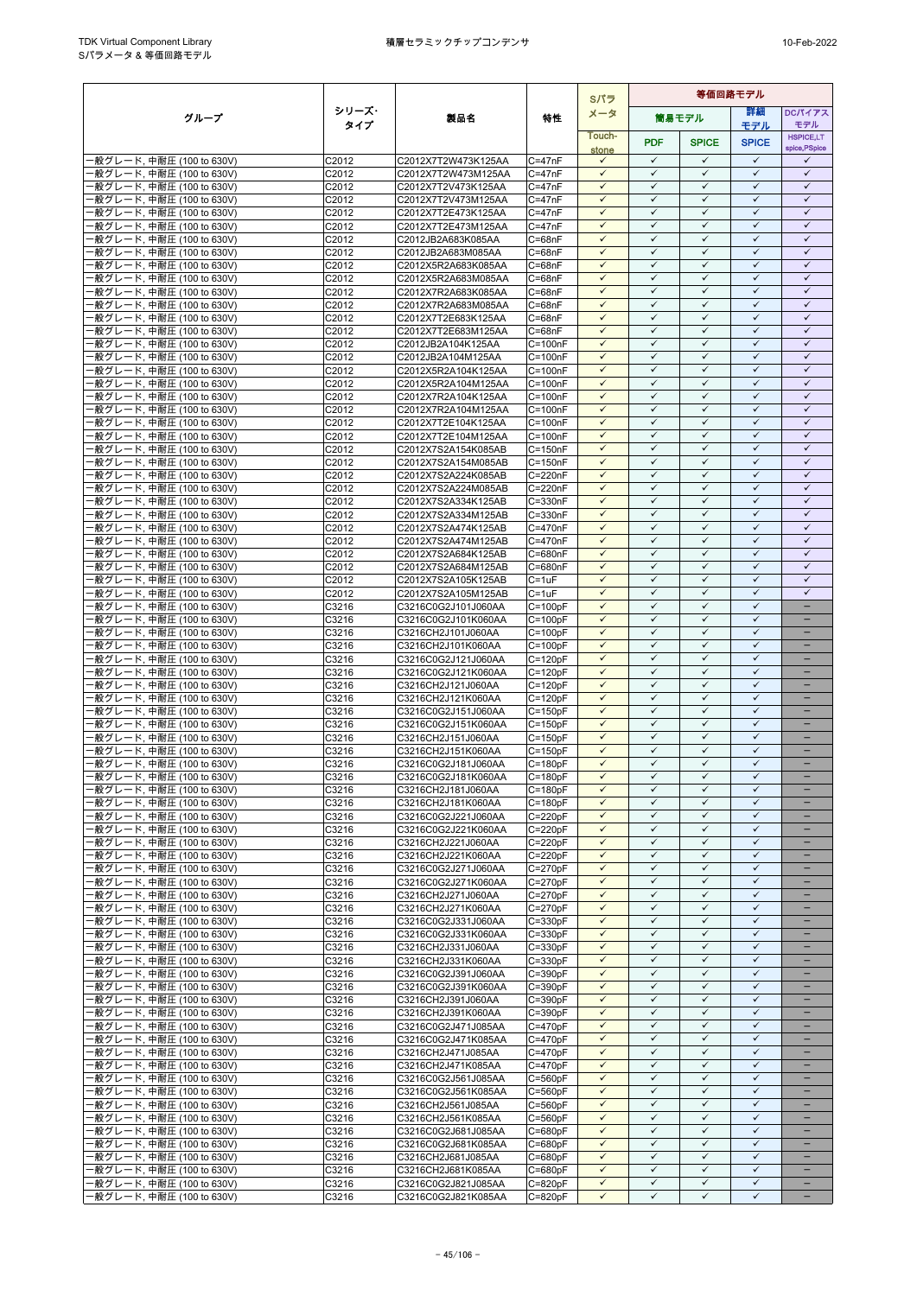|                                                        |                |                                            |                            | Sパラ                          | 等価回路モデル                      |                              |                              |                              |
|--------------------------------------------------------|----------------|--------------------------------------------|----------------------------|------------------------------|------------------------------|------------------------------|------------------------------|------------------------------|
| グループ                                                   | シリーズ・          | 製品名                                        | 特性                         | メータ                          |                              | 筒易モデル                        | 詳細                           | DCパイアス                       |
|                                                        | タイプ            |                                            |                            | Touch-                       |                              |                              | モデル                          | モデル<br><b>HSPICE,LT</b>      |
|                                                        |                |                                            |                            | stone                        | <b>PDF</b>                   | <b>SPICE</b>                 | <b>SPICE</b>                 | spice, PSpice                |
| ·般グレード, 中耐圧 (100 to 630V)                              | C2012          | C2012X7T2W473K125AA                        | $C = 47nF$                 | $\checkmark$                 | $\checkmark$                 | $\checkmark$                 | $\checkmark$                 | $\checkmark$                 |
| -般グレード, 中耐圧 (100 to 630V)                              | C2012          | C2012X7T2W473M125AA                        | $C = 47nF$                 | $\checkmark$                 | $\checkmark$                 | $\checkmark$                 | $\checkmark$                 | $\checkmark$                 |
| -般グレード, 中耐圧 (100 to 630V)                              | C2012<br>C2012 | C2012X7T2V473K125AA                        | $C = 47nF$                 | $\checkmark$<br>$\checkmark$ | $\checkmark$<br>$\checkmark$ | $\checkmark$<br>$\checkmark$ | $\checkmark$<br>$\checkmark$ | $\checkmark$<br>$\checkmark$ |
| ·般グレード, 中耐圧 (100 to 630V)<br>·般グレード, 中耐圧 (100 to 630V) | C2012          | C2012X7T2V473M125AA<br>C2012X7T2E473K125AA | $C = 47nF$<br>$C = 47nF$   | $\checkmark$                 | $\checkmark$                 | $\checkmark$                 | $\checkmark$                 | $\checkmark$                 |
| ·般グレード, 中耐圧 (100 to 630V)                              | C2012          | C2012X7T2E473M125AA                        | $C = 47nF$                 | $\checkmark$                 | $\checkmark$                 | $\checkmark$                 | $\checkmark$                 | $\checkmark$                 |
| -般グレード, 中耐圧 (100 to 630V)                              | C2012          | C2012JB2A683K085AA                         | $C = 68nF$                 | $\checkmark$                 | $\checkmark$                 | $\checkmark$                 | $\checkmark$                 | $\checkmark$                 |
| ·般グレード, 中耐圧 (100 to 630V)                              | C2012          | C2012JB2A683M085AA                         | $C = 68nF$                 | $\checkmark$                 | $\checkmark$                 | $\checkmark$                 | $\checkmark$                 | $\checkmark$                 |
| ·般グレード, 中耐圧 (100 to 630V)                              | C2012          | C2012X5R2A683K085AA                        | $C = 68nF$                 | $\checkmark$                 | $\checkmark$                 | $\checkmark$                 | $\checkmark$                 | $\checkmark$                 |
| ·般グレード, 中耐圧 (100 to 630V)<br>-般グレード, 中耐圧 (100 to 630V) | C2012<br>C2012 | C2012X5R2A683M085AA<br>C2012X7R2A683K085AA | $C = 68nF$<br>$C = 68nF$   | $\checkmark$<br>$\checkmark$ | $\checkmark$<br>$\checkmark$ | $\checkmark$<br>$\checkmark$ | $\checkmark$<br>$\checkmark$ | $\checkmark$<br>$\checkmark$ |
| ·般グレード, 中耐圧 (100 to 630V)                              | C2012          | C2012X7R2A683M085AA                        | $C = 68nF$                 | $\checkmark$                 | $\checkmark$                 | $\checkmark$                 | $\checkmark$                 | $\checkmark$                 |
| ·般グレード, 中耐圧 (100 to 630V)                              | C2012          | C2012X7T2E683K125AA                        | $C = 68nF$                 | $\checkmark$                 | $\checkmark$                 | $\checkmark$                 | $\checkmark$                 | $\checkmark$                 |
| ·般グレード, 中耐圧 (100 to 630V)                              | C2012          | C2012X7T2E683M125AA                        | $C = 68nF$                 | $\checkmark$                 | $\checkmark$                 | $\checkmark$                 | $\checkmark$                 | $\checkmark$                 |
| ·般グレード, 中耐圧 (100 to 630V)                              | C2012          | C2012JB2A104K125AA                         | $C = 100nF$                | $\checkmark$                 | $\checkmark$                 | $\checkmark$                 | $\checkmark$                 | $\checkmark$                 |
| ·般グレード, 中耐圧 (100 to 630V)                              | C2012          | C2012JB2A104M125AA                         | $C = 100nF$                | $\checkmark$<br>$\checkmark$ | $\checkmark$<br>$\checkmark$ | $\checkmark$<br>$\checkmark$ | $\checkmark$<br>$\checkmark$ | $\checkmark$<br>$\checkmark$ |
| ·般グレード, 中耐圧 (100 to 630V)<br>·般グレード, 中耐圧 (100 to 630V) | C2012<br>C2012 | C2012X5R2A104K125AA<br>C2012X5R2A104M125AA | $C = 100nF$<br>$C = 100nF$ | $\checkmark$                 | $\checkmark$                 | ✓                            | $\checkmark$                 | $\checkmark$                 |
| -般グレード, 中耐圧 (100 to 630V)                              | C2012          | C2012X7R2A104K125AA                        | $C = 100nF$                | $\checkmark$                 | $\checkmark$                 | $\checkmark$                 | $\checkmark$                 | $\checkmark$                 |
| ·般グレード, 中耐圧 (100 to 630V)                              | C2012          | C2012X7R2A104M125AA                        | $C = 100nF$                | $\checkmark$                 | $\checkmark$                 | $\checkmark$                 | $\checkmark$                 | $\checkmark$                 |
| ·般グレード, 中耐圧 (100 to 630V)                              | C2012          | C2012X7T2E104K125AA                        | $C = 100nF$                | $\checkmark$                 | $\checkmark$                 | $\checkmark$                 | $\checkmark$                 | $\checkmark$                 |
| ·般グレード, 中耐圧 (100 to 630V)                              | C2012          | C2012X7T2E104M125AA                        | $C = 100nF$                | $\checkmark$                 | $\checkmark$                 | $\checkmark$                 | $\checkmark$                 | $\checkmark$                 |
| ·般グレード, 中耐圧 (100 to 630V)                              | C2012          | C2012X7S2A154K085AB                        | $C = 150nF$                | $\checkmark$                 | $\checkmark$                 | $\checkmark$                 | $\checkmark$                 | $\checkmark$                 |
| ·般グレード, 中耐圧 (100 to 630V)<br>·般グレード, 中耐圧 (100 to 630V) | C2012<br>C2012 | C2012X7S2A154M085AB<br>C2012X7S2A224K085AB | $C = 150nF$<br>C=220nF     | $\checkmark$<br>$\checkmark$ | $\checkmark$<br>$\checkmark$ | $\checkmark$<br>$\checkmark$ | $\checkmark$<br>$\checkmark$ | $\checkmark$<br>$\checkmark$ |
| ·般グレード, 中耐圧 (100 to 630V)                              | C2012          | C2012X7S2A224M085AB                        | C=220nF                    | $\checkmark$                 | $\checkmark$                 | $\checkmark$                 | $\checkmark$                 | $\checkmark$                 |
| ·般グレード, 中耐圧 (100 to 630V)                              | C2012          | C2012X7S2A334K125AB                        | $C = 330nF$                | $\checkmark$                 | $\checkmark$                 | $\checkmark$                 | $\checkmark$                 | $\checkmark$                 |
| ·般グレード, 中耐圧 (100 to 630V)                              | C2012          | C2012X7S2A334M125AB                        | C=330nF                    | $\checkmark$                 | $\checkmark$                 | $\checkmark$                 | $\checkmark$                 | $\checkmark$                 |
| ·般グレード, 中耐圧 (100 to 630V)                              | C2012          | C2012X7S2A474K125AB                        | $C = 470nF$                | $\checkmark$                 | $\checkmark$                 | $\checkmark$                 | $\checkmark$                 | $\checkmark$                 |
| ·般グレード, 中耐圧 (100 to 630V)                              | C2012          | C2012X7S2A474M125AB                        | C=470nF                    | $\checkmark$                 | $\checkmark$<br>$\checkmark$ | $\checkmark$<br>$\checkmark$ | $\checkmark$<br>$\checkmark$ | $\checkmark$<br>$\checkmark$ |
| ·般グレード, 中耐圧 (100 to 630V)<br>·般グレード, 中耐圧 (100 to 630V) | C2012<br>C2012 | C2012X7S2A684K125AB<br>C2012X7S2A684M125AB | C=680nF<br>C=680nF         | $\checkmark$<br>$\checkmark$ | $\checkmark$                 | $\checkmark$                 | $\checkmark$                 | $\checkmark$                 |
| ·般グレード, 中耐圧 (100 to 630V)                              | C2012          | C2012X7S2A105K125AB                        | $C = 1uF$                  | $\checkmark$                 | $\checkmark$                 | $\checkmark$                 | $\checkmark$                 | $\checkmark$                 |
| ·般グレード, 中耐圧 (100 to 630V)                              | C2012          | C2012X7S2A105M125AB                        | $C = 1uF$                  | $\checkmark$                 | $\checkmark$                 | $\checkmark$                 | $\checkmark$                 | $\checkmark$                 |
| ·般グレード, 中耐圧 (100 to 630V)                              | C3216          | C3216C0G2J101J060AA                        | $C = 100pF$                | $\checkmark$                 | $\checkmark$                 | $\checkmark$                 | $\checkmark$                 | $\overline{\phantom{0}}$     |
| ·般グレード, 中耐圧 (100 to 630V)                              | C3216          | C3216C0G2J101K060AA                        | $C = 100pF$                | $\checkmark$                 | $\checkmark$                 | $\checkmark$                 | $\checkmark$                 | $\qquad \qquad -$            |
| ·般グレード, 中耐圧 (100 to 630V)                              | C3216          | C3216CH2J101J060AA                         | $C=100pF$                  | ✓<br>$\checkmark$            | ✓<br>$\checkmark$            | ✓<br>$\checkmark$            | ✓<br>$\checkmark$            |                              |
| ·般グレード, 中耐圧 (100 to 630V)<br>·般グレード, 中耐圧 (100 to 630V) | C3216<br>C3216 | C3216CH2J101K060AA<br>C3216C0G2J121J060AA  | $C = 100pF$<br>$C = 120pF$ | $\checkmark$                 | $\checkmark$                 | $\checkmark$                 | $\checkmark$                 | -                            |
| ·般グレード, 中耐圧 (100 to 630V)                              | C3216          | C3216C0G2J121K060AA                        | $C = 120pF$                | $\checkmark$                 | $\checkmark$                 | $\checkmark$                 | $\checkmark$                 |                              |
| -般グレード, 中耐圧 (100 to 630V)                              | C3216          | C3216CH2J121J060AA                         | $C = 120pF$                | $\checkmark$                 | $\checkmark$                 | $\checkmark$                 | $\checkmark$                 | $\equiv$                     |
| ·般グレード, 中耐圧 (100 to 630V)                              | C3216          | C3216CH2J121K060AA                         | $C = 120pF$                | $\checkmark$                 | $\checkmark$                 | $\checkmark$                 | $\checkmark$                 |                              |
| -般グレード, 中耐圧 (100 to 630V)                              | C3216          | C3216C0G2J151J060AA                        | $C = 150pF$                | $\checkmark$                 | $\checkmark$                 | $\checkmark$                 | $\checkmark$                 |                              |
| -般グレード, 中耐圧 (100 to 630V)                              | C3216          | C3216C0G2J151K060AA                        | $C = 150pF$                | $\checkmark$<br>$\checkmark$ | $\checkmark$<br>$\checkmark$ | $\checkmark$<br>$\checkmark$ | $\checkmark$<br>$\checkmark$ |                              |
| ·般グレード, 中耐圧 (100 to 630V)<br>·般グレード, 中耐圧 (100 to 630V) | C3216<br>C3216 | C3216CH2J151J060AA<br>C3216CH2J151K060AA   | $C = 150pF$<br>$C = 150pF$ | $\checkmark$                 | $\checkmark$                 | $\checkmark$                 | $\checkmark$                 |                              |
| ·般グレード, 中耐圧 (100 to 630V)                              | C3216          | C3216C0G2J181J060AA                        | $C = 180pF$                | $\checkmark$                 | $\checkmark$                 | $\checkmark$                 | $\checkmark$                 | $\overline{\phantom{0}}$     |
| 般グレード, 中耐圧 (100 to 630V)                               | C3216          | C3216C0G2J181K060AA                        | $C = 180pF$                | $\checkmark$                 | $\checkmark$                 | $\checkmark$                 | $\checkmark$                 |                              |
| ·般グレード, 中耐圧 (100 to 630V)                              | C3216          | C3216CH2J181J060AA                         | $C = 180pF$                | $\checkmark$                 | $\checkmark$                 | ✓                            | $\checkmark$                 | $\overline{\phantom{0}}$     |
| -般グレード, 中耐圧 (100 to 630V)                              | C3216          | C3216CH2J181K060AA                         | $C = 180pF$                | $\checkmark$                 | $\checkmark$                 | $\checkmark$                 | $\checkmark$                 |                              |
| ·般グレード, 中耐圧 (100 to 630V)                              | C3216          | C3216C0G2J221J060AA                        | $C = 220pF$                | $\checkmark$                 | $\checkmark$<br>$\checkmark$ | $\checkmark$                 | $\checkmark$<br>$\checkmark$ | -                            |
| -般グレード, 中耐圧 (100 to 630V)<br>-般グレード, 中耐圧 (100 to 630V) | C3216<br>C3216 | C3216C0G2J221K060AA<br>C3216CH2J221J060AA  | $C = 220pF$<br>$C = 220pF$ | $\checkmark$<br>$\checkmark$ | $\checkmark$                 | $\checkmark$<br>$\checkmark$ | $\checkmark$                 |                              |
| ·般グレード, 中耐圧 (100 to 630V)                              | C3216          | C3216CH2J221K060AA                         | $C = 220pF$                | $\checkmark$                 | $\checkmark$                 | $\checkmark$                 | $\checkmark$                 |                              |
| ·般グレード, 中耐圧 (100 to 630V)                              | C3216          | C3216C0G2J271J060AA                        | $C = 270pF$                | $\checkmark$                 | $\checkmark$                 | $\checkmark$                 | $\checkmark$                 | $\qquad \qquad -$            |
| ·般グレード, 中耐圧 (100 to 630V)                              | C3216          | C3216C0G2J271K060AA                        | $C = 270pF$                | ✓                            | $\checkmark$                 | ✓                            | ✓                            |                              |
| -般グレード, 中耐圧 (100 to 630V)                              | C3216          | C3216CH2J271J060AA                         | $C = 270pF$                | $\checkmark$                 | $\checkmark$                 | $\checkmark$                 | $\checkmark$                 | $-$                          |
| ·般グレード, 中耐圧 (100 to 630V)                              | C3216          | C3216CH2J271K060AA                         | $C = 270pF$                | $\checkmark$<br>$\checkmark$ | $\checkmark$<br>$\checkmark$ | $\checkmark$<br>$\checkmark$ | $\checkmark$<br>$\checkmark$ |                              |
| ·般グレード, 中耐圧 (100 to 630V)<br>·般グレード, 中耐圧 (100 to 630V) | C3216<br>C3216 | C3216C0G2J331J060AA<br>C3216C0G2J331K060AA | $C = 330pF$<br>$C = 330pF$ | $\checkmark$                 | $\checkmark$                 | $\checkmark$                 | $\checkmark$                 |                              |
| ·般グレード, 中耐圧 (100 to 630V)                              | C3216          | C3216CH2J331J060AA                         | $C = 330pF$                | $\checkmark$                 | $\checkmark$                 | $\checkmark$                 | $\checkmark$                 | $\qquad \qquad -$            |
| -般グレード, 中耐圧 (100 to 630V)                              | C3216          | C3216CH2J331K060AA                         | $C = 330pF$                | $\checkmark$                 | $\checkmark$                 | $\checkmark$                 | $\checkmark$                 |                              |
| -般グレード, 中耐圧 (100 to 630V)                              | C3216          | C3216C0G2J391J060AA                        | $C = 390pF$                | $\checkmark$                 | $\checkmark$                 | $\checkmark$                 | $\checkmark$                 |                              |
| ·般グレード, 中耐圧 (100 to 630V)                              | C3216          | C3216C0G2J391K060AA                        | $C = 390pF$                | $\checkmark$                 | $\checkmark$                 | $\checkmark$                 | $\checkmark$                 |                              |
| ·般グレード, 中耐圧 (100 to 630V)                              | C3216          | C3216CH2J391J060AA                         | $C = 390pF$                | $\checkmark$<br>$\checkmark$ | $\checkmark$<br>$\checkmark$ | $\checkmark$<br>$\checkmark$ | $\checkmark$<br>$\checkmark$ | $\qquad \qquad -$            |
| -般グレード, 中耐圧 (100 to 630V)<br>·般グレード, 中耐圧 (100 to 630V) | C3216<br>C3216 | C3216CH2J391K060AA<br>C3216C0G2J471J085AA  | $C = 390pF$<br>$C = 470pF$ | $\checkmark$                 | $\checkmark$                 | $\checkmark$                 | $\checkmark$                 |                              |
| ·般グレード, 中耐圧 (100 to 630V)                              | C3216          | C3216C0G2J471K085AA                        | $C = 470pF$                | $\checkmark$                 | ✓                            | $\checkmark$                 | ✓                            | $\overline{\phantom{0}}$     |
| -般グレード, 中耐圧 (100 to 630V)                              | C3216          | C3216CH2J471J085AA                         | $C = 470pF$                | $\checkmark$                 | $\checkmark$                 | $\checkmark$                 | $\checkmark$                 | $\qquad \qquad -$            |
| ·般グレード, 中耐圧 (100 to 630V)                              | C3216          | C3216CH2J471K085AA                         | $C = 470pF$                | $\checkmark$                 | $\checkmark$                 | $\checkmark$                 | $\checkmark$                 |                              |
| ·般グレード, 中耐圧 (100 to 630V)                              | C3216          | C3216C0G2J561J085AA                        | $C = 560pF$                | $\checkmark$                 | $\checkmark$                 | $\checkmark$                 | $\checkmark$                 |                              |
| -般グレード, 中耐圧 (100 to 630V)                              | C3216          | C3216C0G2J561K085AA                        | $C = 560pF$                | $\checkmark$<br>$\checkmark$ | $\checkmark$<br>$\checkmark$ | $\checkmark$<br>$\checkmark$ | $\checkmark$<br>$\checkmark$ | $\overline{\phantom{0}}$     |
| ·般グレード, 中耐圧 (100 to 630V)<br>·般グレード, 中耐圧 (100 to 630V) | C3216<br>C3216 | C3216CH2J561J085AA<br>C3216CH2J561K085AA   | $C = 560pF$<br>$C = 560pF$ | $\checkmark$                 | $\checkmark$                 | $\checkmark$                 | $\checkmark$                 | $\qquad \qquad -$            |
| ·般グレード, 中耐圧 (100 to 630V)                              | C3216          | C3216C0G2J681J085AA                        | $C = 680pF$                | $\checkmark$                 | $\checkmark$                 | $\checkmark$                 | $\checkmark$                 |                              |
| ·般グレード, 中耐圧 (100 to 630V)                              | C3216          | C3216C0G2J681K085AA                        | $C = 680pF$                | $\checkmark$                 | $\checkmark$                 | $\checkmark$                 | $\checkmark$                 | -                            |
| ·般グレード, 中耐圧 (100 to 630V)                              | C3216          | C3216CH2J681J085AA                         | C=680pF                    | $\checkmark$                 | $\checkmark$                 | $\checkmark$                 | $\checkmark$                 |                              |
| ·般グレード, 中耐圧 (100 to 630V)                              | C3216          | C3216CH2J681K085AA                         | $C = 680pF$                | $\checkmark$                 | $\checkmark$                 | $\checkmark$                 | $\checkmark$                 |                              |
| -般グレード, 中耐圧 (100 to 630V)<br>一般グレード, 中耐圧 (100 to 630V) | C3216<br>C3216 | C3216C0G2J821J085AA<br>C3216C0G2J821K085AA | $C = 820pF$<br>$C = 820pF$ | $\checkmark$<br>$\checkmark$ | $\checkmark$<br>$\checkmark$ | $\checkmark$<br>$\checkmark$ | $\checkmark$<br>$\checkmark$ | $\qquad \qquad -$            |
|                                                        |                |                                            |                            |                              |                              |                              |                              |                              |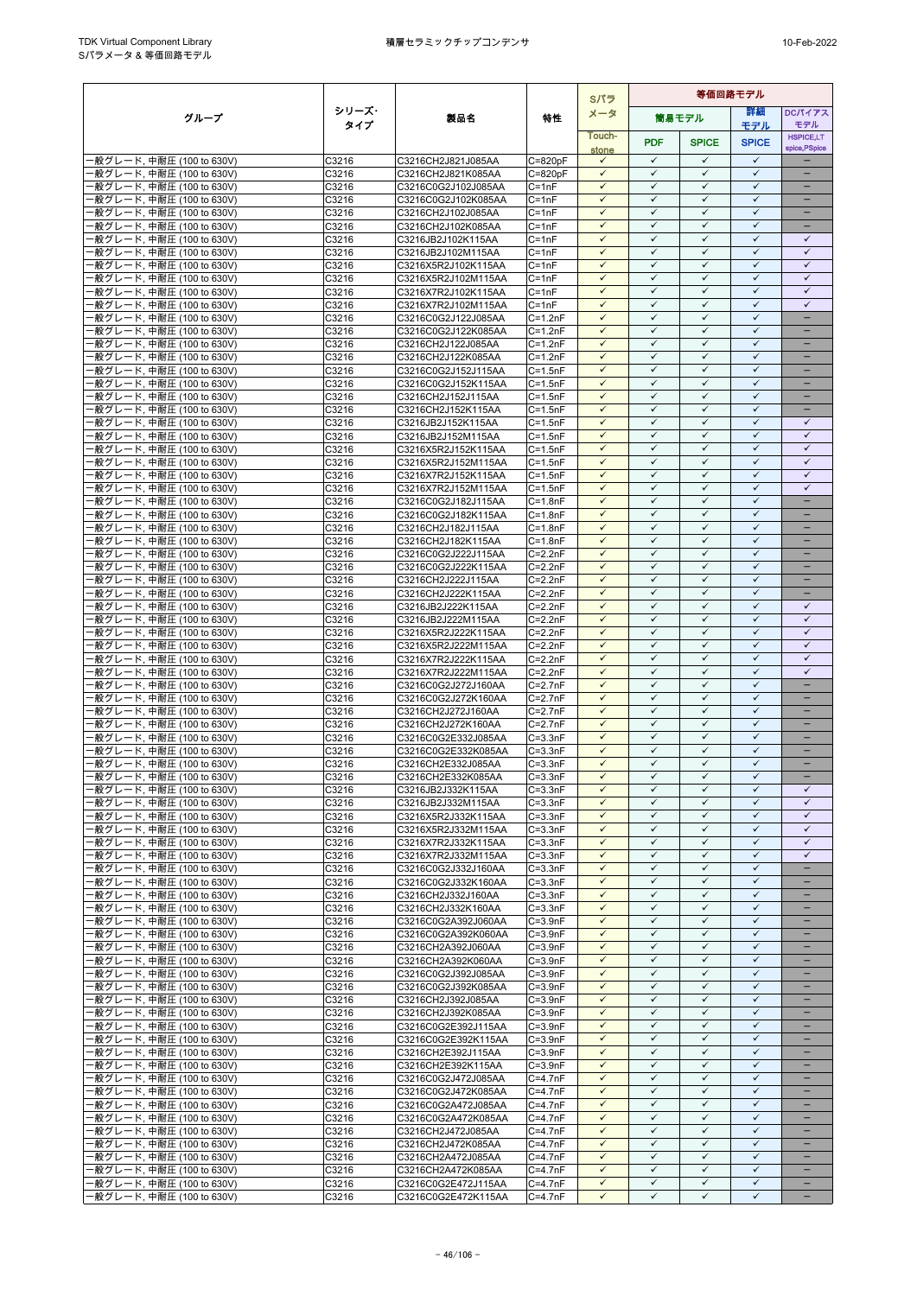|                                                        |                |                                            |                            | Sパラ                          |                              |                              |                              |                                   |
|--------------------------------------------------------|----------------|--------------------------------------------|----------------------------|------------------------------|------------------------------|------------------------------|------------------------------|-----------------------------------|
| グループ                                                   | シリーズ・          | 製品名                                        | 特性                         | メータ                          |                              | 筒易モデル                        | 詳細                           | DCパイアス                            |
|                                                        | タイプ            |                                            |                            | Touch-                       |                              |                              | モデル                          | モデル                               |
|                                                        |                |                                            |                            |                              | <b>PDF</b>                   | <b>SPICE</b>                 | <b>SPICE</b>                 | <b>HSPICE,LT</b><br>spice, PSpice |
| -般グレード, 中耐圧 (100 to 630V)                              | C3216          | C3216CH2J821J085AA                         | $C = 820pF$                | stone<br>$\checkmark$        | $\checkmark$                 | $\checkmark$                 | $\checkmark$                 |                                   |
| -般グレード, 中耐圧 (100 to 630V)                              | C3216          | C3216CH2J821K085AA                         | $C = 820pF$                | $\checkmark$                 | $\checkmark$                 | $\checkmark$                 | $\checkmark$                 |                                   |
| ·般グレード, 中耐圧 (100 to 630V)                              | C3216          | C3216C0G2J102J085AA                        | $C = 1nF$                  | $\checkmark$                 | $\checkmark$                 | $\checkmark$                 | $\checkmark$                 |                                   |
| ·般グレード, 中耐圧 (100 to 630V)                              | C3216          | C3216C0G2J102K085AA                        | $C = 1nF$                  | $\checkmark$                 | $\checkmark$                 | ✓                            | $\checkmark$                 | $\qquad \qquad -$                 |
| ·般グレード, 中耐圧 (100 to 630V)                              | C3216          | C3216CH2J102J085AA                         | $C = 1nF$                  | $\checkmark$                 | ✓                            | $\checkmark$                 | $\checkmark$                 | -                                 |
| ·般グレード, 中耐圧 (100 to 630V)                              | C3216          | C3216CH2J102K085AA                         | $C = 1nF$                  | $\checkmark$                 | $\checkmark$                 | $\checkmark$                 | $\checkmark$                 |                                   |
| ·般グレード, 中耐圧 (100 to 630V)                              | C3216          | C3216JB2J102K115AA                         | $C = 1nF$                  | $\checkmark$                 | $\checkmark$                 | $\checkmark$                 | $\checkmark$                 | $\checkmark$                      |
| ·般グレード, 中耐圧 (100 to 630V)                              | C3216          | C3216JB2J102M115AA                         | $C = 1nF$                  | $\checkmark$<br>$\checkmark$ | $\checkmark$<br>$\checkmark$ | $\checkmark$<br>$\checkmark$ | $\checkmark$<br>$\checkmark$ | $\checkmark$<br>$\checkmark$      |
| ·般グレード, 中耐圧 (100 to 630V)<br>·般グレード, 中耐圧 (100 to 630V) | C3216<br>C3216 | C3216X5R2J102K115AA<br>C3216X5R2J102M115AA | $C = 1nF$<br>$C = 1nF$     | $\checkmark$                 | $\checkmark$                 | $\checkmark$                 | $\checkmark$                 | $\checkmark$                      |
| ·般グレード, 中耐圧 (100 to 630V)                              | C3216          | C3216X7R2J102K115AA                        | $C = 1nF$                  | $\checkmark$                 | ✓                            | ✓                            | $\checkmark$                 | $\checkmark$                      |
| ·般グレード, 中耐圧 (100 to 630V)                              | C3216          | C3216X7R2J102M115AA                        | $C = 1nF$                  | $\checkmark$                 | $\checkmark$                 | $\checkmark$                 | $\checkmark$                 | $\checkmark$                      |
| ·般グレード, 中耐圧 (100 to 630V)                              | C3216          | C3216C0G2J122J085AA                        | $C = 1.2nF$                | $\checkmark$                 | $\checkmark$                 | $\checkmark$                 | $\checkmark$                 |                                   |
| ·般グレード, 中耐圧 (100 to 630V)                              | C3216          | C3216C0G2J122K085AA                        | $C=1.2nF$                  | $\checkmark$                 | $\checkmark$                 | $\checkmark$                 | $\checkmark$                 |                                   |
| ·般グレード, 中耐圧 (100 to 630V)                              | C3216          | C3216CH2J122J085AA                         | $C=1.2nF$                  | $\checkmark$                 | $\checkmark$                 | $\checkmark$                 | $\checkmark$                 | $\overline{\phantom{0}}$          |
| ·般グレード, 中耐圧 (100 to 630V)                              | C3216          | C3216CH2J122K085AA                         | $C=1.2nF$                  | $\checkmark$                 | $\checkmark$                 | $\checkmark$                 | $\checkmark$                 |                                   |
| ·般グレード, 中耐圧 (100 to 630V)                              | C3216          | C3216C0G2J152J115AA                        | $C = 1.5nF$                | $\checkmark$                 | ✓                            | $\checkmark$                 | $\checkmark$                 | $\overline{\phantom{0}}$          |
| ·般グレード, 中耐圧 (100 to 630V)                              | C3216          | C3216C0G2J152K115AA                        | $C = 1.5nF$                | $\checkmark$                 | $\checkmark$                 | $\checkmark$                 | $\checkmark$                 |                                   |
| ·般グレード, 中耐圧 (100 to 630V)                              | C3216          | C3216CH2J152J115AA                         | $C = 1.5nF$                | $\checkmark$<br>✓            | $\checkmark$<br>$\checkmark$ | $\checkmark$<br>✓            | $\checkmark$<br>$\checkmark$ |                                   |
| ·般グレード, 中耐圧 (100 to 630V)                              | C3216<br>C3216 | C3216CH2J152K115AA                         | $C = 1.5nF$<br>$C = 1.5nF$ | $\checkmark$                 | $\checkmark$                 | $\checkmark$                 | $\checkmark$                 | $\checkmark$                      |
| -般グレード, 中耐圧 (100 to 630V)<br>·般グレード, 中耐圧 (100 to 630V) | C3216          | C3216JB2J152K115AA<br>C3216JB2J152M115AA   | $C = 1.5nF$                | $\checkmark$                 | $\checkmark$                 | $\checkmark$                 | $\checkmark$                 | $\checkmark$                      |
| ·般グレード, 中耐圧 (100 to 630V)                              | C3216          | C3216X5R2J152K115AA                        | $C = 1.5nF$                | $\checkmark$                 | ✓                            | ✓                            | $\checkmark$                 | $\checkmark$                      |
| ·般グレード, 中耐圧 (100 to 630V)                              | C3216          | C3216X5R2J152M115AA                        | $C = 1.5nF$                | $\checkmark$                 | $\checkmark$                 | $\checkmark$                 | $\checkmark$                 | $\checkmark$                      |
| ·般グレード, 中耐圧 (100 to 630V)                              | C3216          | C3216X7R2J152K115AA                        | $C = 1.5nF$                | $\checkmark$                 | $\checkmark$                 | $\checkmark$                 | $\checkmark$                 | $\checkmark$                      |
| ·般グレード, 中耐圧 (100 to 630V)                              | C3216          | C3216X7R2J152M115AA                        | $C = 1.5nF$                | $\checkmark$                 | $\checkmark$                 | $\checkmark$                 | $\checkmark$                 | $\checkmark$                      |
| ·般グレード, 中耐圧 (100 to 630V)                              | C3216          | C3216C0G2J182J115AA                        | $C = 1.8nF$                | $\checkmark$                 | $\checkmark$                 | $\checkmark$                 | $\checkmark$                 | ÷                                 |
| ·般グレード, 中耐圧 (100 to 630V)                              | C3216          | C3216C0G2J182K115AA                        | $C = 1.8nF$                | $\checkmark$                 | $\checkmark$                 | $\checkmark$                 | $\checkmark$                 | $\equiv$                          |
| ·般グレード, 中耐圧 (100 to 630V)                              | C3216          | C3216CH2J182J115AA                         | $C = 1.8nF$                | $\checkmark$                 | $\checkmark$                 | $\checkmark$                 | $\checkmark$                 | $\qquad \qquad -$                 |
| ·般グレード, 中耐圧 (100 to 630V)                              | C3216          | C3216CH2J182K115AA                         | $C = 1.8nF$                | $\checkmark$                 | ✓                            | ✓                            | $\checkmark$                 |                                   |
| ·般グレード, 中耐圧 (100 to 630V)                              | C3216          | C3216C0G2J222J115AA                        | $C=2.2nF$                  | $\checkmark$                 | $\checkmark$                 | $\checkmark$                 | $\checkmark$                 | $\overline{\phantom{0}}$          |
| 般グレード, 中耐圧 (100 to 630V)                               | C3216          | C3216C0G2J222K115AA                        | $C=2.2nF$                  | $\checkmark$                 | $\checkmark$                 | $\checkmark$                 | $\checkmark$                 | ۳                                 |
| ·般グレード, 中耐圧 (100 to 630V)                              | C3216          | C3216CH2J222J115AA                         | $C=2.2nF$                  | $\checkmark$<br>$\checkmark$ | $\checkmark$<br>$\checkmark$ | ✓<br>$\checkmark$            | $\checkmark$<br>$\checkmark$ | $\qquad \qquad -$                 |
| -般グレード, 中耐圧 (100 to 630V)<br>·般グレード, 中耐圧 (100 to 630V) | C3216<br>C3216 | C3216CH2J222K115AA                         | $C=2.2nF$<br>$C=2.2nF$     | $\checkmark$                 | $\checkmark$                 | $\checkmark$                 | $\checkmark$                 | $\checkmark$                      |
| ·般グレード, 中耐圧 (100 to 630V)                              | C3216          | C3216JB2J222K115AA<br>C3216JB2J222M115AA   | $C = 2.2nF$                | $\checkmark$                 | $\checkmark$                 | $\checkmark$                 | $\checkmark$                 | $\checkmark$                      |
| ·般グレード, 中耐圧 (100 to 630V)                              | C3216          | C3216X5R2J222K115AA                        | $C=2.2nF$                  | $\checkmark$                 | $\checkmark$                 | $\checkmark$                 | $\checkmark$                 | $\checkmark$                      |
| ·般グレード, 中耐圧 (100 to 630V)                              | C3216          | C3216X5R2J222M115AA                        | $C=2.2nF$                  | $\checkmark$                 | $\checkmark$                 | $\checkmark$                 | $\checkmark$                 | $\checkmark$                      |
| ·般グレード, 中耐圧 (100 to 630V)                              | C3216          | C3216X7R2J222K115AA                        | $C = 2.2nF$                | ✓                            | $\checkmark$                 | $\checkmark$                 | $\checkmark$                 | $\checkmark$                      |
| -般グレード, 中耐圧 (100 to 630V)                              | C3216          | C3216X7R2J222M115AA                        | $C = 2.2nF$                | $\checkmark$                 | $\checkmark$                 | $\checkmark$                 | $\checkmark$                 | $\checkmark$                      |
| ·般グレード, 中耐圧 (100 to 630V)                              | C3216          | C3216C0G2J272J160AA                        | $C=2.7nF$                  | $\checkmark$                 | $\checkmark$                 | $\checkmark$                 | $\checkmark$                 | $-$                               |
| ·般グレード, 中耐圧 (100 to 630V)                              | C3216          | C3216C0G2J272K160AA                        | $C = 2.7nF$                | $\checkmark$                 | $\checkmark$                 | ✓                            | $\checkmark$                 | -                                 |
| -般グレード, 中耐圧 (100 to 630V)                              | C3216          | C3216CH2J272J160AA                         | $C = 2.7nF$                | $\checkmark$                 | $\checkmark$                 | $\checkmark$                 | $\checkmark$                 | $\equiv$                          |
| -般グレード, 中耐圧 (100 to 630V)                              | C3216          | C3216CH2J272K160AA                         | $C=2.7nF$                  | $\checkmark$                 | $\checkmark$                 | $\checkmark$                 | $\checkmark$                 |                                   |
| -般グレード, 中耐圧 (100 to 630V)                              | C3216          | C3216C0G2E332J085AA                        | $C = 3.3nF$                | $\checkmark$                 | $\checkmark$                 | $\checkmark$                 | $\checkmark$                 | ۳                                 |
| -般グレード, 中耐圧 (100 to 630V)                              | C3216          | C3216C0G2E332K085AA                        | $C = 3.3nF$                | $\checkmark$                 | $\checkmark$                 | $\checkmark$                 | $\checkmark$                 | ÷                                 |
| ·般グレード, 中耐圧 (100 to 630V)                              | C3216          | C3216CH2E332J085AA<br>C3216CH2E332K085AA   | $C = 3.3nF$<br>$C = 3.3nF$ | $\checkmark$<br>$\checkmark$ | $\checkmark$<br>$\checkmark$ | $\checkmark$<br>$\checkmark$ | $\checkmark$<br>$\checkmark$ |                                   |
| ·般グレード, 中耐圧 (100 to 630V)<br>-般グレード, 中耐圧 (100 to 630V) | C3216<br>C3216 | C3216JB2J332K115AA                         | $C = 3.3nF$                | $\checkmark$                 | $\checkmark$                 | $\checkmark$                 | $\checkmark$                 | -<br>$\checkmark$                 |
| -般グレード, 中耐圧 (100 to 630V)                              | C3216          | C3216JB2J332M115AA                         | $C = 3.3nF$                | $\checkmark$                 | $\checkmark$                 | $\checkmark$                 | $\checkmark$                 | $\checkmark$                      |
| ·般グレード, 中耐圧 (100 to 630V)                              | C3216          | C3216X5R2J332K115AA                        | $C = 3.3nF$                | $\checkmark$                 | $\checkmark$                 | $\checkmark$                 | $\checkmark$                 | $\checkmark$                      |
| -般グレード, 中耐圧 (100 to 630V)                              | C3216          | C3216X5R2J332M115AA                        | $C = 3.3nF$                | $\checkmark$                 | $\checkmark$                 | $\checkmark$                 | $\checkmark$                 | $\checkmark$                      |
| -般グレード, 中耐圧 (100 to 630V)                              | C3216          | C3216X7R2J332K115AA                        | $C = 3.3nF$                | $\checkmark$                 | $\checkmark$                 | $\checkmark$                 | $\checkmark$                 | $\checkmark$                      |
| -般グレード, 中耐圧 (100 to 630V)                              | C3216          | C3216X7R2J332M115AA                        | $C = 3.3nF$                | $\checkmark$                 | $\checkmark$                 | $\checkmark$                 | $\checkmark$                 | $\checkmark$                      |
| -般グレード, 中耐圧 (100 to 630V)                              | C3216          | C3216C0G2J332J160AA                        | $C = 3.3nF$                | $\checkmark$                 | $\checkmark$                 | $\checkmark$                 | $\checkmark$                 | -                                 |
| -般グレード, 中耐圧 (100 to 630V)                              | C3216          | C3216C0G2J332K160AA                        | $C = 3.3nF$                | $\checkmark$                 | $\checkmark$                 | $\checkmark$                 | $\checkmark$                 |                                   |
| -般グレード, 中耐圧 (100 to 630V)                              | C3216          | C3216CH2J332J160AA                         | $C = 3.3nF$                | $\checkmark$                 | $\checkmark$                 | $\checkmark$                 | $\checkmark$                 |                                   |
| ·般グレード, 中耐圧 (100 to 630V)                              | C3216          | C3216CH2J332K160AA                         | $C = 3.3nF$                | ✓                            | $\checkmark$                 | $\checkmark$                 | $\checkmark$                 |                                   |
| -般グレード, 中耐圧 (100 to 630V)                              | C3216          | C3216C0G2A392J060AA                        | $C = 3.9nF$                | $\checkmark$<br>$\checkmark$ | $\checkmark$<br>$\checkmark$ | $\checkmark$<br>$\checkmark$ | $\checkmark$<br>$\checkmark$ | $\equiv$                          |
| ·般グレード, 中耐圧 (100 to 630V)<br>-般グレード, 中耐圧 (100 to 630V) | C3216<br>C3216 | C3216C0G2A392K060AA<br>C3216CH2A392J060AA  | $C = 3.9nF$<br>$C = 3.9nF$ | $\checkmark$                 | ✓                            | ✓                            | ✓                            | -                                 |
| ·般グレード, 中耐圧 (100 to 630V)                              | C3216          | C3216CH2A392K060AA                         | $C = 3.9nF$                | $\checkmark$                 | $\checkmark$                 | $\checkmark$                 | $\checkmark$                 | -                                 |
| ·般グレード, 中耐圧 (100 to 630V)                              | C3216          | C3216C0G2J392J085AA                        | $C = 3.9nF$                | $\checkmark$                 | $\checkmark$                 | $\checkmark$                 | $\checkmark$                 |                                   |
| ·般グレード, 中耐圧 (100 to 630V)                              | C3216          | C3216C0G2J392K085AA                        | $C = 3.9nF$                | $\checkmark$                 | $\checkmark$                 | ✓                            | $\checkmark$                 |                                   |
| -般グレード, 中耐圧 (100 to 630V)                              | C3216          | C3216CH2J392J085AA                         | $C = 3.9nF$                | $\checkmark$                 | $\checkmark$                 | $\checkmark$                 | $\checkmark$                 | $\overline{\phantom{0}}$          |
| ·般グレード, 中耐圧 (100 to 630V)                              | C3216          | C3216CH2J392K085AA                         | $C = 3.9nF$                | $\checkmark$                 | $\checkmark$                 | ✓                            | $\checkmark$                 |                                   |
| ·般グレード, 中耐圧 (100 to 630V)                              | C3216          | C3216C0G2E392J115AA                        | $C = 3.9nF$                | $\checkmark$                 | $\checkmark$                 | $\checkmark$                 | $\checkmark$                 | -                                 |
| ·般グレード, 中耐圧 (100 to 630V)                              | C3216          | C3216C0G2E392K115AA                        | $C = 3.9nF$                | $\checkmark$                 | $\checkmark$                 | $\checkmark$                 | $\checkmark$                 |                                   |
| ·般グレード, 中耐圧 (100 to 630V)                              | C3216          | C3216CH2E392J115AA                         | $C = 3.9nF$                | $\checkmark$                 | $\checkmark$                 | $\checkmark$                 | $\checkmark$                 | -                                 |
| ·般グレード, 中耐圧 (100 to 630V)                              | C3216          | C3216CH2E392K115AA                         | $C = 3.9nF$                | $\checkmark$                 | $\checkmark$                 | $\checkmark$                 | $\checkmark$                 |                                   |
| -般グレード, 中耐圧 (100 to 630V)                              | C3216          | C3216C0G2J472J085AA                        | $C=4.7nF$                  | $\checkmark$<br>$\checkmark$ | $\checkmark$<br>$\checkmark$ | $\checkmark$                 | $\checkmark$<br>$\checkmark$ |                                   |
| ·般グレード, 中耐圧 (100 to 630V)                              | C3216          | C3216C0G2J472K085AA                        | $C=4.7nF$                  | $\checkmark$                 | $\checkmark$                 | $\checkmark$<br>$\checkmark$ | $\checkmark$                 | $\qquad \qquad -$                 |
| ·般グレード, 中耐圧 (100 to 630V)<br>·般グレード, 中耐圧 (100 to 630V) | C3216<br>C3216 | C3216C0G2A472J085AA<br>C3216C0G2A472K085AA | $C=4.7nF$<br>$C=4.7nF$     | $\checkmark$                 | ✓                            | $\checkmark$                 | ✓                            | -                                 |
| -般グレード, 中耐圧 (100 to 630V)                              | C3216          | C3216CH2J472J085AA                         | $C=4.7nF$                  | $\checkmark$                 | $\checkmark$                 | $\checkmark$                 | $\checkmark$                 |                                   |
| -般グレード, 中耐圧 (100 to 630V)                              | C3216          | C3216CH2J472K085AA                         | $C=4.7nF$                  | $\checkmark$                 | $\checkmark$                 | $\checkmark$                 | $\checkmark$                 | ÷                                 |
| ·般グレード, 中耐圧 (100 to 630V)                              | C3216          | C3216CH2A472J085AA                         | $C=4.7nF$                  | ✓                            | $\checkmark$                 | $\checkmark$                 | $\checkmark$                 |                                   |
| -般グレード, 中耐圧 (100 to 630V)                              | C3216          | C3216CH2A472K085AA                         | $C=4.7nF$                  | $\checkmark$                 | $\checkmark$                 | $\checkmark$                 | $\checkmark$                 | $\overline{\phantom{0}}$          |
| -般グレード, 中耐圧 (100 to 630V)                              | C3216          | C3216C0G2E472J115AA                        | $C=4.7nF$                  | $\checkmark$                 | $\checkmark$                 | $\checkmark$                 | $\checkmark$                 | -                                 |
| - 般グレード, 中耐圧 (100 to 630V)                             | C3216          | C3216C0G2E472K115AA                        | $C=4.7nF$                  | $\checkmark$                 | $\checkmark$                 | $\checkmark$                 | $\checkmark$                 |                                   |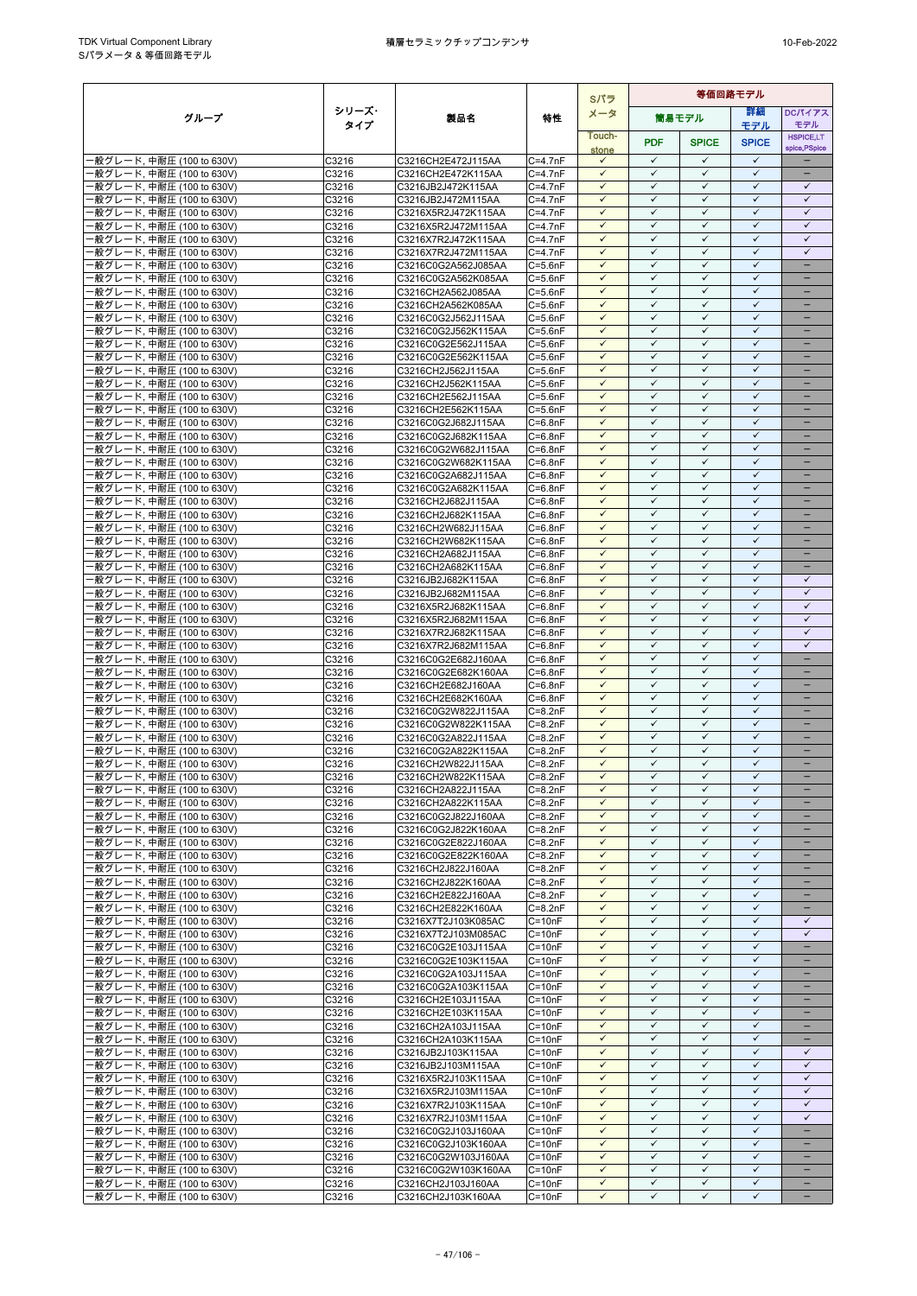|                                                        |                |                                            |                            | Sパラ                          |                              |                              | 等価回路モデル                      |                                      |  |  |
|--------------------------------------------------------|----------------|--------------------------------------------|----------------------------|------------------------------|------------------------------|------------------------------|------------------------------|--------------------------------------|--|--|
| グループ                                                   | シリーズ・          | 製品名                                        | 特性                         | メータ                          |                              | 筒易モデル                        | 詳細                           | DCパイアス                               |  |  |
|                                                        | タイプ            |                                            |                            | Touch-                       |                              |                              | モデル                          | モデル<br><b>HSPICE,LT</b>              |  |  |
|                                                        |                |                                            |                            | stone                        | <b>PDF</b>                   | <b>SPICE</b>                 | <b>SPICE</b>                 | spice, PSpice                        |  |  |
| -般グレード, 中耐圧 (100 to 630V)                              | C3216          | C3216CH2E472J115AA                         | $C=4.7nF$                  | $\checkmark$                 | $\checkmark$                 | $\checkmark$                 | $\checkmark$                 |                                      |  |  |
| -般グレード, 中耐圧 (100 to 630V)                              | C3216          | C3216CH2E472K115AA                         | $C=4.7nF$                  | $\checkmark$                 | $\checkmark$                 | $\checkmark$                 | $\checkmark$                 |                                      |  |  |
| ·般グレード, 中耐圧 (100 to 630V)                              | C3216          | C3216JB2J472K115AA                         | $C=4.7nF$                  | $\checkmark$                 | $\checkmark$<br>$\checkmark$ | $\checkmark$                 | $\checkmark$<br>$\checkmark$ | $\checkmark$<br>$\checkmark$         |  |  |
| -般グレード, 中耐圧 (100 to 630V)<br>·般グレード, 中耐圧 (100 to 630V) | C3216<br>C3216 | C3216JB2J472M115AA<br>C3216X5R2J472K115AA  | $C=4.7nF$<br>$C=4.7nF$     | $\checkmark$<br>$\checkmark$ | ✓                            | ✓<br>$\checkmark$            | $\checkmark$                 | $\checkmark$                         |  |  |
| ·般グレード, 中耐圧 (100 to 630V)                              | C3216          | C3216X5R2J472M115AA                        | $C = 4.7nF$                | $\checkmark$                 | $\checkmark$                 | $\checkmark$                 | $\checkmark$                 | $\checkmark$                         |  |  |
| ·般グレード, 中耐圧 (100 to 630V)                              | C3216          | C3216X7R2J472K115AA                        | $C=4.7nF$                  | $\checkmark$                 | $\checkmark$                 | $\checkmark$                 | $\checkmark$                 | $\checkmark$                         |  |  |
| ·般グレード, 中耐圧 (100 to 630V)                              | C3216          | C3216X7R2J472M115AA                        | $C = 4.7nF$                | $\checkmark$                 | $\checkmark$                 | $\checkmark$                 | $\checkmark$                 | $\checkmark$                         |  |  |
| ·般グレード, 中耐圧 (100 to 630V)                              | C3216          | C3216C0G2A562J085AA                        | $C = 5.6nF$                | $\checkmark$                 | $\checkmark$                 | ✓                            | $\checkmark$                 | $\overline{\phantom{0}}$             |  |  |
| ·般グレード, 中耐圧 (100 to 630V)                              | C3216          | C3216C0G2A562K085AA                        | $C = 5.6nF$                | $\checkmark$                 | $\checkmark$                 | $\checkmark$                 | $\checkmark$                 | $\qquad \qquad -$                    |  |  |
| ·般グレード, 中耐圧 (100 to 630V)<br>·般グレード, 中耐圧 (100 to 630V) | C3216<br>C3216 | C3216CH2A562J085AA<br>C3216CH2A562K085AA   | $C = 5.6nF$<br>$C = 5.6nF$ | $\checkmark$<br>$\checkmark$ | ✓<br>$\checkmark$            | ✓<br>$\checkmark$            | $\checkmark$<br>$\checkmark$ |                                      |  |  |
| ·般グレード, 中耐圧 (100 to 630V)                              | C3216          | C3216C0G2J562J115AA                        | $C = 5.6nF$                | $\checkmark$                 | $\checkmark$                 | $\checkmark$                 | $\checkmark$                 |                                      |  |  |
| ·般グレード, 中耐圧 (100 to 630V)                              | C3216          | C3216C0G2J562K115AA                        | $C = 5.6nF$                | $\checkmark$                 | $\checkmark$                 | $\checkmark$                 | $\checkmark$                 |                                      |  |  |
| ·般グレード, 中耐圧 (100 to 630V)                              | C3216          | C3216C0G2E562J115AA                        | $C = 5.6nF$                | $\checkmark$                 | $\checkmark$                 | $\checkmark$                 | $\checkmark$                 | $\overline{\phantom{0}}$             |  |  |
| ·般グレード, 中耐圧 (100 to 630V)                              | C3216          | C3216C0G2E562K115AA                        | $C = 5.6nF$                | $\checkmark$                 | $\checkmark$                 | $\checkmark$                 | $\checkmark$                 |                                      |  |  |
| ·般グレード, 中耐圧 (100 to 630V)                              | C3216          | C3216CH2J562J115AA                         | $C = 5.6nF$                | $\checkmark$                 | ✓                            | $\checkmark$                 | $\checkmark$                 | $\overline{\phantom{0}}$             |  |  |
| ·般グレード, 中耐圧 (100 to 630V)<br>·般グレード, 中耐圧 (100 to 630V) | C3216<br>C3216 | C3216CH2J562K115AA<br>C3216CH2E562J115AA   | $C = 5.6nF$<br>$C = 5.6nF$ | $\checkmark$<br>$\checkmark$ | $\checkmark$<br>$\checkmark$ | $\checkmark$<br>$\checkmark$ | $\checkmark$<br>$\checkmark$ |                                      |  |  |
| ·般グレード, 中耐圧 (100 to 630V)                              | C3216          | C3216CH2E562K115AA                         | $C = 5.6nF$                | ✓                            | $\checkmark$                 | ✓                            | $\checkmark$                 |                                      |  |  |
| -般グレード, 中耐圧 (100 to 630V)                              | C3216          | C3216C0G2J682J115AA                        | $C = 6.8nF$                | $\checkmark$                 | $\checkmark$                 | $\checkmark$                 | $\checkmark$                 | $\equiv$                             |  |  |
| ·般グレード, 中耐圧 (100 to 630V)                              | C3216          | C3216C0G2J682K115AA                        | $C=6.8nF$                  | $\checkmark$                 | $\checkmark$                 | $\checkmark$                 | $\checkmark$                 | -                                    |  |  |
| ·般グレード, 中耐圧 (100 to 630V)                              | C3216          | C3216C0G2W682J115AA                        | $C = 6.8nF$                | $\checkmark$                 | ✓                            | ✓                            | $\checkmark$                 | $\overline{\phantom{0}}$             |  |  |
| ·般グレード. 中耐圧 (100 to 630V)                              | C3216          | C3216C0G2W682K115AA                        | $C=6.8nF$                  | $\checkmark$                 | $\checkmark$                 | $\checkmark$                 | $\checkmark$                 | -                                    |  |  |
| ·般グレード, 中耐圧 (100 to 630V)<br>·般グレード, 中耐圧 (100 to 630V) | C3216<br>C3216 | C3216C0G2A682J115AA<br>C3216C0G2A682K115AA | $C=6.8nF$<br>$C=6.8nF$     | $\checkmark$<br>$\checkmark$ | $\checkmark$<br>$\checkmark$ | $\checkmark$<br>$\checkmark$ | $\checkmark$<br>$\checkmark$ | ۳                                    |  |  |
| ·般グレード, 中耐圧 (100 to 630V)                              | C3216          | C3216CH2J682J115AA                         | $C=6.8nF$                  | $\checkmark$                 | $\checkmark$                 | $\checkmark$                 | $\checkmark$                 | -                                    |  |  |
| ·般グレード, 中耐圧 (100 to 630V)                              | C3216          | C3216CH2J682K115AA                         | $C=6.8nF$                  | $\checkmark$                 | $\checkmark$                 | $\checkmark$                 | $\checkmark$                 | $\equiv$                             |  |  |
| ·般グレード, 中耐圧 (100 to 630V)                              | C3216          | C3216CH2W682J115AA                         | $C = 6.8nF$                | $\checkmark$                 | $\checkmark$                 | $\checkmark$                 | $\checkmark$                 | $\qquad \qquad -$                    |  |  |
| ·般グレード, 中耐圧 (100 to 630V)                              | C3216          | C3216CH2W682K115AA                         | $C=6.8nF$                  | $\checkmark$                 | ✓                            | ✓                            | $\checkmark$                 |                                      |  |  |
| ·般グレード, 中耐圧 (100 to 630V)                              | C3216          | C3216CH2A682J115AA                         | $C=6.8nF$                  | $\checkmark$                 | $\checkmark$                 | $\checkmark$                 | $\checkmark$                 | $\overline{\phantom{0}}$             |  |  |
| ·般グレード, 中耐圧 (100 to 630V)                              | C3216<br>C3216 | C3216CH2A682K115AA<br>C3216JB2J682K115AA   | $C = 6.8nF$<br>$C=6.8nF$   | $\checkmark$<br>$\checkmark$ | $\checkmark$<br>$\checkmark$ | $\checkmark$<br>✓            | $\checkmark$<br>$\checkmark$ | ۳<br>$\checkmark$                    |  |  |
| ·般グレード, 中耐圧 (100 to 630V)<br>-般グレード, 中耐圧 (100 to 630V) | C3216          | C3216JB2J682M115AA                         | $C=6.8nF$                  | $\checkmark$                 | $\checkmark$                 | $\checkmark$                 | $\checkmark$                 | $\checkmark$                         |  |  |
| ·般グレード, 中耐圧 (100 to 630V)                              | C3216          | C3216X5R2J682K115AA                        | $C=6.8nF$                  | $\checkmark$                 | $\checkmark$                 | $\checkmark$                 | $\checkmark$                 | $\checkmark$                         |  |  |
| ·般グレード, 中耐圧 (100 to 630V)                              | C3216          | C3216X5R2J682M115AA                        | $C=6.8nF$                  | $\checkmark$                 | ✓                            | $\checkmark$                 | $\checkmark$                 | $\checkmark$                         |  |  |
| ·般グレード, 中耐圧 (100 to 630V)                              | C3216          | C3216X7R2J682K115AA                        | $C=6.8nF$                  | $\checkmark$                 | $\checkmark$                 | $\checkmark$                 | $\checkmark$                 | $\checkmark$                         |  |  |
| ·般グレード, 中耐圧 (100 to 630V)                              | C3216          | C3216X7R2J682M115AA                        | $C=6.8nF$                  | $\checkmark$                 | $\checkmark$                 | $\checkmark$                 | $\checkmark$                 | $\checkmark$                         |  |  |
| ·般グレード, 中耐圧 (100 to 630V)                              | C3216          | C3216C0G2E682J160AA                        | $C = 6.8nF$                | ✓<br>$\checkmark$            | $\checkmark$<br>$\checkmark$ | $\checkmark$<br>$\checkmark$ | $\checkmark$<br>$\checkmark$ | $\equiv$<br>$\overline{\phantom{0}}$ |  |  |
| -般グレード, 中耐圧 (100 to 630V)<br>·般グレード, 中耐圧 (100 to 630V) | C3216<br>C3216 | C3216C0G2E682K160AA<br>C3216CH2E682J160AA  | $C = 6.8nF$<br>$C=6.8nF$   | $\checkmark$                 | $\checkmark$                 | $\checkmark$                 | $\checkmark$                 | $\qquad \qquad -$                    |  |  |
| ·般グレード, 中耐圧 (100 to 630V)                              | C3216          | C3216CH2E682K160AA                         | $C = 6.8nF$                | $\checkmark$                 | $\checkmark$                 | ✓                            | $\checkmark$                 | -                                    |  |  |
| -般グレード, 中耐圧 (100 to 630V)                              | C3216          | C3216C0G2W822J115AA                        | $C = 8.2nF$                | $\checkmark$                 | $\checkmark$                 | $\checkmark$                 | $\checkmark$                 | $\equiv$                             |  |  |
| ·般グレード, 中耐圧 (100 to 630V)                              | C3216          | C3216C0G2W822K115AA                        | $C=8.2nF$                  | $\checkmark$                 | $\checkmark$                 | $\checkmark$                 | $\checkmark$                 |                                      |  |  |
| -般グレード, 中耐圧 (100 to 630V)                              | C3216          | C3216C0G2A822J115AA                        | $C = 8.2nF$                | $\checkmark$                 | $\checkmark$                 | $\checkmark$                 | $\checkmark$                 | ۳                                    |  |  |
| -般グレード, 中耐圧 (100 to 630V)                              | C3216          | C3216C0G2A822K115AA                        | $C = 8.2nF$                | $\checkmark$                 | $\checkmark$<br>$\checkmark$ | $\checkmark$<br>$\checkmark$ | $\checkmark$<br>$\checkmark$ | ÷                                    |  |  |
| ·般グレード, 中耐圧 (100 to 630V)<br>·般グレード, 中耐圧 (100 to 630V) | C3216<br>C3216 | C3216CH2W822J115AA<br>C3216CH2W822K115AA   | $C=8.2nF$<br>$C = 8.2nF$   | $\checkmark$<br>$\checkmark$ | $\checkmark$                 | $\checkmark$                 | $\checkmark$                 | -                                    |  |  |
| -般グレード, 中耐圧 (100 to 630V)                              | C3216          | C3216CH2A822J115AA                         | $C = 8.2nF$                | $\checkmark$                 | $\checkmark$                 | $\checkmark$                 | $\checkmark$                 |                                      |  |  |
| -般グレード, 中耐圧 (100 to 630V)                              | C3216          | C3216CH2A822K115AA                         | $C=8.2nF$                  | $\checkmark$                 | $\checkmark$                 | $\checkmark$                 | $\checkmark$                 |                                      |  |  |
| ·般グレード, 中耐圧 (100 to 630V)                              | C3216          | C3216C0G2J822J160AA                        | $C = 8.2nF$                | $\checkmark$                 | $\checkmark$                 | $\checkmark$                 | $\checkmark$                 |                                      |  |  |
| -般グレード, 中耐圧 (100 to 630V)                              | C3216          | C3216C0G2J822K160AA                        | $C = 8.2nF$                | $\checkmark$                 | $\checkmark$                 | $\checkmark$                 | $\checkmark$                 |                                      |  |  |
| -般グレード, 中耐圧 (100 to 630V)                              | C3216          | C3216C0G2E822J160AA                        | $C = 8.2nF$                | $\checkmark$                 | $\checkmark$                 | $\checkmark$                 | $\checkmark$                 |                                      |  |  |
| -般グレード, 中耐圧 (100 to 630V)<br>-般グレード, 中耐圧 (100 to 630V) | C3216<br>C3216 | C3216C0G2E822K160AA<br>C3216CH2J822J160AA  | $C = 8.2nF$<br>$C = 8.2nF$ | $\checkmark$<br>$\checkmark$ | $\checkmark$<br>✓            | $\checkmark$<br>$\checkmark$ | $\checkmark$<br>$\checkmark$ | $\qquad \qquad -$                    |  |  |
| -般グレード, 中耐圧 (100 to 630V)                              | C3216          | C3216CH2J822K160AA                         | $C = 8.2nF$                | $\checkmark$                 | $\checkmark$                 | $\checkmark$                 | $\checkmark$                 |                                      |  |  |
| ·般グレード, 中耐圧 (100 to 630V)                              | C3216          | C3216CH2E822J160AA                         | $C = 8.2nF$                | $\checkmark$                 | $\checkmark$                 | $\checkmark$                 | $\checkmark$                 |                                      |  |  |
| ·般グレード, 中耐圧 (100 to 630V)                              | C3216          | C3216CH2E822K160AA                         | $C = 8.2nF$                | ✓                            | $\checkmark$                 | $\checkmark$                 | $\checkmark$                 |                                      |  |  |
| -般グレード, 中耐圧 (100 to 630V)                              | C3216          | C3216X7T2J103K085AC                        | $C = 10nF$                 | $\checkmark$                 | $\checkmark$                 | $\checkmark$                 | $\checkmark$                 | $\checkmark$                         |  |  |
| ·般グレード, 中耐圧 (100 to 630V)                              | C3216          | C3216X7T2J103M085AC                        | $C = 10nF$                 | $\checkmark$                 | $\checkmark$                 | $\checkmark$                 | $\checkmark$                 | $\checkmark$                         |  |  |
| -般グレード, 中耐圧 (100 to 630V)<br>·般グレード, 中耐圧 (100 to 630V) | C3216<br>C3216 | C3216C0G2E103J115AA<br>C3216C0G2E103K115AA | $C = 10nF$<br>$C = 10nF$   | $\checkmark$<br>$\checkmark$ | ✓<br>$\checkmark$            | ✓<br>$\checkmark$            | ✓<br>$\checkmark$            | -                                    |  |  |
| ·般グレード, 中耐圧 (100 to 630V)                              | C3216          | C3216C0G2A103J115AA                        | $C = 10nF$                 | $\checkmark$                 | $\checkmark$                 | $\checkmark$                 | $\checkmark$                 |                                      |  |  |
| ·般グレード, 中耐圧 (100 to 630V)                              | C3216          | C3216C0G2A103K115AA                        | $C = 10nF$                 | $\checkmark$                 | $\checkmark$                 | ✓                            | $\checkmark$                 |                                      |  |  |
| -般グレード, 中耐圧 (100 to 630V)                              | C3216          | C3216CH2E103J115AA                         | $C = 10nF$                 | $\checkmark$                 | $\checkmark$                 | $\checkmark$                 | $\checkmark$                 | $\overline{\phantom{0}}$             |  |  |
| ·般グレード, 中耐圧 (100 to 630V)                              | C3216          | C3216CH2E103K115AA                         | $C = 10nF$                 | $\checkmark$                 | $\checkmark$                 | ✓                            | $\checkmark$                 |                                      |  |  |
| ·般グレード, 中耐圧 (100 to 630V)                              | C3216          | C3216CH2A103J115AA                         | $C = 10nF$                 | $\checkmark$                 | $\checkmark$                 | $\checkmark$                 | $\checkmark$                 | -                                    |  |  |
| ·般グレード, 中耐圧 (100 to 630V)<br>·般グレード, 中耐圧 (100 to 630V) | C3216<br>C3216 | C3216CH2A103K115AA<br>C3216JB2J103K115AA   | $C = 10nF$<br>$C = 10nF$   | $\checkmark$<br>$\checkmark$ | $\checkmark$<br>$\checkmark$ | $\checkmark$<br>$\checkmark$ | $\checkmark$<br>$\checkmark$ | $\checkmark$                         |  |  |
| ·般グレード, 中耐圧 (100 to 630V)                              | C3216          | C3216JB2J103M115AA                         | $C = 10nF$                 | $\checkmark$                 | $\checkmark$                 | $\checkmark$                 | $\checkmark$                 | $\checkmark$                         |  |  |
| -般グレード, 中耐圧 (100 to 630V)                              | C3216          | C3216X5R2J103K115AA                        | $C = 10nF$                 | $\checkmark$                 | $\checkmark$                 | $\checkmark$                 | $\checkmark$                 | $\checkmark$                         |  |  |
| ·般グレード, 中耐圧 (100 to 630V)                              | C3216          | C3216X5R2J103M115AA                        | $C = 10nF$                 | $\checkmark$                 | $\checkmark$                 | $\checkmark$                 | $\checkmark$                 | $\checkmark$                         |  |  |
| ·般グレード, 中耐圧 (100 to 630V)                              | C3216          | C3216X7R2J103K115AA                        | $C = 10nF$                 | $\checkmark$                 | $\checkmark$                 | $\checkmark$                 | $\checkmark$                 | $\checkmark$                         |  |  |
| ·般グレード, 中耐圧 (100 to 630V)                              | C3216          | C3216X7R2J103M115AA                        | $C = 10nF$                 | $\checkmark$                 | ✓                            | $\checkmark$                 | $\checkmark$                 | $\checkmark$                         |  |  |
| -般グレード, 中耐圧 (100 to 630V)<br>·般グレード, 中耐圧 (100 to 630V) | C3216<br>C3216 | C3216C0G2J103J160AA<br>C3216C0G2J103K160AA | $C = 10nF$<br>$C = 10nF$   | $\checkmark$<br>$\checkmark$ | $\checkmark$<br>$\checkmark$ | $\checkmark$<br>$\checkmark$ | $\checkmark$<br>$\checkmark$ | ÷                                    |  |  |
| ·般グレード, 中耐圧 (100 to 630V)                              | C3216          | C3216C0G2W103J160AA                        | $C = 10nF$                 | ✓                            | $\checkmark$                 | $\checkmark$                 | $\checkmark$                 |                                      |  |  |
| -般グレード, 中耐圧 (100 to 630V)                              | C3216          | C3216C0G2W103K160AA                        | $C = 10nF$                 | $\checkmark$                 | $\checkmark$                 | $\checkmark$                 | $\checkmark$                 | $\overline{\phantom{0}}$             |  |  |
| -般グレード, 中耐圧 (100 to 630V)                              | C3216          | C3216CH2J103J160AA                         | $C = 10nF$                 | $\checkmark$                 | $\checkmark$                 | $\checkmark$                 | $\checkmark$                 | -                                    |  |  |
| - 般グレード, 中耐圧 (100 to 630V)                             | C3216          | C3216CH2J103K160AA                         | $C = 10nF$                 | $\checkmark$                 | $\checkmark$                 | $\checkmark$                 | $\checkmark$                 |                                      |  |  |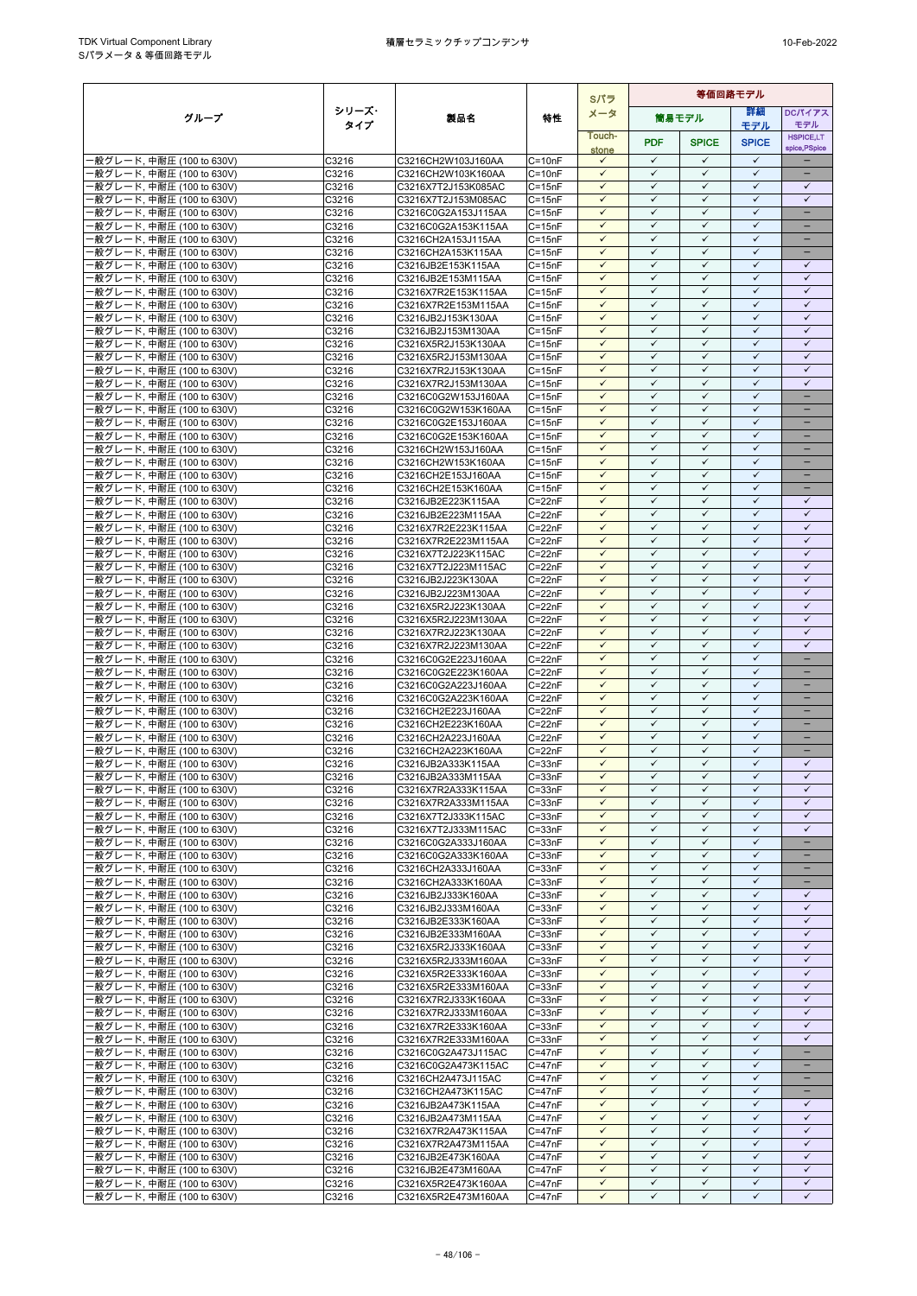|                                                        |                |                                            |                          | Sパラ                          | 等価回路モデル                      |                              |                              |                               |
|--------------------------------------------------------|----------------|--------------------------------------------|--------------------------|------------------------------|------------------------------|------------------------------|------------------------------|-------------------------------|
| グループ                                                   | シリーズ・          | 製品名                                        | 特性                       | メータ                          |                              | 筒易モデル                        | 等細                           | <b>DCパイアス</b>                 |
|                                                        | タイプ            |                                            |                          | Touch-                       |                              |                              | モデル                          | モデル<br><b>HSPICE,LT</b>       |
|                                                        |                |                                            |                          | stone                        | <b>PDF</b>                   | <b>SPICE</b>                 | <b>SPICE</b>                 | spice, PSpice                 |
| ·般グレード, 中耐圧 (100 to 630V)                              | C3216          | C3216CH2W103J160AA                         | $C = 10nF$               | $\checkmark$                 | $\checkmark$                 | $\checkmark$                 | $\checkmark$                 |                               |
| ·般グレード, 中耐圧 (100 to 630V)<br>·般グレード, 中耐圧 (100 to 630V) | C3216<br>C3216 | C3216CH2W103K160AA<br>C3216X7T2J153K085AC  | $C = 10nF$<br>$C = 15nF$ | $\checkmark$<br>$\checkmark$ | $\checkmark$<br>$\checkmark$ | $\checkmark$<br>$\checkmark$ | $\checkmark$<br>$\checkmark$ | ÷<br>$\checkmark$             |
| ·般グレード, 中耐圧 (100 to 630V)                              | C3216          | C3216X7T2J153M085AC                        | $C = 15nF$               | $\checkmark$                 | $\checkmark$                 | ✓                            | $\checkmark$                 | $\checkmark$                  |
| ·般グレード, 中耐圧 (100 to 630V)                              | C3216          | C3216C0G2A153J115AA                        | $C = 15nF$               | $\checkmark$                 | $\checkmark$                 | $\checkmark$                 | $\checkmark$                 | $\overline{\phantom{a}}$      |
| ·般グレード, 中耐圧 (100 to 630V)                              | C3216          | C3216C0G2A153K115AA                        | $C = 15nF$               | $\checkmark$                 | $\checkmark$                 | $\checkmark$                 | $\checkmark$                 |                               |
| ·般グレード, 中耐圧 (100 to 630V)                              | C3216          | C3216CH2A153J115AA                         | $C = 15nF$               | $\checkmark$                 | $\checkmark$                 | $\checkmark$                 | $\checkmark$                 |                               |
| ·般グレード, 中耐圧 (100 to 630V)<br>·般グレード, 中耐圧 (100 to 630V) | C3216<br>C3216 | C3216CH2A153K115AA<br>C3216JB2E153K115AA   | $C = 15nF$               | $\checkmark$<br>$\checkmark$ | $\checkmark$<br>$\checkmark$ | $\checkmark$<br>$\checkmark$ | $\checkmark$<br>$\checkmark$ | $\equiv$<br>$\checkmark$      |
| ·般グレード, 中耐圧 (100 to 630V)                              | C3216          | C3216JB2E153M115AA                         | $C = 15nF$<br>$C = 15nF$ | $\checkmark$                 | $\checkmark$                 | $\checkmark$                 | $\checkmark$                 | $\checkmark$                  |
| -般グレード, 中耐圧 (100 to 630V)                              | C3216          | C3216X7R2E153K115AA                        | $C = 15nF$               | $\checkmark$                 | $\checkmark$                 | $\checkmark$                 | $\checkmark$                 | $\checkmark$                  |
| ·般グレード, 中耐圧 (100 to 630V)                              | C3216          | C3216X7R2E153M115AA                        | $C = 15nF$               | $\checkmark$                 | $\checkmark$                 | $\checkmark$                 | $\checkmark$                 | $\checkmark$                  |
| ·般グレード, 中耐圧 (100 to 630V)                              | C3216          | C3216JB2J153K130AA                         | $C = 15nF$               |                              | ✓                            | ✓                            | ✓                            | ✓                             |
| ·般グレード, 中耐圧 (100 to 630V)                              | C3216          | C3216JB2J153M130AA                         | $C = 15nF$               | $\checkmark$<br>$\checkmark$ | $\checkmark$<br>$\checkmark$ | $\checkmark$<br>$\checkmark$ | $\checkmark$<br>$\checkmark$ | $\checkmark$<br>$\checkmark$  |
| ·般グレード, 中耐圧 (100 to 630V)<br>·般グレード, 中耐圧 (100 to 630V) | C3216<br>C3216 | C3216X5R2J153K130AA<br>C3216X5R2J153M130AA | $C = 15nF$<br>$C = 15nF$ | $\checkmark$                 | $\checkmark$                 | $\checkmark$                 | $\checkmark$                 | $\checkmark$                  |
| ·般グレード, 中耐圧 (100 to 630V)                              | C3216          | C3216X7R2J153K130AA                        | $C = 15nF$               | $\checkmark$                 | $\checkmark$                 | $\checkmark$                 | $\checkmark$                 | $\checkmark$                  |
| ·般グレード, 中耐圧 (100 to 630V)                              | C3216          | C3216X7R2J153M130AA                        | $C = 15nF$               | $\checkmark$                 | $\checkmark$                 | ✓                            | ✓                            | ✓                             |
| ·般グレード, 中耐圧 (100 to 630V)                              | C3216          | C3216C0G2W153J160AA                        | $C = 15nF$               | $\checkmark$                 | $\checkmark$                 | $\checkmark$                 | $\checkmark$                 | -                             |
| ·般グレード, 中耐圧 (100 to 630V)                              | C3216          | C3216C0G2W153K160AA                        | $C = 15nF$               | $\checkmark$<br>$\checkmark$ | $\checkmark$<br>$\checkmark$ | $\checkmark$<br>$\checkmark$ | $\checkmark$<br>$\checkmark$ |                               |
| ·般グレード, 中耐圧 (100 to 630V)<br>·般グレード, 中耐圧 (100 to 630V) | C3216<br>C3216 | C3216C0G2E153J160AA<br>C3216C0G2E153K160AA | $C = 15nF$<br>$C = 15nF$ | $\checkmark$                 | $\checkmark$                 | $\checkmark$                 | $\checkmark$                 | $\overline{\phantom{0}}$      |
| ·般グレード, 中耐圧 (100 to 630V)                              | C3216          | C3216CH2W153J160AA                         | $C = 15nF$               | $\checkmark$                 | $\checkmark$                 | ✓                            | $\checkmark$                 |                               |
| ·般グレード, 中耐圧 (100 to 630V)                              | C3216          | C3216CH2W153K160AA                         | $C = 15nF$               | $\checkmark$                 | $\checkmark$                 | $\checkmark$                 | $\checkmark$                 | -                             |
| ·般グレード, 中耐圧 (100 to 630V)                              | C3216          | C3216CH2E153J160AA                         | $C = 15nF$               | $\checkmark$                 | $\checkmark$                 | $\checkmark$                 | $\checkmark$                 |                               |
| ·般グレード, 中耐圧 (100 to 630V)                              | C3216          | C3216CH2E153K160AA                         | $C = 15nF$               | $\checkmark$                 | $\checkmark$                 | $\checkmark$                 | $\checkmark$                 | н.                            |
| ·般グレード, 中耐圧 (100 to 630V)<br>·般グレード, 中耐圧 (100 to 630V) | C3216<br>C3216 | C3216JB2E223K115AA<br>C3216JB2E223M115AA   | $C = 22nF$<br>$C = 22nF$ | $\checkmark$<br>$\checkmark$ | ✓<br>$\checkmark$            | ✓<br>$\checkmark$            | $\checkmark$<br>$\checkmark$ | ✓<br>$\checkmark$             |
| ·般グレード, 中耐圧 (100 to 630V)                              | C3216          | C3216X7R2E223K115AA                        | $C = 22nF$               | $\checkmark$                 | $\checkmark$                 | $\checkmark$                 | $\checkmark$                 | $\checkmark$                  |
| ·般グレード, 中耐圧 (100 to 630V)                              | C3216          | C3216X7R2E223M115AA                        | $C = 22nF$               | $\checkmark$                 | $\checkmark$                 | $\checkmark$                 | $\checkmark$                 | $\checkmark$                  |
| ·般グレード, 中耐圧 (100 to 630V)                              | C3216          | C3216X7T2J223K115AC                        | $C = 22nF$               | $\checkmark$                 | $\checkmark$                 | $\checkmark$                 | $\checkmark$                 | $\checkmark$                  |
| ·般グレード, 中耐圧 (100 to 630V)                              | C3216          | C3216X7T2J223M115AC                        | $C = 22nF$               | $\checkmark$                 | $\checkmark$                 | $\checkmark$                 | $\checkmark$                 | $\checkmark$                  |
| ·般グレード, 中耐圧 (100 to 630V)                              | C3216          | C3216JB2J223K130AA                         | $C = 22nF$               | $\checkmark$<br>$\checkmark$ | $\checkmark$<br>$\checkmark$ | $\checkmark$<br>$\checkmark$ | $\checkmark$<br>$\checkmark$ | $\checkmark$<br>$\checkmark$  |
| ·般グレード, 中耐圧 (100 to 630V)<br>·般グレード, 中耐圧 (100 to 630V) | C3216<br>C3216 | C3216JB2J223M130AA<br>C3216X5R2J223K130AA  | $C = 22nF$<br>$C = 22nF$ | $\checkmark$                 | $\checkmark$                 | $\checkmark$                 | $\checkmark$                 | $\checkmark$                  |
| ·般グレード, 中耐圧 (100 to 630V)                              | C3216          | C3216X5R2J223M130AA                        | $C = 22nF$               | $\checkmark$                 | $\checkmark$                 | $\checkmark$                 | $\checkmark$                 | $\checkmark$                  |
| ·般グレード, 中耐圧 (100 to 630V)                              | C3216          | C3216X7R2J223K130AA                        | $C = 22nF$               | $\checkmark$                 | $\checkmark$                 | ✓                            | ✓                            | ✓                             |
| ·般グレード, 中耐圧 (100 to 630V)                              | C3216          | C3216X7R2J223M130AA                        | $C = 22nF$               | $\checkmark$                 | $\checkmark$                 | $\checkmark$                 | $\checkmark$                 | $\checkmark$                  |
| ·般グレード, 中耐圧 (100 to 630V)                              | C3216          | C3216C0G2E223J160AA                        | $C = 22nF$               | $\checkmark$                 | $\checkmark$                 | $\checkmark$                 | $\checkmark$                 |                               |
| ·般グレード, 中耐圧 (100 to 630V)<br>-般グレード, 中耐圧 (100 to 630V) | C3216<br>C3216 | C3216C0G2E223K160AA<br>C3216C0G2A223J160AA | $C = 22nF$<br>$C = 22nF$ | $\checkmark$<br>$\checkmark$ | $\checkmark$<br>$\checkmark$ | $\checkmark$<br>$\checkmark$ | $\checkmark$<br>$\checkmark$ | $\overline{\phantom{0}}$      |
| ·般グレード, 中耐圧 (100 to 630V)                              | C3216          | C3216C0G2A223K160AA                        | $C = 22nF$               | $\checkmark$                 | $\checkmark$                 | $\checkmark$                 | $\checkmark$                 | -                             |
| -般グレード, 中耐圧 (100 to 630V)                              | C3216          | C3216CH2E223J160AA                         | $C = 22nF$               | $\checkmark$                 | $\checkmark$                 | $\checkmark$                 | $\checkmark$                 | -                             |
| -般グレード, 中耐圧 (100 to 630V)                              | C3216          | C3216CH2E223K160AA                         | $C = 22nF$               | $\checkmark$                 | $\checkmark$                 | $\checkmark$                 | $\checkmark$                 |                               |
| ·般グレード, 中耐圧 (100 to 630V)                              | C3216          | C3216CH2A223J160AA                         | $C = 22nF$               | $\checkmark$                 | $\checkmark$<br>✓            | $\checkmark$<br>✓            | $\checkmark$<br>$\checkmark$ |                               |
| ·般グレード, 中耐圧 (100 to 630V)<br>·般グレード, 中耐圧 (100 to 630V) | C3216<br>C3216 | C3216CH2A223K160AA<br>C3216JB2A333K115AA   | $C = 22nF$<br>$C = 33nF$ | ✓<br>$\checkmark$            | $\checkmark$                 | $\checkmark$                 | $\checkmark$                 | $\checkmark$                  |
| 般グレード, 中耐圧 (100 to 630V)                               | C3216          | C3216JB2A333M115AA                         | $C = 33nF$               | $\checkmark$                 | $\checkmark$                 | $\checkmark$                 | $\checkmark$                 | $\checkmark$                  |
| ·般グレード, 中耐圧 (100 to 630V)                              | C3216          | C3216X7R2A333K115AA                        | $C = 33nF$               | $\checkmark$                 | ✓                            | $\checkmark$                 | $\checkmark$                 | ✓                             |
| -般グレード, 中耐圧 (100 to 630V)                              | C3216          | C3216X7R2A333M115AA                        | $C = 33nF$               | $\checkmark$                 | $\checkmark$                 | $\checkmark$                 | $\checkmark$                 | $\checkmark$                  |
| ·般グレード, 中耐圧 (100 to 630V)                              | C3216          | C3216X7T2J333K115AC                        | $C = 33nF$               | $\checkmark$                 | $\checkmark$                 | $\checkmark$                 | $\checkmark$                 | $\checkmark$                  |
| -般グレード, 中耐圧 (100 to 630V)                              | C3216          | C3216X7T2J333M115AC<br>C3216C0G2A333J160AA | $C = 33nF$               | $\checkmark$<br>$\checkmark$ | $\checkmark$<br>$\checkmark$ | $\checkmark$<br>$\checkmark$ | $\checkmark$<br>$\checkmark$ | $\checkmark$                  |
| -般グレード, 中耐圧 (100 to 630V)<br>·般グレード, 中耐圧 (100 to 630V) | C3216<br>C3216 | C3216C0G2A333K160AA                        | $C = 33nF$<br>$C = 33nF$ | $\checkmark$                 | $\checkmark$                 | ✓                            | $\checkmark$                 |                               |
| ·般グレード, 中耐圧 (100 to 630V)                              | C3216          | C3216CH2A333J160AA                         | $C = 33nF$               | $\checkmark$                 | $\checkmark$                 | $\checkmark$                 | $\checkmark$                 | $-$                           |
| ·般グレード, 中耐圧 (100 to 630V)                              | C3216          | C3216CH2A333K160AA                         | $C = 33nF$               | $\checkmark$                 | $\checkmark$                 | ✓                            | $\checkmark$                 |                               |
| -般グレード, 中耐圧 (100 to 630V)                              | C3216          | C3216JB2J333K160AA                         | $C = 33nF$               | $\checkmark$                 | $\checkmark$                 | $\checkmark$                 | $\checkmark$                 | $\checkmark$                  |
| ·般グレード, 中耐圧 (100 to 630V)<br>·般グレード, 中耐圧 (100 to 630V) | C3216<br>C3216 | C3216JB2J333M160AA<br>C3216JB2E333K160AA   | $C = 33nF$<br>$C = 33nF$ | $\checkmark$<br>$\checkmark$ | $\checkmark$<br>$\checkmark$ | $\checkmark$<br>$\checkmark$ | $\checkmark$<br>$\checkmark$ | $\checkmark$<br>$\checkmark$  |
| ·般グレード, 中耐圧 (100 to 630V)                              | C3216          | C3216JB2E333M160AA                         | $C = 33nF$               | $\checkmark$                 | $\checkmark$                 | $\checkmark$                 | $\checkmark$                 | $\checkmark$                  |
| ·般グレード, 中耐圧 (100 to 630V)                              | C3216          | C3216X5R2J333K160AA                        | $C = 33nF$               | $\checkmark$                 | $\checkmark$                 | $\checkmark$                 | $\checkmark$                 | $\checkmark$                  |
| ·般グレード, 中耐圧 (100 to 630V)                              | C3216          | C3216X5R2J333M160AA                        | $C = 33nF$               | $\checkmark$                 | $\checkmark$                 | $\checkmark$                 | ✓                            | $\checkmark$                  |
| ·般グレード, 中耐圧 (100 to 630V)                              | C3216          | C3216X5R2E333K160AA                        | $C = 33nF$               | $\checkmark$                 | $\checkmark$                 | $\checkmark$                 | $\checkmark$                 | $\checkmark$                  |
| ·般グレード, 中耐圧 (100 to 630V)                              | C3216<br>C3216 | C3216X5R2E333M160AA<br>C3216X7R2J333K160AA | $C = 33nF$<br>$C = 33nF$ | $\checkmark$<br>$\checkmark$ | $\checkmark$<br>$\checkmark$ | $\checkmark$<br>$\checkmark$ | $\checkmark$<br>$\checkmark$ | $\checkmark$<br>$\checkmark$  |
| ·般グレード, 中耐圧 (100 to 630V)<br>-般グレード, 中耐圧 (100 to 630V) | C3216          | C3216X7R2J333M160AA                        | $C = 33nF$               | $\checkmark$                 | $\checkmark$                 | $\checkmark$                 | $\checkmark$                 | $\checkmark$                  |
| ·般グレード, 中耐圧 (100 to 630V)                              | C3216          | C3216X7R2E333K160AA                        | $C = 33nF$               | $\checkmark$                 | $\checkmark$                 | $\checkmark$                 | $\checkmark$                 | $\checkmark$                  |
| ·般グレード, 中耐圧 (100 to 630V)                              | C3216          | C3216X7R2E333M160AA                        | $C = 33nF$               | $\checkmark$                 | ✓                            | ✓                            | ✓                            | ✓                             |
| ·般グレード, 中耐圧 (100 to 630V)                              | C3216          | C3216C0G2A473J115AC                        | $C = 47nF$               | $\checkmark$                 | $\checkmark$                 | $\checkmark$                 | $\checkmark$                 | -                             |
| ·般グレード, 中耐圧 (100 to 630V)                              | C3216          | C3216C0G2A473K115AC                        | $C = 47nF$               | $\checkmark$<br>$\checkmark$ | $\checkmark$<br>$\checkmark$ | $\checkmark$<br>$\checkmark$ | $\checkmark$<br>$\checkmark$ |                               |
| ·般グレード, 中耐圧 (100 to 630V)<br>-般グレード, 中耐圧 (100 to 630V) | C3216<br>C3216 | C3216CH2A473J115AC<br>C3216CH2A473K115AC   | $C = 47nF$<br>$C = 47nF$ | $\checkmark$                 | $\checkmark$                 | $\checkmark$                 | $\checkmark$                 | -<br>$\overline{\phantom{0}}$ |
| ·般グレード, 中耐圧 (100 to 630V)                              | C3216          | C3216JB2A473K115AA                         | $C = 47nF$               | $\checkmark$                 | $\checkmark$                 | ✓                            | $\checkmark$                 | $\checkmark$                  |
| ·般グレード, 中耐圧 (100 to 630V)                              | C3216          | C3216JB2A473M115AA                         | $C = 47nF$               | $\checkmark$                 | $\checkmark$                 | $\checkmark$                 | $\checkmark$                 | $\checkmark$                  |
| ·般グレード, 中耐圧 (100 to 630V)                              | C3216          | C3216X7R2A473K115AA                        | $C = 47nF$               | $\checkmark$                 | $\checkmark$                 | $\checkmark$                 | $\checkmark$                 | $\checkmark$                  |
| ·般グレード, 中耐圧 (100 to 630V)                              | C3216          | C3216X7R2A473M115AA                        | $C = 47nF$               | $\checkmark$<br>$\checkmark$ | $\checkmark$<br>$\checkmark$ | $\checkmark$<br>$\checkmark$ | $\checkmark$<br>$\checkmark$ | $\checkmark$<br>$\checkmark$  |
| ·般グレード, 中耐圧 (100 to 630V)<br>·般グレード, 中耐圧 (100 to 630V) | C3216<br>C3216 | C3216JB2E473K160AA<br>C3216JB2E473M160AA   | $C = 47nF$<br>$C = 47nF$ | $\checkmark$                 | $\checkmark$                 | $\checkmark$                 | $\checkmark$                 | $\checkmark$                  |
| -般グレード, 中耐圧 (100 to 630V)                              | C3216          | C3216X5R2E473K160AA                        | $C = 47nF$               | $\checkmark$                 | $\checkmark$                 | $\checkmark$                 | $\checkmark$                 | $\checkmark$                  |
| ·般グレード, 中耐圧 (100 to 630V)                              | C3216          | C3216X5R2E473M160AA                        | $C = 47nF$               | $\checkmark$                 | $\checkmark$                 | ✓                            | $\checkmark$                 | ✓                             |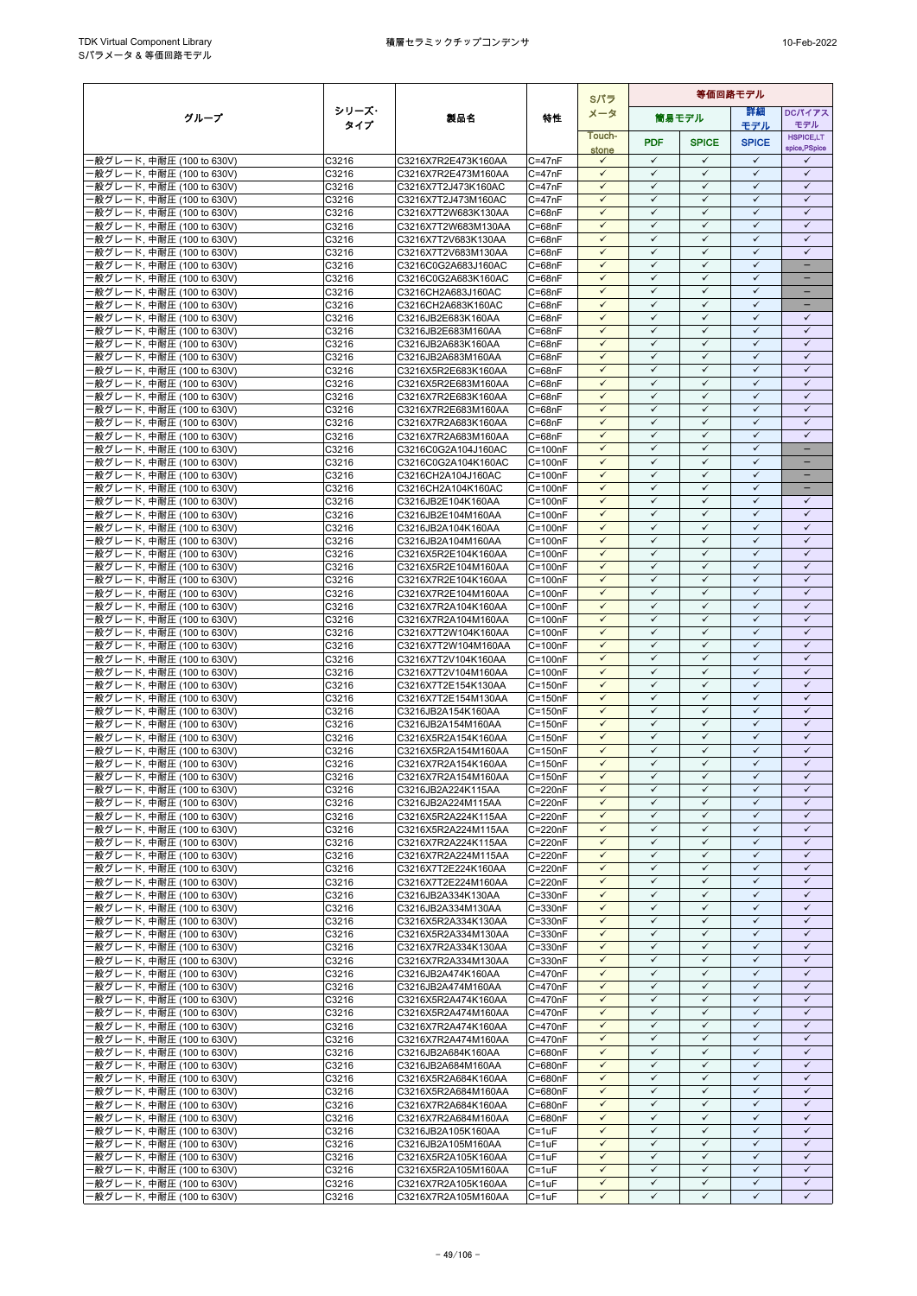|                                                        |                |                                            |                            | Sパラ                          | 等価回路モデル                      |                              |                              |                              |
|--------------------------------------------------------|----------------|--------------------------------------------|----------------------------|------------------------------|------------------------------|------------------------------|------------------------------|------------------------------|
| グループ                                                   | シリーズ・          | 製品名                                        | 特性                         | メータ                          |                              | 簡易モデル                        | 等細                           | <b>DCパイアス</b>                |
|                                                        | タイプ            |                                            |                            | Touch-                       |                              |                              | モデル                          | モデル<br><b>HSPICE,LT</b>      |
|                                                        |                |                                            |                            | stone                        | <b>PDF</b>                   | <b>SPICE</b>                 | <b>SPICE</b>                 | spice, PSpice                |
| ·般グレード, 中耐圧 (100 to 630V)                              | C3216          | C3216X7R2E473K160AA                        | $C = 47nF$                 | $\checkmark$                 | $\checkmark$                 | $\checkmark$                 | $\checkmark$<br>$\checkmark$ | ✓                            |
| ·般グレード, 中耐圧 (100 to 630V)<br>·般グレード, 中耐圧 (100 to 630V) | C3216<br>C3216 | C3216X7R2E473M160AA<br>C3216X7T2J473K160AC | $C = 47nF$<br>$C = 47nF$   | $\checkmark$<br>$\checkmark$ | $\checkmark$<br>$\checkmark$ | $\checkmark$<br>$\checkmark$ | $\checkmark$                 | $\checkmark$<br>$\checkmark$ |
| ·般グレード, 中耐圧 (100 to 630V)                              | C3216          | C3216X7T2J473M160AC                        | $C = 47nF$                 | $\checkmark$                 | $\checkmark$                 | ✓                            | $\checkmark$                 | $\checkmark$                 |
| ·般グレード, 中耐圧 (100 to 630V)                              | C3216          | C3216X7T2W683K130AA                        | $C = 68nF$                 | $\checkmark$                 | $\checkmark$                 | $\checkmark$                 | $\checkmark$                 | $\checkmark$                 |
| ·般グレード, 中耐圧 (100 to 630V)                              | C3216          | C3216X7T2W683M130AA                        | $C = 68nF$                 | $\checkmark$                 | $\checkmark$                 | $\checkmark$                 | $\checkmark$                 | $\checkmark$                 |
| ·般グレード, 中耐圧 (100 to 630V)                              | C3216          | C3216X7T2V683K130AA                        | $C = 68nF$                 | $\checkmark$                 | $\checkmark$                 | $\checkmark$                 | $\checkmark$                 | $\checkmark$                 |
| ·般グレード, 中耐圧 (100 to 630V)                              | C3216<br>C3216 | C3216X7T2V683M130AA<br>C3216C0G2A683J160AC | $C = 68nF$<br>$C = 68nF$   | $\checkmark$<br>$\checkmark$ | $\checkmark$<br>$\checkmark$ | $\checkmark$<br>$\checkmark$ | $\checkmark$<br>$\checkmark$ | $\checkmark$<br>÷            |
| ·般グレード, 中耐圧 (100 to 630V)<br>·般グレード, 中耐圧 (100 to 630V) | C3216          | C3216C0G2A683K160AC                        | $C = 68nF$                 | $\checkmark$                 | $\checkmark$                 | $\checkmark$                 | $\checkmark$                 | -                            |
| ·般グレード, 中耐圧 (100 to 630V)                              | C3216          | C3216CH2A683J160AC                         | $C = 68nF$                 | $\checkmark$                 | $\checkmark$                 | $\checkmark$                 | $\checkmark$                 | $\qquad \qquad -$            |
| ·般グレード, 中耐圧 (100 to 630V)                              | C3216          | C3216CH2A683K160AC                         | $C = 68nF$                 | $\checkmark$                 | $\checkmark$                 | $\checkmark$                 | $\checkmark$                 | -                            |
| ·般グレード, 中耐圧 (100 to 630V)                              | C3216          | C3216JB2E683K160AA                         | $C = 68nF$                 |                              | ✓                            | ✓                            | ✓                            | ✓                            |
| ·般グレード, 中耐圧 (100 to 630V)                              | C3216          | C3216JB2E683M160AA                         | $C = 68nF$                 | $\checkmark$<br>$\checkmark$ | $\checkmark$<br>$\checkmark$ | $\checkmark$<br>$\checkmark$ | $\checkmark$<br>$\checkmark$ | $\checkmark$<br>$\checkmark$ |
| ·般グレード, 中耐圧 (100 to 630V)<br>·般グレード, 中耐圧 (100 to 630V) | C3216<br>C3216 | C3216JB2A683K160AA<br>C3216JB2A683M160AA   | $C = 68nF$<br>$C = 68nF$   | $\checkmark$                 | $\checkmark$                 | $\checkmark$                 | $\checkmark$                 | $\checkmark$                 |
| ·般グレード, 中耐圧 (100 to 630V)                              | C3216          | C3216X5R2E683K160AA                        | $C = 68nF$                 | $\checkmark$                 | $\checkmark$                 | $\checkmark$                 | $\checkmark$                 | $\checkmark$                 |
| ·般グレード, 中耐圧 (100 to 630V)                              | C3216          | C3216X5R2E683M160AA                        | $C = 68nF$                 | $\checkmark$                 | $\checkmark$                 | ✓                            | ✓                            | ✓                            |
| -般グレード, 中耐圧 (100 to 630V)                              | C3216          | C3216X7R2E683K160AA                        | $C = 68nF$                 | $\checkmark$                 | $\checkmark$                 | $\checkmark$                 | $\checkmark$                 | $\checkmark$                 |
| ·般グレード, 中耐圧 (100 to 630V)                              | C3216          | C3216X7R2E683M160AA                        | C=68nF                     | ✓                            | $\checkmark$                 | $\checkmark$                 | $\checkmark$                 | $\checkmark$                 |
| ·般グレード, 中耐圧 (100 to 630V)<br>·般グレード, 中耐圧 (100 to 630V) | C3216<br>C3216 | C3216X7R2A683K160AA<br>C3216X7R2A683M160AA | $C = 68nF$<br>$C = 68nF$   | $\checkmark$<br>$\checkmark$ | $\checkmark$<br>$\checkmark$ | $\checkmark$<br>$\checkmark$ | $\checkmark$<br>$\checkmark$ | $\checkmark$<br>$\checkmark$ |
| ·般グレード, 中耐圧 (100 to 630V)                              | C3216          | C3216C0G2A104J160AC                        | $C = 100nF$                | $\checkmark$                 | $\checkmark$                 | $\checkmark$                 | $\checkmark$                 | $\qquad \qquad -$            |
| ·般グレード, 中耐圧 (100 to 630V)                              | C3216          | C3216C0G2A104K160AC                        | $C = 100nF$                | $\checkmark$                 | $\checkmark$                 | $\checkmark$                 | $\checkmark$                 | -                            |
| ·般グレード, 中耐圧 (100 to 630V)                              | C3216          | C3216CH2A104J160AC                         | $C = 100nF$                | $\checkmark$                 | $\checkmark$                 | $\checkmark$                 | $\checkmark$                 |                              |
| ·般グレード, 中耐圧 (100 to 630V)                              | C3216          | C3216CH2A104K160AC                         | $C = 100nF$                | $\checkmark$                 | $\checkmark$                 | $\checkmark$                 | $\checkmark$                 | н.                           |
| ·般グレード, 中耐圧 (100 to 630V)<br>·般グレード. 中耐圧 (100 to 630V) | C3216          | C3216JB2E104K160AA                         | $C = 100nF$                | $\checkmark$<br>$\checkmark$ | ✓<br>$\checkmark$            | ✓<br>$\checkmark$            | $\checkmark$<br>$\checkmark$ | ✓<br>$\checkmark$            |
| ·般グレード, 中耐圧 (100 to 630V)                              | C3216<br>C3216 | C3216JB2E104M160AA<br>C3216JB2A104K160AA   | $C = 100nF$<br>$C = 100nF$ | $\checkmark$                 | $\checkmark$                 | $\checkmark$                 | $\checkmark$                 | $\checkmark$                 |
| ·般グレード, 中耐圧 (100 to 630V)                              | C3216          | C3216JB2A104M160AA                         | $C = 100nF$                | $\checkmark$                 | $\checkmark$                 | $\checkmark$                 | $\checkmark$                 | $\checkmark$                 |
| ·般グレード, 中耐圧 (100 to 630V)                              | C3216          | C3216X5R2E104K160AA                        | $C = 100nF$                | $\checkmark$                 | $\checkmark$                 | $\checkmark$                 | $\checkmark$                 | $\checkmark$                 |
| ·般グレード, 中耐圧 (100 to 630V)                              | C3216          | C3216X5R2E104M160AA                        | $C = 100nF$                | $\checkmark$                 | $\checkmark$                 | $\checkmark$                 | $\checkmark$                 | $\checkmark$                 |
| ·般グレード, 中耐圧 (100 to 630V)                              | C3216          | C3216X7R2E104K160AA                        | $C = 100nF$                | $\checkmark$                 | $\checkmark$                 | $\checkmark$<br>$\checkmark$ | $\checkmark$<br>$\checkmark$ | $\checkmark$                 |
| ·般グレード, 中耐圧 (100 to 630V)<br>·般グレード, 中耐圧 (100 to 630V) | C3216<br>C3216 | C3216X7R2E104M160AA<br>C3216X7R2A104K160AA | $C = 100nF$<br>$C = 100nF$ | $\checkmark$<br>$\checkmark$ | $\checkmark$<br>$\checkmark$ | $\checkmark$                 | $\checkmark$                 | $\checkmark$<br>$\checkmark$ |
| ·般グレード, 中耐圧 (100 to 630V)                              | C3216          | C3216X7R2A104M160AA                        | $C = 100nF$                | $\checkmark$                 | $\checkmark$                 | $\checkmark$                 | $\checkmark$                 | $\checkmark$                 |
| ·般グレード, 中耐圧 (100 to 630V)                              | C3216          | C3216X7T2W104K160AA                        | $C = 100nF$                | $\checkmark$                 | $\checkmark$                 | ✓                            | ✓                            | $\checkmark$                 |
| ·般グレード, 中耐圧 (100 to 630V)                              | C3216          | C3216X7T2W104M160AA                        | $C = 100nF$                | $\checkmark$                 | $\checkmark$                 | $\checkmark$                 | $\checkmark$                 | $\checkmark$                 |
| ·般グレード, 中耐圧 (100 to 630V)                              | C3216          | C3216X7T2V104K160AA                        | $C = 100nF$                | $\checkmark$                 | $\checkmark$                 | $\checkmark$                 | $\checkmark$                 | $\checkmark$                 |
| ·般グレード, 中耐圧 (100 to 630V)                              | C3216          | C3216X7T2V104M160AA                        | $C = 100nF$                | $\checkmark$<br>$\checkmark$ | $\checkmark$<br>$\checkmark$ | $\checkmark$<br>$\checkmark$ | $\checkmark$<br>$\checkmark$ | $\checkmark$<br>$\checkmark$ |
| -般グレード, 中耐圧 (100 to 630V)<br>·般グレード, 中耐圧 (100 to 630V) | C3216<br>C3216 | C3216X7T2E154K130AA<br>C3216X7T2E154M130AA | $C = 150nF$<br>$C = 150nF$ | $\checkmark$                 | $\checkmark$                 | $\checkmark$                 | $\checkmark$                 | $\checkmark$                 |
| -般グレード, 中耐圧 (100 to 630V)                              | C3216          | C3216JB2A154K160AA                         | $C = 150nF$                | $\checkmark$                 | $\checkmark$                 | $\checkmark$                 | $\checkmark$                 | $\checkmark$                 |
| -般グレード, 中耐圧 (100 to 630V)                              | C3216          | C3216JB2A154M160AA                         | $C = 150nF$                | $\checkmark$                 | $\checkmark$                 | $\checkmark$                 | $\checkmark$                 | $\checkmark$                 |
| ·般グレード, 中耐圧 (100 to 630V)                              | C3216          | C3216X5R2A154K160AA                        | $C = 150nF$                | $\checkmark$                 | $\checkmark$                 | $\checkmark$                 | $\checkmark$                 | $\checkmark$                 |
| ·般グレード, 中耐圧 (100 to 630V)                              | C3216          | C3216X5R2A154M160AA                        | $C = 150nF$                | ✓                            | ✓                            | ✓                            | $\checkmark$                 | $\checkmark$                 |
| ·般グレード, 中耐圧 (100 to 630V)                              | C3216          | C3216X7R2A154K160AA                        | $C = 150nF$                | $\checkmark$<br>$\checkmark$ | $\checkmark$<br>$\checkmark$ | $\checkmark$<br>$\checkmark$ | $\checkmark$<br>$\checkmark$ | $\checkmark$<br>$\checkmark$ |
| 般グレード, 中耐圧 (100 to 630V)<br>·般グレード, 中耐圧 (100 to 630V)  | C3216<br>C3216 | C3216X7R2A154M160AA<br>C3216JB2A224K115AA  | $C = 150nF$<br>$C = 220nF$ | $\checkmark$                 | $\checkmark$                 | $\checkmark$                 | $\checkmark$                 | ✓                            |
| -般グレード, 中耐圧 (100 to 630V)                              | C3216          | C3216JB2A224M115AA                         | $C = 220nF$                | $\checkmark$                 | $\checkmark$                 | $\checkmark$                 | $\checkmark$                 | $\checkmark$                 |
| ·般グレード, 中耐圧 (100 to 630V)                              | C3216          | C3216X5R2A224K115AA                        | $C = 220nF$                | $\checkmark$                 | $\checkmark$                 | $\checkmark$                 | $\checkmark$                 | $\checkmark$                 |
| -般グレード, 中耐圧 (100 to 630V)                              | C3216          | C3216X5R2A224M115AA                        | C=220nF                    | $\checkmark$                 | $\checkmark$                 | $\checkmark$                 | $\checkmark$                 | $\checkmark$                 |
| -般グレード, 中耐圧 (100 to 630V)                              | C3216          | C3216X7R2A224K115AA                        | C=220nF                    | $\checkmark$                 | $\checkmark$<br>$\checkmark$ | $\checkmark$                 | $\checkmark$<br>$\checkmark$ | $\checkmark$<br>$\checkmark$ |
| ·般グレード, 中耐圧 (100 to 630V)<br>·般グレード, 中耐圧 (100 to 630V) | C3216<br>C3216 | C3216X7R2A224M115AA<br>C3216X7T2E224K160AA | $C = 220nF$<br>C=220nF     | $\checkmark$<br>$\checkmark$ | $\checkmark$                 | ✓<br>$\checkmark$            | $\checkmark$                 | $\checkmark$                 |
| ·般グレード, 中耐圧 (100 to 630V)                              | C3216          | C3216X7T2E224M160AA                        | C=220nF                    | $\checkmark$                 | $\checkmark$                 | ✓                            | $\checkmark$                 | ✓                            |
| ·般グレード, 中耐圧 (100 to 630V)                              | C3216          | C3216JB2A334K130AA                         | C=330nF                    | $\checkmark$                 | $\checkmark$                 | $\checkmark$                 | $\checkmark$                 | $\checkmark$                 |
| ·般グレード, 中耐圧 (100 to 630V)                              | C3216          | C3216JB2A334M130AA                         | C=330nF                    | $\checkmark$                 | $\checkmark$                 | $\checkmark$                 | $\checkmark$                 | $\checkmark$                 |
| ·般グレード, 中耐圧 (100 to 630V)                              | C3216          | C3216X5R2A334K130AA                        | C=330nF                    | $\checkmark$                 | $\checkmark$<br>$\checkmark$ | $\checkmark$                 | $\checkmark$                 | $\checkmark$                 |
| ·般グレード, 中耐圧 (100 to 630V)<br>·般グレード, 中耐圧 (100 to 630V) | C3216<br>C3216 | C3216X5R2A334M130AA<br>C3216X7R2A334K130AA | C=330nF<br>$C = 330nF$     | $\checkmark$<br>$\checkmark$ | $\checkmark$                 | $\checkmark$<br>$\checkmark$ | $\checkmark$<br>$\checkmark$ | $\checkmark$<br>$\checkmark$ |
| ·般グレード, 中耐圧 (100 to 630V)                              | C3216          | C3216X7R2A334M130AA                        | $C = 330nF$                | $\checkmark$                 | $\checkmark$                 | $\checkmark$                 | $\checkmark$                 | $\checkmark$                 |
| ·般グレード, 中耐圧 (100 to 630V)                              | C3216          | C3216JB2A474K160AA                         | $C = 470nF$                | $\checkmark$                 | $\checkmark$                 | $\checkmark$                 | $\checkmark$                 | $\checkmark$                 |
| ·般グレード, 中耐圧 (100 to 630V)                              | C3216          | C3216JB2A474M160AA                         | C=470nF                    | $\checkmark$                 | $\checkmark$                 | $\checkmark$                 | $\checkmark$                 | $\checkmark$                 |
| ·般グレード, 中耐圧 (100 to 630V)                              | C3216          | C3216X5R2A474K160AA                        | C=470nF                    | $\checkmark$                 | $\checkmark$                 | $\checkmark$                 | $\checkmark$                 | $\checkmark$                 |
| -般グレード, 中耐圧 (100 to 630V)                              | C3216          | C3216X5R2A474M160AA                        | $C = 470nF$                | $\checkmark$<br>$\checkmark$ | $\checkmark$<br>$\checkmark$ | $\checkmark$<br>$\checkmark$ | $\checkmark$<br>$\checkmark$ | $\checkmark$<br>$\checkmark$ |
| ·般グレード, 中耐圧 (100 to 630V)<br>·般グレード, 中耐圧 (100 to 630V) | C3216<br>C3216 | C3216X7R2A474K160AA<br>C3216X7R2A474M160AA | $C = 470nF$<br>C=470nF     | $\checkmark$                 | $\checkmark$                 | ✓                            | ✓                            | ✓                            |
| ·般グレード, 中耐圧 (100 to 630V)                              | C3216          | C3216JB2A684K160AA                         | C=680nF                    | $\checkmark$                 | $\checkmark$                 | $\checkmark$                 | $\checkmark$                 | $\checkmark$                 |
| ·般グレード, 中耐圧 (100 to 630V)                              | C3216          | C3216JB2A684M160AA                         | C=680nF                    | $\checkmark$                 | $\checkmark$                 | $\checkmark$                 | $\checkmark$                 | $\checkmark$                 |
| ·般グレード, 中耐圧 (100 to 630V)                              | C3216          | C3216X5R2A684K160AA                        | C=680nF                    | $\checkmark$                 | $\checkmark$                 | $\checkmark$                 | ✓                            | $\checkmark$                 |
| -般グレード, 中耐圧 (100 to 630V)                              | C3216          | C3216X5R2A684M160AA                        | C=680nF                    | $\checkmark$                 | $\checkmark$                 | $\checkmark$                 | $\checkmark$                 | $\checkmark$                 |
| ·般グレード, 中耐圧 (100 to 630V)<br>·般グレード, 中耐圧 (100 to 630V) | C3216<br>C3216 | C3216X7R2A684K160AA<br>C3216X7R2A684M160AA | C=680nF<br>C=680nF         | $\checkmark$<br>$\checkmark$ | $\checkmark$<br>$\checkmark$ | ✓<br>$\checkmark$            | $\checkmark$<br>$\checkmark$ | $\checkmark$<br>$\checkmark$ |
| ·般グレード, 中耐圧 (100 to 630V)                              | C3216          | C3216JB2A105K160AA                         | $C = 1uF$                  | $\checkmark$                 | $\checkmark$                 | $\checkmark$                 | $\checkmark$                 | $\checkmark$                 |
| ·般グレード, 中耐圧 (100 to 630V)                              | C3216          | C3216JB2A105M160AA                         | $C = 1uF$                  | $\checkmark$                 | $\checkmark$                 | $\checkmark$                 | $\checkmark$                 | $\checkmark$                 |
| ·般グレード, 中耐圧 (100 to 630V)                              | C3216          | C3216X5R2A105K160AA                        | $C = 1uF$                  | $\checkmark$                 | $\checkmark$                 | $\checkmark$                 | $\checkmark$                 | $\checkmark$                 |
| ·般グレード, 中耐圧 (100 to 630V)                              | C3216          | C3216X5R2A105M160AA                        | $C = 1uF$                  | $\checkmark$                 | $\checkmark$                 | $\checkmark$                 | $\checkmark$                 | $\checkmark$                 |
| -般グレード, 中耐圧 (100 to 630V)                              | C3216          | C3216X7R2A105K160AA                        | $C = 1uF$                  | $\checkmark$                 | $\checkmark$<br>$\checkmark$ | $\checkmark$                 | $\checkmark$<br>✓            | $\checkmark$<br>✓            |
| ·般グレード, 中耐圧 (100 to 630V)                              | C3216          | C3216X7R2A105M160AA                        | $C = 1uF$                  | $\checkmark$                 |                              | ✓                            |                              |                              |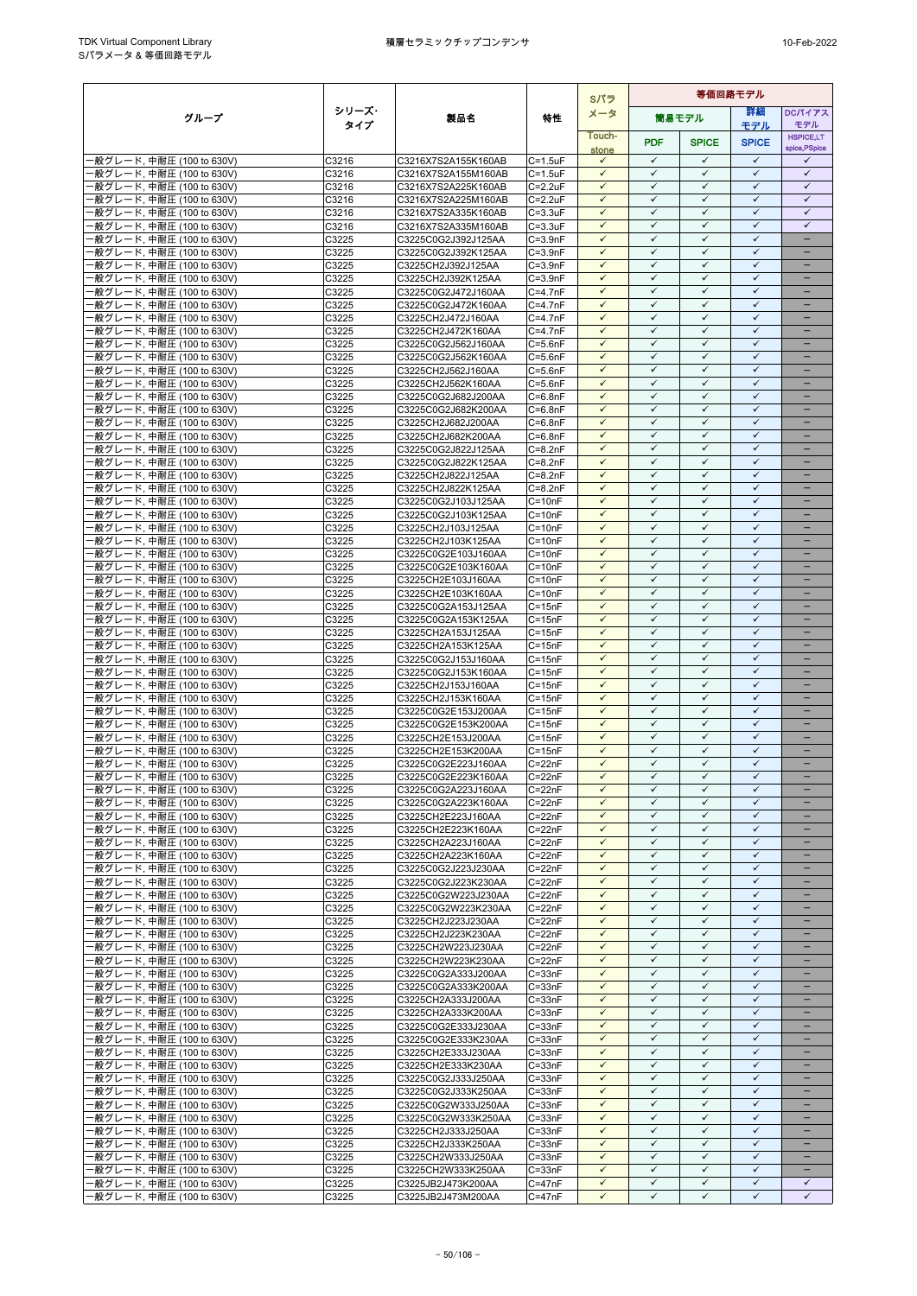|                                                        | Sパラ            |                                            |                            |                              | 等価回路モデル                      |                              |                              |                              |  |
|--------------------------------------------------------|----------------|--------------------------------------------|----------------------------|------------------------------|------------------------------|------------------------------|------------------------------|------------------------------|--|
| グループ                                                   | シリーズ・          | 製品名                                        | 特性                         | メータ                          |                              | 筒易モデル                        | 詳細                           | DCパイアス                       |  |
|                                                        | タイプ            |                                            |                            | Touch-                       |                              |                              | モデル                          | モデル<br><b>HSPICE,LT</b>      |  |
|                                                        |                |                                            |                            | stone                        | <b>PDF</b>                   | <b>SPICE</b>                 | <b>SPICE</b>                 | spice, PSpice                |  |
| -般グレード, 中耐圧 (100 to 630V)                              | C3216          | C3216X7S2A155K160AB                        | $C = 1.5$ u $F$            | $\checkmark$                 | $\checkmark$                 | $\checkmark$                 | $\checkmark$                 | $\checkmark$                 |  |
| ·般グレード, 中耐圧 (100 to 630V)                              | C3216          | C3216X7S2A155M160AB                        | $C = 1.5$ u $F$            | $\checkmark$                 | $\checkmark$                 | ✓                            | $\checkmark$                 | $\checkmark$                 |  |
| ·般グレード, 中耐圧 (100 to 630V)                              | C3216          | C3216X7S2A225K160AB                        | $C = 2.2uF$                | $\checkmark$                 | $\checkmark$                 | $\checkmark$                 | $\checkmark$                 | $\checkmark$                 |  |
| ·般グレード, 中耐圧 (100 to 630V)<br>·般グレード, 中耐圧 (100 to 630V) | C3216<br>C3216 | C3216X7S2A225M160AB<br>C3216X7S2A335K160AB | $C = 2.2uF$<br>$C = 3.3uF$ | $\checkmark$<br>$\checkmark$ | $\checkmark$<br>$\checkmark$ | ✓<br>$\checkmark$            | $\checkmark$<br>✓            | $\checkmark$<br>$\checkmark$ |  |
| ·般グレード, 中耐圧 (100 to 630V)                              | C3216          | C3216X7S2A335M160AB                        | $C = 3.3uF$                | $\checkmark$                 | $\checkmark$                 | $\checkmark$                 | $\checkmark$                 | $\checkmark$                 |  |
| -般グレード, 中耐圧 (100 to 630V)                              | C3225          | C3225C0G2J392J125AA                        | $C = 3.9nF$                | $\checkmark$                 | $\checkmark$                 | $\checkmark$                 | $\checkmark$                 | -                            |  |
| ·般グレード, 中耐圧 (100 to 630V)                              | C3225          | C3225C0G2J392K125AA                        | $C = 3.9nF$                | $\checkmark$                 | $\checkmark$                 | $\checkmark$                 | $\checkmark$                 | $\equiv$                     |  |
| ·般グレード, 中耐圧 (100 to 630V)                              | C3225          | C3225CH2J392J125AA                         | $C = 3.9nF$                | $\checkmark$                 | $\checkmark$                 | $\checkmark$                 | $\checkmark$                 | $\equiv$                     |  |
| ·般グレード, 中耐圧 (100 to 630V)                              | C3225          | C3225CH2J392K125AA                         | $C = 3.9nF$                | $\checkmark$                 | $\checkmark$<br>$\checkmark$ | $\checkmark$                 | $\checkmark$<br>$\checkmark$ | $\overline{\phantom{0}}$     |  |
| ·般グレード, 中耐圧 (100 to 630V)<br>·般グレード. 中耐圧 (100 to 630V) | C3225<br>C3225 | C3225C0G2J472J160AA<br>C3225C0G2J472K160AA | $C=4.7nF$<br>$C=4.7nF$     | $\checkmark$<br>$\checkmark$ | $\checkmark$                 | ✓<br>✓                       | $\checkmark$                 | -                            |  |
| -般グレード, 中耐圧 (100 to 630V)                              | C3225          | C3225CH2J472J160AA                         | $C=4.7nF$                  | $\checkmark$                 | $\checkmark$                 | ✓                            | ✓                            |                              |  |
| ·般グレード, 中耐圧 (100 to 630V)                              | C3225          | C3225CH2J472K160AA                         | $C=4.7nF$                  | $\checkmark$                 | $\checkmark$                 | $\checkmark$                 | $\checkmark$                 | ۳                            |  |
| ·般グレード, 中耐圧 (100 to 630V)                              | C3225          | C3225C0G2J562J160AA                        | $C = 5.6nF$                | $\checkmark$                 | $\checkmark$                 | $\checkmark$                 | $\checkmark$                 |                              |  |
| -般グレード, 中耐圧 (100 to 630V)                              | C3225          | C3225C0G2J562K160AA                        | $C = 5.6nF$                | $\checkmark$                 | $\checkmark$                 | $\checkmark$                 | $\checkmark$                 | $\equiv$                     |  |
| ·般グレード, 中耐圧 (100 to 630V)                              | C3225          | C3225CH2J562J160AA                         | $C = 5.6nF$                | $\checkmark$                 | $\checkmark$                 | $\checkmark$                 | $\checkmark$                 | -                            |  |
| ·般グレード, 中耐圧 (100 to 630V)<br>-般グレード, 中耐圧 (100 to 630V) | C3225<br>C3225 | C3225CH2J562K160AA<br>C3225C0G2J682J200AA  | $C = 5.6nF$<br>$C=6.8nF$   | $\checkmark$<br>$\checkmark$ | $\checkmark$<br>$\checkmark$ | ✓<br>$\checkmark$            | ✓<br>$\checkmark$            |                              |  |
| ·般グレード, 中耐圧 (100 to 630V)                              | C3225          | C3225C0G2J682K200AA                        | C=6.8nF                    | $\checkmark$                 | $\checkmark$                 | $\checkmark$                 | $\checkmark$                 |                              |  |
| ·般グレード, 中耐圧 (100 to 630V)                              | C3225          | C3225CH2J682J200AA                         | $C=6.8nF$                  | $\checkmark$                 | $\checkmark$                 | ✓                            | $\checkmark$                 |                              |  |
| ·般グレード, 中耐圧 (100 to 630V)                              | C3225          | C3225CH2J682K200AA                         | $C=6.8nF$                  | $\checkmark$                 | $\checkmark$                 | $\checkmark$                 | $\checkmark$                 | $\overline{\phantom{0}}$     |  |
| ·般グレード, 中耐圧 (100 to 630V)                              | C3225          | C3225C0G2J822J125AA                        | $C=8.2nF$                  | $\checkmark$                 | $\checkmark$                 | ✓                            | $\checkmark$                 |                              |  |
| ·般グレード, 中耐圧 (100 to 630V)                              | C3225          | C3225C0G2J822K125AA                        | $C = 8.2nF$                | $\checkmark$<br>$\checkmark$ | $\checkmark$<br>$\checkmark$ | $\checkmark$<br>✓            | ✓<br>$\checkmark$            | $\overline{\phantom{0}}$     |  |
| ·般グレード, 中耐圧 (100 to 630V)<br>·般グレード, 中耐圧 (100 to 630V) | C3225<br>C3225 | C3225CH2J822J125AA                         | $C = 8.2nF$<br>$C=8.2nF$   | $\checkmark$                 | $\checkmark$                 | ✓                            | $\checkmark$                 |                              |  |
| ·般グレード, 中耐圧 (100 to 630V)                              | C3225          | C3225CH2J822K125AA<br>C3225C0G2J103J125AA  | $C = 10nF$                 | $\checkmark$                 | $\checkmark$                 | ✓                            | $\checkmark$                 |                              |  |
| ·般グレード. 中耐圧 (100 to 630V)                              | C3225          | C3225C0G2J103K125AA                        | $C = 10nF$                 | $\checkmark$                 | $\checkmark$                 | $\checkmark$                 | $\checkmark$                 |                              |  |
| ·般グレード, 中耐圧 (100 to 630V)                              | C3225          | C3225CH2J103J125AA                         | $C = 10nF$                 | $\checkmark$                 | $\checkmark$                 | $\checkmark$                 | $\checkmark$                 |                              |  |
| ·般グレード, 中耐圧 (100 to 630V)                              | C3225          | C3225CH2J103K125AA                         | $C = 10nF$                 | $\checkmark$                 | $\checkmark$                 | $\checkmark$                 | $\checkmark$                 | $\overline{\phantom{0}}$     |  |
| ·般グレード, 中耐圧 (100 to 630V)                              | C3225          | C3225C0G2E103J160AA                        | $C = 10nF$                 | $\checkmark$                 | $\checkmark$                 | $\checkmark$                 | $\checkmark$                 | -                            |  |
| ·般グレード, 中耐圧 (100 to 630V)<br>·般グレード, 中耐圧 (100 to 630V) | C3225<br>C3225 | C3225C0G2E103K160AA<br>C3225CH2E103J160AA  | $C = 10nF$<br>$C = 10nF$   | $\checkmark$<br>$\checkmark$ | $\checkmark$<br>$\checkmark$ | ✓<br>✓                       | $\checkmark$<br>$\checkmark$ | ۳                            |  |
| ·般グレード, 中耐圧 (100 to 630V)                              | C3225          | C3225CH2E103K160AA                         | $C = 10nF$                 | $\checkmark$                 | $\checkmark$                 | $\checkmark$                 | $\checkmark$                 |                              |  |
| ·般グレード, 中耐圧 (100 to 630V)                              | C3225          | C3225C0G2A153J125AA                        | $C = 15nF$                 | $\checkmark$                 | $\checkmark$                 | $\checkmark$                 | $\checkmark$                 | $\equiv$                     |  |
| ·般グレード, 中耐圧 (100 to 630V)                              | C3225          | C3225C0G2A153K125AA                        | $C = 15nF$                 | $\checkmark$                 | $\checkmark$                 | $\checkmark$                 | $\checkmark$                 | $\qquad \qquad -$            |  |
| ·般グレード, 中耐圧 (100 to 630V)                              | C3225          | C3225CH2A153J125AA                         | $C = 15nF$                 | ✓                            | $\checkmark$                 | ✓                            | ✓                            |                              |  |
| -般グレード, 中耐圧 (100 to 630V)                              | C3225          | C3225CH2A153K125AA                         | $C = 15nF$                 | $\checkmark$<br>$\checkmark$ | $\checkmark$<br>$\checkmark$ | $\checkmark$<br>$\checkmark$ | $\checkmark$<br>$\checkmark$ | $\overline{\phantom{0}}$     |  |
| ·般グレード, 中耐圧 (100 to 630V)<br>·般グレード, 中耐圧 (100 to 630V) | C3225<br>C3225 | C3225C0G2J153J160AA<br>C3225C0G2J153K160AA | $C = 15nF$<br>$C = 15nF$   | $\checkmark$                 | $\checkmark$                 | ✓                            | $\checkmark$                 |                              |  |
| -般グレード, 中耐圧 (100 to 630V)                              | C3225          | C3225CH2J153J160AA                         | $C = 15nF$                 | $\checkmark$                 | $\checkmark$                 | $\checkmark$                 | $\checkmark$                 | $\overline{\phantom{0}}$     |  |
| -般グレード, 中耐圧 (100 to 630V)                              | C3225          | C3225CH2J153K160AA                         | $C = 15nF$                 | $\checkmark$                 | $\checkmark$                 | $\checkmark$                 | $\checkmark$                 |                              |  |
| -般グレード, 中耐圧 (100 to 630V)                              | C3225          | C3225C0G2E153J200AA                        | $C = 15nF$                 | $\checkmark$                 | $\checkmark$                 | $\checkmark$                 | $\checkmark$                 |                              |  |
| -般グレード, 中耐圧 (100 to 630V)                              | C3225          | C3225C0G2E153K200AA                        | $C = 15nF$                 | $\checkmark$                 | $\checkmark$                 | $\checkmark$                 | $\checkmark$                 |                              |  |
| -般グレード, 中耐圧 (100 to 630V)                              | C3225          | C3225CH2E153J200AA                         | $C = 15nF$                 | $\checkmark$<br>$\checkmark$ | $\checkmark$<br>$\checkmark$ | $\checkmark$<br>✓            | $\checkmark$<br>$\checkmark$ |                              |  |
| ·般グレード, 中耐圧 (100 to 630V)<br>·般グレード, 中耐圧 (100 to 630V) | C3225<br>C3225 | C3225CH2E153K200AA<br>C3225C0G2E223J160AA  | $C = 15nF$<br>$C = 22nF$   | $\checkmark$                 | $\checkmark$                 | $\checkmark$                 | $\checkmark$                 | $\overline{\phantom{0}}$     |  |
| ·般グレード, 中耐圧 (100 to 630V)                              | C3225          | C3225C0G2E223K160AA                        | $C = 22nF$                 | $\checkmark$                 | $\checkmark$                 | $\checkmark$                 | $\checkmark$                 |                              |  |
| ·般グレード, 中耐圧 (100 to 630V)                              | C3225          | C3225C0G2A223J160AA                        | $C = 22nF$                 | $\checkmark$                 | $\checkmark$                 | ✓                            | ✓                            | $\overline{\phantom{0}}$     |  |
| -般グレード, 中耐圧 (100 to 630V)                              | C3225          | C3225C0G2A223K160AA                        | $C = 22nF$                 | $\checkmark$                 | $\checkmark$                 | $\checkmark$                 | $\checkmark$                 |                              |  |
| -般グレード, 中耐圧 (100 to 630V)                              | C3225          | C3225CH2E223J160AA                         | $C = 22nF$                 | $\checkmark$                 | $\checkmark$                 | $\checkmark$                 | $\checkmark$                 |                              |  |
| -般グレード, 中耐圧 (100 to 630V)                              | C3225          | C3225CH2E223K160AA                         | $C = 22nF$                 | $\checkmark$<br>$\checkmark$ | $\checkmark$<br>$\checkmark$ | $\checkmark$<br>$\checkmark$ | $\checkmark$<br>$\checkmark$ | -                            |  |
| -般グレード, 中耐圧 (100 to 630V)<br>·般グレード, 中耐圧 (100 to 630V) | C3225<br>C3225 | C3225CH2A223J160AA<br>C3225CH2A223K160AA   | $C = 22nF$<br>$C = 22nF$   | $\checkmark$                 | $\checkmark$                 | ✓                            | $\checkmark$                 |                              |  |
| -般グレード, 中耐圧 (100 to 630V)                              | C3225          | C3225C0G2J223J230AA                        | $C = 22nF$                 | $\checkmark$                 | $\checkmark$                 | $\checkmark$                 | $\checkmark$                 | -                            |  |
| -般グレード, 中耐圧 (100 to 630V)                              | C3225          | C3225C0G2J223K230AA                        | $C = 22nF$                 | $\checkmark$                 | $\checkmark$                 | ✓                            | $\checkmark$                 |                              |  |
| -般グレード, 中耐圧 (100 to 630V)                              | C3225          | C3225C0G2W223J230AA                        | $C = 22nF$                 | $\checkmark$                 | $\checkmark$                 | $\checkmark$                 | $\checkmark$                 | $\overline{\phantom{0}}$     |  |
| ·般グレード, 中耐圧 (100 to 630V)                              | C3225          | C3225C0G2W223K230AA                        | $C = 22nF$                 | $\checkmark$                 | $\checkmark$                 | $\checkmark$                 | $\checkmark$                 | -                            |  |
| ·般グレード, 中耐圧 (100 to 630V)                              | C3225          | C3225CH2J223J230AA                         | $C = 22nF$                 | $\checkmark$<br>$\checkmark$ | $\checkmark$<br>$\checkmark$ | $\checkmark$<br>$\checkmark$ | $\checkmark$<br>$\checkmark$ |                              |  |
| ·般グレード, 中耐圧 (100 to 630V)<br>-般グレード, 中耐圧 (100 to 630V) | C3225<br>C3225 | C3225CH2J223K230AA<br>C3225CH2W223J230AA   | $C = 22nF$<br>$C = 22nF$   | $\checkmark$                 | $\checkmark$                 | ✓                            | $\checkmark$                 | -                            |  |
| -般グレード, 中耐圧 (100 to 630V)                              | C3225          | C3225CH2W223K230AA                         | $C = 22nF$                 | $\checkmark$                 | $\checkmark$                 | $\checkmark$                 | $\checkmark$                 |                              |  |
| -般グレード, 中耐圧 (100 to 630V)                              | C3225          | C3225C0G2A333J200AA                        | $C = 33nF$                 | $\checkmark$                 | $\checkmark$                 | $\checkmark$                 | $\checkmark$                 |                              |  |
| -般グレード, 中耐圧 (100 to 630V)                              | C3225          | C3225C0G2A333K200AA                        | $C = 33nF$                 | $\checkmark$                 | $\checkmark$                 | $\checkmark$                 | $\checkmark$                 |                              |  |
| ·般グレード, 中耐圧 (100 to 630V)                              | C3225          | C3225CH2A333J200AA                         | $C = 33nF$                 | $\checkmark$                 | $\checkmark$                 | $\checkmark$                 | $\checkmark$                 |                              |  |
| -般グレード, 中耐圧 (100 to 630V)                              | C3225          | C3225CH2A333K200AA                         | $C = 33nF$                 | $\checkmark$                 | $\checkmark$                 | $\checkmark$                 | $\checkmark$                 | $\equiv$                     |  |
| -般グレード, 中耐圧 (100 to 630V)<br>-般グレード, 中耐圧 (100 to 630V) | C3225<br>C3225 | C3225C0G2E333J230AA                        | $C = 33nF$<br>$C = 33nF$   | $\checkmark$<br>$\checkmark$ | $\checkmark$<br>✓            | $\checkmark$<br>✓            | $\checkmark$<br>✓            | -                            |  |
| -般グレード, 中耐圧 (100 to 630V)                              | C3225          | C3225C0G2E333K230AA<br>C3225CH2E333J230AA  | $C = 33nF$                 | $\checkmark$                 | $\checkmark$                 | $\checkmark$                 | $\checkmark$                 | -                            |  |
| -般グレード, 中耐圧 (100 to 630V)                              | C3225          | C3225CH2E333K230AA                         | $C = 33nF$                 | $\checkmark$                 | $\checkmark$                 | $\checkmark$                 | $\checkmark$                 |                              |  |
| ·般グレード, 中耐圧 (100 to 630V)                              | C3225          | C3225C0G2J333J250AA                        | $C = 33nF$                 | $\checkmark$                 | $\checkmark$                 | ✓                            | $\checkmark$                 | ÷                            |  |
| -般グレード, 中耐圧 (100 to 630V)                              | C3225          | C3225C0G2J333K250AA                        | $C = 33nF$                 | $\checkmark$                 | $\checkmark$                 | $\checkmark$                 | $\checkmark$                 | $\overline{\phantom{0}}$     |  |
| ·般グレード, 中耐圧 (100 to 630V)                              | C3225          | C3225C0G2W333J250AA                        | $C = 33nF$                 | $\checkmark$                 | $\checkmark$                 | ✓                            | $\checkmark$<br>$\checkmark$ |                              |  |
| -般グレード, 中耐圧 (100 to 630V)<br>·般グレード, 中耐圧 (100 to 630V) | C3225<br>C3225 | C3225C0G2W333K250AA<br>C3225CH2J333J250AA  | $C = 33nF$<br>$C = 33nF$   | $\checkmark$<br>$\checkmark$ | $\checkmark$<br>$\checkmark$ | $\checkmark$<br>✓            | $\checkmark$                 | $\qquad \qquad -$            |  |
| -般グレード, 中耐圧 (100 to 630V)                              | C3225          | C3225CH2J333K250AA                         | $C = 33nF$                 | $\checkmark$                 | $\checkmark$                 | $\checkmark$                 | $\checkmark$                 |                              |  |
| ·般グレード, 中耐圧 (100 to 630V)                              | C3225          | C3225CH2W333J250AA                         | $C = 33nF$                 | $\checkmark$                 | $\checkmark$                 | $\checkmark$                 | $\checkmark$                 | -                            |  |
| ·般グレード, 中耐圧 (100 to 630V)                              | C3225          | C3225CH2W333K250AA                         | $C = 33nF$                 | $\checkmark$                 | $\checkmark$                 | $\checkmark$                 | $\checkmark$                 |                              |  |
| -般グレード, 中耐圧 (100 to 630V)                              | C3225          | C3225JB2J473K200AA                         | $C = 47nF$                 | $\checkmark$                 | $\checkmark$                 | $\checkmark$                 | $\checkmark$                 | $\checkmark$                 |  |
| ·般グレード, 中耐圧 (100 to 630V)                              | C3225          | C3225JB2J473M200AA                         | $C = 47nF$                 | $\checkmark$                 | $\checkmark$                 | ✓                            | ✓                            | $\checkmark$                 |  |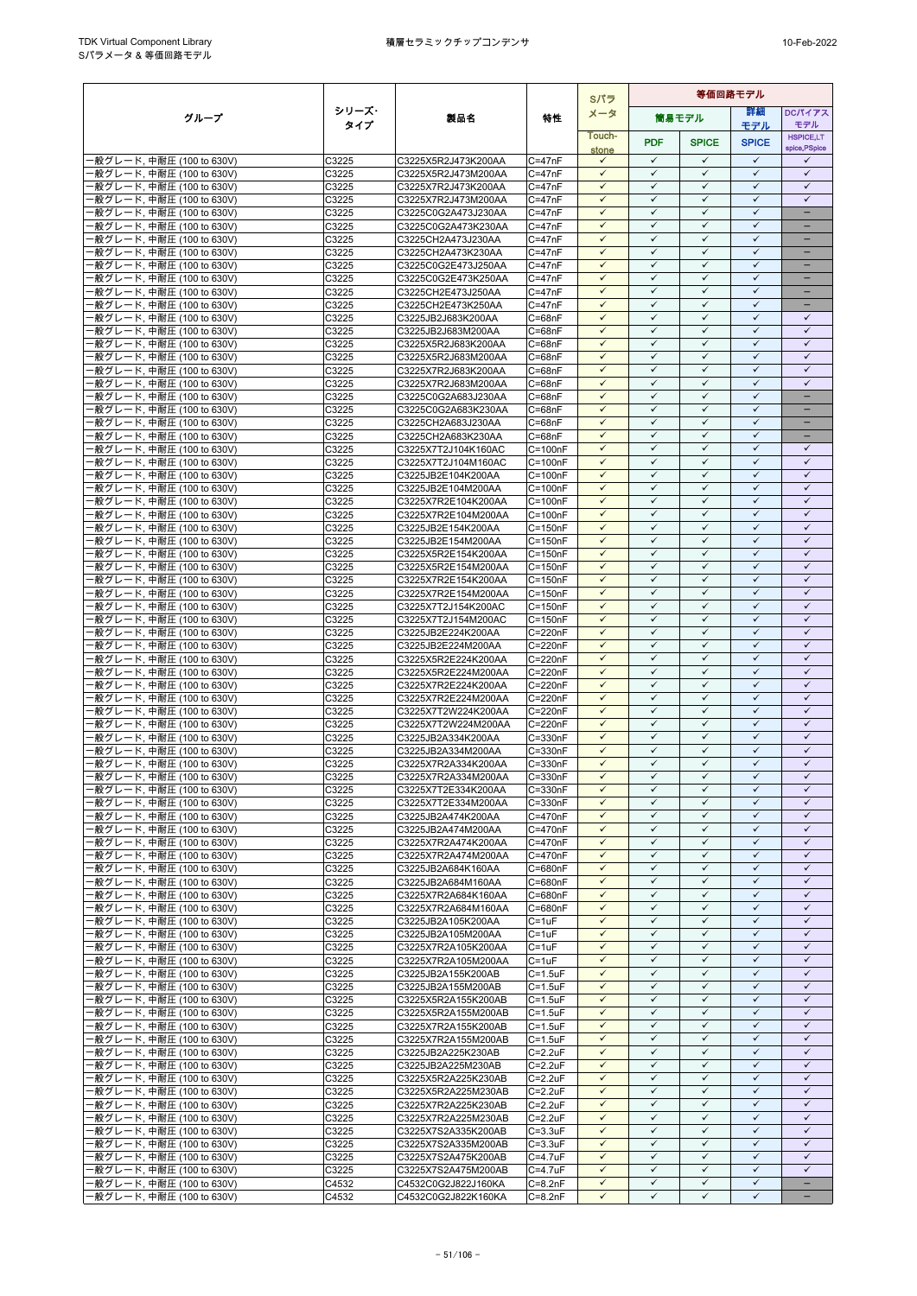|                                                        |                |                                            |                            | Sパラ                          | 等価回路モデル                      |                              |                              |                              |
|--------------------------------------------------------|----------------|--------------------------------------------|----------------------------|------------------------------|------------------------------|------------------------------|------------------------------|------------------------------|
| グループ                                                   | シリーズ・          | 製品名                                        | 特性                         | メータ                          |                              | 筒易モデル                        | 詳細                           | <b>DCパイアス</b>                |
|                                                        | タイプ            |                                            |                            | Touch-                       |                              |                              | モデル                          | モデル<br><b>HSPICE,LT</b>      |
|                                                        |                |                                            |                            | stone                        | <b>PDF</b>                   | <b>SPICE</b>                 | <b>SPICE</b>                 | spice, PSpice                |
| -般グレード, 中耐圧 (100 to 630V)                              | C3225          | C3225X5R2J473K200AA                        | $C = 47nF$                 | $\checkmark$<br>$\checkmark$ | $\checkmark$<br>$\checkmark$ | $\checkmark$<br>$\checkmark$ | $\checkmark$<br>$\checkmark$ | ✓<br>$\checkmark$            |
| -般グレード, 中耐圧 (100 to 630V)<br>·般グレード, 中耐圧 (100 to 630V) | C3225<br>C3225 | C3225X5R2J473M200AA<br>C3225X7R2J473K200AA | $C = 47nF$<br>$C = 47nF$   | $\checkmark$                 | $\checkmark$                 | $\checkmark$                 | $\checkmark$                 | $\checkmark$                 |
| ·般グレード, 中耐圧 (100 to 630V)                              | C3225          | C3225X7R2J473M200AA                        | $C = 47nF$                 | $\checkmark$                 | $\checkmark$                 | $\checkmark$                 | $\checkmark$                 | $\checkmark$                 |
| ·般グレード, 中耐圧 (100 to 630V)                              | C3225          | C3225C0G2A473J230AA                        | $C = 47nF$                 | $\checkmark$                 | $\checkmark$                 | $\checkmark$                 | $\checkmark$                 | -                            |
| ·般グレード, 中耐圧 (100 to 630V)                              | C3225          | C3225C0G2A473K230AA                        | $C = 47nF$                 | $\checkmark$                 | ✓                            | ✓                            | $\checkmark$                 |                              |
| ·般グレード, 中耐圧 (100 to 630V)                              | C3225          | C3225CH2A473J230AA                         | $C = 47nF$                 | $\checkmark$                 | $\checkmark$                 | $\checkmark$                 | $\checkmark$                 | ۳                            |
| ·般グレード, 中耐圧 (100 to 630V)                              | C3225<br>C3225 | C3225CH2A473K230AA<br>C3225C0G2E473J250AA  | $C = 47nF$<br>$C = 47nF$   | $\checkmark$<br>$\checkmark$ | $\checkmark$<br>$\checkmark$ | $\checkmark$<br>$\checkmark$ | $\checkmark$<br>$\checkmark$ | $\equiv$                     |
| ·般グレード, 中耐圧 (100 to 630V)<br>·般グレード, 中耐圧 (100 to 630V) | C3225          | C3225C0G2E473K250AA                        | $C = 47nF$                 | $\checkmark$                 | $\checkmark$                 | $\checkmark$                 | $\checkmark$                 | $\qquad \qquad -$            |
| ·般グレード, 中耐圧 (100 to 630V)                              | C3225          | C3225CH2E473J250AA                         | $C = 47nF$                 | $\checkmark$                 | ✓                            | ✓                            | $\checkmark$                 |                              |
| ·般グレード, 中耐圧 (100 to 630V)                              | C3225          | C3225CH2E473K250AA                         | $C = 47nF$                 | $\checkmark$                 | $\checkmark$                 | $\checkmark$                 | $\checkmark$                 | -                            |
| ·般グレード, 中耐圧 (100 to 630V)                              | C3225          | C3225JB2J683K200AA                         | C=68nF                     | $\checkmark$                 | $\checkmark$                 | $\checkmark$                 | $\checkmark$                 | $\checkmark$                 |
| ·般グレード, 中耐圧 (100 to 630V)                              | C3225<br>C3225 | C3225JB2J683M200AA                         | $C = 68nF$<br>$C = 68nF$   | $\checkmark$<br>$\checkmark$ | $\checkmark$<br>$\checkmark$ | $\checkmark$<br>$\checkmark$ | $\checkmark$<br>$\checkmark$ | $\checkmark$<br>$\checkmark$ |
| ·般グレード, 中耐圧 (100 to 630V)<br>·般グレード, 中耐圧 (100 to 630V) | C3225          | C3225X5R2J683K200AA<br>C3225X5R2J683M200AA | $C = 68nF$                 | $\checkmark$                 | $\checkmark$                 | ✓                            | $\checkmark$                 | $\checkmark$                 |
| ·般グレード, 中耐圧 (100 to 630V)                              | C3225          | C3225X7R2J683K200AA                        | $C = 68nF$                 | $\checkmark$                 | $\checkmark$                 | $\checkmark$                 | $\checkmark$                 | $\checkmark$                 |
| ·般グレード, 中耐圧 (100 to 630V)                              | C3225          | C3225X7R2J683M200AA                        | $C = 68nF$                 | $\checkmark$                 | $\checkmark$                 | $\checkmark$                 | $\checkmark$                 | ✓                            |
| ·般グレード, 中耐圧 (100 to 630V)                              | C3225          | C3225C0G2A683J230AA                        | $C = 68nF$                 | $\checkmark$                 | $\checkmark$                 | $\checkmark$                 | $\checkmark$                 | -                            |
| 般グレード, 中耐圧 (100 to 630V)                               | C3225          | C3225C0G2A683K230AA                        | $C = 68nF$                 | $\checkmark$                 | $\checkmark$                 | ✓                            | $\checkmark$<br>$\checkmark$ | ÷                            |
| ·般グレード, 中耐圧 (100 to 630V)<br>·般グレード, 中耐圧 (100 to 630V) | C3225<br>C3225 | C3225CH2A683J230AA<br>C3225CH2A683K230AA   | $C = 68nF$<br>$C = 68nF$   | $\checkmark$<br>$\checkmark$ | $\checkmark$<br>$\checkmark$ | $\checkmark$<br>$\checkmark$ | $\checkmark$                 | -                            |
| ·般グレード, 中耐圧 (100 to 630V)                              | C3225          | C3225X7T2J104K160AC                        | $C = 100nF$                | $\checkmark$                 | $\checkmark$                 | $\checkmark$                 | $\checkmark$                 | $\checkmark$                 |
| -般グレード, 中耐圧 (100 to 630V)                              | C3225          | C3225X7T2J104M160AC                        | $C = 100nF$                | $\checkmark$                 | $\checkmark$                 | $\checkmark$                 | $\checkmark$                 | $\checkmark$                 |
| ·般グレード, 中耐圧 (100 to 630V)                              | C3225          | C3225JB2E104K200AA                         | $C = 100nF$                | $\checkmark$                 | $\checkmark$                 | $\checkmark$                 | $\checkmark$                 | $\checkmark$                 |
| ·般グレード, 中耐圧 (100 to 630V)                              | C3225          | C3225JB2E104M200AA                         | $C = 100nF$                | $\checkmark$                 | $\checkmark$                 | $\checkmark$                 | $\checkmark$                 | $\checkmark$                 |
| ·般グレード, 中耐圧 (100 to 630V)                              | C3225          | C3225X7R2E104K200AA                        | $C = 100nF$                | $\checkmark$<br>$\checkmark$ | $\checkmark$<br>$\checkmark$ | $\checkmark$<br>$\checkmark$ | $\checkmark$<br>$\checkmark$ | $\checkmark$<br>$\checkmark$ |
| ·般グレード, 中耐圧 (100 to 630V)<br>-般グレード, 中耐圧 (100 to 630V) | C3225<br>C3225 | C3225X7R2E104M200AA<br>C3225JB2E154K200AA  | $C = 100nF$<br>$C = 150nF$ | $\checkmark$                 | $\checkmark$                 | $\checkmark$                 | $\checkmark$                 | $\checkmark$                 |
| ·般グレード, 中耐圧 (100 to 630V)                              | C3225          | C3225JB2E154M200AA                         | $C = 150nF$                | $\checkmark$                 | $\checkmark$                 | ✓                            | ✓                            | ✓                            |
| ·般グレード, 中耐圧 (100 to 630V)                              | C3225          | C3225X5R2E154K200AA                        | $C = 150nF$                | $\checkmark$                 | $\checkmark$                 | $\checkmark$                 | $\checkmark$                 | $\checkmark$                 |
| ·般グレード, 中耐圧 (100 to 630V)                              | C3225          | C3225X5R2E154M200AA                        | $C = 150nF$                | $\checkmark$                 | $\checkmark$                 | $\checkmark$                 | $\checkmark$                 | $\checkmark$                 |
| ·般グレード, 中耐圧 (100 to 630V)                              | C3225          | C3225X7R2E154K200AA                        | $C = 150nF$                | $\checkmark$                 | $\checkmark$                 | $\checkmark$                 | $\checkmark$                 | $\checkmark$                 |
| ·般グレード, 中耐圧 (100 to 630V)                              | C3225          | C3225X7R2E154M200AA                        | $C = 150nF$                | $\checkmark$<br>$\checkmark$ | $\checkmark$<br>$\checkmark$ | $\checkmark$<br>$\checkmark$ | $\checkmark$<br>$\checkmark$ | $\checkmark$<br>$\checkmark$ |
| ·般グレード, 中耐圧 (100 to 630V)<br>·般グレード, 中耐圧 (100 to 630V) | C3225<br>C3225 | C3225X7T2J154K200AC<br>C3225X7T2J154M200AC | $C = 150nF$<br>$C = 150nF$ | $\checkmark$                 | $\checkmark$                 | $\checkmark$                 | $\checkmark$                 | $\checkmark$                 |
| ·般グレード, 中耐圧 (100 to 630V)                              | C3225          | C3225JB2E224K200AA                         | C=220nF                    | $\checkmark$                 | $\checkmark$                 | $\checkmark$                 | $\checkmark$                 | $\checkmark$                 |
| ·般グレード, 中耐圧 (100 to 630V)                              | C3225          | C3225JB2E224M200AA                         | C=220nF                    | $\checkmark$                 | $\checkmark$                 | $\checkmark$                 | $\checkmark$                 | $\checkmark$                 |
| ·般グレード, 中耐圧 (100 to 630V)                              | C3225          | C3225X5R2E224K200AA                        | $C = 220nF$                | $\checkmark$                 | $\checkmark$                 | $\checkmark$                 | $\checkmark$                 | $\checkmark$                 |
| -般グレード, 中耐圧 (100 to 630V)                              | C3225          | C3225X5R2E224M200AA                        | C=220nF                    | $\checkmark$                 | $\checkmark$                 | $\checkmark$                 | $\checkmark$                 | $\checkmark$                 |
| ·般グレード, 中耐圧 (100 to 630V)<br>-般グレード, 中耐圧 (100 to 630V) | C3225          | C3225X7R2E224K200AA<br>C3225X7R2E224M200AA | C=220nF                    | $\checkmark$<br>$\checkmark$ | $\checkmark$<br>$\checkmark$ | $\checkmark$<br>✓            | $\checkmark$<br>$\checkmark$ | $\checkmark$<br>$\checkmark$ |
| -般グレード, 中耐圧 (100 to 630V)                              | C3225<br>C3225 | C3225X7T2W224K200AA                        | C=220nF<br>C=220nF         | $\checkmark$                 | $\checkmark$                 | $\checkmark$                 | $\checkmark$                 | $\checkmark$                 |
| ·般グレード, 中耐圧 (100 to 630V)                              | C3225          | C3225X7T2W224M200AA                        | C=220nF                    | $\checkmark$                 | $\checkmark$                 | $\checkmark$                 | $\checkmark$                 | $\checkmark$                 |
| -般グレード, 中耐圧 (100 to 630V)                              | C3225          | C3225JB2A334K200AA                         | C=330nF                    | $\checkmark$                 | $\checkmark$                 | $\checkmark$                 | $\checkmark$                 | $\checkmark$                 |
| -般グレード, 中耐圧 (100 to 630V)                              | C3225          | C3225JB2A334M200AA                         | C=330nF                    | $\checkmark$                 | $\checkmark$                 | $\checkmark$                 | $\checkmark$                 | $\checkmark$                 |
| ·般グレード, 中耐圧 (100 to 630V)                              | C3225          | C3225X7R2A334K200AA                        | $C = 330nF$                | $\checkmark$                 | $\checkmark$                 | $\checkmark$                 | $\checkmark$                 | $\checkmark$                 |
| ·般グレード, 中耐圧 (100 to 630V)<br>-般グレード, 中耐圧 (100 to 630V) | C3225<br>C3225 | C3225X7R2A334M200AA                        | $C = 330nF$<br>$C = 330nF$ | $\checkmark$<br>$\checkmark$ | $\checkmark$<br>$\checkmark$ | $\checkmark$<br>$\checkmark$ | $\checkmark$<br>$\checkmark$ | $\checkmark$<br>$\checkmark$ |
| ·般グレード, 中耐圧 (100 to 630V)                              | C3225          | C3225X7T2E334K200AA<br>C3225X7T2E334M200AA | $C = 330nF$                | $\checkmark$                 | $\checkmark$                 | $\checkmark$                 | $\checkmark$                 | $\checkmark$                 |
| ·般グレード, 中耐圧 (100 to 630V)                              | C3225          | C3225JB2A474K200AA                         | C=470nF                    | $\checkmark$                 | $\checkmark$                 | $\checkmark$                 | $\checkmark$                 | $\checkmark$                 |
| -般グレード, 中耐圧 (100 to 630V)                              | C3225          | C3225JB2A474M200AA                         | C=470nF                    | $\checkmark$                 | $\checkmark$                 | $\checkmark$                 | $\checkmark$                 | $\checkmark$                 |
| ·般グレード, 中耐圧 (100 to 630V)                              | C3225          | C3225X7R2A474K200AA                        | $C = 470nF$                | $\checkmark$                 | $\checkmark$                 | $\checkmark$                 | $\checkmark$                 | $\checkmark$                 |
| ·般グレード, 中耐圧 (100 to 630V)                              | C3225          | C3225X7R2A474M200AA                        | C=470nF                    | $\checkmark$                 | $\checkmark$                 | $\checkmark$                 | $\checkmark$                 | $\checkmark$                 |
| ·般グレード, 中耐圧 (100 to 630V)<br>-般グレード, 中耐圧 (100 to 630V) | C3225<br>C3225 | C3225JB2A684K160AA<br>C3225JB2A684M160AA   | C=680nF<br>C=680nF         | $\checkmark$<br>$\checkmark$ | $\checkmark$<br>$\checkmark$ | $\checkmark$<br>$\checkmark$ | $\checkmark$<br>$\checkmark$ | $\checkmark$<br>$\checkmark$ |
| ·般グレード, 中耐圧 (100 to 630V)                              | C3225          | C3225X7R2A684K160AA                        | C=680nF                    | $\checkmark$                 | $\checkmark$                 | $\checkmark$                 | $\checkmark$                 | $\checkmark$                 |
| ·般グレード, 中耐圧 (100 to 630V)                              | C3225          | C3225X7R2A684M160AA                        | C=680nF                    | $\checkmark$                 | $\checkmark$                 | $\checkmark$                 | $\checkmark$                 | $\checkmark$                 |
| -般グレード, 中耐圧 (100 to 630V)                              | C3225          | C3225JB2A105K200AA                         | $C = 1uF$                  | $\checkmark$                 | $\checkmark$                 | $\checkmark$                 | $\checkmark$                 | $\checkmark$                 |
| ·般グレード, 中耐圧 (100 to 630V)                              | C3225          | C3225JB2A105M200AA                         | $C = 1uF$                  | $\checkmark$                 | $\checkmark$                 | $\checkmark$                 | $\checkmark$                 | $\checkmark$                 |
| ·般グレード, 中耐圧 (100 to 630V)                              | C3225          | C3225X7R2A105K200AA<br>C3225X7R2A105M200AA | $C = 1uF$<br>$C = 1uF$     | $\checkmark$<br>$\checkmark$ | ✓<br>$\checkmark$            | ✓<br>$\checkmark$            | ✓<br>$\checkmark$            | ✓<br>$\checkmark$            |
| ·般グレード, 中耐圧 (100 to 630V)<br>·般グレード, 中耐圧 (100 to 630V) | C3225<br>C3225 | C3225JB2A155K200AB                         | $C = 1.5$ u $F$            | $\checkmark$                 | $\checkmark$                 | $\checkmark$                 | $\checkmark$                 | $\checkmark$                 |
| ·般グレード, 中耐圧 (100 to 630V)                              | C3225          | C3225JB2A155M200AB                         | $C = 1.5$ u $F$            | $\checkmark$                 | $\checkmark$                 | $\checkmark$                 | $\checkmark$                 | $\checkmark$                 |
| -般グレード, 中耐圧 (100 to 630V)                              | C3225          | C3225X5R2A155K200AB                        | $C = 1.5uF$                | $\checkmark$                 | $\checkmark$                 | $\checkmark$                 | $\checkmark$                 | $\checkmark$                 |
| ·般グレード, 中耐圧 (100 to 630V)                              | C3225          | C3225X5R2A155M200AB                        | $C = 1.5uF$                | $\checkmark$                 | $\checkmark$                 | ✓                            | $\checkmark$                 | $\checkmark$                 |
| ·般グレード, 中耐圧 (100 to 630V)                              | C3225          | C3225X7R2A155K200AB                        | $C = 1.5$ u $F$            | $\checkmark$                 | $\checkmark$                 | $\checkmark$                 | $\checkmark$                 | $\checkmark$<br>$\checkmark$ |
| ·般グレード, 中耐圧 (100 to 630V)<br>·般グレード, 中耐圧 (100 to 630V) | C3225<br>C3225 | C3225X7R2A155M200AB<br>C3225JB2A225K230AB  | $C = 1.5uF$<br>$C = 2.2uF$ | $\checkmark$<br>$\checkmark$ | $\checkmark$<br>$\checkmark$ | $\checkmark$<br>$\checkmark$ | $\checkmark$<br>$\checkmark$ | $\checkmark$                 |
| ·般グレード, 中耐圧 (100 to 630V)                              | C3225          | C3225JB2A225M230AB                         | $C = 2.2uF$                | $\checkmark$                 | $\checkmark$                 | $\checkmark$                 | $\checkmark$                 | $\checkmark$                 |
| ·般グレード, 中耐圧 (100 to 630V)                              | C3225          | C3225X5R2A225K230AB                        | $C = 2.2uF$                | $\checkmark$                 | $\checkmark$                 | $\checkmark$                 | $\checkmark$                 | $\checkmark$                 |
| ·般グレード, 中耐圧 (100 to 630V)                              | C3225          | C3225X5R2A225M230AB                        | $C = 2.2uF$                | $\checkmark$                 | $\checkmark$                 | $\checkmark$                 | $\checkmark$                 | $\checkmark$                 |
| ·般グレード, 中耐圧 (100 to 630V)                              | C3225          | C3225X7R2A225K230AB                        | $C = 2.2uF$                | $\checkmark$                 | $\checkmark$                 | $\checkmark$                 | $\checkmark$                 | $\checkmark$                 |
| ·般グレード, 中耐圧 (100 to 630V)                              | C3225          | C3225X7R2A225M230AB                        | $C = 2.2uF$                | $\checkmark$<br>$\checkmark$ | $\checkmark$<br>$\checkmark$ | $\checkmark$<br>$\checkmark$ | $\checkmark$<br>$\checkmark$ | $\checkmark$<br>$\checkmark$ |
| ·般グレード, 中耐圧 (100 to 630V)<br>·般グレード, 中耐圧 (100 to 630V) | C3225<br>C3225 | C3225X7S2A335K200AB<br>C3225X7S2A335M200AB | $C = 3.3uF$<br>$C = 3.3uF$ | $\checkmark$                 | $\checkmark$                 | $\checkmark$                 | $\checkmark$                 | $\checkmark$                 |
| ·般グレード, 中耐圧 (100 to 630V)                              | C3225          | C3225X7S2A475K200AB                        | C=4.7uF                    | $\checkmark$                 | $\checkmark$                 | $\checkmark$                 | $\checkmark$                 | $\checkmark$                 |
| -般グレード, 中耐圧 (100 to 630V)                              | C3225          | C3225X7S2A475M200AB                        | $C = 4.7$ u $F$            | $\checkmark$                 | $\checkmark$                 | $\checkmark$                 | $\checkmark$                 | $\checkmark$                 |
| ·般グレード, 中耐圧 (100 to 630V)                              | C4532          | C4532C0G2J822J160KA                        | $C=8.2nF$                  | $\checkmark$                 | $\checkmark$                 | $\checkmark$                 | $\checkmark$                 | $\equiv$                     |
| ·般グレード, 中耐圧 (100 to 630V)                              | C4532          | C4532C0G2J822K160KA                        | $C = 8.2nF$                | ✓                            | ✓                            | ✓                            | ✓                            | -                            |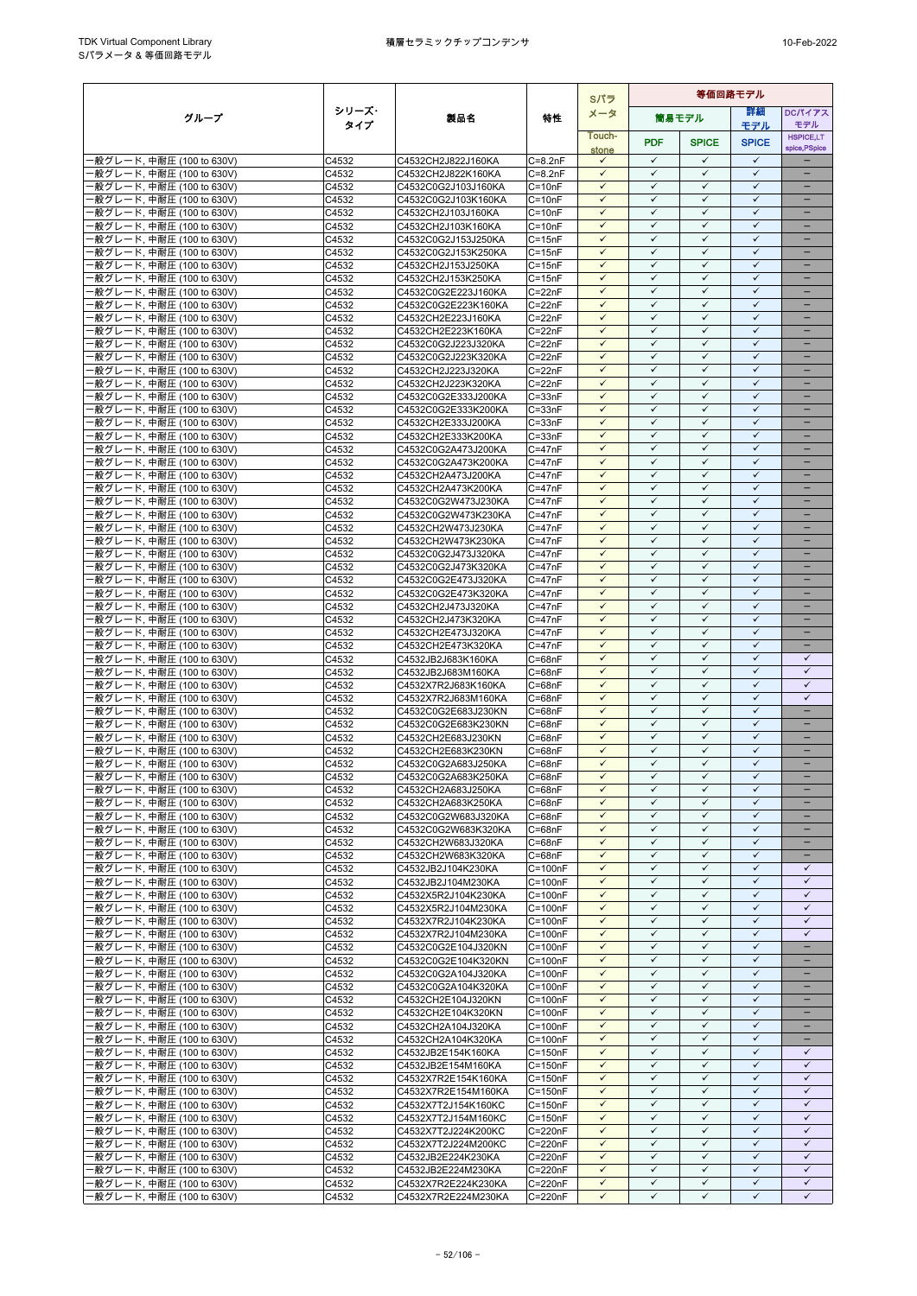|                                                        |                |                                            |                            | Sパラ                          |                              | 等価回路モデル                      |                              |                                      |
|--------------------------------------------------------|----------------|--------------------------------------------|----------------------------|------------------------------|------------------------------|------------------------------|------------------------------|--------------------------------------|
| グループ                                                   | シリーズ・          | 製品名                                        | 特性                         | メータ                          |                              | 筒易モデル                        | 詳細                           | <b>DCパイアス</b>                        |
|                                                        | タイプ            |                                            |                            | Touch-                       |                              |                              | モデル                          | モデル<br><b>HSPICE,LT</b>              |
|                                                        |                |                                            |                            | stone                        | <b>PDF</b>                   | <b>SPICE</b>                 | <b>SPICE</b>                 | spice, PSpice                        |
| -般グレード, 中耐圧 (100 to 630V)                              | C4532          | C4532CH2J822J160KA                         | $C = 8.2nF$                | $\checkmark$                 | $\checkmark$                 | $\checkmark$                 | $\checkmark$                 |                                      |
| ·般グレード. 中耐圧 (100 to 630V)                              | C4532          | C4532CH2J822K160KA                         | $C = 8.2nF$                | $\checkmark$                 | $\checkmark$                 | $\checkmark$                 | $\checkmark$                 |                                      |
| ·般グレード, 中耐圧 (100 to 630V)                              | C4532          | C4532C0G2J103J160KA                        | $C = 10nF$                 | $\checkmark$                 | $\checkmark$                 | $\checkmark$<br>$\checkmark$ | $\checkmark$<br>$\checkmark$ | $\qquad \qquad -$                    |
| ·般グレード, 中耐圧 (100 to 630V)<br>·般グレード, 中耐圧 (100 to 630V) | C4532<br>C4532 | C4532C0G2J103K160KA<br>C4532CH2J103J160KA  | $C = 10nF$<br>$C = 10nF$   | $\checkmark$<br>$\checkmark$ | $\checkmark$<br>✓            | $\checkmark$                 | $\checkmark$                 | -                                    |
| -般グレード, 中耐圧 (100 to 630V)                              | C4532          | C4532CH2J103K160KA                         | $C = 10nF$                 | $\checkmark$                 | $\checkmark$                 | $\checkmark$                 | $\checkmark$                 |                                      |
| ·般グレード, 中耐圧 (100 to 630V)                              | C4532          | C4532C0G2J153J250KA                        | $C = 15nF$                 | $\checkmark$                 | $\checkmark$                 | $\checkmark$                 | $\checkmark$                 | -                                    |
| ·般グレード, 中耐圧 (100 to 630V)                              | C4532          | C4532C0G2J153K250KA                        | $C = 15nF$                 | $\checkmark$                 | $\checkmark$                 | $\checkmark$                 | $\checkmark$                 |                                      |
| ·般グレード, 中耐圧 (100 to 630V)                              | C4532          | C4532CH2J153J250KA                         | $C = 15nF$                 | $\checkmark$                 | ✓                            | $\checkmark$                 | $\checkmark$                 |                                      |
| ·般グレード, 中耐圧 (100 to 630V)                              | C4532          | C4532CH2J153K250KA                         | $C = 15nF$                 | $\checkmark$                 | $\checkmark$                 | $\checkmark$                 | $\checkmark$                 | -                                    |
| ·般グレード, 中耐圧 (100 to 630V)<br>-般グレード, 中耐圧 (100 to 630V) | C4532<br>C4532 | C4532C0G2E223J160KA<br>C4532C0G2E223K160KA | $C = 22nF$<br>$C = 22nF$   | $\checkmark$<br>$\checkmark$ | ✓<br>$\checkmark$            | ✓<br>$\checkmark$            | ✓<br>$\checkmark$            |                                      |
| ·般グレード, 中耐圧 (100 to 630V)                              | C4532          | C4532CH2E223J160KA                         | C=22nF                     | $\checkmark$                 | $\checkmark$                 | $\checkmark$                 | $\checkmark$                 |                                      |
| ·般グレード, 中耐圧 (100 to 630V)                              | C4532          | C4532CH2E223K160KA                         | $C = 22nF$                 | $\checkmark$                 | $\checkmark$                 | $\checkmark$                 | $\checkmark$                 |                                      |
| -般グレード, 中耐圧 (100 to 630V)                              | C4532          | C4532C0G2J223J320KA                        | $C = 22nF$                 | $\checkmark$                 | $\checkmark$                 | $\checkmark$                 | $\checkmark$                 | $\overline{\phantom{0}}$             |
| ·般グレード, 中耐圧 (100 to 630V)                              | C4532          | C4532C0G2J223K320KA                        | $C = 22nF$                 | $\checkmark$                 | $\checkmark$                 | $\checkmark$                 | $\checkmark$                 |                                      |
| -般グレード, 中耐圧 (100 to 630V)                              | C4532          | C4532CH2J223J320KA                         | $C = 22nF$                 | $\checkmark$<br>$\checkmark$ | $\checkmark$<br>$\checkmark$ | $\checkmark$<br>$\checkmark$ | ✓<br>$\checkmark$            | $\qquad \qquad -$                    |
| -般グレード, 中耐圧 (100 to 630V)<br>-般グレード, 中耐圧 (100 to 630V) | C4532<br>C4532 | C4532CH2J223K320KA<br>C4532C0G2E333J200KA  | $C = 22nF$<br>$C = 33nF$   | $\checkmark$                 | $\checkmark$                 | $\checkmark$                 | $\checkmark$                 |                                      |
| ·般グレード, 中耐圧 (100 to 630V)                              | C4532          | C4532C0G2E333K200KA                        | $C = 33nF$                 | $\checkmark$                 | ✓                            | $\checkmark$                 | $\checkmark$                 |                                      |
| -般グレード, 中耐圧 (100 to 630V)                              | C4532          | C4532CH2E333J200KA                         | $C = 33nF$                 | $\checkmark$                 | $\checkmark$                 | $\checkmark$                 | $\checkmark$                 | $\overline{\phantom{0}}$             |
| ·般グレード, 中耐圧 (100 to 630V)                              | C4532          | C4532CH2E333K200KA                         | $C = 33nF$                 | $\checkmark$                 | $\checkmark$                 | $\checkmark$                 | $\checkmark$                 |                                      |
| ·般グレード, 中耐圧 (100 to 630V)                              | C4532          | C4532C0G2A473J200KA                        | $C = 47nF$                 | $\checkmark$                 | $\checkmark$                 | $\checkmark$                 | $\checkmark$                 | $\overline{\phantom{0}}$             |
| -般グレード, 中耐圧 (100 to 630V)                              | C4532          | C4532C0G2A473K200KA                        | $C = 47nF$                 | $\checkmark$<br>$\checkmark$ | $\checkmark$<br>$\checkmark$ | $\checkmark$<br>$\checkmark$ | $\checkmark$<br>$\checkmark$ | $\qquad \qquad -$                    |
| ·般グレード, 中耐圧 (100 to 630V)<br>·般グレード, 中耐圧 (100 to 630V) | C4532<br>C4532 | C4532CH2A473J200KA<br>C4532CH2A473K200KA   | $C = 47nF$<br>$C = 47nF$   | $\checkmark$                 | $\checkmark$                 | $\checkmark$                 | $\checkmark$                 | $\equiv$                             |
| ·般グレード, 中耐圧 (100 to 630V)                              | C4532          | C4532C0G2W473J230KA                        | $C = 47nF$                 | $\checkmark$                 | $\checkmark$                 | $\checkmark$                 | $\checkmark$                 | $\equiv$                             |
| ·般グレード, 中耐圧 (100 to 630V)                              | C4532          | C4532C0G2W473K230KA                        | $C = 47nF$                 | $\checkmark$                 | $\checkmark$                 | $\checkmark$                 | $\checkmark$                 |                                      |
| ·般グレード, 中耐圧 (100 to 630V)                              | C4532          | C4532CH2W473J230KA                         | $C = 47nF$                 | $\checkmark$                 | $\checkmark$                 | $\checkmark$                 | $\checkmark$                 | -                                    |
| ·般グレード, 中耐圧 (100 to 630V)                              | C4532          | C4532CH2W473K230KA                         | $C = 47nF$                 | ✓                            | ✓                            | ✓                            | ✓                            |                                      |
| -般グレード, 中耐圧 (100 to 630V)                              | C4532          | C4532C0G2J473J320KA                        | $C = 47nF$                 | $\checkmark$<br>$\checkmark$ | $\checkmark$<br>$\checkmark$ | $\checkmark$<br>$\checkmark$ | $\checkmark$<br>$\checkmark$ |                                      |
| ·般グレード, 中耐圧 (100 to 630V)<br>·般グレード, 中耐圧 (100 to 630V) | C4532<br>C4532 | C4532C0G2J473K320KA<br>C4532C0G2E473J320KA | $C = 47nF$<br>$C = 47nF$   | $\checkmark$                 | $\checkmark$                 | $\checkmark$                 | $\checkmark$                 |                                      |
| -般グレード, 中耐圧 (100 to 630V)                              | C4532          | C4532C0G2E473K320KA                        | $C = 47nF$                 | $\checkmark$                 | $\checkmark$                 | $\checkmark$                 | $\checkmark$                 | $\overline{\phantom{0}}$             |
| ·般グレード, 中耐圧 (100 to 630V)                              | C4532          | C4532CH2J473J320KA                         | $C = 47nF$                 | $\checkmark$                 | $\checkmark$                 | $\checkmark$                 | $\checkmark$                 |                                      |
| -般グレード, 中耐圧 (100 to 630V)                              | C4532          | C4532CH2J473K320KA                         | $C = 47nF$                 | $\checkmark$                 | ✓                            | $\checkmark$                 | ✓                            |                                      |
| -般グレード, 中耐圧 (100 to 630V)                              | C4532          | C4532CH2E473J320KA                         | $C = 47nF$                 | $\checkmark$                 | $\checkmark$                 | $\checkmark$                 | $\checkmark$                 |                                      |
| -般グレード, 中耐圧 (100 to 630V)                              | C4532          | C4532CH2E473K320KA                         | $C = 47nF$                 | $\checkmark$<br>$\checkmark$ | $\checkmark$<br>$\checkmark$ | $\checkmark$<br>$\checkmark$ | $\checkmark$<br>$\checkmark$ | $\checkmark$                         |
| ·般グレード, 中耐圧 (100 to 630V)<br>-般グレード, 中耐圧 (100 to 630V) | C4532<br>C4532 | C4532JB2J683K160KA<br>C4532JB2J683M160KA   | $C = 68nF$<br>$C = 68nF$   | $\checkmark$                 | $\checkmark$                 | $\checkmark$                 | $\checkmark$                 | $\checkmark$                         |
| ·般グレード, 中耐圧 (100 to 630V)                              | C4532          | C4532X7R2J683K160KA                        | $C = 68nF$                 | $\checkmark$                 | $\checkmark$                 | $\checkmark$                 | $\checkmark$                 | $\checkmark$                         |
| -般グレード, 中耐圧 (100 to 630V)                              | C4532          | C4532X7R2J683M160KA                        | $C = 68nF$                 | $\checkmark$                 | ✓                            | ✓                            | ✓                            | $\checkmark$                         |
| -般グレード, 中耐圧 (100 to 630V)                              | C4532          | C4532C0G2E683J230KN                        | $C = 68nF$                 | $\checkmark$                 | $\checkmark$                 | $\checkmark$                 | $\checkmark$                 |                                      |
| -般グレード, 中耐圧 (100 to 630V)                              | C4532          | C4532C0G2E683K230KN                        | $C = 68nF$                 | $\checkmark$                 | $\checkmark$                 | $\checkmark$                 | $\checkmark$                 |                                      |
| ·般グレード, 中耐圧 (100 to 630V)                              | C4532          | C4532CH2E683J230KN                         | $C = 68nF$                 | $\checkmark$<br>$\checkmark$ | $\checkmark$<br>$\checkmark$ | $\checkmark$<br>$\checkmark$ | $\checkmark$<br>$\checkmark$ | $\equiv$<br>$\overline{\phantom{0}}$ |
| ·般グレード, 中耐圧 (100 to 630V)<br>·般グレード, 中耐圧 (100 to 630V) | C4532<br>C4532 | C4532CH2E683K230KN<br>C4532C0G2A683J250KA  | $C = 68nF$<br>$C = 68nF$   | $\checkmark$                 | $\checkmark$                 | $\checkmark$                 | $\checkmark$                 |                                      |
| ·般グレード, 中耐圧 (100 to 630V)                              | C4532          | C4532C0G2A683K250KA                        | $C = 68nF$                 | $\checkmark$                 | $\checkmark$                 | $\checkmark$                 | $\checkmark$                 |                                      |
| ·般グレード, 中耐圧 (100 to 630V)                              | C4532          | C4532CH2A683J250KA                         | $C = 68nF$                 | $\checkmark$                 | $\checkmark$                 | $\checkmark$                 | $\checkmark$                 |                                      |
| -般グレード, 中耐圧 (100 to 630V)                              | C4532          | C4532CH2A683K250KA                         | $C = 68nF$                 | $\checkmark$                 | $\checkmark$                 | $\checkmark$                 | $\checkmark$                 |                                      |
| -般グレード, 中耐圧 (100 to 630V)                              | C4532          | C4532C0G2W683J320KA                        | $C = 68nF$                 | $\checkmark$                 | $\checkmark$                 | $\checkmark$                 | $\checkmark$                 |                                      |
| ·般グレード, 中耐圧 (100 to 630V)                              | C4532          | C4532C0G2W683K320KA                        | $C = 68nF$                 | $\checkmark$                 | ✓                            | $\checkmark$                 | ✓                            |                                      |
| -般グレード, 中耐圧 (100 to 630V)<br>-般グレード, 中耐圧 (100 to 630V) | C4532<br>C4532 | C4532CH2W683J320KA<br>C4532CH2W683K320KA   | $C = 68nF$<br>$C = 68nF$   | $\checkmark$<br>$\checkmark$ | $\checkmark$<br>$\checkmark$ | $\checkmark$<br>$\checkmark$ | $\checkmark$<br>✓            | $\qquad \qquad -$                    |
| -般グレード, 中耐圧 (100 to 630V)                              | C4532          | C4532JB2J104K230KA                         | $C = 100nF$                | $\checkmark$                 | ✓                            | $\checkmark$                 | ✓                            | $\checkmark$                         |
| -般グレード, 中耐圧 (100 to 630V)                              | C4532          | C4532JB2J104M230KA                         | $C = 100nF$                | $\checkmark$                 | $\checkmark$                 | $\checkmark$                 | $\checkmark$                 | $\checkmark$                         |
| -般グレード, 中耐圧 (100 to 630V)                              | C4532          | C4532X5R2J104K230KA                        | $C = 100nF$                | $\checkmark$                 | $\checkmark$                 | $\checkmark$                 | $\checkmark$                 | $\checkmark$                         |
| 般グレード, 中耐圧 (100 to 630V)                               | C4532          | C4532X5R2J104M230KA                        | $C = 100nF$                | $\checkmark$                 | ✓                            | $\checkmark$                 | $\checkmark$                 | $\checkmark$                         |
| -般グレード, 中耐圧 (100 to 630V)                              | C4532          | C4532X7R2J104K230KA                        | C=100nF                    | $\checkmark$<br>$\checkmark$ | $\checkmark$<br>$\checkmark$ | $\checkmark$<br>$\checkmark$ | $\checkmark$<br>$\checkmark$ | $\checkmark$<br>$\checkmark$         |
| ·般グレード, 中耐圧 (100 to 630V)<br>-般グレード, 中耐圧 (100 to 630V) | C4532<br>C4532 | C4532X7R2J104M230KA<br>C4532C0G2E104J320KN | $C = 100nF$<br>$C = 100nF$ | ✓                            | ✓                            | ✓                            | ✓                            |                                      |
| -般グレード, 中耐圧 (100 to 630V)                              | C4532          | C4532C0G2E104K320KN                        | $C = 100nF$                | $\checkmark$                 | $\checkmark$                 | $\checkmark$                 | $\checkmark$                 | $\qquad \qquad -$                    |
| ·般グレード, 中耐圧 (100 to 630V)                              | C4532          | C4532C0G2A104J320KA                        | $C = 100nF$                | $\checkmark$                 | $\checkmark$                 | $\checkmark$                 | $\checkmark$                 |                                      |
| ·般グレード, 中耐圧 (100 to 630V)                              | C4532          | C4532C0G2A104K320KA                        | $C = 100nF$                | $\checkmark$                 | ✓                            | ✓                            | ✓                            |                                      |
| -般グレード, 中耐圧 (100 to 630V)                              | C4532          | C4532CH2E104J320KN                         | $C = 100nF$                | $\checkmark$                 | $\checkmark$                 | $\checkmark$                 | $\checkmark$                 | $\overline{\phantom{0}}$             |
| ·般グレード, 中耐圧 (100 to 630V)                              | C4532          | C4532CH2E104K320KN                         | $C = 100nF$                | $\checkmark$                 | $\checkmark$<br>$\checkmark$ | $\checkmark$<br>$\checkmark$ | ✓<br>$\checkmark$            |                                      |
| ·般グレード, 中耐圧 (100 to 630V)<br>·般グレード, 中耐圧 (100 to 630V) | C4532<br>C4532 | C4532CH2A104J320KA<br>C4532CH2A104K320KA   | $C = 100nF$<br>$C = 100nF$ | $\checkmark$<br>✓            | $\checkmark$                 | $\checkmark$                 | ✓                            | $\qquad \qquad -$                    |
| ·般グレード, 中耐圧 (100 to 630V)                              | C4532          | C4532JB2E154K160KA                         | $C = 150nF$                | $\checkmark$                 | $\checkmark$                 | $\checkmark$                 | $\checkmark$                 | $\checkmark$                         |
| ·般グレード, 中耐圧 (100 to 630V)                              | C4532          | C4532JB2E154M160KA                         | $C = 150nF$                | $\checkmark$                 | ✓                            | $\checkmark$                 | $\checkmark$                 | $\checkmark$                         |
| ·般グレード, 中耐圧 (100 to 630V)                              | C4532          | C4532X7R2E154K160KA                        | $C = 150nF$                | $\checkmark$                 | $\checkmark$                 | $\checkmark$                 | $\checkmark$                 | $\checkmark$                         |
| ·般グレード, 中耐圧 (100 to 630V)                              | C4532          | C4532X7R2E154M160KA                        | $C = 150nF$                | $\checkmark$                 | $\checkmark$                 | $\checkmark$                 | $\checkmark$                 | $\checkmark$                         |
| ·般グレード, 中耐圧 (100 to 630V)                              | C4532          | C4532X7T2J154K160KC                        | $C = 150nF$                | $\checkmark$                 | $\checkmark$                 | $\checkmark$                 | $\checkmark$                 | $\checkmark$                         |
| -般グレード, 中耐圧 (100 to 630V)<br>-般グレード, 中耐圧 (100 to 630V) | C4532<br>C4532 | C4532X7T2J154M160KC<br>C4532X7T2J224K200KC | $C = 150nF$<br>C=220nF     | $\checkmark$<br>$\checkmark$ | ✓<br>$\checkmark$            | $\checkmark$<br>$\checkmark$ | ✓<br>$\checkmark$            | $\checkmark$<br>$\checkmark$         |
| -般グレード, 中耐圧 (100 to 630V)                              | C4532          | C4532X7T2J224M200KC                        | C=220nF                    | $\checkmark$                 | $\checkmark$                 | $\checkmark$                 | $\checkmark$                 | $\checkmark$                         |
| ·般グレード, 中耐圧 (100 to 630V)                              | C4532          | C4532JB2E224K230KA                         | C=220nF                    | $\checkmark$                 | $\checkmark$                 | $\checkmark$                 | $\checkmark$                 | $\checkmark$                         |
| -般グレード, 中耐圧 (100 to 630V)                              | C4532          | C4532JB2E224M230KA                         | C=220nF                    | $\checkmark$                 | $\checkmark$                 | $\checkmark$                 | $\checkmark$                 | $\checkmark$                         |
| -般グレード, 中耐圧 (100 to 630V)                              | C4532          | C4532X7R2E224K230KA                        | $C = 220nF$                | $\checkmark$                 | $\checkmark$                 | $\checkmark$                 | $\checkmark$                 | $\checkmark$                         |
| ·般グレード, 中耐圧 (100 to 630V)                              | C4532          | C4532X7R2E224M230KA                        | $C = 220nF$                | ✓                            | ✓                            | ✓                            | ✓                            | ✓                                    |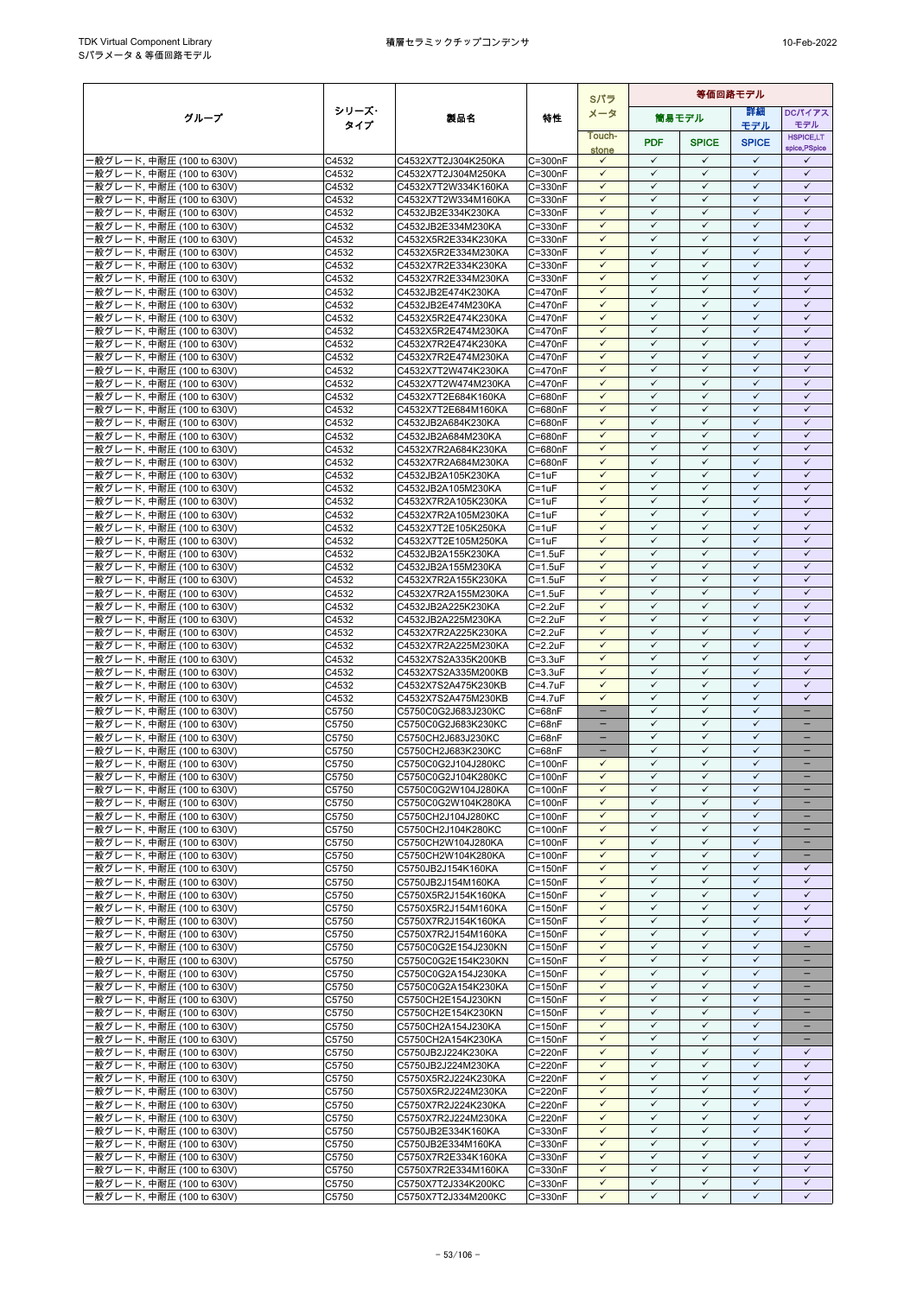|                                                        |                |                                            |                                    | Sパラ                          | 等価回路モデル                      |                              |                              |                                               |
|--------------------------------------------------------|----------------|--------------------------------------------|------------------------------------|------------------------------|------------------------------|------------------------------|------------------------------|-----------------------------------------------|
| グループ                                                   | シリーズ・          | 製品名                                        | 特性                                 | メータ                          |                              | 筒易モデル                        | 詳細                           | <b>DCパイアス</b>                                 |
|                                                        | タイプ            |                                            |                                    | Touch-                       |                              |                              | モデル                          | モデル<br><b>HSPICE,LT</b>                       |
|                                                        |                |                                            |                                    | stone                        | <b>PDF</b>                   | <b>SPICE</b>                 | <b>SPICE</b>                 | spice, PSpice                                 |
| -般グレード, 中耐圧 (100 to 630V)                              | C4532          | C4532X7T2J304K250KA                        | C=300nF                            | $\checkmark$                 | $\checkmark$                 | $\checkmark$                 | $\checkmark$                 | ✓                                             |
| -般グレード, 中耐圧 (100 to 630V)                              | C4532          | C4532X7T2J304M250KA                        | $C = 300nF$                        | $\checkmark$                 | $\checkmark$                 | $\checkmark$                 | $\checkmark$                 | $\checkmark$                                  |
| ·般グレード, 中耐圧 (100 to 630V)                              | C4532          | C4532X7T2W334K160KA                        | C=330nF                            | $\checkmark$<br>$\checkmark$ | $\checkmark$<br>$\checkmark$ | $\checkmark$<br>$\checkmark$ | $\checkmark$<br>$\checkmark$ | $\checkmark$<br>$\checkmark$                  |
| ·般グレード, 中耐圧 (100 to 630V)<br>·般グレード, 中耐圧 (100 to 630V) | C4532<br>C4532 | C4532X7T2W334M160KA<br>C4532JB2E334K230KA  | C=330nF<br>C=330nF                 | $\checkmark$                 | $\checkmark$                 | $\checkmark$                 | $\checkmark$                 | $\checkmark$                                  |
| ·般グレード, 中耐圧 (100 to 630V)                              | C4532          | C4532JB2E334M230KA                         | C=330nF                            | $\checkmark$                 | ✓                            | ✓                            | $\checkmark$                 | ✓                                             |
| ·般グレード, 中耐圧 (100 to 630V)                              | C4532          | C4532X5R2E334K230KA                        | C=330nF                            | $\checkmark$                 | $\checkmark$                 | $\checkmark$                 | $\checkmark$                 | $\checkmark$                                  |
| ·般グレード, 中耐圧 (100 to 630V)                              | C4532          | C4532X5R2E334M230KA                        | C=330nF                            | $\checkmark$                 | $\checkmark$                 | $\checkmark$                 | $\checkmark$                 | $\checkmark$                                  |
| ·般グレード, 中耐圧 (100 to 630V)                              | C4532          | C4532X7R2E334K230KA                        | C=330nF                            | $\checkmark$                 | $\checkmark$                 | $\checkmark$                 | $\checkmark$                 | $\checkmark$                                  |
| ·般グレード, 中耐圧 (100 to 630V)                              | C4532          | C4532X7R2E334M230KA                        | C=330nF                            | $\checkmark$                 | $\checkmark$                 | $\checkmark$                 | $\checkmark$                 | $\checkmark$                                  |
| ·般グレード, 中耐圧 (100 to 630V)<br>·般グレード, 中耐圧 (100 to 630V) | C4532<br>C4532 | C4532JB2E474K230KA<br>C4532JB2E474M230KA   | C=470nF<br>C=470nF                 | $\checkmark$<br>$\checkmark$ | ✓<br>$\checkmark$            | ✓<br>$\checkmark$            | ✓<br>$\checkmark$            | ✓<br>$\checkmark$                             |
| ·般グレード, 中耐圧 (100 to 630V)                              | C4532          | C4532X5R2E474K230KA                        | C=470nF                            | $\checkmark$                 | $\checkmark$                 | $\checkmark$                 | $\checkmark$                 | $\checkmark$                                  |
| ·般グレード, 中耐圧 (100 to 630V)                              | C4532          | C4532X5R2E474M230KA                        | C=470nF                            | $\checkmark$                 | $\checkmark$                 | $\checkmark$                 | $\checkmark$                 | $\checkmark$                                  |
| ·般グレード, 中耐圧 (100 to 630V)                              | C4532          | C4532X7R2E474K230KA                        | $C = 470nF$                        | $\checkmark$                 | $\checkmark$                 | $\checkmark$                 | $\checkmark$                 | $\checkmark$                                  |
| ·般グレード, 中耐圧 (100 to 630V)                              | C4532          | C4532X7R2E474M230KA                        | C=470nF                            | $\checkmark$                 | $\checkmark$                 | $\checkmark$                 | $\checkmark$                 | $\checkmark$                                  |
| ·般グレード, 中耐圧 (100 to 630V)                              | C4532          | C4532X7T2W474K230KA                        | C=470nF                            | $\checkmark$<br>$\checkmark$ | $\checkmark$<br>$\checkmark$ | $\checkmark$<br>$\checkmark$ | $\checkmark$<br>$\checkmark$ | $\checkmark$<br>$\checkmark$                  |
| ·般グレード, 中耐圧 (100 to 630V)<br>·般グレード, 中耐圧 (100 to 630V) | C4532<br>C4532 | C4532X7T2W474M230KA<br>C4532X7T2E684K160KA | C=470nF<br>C=680nF                 | $\checkmark$                 | $\checkmark$                 | $\checkmark$                 | $\checkmark$                 | $\checkmark$                                  |
| 般グレード, 中耐圧 (100 to 630V)                               | C4532          | C4532X7T2E684M160KA                        | C=680nF                            | $\checkmark$                 | $\checkmark$                 | ✓                            | $\checkmark$                 | $\checkmark$                                  |
| ·般グレード, 中耐圧 (100 to 630V)                              | C4532          | C4532JB2A684K230KA                         | C=680nF                            | $\checkmark$                 | $\checkmark$                 | $\checkmark$                 | $\checkmark$                 | $\checkmark$                                  |
| ·般グレード, 中耐圧 (100 to 630V)                              | C4532          | C4532JB2A684M230KA                         | C=680nF                            | $\checkmark$                 | $\checkmark$                 | $\checkmark$                 | $\checkmark$                 | $\checkmark$                                  |
| ·般グレード, 中耐圧 (100 to 630V)                              | C4532          | C4532X7R2A684K230KA                        | C=680nF                            | $\checkmark$                 | $\checkmark$                 | $\checkmark$                 | $\checkmark$                 | $\checkmark$                                  |
| -般グレード, 中耐圧 (100 to 630V)                              | C4532          | C4532X7R2A684M230KA                        | C=680nF                            | $\checkmark$<br>$\checkmark$ | $\checkmark$<br>$\checkmark$ | $\checkmark$<br>$\checkmark$ | $\checkmark$<br>$\checkmark$ | $\checkmark$<br>$\checkmark$                  |
| ·般グレード, 中耐圧 (100 to 630V)<br>·般グレード, 中耐圧 (100 to 630V) | C4532<br>C4532 | C4532JB2A105K230KA<br>C4532JB2A105M230KA   | $C = 1uF$<br>$C = 1uF$             | $\checkmark$                 | $\checkmark$                 | $\checkmark$                 | $\checkmark$                 | $\checkmark$                                  |
| ·般グレード, 中耐圧 (100 to 630V)                              | C4532          | C4532X7R2A105K230KA                        | $C = 1uF$                          | $\checkmark$                 | $\checkmark$                 | $\checkmark$                 | $\checkmark$                 | $\checkmark$                                  |
| ·般グレード, 中耐圧 (100 to 630V)                              | C4532          | C4532X7R2A105M230KA                        | $C = 1uF$                          | $\checkmark$                 | $\checkmark$                 | $\checkmark$                 | $\checkmark$                 | $\checkmark$                                  |
| ·般グレード, 中耐圧 (100 to 630V)                              | C4532          | C4532X7T2E105K250KA                        | $C = 1uF$                          | $\checkmark$                 | $\checkmark$                 | $\checkmark$                 | $\checkmark$                 | $\checkmark$                                  |
| ·般グレード, 中耐圧 (100 to 630V)                              | C4532          | C4532X7T2E105M250KA                        | $C = 1uF$                          | $\checkmark$                 | $\checkmark$                 | ✓                            | ✓                            | $\checkmark$                                  |
| ·般グレード, 中耐圧 (100 to 630V)                              | C4532          | C4532JB2A155K230KA                         | $C = 1.5$ u $F$                    | $\checkmark$<br>$\checkmark$ | $\checkmark$<br>$\checkmark$ | $\checkmark$<br>$\checkmark$ | $\checkmark$<br>$\checkmark$ | $\checkmark$<br>$\checkmark$                  |
| ·般グレード, 中耐圧 (100 to 630V)<br>·般グレード, 中耐圧 (100 to 630V) | C4532<br>C4532 | C4532JB2A155M230KA<br>C4532X7R2A155K230KA  | $C = 1.5$ u $F$<br>$C = 1.5$ u $F$ | $\checkmark$                 | $\checkmark$                 | $\checkmark$                 | $\checkmark$                 | $\checkmark$                                  |
| ·般グレード, 中耐圧 (100 to 630V)                              | C4532          | C4532X7R2A155M230KA                        | $C = 1.5$ u $F$                    | $\checkmark$                 | $\checkmark$                 | $\checkmark$                 | $\checkmark$                 | $\checkmark$                                  |
| ·般グレード, 中耐圧 (100 to 630V)                              | C4532          | C4532JB2A225K230KA                         | $C = 2.2uF$                        | $\checkmark$                 | $\checkmark$                 | $\checkmark$                 | $\checkmark$                 | $\checkmark$                                  |
| ·般グレード, 中耐圧 (100 to 630V)                              | C4532          | C4532JB2A225M230KA                         | $C = 2.2uF$                        | $\checkmark$                 | $\checkmark$                 | $\checkmark$                 | $\checkmark$                 | $\checkmark$                                  |
| ·般グレード, 中耐圧 (100 to 630V)                              | C4532          | C4532X7R2A225K230KA                        | $C = 2.2uF$                        | $\checkmark$                 | $\checkmark$                 | $\checkmark$                 | $\checkmark$                 | $\checkmark$                                  |
| ·般グレード, 中耐圧 (100 to 630V)                              | C4532          | C4532X7R2A225M230KA                        | $C = 2.2uF$                        | $\checkmark$<br>$\checkmark$ | $\checkmark$<br>$\checkmark$ | $\checkmark$<br>$\checkmark$ | $\checkmark$<br>$\checkmark$ | $\checkmark$<br>$\checkmark$                  |
| ·般グレード, 中耐圧 (100 to 630V)<br>-般グレード, 中耐圧 (100 to 630V) | C4532<br>C4532 | C4532X7S2A335K200KB<br>C4532X7S2A335M200KB | $C = 3.3uF$<br>$C = 3.3uF$         | $\checkmark$                 | $\checkmark$                 | $\checkmark$                 | $\checkmark$                 | $\checkmark$                                  |
| ·般グレード, 中耐圧 (100 to 630V)                              | C4532          | C4532X7S2A475K230KB                        | C=4.7uF                            | $\checkmark$                 | $\checkmark$                 | $\checkmark$                 | $\checkmark$                 | $\checkmark$                                  |
| -般グレード, 中耐圧 (100 to 630V)                              | C4532          | C4532X7S2A475M230KB                        | C=4.7uF                            | $\checkmark$                 | $\checkmark$                 | ✓                            | $\checkmark$                 | ✓                                             |
| -般グレード, 中耐圧 (100 to 630V)                              | C5750          | C5750C0G2J683J230KC                        | $C = 68nF$                         | $\overline{\phantom{a}}$     | $\checkmark$                 | $\checkmark$                 | $\checkmark$                 | ÷                                             |
| ·般グレード, 中耐圧 (100 to 630V)                              | C5750          | C5750C0G2J683K230KC                        | $C = 68nF$                         |                              | $\checkmark$                 | $\checkmark$                 | $\checkmark$                 |                                               |
| -般グレード, 中耐圧 (100 to 630V)                              | C5750          | C5750CH2J683J230KC                         | $C = 68nF$                         | $\equiv$                     | $\checkmark$<br>$\checkmark$ | $\checkmark$<br>$\checkmark$ | $\checkmark$<br>$\checkmark$ | ۳<br>÷                                        |
| ·般グレード, 中耐圧 (100 to 630V)<br>·般グレード, 中耐圧 (100 to 630V) | C5750<br>C5750 | C5750CH2J683K230KC<br>C5750C0G2J104J280KC  | $C = 68nF$<br>$C = 100nF$          | $\checkmark$                 | $\checkmark$                 | $\checkmark$                 | $\checkmark$                 | -                                             |
| ·般グレード, 中耐圧 (100 to 630V)                              | C5750          | C5750C0G2J104K280KC                        | $C = 100nF$                        | $\checkmark$                 | $\checkmark$                 | $\checkmark$                 | $\checkmark$                 | -                                             |
| -般グレード, 中耐圧 (100 to 630V)                              | C5750          | C5750C0G2W104J280KA                        | $C = 100nF$                        | $\checkmark$                 | $\checkmark$                 | $\checkmark$                 | $\checkmark$                 |                                               |
| ·般グレード, 中耐圧 (100 to 630V)                              | C5750          | C5750C0G2W104K280KA                        | $C = 100nF$                        | $\checkmark$                 | $\checkmark$                 | $\checkmark$                 | $\checkmark$                 |                                               |
| ·般グレード, 中耐圧 (100 to 630V)                              | C5750          | C5750CH2J104J280KC                         | $C = 100nF$                        | $\checkmark$                 | $\checkmark$                 | $\checkmark$                 | $\checkmark$                 | -                                             |
| -般グレード, 中耐圧 (100 to 630V)                              | C5750          | C5750CH2J104K280KC                         | $C = 100nF$                        | $\checkmark$                 | $\checkmark$<br>$\checkmark$ | $\checkmark$                 | $\checkmark$                 |                                               |
| ·般グレード, 中耐圧 (100 to 630V)<br>·般グレード, 中耐圧 (100 to 630V) | C5750<br>C5750 | C5750CH2W104J280KA<br>C5750CH2W104K280KA   | $C = 100nF$<br>$C = 100nF$         | $\checkmark$<br>$\checkmark$ | $\checkmark$                 | $\checkmark$<br>$\checkmark$ | $\checkmark$<br>$\checkmark$ | $\overline{\phantom{0}}$<br>$\qquad \qquad -$ |
| ·般グレード, 中耐圧 (100 to 630V)                              | C5750          | C5750JB2J154K160KA                         | $C = 150nF$                        | $\checkmark$                 | $\checkmark$                 | $\checkmark$                 | $\checkmark$                 | $\checkmark$                                  |
| -般グレード, 中耐圧 (100 to 630V)                              | C5750          | C5750JB2J154M160KA                         | $C = 150nF$                        | $\checkmark$                 | $\checkmark$                 | $\checkmark$                 | $\checkmark$                 | $\checkmark$                                  |
| -般グレード, 中耐圧 (100 to 630V)                              | C5750          | C5750X5R2J154K160KA                        | $C = 150nF$                        | $\checkmark$                 | $\checkmark$                 | $\checkmark$                 | $\checkmark$                 | $\checkmark$                                  |
| ·般グレード, 中耐圧 (100 to 630V)                              | C5750          | C5750X5R2J154M160KA                        | $C = 150nF$                        | $\checkmark$                 | $\checkmark$                 | $\checkmark$                 | $\checkmark$                 | $\checkmark$                                  |
| -般グレード, 中耐圧 (100 to 630V)                              | C5750          | C5750X7R2J154K160KA                        | $C = 150nF$                        | $\checkmark$<br>$\checkmark$ | $\checkmark$<br>$\checkmark$ | $\checkmark$<br>$\checkmark$ | $\checkmark$<br>$\checkmark$ | $\checkmark$<br>$\checkmark$                  |
| ·般グレード, 中耐圧 (100 to 630V)<br>·般グレード, 中耐圧 (100 to 630V) | C5750<br>C5750 | C5750X7R2J154M160KA<br>C5750C0G2E154J230KN | $C = 150nF$<br>$C = 150nF$         | $\checkmark$                 | ✓                            | ✓                            | ✓                            |                                               |
| -般グレード, 中耐圧 (100 to 630V)                              | C5750          | C5750C0G2E154K230KN                        | $C = 150nF$                        | $\checkmark$                 | $\checkmark$                 | $\checkmark$                 | $\checkmark$                 | -                                             |
| ·般グレード, 中耐圧 (100 to 630V)                              | C5750          | C5750C0G2A154J230KA                        | $C = 150nF$                        | $\checkmark$                 | $\checkmark$                 | $\checkmark$                 | $\checkmark$                 |                                               |
| ·般グレード, 中耐圧 (100 to 630V)                              | C5750          | C5750C0G2A154K230KA                        | $C = 150nF$                        | $\checkmark$                 | $\checkmark$                 | $\checkmark$                 | ✓                            | -                                             |
| -般グレード, 中耐圧 (100 to 630V)                              | C5750          | C5750CH2E154J230KN                         | $C = 150nF$                        | $\checkmark$                 | $\checkmark$                 | $\checkmark$                 | $\checkmark$                 | $\overline{\phantom{0}}$                      |
| ·般グレード, 中耐圧 (100 to 630V)                              | C5750          | C5750CH2E154K230KN                         | $C = 150nF$                        | $\checkmark$                 | $\checkmark$                 | ✓                            | $\checkmark$                 |                                               |
| ·般グレード, 中耐圧 (100 to 630V)<br>·般グレード, 中耐圧 (100 to 630V) | C5750<br>C5750 | C5750CH2A154J230KA<br>C5750CH2A154K230KA   | $C = 150nF$<br>$C = 150nF$         | $\checkmark$<br>$\checkmark$ | $\checkmark$<br>$\checkmark$ | $\checkmark$<br>$\checkmark$ | $\checkmark$<br>$\checkmark$ | $\qquad \qquad -$                             |
| ·般グレード, 中耐圧 (100 to 630V)                              | C5750          | C5750JB2J224K230KA                         | $C = 220nF$                        | $\checkmark$                 | $\checkmark$                 | $\checkmark$                 | $\checkmark$                 | $\checkmark$                                  |
| ·般グレード, 中耐圧 (100 to 630V)                              | C5750          | C5750JB2J224M230KA                         | C=220nF                            | $\checkmark$                 | $\checkmark$                 | $\checkmark$                 | $\checkmark$                 | $\checkmark$                                  |
| ·般グレード, 中耐圧 (100 to 630V)                              | C5750          | C5750X5R2J224K230KA                        | C=220nF                            | $\checkmark$                 | $\checkmark$                 | $\checkmark$                 | $\checkmark$                 | $\checkmark$                                  |
| ·般グレード, 中耐圧 (100 to 630V)                              | C5750          | C5750X5R2J224M230KA                        | C=220nF                            | $\checkmark$                 | $\checkmark$                 | $\checkmark$                 | $\checkmark$                 | $\checkmark$                                  |
| ·般グレード, 中耐圧 (100 to 630V)                              | C5750          | C5750X7R2J224K230KA                        | C=220nF                            | $\checkmark$                 | $\checkmark$                 | $\checkmark$                 | $\checkmark$                 | $\checkmark$                                  |
| ·般グレード, 中耐圧 (100 to 630V)<br>·般グレード, 中耐圧 (100 to 630V) | C5750<br>C5750 | C5750X7R2J224M230KA<br>C5750JB2E334K160KA  | C=220nF<br>C=330nF                 | $\checkmark$<br>$\checkmark$ | $\checkmark$<br>$\checkmark$ | $\checkmark$<br>$\checkmark$ | ✓<br>$\checkmark$            | $\checkmark$<br>$\checkmark$                  |
| ·般グレード, 中耐圧 (100 to 630V)                              | C5750          | C5750JB2E334M160KA                         | C=330nF                            | $\checkmark$                 | $\checkmark$                 | $\checkmark$                 | $\checkmark$                 | $\checkmark$                                  |
| ·般グレード, 中耐圧 (100 to 630V)                              | C5750          | C5750X7R2E334K160KA                        | C=330nF                            | $\checkmark$                 | $\checkmark$                 | $\checkmark$                 | $\checkmark$                 | $\checkmark$                                  |
| -般グレード, 中耐圧 (100 to 630V)                              | C5750          | C5750X7R2E334M160KA                        | C=330nF                            | $\checkmark$                 | $\checkmark$                 | $\checkmark$                 | $\checkmark$                 | $\checkmark$                                  |
| ·般グレード, 中耐圧 (100 to 630V)                              | C5750          | C5750X7T2J334K200KC                        | $C = 330nF$                        | $\checkmark$                 | $\checkmark$                 | $\checkmark$                 | $\checkmark$                 | $\checkmark$                                  |
| ·般グレード, 中耐圧 (100 to 630V)                              | C5750          | C5750X7T2J334M200KC                        | C=330nF                            | ✓                            | ✓                            | ✓                            | ✓                            | ✓                                             |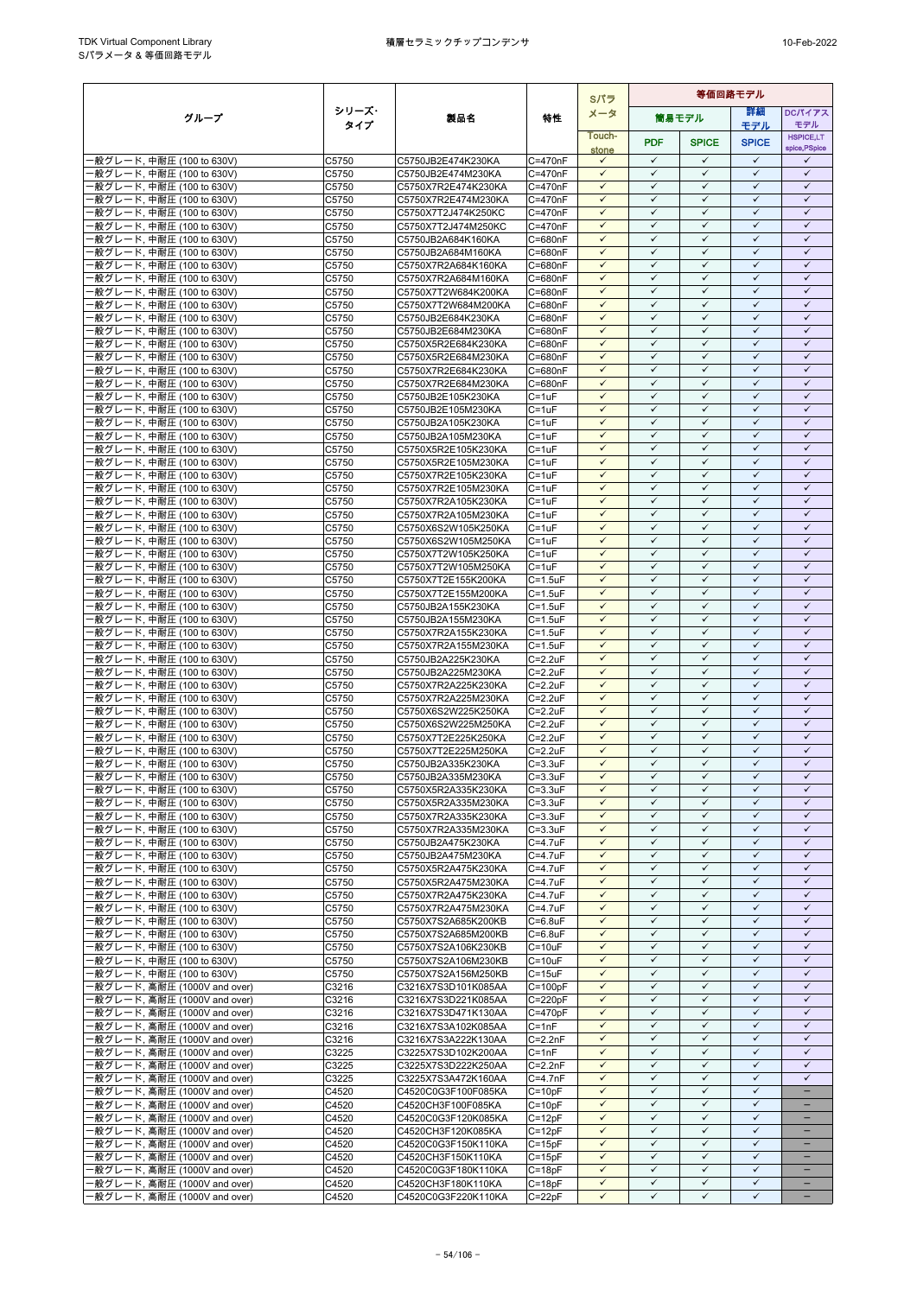|                                                              |                |                                            |                                    | Sパラ                          | 等価回路モデル                      |                              |                              |                                   |
|--------------------------------------------------------------|----------------|--------------------------------------------|------------------------------------|------------------------------|------------------------------|------------------------------|------------------------------|-----------------------------------|
| グループ                                                         | シリーズ・          | 製品名                                        | 特性                                 | メータ                          |                              | 筒易モデル                        | 詳細                           | <b>DCパイアス</b>                     |
|                                                              | タイプ            |                                            |                                    | Touch-                       |                              |                              | モデル                          | モデル                               |
|                                                              |                |                                            |                                    |                              | <b>PDF</b>                   | <b>SPICE</b>                 | <b>SPICE</b>                 | <b>HSPICE,LT</b><br>spice, PSpice |
| -般グレード, 中耐圧 (100 to 630V)                                    | C5750          | C5750JB2E474K230KA                         | C=470nF                            | stone<br>$\checkmark$        | $\checkmark$                 | $\checkmark$                 | $\checkmark$                 | ✓                                 |
| ·般グレード, 中耐圧 (100 to 630V)                                    | C5750          | C5750JB2E474M230KA                         | $C = 470nF$                        | $\checkmark$                 | $\checkmark$                 | $\checkmark$                 | $\checkmark$                 | $\checkmark$                      |
| ·般グレード, 中耐圧 (100 to 630V)                                    | C5750          | C5750X7R2E474K230KA                        | $C = 470nF$                        | $\checkmark$                 | $\checkmark$                 | $\checkmark$                 | $\checkmark$                 | $\checkmark$                      |
| ·般グレード, 中耐圧 (100 to 630V)                                    | C5750          | C5750X7R2E474M230KA                        | C=470nF                            | $\checkmark$                 | $\checkmark$                 | ✓                            | $\checkmark$                 | $\checkmark$                      |
| ·般グレード, 中耐圧 (100 to 630V)                                    | C5750          | C5750X7T2J474K250KC                        | $C = 470nF$                        | $\checkmark$                 | $\checkmark$                 | $\checkmark$                 | ✓                            | $\checkmark$                      |
| -般グレード, 中耐圧 (100 to 630V)                                    | C5750          | C5750X7T2J474M250KC                        | C=470nF                            | $\checkmark$                 | $\checkmark$                 | ✓                            | ✓                            | $\checkmark$                      |
| ·般グレード, 中耐圧 (100 to 630V)                                    | C5750          | C5750JB2A684K160KA                         | C=680nF                            | $\checkmark$                 | $\checkmark$                 | $\checkmark$                 | $\checkmark$                 | $\checkmark$                      |
| ·般グレード, 中耐圧 (100 to 630V)                                    | C5750          | C5750JB2A684M160KA                         | C=680nF                            | $\checkmark$                 | $\checkmark$                 | $\checkmark$                 | $\checkmark$                 | $\checkmark$                      |
| ·般グレード, 中耐圧 (100 to 630V)                                    | C5750          | C5750X7R2A684K160KA                        | C=680nF                            | $\checkmark$<br>$\checkmark$ | $\checkmark$<br>$\checkmark$ | $\checkmark$<br>$\checkmark$ | $\checkmark$<br>$\checkmark$ | $\checkmark$<br>$\checkmark$      |
| -般グレード, 中耐圧 (100 to 630V)<br>·般グレード, 中耐圧 (100 to 630V)       | C5750<br>C5750 | C5750X7R2A684M160KA<br>C5750X7T2W684K200KA | C=680nF<br>C=680nF                 | $\checkmark$                 | $\checkmark$                 | ✓                            | ✓                            | $\checkmark$                      |
| -般グレード, 中耐圧 (100 to 630V)                                    | C5750          | C5750X7T2W684M200KA                        | C=680nF                            | $\checkmark$                 | $\checkmark$                 | $\checkmark$                 | $\checkmark$                 | $\checkmark$                      |
| ·般グレード, 中耐圧 (100 to 630V)                                    | C5750          | C5750JB2E684K230KA                         | C=680nF                            | $\checkmark$                 | $\checkmark$                 | $\checkmark$                 | $\checkmark$                 | $\checkmark$                      |
| ·般グレード, 中耐圧 (100 to 630V)                                    | C5750          | C5750JB2E684M230KA                         | C=680nF                            | $\checkmark$                 | $\checkmark$                 | ✓                            | $\checkmark$                 | $\checkmark$                      |
| ·般グレード, 中耐圧 (100 to 630V)                                    | C5750          | C5750X5R2E684K230KA                        | C=680nF                            | $\checkmark$                 | $\checkmark$                 | $\checkmark$                 | $\checkmark$                 | $\checkmark$                      |
| ·般グレード, 中耐圧 (100 to 630V)                                    | C5750          | C5750X5R2E684M230KA                        | C=680nF                            | $\checkmark$                 | $\checkmark$                 | $\checkmark$                 | $\checkmark$                 | $\checkmark$                      |
| -般グレード, 中耐圧 (100 to 630V)                                    | C5750          | C5750X7R2E684K230KA                        | C=680nF                            | $\checkmark$                 | $\checkmark$                 | $\checkmark$                 | ✓                            | $\checkmark$                      |
| ·般グレード, 中耐圧 (100 to 630V)                                    | C5750          | C5750X7R2E684M230KA                        | C=680nF                            | $\checkmark$                 | $\checkmark$                 | $\checkmark$                 | $\checkmark$                 | $\checkmark$                      |
| ·般グレード, 中耐圧 (100 to 630V)                                    | C5750          | C5750JB2E105K230KA                         | $C = 1uF$                          | $\checkmark$                 | $\checkmark$                 | $\checkmark$                 | $\checkmark$                 | $\checkmark$                      |
| ·般グレード, 中耐圧 (100 to 630V)                                    | C5750          | C5750JB2E105M230KA                         | $C = 1uF$                          | $\checkmark$                 | $\checkmark$                 | ✓                            | $\checkmark$                 | $\checkmark$                      |
| ·般グレード, 中耐圧 (100 to 630V)                                    | C5750          | C5750JB2A105K230KA                         | $C = 1uF$                          | $\checkmark$                 | $\checkmark$<br>$\checkmark$ | $\checkmark$<br>$\checkmark$ | $\checkmark$<br>$\checkmark$ | $\checkmark$<br>$\checkmark$      |
| ·般グレード, 中耐圧 (100 to 630V)                                    | C5750          | C5750JB2A105M230KA                         | $C = 1uF$                          | $\checkmark$<br>$\checkmark$ | $\checkmark$                 | $\checkmark$                 | ✓                            | $\checkmark$                      |
| ·般グレード, 中耐圧 (100 to 630V)<br>·般グレード, 中耐圧 (100 to 630V)       | C5750<br>C5750 | C5750X5R2E105K230KA<br>C5750X5R2E105M230KA | $C = 1uF$<br>$C = 1uF$             | $\checkmark$                 | $\checkmark$                 | $\checkmark$                 | $\checkmark$                 | $\checkmark$                      |
| ·般グレード, 中耐圧 (100 to 630V)                                    | C5750          | C5750X7R2E105K230KA                        | $C = 1uF$                          | $\checkmark$                 | $\checkmark$                 | $\checkmark$                 | $\checkmark$                 | $\checkmark$                      |
| ·般グレード, 中耐圧 (100 to 630V)                                    | C5750          | C5750X7R2E105M230KA                        | $C = 1uF$                          | $\checkmark$                 | $\checkmark$                 | $\checkmark$                 | $\checkmark$                 | $\checkmark$                      |
| ·般グレード, 中耐圧 (100 to 630V)                                    | C5750          | C5750X7R2A105K230KA                        | $C = 1uF$                          | $\checkmark$                 | $\checkmark$                 | $\checkmark$                 | $\checkmark$                 | $\checkmark$                      |
| ·般グレード, 中耐圧 (100 to 630V)                                    | C5750          | C5750X7R2A105M230KA                        | $C = 1uF$                          | $\checkmark$                 | $\checkmark$                 | $\checkmark$                 | $\checkmark$                 | $\checkmark$                      |
| -般グレード, 中耐圧 (100 to 630V)                                    | C5750          | C5750X6S2W105K250KA                        | $C = 1uF$                          | $\checkmark$                 | $\checkmark$                 | $\checkmark$                 | $\checkmark$                 | $\checkmark$                      |
| ·般グレード, 中耐圧 (100 to 630V)                                    | C5750          | C5750X6S2W105M250KA                        | $C = 1uF$                          | $\checkmark$                 | $\checkmark$                 | ✓                            | ✓                            | ✓                                 |
| -般グレード, 中耐圧 (100 to 630V)                                    | C5750          | C5750X7T2W105K250KA                        | $C = 1uF$                          | $\checkmark$                 | $\checkmark$                 | $\checkmark$                 | $\checkmark$                 | $\checkmark$                      |
| ·般グレード, 中耐圧 (100 to 630V)                                    | C5750          | C5750X7T2W105M250KA                        | C=1uF                              | $\checkmark$                 | $\checkmark$                 | $\checkmark$                 | $\checkmark$                 | $\checkmark$                      |
| ·般グレード, 中耐圧 (100 to 630V)                                    | C5750          | C5750X7T2E155K200KA                        | $C = 1.5$ u $F$                    | $\checkmark$                 | $\checkmark$                 | $\checkmark$                 | $\checkmark$                 | $\checkmark$                      |
| -般グレード, 中耐圧 (100 to 630V)                                    | C5750          | C5750X7T2E155M200KA                        | $C = 1.5$ u $F$                    | $\checkmark$                 | $\checkmark$                 | $\checkmark$                 | $\checkmark$                 | $\checkmark$                      |
| -般グレード, 中耐圧 (100 to 630V)                                    | C5750          | C5750JB2A155K230KA                         | $C = 1.5$ u $F$                    | $\checkmark$<br>$\checkmark$ | $\checkmark$<br>$\checkmark$ | $\checkmark$                 | $\checkmark$                 | $\checkmark$<br>$\checkmark$      |
| -般グレード, 中耐圧 (100 to 630V)<br>-般グレード, 中耐圧 (100 to 630V)       | C5750<br>C5750 | C5750JB2A155M230KA                         | $C = 1.5$ u $F$<br>$C = 1.5$ u $F$ | $\checkmark$                 | $\checkmark$                 | $\checkmark$<br>$\checkmark$ | $\checkmark$<br>✓            | $\checkmark$                      |
| ·般グレード, 中耐圧 (100 to 630V)                                    | C5750          | C5750X7R2A155K230KA<br>C5750X7R2A155M230KA | $C = 1.5$ u $F$                    | $\checkmark$                 | $\checkmark$                 | $\checkmark$                 | $\checkmark$                 | $\checkmark$                      |
| ·般グレード, 中耐圧 (100 to 630V)                                    | C5750          | C5750JB2A225K230KA                         | $C = 2.2uF$                        | $\checkmark$                 | $\checkmark$                 | $\checkmark$                 | $\checkmark$                 | $\checkmark$                      |
| -般グレード, 中耐圧 (100 to 630V)                                    | C5750          | C5750JB2A225M230KA                         | $C = 2.2uF$                        | $\checkmark$                 | $\checkmark$                 | $\checkmark$                 | $\checkmark$                 | $\checkmark$                      |
| ·般グレード, 中耐圧 (100 to 630V)                                    | C5750          | C5750X7R2A225K230KA                        | $C = 2.2uF$                        | $\checkmark$                 | $\checkmark$                 | $\checkmark$                 | $\checkmark$                 | $\checkmark$                      |
| -般グレード, 中耐圧 (100 to 630V)                                    | C5750          | C5750X7R2A225M230KA                        | $C = 2.2uF$                        | $\checkmark$                 | $\checkmark$                 | $\checkmark$                 | ✓                            | $\checkmark$                      |
| -般グレード, 中耐圧 (100 to 630V)                                    | C5750          | C5750X6S2W225K250KA                        | $C = 2.2uF$                        | $\checkmark$                 | $\checkmark$                 | $\checkmark$                 | $\checkmark$                 | $\checkmark$                      |
| -般グレード, 中耐圧 (100 to 630V)                                    | C5750          | C5750X6S2W225M250KA                        | $C = 2.2uF$                        | $\checkmark$                 | $\checkmark$                 | $\checkmark$                 | $\checkmark$                 | $\checkmark$                      |
| -般グレード, 中耐圧 (100 to 630V)                                    | C5750          | C5750X7T2E225K250KA                        | $C = 2.2uF$                        | $\checkmark$                 | $\checkmark$                 | $\checkmark$                 | $\checkmark$                 | $\checkmark$                      |
| ·般グレード, 中耐圧 (100 to 630V)                                    | C5750          | C5750X7T2E225M250KA                        | $C = 2.2uF$                        | $\checkmark$                 | $\checkmark$                 | $\checkmark$                 | $\checkmark$                 | $\checkmark$                      |
| ·般グレード, 中耐圧 (100 to 630V)                                    | C5750          | C5750JB2A335K230KA                         | $C = 3.3uF$                        | $\checkmark$                 | $\checkmark$                 | $\checkmark$                 | $\checkmark$                 | $\checkmark$                      |
| ·般グレード, 中耐圧 (100 to 630V)                                    | C5750          | C5750JB2A335M230KA                         | $C=3.3uF$                          | $\checkmark$                 | $\checkmark$                 | $\checkmark$                 | $\checkmark$<br>$\checkmark$ | $\checkmark$<br>$\checkmark$      |
| -般グレード, 中耐圧 (100 to 630V)                                    | C5750          | C5750X5R2A335K230KA                        | $C = 3.3uF$                        | $\checkmark$<br>$\checkmark$ | $\checkmark$<br>$\checkmark$ | $\checkmark$<br>$\checkmark$ | $\checkmark$                 | $\checkmark$                      |
| -般グレード, 中耐圧 (100 to 630V)<br>-般グレード, 中耐圧 (100 to 630V)       | C5750<br>C5750 | C5750X5R2A335M230KA<br>C5750X7R2A335K230KA | $C = 3.3uF$<br>$C = 3.3uF$         | $\checkmark$                 | $\checkmark$                 | $\checkmark$                 | $\checkmark$                 | $\checkmark$                      |
| -般グレード, 中耐圧 (100 to 630V)                                    | C5750          | C5750X7R2A335M230KA                        | $C = 3.3uF$                        | $\checkmark$                 | $\checkmark$                 | $\checkmark$                 | $\checkmark$                 | $\checkmark$                      |
| -般グレード, 中耐圧 (100 to 630V)                                    | C5750          | C5750JB2A475K230KA                         | $C = 4.7$ u $F$                    | $\checkmark$                 | $\checkmark$                 | $\checkmark$                 | $\checkmark$                 | $\checkmark$                      |
| -般グレード, 中耐圧 (100 to 630V)                                    | C5750          | C5750JB2A475M230KA                         | $C=4.7uF$                          | $\checkmark$                 | $\checkmark$                 | ✓                            | ✓                            | $\checkmark$                      |
| -般グレード, 中耐圧 (100 to 630V)                                    | C5750          | C5750X5R2A475K230KA                        | $C = 4.7$ u $F$                    | $\checkmark$                 | $\checkmark$                 | $\checkmark$                 | $\checkmark$                 | $\checkmark$                      |
| -般グレード, 中耐圧 (100 to 630V)                                    | C5750          | C5750X5R2A475M230KA                        | $C = 4.7$ u $F$                    | $\checkmark$                 | $\checkmark$                 | $\checkmark$                 | $\checkmark$                 | $\checkmark$                      |
| -般グレード, 中耐圧 (100 to 630V)                                    | C5750          | C5750X7R2A475K230KA                        | $C = 4.7$ u $F$                    | $\checkmark$                 | $\checkmark$                 | $\checkmark$                 | $\checkmark$                 | $\checkmark$                      |
| 般グレード, 中耐圧 (100 to 630V)                                     | C5750          | C5750X7R2A475M230KA                        | $C = 4.7$ u $F$                    | $\checkmark$                 | $\checkmark$                 | $\checkmark$                 | $\checkmark$                 | $\checkmark$                      |
| -般グレード, 中耐圧 (100 to 630V)                                    | C5750          | C5750X7S2A685K200KB                        | $C=6.8$ u $F$                      | $\checkmark$                 | $\checkmark$                 | $\checkmark$                 | $\checkmark$                 | $\checkmark$                      |
| ·般グレード, 中耐圧 (100 to 630V)                                    | C5750          | C5750X7S2A685M200KB                        | $C = 6.8$ u $F$                    | $\checkmark$                 | $\checkmark$                 | $\checkmark$                 | $\checkmark$                 | $\checkmark$                      |
| -般グレード, 中耐圧 (100 to 630V)                                    | C5750          | C5750X7S2A106K230KB                        | $C = 10uF$                         | $\checkmark$                 | $\checkmark$                 | ✓                            | ✓                            | $\checkmark$                      |
| -般グレード, 中耐圧 (100 to 630V)                                    | C5750          | C5750X7S2A106M230KB                        | $C = 10uF$                         | $\checkmark$<br>$\checkmark$ | $\checkmark$<br>$\checkmark$ | $\checkmark$<br>$\checkmark$ | $\checkmark$<br>$\checkmark$ | $\checkmark$<br>$\checkmark$      |
| ·般グレード, 中耐圧 (100 to 630V)                                    | C5750          | C5750X7S2A156M250KB                        | $C = 15uF$                         | $\checkmark$                 | $\checkmark$                 | ✓                            | $\checkmark$                 | $\checkmark$                      |
| ·般グレード, 高耐圧 (1000V and over)<br>-般グレード, 高耐圧 (1000V and over) | C3216<br>C3216 | C3216X7S3D101K085AA<br>C3216X7S3D221K085AA | $C = 100pF$<br>$C = 220pF$         | $\checkmark$                 | $\checkmark$                 | $\checkmark$                 | $\checkmark$                 | $\checkmark$                      |
| ·般グレード, 高耐圧 (1000V and over)                                 | C3216          | C3216X7S3D471K130AA                        | $C = 470pF$                        | $\checkmark$                 | $\checkmark$                 | ✓                            | $\checkmark$                 | $\checkmark$                      |
| -般グレード, 高耐圧 (1000V and over)                                 | C3216          | C3216X7S3A102K085AA                        | $C = 1nF$                          | $\checkmark$                 | $\checkmark$                 | $\checkmark$                 | $\checkmark$                 | $\checkmark$                      |
| ·般グレード, 高耐圧 (1000V and over)                                 | C3216          | C3216X7S3A222K130AA                        | $C = 2.2nF$                        | $\checkmark$                 | $\checkmark$                 | $\checkmark$                 | ✓                            | $\checkmark$                      |
| -般グレード, 高耐圧 (1000V and over)                                 | C3225          | C3225X7S3D102K200AA                        | $C = 1nF$                          | $\checkmark$                 | $\checkmark$                 | $\checkmark$                 | $\checkmark$                 | $\checkmark$                      |
| ·般グレード, 高耐圧 (1000V and over)                                 | C3225          | C3225X7S3D222K250AA                        | $C=2.2nF$                          | $\checkmark$                 | $\checkmark$                 | $\checkmark$                 | $\checkmark$                 | $\checkmark$                      |
| ·般グレード, 高耐圧 (1000V and over)                                 | C3225          | C3225X7S3A472K160AA                        | $C=4.7nF$                          | $\checkmark$                 | $\checkmark$                 | $\checkmark$                 | $\checkmark$                 | $\checkmark$                      |
| ·般グレード, 高耐圧 (1000V and over)                                 | C4520          | C4520C0G3F100F085KA                        | $C = 10pF$                         | $\checkmark$                 | $\checkmark$                 | $\checkmark$                 | $\checkmark$                 | $-$                               |
| -般グレード, 高耐圧 (1000V and over)                                 | C4520          | C4520CH3F100F085KA                         | $C = 10pF$                         | $\checkmark$                 | $\checkmark$                 | ✓                            | ✓                            | $\qquad \qquad -$                 |
| -般グレード, 高耐圧 (1000V and over)                                 | C4520          | C4520C0G3F120K085KA                        | $C = 12pF$                         | $\checkmark$                 | $\checkmark$                 | ✓                            | $\checkmark$                 | -                                 |
| -般グレード, 高耐圧 (1000V and over)                                 | C4520          | C4520CH3F120K085KA                         | $C = 12pF$                         | $\checkmark$                 | $\checkmark$                 | ✓                            | $\checkmark$                 | $\equiv$                          |
| -般グレード, 高耐圧 (1000V and over)                                 | C4520          | C4520C0G3F150K110KA                        | $C = 15pF$                         | $\checkmark$<br>$\checkmark$ | $\checkmark$<br>$\checkmark$ | $\checkmark$<br>$\checkmark$ | $\checkmark$<br>$\checkmark$ |                                   |
| 般グレード, 高耐圧 (1000V and over)<br>-般グレード, 高耐圧 (1000V and over)  | C4520<br>C4520 | C4520CH3F150K110KA<br>C4520C0G3F180K110KA  | $C = 15pF$<br>$C = 18pF$           | $\checkmark$                 | $\checkmark$                 | $\checkmark$                 | $\checkmark$                 | $\equiv$                          |
| -般グレード, 高耐圧 (1000V and over)                                 | C4520          | C4520CH3F180K110KA                         | $C = 18pF$                         | $\checkmark$                 | $\checkmark$                 | $\checkmark$                 | $\checkmark$                 | $\qquad \qquad -$                 |
| ─般グレード, 高耐圧 (1000V and over)                                 | C4520          | C4520C0G3F220K110KA                        | C=22pF                             | $\checkmark$                 | $\checkmark$                 | ✓                            | ✓                            |                                   |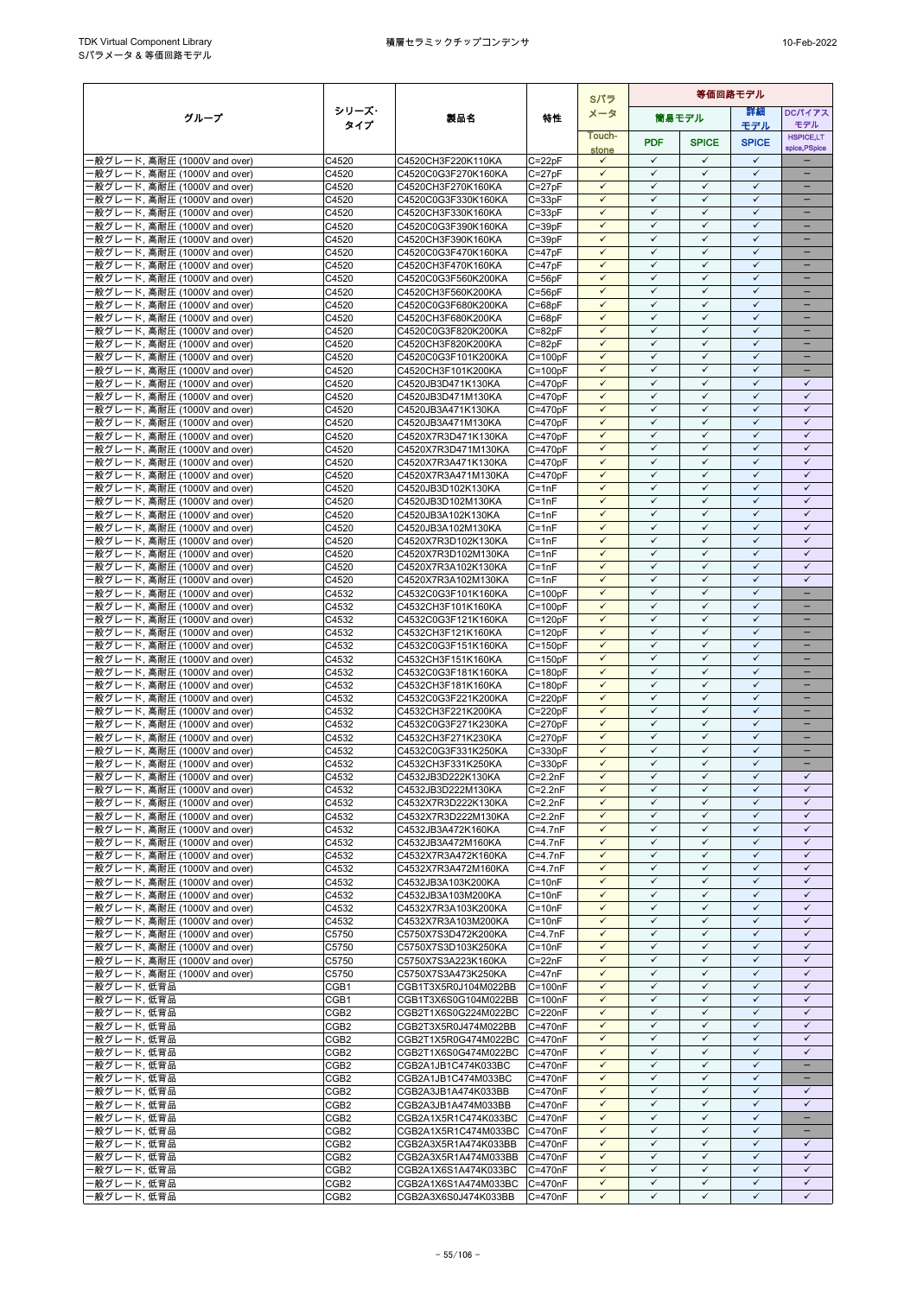|                                                              |                                      |                                            |                            | Sパラ                          | 等価回路モデル                      |                              |                              |                              |
|--------------------------------------------------------------|--------------------------------------|--------------------------------------------|----------------------------|------------------------------|------------------------------|------------------------------|------------------------------|------------------------------|
| グループ                                                         | シリーズ・                                | 製品名                                        | 特性                         | メータ                          |                              | 筒易モデル                        | 詳細                           | <b>DCパイアス</b>                |
|                                                              | タイプ                                  |                                            |                            | Touch-                       |                              |                              | モデル                          | モデル<br><b>HSPICE,LT</b>      |
|                                                              |                                      |                                            |                            | stone                        | <b>PDF</b>                   | <b>SPICE</b>                 | <b>SPICE</b>                 | spice, PSpice                |
| -般グレード, 高耐圧 (1000V and over)                                 | C4520                                | C4520CH3F220K110KA                         | $C = 22pF$                 | $\checkmark$                 | $\checkmark$                 | $\checkmark$                 | $\checkmark$                 |                              |
| -般グレード, 高耐圧 (1000V and over)                                 | C4520                                | C4520C0G3F270K160KA                        | $C = 27pF$                 | $\checkmark$                 | $\checkmark$                 | $\checkmark$                 | $\checkmark$                 | -                            |
| ·般グレード, 高耐圧 (1000V and over)                                 | C4520                                | C4520CH3F270K160KA                         | $C = 27pF$                 | $\checkmark$                 | $\checkmark$                 | $\checkmark$                 | $\checkmark$                 | -                            |
| ·般グレード, 高耐圧 (1000V and over)                                 | C4520                                | C4520C0G3F330K160KA                        | $C = 33pF$                 | $\checkmark$                 | $\checkmark$                 | $\checkmark$                 | $\checkmark$                 | $\qquad \qquad -$            |
| ·般グレード, 高耐圧 (1000V and over)                                 | C4520                                | C4520CH3F330K160KA                         | $C = 33pF$                 | $\checkmark$                 | $\checkmark$                 | $\checkmark$                 | $\checkmark$                 | -                            |
| ·般グレード, 高耐圧 (1000V and over)                                 | C4520                                | C4520C0G3F390K160KA                        | $C = 39pF$                 | $\checkmark$<br>$\checkmark$ | $\checkmark$<br>$\checkmark$ | ✓<br>$\checkmark$            | $\checkmark$<br>$\checkmark$ | ۳                            |
| ·般グレード, 高耐圧 (1000V and over)<br>·般グレード, 高耐圧 (1000V and over) | C4520<br>C4520                       | C4520CH3F390K160KA<br>C4520C0G3F470K160KA  | $C = 39pF$<br>$C = 47pF$   | $\checkmark$                 | $\checkmark$                 | $\checkmark$                 | $\checkmark$                 |                              |
| -般グレード, 高耐圧 (1000V and over)                                 | C4520                                | C4520CH3F470K160KA                         | $C = 47pF$                 | $\checkmark$                 | $\checkmark$                 | ✓                            | $\checkmark$                 | $\equiv$                     |
| ·般グレード, 高耐圧 (1000V and over)                                 | C4520                                | C4520C0G3F560K200KA                        | $C = 56pF$                 | $\checkmark$                 | $\checkmark$                 | $\checkmark$                 | $\checkmark$                 | $\qquad \qquad -$            |
| ·般グレード, 高耐圧 (1000V and over)                                 | C4520                                | C4520CH3F560K200KA                         | $C = 56pF$                 | $\checkmark$                 | ✓                            | ✓                            | $\checkmark$                 |                              |
| ·般グレード, 高耐圧 (1000V and over)                                 | C4520                                | C4520C0G3F680K200KA                        | $C = 68pF$                 | $\checkmark$                 | $\checkmark$                 | $\checkmark$                 | $\checkmark$                 |                              |
| ·般グレード, 高耐圧 (1000V and over)                                 | C4520                                | C4520CH3F680K200KA                         | $C = 68pF$                 | $\checkmark$                 | $\checkmark$                 | $\checkmark$                 | $\checkmark$                 |                              |
| ·般グレード, 高耐圧 (1000V and over)                                 | C4520                                | C4520C0G3F820K200KA                        | $C = 82pF$                 | $\checkmark$                 | $\checkmark$                 | $\checkmark$                 | $\checkmark$                 |                              |
| ·般グレード, 高耐圧 (1000V and over)                                 | C4520                                | C4520CH3F820K200KA                         | $C = 82pF$                 | $\checkmark$                 | $\checkmark$                 | $\checkmark$                 | $\checkmark$                 | $\overline{\phantom{0}}$     |
| ·般グレード, 高耐圧 (1000V and over)                                 | C4520                                | C4520C0G3F101K200KA                        | $C=100pF$                  | $\checkmark$                 | $\checkmark$                 | ✓                            | $\checkmark$                 | $\overline{\phantom{0}}$     |
| -般グレード, 高耐圧 (1000V and over)                                 | C4520                                | C4520CH3F101K200KA                         | $C = 100pF$                | $\checkmark$                 | $\checkmark$                 | $\checkmark$                 | $\checkmark$                 | -                            |
| ·般グレード, 高耐圧 (1000V and over)                                 | C4520                                | C4520JB3D471K130KA                         | $C = 470pF$                | $\checkmark$                 | $\checkmark$                 | $\checkmark$                 | $\checkmark$                 | $\checkmark$                 |
| ·般グレード, 高耐圧 (1000V and over)                                 | C4520                                | C4520JB3D471M130KA                         | $C = 470pF$                | $\checkmark$                 | $\checkmark$<br>$\checkmark$ | $\checkmark$<br>$\checkmark$ | $\checkmark$<br>$\checkmark$ | $\checkmark$<br>$\checkmark$ |
| 般グレード, 高耐圧 (1000V and over)                                  | C4520<br>C4520                       | C4520JB3A471K130KA                         | $C = 470pF$<br>$C = 470pF$ | $\checkmark$<br>$\checkmark$ | $\checkmark$                 | $\checkmark$                 | $\checkmark$                 | $\checkmark$                 |
| ·般グレード, 高耐圧 (1000V and over)<br>·般グレード, 高耐圧 (1000V and over) | C4520                                | C4520JB3A471M130KA<br>C4520X7R3D471K130KA  | $C = 470pF$                | $\checkmark$                 | $\checkmark$                 | $\checkmark$                 | $\checkmark$                 | $\checkmark$                 |
| ·般グレード, 高耐圧 (1000V and over)                                 | C4520                                | C4520X7R3D471M130KA                        | $C = 470pF$                | $\checkmark$                 | $\checkmark$                 | $\checkmark$                 | $\checkmark$                 | $\checkmark$                 |
| -般グレード, 高耐圧 (1000V and over)                                 | C4520                                | C4520X7R3A471K130KA                        | $C = 470pF$                | $\checkmark$                 | $\checkmark$                 | $\checkmark$                 | $\checkmark$                 | $\checkmark$                 |
| ·般グレード, 高耐圧 (1000V and over)                                 | C4520                                | C4520X7R3A471M130KA                        | $C = 470pF$                | $\checkmark$                 | $\checkmark$                 | $\checkmark$                 | $\checkmark$                 | $\checkmark$                 |
| 般グレード, 高耐圧 (1000V and over)                                  | C4520                                | C4520JB3D102K130KA                         | $C = 1nF$                  | $\checkmark$                 | $\checkmark$                 | $\checkmark$                 | $\checkmark$                 | $\checkmark$                 |
| ·般グレード, 高耐圧 (1000V and over)                                 | C4520                                | C4520JB3D102M130KA                         | $C = 1nF$                  | $\checkmark$                 | $\checkmark$                 | $\checkmark$                 | $\checkmark$                 | $\checkmark$                 |
| ·般グレード, 高耐圧 (1000V and over)                                 | C4520                                | C4520JB3A102K130KA                         | $C = 1nF$                  | $\checkmark$                 | $\checkmark$                 | ✓                            | $\checkmark$                 | $\checkmark$                 |
| ·般グレード, 高耐圧 (1000V and over)                                 | C4520                                | C4520JB3A102M130KA                         | $C = 1nF$                  | $\checkmark$                 | $\checkmark$                 | $\checkmark$                 | $\checkmark$                 | $\checkmark$                 |
| ·般グレード, 高耐圧 (1000V and over)                                 | C4520                                | C4520X7R3D102K130KA                        | $C = 1nF$                  | $\checkmark$                 | $\checkmark$                 | ✓                            | ✓                            | ✓                            |
| ·般グレード, 高耐圧 (1000V and over)                                 | C4520                                | C4520X7R3D102M130KA                        | $C = 1nF$                  | $\checkmark$                 | $\checkmark$                 | $\checkmark$                 | $\checkmark$                 | $\checkmark$                 |
| ·般グレード, 高耐圧 (1000V and over)                                 | C4520                                | C4520X7R3A102K130KA                        | $C = 1nF$                  | $\checkmark$                 | $\checkmark$                 | $\checkmark$                 | $\checkmark$                 | $\checkmark$                 |
| ·般グレード, 高耐圧 (1000V and over)                                 | C4520                                | C4520X7R3A102M130KA                        | $C = 1nF$                  | $\checkmark$<br>$\checkmark$ | $\checkmark$<br>$\checkmark$ | $\checkmark$<br>$\checkmark$ | $\checkmark$<br>$\checkmark$ | $\checkmark$<br>$\equiv$     |
| ·般グレード, 高耐圧 (1000V and over)<br>·般グレード, 高耐圧 (1000V and over) | C4532<br>C4532                       | C4532C0G3F101K160KA<br>C4532CH3F101K160KA  | $C = 100pF$<br>$C=100pF$   | $\checkmark$                 | $\checkmark$                 | $\checkmark$                 | $\checkmark$                 | -                            |
| ·般グレード, 高耐圧 (1000V and over)                                 | C4532                                | C4532C0G3F121K160KA                        | $C = 120pF$                | $\checkmark$                 | $\checkmark$                 | $\checkmark$                 | $\checkmark$                 | -                            |
| -般グレード, 高耐圧 (1000V and over)                                 | C4532                                | C4532CH3F121K160KA                         | $C = 120pF$                | $\checkmark$                 | $\checkmark$                 | $\checkmark$                 | $\checkmark$                 |                              |
| ·般グレード, 高耐圧 (1000V and over)                                 | C4532                                | C4532C0G3F151K160KA                        | $C = 150pF$                | $\checkmark$                 | $\checkmark$                 | $\checkmark$                 | $\checkmark$                 |                              |
| ·般グレード, 高耐圧 (1000V and over)                                 | C4532                                | C4532CH3F151K160KA                         | $C = 150pF$                | $\checkmark$                 | $\checkmark$                 | $\checkmark$                 | $\checkmark$                 |                              |
| -般グレード, 高耐圧 (1000V and over)                                 | C4532                                | C4532C0G3F181K160KA                        | $C = 180pF$                | $\checkmark$                 | $\checkmark$                 | $\checkmark$                 | $\checkmark$                 | $\overline{\phantom{0}}$     |
| ·般グレード, 高耐圧 (1000V and over)                                 | C4532                                | C4532CH3F181K160KA                         | $C = 180pF$                | $\checkmark$                 | $\checkmark$                 | $\checkmark$                 | $\checkmark$                 | -                            |
| -般グレード, 高耐圧 (1000V and over)                                 | C4532                                | C4532C0G3F221K200KA                        | $C = 220pF$                | $\checkmark$                 | $\checkmark$                 | ✓                            | $\checkmark$                 | -                            |
| -般グレード, 高耐圧 (1000V and over)                                 | C4532                                | C4532CH3F221K200KA                         | $C = 220pF$                | $\checkmark$                 | $\checkmark$                 | $\checkmark$                 | $\checkmark$                 | -                            |
| ·般グレード, 高耐圧 (1000V and over)                                 | C4532                                | C4532C0G3F271K230KA                        | $C = 270pF$                | $\checkmark$                 | $\checkmark$                 | $\checkmark$                 | $\checkmark$                 |                              |
| -般グレード, 高耐圧 (1000V and over)                                 | C4532                                | C4532CH3F271K230KA                         | $C = 270pF$                | $\checkmark$                 | $\checkmark$<br>$\checkmark$ | $\checkmark$<br>$\checkmark$ | $\checkmark$<br>$\checkmark$ | ۳                            |
| -般グレード, 高耐圧 (1000V and over)<br>·般グレード, 高耐圧 (1000V and over) | C4532                                | C4532C0G3F331K250KA<br>C4532CH3F331K250KA  | $C = 330pF$                | $\checkmark$<br>$\checkmark$ | $\checkmark$                 | $\checkmark$                 | $\checkmark$                 | ÷                            |
| ·般グレード, 高耐圧 (1000V and over)                                 | C4532<br>C4532                       | C4532JB3D222K130KA                         | $C = 330pF$<br>$C=2.2nF$   | $\checkmark$                 | $\checkmark$                 | $\checkmark$                 | $\checkmark$                 | $\checkmark$                 |
| -般グレード, 高耐圧 (1000V and over)                                 | C4532                                | C4532JB3D222M130KA                         | $C = 2.2nF$                | $\checkmark$                 | $\checkmark$                 | $\checkmark$                 | $\checkmark$                 | $\checkmark$                 |
| -般グレード, 高耐圧 (1000V and over)                                 | C4532                                | C4532X7R3D222K130KA                        | $C=2.2nF$                  | $\checkmark$                 | $\checkmark$                 | $\checkmark$                 | $\checkmark$                 | $\checkmark$                 |
| -般グレード, 高耐圧 (1000V and over)                                 | C4532                                | C4532X7R3D222M130KA                        | $C = 2.2nF$                | $\checkmark$                 | $\checkmark$                 | $\checkmark$                 | $\checkmark$                 | $\checkmark$                 |
| -般グレード, 高耐圧 (1000V and over)                                 | C4532                                | C4532JB3A472K160KA                         | $C = 4.7nF$                | $\checkmark$                 | $\checkmark$                 | $\checkmark$                 | ✓                            | ✓                            |
| ·般グレード, 高耐圧 (1000V and over)                                 | C4532                                | C4532JB3A472M160KA                         | $C = 4.7nF$                | $\checkmark$                 | $\checkmark$                 | $\checkmark$                 | $\checkmark$                 | $\checkmark$                 |
| ·般グレード, 高耐圧 (1000V and over)                                 | C4532                                | C4532X7R3A472K160KA                        | $C=4.7nF$                  | $\checkmark$                 | $\checkmark$                 | $\checkmark$                 | $\checkmark$                 | $\checkmark$                 |
| -般グレード, 高耐圧 (1000V and over)                                 | C4532                                | C4532X7R3A472M160KA                        | $C=4.7nF$                  | $\checkmark$                 | $\checkmark$                 | $\checkmark$                 | $\checkmark$                 | $\checkmark$                 |
| -般グレード, 高耐圧 (1000V and over)                                 | C4532                                | C4532JB3A103K200KA                         | $C = 10nF$                 | $\checkmark$                 | $\checkmark$                 | $\checkmark$                 | $\checkmark$                 | $\checkmark$                 |
| -般グレード, 高耐圧 (1000V and over)                                 | C4532                                | C4532JB3A103M200KA                         | $C = 10nF$                 | $\checkmark$                 | $\checkmark$                 | $\checkmark$                 | $\checkmark$                 | $\checkmark$                 |
| 般グレード, 高耐圧 (1000V and over)                                  | C4532                                | C4532X7R3A103K200KA                        | $C = 10nF$                 | $\checkmark$                 | $\checkmark$                 | $\checkmark$                 | $\checkmark$                 | $\checkmark$                 |
| -般グレード, 高耐圧 (1000V and over)                                 | C4532                                | C4532X7R3A103M200KA                        | $C = 10nF$                 | $\checkmark$<br>$\checkmark$ | $\checkmark$<br>$\checkmark$ | $\checkmark$<br>$\checkmark$ | $\checkmark$<br>$\checkmark$ | $\checkmark$<br>$\checkmark$ |
| ·般グレード, 高耐圧 (1000V and over)<br>·般グレード, 高耐圧 (1000V and over) | C5750<br>C5750                       | C5750X7S3D472K200KA<br>C5750X7S3D103K250KA | $C = 4.7nF$<br>$C = 10nF$  | $\checkmark$                 | ✓                            | ✓                            | ✓                            | ✓                            |
| ·般グレード, 高耐圧 (1000V and over)                                 | C5750                                | C5750X7S3A223K160KA                        | $C = 22nF$                 | $\checkmark$                 | $\checkmark$                 | $\checkmark$                 | $\checkmark$                 | $\checkmark$                 |
| ·般グレード, 高耐圧 (1000V and over)                                 | C5750                                | C5750X7S3A473K250KA                        | $C = 47nF$                 | $\checkmark$                 | $\checkmark$                 | $\checkmark$                 | $\checkmark$                 | $\checkmark$                 |
| ·般グレード,低背品                                                   | CGB1                                 | CGB1T3X5R0J104M022BB                       | $C = 100nF$                | $\checkmark$                 | $\checkmark$                 | $\checkmark$                 | ✓                            | ✓                            |
| -般グレード,低背品                                                   | CGB1                                 | CGB1T3X6S0G104M022BB                       | $C = 100nF$                | $\checkmark$                 | $\checkmark$                 | $\checkmark$                 | $\checkmark$                 | $\checkmark$                 |
| ·般グレード, 低背品                                                  | CGB <sub>2</sub>                     | CGB2T1X6S0G224M022BC                       | C=220nF                    | $\checkmark$                 | $\checkmark$                 | ✓                            | $\checkmark$                 | $\checkmark$                 |
| ・般グレード,低背品                                                   | CGB <sub>2</sub>                     | CGB2T3X5R0J474M022BB                       | C=470nF                    | $\checkmark$                 | $\checkmark$                 | $\checkmark$                 | $\checkmark$                 | $\checkmark$                 |
| ・般グレード、低背品                                                   | CGB <sub>2</sub>                     | CGB2T1X5R0G474M022BC C=470nF               |                            | $\checkmark$                 | $\checkmark$                 | $\checkmark$                 | $\checkmark$                 | $\checkmark$                 |
| ・般グレード, 低背品                                                  | CGB <sub>2</sub>                     | CGB2T1X6S0G474M022BC                       | C=470nF                    | $\checkmark$                 | $\checkmark$                 | $\checkmark$                 | $\checkmark$                 | $\checkmark$                 |
| ·般グレード,低背品                                                   | CGB <sub>2</sub>                     | CGB2A1JB1C474K033BC                        | C=470nF                    | $\checkmark$                 | $\checkmark$<br>$\checkmark$ | $\checkmark$                 | $\checkmark$                 | $\equiv$                     |
| -般グレード,低背品                                                   | CGB <sub>2</sub>                     | CGB2A1JB1C474M033BC                        | $C = 470nF$                | $\checkmark$<br>$\checkmark$ | $\checkmark$                 | $\checkmark$<br>$\checkmark$ | $\checkmark$<br>$\checkmark$ | $\checkmark$                 |
| ・般グレード, 低背品<br>-般グレード,低背品                                    | CGB <sub>2</sub><br>CGB <sub>2</sub> | CGB2A3JB1A474K033BB<br>CGB2A3JB1A474M033BB | $C = 470nF$<br>$C = 470nF$ | $\checkmark$                 | $\checkmark$                 | ✓                            | $\checkmark$                 | ✓                            |
| ・般グレード,低背品                                                   | CGB <sub>2</sub>                     | CGB2A1X5R1C474K033BC                       | C=470nF                    | $\checkmark$                 | $\checkmark$                 | $\checkmark$                 | $\checkmark$                 | -                            |
| -般グレード,低背品                                                   | CGB <sub>2</sub>                     | CGB2A1X5R1C474M033BC C=470nF               |                            | $\checkmark$                 | $\checkmark$                 | ✓                            | ✓                            |                              |
| ・般グレード,低背品                                                   | CGB <sub>2</sub>                     | CGB2A3X5R1A474K033BB                       | C=470nF                    | $\checkmark$                 | $\checkmark$                 | $\checkmark$                 | $\checkmark$                 | $\checkmark$                 |
| ·般グレード,低背品                                                   | CGB <sub>2</sub>                     | CGB2A3X5R1A474M033BB                       | C=470nF                    | $\checkmark$                 | $\checkmark$                 | $\checkmark$                 | $\checkmark$                 | $\checkmark$                 |
| -般グレード,低背品                                                   | CGB <sub>2</sub>                     | CGB2A1X6S1A474K033BC                       | $C = 470nF$                | $\checkmark$                 | $\checkmark$                 | $\checkmark$                 | $\checkmark$                 | $\checkmark$                 |
| ・般グレード,低背品                                                   | CGB <sub>2</sub>                     | CGB2A1X6S1A474M033BC                       | C=470nF                    | $\checkmark$                 | $\checkmark$                 | $\checkmark$                 | $\checkmark$                 | $\checkmark$                 |
| ·般グレード,低背品                                                   | CGB2                                 | CGB2A3X6S0J474K033BB                       | $C = 470nF$                | ✓                            | ✓                            | ✓                            | ✓                            | ✓                            |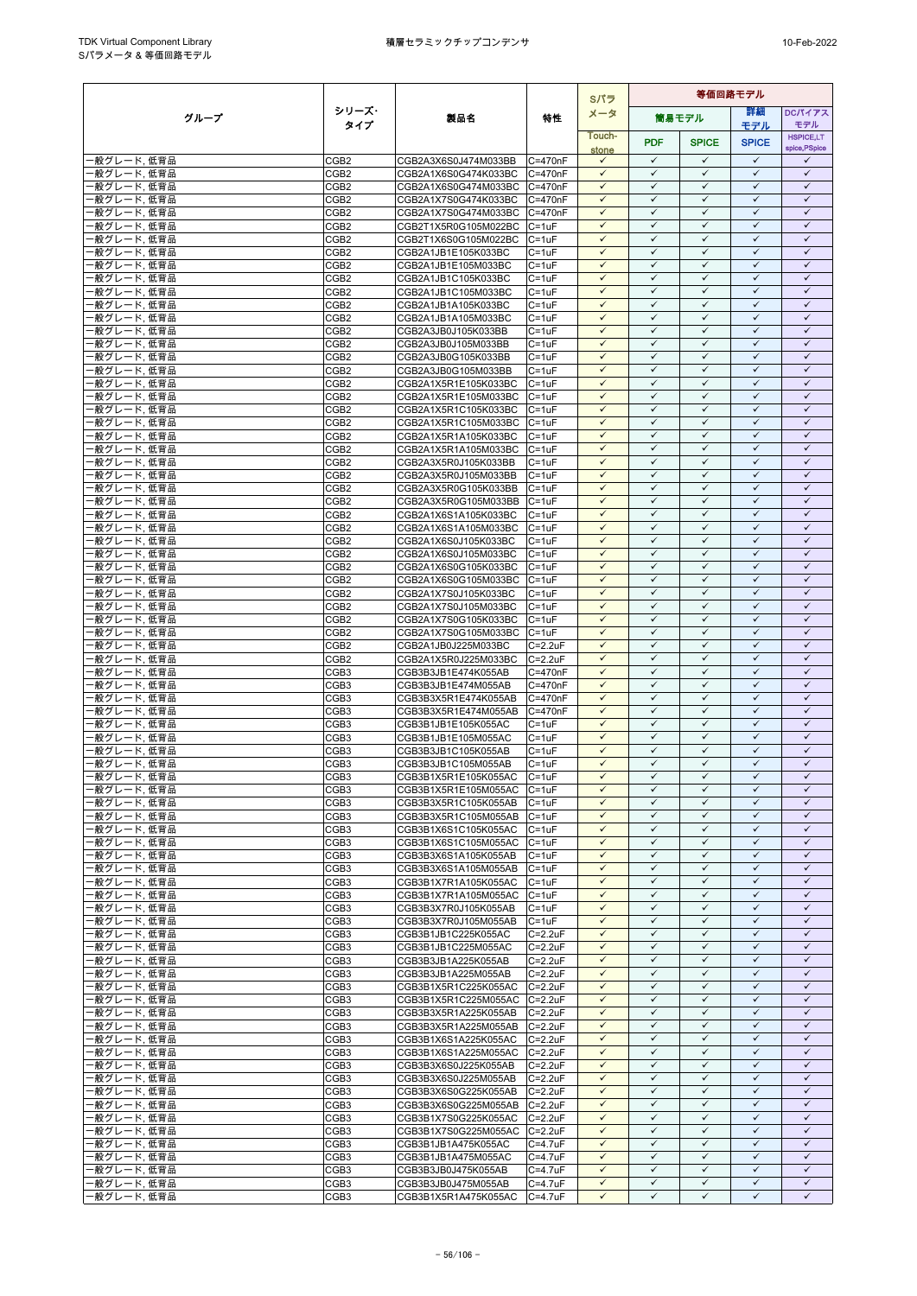|                          |                                      |                                                      |                            | Sパラ                          | 等価回路モデル                      |                              |                              |                              |  |
|--------------------------|--------------------------------------|------------------------------------------------------|----------------------------|------------------------------|------------------------------|------------------------------|------------------------------|------------------------------|--|
| グループ                     | シリーズ・                                | 製品名                                                  | 特性                         | メータ                          |                              | 筒易モデル                        | 等細                           | <b>DCパイアス</b>                |  |
|                          | タイプ                                  |                                                      |                            | Touch-                       |                              |                              | モデル                          | モデル<br><b>HSPICE,LT</b>      |  |
|                          |                                      |                                                      |                            | stone                        | <b>PDF</b>                   | <b>SPICE</b>                 | <b>SPICE</b>                 | spice, PSpice                |  |
| ·般グレード,低背品               | CGB <sub>2</sub>                     | CGB2A3X6S0J474M033BB                                 | C=470nF                    | $\checkmark$                 | $\checkmark$                 | $\checkmark$                 | $\checkmark$                 | ✓                            |  |
| 般グレード,低背品                | CGB <sub>2</sub>                     | CGB2A1X6S0G474K033BC                                 | C=470nF                    | $\checkmark$<br>$\checkmark$ | $\checkmark$<br>$\checkmark$ | $\checkmark$<br>$\checkmark$ | $\checkmark$<br>$\checkmark$ | $\checkmark$<br>$\checkmark$ |  |
| 般グレード、低背品<br>般グレード,低背品   | CGB <sub>2</sub><br>CGB <sub>2</sub> | CGB2A1X6S0G474M033BC<br>CGB2A1X7S0G474K033BC         | C=470nF<br>C=470nF         | $\checkmark$                 | $\checkmark$                 | $\checkmark$                 | $\checkmark$                 | $\checkmark$                 |  |
| 般グレード,低背品                | CGB <sub>2</sub>                     | CGB2A1X7S0G474M033BC                                 | C=470nF                    | $\checkmark$                 | $\checkmark$                 | $\checkmark$                 | $\checkmark$                 | $\checkmark$                 |  |
| 般グレード,低背品                | CGB <sub>2</sub>                     | CGB2T1X5R0G105M022BC                                 | $C = 1uF$                  | $\checkmark$                 | $\checkmark$                 | $\checkmark$                 | $\checkmark$                 | $\checkmark$                 |  |
| 般グレード,低背品                | CGB <sub>2</sub>                     | CGB2T1X6S0G105M022BC                                 | $C = 1uF$                  | $\checkmark$                 | $\checkmark$                 | $\checkmark$                 | $\checkmark$                 | $\checkmark$                 |  |
| 般グレード、低背品                | CGB <sub>2</sub>                     | CGB2A1JB1E105K033BC                                  | C=1uF                      | $\checkmark$                 | $\checkmark$                 | $\checkmark$                 | $\checkmark$                 | $\checkmark$                 |  |
| 般グレード,低背品<br>般グレード,低背品   | CGB <sub>2</sub><br>CGB <sub>2</sub> | CGB2A1JB1E105M033BC<br>CGB2A1JB1C105K033BC           | $C = 1uF$<br>$C = 1uF$     | $\checkmark$<br>$\checkmark$ | $\checkmark$<br>$\checkmark$ | $\checkmark$<br>$\checkmark$ | $\checkmark$<br>$\checkmark$ | $\checkmark$<br>$\checkmark$ |  |
| 般グレード,低背品                | CGB <sub>2</sub>                     | CGB2A1JB1C105M033BC                                  | $C = 1uF$                  | $\checkmark$                 | $\checkmark$                 | $\checkmark$                 | $\checkmark$                 | $\checkmark$                 |  |
| 般グレード,低背品                | CGB <sub>2</sub>                     | CGB2A1JB1A105K033BC                                  | $C = 1uF$                  | $\checkmark$                 | $\checkmark$                 | $\checkmark$                 | $\checkmark$                 | $\checkmark$                 |  |
| 般グレード,低背品                | CGB <sub>2</sub>                     | CGB2A1JB1A105M033BC                                  | $C = 1uF$                  | $\checkmark$                 | $\checkmark$                 | $\checkmark$                 | $\checkmark$                 | $\checkmark$                 |  |
| 般グレード,低背品                | CGB <sub>2</sub>                     | CGB2A3JB0J105K033BB                                  | $C = 1uF$                  | $\checkmark$                 | $\checkmark$                 | $\checkmark$                 | $\checkmark$                 | $\checkmark$                 |  |
| 般グレード,低背品<br>·般グレード,低背品  | CGB <sub>2</sub><br>CGB <sub>2</sub> | CGB2A3JB0J105M033BB<br>CGB2A3JB0G105K033BB           | C=1uF<br>$C = 1uF$         | $\checkmark$<br>$\checkmark$ | $\checkmark$<br>$\checkmark$ | $\checkmark$<br>$\checkmark$ | $\checkmark$<br>$\checkmark$ | $\checkmark$<br>$\checkmark$ |  |
| 般グレード,低背品                | CGB <sub>2</sub>                     | CGB2A3JB0G105M033BB                                  | $C = 1uF$                  | $\checkmark$                 | $\checkmark$                 | $\checkmark$                 | $\checkmark$                 | $\checkmark$                 |  |
| 般グレード,低背品                | CGB <sub>2</sub>                     | CGB2A1X5R1E105K033BC                                 | $C = 1uF$                  | $\checkmark$                 | $\checkmark$                 | ✓                            | $\checkmark$                 | $\checkmark$                 |  |
| 般グレード,低背品                | CGB <sub>2</sub>                     | CGB2A1X5R1E105M033BC                                 | $C = 1uF$                  | $\checkmark$                 | $\checkmark$                 | $\checkmark$                 | $\checkmark$                 | $\checkmark$                 |  |
| 般グレード,低背品                | CGB <sub>2</sub>                     | CGB2A1X5R1C105K033BC                                 | $C = 1uF$                  | $\checkmark$                 | $\checkmark$                 | $\checkmark$                 | $\checkmark$                 | $\checkmark$                 |  |
| 般グレード,低背品<br>·般グレード,低背品  | CGB <sub>2</sub><br>CGB <sub>2</sub> | CGB2A1X5R1C105M033BC<br>CGB2A1X5R1A105K033BC         | $C = 1uF$<br>$C = 1uF$     | $\checkmark$<br>$\checkmark$ | $\checkmark$<br>$\checkmark$ | $\checkmark$<br>$\checkmark$ | $\checkmark$<br>$\checkmark$ | $\checkmark$<br>$\checkmark$ |  |
| 般グレード、低背品                | CGB <sub>2</sub>                     | CGB2A1X5R1A105M033BC                                 | $C = 1uF$                  | $\checkmark$                 | $\checkmark$                 | $\checkmark$                 | $\checkmark$                 | $\checkmark$                 |  |
| 般グレード、低背品                | CGB <sub>2</sub>                     | CGB2A3X5R0J105K033BB                                 | $C = 1uF$                  | $\checkmark$                 | $\checkmark$                 | $\checkmark$                 | $\checkmark$                 | $\checkmark$                 |  |
| 般グレード,低背品                | CGB <sub>2</sub>                     | CGB2A3X5R0J105M033BB                                 | $C = 1uF$                  | $\checkmark$                 | $\checkmark$                 | $\checkmark$                 | $\checkmark$                 | $\checkmark$                 |  |
| 般グレード,低背品                | CGB <sub>2</sub>                     | CGB2A3X5R0G105K033BB                                 | $C = 1uF$                  | $\checkmark$                 | $\checkmark$                 | $\checkmark$                 | $\checkmark$                 | $\checkmark$                 |  |
| 般グレード,低背品<br>般グレード.低背品   | CGB <sub>2</sub><br>CGB <sub>2</sub> | CGB2A3X5R0G105M033BB<br>CGB2A1X6S1A105K033BC         | $C = 1uF$<br>$C = 1uF$     | $\checkmark$<br>$\checkmark$ | $\checkmark$<br>$\checkmark$ | $\checkmark$<br>$\checkmark$ | $\checkmark$<br>$\checkmark$ | $\checkmark$<br>$\checkmark$ |  |
| 般グレード,低背品                | CGB <sub>2</sub>                     | CGB2A1X6S1A105M033BC                                 | $C = 1uF$                  | $\checkmark$                 | $\checkmark$                 | $\checkmark$                 | $\checkmark$                 | $\checkmark$                 |  |
| 般グレード,低背品                | CGB <sub>2</sub>                     | CGB2A1X6S0J105K033BC                                 | $C = 1uF$                  | $\checkmark$                 | $\checkmark$                 | $\checkmark$                 | $\checkmark$                 | $\checkmark$                 |  |
| 般グレード、低背品                | CGB <sub>2</sub>                     | CGB2A1X6S0J105M033BC                                 | $C = 1uF$                  | $\checkmark$                 | $\checkmark$                 | $\checkmark$                 | $\checkmark$                 | $\checkmark$                 |  |
| ‧般グレード, 低背品              | CGB <sub>2</sub>                     | CGB2A1X6S0G105K033BC                                 | $C = 1uF$                  | $\checkmark$                 | $\checkmark$                 | $\checkmark$                 | $\checkmark$                 | $\checkmark$                 |  |
| 般グレード,低背品<br>般グレード,低背品   | CGB <sub>2</sub><br>CGB <sub>2</sub> | CGB2A1X6S0G105M033BC<br>CGB2A1X7S0J105K033BC         | $C = 1uF$<br>$C = 1uF$     | $\checkmark$<br>$\checkmark$ | $\checkmark$<br>$\checkmark$ | $\checkmark$<br>$\checkmark$ | $\checkmark$<br>$\checkmark$ | $\checkmark$<br>$\checkmark$ |  |
| 般グレード,低背品                | CGB <sub>2</sub>                     | CGB2A1X7S0J105M033BC                                 | $C = 1uF$                  | $\checkmark$                 | $\checkmark$                 | $\checkmark$                 | $\checkmark$                 | $\checkmark$                 |  |
| 般グレード、低背品                | CGB <sub>2</sub>                     | CGB2A1X7S0G105K033BC                                 | $C = 1uF$                  | $\checkmark$                 | $\checkmark$                 | $\checkmark$                 | $\checkmark$                 | $\checkmark$                 |  |
| 般グレード,低背品                | CGB <sub>2</sub>                     | CGB2A1X7S0G105M033BC                                 | $C = 1uF$                  | $\checkmark$                 | ✓                            | ✓                            | $\checkmark$                 | $\checkmark$                 |  |
| 般グレード、低背品                | CGB <sub>2</sub>                     | CGB2A1JB0J225M033BC                                  | $C = 2.2uF$                | $\checkmark$                 | $\checkmark$                 | $\checkmark$                 | $\checkmark$                 | $\checkmark$                 |  |
| 般グレード,低背品<br>般グレード,低背品   | CGB <sub>2</sub><br>CGB <sub>3</sub> | CGB2A1X5R0J225M033BC<br>CGB3B3JB1E474K055AB          | $C = 2.2uF$<br>C=470nF     | $\checkmark$<br>$\checkmark$ | $\checkmark$<br>$\checkmark$ | $\checkmark$<br>$\checkmark$ | $\checkmark$<br>$\checkmark$ | $\checkmark$<br>$\checkmark$ |  |
| ·般グレード,低背品               | CGB <sub>3</sub>                     | CGB3B3JB1E474M055AB                                  | C=470nF                    | $\checkmark$                 | $\checkmark$                 | $\checkmark$                 | $\checkmark$                 | $\checkmark$                 |  |
| 般グレード,低背品                | CGB <sub>3</sub>                     | CGB3B3X5R1E474K055AB                                 | $C = 470nF$                | $\checkmark$                 | $\checkmark$                 | $\checkmark$                 | $\checkmark$                 | $\checkmark$                 |  |
| 般グレード,低背品                | CGB <sub>3</sub>                     | CGB3B3X5R1E474M055AB                                 | C=470nF                    | $\checkmark$                 | $\checkmark$                 | $\checkmark$                 | $\checkmark$                 | $\checkmark$                 |  |
| ·般グレード,低背品               | CGB <sub>3</sub>                     | CGB3B1JB1E105K055AC                                  | $C = 1uF$                  | $\checkmark$                 | $\checkmark$                 | $\checkmark$                 | $\checkmark$                 | $\checkmark$                 |  |
| 般グレード.低背品<br>般グレード,低背品   | CGB3<br>CGB <sub>3</sub>             | CGB3B1JB1E105M055AC<br>CGB3B3JB1C105K055AB           | $C = 1uF$<br>C=1uF         | $\checkmark$<br>$\checkmark$ | $\checkmark$<br>$\checkmark$ | $\checkmark$<br>$\checkmark$ | $\checkmark$<br>$\checkmark$ | $\checkmark$<br>$\checkmark$ |  |
| 般グレード,低背品                | CGB <sub>3</sub>                     | CGB3B3JB1C105M055AB                                  | $C = 1uF$                  | $\checkmark$                 | $\checkmark$                 | $\checkmark$                 | $\checkmark$                 | $\checkmark$                 |  |
| 般グレード,低背品                | CGB3                                 | CGB3B1X5R1E105K055AC C=1uF                           |                            | $\checkmark$                 | $\checkmark$                 | $\checkmark$                 | $\checkmark$                 | $\checkmark$                 |  |
| 般グレード、低背品                | CGB <sub>3</sub>                     | CGB3B1X5R1E105M055AC C=1uF                           |                            | $\checkmark$                 | ✓                            | ✓                            | $\checkmark$                 | $\checkmark$                 |  |
| 般グレード,低背品                | CGB <sub>3</sub>                     | CGB3B3X5R1C105K055AB                                 | $C = 1uF$                  | $\checkmark$                 | $\checkmark$                 | $\checkmark$                 | $\checkmark$                 | $\checkmark$                 |  |
| ‧般グレード, 低背品<br>般グレード、低背品 | CGB <sub>3</sub><br>CGB <sub>3</sub> | CGB3B3X5R1C105M055AB C=1uF<br>CGB3B1X6S1C105K055AC   | $C = 1uF$                  | $\checkmark$<br>$\checkmark$ | $\checkmark$<br>$\checkmark$ | $\checkmark$<br>$\checkmark$ | $\checkmark$<br>$\checkmark$ | $\checkmark$<br>$\checkmark$ |  |
| ·般グレード,低背品               | CGB <sub>3</sub>                     | CGB3B1X6S1C105M055AC                                 | $C = 1uF$                  | $\checkmark$                 | $\checkmark$                 | $\checkmark$                 | $\checkmark$                 | $\checkmark$                 |  |
| ‧般グレード, 低背品              | CGB <sub>3</sub>                     | CGB3B3X6S1A105K055AB                                 | $C = 1uF$                  | $\checkmark$                 | $\checkmark$                 | ✓                            | $\checkmark$                 | $\checkmark$                 |  |
| 般グレード、低背品                | CGB <sub>3</sub>                     | CGB3B3X6S1A105M055AB                                 | $C = 1uF$                  | $\checkmark$                 | $\checkmark$                 | $\checkmark$                 | $\checkmark$                 | $\checkmark$                 |  |
| 般グレード,低背品                | CGB <sub>3</sub>                     | CGB3B1X7R1A105K055AC                                 | $C = 1uF$                  | $\checkmark$<br>$\checkmark$ | ✓<br>$\checkmark$            | ✓<br>$\checkmark$            | $\checkmark$<br>$\checkmark$ | $\checkmark$<br>$\checkmark$ |  |
| 般グレード、低背品<br>般グレード,低背品   | CGB <sub>3</sub><br>CGB <sub>3</sub> | CGB3B1X7R1A105M055AC<br>CGB3B3X7R0J105K055AB         | $C = 1uF$<br>$C = 1uF$     | $\checkmark$                 | $\checkmark$                 | $\checkmark$                 | $\checkmark$                 | $\checkmark$                 |  |
| 般グレード,低背品                | CGB <sub>3</sub>                     | CGB3B3X7R0J105M055AB                                 | $C = 1uF$                  | $\checkmark$                 | $\checkmark$                 | $\checkmark$                 | $\checkmark$                 | $\checkmark$                 |  |
| 般グレード,低背品                | CGB <sub>3</sub>                     | CGB3B1JB1C225K055AC                                  | $C = 2.2uF$                | $\checkmark$                 | $\checkmark$                 | $\checkmark$                 | $\checkmark$                 | $\checkmark$                 |  |
| ‧般グレード, 低背品              | CGB <sub>3</sub>                     | CGB3B1JB1C225M055AC                                  | $C = 2.2uF$                | $\checkmark$                 | $\checkmark$                 | $\checkmark$                 | $\checkmark$                 | $\checkmark$                 |  |
| 般グレード.低背品                | CGB <sub>3</sub>                     | CGB3B3JB1A225K055AB                                  | $C = 2.2uF$                | $\checkmark$                 | $\checkmark$<br>$\checkmark$ | $\checkmark$<br>$\checkmark$ | $\checkmark$<br>$\checkmark$ | $\checkmark$<br>$\checkmark$ |  |
| 般グレード,低背品<br>般グレード,低背品   | CGB3<br>CGB3                         | CGB3B3JB1A225M055AB<br>CGB3B1X5R1C225K055AC          | $C = 2.2uF$<br>$C = 2.2uF$ | $\checkmark$<br>$\checkmark$ | $\checkmark$                 | $\checkmark$                 | $\checkmark$                 | $\checkmark$                 |  |
| 般グレード,低背品                | CGB <sub>3</sub>                     | CGB3B1X5R1C225M055AC                                 | $C = 2.2uF$                | $\checkmark$                 | ✓                            | $\checkmark$                 | $\checkmark$                 | $\checkmark$                 |  |
| 般グレード,低背品                | CGB <sub>3</sub>                     | CGB3B3X5R1A225K055AB                                 | $C = 2.2uF$                | $\checkmark$                 | $\checkmark$                 | $\checkmark$                 | $\checkmark$                 | $\checkmark$                 |  |
| 般グレード,低背品                | CGB <sub>3</sub>                     | CGB3B3X5R1A225M055AB C=2.2uF                         |                            | $\checkmark$                 | $\checkmark$                 | $\checkmark$                 | $\checkmark$                 | $\checkmark$                 |  |
| 般グレード、低背品                | CGB <sub>3</sub>                     | CGB3B1X6S1A225K055AC                                 | $C = 2.2uF$                | $\checkmark$<br>$\checkmark$ | $\checkmark$<br>$\checkmark$ | ✓                            | $\checkmark$<br>$\checkmark$ | $\checkmark$<br>$\checkmark$ |  |
| 般グレード,低背品<br>‧般グレード, 低背品 | CGB <sub>3</sub><br>CGB <sub>3</sub> | CGB3B1X6S1A225M055AC C=2.2uF<br>CGB3B3X6S0J225K055AB | $C = 2.2uF$                | $\checkmark$                 | $\checkmark$                 | $\checkmark$<br>$\checkmark$ | $\checkmark$                 | $\checkmark$                 |  |
| 般グレード,低背品                | CGB <sub>3</sub>                     | CGB3B3X6S0J225M055AB                                 | $C = 2.2uF$                | $\checkmark$                 | $\checkmark$                 | $\checkmark$                 | ✓                            | $\checkmark$                 |  |
| ‧般グレード, 低背品              | CGB <sub>3</sub>                     | CGB3B3X6S0G225K055AB                                 | $C = 2.2uF$                | $\checkmark$                 | $\checkmark$                 | $\checkmark$                 | $\checkmark$                 | $\checkmark$                 |  |
| ‧般グレード, 低背品              | CGB <sub>3</sub>                     | CGB3B3X6S0G225M055AB C=2.2uF                         |                            | $\checkmark$                 | $\checkmark$                 | $\checkmark$                 | $\checkmark$                 | $\checkmark$                 |  |
| 般グレード,低背品                | CGB <sub>3</sub>                     | CGB3B1X7S0G225K055AC                                 | $C = 2.2uF$                | $\checkmark$                 | $\checkmark$<br>$\checkmark$ | $\checkmark$<br>$\checkmark$ | $\checkmark$<br>$\checkmark$ | $\checkmark$<br>$\checkmark$ |  |
| 般グレード,低背品<br>般グレード,低背品   | CGB <sub>3</sub><br>CGB <sub>3</sub> | CGB3B1X7S0G225M055AC C=2.2uF<br>CGB3B1JB1A475K055AC  | C=4.7uF                    | $\checkmark$<br>$\checkmark$ | $\checkmark$                 | $\checkmark$                 | $\checkmark$                 | $\checkmark$                 |  |
| 般グレード,低背品                | CGB <sub>3</sub>                     | CGB3B1JB1A475M055AC                                  | C=4.7uF                    | $\checkmark$                 | ✓                            | $\checkmark$                 | $\checkmark$                 | $\checkmark$                 |  |
| 般グレード,低背品                | CGB <sub>3</sub>                     | CGB3B3JB0J475K055AB                                  | $C = 4.7$ u $F$            | $\checkmark$                 | $\checkmark$                 | $\checkmark$                 | $\checkmark$                 | $\checkmark$                 |  |
| 般グレード,低背品                | CGB <sub>3</sub>                     | CGB3B3JB0J475M055AB                                  | C=4.7uF                    | $\checkmark$                 | $\checkmark$                 | $\checkmark$                 | $\checkmark$                 | $\checkmark$                 |  |
| 般グレード,低背品                | CGB3                                 | CGB3B1X5R1A475K055AC                                 | $C = 4.7$ u $F$            | $\checkmark$                 | $\checkmark$                 | $\checkmark$                 | $\checkmark$                 | ✓                            |  |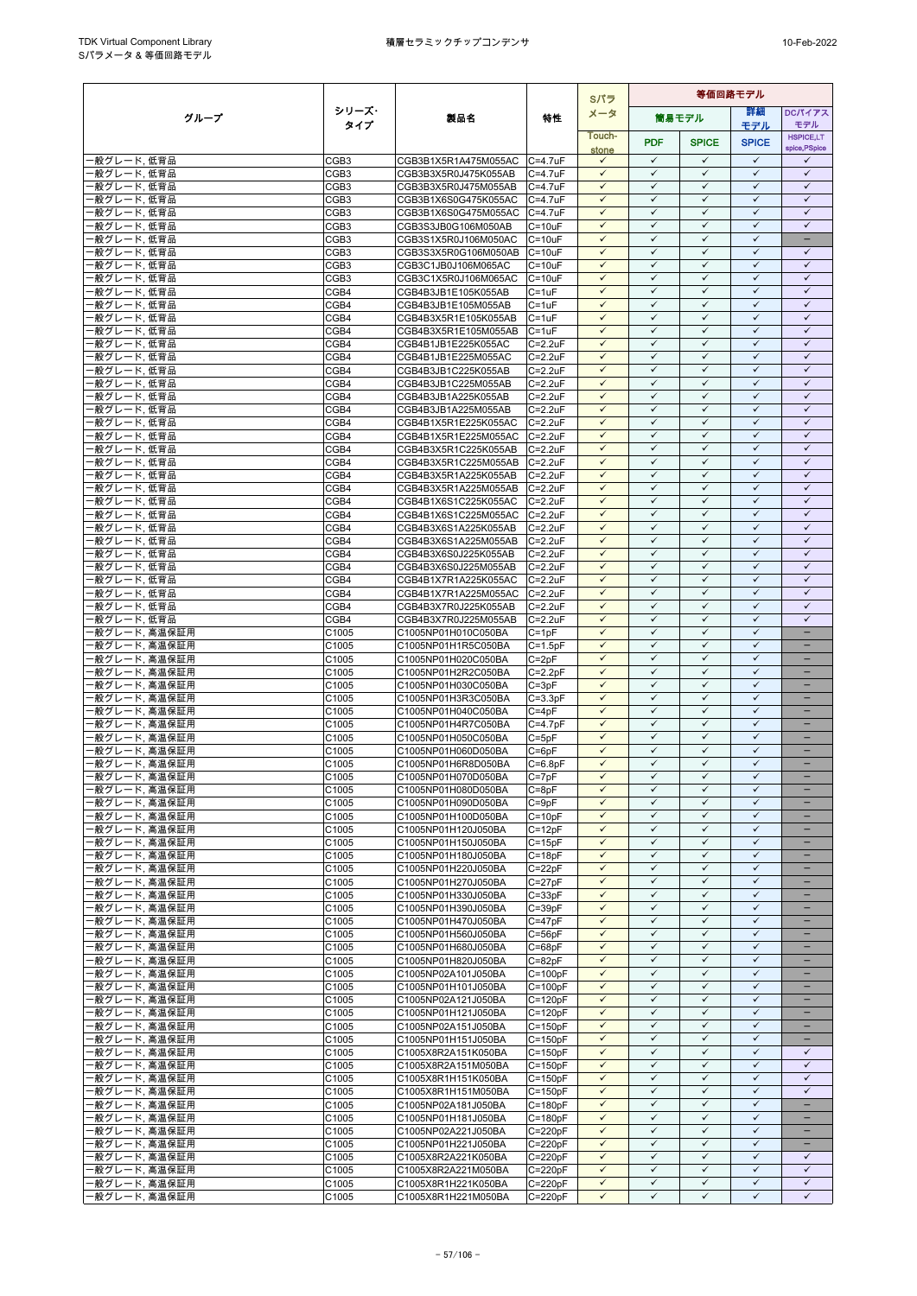|                              |                                      |                                              |                            |                              | Sパラ                          | 等価回路モデル                      |                              |                              |  |  |  |
|------------------------------|--------------------------------------|----------------------------------------------|----------------------------|------------------------------|------------------------------|------------------------------|------------------------------|------------------------------|--|--|--|
| グループ                         | シリーズ・                                | 製品名                                          | 特性                         | メータ                          | 筒易モデル                        |                              | 詳細                           | <b>DCパイアス</b>                |  |  |  |
|                              | タイプ                                  |                                              |                            | Touch-                       |                              |                              | モデル                          | モデル<br><b>HSPICE,LT</b>      |  |  |  |
|                              |                                      |                                              |                            | stone                        | <b>PDF</b>                   | <b>SPICE</b>                 | <b>SPICE</b>                 | spice, PSpice                |  |  |  |
| ・般グレード,低背品                   | CGB <sub>3</sub>                     | CGB3B1X5R1A475M055AC C=4.7uF                 |                            | $\checkmark$<br>$\checkmark$ | $\checkmark$<br>$\checkmark$ | $\checkmark$<br>$\checkmark$ | $\checkmark$<br>$\checkmark$ | ✓<br>$\checkmark$            |  |  |  |
| 般グレード.低背品<br>般グレード,低背品       | CGB <sub>3</sub><br>CGB <sub>3</sub> | CGB3B3X5R0J475K055AB<br>CGB3B3X5R0J475M055AB | $C=4.7$ u $F$<br>C=4.7uF   | $\checkmark$                 | $\checkmark$                 | $\checkmark$                 | $\checkmark$                 | $\checkmark$                 |  |  |  |
| 般グレード,低背品                    | CGB <sub>3</sub>                     | CGB3B1X6S0G475K055AC                         | $C = 4.7$ u $F$            | $\checkmark$                 | $\checkmark$                 | $\checkmark$                 | $\checkmark$                 | $\checkmark$                 |  |  |  |
| 般グレード,低背品                    | CGB <sub>3</sub>                     | CGB3B1X6S0G475M055AC                         | $C = 4.7$ u $F$            | $\checkmark$                 | $\checkmark$                 | $\checkmark$                 | $\checkmark$                 | $\checkmark$                 |  |  |  |
| 般グレード、低背品                    | CGB <sub>3</sub>                     | CGB3S3JB0G106M050AB                          | $C = 10uF$                 | $\checkmark$                 | $\checkmark$                 | ✓                            | $\checkmark$                 | $\checkmark$                 |  |  |  |
| 般グレード,低背品                    | CGB <sub>3</sub>                     | CGB3S1X5R0J106M050AC                         | $C = 10uF$                 | $\checkmark$                 | $\checkmark$                 | $\checkmark$                 | $\checkmark$                 | Ξ                            |  |  |  |
| 般グレード、低背品<br>般グレード,低背品       | CGB <sub>3</sub><br>CGB <sub>3</sub> | CGB3S3X5R0G106M050AB<br>CGB3C1JB0J106M065AC  | $C = 10uF$<br>$C = 10uF$   | $\checkmark$<br>$\checkmark$ | $\checkmark$<br>$\checkmark$ | $\checkmark$<br>$\checkmark$ | $\checkmark$<br>$\checkmark$ | $\checkmark$<br>$\checkmark$ |  |  |  |
| 般グレード,低背品                    | CGB <sub>3</sub>                     | CGB3C1X5R0J106M065AC                         | $C = 10uF$                 | $\checkmark$                 | $\checkmark$                 | $\checkmark$                 | $\checkmark$                 | $\checkmark$                 |  |  |  |
| 般グレード,低背品                    | CGB4                                 | CGB4B3JB1E105K055AB                          | $C = 1uF$                  | $\checkmark$                 | $\checkmark$                 | $\checkmark$                 | $\checkmark$                 | $\checkmark$                 |  |  |  |
| 般グレード.低背品                    | CGB4                                 | CGB4B3JB1E105M055AB                          | $C = 1uF$                  | $\checkmark$                 | $\checkmark$                 | $\checkmark$                 | $\checkmark$                 | $\checkmark$                 |  |  |  |
| 般グレード、低背品<br>般グレード,低背品       | CGB4<br>CGB4                         | CGB4B3X5R1E105K055AB<br>CGB4B3X5R1E105M055AB | $C = 1uF$<br>$C = 1uF$     | $\checkmark$<br>$\checkmark$ | $\checkmark$<br>$\checkmark$ | $\checkmark$<br>$\checkmark$ | $\checkmark$<br>$\checkmark$ | $\checkmark$<br>$\checkmark$ |  |  |  |
| 般グレード,低背品                    | CGB4                                 | CGB4B1JB1E225K055AC                          | $C = 2.2uF$                | $\checkmark$                 | $\checkmark$                 | $\checkmark$                 | $\checkmark$                 | $\checkmark$                 |  |  |  |
| 般グレード,低背品                    | CGB4                                 | CGB4B1JB1E225M055AC                          | $C = 2.2uF$                | $\checkmark$                 | $\checkmark$                 | $\checkmark$                 | $\checkmark$                 | $\checkmark$                 |  |  |  |
| 般グレード、低背品                    | CGB4                                 | CGB4B3JB1C225K055AB                          | $C = 2.2uF$                | $\checkmark$                 | $\checkmark$                 | $\checkmark$                 | $\checkmark$                 | $\checkmark$                 |  |  |  |
| 般グレード,低背品<br>般グレード,低背品       | CGB4<br>CGB4                         | CGB4B3JB1C225M055AB                          | $C = 2.2uF$<br>$C = 2.2uF$ | $\checkmark$<br>$\checkmark$ | $\checkmark$<br>✓            | $\checkmark$<br>$\checkmark$ | $\checkmark$<br>$\checkmark$ | $\checkmark$<br>$\checkmark$ |  |  |  |
| 般グレード,低背品                    | CGB4                                 | CGB4B3JB1A225K055AB<br>CGB4B3JB1A225M055AB   | $C = 2.2uF$                | $\checkmark$                 | ✓                            | $\checkmark$                 | $\checkmark$                 | ✓                            |  |  |  |
| 般グレード,低背品                    | CGB4                                 | CGB4B1X5R1E225K055AC                         | $C = 2.2uF$                | $\checkmark$                 | $\checkmark$                 | $\checkmark$                 | $\checkmark$                 | $\checkmark$                 |  |  |  |
| 般グレード,低背品                    | CGB4                                 | CGB4B1X5R1E225M055AC                         | $C = 2.2uF$                | $\checkmark$                 | $\checkmark$                 | $\checkmark$                 | $\checkmark$                 | $\checkmark$                 |  |  |  |
| 般グレード,低背品                    | CGB4                                 | CGB4B3X5R1C225K055AB                         | $C = 2.2uF$                | $\checkmark$                 | $\checkmark$<br>$\checkmark$ | $\checkmark$                 | $\checkmark$                 | $\checkmark$                 |  |  |  |
| 般グレード,低背品<br>般グレード,低背品       | CGB4<br>CGB4                         | CGB4B3X5R1C225M055AB<br>CGB4B3X5R1A225K055AB | $C = 2.2uF$<br>$C = 2.2uF$ | $\checkmark$<br>$\checkmark$ | $\checkmark$                 | $\checkmark$<br>✓            | $\checkmark$<br>$\checkmark$ | $\checkmark$<br>$\checkmark$ |  |  |  |
| 般グレード,低背品                    | CGB4                                 | CGB4B3X5R1A225M055AB                         | $C = 2.2uF$                | $\checkmark$                 | $\checkmark$                 | $\checkmark$                 | $\checkmark$                 | $\checkmark$                 |  |  |  |
| 般グレード,低背品                    | CGB4                                 | CGB4B1X6S1C225K055AC                         | $C = 2.2uF$                | $\checkmark$                 | $\checkmark$                 | $\checkmark$                 | $\checkmark$                 | $\checkmark$                 |  |  |  |
| 般グレード,低背品                    | CGB4                                 | CGB4B1X6S1C225M055AC                         | $C = 2.2uF$                | $\checkmark$                 | $\checkmark$                 | $\checkmark$                 | $\checkmark$                 | $\checkmark$                 |  |  |  |
| 般グレード,低背品<br>般グレード,低背品       | CGB4<br>CGB4                         | CGB4B3X6S1A225K055AB<br>CGB4B3X6S1A225M055AB | $C = 2.2uF$<br>$C = 2.2uF$ | $\checkmark$<br>$\checkmark$ | $\checkmark$<br>$\checkmark$ | $\checkmark$<br>$\checkmark$ | $\checkmark$<br>$\checkmark$ | $\checkmark$<br>$\checkmark$ |  |  |  |
| 般グレード、低背品                    | CGB4                                 | CGB4B3X6S0J225K055AB                         | $C = 2.2uF$                | $\checkmark$                 | ✓                            | $\checkmark$                 | $\checkmark$                 | $\checkmark$                 |  |  |  |
| 般グレード,低背品                    | CGB4                                 | CGB4B3X6S0J225M055AB                         | $C = 2.2uF$                | $\checkmark$                 | $\checkmark$                 | $\checkmark$                 | $\checkmark$                 | $\checkmark$                 |  |  |  |
| 般グレード,低背品                    | CGB4                                 | CGB4B1X7R1A225K055AC                         | $C = 2.2uF$                | $\checkmark$                 | $\checkmark$                 | $\checkmark$                 | $\checkmark$                 | $\checkmark$                 |  |  |  |
| 般グレード,低背品                    | CGB4                                 | CGB4B1X7R1A225M055AC                         | $C = 2.2uF$                | $\checkmark$<br>$\checkmark$ | $\checkmark$<br>$\checkmark$ | $\checkmark$<br>$\checkmark$ | $\checkmark$<br>$\checkmark$ | $\checkmark$<br>$\checkmark$ |  |  |  |
| 般グレード,低背品<br>般グレード,低背品       | CGB4<br>CGB4                         | CGB4B3X7R0J225K055AB<br>CGB4B3X7R0J225M055AB | $C = 2.2uF$<br>$C = 2.2uF$ | $\checkmark$                 | $\checkmark$                 | $\checkmark$                 | $\checkmark$                 | $\checkmark$                 |  |  |  |
| 般グレード, 高温保証用                 | C1005                                | C1005NP01H010C050BA                          | $C = 1pF$                  | $\checkmark$                 | $\checkmark$                 | $\checkmark$                 | $\checkmark$                 | $\overline{\phantom{0}}$     |  |  |  |
| 般グレード、高温保証用                  | C1005                                | C1005NP01H1R5C050BA                          | $C = 1.5pF$                | $\checkmark$                 | $\checkmark$                 | $\checkmark$                 | $\checkmark$                 | -                            |  |  |  |
| 般グレード, 高温保証用                 | C1005                                | C1005NP01H020C050BA                          | $C = 2pF$                  | $\checkmark$                 | $\checkmark$                 | $\checkmark$                 | $\checkmark$                 |                              |  |  |  |
| 般グレード, 高温保証用<br>般グレード, 高温保証用 | C1005<br>C1005                       | C1005NP01H2R2C050BA<br>C1005NP01H030C050BA   | $C = 2.2pF$<br>$C = 3pF$   | $\checkmark$<br>$\checkmark$ | $\checkmark$<br>$\checkmark$ | $\checkmark$<br>$\checkmark$ | $\checkmark$<br>$\checkmark$ | ÷                            |  |  |  |
| 般グレード, 高温保証用                 | C1005                                | C1005NP01H3R3C050BA                          | $C = 3.3pF$                | $\checkmark$                 | $\checkmark$                 | $\checkmark$                 | $\checkmark$                 | $\equiv$                     |  |  |  |
| 般グレード, 高温保証用                 | C1005                                | C1005NP01H040C050BA                          | $C = 4pF$                  | $\checkmark$                 | $\checkmark$                 | $\checkmark$                 | $\checkmark$                 | $\qquad \qquad -$            |  |  |  |
| 般グレード, 高温保証用                 | C1005                                | C1005NP01H4R7C050BA                          | $C=4.7pF$                  | $\checkmark$                 | $\checkmark$                 | ✓                            | $\checkmark$                 |                              |  |  |  |
| 般グレード, 高温保証用<br>般グレード, 高温保証用 | C1005<br>C1005                       | C1005NP01H050C050BA<br>C1005NP01H060D050BA   | $C = 5pF$<br>$C = 6pF$     | $\checkmark$                 | $\checkmark$<br>$\checkmark$ | $\checkmark$<br>$\checkmark$ | $\checkmark$<br>$\checkmark$ |                              |  |  |  |
| 般グレード, 高温保証用                 | C1005                                | C1005NP01H6R8D050BA                          | $C = 6.8pF$                | $\checkmark$                 | $\checkmark$                 | $\checkmark$                 | $\checkmark$                 |                              |  |  |  |
| 般グレード, 高温保証用                 | C1005                                | C1005NP01H070D050BA                          | $C = 7pF$                  | $\checkmark$                 | $\checkmark$                 | $\checkmark$                 | $\checkmark$                 |                              |  |  |  |
| 般グレード, 高温保証用                 | C1005                                | C1005NP01H080D050BA                          | $C = 8pF$                  | $\checkmark$                 | $\checkmark$                 | $\checkmark$                 | $\checkmark$                 |                              |  |  |  |
| 般グレード, 高温保証用<br>般グレード, 高温保証用 | C1005<br>C1005                       | C1005NP01H090D050BA<br>C1005NP01H100D050BA   | $C = 9pF$<br>$C = 10pF$    | $\checkmark$<br>$\checkmark$ | ✓<br>$\checkmark$            | $\checkmark$<br>$\checkmark$ | $\checkmark$<br>$\checkmark$ | -                            |  |  |  |
| 般グレード, 高温保証用                 | C1005                                | C1005NP01H120J050BA                          | $C = 12pF$                 | $\checkmark$                 | $\checkmark$                 | $\checkmark$                 | $\checkmark$                 |                              |  |  |  |
| 般グレード, 高温保証用                 | C1005                                | C1005NP01H150J050BA                          | $C = 15pF$                 | ✓                            | ✓                            | $\checkmark$                 | $\checkmark$                 |                              |  |  |  |
| 般グレード, 高温保証用                 | C1005                                | C1005NP01H180J050BA                          | $C = 18pF$                 | $\checkmark$                 | $\checkmark$                 | $\checkmark$                 | $\checkmark$                 |                              |  |  |  |
| 般グレード, 高温保証用<br>般グレード, 高温保証用 | C1005<br>C1005                       | C1005NP01H220J050BA<br>C1005NP01H270J050BA   | $C = 22pF$<br>$C = 27pF$   | $\checkmark$<br>$\checkmark$ | $\checkmark$<br>$\checkmark$ | $\checkmark$<br>✓            | $\checkmark$<br>$\checkmark$ | -<br>-                       |  |  |  |
| 般グレード, 高温保証用                 | C1005                                | C1005NP01H330J050BA                          | $C = 33pF$                 | $\checkmark$                 | $\checkmark$                 | $\checkmark$                 | $\checkmark$                 | -                            |  |  |  |
| 般グレード, 高温保証用                 | C1005                                | C1005NP01H390J050BA                          | $C = 39pF$                 | $\checkmark$                 | $\checkmark$                 | $\checkmark$                 | $\checkmark$                 |                              |  |  |  |
| 般グレード, 高温保証用                 | C1005                                | C1005NP01H470J050BA                          | $C = 47pF$                 | $\checkmark$                 | $\checkmark$                 | $\checkmark$                 | $\checkmark$                 | ÷                            |  |  |  |
| 般グレード, 高温保証用<br>般グレード, 高温保証用 | C1005<br>C1005                       | C1005NP01H560J050BA<br>C1005NP01H680J050BA   | $C = 56pF$<br>$C = 68pF$   | $\checkmark$<br>$\checkmark$ | $\checkmark$<br>$\checkmark$ | $\checkmark$<br>$\checkmark$ | $\checkmark$<br>$\checkmark$ |                              |  |  |  |
| 般グレード, 高温保証用                 | C1005                                | C1005NP01H820J050BA                          | $C = 82pF$                 | $\checkmark$                 | $\checkmark$                 | $\checkmark$                 | $\checkmark$                 | $\overline{\phantom{a}}$     |  |  |  |
| 般グレード, 高温保証用                 | C1005                                | C1005NP02A101J050BA                          | $C = 100pF$                | $\checkmark$                 | ✓                            | ✓                            | $\checkmark$                 |                              |  |  |  |
| 般グレード, 高温保証用                 | C1005                                | C1005NP01H101J050BA                          | $C = 100pF$                | $\checkmark$                 | $\checkmark$                 | $\checkmark$                 | $\checkmark$                 | -                            |  |  |  |
| 般グレード, 高温保証用                 | C1005                                | C1005NP02A121J050BA                          | $C = 120pF$                | $\checkmark$<br>$\checkmark$ | ✓<br>$\checkmark$            | $\checkmark$<br>$\checkmark$ | $\checkmark$<br>$\checkmark$ | -                            |  |  |  |
| 般グレード, 高温保証用<br>般グレード, 高温保証用 | C1005<br>C1005                       | C1005NP01H121J050BA<br>C1005NP02A151J050BA   | $C = 120pF$<br>$C = 150pF$ | $\checkmark$                 | $\checkmark$                 | $\checkmark$                 | $\checkmark$                 | $\overline{\phantom{0}}$     |  |  |  |
| 般グレード, 高温保証用                 | C1005                                | C1005NP01H151J050BA                          | $C = 150pF$                | $\checkmark$                 | $\checkmark$                 | $\checkmark$                 | $\checkmark$                 |                              |  |  |  |
| 般グレード, 高温保証用                 | C1005                                | C1005X8R2A151K050BA                          | $C = 150pF$                | $\checkmark$                 | $\checkmark$                 | $\checkmark$                 | $\checkmark$                 | $\checkmark$                 |  |  |  |
| 般グレード, 高温保証用                 | C1005                                | C1005X8R2A151M050BA                          | $C = 150pF$                | $\checkmark$<br>$\checkmark$ | $\checkmark$<br>$\checkmark$ | $\checkmark$<br>$\checkmark$ | $\checkmark$<br>$\checkmark$ | $\checkmark$<br>$\checkmark$ |  |  |  |
| 般グレード, 高温保証用<br>般グレード, 高温保証用 | C1005<br>C1005                       | C1005X8R1H151K050BA<br>C1005X8R1H151M050BA   | $C = 150pF$<br>$C = 150pF$ | ✓                            | ✓                            | $\checkmark$                 | $\checkmark$                 | $\checkmark$                 |  |  |  |
| 般グレード, 高温保証用                 | C1005                                | C1005NP02A181J050BA                          | $C = 180pF$                | $\checkmark$                 | $\checkmark$                 | $\checkmark$                 | $\checkmark$                 | ÷                            |  |  |  |
| 般グレード, 高温保証用                 | C1005                                | C1005NP01H181J050BA                          | $C = 180pF$                | $\checkmark$                 | $\checkmark$                 | $\checkmark$                 | $\checkmark$                 | -                            |  |  |  |
| 般グレード, 高温保証用                 | C1005                                | C1005NP02A221J050BA                          | $C = 220pF$                | $\checkmark$                 | $\checkmark$                 | ✓                            | $\checkmark$                 | -                            |  |  |  |
| 般グレード, 高温保証用<br>般グレード, 高温保証用 | C1005<br>C1005                       | C1005NP01H221J050BA<br>C1005X8R2A221K050BA   | $C = 220pF$<br>$C = 220pF$ | $\checkmark$<br>$\checkmark$ | $\checkmark$<br>$\checkmark$ | $\checkmark$<br>$\checkmark$ | $\checkmark$<br>$\checkmark$ | -<br>$\checkmark$            |  |  |  |
| 般グレード, 高温保証用                 | C1005                                | C1005X8R2A221M050BA                          | $C = 220pF$                | $\checkmark$                 | $\checkmark$                 | $\checkmark$                 | $\checkmark$                 | $\checkmark$                 |  |  |  |
| 般グレード, 高温保証用                 | C1005                                | C1005X8R1H221K050BA                          | $C = 220pF$                | $\checkmark$                 | $\checkmark$                 | $\checkmark$                 | $\checkmark$                 | $\checkmark$                 |  |  |  |
| 般グレード, 高温保証用                 | C1005                                | C1005X8R1H221M050BA                          | $C = 220pF$                | $\checkmark$                 | $\checkmark$                 | ✓                            | $\checkmark$                 | $\checkmark$                 |  |  |  |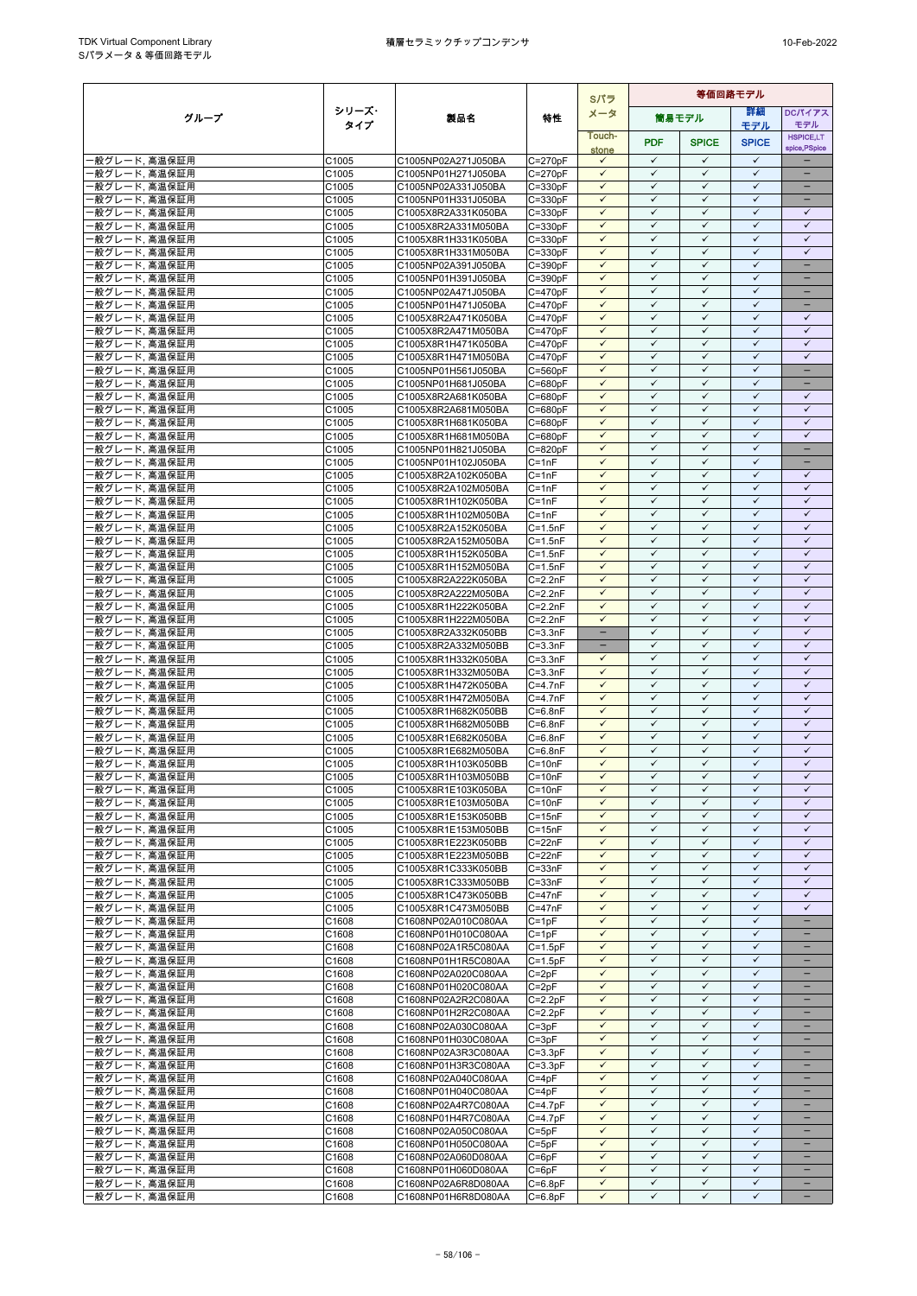|                                |                | Sパラ                                        |                            |                              |                              | 等価回路モデル                      |                              |                                               |  |  |
|--------------------------------|----------------|--------------------------------------------|----------------------------|------------------------------|------------------------------|------------------------------|------------------------------|-----------------------------------------------|--|--|
| グループ                           | シリーズ・          | 製品名                                        | 特性                         | メータ                          |                              | 筒易モデル                        | 詳細                           | DCパイアス                                        |  |  |
|                                | タイプ            |                                            |                            | Touch-                       |                              |                              | モデル                          | モデル<br><b>HSPICE,LT</b>                       |  |  |
|                                |                |                                            |                            | stone                        | <b>PDF</b>                   | <b>SPICE</b>                 | <b>SPICE</b>                 | spice, PSpice                                 |  |  |
| ・般グレード, 高温保証用                  | C1005          | C1005NP02A271J050BA                        | $C = 270pF$                | $\checkmark$                 | $\checkmark$                 | $\checkmark$                 | $\checkmark$                 |                                               |  |  |
| 般グレード, 高温保証用                   | C1005          | C1005NP01H271J050BA                        | $C = 270pF$                | $\checkmark$                 | $\checkmark$                 | $\checkmark$                 | $\checkmark$                 |                                               |  |  |
| ·般グレード, 高温保証用                  | C1005          | C1005NP02A331J050BA                        | $C = 330pF$                | $\checkmark$<br>$\checkmark$ | $\checkmark$<br>$\checkmark$ | $\checkmark$<br>$\checkmark$ | $\checkmark$<br>$\checkmark$ | $\overline{\phantom{0}}$                      |  |  |
| ‧般グレード, 高温保証用<br>・般グレード、高温保証用  | C1005<br>C1005 | C1005NP01H331J050BA<br>C1005X8R2A331K050BA | $C = 330pF$<br>$C = 330pF$ | $\checkmark$                 | $\checkmark$                 | $\checkmark$                 | $\checkmark$                 | $\checkmark$                                  |  |  |
| 般グレード, 高温保証用                   | C1005          | C1005X8R2A331M050BA                        | $C = 330pF$                | $\checkmark$                 | $\checkmark$                 | $\checkmark$                 | $\checkmark$                 | $\checkmark$                                  |  |  |
| 般グレード, 高温保証用                   | C1005          | C1005X8R1H331K050BA                        | $C = 330pF$                | $\checkmark$                 | $\checkmark$                 | $\checkmark$                 | $\checkmark$                 | $\checkmark$                                  |  |  |
| 般グレード, 高温保証用                   | C1005          | C1005X8R1H331M050BA                        | $C = 330pF$                | $\checkmark$                 | $\checkmark$                 | $\checkmark$                 | $\checkmark$                 | $\checkmark$                                  |  |  |
| 般グレード, 高温保証用                   | C1005          | C1005NP02A391J050BA                        | $C = 390pF$                | $\checkmark$                 | $\checkmark$                 | $\checkmark$                 | $\checkmark$                 | $\overline{\phantom{0}}$                      |  |  |
| ·般グレード, 高温保証用                  | C1005          | C1005NP01H391J050BA                        | $C = 390pF$                | $\checkmark$<br>$\checkmark$ | $\checkmark$<br>$\checkmark$ | $\checkmark$<br>$\checkmark$ | $\checkmark$<br>$\checkmark$ | $\qquad \qquad -$                             |  |  |
| 般グレード, 高温保証用<br>般グレード, 高温保証用   | C1005<br>C1005 | C1005NP02A471J050BA<br>C1005NP01H471J050BA | $C = 470pF$<br>$C = 470pF$ | $\checkmark$                 | $\checkmark$                 | $\checkmark$                 | $\checkmark$                 | -                                             |  |  |
| 般グレード, 高温保証用                   | C1005          | C1005X8R2A471K050BA                        | $C = 470pF$                | $\checkmark$                 | $\checkmark$                 | $\checkmark$                 | $\checkmark$                 | $\checkmark$                                  |  |  |
| 般グレード, 高温保証用                   | C1005          | C1005X8R2A471M050BA                        | $C = 470pF$                | $\checkmark$                 | $\checkmark$                 | $\checkmark$                 | $\checkmark$                 | $\checkmark$                                  |  |  |
| 般グレード, 高温保証用                   | C1005          | C1005X8R1H471K050BA                        | $C = 470pF$                | $\checkmark$                 | $\checkmark$                 | $\checkmark$                 | $\checkmark$                 | $\checkmark$                                  |  |  |
| 般グレード, 高温保証用                   | C1005          | C1005X8R1H471M050BA                        | $C = 470pF$                | $\checkmark$                 | $\checkmark$                 | $\checkmark$                 | $\checkmark$                 | $\checkmark$                                  |  |  |
| 般グレード, 高温保証用                   | C1005          | C1005NP01H561J050BA                        | $C = 560pF$                | $\checkmark$                 | $\checkmark$                 | $\checkmark$                 | $\checkmark$                 | $\equiv$                                      |  |  |
| 般グレード, 高温保証用<br>般グレード, 高温保証用   | C1005<br>C1005 | C1005NP01H681J050BA<br>C1005X8R2A681K050BA | $C = 680pF$<br>$C = 680pF$ | $\checkmark$<br>$\checkmark$ | $\checkmark$<br>$\checkmark$ | $\checkmark$<br>$\checkmark$ | ✓<br>$\checkmark$            | $\checkmark$                                  |  |  |
| 般グレード, 高温保証用                   | C1005          | C1005X8R2A681M050BA                        | $C = 680pF$                | $\checkmark$                 | $\checkmark$                 | $\checkmark$                 | $\checkmark$                 | $\checkmark$                                  |  |  |
| 般グレード, 高温保証用                   | C1005          | C1005X8R1H681K050BA                        | $C = 680pF$                | $\checkmark$                 | $\checkmark$                 | $\checkmark$                 | $\checkmark$                 | $\checkmark$                                  |  |  |
| 般グレード, 高温保証用                   | C1005          | C1005X8R1H681M050BA                        | $C = 680pF$                | $\checkmark$                 | $\checkmark$                 | $\checkmark$                 | $\checkmark$                 | $\checkmark$                                  |  |  |
| ·般グレード, 高温保証用                  | C1005          | C1005NP01H821J050BA                        | $C = 820pF$                | $\checkmark$                 | $\checkmark$                 | $\checkmark$                 | $\checkmark$                 | $\overline{\phantom{0}}$                      |  |  |
| 般グレード, 高温保証用                   | C1005          | C1005NP01H102J050BA                        | $C = 1nF$                  | $\checkmark$                 | $\checkmark$                 | $\checkmark$                 | $\checkmark$                 | $\qquad \qquad -$                             |  |  |
| ·般グレード, 高温保証用<br>·般グレード, 高温保証用 | C1005<br>C1005 | C1005X8R2A102K050BA<br>C1005X8R2A102M050BA | $C = 1nF$<br>$C = 1nF$     | $\checkmark$<br>$\checkmark$ | $\checkmark$<br>$\checkmark$ | $\checkmark$<br>$\checkmark$ | $\checkmark$<br>$\checkmark$ | $\checkmark$<br>$\checkmark$                  |  |  |
| 般グレード, 高温保証用                   | C1005          | C1005X8R1H102K050BA                        | $C = 1nF$                  | $\checkmark$                 | $\checkmark$                 | $\checkmark$                 | $\checkmark$                 | $\checkmark$                                  |  |  |
| 般グレード, 高温保証用                   | C1005          | C1005X8R1H102M050BA                        | $C = 1nF$                  | $\checkmark$                 | $\checkmark$                 | $\checkmark$                 | $\checkmark$                 | $\checkmark$                                  |  |  |
| ·般グレード, 高温保証用                  | C1005          | C1005X8R2A152K050BA                        | $C = 1.5nF$                | $\checkmark$                 | $\checkmark$                 | $\checkmark$                 | $\checkmark$                 | $\checkmark$                                  |  |  |
| 般グレード, 高温保証用                   | C1005          | C1005X8R2A152M050BA                        | $C = 1.5nF$                | $\checkmark$                 | $\checkmark$                 | $\checkmark$                 | ✓                            | $\checkmark$                                  |  |  |
| 般グレード, 高温保証用                   | C1005          | C1005X8R1H152K050BA                        | $C = 1.5nF$                | $\checkmark$                 | $\checkmark$                 | $\checkmark$                 | $\checkmark$                 | $\checkmark$                                  |  |  |
| ·般グレード, 高温保証用<br>般グレード, 高温保証用  | C1005<br>C1005 | C1005X8R1H152M050BA<br>C1005X8R2A222K050BA | $C = 1.5nF$<br>$C = 2.2nF$ | $\checkmark$<br>$\checkmark$ | $\checkmark$<br>$\checkmark$ | $\checkmark$<br>$\checkmark$ | $\checkmark$<br>$\checkmark$ | $\checkmark$<br>$\checkmark$                  |  |  |
| 般グレード, 高温保証用                   | C1005          | C1005X8R2A222M050BA                        | $C = 2.2nF$                | $\checkmark$                 | $\checkmark$                 | $\checkmark$                 | $\checkmark$                 | $\checkmark$                                  |  |  |
| 般グレード, 高温保証用                   | C1005          | C1005X8R1H222K050BA                        | $C = 2.2nF$                | $\checkmark$                 | $\checkmark$                 | $\checkmark$                 | $\checkmark$                 | $\checkmark$                                  |  |  |
| ·般グレード, 高温保証用                  | C1005          | C1005X8R1H222M050BA                        | $C = 2.2nF$                | $\checkmark$                 | $\checkmark$                 | $\checkmark$                 | $\checkmark$                 | $\checkmark$                                  |  |  |
| 般グレード, 高温保証用                   | C1005          | C1005X8R2A332K050BB                        | $C = 3.3nF$                |                              | $\checkmark$                 | ✓                            | ✓                            | $\checkmark$                                  |  |  |
| 般グレード, 高温保証用                   | C1005          | C1005X8R2A332M050BB                        | $C = 3.3nF$                | -                            | $\checkmark$<br>$\checkmark$ | $\checkmark$<br>$\checkmark$ | $\checkmark$<br>$\checkmark$ | $\checkmark$<br>$\checkmark$                  |  |  |
| 般グレード, 高温保証用<br>般グレード, 高温保証用   | C1005<br>C1005 | C1005X8R1H332K050BA<br>C1005X8R1H332M050BA | $C = 3.3nF$<br>$C = 3.3nF$ | $\checkmark$<br>$\checkmark$ | $\checkmark$                 | $\checkmark$                 | $\checkmark$                 | $\checkmark$                                  |  |  |
| ・般グレード, 高温保証用                  | C1005          | C1005X8R1H472K050BA                        | $C=4.7nF$                  | $\checkmark$                 | $\checkmark$                 | $\checkmark$                 | $\checkmark$                 | $\checkmark$                                  |  |  |
| 般グレード, 高温保証用                   | C1005          | C1005X8R1H472M050BA                        | $C=4.7nF$                  | $\checkmark$                 | $\checkmark$                 | $\checkmark$                 | ✓                            | $\checkmark$                                  |  |  |
| ・般グレード、高温保証用                   | C1005          | C1005X8R1H682K050BB                        | $C = 6.8nF$                | $\checkmark$                 | $\checkmark$                 | $\checkmark$                 | $\checkmark$                 | $\checkmark$                                  |  |  |
| 般グレード, 高温保証用                   | C1005          | C1005X8R1H682M050BB                        | $C = 6.8nF$                | $\checkmark$                 | $\checkmark$                 | $\checkmark$                 | $\checkmark$                 | $\checkmark$                                  |  |  |
| 般グレード, 高温保証用                   | C1005          | C1005X8R1E682K050BA                        | $C = 6.8nF$                | $\checkmark$<br>$\checkmark$ | $\checkmark$<br>$\checkmark$ | $\checkmark$<br>$\checkmark$ | $\checkmark$<br>$\checkmark$ | $\checkmark$<br>$\checkmark$                  |  |  |
| 般グレード, 高温保証用<br>般グレード, 高温保証用   | C1005<br>C1005 | C1005X8R1E682M050BA<br>C1005X8R1H103K050BB | $C = 6.8nF$<br>$C = 10nF$  | $\checkmark$                 | $\checkmark$                 | $\checkmark$                 | $\checkmark$                 | $\checkmark$                                  |  |  |
| 般グレード, 高温保証用                   | C1005          | C1005X8R1H103M050BB                        | $C = 10nF$                 | $\checkmark$                 | $\checkmark$                 | $\checkmark$                 | $\checkmark$                 | $\checkmark$                                  |  |  |
| ·般グレード, 高温保証用                  | C1005          | C1005X8R1E103K050BA                        | $C = 10nF$                 | $\checkmark$                 | $\checkmark$                 | $\checkmark$                 | $\checkmark$                 | $\checkmark$                                  |  |  |
| ·般グレード, 高温保証用                  | C1005          | C1005X8R1E103M050BA                        | $C = 10nF$                 | $\checkmark$                 | $\checkmark$                 | $\checkmark$                 | $\checkmark$                 | $\checkmark$                                  |  |  |
| 般グレード, 高温保証用                   | C1005          | C1005X8R1E153K050BB                        | $C = 15nF$                 | $\checkmark$                 | $\checkmark$                 | $\checkmark$                 | $\checkmark$                 | $\checkmark$                                  |  |  |
| 般グレード, 高温保証用                   | C1005          | C1005X8R1E153M050BB                        | $C = 15nF$                 | $\checkmark$                 | $\checkmark$<br>$\checkmark$ | $\checkmark$<br>$\checkmark$ | $\checkmark$<br>$\checkmark$ | $\checkmark$                                  |  |  |
| 般グレード, 高温保証用<br>·般グレード, 高温保証用  | C1005<br>C1005 | C1005X8R1E223K050BB<br>C1005X8R1E223M050BB | $C = 22nF$<br>$C = 22nF$   | $\checkmark$<br>$\checkmark$ | $\checkmark$                 | $\checkmark$                 | $\checkmark$                 | $\checkmark$<br>$\checkmark$                  |  |  |
| ·般グレード, 高温保証用                  | C1005          | C1005X8R1C333K050BB                        | $C = 33nF$                 | $\checkmark$                 | $\checkmark$                 | $\checkmark$                 | $\checkmark$                 | $\checkmark$                                  |  |  |
| 般グレード, 高温保証用                   | C1005          | C1005X8R1C333M050BB                        | $C = 33nF$                 | ✓                            | $\checkmark$                 | ✓                            | ✓                            | $\checkmark$                                  |  |  |
| 般グレード, 高温保証用                   | C1005          | C1005X8R1C473K050BB                        | $C = 47nF$                 | $\checkmark$                 | $\checkmark$                 | $\checkmark$                 | $\checkmark$                 | $\checkmark$                                  |  |  |
| ‧般グレード, 高温保証用                  | C1005          | C1005X8R1C473M050BB                        | $C = 47nF$                 | $\checkmark$                 | $\checkmark$                 | $\checkmark$                 | $\checkmark$                 | $\checkmark$                                  |  |  |
| ‧般グレード, 高温保証用                  | C1608          | C1608NP02A010C080AA                        | $C = 1pF$                  | $\checkmark$<br>$\checkmark$ | $\checkmark$<br>$\checkmark$ | $\checkmark$                 | $\checkmark$<br>$\checkmark$ |                                               |  |  |
| 般グレード, 高温保証用<br>般グレード, 高温保証用   | C1608<br>C1608 | C1608NP01H010C080AA<br>C1608NP02A1R5C080AA | $C = 1pF$<br>$C = 1.5pF$   | $\checkmark$                 | $\checkmark$                 | $\checkmark$<br>$\checkmark$ | $\checkmark$                 | $\overline{\phantom{0}}$<br>$\qquad \qquad -$ |  |  |
| 般グレード, 高温保証用                   | C1608          | C1608NP01H1R5C080AA                        | $C = 1.5pF$                | $\checkmark$                 | $\checkmark$                 | $\checkmark$                 | ✓                            | $\overline{\phantom{0}}$                      |  |  |
| 般グレード, 高温保証用                   | C1608          | C1608NP02A020C080AA                        | $C = 2pF$                  | $\checkmark$                 | $\checkmark$                 | $\checkmark$                 | $\checkmark$                 |                                               |  |  |
| 般グレード, 高温保証用                   | C1608          | C1608NP01H020C080AA                        | $C = 2pF$                  | $\checkmark$                 | $\checkmark$                 | $\checkmark$                 | $\checkmark$                 |                                               |  |  |
| ‧般グレード, 高温保証用                  | C1608          | C1608NP02A2R2C080AA                        | $C = 2.2pF$                | $\checkmark$                 | $\checkmark$                 | $\checkmark$                 | $\checkmark$                 |                                               |  |  |
| ·般グレード, 高温保証用                  | C1608          | C1608NP01H2R2C080AA                        | $C = 2.2pF$                | $\checkmark$                 | $\checkmark$                 | $\checkmark$                 | $\checkmark$                 | $\overline{\phantom{0}}$                      |  |  |
| ·般グレード, 高温保証用<br>般グレード, 高温保証用  | C1608          | C1608NP02A030C080AA<br>C1608NP01H030C080AA | $C = 3pF$<br>$C = 3pF$     | $\checkmark$<br>$\checkmark$ | $\checkmark$<br>✓            | $\checkmark$<br>$\checkmark$ | $\checkmark$<br>✓            |                                               |  |  |
| 般グレード, 高温保証用                   | C1608<br>C1608 | C1608NP02A3R3C080AA                        | $C = 3.3pF$                | $\checkmark$                 | $\checkmark$                 | $\checkmark$                 | $\checkmark$                 | $\qquad \qquad -$                             |  |  |
| ·般グレード, 高温保証用                  | C1608          | C1608NP01H3R3C080AA                        | $C = 3.3pF$                | $\checkmark$                 | $\checkmark$                 | ✓                            | $\checkmark$                 |                                               |  |  |
| 般グレード, 高温保証用                   | C1608          | C1608NP02A040C080AA                        | $C = 4pF$                  | $\checkmark$                 | $\checkmark$                 | $\checkmark$                 | $\checkmark$                 | ÷                                             |  |  |
| ·般グレード, 高温保証用                  | C1608          | C1608NP01H040C080AA                        | $C = 4pF$                  | $\checkmark$                 | $\checkmark$                 | $\checkmark$                 | $\checkmark$                 | $\overline{\phantom{0}}$                      |  |  |
| ·般グレード, 高温保証用                  | C1608          | C1608NP02A4R7C080AA                        | $C=4.7pF$                  | $\checkmark$                 | $\checkmark$                 | $\checkmark$                 | $\checkmark$                 |                                               |  |  |
| ·般グレード, 高温保証用                  | C1608          | C1608NP01H4R7C080AA                        | $C=4.7pF$                  | $\checkmark$<br>$\checkmark$ | $\checkmark$<br>$\checkmark$ | $\checkmark$<br>$\checkmark$ | $\checkmark$<br>$\checkmark$ | $\qquad \qquad -$                             |  |  |
| 般グレード, 高温保証用<br>·般グレード, 高温保証用  | C1608<br>C1608 | C1608NP02A050C080AA<br>C1608NP01H050C080AA | $C = 5pF$<br>$C = 5pF$     | $\checkmark$                 | $\checkmark$                 | $\checkmark$                 | $\checkmark$                 |                                               |  |  |
| ‧般グレード, 高温保証用                  | C1608          | C1608NP02A060D080AA                        | $C = 6pF$                  | $\checkmark$                 | $\checkmark$                 | $\checkmark$                 | $\checkmark$                 |                                               |  |  |
| 般グレード, 高温保証用                   | C1608          | C1608NP01H060D080AA                        | $C = 6pF$                  | $\checkmark$                 | $\checkmark$                 | $\checkmark$                 | $\checkmark$                 |                                               |  |  |
| -般グレード, 高温保証用                  | C1608          | C1608NP02A6R8D080AA                        | $C=6.8pF$                  | $\checkmark$                 | $\checkmark$                 | $\checkmark$                 | $\checkmark$                 |                                               |  |  |
| ー般グレード, 高温保証用                  | C1608          | C1608NP01H6R8D080AA                        | $C = 6.8pF$                | $\checkmark$                 | $\checkmark$                 | $\checkmark$                 | $\checkmark$                 | $\qquad \qquad -$                             |  |  |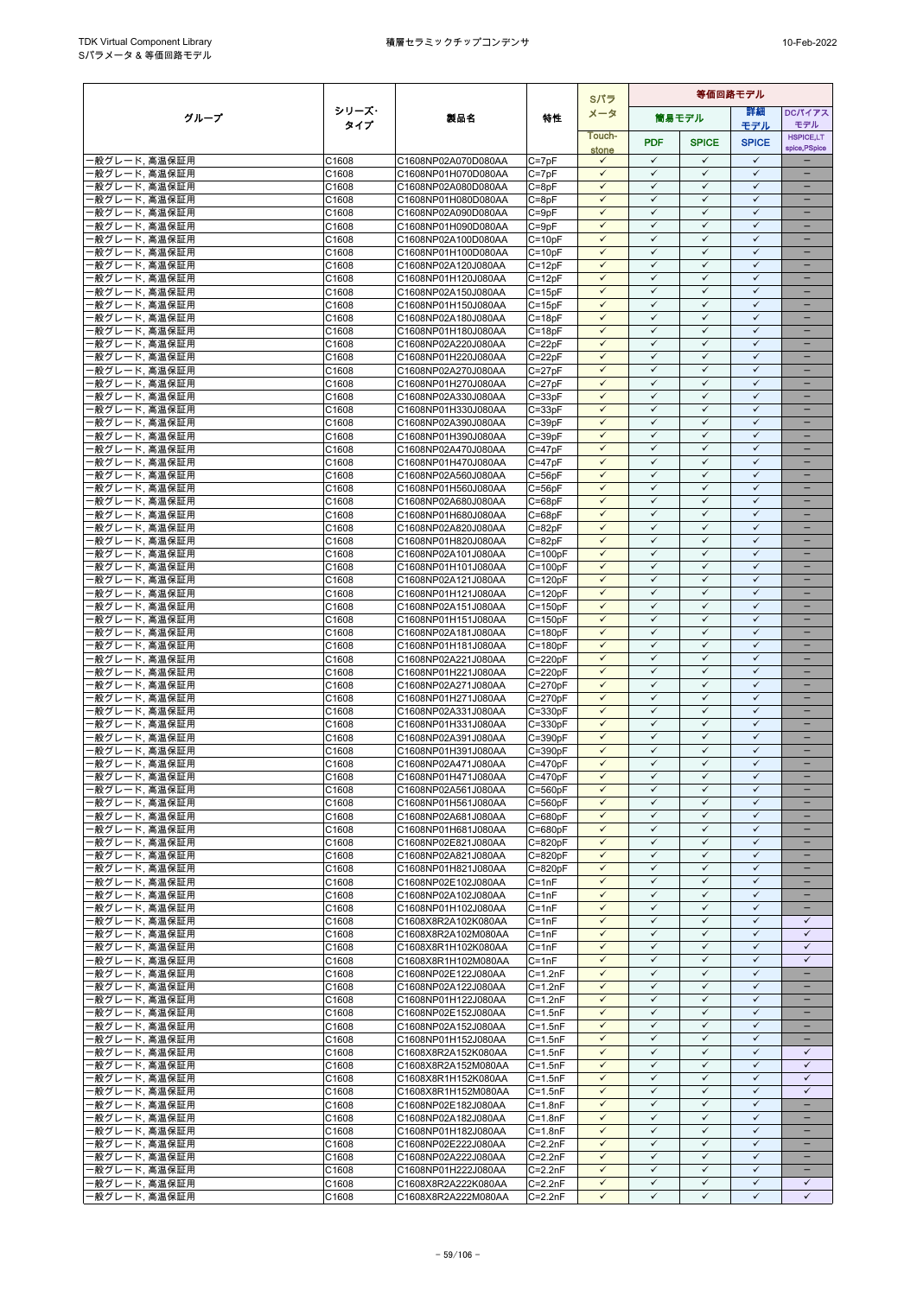|                                |                |                                            |                            | Sパラ                          | 等価回路モデル                      |                              |                              |                                          |
|--------------------------------|----------------|--------------------------------------------|----------------------------|------------------------------|------------------------------|------------------------------|------------------------------|------------------------------------------|
| グループ                           | シリーズ・          | 製品名                                        | 特性                         | メータ                          |                              | 筒易モデル                        | 詳細                           | <b>DCパイアス</b>                            |
|                                | タイプ            |                                            |                            | Touch-                       |                              |                              | モデル                          | モデル<br><b>HSPICE.LT</b>                  |
|                                |                |                                            |                            | stone                        | <b>PDF</b>                   | <b>SPICE</b>                 | <b>SPICE</b>                 | spice, PSpice                            |
| ・般グレード, 高温保証用                  | C1608          | C1608NP02A070D080AA                        | $C = 7pF$                  | $\checkmark$                 | $\checkmark$                 | $\checkmark$                 | $\checkmark$                 |                                          |
| 根グレード, 高温保証用                   | C1608          | C1608NP01H070D080AA                        | $C = 7pF$                  | $\checkmark$                 | $\checkmark$                 | $\checkmark$                 | $\checkmark$                 |                                          |
| 般グレード, 高温保証用                   | C1608          | C1608NP02A080D080AA                        | $C = 8pF$                  | $\checkmark$<br>$\checkmark$ | $\checkmark$<br>$\checkmark$ | ✓<br>$\checkmark$            | $\checkmark$<br>$\checkmark$ | $\equiv$                                 |
| ・般グレード, 高温保証用<br>·般グレード, 高温保証用 | C1608<br>C1608 | C1608NP01H080D080AA<br>C1608NP02A090D080AA | $C = 8pF$<br>$C = 9pF$     | $\checkmark$                 | $\checkmark$                 | $\checkmark$                 | $\checkmark$                 | $\qquad \qquad -$                        |
| 般グレード, 高温保証用                   | C1608          | C1608NP01H090D080AA                        | $C = 9pF$                  | ✓                            | $\checkmark$                 | ✓                            | ✓                            |                                          |
| ・般グレード, 高温保証用                  | C1608          | C1608NP02A100D080AA                        | $C = 10pF$                 | $\checkmark$                 | $\checkmark$                 | $\checkmark$                 | $\checkmark$                 | -                                        |
| 般グレード, 高温保証用                   | C1608          | C1608NP01H100D080AA                        | $C = 10pF$                 | $\checkmark$                 | $\checkmark$                 | $\checkmark$                 | $\checkmark$                 |                                          |
| 般グレード, 高温保証用                   | C1608          | C1608NP02A120J080AA                        | $C = 12pF$                 | $\checkmark$                 | $\checkmark$                 | $\checkmark$                 | $\checkmark$                 | $\equiv$                                 |
| ・般グレード, 高温保証用<br>·般グレード, 高温保証用 | C1608<br>C1608 | C1608NP01H120J080AA<br>C1608NP02A150J080AA | $C = 12pF$<br>$C = 15pF$   | $\checkmark$<br>$\checkmark$ | $\checkmark$<br>$\checkmark$ | $\checkmark$<br>$\checkmark$ | $\checkmark$<br>$\checkmark$ | $\overline{\phantom{0}}$                 |
| ・般グレード、高温保証用                   | C1608          | C1608NP01H150J080AA                        | $C = 15pF$                 | $\checkmark$                 | $\checkmark$                 | $\checkmark$                 | $\checkmark$                 | -                                        |
| 般グレード, 高温保証用                   | C1608          | C1608NP02A180J080AA                        | $C = 18pF$                 | $\checkmark$                 | $\checkmark$                 | $\checkmark$                 | $\checkmark$                 |                                          |
| ·般グレード, 高温保証用                  | C1608          | C1608NP01H180J080AA                        | $C = 18pF$                 | $\checkmark$                 | $\checkmark$                 | $\checkmark$                 | $\checkmark$                 |                                          |
| 般グレード, 高温保証用                   | C1608          | C1608NP02A220J080AA                        | $C = 22pF$                 | $\checkmark$                 | $\checkmark$                 | $\checkmark$                 | $\checkmark$                 | ۳                                        |
| 般グレード, 高温保証用                   | C1608          | C1608NP01H220J080AA                        | $C = 22pF$                 | $\checkmark$<br>$\checkmark$ | $\checkmark$<br>$\checkmark$ | $\checkmark$<br>$\checkmark$ | $\checkmark$<br>$\checkmark$ | ۳<br>$\equiv$                            |
| 般グレード, 高温保証用<br>・般グレード, 高温保証用  | C1608<br>C1608 | C1608NP02A270J080AA<br>C1608NP01H270J080AA | $C = 27pF$<br>$C = 27pF$   | $\checkmark$                 | $\checkmark$                 | $\checkmark$                 | $\checkmark$                 | -                                        |
| 般グレード, 高温保証用                   | C1608          | C1608NP02A330J080AA                        | $C = 33pF$                 | $\checkmark$                 | $\checkmark$                 | $\checkmark$                 | $\checkmark$                 | -                                        |
| 般グレード, 高温保証用                   | C1608          | C1608NP01H330J080AA                        | $C = 33pF$                 |                              | ✓                            | ✓                            | ✓                            |                                          |
| 般グレード, 高温保証用                   | C1608          | C1608NP02A390J080AA                        | $C = 39pF$                 | $\checkmark$                 | $\checkmark$                 | $\checkmark$                 | $\checkmark$                 | ۳                                        |
| 般グレード, 高温保証用                   | C1608          | C1608NP01H390J080AA                        | $C = 39pF$                 | $\checkmark$                 | $\checkmark$                 | $\checkmark$                 | $\checkmark$                 |                                          |
| 般グレード, 高温保証用                   | C1608          | C1608NP02A470J080AA                        | $C = 47pF$                 | $\checkmark$<br>$\checkmark$ | $\checkmark$<br>$\checkmark$ | $\checkmark$<br>$\checkmark$ | $\checkmark$<br>$\checkmark$ | $\equiv$<br>-                            |
| 般グレード, 高温保証用<br>般グレード, 高温保証用   | C1608<br>C1608 | C1608NP01H470J080AA<br>C1608NP02A560J080AA | $C = 47pF$<br>$C = 56pF$   | $\checkmark$                 | $\checkmark$                 | ✓                            | $\checkmark$                 |                                          |
| 般グレード, 高温保証用                   | C1608          | C1608NP01H560J080AA                        | $C = 56pF$                 | $\checkmark$                 | $\checkmark$                 | $\checkmark$                 | $\checkmark$                 |                                          |
| 般グレード, 高温保証用                   | C1608          | C1608NP02A680J080AA                        | $C = 68pF$                 | ✓                            | $\checkmark$                 | ✓                            | $\checkmark$                 |                                          |
| 般グレード, 高温保証用                   | C1608          | C1608NP01H680J080AA                        | $C = 68pF$                 | $\checkmark$                 | $\checkmark$                 | $\checkmark$                 | $\checkmark$                 | =                                        |
| ・般グレード, 高温保証用                  | C1608          | C1608NP02A820J080AA                        | $C = 82pF$                 | $\checkmark$                 | $\checkmark$                 | $\checkmark$                 | $\checkmark$                 | $\overline{\phantom{0}}$                 |
| ·般グレード, 高温保証用                  | C1608          | C1608NP01H820J080AA                        | $C = 82pF$                 | $\checkmark$<br>$\checkmark$ | $\checkmark$<br>$\checkmark$ | $\checkmark$<br>$\checkmark$ | $\checkmark$<br>✓            | -                                        |
| 般グレード, 高温保証用<br>·般グレード, 高温保証用  | C1608<br>C1608 | C1608NP02A101J080AA<br>C1608NP01H101J080AA | $C = 100pF$<br>$C = 100pF$ | $\checkmark$                 | $\checkmark$                 | $\checkmark$                 | $\checkmark$                 |                                          |
| ·般グレード, 高温保証用                  | C1608          | C1608NP02A121J080AA                        | $C = 120pF$                | $\checkmark$                 | $\checkmark$                 | $\checkmark$                 | $\checkmark$                 | -                                        |
| 般グレード, 高温保証用                   | C1608          | C1608NP01H121J080AA                        | $C = 120pF$                | $\checkmark$                 | $\checkmark$                 | $\checkmark$                 | $\checkmark$                 | -                                        |
| 般グレード, 高温保証用                   | C1608          | C1608NP02A151J080AA                        | $C = 150pF$                | $\checkmark$                 | $\checkmark$                 | $\checkmark$                 | $\checkmark$                 | -                                        |
| ·般グレード, 高温保証用                  | C1608          | C1608NP01H151J080AA                        | $C = 150pF$                | $\checkmark$                 | $\checkmark$                 | $\checkmark$                 | $\checkmark$                 | $\equiv$                                 |
| 般グレード, 高温保証用                   | C1608          | C1608NP02A181J080AA                        | $C = 180pF$                | $\checkmark$<br>$\checkmark$ | $\checkmark$<br>$\checkmark$ | $\checkmark$<br>$\checkmark$ | $\checkmark$<br>$\checkmark$ | $\overline{\phantom{0}}$<br>-            |
| ・般グレード、高温保証用<br>・般グレード, 高温保証用  | C1608<br>C1608 | C1608NP01H181J080AA<br>C1608NP02A221J080AA | $C = 180pF$<br>$C = 220pF$ | $\checkmark$                 | $\checkmark$                 | $\checkmark$                 | $\checkmark$                 |                                          |
| 般グレード, 高温保証用                   | C1608          | C1608NP01H221J080AA                        | $C = 220pF$                | $\checkmark$                 | $\checkmark$                 | $\checkmark$                 | $\checkmark$                 | ÷                                        |
| 般グレード, 高温保証用                   | C1608          | C1608NP02A271J080AA                        | $C = 270pF$                | $\checkmark$                 | $\checkmark$                 | $\checkmark$                 | $\checkmark$                 |                                          |
| ・般グレード, 高温保証用                  | C1608          | C1608NP01H271J080AA                        | $C = 270pF$                | $\checkmark$                 | $\checkmark$                 | $\checkmark$                 | $\checkmark$                 | $\equiv$                                 |
| ・般グレード, 高温保証用                  | C1608          | C1608NP02A331J080AA                        | $C = 330pF$                | $\checkmark$                 | $\checkmark$                 | $\checkmark$                 | $\checkmark$                 | $\qquad \qquad -$                        |
| ・般グレード, 高温保証用                  | C1608<br>C1608 | C1608NP01H331J080AA<br>C1608NP02A391J080AA | $C = 330pF$<br>$C = 390pF$ | $\checkmark$<br>$\checkmark$ | $\checkmark$<br>$\checkmark$ | ✓<br>$\checkmark$            | $\checkmark$<br>$\checkmark$ |                                          |
| ・般グレード, 高温保証用<br>般グレード, 高温保証用  | C1608          | C1608NP01H391J080AA                        | C=390pF                    | ✓                            | $\checkmark$                 | ✓                            | $\checkmark$                 |                                          |
| 般グレード, 高温保証用                   | C1608          | C1608NP02A471J080AA                        | $C = 470pF$                | $\checkmark$                 | $\checkmark$                 | $\checkmark$                 | $\checkmark$                 |                                          |
| 般グレード, 高温保証用                   | C1608          | C1608NP01H471J080AA                        | $C = 470pF$                | $\checkmark$                 | $\checkmark$                 | $\checkmark$                 | $\checkmark$                 |                                          |
| ・般グレード, 高温保証用                  | C1608          | C1608NP02A561J080AA                        | $C = 560pF$                | $\checkmark$                 | $\checkmark$                 | $\checkmark$                 | $\checkmark$                 |                                          |
| -般グレード, 高温保証用                  | C1608          | C1608NP01H561J080AA                        | $C = 560pF$                | $\checkmark$                 | $\checkmark$                 | $\checkmark$                 | $\checkmark$                 |                                          |
| -般グレード, 高温保証用<br>・般グレード, 高温保証用 | C1608<br>C1608 | C1608NP02A681J080AA<br>C1608NP01H681J080AA | $C = 680pF$<br>$C = 680pF$ | $\checkmark$<br>$\checkmark$ | $\checkmark$<br>$\checkmark$ | $\checkmark$<br>$\checkmark$ | $\checkmark$<br>$\checkmark$ |                                          |
| ・般グレード, 高温保証用                  | C1608          | C1608NP02E821J080AA                        | $C = 820pF$                | ✓                            | ✓                            | $\checkmark$                 | $\checkmark$                 |                                          |
| -般グレード, 高温保証用                  | C1608          | C1608NP02A821J080AA                        | $C = 820pF$                | $\checkmark$                 | $\checkmark$                 | $\checkmark$                 | $\checkmark$                 |                                          |
| 般グレード, 高温保証用                   | C1608          | C1608NP01H821J080AA                        | $C = 820pF$                | $\checkmark$                 | $\checkmark$                 | $\checkmark$                 | $\checkmark$                 | -                                        |
| ·般グレード, 高温保証用                  | C1608          | C1608NP02E102J080AA                        | $C = 1nF$                  | $\checkmark$                 | $\checkmark$                 | ✓                            | $\checkmark$                 | -                                        |
| 俄グレード, 高温保証用                   | C1608          | C1608NP02A102J080AA                        | $C = 1nF$                  | $\checkmark$<br>$\checkmark$ | $\checkmark$<br>$\checkmark$ | $\checkmark$<br>$\checkmark$ | $\checkmark$<br>$\checkmark$ | -                                        |
| ・般グレード, 高温保証用<br>・般グレード, 高温保証用 | C1608<br>C1608 | C1608NP01H102J080AA<br>C1608X8R2A102K080AA | $C = 1nF$<br>$C = 1nF$     | $\checkmark$                 | $\checkmark$                 | $\checkmark$                 | $\checkmark$                 | $\checkmark$                             |
| -般グレード, 高温保証用                  | C1608          | C1608X8R2A102M080AA                        | $C = 1nF$                  | $\checkmark$                 | $\checkmark$                 | $\checkmark$                 | $\checkmark$                 | $\checkmark$                             |
| ·般グレード, 高温保証用                  | C1608          | C1608X8R1H102K080AA                        | $C = 1nF$                  | $\checkmark$                 | $\checkmark$                 | ✓                            | $\checkmark$                 | $\checkmark$                             |
| ・般グレード、高温保証用                   | C1608          | C1608X8R1H102M080AA                        | $C = 1nF$                  | $\checkmark$                 | $\checkmark$                 | $\checkmark$                 | $\checkmark$                 | $\checkmark$                             |
| 般グレード, 高温保証用                   | C1608          | C1608NP02E122J080AA                        | $C = 1.2nF$                | $\checkmark$                 | ✓                            | ✓                            | ✓                            |                                          |
| ・般グレード, 高温保証用                  | C1608          | C1608NP02A122J080AA                        | $C = 1.2nF$                | $\checkmark$                 | $\checkmark$<br>$\checkmark$ | $\checkmark$                 | $\checkmark$<br>$\checkmark$ | -<br>-                                   |
| ·般グレード, 高温保証用<br>・般グレード, 高温保証用 | C1608<br>C1608 | C1608NP01H122J080AA<br>C1608NP02E152J080AA | $C = 1.2nF$<br>$C = 1.5nF$ | $\checkmark$<br>$\checkmark$ | $\checkmark$                 | $\checkmark$<br>$\checkmark$ | ✓                            |                                          |
| -般グレード, 高温保証用                  | C1608          | C1608NP02A152J080AA                        | $C = 1.5nF$                | $\checkmark$                 | $\checkmark$                 | $\checkmark$                 | $\checkmark$                 | $\overline{\phantom{0}}$                 |
| ・般グレード, 高温保証用                  | C1608          | C1608NP01H152J080AA                        | $C = 1.5nF$                | $\checkmark$                 | $\checkmark$                 | $\checkmark$                 | $\checkmark$                 |                                          |
| ・般グレード, 高温保証用                  | C1608          | C1608X8R2A152K080AA                        | $C = 1.5nF$                | $\checkmark$                 | $\checkmark$                 | $\checkmark$                 | $\checkmark$                 | $\checkmark$                             |
| ・般グレード, 高温保証用                  | C1608          | C1608X8R2A152M080AA                        | $C = 1.5nF$                | $\checkmark$                 | $\checkmark$                 | $\checkmark$                 | $\checkmark$                 | $\checkmark$                             |
| ・般グレード, 高温保証用                  | C1608          | C1608X8R1H152K080AA                        | $C = 1.5nF$                | $\checkmark$                 | $\checkmark$                 | $\checkmark$                 | $\checkmark$                 | $\checkmark$                             |
| ·般グレード, 高温保証用<br>・般グレード, 高温保証用 | C1608<br>C1608 | C1608X8R1H152M080AA<br>C1608NP02E182J080AA | $C = 1.5nF$<br>$C = 1.8nF$ | $\checkmark$<br>$\checkmark$ | $\checkmark$<br>$\checkmark$ | $\checkmark$<br>$\checkmark$ | $\checkmark$<br>$\checkmark$ | $\checkmark$<br>$\overline{\phantom{0}}$ |
| ・般グレード, 高温保証用                  | C1608          | C1608NP02A182J080AA                        | $C = 1.8nF$                | $\checkmark$                 | $\checkmark$                 | $\checkmark$                 | $\checkmark$                 | $\qquad \qquad -$                        |
| ・般グレード, 高温保証用                  | C1608          | C1608NP01H182J080AA                        | $C = 1.8nF$                | $\checkmark$                 | $\checkmark$                 | ✓                            | ✓                            |                                          |
| ·般グレード, 高温保証用                  | C1608          | C1608NP02E222J080AA                        | $C = 2.2nF$                | $\checkmark$                 | $\checkmark$                 | $\checkmark$                 | $\checkmark$                 | -                                        |
| ·般グレード, 高温保証用                  | C1608          | C1608NP02A222J080AA                        | $C = 2.2nF$                | $\checkmark$                 | $\checkmark$                 | $\checkmark$                 | $\checkmark$                 |                                          |
| ·般グレード, 高温保証用                  | C1608          | C1608NP01H222J080AA                        | $C = 2.2nF$                | $\checkmark$<br>$\checkmark$ | $\checkmark$<br>$\checkmark$ | $\checkmark$<br>$\checkmark$ | $\checkmark$<br>$\checkmark$ | $\overline{\phantom{0}}$                 |
| ·般グレード, 高温保証用<br>・般グレード, 高温保証用 | C1608<br>C1608 | C1608X8R2A222K080AA<br>C1608X8R2A222M080AA | $C = 2.2nF$<br>$C = 2.2nF$ | $\checkmark$                 | $\checkmark$                 | ✓                            | $\checkmark$                 | $\checkmark$<br>$\checkmark$             |
|                                |                |                                            |                            |                              |                              |                              |                              |                                          |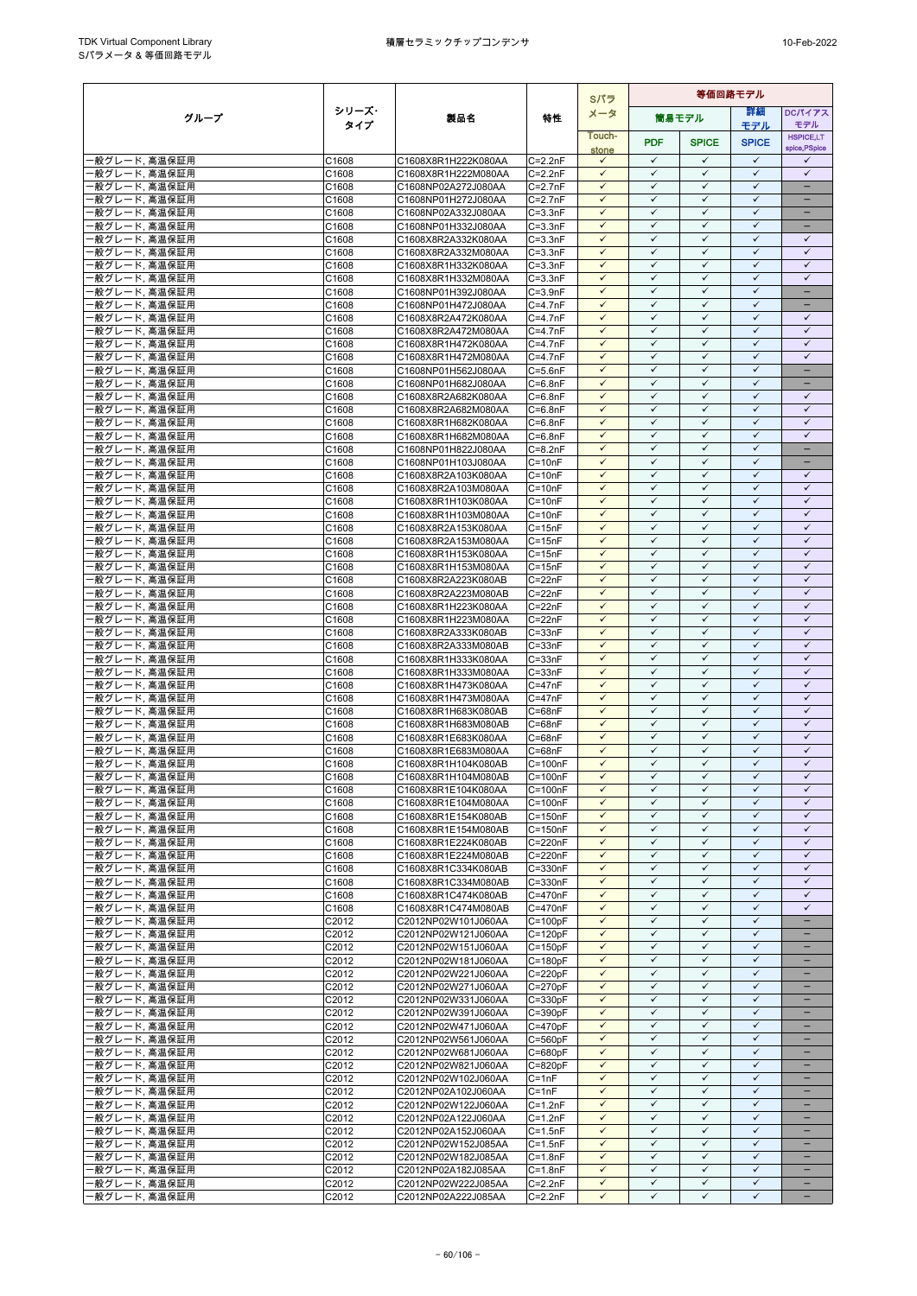|                                |                |                                            |                            | Sパラ                          | 等価回路モデル                      |                              |                              |                              |
|--------------------------------|----------------|--------------------------------------------|----------------------------|------------------------------|------------------------------|------------------------------|------------------------------|------------------------------|
| グループ                           | シリーズ・          | 製品名                                        | 特性                         | メータ                          |                              | 筒易モデル                        | 詳細                           | <b>DCパイアス</b>                |
|                                | タイプ            |                                            |                            | Touch-                       |                              |                              | モデル                          | モデル<br><b>HSPICE.LT</b>      |
|                                |                |                                            |                            | stone                        | <b>PDF</b>                   | <b>SPICE</b>                 | <b>SPICE</b>                 | spice, PSpice                |
| ・般グレード, 高温保証用                  | C1608          | C1608X8R1H222K080AA                        | $C = 2.2nF$                | $\checkmark$                 | $\checkmark$                 | $\checkmark$                 | $\checkmark$                 | ✓                            |
| ・般グレード, 高温保証用<br>般グレード, 高温保証用  | C1608<br>C1608 | C1608X8R1H222M080AA<br>C1608NP02A272J080AA | $C = 2.2nF$<br>$C = 2.7nF$ | $\checkmark$<br>✓            | $\checkmark$<br>✓            | $\checkmark$<br>$\checkmark$ | $\checkmark$<br>$\checkmark$ | $\checkmark$                 |
| 般グレード, 高温保証用                   | C1608          | C1608NP01H272J080AA                        | $C=2.7nF$                  | $\checkmark$                 | $\checkmark$                 | $\checkmark$                 | $\checkmark$                 | $\overline{\phantom{0}}$     |
| ·般グレード, 高温保証用                  | C1608          | C1608NP02A332J080AA                        | $C = 3.3nF$                | $\checkmark$                 | $\checkmark$                 | $\checkmark$                 | $\checkmark$                 | $\qquad \qquad -$            |
| 般グレード, 高温保証用                   | C1608          | C1608NP01H332J080AA                        | $C = 3.3nF$                | $\checkmark$                 | ✓                            | ✓                            | $\checkmark$                 | -                            |
| 般グレード, 高温保証用                   | C1608          | C1608X8R2A332K080AA                        | $C = 3.3nF$                | $\checkmark$                 | $\checkmark$                 | $\checkmark$                 | $\checkmark$                 | $\checkmark$                 |
| 般グレード, 高温保証用                   | C1608          | C1608X8R2A332M080AA                        | $C = 3.3nF$                | $\checkmark$<br>$\checkmark$ | $\checkmark$<br>$\checkmark$ | $\checkmark$<br>$\checkmark$ | $\checkmark$<br>$\checkmark$ | $\checkmark$<br>$\checkmark$ |
| 般グレード, 高温保証用<br>般グレード, 高温保証用   | C1608<br>C1608 | C1608X8R1H332K080AA<br>C1608X8R1H332M080AA | $C = 3.3nF$<br>$C = 3.3nF$ | $\checkmark$                 | $\checkmark$                 | $\checkmark$                 | $\checkmark$                 | $\checkmark$                 |
| 般グレード, 高温保証用                   | C1608          | C1608NP01H392J080AA                        | $C = 3.9nF$                | $\checkmark$                 | $\checkmark$                 | ✓                            | $\checkmark$                 | $\qquad \qquad -$            |
| 般グレード, 高温保証用                   | C1608          | C1608NP01H472J080AA                        | $C = 4.7nF$                | $\checkmark$                 | $\checkmark$                 | $\checkmark$                 | $\checkmark$                 | $\qquad \qquad -$            |
| 般グレード, 高温保証用                   | C1608          | C1608X8R2A472K080AA                        | $C=4.7nF$                  | $\checkmark$                 | $\checkmark$                 | $\checkmark$                 | $\checkmark$                 | $\checkmark$                 |
| 般グレード, 高温保証用                   | C1608          | C1608X8R2A472M080AA                        | $C = 4.7nF$                | $\checkmark$<br>$\checkmark$ | $\checkmark$<br>$\checkmark$ | $\checkmark$<br>$\checkmark$ | $\checkmark$<br>$\checkmark$ | $\checkmark$<br>$\checkmark$ |
| 般グレード, 高温保証用<br>般グレード, 高温保証用   | C1608<br>C1608 | C1608X8R1H472K080AA<br>C1608X8R1H472M080AA | $C = 4.7nF$<br>$C = 4.7nF$ | $\checkmark$                 | $\checkmark$                 | $\checkmark$                 | $\checkmark$                 | $\checkmark$                 |
| 般グレード, 高温保証用                   | C1608          | C1608NP01H562J080AA                        | $C = 5.6nF$                | $\checkmark$                 | $\checkmark$                 | $\checkmark$                 | $\checkmark$                 | $\equiv$                     |
| 般グレード, 高温保証用                   | C1608          | C1608NP01H682J080AA                        | $C = 6.8nF$                | $\checkmark$                 | $\checkmark$                 | $\checkmark$                 | $\checkmark$                 | $\qquad \qquad -$            |
| 般グレード. 高温保証用                   | C1608          | C1608X8R2A682K080AA                        | $C = 6.8nF$                | $\checkmark$                 | ✓                            | $\checkmark$                 | $\checkmark$                 | $\checkmark$                 |
| 般グレード, 高温保証用                   | C1608          | C1608X8R2A682M080AA                        | $C = 6.8nF$                | $\checkmark$<br>$\checkmark$ | ✓<br>$\checkmark$            | ✓<br>$\checkmark$            | $\checkmark$<br>$\checkmark$ | ✓<br>$\checkmark$            |
| 般グレード, 高温保証用<br>般グレード, 高温保証用   | C1608<br>C1608 | C1608X8R1H682K080AA<br>C1608X8R1H682M080AA | $C = 6.8nF$<br>$C=6.8nF$   | $\checkmark$                 | ✓                            | $\checkmark$                 | $\checkmark$                 | $\checkmark$                 |
| 般グレード, 高温保証用                   | C1608          | C1608NP01H822J080AA                        | $C = 8.2nF$                | $\checkmark$                 | $\checkmark$                 | $\checkmark$                 | $\checkmark$                 | ÷                            |
| ·般グレード, 高温保証用                  | C1608          | C1608NP01H103J080AA                        | $C = 10nF$                 | $\checkmark$                 | $\checkmark$                 | $\checkmark$                 | $\checkmark$                 | -                            |
| 般グレード, 高温保証用                   | C1608          | C1608X8R2A103K080AA                        | $C = 10nF$                 | $\checkmark$                 | ✓                            | ✓                            | $\checkmark$                 | ✓                            |
| 般グレード, 高温保証用                   | C1608          | C1608X8R2A103M080AA                        | $C = 10nF$                 | $\checkmark$<br>$\checkmark$ | $\checkmark$<br>$\checkmark$ | $\checkmark$<br>$\checkmark$ | $\checkmark$<br>$\checkmark$ | $\checkmark$<br>$\checkmark$ |
| 般グレード, 高温保証用<br>般グレード, 高温保証用   | C1608<br>C1608 | C1608X8R1H103K080AA<br>C1608X8R1H103M080AA | $C = 10nF$<br>$C = 10nF$   | $\checkmark$                 | $\checkmark$                 | $\checkmark$                 | $\checkmark$                 | $\checkmark$                 |
| 般グレード, 高温保証用                   | C1608          | C1608X8R2A153K080AA                        | $C = 15nF$                 | $\checkmark$                 | $\checkmark$                 | $\checkmark$                 | $\checkmark$                 | $\checkmark$                 |
| ‧般グレード, 高温保証用                  | C1608          | C1608X8R2A153M080AA                        | $C = 15nF$                 | $\checkmark$                 | $\checkmark$                 | ✓                            | $\checkmark$                 | $\checkmark$                 |
| 般グレード, 高温保証用                   | C1608          | C1608X8R1H153K080AA                        | $C = 15nF$                 | $\checkmark$                 | ✓                            | $\checkmark$                 | $\checkmark$                 | $\checkmark$                 |
| ·般グレード, 高温保証用                  | C1608          | C1608X8R1H153M080AA                        | $C = 15nF$                 | $\checkmark$<br>$\checkmark$ | $\checkmark$<br>$\checkmark$ | $\checkmark$                 | $\checkmark$<br>$\checkmark$ | $\checkmark$<br>$\checkmark$ |
| 般グレード, 高温保証用<br>般グレード, 高温保証用   | C1608<br>C1608 | C1608X8R2A223K080AB<br>C1608X8R2A223M080AB | $C = 22nF$<br>$C = 22nF$   | $\checkmark$                 | $\checkmark$                 | $\checkmark$<br>$\checkmark$ | $\checkmark$                 | $\checkmark$                 |
| 般グレード, 高温保証用                   | C1608          | C1608X8R1H223K080AA                        | $C = 22nF$                 | $\checkmark$                 | $\checkmark$                 | $\checkmark$                 | $\checkmark$                 | $\checkmark$                 |
| 般グレード, 高温保証用                   | C1608          | C1608X8R1H223M080AA                        | $C = 22nF$                 | $\checkmark$                 | $\checkmark$                 | $\checkmark$                 | $\checkmark$                 | $\checkmark$                 |
| 般グレード, 高温保証用                   | C1608          | C1608X8R2A333K080AB                        | $C = 33nF$                 | $\checkmark$                 | $\checkmark$                 | ✓                            | $\checkmark$                 | $\checkmark$                 |
| 般グレード, 高温保証用                   | C1608          | C1608X8R2A333M080AB                        | $C = 33nF$                 | $\checkmark$                 | $\checkmark$                 | $\checkmark$                 | $\checkmark$<br>$\checkmark$ | $\checkmark$                 |
| 般グレード, 高温保証用<br>般グレード, 高温保証用   | C1608<br>C1608 | C1608X8R1H333K080AA<br>C1608X8R1H333M080AA | $C = 33nF$<br>$C = 33nF$   | $\checkmark$<br>$\checkmark$ | $\checkmark$<br>$\checkmark$ | $\checkmark$<br>$\checkmark$ | $\checkmark$                 | $\checkmark$<br>$\checkmark$ |
| 般グレード, 高温保証用                   | C1608          | C1608X8R1H473K080AA                        | $C = 47nF$                 | $\checkmark$                 | $\checkmark$                 | $\checkmark$                 | $\checkmark$                 | $\checkmark$                 |
| 般グレード, 高温保証用                   | C1608          | C1608X8R1H473M080AA                        | $C = 47nF$                 | $\checkmark$                 | $\checkmark$                 | ✓                            | $\checkmark$                 | $\checkmark$                 |
| ·般グレード, 高温保証用                  | C1608          | C1608X8R1H683K080AB                        | $C = 68nF$                 | $\checkmark$                 | $\checkmark$                 | $\checkmark$                 | $\checkmark$                 | $\checkmark$                 |
| 般グレード, 高温保証用                   | C1608          | C1608X8R1H683M080AB                        | $C = 68nF$                 | $\checkmark$<br>$\checkmark$ | ✓<br>$\checkmark$            | ✓                            | $\checkmark$<br>$\checkmark$ | $\checkmark$<br>$\checkmark$ |
| 般グレード, 高温保証用<br>·般グレード, 高温保証用  | C1608<br>C1608 | C1608X8R1E683K080AA<br>C1608X8R1E683M080AA | $C = 68nF$<br>$C = 68nF$   |                              | ✓                            | $\checkmark$<br>$\checkmark$ | $\checkmark$                 | $\checkmark$                 |
| 般グレード, 高温保証用                   | C1608          | C1608X8R1H104K080AB                        | $C = 100nF$                | $\checkmark$                 | $\checkmark$                 | $\checkmark$                 | $\checkmark$                 | $\checkmark$                 |
| 般グレード, 高温保証用                   | C1608          | C1608X8R1H104M080AB                        | $C = 100nF$                | $\checkmark$                 | $\checkmark$                 | $\checkmark$                 | $\checkmark$                 | $\checkmark$                 |
| ·般グレード, 高温保証用                  | C1608          | C1608X8R1E104K080AA                        | $C = 100nF$                | $\checkmark$                 | $\checkmark$                 | $\checkmark$                 | $\checkmark$                 | $\checkmark$                 |
| ・般グレード, 高温保証用                  | C1608          | C1608X8R1E104M080AA                        | $C = 100nF$                | $\checkmark$                 | ✓<br>$\checkmark$            | $\checkmark$<br>$\checkmark$ | $\checkmark$<br>$\checkmark$ | $\checkmark$<br>$\checkmark$ |
| ・般グレード, 高温保証用<br>·般グレード, 高温保証用 | C1608<br>C1608 | C1608X8R1E154K080AB<br>C1608X8R1E154M080AB | $C = 150nF$<br>$C = 150nF$ | $\checkmark$<br>$\checkmark$ | $\checkmark$                 | $\checkmark$                 | $\checkmark$                 | $\checkmark$                 |
| ·般グレード, 高温保証用                  | C1608          | C1608X8R1E224K080AB                        | $C = 220nF$                | $\checkmark$                 | ✓                            | $\checkmark$                 | $\checkmark$                 | $\checkmark$                 |
| ・般グレード, 高温保証用                  | C1608          | C1608X8R1E224M080AB                        | $C = 220nF$                | $\checkmark$                 | $\checkmark$                 | $\checkmark$                 | $\checkmark$                 | $\checkmark$                 |
| ·般グレード, 高温保証用                  | C1608          | C1608X8R1C334K080AB                        | $C = 330nF$                | $\checkmark$                 | $\checkmark$                 | $\checkmark$                 | $\checkmark$                 | $\checkmark$                 |
| 般グレード, 高温保証用                   | C1608          | C1608X8R1C334M080AB                        | $C = 330nF$<br>$C = 470nF$ | $\checkmark$<br>$\checkmark$ | $\checkmark$<br>$\checkmark$ | ✓<br>$\checkmark$            | $\checkmark$<br>$\checkmark$ | $\checkmark$<br>$\checkmark$ |
| ·般グレード, 高温保証用<br>·般グレード, 高温保証用 | C1608<br>C1608 | C1608X8R1C474K080AB<br>C1608X8R1C474M080AB | $C = 470nF$                | $\checkmark$                 | $\checkmark$                 | $\checkmark$                 | $\checkmark$                 | $\checkmark$                 |
| ‧般グレード, 高温保証用                  | C2012          | C2012NP02W101J060AA                        | $C = 100pF$                | $\checkmark$                 | $\checkmark$                 | $\checkmark$                 | $\checkmark$                 | $\overline{\phantom{0}}$     |
| ‧般グレード, 高温保証用                  | C2012          | C2012NP02W121J060AA                        | $C = 120pF$                | $\checkmark$                 | $\checkmark$                 | $\checkmark$                 | $\checkmark$                 |                              |
| ·般グレード, 高温保証用                  | C2012          | C2012NP02W151J060AA                        | $C = 150pF$                | $\checkmark$                 | $\checkmark$                 | ✓                            | $\checkmark$                 |                              |
| 般グレード, 高温保証用                   | C2012          | C2012NP02W181J060AA                        | $C = 180pF$                | $\checkmark$                 | $\checkmark$                 | $\checkmark$                 | $\checkmark$                 | $\overline{\phantom{a}}$     |
| 般グレード, 高温保証用<br>·般グレード, 高温保証用  | C2012<br>C2012 | C2012NP02W221J060AA<br>C2012NP02W271J060AA | $C = 220pF$<br>$C = 270pF$ | $\checkmark$<br>$\checkmark$ | ✓<br>$\checkmark$            | ✓<br>$\checkmark$            | $\checkmark$<br>$\checkmark$ | -                            |
| ‧般グレード, 高温保証用                  | C2012          | C2012NP02W331J060AA                        | $C = 330pF$                | $\checkmark$                 | $\checkmark$                 | $\checkmark$                 | $\checkmark$                 | -                            |
| 般グレード, 高温保証用                   | C2012          | C2012NP02W391J060AA                        | $C = 390pF$                | $\checkmark$                 | $\checkmark$                 | $\checkmark$                 | $\checkmark$                 |                              |
| ·般グレード, 高温保証用                  | C2012          | C2012NP02W471J060AA                        | $C = 470pF$                | $\checkmark$                 | $\checkmark$                 | $\checkmark$                 | $\checkmark$                 | $\overline{\phantom{0}}$     |
| 般グレード, 高温保証用                   | C2012          | C2012NP02W561J060AA                        | $C = 560pF$                | $\checkmark$<br>$\checkmark$ | $\checkmark$<br>✓            | $\checkmark$<br>$\checkmark$ | $\checkmark$<br>$\checkmark$ | -                            |
| ·般グレード, 高温保証用<br>·般グレード, 高温保証用 | C2012<br>C2012 | C2012NP02W681J060AA<br>C2012NP02W821J060AA | $C = 680pF$<br>$C = 820pF$ | $\checkmark$                 | $\checkmark$                 | $\checkmark$                 | $\checkmark$                 |                              |
| ・般グレード, 高温保証用                  | C2012          | C2012NP02W102J060AA                        | $C = 1nF$                  | $\checkmark$                 | $\checkmark$                 | $\checkmark$                 | $\checkmark$                 |                              |
| ‧般グレード, 高温保証用                  | C2012          | C2012NP02A102J060AA                        | $C = 1nF$                  | $\checkmark$                 | $\checkmark$                 | $\checkmark$                 | $\checkmark$                 |                              |
| ・般グレード, 高温保証用                  | C2012          | C2012NP02W122J060AA                        | $C = 1.2nF$                | $\checkmark$                 | $\checkmark$                 | $\checkmark$                 | $\checkmark$                 | $\overline{\phantom{0}}$     |
| ·般グレード, 高温保証用                  | C2012          | C2012NP02A122J060AA                        | $C = 1.2nF$                | $\checkmark$                 | $\checkmark$                 | $\checkmark$                 | $\checkmark$                 | $\qquad \qquad -$            |
| 般グレード, 高温保証用<br>·般グレード, 高温保証用  | C2012<br>C2012 | C2012NP02A152J060AA<br>C2012NP02W152J085AA | $C = 1.5nF$<br>$C = 1.5nF$ | $\checkmark$<br>$\checkmark$ | ✓<br>$\checkmark$            | ✓<br>$\checkmark$            | ✓<br>$\checkmark$            | -<br>-                       |
| 般グレード, 高温保証用                   | C2012          | C2012NP02W182J085AA                        | $C = 1.8nF$                | $\checkmark$                 | $\checkmark$                 | $\checkmark$                 | $\checkmark$                 |                              |
| 般グレード, 高温保証用                   | C2012          | C2012NP02A182J085AA                        | $C = 1.8nF$                | $\checkmark$                 | $\checkmark$                 | $\checkmark$                 | $\checkmark$                 | ÷                            |
| 般グレード, 高温保証用                   | C2012          | C2012NP02W222J085AA                        | $C = 2.2nF$                | $\checkmark$                 | $\checkmark$                 | $\checkmark$                 | $\checkmark$                 |                              |
| 般グレード, 高温保証用                   | C2012          | C2012NP02A222J085AA                        | $C=2.2nF$                  | $\checkmark$                 | $\checkmark$                 | ✓                            | $\checkmark$                 | -                            |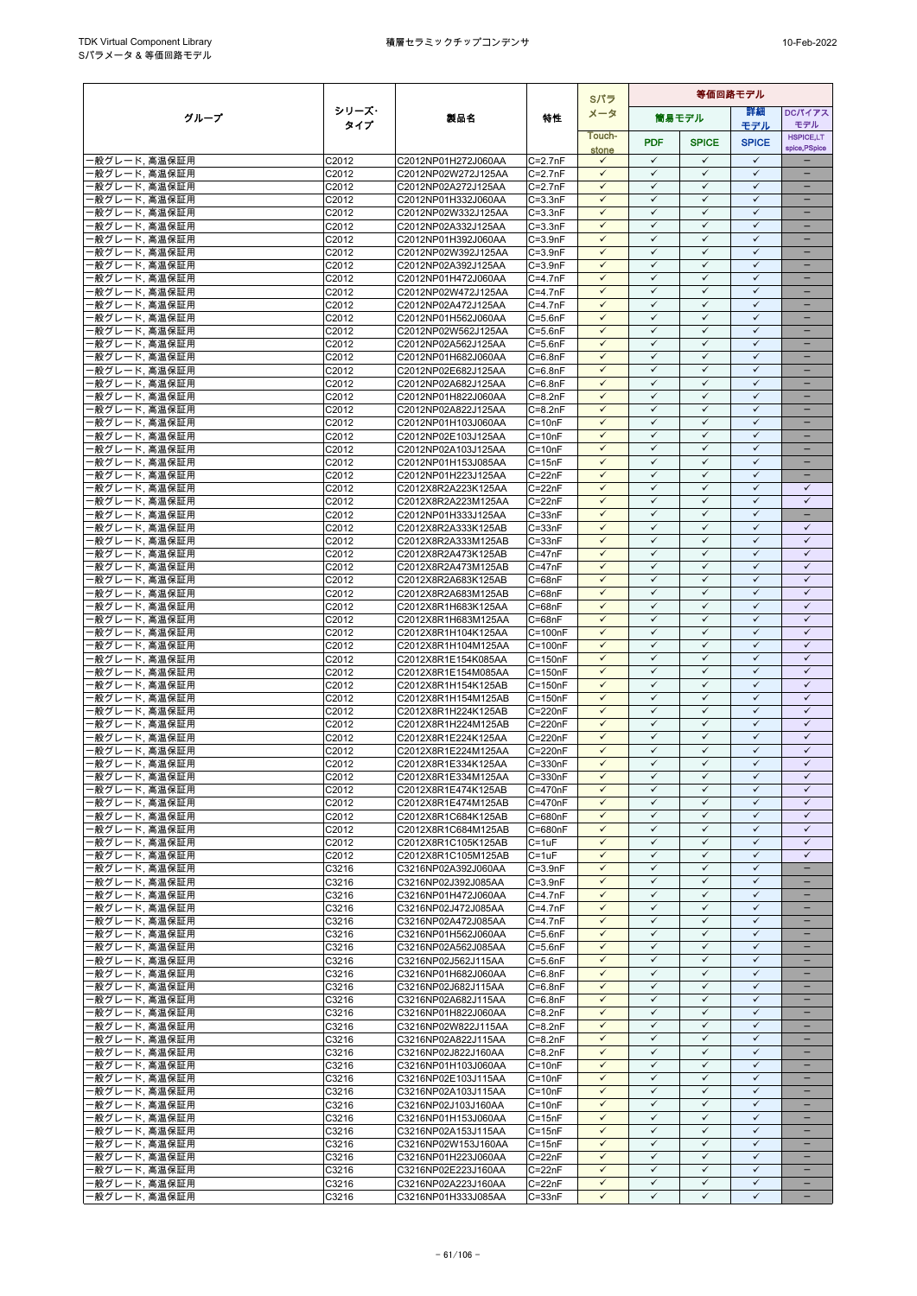|                                     |                |                                            | Sパラ                        | 等価回路モデル                      |                              |                              |                              |                                                      |
|-------------------------------------|----------------|--------------------------------------------|----------------------------|------------------------------|------------------------------|------------------------------|------------------------------|------------------------------------------------------|
| グループ                                | シリーズ・          | 製品名                                        | 特性                         | メータ                          |                              | 筒易モデル                        | 等細                           | <b>DCパイアス</b>                                        |
|                                     | タイプ            |                                            |                            | Touch-                       |                              |                              | モデル                          | モデル<br><b>HSPICE,LT</b>                              |
|                                     |                |                                            |                            | stone                        | <b>PDF</b>                   | <b>SPICE</b>                 | <b>SPICE</b>                 | spice, PSpice                                        |
| ・般グレード, 高温保証用                       | C2012          | C2012NP01H272J060AA                        | $C=2.7nF$                  | $\checkmark$                 | $\checkmark$<br>$\checkmark$ | $\checkmark$                 | $\checkmark$                 |                                                      |
| 般グレード, 高温保証用<br>・般グレード、高温保証用        | C2012<br>C2012 | C2012NP02W272J125AA<br>C2012NP02A272J125AA | $C = 2.7nF$<br>$C = 2.7nF$ | $\checkmark$<br>$\checkmark$ | $\checkmark$                 | $\checkmark$<br>$\checkmark$ | $\checkmark$<br>$\checkmark$ | $\overline{\phantom{0}}$<br>$\overline{\phantom{0}}$ |
| 般グレード, 高温保証用                        | C2012          | C2012NP01H332J060AA                        | $C = 3.3nF$                | $\checkmark$                 | $\checkmark$                 | ✓                            | $\checkmark$                 |                                                      |
| 般グレード, 高温保証用                        | C2012          | C2012NP02W332J125AA                        | $C = 3.3nF$                | $\checkmark$                 | $\checkmark$                 | $\checkmark$                 | $\checkmark$                 | $\qquad \qquad -$                                    |
| 般グレード, 高温保証用                        | C2012          | C2012NP02A332J125AA                        | $C = 3.3nF$                | $\checkmark$                 | $\checkmark$                 | $\checkmark$                 | $\checkmark$                 |                                                      |
| 般グレード, 高温保証用                        | C2012          | C2012NP01H392J060AA                        | $C = 3.9nF$                | $\checkmark$                 | $\checkmark$                 | $\checkmark$                 | $\checkmark$                 |                                                      |
| 般グレード, 高温保証用<br>般グレード, 高温保証用        | C2012<br>C2012 | C2012NP02W392J125AA<br>C2012NP02A392J125AA | $C = 3.9nF$<br>$C = 3.9nF$ | $\checkmark$<br>$\checkmark$ | $\checkmark$<br>$\checkmark$ | $\checkmark$<br>$\checkmark$ | $\checkmark$<br>$\checkmark$ | $\equiv$<br>$\equiv$                                 |
| 般グレード, 高温保証用                        | C2012          | C2012NP01H472J060AA                        | $C=4.7nF$                  | $\checkmark$                 | $\checkmark$                 | $\checkmark$                 | $\checkmark$                 | -                                                    |
| 般グレード, 高温保証用                        | C2012          | C2012NP02W472J125AA                        | $C=4.7nF$                  | $\checkmark$                 | $\checkmark$                 | $\checkmark$                 | $\checkmark$                 | -                                                    |
| 般グレード. 高温保証用                        | C2012          | C2012NP02A472J125AA                        | $C=4.7nF$                  | $\checkmark$                 | ✓                            | $\checkmark$                 | $\checkmark$                 | -                                                    |
| 般グレード, 高温保証用                        | C2012          | C2012NP01H562J060AA                        | $C = 5.6nF$                | $\checkmark$<br>$\checkmark$ | ✓<br>$\checkmark$            | $\checkmark$<br>$\checkmark$ | $\checkmark$<br>$\checkmark$ | ۳                                                    |
| 般グレード, 高温保証用<br>般グレード, 高温保証用        | C2012<br>C2012 | C2012NP02W562J125AA<br>C2012NP02A562J125AA | $C = 5.6nF$<br>$C = 5.6nF$ | $\checkmark$                 | $\checkmark$                 | $\checkmark$                 | $\checkmark$                 |                                                      |
| 般グレード, 高温保証用                        | C2012          | C2012NP01H682J060AA                        | $C = 6.8nF$                | $\checkmark$                 | $\checkmark$                 | $\checkmark$                 | $\checkmark$                 | $\overline{\phantom{0}}$                             |
| 般グレード, 高温保証用                        | C2012          | C2012NP02E682J125AA                        | $C = 6.8nF$                | $\checkmark$                 | $\checkmark$                 | $\checkmark$                 | $\checkmark$                 | -                                                    |
| 般グレード, 高温保証用                        | C2012          | C2012NP02A682J125AA                        | $C = 6.8nF$                | $\checkmark$                 | ✓                            | ✓                            | $\checkmark$                 |                                                      |
| 般グレード, 高温保証用                        | C2012          | C2012NP01H822J060AA                        | $C = 8.2nF$                | $\checkmark$<br>$\checkmark$ | $\checkmark$<br>$\checkmark$ | $\checkmark$<br>$\checkmark$ | $\checkmark$<br>$\checkmark$ |                                                      |
| 般グレード, 高温保証用<br>般グレード, 高温保証用        | C2012<br>C2012 | C2012NP02A822J125AA<br>C2012NP01H103J060AA | $C = 8.2nF$<br>$C = 10nF$  | $\checkmark$                 | $\checkmark$                 | $\checkmark$                 | $\checkmark$                 |                                                      |
| 般グレード, 高温保証用                        | C2012          | C2012NP02E103J125AA                        | $C = 10nF$                 | $\checkmark$                 | $\checkmark$                 | $\checkmark$                 | $\checkmark$                 | $\overline{\phantom{0}}$                             |
| 般グレード, 高温保証用                        | C2012          | C2012NP02A103J125AA                        | $C = 10nF$                 | $\checkmark$                 | $\checkmark$                 | ✓                            | $\checkmark$                 | -                                                    |
| 般グレード, 高温保証用                        | C2012          | C2012NP01H153J085AA                        | $C = 15nF$                 | $\checkmark$                 | ✓                            | $\checkmark$                 | $\checkmark$                 | -                                                    |
| 般グレード, 高温保証用<br>般グレード, 高温保証用        | C2012<br>C2012 | C2012NP01H223J125AA<br>C2012X8R2A223K125AA | $C = 22nF$<br>$C = 22nF$   | $\checkmark$<br>$\checkmark$ | $\checkmark$<br>$\checkmark$ | $\checkmark$<br>$\checkmark$ | $\checkmark$<br>$\checkmark$ | $\checkmark$                                         |
| 般グレード, 高温保証用                        | C2012          | C2012X8R2A223M125AA                        | $C = 22nF$                 | $\checkmark$                 | ✓                            | $\checkmark$                 | $\checkmark$                 | $\checkmark$                                         |
| 般グレード, 高温保証用                        | C2012          | C2012NP01H333J125AA                        | $C = 33nF$                 | $\checkmark$                 | $\checkmark$                 | $\checkmark$                 | $\checkmark$                 | $\overline{\phantom{0}}$                             |
| 般グレード, 高温保証用                        | C2012          | C2012X8R2A333K125AB                        | $C = 33nF$                 | $\checkmark$                 | $\checkmark$                 | $\checkmark$                 | $\checkmark$                 | $\checkmark$                                         |
| 般グレード, 高温保証用                        | C2012          | C2012X8R2A333M125AB                        | $C = 33nF$                 | $\checkmark$                 | $\checkmark$                 | $\checkmark$                 | $\checkmark$                 | $\checkmark$                                         |
| 般グレード, 高温保証用<br>·般グレード, 高温保証用       | C2012<br>C2012 | C2012X8R2A473K125AB<br>C2012X8R2A473M125AB | $C = 47nF$<br>$C = 47nF$   | $\checkmark$<br>$\checkmark$ | $\checkmark$<br>$\checkmark$ | $\checkmark$<br>$\checkmark$ | $\checkmark$<br>$\checkmark$ | $\checkmark$<br>$\checkmark$                         |
| 般グレード, 高温保証用                        | C2012          | C2012X8R2A683K125AB                        | $C = 68nF$                 | $\checkmark$                 | $\checkmark$                 | $\checkmark$                 | $\checkmark$                 | $\checkmark$                                         |
| 般グレード, 高温保証用                        | C2012          | C2012X8R2A683M125AB                        | $C = 68nF$                 | $\checkmark$                 | $\checkmark$                 | $\checkmark$                 | $\checkmark$                 | $\checkmark$                                         |
| 般グレード, 高温保証用                        | C2012          | C2012X8R1H683K125AA                        | $C = 68nF$                 | $\checkmark$                 | $\checkmark$                 | ✓                            | $\checkmark$                 | $\checkmark$                                         |
| ·般グレード, 高温保証用                       | C2012          | C2012X8R1H683M125AA                        | $C = 68nF$                 | $\checkmark$                 | $\checkmark$                 | $\checkmark$                 | $\checkmark$                 | $\checkmark$                                         |
| 般グレード, 高温保証用<br>般グレード, 高温保証用        | C2012<br>C2012 | C2012X8R1H104K125AA<br>C2012X8R1H104M125AA | $C = 100nF$<br>$C = 100nF$ | $\checkmark$<br>$\checkmark$ | ✓<br>$\checkmark$            | ✓<br>$\checkmark$            | ✓<br>$\checkmark$            | $\checkmark$<br>$\checkmark$                         |
| 般グレード, 高温保証用                        | C2012          | C2012X8R1E154K085AA                        | $C = 150nF$                | $\checkmark$                 | $\checkmark$                 | $\checkmark$                 | $\checkmark$                 | $\checkmark$                                         |
| 般グレード, 高温保証用                        | C2012          | C2012X8R1E154M085AA                        | $C = 150nF$                | $\checkmark$                 | $\checkmark$                 | $\checkmark$                 | $\checkmark$                 | $\checkmark$                                         |
| ·般グレード, 高温保証用                       | C2012          | C2012X8R1H154K125AB                        | $C = 150nF$                | $\checkmark$                 | $\checkmark$                 | $\checkmark$                 | $\checkmark$                 | $\checkmark$                                         |
| 般グレード, 高温保証用                        | C2012          | C2012X8R1H154M125AB                        | $C = 150nF$                | $\checkmark$                 | $\checkmark$                 | $\checkmark$                 | $\checkmark$                 | $\checkmark$                                         |
| 般グレード, 高温保証用<br>般グレード, 高温保証用        | C2012<br>C2012 | C2012X8R1H224K125AB<br>C2012X8R1H224M125AB | C=220nF<br>C=220nF         | $\checkmark$<br>$\checkmark$ | ✓<br>$\checkmark$            | $\checkmark$<br>$\checkmark$ | $\checkmark$<br>$\checkmark$ | $\checkmark$<br>$\checkmark$                         |
| 般グレード, 高温保証用                        | C2012          | C2012X8R1E224K125AA                        | $C = 220nF$                | $\checkmark$                 | $\checkmark$                 | $\checkmark$                 | $\checkmark$                 | $\checkmark$                                         |
| 般グレード, 高温保証用                        | C2012          | C2012X8R1E224M125AA                        | C=220nF                    | $\checkmark$                 | ✓                            | $\checkmark$                 | $\checkmark$                 | $\checkmark$                                         |
| 般グレード, 高温保証用                        | C2012          | C2012X8R1E334K125AA                        | C=330nF                    | $\checkmark$                 | $\checkmark$                 | $\checkmark$                 | $\checkmark$                 | $\checkmark$                                         |
| 般グレード, 高温保証用                        | C2012          | C2012X8R1E334M125AA                        | C=330nF                    | $\checkmark$<br>$\checkmark$ | $\checkmark$<br>✓            | $\checkmark$<br>✓            | $\checkmark$<br>$\checkmark$ | $\checkmark$<br>✓                                    |
| 般グレード, 高温保証用<br>·般グレード, 高温保証用       | C2012<br>C2012 | C2012X8R1E474K125AB<br>C2012X8R1E474M125AB | C=470nF<br>C=470nF         | $\checkmark$                 | $\checkmark$                 | $\checkmark$                 | $\checkmark$                 | $\checkmark$                                         |
| 般グレード, 高温保証用                        | C2012          | C2012X8R1C684K125AB                        | C=680nF                    | $\checkmark$                 | $\checkmark$                 | $\checkmark$                 | $\checkmark$                 | $\checkmark$                                         |
| ·般グレード, 高温保証用                       | C2012          | C2012X8R1C684M125AB                        | C=680nF                    | $\checkmark$                 | $\checkmark$                 | $\checkmark$                 | $\checkmark$                 | $\checkmark$                                         |
| 般グレード, 高温保証用                        | C2012          | C2012X8R1C105K125AB                        | $C = 1uF$                  | $\checkmark$                 | $\checkmark$                 | $\checkmark$                 | $\checkmark$                 | $\checkmark$                                         |
| ·般グレード, 高温保証用                       | C2012          | C2012X8R1C105M125AB                        | $C = 1uF$                  | $\checkmark$<br>$\checkmark$ | $\checkmark$<br>$\checkmark$ | ✓<br>$\checkmark$            | $\checkmark$<br>$\checkmark$ | $\checkmark$<br>$\overline{\phantom{a}}$             |
| ·般グレード, 高温保証用<br>般グレード, 高温保証用       | C3216<br>C3216 | C3216NP02A392J060AA<br>C3216NP02J392J085AA | $C = 3.9nF$<br>$C = 3.9nF$ | $\checkmark$                 | ✓                            | ✓                            | $\checkmark$                 |                                                      |
| ·般グレード, 高温保証用                       | C3216          | C3216NP01H472J060AA                        | $C=4.7nF$                  | $\checkmark$                 | $\checkmark$                 | $\checkmark$                 | $\checkmark$                 | -                                                    |
| ·般グレード, 高温保証用                       | C3216          | C3216NP02J472J085AA                        | $C=4.7nF$                  | $\checkmark$                 | $\checkmark$                 | $\checkmark$                 | $\checkmark$                 | $\equiv$                                             |
| ‧般グレード, 高温保証用                       | C3216          | C3216NP02A472J085AA                        | $C=4.7nF$                  | $\checkmark$                 | $\checkmark$                 | $\checkmark$                 | $\checkmark$                 |                                                      |
| 般グレード, 高温保証用<br>般グレード, 高温保証用        | C3216<br>C3216 | C3216NP01H562J060AA<br>C3216NP02A562J085AA | $C = 5.6nF$<br>$C = 5.6nF$ | $\checkmark$<br>$\checkmark$ | $\checkmark$<br>$\checkmark$ | $\checkmark$<br>$\checkmark$ | $\checkmark$<br>$\checkmark$ | $\overline{\phantom{0}}$<br>$\qquad \qquad -$        |
| 般グレード, 高温保証用                        | C3216          | C3216NP02J562J115AA                        | $C = 5.6nF$                | $\checkmark$                 | ✓                            | $\checkmark$                 | $\checkmark$                 |                                                      |
| ·般グレード, 高温保証用                       | C3216          | C3216NP01H682J060AA                        | $C = 6.8nF$                | $\checkmark$                 | $\checkmark$                 | $\checkmark$                 | $\checkmark$                 |                                                      |
| ·般グレード, 高温保証用                       | C3216          | C3216NP02J682J115AA                        | $C = 6.8nF$                | $\checkmark$                 | $\checkmark$                 | $\checkmark$                 | $\checkmark$                 |                                                      |
| 般グレード, 高温保証用                        | C3216          | C3216NP02A682J115AA                        | $C = 6.8nF$                | $\checkmark$                 | $\checkmark$                 | $\checkmark$                 | $\checkmark$                 |                                                      |
| ·般グレード, 高温保証用<br>·般グレード, 高温保証用      | C3216<br>C3216 | C3216NP01H822J060AA<br>C3216NP02W822J115AA | $C = 8.2nF$<br>$C = 8.2nF$ | $\checkmark$<br>$\checkmark$ | $\checkmark$<br>$\checkmark$ | $\checkmark$<br>$\checkmark$ | $\checkmark$<br>$\checkmark$ | $\overline{\phantom{0}}$<br>$\qquad \qquad -$        |
| 般グレード, 高温保証用                        | C3216          | C3216NP02A822J115AA                        | $C = 8.2nF$                | $\checkmark$                 | ✓                            | ✓                            | $\checkmark$                 | -                                                    |
| ·般グレード, 高温保証用                       | C3216          | C3216NP02J822J160AA                        | $C = 8.2nF$                | $\checkmark$                 | $\checkmark$                 | $\checkmark$                 | $\checkmark$                 | -                                                    |
| ·般グレード, 高温保証用                       | C3216          | C3216NP01H103J060AA                        | $C = 10nF$                 | $\checkmark$                 | $\checkmark$                 | $\checkmark$                 | $\checkmark$                 |                                                      |
| ·般グレード, 高温保証用                       | C3216          | C3216NP02E103J115AA                        | $C = 10nF$                 | $\checkmark$                 | $\checkmark$                 | $\checkmark$                 | $\checkmark$                 |                                                      |
| ・般グレード, 高温保証用<br>·般グレード, 高温保証用      | C3216<br>C3216 | C3216NP02A103J115AA<br>C3216NP02J103J160AA | $C = 10nF$<br>$C = 10nF$   | $\checkmark$<br>$\checkmark$ | $\checkmark$<br>$\checkmark$ | $\checkmark$<br>✓            | $\checkmark$<br>$\checkmark$ | $\overline{\phantom{0}}$                             |
| ·般グレード, 高温保証用                       | C3216          | C3216NP01H153J060AA                        | $C = 15nF$                 | $\checkmark$                 | $\checkmark$                 | $\checkmark$                 | $\checkmark$                 | $\qquad \qquad -$                                    |
| 般グレード, 高温保証用                        | C3216          | C3216NP02A153J115AA                        | $C = 15nF$                 | $\checkmark$                 | $\checkmark$                 | $\checkmark$                 | $\checkmark$                 |                                                      |
| 般グレード, 高温保証用                        | C3216          | C3216NP02W153J160AA                        | $C = 15nF$                 | $\checkmark$                 | $\checkmark$                 | $\checkmark$                 | $\checkmark$                 | -                                                    |
| ‧般グレード, 高温保証用                       | C3216          | C3216NP01H223J060AA                        | $C = 22nF$                 | $\checkmark$                 | $\checkmark$                 | $\checkmark$                 | $\checkmark$                 |                                                      |
| <u>般グレード,</u> 高温保証用<br>般グレード, 高温保証用 | C3216<br>C3216 | C3216NP02E223J160AA<br>C3216NP02A223J160AA | $C = 22nF$<br>$C = 22nF$   | $\checkmark$<br>$\checkmark$ | ✓<br>$\checkmark$            | $\checkmark$<br>$\checkmark$ | $\checkmark$<br>$\checkmark$ | $\overline{\phantom{0}}$                             |
| 般グレード, 高温保証用                        | C3216          | C3216NP01H333J085AA                        | $C = 33nF$                 | $\checkmark$                 | $\checkmark$                 | $\checkmark$                 | $\checkmark$                 | $\overline{\phantom{a}}$                             |
|                                     |                |                                            |                            |                              |                              |                              |                              |                                                      |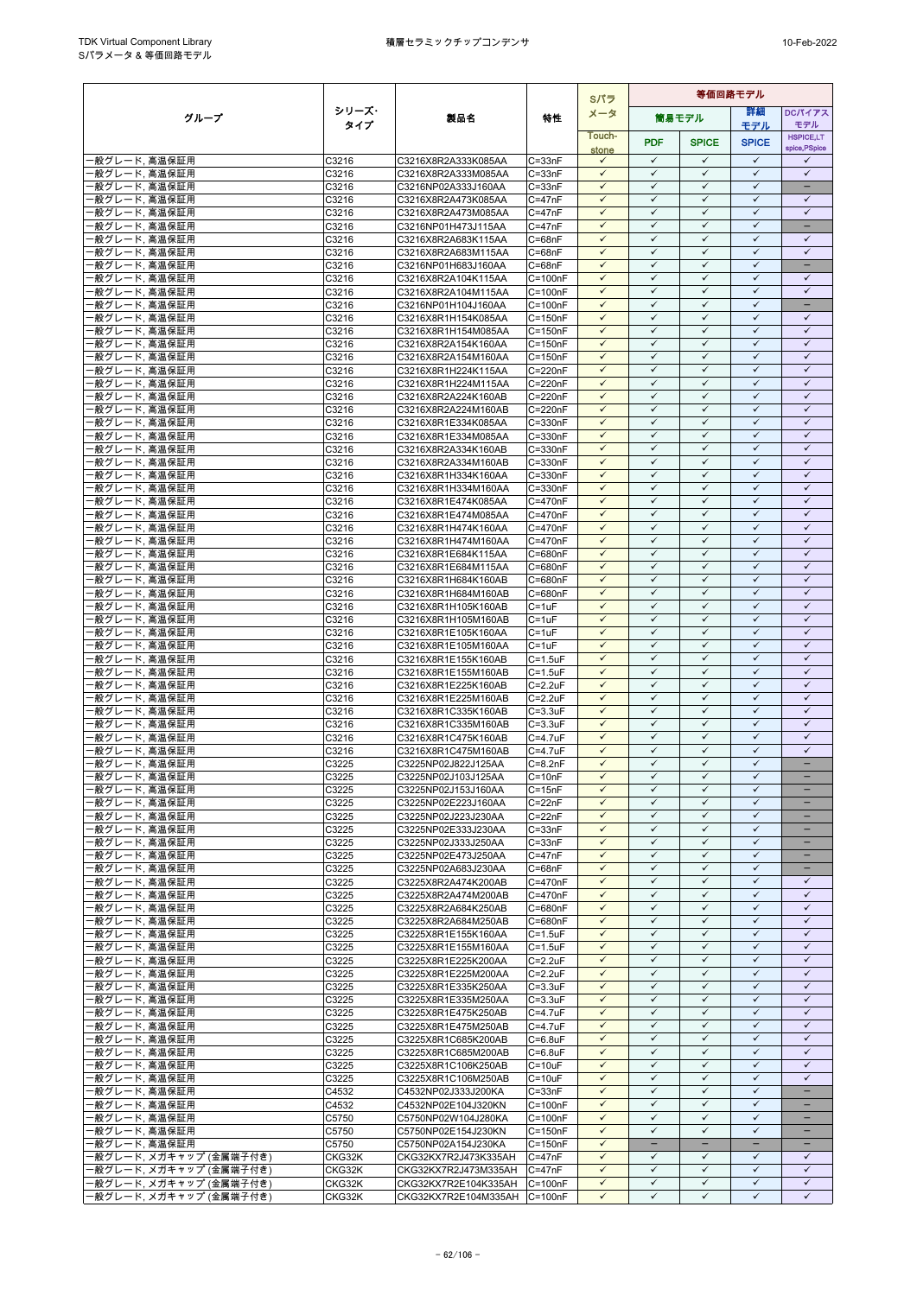|                                                    |                  |                                                              | Sパラ                              | 等価回路モデル                      |                              |                              |                              |                                          |
|----------------------------------------------------|------------------|--------------------------------------------------------------|----------------------------------|------------------------------|------------------------------|------------------------------|------------------------------|------------------------------------------|
| グループ                                               | シリーズ・            | 製品名                                                          | 特性                               | メータ                          |                              | 筒易モデル                        | 詳細                           | DCパイアス                                   |
|                                                    | タイプ              |                                                              |                                  | Touch-                       |                              |                              | モデル                          | モデル<br><b>HSPICE,LT</b>                  |
|                                                    |                  |                                                              |                                  | stone                        | <b>PDF</b>                   | <b>SPICE</b>                 | <b>SPICE</b>                 | spice, PSpice                            |
| ・般グレード, 高温保証用                                      | C3216            | C3216X8R2A333K085AA                                          | $C = 33nF$                       | $\checkmark$                 | $\checkmark$                 | $\checkmark$                 | $\checkmark$                 | $\checkmark$                             |
| 般グレード. 高温保証用                                       | C3216<br>C3216   | C3216X8R2A333M085AA<br>C3216NP02A333J160AA                   | $C = 33nF$<br>$C = 33nF$         | $\checkmark$<br>$\checkmark$ | $\checkmark$<br>$\checkmark$ | ✓<br>$\checkmark$            | ✓<br>$\checkmark$            | $\checkmark$<br>$\overline{\phantom{0}}$ |
| ・般グレード, 高温保証用<br>般グレード, 高温保証用                      | C3216            | C3216X8R2A473K085AA                                          | $C = 47nF$                       | $\checkmark$                 | $\checkmark$                 | $\checkmark$                 | $\checkmark$                 | $\checkmark$                             |
| 般グレード, 高温保証用                                       | C3216            | C3216X8R2A473M085AA                                          | $C = 47nF$                       | $\checkmark$                 | $\checkmark$                 | $\checkmark$                 | ✓                            | $\checkmark$                             |
| 般グレード, 高温保証用                                       | C3216            | C3216NP01H473J115AA                                          | $C = 47nF$                       | $\checkmark$                 | $\checkmark$                 | $\checkmark$                 | $\checkmark$                 |                                          |
| 般グレード, 高温保証用                                       | C3216            | C3216X8R2A683K115AA                                          | $C = 68nF$                       | $\checkmark$<br>$\checkmark$ | $\checkmark$<br>$\checkmark$ | $\checkmark$<br>$\checkmark$ | $\checkmark$<br>$\checkmark$ | $\checkmark$<br>$\checkmark$             |
| 般グレード, 高温保証用<br>般グレード. 高温保証用                       | C3216<br>C3216   | C3216X8R2A683M115AA<br>C3216NP01H683J160AA                   | $C = 68nF$<br>$C = 68nF$         | $\checkmark$                 | $\checkmark$                 | $\checkmark$                 | $\checkmark$                 |                                          |
| 般グレード, 高温保証用                                       | C3216            | C3216X8R2A104K115AA                                          | $C = 100nF$                      | $\checkmark$                 | $\checkmark$                 | $\checkmark$                 | $\checkmark$                 | $\checkmark$                             |
| 般グレード, 高温保証用                                       | C3216            | C3216X8R2A104M115AA                                          | $C = 100nF$                      | $\checkmark$                 | $\checkmark$                 | ✓                            | $\checkmark$                 | $\checkmark$                             |
| ・般グレード、高温保証用                                       | C3216            | C3216NP01H104J160AA                                          | $C = 100nF$                      | $\checkmark$<br>$\checkmark$ | ✓<br>✓                       | $\checkmark$<br>$\checkmark$ | $\checkmark$<br>$\checkmark$ | -<br>✓                                   |
| 般グレード, 高温保証用<br>般グレード, 高温保証用                       | C3216<br>C3216   | C3216X8R1H154K085AA<br>C3216X8R1H154M085AA                   | $C = 150nF$<br>$C = 150nF$       | $\checkmark$                 | $\checkmark$                 | $\checkmark$                 | $\checkmark$                 | $\checkmark$                             |
| 般グレード, 高温保証用                                       | C3216            | C3216X8R2A154K160AA                                          | $C = 150nF$                      | $\checkmark$                 | $\checkmark$                 | ✓                            | $\checkmark$                 | $\checkmark$                             |
| ・般グレード, 高温保証用                                      | C3216            | C3216X8R2A154M160AA                                          | $C = 150nF$                      | $\checkmark$                 | $\checkmark$                 | $\checkmark$                 | $\checkmark$                 | $\checkmark$                             |
| 般グレード, 高温保証用                                       | C3216            | C3216X8R1H224K115AA                                          | $C = 220nF$                      | $\checkmark$                 | $\checkmark$                 | $\checkmark$                 | $\checkmark$<br>✓            | $\checkmark$                             |
| ・般グレード、高温保証用<br>般グレード, 高温保証用                       | C3216<br>C3216   | C3216X8R1H224M115AA<br>C3216X8R2A224K160AB                   | C=220nF<br>C=220nF               | $\checkmark$<br>$\checkmark$ | ✓<br>$\checkmark$            | ✓<br>$\checkmark$            | $\checkmark$                 | ✓<br>$\checkmark$                        |
| 般グレード, 高温保証用                                       | C3216            | C3216X8R2A224M160AB                                          | C=220nF                          | $\checkmark$                 | $\checkmark$                 | $\checkmark$                 | $\checkmark$                 | $\checkmark$                             |
| 般グレード, 高温保証用                                       | C3216            | C3216X8R1E334K085AA                                          | $C = 330nF$                      | $\checkmark$                 | $\checkmark$                 | ✓                            | $\checkmark$                 | $\checkmark$                             |
| ・般グレード, 高温保証用                                      | C3216            | C3216X8R1E334M085AA                                          | C=330nF                          | $\checkmark$<br>$\checkmark$ | $\checkmark$<br>$\checkmark$ | $\checkmark$<br>✓            | $\checkmark$<br>$\checkmark$ | $\checkmark$<br>$\checkmark$             |
| 般グレード, 高温保証用<br>般グレード. 高温保証用                       | C3216<br>C3216   | C3216X8R2A334K160AB<br>C3216X8R2A334M160AB                   | C=330nF<br>$C = 330nF$           | $\checkmark$                 | ✓                            | $\checkmark$                 | $\checkmark$                 | $\checkmark$                             |
| ・般グレード, 高温保証用                                      | C3216            | C3216X8R1H334K160AA                                          | $C = 330nF$                      | $\checkmark$                 | $\checkmark$                 | $\checkmark$                 | $\checkmark$                 | $\checkmark$                             |
| 般グレード, 高温保証用                                       | C3216            | C3216X8R1H334M160AA                                          | $C = 330nF$                      | $\checkmark$                 | $\checkmark$                 | $\checkmark$                 | $\checkmark$                 | $\checkmark$                             |
| 般グレード, 高温保証用                                       | C3216            | C3216X8R1E474K085AA                                          | C=470nF                          | ✓<br>$\checkmark$            | ✓<br>$\checkmark$            | ✓                            | $\checkmark$<br>$\checkmark$ | $\checkmark$<br>$\checkmark$             |
| ・般グレード、高温保証用<br>般グレード, 高温保証用                       | C3216<br>C3216   | C3216X8R1E474M085AA<br>C3216X8R1H474K160AA                   | C=470nF<br>C=470nF               | $\checkmark$                 | $\checkmark$                 | $\checkmark$<br>$\checkmark$ | $\checkmark$                 | $\checkmark$                             |
| 般グレード, 高温保証用                                       | C3216            | C3216X8R1H474M160AA                                          | C=470nF                          | $\checkmark$                 | $\checkmark$                 | ✓                            | $\checkmark$                 | $\checkmark$                             |
| ・般グレード、高温保証用                                       | C3216            | C3216X8R1E684K115AA                                          | C=680nF                          | $\checkmark$                 | $\checkmark$                 | $\checkmark$                 | $\checkmark$                 | $\checkmark$                             |
| ·般グレード, 高温保証用                                      | C3216            | C3216X8R1E684M115AA                                          | C=680nF                          | $\checkmark$                 | $\checkmark$<br>$\checkmark$ | $\checkmark$                 | $\checkmark$                 | $\checkmark$                             |
| 般グレード, 高温保証用<br>般グレード, 高温保証用                       | C3216<br>C3216   | C3216X8R1H684K160AB<br>C3216X8R1H684M160AB                   | C=680nF<br>C=680nF               | $\checkmark$<br>$\checkmark$ | $\checkmark$                 | $\checkmark$<br>$\checkmark$ | $\checkmark$<br>$\checkmark$ | $\checkmark$<br>$\checkmark$             |
| 般グレード, 高温保証用                                       | C3216            | C3216X8R1H105K160AB                                          | $C = 1uF$                        | $\checkmark$                 | $\checkmark$                 | ✓                            | $\checkmark$                 | $\checkmark$                             |
| ·般グレード, 高温保証用                                      | C3216            | C3216X8R1H105M160AB                                          | $C = 1uF$                        | $\checkmark$                 | $\checkmark$                 | $\checkmark$                 | $\checkmark$                 | $\checkmark$                             |
| 般グレード, 高温保証用                                       | C3216            | C3216X8R1E105K160AA                                          | $C = 1uF$                        | $\checkmark$<br>$\checkmark$ | ✓<br>$\checkmark$            | ✓<br>$\checkmark$            | ✓<br>$\checkmark$            | ✓<br>$\checkmark$                        |
| ・般グレード, 高温保証用<br>般グレード, 高温保証用                      | C3216<br>C3216   | C3216X8R1E105M160AA<br>C3216X8R1E155K160AB                   | $C = 1uF$<br>$C = 1.5$ u $F$     | $\checkmark$                 | $\checkmark$                 | $\checkmark$                 | $\checkmark$                 | $\checkmark$                             |
| 般グレード, 高温保証用                                       | C3216            | C3216X8R1E155M160AB                                          | $C = 1.5$ u $F$                  | $\checkmark$                 | $\checkmark$                 | ✓                            | $\checkmark$                 | $\checkmark$                             |
| ・般グレード, 高温保証用                                      | C3216            | C3216X8R1E225K160AB                                          | $C = 2.2uF$                      | $\checkmark$                 | $\checkmark$                 | $\checkmark$                 | $\checkmark$                 | $\checkmark$                             |
| 般グレード, 高温保証用                                       | C3216            | C3216X8R1E225M160AB                                          | $C = 2.2uF$                      | $\checkmark$                 | $\checkmark$                 | $\checkmark$                 | $\checkmark$                 | $\checkmark$                             |
| ・般グレード, 高温保証用<br>・般グレード, 高温保証用                     | C3216<br>C3216   | C3216X8R1C335K160AB<br>C3216X8R1C335M160AB                   | $C = 3.3uF$<br>$C = 3.3uF$       | $\checkmark$<br>$\checkmark$ | ✓<br>$\checkmark$            | $\checkmark$<br>$\checkmark$ | $\checkmark$<br>$\checkmark$ | $\checkmark$<br>$\checkmark$             |
| ・般グレード, 高温保証用                                      | C3216            | C3216X8R1C475K160AB                                          | $C = 4.7$ u $F$                  | $\checkmark$                 | $\checkmark$                 | $\checkmark$                 | $\checkmark$                 | $\checkmark$                             |
| 般グレード, 高温保証用                                       | C3216            | C3216X8R1C475M160AB                                          | $C = 4.7$ u $F$                  | ✓                            | ✓                            | ✓                            | $\checkmark$                 | $\checkmark$                             |
| 般グレード, 高温保証用                                       | C3225            | C3225NP02J822J125AA                                          | $C = 8.2nF$                      | $\checkmark$                 | $\checkmark$                 | $\checkmark$                 | $\checkmark$                 | $\overline{\phantom{0}}$                 |
| 般グレード, 高温保証用<br>·般グレード, 高温保証用                      | C3225<br>C3225   | C3225NP02J103J125AA<br>C3225NP02J153J160AA                   | $C=10nF$<br>$C = 15nF$           | $\checkmark$<br>$\checkmark$ | $\checkmark$<br>✓            | $\checkmark$<br>✓            | $\checkmark$<br>✓            | $\overline{\phantom{0}}$                 |
| ・般グレード, 高温保証用                                      | C3225            | C3225NP02E223J160AA                                          | $C = 22nF$                       | $\checkmark$                 | $\checkmark$                 | $\checkmark$                 | $\checkmark$                 |                                          |
| ・般グレード, 高温保証用                                      | C3225            | C3225NP02J223J230AA                                          | $C = 22nF$                       | $\checkmark$                 | $\checkmark$                 | $\checkmark$                 | $\checkmark$                 |                                          |
| ・般グレード, 高温保証用                                      | C3225            | C3225NP02E333J230AA                                          | $C = 33nF$                       | $\checkmark$                 | $\checkmark$                 | $\checkmark$                 | $\checkmark$                 | -                                        |
| -般グレード, 高温保証用<br>・般グレード, 高温保証用                     | C3225<br>C3225   | C3225NP02J333J250AA<br>C3225NP02E473J250AA                   | $C = 33nF$<br>$C = 47nF$         | $\checkmark$<br>$\checkmark$ | $\checkmark$<br>$\checkmark$ | $\checkmark$<br>$\checkmark$ | $\checkmark$<br>$\checkmark$ |                                          |
| ・般グレード, 高温保証用                                      | C3225            | C3225NP02A683J230AA                                          | $C = 68nF$                       | $\checkmark$                 | $\checkmark$                 | $\checkmark$                 | $\checkmark$                 | $\qquad \qquad -$                        |
| ·般グレード, 高温保証用                                      | C3225            | C3225X8R2A474K200AB                                          | C=470nF                          | $\checkmark$                 | ✓                            | ✓                            | ✓                            | ✓                                        |
| ・般グレード, 高温保証用                                      | C3225            | C3225X8R2A474M200AB                                          | C=470nF                          | $\checkmark$                 | $\checkmark$                 | $\checkmark$                 | $\checkmark$                 | $\checkmark$                             |
| ·般グレード, 高温保証用<br>·般グレード, 高温保証用                     | C3225<br>C3225   | C3225X8R2A684K250AB<br>C3225X8R2A684M250AB                   | C=680nF<br>C=680nF               | $\checkmark$<br>$\checkmark$ | $\checkmark$<br>$\checkmark$ | $\checkmark$<br>$\checkmark$ | $\checkmark$<br>$\checkmark$ | $\checkmark$<br>$\checkmark$             |
| ·般グレード, 高温保証用                                      | C3225            | C3225X8R1E155K160AA                                          | $C = 1.5$ u $F$                  | $\checkmark$                 | $\checkmark$                 | $\checkmark$                 | $\checkmark$                 | $\checkmark$                             |
| ・般グレード, 高温保証用                                      | C3225            | C3225X8R1E155M160AA                                          | $C = 1.5$ u $F$                  | $\checkmark$                 | $\checkmark$                 | ✓                            | ✓                            | $\checkmark$                             |
| ·般グレード, 高温保証用                                      | C3225            | C3225X8R1E225K200AA                                          | $C = 2.2uF$                      | $\checkmark$                 | $\checkmark$                 | $\checkmark$                 | $\checkmark$                 | $\checkmark$                             |
| ・般グレード, 高温保証用<br>·般グレード, 高温保証用                     | C3225<br>C3225   | C3225X8R1E225M200AA                                          | $C = 2.2uF$<br>$C = 3.3uF$       | $\checkmark$<br>$\checkmark$ | $\checkmark$<br>$\checkmark$ | $\checkmark$<br>$\checkmark$ | $\checkmark$<br>$\checkmark$ | $\checkmark$<br>$\checkmark$             |
| ·般グレード, 高温保証用                                      | C3225            | C3225X8R1E335K250AA<br>C3225X8R1E335M250AA                   | $C = 3.3uF$                      | ✓                            | ✓                            | $\checkmark$                 | $\checkmark$                 | $\checkmark$                             |
| ・般グレード, 高温保証用                                      | C3225            | C3225X8R1E475K250AB                                          | $C = 4.7$ u $F$                  | $\checkmark$                 | $\checkmark$                 | $\checkmark$                 | $\checkmark$                 | $\checkmark$                             |
| ・般グレード, 高温保証用                                      | C3225            | C3225X8R1E475M250AB                                          | $C = 4.7uF$                      | $\checkmark$                 | $\checkmark$                 | $\checkmark$                 | $\checkmark$                 | $\checkmark$                             |
| ・般グレード、高温保証用<br>・般グレード, 高温保証用                      | C3225<br>C3225   | C3225X8R1C685K200AB<br>C3225X8R1C685M200AB                   | $C=6.8$ u $F$<br>$C = 6.8$ u $F$ | $\checkmark$<br>$\checkmark$ | ✓<br>$\checkmark$            | ✓<br>$\checkmark$            | ✓<br>$\checkmark$            | $\checkmark$<br>$\checkmark$             |
| ·般グレード, 高温保証用                                      | C3225            | C3225X8R1C106K250AB                                          | $C = 10uF$                       | $\checkmark$                 | $\checkmark$                 | $\checkmark$                 | $\checkmark$                 | $\checkmark$                             |
| ・般グレード, 高温保証用                                      | C3225            | C3225X8R1C106M250AB                                          | $C = 10uF$                       | $\checkmark$                 | $\checkmark$                 | ✓                            | ✓                            | $\checkmark$                             |
| ・般グレード, 高温保証用                                      | C4532            | C4532NP02J333J200KA                                          | $C = 33nF$                       | $\checkmark$                 | $\checkmark$                 | $\checkmark$                 | $\checkmark$                 | $\overline{\phantom{0}}$                 |
| ·般グレード, 高温保証用                                      | C4532<br>C5750   | C4532NP02E104J320KN                                          | $C = 100nF$<br>$C = 100nF$       | $\checkmark$<br>$\checkmark$ | $\checkmark$<br>✓            | ✓<br>$\checkmark$            | $\checkmark$<br>$\checkmark$ | $\qquad \qquad -$                        |
| ・般グレード, 高温保証用<br>・般グレード、高温保証用                      | C5750            | C5750NP02W104J280KA<br>C5750NP02E154J230KN                   | $C = 150nF$                      | $\checkmark$                 | $\checkmark$                 | $\checkmark$                 | $\checkmark$                 |                                          |
| ・般グレード, 高温保証用                                      | C5750            | C5750NP02A154J230KA                                          | $C = 150nF$                      | $\checkmark$                 | -                            | -                            | -                            | -                                        |
| ・般グレード, メガキャップ (金属端子付き)                            | CKG32K           | CKG32KX7R2J473K335AH                                         | $C = 47nF$                       | $\checkmark$                 | ✓                            | ✓                            | $\checkmark$                 | ✓                                        |
| ・般グレード, メガキャップ (金属端子付き)                            | CKG32K           | CKG32KX7R2J473M335AH                                         | $C = 47nF$                       | $\checkmark$<br>$\checkmark$ | $\checkmark$<br>$\checkmark$ | $\checkmark$<br>$\checkmark$ | $\checkmark$<br>$\checkmark$ | $\checkmark$<br>$\checkmark$             |
| ー般グレード, メガキャップ (金属端子付き)<br>─般グレード, メガキャップ (金属端子付き) | CKG32K<br>CKG32K | CKG32KX7R2E104K335AH C=100nF<br>CKG32KX7R2E104M335AH C=100nF |                                  | $\checkmark$                 | $\checkmark$                 | $\checkmark$                 | $\checkmark$                 | $\checkmark$                             |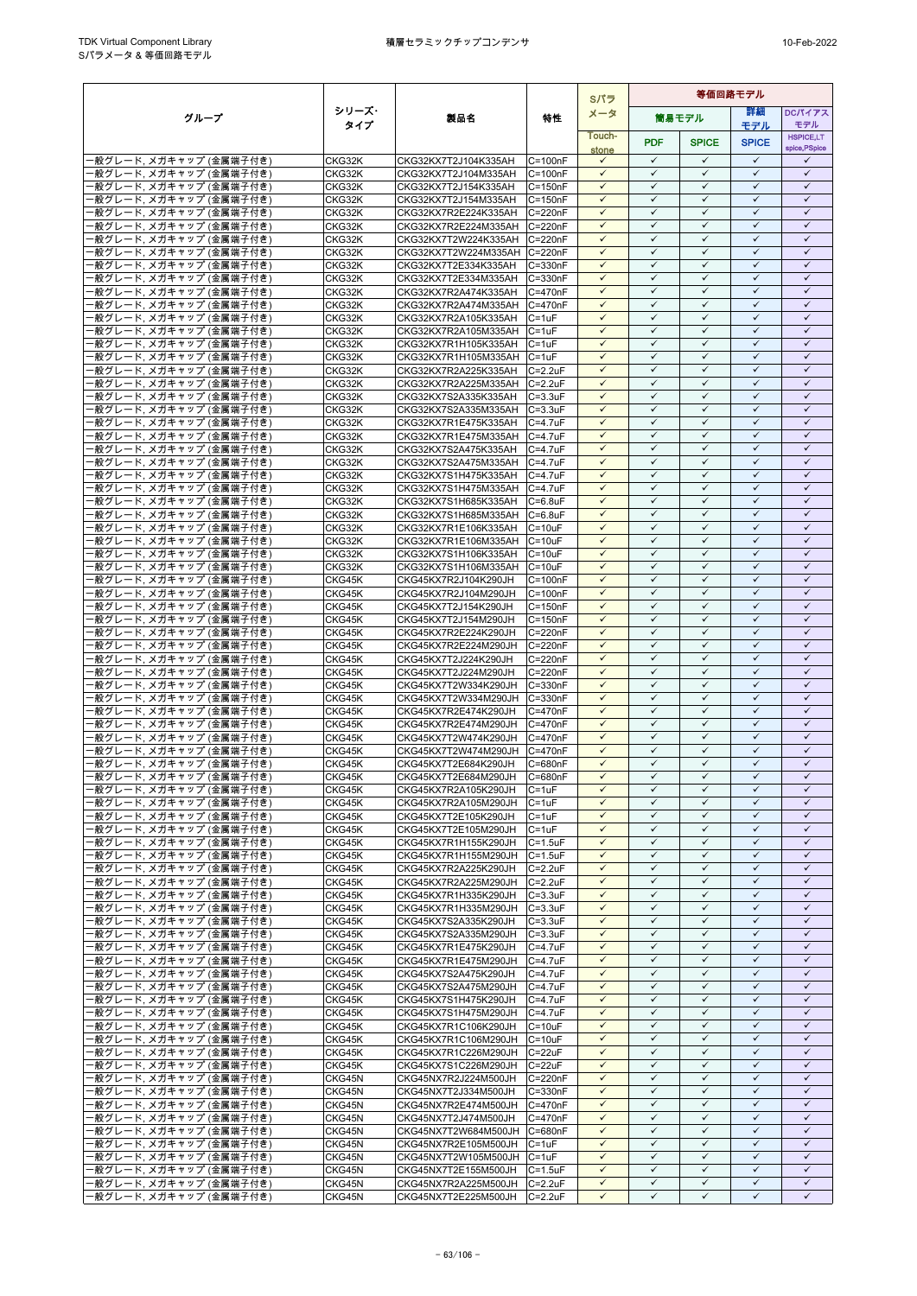|                                                    |                  |                                                     |                              | Sパラ                          | 等価回路モデル                      |                              |                              |                              |  |
|----------------------------------------------------|------------------|-----------------------------------------------------|------------------------------|------------------------------|------------------------------|------------------------------|------------------------------|------------------------------|--|
| グループ                                               | シリーズ・            | 製品名                                                 | 特性                           | メータ                          |                              | 筒易モデル                        | 詳細                           | <b>DCパイアス</b>                |  |
|                                                    | タイプ              |                                                     |                              | Touch-                       |                              |                              | モデル                          | モデル<br><b>HSPICE,LT</b>      |  |
|                                                    |                  |                                                     |                              | stone                        | <b>PDF</b>                   | <b>SPICE</b>                 | <b>SPICE</b>                 | spice, PSpice                |  |
| -般グレード, メガキャップ (金属端子付き)                            | CKG32K           | CKG32KX7T2J104K335AH                                | $C = 100nF$                  | $\checkmark$                 | $\checkmark$                 | ✓                            | $\checkmark$                 | ✓                            |  |
| -般グレード. メガキャップ (金属端子付き)                            | CKG32K           | CKG32KX7T2J104M335AH                                | $C = 100nF$                  | $\checkmark$                 | $\checkmark$                 | $\checkmark$                 | $\checkmark$                 | $\checkmark$                 |  |
| ·般グレード, メガキャップ (金属端子付き)                            | CKG32K           | CKG32KX7T2J154K335AH<br>CKG32KX7T2J154M335AH        | $C = 150nF$                  | $\checkmark$<br>$\checkmark$ | $\checkmark$<br>$\checkmark$ | $\checkmark$<br>✓            | $\checkmark$<br>✓            | $\checkmark$<br>✓            |  |
| ·般グレード, メガキャップ (金属端子付き)<br>・般グレード、メガキャップ (金属端子付き)  | CKG32K<br>CKG32K | CKG32KX7R2E224K335AH                                | $C = 150nF$<br>C=220nF       | $\checkmark$                 | $\checkmark$                 | ✓                            | ✓                            | ✓                            |  |
| ·般グレード, メガキャップ (金属端子付き)                            | CKG32K           | CKG32KX7R2E224M335AH                                | C=220nF                      | $\checkmark$                 | ✓                            | ✓                            | ✓                            | ✓                            |  |
| 般グレード, メガキャップ (金属端子付き)                             | CKG32K           | CKG32KX7T2W224K335AH                                | $C = 220nF$                  | $\checkmark$                 | $\checkmark$                 | $\checkmark$                 | $\checkmark$                 | $\checkmark$                 |  |
| 般グレード, メガキャップ (金属端子付き)                             | CKG32K           | CKG32KX7T2W224M335AH                                | C=220nF                      | $\checkmark$                 | $\checkmark$                 | $\checkmark$                 | $\checkmark$                 | $\checkmark$                 |  |
| ・般グレード、メガキャップ (金属端子付き)                             | CKG32K           | CKG32KX7T2E334K335AH                                | $C = 330nF$                  | $\checkmark$                 | $\checkmark$                 | ✓                            | $\checkmark$                 | $\checkmark$                 |  |
| ・般グレード. メガキャップ (金属端子付き)                            | CKG32K           | CKG32KX7T2E334M335AH                                | C=330nF                      | $\checkmark$                 | $\checkmark$                 | $\checkmark$                 | $\checkmark$                 | $\checkmark$<br>✓            |  |
| ·般グレード, メガキャップ (金属端子付き)<br>・般グレード, メガキャップ (金属端子付き) | CKG32K<br>CKG32K | CKG32KX7R2A474K335AH<br>CKG32KX7R2A474M335AH        | C=470nF<br>C=470nF           | $\checkmark$<br>$\checkmark$ | ✓<br>$\checkmark$            | ✓<br>$\checkmark$            | ✓<br>$\checkmark$            | $\checkmark$                 |  |
| ·般グレード, メガキャップ (金属端子付き)                            | CKG32K           | CKG32KX7R2A105K335AH                                | $C = 1uF$                    | $\checkmark$                 | $\checkmark$                 | ✓                            | $\checkmark$                 | $\checkmark$                 |  |
| ·般グレード, メガキャップ (金属端子付き)                            | CKG32K           | CKG32KX7R2A105M335AH                                | $C = 1uF$                    | $\checkmark$                 | $\checkmark$                 | $\checkmark$                 | $\checkmark$                 | $\checkmark$                 |  |
| ・般グレード, メガキャップ (金属端子付き)                            | CKG32K           | CKG32KX7R1H105K335AH                                | $C = 1uF$                    | $\checkmark$                 | $\checkmark$                 | $\checkmark$                 | $\checkmark$                 | $\checkmark$                 |  |
| ·般グレード, メガキャップ (金属端子付き)                            | CKG32K           | CKG32KX7R1H105M335AH                                | $C = 1uF$                    | $\checkmark$                 | $\checkmark$                 | ✓                            | $\checkmark$                 | $\checkmark$                 |  |
| ·般グレード, メガキャップ (金属端子付き)                            | CKG32K           | CKG32KX7R2A225K335AH                                | $C = 2.2$ uF                 | $\checkmark$<br>$\checkmark$ | $\checkmark$                 | ✓<br>✓                       | ✓<br>✓                       | ✓<br>✓                       |  |
| ・般グレード, メガキャップ (金属端子付き)<br>·般グレード, メガキャップ (金属端子付き) | CKG32K<br>CKG32K | CKG32KX7R2A225M335AH<br>CKG32KX7S2A335K335AH        | $C = 2.2uF$<br>$C = 3.3uF$   | $\checkmark$                 | $\checkmark$                 | $\checkmark$                 | $\checkmark$                 | $\checkmark$                 |  |
| 般グレード. メガキャップ (金属端子付き)                             | CKG32K           | CKG32KX7S2A335M335AH                                | $C = 3.3$ uF                 | ✓                            | ✓                            | ✓                            | $\checkmark$                 | ✓                            |  |
| ・般グレード, メガキャップ (金属端子付き)                            | CKG32K           | CKG32KX7R1E475K335AH                                | $C = 4.7$ uF                 | $\checkmark$                 | $\checkmark$                 | $\checkmark$                 | $\checkmark$                 | $\checkmark$                 |  |
| ·般グレード, メガキャップ (金属端子付き)                            | CKG32K           | CKG32KX7R1E475M335AH C=4.7uF                        |                              | $\checkmark$                 | $\checkmark$                 | $\checkmark$                 | $\checkmark$                 | $\checkmark$                 |  |
| ・般グレード、メガキャップ (金属端子付き)                             | CKG32K           | CKG32KX7S2A475K335AH                                | $C = 4.7$ uF                 | $\checkmark$                 | $\checkmark$                 | ✓                            | $\checkmark$                 | $\checkmark$                 |  |
| ·般グレード. メガキャップ (金属端子付き)                            | CKG32K           | CKG32KX7S2A475M335AH                                | $C = 4.7$ u $F$              | $\checkmark$                 | $\checkmark$                 | $\checkmark$                 | $\checkmark$                 | $\checkmark$                 |  |
| ·般グレード, メガキャップ (金属端子付き)                            | CKG32K           | CKG32KX7S1H475K335AH                                | $C = 4.7uF$                  | $\checkmark$<br>$\checkmark$ | $\checkmark$<br>$\checkmark$ | ✓<br>$\checkmark$            | ✓<br>$\checkmark$            | ✓<br>$\checkmark$            |  |
| 般グレード, メガキャップ (金属端子付き)<br>·般グレード, メガキャップ (金属端子付き)  | CKG32K<br>CKG32K | CKG32KX7S1H475M335AH<br>CKG32KX7S1H685K335AH        | $C = 4.7$ uF<br>$C = 6.8$ uF | $\checkmark$                 | $\checkmark$                 | $\checkmark$                 | $\checkmark$                 | $\checkmark$                 |  |
| ・般グレード、メガキャップ (金属端子付き)                             | CKG32K           | CKG32KX7S1H685M335AH                                | $C = 6.8$ uF                 | $\checkmark$                 | $\checkmark$                 | ✓                            | $\checkmark$                 | $\checkmark$                 |  |
| ・般グレード、メガキャップ (金属端子付き)                             | CKG32K           | CKG32KX7R1E106K335AH                                | $C = 10uF$                   | $\checkmark$                 | $\checkmark$                 | $\checkmark$                 | $\checkmark$                 | $\checkmark$                 |  |
| 般グレード, メガキャップ (金属端子付き)                             | CKG32K           | CKG32KX7R1E106M335AH                                | $C = 10uF$                   | ✓                            | ✓                            | ✓                            | ✓                            | ✓                            |  |
| ・般グレード、メガキャップ (金属端子付き)                             | CKG32K           | CKG32KX7S1H106K335AH                                | $C = 10uF$                   | $\checkmark$                 | $\checkmark$                 | $\checkmark$                 | $\checkmark$                 | $\checkmark$                 |  |
| ·般グレード, メガキャップ (金属端子付き)                            | CKG32K           | CKG32KX7S1H106M335AH                                | $C = 10uF$                   | ✓                            | $\checkmark$                 | $\checkmark$                 | $\checkmark$                 | ✓                            |  |
| ·般グレード, メガキャップ (金属端子付き)<br>般グレード, メガキャップ (金属端子付き)  | CKG45K<br>CKG45K | CKG45KX7R2J104K290JH<br>CKG45KX7R2J104M290JH        | $C = 100nF$<br>$C = 100nF$   | $\checkmark$<br>$\checkmark$ | $\checkmark$<br>$\checkmark$ | $\checkmark$<br>$\checkmark$ | $\checkmark$<br>$\checkmark$ | $\checkmark$<br>$\checkmark$ |  |
| ·般グレード, メガキャップ (金属端子付き)                            | CKG45K           | CKG45KX7T2J154K290JH                                | $C = 150nF$                  | $\checkmark$                 | $\checkmark$                 | $\checkmark$                 | $\checkmark$                 | $\checkmark$                 |  |
| ・般グレード, メガキャップ (金属端子付き)                            | CKG45K           | CKG45KX7T2J154M290JH                                | $C = 150nF$                  | $\checkmark$                 | $\checkmark$                 | $\checkmark$                 | ✓                            | $\checkmark$                 |  |
| ・般グレード, メガキャップ (金属端子付き)                            | CKG45K           | CKG45KX7R2E224K290JH                                | C=220nF                      | $\checkmark$                 | ✓                            | $\checkmark$                 | $\checkmark$                 | ✓                            |  |
| ·般グレード, メガキャップ (金属端子付き)                            | CKG45K           | CKG45KX7R2E224M290JH                                | C=220nF                      | $\checkmark$                 | $\checkmark$                 | $\checkmark$                 | $\checkmark$                 | $\checkmark$                 |  |
| ·般グレード, メガキャップ (金属端子付き)                            | CKG45K           | CKG45KX7T2J224K290JH                                | C=220nF                      | ✓                            | $\checkmark$                 | $\checkmark$                 | $\checkmark$                 | $\checkmark$                 |  |
| -般グレード, メガキャップ (金属端子付き)<br>般グレード, メガキャップ (金属端子付き)  | CKG45K           | CKG45KX7T2J224M290JH                                | C=220nF<br>C=330nF           | $\checkmark$<br>$\checkmark$ | $\checkmark$<br>$\checkmark$ | $\checkmark$<br>$\checkmark$ | $\checkmark$<br>$\checkmark$ | $\checkmark$<br>$\checkmark$ |  |
| ・般グレード、メガキャップ (金属端子付き)                             | CKG45K<br>CKG45K | CKG45KX7T2W334K290JH<br>CKG45KX7T2W334M290JH        | C=330nF                      | $\checkmark$                 | $\checkmark$                 | ✓                            | ✓                            | ✓                            |  |
| -般グレード, メガキャップ (金属端子付き)                            | CKG45K           | CKG45KX7R2E474K290JH                                | C=470nF                      | $\checkmark$                 | $\checkmark$                 | $\checkmark$                 | $\checkmark$                 | $\checkmark$                 |  |
| ・般グレード, メガキャップ (金属端子付き)                            | CKG45K           | CKG45KX7R2E474M290JH                                | $C = 470nF$                  | $\checkmark$                 | $\checkmark$                 | ✓                            | $\checkmark$                 | ✓                            |  |
| -般グレード, メガキャップ (金属端子付き)                            | CKG45K           | CKG45KX7T2W474K290JH                                | C=470nF                      | $\checkmark$                 | $\checkmark$                 | $\checkmark$                 | $\checkmark$                 | $\checkmark$                 |  |
| -般グレード, メガキャップ (金属端子付き)                            | CKG45K           | CKG45KX7T2W474M290JH                                | $C = 470nF$                  | $\checkmark$                 | $\checkmark$                 | $\checkmark$                 | $\checkmark$                 | $\checkmark$                 |  |
| 般グレード, メガキャップ (金属端子付き)                             | CKG45K           | CKG45KX7T2E684K290JH<br>CKG45KX7T2E684M290JH        | C=680nF                      | $\checkmark$<br>$\checkmark$ | $\checkmark$<br>$\checkmark$ | ✓<br>$\checkmark$            | $\checkmark$<br>$\checkmark$ | $\checkmark$<br>$\checkmark$ |  |
| ·般グレード, メガキャップ (金属端子付き)<br>-般グレード, メガキャップ (金属端子付き) | CKG45K<br>CKG45K | CKG45KX7R2A105K290JH                                | C=680nF<br>$C = 1uF$         | $\checkmark$                 | $\checkmark$                 | $\checkmark$                 | $\checkmark$                 | $\checkmark$                 |  |
| -般グレード, メガキャップ (金属端子付き)                            | CKG45K           | CKG45KX7R2A105M290JH                                | $C = 1uF$                    | $\checkmark$                 | $\checkmark$                 | $\checkmark$                 | $\checkmark$                 | $\checkmark$                 |  |
| ·般グレード, メガキャップ (金属端子付き)                            | CKG45K           | CKG45KX7T2E105K290JH                                | $C = 1uF$                    | $\checkmark$                 | $\checkmark$                 | $\checkmark$                 | $\checkmark$                 | $\checkmark$                 |  |
| -般グレード, メガキャップ (金属端子付き)                            | CKG45K           | CKG45KX7T2E105M290JH                                | $C = 1uF$                    | $\checkmark$                 | $\checkmark$                 | $\checkmark$                 | $\checkmark$                 | ✓                            |  |
| -般グレード,メガキャップ (金属端子付き)                             | CKG45K           | CKG45KX7R1H155K290JH                                | $C = 1.5$ u $F$              | $\checkmark$                 | $\checkmark$                 | $\checkmark$                 | $\checkmark$                 | $\checkmark$                 |  |
| -般グレード, メガキャップ (金属端子付き)                            | CKG45K           | CKG45KX7R1H155M290JH<br>CKG45KX7R2A225K290JH        | $C = 1.5uF$                  | $\checkmark$<br>$\checkmark$ | $\checkmark$<br>$\checkmark$ | $\checkmark$<br>$\checkmark$ | $\checkmark$<br>✓            | $\checkmark$<br>$\checkmark$ |  |
| ・般グレード, メガキャップ (金属端子付き)<br>・般グレード, メガキャップ (金属端子付き) | CKG45K<br>CKG45K | CKG45KX7R2A225M290JH                                | $C = 2.2uF$<br>$C = 2.2uF$   | $\checkmark$                 | $\checkmark$                 | $\checkmark$                 | $\checkmark$                 | $\checkmark$                 |  |
| ・般グレード, メガキャップ (金属端子付き)                            | CKG45K           | CKG45KX7R1H335K290JH                                | $C = 3.3uF$                  | $\checkmark$                 | $\checkmark$                 | $\checkmark$                 | $\checkmark$                 | $\checkmark$                 |  |
| ·般グレード, メガキャップ (金属端子付き)                            | CKG45K           | CKG45KX7R1H335M290JH                                | $C = 3.3uF$                  | $\checkmark$                 | $\checkmark$                 | $\checkmark$                 | $\checkmark$                 | $\checkmark$                 |  |
| ー般グレード, メガキャップ (金属端子付き)                            | CKG45K           | CKG45KX7S2A335K290JH                                | $C = 3.3uF$                  | $\checkmark$                 | $\checkmark$                 | $\checkmark$                 | $\checkmark$                 | $\checkmark$                 |  |
| ·般グレード, メガキャップ (金属端子付き)                            | CKG45K           | CKG45KX7S2A335M290JH                                | $C = 3.3uF$                  | $\checkmark$                 | $\checkmark$                 | $\checkmark$                 | $\checkmark$                 | $\checkmark$                 |  |
| ·般グレード, メガキャップ (金属端子付き)                            | CKG45K           | CKG45KX7R1E475K290JH                                | $C = 4.7uF$<br>$C = 4.7uF$   | $\checkmark$<br>$\checkmark$ | $\checkmark$<br>$\checkmark$ | ✓<br>$\checkmark$            | ✓<br>$\checkmark$            | ✓<br>$\checkmark$            |  |
| ·般グレード, メガキャップ (金属端子付き)<br>·般グレード, メガキャップ (金属端子付き) | CKG45K<br>CKG45K | CKG45KX7R1E475M290JH<br>CKG45KX7S2A475K290JH        | $C = 4.7$ u $F$              | $\checkmark$                 | $\checkmark$                 | $\checkmark$                 | $\checkmark$                 | $\checkmark$                 |  |
| ・般グレード, メガキャップ (金属端子付き)                            | CKG45K           | CKG45KX7S2A475M290JH                                | $C = 4.7$ u $F$              | $\checkmark$                 | $\checkmark$                 | $\checkmark$                 | $\checkmark$                 | ✓                            |  |
| -般グレード, メガキャップ (金属端子付き)                            | CKG45K           | CKG45KX7S1H475K290JH                                | $C = 4.7$ u $F$              | $\checkmark$                 | $\checkmark$                 | $\checkmark$                 | $\checkmark$                 | $\checkmark$                 |  |
| ·般グレード, メガキャップ (金属端子付き)                            | CKG45K           | CKG45KX7S1H475M290JH                                | C=4.7uF                      | $\checkmark$                 | $\checkmark$                 | ✓                            | $\checkmark$                 | $\checkmark$                 |  |
| ・般グレード、メガキャップ (金属端子付き)                             | CKG45K           | CKG45KX7R1C106K290JH                                | $C = 10uF$                   | $\checkmark$                 | $\checkmark$                 | $\checkmark$                 | $\checkmark$                 | $\checkmark$                 |  |
| ・般グレード、メガキャップ (金属端子付き)                             | CKG45K           | CKG45KX7R1C106M290JH                                | $C = 10uF$                   | $\checkmark$                 | $\checkmark$                 | $\checkmark$                 | $\checkmark$                 | $\checkmark$                 |  |
| ·般グレード, メガキャップ (金属端子付き)<br>·般グレード, メガキャップ (金属端子付き) | CKG45K<br>CKG45K | CKG45KX7R1C226M290JH C=22uF<br>CKG45KX7S1C226M290JH | $C = 22uF$                   | $\checkmark$<br>$\checkmark$ | $\checkmark$<br>$\checkmark$ | $\checkmark$<br>$\checkmark$ | $\checkmark$<br>$\checkmark$ | $\checkmark$<br>$\checkmark$ |  |
| -般グレード, メガキャップ (金属端子付き)                            | CKG45N           | CKG45NX7R2J224M500JH                                | C=220nF                      | $\checkmark$                 | $\checkmark$                 | $\checkmark$                 | $\checkmark$                 | $\checkmark$                 |  |
| ・般グレード, メガキャップ (金属端子付き)                            | CKG45N           | CKG45NX7T2J334M500JH                                | C=330nF                      | $\checkmark$                 | $\checkmark$                 | $\checkmark$                 | $\checkmark$                 | $\checkmark$                 |  |
| -般グレード, メガキャップ (金属端子付き)                            | CKG45N           | CKG45NX7R2E474M500JH                                | C=470nF                      | $\checkmark$                 | $\checkmark$                 | ✓                            | $\checkmark$                 | ✓                            |  |
| 般グレード, メガキャップ (金属端子付き)                             | CKG45N           | CKG45NX7T2J474M500JH                                | C=470nF                      | $\checkmark$                 | $\checkmark$                 | $\checkmark$                 | ✓                            | $\checkmark$                 |  |
| ·般グレード, メガキャップ (金属端子付き)                            | CKG45N           | CKG45NX7T2W684M500JH C=680nF                        |                              | $\checkmark$                 | $\checkmark$                 | ✓                            | $\checkmark$                 | $\checkmark$                 |  |
| ・般グレード, メガキャップ (金属端子付き)                            | CKG45N           | CKG45NX7R2E105M500JH                                | $C = 1uF$                    | $\checkmark$<br>$\checkmark$ | $\checkmark$<br>$\checkmark$ | $\checkmark$<br>$\checkmark$ | $\checkmark$<br>$\checkmark$ | $\checkmark$<br>$\checkmark$ |  |
| ·般グレード, メガキャップ (金属端子付き)<br>-般グレード, メガキャップ (金属端子付き) | CKG45N<br>CKG45N | CKG45NX7T2W105M500JH C=1uF<br>CKG45NX7T2E155M500JH  | $C = 1.5$ u $F$              | $\checkmark$                 | $\checkmark$                 | $\checkmark$                 | $\checkmark$                 | $\checkmark$                 |  |
| ・般グレード, メガキャップ (金属端子付き)                            | CKG45N           | CKG45NX7R2A225M500JH                                | $C = 2.2uF$                  | $\checkmark$                 | $\checkmark$                 | $\checkmark$                 | $\checkmark$                 | $\checkmark$                 |  |
| ·般グレード, メガキャップ (金属端子付き)                            | CKG45N           | CKG45NX7T2E225M500JH                                | $C = 2.2uF$                  | ✓                            | ✓                            | ✓                            | ✓                            | ✓                            |  |
|                                                    |                  |                                                     |                              |                              |                              |                              |                              |                              |  |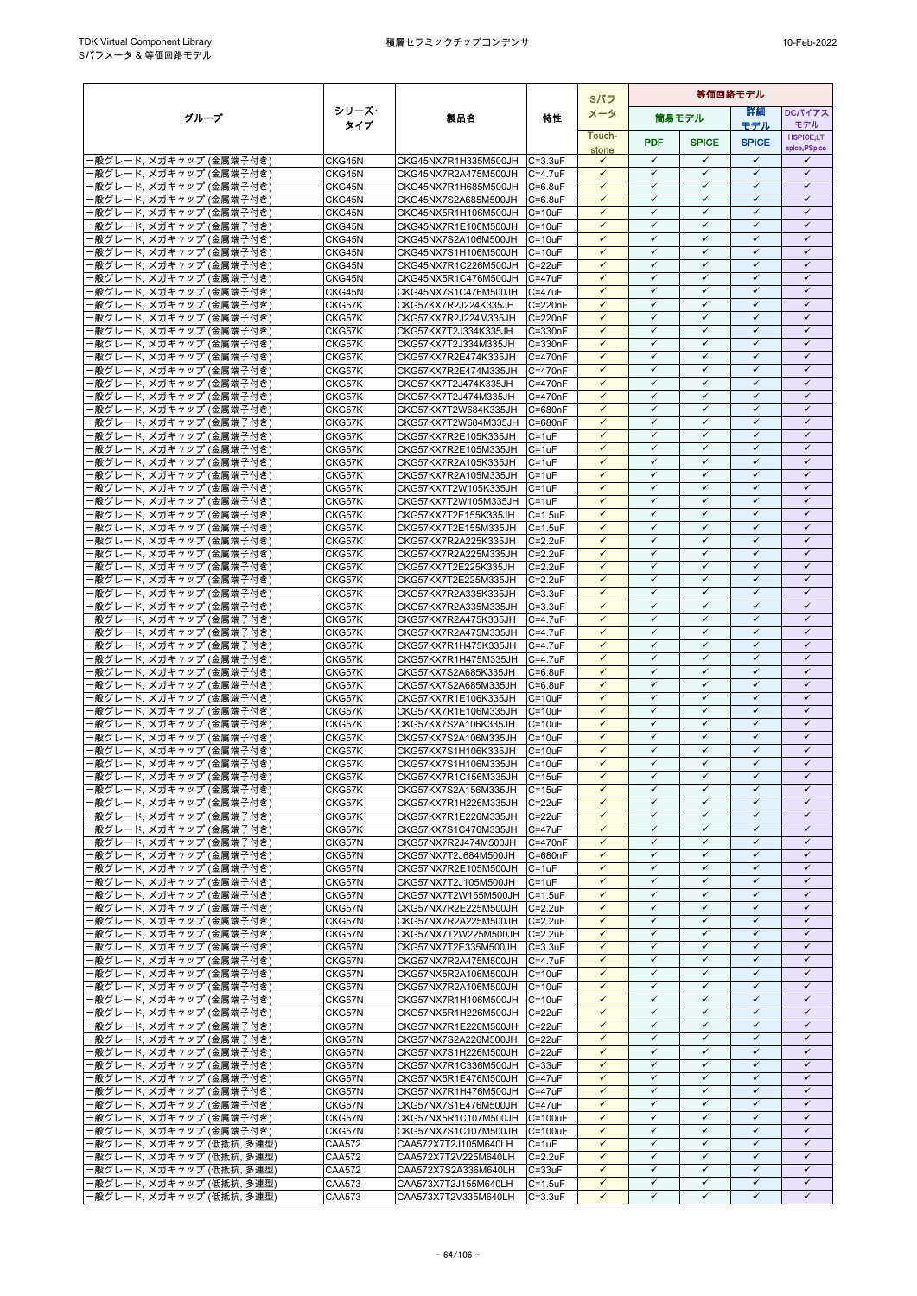|                                                    |                  |                                                      |                                 |                              | Sパラ                          | 等価回路モデル                      |                              |                              |  |  |  |
|----------------------------------------------------|------------------|------------------------------------------------------|---------------------------------|------------------------------|------------------------------|------------------------------|------------------------------|------------------------------|--|--|--|
| グループ                                               | シリーズ・            | 製品名                                                  | 特性                              | メータ                          |                              | 筒易モデル                        | 詳細                           | <b>DCパイアス</b>                |  |  |  |
|                                                    | タイプ              |                                                      |                                 | Touch-                       |                              |                              | モデル                          | モデル<br><b>HSPICE,LT</b>      |  |  |  |
|                                                    |                  |                                                      |                                 | stone                        | <b>PDF</b>                   | <b>SPICE</b>                 | <b>SPICE</b>                 | spice, PSpice                |  |  |  |
| -般グレード, メガキャップ (金属端子付き)                            | CKG45N           | CKG45NX7R1H335M500JH C=3.3uF                         |                                 | $\checkmark$                 | $\checkmark$                 | $\checkmark$                 | $\checkmark$                 | ✓                            |  |  |  |
| ・般グレード, メガキャップ (金属端子付き)                            | CKG45N           | CKG45NX7R2A475M500JH                                 | $C = 4.7$ uF                    | $\checkmark$                 | $\checkmark$                 | $\checkmark$                 | $\checkmark$                 | $\checkmark$                 |  |  |  |
| ·般グレード, メガキャップ (金属端子付き)                            | CKG45N           | CKG45NX7R1H685M500JH                                 | $C = 6.8$ uF                    | $\checkmark$<br>$\checkmark$ | $\checkmark$<br>$\checkmark$ | ✓<br>$\checkmark$            | $\checkmark$<br>$\checkmark$ | $\checkmark$<br>$\checkmark$ |  |  |  |
| ・般グレード, メガキャップ (金属端子付き)<br>·般グレード, メガキャップ (金属端子付き) | CKG45N<br>CKG45N | CKG45NX7S2A685M500JH<br>CKG45NX5R1H106M500JH         | $C = 6.8$ uF<br>$C = 10uF$      | $\checkmark$                 | $\checkmark$                 | $\checkmark$                 | $\checkmark$                 | $\checkmark$                 |  |  |  |
| ·般グレード, メガキャップ (金属端子付き)                            | CKG45N           | CKG45NX7R1E106M500JH                                 | $C = 10uF$                      | $\checkmark$                 | ✓                            | ✓                            | ✓                            | ✓                            |  |  |  |
| 般グレード, メガキャップ (金属端子付き)                             | CKG45N           | CKG45NX7S2A106M500JH                                 | $C = 10uF$                      | $\checkmark$                 | $\checkmark$                 | $\checkmark$                 | $\checkmark$                 | $\checkmark$                 |  |  |  |
| ·般グレード, メガキャップ (金属端子付き)                            | CKG45N           | CKG45NX7S1H106M500JH                                 | $C = 10uF$                      | $\checkmark$                 | $\checkmark$                 | ✓                            | $\checkmark$                 | $\checkmark$                 |  |  |  |
| 般グレード, メガキャップ (金属端子付き)                             | CKG45N           | CKG45NX7R1C226M500JH                                 | $C = 22uF$                      | $\checkmark$                 | $\checkmark$                 | $\checkmark$                 | $\checkmark$                 | $\checkmark$                 |  |  |  |
| ・般グレード、メガキャップ (金属端子付き)<br>·般グレード, メガキャップ (金属端子付き)  | CKG45N           | CKG45NX5R1C476M500JH                                 | $C = 47uF$                      | $\checkmark$<br>$\checkmark$ | $\checkmark$<br>$\checkmark$ | $\checkmark$<br>✓            | $\checkmark$<br>$\checkmark$ | $\checkmark$<br>$\checkmark$ |  |  |  |
| ·般グレード, メガキャップ (金属端子付き)                            | CKG45N<br>CKG57K | CKG45NX7S1C476M500JH<br>CKG57KX7R2J224K335JH         | $C = 47uF$<br>C=220nF           | $\checkmark$                 | $\checkmark$                 | $\checkmark$                 | $\checkmark$                 | $\checkmark$                 |  |  |  |
| ·般グレード, メガキャップ (金属端子付き)                            | CKG57K           | CKG57KX7R2J224M335JH                                 | C=220nF                         | $\checkmark$                 |                              | ✓                            | ✓                            | ✓                            |  |  |  |
| ·般グレード, メガキャップ (金属端子付き)                            | CKG57K           | CKG57KX7T2J334K335JH                                 | $C = 330nF$                     | $\checkmark$                 | $\checkmark$                 | $\checkmark$                 | $\checkmark$                 | $\checkmark$                 |  |  |  |
| 般グレード, メガキャップ (金属端子付き)                             | CKG57K           | CKG57KX7T2J334M335JH                                 | C=330nF                         | $\checkmark$                 | $\checkmark$                 | $\checkmark$                 | $\checkmark$                 | $\checkmark$                 |  |  |  |
| 般グレード, メガキャップ (金属端子付き)                             | CKG57K           | CKG57KX7R2E474K335JH                                 | C=470nF                         | $\checkmark$                 | $\checkmark$                 | $\checkmark$                 | $\checkmark$                 | $\checkmark$                 |  |  |  |
| ・般グレード、メガキャップ (金属端子付き)                             | CKG57K           | CKG57KX7R2E474M335JH                                 | C=470nF                         | $\checkmark$<br>$\checkmark$ | $\checkmark$<br>$\checkmark$ | $\checkmark$<br>$\checkmark$ | $\checkmark$<br>$\checkmark$ | $\checkmark$<br>$\checkmark$ |  |  |  |
| ・般グレード, メガキャップ (金属端子付き)<br>・般グレード、メガキャップ (金属端子付き)  | CKG57K<br>CKG57K | CKG57KX7T2J474K335JH<br>CKG57KX7T2J474M335JH         | C=470nF<br>C=470nF              | $\checkmark$                 | $\checkmark$                 | $\checkmark$                 | $\checkmark$                 | $\checkmark$                 |  |  |  |
| ·般グレード, メガキャップ (金属端子付き)                            | CKG57K           | CKG57KX7T2W684K335JH                                 | C=680nF                         |                              | ✓                            | ✓                            | ✓                            | ✓                            |  |  |  |
| ・般グレード, メガキャップ (金属端子付き)                            | CKG57K           | CKG57KX7T2W684M335JH                                 | C=680nF                         | $\checkmark$                 | $\checkmark$                 | $\checkmark$                 | $\checkmark$                 | $\checkmark$                 |  |  |  |
| ·般グレード, メガキャップ (金属端子付き)                            | CKG57K           | CKG57KX7R2E105K335JH                                 | $C = 1uF$                       | $\checkmark$                 | $\checkmark$                 | ✓                            | $\checkmark$                 | $\checkmark$                 |  |  |  |
| ·般グレード, メガキャップ (金属端子付き)                            | CKG57K           | CKG57KX7R2E105M335JH                                 | $C = 1uF$                       | $\checkmark$                 | $\checkmark$                 | $\checkmark$                 | $\checkmark$                 | $\checkmark$                 |  |  |  |
| ・般グレード、メガキャップ (金属端子付き)                             | CKG57K           | CKG57KX7R2A105K335JH<br>CKG57KX7R2A105M335JH         | $C = 1uF$                       | $\checkmark$<br>$\checkmark$ | $\checkmark$<br>✓            | $\checkmark$<br>✓            | $\checkmark$<br>✓            | $\checkmark$<br>✓            |  |  |  |
| ・般グレード. メガキャップ (金属端子付き)<br>般グレード, メガキャップ (金属端子付き)  | CKG57K<br>CKG57K | CKG57KX7T2W105K335JH                                 | C=1uF<br>$C = 1uF$              | $\checkmark$                 | $\checkmark$                 | $\checkmark$                 | $\checkmark$                 | $\checkmark$                 |  |  |  |
| ·般グレード, メガキャップ (金属端子付き)                            | CKG57K           | CKG57KX7T2W105M335JH                                 | $C = 1uF$                       | $\checkmark$                 | $\checkmark$                 | ✓                            | $\checkmark$                 | $\checkmark$                 |  |  |  |
| 般グレード, メガキャップ (金属端子付き)                             | CKG57K           | CKG57KX7T2E155K335JH                                 | $C = 1.5$ u $F$                 | $\checkmark$                 | $\checkmark$                 | $\checkmark$                 | $\checkmark$                 | $\checkmark$                 |  |  |  |
| ・般グレード, メガキャップ (金属端子付き)                            | CKG57K           | CKG57KX7T2E155M335JH                                 | $C = 1.5uF$                     | $\checkmark$                 | $\checkmark$                 | $\checkmark$                 | $\checkmark$                 | $\checkmark$                 |  |  |  |
| ・般グレード, メガキャップ (金属端子付き)                            | CKG57K           | CKG57KX7R2A225K335JH                                 | $C = 2.2uF$                     | $\checkmark$                 | $\checkmark$                 | $\checkmark$                 | $\checkmark$                 | $\checkmark$                 |  |  |  |
| ・般グレード、メガキャップ (金属端子付き)                             | CKG57K<br>CKG57K | CKG57KX7R2A225M335JH                                 | $C = 2.2$ uF<br>$C = 2.2uF$     | $\checkmark$<br>$\checkmark$ | $\checkmark$<br>$\checkmark$ | $\checkmark$<br>$\checkmark$ | $\checkmark$<br>$\checkmark$ | ✓<br>✓                       |  |  |  |
| ・般グレード, メガキャップ (金属端子付き)<br>·般グレード, メガキャップ (金属端子付き) | CKG57K           | CKG57KX7T2E225K335JH<br>CKG57KX7T2E225M335JH         | $C = 2.2uF$                     | $\checkmark$                 | $\checkmark$                 | $\checkmark$                 | $\checkmark$                 | $\checkmark$                 |  |  |  |
| ·般グレード, メガキャップ (金属端子付き)                            | CKG57K           | CKG57KX7R2A335K335JH                                 | $C = 3.3uF$                     | $\checkmark$                 | $\checkmark$                 | $\checkmark$                 | $\checkmark$                 | ✓                            |  |  |  |
| ・般グレード、メガキャップ (金属端子付き)                             | CKG57K           | CKG57KX7R2A335M335JH                                 | $C = 3.3uF$                     | $\checkmark$                 | $\checkmark$                 | $\checkmark$                 | $\checkmark$                 | $\checkmark$                 |  |  |  |
| ·般グレード, メガキャップ (金属端子付き)                            | CKG57K           | CKG57KX7R2A475K335JH                                 | $C = 4.7uF$                     | $\checkmark$                 | $\checkmark$                 | $\checkmark$                 | $\checkmark$                 | $\checkmark$                 |  |  |  |
| ・般グレード、メガキャップ (金属端子付き)                             | CKG57K           | CKG57KX7R2A475M335JH                                 | $C = 4.7$ uF                    | $\checkmark$                 | $\checkmark$                 | ✓                            | $\checkmark$                 | $\checkmark$                 |  |  |  |
| ・般グレード、メガキャップ (金属端子付き)                             | CKG57K           | CKG57KX7R1H475K335JH                                 | $C = 4.7$ u $F$<br>$C = 4.7$ uF | $\checkmark$<br>$\checkmark$ | $\checkmark$<br>$\checkmark$ | $\checkmark$<br>✓            | $\checkmark$<br>$\checkmark$ | $\checkmark$<br>$\checkmark$ |  |  |  |
| ・般グレード、メガキャップ (金属端子付き)<br>・般グレード, メガキャップ (金属端子付き)  | CKG57K<br>CKG57K | CKG57KX7R1H475M335JH<br>CKG57KX7S2A685K335JH         | $C = 6.8$ uF                    | $\checkmark$                 | $\checkmark$                 | $\checkmark$                 | $\checkmark$                 | $\checkmark$                 |  |  |  |
| ·般グレード, メガキャップ (金属端子付き)                            | CKG57K           | CKG57KX7S2A685M335JH                                 | $C = 6.8$ uF                    | $\checkmark$                 | $\checkmark$                 | $\checkmark$                 | $\checkmark$                 | $\checkmark$                 |  |  |  |
| ·般グレード. メガキャップ (金属端子付き)                            | CKG57K           | CKG57KX7R1E106K335JH                                 | $C = 10uF$                      | $\checkmark$                 | $\checkmark$                 | ✓                            | $\checkmark$                 | $\checkmark$                 |  |  |  |
| ・般グレード, メガキャップ (金属端子付き)                            | CKG57K           | CKG57KX7R1E106M335JH                                 | $C = 10uF$                      | $\checkmark$                 | $\checkmark$                 | $\checkmark$                 | $\checkmark$                 | $\checkmark$                 |  |  |  |
| ·般グレード. メガキャップ (金属端子付き)                            | CKG57K           | CKG57KX7S2A106K335JH                                 | $C = 10uF$                      | $\checkmark$                 | $\checkmark$                 | ✓                            | ✓                            | ✓                            |  |  |  |
| -般グレード. メガキャップ (金属端子付き)<br>·般グレード, メガキャップ (金属端子付き) | CKG57K<br>CKG57K | CKG57KX7S2A106M335JH<br>CKG57KX7S1H106K335JH         | $C = 10uF$<br>C=10uF            | $\checkmark$                 | $\checkmark$<br>✓            | $\checkmark$<br>✓            | $\checkmark$<br>$\checkmark$ | $\checkmark$<br>$\checkmark$ |  |  |  |
| 般グレード, メガキャップ (金属端子付き)                             | CKG57K           | CKG57KX7S1H106M335JH                                 | $C = 10uF$                      | $\checkmark$                 | $\checkmark$                 | $\checkmark$                 | $\checkmark$                 | $\checkmark$                 |  |  |  |
| ·般グレード, メガキャップ (金属端子付き)                            | CKG57K           | CKG57KX7R1C156M335JH                                 | $C = 15uF$                      | $\checkmark$                 | $\checkmark$                 | ✓                            | $\checkmark$                 | $\checkmark$                 |  |  |  |
| ・般グレード, メガキャップ (金属端子付き)                            | CKG57K           | CKG57KX7S2A156M335JH C=15uF                          |                                 | $\checkmark$                 | $\checkmark$                 | $\checkmark$                 | $\checkmark$                 | ✓                            |  |  |  |
| -般グレード, メガキャップ (金属端子付き)                            | CKG57K           | CKG57KX7R1H226M335JH                                 | $C = 22uF$                      | $\checkmark$                 | $\checkmark$                 | $\checkmark$                 | $\checkmark$                 | $\checkmark$                 |  |  |  |
| -般グレード, メガキャップ (金属端子付き)                            | CKG57K           | CKG57KX7R1E226M335JH                                 | $C = 22uF$                      | $\checkmark$                 | $\checkmark$                 | $\checkmark$                 | $\checkmark$                 | $\checkmark$                 |  |  |  |
| ・般グレード, メガキャップ (金属端子付き)                            | CKG57K<br>CKG57N | CKG57KX7S1C476M335JH C=47uF<br>CKG57NX7R2J474M500JH  | C=470nF                         | $\checkmark$<br>✓            | $\checkmark$<br>✓            | $\checkmark$<br>$\checkmark$ | $\checkmark$<br>$\checkmark$ | $\checkmark$<br>✓            |  |  |  |
| ・般グレード, メガキャップ (金属端子付き)<br>ー般グレード, メガキャップ (金属端子付き) | CKG57N           | CKG57NX7T2J684M500JH                                 | C=680nF                         | $\checkmark$                 | $\checkmark$                 | $\checkmark$                 | $\checkmark$                 | $\checkmark$                 |  |  |  |
| ·般グレード, メガキャップ (金属端子付き)                            | CKG57N           | CKG57NX7R2E105M500JH                                 | $C = 1uF$                       | $\checkmark$                 | $\checkmark$                 | $\checkmark$                 | $\checkmark$                 | $\checkmark$                 |  |  |  |
| ·般グレード, メガキャップ (金属端子付き)                            | CKG57N           | CKG57NX7T2J105M500JH                                 | $C = 1uF$                       | $\checkmark$                 | $\checkmark$                 | ✓                            | $\checkmark$                 | $\checkmark$                 |  |  |  |
| -般グレード, メガキャップ (金属端子付き)                            | CKG57N           | CKG57NX7T2W155M500JH C=1.5uF                         |                                 | $\checkmark$                 | $\checkmark$                 | $\checkmark$                 | $\checkmark$                 | $\checkmark$                 |  |  |  |
| ・般グレード, メガキャップ (金属端子付き)                            | CKG57N           | CKG57NX7R2E225M500JH                                 | $C = 2.2uF$                     | $\checkmark$<br>$\checkmark$ | $\checkmark$<br>$\checkmark$ | $\checkmark$                 | $\checkmark$<br>$\checkmark$ | $\checkmark$<br>$\checkmark$ |  |  |  |
| ·般グレード, メガキャップ (金属端子付き)<br>-般グレード, メガキャップ (金属端子付き) | CKG57N<br>CKG57N | CKG57NX7R2A225M500JH<br>CKG57NX7T2W225M500JH C=2.2uF | $C = 2.2uF$                     | $\checkmark$                 | $\checkmark$                 | $\checkmark$<br>$\checkmark$ | $\checkmark$                 | $\checkmark$                 |  |  |  |
| ・般グレード、メガキャップ (金属端子付き)                             | CKG57N           | CKG57NX7T2E335M500JH                                 | $C = 3.3uF$                     | $\checkmark$                 | $\checkmark$                 | ✓                            | $\checkmark$                 | $\checkmark$                 |  |  |  |
| ・般グレード, メガキャップ (金属端子付き)                            | CKG57N           | CKG57NX7R2A475M500JH C=4.7uF                         |                                 | $\checkmark$                 | $\checkmark$                 | $\checkmark$                 | $\checkmark$                 | $\checkmark$                 |  |  |  |
| ·般グレード, メガキャップ (金属端子付き)                            | CKG57N           | CKG57NX5R2A106M500JH C=10uF                          |                                 | ✓                            | ✓                            | ✓                            | ✓                            | ✓                            |  |  |  |
| ・般グレード, メガキャップ (金属端子付き)                            | CKG57N           | CKG57NX7R2A106M500JH                                 | $C = 10uF$                      | $\checkmark$                 | $\checkmark$                 | $\checkmark$                 | $\checkmark$                 | $\checkmark$                 |  |  |  |
| ・般グレード, メガキャップ (金属端子付き)                            | CKG57N<br>CKG57N | CKG57NX7R1H106M500JH<br>CKG57NX5R1H226M500JH         | $C = 10uF$<br>$C = 22uF$        | $\checkmark$<br>$\checkmark$ | $\checkmark$<br>$\checkmark$ | $\checkmark$<br>$\checkmark$ | $\checkmark$<br>$\checkmark$ | $\checkmark$<br>$\checkmark$ |  |  |  |
| ・般グレード, メガキャップ (金属端子付き)<br>ー般グレード, メガキャップ (金属端子付き) | CKG57N           | CKG57NX7R1E226M500JH C=22uF                          |                                 | $\checkmark$                 | $\checkmark$                 | $\checkmark$                 | $\checkmark$                 | $\checkmark$                 |  |  |  |
| ・般グレード, メガキャップ (金属端子付き)                            | CKG57N           | CKG57NX7S2A226M500JH                                 | $C = 22uF$                      | $\checkmark$                 | $\checkmark$                 | $\checkmark$                 | $\checkmark$                 | $\checkmark$                 |  |  |  |
| -般グレード, メガキャップ (金属端子付き)                            | CKG57N           | CKG57NX7S1H226M500JH C=22uF                          |                                 | $\checkmark$                 | $\checkmark$                 | $\checkmark$                 | $\checkmark$                 | $\checkmark$                 |  |  |  |
| -般グレード, メガキャップ (金属端子付き)                            | CKG57N           | CKG57NX7R1C336M500JH                                 | $C = 33uF$                      | $\checkmark$                 | $\checkmark$                 | $\checkmark$                 | $\checkmark$                 | $\checkmark$                 |  |  |  |
| ・般グレード, メガキャップ (金属端子付き)                            | CKG57N           | CKG57NX5R1E476M500JH                                 | $C = 47uF$                      | $\checkmark$                 | $\checkmark$                 | $\checkmark$                 | $\checkmark$                 | $\checkmark$                 |  |  |  |
| ・般グレード, メガキャップ (金属端子付き)                            | CKG57N           | CKG57NX7R1H476M500JH                                 | $C = 47uF$<br>$C = 47uF$        | $\checkmark$<br>$\checkmark$ | $\checkmark$<br>$\checkmark$ | $\checkmark$<br>$\checkmark$ | $\checkmark$<br>$\checkmark$ | $\checkmark$<br>$\checkmark$ |  |  |  |
| ー般グレード, メガキャップ (金属端子付き)<br>・般グレード, メガキャップ (金属端子付き) | CKG57N<br>CKG57N | CKG57NX7S1E476M500JH<br>CKG57NX5R1C107M500JH C=100uF |                                 | $\checkmark$                 | $\checkmark$                 | $\checkmark$                 | $\checkmark$                 | $\checkmark$                 |  |  |  |
| ·般グレード, メガキャップ (金属端子付き)                            | CKG57N           | CKG57NX7S1C107M500JH                                 | $C = 100uF$                     | $\checkmark$                 | $\checkmark$                 | ✓                            | ✓                            | ✓                            |  |  |  |
| ・般グレード, メガキャップ (低抵抗, 多連型)                          | CAA572           | CAA572X7T2J105M640LH                                 | $C = 1uF$                       | $\checkmark$                 | $\checkmark$                 | $\checkmark$                 | $\checkmark$                 | $\checkmark$                 |  |  |  |
| ·般グレード, メガキャップ (低抵抗, 多連型)                          | CAA572           | CAA572X7T2V225M640LH                                 | $C = 2.2uF$                     | $\checkmark$                 | $\checkmark$                 | $\checkmark$                 | $\checkmark$                 | $\checkmark$                 |  |  |  |
| ・般グレード, メガキャップ (低抵抗, 多連型)                          | CAA572           | CAA572X7S2A336M640LH                                 | $C = 33uF$                      | $\checkmark$                 | $\checkmark$                 | $\checkmark$                 | $\checkmark$                 | $\checkmark$                 |  |  |  |
| -般グレード, メガキャップ (低抵抗, 多連型)                          | <b>CAA573</b>    | CAA573X7T2J155M640LH                                 | $C = 1.5uF$                     | $\checkmark$                 | $\checkmark$<br>$\checkmark$ | $\checkmark$                 | $\checkmark$<br>$\checkmark$ | $\checkmark$<br>$\checkmark$ |  |  |  |
| ·般グレード, メガキャップ (低抵抗, 多連型)                          | CAA573           | CAA573X7T2V335M640LH                                 | $C = 3.3uF$                     | $\checkmark$                 |                              | ✓                            |                              |                              |  |  |  |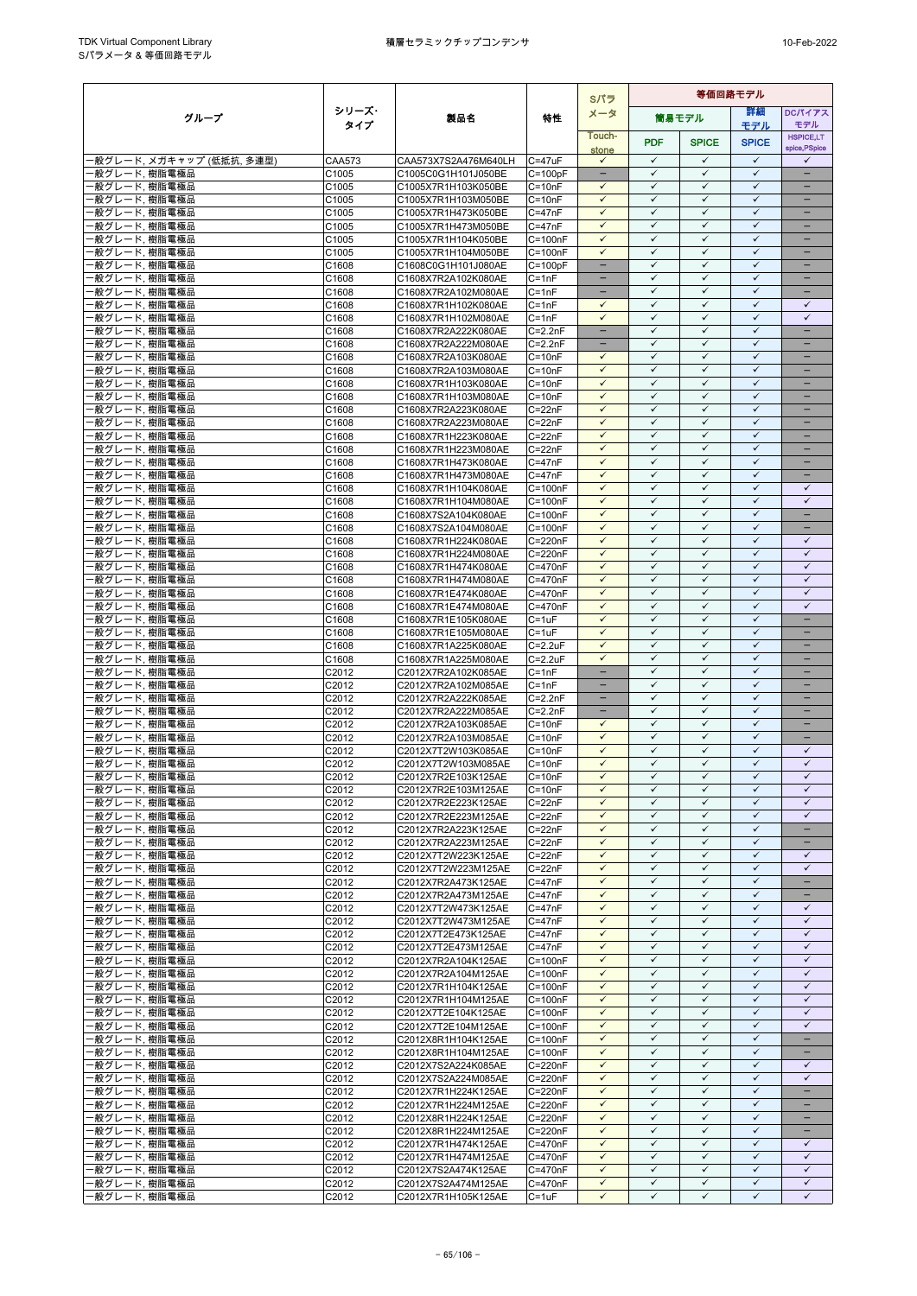|                                |                   |                                            |                            | Sパラ                                      | 等価回路モデル                      |                              |                              |                               |
|--------------------------------|-------------------|--------------------------------------------|----------------------------|------------------------------------------|------------------------------|------------------------------|------------------------------|-------------------------------|
| グループ                           | シリーズ・             | 製品名                                        | 特性                         | メータ                                      |                              | 筒易モデル                        | 詳細                           | DCパイアス                        |
|                                | タイプ               |                                            |                            | Touch-                                   |                              |                              | モデル                          | モデル<br><b>HSPICE,LT</b>       |
|                                |                   |                                            |                            | stone                                    | <b>PDF</b>                   | <b>SPICE</b>                 | <b>SPICE</b>                 | spice, PSpice                 |
| -般グレード, メガキャップ (低抵抗, 多連型)      | <b>CAA573</b>     | CAA573X7S2A476M640LH                       | $C = 47uF$                 | $\checkmark$                             | $\checkmark$<br>$\checkmark$ | ✓<br>$\checkmark$            | $\checkmark$<br>$\checkmark$ | ✓                             |
| ・般グレード、樹脂電極品<br>般グレード, 樹脂電極品   | C1005<br>C1005    | C1005C0G1H101J050BE<br>C1005X7R1H103K050BE | $C = 100pF$<br>$C = 10nF$  | $\overline{\phantom{a}}$<br>$\checkmark$ | $\checkmark$                 | $\checkmark$                 | $\checkmark$                 | $\overline{\phantom{0}}$<br>- |
| 般グレード, 樹脂電極品                   | C1005             | C1005X7R1H103M050BE                        | $C = 10nF$                 | $\checkmark$                             | $\checkmark$                 | $\checkmark$                 | $\checkmark$                 |                               |
| ・般グレード、樹脂電極品                   | C1005             | C1005X7R1H473K050BE                        | $C = 47nF$                 | $\checkmark$                             | $\checkmark$                 | $\checkmark$                 | $\checkmark$                 | $\qquad \qquad -$             |
| 般グレード, 樹脂電極品                   | C1005             | C1005X7R1H473M050BE                        | $C = 47nF$                 | $\checkmark$                             | $\checkmark$                 | $\checkmark$                 | $\checkmark$                 | -                             |
| 般グレード. 樹脂電極品<br>・般グレード, 樹脂電極品  | C1005<br>C1005    | C1005X7R1H104K050BE<br>C1005X7R1H104M050BE | $C = 100nF$<br>$C = 100nF$ | $\checkmark$<br>$\checkmark$             | $\checkmark$<br>$\checkmark$ | $\checkmark$<br>$\checkmark$ | $\checkmark$<br>$\checkmark$ | -                             |
| 般グレード, 樹脂電極品                   | C1608             | C1608C0G1H101J080AE                        | $C = 100pF$                |                                          | $\checkmark$                 | $\checkmark$                 | $\checkmark$                 |                               |
| 般グレード,樹脂電極品                    | C1608             | C1608X7R2A102K080AE                        | $C = 1nF$                  |                                          | $\checkmark$                 | $\checkmark$                 | $\checkmark$                 |                               |
| ・般グレード, 樹脂電極品                  | C1608             | C1608X7R2A102M080AE                        | $C = 1nF$                  | $\qquad \qquad -$                        | $\checkmark$                 | $\checkmark$                 | $\checkmark$                 | $\overline{\phantom{0}}$      |
| ·般グレード, 樹脂電極品<br>般グレード, 樹脂電極品  | C1608<br>C1608    | C1608X7R1H102K080AE<br>C1608X7R1H102M080AE | $C = 1nF$<br>$C = 1nF$     | $\checkmark$<br>✓                        | $\checkmark$<br>$\checkmark$ | $\checkmark$<br>✓            | $\checkmark$<br>✓            | $\checkmark$<br>✓             |
| ・般グレード, 樹脂電極品                  | C1608             | C1608X7R2A222K080AE                        | $C = 2.2nF$                | $\overline{\phantom{a}}$                 | $\checkmark$                 | $\checkmark$                 | $\checkmark$                 | ÷                             |
| ·般グレード, 樹脂電極品                  | C1608             | C1608X7R2A222M080AE                        | $C = 2.2nF$                |                                          | $\checkmark$                 | $\checkmark$                 | $\checkmark$                 |                               |
| 般グレード, 樹脂電極品                   | C1608             | C1608X7R2A103K080AE                        | $C = 10nF$                 | $\checkmark$<br>$\checkmark$             | $\checkmark$<br>$\checkmark$ | $\checkmark$<br>$\checkmark$ | $\checkmark$<br>$\checkmark$ | $=$<br>÷                      |
| 般グレード, 樹脂電極品<br>·般グレード, 樹脂電極品  | C1608<br>C1608    | C1608X7R2A103M080AE<br>C1608X7R1H103K080AE | $C = 10nF$<br>$C = 10nF$   | $\checkmark$                             | $\checkmark$                 | $\checkmark$                 | $\checkmark$                 |                               |
| 般グレード. 樹脂電極品                   | C1608             | C1608X7R1H103M080AE                        | $C = 10nF$                 | $\checkmark$                             | $\checkmark$                 | $\checkmark$                 | $\checkmark$                 | $\qquad \qquad -$             |
| 般グレード, 樹脂電極品                   | C1608             | C1608X7R2A223K080AE                        | $C = 22nF$                 | $\checkmark$                             | $\checkmark$                 | ✓                            | $\checkmark$                 |                               |
| ·般グレード, 樹脂電極品                  | C1608             | C1608X7R2A223M080AE                        | $C = 22nF$                 | $\checkmark$<br>$\checkmark$             | $\checkmark$<br>$\checkmark$ | $\checkmark$<br>$\checkmark$ | $\checkmark$<br>$\checkmark$ | ۳                             |
| 般グレード, 樹脂電極品<br>般グレード, 樹脂電極品   | C1608<br>C1608    | C1608X7R1H223K080AE<br>C1608X7R1H223M080AE | $C = 22nF$<br>$C = 22nF$   | $\checkmark$                             | $\checkmark$                 | $\checkmark$                 | $\checkmark$                 | $\overline{\phantom{0}}$      |
| 般グレード. 樹脂電極品                   | C1608             | C1608X7R1H473K080AE                        | $C = 47nF$                 | $\checkmark$                             | $\checkmark$                 | $\checkmark$                 | $\checkmark$                 | $\overline{\phantom{0}}$      |
| ・般グレード, 樹脂電極品                  | C1608             | C1608X7R1H473M080AE                        | $C = 47nF$                 | $\checkmark$                             | $\checkmark$                 | $\checkmark$                 | $\checkmark$                 | $\qquad \qquad -$             |
| 般グレード,樹脂電極品                    | C1608             | C1608X7R1H104K080AE                        | $C = 100nF$                | $\checkmark$                             | $\checkmark$<br>✓            | $\checkmark$                 | $\checkmark$<br>✓            | $\checkmark$<br>$\checkmark$  |
| 般グレード, 樹脂電極品<br>般グレード, 樹脂電極品   | C1608<br>C1608    | C1608X7R1H104M080AE<br>C1608X7S2A104K080AE | $C = 100nF$<br>$C = 100nF$ | $\checkmark$<br>$\checkmark$             | $\checkmark$                 | ✓<br>$\checkmark$            | $\checkmark$                 | ц,                            |
| ·般グレード, 樹脂電極品                  | C1608             | C1608X7S2A104M080AE                        | $C = 100nF$                | $\checkmark$                             | $\checkmark$                 | $\checkmark$                 | $\checkmark$                 |                               |
| ・般グレード, 樹脂電極品                  | C1608             | C1608X7R1H224K080AE                        | $C = 220nF$                | $\checkmark$                             | $\checkmark$                 | $\checkmark$                 | $\checkmark$                 | $\checkmark$                  |
| 般グレード, 樹脂電極品                   | C1608             | C1608X7R1H224M080AE                        | $C = 220nF$                | $\checkmark$                             | $\checkmark$                 | $\checkmark$                 | $\checkmark$                 | $\checkmark$                  |
| 般グレード, 樹脂電極品<br>般グレード, 樹脂電極品   | C1608<br>C1608    | C1608X7R1H474K080AE<br>C1608X7R1H474M080AE | C=470nF<br>$C = 470nF$     | $\checkmark$<br>$\checkmark$             | $\checkmark$<br>$\checkmark$ | ✓<br>$\checkmark$            | $\checkmark$<br>$\checkmark$ | ✓<br>$\checkmark$             |
| 般グレード, 樹脂電極品                   | C1608             | C1608X7R1E474K080AE                        | C=470nF                    | $\checkmark$                             | $\checkmark$                 | ✓                            | $\checkmark$                 | $\checkmark$                  |
| 般グレード, 樹脂電極品                   | C1608             | C1608X7R1E474M080AE                        | $C = 470nF$                | $\checkmark$                             | $\checkmark$                 | $\checkmark$                 | $\checkmark$                 | $\checkmark$                  |
| ・般グレード, 樹脂電極品                  | C1608             | C1608X7R1E105K080AE                        | $C = 1uF$                  | $\checkmark$<br>$\checkmark$             | $\checkmark$<br>$\checkmark$ | $\checkmark$<br>✓            | $\checkmark$<br>$\checkmark$ | $\equiv$<br>-                 |
| ・般グレード, 樹脂電極品<br>・般グレード、樹脂電極品  | C1608<br>C1608    | C1608X7R1E105M080AE<br>C1608X7R1A225K080AE | $C = 1uF$<br>$C = 2.2uF$   | $\checkmark$                             | $\checkmark$                 | $\checkmark$                 | $\checkmark$                 | -                             |
| ・般グレード, 樹脂電極品                  | C1608             | C1608X7R1A225M080AE                        | $C = 2.2uF$                | $\checkmark$                             | $\checkmark$                 | $\checkmark$                 | $\checkmark$                 |                               |
| 般グレード, 樹脂電極品                   | C2012             | C2012X7R2A102K085AE                        | $C = 1nF$                  | $\qquad \qquad -$                        | $\checkmark$                 | $\checkmark$                 | $\checkmark$                 | -                             |
| 般グレード, 樹脂電極品                   | C2012             | C2012X7R2A102M085AE                        | $C = 1nF$                  |                                          | $\checkmark$<br>$\checkmark$ | $\checkmark$<br>$\checkmark$ | $\checkmark$<br>$\checkmark$ | -<br>$\equiv$                 |
| 俄グレード, 樹脂電極品<br>般グレード,樹脂電極品    | C2012<br>C2012    | C2012X7R2A222K085AE<br>C2012X7R2A222M085AE | $C=2.2nF$<br>$C=2.2nF$     |                                          | $\checkmark$                 | $\checkmark$                 | $\checkmark$                 | -                             |
| ・般グレード, 樹脂電極品                  | C2012             | C2012X7R2A103K085AE                        | $C = 10nF$                 | $\checkmark$                             | $\checkmark$                 | $\checkmark$                 | $\checkmark$                 | $\qquad \qquad -$             |
| 般グレード, 樹脂電極品                   | C2012             | C2012X7R2A103M085AE                        | $C = 10nF$                 | $\checkmark$                             | $\checkmark$                 | $\checkmark$                 | $\checkmark$                 | -                             |
| 般グレード, 樹脂電極品                   | C2012<br>C2012    | C2012X7T2W103K085AE<br>C2012X7T2W103M085AE | $C = 10nF$<br>$C = 10nF$   | $\checkmark$<br>$\checkmark$             | $\checkmark$<br>$\checkmark$ | ✓<br>$\checkmark$            | $\checkmark$<br>$\checkmark$ | ✓<br>$\checkmark$             |
| 般グレード, 樹脂電極品<br>·般グレード, 樹脂電極品  | C2012             | C2012X7R2E103K125AE                        | $C = 10nF$                 |                                          |                              |                              |                              | $\checkmark$                  |
| ・般グレード, 樹脂電極品                  | C2012             | C2012X7R2E103M125AE                        | $C = 10nF$                 | $\checkmark$                             | $\checkmark$                 | $\checkmark$                 | $\checkmark$                 | $\checkmark$                  |
| -般グレード, 樹脂電極品                  | C2012             | C2012X7R2E223K125AE                        | $C = 22nF$                 | $\checkmark$                             | $\checkmark$                 | $\checkmark$                 | $\checkmark$                 | $\checkmark$                  |
| -般グレード, 樹脂電極品                  | C2012             | C2012X7R2E223M125AE                        | $C = 22nF$<br>$C = 22nF$   | $\checkmark$<br>$\checkmark$             | $\checkmark$<br>$\checkmark$ | ✓<br>$\checkmark$            | $\checkmark$<br>$\checkmark$ | ✓<br>$\qquad \qquad -$        |
| −般グレード, 樹脂電極品<br>・般グレード, 樹脂電極品 | C2012<br>C2012    | C2012X7R2A223K125AE<br>C2012X7R2A223M125AE | $C = 22nF$                 | $\checkmark$                             | $\checkmark$                 | $\checkmark$                 | $\checkmark$                 |                               |
| 俄グレード, 樹脂電極品                   | C2012             | C2012X7T2W223K125AE                        | $C = 22nF$                 | $\checkmark$                             | $\checkmark$                 | $\checkmark$                 | $\checkmark$                 | $\checkmark$                  |
| −般グレード, 樹脂電極品                  | C2012             | C2012X7T2W223M125AE                        | $C = 22nF$                 | $\checkmark$                             | $\checkmark$                 | $\checkmark$                 | $\checkmark$                 | $\checkmark$                  |
| ・般グレード, 樹脂電極品<br>・般グレード, 樹脂電極品 | C2012             | C2012X7R2A473K125AE                        | $C = 47nF$                 | $\checkmark$<br>$\checkmark$             | $\checkmark$<br>$\checkmark$ | ✓<br>$\checkmark$            | $\checkmark$<br>$\checkmark$ | $\overline{\phantom{0}}$<br>- |
| ・般グレード, 樹脂電極品                  | C2012<br>C2012    | C2012X7R2A473M125AE<br>C2012X7T2W473K125AE | $C = 47nF$<br>$C = 47nF$   | $\checkmark$                             | $\checkmark$                 | $\checkmark$                 | $\checkmark$                 | $\checkmark$                  |
| ・般グレード, 樹脂電極品                  | C2012             | C2012X7T2W473M125AE                        | $C = 47nF$                 | $\checkmark$                             | $\checkmark$                 | $\checkmark$                 | $\checkmark$                 | $\checkmark$                  |
| ・般グレード, 樹脂電極品                  | C2012             | C2012X7T2E473K125AE                        | $C = 47nF$                 | $\checkmark$                             | $\checkmark$                 | $\checkmark$                 | $\checkmark$                 | $\checkmark$                  |
| -般グレード, 樹脂電極品                  | C2012             | C2012X7T2E473M125AE                        | $C = 47nF$                 | $\checkmark$<br>$\checkmark$             | $\checkmark$<br>$\checkmark$ | $\checkmark$<br>$\checkmark$ | $\checkmark$<br>$\checkmark$ | $\checkmark$<br>$\checkmark$  |
| ·般グレード, 樹脂電極品<br>・般グレード, 樹脂電極品 | C2012<br>C2012    | C2012X7R2A104K125AE<br>C2012X7R2A104M125AE | $C = 100nF$<br>$C = 100nF$ | $\checkmark$                             | $\checkmark$                 | ✓                            | $\checkmark$                 | $\checkmark$                  |
| ・般グレード, 樹脂電極品                  | C2012             | C2012X7R1H104K125AE                        | $C = 100nF$                | $\checkmark$                             | $\checkmark$                 | $\checkmark$                 | $\checkmark$                 | $\checkmark$                  |
| ・般グレード, 樹脂電極品                  | C2012             | C2012X7R1H104M125AE                        | $C = 100nF$                | $\checkmark$                             | $\checkmark$                 | $\checkmark$                 | $\checkmark$                 | $\checkmark$                  |
| ・般グレード, 樹脂電極品                  | C2012             | C2012X7T2E104K125AE                        | $C = 100nF$                | $\checkmark$<br>$\checkmark$             | $\checkmark$<br>$\checkmark$ | $\checkmark$<br>$\checkmark$ | $\checkmark$<br>$\checkmark$ | $\checkmark$<br>$\checkmark$  |
| ・般グレード, 樹脂電極品<br>・般グレード, 樹脂電極品 | C2012<br>C2012    | C2012X7T2E104M125AE<br>C2012X8R1H104K125AE | $C = 100nF$<br>$C = 100nF$ | $\checkmark$                             | $\checkmark$                 | ✓                            | $\checkmark$                 | $\qquad \qquad -$             |
| ‐般グレード, 樹脂電極品                  | C2012             | C2012X8R1H104M125AE                        | $C = 100nF$                | $\checkmark$                             | $\checkmark$                 | $\checkmark$                 | $\checkmark$                 | $\overline{\phantom{a}}$      |
| ・般グレード, 樹脂電極品                  | C2012             | C2012X7S2A224K085AE                        | $C = 220nF$                | $\checkmark$                             | $\checkmark$                 | ✓                            | $\checkmark$                 | ✓                             |
| ・般グレード, 樹脂電極品                  | C2012             | C2012X7S2A224M085AE                        | $C = 220nF$                | $\checkmark$<br>$\checkmark$             | $\checkmark$<br>$\checkmark$ | $\checkmark$<br>$\checkmark$ | $\checkmark$<br>$\checkmark$ | $\checkmark$<br>$\equiv$      |
| ・般グレード, 樹脂電極品<br>・般グレード, 樹脂電極品 | C2012<br>C2012    | C2012X7R1H224K125AE<br>C2012X7R1H224M125AE | C=220nF<br>$C = 220nF$     | $\checkmark$                             | $\checkmark$                 | $\checkmark$                 | $\checkmark$                 |                               |
| −般グレード, 樹脂電極品                  | C2012             | C2012X8R1H224K125AE                        | $C = 220nF$                | $\checkmark$                             | $\checkmark$                 | $\checkmark$                 | $\checkmark$                 | $\overline{\phantom{0}}$      |
| ・般グレード, 樹脂電極品                  | C2012             | C2012X8R1H224M125AE                        | $C = 220nF$                | $\checkmark$                             | $\checkmark$                 | $\checkmark$                 | $\checkmark$                 |                               |
| ‐般グレード, 樹脂電極品                  | C <sub>2012</sub> | C2012X7R1H474K125AE                        | C=470nF                    | $\checkmark$                             | $\checkmark$<br>$\checkmark$ | $\checkmark$<br>$\checkmark$ | $\checkmark$<br>$\checkmark$ | $\checkmark$<br>$\checkmark$  |
| -般グレード, 樹脂電極品<br>・般グレード, 樹脂電極品 | C2012<br>C2012    | C2012X7R1H474M125AE<br>C2012X7S2A474K125AE | $C = 470nF$<br>C=470nF     | $\checkmark$<br>$\checkmark$             | $\checkmark$                 | $\checkmark$                 | $\checkmark$                 | $\checkmark$                  |
| ・般グレード, 樹脂電極品                  | C2012             | C2012X7S2A474M125AE                        | C=470nF                    | ✓                                        | $\checkmark$                 | $\checkmark$                 | $\checkmark$                 | $\checkmark$                  |
| ・般グレード, 樹脂電極品                  | C2012             | C2012X7R1H105K125AE                        | $C = 1uF$                  | $\checkmark$                             | $\checkmark$                 | $\checkmark$                 | $\checkmark$                 | $\checkmark$                  |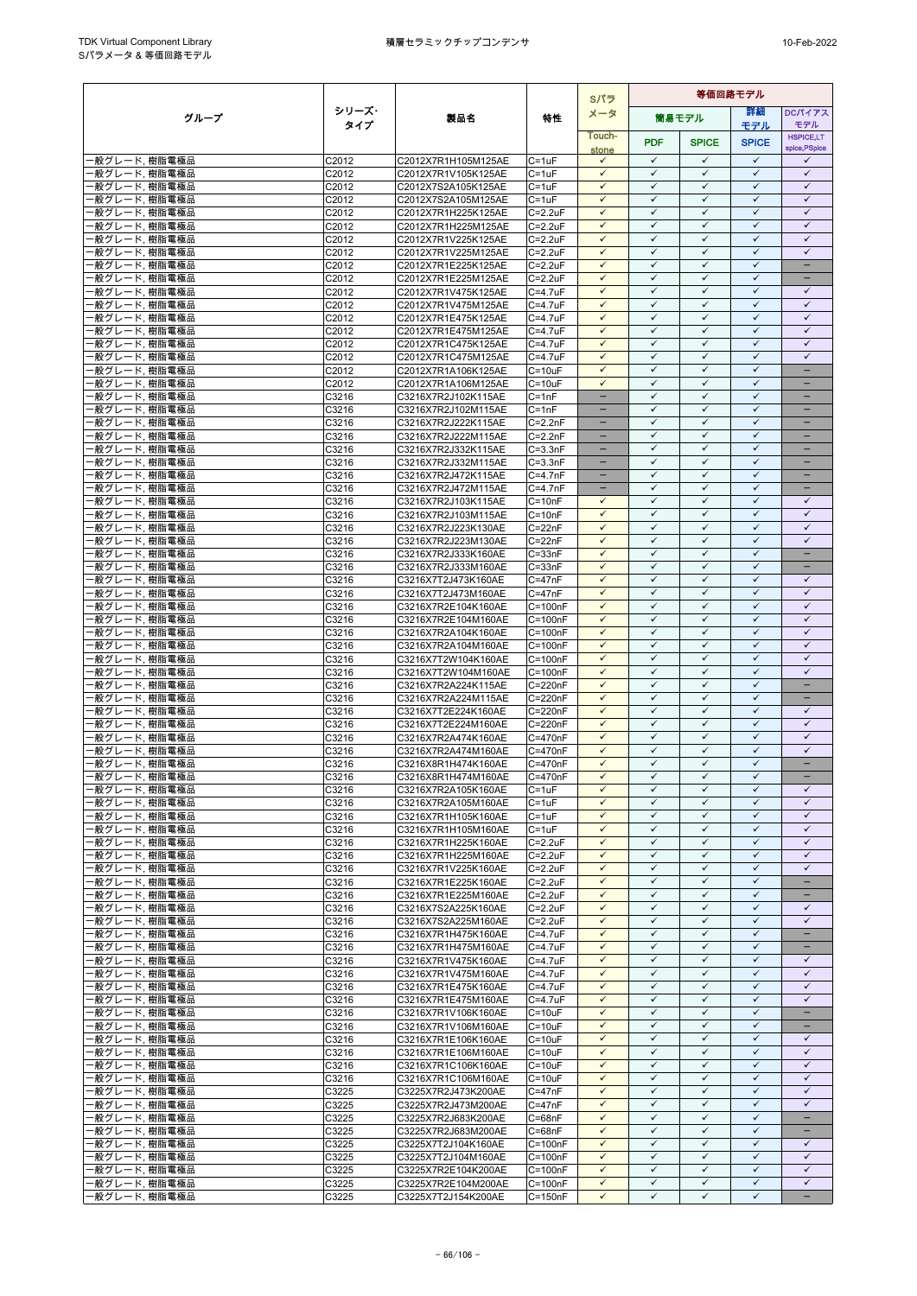|                                |                |                                            |                                | Sパラ                          | 等価回路モデル                      |                              |                              |                                   |
|--------------------------------|----------------|--------------------------------------------|--------------------------------|------------------------------|------------------------------|------------------------------|------------------------------|-----------------------------------|
| グループ                           | シリーズ・          | 製品名                                        | 特性                             | メータ                          |                              | 筒易モデル                        | 等細                           | <b>DCパイアス</b>                     |
|                                | タイプ            |                                            |                                | Touch-                       |                              |                              | モデル                          | モデル                               |
|                                |                |                                            |                                | stone                        | <b>PDF</b>                   | <b>SPICE</b>                 | <b>SPICE</b>                 | <b>HSPICE,LT</b><br>spice, PSpice |
| ・般グレード, 樹脂電極品                  | C2012          | C2012X7R1H105M125AE                        | $C = 1uF$                      | $\checkmark$                 | $\checkmark$                 | $\checkmark$                 | $\checkmark$                 | ✓                                 |
| 般グレード, 樹脂電極品                   | C2012          | C2012X7R1V105K125AE                        | $C = 1uF$                      | $\checkmark$                 | $\checkmark$                 | $\checkmark$                 | $\checkmark$                 | $\checkmark$                      |
| ・般グレード, 樹脂電極品                  | C2012          | C2012X7S2A105K125AE                        | $C = 1uF$                      | $\checkmark$                 | $\checkmark$                 | $\checkmark$                 | $\checkmark$                 | $\checkmark$                      |
| ‧般グレード, 樹脂電極品                  | C2012          | C2012X7S2A105M125AE                        | $C = 1uF$                      | $\checkmark$                 | $\checkmark$                 | ✓                            | $\checkmark$                 | $\checkmark$                      |
| ・般グレード、樹脂電極品                   | C2012          | C2012X7R1H225K125AE                        | $C = 2.2uF$                    | $\checkmark$                 | $\checkmark$                 | $\checkmark$                 | $\checkmark$                 | $\checkmark$                      |
| 般グレード, 樹脂電極品                   | C2012          | C2012X7R1H225M125AE                        | $C = 2.2uF$                    | $\checkmark$<br>$\checkmark$ | $\checkmark$<br>$\checkmark$ | $\checkmark$<br>$\checkmark$ | $\checkmark$<br>$\checkmark$ | $\checkmark$<br>$\checkmark$      |
| 般グレード,樹脂電極品                    | C2012          | C2012X7R1V225K125AE<br>C2012X7R1V225M125AE | $C = 2.2uF$                    | $\checkmark$                 | $\checkmark$                 | $\checkmark$                 | $\checkmark$                 | $\checkmark$                      |
| 般グレード, 樹脂電極品<br>般グレード,樹脂電極品    | C2012<br>C2012 | C2012X7R1E225K125AE                        | $C = 2.2uF$<br>$C = 2.2uF$     | $\checkmark$                 | $\checkmark$                 | $\checkmark$                 | $\checkmark$                 | ÷                                 |
| ·般グレード, 樹脂電極品                  | C2012          | C2012X7R1E225M125AE                        | $C = 2.2uF$                    | $\checkmark$                 | $\checkmark$                 | $\checkmark$                 | $\checkmark$                 | -                                 |
| ・般グレード, 樹脂電極品                  | C2012          | C2012X7R1V475K125AE                        | C=4.7uF                        | $\checkmark$                 | $\checkmark$                 | $\checkmark$                 | $\checkmark$                 | ✓                                 |
| 般グレード,樹脂電極品                    | C2012          | C2012X7R1V475M125AE                        | $C = 4.7$ u $F$                | $\checkmark$                 | $\checkmark$                 | $\checkmark$                 | $\checkmark$                 | $\checkmark$                      |
| 般グレード, 樹脂電極品                   | C2012          | C2012X7R1E475K125AE                        | C=4.7uF                        | $\checkmark$                 | ✓                            | ✓                            | $\checkmark$                 | $\checkmark$                      |
| 般グレード, 樹脂電極品                   | C2012          | C2012X7R1E475M125AE                        | $C = 4.7$ u $F$                | $\checkmark$                 | $\checkmark$                 | $\checkmark$                 | $\checkmark$                 | $\checkmark$                      |
| 般グレード, 樹脂電極品                   | C2012          | C2012X7R1C475K125AE                        | C=4.7uF                        | $\checkmark$                 | $\checkmark$                 | $\checkmark$                 | $\checkmark$                 | $\checkmark$                      |
| ・般グレード, 樹脂電極品                  | C2012          | C2012X7R1C475M125AE                        | $C = 4.7$ u $F$                | $\checkmark$                 | $\checkmark$                 | $\checkmark$                 | $\checkmark$                 | $\checkmark$                      |
| 般グレード, 樹脂電極品                   | C2012          | C2012X7R1A106K125AE                        | $C = 10uF$                     | $\checkmark$                 | $\checkmark$                 | $\checkmark$                 | $\checkmark$                 | $\equiv$                          |
| 般グレード, 樹脂電極品                   | C2012          | C2012X7R1A106M125AE                        | $C = 10uF$                     | $\checkmark$                 | $\checkmark$                 | ✓                            | $\checkmark$                 |                                   |
| 般グレード, 樹脂電極品                   | C3216          | C3216X7R2J102K115AE                        | $C = 1nF$                      | $\overline{\phantom{a}}$     | $\checkmark$                 | $\checkmark$                 | $\checkmark$                 |                                   |
| 般グレード, 樹脂電極品                   | C3216<br>C3216 | C3216X7R2J102M115AE                        | C=1nF<br>$C = 2.2nF$           |                              | $\checkmark$<br>$\checkmark$ | $\checkmark$<br>$\checkmark$ | $\checkmark$<br>$\checkmark$ |                                   |
| 般グレード, 樹脂電極品<br>・般グレード, 樹脂電極品  | C3216          | C3216X7R2J222K115AE<br>C3216X7R2J222M115AE | $C = 2.2nF$                    | $\overline{\phantom{0}}$     | $\checkmark$                 | $\checkmark$                 | $\checkmark$                 | $\overline{\phantom{0}}$          |
| 般グレード, 樹脂電極品                   | C3216          | C3216X7R2J332K115AE                        | $C = 3.3nF$                    |                              | $\checkmark$                 | ✓                            | $\checkmark$                 | $\overline{\phantom{0}}$          |
| ・般グレード、樹脂電極品                   | C3216          | C3216X7R2J332M115AE                        | $C = 3.3nF$                    | $\qquad \qquad -$            | $\checkmark$                 | $\checkmark$                 | $\checkmark$                 | -                                 |
| ·般グレード, 樹脂電極品                  | C3216          | C3216X7R2J472K115AE                        | $C = 4.7nF$                    |                              | $\checkmark$                 | $\checkmark$                 | $\checkmark$                 |                                   |
| ·般グレード, 樹脂電極品                  | C3216          | C3216X7R2J472M115AE                        | $C = 4.7nF$                    | н.                           | $\checkmark$                 | $\checkmark$                 | $\checkmark$                 | н.                                |
| 般グレード, 樹脂電極品                   | C3216          | C3216X7R2J103K115AE                        | $C = 10nF$                     | ✓                            | $\checkmark$                 | $\checkmark$                 | $\checkmark$                 | ✓                                 |
| 般グレード, 樹脂電極品                   | C3216          | C3216X7R2J103M115AE                        | $C = 10nF$                     | $\checkmark$                 | $\checkmark$                 | $\checkmark$                 | $\checkmark$                 | $\checkmark$                      |
| ·般グレード, 樹脂電極品                  | C3216          | C3216X7R2J223K130AE                        | $C = 22nF$                     | $\checkmark$                 | $\checkmark$                 | $\checkmark$                 | $\checkmark$                 | $\checkmark$                      |
| 般グレード, 樹脂電極品                   | C3216          | C3216X7R2J223M130AE                        | $C = 22nF$                     | $\checkmark$                 | $\checkmark$                 | $\checkmark$                 | $\checkmark$                 | $\checkmark$                      |
| ・般グレード、樹脂電極品                   | C3216          | C3216X7R2J333K160AE                        | $C = 33nF$                     | $\checkmark$                 | $\checkmark$                 | $\checkmark$                 | $\checkmark$                 | -                                 |
| ·般グレード, 樹脂電極品                  | C3216          | C3216X7R2J333M160AE                        | $C = 33nF$                     | $\checkmark$                 | $\checkmark$                 | $\checkmark$                 | $\checkmark$<br>$\checkmark$ |                                   |
| 般グレード, 樹脂電極品                   | C3216          | C3216X7T2J473K160AE                        | $C = 47nF$<br>$C = 47nF$       | $\checkmark$<br>$\checkmark$ | $\checkmark$<br>$\checkmark$ | $\checkmark$<br>$\checkmark$ | $\checkmark$                 | $\checkmark$<br>$\checkmark$      |
| 般グレード, 樹脂電極品<br>般グレード, 樹脂電極品   | C3216<br>C3216 | C3216X7T2J473M160AE<br>C3216X7R2E104K160AE | $C = 100nF$                    | $\checkmark$                 | $\checkmark$                 | $\checkmark$                 | $\checkmark$                 | $\checkmark$                      |
| ·般グレード, 樹脂電極品                  | C3216          | C3216X7R2E104M160AE                        | $C = 100nF$                    | $\checkmark$                 | $\checkmark$                 | $\checkmark$                 | $\checkmark$                 | $\checkmark$                      |
| 般グレード, 樹脂電極品                   | C3216          | C3216X7R2A104K160AE                        | $C = 100nF$                    | $\checkmark$                 | $\checkmark$                 | ✓                            | ✓                            | $\checkmark$                      |
| ・般グレード, 樹脂電極品                  | C3216          | C3216X7R2A104M160AE                        | $C = 100nF$                    | $\checkmark$                 | $\checkmark$                 | $\checkmark$                 | $\checkmark$                 | $\checkmark$                      |
| ‧般グレード, 樹脂電極品                  | C3216          | C3216X7T2W104K160AE                        | $C = 100nF$                    | $\checkmark$                 | $\checkmark$                 | $\checkmark$                 | $\checkmark$                 | $\checkmark$                      |
| 般グレード, 樹脂電極品                   | C3216          | C3216X7T2W104M160AE                        | $C = 100nF$                    | $\checkmark$                 | $\checkmark$                 | $\checkmark$                 | $\checkmark$                 | $\checkmark$                      |
| ・般グレード, 樹脂電極品                  | C3216          | C3216X7R2A224K115AE                        | $C = 220nF$                    | $\checkmark$                 | $\checkmark$                 | $\checkmark$                 | $\checkmark$                 | $\equiv$                          |
| 般グレード, 樹脂電極品                   | C3216          | C3216X7R2A224M115AE                        | C=220nF                        | $\checkmark$                 | $\checkmark$                 | $\checkmark$                 | $\checkmark$                 | $\qquad \qquad -$                 |
| ・般グレード, 樹脂電極品                  | C3216          | C3216X7T2E224K160AE                        | C=220nF                        | $\checkmark$                 | $\checkmark$                 | $\checkmark$                 | $\checkmark$                 | $\checkmark$                      |
| ・般グレード, 樹脂電極品                  | C3216          | C3216X7T2E224M160AE                        | $C = 220nF$                    | $\checkmark$                 | $\checkmark$                 | $\checkmark$                 | $\checkmark$                 | $\checkmark$                      |
| ・般グレード, 樹脂電極品                  | C3216          | C3216X7R2A474K160AE                        | C=470nF                        | $\checkmark$<br>$\checkmark$ | $\checkmark$<br>$\checkmark$ | $\checkmark$<br>✓            | $\checkmark$<br>$\checkmark$ | $\checkmark$<br>$\checkmark$      |
| 般グレード, 樹脂電極品<br>般グレード, 樹脂電極品   | C3216<br>C3216 | C3216X7R2A474M160AE<br>C3216X8R1H474K160AE | C=470nF<br>$C = 470nF$         | $\checkmark$                 | $\checkmark$                 | $\checkmark$                 | $\checkmark$                 | -                                 |
| 般グレード, 樹脂電極品                   | C3216          | C3216X8R1H474M160AE                        | C=470nF                        | $\checkmark$                 | $\checkmark$                 | $\checkmark$                 | $\checkmark$                 |                                   |
| ・般グレード, 樹脂電極品                  | C3216          | C3216X7R2A105K160AE                        | $C = 1uF$                      | $\checkmark$                 | $\checkmark$                 | ✓                            | $\checkmark$                 | ✓                                 |
| ‐般グレード, 樹脂電極品                  | C3216          | C3216X7R2A105M160AE                        | $C = 1uF$                      | $\checkmark$                 | $\checkmark$                 | $\checkmark$                 | $\checkmark$                 | $\checkmark$                      |
| ‐般グレード, 樹脂電極品                  | C3216          | C3216X7R1H105K160AE                        | $C = 1uF$                      | $\checkmark$                 | $\checkmark$                 | $\checkmark$                 | $\checkmark$                 | $\checkmark$                      |
| ・般グレード, 樹脂電極品                  | C3216          | C3216X7R1H105M160AE                        | $C = 1uF$                      | $\checkmark$                 | $\checkmark$                 | $\checkmark$                 | $\checkmark$                 | $\checkmark$                      |
| -般グレード, 樹脂電極品                  | C3216          | C3216X7R1H225K160AE                        | $C = 2.2uF$                    | $\checkmark$                 | $\checkmark$                 | $\checkmark$                 | $\checkmark$                 | $\checkmark$                      |
| ・般グレード, 樹脂電極品                  | C3216          | C3216X7R1H225M160AE                        | $C = 2.2uF$                    | $\checkmark$                 | $\checkmark$                 | ✓                            | $\checkmark$                 | $\checkmark$                      |
| ・般グレード, 樹脂電極品                  | C3216          | C3216X7R1V225K160AE                        | $C = 2.2uF$                    | $\checkmark$                 | $\checkmark$                 | $\checkmark$                 | $\checkmark$                 | $\checkmark$                      |
| ・般グレード, 樹脂電極品                  | C3216          | C3216X7R1E225K160AE                        | $C = 2.2uF$                    | $\checkmark$                 | $\checkmark$                 | ✓                            | $\checkmark$                 |                                   |
| ・般グレード, 樹脂電極品                  | C3216          | C3216X7R1E225M160AE                        | $C = 2.2uF$                    | $\checkmark$                 | $\checkmark$                 | $\checkmark$                 | $\checkmark$                 | -                                 |
| ・般グレード, 樹脂電極品                  | C3216          | C3216X7S2A225K160AE                        | $C = 2.2uF$                    | $\checkmark$<br>$\checkmark$ | $\checkmark$<br>$\checkmark$ | $\checkmark$<br>$\checkmark$ | $\checkmark$<br>$\checkmark$ | $\checkmark$<br>$\checkmark$      |
| ・般グレード, 樹脂電極品<br>・般グレード, 樹脂電極品 | C3216<br>C3216 | C3216X7S2A225M160AE<br>C3216X7R1H475K160AE | $C = 2.2uF$<br>$C = 4.7$ u $F$ | $\checkmark$                 | $\checkmark$                 | $\checkmark$                 | $\checkmark$                 | $\qquad \qquad -$                 |
| ・般グレード, 樹脂電極品                  | C3216          | C3216X7R1H475M160AE                        | $C = 4.7uF$                    | $\checkmark$                 | $\checkmark$                 | ✓                            | $\checkmark$                 | -                                 |
| ・般グレード, 樹脂電極品                  | C3216          | C3216X7R1V475K160AE                        | $C = 4.7$ u $F$                | $\checkmark$                 | $\checkmark$                 | $\checkmark$                 | $\checkmark$                 | $\checkmark$                      |
| ・般グレード, 樹脂電極品                  | C3216          | C3216X7R1V475M160AE                        | $C = 4.7$ u $F$                | $\checkmark$                 | $\checkmark$                 | $\checkmark$                 | $\checkmark$                 | $\checkmark$                      |
| ・般グレード, 樹脂電極品                  | C3216          | C3216X7R1E475K160AE                        | C=4.7uF                        | $\checkmark$                 | $\checkmark$                 | $\checkmark$                 | $\checkmark$                 | $\checkmark$                      |
| ·般グレード, 樹脂電極品                  | C3216          | C3216X7R1E475M160AE                        | C=4.7uF                        | $\checkmark$                 | $\checkmark$                 | $\checkmark$                 | $\checkmark$                 | $\checkmark$                      |
| ・般グレード, 樹脂電極品                  | C3216          | C3216X7R1V106K160AE                        | $C = 10uF$                     | $\checkmark$                 | $\checkmark$                 | $\checkmark$                 | $\checkmark$                 | -                                 |
| ・般グレード, 樹脂電極品                  | C3216          | C3216X7R1V106M160AE                        | $C = 10uF$                     | $\checkmark$                 | $\checkmark$                 | $\checkmark$                 | $\checkmark$                 | $\qquad \qquad -$                 |
| ・般グレード, 樹脂電極品                  | C3216          | C3216X7R1E106K160AE                        | $C = 10uF$                     | $\checkmark$                 | $\checkmark$                 | ✓                            | ✓                            | ✓                                 |
| ・般グレード, 樹脂電極品                  | C3216          | C3216X7R1E106M160AE                        | $C = 10uF$                     | $\checkmark$                 | $\checkmark$                 | $\checkmark$                 | $\checkmark$                 | $\checkmark$                      |
| ·般グレード, 樹脂電極品                  | C3216          | C3216X7R1C106K160AE                        | $C = 10uF$                     | $\checkmark$                 | $\checkmark$                 | $\checkmark$                 | $\checkmark$                 | $\checkmark$                      |
| 般グレード, 樹脂電極品                   | C3216          | C3216X7R1C106M160AE                        | $C = 10uF$                     | $\checkmark$<br>$\checkmark$ | $\checkmark$<br>$\checkmark$ | $\checkmark$<br>$\checkmark$ | ✓<br>$\checkmark$            | $\checkmark$<br>$\checkmark$      |
| ‐般グレード, 樹脂電極品<br>·般グレード, 樹脂電極品 | C3225<br>C3225 | C3225X7R2J473K200AE<br>C3225X7R2J473M200AE | $C = 47nF$<br>$C = 47nF$       | $\checkmark$                 | $\checkmark$                 | ✓                            | $\checkmark$                 | $\checkmark$                      |
| ・般グレード, 樹脂電極品                  | C3225          | C3225X7R2J683K200AE                        | $C = 68nF$                     | $\checkmark$                 | $\checkmark$                 | $\checkmark$                 | $\checkmark$                 | $-$                               |
| ・般グレード, 樹脂電極品                  | C3225          | C3225X7R2J683M200AE                        | $C = 68nF$                     | $\checkmark$                 | $\checkmark$                 | $\checkmark$                 | $\checkmark$                 |                                   |
| ・般グレード, 樹脂電極品                  | C3225          | C3225X7T2J104K160AE                        | $C = 100nF$                    | $\checkmark$                 | $\checkmark$                 | $\checkmark$                 | $\checkmark$                 | $\checkmark$                      |
| 般グレード, 樹脂電極品                   | C3225          | C3225X7T2J104M160AE                        | $C = 100nF$                    | $\checkmark$                 | $\checkmark$                 | $\checkmark$                 | $\checkmark$                 | $\checkmark$                      |
| ・般グレード, 樹脂電極品                  | C3225          | C3225X7R2E104K200AE                        | $C = 100nF$                    | $\checkmark$                 | $\checkmark$                 | $\checkmark$                 | $\checkmark$                 | $\checkmark$                      |
| ・般グレード, 樹脂電極品                  | C3225          | C3225X7R2E104M200AE                        | $C = 100nF$                    | $\checkmark$                 | $\checkmark$                 | $\checkmark$                 | $\checkmark$                 | $\checkmark$                      |
| ・般グレード, 樹脂電極品                  | C3225          | C3225X7T2J154K200AE                        | $C = 150nF$                    | $\checkmark$                 | $\checkmark$                 | ✓                            | ✓                            | $\qquad \qquad -$                 |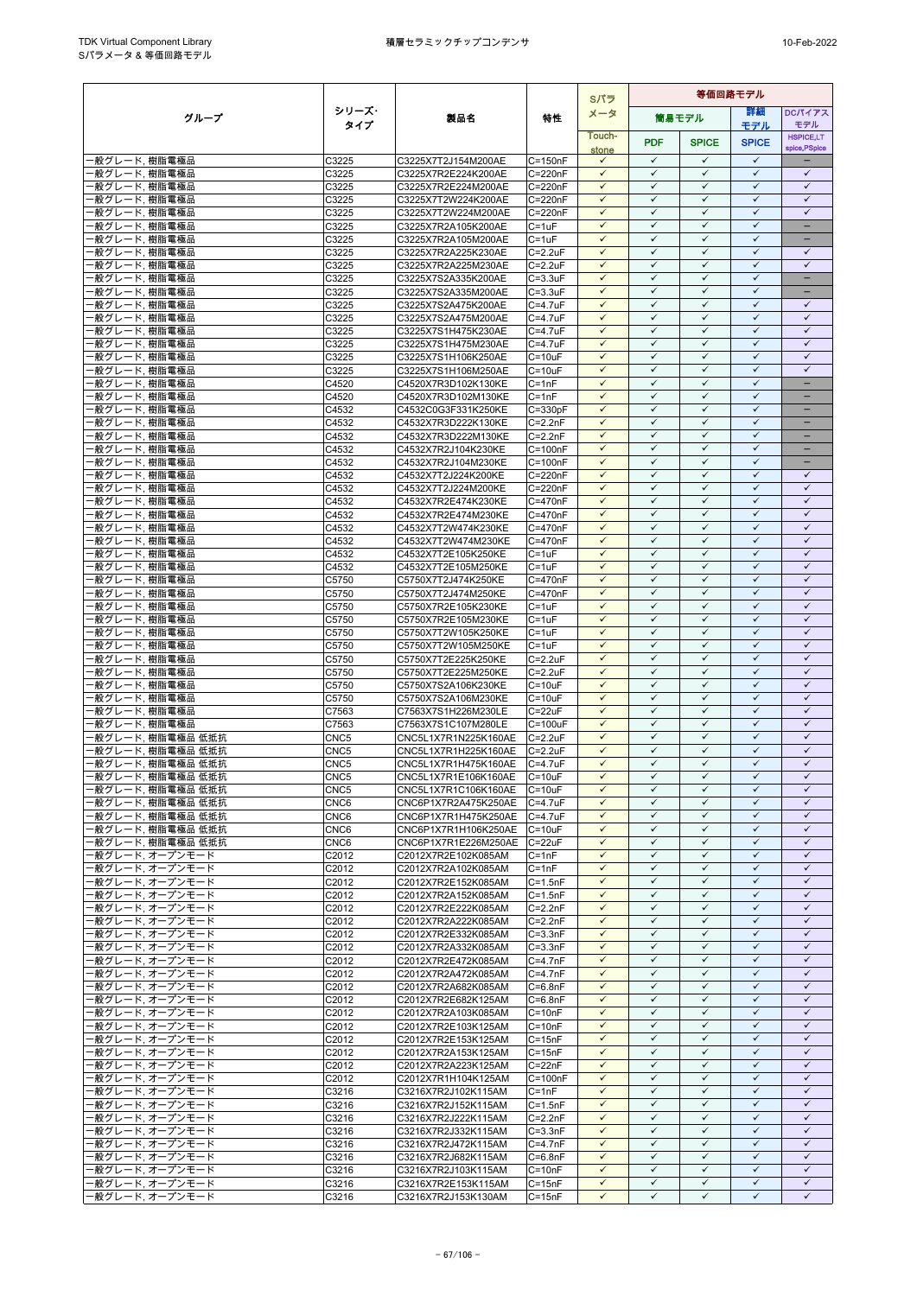|                                        |                                      |                                              |                            | Sパラ                          | 等価回路モデル                      |                              |                              |                                   |
|----------------------------------------|--------------------------------------|----------------------------------------------|----------------------------|------------------------------|------------------------------|------------------------------|------------------------------|-----------------------------------|
| グループ                                   | シリーズ・                                | 製品名                                          | 特性                         | メータ                          |                              | 筒易モデル                        | 等細                           | <b>DCパイアス</b>                     |
|                                        | タイプ                                  |                                              |                            | Touch-                       |                              |                              | モデル                          | モデル                               |
|                                        |                                      |                                              |                            | stone                        | <b>PDF</b>                   | <b>SPICE</b>                 | <b>SPICE</b>                 | <b>HSPICE,LT</b><br>spice, PSpice |
| ・般グレード, 樹脂電極品                          | C3225                                | C3225X7T2J154M200AE                          | $C = 150nF$                | $\checkmark$                 | $\checkmark$                 | $\checkmark$                 | $\checkmark$                 |                                   |
| 般グレード, 樹脂電極品                           | C3225                                | C3225X7R2E224K200AE                          | $C = 220nF$                | $\checkmark$                 | $\checkmark$                 | $\checkmark$                 | $\checkmark$                 | $\checkmark$                      |
| ・般グレード, 樹脂電極品                          | C3225                                | C3225X7R2E224M200AE                          | $C = 220nF$                | $\checkmark$                 | $\checkmark$                 | $\checkmark$                 | $\checkmark$                 | $\checkmark$                      |
| ‧般グレード, 樹脂電極品                          | C3225                                | C3225X7T2W224K200AE                          | C=220nF                    | $\checkmark$                 | $\checkmark$                 | ✓                            | $\checkmark$                 | $\checkmark$                      |
| ・般グレード、樹脂電極品                           | C3225                                | C3225X7T2W224M200AE                          | $C = 220nF$                | $\checkmark$                 | $\checkmark$                 | $\checkmark$                 | $\checkmark$                 | $\checkmark$                      |
| 般グレード, 樹脂電極品                           | C3225                                | C3225X7R2A105K200AE                          | $C = 1uF$                  | $\checkmark$<br>$\checkmark$ | $\checkmark$<br>$\checkmark$ | $\checkmark$<br>$\checkmark$ | $\checkmark$<br>$\checkmark$ |                                   |
| ·般グレード, 樹脂電極品<br>般グレード, 樹脂電極品          | C3225                                | C3225X7R2A105M200AE<br>C3225X7R2A225K230AE   | C=1uF                      | $\checkmark$                 | $\checkmark$                 | $\checkmark$                 | $\checkmark$                 | -<br>$\checkmark$                 |
| 般グレード,樹脂電極品                            | C3225<br>C3225                       | C3225X7R2A225M230AE                          | $C = 2.2uF$<br>$C = 2.2uF$ | $\checkmark$                 | $\checkmark$                 | $\checkmark$                 | $\checkmark$                 | $\checkmark$                      |
| 般グレード,樹脂電極品                            | C3225                                | C3225X7S2A335K200AE                          | $C = 3.3uF$                | $\checkmark$                 | $\checkmark$                 | $\checkmark$                 | $\checkmark$                 | $-$                               |
| ・般グレード, 樹脂電極品                          | C3225                                | C3225X7S2A335M200AE                          | $C = 3.3uF$                | $\checkmark$                 | $\checkmark$                 | $\checkmark$                 | $\checkmark$                 | $\qquad \qquad -$                 |
| 般グレード,樹脂電極品                            | C3225                                | C3225X7S2A475K200AE                          | C=4.7uF                    | $\checkmark$                 | $\checkmark$                 | $\checkmark$                 | $\checkmark$                 | $\checkmark$                      |
| 般グレード, 樹脂電極品                           | C3225                                | C3225X7S2A475M200AE                          | C=4.7uF                    | $\checkmark$                 | ✓                            | ✓                            | $\checkmark$                 | $\checkmark$                      |
| 般グレード, 樹脂電極品                           | C3225                                | C3225X7S1H475K230AE                          | $C = 4.7$ u $F$            | $\checkmark$                 | $\checkmark$                 | $\checkmark$                 | $\checkmark$                 | $\checkmark$                      |
| 般グレード, 樹脂電極品                           | C3225                                | C3225X7S1H475M230AE                          | C=4.7uF                    | $\checkmark$                 | $\checkmark$                 | $\checkmark$                 | $\checkmark$                 | $\checkmark$                      |
| ・般グレード, 樹脂電極品                          | C3225                                | C3225X7S1H106K250AE                          | $C = 10uF$                 | $\checkmark$                 | $\checkmark$                 | $\checkmark$                 | $\checkmark$                 | $\checkmark$                      |
| 般グレード, 樹脂電極品                           | C3225                                | C3225X7S1H106M250AE                          | $C = 10uF$                 | $\checkmark$                 | $\checkmark$                 | $\checkmark$                 | $\checkmark$                 | $\checkmark$                      |
| 般グレード, 樹脂電極品                           | C4520                                | C4520X7R3D102K130KE                          | $C = 1nF$                  | $\checkmark$                 | $\checkmark$                 | ✓                            | $\checkmark$                 |                                   |
| 般グレード, 樹脂電極品                           | C4520                                | C4520X7R3D102M130KE                          | $C = 1nF$                  | $\checkmark$                 | $\checkmark$                 | $\checkmark$                 | $\checkmark$<br>$\checkmark$ | $\overline{\phantom{0}}$          |
| 般グレード, 樹脂電極品                           | C4532<br>C4532                       | C4532C0G3F331K250KE                          | $C = 330pF$<br>$C = 2.2nF$ | $\checkmark$<br>$\checkmark$ | $\checkmark$<br>$\checkmark$ | $\checkmark$<br>$\checkmark$ | $\checkmark$                 |                                   |
| 般グレード, 樹脂電極品<br>・般グレード, 樹脂電極品          | C4532                                | C4532X7R3D222K130KE<br>C4532X7R3D222M130KE   | $C=2.2nF$                  | $\checkmark$                 | $\checkmark$                 | $\checkmark$                 | $\checkmark$                 | $\overline{\phantom{0}}$          |
| 般グレード, 樹脂電極品                           | C4532                                | C4532X7R2J104K230KE                          | $C = 100nF$                | $\checkmark$                 | $\checkmark$                 | ✓                            | $\checkmark$                 | -                                 |
| 般グレード. 樹脂電極品                           | C4532                                | C4532X7R2J104M230KE                          | $C = 100nF$                | $\checkmark$                 | $\checkmark$                 | $\checkmark$                 | $\checkmark$                 | $\qquad \qquad -$                 |
| ·般グレード, 樹脂電極品                          | C4532                                | C4532X7T2J224K200KE                          | $C = 220nF$                | $\checkmark$                 | $\checkmark$                 | $\checkmark$                 | $\checkmark$                 | $\checkmark$                      |
| 般グレード,樹脂電極品                            | C4532                                | C4532X7T2J224M200KE                          | C=220nF                    | $\checkmark$                 | $\checkmark$                 | $\checkmark$                 | $\checkmark$                 | $\checkmark$                      |
| 般グレード, 樹脂電極品                           | C4532                                | C4532X7R2E474K230KE                          | C=470nF                    | $\checkmark$                 | $\checkmark$                 | $\checkmark$                 | $\checkmark$                 | $\checkmark$                      |
| 般グレード, 樹脂電極品                           | C4532                                | C4532X7R2E474M230KE                          | $C = 470nF$                | $\checkmark$                 | $\checkmark$                 | $\checkmark$                 | $\checkmark$                 | $\checkmark$                      |
| ·般グレード, 樹脂電極品                          | C4532                                | C4532X7T2W474K230KE                          | $C = 470nF$                | $\checkmark$                 | $\checkmark$                 | $\checkmark$                 | $\checkmark$                 | $\checkmark$                      |
| 般グレード, 樹脂電極品                           | C4532                                | C4532X7T2W474M230KE                          | C=470nF                    | $\checkmark$                 | $\checkmark$                 | $\checkmark$                 | $\checkmark$                 | $\checkmark$                      |
| ・般グレード、樹脂電極品                           | C4532                                | C4532X7T2E105K250KE                          | $C = 1uF$                  | $\checkmark$                 | $\checkmark$                 | $\checkmark$                 | $\checkmark$                 | $\checkmark$                      |
| ·般グレード, 樹脂電極品                          | C4532                                | C4532X7T2E105M250KE                          | $C = 1uF$                  | $\checkmark$                 | $\checkmark$                 | $\checkmark$                 | $\checkmark$<br>$\checkmark$ | $\checkmark$                      |
| 般グレード, 樹脂電極品                           | C5750                                | C5750X7T2J474K250KE                          | C=470nF<br>C=470nF         | $\checkmark$<br>$\checkmark$ | $\checkmark$<br>$\checkmark$ | $\checkmark$<br>$\checkmark$ | $\checkmark$                 | $\checkmark$<br>$\checkmark$      |
| 般グレード, 樹脂電極品<br>般グレード, 樹脂電極品           | C5750<br>C5750                       | C5750X7T2J474M250KE<br>C5750X7R2E105K230KE   | $C = 1uF$                  | $\checkmark$                 | $\checkmark$                 | $\checkmark$                 | $\checkmark$                 | $\checkmark$                      |
| ·般グレード, 樹脂電極品                          | C5750                                | C5750X7R2E105M230KE                          | $C = 1uF$                  | $\checkmark$                 | $\checkmark$                 | $\checkmark$                 | $\checkmark$                 | $\checkmark$                      |
| 般グレード, 樹脂電極品                           | C5750                                | C5750X7T2W105K250KE                          | $C = 1uF$                  | $\checkmark$                 | $\checkmark$                 | ✓                            | ✓                            | ✓                                 |
| ・般グレード, 樹脂電極品                          | C5750                                | C5750X7T2W105M250KE                          | $C = 1uF$                  | $\checkmark$                 | $\checkmark$                 | $\checkmark$                 | $\checkmark$                 | $\checkmark$                      |
| ·般グレード, 樹脂電極品                          | C5750                                | C5750X7T2E225K250KE                          | $C = 2.2uF$                | $\checkmark$                 | $\checkmark$                 | $\checkmark$                 | $\checkmark$                 | $\checkmark$                      |
| 般グレード, 樹脂電極品                           | C5750                                | C5750X7T2E225M250KE                          | $C = 2.2uF$                | $\checkmark$                 | $\checkmark$                 | $\checkmark$                 | $\checkmark$                 | $\checkmark$                      |
| ・般グレード, 樹脂電極品                          | C5750                                | C5750X7S2A106K230KE                          | $C = 10uF$                 | $\checkmark$                 | $\checkmark$                 | $\checkmark$                 | $\checkmark$                 | $\checkmark$                      |
| ・般グレード, 樹脂電極品                          | C5750                                | C5750X7S2A106M230KE                          | $C = 10uF$                 | $\checkmark$                 | $\checkmark$                 | $\checkmark$                 | $\checkmark$                 | $\checkmark$                      |
| ・般グレード, 樹脂電極品                          | C7563                                | C7563X7S1H226M230LE                          | $C = 22uF$                 | $\checkmark$                 | $\checkmark$                 | $\checkmark$                 | $\checkmark$                 | $\checkmark$                      |
| ・般グレード, 樹脂電極品                          | C7563                                | C7563X7S1C107M280LE                          | $C = 100uF$                | $\checkmark$                 | $\checkmark$                 | $\checkmark$                 | $\checkmark$                 | $\checkmark$                      |
| 般グレード, 樹脂電極品 低抵抗                       | CNC <sub>5</sub>                     | CNC5L1X7R1N225K160AE                         | $C = 2.2uF$                | $\checkmark$<br>✓            | $\checkmark$<br>$\checkmark$ | $\checkmark$<br>$\checkmark$ | $\checkmark$<br>$\checkmark$ | $\checkmark$<br>$\checkmark$      |
| ·般グレード, 樹脂電極品 低抵抗<br>·般グレード, 樹脂電極品 低抵抗 | CNC <sub>5</sub><br>CNC <sub>5</sub> | CNC5L1X7R1H225K160AE<br>CNC5L1X7R1H475K160AE | $C = 2.2uF$<br>$C = 4.7uF$ | $\checkmark$                 | $\checkmark$                 | $\checkmark$                 | $\checkmark$                 | $\checkmark$                      |
| 般グレード, 樹脂電極品 低抵抗                       | CNC <sub>5</sub>                     | CNC5L1X7R1E106K160AE                         | $C = 10uF$                 | $\checkmark$                 | $\checkmark$                 | $\checkmark$                 | $\checkmark$                 | $\checkmark$                      |
| ·般グレード, 樹脂電極品 低抵抗                      | CNC <sub>5</sub>                     | CNC5L1X7R1C106K160AE                         | $C = 10uF$                 | $\checkmark$                 | $\checkmark$                 | ✓                            | $\checkmark$                 | ✓                                 |
| ・般グレード、樹脂電極品 低抵抗                       | CNC6                                 | CNC6P1X7R2A475K250AE                         | $C = 4.7$ uF               | $\checkmark$                 | $\checkmark$                 | $\checkmark$                 | $\checkmark$                 | $\checkmark$                      |
| ・般グレード、樹脂電極品 低抵抗                       | CNC <sub>6</sub>                     | CNC6P1X7R1H475K250AE C=4.7uF                 |                            | $\checkmark$                 | $\checkmark$                 | $\checkmark$                 | $\checkmark$                 | $\checkmark$                      |
| ·般グレード, 樹脂電極品 低抵抗                      | CNC6                                 | CNC6P1X7R1H106K250AE                         | $C = 10uF$                 | $\checkmark$                 | $\checkmark$                 | $\checkmark$                 | $\checkmark$                 | $\checkmark$                      |
| −般グレード, 樹脂電極品 低抵抗                      | CNC6                                 | CNC6P1X7R1E226M250AE                         | $C = 22uF$                 | $\checkmark$                 | $\checkmark$                 | $\checkmark$                 | $\checkmark$                 | $\checkmark$                      |
| ・般グレード, オープンモード                        | C2012                                | C2012X7R2E102K085AM                          | $C = 1nF$                  | $\checkmark$                 | $\checkmark$                 | ✓                            | $\checkmark$                 | $\checkmark$                      |
| ・般グレード. オープンモード                        | C2012                                | C2012X7R2A102K085AM                          | $C = 1nF$                  | $\checkmark$                 | $\checkmark$                 | $\checkmark$                 | $\checkmark$                 | $\checkmark$                      |
| ・般グレード, オープンモード                        | C2012                                | C2012X7R2E152K085AM                          | $C = 1.5nF$                | $\checkmark$                 | ✓                            | ✓                            | ✓                            | ✓                                 |
| ・般グレード、オープンモード                         | C2012                                | C2012X7R2A152K085AM                          | $C = 1.5nF$                | $\checkmark$                 | $\checkmark$                 | $\checkmark$                 | $\checkmark$                 | $\checkmark$                      |
| ・般グレード, オープンモード                        | C2012                                | C2012X7R2E222K085AM                          | $C = 2.2nF$                | $\checkmark$<br>$\checkmark$ | $\checkmark$<br>$\checkmark$ | $\checkmark$<br>$\checkmark$ | $\checkmark$<br>$\checkmark$ | $\checkmark$<br>$\checkmark$      |
| ・般グレード, オープンモード<br>・般グレード、オープンモード      | C2012<br>C2012                       | C2012X7R2A222K085AM<br>C2012X7R2E332K085AM   | $C = 2.2nF$<br>$C = 3.3nF$ | $\checkmark$                 | $\checkmark$                 | $\checkmark$                 | $\checkmark$                 | $\checkmark$                      |
| ・般グレード, オープンモード                        | C2012                                | C2012X7R2A332K085AM                          | $C = 3.3nF$                | $\checkmark$                 | $\checkmark$                 | ✓                            | $\checkmark$                 | $\checkmark$                      |
| ・般グレード, オープンモード                        | C2012                                | C2012X7R2E472K085AM                          | $C=4.7nF$                  | $\checkmark$                 | $\checkmark$                 | $\checkmark$                 | $\checkmark$                 | $\checkmark$                      |
| 投グレード,オープンモード                          | C2012                                | C2012X7R2A472K085AM                          | $C = 4.7nF$                | $\checkmark$                 | $\checkmark$                 | $\checkmark$                 | $\checkmark$                 | $\checkmark$                      |
| ・般グレード, オープンモード                        | C2012                                | C2012X7R2A682K085AM                          | $C = 6.8nF$                | $\checkmark$                 | $\checkmark$                 | $\checkmark$                 | $\checkmark$                 | $\checkmark$                      |
| ·般グレード, オープンモード                        | C2012                                | C2012X7R2E682K125AM                          | $C = 6.8nF$                | $\checkmark$                 | $\checkmark$                 | $\checkmark$                 | $\checkmark$                 | $\checkmark$                      |
| -般グレード, オープンモード                        | C2012                                | C2012X7R2A103K085AM                          | $C = 10nF$                 | $\checkmark$                 | $\checkmark$                 | $\checkmark$                 | $\checkmark$                 | $\checkmark$                      |
| ・般グレード, オープンモード                        | C2012                                | C2012X7R2E103K125AM                          | $C = 10nF$                 | $\checkmark$                 | $\checkmark$                 | $\checkmark$                 | $\checkmark$                 | $\checkmark$                      |
| ・般グレード、オープンモード                         | C <sub>2012</sub>                    | C2012X7R2E153K125AM                          | $C = 15nF$                 | $\checkmark$                 | $\checkmark$                 | ✓                            | ✓                            | ✓                                 |
| ・般グレード, オープンモード                        | C2012                                | C2012X7R2A153K125AM                          | $C = 15nF$                 | $\checkmark$                 | $\checkmark$                 | $\checkmark$                 | $\checkmark$                 | $\checkmark$                      |
| ・般グレード, オープンモード                        | C2012                                | C2012X7R2A223K125AM                          | $C = 22nF$                 | $\checkmark$                 | $\checkmark$                 | $\checkmark$                 | $\checkmark$                 | $\checkmark$                      |
| 般グレード,オープンモード                          | C2012                                | C2012X7R1H104K125AM                          | $C = 100nF$                | $\checkmark$<br>$\checkmark$ | $\checkmark$<br>$\checkmark$ | $\checkmark$<br>$\checkmark$ | ✓<br>$\checkmark$            | $\checkmark$<br>$\checkmark$      |
| ・般グレード, オープンモード<br>般グレード, オープンモード      | C3216<br>C3216                       | C3216X7R2J102K115AM<br>C3216X7R2J152K115AM   | $C = 1nF$<br>$C = 1.5nF$   | $\checkmark$                 | $\checkmark$                 | ✓                            | $\checkmark$                 | $\checkmark$                      |
| ・般グレード、オープンモード                         | C3216                                | C3216X7R2J222K115AM                          | $C = 2.2nF$                | $\checkmark$                 | $\checkmark$                 | $\checkmark$                 | $\checkmark$                 | $\checkmark$                      |
| ・般グレード, オープンモード                        | C3216                                | C3216X7R2J332K115AM                          | $C = 3.3nF$                | $\checkmark$                 | $\checkmark$                 | $\checkmark$                 | $\checkmark$                 | $\checkmark$                      |
| ・般グレード, オープンモード                        | C3216                                | C3216X7R2J472K115AM                          | $C=4.7nF$                  | $\checkmark$                 | $\checkmark$                 | $\checkmark$                 | $\checkmark$                 | $\checkmark$                      |
| 般グレード, オープンモード                         | C3216                                | C3216X7R2J682K115AM                          | $C = 6.8nF$                | $\checkmark$                 | $\checkmark$                 | $\checkmark$                 | $\checkmark$                 | $\checkmark$                      |
| ・般グレード, オープンモード                        | C3216                                | C3216X7R2J103K115AM                          | $C = 10nF$                 | $\checkmark$                 | $\checkmark$                 | $\checkmark$                 | $\checkmark$                 | $\checkmark$                      |
| ・般グレード, オープンモード                        | C3216                                | C3216X7R2E153K115AM                          | $C = 15nF$                 | $\checkmark$                 | $\checkmark$                 | $\checkmark$                 | $\checkmark$                 | $\checkmark$                      |
| ・般グレード, オープンモード                        | C3216                                | C3216X7R2J153K130AM                          | $C = 15nF$                 | $\checkmark$                 | $\checkmark$                 | ✓                            | ✓                            | ✓                                 |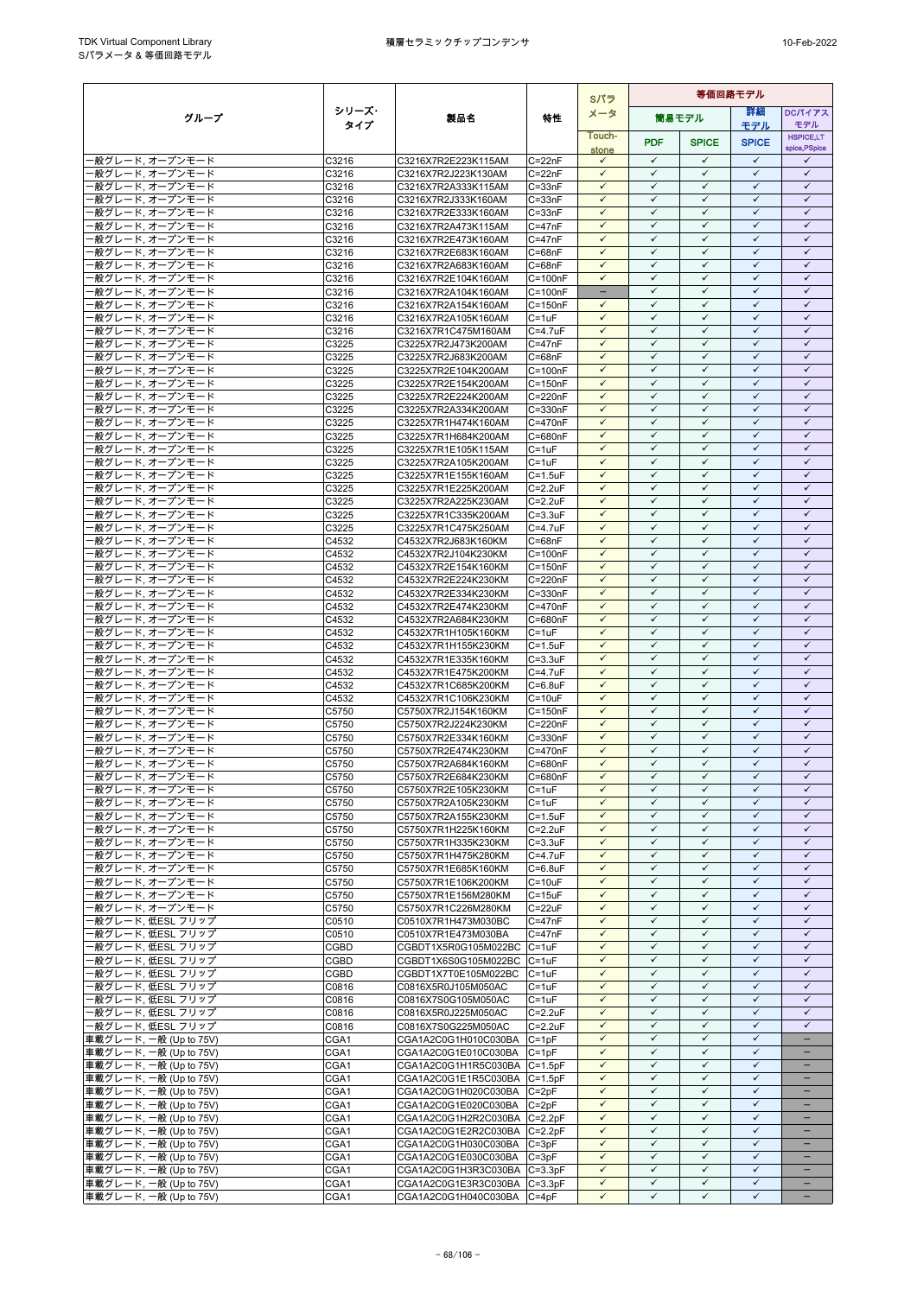|                                                  |                |                                                    |                                    | Sパラ                                      | 等価回路モデル                      |                              |                              |                              |
|--------------------------------------------------|----------------|----------------------------------------------------|------------------------------------|------------------------------------------|------------------------------|------------------------------|------------------------------|------------------------------|
| グループ                                             | シリーズ・          | 製品名                                                | 特性                                 | メータ                                      |                              | 筒易モデル                        | 詳細                           | DCパイアス                       |
|                                                  | タイプ            |                                                    |                                    | Touch-                                   |                              |                              | モデル                          | モデル<br><b>HSPICE,LT</b>      |
|                                                  |                |                                                    |                                    | stone                                    | <b>PDF</b>                   | <b>SPICE</b>                 | <b>SPICE</b>                 | spice, PSpice                |
| 般グレード,オープンモード                                    | C3216          | C3216X7R2E223K115AM                                | $C = 22nF$                         | $\checkmark$                             | $\checkmark$                 | $\checkmark$                 | $\checkmark$                 | $\checkmark$                 |
| 般グレード, オープンモード                                   | C3216          | C3216X7R2J223K130AM                                | $C = 22nF$                         | $\checkmark$                             | $\checkmark$                 | ✓                            | ✓                            | $\checkmark$                 |
| ・般グレード, オープンモード                                  | C3216          | C3216X7R2A333K115AM                                | $C = 33nF$                         | $\checkmark$                             | $\checkmark$                 | $\checkmark$                 | $\checkmark$                 | $\checkmark$                 |
| ·般グレード, オープンモード<br>般グレード,オープンモード                 | C3216<br>C3216 | C3216X7R2J333K160AM<br>C3216X7R2E333K160AM         | $C = 33nF$<br>$C = 33nF$           | $\checkmark$<br>$\checkmark$             | $\checkmark$<br>$\checkmark$ | ✓<br>$\checkmark$            | $\checkmark$<br>$\checkmark$ | $\checkmark$<br>$\checkmark$ |
| 般グレード,オープンモード                                    | C3216          | C3216X7R2A473K115AM                                | $C = 47nF$                         | $\checkmark$                             | $\checkmark$                 | $\checkmark$                 | $\checkmark$                 | $\checkmark$                 |
| 般グレード,オープンモード                                    | C3216          | C3216X7R2E473K160AM                                | $C = 47nF$                         | $\checkmark$                             | $\checkmark$                 | $\checkmark$                 | $\checkmark$                 | $\checkmark$                 |
| 般グレード, オープンモード                                   | C3216          | C3216X7R2E683K160AM                                | $C = 68nF$                         | $\checkmark$                             | $\checkmark$                 | $\checkmark$                 | $\checkmark$                 | $\checkmark$                 |
| 般グレード,オープンモード                                    | C3216          | C3216X7R2A683K160AM                                | $C = 68nF$                         | $\checkmark$                             | $\checkmark$                 | $\checkmark$                 | $\checkmark$                 | $\checkmark$                 |
| ·般グレード, オープンモード                                  | C3216          | C3216X7R2E104K160AM                                | $C = 100nF$                        | $\checkmark$                             | $\checkmark$                 | $\checkmark$                 | $\checkmark$                 | $\checkmark$                 |
| 般グレード,オープンモード<br>般グレード,オープンモード                   | C3216<br>C3216 | C3216X7R2A104K160AM<br>C3216X7R2A154K160AM         | $C = 100nF$<br>$C = 150nF$         | $\overline{\phantom{m}}$<br>$\checkmark$ | $\checkmark$<br>✓            | ✓<br>✓                       | ✓<br>$\checkmark$            | $\checkmark$<br>$\checkmark$ |
| 般グレード,オープンモード                                    | C3216          | C3216X7R2A105K160AM                                | $C = 1uF$                          | ✓                                        | $\checkmark$                 | ✓                            | ✓                            | $\checkmark$                 |
| 般グレード, オープンモード                                   | C3216          | C3216X7R1C475M160AM                                | $C = 4.7$ u $F$                    | $\checkmark$                             | $\checkmark$                 | $\checkmark$                 | $\checkmark$                 | $\checkmark$                 |
| 般グレード, オープンモード                                   | C3225          | C3225X7R2J473K200AM                                | $C = 47nF$                         | $\checkmark$                             | $\checkmark$                 | ✓                            | $\checkmark$                 | $\checkmark$                 |
| ・般グレード、オープンモード                                   | C3225          | C3225X7R2J683K200AM                                | $C = 68nF$                         | $\checkmark$                             | $\checkmark$                 | $\checkmark$                 | $\checkmark$                 | $\checkmark$                 |
| 般グレード,オープンモード                                    | C3225          | C3225X7R2E104K200AM                                | $C = 100nF$                        | $\checkmark$                             | $\checkmark$                 | $\checkmark$                 | $\checkmark$                 | $\checkmark$                 |
| ・般グレード、オープンモード<br>・般グレード、オープンモード                 | C3225<br>C3225 | C3225X7R2E154K200AM                                | $C = 150nF$<br>C=220nF             | $\checkmark$<br>$\checkmark$             | ✓<br>$\checkmark$            | ✓<br>$\checkmark$            | ✓<br>$\checkmark$            | ✓<br>$\checkmark$            |
| 般グレード, オープンモード                                   | C3225          | C3225X7R2E224K200AM<br>C3225X7R2A334K200AM         | C=330nF                            | $\checkmark$                             | $\checkmark$                 | $\checkmark$                 | $\checkmark$                 | $\checkmark$                 |
| 般グレード, オープンモード                                   | C3225          | C3225X7R1H474K160AM                                | C=470nF                            | $\checkmark$                             | $\checkmark$                 | ✓                            | $\checkmark$                 | $\checkmark$                 |
| ・般グレード, オープンモード                                  | C3225          | C3225X7R1H684K200AM                                | C=680nF                            | $\checkmark$                             | $\checkmark$                 | $\checkmark$                 | $\checkmark$                 | $\checkmark$                 |
| 般グレード, オープンモード                                   | C3225          | C3225X7R1E105K115AM                                | $C = 1uF$                          | $\checkmark$                             | $\checkmark$                 | ✓                            | $\checkmark$                 | $\checkmark$                 |
| ・般グレード、オープンモード                                   | C3225          | C3225X7R2A105K200AM                                | $C = 1uF$                          | $\checkmark$                             | $\checkmark$                 | $\checkmark$                 | $\checkmark$                 | $\checkmark$                 |
| ・般グレード, オープンモード                                  | C3225          | C3225X7R1E155K160AM                                | $C = 1.5uF$                        | $\checkmark$<br>$\checkmark$             | $\checkmark$<br>$\checkmark$ | $\checkmark$<br>$\checkmark$ | $\checkmark$<br>$\checkmark$ | $\checkmark$<br>$\checkmark$ |
| ·般グレード, オープンモード<br>般グレード,オープンモード                 | C3225<br>C3225 | C3225X7R1E225K200AM<br>C3225X7R2A225K230AM         | $C = 2.2uF$<br>C=2.2uF             | $\checkmark$                             | ✓                            | ✓                            | $\checkmark$                 | $\checkmark$                 |
| 般グレード,オープンモード                                    | C3225          | C3225X7R1C335K200AM                                | $C = 3.3uF$                        | $\checkmark$                             | $\checkmark$                 | $\checkmark$                 | $\checkmark$                 | $\checkmark$                 |
| ·般グレード, オープンモード                                  | C3225          | C3225X7R1C475K250AM                                | $C = 4.7$ u $F$                    | $\checkmark$                             | $\checkmark$                 | $\checkmark$                 | $\checkmark$                 | $\checkmark$                 |
| 般グレード,オープンモード                                    | C4532          | C4532X7R2J683K160KM                                | $C = 68nF$                         | $\checkmark$                             | $\checkmark$                 | ✓                            | $\checkmark$                 | $\checkmark$                 |
| ・般グレード、オープンモード                                   | C4532          | C4532X7R2J104K230KM                                | $C = 100nF$                        | $\checkmark$                             | $\checkmark$                 | $\checkmark$                 | $\checkmark$                 | $\checkmark$                 |
| ·般グレード, オープンモード                                  | C4532          | C4532X7R2E154K160KM                                | $C = 150nF$                        | $\checkmark$<br>$\checkmark$             | ✓<br>$\checkmark$            | $\checkmark$<br>$\checkmark$ | $\checkmark$<br>$\checkmark$ | $\checkmark$<br>$\checkmark$ |
| 般グレード,オープンモード<br>般グレード, オープンモード                  | C4532<br>C4532 | C4532X7R2E224K230KM<br>C4532X7R2E334K230KM         | C=220nF<br>C=330nF                 | $\checkmark$                             | ✓                            | $\checkmark$                 | $\checkmark$                 | $\checkmark$                 |
| 般グレード,オープンモード                                    | C4532          | C4532X7R2E474K230KM                                | C=470nF                            | $\checkmark$                             | $\checkmark$                 | ✓                            | $\checkmark$                 | $\checkmark$                 |
| ·般グレード, オープンモード                                  | C4532          | C4532X7R2A684K230KM                                | C=680nF                            | $\checkmark$                             | $\checkmark$                 | $\checkmark$                 | $\checkmark$                 | $\checkmark$                 |
| 般グレード,オープンモード                                    | C4532          | C4532X7R1H105K160KM                                | $C = 1uF$                          | $\checkmark$                             | ✓                            | ✓                            | ✓                            | ✓                            |
| ・般グレード、オープンモード                                   | C4532          | C4532X7R1H155K230KM                                | $C = 1.5$ u $F$                    | $\checkmark$                             | $\checkmark$                 | $\checkmark$                 | $\checkmark$                 | $\checkmark$                 |
| 般グレード,オープンモード                                    | C4532          | C4532X7R1E335K160KM                                | $C = 3.3uF$                        | $\checkmark$<br>$\checkmark$             | $\checkmark$<br>$\checkmark$ | $\checkmark$<br>✓            | $\checkmark$<br>$\checkmark$ | $\checkmark$<br>$\checkmark$ |
| 般グレード, オープンモード<br>・般グレード、オープンモード                 | C4532<br>C4532 | C4532X7R1E475K200KM<br>C4532X7R1C685K200KM         | $C = 4.7$ u $F$<br>$C = 6.8$ u $F$ | $\checkmark$                             | $\checkmark$                 | $\checkmark$                 | $\checkmark$                 | $\checkmark$                 |
| ・般グレード、オープンモード                                   | C4532          | C4532X7R1C106K230KM                                | $C = 10uF$                         | $\checkmark$                             | $\checkmark$                 | $\checkmark$                 | $\checkmark$                 | $\checkmark$                 |
| ・般グレード. オープンモード                                  | C5750          | C5750X7R2J154K160KM                                | $C = 150nF$                        | $\checkmark$                             | $\checkmark$                 | $\checkmark$                 | ✓                            | $\checkmark$                 |
| ・般グレード, オープンモード                                  | C5750          | C5750X7R2J224K230KM                                | C=220nF                            | $\checkmark$                             | $\checkmark$                 | $\checkmark$                 | $\checkmark$                 | $\checkmark$                 |
| 般グレード. オープンモード                                   | C5750          | C5750X7R2E334K160KM                                | $C = 330nF$                        | $\checkmark$                             | $\checkmark$                 | $\checkmark$                 | $\checkmark$                 | $\checkmark$                 |
| 般グレード, オープンモード                                   | C5750          | C5750X7R2E474K230KM                                | C=470nF                            | ✓<br>$\checkmark$                        | ✓<br>$\checkmark$            | ✓                            | $\checkmark$<br>$\checkmark$ | $\checkmark$<br>$\checkmark$ |
| 般グレード, オープンモード<br>般グレード, オープンモード                 | C5750<br>C5750 | C5750X7R2A684K160KM<br>C5750X7R2E684K230KM         | C=680nF<br>C=680nF                 | $\checkmark$                             | $\checkmark$                 | $\checkmark$<br>$\checkmark$ | $\checkmark$                 | $\checkmark$                 |
| 般グレード,オープンモード                                    | C5750          | C5750X7R2E105K230KM                                | $C = 1uF$                          | $\checkmark$                             | ✓                            | $\checkmark$                 | ✓                            | $\checkmark$                 |
| ・般グレード、オープンモード                                   | C5750          | C5750X7R2A105K230KM                                | $C = 1uF$                          | $\checkmark$                             | $\checkmark$                 | $\checkmark$                 | $\checkmark$                 | $\checkmark$                 |
| +般グレード, オープンモード                                  | C5750          | C5750X7R2A155K230KM                                | $C = 1.5$ u $F$                    | $\checkmark$                             | $\checkmark$                 | $\checkmark$                 | $\checkmark$                 | $\checkmark$                 |
| 般グレード,オープンモード                                    | C5750          | C5750X7R1H225K160KM                                | $C=2.2uF$                          | $\checkmark$                             | ✓                            | $\checkmark$                 | $\checkmark$                 | $\checkmark$                 |
| -般グレード, オープンモード                                  | C5750          | C5750X7R1H335K230KM                                | $C = 3.3uF$                        | $\checkmark$                             | $\checkmark$                 | $\checkmark$                 | $\checkmark$                 | $\checkmark$                 |
| ・般グレード, オープンモード<br>・般グレード、オープンモード                | C5750<br>C5750 | C5750X7R1H475K280KM<br>C5750X7R1E685K160KM         | $C = 4.7uF$<br>$C = 6.8$ u $F$     | $\checkmark$<br>$\checkmark$             | $\checkmark$<br>$\checkmark$ | $\checkmark$<br>$\checkmark$ | $\checkmark$<br>$\checkmark$ | $\checkmark$<br>$\checkmark$ |
| 般グレード,オープンモード                                    | C5750          | C5750X7R1E106K200KM                                | $C = 10uF$                         | $\checkmark$                             | $\checkmark$                 | ✓                            | ✓                            | $\checkmark$                 |
| ・般グレード、オープンモード                                   | C5750          | C5750X7R1E156M280KM                                | $C = 15uF$                         | $\checkmark$                             | $\checkmark$                 | $\checkmark$                 | $\checkmark$                 | $\checkmark$                 |
| ・般グレード, オープンモード                                  | C5750          | C5750X7R1C226M280KM                                | $C = 22uF$                         | $\checkmark$                             | $\checkmark$                 | $\checkmark$                 | $\checkmark$                 | $\checkmark$                 |
| ·般グレード,低ESL フリップ                                 | C0510          | C0510X7R1H473M030BC                                | $C = 47nF$                         | $\checkmark$                             | $\checkmark$                 | $\checkmark$                 | $\checkmark$                 | $\checkmark$                 |
| ·般グレード, 低ESL フリップ                                | C0510          | C0510X7R1E473M030BA                                | $C = 47nF$                         | $\checkmark$                             | $\checkmark$                 | $\checkmark$                 | $\checkmark$                 | $\checkmark$                 |
| -般グレード, 低ESL フリップ<br>-般グレード, 低ESL フリップ           | CGBD<br>CGBD   | CGBDT1X5R0G105M022BC C=1uF<br>CGBDT1X6S0G105M022BC | $C = 1uF$                          | $\checkmark$<br>$\checkmark$             | $\checkmark$<br>$\checkmark$ | $\checkmark$<br>$\checkmark$ | ✓<br>$\checkmark$            | $\checkmark$<br>$\checkmark$ |
| -般グレード, 低ESL フリップ                                | CGBD           | CGBDT1X7T0E105M022BC                               | $C = 1uF$                          | $\checkmark$                             | $\checkmark$                 | $\checkmark$                 | $\checkmark$                 | $\checkmark$                 |
| -般グレード, 低ESL フリップ                                | C0816          | C0816X5R0J105M050AC                                | $C = 1uF$                          | $\checkmark$                             | $\checkmark$                 | $\checkmark$                 | $\checkmark$                 | $\checkmark$                 |
| 一般グレード, 低ESL フリップ                                | C0816          | C0816X7S0G105M050AC                                | $C = 1uF$                          | ✓                                        | $\checkmark$                 | $\checkmark$                 | $\checkmark$                 | $\checkmark$                 |
| 一般グレード, 低ESL フリップ                                | C0816          | C0816X5R0J225M050AC                                | $C = 2.2uF$                        | $\checkmark$                             | $\checkmark$                 | $\checkmark$                 | $\checkmark$                 | $\checkmark$                 |
| 一般グレード, 低ESL フリップ                                | C0816          | C0816X7S0G225M050AC                                | $C = 2.2uF$                        | $\checkmark$                             | $\checkmark$                 | $\checkmark$                 | $\checkmark$                 | $\checkmark$                 |
| 車載グレード, 一般 (Up to 75V)<br>車載グレード, 一般 (Up to 75V) | CGA1<br>CGA1   | CGA1A2C0G1H010C030BA<br>CGA1A2C0G1E010C030BA       | $C = 1pF$<br>$C = 1pF$             | $\checkmark$<br>$\checkmark$             | ✓<br>$\checkmark$            | $\checkmark$<br>$\checkmark$ | ✓<br>$\checkmark$            | -<br>-                       |
| 車載グレード, 一般 (Up to 75V)                           | CGA1           | CGA1A2C0G1H1R5C030BA C=1.5pF                       |                                    | $\checkmark$                             | $\checkmark$                 | $\checkmark$                 | $\checkmark$                 |                              |
| 車載グレード, 一般 (Up to 75V)                           | CGA1           | CGA1A2C0G1E1R5C030BA                               | $C = 1.5pF$                        | $\checkmark$                             | $\checkmark$                 | ✓                            | $\checkmark$                 | $\equiv$                     |
| 車載グレード, 一般 (Up to 75V)                           | CGA1           | CGA1A2C0G1H020C030BA                               | $C = 2pF$                          | $\checkmark$                             | $\checkmark$                 | $\checkmark$                 | $\checkmark$                 | $\overline{\phantom{0}}$     |
| 車載グレード, 一般 (Up to 75V)                           | CGA1           | CGA1A2C0G1E020C030BA C=2pF                         |                                    | $\checkmark$                             | $\checkmark$                 | ✓                            | $\checkmark$                 |                              |
| 車載グレード, 一般 (Up to 75V)                           | CGA1           | CGA1A2C0G1H2R2C030BA C=2.2pF                       |                                    | $\checkmark$                             | $\checkmark$                 | $\checkmark$                 | $\checkmark$                 | -                            |
| 車載グレード, 一般 (Up to 75V)<br>車載グレード, 一般 (Up to 75V) | CGA1           | CGA1A2C0G1E2R2C030BA C=2.2pF                       |                                    | $\checkmark$<br>$\checkmark$             | $\checkmark$<br>$\checkmark$ | $\checkmark$<br>$\checkmark$ | $\checkmark$<br>$\checkmark$ | -                            |
| 車載グレード, 一般 (Up to 75V)                           | CGA1<br>CGA1   | CGA1A2C0G1H030C030BA C=3pF<br>CGA1A2C0G1E030C030BA | $C = 3pF$                          | $\checkmark$                             | $\checkmark$                 | $\checkmark$                 | $\checkmark$                 | $\equiv$                     |
| 車載グレード, 一般 (Up to 75V)                           | CGA1           | CGA1A2C0G1H3R3C030BA C=3.3pF                       |                                    | $\checkmark$                             | $\checkmark$                 | $\checkmark$                 | $\checkmark$                 |                              |
| 車載グレード, 一般 (Up to 75V)                           | CGA1           | CGA1A2C0G1E3R3C030BA C=3.3pF                       |                                    | $\checkmark$                             | $\checkmark$                 | $\checkmark$                 | $\checkmark$                 | $\overline{\phantom{0}}$     |
| 車載グレード, 一般 (Up to 75Ⅴ)                           | CGA1           | CGA1A2C0G1H040C030BA C=4pF                         |                                    | $\checkmark$                             | $\checkmark$                 | $\checkmark$                 | $\checkmark$                 | $\qquad \qquad -$            |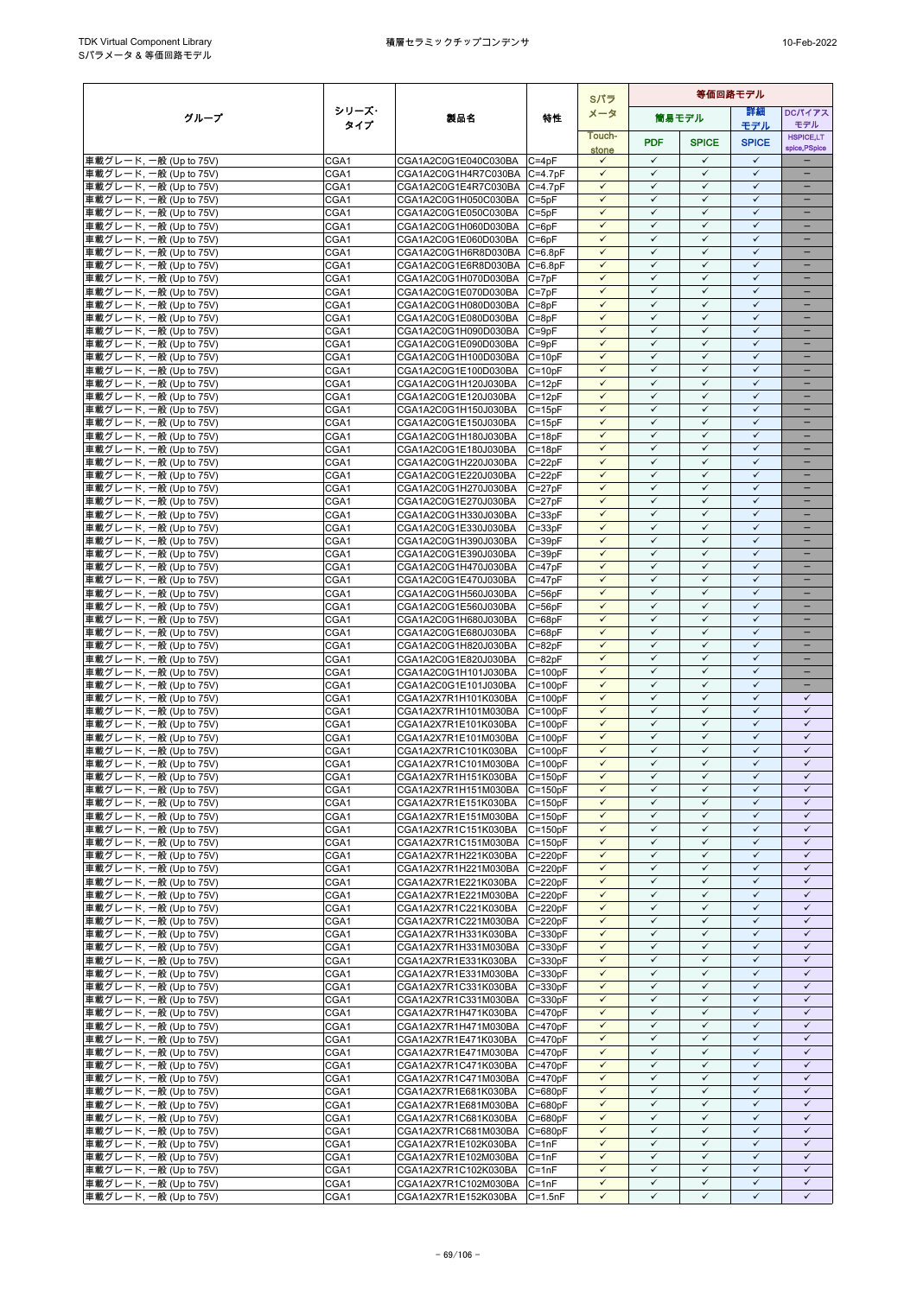|                                                  |              |                                                      |                            | Sパラ                          | 等価回路モデル                      |                              |                              |                               |
|--------------------------------------------------|--------------|------------------------------------------------------|----------------------------|------------------------------|------------------------------|------------------------------|------------------------------|-------------------------------|
| グループ                                             | シリーズ・        | 製品名                                                  | 特性                         | メータ                          |                              | 筒易モデル                        | 詳細                           | DCパイアス                        |
|                                                  | タイプ          |                                                      |                            | Touch-                       |                              |                              | モデル                          | モデル<br><b>HSPICE,LT</b>       |
|                                                  |              |                                                      |                            | stone                        | <b>PDF</b>                   | <b>SPICE</b>                 | <b>SPICE</b>                 | spice, PSpice                 |
| 車載グレード, 一般 (Up to 75V)                           | CGA1         | CGA1A2C0G1E040C030BA                                 | $C = 4pF$                  | $\checkmark$                 | $\checkmark$                 | $\checkmark$                 | $\checkmark$                 |                               |
| 車載グレード, 一般 (Up to 75V)                           | CGA1         | CGA1A2C0G1H4R7C030BA C=4.7pF                         |                            | $\checkmark$                 | $\checkmark$                 | $\checkmark$                 | $\checkmark$                 |                               |
| 車載グレード, 一般 (Up to 75V)                           | CGA1         | CGA1A2C0G1E4R7C030BA C=4.7pF                         |                            | $\checkmark$<br>$\checkmark$ | $\checkmark$<br>$\checkmark$ | $\checkmark$<br>$\checkmark$ | $\checkmark$<br>$\checkmark$ | ÷                             |
| 車載グレード, 一般 (Up to 75V)<br>車載グレード, 一般 (Up to 75V) | CGA1<br>CGA1 | CGA1A2C0G1H050C030BA<br>CGA1A2C0G1E050C030BA         | $C = 5pF$<br>$C = 5pF$     | $\checkmark$                 | $\checkmark$                 | $\checkmark$                 | $\checkmark$                 | $\qquad \qquad -$             |
| 車載グレード, 一般 (Up to 75V)                           | CGA1         | CGA1A2C0G1H060D030BA                                 | $C = 6pF$                  | $\checkmark$                 | $\checkmark$                 | ✓                            | $\checkmark$                 | -                             |
| 車載グレード, 一般 (Up to 75V)                           | CGA1         | CGA1A2C0G1E060D030BA                                 | $C = 6pF$                  | $\checkmark$                 | $\checkmark$                 | $\checkmark$                 | $\checkmark$                 | -                             |
| 車載グレード, 一般 (Up to 75V)                           | CGA1         | CGA1A2C0G1H6R8D030BA C=6.8pF                         |                            | $\checkmark$                 | $\checkmark$                 | $\checkmark$                 | $\checkmark$                 |                               |
| 車載グレード, 一般 (Up to 75V)                           | CGA1         | CGA1A2C0G1E6R8D030BA                                 | $C = 6.8pF$                | $\checkmark$                 | $\checkmark$                 | $\checkmark$                 | $\checkmark$                 | $\equiv$                      |
| 車載グレード, 一般 (Up to 75V)                           | CGA1         | CGA1A2C0G1H070D030BA<br>CGA1A2C0G1E070D030BA         | $C = 7pF$                  | $\checkmark$<br>$\checkmark$ | $\checkmark$<br>$\checkmark$ | $\checkmark$<br>$\checkmark$ | $\checkmark$<br>$\checkmark$ | $\overline{\phantom{0}}$<br>- |
| 車載グレード, 一般 (Up to 75V)<br>車載グレード, 一般 (Up to 75V) | CGA1<br>CGA1 | CGA1A2C0G1H080D030BA                                 | $C = 7pF$<br>$C = 8pF$     | $\checkmark$                 | $\checkmark$                 | $\checkmark$                 | $\checkmark$                 | $\qquad \qquad -$             |
| 車載グレード, 一般 (Up to 75V)                           | CGA1         | CGA1A2C0G1E080D030BA                                 | $C = 8pF$                  | $\checkmark$                 | $\checkmark$                 | $\checkmark$                 | $\checkmark$                 |                               |
| 車載グレード, 一般 (Up to 75V)                           | CGA1         | CGA1A2C0G1H090D030BA                                 | $C = 9pF$                  | $\checkmark$                 | $\checkmark$                 | $\checkmark$                 | $\checkmark$                 | -                             |
| 車載グレード, 一般 (Up to 75V)                           | CGA1         | CGA1A2C0G1E090D030BA                                 | $C = 9pF$                  | $\checkmark$                 | $\checkmark$                 | $\checkmark$                 | $\checkmark$                 | ÷                             |
| 車載グレード, 一般 (Up to 75V)                           | CGA1         | CGA1A2C0G1H100D030BA                                 | $C = 10pF$                 | $\checkmark$                 | $\checkmark$                 | $\checkmark$                 | $\checkmark$                 | -                             |
| 車載グレード, 一般 (Up to 75V)                           | CGA1         | CGA1A2C0G1E100D030BA                                 | $C = 10pF$                 | $\checkmark$<br>$\checkmark$ | $\checkmark$<br>$\checkmark$ | $\checkmark$<br>$\checkmark$ | $\checkmark$<br>$\checkmark$ | $\equiv$<br>-                 |
| 車載グレード, 一般 (Up to 75V)<br>車載グレード, 一般 (Up to 75V) | CGA1<br>CGA1 | CGA1A2C0G1H120J030BA<br>CGA1A2C0G1E120J030BA         | $C = 12pF$<br>$C = 12pF$   | $\checkmark$                 | $\checkmark$                 | $\checkmark$                 | $\checkmark$                 | -                             |
| 車載グレード, 一般 (Up to 75V)                           | CGA1         | CGA1A2C0G1H150J030BA                                 | $C = 15pF$                 |                              | ✓                            | ✓                            | $\checkmark$                 |                               |
| 車載グレード, 一般 (Up to 75V)                           | CGA1         | CGA1A2C0G1E150J030BA                                 | $C = 15pF$                 | $\checkmark$                 | $\checkmark$                 | $\checkmark$                 | $\checkmark$                 | ÷                             |
| 車載グレード, 一般 (Up to 75V)                           | CGA1         | CGA1A2C0G1H180J030BA                                 | $C = 18pF$                 | $\checkmark$                 | $\checkmark$                 | $\checkmark$                 | $\checkmark$                 |                               |
| 車載グレード, 一般 (Up to 75V)                           | CGA1         | CGA1A2C0G1E180J030BA                                 | $C = 18pF$                 | $\checkmark$                 | $\checkmark$                 | $\checkmark$                 | $\checkmark$                 | ÷                             |
| 車載グレード, 一般 (Up to 75V)                           | CGA1         | CGA1A2C0G1H220J030BA                                 | $C = 22pF$                 | $\checkmark$                 | $\checkmark$                 | $\checkmark$                 | $\checkmark$<br>$\checkmark$ | -                             |
| 車載グレード, 一般 (Up to 75V)<br>車載グレード, 一般 (Up to 75V) | CGA1<br>CGA1 | CGA1A2C0G1E220J030BA<br>CGA1A2C0G1H270J030BA         | $C = 22pF$<br>$C = 27pF$   | $\checkmark$<br>$\checkmark$ | ✓<br>$\checkmark$            | ✓<br>$\checkmark$            | $\checkmark$                 | -                             |
| 車載グレード, 一般 (Up to 75V)                           | CGA1         | CGA1A2C0G1E270J030BA                                 | $C = 27pF$                 | $\checkmark$                 | $\checkmark$                 | $\checkmark$                 | $\checkmark$                 |                               |
| 車載グレード, 一般 (Up to 75V)                           | CGA1         | CGA1A2C0G1H330J030BA                                 | $C = 33pF$                 | $\checkmark$                 | $\checkmark$                 | $\checkmark$                 | $\checkmark$                 | $\equiv$                      |
| 車載グレード, 一般 (Up to 75V)                           | CGA1         | CGA1A2C0G1E330J030BA                                 | $C = 33pF$                 | $\checkmark$                 | $\checkmark$                 | $\checkmark$                 | $\checkmark$                 | -                             |
| 車載グレード, 一般 (Up to 75V)                           | CGA1         | CGA1A2C0G1H390J030BA                                 | $C = 39pF$                 | $\checkmark$                 | $\checkmark$                 | $\checkmark$                 | $\checkmark$                 | -                             |
| 車載グレード, 一般 (Up to 75V)                           | CGA1<br>CGA1 | CGA1A2C0G1E390J030BA                                 | $C = 39pF$<br>$C = 47pF$   | $\checkmark$<br>$\checkmark$ | $\checkmark$<br>$\checkmark$ | $\checkmark$<br>$\checkmark$ | $\checkmark$<br>$\checkmark$ | -                             |
| 車載グレード, 一般 (Up to 75V)<br>車載グレード, 一般 (Up to 75V) | CGA1         | CGA1A2C0G1H470J030BA<br>CGA1A2C0G1E470J030BA         | $C = 47pF$                 | $\checkmark$                 | $\checkmark$                 | $\checkmark$                 | $\checkmark$                 | -                             |
| 車載グレード, 一般 (Up to 75V)                           | CGA1         | CGA1A2C0G1H560J030BA                                 | $C = 56pF$                 | $\checkmark$                 | $\checkmark$                 | $\checkmark$                 | $\checkmark$                 | ۳                             |
| 車載グレード, 一般 (Up to 75V)                           | CGA1         | CGA1A2C0G1E560J030BA                                 | $C = 56pF$                 | $\checkmark$                 | $\checkmark$                 | $\checkmark$                 | $\checkmark$                 | $\equiv$                      |
| 車載グレード, 一般 (Up to 75V)                           | CGA1         | CGA1A2C0G1H680J030BA                                 | $C = 68pF$                 | $\checkmark$                 | $\checkmark$                 | $\checkmark$                 | $\checkmark$                 | -                             |
| 車載グレード, 一般 (Up to 75V)                           | CGA1         | CGA1A2C0G1E680J030BA                                 | $C = 68pF$                 | $\checkmark$                 | $\checkmark$                 | $\checkmark$                 | $\checkmark$                 | -                             |
| 車載グレード, 一般 (Up to 75V)                           | CGA1         | CGA1A2C0G1H820J030BA                                 | $C = 82pF$                 | $\checkmark$<br>$\checkmark$ | $\checkmark$<br>$\checkmark$ | $\checkmark$<br>$\checkmark$ | $\checkmark$<br>$\checkmark$ | -                             |
| 車載グレード, 一般 (Up to 75V)<br>車載グレード, 一般 (Up to 75V) | CGA1<br>CGA1 | CGA1A2C0G1E820J030BA<br>CGA1A2C0G1H101J030BA         | $C = 82pF$<br>$C = 100pF$  | $\checkmark$                 | $\checkmark$                 | $\checkmark$                 | $\checkmark$                 | $\equiv$                      |
| 車載グレード, 一般 (Up to 75V)                           | CGA1         | CGA1A2C0G1E101J030BA                                 | $C = 100pF$                | $\checkmark$                 | $\checkmark$                 | $\checkmark$                 | $\checkmark$                 |                               |
| 車載グレード, 一般 (Up to 75V)                           | CGA1         | CGA1A2X7R1H101K030BA                                 | $C = 100pF$                | $\checkmark$                 | $\checkmark$                 | $\checkmark$                 | $\checkmark$                 | $\checkmark$                  |
| 車載グレード, 一般 (Up to 75V)                           | CGA1         | CGA1A2X7R1H101M030BA                                 | $C = 100pF$                | $\checkmark$                 | $\checkmark$                 | $\checkmark$                 | $\checkmark$                 | $\checkmark$                  |
| 車載グレード, 一般 (Up to 75V)                           | CGA1         | CGA1A2X7R1E101K030BA                                 | $C = 100pF$                | $\checkmark$                 | $\checkmark$                 | $\checkmark$                 | $\checkmark$                 | $\checkmark$                  |
| 車載グレード, 一般 (Up to 75V)<br>車載グレード, 一般 (Up to 75V) | CGA1         | CGA1A2X7R1E101M030BA                                 | $C = 100pF$                | $\checkmark$<br>$\checkmark$ | $\checkmark$<br>$\checkmark$ | $\checkmark$<br>$\checkmark$ | $\checkmark$<br>$\checkmark$ | $\checkmark$<br>$\checkmark$  |
| 車載グレード, 一般 (Up to 75V)                           | CGA1<br>CGA1 | CGA1A2X7R1C101K030BA<br>CGA1A2X7R1C101M030BA         | $C = 100pF$<br>$C = 100pF$ | $\checkmark$                 | $\checkmark$                 | $\checkmark$                 | $\checkmark$                 | $\checkmark$                  |
| 車載グレード, 一般 (Up to 75V)                           | CGA1         | CGA1A2X7R1H151K030BA                                 | $C = 150pF$                | $\checkmark$                 | $\checkmark$                 | $\checkmark$                 | $\checkmark$                 | $\checkmark$                  |
| 車載グレード, 一般 (Up to 75V)                           | CGA1         | CGA1A2X7R1H151M030BA C=150pF                         |                            | $\checkmark$                 | $\checkmark$                 | $\checkmark$                 | $\checkmark$                 | $\checkmark$                  |
| 車載グレード, 一般 (Up to 75V)                           | CGA1         | CGA1A2X7R1E151K030BA                                 | $C = 150pF$                | $\checkmark$                 | $\checkmark$                 | $\checkmark$                 | $\checkmark$                 | $\checkmark$                  |
| 車載グレード, 一般 (Up to 75V)                           | CGA1         | CGA1A2X7R1E151M030BA C=150pF                         |                            | $\checkmark$                 | $\checkmark$                 | $\checkmark$                 | $\checkmark$                 | $\checkmark$                  |
| 車載グレード, 一般 (Up to 75V)                           | CGA1         | CGA1A2X7R1C151K030BA                                 | $C = 150pF$<br>$C = 150pF$ | $\checkmark$<br>$\checkmark$ | $\checkmark$<br>$\checkmark$ | $\checkmark$<br>$\checkmark$ | $\checkmark$<br>$\checkmark$ | $\checkmark$<br>$\checkmark$  |
| 車載グレード, 一般 (Up to 75V)<br>車載グレード, 一般 (Up to 75V) | CGA1<br>CGA1 | CGA1A2X7R1C151M030BA<br>CGA1A2X7R1H221K030BA         | $C = 220pF$                | $\checkmark$                 | $\checkmark$                 | $\checkmark$                 | $\checkmark$                 | $\checkmark$                  |
| 車載グレード, 一般 (Up to 75V)                           | CGA1         | CGA1A2X7R1H221M030BA C=220pF                         |                            | $\checkmark$                 | $\checkmark$                 | $\checkmark$                 | $\checkmark$                 | $\checkmark$                  |
| 車載グレード, 一般 (Up to 75V)                           | CGA1         | CGA1A2X7R1E221K030BA                                 | $C = 220pF$                | $\checkmark$                 | $\checkmark$                 | $\checkmark$                 | $\checkmark$                 | $\checkmark$                  |
| 車載グレード, 一般 (Up to 75V)                           | CGA1         | CGA1A2X7R1E221M030BA C=220pF                         |                            | $\checkmark$                 | $\checkmark$                 | $\checkmark$                 | $\checkmark$                 | $\checkmark$                  |
| 車載グレード, 一般 (Up to 75V)                           | CGA1         | CGA1A2X7R1C221K030BA                                 | $C = 220pF$                | $\checkmark$                 | $\checkmark$                 | $\checkmark$                 | $\checkmark$                 | $\checkmark$                  |
| 車載グレード, 一般 (Up to 75V)<br>車載グレード, 一般 (Up to 75V) | CGA1<br>CGA1 | CGA1A2X7R1C221M030BA<br>CGA1A2X7R1H331K030BA         | $C = 220pF$<br>C=330pF     | $\checkmark$<br>$\checkmark$ | $\checkmark$<br>$\checkmark$ | $\checkmark$<br>$\checkmark$ | $\checkmark$<br>$\checkmark$ | $\checkmark$<br>$\checkmark$  |
| 車載グレード, 一般 (Up to 75V)                           | CGA1         | CGA1A2X7R1H331M030BA C=330pF                         |                            | $\checkmark$                 | $\checkmark$                 | ✓                            | $\checkmark$                 | $\checkmark$                  |
| 車載グレード, 一般 (Up to 75V)                           | CGA1         | CGA1A2X7R1E331K030BA                                 | $C = 330pF$                | $\checkmark$                 | $\checkmark$                 | $\checkmark$                 | $\checkmark$                 | $\checkmark$                  |
| 車載グレード, 一般 (Up to 75V)                           | CGA1         | CGA1A2X7R1E331M030BA                                 | $C = 330pF$                | $\checkmark$                 | $\checkmark$                 | $\checkmark$                 | ✓                            | $\checkmark$                  |
| 車載グレード, 一般 (Up to 75V)                           | CGA1         | CGA1A2X7R1C331K030BA                                 | $C = 330pF$                | $\checkmark$                 | $\checkmark$                 | $\checkmark$                 | $\checkmark$                 | $\checkmark$                  |
| 車載グレード, 一般 (Up to 75V)                           | CGA1         | CGA1A2X7R1C331M030BA                                 | $C = 330pF$                | $\checkmark$                 | $\checkmark$                 | $\checkmark$                 | $\checkmark$                 | $\checkmark$<br>$\checkmark$  |
| 車載グレード, 一般 (Up to 75V)<br>車載グレード, 一般 (Up to 75V) | CGA1<br>CGA1 | CGA1A2X7R1H471K030BA<br>CGA1A2X7R1H471M030BA C=470pF | $C = 470pF$                | $\checkmark$<br>$\checkmark$ | $\checkmark$<br>$\checkmark$ | $\checkmark$<br>$\checkmark$ | $\checkmark$<br>$\checkmark$ | $\checkmark$                  |
| 車載グレード, 一般 (Up to 75V)                           | CGA1         | CGA1A2X7R1E471K030BA                                 | $C = 470pF$                | $\checkmark$                 | $\checkmark$                 | $\checkmark$                 | $\checkmark$                 | $\checkmark$                  |
| 車載グレード, 一般 (Up to 75V)                           | CGA1         | CGA1A2X7R1E471M030BA                                 | $C = 470pF$                | $\checkmark$                 | $\checkmark$                 | $\checkmark$                 | $\checkmark$                 | $\checkmark$                  |
| 車載グレード, 一般 (Up to 75V)                           | CGA1         | CGA1A2X7R1C471K030BA                                 | $C = 470pF$                | $\checkmark$                 | $\checkmark$                 | $\checkmark$                 | $\checkmark$                 | $\checkmark$                  |
| 車載グレード, 一般 (Up to 75V)                           | CGA1         | CGA1A2X7R1C471M030BA                                 | $C = 470pF$                | $\checkmark$                 | $\checkmark$                 | $\checkmark$                 | $\checkmark$                 | $\checkmark$                  |
| 車載グレード, 一般 (Up to 75V)                           | CGA1         | CGA1A2X7R1E681K030BA                                 | $C = 680pF$                | $\checkmark$                 | $\checkmark$                 | $\checkmark$                 | $\checkmark$                 | $\checkmark$                  |
| 車載グレード, 一般 (Up to 75V)<br>車載グレード, 一般 (Up to 75V) | CGA1<br>CGA1 | CGA1A2X7R1E681M030BA<br>CGA1A2X7R1C681K030BA         | C=680pF<br>$C = 680pF$     | $\checkmark$<br>$\checkmark$ | $\checkmark$<br>$\checkmark$ | $\checkmark$<br>$\checkmark$ | $\checkmark$<br>$\checkmark$ | $\checkmark$<br>$\checkmark$  |
| 車載グレード, 一般 (Up to 75V)                           | CGA1         | CGA1A2X7R1C681M030BA C=680pF                         |                            | $\checkmark$                 | $\checkmark$                 | ✓                            | ✓                            | ✓                             |
| 車載グレード, 一般 (Up to 75V)                           | CGA1         | CGA1A2X7R1E102K030BA                                 | $C = 1nF$                  | $\checkmark$                 | $\checkmark$                 | $\checkmark$                 | $\checkmark$                 | $\checkmark$                  |
| 車載グレード, 一般 (Up to 75V)                           | CGA1         | CGA1A2X7R1E102M030BA                                 | $C = 1nF$                  | $\checkmark$                 | $\checkmark$                 | $\checkmark$                 | $\checkmark$                 | $\checkmark$                  |
| 車載グレード, 一般 (Up to 75V)                           | CGA1         | CGA1A2X7R1C102K030BA                                 | $C = 1nF$                  | $\checkmark$                 | $\checkmark$                 | $\checkmark$                 | $\checkmark$                 | $\checkmark$                  |
| 車載グレード, 一般 (Up to 75V)                           | CGA1         | CGA1A2X7R1C102M030BA                                 | $C = 1nF$                  | $\checkmark$                 | $\checkmark$                 | $\checkmark$                 | $\checkmark$                 | $\checkmark$                  |
| 車載グレード, 一般 (Up to 75V)                           | CGA1         | CGA1A2X7R1E152K030BA                                 | $C = 1.5nF$                | $\checkmark$                 | $\checkmark$                 | ✓                            | $\checkmark$                 | $\checkmark$                  |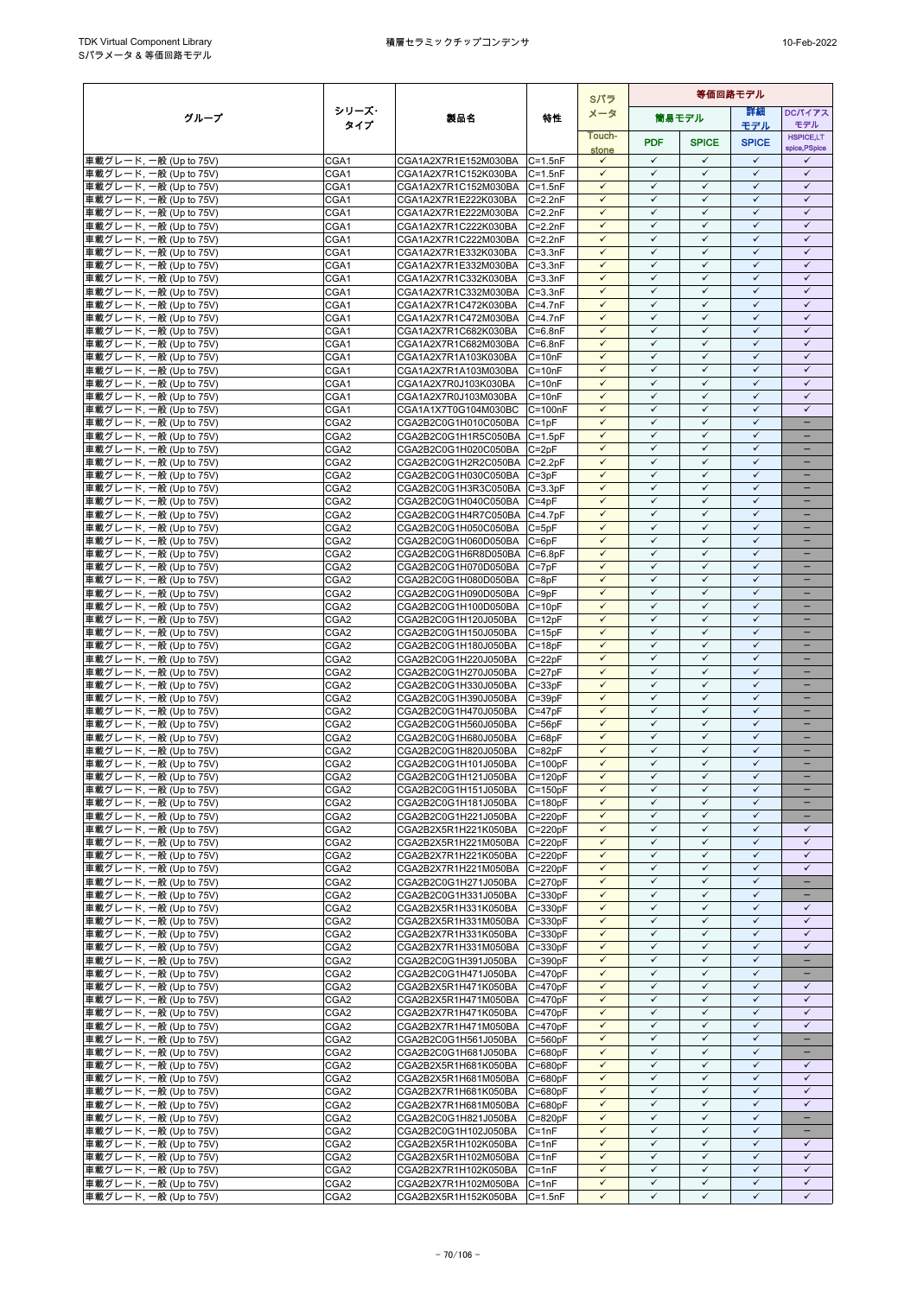|                                                  |                                      |                                                            |                            | Sパラ                          | 等価回路モデル                      |                              |                              |                                      |
|--------------------------------------------------|--------------------------------------|------------------------------------------------------------|----------------------------|------------------------------|------------------------------|------------------------------|------------------------------|--------------------------------------|
| グループ                                             | シリーズ・                                | 製品名                                                        | 特性                         | メータ                          |                              | 筒易モデル                        | 詳細                           | DCパイアス                               |
|                                                  | タイプ                                  |                                                            |                            | Touch-                       |                              |                              | モデル                          | モデル<br><b>HSPICE.LT</b>              |
|                                                  |                                      |                                                            |                            | stone                        | <b>PDF</b>                   | <b>SPICE</b>                 | <b>SPICE</b>                 | spice, PSpice                        |
| 車載グレード, 一般 (Up to 75V)                           | CGA1                                 | CGA1A2X7R1E152M030BA                                       | $C = 1.5nF$                | $\checkmark$                 | $\checkmark$                 | $\checkmark$                 | $\checkmark$                 | ✓                                    |
| 車載グレード, 一般 (Up to 75V)                           | CGA1                                 | CGA1A2X7R1C152K030BA                                       | $C = 1.5nF$                | $\checkmark$                 | $\checkmark$                 | $\checkmark$                 | $\checkmark$                 | $\checkmark$                         |
| 車載グレード, 一般 (Up to 75V)                           | CGA1                                 | CGA1A2X7R1C152M030BA                                       | $C = 1.5nF$                | $\checkmark$<br>$\checkmark$ | $\checkmark$<br>$\checkmark$ | $\checkmark$<br>$\checkmark$ | $\checkmark$<br>$\checkmark$ | $\checkmark$<br>$\checkmark$         |
| 車載グレード, 一般 (Up to 75V)<br>車載グレード, 一般 (Up to 75V) | CGA1<br>CGA1                         | CGA1A2X7R1E222K030BA<br>CGA1A2X7R1E222M030BA               | $C = 2.2nF$<br>$C = 2.2nF$ | $\checkmark$                 | $\checkmark$                 | $\checkmark$                 | $\checkmark$                 | $\checkmark$                         |
| 車載グレード, 一般 (Up to 75V)                           | CGA1                                 | CGA1A2X7R1C222K030BA                                       | $C = 2.2nF$                | $\checkmark$                 | $\checkmark$                 | ✓                            | ✓                            | $\checkmark$                         |
| 車載グレード, 一般 (Up to 75V)                           | CGA1                                 | CGA1A2X7R1C222M030BA C=2.2nF                               |                            | $\checkmark$                 | $\checkmark$                 | $\checkmark$                 | $\checkmark$                 | $\checkmark$                         |
| 車載グレード, 一般 (Up to 75V)                           | CGA1                                 | CGA1A2X7R1E332K030BA                                       | $C = 3.3nF$                | $\checkmark$                 | $\checkmark$                 | $\checkmark$                 | $\checkmark$                 | $\checkmark$                         |
| 車載グレード, 一般 (Up to 75V)                           | CGA1                                 | CGA1A2X7R1E332M030BA                                       | $C = 3.3nF$                | $\checkmark$                 | $\checkmark$<br>$\checkmark$ | $\checkmark$<br>$\checkmark$ | $\checkmark$<br>$\checkmark$ | $\checkmark$                         |
| 車載グレード, 一般 (Up to 75V)<br>車載グレード, 一般 (Up to 75V) | CGA1<br>CGA1                         | CGA1A2X7R1C332K030BA<br>CGA1A2X7R1C332M030BA C=3.3nF       | $C = 3.3nF$                | $\checkmark$<br>$\checkmark$ | $\checkmark$                 | $\checkmark$                 | $\checkmark$                 | $\checkmark$<br>$\checkmark$         |
| 車載グレード, 一般 (Up to 75V)                           | CGA1                                 | CGA1A2X7R1C472K030BA                                       | $C = 4.7nF$                | $\checkmark$                 | $\checkmark$                 | $\checkmark$                 | $\checkmark$                 | $\checkmark$                         |
| 車載グレード, 一般 (Up to 75V)                           | CGA1                                 | CGA1A2X7R1C472M030BA                                       | $C = 4.7nF$                | $\checkmark$                 | $\checkmark$                 | $\checkmark$                 | $\checkmark$                 | $\checkmark$                         |
| 車載グレード, 一般 (Up to 75V)                           | CGA1                                 | CGA1A2X7R1C682K030BA                                       | $C = 6.8nF$                | $\checkmark$                 | $\checkmark$                 | $\checkmark$                 | $\checkmark$                 | $\checkmark$                         |
| 車載グレード, 一般 (Up to 75V)                           | CGA1                                 | CGA1A2X7R1C682M030BA                                       | $C = 6.8nF$                | $\checkmark$                 | $\checkmark$                 | $\checkmark$                 | $\checkmark$                 | $\checkmark$                         |
| 車載グレード, 一般 (Up to 75V)                           | CGA1                                 | CGA1A2X7R1A103K030BA                                       | $C = 10nF$                 | $\checkmark$<br>$\checkmark$ | $\checkmark$<br>$\checkmark$ | $\checkmark$<br>$\checkmark$ | $\checkmark$<br>$\checkmark$ | $\checkmark$<br>$\checkmark$         |
| 車載グレード, 一般 (Up to 75V)<br>車載グレード, 一般 (Up to 75V) | CGA1<br>CGA1                         | CGA1A2X7R1A103M030BA<br>CGA1A2X7R0J103K030BA               | $C = 10nF$<br>$C = 10nF$   | $\checkmark$                 | $\checkmark$                 | $\checkmark$                 | $\checkmark$                 | $\checkmark$                         |
| 車載グレード, 一般 (Up to 75V)                           | CGA1                                 | CGA1A2X7R0J103M030BA                                       | $C = 10nF$                 | $\checkmark$                 | $\checkmark$                 | $\checkmark$                 | $\checkmark$                 | $\checkmark$                         |
| 車載グレード, 一般 (Up to 75V)                           | CGA1                                 | CGA1A1X7T0G104M030BC                                       | $C = 100nF$                | $\checkmark$                 | ✓                            | ✓                            | $\checkmark$                 | $\checkmark$                         |
| 車載グレード, 一般 (Up to 75V)                           | CGA <sub>2</sub>                     | CGA2B2C0G1H010C050BA                                       | $C = 1pF$                  | $\checkmark$                 | $\checkmark$                 | $\checkmark$                 | $\checkmark$                 | $\equiv$                             |
| 車載グレード, 一般 (Up to 75V)                           | CGA <sub>2</sub>                     | CGA2B2C0G1H1R5C050BA C=1.5pF                               |                            | $\checkmark$<br>$\checkmark$ | $\checkmark$<br>$\checkmark$ | $\checkmark$<br>$\checkmark$ | $\checkmark$<br>$\checkmark$ | ÷                                    |
| 車載グレード, 一般 (Up to 75V)<br>車載グレード, 一般 (Up to 75V) | CGA <sub>2</sub><br>CGA2             | CGA2B2C0G1H020C050BA C=2pF<br>CGA2B2C0G1H2R2C050BA C=2.2pF |                            | $\checkmark$                 | $\checkmark$                 | $\checkmark$                 | $\checkmark$                 | -                                    |
| 車載グレード, 一般 (Up to 75V)                           | CGA <sub>2</sub>                     | CGA2B2C0G1H030C050BA                                       | $C = 3pF$                  | $\checkmark$                 | $\checkmark$                 | ✓                            | $\checkmark$                 |                                      |
| 車載グレード, 一般 (Up to 75V)                           | CGA <sub>2</sub>                     | CGA2B2C0G1H3R3C050BA C=3.3pF                               |                            | $\checkmark$                 | $\checkmark$                 | $\checkmark$                 | $\checkmark$                 | ÷                                    |
| 車載グレード, 一般 (Up to 75V)                           | CGA2                                 | CGA2B2C0G1H040C050BA                                       | $C = 4pF$                  | $\checkmark$                 | $\checkmark$                 | $\checkmark$                 | $\checkmark$                 |                                      |
| 車載グレード, 一般 (Up to 75V)                           | CGA <sub>2</sub>                     | CGA2B2C0G1H4R7C050BA                                       | $C = 4.7pF$                | $\checkmark$<br>$\checkmark$ | $\checkmark$<br>$\checkmark$ | $\checkmark$<br>$\checkmark$ | $\checkmark$<br>$\checkmark$ | $\equiv$<br>$\overline{\phantom{0}}$ |
| 車載グレード, 一般 (Up to 75V)<br>車載グレード, 一般 (Up to 75V) | CGA <sub>2</sub><br>CGA <sub>2</sub> | CGA2B2C0G1H050C050BA<br>CGA2B2C0G1H060D050BA               | $C = 5pF$<br>$C = 6pF$     | $\checkmark$                 | $\checkmark$                 | $\checkmark$                 | $\checkmark$                 | -                                    |
| 車載グレード, 一般 (Up to 75V)                           | CGA <sub>2</sub>                     | CGA2B2C0G1H6R8D050BA C=6.8pF                               |                            | $\checkmark$                 | $\checkmark$                 | $\checkmark$                 | $\checkmark$                 | -                                    |
| 車載グレード, 一般 (Up to 75V)                           | CGA <sub>2</sub>                     | CGA2B2C0G1H070D050BA                                       | $C = 7pF$                  | $\checkmark$                 | $\checkmark$                 | $\checkmark$                 | $\checkmark$                 |                                      |
| 車載グレード, 一般 (Up to 75V)                           | CGA <sub>2</sub>                     | CGA2B2C0G1H080D050BA                                       | $C = 8pF$                  | $\checkmark$                 | $\checkmark$                 | $\checkmark$                 | $\checkmark$                 | -                                    |
| 車載グレード, 一般 (Up to 75V)                           | CGA <sub>2</sub>                     | CGA2B2C0G1H090D050BA                                       | $C = 9pF$                  | $\checkmark$                 | $\checkmark$                 | $\checkmark$                 | $\checkmark$                 | ۳                                    |
| 車載グレード, 一般 (Up to 75V)                           | CGA <sub>2</sub><br>CGA <sub>2</sub> | CGA2B2C0G1H100D050BA                                       | $C = 10pF$<br>$C = 12pF$   | $\checkmark$<br>$\checkmark$ | $\checkmark$<br>$\checkmark$ | $\checkmark$<br>$\checkmark$ | $\checkmark$<br>$\checkmark$ | $\equiv$<br>-                        |
| 車載グレード, 一般 (Up to 75V)<br>車載グレード, 一般 (Up to 75V) | CGA <sub>2</sub>                     | CGA2B2C0G1H120J050BA<br>CGA2B2C0G1H150J050BA               | $C = 15pF$                 | $\checkmark$                 | $\checkmark$                 | $\checkmark$                 | $\checkmark$                 | -                                    |
| 車載グレード, 一般 (Up to 75V)                           | CGA <sub>2</sub>                     | CGA2B2C0G1H180J050BA                                       | $C = 18pF$                 | $\checkmark$                 | $\checkmark$                 | $\checkmark$                 | $\checkmark$                 | -                                    |
| 車載グレード, 一般 (Up to 75V)                           | CGA <sub>2</sub>                     | CGA2B2C0G1H220J050BA                                       | $C = 22pF$                 | $\checkmark$                 | $\checkmark$                 | $\checkmark$                 | $\checkmark$                 |                                      |
| 車載グレード, 一般 (Up to 75V)                           | CGA2                                 | CGA2B2C0G1H270J050BA                                       | $C = 27pF$                 | $\checkmark$                 | $\checkmark$                 | $\checkmark$                 | $\checkmark$                 | $\equiv$                             |
| 車載グレード, 一般 (Up to 75V)                           | CGA <sub>2</sub>                     | CGA2B2C0G1H330J050BA                                       | $C = 33pF$                 | $\checkmark$<br>$\checkmark$ | $\checkmark$<br>$\checkmark$ | $\checkmark$<br>$\checkmark$ | $\checkmark$<br>$\checkmark$ | $\equiv$                             |
| 車載グレード, 一般 (Up to 75V)<br>車載グレード, 一般 (Up to 75V) | CGA <sub>2</sub><br>CGA <sub>2</sub> | CGA2B2C0G1H390J050BA<br>CGA2B2C0G1H470J050BA               | $C = 39pF$<br>$C = 47pF$   | $\checkmark$                 | $\checkmark$                 | $\checkmark$                 | $\checkmark$                 | ÷                                    |
| 車載グレード, 一般 (Up to 75V)                           | CGA <sub>2</sub>                     | CGA2B2C0G1H560J050BA                                       | $C = 56pF$                 | $\checkmark$                 | $\checkmark$                 | ✓                            | $\checkmark$                 |                                      |
| 車載グレード, 一般 (Up to 75V)                           | CGA2                                 | CGA2B2C0G1H680J050BA                                       | $C = 68pF$                 | $\checkmark$                 | $\checkmark$                 | $\checkmark$                 | $\checkmark$                 | -                                    |
| 車載グレード, 一般 (Up to 75V)                           | CGA2                                 | CGA2B2C0G1H820J050BA                                       | $C = 82pF$                 | $\checkmark$                 | $\checkmark$                 | $\checkmark$                 | $\checkmark$                 |                                      |
| 車載グレード, 一般 (Up to 75V)                           | CGA <sub>2</sub>                     | CGA2B2C0G1H101J050BA                                       | $C = 100pF$                | $\checkmark$                 | $\checkmark$                 | $\checkmark$                 | $\checkmark$                 |                                      |
| 車載グレード, 一般 (Up to 75V)<br>車載グレード, 一般 (Up to 75V) | CGA <sub>2</sub><br>CGA2             | CGA2B2C0G1H121J050BA<br>CGA2B2C0G1H151J050BA               | $C = 120pF$<br>$C = 150pF$ | $\checkmark$<br>$\checkmark$ | $\checkmark$<br>$\checkmark$ | $\checkmark$<br>$\checkmark$ | $\checkmark$<br>$\checkmark$ |                                      |
| 車載グレード, 一般 (Up to 75V)                           | CGA <sub>2</sub>                     | CGA2B2C0G1H181J050BA                                       | $C = 180pF$                | $\checkmark$                 | $\checkmark$                 | $\checkmark$                 | $\checkmark$                 | -                                    |
| 車載グレード, 一般 (Up to 75V)                           | CGA <sub>2</sub>                     | CGA2B2C0G1H221J050BA                                       | $C = 220pF$                | $\checkmark$                 | $\checkmark$                 | $\checkmark$                 | $\checkmark$                 |                                      |
| 車載グレード, 一般 (Up to 75V)                           | CGA <sub>2</sub>                     | CGA2B2X5R1H221K050BA                                       | $C = 220pF$                | $\checkmark$                 | $\checkmark$                 | $\checkmark$                 | $\checkmark$                 | $\checkmark$                         |
| 車載グレード, 一般 (Up to 75V)                           | CGA <sub>2</sub>                     | CGA2B2X5R1H221M050BA                                       | $C = 220pF$                | $\checkmark$                 | $\checkmark$                 | $\checkmark$                 | $\checkmark$                 | $\checkmark$                         |
| 車載グレード, 一般 (Up to 75V)<br>車載グレード, 一般 (Up to 75V) | CGA <sub>2</sub>                     | CGA2B2X7R1H221K050BA                                       | $C = 220pF$                | $\checkmark$<br>$\checkmark$ | $\checkmark$<br>$\checkmark$ | $\checkmark$<br>$\checkmark$ | $\checkmark$<br>$\checkmark$ | $\checkmark$<br>$\checkmark$         |
| 車載グレード, 一般 (Up to 75V)                           | CGA <sub>2</sub><br>CGA <sub>2</sub> | CGA2B2X7R1H221M050BA C=220pF<br>CGA2B2C0G1H271J050BA       | $C = 270pF$                | $\checkmark$                 | $\checkmark$                 | $\checkmark$                 | $\checkmark$                 | -                                    |
| 車載グレード, 一般 (Up to 75V)                           | CGA <sub>2</sub>                     | CGA2B2C0G1H331J050BA                                       | C=330pF                    | $\checkmark$                 | $\checkmark$                 | $\checkmark$                 | $\checkmark$                 | -                                    |
| 車載グレード, 一般 (Up to 75V)                           | CGA <sub>2</sub>                     | CGA2B2X5R1H331K050BA                                       | $C = 330pF$                | $\checkmark$                 | $\checkmark$                 | $\checkmark$                 | $\checkmark$                 | $\checkmark$                         |
| 車載グレード, 一般 (Up to 75V)                           | CGA <sub>2</sub>                     | CGA2B2X5R1H331M050BA                                       | $C = 330pF$                | $\checkmark$                 | $\checkmark$                 | $\checkmark$                 | $\checkmark$                 | $\checkmark$                         |
| 車載グレード, 一般 (Up to 75V)                           | CGA <sub>2</sub>                     | CGA2B2X7R1H331K050BA                                       | $C = 330pF$                | $\checkmark$<br>$\checkmark$ | $\checkmark$<br>$\checkmark$ | $\checkmark$<br>✓            | $\checkmark$<br>$\checkmark$ | $\checkmark$<br>$\checkmark$         |
| 車載グレード, 一般 (Up to 75V)<br>車載グレード, 一般 (Up to 75V) | CGA <sub>2</sub><br>CGA <sub>2</sub> | CGA2B2X7R1H331M050BA C=330pF<br>CGA2B2C0G1H391J050BA       | $C = 390pF$                | $\checkmark$                 | $\checkmark$                 | $\checkmark$                 | $\checkmark$                 | $\overline{\phantom{a}}$             |
| 車載グレード, 一般 (Up to 75V)                           | CGA <sub>2</sub>                     | CGA2B2C0G1H471J050BA                                       | $C = 470pF$                | $\checkmark$                 | $\checkmark$                 | ✓                            | ✓                            |                                      |
| 車載グレード, 一般 (Up to 75V)                           | CGA <sub>2</sub>                     | CGA2B2X5R1H471K050BA                                       | $C = 470pF$                | $\checkmark$                 | $\checkmark$                 | $\checkmark$                 | $\checkmark$                 | $\checkmark$                         |
| 車載グレード, 一般 (Up to 75V)                           | CGA2                                 | CGA2B2X5R1H471M050BA                                       | $C = 470pF$                | $\checkmark$                 | $\checkmark$                 | $\checkmark$                 | $\checkmark$                 | $\checkmark$                         |
| 車載グレード, 一般 (Up to 75V)                           | CGA <sub>2</sub>                     | CGA2B2X7R1H471K050BA                                       | $C = 470pF$                | $\checkmark$                 | $\checkmark$                 | $\checkmark$                 | $\checkmark$                 | $\checkmark$                         |
| 車載グレード, 一般 (Up to 75V)<br>車載グレード, 一般 (Up to 75V) | CGA <sub>2</sub><br>CGA <sub>2</sub> | CGA2B2X7R1H471M050BA C=470pF<br>CGA2B2C0G1H561J050BA       | $C = 560pF$                | $\checkmark$<br>$\checkmark$ | $\checkmark$<br>$\checkmark$ | $\checkmark$<br>$\checkmark$ | $\checkmark$<br>$\checkmark$ | $\checkmark$<br>-                    |
| 車載グレード, 一般 (Up to 75V)                           | CGA <sub>2</sub>                     | CGA2B2C0G1H681J050BA                                       | $C = 680pF$                | $\checkmark$                 | $\checkmark$                 | $\checkmark$                 | $\checkmark$                 | -                                    |
| 車載グレード, 一般 (Up to 75V)                           | CGA <sub>2</sub>                     | CGA2B2X5R1H681K050BA                                       | $C = 680pF$                | $\checkmark$                 | $\checkmark$                 | $\checkmark$                 | $\checkmark$                 | ✓                                    |
| 車載グレード, 一般 (Up to 75V)                           | CGA <sub>2</sub>                     | CGA2B2X5R1H681M050BA                                       | $C = 680pF$                | $\checkmark$                 | $\checkmark$                 | $\checkmark$                 | $\checkmark$                 | $\checkmark$                         |
| 車載グレード, 一般 (Up to 75V)                           | CGA <sub>2</sub>                     | CGA2B2X7R1H681K050BA                                       | $C = 680pF$                | $\checkmark$                 | $\checkmark$                 | $\checkmark$                 | $\checkmark$                 | $\checkmark$                         |
| 車載グレード, 一般 (Up to 75V)                           | CGA <sub>2</sub>                     | CGA2B2X7R1H681M050BA C=680pF                               |                            | $\checkmark$                 | $\checkmark$                 | $\checkmark$                 | $\checkmark$                 | $\checkmark$<br>$-$                  |
| 車載グレード, 一般 (Up to 75V)<br>車載グレード, 一般 (Up to 75V) | CGA <sub>2</sub><br>CGA <sub>2</sub> | CGA2B2C0G1H821J050BA<br>CGA2B2C0G1H102J050BA               | $C = 820pF$<br>$C = 1nF$   | $\checkmark$<br>$\checkmark$ | $\checkmark$<br>✓            | $\checkmark$<br>✓            | $\checkmark$<br>✓            | -                                    |
| 車載グレード, 一般 (Up to 75V)                           | CGA <sub>2</sub>                     | CGA2B2X5R1H102K050BA                                       | $C = 1nF$                  | $\checkmark$                 | $\checkmark$                 | $\checkmark$                 | $\checkmark$                 | $\checkmark$                         |
| 車載グレード, 一般 (Up to 75V)                           | CGA <sub>2</sub>                     | CGA2B2X5R1H102M050BA                                       | $C = 1nF$                  | $\checkmark$                 | $\checkmark$                 | $\checkmark$                 | $\checkmark$                 | $\checkmark$                         |
| 車載グレード, 一般 (Up to 75V)                           | CGA <sub>2</sub>                     | CGA2B2X7R1H102K050BA                                       | $C = 1nF$                  | $\checkmark$                 | $\checkmark$                 | $\checkmark$                 | $\checkmark$                 | $\checkmark$                         |
| 車載グレード, 一般 (Up to 75V)                           | CGA <sub>2</sub>                     | CGA2B2X7R1H102M050BA                                       | $C = 1nF$                  | $\checkmark$                 | $\checkmark$                 | $\checkmark$                 | $\checkmark$                 | $\checkmark$                         |
| 車載グレード, 一般 (Up to 75V)                           | CGA <sub>2</sub>                     | CGA2B2X5R1H152K050BA                                       | $C = 1.5nF$                | $\checkmark$                 | $\checkmark$                 | ✓                            | $\checkmark$                 | $\checkmark$                         |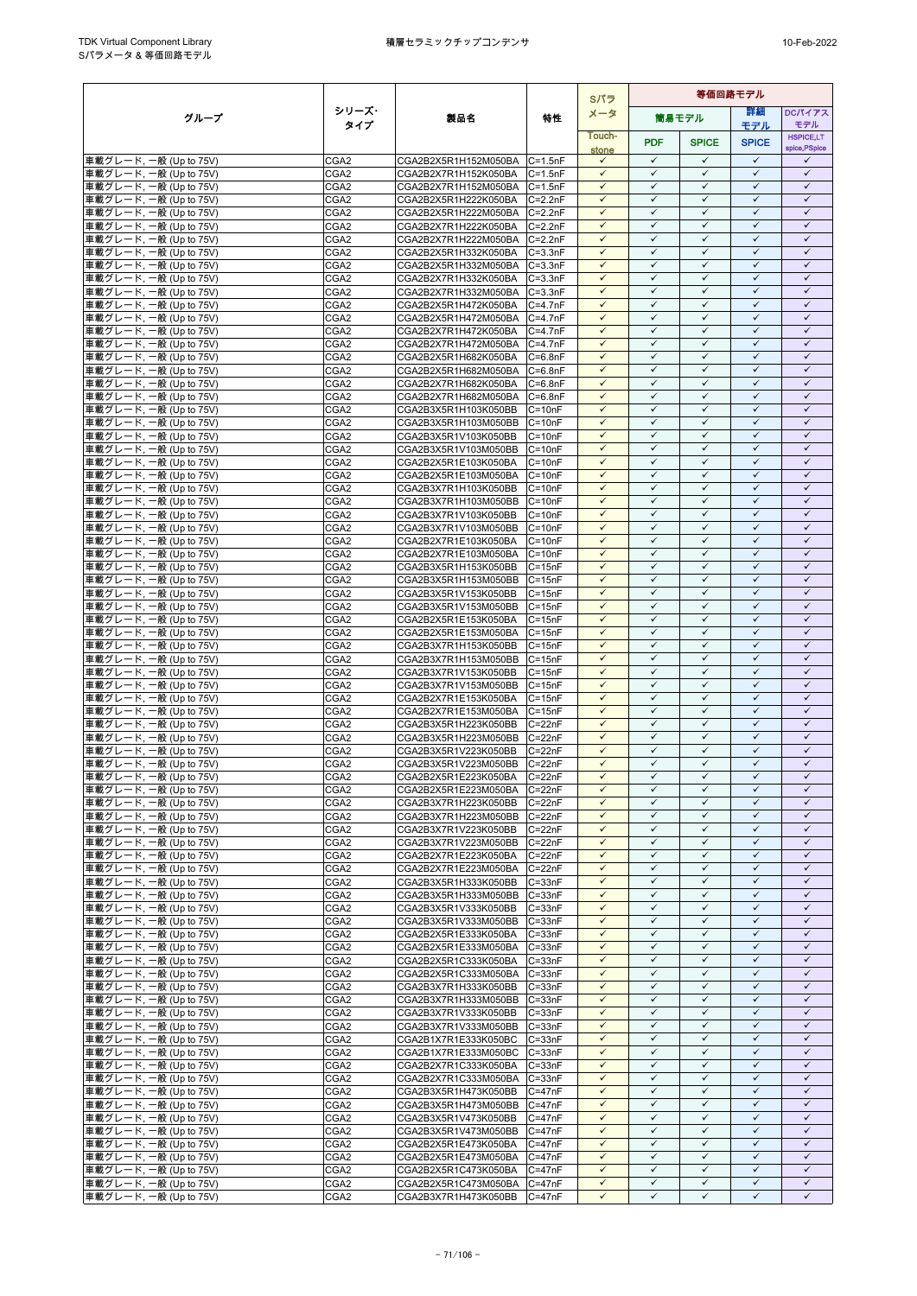|                                                  |                                      |                                                      |                            | Sパラ                          | 等価回路モデル                      |                              |                              |                                   |
|--------------------------------------------------|--------------------------------------|------------------------------------------------------|----------------------------|------------------------------|------------------------------|------------------------------|------------------------------|-----------------------------------|
| グループ                                             | シリーズ・                                | 製品名                                                  | 特性                         | メータ                          |                              | 簡易モデル                        | 等細                           | DCパイアス                            |
|                                                  | タイプ                                  |                                                      |                            | Touch-                       |                              |                              | モデル                          | モデル                               |
|                                                  |                                      |                                                      |                            | stone                        | <b>PDF</b>                   | <b>SPICE</b>                 | <b>SPICE</b>                 | <b>HSPICE,LT</b><br>spice, PSpice |
| 車載グレード, 一般 (Up to 75V)                           | CGA <sub>2</sub>                     | CGA2B2X5R1H152M050BA C=1.5nF                         |                            | $\checkmark$                 | $\checkmark$                 | $\checkmark$                 | $\checkmark$                 | ✓                                 |
| 車載グレード, 一般 (Up to 75V)                           | CGA <sub>2</sub>                     | CGA2B2X7R1H152K050BA                                 | $C = 1.5nF$                | $\checkmark$                 | $\checkmark$                 | $\checkmark$                 | $\checkmark$                 | $\checkmark$                      |
| 車載グレード, 一般 (Up to 75V)                           | CGA <sub>2</sub>                     | CGA2B2X7R1H152M050BA C=1.5nF                         |                            | $\checkmark$                 | $\checkmark$                 | $\checkmark$                 | $\checkmark$                 | $\checkmark$                      |
| 車載グレード, 一般 (Up to 75V)<br>車載グレード, 一般 (Up to 75V) | CGA <sub>2</sub><br>CGA <sub>2</sub> | CGA2B2X5R1H222K050BA<br>CGA2B2X5R1H222M050BA C=2.2nF | $C = 2.2nF$                | $\checkmark$<br>$\checkmark$ | $\checkmark$<br>$\checkmark$ | $\checkmark$<br>$\checkmark$ | $\checkmark$<br>$\checkmark$ | $\checkmark$<br>$\checkmark$      |
| 車載グレード, 一般 (Up to 75V)                           | CGA <sub>2</sub>                     | CGA2B2X7R1H222K050BA                                 | $C = 2.2nF$                | $\checkmark$                 | $\checkmark$                 | $\checkmark$                 | $\checkmark$                 | $\checkmark$                      |
| 車載グレード, 一般 (Up to 75V)                           | CGA <sub>2</sub>                     | CGA2B2X7R1H222M050BA                                 | $C = 2.2nF$                | $\checkmark$                 | $\checkmark$                 | $\checkmark$                 | $\checkmark$                 | $\checkmark$                      |
| 車載グレード, 一般 (Up to 75V)                           | CGA <sub>2</sub>                     | CGA2B2X5R1H332K050BA                                 | $C = 3.3nF$                | $\checkmark$                 | $\checkmark$                 | $\checkmark$                 | $\checkmark$                 | $\checkmark$                      |
| 車載グレード, 一般 (Up to 75V)                           | CGA <sub>2</sub>                     | CGA2B2X5R1H332M050BA C=3.3nF                         |                            | $\checkmark$                 | $\checkmark$                 | $\checkmark$                 | $\checkmark$                 | $\checkmark$                      |
| 車載グレード, 一般 (Up to 75V)                           | CGA <sub>2</sub>                     | CGA2B2X7R1H332K050BA                                 | $C = 3.3nF$                | $\checkmark$                 | $\checkmark$                 | $\checkmark$                 | $\checkmark$                 | $\checkmark$                      |
| 車載グレード, 一般 (Up to 75V)                           | CGA <sub>2</sub>                     | CGA2B2X7R1H332M050BA                                 | $C = 3.3nF$                | $\checkmark$<br>$\checkmark$ | $\checkmark$<br>$\checkmark$ | $\checkmark$<br>$\checkmark$ | $\checkmark$<br>$\checkmark$ | $\checkmark$<br>$\checkmark$      |
| 車載グレード, 一般 (Up to 75V)<br>車載グレード, 一般 (Up to 75V) | CGA <sub>2</sub><br>CGA <sub>2</sub> | CGA2B2X5R1H472K050BA<br>CGA2B2X5R1H472M050BA         | $C=4.7nF$<br>$C = 4.7nF$   | $\checkmark$                 | ✓                            | ✓                            | $\checkmark$                 | ✓                                 |
| 車載グレード, 一般 (Up to 75V)                           | CGA <sub>2</sub>                     | CGA2B2X7R1H472K050BA                                 | $C = 4.7nF$                | $\checkmark$                 | $\checkmark$                 | $\checkmark$                 | $\checkmark$                 | $\checkmark$                      |
| 車載グレード, 一般 (Up to 75V)                           | CGA <sub>2</sub>                     | CGA2B2X7R1H472M050BA                                 | $C = 4.7nF$                | $\checkmark$                 | $\checkmark$                 | $\checkmark$                 | $\checkmark$                 | $\checkmark$                      |
| 車載グレード, 一般 (Up to 75V)                           | CGA <sub>2</sub>                     | CGA2B2X5R1H682K050BA                                 | $C = 6.8nF$                | $\checkmark$                 | $\checkmark$                 | $\checkmark$                 | $\checkmark$                 | $\checkmark$                      |
| 車載グレード, 一般 (Up to 75V)                           | CGA <sub>2</sub>                     | CGA2B2X5R1H682M050BA                                 | $C = 6.8nF$                | $\checkmark$                 | $\checkmark$                 | $\checkmark$                 | $\checkmark$                 | $\checkmark$                      |
| 車載グレード, 一般 (Up to 75V)                           | CGA <sub>2</sub><br>CGA <sub>2</sub> | CGA2B2X7R1H682K050BA                                 | $C = 6.8nF$<br>$C = 6.8nF$ | $\checkmark$<br>$\checkmark$ | $\checkmark$<br>$\checkmark$ | ✓<br>$\checkmark$            | ✓<br>$\checkmark$            | ✓<br>$\checkmark$                 |
| 車載グレード, 一般 (Up to 75V)<br>車載グレード, 一般 (Up to 75V) | CGA <sub>2</sub>                     | CGA2B2X7R1H682M050BA<br>CGA2B3X5R1H103K050BB         | $C = 10nF$                 | $\checkmark$                 | $\checkmark$                 | $\checkmark$                 | $\checkmark$                 | $\checkmark$                      |
| 車載グレード, 一般 (Up to 75V)                           | CGA <sub>2</sub>                     | CGA2B3X5R1H103M050BB                                 | $C = 10nF$                 | $\checkmark$                 | $\checkmark$                 | $\checkmark$                 | $\checkmark$                 | $\checkmark$                      |
| 車載グレード, 一般 (Up to 75V)                           | CGA <sub>2</sub>                     | CGA2B3X5R1V103K050BB                                 | $C = 10nF$                 | $\checkmark$                 | $\checkmark$                 | $\checkmark$                 | $\checkmark$                 | $\checkmark$                      |
| 車載グレード, 一般 (Up to 75V)                           | CGA <sub>2</sub>                     | CGA2B3X5R1V103M050BB                                 | $C = 10nF$                 | $\checkmark$                 | $\checkmark$                 | $\checkmark$                 | $\checkmark$                 | $\checkmark$                      |
| 車載グレード, 一般 (Up to 75V)                           | CGA <sub>2</sub>                     | CGA2B2X5R1E103K050BA                                 | $C = 10nF$                 | $\checkmark$                 | $\checkmark$                 | $\checkmark$                 | $\checkmark$                 | $\checkmark$                      |
| 車載グレード, 一般 (Up to 75V)<br>車載グレード, 一般 (Up to 75V) | CGA <sub>2</sub>                     | CGA2B2X5R1E103M050BA                                 | $C = 10nF$                 | $\checkmark$<br>$\checkmark$ | $\checkmark$<br>$\checkmark$ | $\checkmark$<br>$\checkmark$ | $\checkmark$<br>$\checkmark$ | $\checkmark$<br>$\checkmark$      |
| 車載グレード, 一般 (Up to 75V)                           | CGA <sub>2</sub><br>CGA <sub>2</sub> | CGA2B3X7R1H103K050BB<br>CGA2B3X7R1H103M050BB         | $C = 10nF$<br>$C = 10nF$   | $\checkmark$                 | $\checkmark$                 | $\checkmark$                 | $\checkmark$                 | $\checkmark$                      |
| 車載グレード, 一般 (Up to 75V)                           | CGA <sub>2</sub>                     | CGA2B3X7R1V103K050BB                                 | $C = 10nF$                 | $\checkmark$                 | $\checkmark$                 | $\checkmark$                 | $\checkmark$                 | $\checkmark$                      |
| 車載グレード, 一般 (Up to 75V)                           | CGA <sub>2</sub>                     | CGA2B3X7R1V103M050BB                                 | $C = 10nF$                 | $\checkmark$                 | $\checkmark$                 | $\checkmark$                 | $\checkmark$                 | $\checkmark$                      |
| 車載グレード, 一般 (Up to 75V)                           | CGA <sub>2</sub>                     | CGA2B2X7R1E103K050BA                                 | $C = 10nF$                 | $\checkmark$                 | $\checkmark$                 | $\checkmark$                 | $\checkmark$                 | $\checkmark$                      |
| 車載グレード, 一般 (Up to 75V)                           | CGA <sub>2</sub>                     | CGA2B2X7R1E103M050BA                                 | $C = 10nF$                 | $\checkmark$                 | $\checkmark$                 | $\checkmark$                 | $\checkmark$                 | $\checkmark$                      |
| 車載グレード, 一般 (Up to 75V)<br>車載グレード, 一般 (Up to 75V) | CGA <sub>2</sub><br>CGA <sub>2</sub> | CGA2B3X5R1H153K050BB<br>CGA2B3X5R1H153M050BB         | $C = 15nF$<br>$C = 15nF$   | $\checkmark$<br>$\checkmark$ | $\checkmark$<br>$\checkmark$ | $\checkmark$<br>$\checkmark$ | $\checkmark$<br>$\checkmark$ | $\checkmark$<br>$\checkmark$      |
| 車載グレード, 一般 (Up to 75V)                           | CGA <sub>2</sub>                     | CGA2B3X5R1V153K050BB                                 | $C = 15nF$                 | $\checkmark$                 | $\checkmark$                 | $\checkmark$                 | $\checkmark$                 | $\checkmark$                      |
| 車載グレード, 一般 (Up to 75V)                           | CGA <sub>2</sub>                     | CGA2B3X5R1V153M050BB                                 | $C = 15nF$                 | $\checkmark$                 | $\checkmark$                 | $\checkmark$                 | $\checkmark$                 | $\checkmark$                      |
| 車載グレード, 一般 (Up to 75V)                           | CGA <sub>2</sub>                     | CGA2B2X5R1E153K050BA                                 | $C = 15nF$                 | $\checkmark$                 | $\checkmark$                 | $\checkmark$                 | $\checkmark$                 | $\checkmark$                      |
| 車載グレード, 一般 (Up to 75V)                           | CGA <sub>2</sub>                     | CGA2B2X5R1E153M050BA                                 | $C = 15nF$                 | $\checkmark$                 | $\checkmark$                 | ✓                            | $\checkmark$                 | $\checkmark$                      |
| 車載グレード, 一般 (Up to 75V)                           | CGA <sub>2</sub>                     | CGA2B3X7R1H153K050BB                                 | $C = 15nF$                 | $\checkmark$                 | $\checkmark$                 | $\checkmark$                 | $\checkmark$                 | $\checkmark$                      |
| 車載グレード, 一般 (Up to 75V)                           | CGA2<br>CGA <sub>2</sub>             | CGA2B3X7R1H153M050BB<br>CGA2B3X7R1V153K050BB         | $C = 15nF$<br>$C = 15nF$   | $\checkmark$<br>$\checkmark$ | $\checkmark$<br>$\checkmark$ | $\checkmark$<br>$\checkmark$ | $\checkmark$<br>$\checkmark$ | $\checkmark$<br>$\checkmark$      |
| 車載グレード, 一般 (Up to 75V)<br>車載グレード, 一般 (Up to 75V) | CGA <sub>2</sub>                     | CGA2B3X7R1V153M050BB                                 | $C = 15nF$                 | $\checkmark$                 | $\checkmark$                 | $\checkmark$                 | $\checkmark$                 | $\checkmark$                      |
| 車載グレード, 一般 (Up to 75V)                           | CGA <sub>2</sub>                     | CGA2B2X7R1E153K050BA                                 | $C = 15nF$                 | $\checkmark$                 | $\checkmark$                 | $\checkmark$                 | $\checkmark$                 | $\checkmark$                      |
| 車載グレード, 一般 (Up to 75V)                           | CGA <sub>2</sub>                     | CGA2B2X7R1E153M050BA                                 | $C = 15nF$                 | $\checkmark$                 | $\checkmark$                 | $\checkmark$                 | $\checkmark$                 | $\checkmark$                      |
| 車載グレード, 一般 (Up to 75V)                           | CGA <sub>2</sub>                     | CGA2B3X5R1H223K050BB                                 | $C = 22nF$                 | $\checkmark$                 | $\checkmark$                 | $\checkmark$                 | $\checkmark$                 | $\checkmark$                      |
| 車載グレード, 一般 (Up to 75V)                           | CGA <sub>2</sub>                     | CGA2B3X5R1H223M050BB                                 | $C = 22nF$                 | $\checkmark$                 | $\checkmark$                 | $\checkmark$                 | $\checkmark$                 | $\checkmark$                      |
| 車載グレード, 一般 (Up to 75V)<br>車載グレード, 一般 (Up to 75V) | CGA <sub>2</sub><br>CGA <sub>2</sub> | CGA2B3X5R1V223K050BB<br>CGA2B3X5R1V223M050BB         | $C = 22nF$<br>$C = 22nF$   | $\checkmark$<br>$\checkmark$ | $\checkmark$<br>$\checkmark$ | $\checkmark$<br>$\checkmark$ | $\checkmark$<br>$\checkmark$ | $\checkmark$<br>$\checkmark$      |
| 車載グレード, 一般 (Up to 75V)                           | CGA <sub>2</sub>                     | CGA2B2X5R1E223K050BA C=22nF                          |                            | $\checkmark$                 | $\checkmark$                 | $\checkmark$                 | $\checkmark$                 | $\checkmark$                      |
| 車載グレード, 一般 (Up to 75V)                           | CGA <sub>2</sub>                     | CGA2B2X5R1E223M050BA C=22nF                          |                            | $\checkmark$                 | $\checkmark$                 | $\checkmark$                 | $\checkmark$                 | ✓                                 |
| 車載グレード, 一般 (Up to 75V)                           | CGA <sub>2</sub>                     | CGA2B3X7R1H223K050BB                                 | $C = 22nF$                 | $\checkmark$                 | $\checkmark$                 | $\checkmark$                 | $\checkmark$                 | $\checkmark$                      |
| 車載グレード, 一般 (Up to 75V)                           | CGA <sub>2</sub>                     | CGA2B3X7R1H223M050BB                                 | $C = 22nF$                 | $\checkmark$                 | $\checkmark$                 | $\checkmark$                 | $\checkmark$                 | $\checkmark$                      |
| 車載グレード, 一般 (Up to 75V)                           | CGA <sub>2</sub>                     | CGA2B3X7R1V223K050BB                                 | $C = 22nF$                 | $\checkmark$                 | $\checkmark$                 | $\checkmark$                 | $\checkmark$                 | $\checkmark$                      |
| 車載グレード, 一般 (Up to 75V)                           | CGA <sub>2</sub>                     | CGA2B3X7R1V223M050BB                                 | $C = 22nF$                 | $\checkmark$<br>$\checkmark$ | $\checkmark$<br>$\checkmark$ | $\checkmark$<br>✓            | $\checkmark$<br>$\checkmark$ | $\checkmark$<br>$\checkmark$      |
| 車載グレード, 一般 (Up to 75V)<br>車載グレード, 一般 (Up to 75V) | CGA <sub>2</sub><br>CGA <sub>2</sub> | CGA2B2X7R1E223K050BA<br>CGA2B2X7R1E223M050BA         | $C = 22nF$<br>$C = 22nF$   | $\checkmark$                 | $\checkmark$                 | $\checkmark$                 | $\checkmark$                 | $\checkmark$                      |
| 車載グレード, 一般 (Up to 75V)                           | CGA <sub>2</sub>                     | CGA2B3X5R1H333K050BB                                 | $C = 33nF$                 | $\checkmark$                 | $\checkmark$                 | $\checkmark$                 | ✓                            | $\checkmark$                      |
| 車載グレード, 一般 (Up to 75V)                           | CGA <sub>2</sub>                     | CGA2B3X5R1H333M050BB                                 | $C = 33nF$                 | $\checkmark$                 | $\checkmark$                 | $\checkmark$                 | $\checkmark$                 | $\checkmark$                      |
| 車載グレード, 一般 (Up to 75V)                           | CGA2                                 | CGA2B3X5R1V333K050BB                                 | $C = 33nF$                 | $\checkmark$                 | $\checkmark$                 | $\checkmark$                 | $\checkmark$                 | $\checkmark$                      |
| 車載グレード, 一般 (Up to 75V)                           | CGA <sub>2</sub>                     | CGA2B3X5R1V333M050BB                                 | $C = 33nF$                 | $\checkmark$                 | $\checkmark$                 | $\checkmark$                 | $\checkmark$                 | $\checkmark$                      |
| 車載グレード, 一般 (Up to 75V)<br>車載グレード, 一般 (Up to 75V) | CGA <sub>2</sub><br>CGA <sub>2</sub> | CGA2B2X5R1E333K050BA<br>CGA2B2X5R1E333M050BA         | $C = 33nF$<br>$C = 33nF$   | $\checkmark$<br>$\checkmark$ | $\checkmark$<br>$\checkmark$ | $\checkmark$<br>$\checkmark$ | $\checkmark$<br>$\checkmark$ | $\checkmark$<br>$\checkmark$      |
| 車載グレード, 一般 (Up to 75V)                           | CGA <sub>2</sub>                     | CGA2B2X5R1C333K050BA                                 | $C = 33nF$                 | $\checkmark$                 | $\checkmark$                 | $\checkmark$                 | $\checkmark$                 | $\checkmark$                      |
| 車載グレード, 一般 (Up to 75V)                           | CGA <sub>2</sub>                     | CGA2B2X5R1C333M050BA                                 | $C = 33nF$                 | $\checkmark$                 | $\checkmark$                 | $\checkmark$                 | $\checkmark$                 | $\checkmark$                      |
| 車載グレード, 一般 (Up to 75V)                           | CGA <sub>2</sub>                     | CGA2B3X7R1H333K050BB                                 | $C = 33nF$                 | $\checkmark$                 | $\checkmark$                 | $\checkmark$                 | $\checkmark$                 | $\checkmark$                      |
| 車載グレード, 一般 (Up to 75V)                           | CGA <sub>2</sub>                     | CGA2B3X7R1H333M050BB                                 | $C = 33nF$                 | $\checkmark$                 | $\checkmark$                 | $\checkmark$                 | $\checkmark$                 | $\checkmark$                      |
| 車載グレード, 一般 (Up to 75V)                           | CGA <sub>2</sub>                     | CGA2B3X7R1V333K050BB                                 | $C = 33nF$                 | $\checkmark$                 | $\checkmark$                 | $\checkmark$                 | $\checkmark$                 | $\checkmark$                      |
| 車載グレード, 一般 (Up to 75V)                           | CGA <sub>2</sub>                     | CGA2B3X7R1V333M050BB C=33nF                          |                            | $\checkmark$<br>$\checkmark$ | $\checkmark$<br>✓            | $\checkmark$<br>✓            | $\checkmark$<br>✓            | $\checkmark$<br>✓                 |
| 車載グレード, 一般 (Up to 75V)<br>車載グレード, 一般 (Up to 75V) | CGA <sub>2</sub><br>CGA <sub>2</sub> | CGA2B1X7R1E333K050BC<br>CGA2B1X7R1E333M050BC C=33nF  | $C = 33nF$                 | $\checkmark$                 | $\checkmark$                 | $\checkmark$                 | $\checkmark$                 | $\checkmark$                      |
| 車載グレード, 一般 (Up to 75V)                           | CGA <sub>2</sub>                     | CGA2B2X7R1C333K050BA                                 | $C = 33nF$                 | $\checkmark$                 | $\checkmark$                 | $\checkmark$                 | $\checkmark$                 | $\checkmark$                      |
| 車載グレード, 一般 (Up to 75V)                           | CGA <sub>2</sub>                     | CGA2B2X7R1C333M050BA                                 | $C = 33nF$                 | $\checkmark$                 | $\checkmark$                 | $\checkmark$                 | $\checkmark$                 | $\checkmark$                      |
| 車載グレード, 一般 (Up to 75V)                           | CGA <sub>2</sub>                     | CGA2B3X5R1H473K050BB                                 | $C = 47nF$                 | $\checkmark$                 | $\checkmark$                 | $\checkmark$                 | $\checkmark$                 | $\checkmark$                      |
| 車載グレード, 一般 (Up to 75V)                           | CGA <sub>2</sub>                     | CGA2B3X5R1H473M050BB C=47nF                          |                            | $\checkmark$                 | $\checkmark$                 | ✓                            | $\checkmark$                 | $\checkmark$                      |
| 車載グレード, 一般 (Up to 75V)                           | CGA <sub>2</sub>                     | CGA2B3X5R1V473K050BB                                 | $C = 47nF$                 | $\checkmark$<br>$\checkmark$ | $\checkmark$<br>$\checkmark$ | $\checkmark$<br>$\checkmark$ | $\checkmark$<br>$\checkmark$ | $\checkmark$<br>$\checkmark$      |
| 車載グレード, 一般 (Up to 75V)<br>車載グレード, 一般 (Up to 75V) | CGA <sub>2</sub><br>CGA <sub>2</sub> | CGA2B3X5R1V473M050BB C=47nF<br>CGA2B2X5R1E473K050BA  | $C = 47nF$                 | $\checkmark$                 | $\checkmark$                 | $\checkmark$                 | $\checkmark$                 | $\checkmark$                      |
| 車載グレード, 一般 (Up to 75V)                           | CGA <sub>2</sub>                     | CGA2B2X5R1E473M050BA                                 | $C = 47nF$                 | $\checkmark$                 | $\checkmark$                 | $\checkmark$                 | $\checkmark$                 | $\checkmark$                      |
| 車載グレード, 一般 (Up to 75V)                           | CGA <sub>2</sub>                     | CGA2B2X5R1C473K050BA                                 | $C = 47nF$                 | $\checkmark$                 | $\checkmark$                 | $\checkmark$                 | $\checkmark$                 | $\checkmark$                      |
| 車載グレード, 一般 (Up to 75V)                           | CGA <sub>2</sub>                     | CGA2B2X5R1C473M050BA                                 | $C = 47nF$                 | $\checkmark$                 | $\checkmark$                 | $\checkmark$                 | $\checkmark$                 | $\checkmark$                      |
| 車載グレード, 一般 (Up to 75V)                           | CGA <sub>2</sub>                     | CGA2B3X7R1H473K050BB                                 | $C = 47nF$                 | $\checkmark$                 | $\checkmark$                 | $\checkmark$                 | $\checkmark$                 | $\checkmark$                      |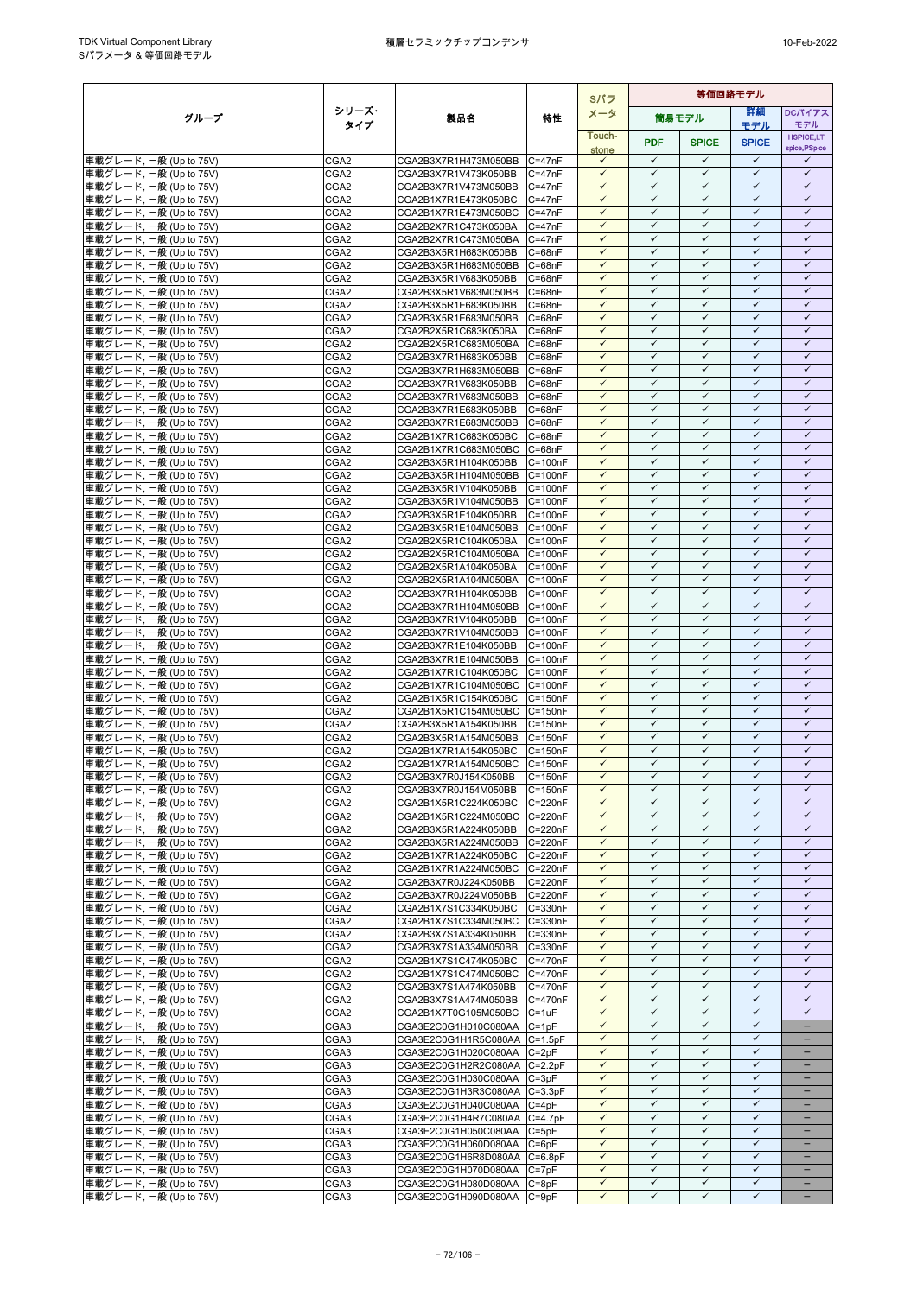|                                                  |                                      |                                                      |                            | Sパラ                          |                              |                              | 等価回路モデル                      |                              |
|--------------------------------------------------|--------------------------------------|------------------------------------------------------|----------------------------|------------------------------|------------------------------|------------------------------|------------------------------|------------------------------|
| グループ                                             | シリーズ・                                | 製品名                                                  | 特性                         | メータ                          |                              | 筒易モデル                        | 詳細                           | DCパイアス                       |
|                                                  | タイプ                                  |                                                      |                            | Touch-                       |                              |                              | モデル                          | モデル<br><b>HSPICE,LT</b>      |
|                                                  |                                      |                                                      |                            | stone                        | <b>PDF</b>                   | <b>SPICE</b>                 | <b>SPICE</b>                 | spice, PSpice                |
| 車載グレード, 一般 (Up to 75V)                           | CGA <sub>2</sub>                     | CGA2B3X7R1H473M050BB                                 | $C = 47nF$                 | $\checkmark$                 | $\checkmark$                 | $\checkmark$                 | $\checkmark$                 | ✓                            |
| 車載グレード, 一般 (Up to 75V)                           | CGA <sub>2</sub>                     | CGA2B3X7R1V473K050BB                                 | $C = 47nF$                 | $\checkmark$                 | $\checkmark$                 | $\checkmark$                 | $\checkmark$                 | $\checkmark$                 |
| 車載グレード, 一般 (Up to 75V)<br>車載グレード, 一般 (Up to 75V) | CGA <sub>2</sub><br>CGA <sub>2</sub> | CGA2B3X7R1V473M050BB<br>CGA2B1X7R1E473K050BC         | $C = 47nF$<br>$C = 47nF$   | $\checkmark$<br>$\checkmark$ | $\checkmark$<br>$\checkmark$ | $\checkmark$<br>$\checkmark$ | $\checkmark$<br>$\checkmark$ | $\checkmark$<br>$\checkmark$ |
| 車載グレード, 一般 (Up to 75V)                           | CGA <sub>2</sub>                     | CGA2B1X7R1E473M050BC C=47nF                          |                            | $\checkmark$                 | $\checkmark$                 | $\checkmark$                 | $\checkmark$                 | $\checkmark$                 |
| 車載グレード, 一般 (Up to 75V)                           | CGA <sub>2</sub>                     | CGA2B2X7R1C473K050BA                                 | $C = 47nF$                 | $\checkmark$                 | $\checkmark$                 | ✓                            | $\checkmark$                 | $\checkmark$                 |
| 車載グレード, 一般 (Up to 75V)                           | CGA <sub>2</sub>                     | CGA2B2X7R1C473M050BA                                 | $C = 47nF$                 | $\checkmark$                 | $\checkmark$                 | $\checkmark$                 | $\checkmark$                 | $\checkmark$                 |
| 車載グレード, 一般 (Up to 75V)                           | CGA <sub>2</sub>                     | CGA2B3X5R1H683K050BB                                 | $C = 68nF$                 | $\checkmark$                 | $\checkmark$                 | $\checkmark$                 | $\checkmark$                 | $\checkmark$                 |
| 車載グレード, 一般 (Up to 75V)                           | CGA <sub>2</sub><br>CGA <sub>2</sub> | CGA2B3X5R1H683M050BB<br>CGA2B3X5R1V683K050BB         | $C = 68nF$<br>$C = 68nF$   | $\checkmark$<br>$\checkmark$ | $\checkmark$<br>$\checkmark$ | $\checkmark$<br>$\checkmark$ | $\checkmark$<br>$\checkmark$ | $\checkmark$<br>$\checkmark$ |
| 車載グレード, 一般 (Up to 75V)<br>車載グレード, 一般 (Up to 75V) | CGA <sub>2</sub>                     | CGA2B3X5R1V683M050BB                                 | $C = 68nF$                 | $\checkmark$                 | ✓                            | ✓                            | ✓                            | ✓                            |
| 車載グレード, 一般 (Up to 75V)                           | CGA <sub>2</sub>                     | CGA2B3X5R1E683K050BB                                 | $C = 68nF$                 | $\checkmark$                 | $\checkmark$                 | $\checkmark$                 | $\checkmark$                 | $\checkmark$                 |
| 車載グレード, 一般 (Up to 75V)                           | CGA <sub>2</sub>                     | CGA2B3X5R1E683M050BB                                 | $C = 68nF$                 | $\checkmark$                 | $\checkmark$                 | $\checkmark$                 | $\checkmark$                 | $\checkmark$                 |
| 車載グレード, 一般 (Up to 75V)                           | CGA <sub>2</sub>                     | CGA2B2X5R1C683K050BA                                 | $C = 68nF$                 | $\checkmark$                 | $\checkmark$                 | $\checkmark$                 | $\checkmark$                 | $\checkmark$                 |
| 車載グレード, 一般 (Up to 75V)                           | CGA <sub>2</sub>                     | CGA2B2X5R1C683M050BA                                 | $C = 68nF$                 | $\checkmark$                 | $\checkmark$                 | $\checkmark$                 | $\checkmark$                 | $\checkmark$                 |
| 車載グレード, 一般 (Up to 75V)<br>車載グレード, 一般 (Up to 75V) | CGA <sub>2</sub><br>CGA <sub>2</sub> | CGA2B3X7R1H683K050BB<br>CGA2B3X7R1H683M050BB         | $C = 68nF$<br>$C = 68nF$   | $\checkmark$<br>$\checkmark$ | $\checkmark$<br>$\checkmark$ | $\checkmark$<br>$\checkmark$ | $\checkmark$<br>$\checkmark$ | $\checkmark$<br>$\checkmark$ |
| 車載グレード, 一般 (Up to 75V)                           | CGA <sub>2</sub>                     | CGA2B3X7R1V683K050BB                                 | $C = 68nF$                 | $\checkmark$                 | $\checkmark$                 | $\checkmark$                 | $\checkmark$                 | $\checkmark$                 |
| 車載グレード, 一般 (Up to 75V)                           | CGA <sub>2</sub>                     | CGA2B3X7R1V683M050BB                                 | $C = 68nF$                 | $\checkmark$                 | $\checkmark$                 | $\checkmark$                 | $\checkmark$                 | $\checkmark$                 |
| 車載グレード, 一般 (Up to 75V)                           | CGA <sub>2</sub>                     | CGA2B3X7R1E683K050BB                                 | $C = 68nF$                 | $\checkmark$                 | $\checkmark$                 | $\checkmark$                 | $\checkmark$                 | $\checkmark$                 |
| 車載グレード, 一般 (Up to 75V)                           | CGA <sub>2</sub>                     | CGA2B3X7R1E683M050BB                                 | $C = 68nF$                 | $\checkmark$                 | $\checkmark$                 | $\checkmark$                 | $\checkmark$                 | $\checkmark$                 |
| 車載グレード, 一般 (Up to 75V)<br>車載グレード, 一般 (Up to 75V) | CGA <sub>2</sub><br>CGA <sub>2</sub> | CGA2B1X7R1C683K050BC<br>CGA2B1X7R1C683M050BC         | $C = 68nF$<br>$C = 68nF$   | $\checkmark$<br>$\checkmark$ | $\checkmark$<br>$\checkmark$ | $\checkmark$<br>$\checkmark$ | $\checkmark$<br>$\checkmark$ | $\checkmark$<br>$\checkmark$ |
| 車載グレード. 一般 (Up to 75V)                           | CGA2                                 | CGA2B3X5R1H104K050BB                                 | $C = 100nF$                | $\checkmark$                 | $\checkmark$                 | $\checkmark$                 | $\checkmark$                 | $\checkmark$                 |
| 車載グレード, 一般 (Up to 75V)                           | CGA <sub>2</sub>                     | CGA2B3X5R1H104M050BB C=100nF                         |                            | $\checkmark$                 | $\checkmark$                 | $\checkmark$                 | $\checkmark$                 | $\checkmark$                 |
| 車載グレード, 一般 (Up to 75V)                           | CGA <sub>2</sub>                     | CGA2B3X5R1V104K050BB                                 | $C = 100nF$                | $\checkmark$                 | $\checkmark$                 | $\checkmark$                 | $\checkmark$                 | $\checkmark$                 |
| 車載グレード, 一般 (Up to 75V)                           | CGA <sub>2</sub>                     | CGA2B3X5R1V104M050BB                                 | $C = 100nF$                | $\checkmark$                 | $\checkmark$                 | $\checkmark$                 | $\checkmark$                 | $\checkmark$                 |
| 車載グレード, 一般 (Up to 75V)                           | CGA <sub>2</sub>                     | CGA2B3X5R1E104K050BB                                 | $C = 100nF$                | $\checkmark$<br>$\checkmark$ | $\checkmark$<br>$\checkmark$ | $\checkmark$<br>$\checkmark$ | $\checkmark$<br>$\checkmark$ | $\checkmark$<br>$\checkmark$ |
| 車載グレード, 一般 (Up to 75V)<br>車載グレード, 一般 (Up to 75V) | CGA <sub>2</sub><br>CGA <sub>2</sub> | CGA2B3X5R1E104M050BB<br>CGA2B2X5R1C104K050BA         | $C = 100nF$<br>$C = 100nF$ | $\checkmark$                 | $\checkmark$                 | ✓                            | $\checkmark$                 | $\checkmark$                 |
| 車載グレード, 一般 (Up to 75V)                           | CGA <sub>2</sub>                     | CGA2B2X5R1C104M050BA                                 | $C = 100nF$                | $\checkmark$                 | $\checkmark$                 | $\checkmark$                 | $\checkmark$                 | $\checkmark$                 |
| 車載グレード, 一般 (Up to 75V)                           | CGA <sub>2</sub>                     | CGA2B2X5R1A104K050BA                                 | $C = 100nF$                | $\checkmark$                 | $\checkmark$                 | $\checkmark$                 | $\checkmark$                 | $\checkmark$                 |
| 車載グレード, 一般 (Up to 75V)                           | CGA <sub>2</sub>                     | CGA2B2X5R1A104M050BA                                 | $C = 100nF$                | $\checkmark$                 | $\checkmark$                 | $\checkmark$                 | $\checkmark$                 | $\checkmark$                 |
| 車載グレード, 一般 (Up to 75V)                           | CGA <sub>2</sub>                     | CGA2B3X7R1H104K050BB                                 | $C = 100nF$                | $\checkmark$                 | $\checkmark$                 | $\checkmark$                 | $\checkmark$                 | $\checkmark$                 |
| 車載グレード, 一般 (Up to 75V)<br>車載グレード, 一般 (Up to 75V) | CGA <sub>2</sub><br>CGA <sub>2</sub> | CGA2B3X7R1H104M050BB<br>CGA2B3X7R1V104K050BB         | $C = 100nF$<br>$C = 100nF$ | $\checkmark$<br>$\checkmark$ | $\checkmark$<br>$\checkmark$ | $\checkmark$<br>$\checkmark$ | $\checkmark$<br>$\checkmark$ | $\checkmark$<br>$\checkmark$ |
| 車載グレード, 一般 (Up to 75V)                           | CGA <sub>2</sub>                     | CGA2B3X7R1V104M050BB                                 | C=100nF                    | $\checkmark$                 | $\checkmark$                 | $\checkmark$                 | $\checkmark$                 | $\checkmark$                 |
| 車載グレード, 一般 (Up to 75V)                           | CGA <sub>2</sub>                     | CGA2B3X7R1E104K050BB                                 | $C = 100nF$                | $\checkmark$                 | $\checkmark$                 | $\checkmark$                 | $\checkmark$                 | $\checkmark$                 |
| 車載グレード, 一般 (Up to 75V)                           | CGA <sub>2</sub>                     | CGA2B3X7R1E104M050BB                                 | $C = 100nF$                | $\checkmark$                 | $\checkmark$                 | $\checkmark$                 | $\checkmark$                 | $\checkmark$                 |
| 車載グレード, 一般 (Up to 75V)                           | CGA <sub>2</sub>                     | CGA2B1X7R1C104K050BC                                 | $C = 100nF$                | $\checkmark$                 | $\checkmark$                 | $\checkmark$                 | $\checkmark$                 | $\checkmark$                 |
| 車載グレード, 一般 (Up to 75V)                           | CGA <sub>2</sub>                     | CGA2B1X7R1C104M050BC C=100nF                         | $C = 150nF$                | $\checkmark$<br>$\checkmark$ | $\checkmark$<br>$\checkmark$ | $\checkmark$<br>$\checkmark$ | $\checkmark$<br>$\checkmark$ | $\checkmark$<br>$\checkmark$ |
| 車載グレード, 一般 (Up to 75V)<br>車載グレード, 一般 (Up to 75V) | CGA <sub>2</sub><br>CGA <sub>2</sub> | CGA2B1X5R1C154K050BC<br>CGA2B1X5R1C154M050BC C=150nF |                            | $\checkmark$                 | $\checkmark$                 | $\checkmark$                 | $\checkmark$                 | $\checkmark$                 |
| 車載グレード, 一般 (Up to 75V)                           | CGA <sub>2</sub>                     | CGA2B3X5R1A154K050BB                                 | $C = 150nF$                | $\checkmark$                 | $\checkmark$                 | $\checkmark$                 | $\checkmark$                 | $\checkmark$                 |
| 車載グレード, 一般 (Up to 75V)                           | CGA <sub>2</sub>                     | CGA2B3X5R1A154M050BB                                 | $C = 150nF$                | $\checkmark$                 | $\checkmark$                 | $\checkmark$                 | $\checkmark$                 | $\checkmark$                 |
| 車載グレード, 一般 (Up to 75V)                           | CGA <sub>2</sub>                     | CGA2B1X7R1A154K050BC                                 | $C = 150nF$                | $\checkmark$                 | $\checkmark$                 | $\checkmark$                 | $\checkmark$                 | $\checkmark$                 |
| 車載グレード, 一般 (Up to 75V)                           | CGA <sub>2</sub>                     | CGA2B1X7R1A154M050BC C=150nF                         |                            | $\checkmark$<br>$\checkmark$ | $\checkmark$<br>$\checkmark$ | $\checkmark$<br>$\checkmark$ | $\checkmark$<br>$\checkmark$ | $\checkmark$<br>$\checkmark$ |
| 車載グレード, 一般 (Up to 75V)<br>車載グレード, 一般 (Up to 75V) | CGA2<br>CGA2                         | CGA2B3X7R0J154K050BB C=150nF<br>CGA2B3X7R0J154M050BB | $C = 150nF$                | $\checkmark$                 | $\checkmark$                 | $\checkmark$                 | $\checkmark$                 | $\checkmark$                 |
| 車載グレード, 一般 (Up to 75V)                           | CGA <sub>2</sub>                     | CGA2B1X5R1C224K050BC                                 | $C = 220nF$                | $\checkmark$                 | $\checkmark$                 | $\checkmark$                 | $\checkmark$                 | $\checkmark$                 |
| 車載グレード, 一般 (Up to 75V)                           | CGA <sub>2</sub>                     | CGA2B1X5R1C224M050BC                                 | $C = 220nF$                | $\checkmark$                 | $\checkmark$                 | $\checkmark$                 | $\checkmark$                 | $\checkmark$                 |
| 車載グレード, 一般 (Up to 75V)                           | CGA <sub>2</sub>                     | CGA2B3X5R1A224K050BB                                 | C=220nF                    | $\checkmark$                 | $\checkmark$                 | $\checkmark$                 | $\checkmark$                 | $\checkmark$                 |
| 車載グレード, 一般 (Up to 75V)                           | CGA <sub>2</sub>                     | CGA2B3X5R1A224M050BB                                 | C=220nF                    | $\checkmark$                 | $\checkmark$                 | $\checkmark$                 | $\checkmark$                 | $\checkmark$                 |
| 車載グレード, 一般 (Up to 75V)<br>車載グレード, 一般 (Up to 75V) | CGA <sub>2</sub><br>CGA <sub>2</sub> | CGA2B1X7R1A224K050BC<br>CGA2B1X7R1A224M050BC         | $C = 220nF$<br>C=220nF     | $\checkmark$<br>$\checkmark$ | $\checkmark$<br>$\checkmark$ | $\checkmark$<br>$\checkmark$ | $\checkmark$<br>$\checkmark$ | $\checkmark$<br>$\checkmark$ |
| 車載グレード, 一般 (Up to 75V)                           | CGA <sub>2</sub>                     | CGA2B3X7R0J224K050BB                                 | C=220nF                    | $\checkmark$                 | $\checkmark$                 | $\checkmark$                 | $\checkmark$                 | $\checkmark$                 |
| 車載グレード, 一般 (Up to 75V)                           | CGA <sub>2</sub>                     | CGA2B3X7R0J224M050BB                                 | $C = 220nF$                | $\checkmark$                 | $\checkmark$                 | $\checkmark$                 | $\checkmark$                 | $\checkmark$                 |
| 車載グレード, 一般 (Up to 75V)                           | CGA <sub>2</sub>                     | CGA2B1X7S1C334K050BC                                 | C=330nF                    | $\checkmark$                 | $\checkmark$                 | $\checkmark$                 | $\checkmark$                 | $\checkmark$                 |
| 車載グレード, 一般 (Up to 75V)                           | CGA <sub>2</sub>                     | CGA2B1X7S1C334M050BC                                 | C=330nF                    | $\checkmark$                 | $\checkmark$                 | $\checkmark$                 | $\checkmark$                 | $\checkmark$                 |
| 車載グレード, 一般 (Up to 75V)<br>車載グレード, 一般 (Up to 75V) | CGA <sub>2</sub>                     | CGA2B3X7S1A334K050BB                                 | C=330nF                    | $\checkmark$<br>$\checkmark$ | $\checkmark$<br>✓            | $\checkmark$<br>✓            | $\checkmark$<br>✓            | $\checkmark$<br>$\checkmark$ |
| 車載グレード, 一般 (Up to 75V)                           | CGA <sub>2</sub><br>CGA <sub>2</sub> | CGA2B3X7S1A334M050BB<br>CGA2B1X7S1C474K050BC         | C=330nF<br>C=470nF         | $\checkmark$                 | $\checkmark$                 | $\checkmark$                 | $\checkmark$                 | $\checkmark$                 |
| 車載グレード, 一般 (Up to 75V)                           | CGA <sub>2</sub>                     | CGA2B1X7S1C474M050BC                                 | C=470nF                    | $\checkmark$                 | $\checkmark$                 | $\checkmark$                 | $\checkmark$                 | $\checkmark$                 |
| 車載グレード, 一般 (Up to 75V)                           | CGA <sub>2</sub>                     | CGA2B3X7S1A474K050BB                                 | $C = 470nF$                | $\checkmark$                 | $\checkmark$                 | $\checkmark$                 | $\checkmark$                 | $\checkmark$                 |
| 車載グレード, 一般 (Up to 75V)                           | CGA <sub>2</sub>                     | CGA2B3X7S1A474M050BB                                 | C=470nF                    | $\checkmark$                 | $\checkmark$                 | $\checkmark$                 | $\checkmark$                 | $\checkmark$                 |
| 車載グレード, 一般 (Up to 75V)                           | CGA <sub>2</sub>                     | CGA2B1X7T0G105M050BC                                 | $C = 1uF$                  | $\checkmark$                 | $\checkmark$                 | ✓                            | $\checkmark$                 | $\checkmark$                 |
| 車載グレード, 一般 (Up to 75V)<br>車載グレード, 一般 (Up to 75V) | CGA3<br>CGA3                         | CGA3E2C0G1H010C080AA<br>CGA3E2C0G1H1R5C080AA C=1.5pF | $C = 1pF$                  | $\checkmark$<br>$\checkmark$ | $\checkmark$<br>$\checkmark$ | $\checkmark$<br>$\checkmark$ | $\checkmark$<br>$\checkmark$ | $\overline{\phantom{a}}$     |
| 車載グレード, 一般 (Up to 75V)                           | CGA <sub>3</sub>                     | CGA3E2C0G1H020C080AA                                 | $C = 2pF$                  | $\checkmark$                 | $\checkmark$                 | $\checkmark$                 | $\checkmark$                 | -                            |
| 車載グレード, 一般 (Up to 75V)                           | CGA3                                 | CGA3E2C0G1H2R2C080AA C=2.2pF                         |                            | $\checkmark$                 | $\checkmark$                 | $\checkmark$                 | $\checkmark$                 | $\equiv$                     |
| 車載グレード, 一般 (Up to 75V)                           | CGA3                                 | CGA3E2C0G1H030C080AA C=3pF                           |                            | $\checkmark$                 | $\checkmark$                 | $\checkmark$                 | $\checkmark$                 |                              |
| 車載グレード, 一般 (Up to 75V)                           | CGA <sub>3</sub>                     | CGA3E2C0G1H3R3C080AA C=3.3pF                         |                            | $\checkmark$                 | $\checkmark$                 | $\checkmark$                 | $\checkmark$                 |                              |
| 車載グレード, 一般 (Up to 75V)                           | CGA3                                 | CGA3E2C0G1H040C080AA                                 | $C = 4pF$                  | $\checkmark$                 | $\checkmark$                 | $\checkmark$                 | $\checkmark$                 | -                            |
| 車載グレード, 一般 (Up to 75V)<br>車載グレード, 一般 (Up to 75V) | CGA3<br>CGA3                         | CGA3E2C0G1H4R7C080AA C=4.7pF<br>CGA3E2C0G1H050C080AA | $C = 5pF$                  | $\checkmark$<br>$\checkmark$ | $\checkmark$<br>$\checkmark$ | $\checkmark$<br>$\checkmark$ | ✓<br>$\checkmark$            | -                            |
| 車載グレード, 一般 (Up to 75V)                           | CGA3                                 | CGA3E2C0G1H060D080AA                                 | $C = 6pF$                  | $\checkmark$                 | $\checkmark$                 | $\checkmark$                 | $\checkmark$                 | -                            |
| 車載グレード, 一般 (Up to 75V)                           | CGA3                                 | CGA3E2C0G1H6R8D080AA C=6.8pF                         |                            | $\checkmark$                 | $\checkmark$                 | $\checkmark$                 | $\checkmark$                 |                              |
| 車載グレード, 一般 (Up to 75V)                           | CGA3                                 | CGA3E2C0G1H070D080AA C=7pF                           |                            | $\checkmark$                 | $\checkmark$                 | $\checkmark$                 | $\checkmark$                 | $\overline{\phantom{0}}$     |
| 車載グレード, 一般 (Up to 75V)                           | CGA3                                 | CGA3E2C0G1H080D080AA                                 | $C = 8pF$                  | $\checkmark$                 | $\checkmark$                 | $\checkmark$                 | $\checkmark$                 | $\overline{\phantom{a}}$     |
| 車載グレード, 一般 (Up to 75V)                           | CGA3                                 | CGA3E2C0G1H090D080AA                                 | $C = 9pF$                  | ✓                            | ✓                            | ✓                            | ✓                            | -                            |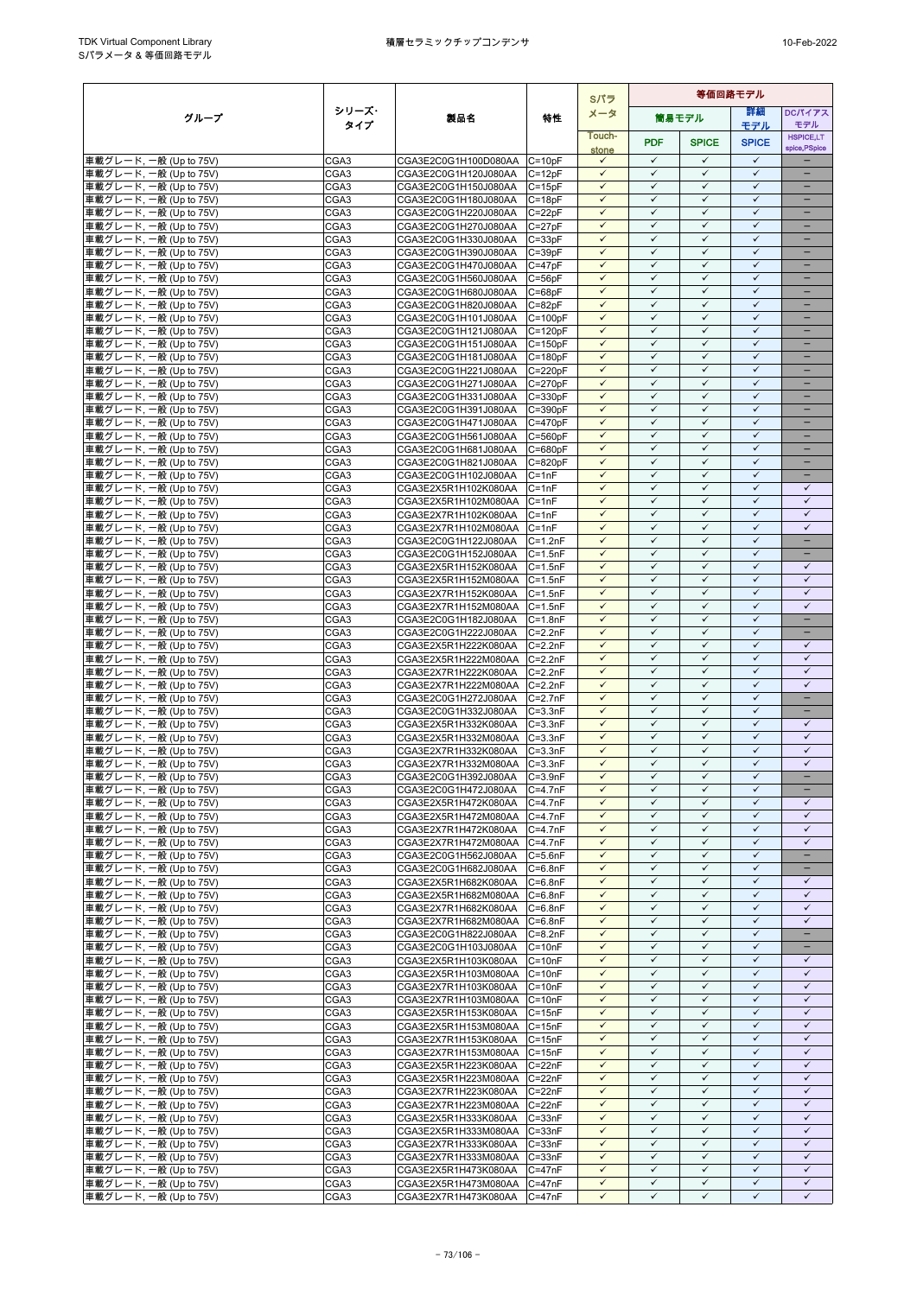|                                                  |                  |                                                            |                            | Sパラ                          | 等価回路モデル                      |                              |                              |                               |
|--------------------------------------------------|------------------|------------------------------------------------------------|----------------------------|------------------------------|------------------------------|------------------------------|------------------------------|-------------------------------|
| グループ                                             | シリーズ・            | 製品名                                                        | 特性                         | メータ                          |                              | 筒易モデル                        | 詳細                           | DCパイアス                        |
|                                                  | タイプ              |                                                            |                            | Touch-                       |                              |                              | モデル                          | モデル<br><b>HSPICE,LT</b>       |
|                                                  |                  |                                                            |                            | stone                        | <b>PDF</b>                   | <b>SPICE</b>                 | <b>SPICE</b>                 | spice, PSpice                 |
| 車載グレード, 一般 (Up to 75V)                           | CGA3             | CGA3E2C0G1H100D080AA C=10pF                                |                            | $\checkmark$                 | $\checkmark$                 | $\checkmark$                 | $\checkmark$                 |                               |
| 車載グレード, 一般 (Up to 75V)                           | CGA3             | CGA3E2C0G1H120J080AA                                       | $C = 12pF$                 | $\checkmark$                 | $\checkmark$                 | $\checkmark$                 | $\checkmark$                 |                               |
| 車載グレード, 一般 (Up to 75V)                           | CGA3             | CGA3E2C0G1H150J080AA                                       | $C = 15pF$                 | $\checkmark$<br>$\checkmark$ | $\checkmark$<br>$\checkmark$ | $\checkmark$<br>$\checkmark$ | $\checkmark$<br>$\checkmark$ | ÷                             |
| 車載グレード, 一般 (Up to 75V)<br>車載グレード, 一般 (Up to 75V) | CGA3<br>CGA3     | CGA3E2C0G1H180J080AA<br>CGA3E2C0G1H220J080AA               | $C = 18pF$<br>$C = 22pF$   | $\checkmark$                 | $\checkmark$                 | $\checkmark$                 | $\checkmark$                 | $\qquad \qquad -$             |
| 車載グレード, 一般 (Up to 75V)                           | CGA3             | CGA3E2C0G1H270J080AA                                       | $C = 27pF$                 | $\checkmark$                 | $\checkmark$                 | ✓                            | ✓                            | -                             |
| 車載グレード, 一般 (Up to 75V)                           | CGA3             | CGA3E2C0G1H330J080AA                                       | $C = 33pF$                 | $\checkmark$                 | $\checkmark$                 | $\checkmark$                 | $\checkmark$                 | -                             |
| 車載グレード, 一般 (Up to 75V)                           | CGA3             | CGA3E2C0G1H390J080AA                                       | $C = 39pF$                 | $\checkmark$                 | $\checkmark$                 | $\checkmark$                 | $\checkmark$                 |                               |
| 車載グレード, 一般 (Up to 75V)                           | CGA <sub>3</sub> | CGA3E2C0G1H470J080AA                                       | $C = 47pF$                 | $\checkmark$                 | $\checkmark$                 | $\checkmark$                 | $\checkmark$                 | $\equiv$                      |
| 車載グレード, 一般 (Up to 75V)                           | CGA3             | CGA3E2C0G1H560J080AA                                       | $C = 56pF$                 | $\checkmark$<br>$\checkmark$ | $\checkmark$<br>$\checkmark$ | $\checkmark$<br>$\checkmark$ | $\checkmark$<br>$\checkmark$ | $\overline{\phantom{0}}$<br>- |
| 車載グレード, 一般 (Up to 75V)<br>車載グレード, 一般 (Up to 75V) | CGA3<br>CGA3     | CGA3E2C0G1H680J080AA<br>CGA3E2C0G1H820J080AA               | $C = 68pF$<br>$C = 82pF$   | $\checkmark$                 | $\checkmark$                 | $\checkmark$                 | $\checkmark$                 | $\qquad \qquad -$             |
| 車載グレード, 一般 (Up to 75V)                           | CGA3             | CGA3E2C0G1H101J080AA                                       | $C = 100pF$                | $\checkmark$                 | $\checkmark$                 | $\checkmark$                 | $\checkmark$                 |                               |
| 車載グレード, 一般 (Up to 75V)                           | CGA3             | CGA3E2C0G1H121J080AA                                       | $C = 120pF$                | $\checkmark$                 | $\checkmark$                 | $\checkmark$                 | $\checkmark$                 |                               |
| 車載グレード, 一般 (Up to 75V)                           | CGA <sub>3</sub> | CGA3E2C0G1H151J080AA                                       | $C = 150pF$                | $\checkmark$                 | $\checkmark$                 | $\checkmark$                 | $\checkmark$                 | $=$                           |
| 車載グレード, 一般 (Up to 75V)                           | CGA3             | CGA3E2C0G1H181J080AA                                       | $C = 180pF$                | $\checkmark$                 | $\checkmark$                 | $\checkmark$                 | $\checkmark$                 | -                             |
| 車載グレード, 一般 (Up to 75V)                           | CGA3             | CGA3E2C0G1H221J080AA                                       | $C = 220pF$                | $\checkmark$<br>$\checkmark$ | $\checkmark$<br>$\checkmark$ | $\checkmark$<br>$\checkmark$ | $\checkmark$<br>$\checkmark$ | $\equiv$<br>-                 |
| 車載グレード, 一般 (Up to 75V)<br>車載グレード, 一般 (Up to 75V) | CGA3<br>CGA3     | CGA3E2C0G1H271J080AA<br>CGA3E2C0G1H331J080AA               | $C = 270pF$<br>$C = 330pF$ | $\checkmark$                 | $\checkmark$                 | $\checkmark$                 | $\checkmark$                 | -                             |
| 車載グレード, 一般 (Up to 75V)                           | CGA3             | CGA3E2C0G1H391J080AA                                       | $C = 390pF$                | $\checkmark$                 | ✓                            | ✓                            | $\checkmark$                 |                               |
| 車載グレード, 一般 (Up to 75V)                           | CGA <sub>3</sub> | CGA3E2C0G1H471J080AA                                       | $C = 470pF$                | $\checkmark$                 | $\checkmark$                 | $\checkmark$                 | $\checkmark$                 | ÷                             |
| 車載グレード, 一般 (Up to 75V)                           | CGA3             | CGA3E2C0G1H561J080AA                                       | $C = 560pF$                | $\checkmark$                 | $\checkmark$                 | $\checkmark$                 | $\checkmark$                 |                               |
| 車載グレード, 一般 (Up to 75V)                           | CGA3             | CGA3E2C0G1H681J080AA                                       | $C = 680pF$                | $\checkmark$                 | $\checkmark$                 | $\checkmark$                 | $\checkmark$                 | ÷                             |
| 車載グレード, 一般 (Up to 75V)                           | CGA3             | CGA3E2C0G1H821J080AA<br>CGA3E2C0G1H102J080AA               | $C = 820pF$                | $\checkmark$                 | $\checkmark$                 | $\checkmark$                 | $\checkmark$                 | -                             |
| 車載グレード, 一般 (Up to 75V)<br>車載グレード, 一般 (Up to 75V) | CGA3<br>CGA3     | CGA3E2X5R1H102K080AA                                       | $C = 1nF$<br>$C = 1nF$     | $\checkmark$<br>$\checkmark$ | $\checkmark$<br>$\checkmark$ | ✓<br>$\checkmark$            | $\checkmark$<br>$\checkmark$ | -<br>$\checkmark$             |
| 車載グレード, 一般 (Up to 75V)                           | CGA3             | CGA3E2X5R1H102M080AA                                       | $C = 1nF$                  | ✓                            | $\checkmark$                 | $\checkmark$                 | $\checkmark$                 | $\checkmark$                  |
| 車載グレード, 一般 (Up to 75V)                           | CGA <sub>3</sub> | CGA3E2X7R1H102K080AA                                       | $C = 1nF$                  | $\checkmark$                 | $\checkmark$                 | $\checkmark$                 | $\checkmark$                 | $\checkmark$                  |
| 車載グレード, 一般 (Up to 75V)                           | CGA3             | CGA3E2X7R1H102M080AA                                       | $C = 1nF$                  | $\checkmark$                 | $\checkmark$                 | $\checkmark$                 | $\checkmark$                 | $\checkmark$                  |
| 車載グレード, 一般 (Up to 75V)                           | CGA3             | CGA3E2C0G1H122J080AA                                       | $C = 1.2nF$                | $\checkmark$                 | $\checkmark$                 | $\checkmark$                 | $\checkmark$                 | -                             |
| 車載グレード, 一般 (Up to 75V)                           | CGA3<br>CGA3     | CGA3E2C0G1H152J080AA                                       | $C = 1.5nF$<br>$C = 1.5nF$ | $\checkmark$<br>$\checkmark$ | $\checkmark$<br>$\checkmark$ | $\checkmark$<br>$\checkmark$ | $\checkmark$<br>$\checkmark$ | -<br>$\checkmark$             |
| 車載グレード, 一般 (Up to 75V)<br>車載グレード, 一般 (Up to 75V) | CGA3             | CGA3E2X5R1H152K080AA<br>CGA3E2X5R1H152M080AA               | $C = 1.5nF$                | $\checkmark$                 | $\checkmark$                 | $\checkmark$                 | $\checkmark$                 | $\checkmark$                  |
| 車載グレード, 一般 (Up to 75V)                           | CGA <sub>3</sub> | CGA3E2X7R1H152K080AA                                       | $C = 1.5nF$                | $\checkmark$                 | $\checkmark$                 | $\checkmark$                 | $\checkmark$                 | $\checkmark$                  |
| 車載グレード, 一般 (Up to 75V)                           | CGA3             | CGA3E2X7R1H152M080AA                                       | $C = 1.5nF$                | $\checkmark$                 | $\checkmark$                 | $\checkmark$                 | $\checkmark$                 | $\checkmark$                  |
| 車載グレード, 一般 (Up to 75V)                           | CGA3             | CGA3E2C0G1H182J080AA                                       | $C = 1.8nF$                | $\checkmark$                 | $\checkmark$                 | $\checkmark$                 | $\checkmark$                 | $\equiv$                      |
| 車載グレード, 一般 (Up to 75V)                           | CGA3             | CGA3E2C0G1H222J080AA                                       | $C = 2.2nF$                | $\checkmark$                 | $\checkmark$                 | $\checkmark$                 | $\checkmark$                 | $\qquad \qquad -$             |
| 車載グレード, 一般 (Up to 75V)                           | CGA3<br>CGA3     | CGA3E2X5R1H222K080AA                                       | $C = 2.2nF$<br>$C = 2.2nF$ | $\checkmark$<br>$\checkmark$ | $\checkmark$<br>$\checkmark$ | $\checkmark$<br>$\checkmark$ | $\checkmark$<br>$\checkmark$ | $\checkmark$<br>$\checkmark$  |
| 車載グレード, 一般 (Up to 75V)<br>車載グレード, 一般 (Up to 75V) | CGA3             | CGA3E2X5R1H222M080AA<br>CGA3E2X7R1H222K080AA               | $C = 2.2nF$                | $\checkmark$                 | $\checkmark$                 | $\checkmark$                 | $\checkmark$                 | $\checkmark$                  |
| 車載グレード, 一般 (Up to 75V)                           | CGA3             | CGA3E2X7R1H222M080AA                                       | $C = 2.2nF$                | $\checkmark$                 | $\checkmark$                 | $\checkmark$                 | $\checkmark$                 | $\checkmark$                  |
| 車載グレード, 一般 (Up to 75V)                           | CGA3             | CGA3E2C0G1H272J080AA                                       | $C = 2.7nF$                | $\checkmark$                 | $\checkmark$                 | $\checkmark$                 | $\checkmark$                 | $\equiv$                      |
| 車載グレード, 一般 (Up to 75V)                           | CGA3             | CGA3E2C0G1H332J080AA                                       | $C = 3.3nF$                | $\checkmark$                 | $\checkmark$                 | $\checkmark$                 | $\checkmark$                 | $\overline{\phantom{a}}$      |
| 車載グレード, 一般 (Up to 75V)                           | CGA3             | CGA3E2X5R1H332K080AA                                       | $C = 3.3nF$                | $\checkmark$                 | $\checkmark$                 | ✓                            | $\checkmark$                 | ✓                             |
| 車載グレード, 一般 (Up to 75V)                           | CGA3             | CGA3E2X5R1H332M080AA                                       | $C = 3.3nF$                | $\checkmark$<br>✓            | $\checkmark$<br>$\checkmark$ | $\checkmark$<br>$\checkmark$ | $\checkmark$<br>$\checkmark$ | $\checkmark$<br>$\checkmark$  |
| 車載グレード, 一般 (Up to 75V)<br>車載グレード, 一般 (Up to 75V) | CGA3<br>CGA3     | CGA3E2X7R1H332K080AA<br>CGA3E2X7R1H332M080AA               | $C = 3.3nF$<br>$C = 3.3nF$ | $\checkmark$                 | $\checkmark$                 | $\checkmark$                 | $\checkmark$                 | $\checkmark$                  |
| 車載グレード, 一般 (Up to 75V)                           | CGA3             | CGA3E2C0G1H392J080AA                                       | $C = 3.9nF$                | $\checkmark$                 | $\checkmark$                 | $\checkmark$                 | $\checkmark$                 |                               |
| 車載グレード, 一般 (Up to 75V)                           | CGA3             | CGA3E2C0G1H472J080AA                                       | $C=4.7nF$                  | $\checkmark$                 | $\checkmark$                 | $\checkmark$                 | $\checkmark$                 |                               |
| 車載グレード, 一般 (Up to 75V)                           | CGA <sub>3</sub> | CGA3E2X5R1H472K080AA                                       | $C = 4.7nF$                | $\checkmark$                 | $\checkmark$                 | $\checkmark$                 | $\checkmark$                 | $\checkmark$                  |
| 車載グレード, 一般 (Up to 75V)                           | CGA3             | CGA3E2X5R1H472M080AA C=4.7nF                               |                            | $\checkmark$                 | $\checkmark$                 | $\checkmark$                 | $\checkmark$                 | $\checkmark$                  |
| 車載グレード, 一般 (Up to 75V)                           | CGA3             | CGA3E2X7R1H472K080AA                                       | $C=4.7nF$<br>$C=4.7nF$     | $\checkmark$<br>$\checkmark$ | $\checkmark$<br>$\checkmark$ | $\checkmark$<br>$\checkmark$ | $\checkmark$<br>$\checkmark$ | $\checkmark$<br>$\checkmark$  |
| 車載グレード, 一般 (Up to 75V)<br>車載グレード, 一般 (Up to 75V) | CGA3<br>CGA3     | CGA3E2X7R1H472M080AA<br>CGA3E2C0G1H562J080AA               | $C = 5.6nF$                | $\checkmark$                 | $\checkmark$                 | $\checkmark$                 | $\checkmark$                 | -                             |
| 車載グレード, 一般 (Up to 75V)                           | CGA <sub>3</sub> | CGA3E2C0G1H682J080AA                                       | $C = 6.8nF$                | $\checkmark$                 | $\checkmark$                 | $\checkmark$                 | $\checkmark$                 | -                             |
| 車載グレード, 一般 (Up to 75V)                           | CGA3             | CGA3E2X5R1H682K080AA                                       | $C = 6.8nF$                | $\checkmark$                 | $\checkmark$                 | $\checkmark$                 | $\checkmark$                 | $\checkmark$                  |
| 車載グレード, 一般 (Up to 75V)                           | CGA3             | CGA3E2X5R1H682M080AA C=6.8nF                               |                            | $\checkmark$                 | $\checkmark$                 | $\checkmark$                 | $\checkmark$                 | $\checkmark$                  |
| 車載グレード, 一般 (Up to 75V)                           | CGA <sub>3</sub> | CGA3E2X7R1H682K080AA                                       | $C = 6.8nF$                | $\checkmark$                 | $\checkmark$                 | $\checkmark$                 | $\checkmark$                 | $\checkmark$                  |
| 車載グレード, 一般 (Up to 75V)<br>車載グレード, 一般 (Up to 75V) | CGA3<br>CGA3     | CGA3E2X7R1H682M080AA<br>CGA3E2C0G1H822J080AA               | $C = 6.8nF$<br>$C = 8.2nF$ | $\checkmark$<br>$\checkmark$ | $\checkmark$<br>$\checkmark$ | $\checkmark$<br>$\checkmark$ | $\checkmark$<br>$\checkmark$ | $\checkmark$                  |
| 車載グレード, 一般 (Up to 75V)                           | CGA3             | CGA3E2C0G1H103J080AA                                       | $C = 10nF$                 | $\checkmark$                 | $\checkmark$                 | ✓                            | $\checkmark$                 |                               |
| 車載グレード, 一般 (Up to 75V)                           | CGA3             | CGA3E2X5R1H103K080AA                                       | $C = 10nF$                 | $\checkmark$                 | $\checkmark$                 | $\checkmark$                 | $\checkmark$                 | $\checkmark$                  |
| 車載グレード, 一般 (Up to 75V)                           | CGA <sub>3</sub> | CGA3E2X5R1H103M080AA C=10nF                                |                            | $\checkmark$                 | $\checkmark$                 | ✓                            | ✓                            | $\checkmark$                  |
| 車載グレード, 一般 (Up to 75V)                           | CGA3             | CGA3E2X7R1H103K080AA                                       | $C = 10nF$                 | $\checkmark$                 | $\checkmark$                 | $\checkmark$                 | $\checkmark$                 | $\checkmark$                  |
| 車載グレード, 一般 (Up to 75V)                           | CGA3             | CGA3E2X7R1H103M080AA                                       | $C = 10nF$                 | $\checkmark$                 | $\checkmark$                 | $\checkmark$                 | $\checkmark$                 | $\checkmark$                  |
| 車載グレード, 一般 (Up to 75V)<br>車載グレード, 一般 (Up to 75V) | CGA3<br>CGA3     | CGA3E2X5R1H153K080AA<br>CGA3E2X5R1H153M080AA C=15nF        | $C = 15nF$                 | $\checkmark$<br>$\checkmark$ | $\checkmark$<br>$\checkmark$ | $\checkmark$<br>$\checkmark$ | $\checkmark$<br>$\checkmark$ | $\checkmark$<br>$\checkmark$  |
| 車載グレード, 一般 (Up to 75V)                           | CGA3             | CGA3E2X7R1H153K080AA                                       | $C = 15nF$                 | $\checkmark$                 | $\checkmark$                 | $\checkmark$                 | $\checkmark$                 | $\checkmark$                  |
| 車載グレード, 一般 (Up to 75V)                           | CGA <sub>3</sub> | CGA3E2X7R1H153M080AA C=15nF                                |                            | $\checkmark$                 | $\checkmark$                 | $\checkmark$                 | $\checkmark$                 | $\checkmark$                  |
| 車載グレード, 一般 (Up to 75V)                           | CGA3             | CGA3E2X5R1H223K080AA                                       | $C = 22nF$                 | $\checkmark$                 | $\checkmark$                 | $\checkmark$                 | $\checkmark$                 | $\checkmark$                  |
| 車載グレード, 一般 (Up to 75V)                           | CGA3             | CGA3E2X5R1H223M080AA                                       | $C = 22nF$                 | $\checkmark$                 | $\checkmark$                 | $\checkmark$                 | $\checkmark$                 | $\checkmark$                  |
| 車載グレード, 一般 (Up to 75V)                           | CGA3             | CGA3E2X7R1H223K080AA                                       | $C = 22nF$                 | $\checkmark$                 | $\checkmark$                 | $\checkmark$                 | $\checkmark$                 | $\checkmark$                  |
| 車載グレード, 一般 (Up to 75V)<br>車載グレード, 一般 (Up to 75V) | CGA3<br>CGA3     | CGA3E2X7R1H223M080AA C=22nF<br>CGA3E2X5R1H333K080AA C=33nF |                            | $\checkmark$<br>$\checkmark$ | $\checkmark$<br>$\checkmark$ | $\checkmark$<br>$\checkmark$ | $\checkmark$<br>$\checkmark$ | $\checkmark$<br>$\checkmark$  |
| 車載グレード, 一般 (Up to 75V)                           | CGA3             | CGA3E2X5R1H333M080AA C=33nF                                |                            | $\checkmark$                 | $\checkmark$                 | ✓                            | ✓                            | ✓                             |
| 車載グレード, 一般 (Up to 75V)                           | CGA <sub>3</sub> | CGA3E2X7R1H333K080AA                                       | $C = 33nF$                 | $\checkmark$                 | $\checkmark$                 | $\checkmark$                 | $\checkmark$                 | $\checkmark$                  |
| 車載グレード, 一般 (Up to 75V)                           | CGA <sub>3</sub> | CGA3E2X7R1H333M080AA C=33nF                                |                            | $\checkmark$                 | $\checkmark$                 | $\checkmark$                 | $\checkmark$                 | $\checkmark$                  |
| 車載グレード, 一般 (Up to 75V)                           | CGA3             | CGA3E2X5R1H473K080AA                                       | $C = 47nF$                 | $\checkmark$                 | $\checkmark$                 | $\checkmark$                 | $\checkmark$                 | $\checkmark$                  |
| 車載グレード, 一般 (Up to 75V)                           | CGA3             | CGA3E2X5R1H473M080AA C=47nF                                |                            | $\checkmark$                 | $\checkmark$                 | $\checkmark$                 | $\checkmark$                 | $\checkmark$                  |
| 車載グレード, 一般 (Up to 75V)                           | CGA <sub>3</sub> | CGA3E2X7R1H473K080AA                                       | $C = 47nF$                 | $\checkmark$                 | $\checkmark$                 | ✓                            | $\checkmark$                 | $\checkmark$                  |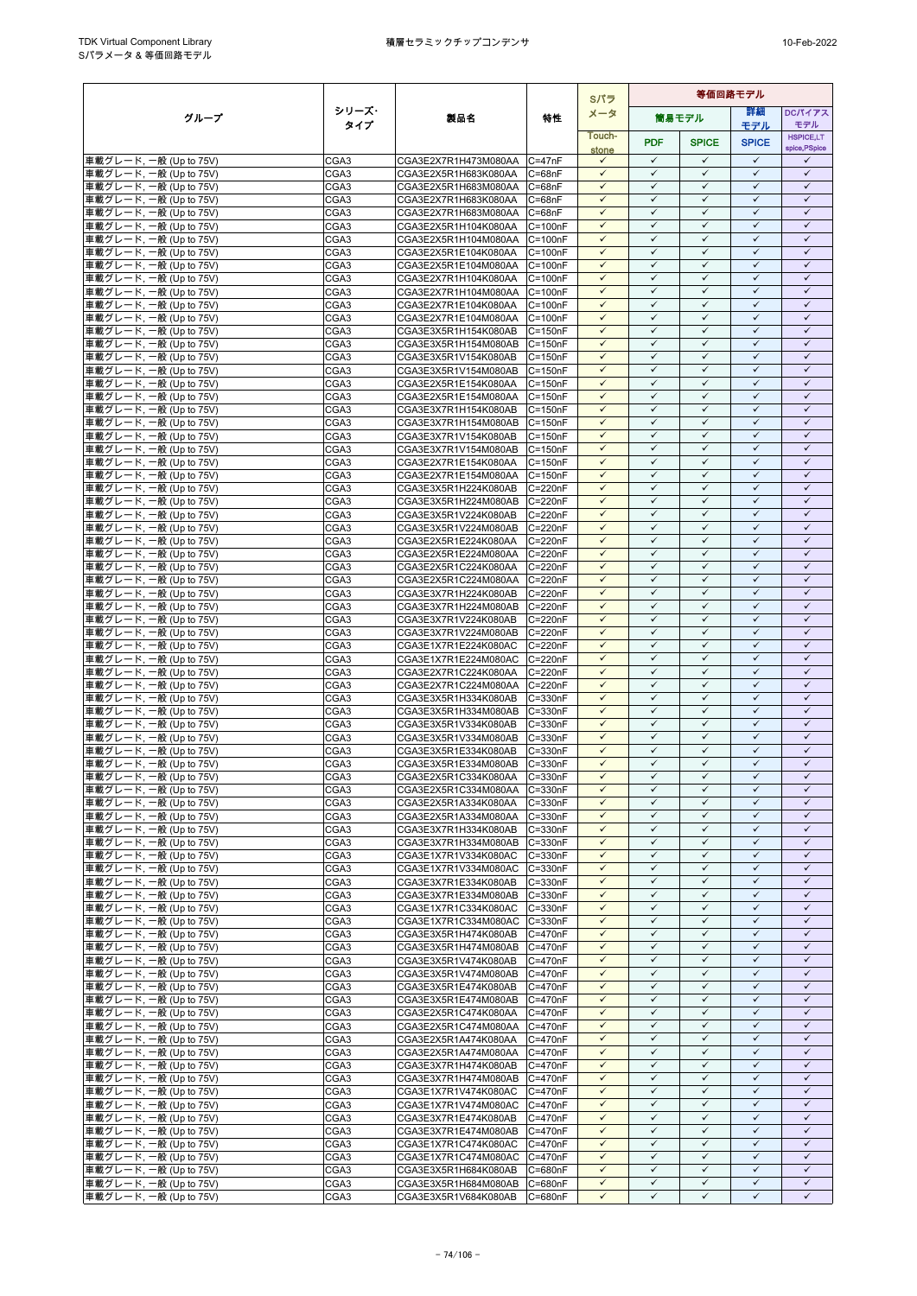|                                                  |              |                                                              |                            | Sパラ                          | 等価回路モデル                      |                              |                              |                              |
|--------------------------------------------------|--------------|--------------------------------------------------------------|----------------------------|------------------------------|------------------------------|------------------------------|------------------------------|------------------------------|
| グループ                                             | シリーズ・        | 製品名                                                          | 特性                         | メータ                          |                              | 筒易モデル                        | 詳細                           | <b>DCパイアス</b>                |
|                                                  | タイプ          |                                                              |                            | Touch-                       |                              |                              | モデル                          | モデル<br><b>HSPICE,LT</b>      |
|                                                  |              |                                                              |                            | stone                        | <b>PDF</b>                   | <b>SPICE</b>                 | <b>SPICE</b>                 | spice, PSpice                |
| 車載グレード, 一般 (Up to 75V)                           | CGA3         | CGA3E2X7R1H473M080AA C=47nF                                  |                            | $\checkmark$                 | $\checkmark$                 | $\checkmark$                 | $\checkmark$                 | $\checkmark$                 |
| 車載グレード, 一般 (Up to 75V)                           | CGA3         | CGA3E2X5R1H683K080AA                                         | $C = 68nF$                 | $\checkmark$                 | $\checkmark$                 | $\checkmark$                 | $\checkmark$                 | $\checkmark$                 |
| 車載グレード, 一般 (Up to 75V)                           | CGA3         | CGA3E2X5R1H683M080AA                                         | $C = 68nF$                 | $\checkmark$<br>$\checkmark$ | $\checkmark$<br>$\checkmark$ | ✓<br>$\checkmark$            | $\checkmark$<br>$\checkmark$ | $\checkmark$<br>$\checkmark$ |
| 車載グレード, 一般 (Up to 75V)<br>車載グレード, 一般 (Up to 75V) | CGA3<br>CGA3 | CGA3E2X7R1H683K080AA<br>CGA3E2X7R1H683M080AA C=68nF          | $C = 68nF$                 | $\checkmark$                 | $\checkmark$                 | $\checkmark$                 | $\checkmark$                 | $\checkmark$                 |
| 車載グレード, 一般 (Up to 75V)                           | CGA3         | CGA3E2X5R1H104K080AA                                         | $C = 100nF$                | $\checkmark$                 | $\checkmark$                 | ✓                            | $\checkmark$                 | $\checkmark$                 |
| 車載グレード, 一般 (Up to 75V)                           | CGA3         | CGA3E2X5R1H104M080AA C=100nF                                 |                            | $\checkmark$                 | $\checkmark$                 | $\checkmark$                 | $\checkmark$                 | $\checkmark$                 |
| 車載グレード, 一般 (Up to 75V)                           | CGA3         | CGA3E2X5R1E104K080AA                                         | $C = 100nF$                | $\checkmark$                 | $\checkmark$                 | $\checkmark$                 | $\checkmark$                 | $\checkmark$                 |
| 車載グレード, 一般 (Up to 75V)                           | CGA3         | CGA3E2X5R1E104M080AA                                         | $C = 100nF$                | $\checkmark$                 | $\checkmark$                 | $\checkmark$                 | $\checkmark$                 | $\checkmark$                 |
| 車載グレード, 一般 (Up to 75V)                           | CGA3         | CGA3E2X7R1H104K080AA                                         | $C = 100nF$                | $\checkmark$<br>$\checkmark$ | $\checkmark$<br>$\checkmark$ | $\checkmark$<br>$\checkmark$ | $\checkmark$<br>$\checkmark$ | $\checkmark$<br>$\checkmark$ |
| 車載グレード, 一般 (Up to 75V)<br>車載グレード, 一般 (Up to 75V) | CGA3<br>CGA3 | CGA3E2X7R1H104M080AA C=100nF<br>CGA3E2X7R1E104K080AA         | $C = 100nF$                | $\checkmark$                 | $\checkmark$                 | $\checkmark$                 | $\checkmark$                 | $\checkmark$                 |
| 車載グレード, 一般 (Up to 75V)                           | CGA3         | CGA3E2X7R1E104M080AA C=100nF                                 |                            | $\checkmark$                 | $\checkmark$                 | $\checkmark$                 | $\checkmark$                 | $\checkmark$                 |
| 車載グレード, 一般 (Up to 75V)                           | CGA3         | CGA3E3X5R1H154K080AB                                         | $C = 150nF$                | $\checkmark$                 | $\checkmark$                 | $\checkmark$                 | $\checkmark$                 | $\checkmark$                 |
| 車載グレード, 一般 (Up to 75V)                           | CGA3         | CGA3E3X5R1H154M080AB                                         | $C = 150nF$                | $\checkmark$                 | $\checkmark$                 | $\checkmark$                 | $\checkmark$                 | $\checkmark$                 |
| 車載グレード, 一般 (Up to 75V)                           | CGA3         | CGA3E3X5R1V154K080AB                                         | $C = 150nF$                | $\checkmark$                 | $\checkmark$                 | $\checkmark$                 | $\checkmark$                 | $\checkmark$                 |
| 車載グレード, 一般 (Up to 75V)                           | CGA3<br>CGA3 | CGA3E3X5R1V154M080AB                                         | $C = 150nF$<br>$C = 150nF$ | $\checkmark$<br>$\checkmark$ | $\checkmark$<br>$\checkmark$ | $\checkmark$<br>$\checkmark$ | $\checkmark$<br>$\checkmark$ | $\checkmark$<br>$\checkmark$ |
| 車載グレード, 一般 (Up to 75V)<br>車載グレード, 一般 (Up to 75V) | CGA3         | CGA3E2X5R1E154K080AA<br>CGA3E2X5R1E154M080AA                 | $C = 150nF$                | $\checkmark$                 | $\checkmark$                 | $\checkmark$                 | $\checkmark$                 | $\checkmark$                 |
| 車載グレード, 一般 (Up to 75V)                           | CGA3         | CGA3E3X7R1H154K080AB                                         | $C = 150nF$                | $\checkmark$                 | $\checkmark$                 | ✓                            | $\checkmark$                 | $\checkmark$                 |
| 車載グレード, 一般 (Up to 75V)                           | CGA3         | CGA3E3X7R1H154M080AB                                         | $C = 150nF$                | $\checkmark$                 | $\checkmark$                 | $\checkmark$                 | $\checkmark$                 | $\checkmark$                 |
| 車載グレード, 一般 (Up to 75V)                           | CGA3         | CGA3E3X7R1V154K080AB                                         | $C = 150nF$                | $\checkmark$                 | $\checkmark$                 | $\checkmark$                 | $\checkmark$                 | $\checkmark$                 |
| 車載グレード, 一般 (Up to 75V)                           | CGA3         | CGA3E3X7R1V154M080AB                                         | $C = 150nF$                | $\checkmark$                 | $\checkmark$                 | $\checkmark$                 | $\checkmark$                 | $\checkmark$                 |
| 車載グレード, 一般 (Up to 75V)                           | CGA3<br>CGA3 | CGA3E2X7R1E154K080AA<br>CGA3E2X7R1E154M080AA                 | $C = 150nF$<br>$C = 150nF$ | $\checkmark$<br>$\checkmark$ | $\checkmark$<br>$\checkmark$ | $\checkmark$<br>✓            | $\checkmark$<br>$\checkmark$ | $\checkmark$<br>$\checkmark$ |
| 車載グレード, 一般 (Up to 75V)<br>車載グレード, 一般 (Up to 75V) | CGA3         | CGA3E3X5R1H224K080AB                                         | $C = 220nF$                | $\checkmark$                 | $\checkmark$                 | $\checkmark$                 | $\checkmark$                 | $\checkmark$                 |
| 車載グレード, 一般 (Up to 75V)                           | CGA3         | CGA3E3X5R1H224M080AB                                         | $C = 220nF$                | $\checkmark$                 | $\checkmark$                 | $\checkmark$                 | $\checkmark$                 | $\checkmark$                 |
| 車載グレード, 一般 (Up to 75V)                           | CGA3         | CGA3E3X5R1V224K080AB                                         | C=220nF                    | $\checkmark$                 | $\checkmark$                 | $\checkmark$                 | $\checkmark$                 | $\checkmark$                 |
| 車載グレード, 一般 (Up to 75V)                           | CGA3         | CGA3E3X5R1V224M080AB                                         | $C = 220nF$                | $\checkmark$                 | $\checkmark$                 | $\checkmark$                 | $\checkmark$                 | $\checkmark$                 |
| 車載グレード, 一般 (Up to 75V)                           | CGA3         | CGA3E2X5R1E224K080AA                                         | $C = 220nF$                | $\checkmark$                 | $\checkmark$                 | $\checkmark$                 | $\checkmark$                 | $\checkmark$                 |
| 車載グレード, 一般 (Up to 75V)<br>車載グレード, 一般 (Up to 75V) | CGA3<br>CGA3 | CGA3E2X5R1E224M080AA                                         | C=220nF<br>C=220nF         | $\checkmark$<br>$\checkmark$ | $\checkmark$<br>$\checkmark$ | $\checkmark$<br>$\checkmark$ | $\checkmark$<br>$\checkmark$ | $\checkmark$<br>$\checkmark$ |
| 車載グレード, 一般 (Up to 75V)                           | CGA3         | CGA3E2X5R1C224K080AA<br>CGA3E2X5R1C224M080AA C=220nF         |                            | $\checkmark$                 | $\checkmark$                 | $\checkmark$                 | $\checkmark$                 | $\checkmark$                 |
| 車載グレード, 一般 (Up to 75V)                           | CGA3         | CGA3E3X7R1H224K080AB                                         | $C = 220nF$                | $\checkmark$                 | $\checkmark$                 | $\checkmark$                 | $\checkmark$                 | $\checkmark$                 |
| 車載グレード, 一般 (Up to 75V)                           | CGA3         | CGA3E3X7R1H224M080AB                                         | C=220nF                    | $\checkmark$                 | $\checkmark$                 | $\checkmark$                 | $\checkmark$                 | $\checkmark$                 |
| 車載グレード, 一般 (Up to 75V)                           | CGA3         | CGA3E3X7R1V224K080AB                                         | C=220nF                    | $\checkmark$                 | $\checkmark$                 | $\checkmark$                 | $\checkmark$                 | $\checkmark$                 |
| 車載グレード, 一般 (Up to 75V)                           | CGA3         | CGA3E3X7R1V224M080AB                                         | C=220nF                    | $\checkmark$                 | $\checkmark$                 | $\checkmark$                 | $\checkmark$                 | $\checkmark$                 |
| 車載グレード, 一般 (Up to 75V)                           | CGA3<br>CGA3 | CGA3E1X7R1E224K080AC<br>CGA3E1X7R1E224M080AC                 | C=220nF<br>C=220nF         | $\checkmark$<br>$\checkmark$ | $\checkmark$<br>$\checkmark$ | $\checkmark$<br>$\checkmark$ | $\checkmark$<br>$\checkmark$ | $\checkmark$<br>$\checkmark$ |
| 車載グレード, 一般 (Up to 75V)<br>車載グレード, 一般 (Up to 75V) | CGA3         | CGA3E2X7R1C224K080AA                                         | C=220nF                    | $\checkmark$                 | $\checkmark$                 | $\checkmark$                 | $\checkmark$                 | $\checkmark$                 |
| 車載グレード, 一般 (Up to 75V)                           | CGA3         | CGA3E2X7R1C224M080AA                                         | C=220nF                    | $\checkmark$                 | $\checkmark$                 | $\checkmark$                 | $\checkmark$                 | $\checkmark$                 |
| 車載グレード, 一般 (Up to 75V)                           | CGA3         | CGA3E3X5R1H334K080AB                                         | C=330nF                    | $\checkmark$                 | $\checkmark$                 | $\checkmark$                 | $\checkmark$                 | $\checkmark$                 |
| 車載グレード, 一般 (Up to 75V)                           | CGA3         | CGA3E3X5R1H334M080AB                                         | C=330nF                    | $\checkmark$                 | $\checkmark$                 | $\checkmark$                 | $\checkmark$                 | $\checkmark$                 |
| 車載グレード, 一般 (Up to 75V)                           | CGA3         | CGA3E3X5R1V334K080AB                                         | C=330nF                    | $\checkmark$                 | ✓                            | ✓                            | $\checkmark$                 | $\checkmark$                 |
| 車載グレード, 一般 (Up to 75V)<br>車載グレード, 一般 (Up to 75V) | CGA3<br>CGA3 | CGA3E3X5R1V334M080AB<br>CGA3E3X5R1E334K080AB                 | C=330nF<br>C=330nF         | $\checkmark$<br>$\checkmark$ | $\checkmark$<br>$\checkmark$ | $\checkmark$<br>$\checkmark$ | $\checkmark$<br>$\checkmark$ | $\checkmark$<br>$\checkmark$ |
| 車載グレード, 一般 (Up to 75V)                           | CGA3         | CGA3E3X5R1E334M080AB                                         | $C = 330nF$                | $\checkmark$                 | $\checkmark$                 | $\checkmark$                 | $\checkmark$                 | $\checkmark$                 |
| 車載グレード, 一般 (Up to 75V)                           | CGA3         | CGA3E2X5R1C334K080AA                                         | $C = 330nF$                | $\checkmark$                 | $\checkmark$                 | $\checkmark$                 | $\checkmark$                 | $\checkmark$                 |
| 車載グレード, 一般 (Up to 75V)                           | CGA3         | CGA3E2X5R1C334M080AA C=330nF                                 |                            | $\checkmark$                 | $\checkmark$                 | $\checkmark$                 | $\checkmark$                 | $\checkmark$                 |
| 車載グレード, 一般 (Up to 75V)                           | CGA3         | CGA3E2X5R1A334K080AA                                         | C=330nF                    | $\checkmark$                 | $\checkmark$                 | $\checkmark$                 | $\checkmark$                 | $\checkmark$                 |
| 車載グレード, 一般 (Up to 75V)                           | CGA3         | CGA3E2X5R1A334M080AA C=330nF                                 |                            | $\checkmark$                 | $\checkmark$                 | $\checkmark$                 | $\checkmark$                 | $\checkmark$                 |
| 車載グレード, 一般 (Up to 75V)<br>車載グレード, 一般 (Up to 75V) | CGA3<br>CGA3 | CGA3E3X7R1H334K080AB C=330nF<br>CGA3E3X7R1H334M080AB C=330nF |                            | $\checkmark$<br>$\checkmark$ | $\checkmark$<br>$\checkmark$ | $\checkmark$<br>$\checkmark$ | $\checkmark$<br>$\checkmark$ | $\checkmark$<br>$\checkmark$ |
| 車載グレード, 一般 (Up to 75V)                           | CGA3         | CGA3E1X7R1V334K080AC                                         | $C = 330nF$                | $\checkmark$                 | $\checkmark$                 | $\checkmark$                 | $\checkmark$                 | $\checkmark$                 |
| 車載グレード, 一般 (Up to 75V)                           | CGA3         | CGA3E1X7R1V334M080AC                                         | C=330nF                    | $\checkmark$                 | $\checkmark$                 | $\checkmark$                 | $\checkmark$                 | $\checkmark$                 |
| 車載グレード, 一般 (Up to 75V)                           | CGA3         | CGA3E3X7R1E334K080AB                                         | $C = 330nF$                | $\checkmark$                 | $\checkmark$                 | $\checkmark$                 | $\checkmark$                 | $\checkmark$                 |
| 車載グレード, 一般 (Up to 75V)                           | CGA3         | CGA3E3X7R1E334M080AB C=330nF                                 |                            | $\checkmark$                 | $\checkmark$                 | $\checkmark$                 | $\checkmark$                 | $\checkmark$                 |
| 車載グレード, 一般 (Up to 75V)                           | CGA3         | CGA3E1X7R1C334K080AC C=330nF                                 |                            | $\checkmark$<br>$\checkmark$ | $\checkmark$<br>$\checkmark$ | $\checkmark$<br>$\checkmark$ | $\checkmark$<br>$\checkmark$ | $\checkmark$<br>$\checkmark$ |
| 車載グレード, 一般 (Up to 75V)<br>車載グレード, 一般 (Up to 75V) | CGA3<br>CGA3 | CGA3E1X7R1C334M080AC<br>CGA3E3X5R1H474K080AB                 | C=330nF<br>C=470nF         | $\checkmark$                 | $\checkmark$                 | $\checkmark$                 | $\checkmark$                 | $\checkmark$                 |
| 車載グレード, 一般 (Up to 75V)                           | CGA3         | CGA3E3X5R1H474M080AB C=470nF                                 |                            | $\checkmark$                 | $\checkmark$                 | $\checkmark$                 | $\checkmark$                 | $\checkmark$                 |
| 車載グレード, 一般 (Up to 75V)                           | CGA3         | CGA3E3X5R1V474K080AB                                         | $C = 470nF$                | $\checkmark$                 | $\checkmark$                 | $\checkmark$                 | $\checkmark$                 | $\checkmark$                 |
| 車載グレード, 一般 (Up to 75V)                           | CGA3         | CGA3E3X5R1V474M080AB C=470nF                                 |                            | $\checkmark$                 | ✓                            | ✓                            | $\checkmark$                 | ✓                            |
| 車載グレード, 一般 (Up to 75V)                           | CGA3         | CGA3E3X5R1E474K080AB                                         | $C = 470nF$                | $\checkmark$                 | $\checkmark$                 | $\checkmark$                 | $\checkmark$                 | $\checkmark$                 |
| 車載グレード, 一般 (Up to 75V)                           | CGA3<br>CGA3 | CGA3E3X5R1E474M080AB                                         | C=470nF<br>$C = 470nF$     | $\checkmark$<br>$\checkmark$ | $\checkmark$<br>$\checkmark$ | $\checkmark$<br>$\checkmark$ | $\checkmark$<br>$\checkmark$ | $\checkmark$<br>$\checkmark$ |
| 車載グレード, 一般 (Up to 75V)<br>車載グレード, 一般 (Up to 75V) | CGA3         | CGA3E2X5R1C474K080AA<br>CGA3E2X5R1C474M080AA                 | C=470nF                    | $\checkmark$                 | $\checkmark$                 | $\checkmark$                 | $\checkmark$                 | $\checkmark$                 |
| 車載グレード, 一般 (Up to 75V)                           | CGA3         | CGA3E2X5R1A474K080AA                                         | $C = 470nF$                | $\checkmark$                 | $\checkmark$                 | $\checkmark$                 | $\checkmark$                 | $\checkmark$                 |
| 車載グレード, 一般 (Up to 75V)                           | CGA3         | CGA3E2X5R1A474M080AA                                         | C=470nF                    | $\checkmark$                 | $\checkmark$                 | $\checkmark$                 | $\checkmark$                 | $\checkmark$                 |
| 車載グレード, 一般 (Up to 75V)                           | CGA3         | CGA3E3X7R1H474K080AB                                         | C=470nF                    | $\checkmark$                 | $\checkmark$                 | $\checkmark$                 | $\checkmark$                 | $\checkmark$                 |
| 車載グレード, 一般 (Up to 75V)                           | CGA3         | CGA3E3X7R1H474M080AB                                         | C=470nF                    | $\checkmark$                 | $\checkmark$                 | $\checkmark$                 | $\checkmark$                 | $\checkmark$                 |
| 車載グレード, 一般 (Up to 75V)                           | CGA3         | CGA3E1X7R1V474K080AC                                         | $C = 470nF$<br>C=470nF     | $\checkmark$<br>$\checkmark$ | $\checkmark$<br>$\checkmark$ | $\checkmark$<br>$\checkmark$ | $\checkmark$<br>$\checkmark$ | $\checkmark$<br>$\checkmark$ |
| 車載グレード, 一般 (Up to 75V)<br>車載グレード, 一般 (Up to 75V) | CGA3<br>CGA3 | CGA3E1X7R1V474M080AC<br>CGA3E3X7R1E474K080AB                 | C=470nF                    | $\checkmark$                 | $\checkmark$                 | $\checkmark$                 | $\checkmark$                 | $\checkmark$                 |
| 車載グレード, 一般 (Up to 75V)                           | CGA3         | CGA3E3X7R1E474M080AB C=470nF                                 |                            | $\checkmark$                 | $\checkmark$                 | ✓                            | ✓                            | ✓                            |
| 車載グレード, 一般 (Up to 75V)                           | CGA3         | CGA3E1X7R1C474K080AC C=470nF                                 |                            | $\checkmark$                 | $\checkmark$                 | $\checkmark$                 | $\checkmark$                 | $\checkmark$                 |
| 車載グレード, 一般 (Up to 75V)                           | CGA3         | CGA3E1X7R1C474M080AC C=470nF                                 |                            | $\checkmark$                 | $\checkmark$                 | $\checkmark$                 | $\checkmark$                 | $\checkmark$                 |
| 車載グレード, 一般 (Up to 75V)                           | CGA3         | CGA3E3X5R1H684K080AB                                         | C=680nF                    | $\checkmark$                 | $\checkmark$                 | $\checkmark$                 | $\checkmark$                 | $\checkmark$                 |
| 車載グレード, 一般 (Up to 75V)                           | CGA3         | CGA3E3X5R1H684M080AB                                         | C=680nF                    | $\checkmark$                 | $\checkmark$<br>$\checkmark$ | $\checkmark$                 | $\checkmark$<br>$\checkmark$ | $\checkmark$                 |
| 車載グレード, 一般 (Up to 75V)                           | CGA3         | CGA3E3X5R1V684K080AB                                         | C=680nF                    | $\checkmark$                 |                              | $\checkmark$                 |                              | $\checkmark$                 |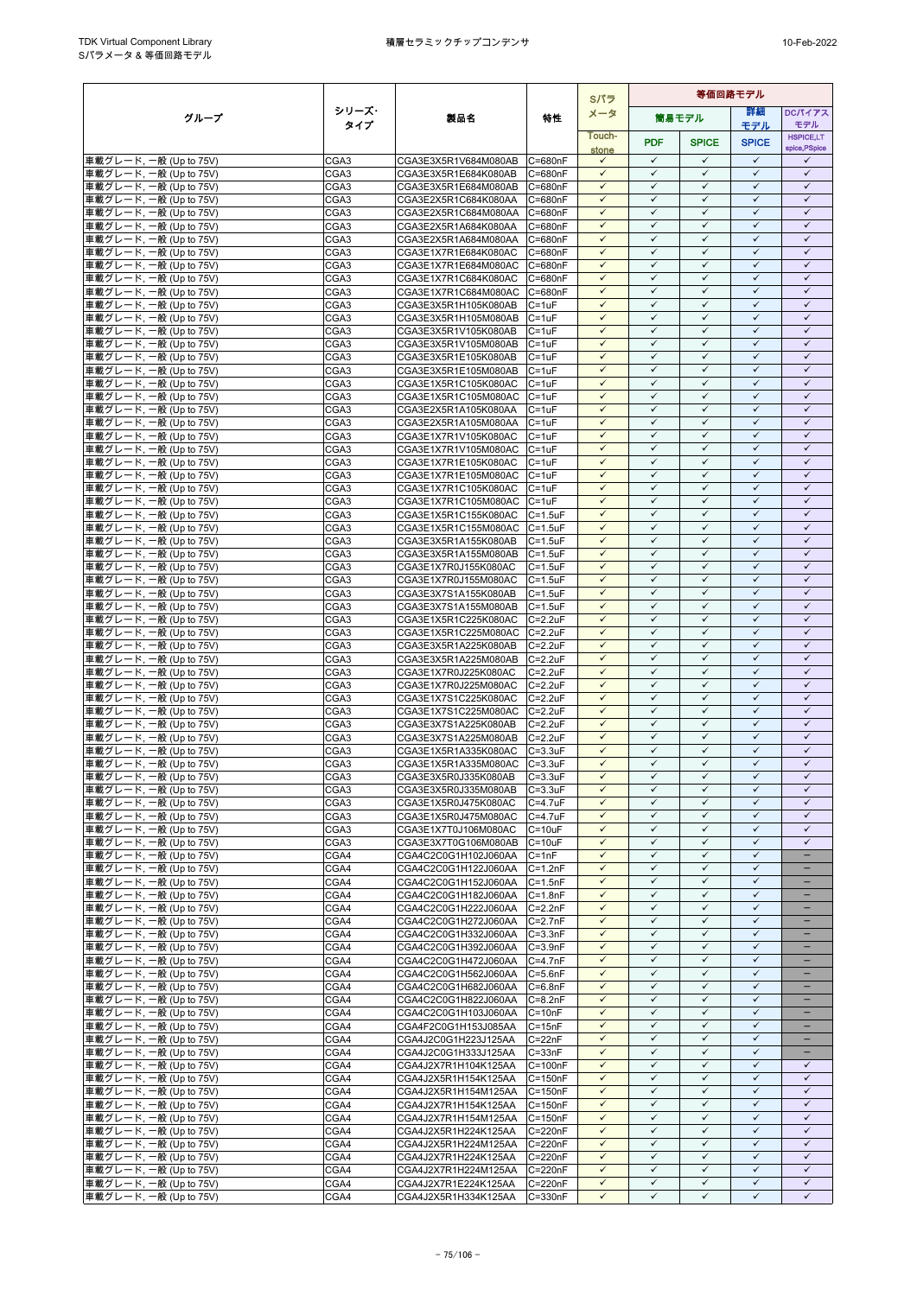|                                                  |              |                                                      |                                    | Sパラ                          | 等価回路モデル                      |                              |                              |                              |
|--------------------------------------------------|--------------|------------------------------------------------------|------------------------------------|------------------------------|------------------------------|------------------------------|------------------------------|------------------------------|
| グループ                                             | シリーズ・        | 製品名                                                  | 特性                                 | メータ                          |                              | 筒易モデル                        | 詳細                           | DCパイアス                       |
|                                                  | タイプ          |                                                      |                                    | Touch-                       |                              |                              | モデル                          | モデル<br><b>HSPICE,LT</b>      |
|                                                  |              |                                                      |                                    | stone                        | <b>PDF</b>                   | <b>SPICE</b>                 | <b>SPICE</b>                 | spice, PSpice                |
| 車載グレード, 一般 (Up to 75V)                           | CGA3         | CGA3E3X5R1V684M080AB C=680nF                         |                                    | $\checkmark$                 | $\checkmark$                 | $\checkmark$                 | $\checkmark$                 | ✓                            |
| 車載グレード, 一般 (Up to 75V)                           | CGA3         | CGA3E3X5R1E684K080AB                                 | C=680nF                            | $\checkmark$                 | $\checkmark$                 | $\checkmark$                 | $\checkmark$                 | $\checkmark$                 |
| 車載グレード, 一般 (Up to 75V)                           | CGA3         | CGA3E3X5R1E684M080AB                                 | C=680nF                            | $\checkmark$<br>$\checkmark$ | $\checkmark$<br>$\checkmark$ | $\checkmark$<br>$\checkmark$ | $\checkmark$<br>$\checkmark$ | $\checkmark$<br>$\checkmark$ |
| 車載グレード, 一般 (Up to 75V)<br>車載グレード, 一般 (Up to 75V) | CGA3<br>CGA3 | CGA3E2X5R1C684K080AA<br>CGA3E2X5R1C684M080AA C=680nF | C=680nF                            | $\checkmark$                 | $\checkmark$                 | $\checkmark$                 | $\checkmark$                 | $\checkmark$                 |
| 車載グレード, 一般 (Up to 75V)                           | CGA3         | CGA3E2X5R1A684K080AA                                 | C=680nF                            | $\checkmark$                 | $\checkmark$                 | $\checkmark$                 | $\checkmark$                 | $\checkmark$                 |
| 車載グレード, 一般 (Up to 75V)                           | CGA3         | CGA3E2X5R1A684M080AA                                 | C=680nF                            | $\checkmark$                 | $\checkmark$                 | $\checkmark$                 | $\checkmark$                 | $\checkmark$                 |
| 車載グレード, 一般 (Up to 75V)                           | CGA3         | CGA3E1X7R1E684K080AC                                 | C=680nF                            | $\checkmark$                 | $\checkmark$                 | $\checkmark$                 | $\checkmark$                 | $\checkmark$                 |
| 車載グレード, 一般 (Up to 75V)                           | CGA3         | CGA3E1X7R1E684M080AC                                 | C=680nF                            | $\checkmark$                 | $\checkmark$                 | $\checkmark$                 | $\checkmark$                 | $\checkmark$                 |
| 車載グレード, 一般 (Up to 75V)<br>車載グレード, 一般 (Up to 75V) | CGA3         | CGA3E1X7R1C684K080AC                                 | C=680nF<br>C=680nF                 | $\checkmark$<br>$\checkmark$ | $\checkmark$<br>$\checkmark$ | $\checkmark$<br>$\checkmark$ | $\checkmark$<br>$\checkmark$ | $\checkmark$<br>$\checkmark$ |
| 車載グレード, 一般 (Up to 75V)                           | CGA3<br>CGA3 | CGA3E1X7R1C684M080AC<br>CGA3E3X5R1H105K080AB         | $C = 1uF$                          | $\checkmark$                 | $\checkmark$                 | $\checkmark$                 | $\checkmark$                 | $\checkmark$                 |
| 車載グレード, 一般 (Up to 75V)                           | CGA3         | CGA3E3X5R1H105M080AB                                 | $C = 1uF$                          | $\checkmark$                 | $\checkmark$                 | $\checkmark$                 | $\checkmark$                 | $\checkmark$                 |
| 車載グレード, 一般 (Up to 75V)                           | CGA3         | CGA3E3X5R1V105K080AB                                 | $C = 1uF$                          | $\checkmark$                 | $\checkmark$                 | $\checkmark$                 | $\checkmark$                 | $\checkmark$                 |
| 車載グレード, 一般 (Up to 75V)                           | CGA3         | CGA3E3X5R1V105M080AB                                 | $C = 1uF$                          | $\checkmark$                 | $\checkmark$                 | $\checkmark$                 | $\checkmark$                 | $\checkmark$                 |
| 車載グレード, 一般 (Up to 75V)                           | CGA3         | CGA3E3X5R1E105K080AB                                 | $C = 1uF$                          | $\checkmark$                 | $\checkmark$                 | $\checkmark$                 | $\checkmark$                 | $\checkmark$                 |
| 車載グレード, 一般 (Up to 75V)                           | CGA3         | CGA3E3X5R1E105M080AB                                 | $C = 1uF$                          | $\checkmark$<br>$\checkmark$ | $\checkmark$<br>$\checkmark$ | $\checkmark$<br>$\checkmark$ | $\checkmark$<br>$\checkmark$ | $\checkmark$<br>$\checkmark$ |
| 車載グレード, 一般 (Up to 75V)<br>車載グレード, 一般 (Up to 75V) | CGA3<br>CGA3 | CGA3E1X5R1C105K080AC<br>CGA3E1X5R1C105M080AC C=1uF   | $C = 1uF$                          | $\checkmark$                 | ✓                            | $\checkmark$                 | $\checkmark$                 | $\checkmark$                 |
| 車載グレード, 一般 (Up to 75V)                           | CGA3         | CGA3E2X5R1A105K080AA                                 | $C = 1uF$                          | $\checkmark$                 | ✓                            | $\checkmark$                 | $\checkmark$                 | $\checkmark$                 |
| 車載グレード, 一般 (Up to 75V)                           | CGA3         | CGA3E2X5R1A105M080AA                                 | $C = 1uF$                          | $\checkmark$                 | $\checkmark$                 | $\checkmark$                 | $\checkmark$                 | $\checkmark$                 |
| 車載グレード, 一般 (Up to 75V)                           | CGA3         | CGA3E1X7R1V105K080AC                                 | $C = 1uF$                          | $\checkmark$                 | $\checkmark$                 | $\checkmark$                 | $\checkmark$                 | $\checkmark$                 |
| 車載グレード, 一般 (Up to 75V)                           | CGA3         | CGA3E1X7R1V105M080AC                                 | $C = 1uF$                          | $\checkmark$                 | $\checkmark$                 | $\checkmark$                 | $\checkmark$                 | $\checkmark$                 |
| 車載グレード, 一般 (Up to 75V)                           | CGA3         | CGA3E1X7R1E105K080AC                                 | $C = 1uF$                          | $\checkmark$                 | $\checkmark$<br>$\checkmark$ | $\checkmark$<br>$\checkmark$ | $\checkmark$<br>$\checkmark$ | $\checkmark$<br>$\checkmark$ |
| 車載グレード, 一般 (Up to 75V)<br>車載グレード, 一般 (Up to 75V) | CGA3<br>CGA3 | CGA3E1X7R1E105M080AC<br>CGA3E1X7R1C105K080AC         | $C = 1uF$<br>$C = 1uF$             | $\checkmark$<br>$\checkmark$ | $\checkmark$                 | $\checkmark$                 | $\checkmark$                 | $\checkmark$                 |
| 車載グレード, 一般 (Up to 75V)                           | CGA3         | CGA3E1X7R1C105M080AC                                 | $C = 1uF$                          | $\checkmark$                 | $\checkmark$                 | $\checkmark$                 | $\checkmark$                 | $\checkmark$                 |
| 車載グレード, 一般 (Up to 75V)                           | CGA3         | CGA3E1X5R1C155K080AC                                 | $C = 1.5$ u $F$                    | $\checkmark$                 | $\checkmark$                 | $\checkmark$                 | $\checkmark$                 | $\checkmark$                 |
| 車載グレード, 一般 (Up to 75V)                           | CGA3         | CGA3E1X5R1C155M080AC C=1.5uF                         |                                    | $\checkmark$                 | $\checkmark$                 | $\checkmark$                 | $\checkmark$                 | $\checkmark$                 |
| 車載グレード, 一般 (Up to 75V)                           | CGA3         | CGA3E3X5R1A155K080AB                                 | $C = 1.5$ u $F$                    | $\checkmark$                 | $\checkmark$                 | $\checkmark$                 | $\checkmark$                 | $\checkmark$                 |
| 車載グレード, 一般 (Up to 75V)                           | CGA3         | CGA3E3X5R1A155M080AB C=1.5uF                         |                                    | $\checkmark$<br>$\checkmark$ | $\checkmark$<br>$\checkmark$ | $\checkmark$<br>$\checkmark$ | $\checkmark$<br>$\checkmark$ | $\checkmark$<br>$\checkmark$ |
| 車載グレード, 一般 (Up to 75V)<br>車載グレード, 一般 (Up to 75V) | CGA3<br>CGA3 | CGA3E1X7R0J155K080AC<br>CGA3E1X7R0J155M080AC         | $C = 1.5$ u $F$<br>$C = 1.5$ u $F$ | $\checkmark$                 | $\checkmark$                 | $\checkmark$                 | $\checkmark$                 | $\checkmark$                 |
| 車載グレード, 一般 (Up to 75V)                           | CGA3         | CGA3E3X7S1A155K080AB                                 | $C = 1.5$ u $F$                    | $\checkmark$                 | $\checkmark$                 | $\checkmark$                 | $\checkmark$                 | $\checkmark$                 |
| 車載グレード, 一般 (Up to 75V)                           | CGA3         | CGA3E3X7S1A155M080AB                                 | $C = 1.5$ u $F$                    | $\checkmark$                 | $\checkmark$                 | $\checkmark$                 | $\checkmark$                 | $\checkmark$                 |
| 車載グレード, 一般 (Up to 75V)                           | CGA3         | CGA3E1X5R1C225K080AC                                 | $C = 2.2uF$                        | $\checkmark$                 | $\checkmark$                 | $\checkmark$                 | $\checkmark$                 | $\checkmark$                 |
| 車載グレード, 一般 (Up to 75V)                           | CGA3         | CGA3E1X5R1C225M080AC                                 | $C = 2.2uF$                        | $\checkmark$                 | $\checkmark$                 | $\checkmark$                 | $\checkmark$                 | $\checkmark$                 |
| 車載グレード, 一般 (Up to 75V)                           | CGA3         | CGA3E3X5R1A225K080AB                                 | $C = 2.2uF$                        | $\checkmark$<br>$\checkmark$ | $\checkmark$<br>$\checkmark$ | $\checkmark$<br>$\checkmark$ | $\checkmark$<br>$\checkmark$ | $\checkmark$<br>$\checkmark$ |
| 車載グレード, 一般 (Up to 75V)<br>車載グレード, 一般 (Up to 75V) | CGA3<br>CGA3 | CGA3E3X5R1A225M080AB<br>CGA3E1X7R0J225K080AC         | $C = 2.2uF$<br>$C = 2.2uF$         | $\checkmark$                 | $\checkmark$                 | $\checkmark$                 | $\checkmark$                 | $\checkmark$                 |
| 車載グレード, 一般 (Up to 75V)                           | CGA3         | CGA3E1X7R0J225M080AC                                 | $C = 2.2uF$                        | $\checkmark$                 | $\checkmark$                 | $\checkmark$                 | $\checkmark$                 | $\checkmark$                 |
| 車載グレード, 一般 (Up to 75V)                           | CGA3         | CGA3E1X7S1C225K080AC                                 | $C = 2.2uF$                        | $\checkmark$                 | $\checkmark$                 | $\checkmark$                 | $\checkmark$                 | $\checkmark$                 |
| 車載グレード, 一般 (Up to 75V)                           | CGA3         | CGA3E1X7S1C225M080AC C=2.2uF                         |                                    | $\checkmark$                 | $\checkmark$                 | $\checkmark$                 | $\checkmark$                 | $\checkmark$                 |
| 車載グレード, 一般 (Up to 75V)                           | CGA3         | CGA3E3X7S1A225K080AB                                 | $C = 2.2uF$                        | $\checkmark$                 | $\checkmark$                 | $\checkmark$                 | $\checkmark$                 | $\checkmark$                 |
| 車載グレード, 一般 (Up to 75V)                           | CGA3         | CGA3E3X7S1A225M080AB<br>CGA3E1X5R1A335K080AC         | $C = 2.2uF$                        | $\checkmark$<br>$\checkmark$ | $\checkmark$<br>$\checkmark$ | $\checkmark$<br>$\checkmark$ | $\checkmark$<br>$\checkmark$ | $\checkmark$<br>$\checkmark$ |
| 車載グレード, 一般 (Up to 75V)<br>車載グレード, 一般 (Up to 75V) | CGA3<br>CGA3 | CGA3E1X5R1A335M080AC                                 | $C = 3.3uF$<br>$C = 3.3uF$         | $\checkmark$                 | $\checkmark$                 | $\checkmark$                 | $\checkmark$                 | $\checkmark$                 |
| 車載グレード, 一般 (Up to 75V)                           | CGA3         | CGA3E3X5R0J335K080AB                                 | $C = 3.3uF$                        | $\checkmark$                 | $\checkmark$                 | $\checkmark$                 | $\checkmark$                 | $\checkmark$                 |
| 車載グレード, 一般 (Up to 75V)                           | CGA3         | CGA3E3X5R0J335M080AB                                 | $C = 3.3uF$                        | $\checkmark$                 | $\checkmark$                 | $\checkmark$                 | $\checkmark$                 | $\checkmark$                 |
| 車載グレード, 一般 (Up to 75V)                           | CGA3         | CGA3E1X5R0J475K080AC                                 | $C = 4.7$ u $F$                    | $\checkmark$                 | ✓                            | $\checkmark$                 | $\checkmark$                 | $\checkmark$                 |
| 車載グレード, 一般 (Up to 75V)                           | CGA3         | CGA3E1X5R0J475M080AC                                 | $C = 4.7$ uF                       | $\checkmark$                 | ✓                            | $\checkmark$                 | $\checkmark$                 | $\checkmark$                 |
| 車載グレード, 一般 (Up to 75V)                           | CGA3         | CGA3E1X7T0J106M080AC                                 | $C = 10uF$<br>$C = 10uF$           | $\checkmark$<br>$\checkmark$ | $\checkmark$<br>$\checkmark$ | $\checkmark$<br>$\checkmark$ | $\checkmark$<br>$\checkmark$ | $\checkmark$<br>$\checkmark$ |
| 車載グレード, 一般 (Up to 75V)<br>車載グレード, 一般 (Up to 75V) | CGA3<br>CGA4 | CGA3E3X7T0G106M080AB<br>CGA4C2C0G1H102J060AA         | $C = 1nF$                          | $\checkmark$                 | $\checkmark$                 | $\checkmark$                 | $\checkmark$                 | -                            |
| 車載グレード, 一般 (Up to 75V)                           | CGA4         | CGA4C2C0G1H122J060AA                                 | $C = 1.2nF$                        | $\checkmark$                 | $\checkmark$                 | $\checkmark$                 | $\checkmark$                 | -                            |
| 車載グレード, 一般 (Up to 75V)                           | CGA4         | CGA4C2C0G1H152J060AA                                 | $C = 1.5nF$                        | $\checkmark$                 | $\checkmark$                 | $\checkmark$                 | $\checkmark$                 | $\qquad \qquad -$            |
| 車載グレード, 一般 (Up to 75V)                           | CGA4         | CGA4C2C0G1H182J060AA                                 | $C = 1.8nF$                        | $\checkmark$                 | $\checkmark$                 | $\checkmark$                 | $\checkmark$                 | -                            |
| 車載グレード, 一般 (Up to 75V)                           | CGA4         | CGA4C2C0G1H222J060AA                                 | $C = 2.2nF$                        | $\checkmark$                 | $\checkmark$                 | $\checkmark$                 | $\checkmark$                 |                              |
| 車載グレード, 一般 (Up to 75V)<br>車載グレード, 一般 (Up to 75V) | CGA4<br>CGA4 | CGA4C2C0G1H272J060AA<br>CGA4C2C0G1H332J060AA         | $C = 2.7nF$<br>$C = 3.3nF$         | $\checkmark$<br>$\checkmark$ | $\checkmark$<br>$\checkmark$ | $\checkmark$<br>$\checkmark$ | $\checkmark$<br>$\checkmark$ | -                            |
| 車載グレード, 一般 (Up to 75V)                           | CGA4         | CGA4C2C0G1H392J060AA                                 | $C = 3.9nF$                        | $\checkmark$                 | $\checkmark$                 | $\checkmark$                 | $\checkmark$                 |                              |
| 車載グレード, 一般 (Up to 75V)                           | CGA4         | CGA4C2C0G1H472J060AA                                 | $C = 4.7nF$                        | $\checkmark$                 | $\checkmark$                 | $\checkmark$                 | $\checkmark$                 | $-$                          |
| 車載グレード, 一般 (Up to 75V)                           | CGA4         | CGA4C2C0G1H562J060AA                                 | $C = 5.6nF$                        | $\checkmark$                 | ✓                            | ✓                            | $\checkmark$                 |                              |
| 車載グレード, 一般 (Up to 75V)                           | CGA4         | CGA4C2C0G1H682J060AA                                 | $C = 6.8nF$                        | $\checkmark$                 | $\checkmark$                 | $\checkmark$                 | $\checkmark$                 | -                            |
| 車載グレード, 一般 (Up to 75V)                           | CGA4         | CGA4C2C0G1H822J060AA                                 | $C = 8.2nF$                        | $\checkmark$                 | $\checkmark$                 | $\checkmark$                 | $\checkmark$                 | -                            |
| 車載グレード, 一般 (Up to 75V)<br>車載グレード, 一般 (Up to 75V) | CGA4<br>CGA4 | CGA4C2C0G1H103J060AA<br>CGA4F2C0G1H153J085AA         | $C = 10nF$<br>$C = 15nF$           | $\checkmark$<br>$\checkmark$ | ✓<br>$\checkmark$            | $\checkmark$<br>$\checkmark$ | $\checkmark$<br>$\checkmark$ | $\overline{\phantom{0}}$     |
| 車載グレード, 一般 (Up to 75V)                           | CGA4         | CGA4J2C0G1H223J125AA                                 | $C = 22nF$                         | $\checkmark$                 | $\checkmark$                 | $\checkmark$                 | $\checkmark$                 | -                            |
| 車載グレード, 一般 (Up to 75V)                           | CGA4         | CGA4J2C0G1H333J125AA                                 | $C = 33nF$                         | $\checkmark$                 | $\checkmark$                 | $\checkmark$                 | $\checkmark$                 | -                            |
| 車載グレード, 一般 (Up to 75V)                           | CGA4         | CGA4J2X7R1H104K125AA                                 | $C = 100nF$                        | $\checkmark$                 | $\checkmark$                 | $\checkmark$                 | $\checkmark$                 | ✓                            |
| 車載グレード, 一般 (Up to 75V)                           | CGA4         | CGA4J2X5R1H154K125AA                                 | $C = 150nF$                        | $\checkmark$                 | $\checkmark$                 | $\checkmark$                 | $\checkmark$                 | $\checkmark$                 |
| 車載グレード, 一般 (Up to 75V)                           | CGA4         | CGA4J2X5R1H154M125AA                                 | $C = 150nF$                        | $\checkmark$                 | $\checkmark$                 | $\checkmark$                 | $\checkmark$                 | $\checkmark$                 |
| 車載グレード, 一般 (Up to 75V)<br>車載グレード, 一般 (Up to 75V) | CGA4<br>CGA4 | CGA4J2X7R1H154K125AA<br>CGA4J2X7R1H154M125AA         | $C = 150nF$<br>$C = 150nF$         | $\checkmark$<br>$\checkmark$ | $\checkmark$<br>$\checkmark$ | $\checkmark$<br>$\checkmark$ | $\checkmark$<br>$\checkmark$ | $\checkmark$<br>$\checkmark$ |
| 車載グレード, 一般 (Up to 75V)                           | CGA4         | CGA4J2X5R1H224K125AA                                 | C=220nF                            | $\checkmark$                 | $\checkmark$                 | $\checkmark$                 | $\checkmark$                 | $\checkmark$                 |
| 車載グレード, 一般 (Up to 75V)                           | CGA4         | CGA4J2X5R1H224M125AA                                 | C=220nF                            | $\checkmark$                 | $\checkmark$                 | $\checkmark$                 | $\checkmark$                 | $\checkmark$                 |
| 車載グレード, 一般 (Up to 75V)                           | CGA4         | CGA4J2X7R1H224K125AA                                 | $C = 220nF$                        | $\checkmark$                 | $\checkmark$                 | $\checkmark$                 | $\checkmark$                 | $\checkmark$                 |
| 車載グレード, 一般 (Up to 75V)                           | CGA4         | CGA4J2X7R1H224M125AA                                 | C=220nF                            | $\checkmark$                 | $\checkmark$                 | $\checkmark$                 | $\checkmark$                 | $\checkmark$                 |
| 車載グレード, 一般 (Up to 75V)                           | CGA4         | CGA4J2X7R1E224K125AA                                 | C=220nF                            | $\checkmark$                 | $\checkmark$                 | $\checkmark$                 | $\checkmark$                 | $\checkmark$                 |
| 車載グレード, 一般 (Up to 75V)                           | CGA4         | CGA4J2X5R1H334K125AA                                 | $C = 330nF$                        | $\checkmark$                 | $\checkmark$                 | ✓                            | $\checkmark$                 | $\checkmark$                 |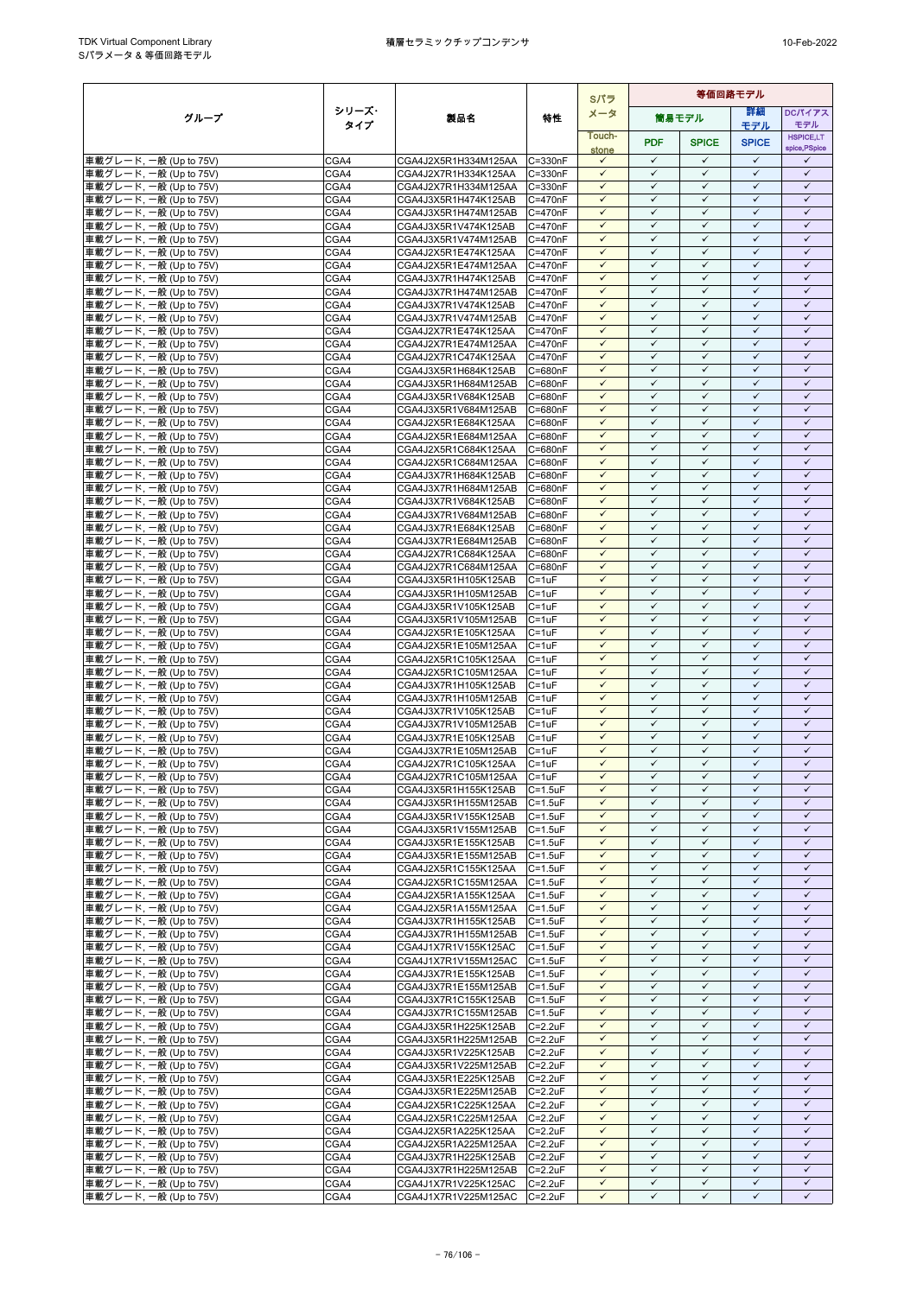|                                                  |              |                                              |                                 | Sパラ                          |                              |                              | 等価回路モデル                      |                              |  |  |
|--------------------------------------------------|--------------|----------------------------------------------|---------------------------------|------------------------------|------------------------------|------------------------------|------------------------------|------------------------------|--|--|
| グループ                                             | シリーズ・        | 製品名                                          | 特性                              | メータ                          |                              | 簡易モデル                        | 等細                           | <b>DCパイアス</b>                |  |  |
|                                                  | タイプ          |                                              |                                 | Touch-                       |                              |                              | モデル                          | モデル<br><b>HSPICE,LT</b>      |  |  |
|                                                  |              |                                              |                                 | stone                        | <b>PDF</b>                   | <b>SPICE</b>                 | <b>SPICE</b>                 | spice, PSpice                |  |  |
| 車載グレード, 一般 (Up to 75V)                           | CGA4         | CGA4J2X5R1H334M125AA                         | C=330nF                         | $\checkmark$                 | $\checkmark$                 | $\checkmark$                 | $\checkmark$                 | ✓                            |  |  |
| 車載グレード, 一般 (Up to 75V)                           | CGA4         | CGA4J2X7R1H334K125AA                         | C=330nF                         | $\checkmark$                 | $\checkmark$                 | $\checkmark$                 | $\checkmark$                 | $\checkmark$                 |  |  |
| 車載グレード, 一般 (Up to 75V)                           | CGA4<br>CGA4 | CGA4J2X7R1H334M125AA                         | C=330nF<br>C=470nF              | $\checkmark$<br>$\checkmark$ | $\checkmark$<br>$\checkmark$ | $\checkmark$<br>$\checkmark$ | $\checkmark$<br>$\checkmark$ | $\checkmark$<br>$\checkmark$ |  |  |
| 車載グレード, 一般 (Up to 75V)<br>車載グレード, 一般 (Up to 75V) | CGA4         | CGA4J3X5R1H474K125AB<br>CGA4J3X5R1H474M125AB | C=470nF                         | $\checkmark$                 | $\checkmark$                 | $\checkmark$                 | $\checkmark$                 | $\checkmark$                 |  |  |
| 車載グレード, 一般 (Up to 75V)                           | CGA4         | CGA4J3X5R1V474K125AB                         | $C = 470nF$                     | $\checkmark$                 | $\checkmark$                 | $\checkmark$                 | $\checkmark$                 | $\checkmark$                 |  |  |
| 車載グレード, 一般 (Up to 75V)                           | CGA4         | CGA4J3X5R1V474M125AB                         | $C = 470nF$                     | $\checkmark$                 | $\checkmark$                 | $\checkmark$                 | $\checkmark$                 | $\checkmark$                 |  |  |
| 車載グレード, 一般 (Up to 75V)                           | CGA4         | CGA4J2X5R1E474K125AA                         | $C = 470nF$                     | $\checkmark$                 | $\checkmark$                 | $\checkmark$                 | $\checkmark$                 | $\checkmark$                 |  |  |
| 車載グレード, 一般 (Up to 75V)                           | CGA4         | CGA4J2X5R1E474M125AA                         | C=470nF                         | $\checkmark$<br>$\checkmark$ | $\checkmark$<br>$\checkmark$ | $\checkmark$<br>$\checkmark$ | $\checkmark$<br>$\checkmark$ | $\checkmark$<br>$\checkmark$ |  |  |
| 車載グレード, 一般 (Up to 75V)<br>車載グレード, 一般 (Up to 75V) | CGA4<br>CGA4 | CGA4J3X7R1H474K125AB<br>CGA4J3X7R1H474M125AB | C=470nF<br>C=470nF              | $\checkmark$                 | $\checkmark$                 | $\checkmark$                 | $\checkmark$                 | $\checkmark$                 |  |  |
| 車載グレード, 一般 (Up to 75V)                           | CGA4         | CGA4J3X7R1V474K125AB                         | C=470nF                         | $\checkmark$                 | $\checkmark$                 | $\checkmark$                 | $\checkmark$                 | $\checkmark$                 |  |  |
| 車載グレード, 一般 (Up to 75V)                           | CGA4         | CGA4J3X7R1V474M125AB                         | $C = 470nF$                     | $\checkmark$                 | ✓                            | ✓                            | $\checkmark$                 | ✓                            |  |  |
| 車載グレード, 一般 (Up to 75V)                           | CGA4         | CGA4J2X7R1E474K125AA                         | $C = 470nF$                     | $\checkmark$                 | $\checkmark$                 | $\checkmark$                 | $\checkmark$                 | $\checkmark$                 |  |  |
| 車載グレード, 一般 (Up to 75V)                           | CGA4         | CGA4J2X7R1E474M125AA                         | C=470nF                         | $\checkmark$                 | $\checkmark$                 | $\checkmark$                 | $\checkmark$                 | $\checkmark$                 |  |  |
| 車載グレード, 一般 (Up to 75V)<br>車載グレード, 一般 (Up to 75V) | CGA4<br>CGA4 | CGA4J2X7R1C474K125AA<br>CGA4J3X5R1H684K125AB | C=470nF<br>C=680nF              | $\checkmark$<br>$\checkmark$ | $\checkmark$<br>$\checkmark$ | $\checkmark$<br>$\checkmark$ | $\checkmark$<br>$\checkmark$ | $\checkmark$<br>$\checkmark$ |  |  |
| 車載グレード, 一般 (Up to 75V)                           | CGA4         | CGA4J3X5R1H684M125AB                         | C=680nF                         | $\checkmark$                 | $\checkmark$                 | ✓                            | ✓                            | ✓                            |  |  |
| 車載グレード, 一般 (Up to 75V)                           | CGA4         | CGA4J3X5R1V684K125AB                         | C=680nF                         | $\checkmark$                 | $\checkmark$                 | $\checkmark$                 | $\checkmark$                 | $\checkmark$                 |  |  |
| 車載グレード, 一般 (Up to 75V)                           | CGA4         | CGA4J3X5R1V684M125AB                         | C=680nF                         | $\checkmark$                 | $\checkmark$                 | $\checkmark$                 | $\checkmark$                 | $\checkmark$                 |  |  |
| 車載グレード, 一般 (Up to 75V)                           | CGA4         | CGA4J2X5R1E684K125AA                         | C=680nF                         | $\checkmark$                 | $\checkmark$                 | $\checkmark$                 | $\checkmark$                 | $\checkmark$                 |  |  |
| 車載グレード, 一般 (Up to 75V)                           | CGA4         | CGA4J2X5R1E684M125AA                         | C=680nF                         | $\checkmark$<br>$\checkmark$ | $\checkmark$<br>$\checkmark$ | $\checkmark$<br>$\checkmark$ | $\checkmark$<br>$\checkmark$ | $\checkmark$<br>$\checkmark$ |  |  |
| 車載グレード, 一般 (Up to 75V)<br>車載グレード, 一般 (Up to 75V) | CGA4<br>CGA4 | CGA4J2X5R1C684K125AA<br>CGA4J2X5R1C684M125AA | C=680nF<br>C=680nF              | $\checkmark$                 | $\checkmark$                 | $\checkmark$                 | $\checkmark$                 | $\checkmark$                 |  |  |
| 車載グレード, 一般 (Up to 75V)                           | CGA4         | CGA4J3X7R1H684K125AB                         | C=680nF                         | $\checkmark$                 | $\checkmark$                 | $\checkmark$                 | $\checkmark$                 | $\checkmark$                 |  |  |
| 車載グレード, 一般 (Up to 75V)                           | CGA4         | CGA4J3X7R1H684M125AB                         | C=680nF                         | $\checkmark$                 | $\checkmark$                 | $\checkmark$                 | $\checkmark$                 | $\checkmark$                 |  |  |
| 車載グレード, 一般 (Up to 75V)                           | CGA4         | CGA4J3X7R1V684K125AB                         | $C = 680nF$                     | $\checkmark$                 | $\checkmark$                 | $\checkmark$                 | $\checkmark$                 | $\checkmark$                 |  |  |
| 車載グレード, 一般 (Up to 75V)                           | CGA4         | CGA4J3X7R1V684M125AB                         | C=680nF                         | $\checkmark$                 | $\checkmark$                 | $\checkmark$                 | $\checkmark$                 | $\checkmark$                 |  |  |
| 車載グレード, 一般 (Up to 75V)<br>車載グレード, 一般 (Up to 75V) | CGA4<br>CGA4 | CGA4J3X7R1E684K125AB<br>CGA4J3X7R1E684M125AB | C=680nF<br>C=680nF              | $\checkmark$<br>$\checkmark$ | $\checkmark$<br>$\checkmark$ | $\checkmark$<br>$\checkmark$ | $\checkmark$<br>$\checkmark$ | $\checkmark$<br>$\checkmark$ |  |  |
| 車載グレード, 一般 (Up to 75V)                           | CGA4         | CGA4J2X7R1C684K125AA                         | C=680nF                         | $\checkmark$                 | $\checkmark$                 | $\checkmark$                 | $\checkmark$                 | $\checkmark$                 |  |  |
| 車載グレード, 一般 (Up to 75V)                           | CGA4         | CGA4J2X7R1C684M125AA                         | C=680nF                         | $\checkmark$                 | $\checkmark$                 | $\checkmark$                 | $\checkmark$                 | $\checkmark$                 |  |  |
| 車載グレード, 一般 (Up to 75V)                           | CGA4         | CGA4J3X5R1H105K125AB                         | $C = 1uF$                       | $\checkmark$                 | $\checkmark$                 | $\checkmark$                 | $\checkmark$                 | $\checkmark$                 |  |  |
| 車載グレード, 一般 (Up to 75V)                           | CGA4         | CGA4J3X5R1H105M125AB                         | $C = 1uF$                       | $\checkmark$                 | $\checkmark$                 | $\checkmark$                 | $\checkmark$                 | $\checkmark$                 |  |  |
| 車載グレード, 一般 (Up to 75V)                           | CGA4         | CGA4J3X5R1V105K125AB                         | $C = 1uF$                       | $\checkmark$<br>$\checkmark$ | $\checkmark$<br>$\checkmark$ | $\checkmark$<br>$\checkmark$ | $\checkmark$<br>$\checkmark$ | $\checkmark$<br>$\checkmark$ |  |  |
| 車載グレード, 一般 (Up to 75V)<br>車載グレード, 一般 (Up to 75V) | CGA4<br>CGA4 | CGA4J3X5R1V105M125AB<br>CGA4J2X5R1E105K125AA | $C = 1uF$<br>$C = 1uF$          | $\checkmark$                 | $\checkmark$                 | ✓                            | $\checkmark$                 | $\checkmark$                 |  |  |
| 車載グレード, 一般 (Up to 75V)                           | CGA4         | CGA4J2X5R1E105M125AA                         | $C = 1uF$                       | $\checkmark$                 | $\checkmark$                 | $\checkmark$                 | $\checkmark$                 | $\checkmark$                 |  |  |
| 車載グレード, 一般 (Up to 75V)                           | CGA4         | CGA4J2X5R1C105K125AA                         | $C = 1uF$                       | $\checkmark$                 | $\checkmark$                 | $\checkmark$                 | $\checkmark$                 | $\checkmark$                 |  |  |
| 車載グレード, 一般 (Up to 75V)                           | CGA4         | CGA4J2X5R1C105M125AA                         | $C = 1uF$                       | $\checkmark$                 | $\checkmark$                 | $\checkmark$                 | $\checkmark$                 | $\checkmark$                 |  |  |
| 車載グレード, 一般 (Up to 75V)                           | CGA4         | CGA4J3X7R1H105K125AB                         | $C = 1uF$                       | $\checkmark$                 | $\checkmark$                 | $\checkmark$                 | $\checkmark$                 | $\checkmark$                 |  |  |
| 車載グレード, 一般 (Up to 75V)<br>車載グレード, 一般 (Up to 75V) | CGA4<br>CGA4 | CGA4J3X7R1H105M125AB<br>CGA4J3X7R1V105K125AB | $C = 1uF$<br>$C = 1uF$          | $\checkmark$<br>$\checkmark$ | $\checkmark$<br>$\checkmark$ | $\checkmark$<br>$\checkmark$ | $\checkmark$<br>$\checkmark$ | $\checkmark$<br>$\checkmark$ |  |  |
| 車載グレード, 一般 (Up to 75V)                           | CGA4         | CGA4J3X7R1V105M125AB                         | $C = 1uF$                       | $\checkmark$                 | $\checkmark$                 | $\checkmark$                 | $\checkmark$                 | $\checkmark$                 |  |  |
| 車載グレード, 一般 (Up to 75V)                           | CGA4         | CGA4J3X7R1E105K125AB                         | $C = 1uF$                       | $\checkmark$                 | $\checkmark$                 | $\checkmark$                 | $\checkmark$                 | $\checkmark$                 |  |  |
| 車載グレード, 一般 (Up to 75V)                           | CGA4         | CGA4J3X7R1E105M125AB                         | $C = 1uF$                       | $\checkmark$                 | $\checkmark$                 | $\checkmark$                 | $\checkmark$                 | $\checkmark$                 |  |  |
| 車載グレード, 一般 (Up to 75V)                           | CGA4         | CGA4J2X7R1C105K125AA                         | $C = 1uF$                       | $\checkmark$                 | $\checkmark$                 | $\checkmark$                 | $\checkmark$                 | $\checkmark$                 |  |  |
| 車載グレード, 一般 (Up to 75V)                           | CGA4         | CGA4J2X7R1C105M125AA                         | $C = 1uF$                       | $\checkmark$<br>$\checkmark$ | $\checkmark$<br>$\checkmark$ | $\checkmark$<br>$\checkmark$ | $\checkmark$<br>$\checkmark$ | $\checkmark$<br>✓            |  |  |
| 車載グレード, 一般 (Up to 75V)<br>車載グレード, 一般 (Up to 75V) | CGA4<br>CGA4 | CGA4J3X5R1H155K125AB<br>CGA4J3X5R1H155M125AB | $C = 1.5$ uF<br>$C = 1.5$ u $F$ | $\checkmark$                 | $\checkmark$                 | $\checkmark$                 | $\checkmark$                 | $\checkmark$                 |  |  |
| 車載グレード, 一般 (Up to 75V)                           | CGA4         | CGA4J3X5R1V155K125AB                         | $C = 1.5$ u $F$                 | $\checkmark$                 | $\checkmark$                 | $\checkmark$                 | $\checkmark$                 | $\checkmark$                 |  |  |
| 車載グレード, 一般 (Up to 75V)                           | CGA4         | CGA4J3X5R1V155M125AB                         | $C = 1.5uF$                     | $\checkmark$                 | $\checkmark$                 | $\checkmark$                 | $\checkmark$                 | $\checkmark$                 |  |  |
| 車載グレード, 一般 (Up to 75V)                           | CGA4         | CGA4J3X5R1E155K125AB                         | $C = 1.5uF$                     | $\checkmark$                 | $\checkmark$                 | $\checkmark$                 | $\checkmark$                 | $\checkmark$                 |  |  |
| 車載グレード, 一般 (Up to 75V)                           | CGA4         | CGA4J3X5R1E155M125AB                         | $C = 1.5uF$                     | $\checkmark$<br>$\checkmark$ | $\checkmark$<br>$\checkmark$ | ✓<br>$\checkmark$            | $\checkmark$<br>$\checkmark$ | $\checkmark$<br>$\checkmark$ |  |  |
| 車載グレード, 一般 (Up to 75V)<br>車載グレード, 一般 (Up to 75V) | CGA4<br>CGA4 | CGA4J2X5R1C155K125AA<br>CGA4J2X5R1C155M125AA | $C = 1.5uF$<br>$C = 1.5uF$      | $\checkmark$                 | $\checkmark$                 | $\checkmark$                 | ✓                            | $\checkmark$                 |  |  |
| 車載グレード, 一般 (Up to 75V)                           | CGA4         | CGA4J2X5R1A155K125AA                         | $C = 1.5uF$                     | $\checkmark$                 | $\checkmark$                 | $\checkmark$                 | $\checkmark$                 | $\checkmark$                 |  |  |
| 車載グレード, 一般 (Up to 75V)                           | CGA4         | CGA4J2X5R1A155M125AA                         | $C = 1.5$ u $F$                 | $\checkmark$                 | $\checkmark$                 | $\checkmark$                 | $\checkmark$                 | $\checkmark$                 |  |  |
| 車載グレード, 一般 (Up to 75V)                           | CGA4         | CGA4J3X7R1H155K125AB                         | $C = 1.5uF$                     | $\checkmark$                 | $\checkmark$                 | $\checkmark$                 | $\checkmark$                 | $\checkmark$                 |  |  |
| 車載グレード, 一般 (Up to 75V)                           | CGA4         | CGA4J3X7R1H155M125AB                         | $C = 1.5uF$                     | $\checkmark$<br>$\checkmark$ | $\checkmark$<br>$\checkmark$ | $\checkmark$<br>$\checkmark$ | $\checkmark$<br>$\checkmark$ | $\checkmark$<br>$\checkmark$ |  |  |
| 車載グレード, 一般 (Up to 75V)<br>車載グレード, 一般 (Up to 75V) | CGA4<br>CGA4 | CGA4J1X7R1V155K125AC<br>CGA4J1X7R1V155M125AC | $C = 1.5uF$<br>$C = 1.5uF$      | $\checkmark$                 | $\checkmark$                 | $\checkmark$                 | ✓                            | $\checkmark$                 |  |  |
| 車載グレード, 一般 (Up to 75V)                           | CGA4         | CGA4J3X7R1E155K125AB                         | $C = 1.5uF$                     | $\checkmark$                 | $\checkmark$                 | $\checkmark$                 | $\checkmark$                 | $\checkmark$                 |  |  |
| 車載グレード, 一般 (Up to 75V)                           | CGA4         | CGA4J3X7R1E155M125AB                         | $C = 1.5$ u $F$                 | $\checkmark$                 | $\checkmark$                 | $\checkmark$                 | $\checkmark$                 | $\checkmark$                 |  |  |
| 車載グレード, 一般 (Up to 75V)                           | CGA4         | CGA4J3X7R1C155K125AB                         | $C = 1.5uF$                     | $\checkmark$                 | $\checkmark$                 | $\checkmark$                 | $\checkmark$                 | $\checkmark$                 |  |  |
| 車載グレード, 一般 (Up to 75V)                           | CGA4         | CGA4J3X7R1C155M125AB                         | $C = 1.5uF$                     | $\checkmark$                 | $\checkmark$                 | $\checkmark$                 | $\checkmark$                 | $\checkmark$                 |  |  |
| 車載グレード, 一般 (Up to 75V)<br>車載グレード, 一般 (Up to 75V) | CGA4         | CGA4J3X5R1H225K125AB                         | $C = 2.2uF$<br>$C = 2.2uF$      | $\checkmark$<br>$\checkmark$ | $\checkmark$<br>$\checkmark$ | $\checkmark$<br>✓            | $\checkmark$<br>✓            | $\checkmark$<br>✓            |  |  |
| 車載グレード, 一般 (Up to 75V)                           | CGA4<br>CGA4 | CGA4J3X5R1H225M125AB<br>CGA4J3X5R1V225K125AB | $C = 2.2uF$                     | $\checkmark$                 | $\checkmark$                 | $\checkmark$                 | $\checkmark$                 | $\checkmark$                 |  |  |
| 車載グレード, 一般 (Up to 75V)                           | CGA4         | CGA4J3X5R1V225M125AB                         | $C = 2.2uF$                     | $\checkmark$                 | $\checkmark$                 | $\checkmark$                 | $\checkmark$                 | $\checkmark$                 |  |  |
| 車載グレード, 一般 (Up to 75V)                           | CGA4         | CGA4J3X5R1E225K125AB                         | $C = 2.2uF$                     | $\checkmark$                 | $\checkmark$                 | $\checkmark$                 | $\checkmark$                 | $\checkmark$                 |  |  |
| 車載グレード, 一般 (Up to 75V)                           | CGA4         | CGA4J3X5R1E225M125AB                         | $C = 2.2uF$                     | $\checkmark$                 | $\checkmark$                 | $\checkmark$                 | $\checkmark$                 | $\checkmark$                 |  |  |
| 車載グレード, 一般 (Up to 75V)                           | CGA4         | CGA4J2X5R1C225K125AA                         | $C = 2.2uF$                     | $\checkmark$                 | $\checkmark$<br>$\checkmark$ | ✓<br>$\checkmark$            | $\checkmark$<br>$\checkmark$ | $\checkmark$                 |  |  |
| 車載グレード, 一般 (Up to 75V)<br>車載グレード, 一般 (Up to 75V) | CGA4<br>CGA4 | CGA4J2X5R1C225M125AA<br>CGA4J2X5R1A225K125AA | $C = 2.2uF$<br>$C = 2.2uF$      | $\checkmark$<br>$\checkmark$ | $\checkmark$                 | $\checkmark$                 | $\checkmark$                 | $\checkmark$<br>$\checkmark$ |  |  |
| 車載グレード, 一般 (Up to 75V)                           | CGA4         | CGA4J2X5R1A225M125AA                         | $C = 2.2uF$                     | $\checkmark$                 | $\checkmark$                 | $\checkmark$                 | $\checkmark$                 | $\checkmark$                 |  |  |
| 車載グレード, 一般 (Up to 75V)                           | CGA4         | CGA4J3X7R1H225K125AB                         | $C = 2.2uF$                     | $\checkmark$                 | $\checkmark$                 | $\checkmark$                 | $\checkmark$                 | $\checkmark$                 |  |  |
| 車載グレード, 一般 (Up to 75V)                           | CGA4         | CGA4J3X7R1H225M125AB                         | $C = 2.2uF$                     | $\checkmark$                 | $\checkmark$                 | $\checkmark$                 | $\checkmark$                 | $\checkmark$                 |  |  |
| 車載グレード, 一般 (Up to 75V)                           | CGA4         | CGA4J1X7R1V225K125AC                         | $C = 2.2uF$                     | $\checkmark$                 | $\checkmark$                 | $\checkmark$                 | $\checkmark$                 | $\checkmark$                 |  |  |
| 車載グレード, 一般 (Up to 75V)                           | CGA4         | CGA4J1X7R1V225M125AC                         | $C = 2.2uF$                     | $\checkmark$                 | $\checkmark$                 | $\checkmark$                 | $\checkmark$                 | $\checkmark$                 |  |  |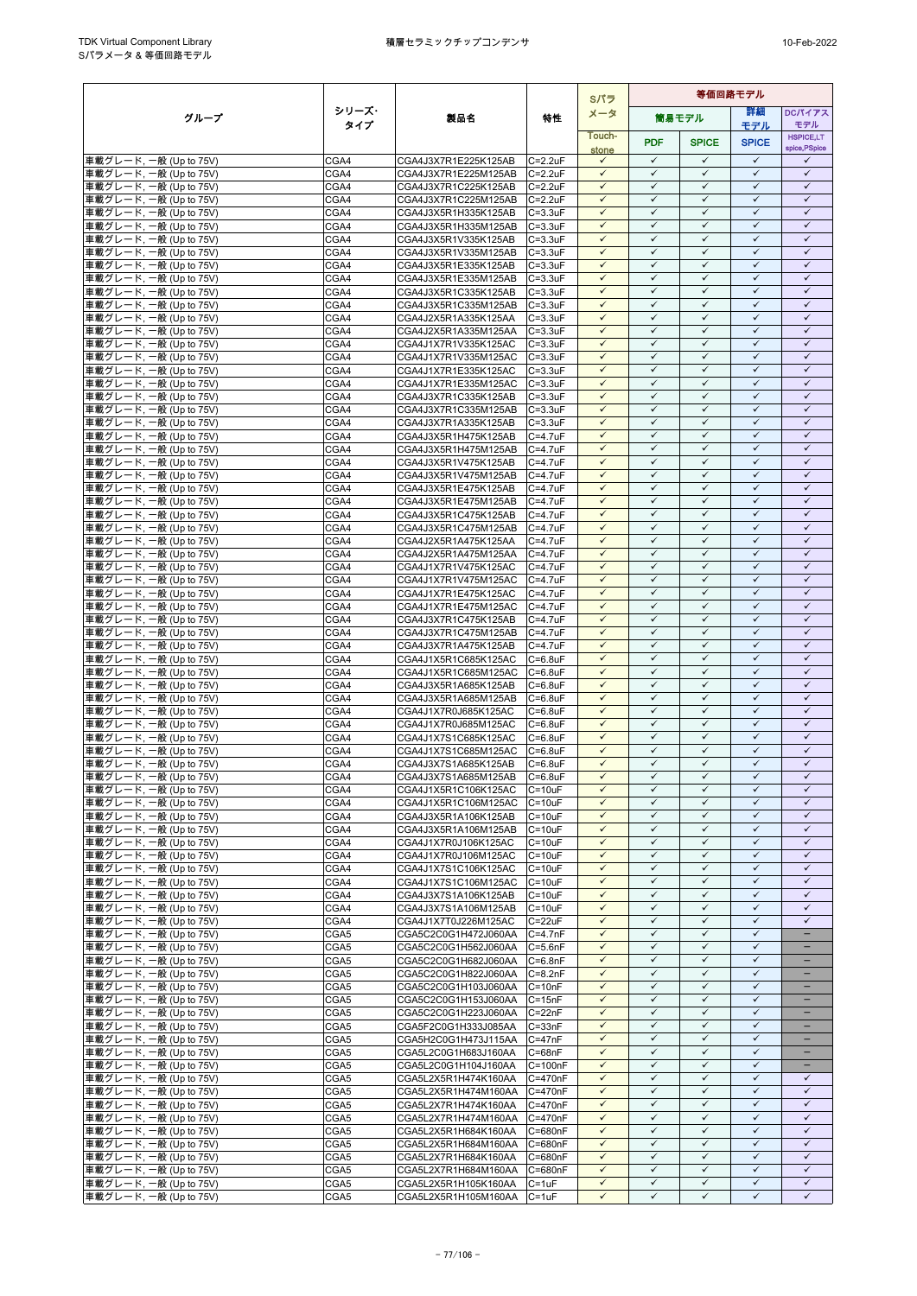|                                                  |              |                                              |                                    | Sパラ                          | 等価回路モデル                      |                              |                              |                                               |
|--------------------------------------------------|--------------|----------------------------------------------|------------------------------------|------------------------------|------------------------------|------------------------------|------------------------------|-----------------------------------------------|
| グループ                                             | シリーズ・        | 製品名                                          | 特性                                 | メータ                          |                              | 簡易モデル                        | 等細                           | <b>DCパイアス</b>                                 |
|                                                  | タイプ          |                                              |                                    | Touch-                       |                              |                              | モデル                          | モデル<br><b>HSPICE,LT</b>                       |
|                                                  |              |                                              |                                    | stone                        | <b>PDF</b>                   | <b>SPICE</b>                 | <b>SPICE</b>                 | spice, PSpice                                 |
| 車載グレード, 一般 (Up to 75V)                           | CGA4         | CGA4J3X7R1E225K125AB                         | $C = 2.2uF$                        | $\checkmark$                 | $\checkmark$                 | $\checkmark$                 | $\checkmark$                 | ✓                                             |
| 車載グレード, 一般 (Up to 75V)<br>車載グレード, 一般 (Up to 75V) | CGA4<br>CGA4 | CGA4J3X7R1E225M125AB<br>CGA4J3X7R1C225K125AB | $C = 2.2uF$<br>$C = 2.2uF$         | $\checkmark$<br>$\checkmark$ | $\checkmark$<br>$\checkmark$ | $\checkmark$<br>$\checkmark$ | $\checkmark$<br>$\checkmark$ | $\checkmark$<br>$\checkmark$                  |
| 車載グレード, 一般 (Up to 75V)                           | CGA4         | CGA4J3X7R1C225M125AB                         | $C = 2.2uF$                        | $\checkmark$                 | $\checkmark$                 | $\checkmark$                 | $\checkmark$                 | $\checkmark$                                  |
| 車載グレード, 一般 (Up to 75V)                           | CGA4         | CGA4J3X5R1H335K125AB                         | $C = 3.3uF$                        | $\checkmark$                 | $\checkmark$                 | $\checkmark$                 | $\checkmark$                 | $\checkmark$                                  |
| 車載グレード, 一般 (Up to 75V)                           | CGA4         | CGA4J3X5R1H335M125AB                         | $C = 3.3uF$                        | $\checkmark$                 | $\checkmark$                 | $\checkmark$                 | $\checkmark$                 | $\checkmark$                                  |
| 車載グレード, 一般 (Up to 75V)                           | CGA4         | CGA4J3X5R1V335K125AB                         | $C = 3.3uF$                        | $\checkmark$                 | $\checkmark$                 | $\checkmark$                 | $\checkmark$                 | $\checkmark$                                  |
| 車載グレード, 一般 (Up to 75V)<br>車載グレード, 一般 (Up to 75V) | CGA4<br>CGA4 | CGA4J3X5R1V335M125AB<br>CGA4J3X5R1E335K125AB | $C = 3.3uF$<br>$C = 3.3uF$         | $\checkmark$<br>$\checkmark$ | $\checkmark$<br>$\checkmark$ | $\checkmark$<br>$\checkmark$ | $\checkmark$<br>$\checkmark$ | $\checkmark$<br>$\checkmark$                  |
| 車載グレード, 一般 (Up to 75V)                           | CGA4         | CGA4J3X5R1E335M125AB                         | $C = 3.3uF$                        | $\checkmark$                 | $\checkmark$                 | $\checkmark$                 | $\checkmark$                 | $\checkmark$                                  |
| 車載グレード, 一般 (Up to 75V)                           | CGA4         | CGA4J3X5R1C335K125AB                         | $C = 3.3uF$                        | $\checkmark$                 | $\checkmark$                 | $\checkmark$                 | $\checkmark$                 | $\checkmark$                                  |
| 車載グレード, 一般 (Up to 75V)                           | CGA4         | CGA4J3X5R1C335M125AB                         | $C = 3.3uF$                        | $\checkmark$                 | $\checkmark$                 | $\checkmark$                 | $\checkmark$                 | $\checkmark$                                  |
| 車載グレード, 一般 (Up to 75V)                           | CGA4         | CGA4J2X5R1A335K125AA                         | $C = 3.3uF$                        | $\checkmark$<br>$\checkmark$ | ✓<br>$\checkmark$            | ✓<br>$\checkmark$            | $\checkmark$<br>$\checkmark$ | ✓<br>$\checkmark$                             |
| 車載グレード, 一般 (Up to 75V)<br>車載グレード, 一般 (Up to 75V) | CGA4<br>CGA4 | CGA4J2X5R1A335M125AA<br>CGA4J1X7R1V335K125AC | $C = 3.3uF$<br>$C = 3.3uF$         | $\checkmark$                 | $\checkmark$                 | $\checkmark$                 | $\checkmark$                 | $\checkmark$                                  |
| 車載グレード, 一般 (Up to 75V)                           | CGA4         | CGA4J1X7R1V335M125AC                         | $C = 3.3uF$                        | $\checkmark$                 | $\checkmark$                 | $\checkmark$                 | $\checkmark$                 | $\checkmark$                                  |
| 車載グレード, 一般 (Up to 75V)                           | CGA4         | CGA4J1X7R1E335K125AC                         | $C = 3.3uF$                        | $\checkmark$                 | $\checkmark$                 | $\checkmark$                 | $\checkmark$                 | $\checkmark$                                  |
| 車載グレード, 一般 (Up to 75V)                           | CGA4         | CGA4J1X7R1E335M125AC                         | $C = 3.3uF$                        | $\checkmark$                 | $\checkmark$                 | ✓                            | $\checkmark$                 | ✓                                             |
| 車載グレード, 一般 (Up to 75V)                           | CGA4         | CGA4J3X7R1C335K125AB                         | $C = 3.3uF$<br>$C = 3.3uF$         | $\checkmark$<br>$\checkmark$ | $\checkmark$<br>$\checkmark$ | $\checkmark$<br>$\checkmark$ | $\checkmark$<br>$\checkmark$ | $\checkmark$<br>$\checkmark$                  |
| 車載グレード, 一般 (Up to 75V)<br>車載グレード, 一般 (Up to 75V) | CGA4<br>CGA4 | CGA4J3X7R1C335M125AB<br>CGA4J3X7R1A335K125AB | $C = 3.3uF$                        | $\checkmark$                 | $\checkmark$                 | $\checkmark$                 | $\checkmark$                 | $\checkmark$                                  |
| 車載グレード, 一般 (Up to 75V)                           | CGA4         | CGA4J3X5R1H475K125AB                         | $C = 4.7$ u $F$                    | $\checkmark$                 | $\checkmark$                 | $\checkmark$                 | $\checkmark$                 | $\checkmark$                                  |
| 車載グレード, 一般 (Up to 75V)                           | CGA4         | CGA4J3X5R1H475M125AB                         | $C = 4.7$ u $F$                    | $\checkmark$                 | $\checkmark$                 | $\checkmark$                 | $\checkmark$                 | $\checkmark$                                  |
| 車載グレード, 一般 (Up to 75V)                           | CGA4         | CGA4J3X5R1V475K125AB                         | $C = 4.7$ u $F$                    | $\checkmark$                 | $\checkmark$                 | $\checkmark$                 | $\checkmark$                 | $\checkmark$                                  |
| 車載グレード, 一般 (Up to 75V)                           | CGA4<br>CGA4 | CGA4J3X5R1V475M125AB                         | $C = 4.7$ u $F$<br>$C = 4.7$ u $F$ | $\checkmark$<br>$\checkmark$ | $\checkmark$<br>$\checkmark$ | $\checkmark$<br>$\checkmark$ | $\checkmark$<br>$\checkmark$ | $\checkmark$<br>$\checkmark$                  |
| 車載グレード, 一般 (Up to 75V)<br>車載グレード, 一般 (Up to 75V) | CGA4         | CGA4J3X5R1E475K125AB<br>CGA4J3X5R1E475M125AB | $C = 4.7uF$                        | $\checkmark$                 | $\checkmark$                 | $\checkmark$                 | $\checkmark$                 | $\checkmark$                                  |
| 車載グレード, 一般 (Up to 75V)                           | CGA4         | CGA4J3X5R1C475K125AB                         | $C = 4.7$ u $F$                    | $\checkmark$                 | $\checkmark$                 | $\checkmark$                 | $\checkmark$                 | $\checkmark$                                  |
| 車載グレード, 一般 (Up to 75V)                           | CGA4         | CGA4J3X5R1C475M125AB                         | C=4.7uF                            | $\checkmark$                 | $\checkmark$                 | $\checkmark$                 | $\checkmark$                 | $\checkmark$                                  |
| 車載グレード, 一般 (Up to 75V)                           | CGA4         | CGA4J2X5R1A475K125AA                         | $C = 4.7$ u $F$                    | $\checkmark$                 | $\checkmark$                 | $\checkmark$                 | $\checkmark$                 | $\checkmark$                                  |
| 車載グレード, 一般 (Up to 75V)                           | CGA4         | CGA4J2X5R1A475M125AA                         | $C=4.7$ u $F$<br>$C = 4.7$ u $F$   | $\checkmark$<br>$\checkmark$ | $\checkmark$<br>$\checkmark$ | $\checkmark$<br>$\checkmark$ | $\checkmark$<br>$\checkmark$ | $\checkmark$<br>$\checkmark$                  |
| 車載グレード, 一般 (Up to 75V)<br>車載グレード, 一般 (Up to 75V) | CGA4<br>CGA4 | CGA4J1X7R1V475K125AC<br>CGA4J1X7R1V475M125AC | $C = 4.7$ u $F$                    | $\checkmark$                 | $\checkmark$                 | $\checkmark$                 | $\checkmark$                 | $\checkmark$                                  |
| 車載グレード, 一般 (Up to 75V)                           | CGA4         | CGA4J1X7R1E475K125AC                         | $C = 4.7$ u $F$                    | $\checkmark$                 | $\checkmark$                 | $\checkmark$                 | $\checkmark$                 | $\checkmark$                                  |
| 車載グレード, 一般 (Up to 75V)                           | CGA4         | CGA4J1X7R1E475M125AC                         | $C = 4.7$ u $F$                    | $\checkmark$                 | $\checkmark$                 | $\checkmark$                 | $\checkmark$                 | $\checkmark$                                  |
| 車載グレード, 一般 (Up to 75V)                           | CGA4         | CGA4J3X7R1C475K125AB                         | $C = 4.7$ u $F$                    | $\checkmark$                 | $\checkmark$                 | $\checkmark$                 | $\checkmark$                 | $\checkmark$                                  |
| 車載グレード, 一般 (Up to 75V)                           | CGA4<br>CGA4 | CGA4J3X7R1C475M125AB                         | $C = 4.7$ u $F$<br>$C = 4.7$ u $F$ | $\checkmark$<br>$\checkmark$ | $\checkmark$<br>$\checkmark$ | ✓<br>$\checkmark$            | $\checkmark$<br>$\checkmark$ | $\checkmark$<br>$\checkmark$                  |
| 車載グレード, 一般 (Up to 75V)<br>車載グレード, 一般 (Up to 75V) | CGA4         | CGA4J3X7R1A475K125AB<br>CGA4J1X5R1C685K125AC | $C = 6.8$ u $F$                    | $\checkmark$                 | $\checkmark$                 | $\checkmark$                 | $\checkmark$                 | $\checkmark$                                  |
| 車載グレード, 一般 (Up to 75V)                           | CGA4         | CGA4J1X5R1C685M125AC                         | $C = 6.8$ u $F$                    | $\checkmark$                 | $\checkmark$                 | $\checkmark$                 | $\checkmark$                 | $\checkmark$                                  |
| 車載グレード, 一般 (Up to 75V)                           | CGA4         | CGA4J3X5R1A685K125AB                         | $C = 6.8$ u $F$                    | $\checkmark$                 | $\checkmark$                 | $\checkmark$                 | $\checkmark$                 | $\checkmark$                                  |
| 車載グレード, 一般 (Up to 75V)                           | CGA4         | CGA4J3X5R1A685M125AB                         | $C = 6.8$ uF                       | $\checkmark$                 | $\checkmark$                 | $\checkmark$                 | $\checkmark$                 | $\checkmark$                                  |
| 車載グレード, 一般 (Up to 75V)<br>車載グレード, 一般 (Up to 75V) | CGA4<br>CGA4 | CGA4J1X7R0J685K125AC<br>CGA4J1X7R0J685M125AC | $C = 6.8$ u $F$<br>$C = 6.8$ u $F$ | $\checkmark$<br>$\checkmark$ | $\checkmark$<br>$\checkmark$ | $\checkmark$<br>$\checkmark$ | $\checkmark$<br>$\checkmark$ | $\checkmark$<br>$\checkmark$                  |
| 車載グレード, 一般 (Up to 75V)                           | CGA4         | CGA4J1X7S1C685K125AC                         | $C=6.8$ u $F$                      | $\checkmark$                 | $\checkmark$                 | $\checkmark$                 | $\checkmark$                 | $\checkmark$                                  |
| 車載グレード, 一般 (Up to 75V)                           | CGA4         | CGA4J1X7S1C685M125AC                         | $C = 6.8$ u $F$                    | $\checkmark$                 | $\checkmark$                 | $\checkmark$                 | $\checkmark$                 | $\checkmark$                                  |
| 車載グレード, 一般 (Up to 75V)                           | CGA4         | CGA4J3X7S1A685K125AB                         | $C = 6.8$ u $F$                    | $\checkmark$                 | $\checkmark$                 | $\checkmark$                 | $\checkmark$                 | $\checkmark$                                  |
| 車載グレード, 一般 (Up to 75V)                           | CGA4         | CGA4J3X7S1A685M125AB                         | $C = 6.8$ u $F$                    | $\checkmark$                 | $\checkmark$                 | $\checkmark$                 | $\checkmark$                 | $\checkmark$                                  |
| 車載グレード, 一般 (Up to 75V)<br>車載グレード, 一般 (Up to 75V) | CGA4<br>CGA4 | CGA4J1X5R1C106K125AC<br>CGA4J1X5R1C106M125AC | $C = 10uF$<br>$C = 10uF$           | $\checkmark$<br>$\checkmark$ | $\checkmark$<br>$\checkmark$ | $\checkmark$<br>$\checkmark$ | $\checkmark$<br>$\checkmark$ | ✓<br>$\checkmark$                             |
| 車載グレード, 一般 (Up to 75V)                           | CGA4         | CGA4J3X5R1A106K125AB                         | $C = 10uF$                         | $\checkmark$                 | $\checkmark$                 | $\checkmark$                 | $\checkmark$                 | $\checkmark$                                  |
| 車載グレード, 一般 (Up to 75V)                           | CGA4         | CGA4J3X5R1A106M125AB                         | $C = 10uF$                         | $\checkmark$                 | $\checkmark$                 | $\checkmark$                 | $\checkmark$                 | $\checkmark$                                  |
| 車載グレード, 一般 (Up to 75V)                           | CGA4         | CGA4J1X7R0J106K125AC                         | $C = 10uF$                         | $\checkmark$                 | $\checkmark$                 | $\checkmark$                 | $\checkmark$                 | $\checkmark$                                  |
| 車載グレード, 一般 (Up to 75V)                           | CGA4         | CGA4J1X7R0J106M125AC                         | $C = 10uF$                         | $\checkmark$<br>$\checkmark$ | $\checkmark$<br>$\checkmark$ | ✓<br>$\checkmark$            | $\checkmark$<br>$\checkmark$ | $\checkmark$<br>$\checkmark$                  |
| 車載グレード, 一般 (Up to 75V)<br>車載グレード, 一般 (Up to 75V) | CGA4<br>CGA4 | CGA4J1X7S1C106K125AC<br>CGA4J1X7S1C106M125AC | $C = 10uF$<br>$C = 10uF$           | $\checkmark$                 | $\checkmark$                 | ✓                            | $\checkmark$                 | $\checkmark$                                  |
| 車載グレード, 一般 (Up to 75V)                           | CGA4         | CGA4J3X7S1A106K125AB                         | $C = 10uF$                         | $\checkmark$                 | $\checkmark$                 | $\checkmark$                 | $\checkmark$                 | $\checkmark$                                  |
| 車載グレード, 一般 (Up to 75V)                           | CGA4         | CGA4J3X7S1A106M125AB                         | $C = 10uF$                         | $\checkmark$                 | $\checkmark$                 | $\checkmark$                 | $\checkmark$                 | $\checkmark$                                  |
| 車載グレード, 一般 (Up to 75V)                           | CGA4         | CGA4J1X7T0J226M125AC                         | $C = 22uF$                         | $\checkmark$                 | $\checkmark$                 | $\checkmark$                 | $\checkmark$                 | $\checkmark$                                  |
| 車載グレード, 一般 (Up to 75V)                           | CGA5         | CGA5C2C0G1H472J060AA                         | $C = 4.7nF$                        | $\checkmark$<br>$\checkmark$ | $\checkmark$<br>$\checkmark$ | $\checkmark$<br>$\checkmark$ | $\checkmark$<br>$\checkmark$ | $\qquad \qquad -$<br>-                        |
| 車載グレード, 一般 (Up to 75V)<br>車載グレード, 一般 (Up to 75V) | CGA5<br>CGA5 | CGA5C2C0G1H562J060AA<br>CGA5C2C0G1H682J060AA | $C = 5.6nF$<br>$C = 6.8nF$         | $\checkmark$                 | $\checkmark$                 | $\checkmark$                 | $\checkmark$                 | -                                             |
| 車載グレード, 一般 (Up to 75V)                           | CGA5         | CGA5C2C0G1H822J060AA                         | $C = 8.2nF$                        | $\checkmark$                 | $\checkmark$                 | $\checkmark$                 | $\checkmark$                 |                                               |
| 車載グレード, 一般 (Up to 75V)                           | CGA5         | CGA5C2C0G1H103J060AA                         | $C = 10nF$                         | $\checkmark$                 | $\checkmark$                 | $\checkmark$                 | $\checkmark$                 |                                               |
| 車載グレード, 一般 (Up to 75V)                           | CGA5         | CGA5C2C0G1H153J060AA                         | $C = 15nF$                         | $\checkmark$                 | $\checkmark$                 | $\checkmark$                 | $\checkmark$                 |                                               |
| 車載グレード, 一般 (Up to 75V)<br>車載グレード, 一般 (Up to 75V) | CGA5<br>CGA5 | CGA5C2C0G1H223J060AA<br>CGA5F2C0G1H333J085AA | $C = 22nF$                         | $\checkmark$<br>$\checkmark$ | $\checkmark$<br>$\checkmark$ | $\checkmark$<br>$\checkmark$ | $\checkmark$<br>$\checkmark$ | $\overline{\phantom{0}}$<br>$\qquad \qquad -$ |
| 車載グレード, 一般 (Up to 75V)                           | CGA5         | CGA5H2C0G1H473J115AA                         | $C = 33nF$<br>$C = 47nF$           | $\checkmark$                 | $\checkmark$                 | ✓                            | ✓                            | -                                             |
| 車載グレード, 一般 (Up to 75V)                           | CGA5         | CGA5L2C0G1H683J160AA                         | $C = 68nF$                         | $\checkmark$                 | $\checkmark$                 | $\checkmark$                 | $\checkmark$                 | -                                             |
| 車載グレード, 一般 (Up to 75V)                           | CGA5         | CGA5L2C0G1H104J160AA                         | $C = 100nF$                        | $\checkmark$                 | $\checkmark$                 | $\checkmark$                 | $\checkmark$                 |                                               |
| 車載グレード, 一般 (Up to 75V)                           | CGA5         | CGA5L2X5R1H474K160AA                         | $C = 470nF$                        | $\checkmark$                 | $\checkmark$                 | $\checkmark$                 | $\checkmark$                 | $\checkmark$                                  |
| 車載グレード, 一般 (Up to 75V)<br>車載グレード, 一般 (Up to 75V) | CGA5<br>CGA5 | CGA5L2X5R1H474M160AA<br>CGA5L2X7R1H474K160AA | C=470nF<br>C=470nF                 | $\checkmark$<br>$\checkmark$ | $\checkmark$<br>$\checkmark$ | $\checkmark$<br>✓            | $\checkmark$<br>$\checkmark$ | $\checkmark$<br>$\checkmark$                  |
| 車載グレード, 一般 (Up to 75V)                           | CGA5         | CGA5L2X7R1H474M160AA                         | C=470nF                            | $\checkmark$                 | $\checkmark$                 | $\checkmark$                 | $\checkmark$                 | $\checkmark$                                  |
| 車載グレード, 一般 (Up to 75V)                           | CGA5         | CGA5L2X5R1H684K160AA                         | C=680nF                            | $\checkmark$                 | $\checkmark$                 | $\checkmark$                 | $\checkmark$                 | $\checkmark$                                  |
| 車載グレード, 一般 (Up to 75V)                           | CGA5         | CGA5L2X5R1H684M160AA                         | C=680nF                            | $\checkmark$                 | $\checkmark$                 | $\checkmark$                 | $\checkmark$                 | $\checkmark$                                  |
| 車載グレード, 一般 (Up to 75V)                           | CGA5         | CGA5L2X7R1H684K160AA                         | C=680nF                            | $\checkmark$                 | $\checkmark$                 | $\checkmark$                 | $\checkmark$                 | $\checkmark$                                  |
| 車載グレード, 一般 (Up to 75V)<br>車載グレード, 一般 (Up to 75V) | CGA5<br>CGA5 | CGA5L2X7R1H684M160AA<br>CGA5L2X5R1H105K160AA | C=680nF<br>$C = 1uF$               | $\checkmark$<br>$\checkmark$ | $\checkmark$<br>$\checkmark$ | $\checkmark$<br>$\checkmark$ | $\checkmark$<br>$\checkmark$ | $\checkmark$<br>$\checkmark$                  |
| 車載グレード, 一般 (Up to 75V)                           | CGA5         | CGA5L2X5R1H105M160AA                         | $C = 1uF$                          | $\checkmark$                 | $\checkmark$                 | $\checkmark$                 | $\checkmark$                 | $\checkmark$                                  |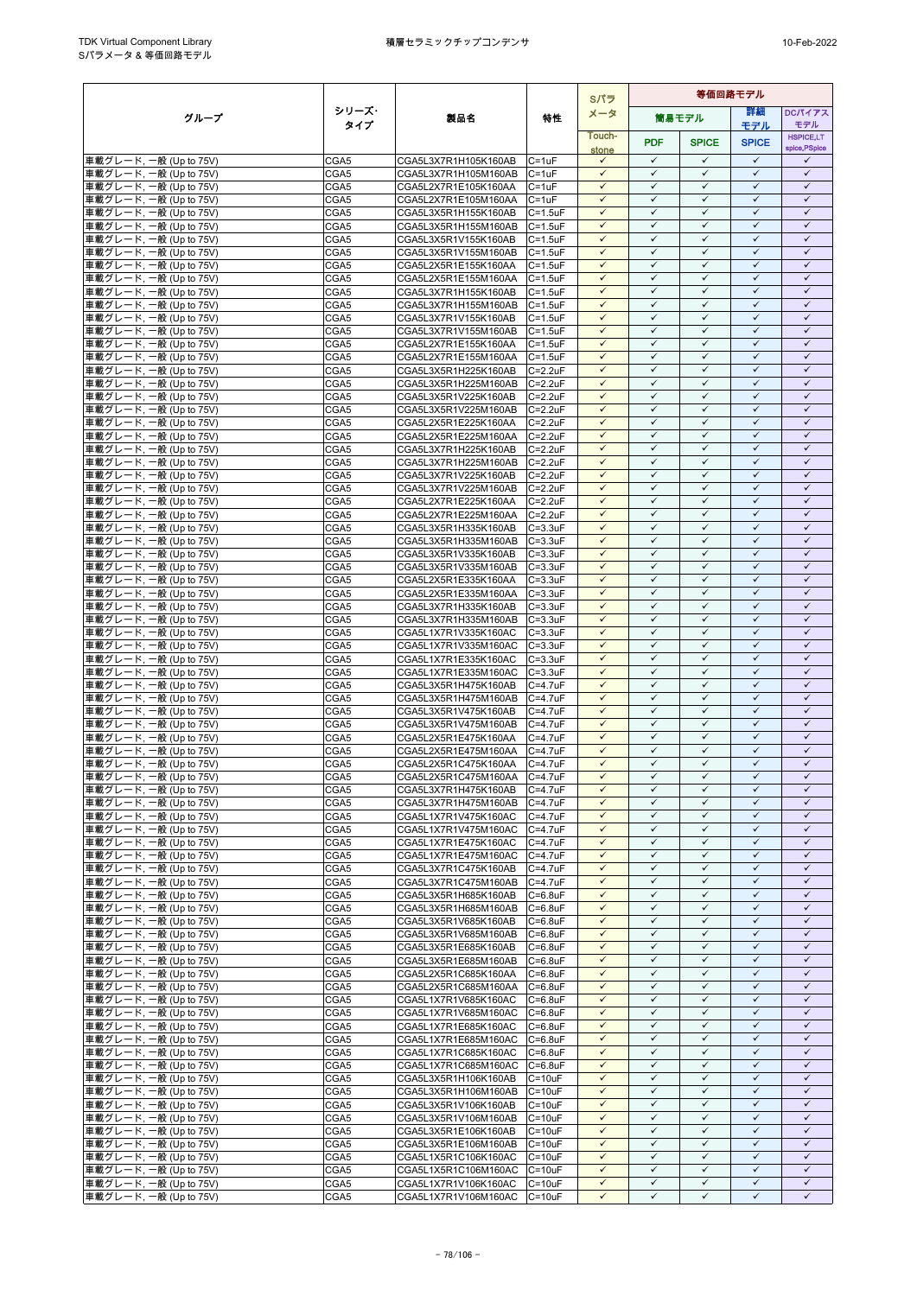|                                                  |              |                                                      |                                  | Sパラ                          |                              |                              | 等価回路モデル                      |                              |
|--------------------------------------------------|--------------|------------------------------------------------------|----------------------------------|------------------------------|------------------------------|------------------------------|------------------------------|------------------------------|
| グループ                                             | シリーズ・        | 製品名                                                  | 特性                               | メータ                          |                              | 簡易モデル                        | 等細                           | <b>DCパイアス</b>                |
|                                                  | タイプ          |                                                      |                                  | Touch-                       |                              |                              | モデル                          | モデル<br><b>HSPICE,LT</b>      |
|                                                  |              |                                                      |                                  | stone                        | <b>PDF</b>                   | <b>SPICE</b>                 | <b>SPICE</b>                 | spice, PSpice                |
| 車載グレード, 一般 (Up to 75V)                           | CGA5         | CGA5L3X7R1H105K160AB                                 | $C = 1uF$                        | $\checkmark$                 | $\checkmark$                 | $\checkmark$                 | $\checkmark$                 | ✓                            |
| 車載グレード, 一般 (Up to 75V)                           | CGA5         | CGA5L3X7R1H105M160AB                                 | $C = 1uF$                        | $\checkmark$                 | $\checkmark$                 | $\checkmark$                 | $\checkmark$                 | $\checkmark$                 |
| 車載グレード, 一般 (Up to 75V)                           | CGA5<br>CGA5 | CGA5L2X7R1E105K160AA<br>CGA5L2X7R1E105M160AA         | $C = 1uF$<br>$C = 1uF$           | $\checkmark$<br>$\checkmark$ | $\checkmark$<br>$\checkmark$ | $\checkmark$<br>$\checkmark$ | $\checkmark$<br>$\checkmark$ | $\checkmark$<br>$\checkmark$ |
| 車載グレード, 一般 (Up to 75V)<br>車載グレード, 一般 (Up to 75V) | CGA5         | CGA5L3X5R1H155K160AB                                 | $C = 1.5$ u $F$                  | $\checkmark$                 | $\checkmark$                 | $\checkmark$                 | $\checkmark$                 | $\checkmark$                 |
| 車載グレード, 一般 (Up to 75V)                           | CGA5         | CGA5L3X5R1H155M160AB                                 | $C = 1.5$ u $F$                  | $\checkmark$                 | $\checkmark$                 | $\checkmark$                 | $\checkmark$                 | $\checkmark$                 |
| 車載グレード, 一般 (Up to 75V)                           | CGA5         | CGA5L3X5R1V155K160AB                                 | $C = 1.5$ u $F$                  | $\checkmark$                 | $\checkmark$                 | $\checkmark$                 | $\checkmark$                 | $\checkmark$                 |
| 車載グレード, 一般 (Up to 75V)                           | CGA5         | CGA5L3X5R1V155M160AB                                 | $C = 1.5$ u $F$                  | $\checkmark$                 | $\checkmark$                 | $\checkmark$                 | $\checkmark$                 | $\checkmark$                 |
| 車載グレード, 一般 (Up to 75V)                           | CGA5         | CGA5L2X5R1E155K160AA                                 | $C = 1.5uF$                      | $\checkmark$<br>$\checkmark$ | $\checkmark$<br>$\checkmark$ | $\checkmark$<br>$\checkmark$ | $\checkmark$<br>$\checkmark$ | $\checkmark$<br>$\checkmark$ |
| 車載グレード, 一般 (Up to 75V)<br>車載グレード, 一般 (Up to 75V) | CGA5<br>CGA5 | CGA5L2X5R1E155M160AA<br>CGA5L3X7R1H155K160AB         | $C = 1.5uF$<br>$C = 1.5$ u $F$   | $\checkmark$                 | $\checkmark$                 | $\checkmark$                 | $\checkmark$                 | $\checkmark$                 |
| 車載グレード, 一般 (Up to 75V)                           | CGA5         | CGA5L3X7R1H155M160AB                                 | $C = 1.5$ u $F$                  | $\checkmark$                 | $\checkmark$                 | $\checkmark$                 | $\checkmark$                 | $\checkmark$                 |
| 車載グレード, 一般 (Up to 75V)                           | CGA5         | CGA5L3X7R1V155K160AB                                 | $C = 1.5$ u $F$                  | $\checkmark$                 | ✓                            | ✓                            | $\checkmark$                 | ✓                            |
| 車載グレード, 一般 (Up to 75V)                           | CGA5         | CGA5L3X7R1V155M160AB                                 | $C = 1.5$ u $F$                  | $\checkmark$                 | $\checkmark$                 | $\checkmark$                 | $\checkmark$                 | $\checkmark$                 |
| 車載グレード, 一般 (Up to 75V)                           | CGA5         | CGA5L2X7R1E155K160AA                                 | $C = 1.5uF$                      | $\checkmark$<br>$\checkmark$ | $\checkmark$<br>$\checkmark$ | $\checkmark$<br>$\checkmark$ | $\checkmark$<br>$\checkmark$ | $\checkmark$<br>$\checkmark$ |
| 車載グレード, 一般 (Up to 75V)<br>車載グレード, 一般 (Up to 75V) | CGA5<br>CGA5 | CGA5L2X7R1E155M160AA<br>CGA5L3X5R1H225K160AB         | $C = 1.5uF$<br>$C = 2.2uF$       | $\checkmark$                 | $\checkmark$                 | $\checkmark$                 | $\checkmark$                 | $\checkmark$                 |
| 車載グレード, 一般 (Up to 75V)                           | CGA5         | CGA5L3X5R1H225M160AB                                 | $C = 2.2uF$                      | $\checkmark$                 | $\checkmark$                 | ✓                            | $\checkmark$                 | ✓                            |
| 車載グレード, 一般 (Up to 75V)                           | CGA5         | CGA5L3X5R1V225K160AB                                 | $C = 2.2uF$                      | $\checkmark$                 | $\checkmark$                 | $\checkmark$                 | $\checkmark$                 | $\checkmark$                 |
| 車載グレード, 一般 (Up to 75V)                           | CGA5         | CGA5L3X5R1V225M160AB                                 | $C = 2.2uF$                      | $\checkmark$                 | $\checkmark$                 | $\checkmark$                 | $\checkmark$                 | $\checkmark$                 |
| 車載グレード, 一般 (Up to 75V)                           | CGA5         | CGA5L2X5R1E225K160AA                                 | $C = 2.2uF$                      | $\checkmark$<br>$\checkmark$ | $\checkmark$<br>$\checkmark$ | $\checkmark$<br>$\checkmark$ | $\checkmark$<br>$\checkmark$ | $\checkmark$<br>$\checkmark$ |
| 車載グレード, 一般 (Up to 75V)<br>車載グレード, 一般 (Up to 75V) | CGA5<br>CGA5 | CGA5L2X5R1E225M160AA<br>CGA5L3X7R1H225K160AB         | $C = 2.2uF$<br>$C = 2.2uF$       | $\checkmark$                 | $\checkmark$                 | $\checkmark$                 | $\checkmark$                 | $\checkmark$                 |
| 車載グレード, 一般 (Up to 75V)                           | CGA5         | CGA5L3X7R1H225M160AB                                 | $C = 2.2uF$                      | $\checkmark$                 | $\checkmark$                 | $\checkmark$                 | $\checkmark$                 | $\checkmark$                 |
| 車載グレード, 一般 (Up to 75V)                           | CGA5         | CGA5L3X7R1V225K160AB                                 | $C = 2.2uF$                      | $\checkmark$                 | $\checkmark$                 | $\checkmark$                 | $\checkmark$                 | $\checkmark$                 |
| 車載グレード, 一般 (Up to 75V)                           | CGA5         | CGA5L3X7R1V225M160AB                                 | $C = 2.2uF$                      | $\checkmark$                 | $\checkmark$                 | $\checkmark$                 | $\checkmark$                 | $\checkmark$                 |
| 車載グレード, 一般 (Up to 75V)                           | CGA5         | CGA5L2X7R1E225K160AA                                 | $C = 2.2uF$                      | $\checkmark$                 | $\checkmark$                 | $\checkmark$                 | $\checkmark$                 | $\checkmark$                 |
| 車載グレード, 一般 (Up to 75V)<br>車載グレード, 一般 (Up to 75V) | CGA5<br>CGA5 | CGA5L2X7R1E225M160AA<br>CGA5L3X5R1H335K160AB         | $C = 2.2uF$                      | $\checkmark$<br>$\checkmark$ | $\checkmark$<br>$\checkmark$ | $\checkmark$<br>$\checkmark$ | $\checkmark$<br>$\checkmark$ | $\checkmark$<br>$\checkmark$ |
| 車載グレード, 一般 (Up to 75V)                           | CGA5         | CGA5L3X5R1H335M160AB                                 | $C = 3.3uF$<br>$C = 3.3uF$       | $\checkmark$                 | $\checkmark$                 | $\checkmark$                 | $\checkmark$                 | $\checkmark$                 |
| 車載グレード, 一般 (Up to 75V)                           | CGA5         | CGA5L3X5R1V335K160AB                                 | $C = 3.3uF$                      | $\checkmark$                 | $\checkmark$                 | $\checkmark$                 | $\checkmark$                 | $\checkmark$                 |
| 車載グレード, 一般 (Up to 75V)                           | CGA5         | CGA5L3X5R1V335M160AB                                 | $C = 3.3uF$                      | $\checkmark$                 | $\checkmark$                 | $\checkmark$                 | $\checkmark$                 | $\checkmark$                 |
| 車載グレード, 一般 (Up to 75V)                           | CGA5         | CGA5L2X5R1E335K160AA                                 | $C = 3.3uF$                      | $\checkmark$                 | $\checkmark$                 | $\checkmark$                 | $\checkmark$                 | $\checkmark$                 |
| 車載グレード, 一般 (Up to 75V)                           | CGA5         | CGA5L2X5R1E335M160AA                                 | $C = 3.3uF$                      | $\checkmark$<br>$\checkmark$ | $\checkmark$<br>$\checkmark$ | $\checkmark$<br>$\checkmark$ | $\checkmark$<br>$\checkmark$ | $\checkmark$<br>$\checkmark$ |
| 車載グレード, 一般 (Up to 75V)<br>車載グレード, 一般 (Up to 75V) | CGA5<br>CGA5 | CGA5L3X7R1H335K160AB<br>CGA5L3X7R1H335M160AB         | $C = 3.3uF$<br>$C = 3.3uF$       | $\checkmark$                 | $\checkmark$                 | $\checkmark$                 | $\checkmark$                 | $\checkmark$                 |
| 車載グレード, 一般 (Up to 75V)                           | CGA5         | CGA5L1X7R1V335K160AC                                 | $C = 3.3uF$                      | $\checkmark$                 | $\checkmark$                 | ✓                            | ✓                            | $\checkmark$                 |
| 車載グレード, 一般 (Up to 75V)                           | CGA5         | CGA5L1X7R1V335M160AC                                 | $C = 3.3uF$                      | $\checkmark$                 | $\checkmark$                 | $\checkmark$                 | $\checkmark$                 | $\checkmark$                 |
| 車載グレード, 一般 (Up to 75V)                           | CGA5         | CGA5L1X7R1E335K160AC                                 | $C = 3.3uF$                      | $\checkmark$                 | $\checkmark$                 | $\checkmark$                 | $\checkmark$                 | $\checkmark$                 |
| 車載グレード, 一般 (Up to 75V)                           | CGA5         | CGA5L1X7R1E335M160AC                                 | $C = 3.3uF$                      | $\checkmark$<br>$\checkmark$ | $\checkmark$<br>$\checkmark$ | $\checkmark$<br>$\checkmark$ | $\checkmark$<br>$\checkmark$ | $\checkmark$<br>$\checkmark$ |
| 車載グレード, 一般 (Up to 75V)<br>車載グレード, 一般 (Up to 75V) | CGA5<br>CGA5 | CGA5L3X5R1H475K160AB<br>CGA5L3X5R1H475M160AB         | C=4.7uF<br>C=4.7uF               | $\checkmark$                 | $\checkmark$                 | $\checkmark$                 | $\checkmark$                 | $\checkmark$                 |
| 車載グレード, 一般 (Up to 75V)                           | CGA5         | CGA5L3X5R1V475K160AB                                 | C=4.7uF                          | $\checkmark$                 | $\checkmark$                 | $\checkmark$                 | $\checkmark$                 | $\checkmark$                 |
| 車載グレード, 一般 (Up to 75V)                           | CGA5         | CGA5L3X5R1V475M160AB                                 | $C = 4.7$ u $F$                  | $\checkmark$                 | $\checkmark$                 | $\checkmark$                 | $\checkmark$                 | $\checkmark$                 |
| 車載グレード, 一般 (Up to 75V)                           | CGA5         | CGA5L2X5R1E475K160AA                                 | $C = 4.7$ u $F$                  | $\checkmark$                 | $\checkmark$                 | $\checkmark$                 | $\checkmark$                 | $\checkmark$                 |
| 車載グレード, 一般 (Up to 75V)                           | CGA5         | CGA5L2X5R1E475M160AA                                 | $C = 4.7$ u $F$                  | $\checkmark$<br>$\checkmark$ | $\checkmark$<br>$\checkmark$ | $\checkmark$<br>$\checkmark$ | $\checkmark$<br>$\checkmark$ | $\checkmark$<br>$\checkmark$ |
| 車載グレード, 一般 (Up to 75V)<br>車載グレード, 一般 (Up to 75V) | CGA5<br>CGA5 | CGA5L2X5R1C475K160AA<br>CGA5L2X5R1C475M160AA C=4.7uF | $C = 4.7$ u $F$                  | $\checkmark$                 | $\checkmark$                 | $\checkmark$                 | $\checkmark$                 | $\checkmark$                 |
| 車載グレード, 一般 (Up to 75V)                           | CGA5         | CGA5L3X7R1H475K160AB                                 | $C = 4.7$ u $F$                  | $\checkmark$                 | $\checkmark$                 | $\checkmark$                 | $\checkmark$                 | ✓                            |
| 車載グレード, 一般 (Up to 75V)                           | CGA5         | CGA5L3X7R1H475M160AB                                 | $C = 4.7$ u $F$                  | $\checkmark$                 | $\checkmark$                 | $\checkmark$                 | $\checkmark$                 | $\checkmark$                 |
| 車載グレード, 一般 (Up to 75V)                           | CGA5         | CGA5L1X7R1V475K160AC                                 | $C = 4.7$ u $F$                  | $\checkmark$                 | $\checkmark$                 | $\checkmark$                 | $\checkmark$                 | $\checkmark$                 |
| 車載グレード, 一般 (Up to 75V)                           | CGA5         | CGA5L1X7R1V475M160AC                                 | $C = 4.7$ u $F$                  | $\checkmark$<br>$\checkmark$ | $\checkmark$<br>$\checkmark$ | $\checkmark$<br>$\checkmark$ | $\checkmark$<br>$\checkmark$ | $\checkmark$<br>$\checkmark$ |
| 車載グレード, 一般 (Up to 75V)<br>車載グレード, 一般 (Up to 75V) | CGA5<br>CGA5 | CGA5L1X7R1E475K160AC<br>CGA5L1X7R1E475M160AC         | $C = 4.7$ u $F$<br>C=4.7uF       | $\checkmark$                 | $\checkmark$                 | ✓                            | $\checkmark$                 | $\checkmark$                 |
| 車載グレード, 一般 (Up to 75V)                           | CGA5         | CGA5L3X7R1C475K160AB                                 | $C = 4.7$ u $F$                  | $\checkmark$                 | $\checkmark$                 | $\checkmark$                 | $\checkmark$                 | $\checkmark$                 |
| 車載グレード, 一般 (Up to 75V)                           | CGA5         | CGA5L3X7R1C475M160AB                                 | C=4.7uF                          | $\checkmark$                 | $\checkmark$                 | $\checkmark$                 | ✓                            | $\checkmark$                 |
| 車載グレード, 一般 (Up to 75V)                           | CGA5         | CGA5L3X5R1H685K160AB                                 | $C = 6.8$ u $F$                  | $\checkmark$                 | $\checkmark$                 | $\checkmark$                 | $\checkmark$                 | $\checkmark$                 |
| 車載グレード, 一般 (Up to 75V)<br>車載グレード, 一般 (Up to 75V) | CGA5<br>CGA5 | CGA5L3X5R1H685M160AB<br>CGA5L3X5R1V685K160AB         | $C = 6.8$ u $F$<br>$C=6.8$ u $F$ | $\checkmark$<br>$\checkmark$ | $\checkmark$<br>$\checkmark$ | $\checkmark$<br>$\checkmark$ | $\checkmark$<br>$\checkmark$ | $\checkmark$<br>$\checkmark$ |
| 車載グレード, 一般 (Up to 75V)                           | CGA5         | CGA5L3X5R1V685M160AB                                 | $C = 6.8$ u $F$                  | $\checkmark$                 | $\checkmark$                 | $\checkmark$                 | $\checkmark$                 | $\checkmark$                 |
| 車載グレード, 一般 (Up to 75V)                           | CGA5         | CGA5L3X5R1E685K160AB                                 | $C = 6.8$ uF                     | $\checkmark$                 | $\checkmark$                 | $\checkmark$                 | $\checkmark$                 | $\checkmark$                 |
| 車載グレード, 一般 (Up to 75V)                           | CGA5         | CGA5L3X5R1E685M160AB                                 | $C = 6.8$ u $F$                  | $\checkmark$                 | $\checkmark$                 | $\checkmark$                 | ✓                            | $\checkmark$                 |
| 車載グレード, 一般 (Up to 75V)                           | CGA5         | CGA5L2X5R1C685K160AA                                 | $C = 6.8$ u $F$                  | $\checkmark$                 | $\checkmark$                 | $\checkmark$                 | $\checkmark$                 | $\checkmark$                 |
| 車載グレード, 一般 (Up to 75V)                           | CGA5<br>CGA5 | CGA5L2X5R1C685M160AA<br>CGA5L1X7R1V685K160AC         | $C=6.8$ u $F$<br>$C = 6.8$ u $F$ | $\checkmark$<br>$\checkmark$ | $\checkmark$<br>$\checkmark$ | $\checkmark$<br>$\checkmark$ | $\checkmark$<br>$\checkmark$ | $\checkmark$<br>$\checkmark$ |
| 車載グレード, 一般 (Up to 75V)<br>車載グレード, 一般 (Up to 75V) | CGA5         | CGA5L1X7R1V685M160AC                                 | $C = 6.8$ uF                     | $\checkmark$                 | $\checkmark$                 | $\checkmark$                 | $\checkmark$                 | $\checkmark$                 |
| 車載グレード, 一般 (Up to 75V)                           | CGA5         | CGA5L1X7R1E685K160AC                                 | $C = 6.8$ u $F$                  | $\checkmark$                 | $\checkmark$                 | $\checkmark$                 | $\checkmark$                 | $\checkmark$                 |
| 車載グレード, 一般 (Up to 75V)                           | CGA5         | CGA5L1X7R1E685M160AC                                 | $C = 6.8$ u $F$                  | $\checkmark$                 | $\checkmark$                 | ✓                            | ✓                            | ✓                            |
| 車載グレード, 一般 (Up to 75V)                           | CGA5         | CGA5L1X7R1C685K160AC                                 | $C = 6.8$ u $F$                  | $\checkmark$                 | $\checkmark$                 | $\checkmark$                 | $\checkmark$                 | $\checkmark$                 |
| 車載グレード, 一般 (Up to 75V)<br>車載グレード, 一般 (Up to 75V) | CGA5<br>CGA5 | CGA5L1X7R1C685M160AC<br>CGA5L3X5R1H106K160AB         | $C = 6.8$ u $F$<br>$C = 10uF$    | $\checkmark$<br>$\checkmark$ | $\checkmark$<br>$\checkmark$ | $\checkmark$<br>$\checkmark$ | $\checkmark$<br>$\checkmark$ | $\checkmark$<br>$\checkmark$ |
| 車載グレード, 一般 (Up to 75V)                           | CGA5         | CGA5L3X5R1H106M160AB                                 | $C = 10uF$                       | $\checkmark$                 | $\checkmark$                 | $\checkmark$                 | $\checkmark$                 | $\checkmark$                 |
| 車載グレード, 一般 (Up to 75V)                           | CGA5         | CGA5L3X5R1V106K160AB                                 | $C = 10uF$                       | $\checkmark$                 | $\checkmark$                 | ✓                            | $\checkmark$                 | $\checkmark$                 |
| 車載グレード, 一般 (Up to 75V)                           | CGA5         | CGA5L3X5R1V106M160AB                                 | $C = 10uF$                       | $\checkmark$                 | $\checkmark$                 | $\checkmark$                 | $\checkmark$                 | $\checkmark$                 |
| 車載グレード, 一般 (Up to 75V)                           | CGA5         | CGA5L3X5R1E106K160AB                                 | $C = 10uF$                       | $\checkmark$                 | $\checkmark$                 | $\checkmark$                 | $\checkmark$                 | $\checkmark$                 |
| 車載グレード, 一般 (Up to 75V)                           | CGA5<br>CGA5 | CGA5L3X5R1E106M160AB<br>CGA5L1X5R1C106K160AC         | $C = 10uF$<br>$C = 10uF$         | $\checkmark$<br>$\checkmark$ | $\checkmark$<br>$\checkmark$ | $\checkmark$<br>$\checkmark$ | $\checkmark$<br>$\checkmark$ | $\checkmark$<br>$\checkmark$ |
| 車載グレード, 一般 (Up to 75V)<br>車載グレード, 一般 (Up to 75V) | CGA5         | CGA5L1X5R1C106M160AC                                 | $C = 10uF$                       | $\checkmark$                 | $\checkmark$                 | $\checkmark$                 | $\checkmark$                 | $\checkmark$                 |
| 車載グレード, 一般 (Up to 75V)                           | CGA5         | CGA5L1X7R1V106K160AC                                 | $C = 10uF$                       | $\checkmark$                 | $\checkmark$                 | $\checkmark$                 | $\checkmark$                 | $\checkmark$                 |
| 車載グレード, 一般 (Up to 75V)                           | CGA5         | CGA5L1X7R1V106M160AC                                 | $C = 10uF$                       | $\checkmark$                 | $\checkmark$                 | $\checkmark$                 | $\checkmark$                 | $\checkmark$                 |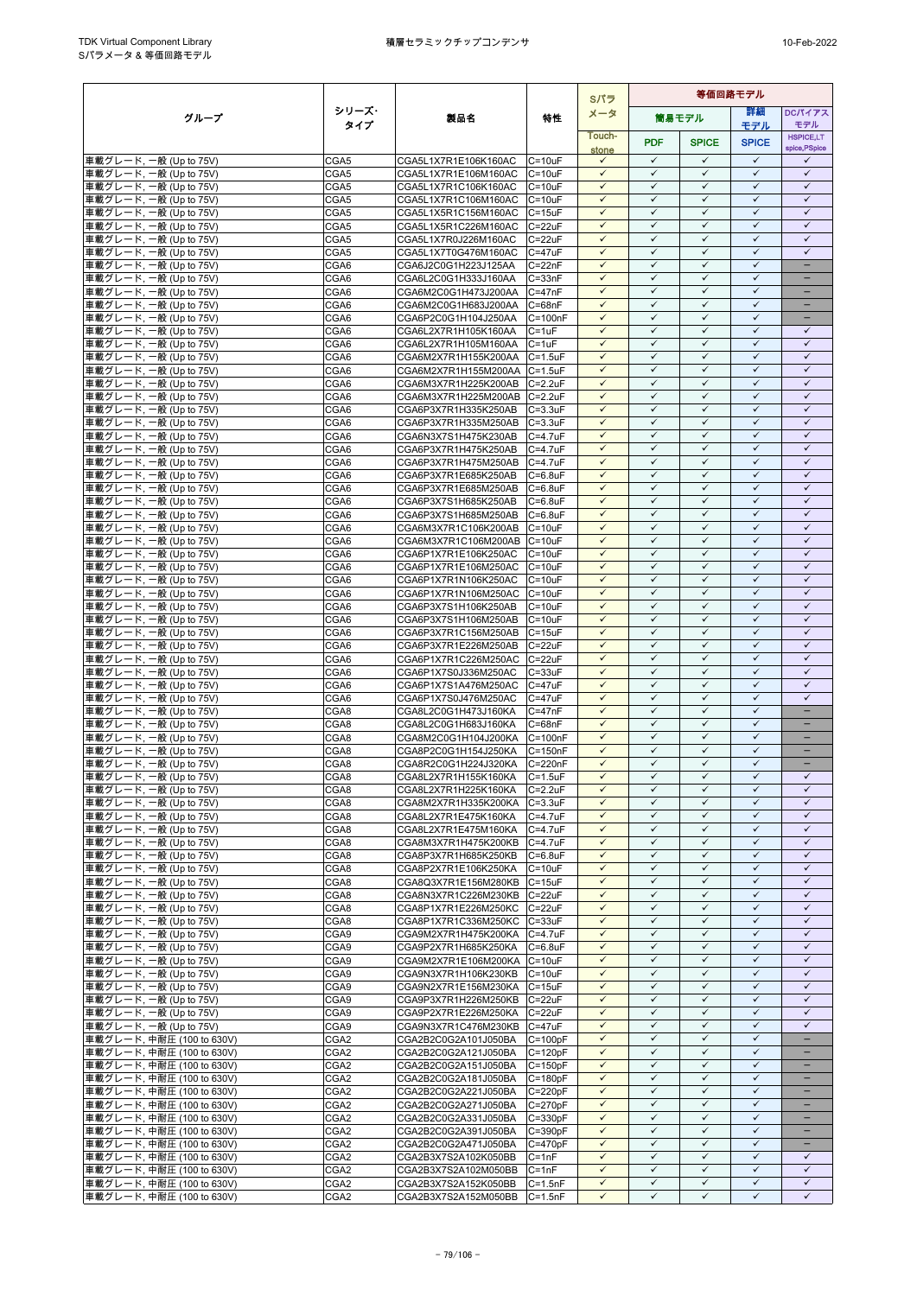|                                                        |                                      |                                                             |                               | Sパラ                          | 等価回路モデル                      |                              |                              |                               |  |
|--------------------------------------------------------|--------------------------------------|-------------------------------------------------------------|-------------------------------|------------------------------|------------------------------|------------------------------|------------------------------|-------------------------------|--|
| グループ                                                   | シリーズ・                                | 製品名                                                         | 特性                            | メータ                          |                              | 筒易モデル                        | 等細                           | DCパイアス                        |  |
|                                                        | タイプ                                  |                                                             |                               | Touch-                       |                              |                              | モデル                          | モデル<br><b>HSPICE,LT</b>       |  |
|                                                        |                                      |                                                             |                               | stone                        | <b>PDF</b>                   | <b>SPICE</b>                 | <b>SPICE</b>                 | spice, PSpice                 |  |
| 車載グレード, 一般 (Up to 75V)                                 | CGA5                                 | CGA5L1X7R1E106K160AC                                        | $C = 10uF$                    | $\checkmark$                 | $\checkmark$                 | $\checkmark$                 | $\checkmark$<br>$\checkmark$ | ✓                             |  |
| 車載グレード, 一般 (Up to 75V)<br>車載グレード, 一般 (Up to 75V)       | CGA5<br>CGA5                         | CGA5L1X7R1E106M160AC<br>CGA5L1X7R1C106K160AC                | $C = 10uF$<br>$C = 10uF$      | $\checkmark$<br>$\checkmark$ | $\checkmark$<br>$\checkmark$ | $\checkmark$<br>$\checkmark$ | $\checkmark$                 | $\checkmark$<br>$\checkmark$  |  |
| 車載グレード, 一般 (Up to 75V)                                 | CGA5                                 | CGA5L1X7R1C106M160AC                                        | $C = 10uF$                    | $\checkmark$                 | $\checkmark$                 | $\checkmark$                 | $\checkmark$                 | $\checkmark$                  |  |
| 車載グレード, 一般 (Up to 75V)                                 | CGA5                                 | CGA5L1X5R1C156M160AC                                        | $C = 15uF$                    | $\checkmark$                 | $\checkmark$                 | $\checkmark$                 | $\checkmark$                 | $\checkmark$                  |  |
| 車載グレード, 一般 (Up to 75V)                                 | CGA5                                 | CGA5L1X5R1C226M160AC                                        | $C = 22uF$                    | $\checkmark$                 | $\checkmark$                 | $\checkmark$                 | $\checkmark$                 | $\checkmark$                  |  |
| 車載グレード, 一般 (Up to 75V)                                 | CGA5                                 | CGA5L1X7R0J226M160AC                                        | $C = 22uF$                    | $\checkmark$                 | $\checkmark$                 | $\checkmark$                 | $\checkmark$                 | $\checkmark$                  |  |
| 車載グレード, 一般 (Up to 75V)<br>車載グレード, 一般 (Up to 75V)       | CGA5                                 | CGA5L1X7T0G476M160AC<br>CGA6J2C0G1H223J125AA                | $C = 47uF$<br>$C = 22nF$      | $\checkmark$<br>$\checkmark$ | $\checkmark$<br>$\checkmark$ | $\checkmark$<br>$\checkmark$ | $\checkmark$<br>$\checkmark$ | $\checkmark$<br>÷             |  |
| 車載グレード, 一般 (Up to 75V)                                 | CGA6<br>CGA6                         | CGA6L2C0G1H333J160AA                                        | $C = 33nF$                    | $\checkmark$                 | $\checkmark$                 | $\checkmark$                 | $\checkmark$                 | -                             |  |
| 車載グレード, 一般 (Up to 75V)                                 | CGA6                                 | CGA6M2C0G1H473J200AA                                        | $C = 47nF$                    | $\checkmark$                 | $\checkmark$                 | $\checkmark$                 | $\checkmark$                 | -                             |  |
| 車載グレード, 一般 (Up to 75V)                                 | CGA6                                 | CGA6M2C0G1H683J200AA                                        | $C = 68nF$                    | $\checkmark$                 | $\checkmark$                 | $\checkmark$                 | $\checkmark$                 | -                             |  |
| 車載グレード, 一般 (Up to 75V)                                 | CGA6                                 | CGA6P2C0G1H104J250AA                                        | $C = 100nF$                   | ✓                            | ✓                            | ✓                            | $\checkmark$                 |                               |  |
| 車載グレード, 一般 (Up to 75V)                                 | CGA6                                 | CGA6L2X7R1H105K160AA                                        | $C = 1uF$                     | $\checkmark$<br>$\checkmark$ | $\checkmark$<br>$\checkmark$ | $\checkmark$<br>$\checkmark$ | $\checkmark$<br>$\checkmark$ | $\checkmark$<br>$\checkmark$  |  |
| 車載グレード, 一般 (Up to 75V)<br>車載グレード, 一般 (Up to 75V)       | CGA6<br>CGA6                         | CGA6L2X7R1H105M160AA<br>CGA6M2X7R1H155K200AA C=1.5uF        | $C = 1uF$                     | $\checkmark$                 | $\checkmark$                 | $\checkmark$                 | $\checkmark$                 | $\checkmark$                  |  |
| 車載グレード, 一般 (Up to 75V)                                 | CGA6                                 | CGA6M2X7R1H155M200AA                                        | $C = 1.5$ u $F$               | $\checkmark$                 | $\checkmark$                 | $\checkmark$                 | $\checkmark$                 | $\checkmark$                  |  |
| 車載グレード, 一般 (Up to 75V)                                 | CGA6                                 | CGA6M3X7R1H225K200AB                                        | $C = 2.2uF$                   | $\checkmark$                 | ✓                            | ✓                            | ✓                            | ✓                             |  |
| 車載グレード, 一般 (Up to 75V)                                 | CGA6                                 | CGA6M3X7R1H225M200AB C=2.2uF                                |                               | $\checkmark$                 | $\checkmark$                 | $\checkmark$                 | $\checkmark$                 | $\checkmark$                  |  |
| 車載グレード, 一般 (Up to 75V)                                 | CGA6                                 | CGA6P3X7R1H335K250AB                                        | $C = 3.3uF$                   | $\checkmark$                 | $\checkmark$                 | $\checkmark$                 | $\checkmark$                 | $\checkmark$                  |  |
| 車載グレード, 一般 (Up to 75V)<br>車載グレード, 一般 (Up to 75V)       | CGA6<br>CGA6                         | CGA6P3X7R1H335M250AB<br>CGA6N3X7S1H475K230AB                | $C = 3.3uF$<br>C=4.7uF        | $\checkmark$<br>$\checkmark$ | $\checkmark$<br>$\checkmark$ | $\checkmark$<br>$\checkmark$ | $\checkmark$<br>$\checkmark$ | $\checkmark$<br>$\checkmark$  |  |
| 車載グレード, 一般 (Up to 75V)                                 | CGA6                                 | CGA6P3X7R1H475K250AB                                        | C=4.7uF                       | $\checkmark$                 | $\checkmark$                 | $\checkmark$                 | $\checkmark$                 | $\checkmark$                  |  |
| 車載グレード, 一般 (Up to 75V)                                 | CGA6                                 | CGA6P3X7R1H475M250AB                                        | $C = 4.7$ u $F$               | $\checkmark$                 | $\checkmark$                 | $\checkmark$                 | $\checkmark$                 | $\checkmark$                  |  |
| 車載グレード, 一般 (Up to 75V)                                 | CGA6                                 | CGA6P3X7R1E685K250AB                                        | $C = 6.8$ u $F$               | $\checkmark$                 | $\checkmark$                 | $\checkmark$                 | $\checkmark$                 | $\checkmark$                  |  |
| 車載グレード, 一般 (Up to 75V)                                 | CGA6                                 | CGA6P3X7R1E685M250AB                                        | $C = 6.8$ u $F$               | $\checkmark$                 | $\checkmark$                 | $\checkmark$                 | $\checkmark$                 | $\checkmark$                  |  |
| 車載グレード, 一般 (Up to 75V)                                 | CGA6                                 | CGA6P3X7S1H685K250AB                                        | $C = 6.8$ u $F$               | $\checkmark$<br>$\checkmark$ | $\checkmark$<br>$\checkmark$ | $\checkmark$<br>$\checkmark$ | $\checkmark$<br>$\checkmark$ | $\checkmark$<br>$\checkmark$  |  |
| 車載グレード, 一般 (Up to 75V)<br>車載グレード, 一般 (Up to 75V)       | CGA6<br>CGA6                         | CGA6P3X7S1H685M250AB<br>CGA6M3X7R1C106K200AB                | $C = 6.8$ u $F$<br>$C = 10uF$ | $\checkmark$                 | $\checkmark$                 | $\checkmark$                 | $\checkmark$                 | $\checkmark$                  |  |
| 車載グレード, 一般 (Up to 75V)                                 | CGA6                                 | CGA6M3X7R1C106M200AB C=10uF                                 |                               | $\checkmark$                 | $\checkmark$                 | $\checkmark$                 | $\checkmark$                 | $\checkmark$                  |  |
| 車載グレード, 一般 (Up to 75V)                                 | CGA6                                 | CGA6P1X7R1E106K250AC                                        | $C = 10uF$                    | $\checkmark$                 | $\checkmark$                 | $\checkmark$                 | $\checkmark$                 | $\checkmark$                  |  |
| 車載グレード, 一般 (Up to 75V)                                 | CGA6                                 | CGA6P1X7R1E106M250AC                                        | $C = 10uF$                    | $\checkmark$                 | $\checkmark$                 | $\checkmark$                 | $\checkmark$                 | $\checkmark$                  |  |
| 車載グレード, 一般 (Up to 75V)                                 | CGA6                                 | CGA6P1X7R1N106K250AC                                        | $C = 10uF$                    | $\checkmark$                 | $\checkmark$<br>$\checkmark$ | $\checkmark$<br>$\checkmark$ | $\checkmark$<br>$\checkmark$ | $\checkmark$                  |  |
| 車載グレード, 一般 (Up to 75V)<br>車載グレード, 一般 (Up to 75V)       | CGA6<br>CGA6                         | CGA6P1X7R1N106M250AC<br>CGA6P3X7S1H106K250AB                | $C = 10uF$<br>$C = 10uF$      | $\checkmark$<br>$\checkmark$ | $\checkmark$                 | $\checkmark$                 | $\checkmark$                 | $\checkmark$<br>$\checkmark$  |  |
| 車載グレード, 一般 (Up to 75V)                                 | CGA6                                 | CGA6P3X7S1H106M250AB                                        | $C = 10uF$                    | $\checkmark$                 | $\checkmark$                 | $\checkmark$                 | $\checkmark$                 | $\checkmark$                  |  |
| 車載グレード, 一般 (Up to 75V)                                 | CGA6                                 | CGA6P3X7R1C156M250AB                                        | $C = 15uF$                    | $\checkmark$                 | $\checkmark$                 | ✓                            | $\checkmark$                 | $\checkmark$                  |  |
| 車載グレード, 一般 (Up to 75V)                                 | CGA6                                 | CGA6P3X7R1E226M250AB                                        | $C = 22uF$                    | $\checkmark$                 | $\checkmark$                 | $\checkmark$                 | $\checkmark$                 | $\checkmark$                  |  |
| 車載グレード, 一般 (Up to 75V)                                 | CGA6                                 | CGA6P1X7R1C226M250AC                                        | $C = 22uF$                    | $\checkmark$                 | $\checkmark$                 | $\checkmark$                 | $\checkmark$                 | $\checkmark$                  |  |
| 車載グレード, 一般 (Up to 75V)                                 | CGA6<br>CGA6                         | CGA6P1X7S0J336M250AC                                        | $C = 33uF$<br>$C = 47uF$      | $\checkmark$<br>$\checkmark$ | $\checkmark$<br>$\checkmark$ | $\checkmark$<br>$\checkmark$ | $\checkmark$<br>$\checkmark$ | $\checkmark$<br>$\checkmark$  |  |
| 車載グレード, 一般 (Up to 75V)<br>車載グレード, 一般 (Up to 75V)       | CGA6                                 | CGA6P1X7S1A476M250AC<br>CGA6P1X7S0J476M250AC                | $C = 47uF$                    | $\checkmark$                 | $\checkmark$                 | $\checkmark$                 | $\checkmark$                 | $\checkmark$                  |  |
| 車載グレード, 一般 (Up to 75V)                                 | CGA8                                 | CGA8L2C0G1H473J160KA                                        | $C = 47nF$                    | $\checkmark$                 | $\checkmark$                 | $\checkmark$                 | $\checkmark$                 | -                             |  |
| 車載グレード, 一般 (Up to 75V)                                 | CGA8                                 | CGA8L2C0G1H683J160KA                                        | $C = 68nF$                    | $\checkmark$                 | $\checkmark$                 | $\checkmark$                 | $\checkmark$                 |                               |  |
| 車載グレード, 一般 (Up to 75V)                                 | CGA8                                 | CGA8M2C0G1H104J200KA                                        | $C = 100nF$                   | $\checkmark$                 | $\checkmark$                 | $\checkmark$                 | $\checkmark$                 | -                             |  |
| 車載グレード, 一般 (Up to 75V)                                 | CGA8<br>CGA8                         | CGA8P2C0G1H154J250KA<br>CGA8R2C0G1H224J320KA                | $C = 150nF$<br>C=220nF        | $\checkmark$<br>$\checkmark$ | $\checkmark$<br>$\checkmark$ | $\checkmark$<br>$\checkmark$ | $\checkmark$<br>$\checkmark$ | -                             |  |
| 車載グレード, 一般 (Up to 75V)<br>車載グレード, 一般 (Up to 75V)       | CGA8                                 | CGA8L2X7R1H155K160KA C=1.5uF                                |                               | $\checkmark$                 | $\checkmark$                 | $\checkmark$                 | $\checkmark$                 | $\checkmark$                  |  |
| 車載グレード, 一般 (Up to 75V)                                 | CGA8                                 | CGA8L2X7R1H225K160KA                                        | $C = 2.2uF$                   | $\checkmark$                 | $\checkmark$                 | $\checkmark$                 | ✓                            | ✓                             |  |
| 車載グレード, 一般 (Up to 75V)                                 | CGA8                                 | CGA8M2X7R1H335K200KA C=3.3uF                                |                               | $\checkmark$                 | $\checkmark$                 | $\checkmark$                 | $\checkmark$                 | $\checkmark$                  |  |
| 車載グレード, 一般 (Up to 75V)                                 | CGA8                                 | CGA8L2X7R1E475K160KA                                        | $C = 4.7$ u $F$               | $\checkmark$                 | $\checkmark$                 | $\checkmark$                 | $\checkmark$                 | $\checkmark$                  |  |
| 車載グレード, 一般 (Up to 75V)                                 | CGA8                                 | CGA8L2X7R1E475M160KA                                        | $C = 4.7$ u $F$               | $\checkmark$<br>$\checkmark$ | $\checkmark$<br>$\checkmark$ | $\checkmark$<br>$\checkmark$ | $\checkmark$<br>$\checkmark$ | $\checkmark$<br>$\checkmark$  |  |
| 車載グレード, 一般 (Up to 75V)<br>車載グレード, 一般 (Up to 75V)       | CGA8<br>CGA8                         | CGA8M3X7R1H475K200KB C=4.7uF<br>CGA8P3X7R1H685K250KB        | $C=6.8$ u $F$                 | $\checkmark$                 | $\checkmark$                 | ✓                            | $\checkmark$                 | $\checkmark$                  |  |
| 車載グレード, 一般 (Up to 75V)                                 | CGA8                                 | CGA8P2X7R1E106K250KA                                        | $C = 10uF$                    | $\checkmark$                 | $\checkmark$                 | $\checkmark$                 | $\checkmark$                 | $\checkmark$                  |  |
| 車載グレード, 一般 (Up to 75V)                                 | CGA8                                 | CGA8Q3X7R1E156M280KB C=15uF                                 |                               | $\checkmark$                 | $\checkmark$                 | ✓                            | $\checkmark$                 | $\checkmark$                  |  |
| 車載グレード, 一般 (Up to 75V)                                 | CGA8                                 | CGA8N3X7R1C226M230KB C=22uF                                 |                               | $\checkmark$                 | $\checkmark$                 | $\checkmark$                 | $\checkmark$                 | $\checkmark$                  |  |
| 車載グレード, 一般 (Up to 75V)                                 | CGA8                                 | CGA8P1X7R1E226M250KC                                        | $C = 22uF$                    | $\checkmark$<br>$\checkmark$ | $\checkmark$<br>$\checkmark$ | $\checkmark$<br>$\checkmark$ | $\checkmark$<br>$\checkmark$ | $\checkmark$<br>$\checkmark$  |  |
| 車載グレード, 一般 (Up to 75V)<br>車載グレード, 一般 (Up to 75V)       | CGA8<br>CGA9                         | CGA8P1X7R1C336M250KC C=33uF<br>CGA9M2X7R1H475K200KA C=4.7uF |                               | $\checkmark$                 | $\checkmark$                 | $\checkmark$                 | $\checkmark$                 | $\checkmark$                  |  |
| 車載グレード, 一般 (Up to 75V)                                 | CGA9                                 | CGA9P2X7R1H685K250KA                                        | $C = 6.8$ uF                  | $\checkmark$                 | $\checkmark$                 | $\checkmark$                 | $\checkmark$                 | $\checkmark$                  |  |
| 車載グレード, 一般 (Up to 75V)                                 | CGA9                                 | CGA9M2X7R1E106M200KA C=10uF                                 |                               | $\checkmark$                 | $\checkmark$                 | $\checkmark$                 | $\checkmark$                 | $\checkmark$                  |  |
| 車載グレード, 一般 (Up to 75V)                                 | CGA9                                 | CGA9N3X7R1H106K230KB                                        | $C = 10uF$                    | $\checkmark$                 | $\checkmark$                 | $\checkmark$                 | $\checkmark$                 | $\checkmark$                  |  |
| 車載グレード, 一般 (Up to 75V)                                 | CGA9                                 | CGA9N2X7R1E156M230KA                                        | $C = 15uF$                    | $\checkmark$                 | $\checkmark$<br>$\checkmark$ | $\checkmark$<br>$\checkmark$ | $\checkmark$<br>$\checkmark$ | $\checkmark$<br>$\checkmark$  |  |
| 車載グレード, 一般 (Up to 75V)<br>車載グレード, 一般 (Up to 75V)       | CGA9<br>CGA9                         | CGA9P3X7R1H226M250KB<br>CGA9P2X7R1E226M250KA                | $C = 22uF$<br>$C = 22uF$      | $\checkmark$<br>$\checkmark$ | $\checkmark$                 | $\checkmark$                 | $\checkmark$                 | $\checkmark$                  |  |
| 車載グレード, 一般 (Up to 75V)                                 | CGA9                                 | CGA9N3X7R1C476M230KB C=47uF                                 |                               | $\checkmark$                 | $\checkmark$                 | $\checkmark$                 | $\checkmark$                 | $\checkmark$                  |  |
| 車載グレード, 中耐圧 (100 to 630V)                              | CGA <sub>2</sub>                     | CGA2B2C0G2A101J050BA                                        | $C = 100pF$                   | $\checkmark$                 | ✓                            | ✓                            | ✓                            | -                             |  |
| 車載グレード, 中耐圧 (100 to 630V)                              | CGA <sub>2</sub>                     | CGA2B2C0G2A121J050BA                                        | $C = 120pF$                   | $\checkmark$                 | $\checkmark$                 | $\checkmark$                 | $\checkmark$                 | -                             |  |
| 車載グレード, 中耐圧 (100 to 630V)                              | CGA <sub>2</sub>                     | CGA2B2C0G2A151J050BA                                        | $C = 150pF$                   | $\checkmark$                 | $\checkmark$                 | $\checkmark$                 | $\checkmark$                 |                               |  |
| 車載グレード, 中耐圧 (100 to 630V)<br>車載グレード, 中耐圧 (100 to 630V) | CGA <sub>2</sub><br>CGA <sub>2</sub> | CGA2B2C0G2A181J050BA<br>CGA2B2C0G2A221J050BA                | $C = 180pF$<br>$C = 220pF$    | $\checkmark$<br>$\checkmark$ | $\checkmark$<br>$\checkmark$ | $\checkmark$<br>$\checkmark$ | $\checkmark$<br>$\checkmark$ | -<br>$\overline{\phantom{0}}$ |  |
| 車載グレード, 中耐圧 (100 to 630V)                              | CGA <sub>2</sub>                     | CGA2B2C0G2A271J050BA                                        | $C = 270pF$                   | $\checkmark$                 | $\checkmark$                 | ✓                            | $\checkmark$                 |                               |  |
| 車載グレード, 中耐圧 (100 to 630V)                              | CGA <sub>2</sub>                     | CGA2B2C0G2A331J050BA                                        | C=330pF                       | $\checkmark$                 | $\checkmark$                 | $\checkmark$                 | $\checkmark$                 | $\qquad \qquad -$             |  |
| 車載グレード, 中耐圧 (100 to 630V)                              | CGA <sub>2</sub>                     | CGA2B2C0G2A391J050BA                                        | $C = 390pF$                   | $\checkmark$                 | $\checkmark$                 | $\checkmark$                 | $\checkmark$                 |                               |  |
| 車載グレード, 中耐圧 (100 to 630V)                              | CGA <sub>2</sub>                     | CGA2B2C0G2A471J050BA                                        | $C = 470pF$                   | $\checkmark$                 | $\checkmark$                 | $\checkmark$                 | $\checkmark$                 | -                             |  |
| 車載グレード, 中耐圧 (100 to 630V)<br>車載グレード, 中耐圧 (100 to 630V) | CGA <sub>2</sub><br>CGA <sub>2</sub> | CGA2B3X7S2A102K050BB<br>CGA2B3X7S2A102M050BB                | $C = 1nF$                     | $\checkmark$<br>$\checkmark$ | $\checkmark$<br>$\checkmark$ | $\checkmark$<br>$\checkmark$ | $\checkmark$<br>$\checkmark$ | ✓<br>$\checkmark$             |  |
| 車載グレード, 中耐圧 (100 to 630V)                              | CGA <sub>2</sub>                     | CGA2B3X7S2A152K050BB                                        | $C = 1nF$<br>$C = 1.5nF$      | $\checkmark$                 | $\checkmark$                 | $\checkmark$                 | $\checkmark$                 | $\checkmark$                  |  |
| 車載グレード, 中耐圧 (100 to 630V)                              | CGA2                                 | CGA2B3X7S2A152M050BB                                        | $C = 1.5nF$                   | $\checkmark$                 | $\checkmark$                 | $\checkmark$                 | $\checkmark$                 | $\checkmark$                  |  |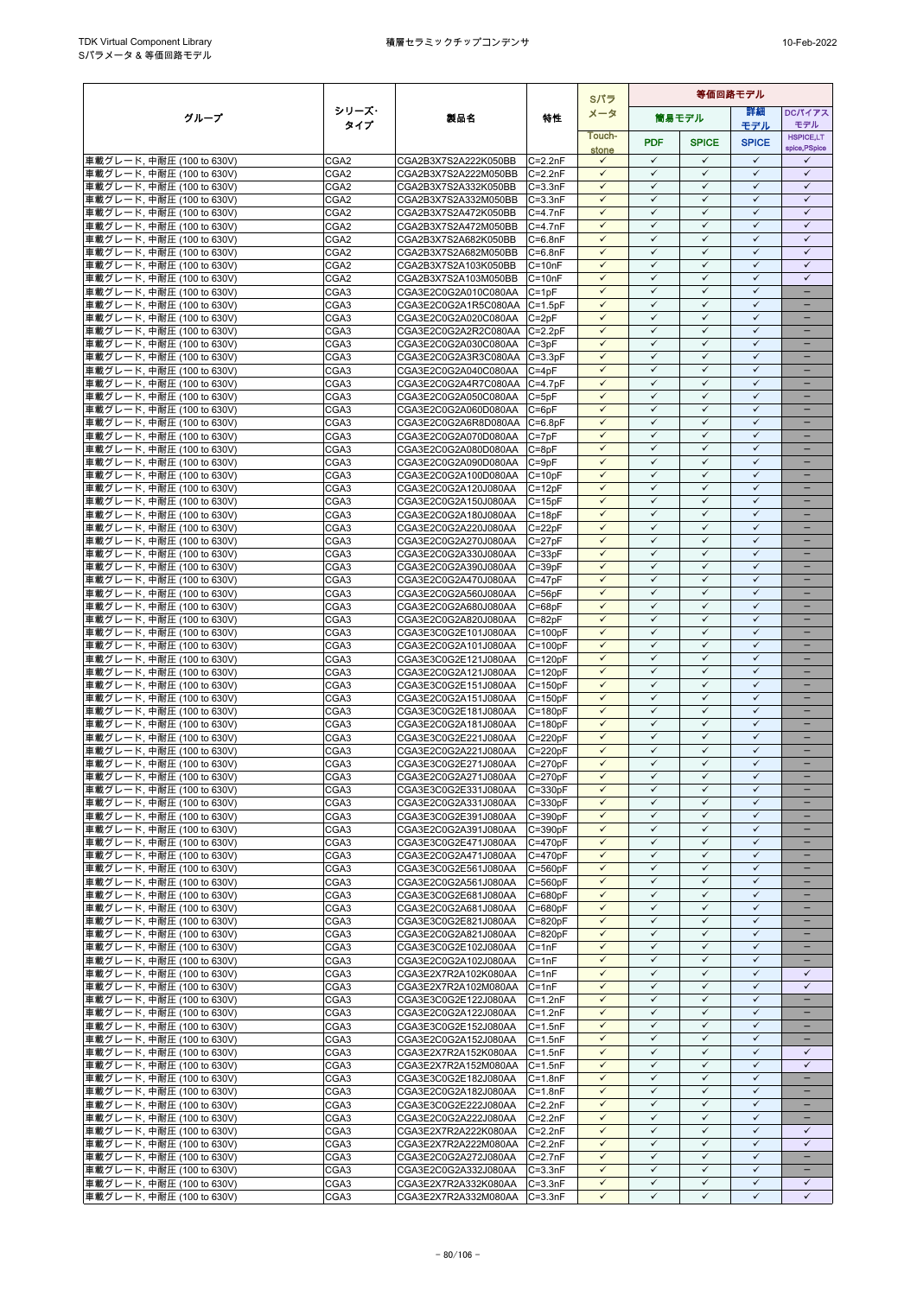|                                                         |                                      |                                              |                            | Sパラ                          | 等価回路モデル                      |                              |                              |                                   |
|---------------------------------------------------------|--------------------------------------|----------------------------------------------|----------------------------|------------------------------|------------------------------|------------------------------|------------------------------|-----------------------------------|
| グループ                                                    | シリーズ・                                | 製品名                                          | 特性                         | メータ                          |                              | 筒易モデル                        | 等細                           | <b>DCパイアス</b>                     |
|                                                         | タイプ                                  |                                              |                            | Touch-                       |                              |                              | モデル                          | モデル<br><b>HSPICE,LT</b>           |
|                                                         |                                      |                                              |                            | stone                        | <b>PDF</b>                   | <b>SPICE</b>                 | <b>SPICE</b>                 | spice, PSpice                     |
| 車載グレード, 中耐圧 (100 to 630V)                               | CGA <sub>2</sub>                     | CGA2B3X7S2A222K050BB                         | $C = 2.2nF$                | $\checkmark$                 | $\checkmark$                 | $\checkmark$                 | $\checkmark$<br>$\checkmark$ | ✓                                 |
| 車載グレード, 中耐圧 (100 to 630V)<br>車載グレード, 中耐圧 (100 to 630V)  | CGA <sub>2</sub><br>CGA <sub>2</sub> | CGA2B3X7S2A222M050BB<br>CGA2B3X7S2A332K050BB | $C = 2.2nF$<br>$C = 3.3nF$ | $\checkmark$<br>$\checkmark$ | $\checkmark$<br>$\checkmark$ | $\checkmark$<br>$\checkmark$ | $\checkmark$                 | $\checkmark$<br>$\checkmark$      |
| 車載グレード, 中耐圧 (100 to 630V)                               | CGA <sub>2</sub>                     | CGA2B3X7S2A332M050BB                         | $C = 3.3nF$                | $\checkmark$                 | $\checkmark$                 | $\checkmark$                 | $\checkmark$                 | $\checkmark$                      |
| 車載グレード, 中耐圧 (100 to 630V)                               | CGA <sub>2</sub>                     | CGA2B3X7S2A472K050BB                         | $C = 4.7nF$                | $\checkmark$                 | $\checkmark$                 | $\checkmark$                 | $\checkmark$                 | $\checkmark$                      |
| 車載グレード, 中耐圧 (100 to 630V)                               | CGA <sub>2</sub>                     | CGA2B3X7S2A472M050BB                         | $C = 4.7nF$                | $\checkmark$                 | $\checkmark$                 | $\checkmark$                 | $\checkmark$                 | $\checkmark$                      |
| 車載グレード, 中耐圧 (100 to 630V)                               | CGA <sub>2</sub>                     | CGA2B3X7S2A682K050BB                         | $C = 6.8nF$                | $\checkmark$                 | $\checkmark$                 | $\checkmark$                 | $\checkmark$                 | $\checkmark$                      |
| 車載グレード, 中耐圧 (100 to 630V)                               | CGA <sub>2</sub>                     | CGA2B3X7S2A682M050BB<br>CGA2B3X7S2A103K050BB | $C = 6.8nF$<br>$C = 10nF$  | $\checkmark$<br>$\checkmark$ | $\checkmark$<br>$\checkmark$ | $\checkmark$<br>$\checkmark$ | $\checkmark$<br>$\checkmark$ | $\checkmark$<br>$\checkmark$      |
| 車載グレード, 中耐圧 (100 to 630V)<br> 車載グレード, 中耐圧 (100 to 630V) | CGA <sub>2</sub><br>CGA <sub>2</sub> | CGA2B3X7S2A103M050BB                         | $C = 10nF$                 | $\checkmark$                 | $\checkmark$                 | $\checkmark$                 | $\checkmark$                 | $\checkmark$                      |
| 車載グレード, 中耐圧 (100 to 630V)                               | CGA3                                 | CGA3E2C0G2A010C080AA                         | $C = 1pF$                  | $\checkmark$                 | $\checkmark$                 | $\checkmark$                 | $\checkmark$                 | $\qquad \qquad -$                 |
| 車載グレード, 中耐圧 (100 to 630V)                               | CGA3                                 | CGA3E2C0G2A1R5C080AA C=1.5pF                 |                            | $\checkmark$                 | $\checkmark$                 | $\checkmark$                 | $\checkmark$                 | -                                 |
| 車載グレード, 中耐圧 (100 to 630V)                               | CGA3                                 | CGA3E2C0G2A020C080AA                         | $C = 2pF$                  |                              | ✓                            | ✓                            | $\checkmark$                 |                                   |
| 車載グレード, 中耐圧 (100 to 630V)<br>車載グレード, 中耐圧 (100 to 630V)  | CGA <sub>3</sub><br>CGA3             | CGA3E2C0G2A2R2C080AA<br>CGA3E2C0G2A030C080AA | $C = 2.2pF$<br>$C = 3pF$   | $\checkmark$<br>$\checkmark$ | $\checkmark$<br>$\checkmark$ | $\checkmark$<br>$\checkmark$ | $\checkmark$<br>$\checkmark$ | ۳                                 |
| 車載グレード, 中耐圧 (100 to 630V)                               | CGA3                                 | CGA3E2C0G2A3R3C080AA C=3.3pF                 |                            | $\checkmark$                 | $\checkmark$                 | $\checkmark$                 | $\checkmark$                 | $\equiv$                          |
| 車載グレード, 中耐圧 (100 to 630V)                               | CGA3                                 | CGA3E2C0G2A040C080AA                         | $C = 4pF$                  | $\checkmark$                 | $\checkmark$                 | $\checkmark$                 | $\checkmark$                 | $\qquad \qquad -$                 |
| 車載グレード, 中耐圧 (100 to 630V)                               | CGA3                                 | CGA3E2C0G2A4R7C080AA                         | $C=4.7pF$                  | ✓                            | ✓                            | ✓                            | $\checkmark$                 |                                   |
| 車載グレード, 中耐圧 (100 to 630V)                               | CGA3                                 | CGA3E2C0G2A050C080AA                         | $C = 5pF$                  | $\checkmark$                 | $\checkmark$                 | $\checkmark$                 | $\checkmark$                 |                                   |
| 車載グレード, 中耐圧 (100 to 630V)<br>車載グレード, 中耐圧 (100 to 630V)  | CGA3<br>CGA <sub>3</sub>             | CGA3E2C0G2A060D080AA<br>CGA3E2C0G2A6R8D080AA | $C = 6pF$<br>$C = 6.8pF$   | ✓<br>$\checkmark$            | $\checkmark$<br>$\checkmark$ | $\checkmark$<br>$\checkmark$ | $\checkmark$<br>$\checkmark$ |                                   |
| 車載グレード, 中耐圧 (100 to 630V)                               | CGA3                                 | CGA3E2C0G2A070D080AA                         | $C = 7pF$                  | $\checkmark$                 | $\checkmark$                 | $\checkmark$                 | $\checkmark$                 | $\overline{\phantom{0}}$          |
| 車載グレード, 中耐圧 (100 to 630V)                               | CGA3                                 | CGA3E2C0G2A080D080AA                         | $C = 8pF$                  | $\checkmark$                 | $\checkmark$                 | $\checkmark$                 | $\checkmark$                 | -                                 |
| 車載グレード. 中耐圧 (100 to 630V)                               | CGA <sub>3</sub>                     | CGA3E2C0G2A090D080AA                         | $C = 9pF$                  | $\checkmark$                 | $\checkmark$                 | $\checkmark$                 | $\checkmark$                 | -                                 |
| 車載グレード, 中耐圧 (100 to 630V)                               | CGA3                                 | CGA3E2C0G2A100D080AA                         | $C = 10pF$                 | $\checkmark$                 | $\checkmark$                 | $\checkmark$                 | $\checkmark$                 |                                   |
| 車載グレード, 中耐圧 (100 to 630V)                               | CGA3                                 | CGA3E2C0G2A120J080AA                         | $C = 12pF$                 | $\checkmark$<br>$\checkmark$ | $\checkmark$<br>$\checkmark$ | $\checkmark$<br>✓            | $\checkmark$<br>$\checkmark$ |                                   |
| 車載グレード, 中耐圧 (100 to 630V)<br>車載グレード. 中耐圧 (100 to 630V)  | CGA <sub>3</sub><br>CGA3             | CGA3E2C0G2A150J080AA<br>CGA3E2C0G2A180J080AA | $C = 15pF$<br>$C = 18pF$   | $\checkmark$                 | $\checkmark$                 | $\checkmark$                 | $\checkmark$                 | -                                 |
| 車載グレード, 中耐圧 (100 to 630V)                               | CGA3                                 | CGA3E2C0G2A220J080AA                         | $C = 22pF$                 | $\checkmark$                 | $\checkmark$                 | $\checkmark$                 | $\checkmark$                 | $\equiv$                          |
| 車載グレード, 中耐圧 (100 to 630V)                               | CGA3                                 | CGA3E2C0G2A270J080AA                         | $C = 27pF$                 | $\checkmark$                 | $\checkmark$                 | $\checkmark$                 | $\checkmark$                 | $\overline{\phantom{0}}$          |
| 車載グレード, 中耐圧 (100 to 630V)                               | CGA3                                 | CGA3E2C0G2A330J080AA                         | $C = 33pF$                 | $\checkmark$                 | $\checkmark$                 | $\checkmark$                 | $\checkmark$                 | -                                 |
| 車載グレード, 中耐圧 (100 to 630V)<br>車載グレード, 中耐圧 (100 to 630V)  | CGA3<br>CGA3                         | CGA3E2C0G2A390J080AA<br>CGA3E2C0G2A470J080AA | $C = 39pF$<br>$C = 47pF$   | $\checkmark$<br>$\checkmark$ | $\checkmark$<br>$\checkmark$ | $\checkmark$<br>$\checkmark$ | $\checkmark$<br>$\checkmark$ | ÷                                 |
| 車載グレード, 中耐圧 (100 to 630V)                               | CGA3                                 | CGA3E2C0G2A560J080AA                         | $C = 56pF$                 | $\checkmark$                 | $\checkmark$                 | $\checkmark$                 | $\checkmark$                 |                                   |
| 車載グレード, 中耐圧 (100 to 630V)                               | CGA3                                 | CGA3E2C0G2A680J080AA                         | $C = 68pF$                 | $\checkmark$                 | $\checkmark$                 | $\checkmark$                 | $\checkmark$                 | $\equiv$                          |
| 車載グレード, 中耐圧 (100 to 630V)                               | CGA3                                 | CGA3E2C0G2A820J080AA                         | $C = 82pF$                 | $\checkmark$                 | $\checkmark$                 | $\checkmark$                 | $\checkmark$                 | $\qquad \qquad -$                 |
| 車載グレード, 中耐圧 (100 to 630V)                               | CGA3                                 | CGA3E3C0G2E101J080AA                         | $C = 100pF$                | $\checkmark$                 | $\checkmark$                 | ✓                            | ✓                            |                                   |
| 車載グレード, 中耐圧 (100 to 630V)                               | CGA3                                 | CGA3E2C0G2A101J080AA                         | $C = 100pF$                | $\checkmark$<br>$\checkmark$ | $\checkmark$<br>$\checkmark$ | $\checkmark$<br>$\checkmark$ | $\checkmark$<br>$\checkmark$ | -                                 |
| 車載グレード, 中耐圧 (100 to 630V)<br>車載グレード, 中耐圧 (100 to 630V)  | CGA3<br>CGA3                         | CGA3E3C0G2E121J080AA<br>CGA3E2C0G2A121J080AA | $C = 120pF$<br>$C = 120pF$ | $\checkmark$                 | $\checkmark$                 | $\checkmark$                 | $\checkmark$                 |                                   |
| 車載グレード, 中耐圧 (100 to 630V)                               | CGA3                                 | CGA3E3C0G2E151J080AA                         | $C = 150pF$                | $\checkmark$                 | $\checkmark$                 | $\checkmark$                 | $\checkmark$                 | $\overline{\phantom{0}}$          |
| 車載グレード, 中耐圧 (100 to 630V)                               | CGA3                                 | CGA3E2C0G2A151J080AA                         | $C = 150pF$                | $\checkmark$                 | $\checkmark$                 | $\checkmark$                 | $\checkmark$                 | -                                 |
| 車載グレード, 中耐圧 (100 to 630V)                               | CGA <sub>3</sub>                     | CGA3E3C0G2E181J080AA                         | $C = 180pF$                | $\checkmark$                 | $\checkmark$                 | $\checkmark$                 | $\checkmark$                 | -                                 |
| 車載グレード, 中耐圧 (100 to 630V)<br>車載グレード, 中耐圧 (100 to 630V)  | CGA3<br>CGA3                         | CGA3E2C0G2A181J080AA                         | $C = 180pF$<br>$C = 220pF$ | $\checkmark$<br>$\checkmark$ | $\checkmark$<br>$\checkmark$ | $\checkmark$<br>$\checkmark$ | $\checkmark$<br>$\checkmark$ |                                   |
| 車載グレード, 中耐圧 (100 to 630V)                               | CGA <sub>3</sub>                     | CGA3E3C0G2E221J080AA<br>CGA3E2C0G2A221J080AA | $C = 220nF$                | ✓                            | ✓                            | ✓                            | $\checkmark$                 |                                   |
| 車載グレード, 中耐圧 (100 to 630V)                               | CGA3                                 | CGA3E3C0G2E271J080AA                         | $C = 270pF$                | $\checkmark$                 | $\checkmark$                 | $\checkmark$                 | $\checkmark$                 | -                                 |
| 車載グレード, 中耐圧 (100 to 630V)                               | CGA3                                 | CGA3E2C0G2A271J080AA                         | $C=270pF$                  | $\checkmark$                 | $\checkmark$                 | $\checkmark$                 | $\checkmark$                 |                                   |
| 車載グレード, 中耐圧 (100 to 630V)                               | CGA <sub>3</sub>                     | CGA3E3C0G2E331J080AA                         | $C = 330pF$                | $\checkmark$                 | $\checkmark$                 | $\checkmark$                 | $\checkmark$                 | $\overline{\phantom{0}}$          |
| 車載グレード, 中耐圧 (100 to 630V)<br>車載グレード, 中耐圧 (100 to 630V)  | CGA <sub>3</sub><br>CGA <sub>3</sub> | CGA3E2C0G2A331J080AA<br>CGA3E3C0G2E391J080AA | $C = 330pF$<br>$C = 390pF$ | $\checkmark$<br>$\checkmark$ | $\checkmark$<br>$\checkmark$ | $\checkmark$<br>$\checkmark$ | $\checkmark$<br>$\checkmark$ | -                                 |
| 車載グレード, 中耐圧 (100 to 630V)                               | CGA3                                 | CGA3E2C0G2A391J080AA                         | $C = 390pF$                | $\checkmark$                 | $\checkmark$                 | $\checkmark$                 | $\checkmark$                 | ÷                                 |
| 車載グレード, 中耐圧 (100 to 630V)                               | CGA3                                 | CGA3E3C0G2E471J080AA                         | $C = 470pF$                | $\checkmark$                 | $\checkmark$                 | $\checkmark$                 | $\checkmark$                 |                                   |
| 車載グレード, 中耐圧 (100 to 630V)                               | CGA3                                 | CGA3E2C0G2A471J080AA                         | $C = 470pF$                | $\checkmark$                 | $\checkmark$                 | ✓                            | $\checkmark$                 |                                   |
| 車載グレード, 中耐圧 (100 to 630V)                               | CGA3                                 | CGA3E3C0G2E561J080AA                         | $C = 560pF$                | $\checkmark$                 | $\checkmark$                 | $\checkmark$                 | $\checkmark$                 | $\overline{\phantom{a}}$          |
| 車載グレード, 中耐圧 (100 to 630V)<br>車載グレード, 中耐圧 (100 to 630V)  | CGA <sub>3</sub><br>CGA <sub>3</sub> | CGA3E2C0G2A561J080AA<br>CGA3E3C0G2E681J080AA | $C = 560pF$<br>$C = 680pF$ | $\checkmark$<br>$\checkmark$ | $\checkmark$<br>$\checkmark$ | ✓<br>$\checkmark$            | $\checkmark$<br>$\checkmark$ | -                                 |
| 車載グレード, 中耐圧 (100 to 630V)                               | CGA3                                 | CGA3E2C0G2A681J080AA                         | $C = 680pF$                | $\checkmark$                 | $\checkmark$                 | $\checkmark$                 | $\checkmark$                 | $\equiv$                          |
| 車載グレード, 中耐圧 (100 to 630V)                               | CGA3                                 | CGA3E3C0G2E821J080AA                         | $C = 820pF$                | $\checkmark$                 | $\checkmark$                 | $\checkmark$                 | $\checkmark$                 |                                   |
| 車載グレード, 中耐圧 (100 to 630V)                               | CGA3                                 | CGA3E2C0G2A821J080AA                         | $C = 820pF$                | $\checkmark$                 | $\checkmark$                 | $\checkmark$                 | $\checkmark$                 | $\overline{\phantom{0}}$          |
| 車載グレード, 中耐圧 (100 to 630V)                               | CGA3                                 | CGA3E3C0G2E102J080AA                         | $C = 1nF$                  | $\checkmark$                 | $\checkmark$                 | $\checkmark$                 | $\checkmark$                 | -                                 |
| 車載グレード, 中耐圧 (100 to 630V)<br>車載グレード, 中耐圧 (100 to 630V)  | CGA <sub>3</sub><br>CGA <sub>3</sub> | CGA3E2C0G2A102J080AA<br>CGA3E2X7R2A102K080AA | $C = 1nF$<br>$C = 1nF$     | $\checkmark$<br>$\checkmark$ | $\checkmark$<br>$\checkmark$ | $\checkmark$<br>$\checkmark$ | $\checkmark$<br>$\checkmark$ | -<br>$\checkmark$                 |
| 車載グレード, 中耐圧 (100 to 630V)                               | CGA3                                 | CGA3E2X7R2A102M080AA                         | $C = 1nF$                  | $\checkmark$                 | $\checkmark$                 | $\checkmark$                 | $\checkmark$                 | $\checkmark$                      |
| 車載グレード, 中耐圧 (100 to 630V)                               | CGA3                                 | CGA3E3C0G2E122J080AA                         | $C = 1.2nF$                | $\checkmark$                 | $\checkmark$                 | $\checkmark$                 | $\checkmark$                 |                                   |
| 車載グレード, 中耐圧 (100 to 630V)                               | CGA3                                 | CGA3E2C0G2A122J080AA                         | $C = 1.2nF$                | $\checkmark$                 | $\checkmark$                 | $\checkmark$                 | $\checkmark$                 | $\overline{\phantom{0}}$          |
| 車載グレード, 中耐圧 (100 to 630V)                               | CGA3                                 | CGA3E3C0G2E152J080AA                         | $C = 1.5nF$                | $\checkmark$                 | $\checkmark$                 | $\checkmark$                 | $\checkmark$                 | $\qquad \qquad -$                 |
| 車載グレード, 中耐圧 (100 to 630V)<br>車載グレード, 中耐圧 (100 to 630V)  | CGA <sub>3</sub><br>CGA <sub>3</sub> | CGA3E2C0G2A152J080AA<br>CGA3E2X7R2A152K080AA | $C = 1.5nF$<br>$C = 1.5nF$ | $\checkmark$<br>$\checkmark$ | $\checkmark$<br>$\checkmark$ | ✓<br>$\checkmark$            | ✓<br>$\checkmark$            | -<br>$\checkmark$                 |
| 車載グレード, 中耐圧 (100 to 630V)                               | CGA3                                 | CGA3E2X7R2A152M080AA                         | $C = 1.5nF$                | $\checkmark$                 | $\checkmark$                 | $\checkmark$                 | $\checkmark$                 | $\checkmark$                      |
| 車載グレード, 中耐圧 (100 to 630V)                               | CGA3                                 | CGA3E3C0G2E182J080AA                         | $C = 1.8nF$                | $\checkmark$                 | $\checkmark$                 | $\checkmark$                 | $\checkmark$                 | ÷                                 |
| 車載グレード, 中耐圧 (100 to 630V)                               | CGA3                                 | CGA3E2C0G2A182J080AA                         | $C = 1.8nF$                | $\checkmark$                 | $\checkmark$                 | $\checkmark$                 | $\checkmark$                 | $\overline{\phantom{0}}$          |
| 車載グレード, 中耐圧 (100 to 630V)                               | CGA <sub>3</sub>                     | CGA3E3C0G2E222J080AA                         | $C = 2.2nF$                | $\checkmark$                 | $\checkmark$                 | ✓                            | $\checkmark$                 |                                   |
| 車載グレード, 中耐圧 (100 to 630V)<br>車載グレード, 中耐圧 (100 to 630V)  | CGA3<br>CGA3                         | CGA3E2C0G2A222J080AA<br>CGA3E2X7R2A222K080AA | $C = 2.2nF$<br>$C = 2.2nF$ | $\checkmark$<br>$\checkmark$ | $\checkmark$<br>$\checkmark$ | $\checkmark$<br>$\checkmark$ | $\checkmark$<br>$\checkmark$ | $\qquad \qquad -$<br>$\checkmark$ |
| 車載グレード, 中耐圧 (100 to 630V)                               | CGA <sub>3</sub>                     | CGA3E2X7R2A222M080AA                         | $C = 2.2nF$                | $\checkmark$                 | $\checkmark$                 | $\checkmark$                 | $\checkmark$                 | $\checkmark$                      |
| 車載グレード, 中耐圧 (100 to 630V)                               | CGA3                                 | CGA3E2C0G2A272J080AA                         | $C = 2.7nF$                | $\checkmark$                 | $\checkmark$                 | $\checkmark$                 | $\checkmark$                 | $\equiv$                          |
| 車載グレード, 中耐圧 (100 to 630V)                               | CGA3                                 | CGA3E2C0G2A332J080AA                         | $C = 3.3nF$                | $\checkmark$                 | $\checkmark$                 | $\checkmark$                 | $\checkmark$                 | $\overline{\phantom{0}}$          |
| 車載グレード, 中耐圧 (100 to 630V)                               | CGA <sub>3</sub>                     | CGA3E2X7R2A332K080AA                         | $C = 3.3nF$                | $\checkmark$                 | $\checkmark$                 | $\checkmark$                 | $\checkmark$                 | $\checkmark$                      |
| 車載グレード, 中耐圧 (100 to 630V)                               | CGA3                                 | CGA3E2X7R2A332M080AA                         | $C = 3.3nF$                | $\checkmark$                 | $\checkmark$                 | ✓                            | $\checkmark$                 | ✓                                 |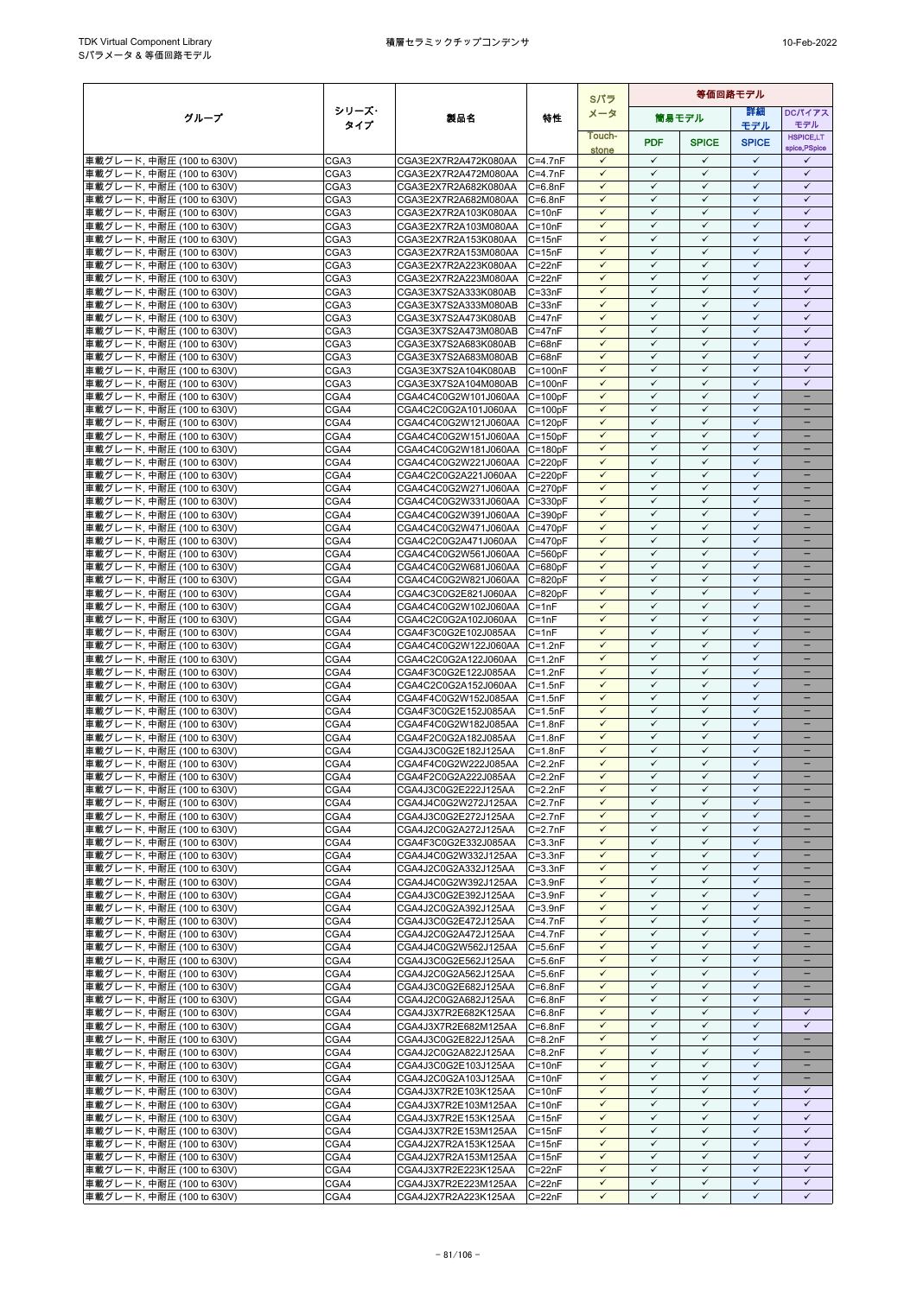|                                                         |                          |                                                      |                            | Sパラ                          | 等価回路モデル                      |                              |                              |                              |
|---------------------------------------------------------|--------------------------|------------------------------------------------------|----------------------------|------------------------------|------------------------------|------------------------------|------------------------------|------------------------------|
| グループ                                                    | シリーズ・                    | 製品名                                                  | 特性                         | メータ                          |                              | 簡易モデル                        | 等細                           | <b>DCパイアス</b>                |
|                                                         | タイプ                      |                                                      |                            | Touch-                       |                              |                              | モデル                          | モデル<br><b>HSPICE,LT</b>      |
|                                                         |                          |                                                      |                            | stone                        | <b>PDF</b>                   | <b>SPICE</b>                 | <b>SPICE</b>                 | spice, PSpice                |
| 車載グレード, 中耐圧 (100 to 630V)                               | CGA <sub>3</sub>         | CGA3E2X7R2A472K080AA                                 | $C = 4.7nF$                | $\checkmark$                 | $\checkmark$                 | $\checkmark$                 | $\checkmark$<br>$\checkmark$ | ✓                            |
| 車載グレード, 中耐圧 (100 to 630V)<br>車載グレード, 中耐圧 (100 to 630V)  | CGA <sub>3</sub><br>CGA3 | CGA3E2X7R2A472M080AA<br>CGA3E2X7R2A682K080AA         | $C = 4.7nF$<br>$C = 6.8nF$ | $\checkmark$<br>$\checkmark$ | $\checkmark$<br>$\checkmark$ | $\checkmark$<br>$\checkmark$ | $\checkmark$                 | $\checkmark$<br>$\checkmark$ |
| 車載グレード, 中耐圧 (100 to 630V)                               | CGA3                     | CGA3E2X7R2A682M080AA                                 | $C = 6.8nF$                | $\checkmark$                 | $\checkmark$                 | ✓                            | $\checkmark$                 | $\checkmark$                 |
| 車載グレード, 中耐圧 (100 to 630V)                               | CGA3                     | CGA3E2X7R2A103K080AA                                 | $C = 10nF$                 | $\checkmark$                 | $\checkmark$                 | $\checkmark$                 | $\checkmark$                 | $\checkmark$                 |
| 車載グレード, 中耐圧 (100 to 630V)                               | CGA3                     | CGA3E2X7R2A103M080AA                                 | $C = 10nF$                 | $\checkmark$                 | $\checkmark$                 | $\checkmark$                 | $\checkmark$                 | $\checkmark$                 |
| 車載グレード, 中耐圧 (100 to 630V)                               | CGA <sub>3</sub>         | CGA3E2X7R2A153K080AA                                 | $C = 15nF$                 | $\checkmark$                 | $\checkmark$                 | $\checkmark$                 | $\checkmark$                 | $\checkmark$                 |
| 車載グレード, 中耐圧 (100 to 630V)                               | CGA <sub>3</sub>         | CGA3E2X7R2A153M080AA                                 | $C = 15nF$                 | $\checkmark$<br>$\checkmark$ | $\checkmark$<br>$\checkmark$ | $\checkmark$<br>$\checkmark$ | $\checkmark$<br>$\checkmark$ | $\checkmark$<br>$\checkmark$ |
| 車載グレード, 中耐圧 (100 to 630V)<br> 車載グレード, 中耐圧 (100 to 630V) | CGA3<br>CGA3             | CGA3E2X7R2A223K080AA<br>CGA3E2X7R2A223M080AA         | $C = 22nF$<br>$C = 22nF$   | $\checkmark$                 | $\checkmark$                 | $\checkmark$                 | $\checkmark$                 | $\checkmark$                 |
| 車載グレード, 中耐圧 (100 to 630V)                               | CGA3                     | CGA3E3X7S2A333K080AB                                 | $C = 33nF$                 | $\checkmark$                 | $\checkmark$                 | $\checkmark$                 | $\checkmark$                 | $\checkmark$                 |
| 車載グレード, 中耐圧 (100 to 630V)                               | CGA3                     | CGA3E3X7S2A333M080AB                                 | $C = 33nF$                 | $\checkmark$                 | $\checkmark$                 | $\checkmark$                 | $\checkmark$                 | $\checkmark$                 |
| 車載グレード, 中耐圧 (100 to 630V)                               | CGA3                     | CGA3E3X7S2A473K080AB                                 | $C = 47nF$                 |                              | ✓                            | ✓                            | ✓                            | ✓                            |
| 車載グレード, 中耐圧 (100 to 630V)<br>車載グレード, 中耐圧 (100 to 630V)  | CGA <sub>3</sub><br>CGA3 | CGA3E3X7S2A473M080AB<br>CGA3E3X7S2A683K080AB         | $C = 47nF$<br>$C = 68nF$   | $\checkmark$<br>$\checkmark$ | $\checkmark$<br>$\checkmark$ | $\checkmark$<br>$\checkmark$ | $\checkmark$<br>$\checkmark$ | $\checkmark$<br>$\checkmark$ |
| 車載グレード, 中耐圧 (100 to 630V)                               | CGA3                     | CGA3E3X7S2A683M080AB                                 | $C = 68nF$                 | $\checkmark$                 | $\checkmark$                 | $\checkmark$                 | $\checkmark$                 | $\checkmark$                 |
| 車載グレード, 中耐圧 (100 to 630V)                               | CGA3                     | CGA3E3X7S2A104K080AB                                 | $C = 100nF$                | $\checkmark$                 | $\checkmark$                 | $\checkmark$                 | $\checkmark$                 | $\checkmark$                 |
| 車載グレード, 中耐圧 (100 to 630V)                               | CGA3                     | CGA3E3X7S2A104M080AB                                 | $C = 100nF$                | ✓                            | $\checkmark$                 | ✓                            | ✓                            | ✓                            |
| 車載グレード, 中耐圧 (100 to 630V)                               | CGA4                     | CGA4C4C0G2W101J060AA                                 | $C = 100pF$                | $\checkmark$                 | $\checkmark$                 | $\checkmark$                 | $\checkmark$                 | -                            |
| 車載グレード, 中耐圧 (100 to 630V)<br>車載グレード, 中耐圧 (100 to 630V)  | CGA4<br>CGA4             | CGA4C2C0G2A101J060AA<br>CGA4C4C0G2W121J060AA C=120pF | $C = 100pF$                | $\checkmark$<br>$\checkmark$ | $\checkmark$<br>$\checkmark$ | $\checkmark$<br>$\checkmark$ | $\checkmark$<br>$\checkmark$ |                              |
| 車載グレード, 中耐圧 (100 to 630V)                               | CGA4                     | CGA4C4C0G2W151J060AA                                 | $C = 150pF$                | $\checkmark$                 | $\checkmark$                 | $\checkmark$                 | $\checkmark$                 | $\overline{\phantom{0}}$     |
| 車載グレード, 中耐圧 (100 to 630V)                               | CGA4                     | CGA4C4C0G2W181J060AA                                 | $C = 180pF$                | $\checkmark$                 | $\checkmark$                 | ✓                            | $\checkmark$                 |                              |
| 車載グレード. 中耐圧 (100 to 630V)                               | CGA4                     | CGA4C4C0G2W221J060AA                                 | $C = 220pF$                | $\checkmark$                 | $\checkmark$                 | $\checkmark$                 | $\checkmark$                 | -                            |
| 車載グレード, 中耐圧 (100 to 630V)                               | CGA4                     | CGA4C2C0G2A221J060AA                                 | $C = 220pF$                | $\checkmark$                 | $\checkmark$                 | $\checkmark$                 | $\checkmark$                 |                              |
| 車載グレード, 中耐圧 (100 to 630V)                               | CGA4                     | CGA4C4C0G2W271J060AA C=270pF                         |                            | $\checkmark$<br>$\checkmark$ | $\checkmark$<br>✓            | $\checkmark$<br>✓            | $\checkmark$<br>$\checkmark$ |                              |
| 車載グレード, 中耐圧 (100 to 630V)<br>車載グレード. 中耐圧 (100 to 630V)  | CGA4<br>CGA4             | CGA4C4C0G2W331J060AA<br>CGA4C4C0G2W391J060AA         | $C = 330pF$<br>$C = 390pF$ | $\checkmark$                 | $\checkmark$                 | $\checkmark$                 | $\checkmark$                 | -                            |
| 車載グレード, 中耐圧 (100 to 630V)                               | CGA4                     | CGA4C4C0G2W471J060AA C=470pF                         |                            | $\checkmark$                 | $\checkmark$                 | $\checkmark$                 | $\checkmark$                 | $\equiv$                     |
| 車載グレード, 中耐圧 (100 to 630V)                               | CGA4                     | CGA4C2C0G2A471J060AA                                 | $C = 470pF$                | $\checkmark$                 | $\checkmark$                 | $\checkmark$                 | $\checkmark$                 | $\overline{\phantom{0}}$     |
| 車載グレード, 中耐圧 (100 to 630V)                               | CGA4                     | CGA4C4C0G2W561J060AA                                 | $C = 560pF$                | $\checkmark$                 | $\checkmark$                 | $\checkmark$                 | $\checkmark$                 | -                            |
| 車載グレード, 中耐圧 (100 to 630V)                               | CGA4                     | CGA4C4C0G2W681J060AA                                 | $C = 680pF$                | $\checkmark$                 | $\checkmark$<br>$\checkmark$ | $\checkmark$<br>$\checkmark$ | $\checkmark$<br>$\checkmark$ | $=$                          |
| 車載グレード, 中耐圧 (100 to 630V)<br>車載グレード, 中耐圧 (100 to 630V)  | CGA4<br>CGA4             | CGA4C4C0G2W821J060AA<br>CGA4C3C0G2E821J060AA         | $C = 820pF$<br>$C = 820pF$ | $\checkmark$<br>$\checkmark$ | $\checkmark$                 | $\checkmark$                 | $\checkmark$                 |                              |
| 車載グレード, 中耐圧 (100 to 630V)                               | CGA4                     | CGA4C4C0G2W102J060AA                                 | $C = 1nF$                  | $\checkmark$                 | $\checkmark$                 | $\checkmark$                 | $\checkmark$                 | $\equiv$                     |
| 車載グレード, 中耐圧 (100 to 630V)                               | CGA4                     | CGA4C2C0G2A102J060AA                                 | $C = 1nF$                  | $\checkmark$                 | $\checkmark$                 | $\checkmark$                 | $\checkmark$                 | $\qquad \qquad -$            |
| 車載グレード, 中耐圧 (100 to 630V)                               | CGA4                     | CGA4F3C0G2E102J085AA                                 | $C = 1nF$                  | $\checkmark$                 | $\checkmark$                 | ✓                            | ✓                            |                              |
| 車載グレード, 中耐圧 (100 to 630V)                               | CGA4                     | CGA4C4C0G2W122J060AA                                 | $C = 1.2nF$                | $\checkmark$                 | $\checkmark$<br>$\checkmark$ | $\checkmark$<br>$\checkmark$ | $\checkmark$<br>$\checkmark$ | -                            |
| 車載グレード, 中耐圧 (100 to 630V)<br>車載グレード, 中耐圧 (100 to 630V)  | CGA4<br>CGA4             | CGA4C2C0G2A122J060AA<br>CGA4F3C0G2E122J085AA         | $C = 1.2nF$<br>$C = 1.2nF$ | $\checkmark$<br>$\checkmark$ | $\checkmark$                 | $\checkmark$                 | $\checkmark$                 |                              |
| 車載グレード, 中耐圧 (100 to 630V)                               | CGA4                     | CGA4C2C0G2A152J060AA                                 | $C = 1.5nF$                | $\checkmark$                 | $\checkmark$                 | $\checkmark$                 | $\checkmark$                 | $\overline{\phantom{0}}$     |
| 車載グレード, 中耐圧 (100 to 630V)                               | CGA4                     | CGA4F4C0G2W152J085AA                                 | $C = 1.5nF$                | $\checkmark$                 | $\checkmark$                 | $\checkmark$                 | $\checkmark$                 | -                            |
| 車載グレード, 中耐圧 (100 to 630V)                               | CGA4                     | CGA4F3C0G2E152J085AA                                 | $C = 1.5nF$                | $\checkmark$                 | $\checkmark$                 | $\checkmark$                 | $\checkmark$                 | -                            |
| 車載グレード, 中耐圧 (100 to 630V)                               | CGA4                     | CGA4F4C0G2W182J085AA                                 | $C = 1.8nF$                | $\checkmark$                 | $\checkmark$                 | $\checkmark$                 | $\checkmark$                 |                              |
| 車載グレード, 中耐圧 (100 to 630V)<br>車載グレード, 中耐圧 (100 to 630V)  | CGA4<br>CGA4             | CGA4F2C0G2A182J085AA<br>CGA4J3C0G2E182J125AA         | $C = 1.8nF$<br>$C = 1.8nF$ | $\checkmark$<br>✓            | $\checkmark$<br>✓            | $\checkmark$<br>✓            | $\checkmark$<br>$\checkmark$ |                              |
| 車載グレード, 中耐圧 (100 to 630V)                               | CGA4                     | CGA4F4C0G2W222J085AA                                 | $C = 2.2nF$                | $\checkmark$                 | $\checkmark$                 | $\checkmark$                 | $\checkmark$                 | -                            |
| 車載グレード, 中耐圧 (100 to 630V)                               | CGA4                     | CGA4F2C0G2A222J085AA                                 | $C = 2.2nF$                | $\checkmark$                 | $\checkmark$                 | $\checkmark$                 | $\checkmark$                 |                              |
| 車載グレード, 中耐圧 (100 to 630V)                               | CGA4                     | CGA4J3C0G2E222J125AA                                 | $C = 2.2nF$                | $\checkmark$                 | $\checkmark$                 | $\checkmark$                 | $\checkmark$                 | $\overline{\phantom{0}}$     |
| 車載グレード, 中耐圧 (100 to 630V)                               | CGA4                     | CGA4J4C0G2W272J125AA                                 | $C=2.7nF$                  | $\checkmark$                 | $\checkmark$                 | $\checkmark$                 | $\checkmark$                 | -                            |
| 車載グレード, 中耐圧 (100 to 630V)<br>車載グレード, 中耐圧 (100 to 630V)  | CGA4<br>CGA4             | CGA4J3C0G2E272J125AA<br>CGA4J2C0G2A272J125AA         | $C=2.7nF$<br>$C = 2.7nF$   | $\checkmark$<br>$\checkmark$ | $\checkmark$<br>$\checkmark$ | $\checkmark$<br>$\checkmark$ | $\checkmark$<br>$\checkmark$ | ÷                            |
| 車載グレード, 中耐圧 (100 to 630V)                               | CGA4                     | CGA4F3C0G2E332J085AA                                 | $C = 3.3nF$                | $\checkmark$                 | $\checkmark$                 | $\checkmark$                 | $\checkmark$                 |                              |
| 車載グレード, 中耐圧 (100 to 630V)                               | CGA4                     | CGA4J4C0G2W332J125AA                                 | $C = 3.3nF$                | $\checkmark$                 | $\checkmark$                 | ✓                            | $\checkmark$                 |                              |
| 車載グレード, 中耐圧 (100 to 630V)                               | CGA4                     | CGA4J2C0G2A332J125AA                                 | $C = 3.3nF$                | $\checkmark$                 | $\checkmark$                 | $\checkmark$                 | $\checkmark$                 | $\overline{\phantom{a}}$     |
| 車載グレード, 中耐圧 (100 to 630V)                               | CGA4                     | CGA4J4C0G2W392J125AA                                 | $C = 3.9nF$                | $\checkmark$<br>$\checkmark$ | $\checkmark$<br>$\checkmark$ | ✓<br>$\checkmark$            | $\checkmark$<br>$\checkmark$ |                              |
| 車載グレード, 中耐圧 (100 to 630V)<br>車載グレード, 中耐圧 (100 to 630V)  | CGA4<br>CGA4             | CGA4J3C0G2E392J125AA<br>CGA4J2C0G2A392J125AA         | $C = 3.9nF$<br>$C = 3.9nF$ | $\checkmark$                 | $\checkmark$                 | $\checkmark$                 | $\checkmark$                 | -<br>$\equiv$                |
| 車載グレード, 中耐圧 (100 to 630V)                               | CGA4                     | CGA4J3C0G2E472J125AA                                 | $C = 4.7nF$                | $\checkmark$                 | $\checkmark$                 | $\checkmark$                 | $\checkmark$                 |                              |
| 車載グレード, 中耐圧 (100 to 630V)                               | CGA4                     | CGA4J2C0G2A472J125AA                                 | $C = 4.7nF$                | $\checkmark$                 | $\checkmark$                 | $\checkmark$                 | $\checkmark$                 | $\overline{\phantom{0}}$     |
| 車載グレード, 中耐圧 (100 to 630V)                               | CGA4                     | CGA4J4C0G2W562J125AA                                 | $C = 5.6nF$                | $\checkmark$                 | $\checkmark$                 | $\checkmark$                 | $\checkmark$                 | -                            |
| 車載グレード, 中耐圧 (100 to 630V)                               | CGA4                     | CGA4J3C0G2E562J125AA                                 | $C = 5.6nF$                | $\checkmark$<br>$\checkmark$ | $\checkmark$<br>$\checkmark$ | $\checkmark$<br>$\checkmark$ | $\checkmark$<br>$\checkmark$ | -                            |
| 車載グレード, 中耐圧 (100 to 630V)<br>車載グレード, 中耐圧 (100 to 630V)  | CGA4<br>CGA4             | CGA4J2C0G2A562J125AA<br>CGA4J3C0G2E682J125AA         | $C = 5.6nF$<br>$C=6.8nF$   | $\checkmark$                 | $\checkmark$                 | $\checkmark$                 | $\checkmark$                 |                              |
| 車載グレード, 中耐圧 (100 to 630V)                               | CGA4                     | CGA4J2C0G2A682J125AA                                 | $C = 6.8nF$                | $\checkmark$                 | $\checkmark$                 | $\checkmark$                 | $\checkmark$                 |                              |
| 車載グレード, 中耐圧 (100 to 630V)                               | CGA4                     | CGA4J3X7R2E682K125AA                                 | $C = 6.8nF$                | $\checkmark$                 | $\checkmark$                 | $\checkmark$                 | $\checkmark$                 | $\checkmark$                 |
| 車載グレード, 中耐圧 (100 to 630V)                               | CGA4                     | CGA4J3X7R2E682M125AA                                 | $C = 6.8nF$                | $\checkmark$                 | $\checkmark$                 | $\checkmark$                 | $\checkmark$                 | $\checkmark$                 |
| 車載グレード, 中耐圧 (100 to 630V)                               | CGA4                     | CGA4J3C0G2E822J125AA                                 | $C = 8.2nF$                | $\checkmark$<br>$\checkmark$ | $\checkmark$<br>$\checkmark$ | ✓                            | ✓<br>$\checkmark$            | -<br>-                       |
| 車載グレード, 中耐圧 (100 to 630V)<br>車載グレード, 中耐圧 (100 to 630V)  | CGA4<br>CGA4             | CGA4J2C0G2A822J125AA<br>CGA4J3C0G2E103J125AA         | $C = 8.2nF$<br>$C = 10nF$  | $\checkmark$                 | $\checkmark$                 | $\checkmark$<br>$\checkmark$ | $\checkmark$                 |                              |
| 車載グレード, 中耐圧 (100 to 630V)                               | CGA4                     | CGA4J2C0G2A103J125AA                                 | $C = 10nF$                 | $\checkmark$                 | $\checkmark$                 | $\checkmark$                 | $\checkmark$                 | -                            |
| 車載グレード, 中耐圧 (100 to 630V)                               | CGA4                     | CGA4J3X7R2E103K125AA                                 | $C = 10nF$                 | $\checkmark$                 | $\checkmark$                 | $\checkmark$                 | $\checkmark$                 | $\checkmark$                 |
| 車載グレード, 中耐圧 (100 to 630V)                               | CGA4                     | CGA4J3X7R2E103M125AA                                 | $C = 10nF$                 | $\checkmark$                 | $\checkmark$                 | ✓                            | $\checkmark$                 | $\checkmark$                 |
| 車載グレード, 中耐圧 (100 to 630V)                               | CGA4                     | CGA4J3X7R2E153K125AA                                 | $C = 15nF$                 | $\checkmark$                 | $\checkmark$<br>$\checkmark$ | $\checkmark$                 | $\checkmark$                 | $\checkmark$<br>$\checkmark$ |
| 車載グレード, 中耐圧 (100 to 630V)<br>車載グレード, 中耐圧 (100 to 630V)  | CGA4<br>CGA4             | CGA4J3X7R2E153M125AA<br>CGA4J2X7R2A153K125AA         | $C = 15nF$<br>$C = 15nF$   | $\checkmark$<br>$\checkmark$ | $\checkmark$                 | $\checkmark$<br>$\checkmark$ | $\checkmark$<br>$\checkmark$ | $\checkmark$                 |
| 車載グレード, 中耐圧 (100 to 630V)                               | CGA4                     | CGA4J2X7R2A153M125AA                                 | $C = 15nF$                 | $\checkmark$                 | $\checkmark$                 | $\checkmark$                 | $\checkmark$                 | $\checkmark$                 |
| 車載グレード, 中耐圧 (100 to 630V)                               | CGA4                     | CGA4J3X7R2E223K125AA                                 | $C = 22nF$                 | $\checkmark$                 | $\checkmark$                 | $\checkmark$                 | $\checkmark$                 | $\checkmark$                 |
| 車載グレード, 中耐圧 (100 to 630V)                               | CGA4                     | CGA4J3X7R2E223M125AA                                 | $C = 22nF$                 | $\checkmark$                 | $\checkmark$                 | $\checkmark$                 | $\checkmark$                 | $\checkmark$                 |
| 車載グレード, 中耐圧 (100 to 630V)                               | CGA4                     | CGA4J2X7R2A223K125AA                                 | $C = 22nF$                 | $\checkmark$                 | $\checkmark$                 | ✓                            | $\checkmark$                 | ✓                            |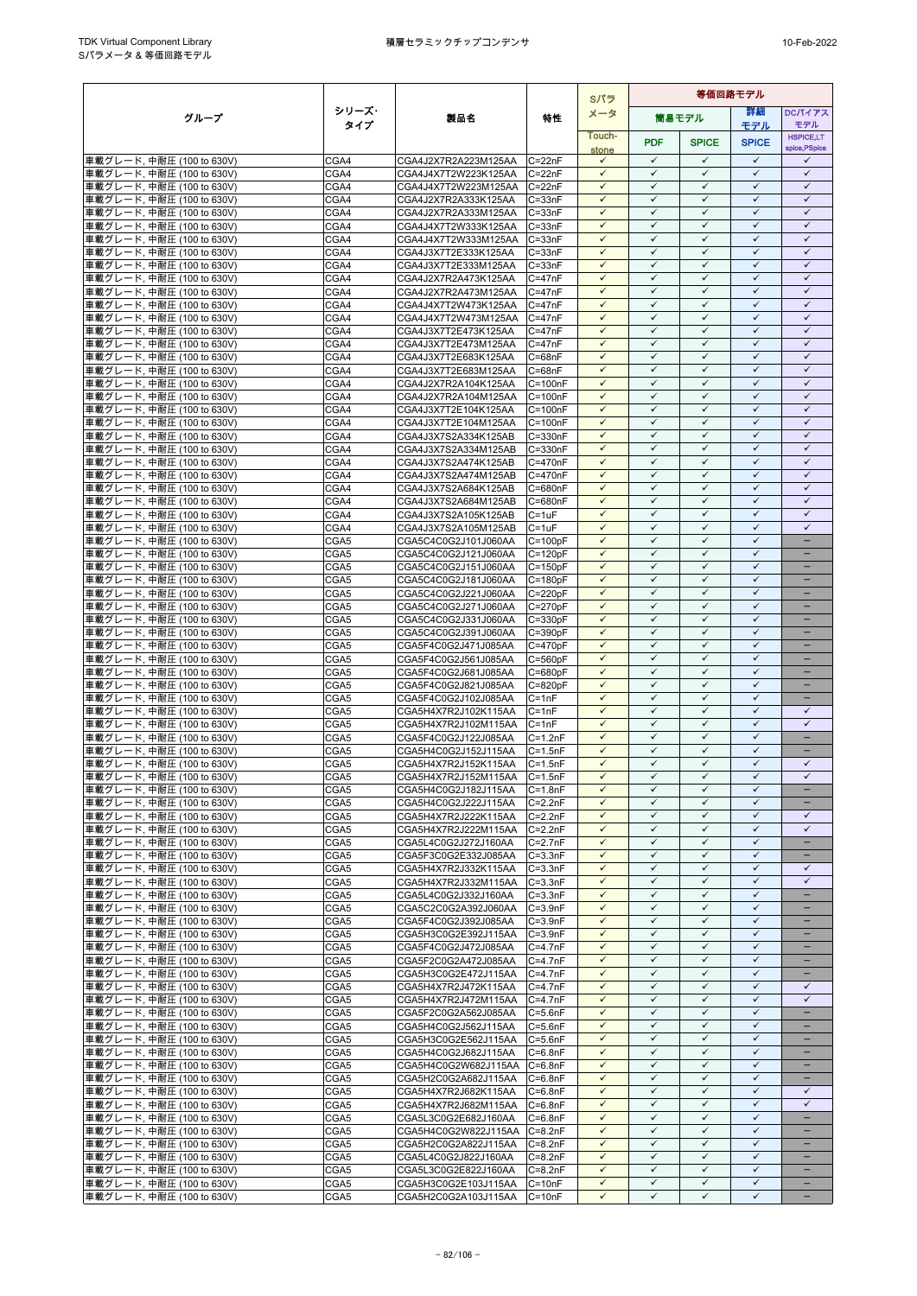|                                                         |              |                                                      |                            | Sパラ                          | 等価回路モデル                      |                              |                              |                                               |
|---------------------------------------------------------|--------------|------------------------------------------------------|----------------------------|------------------------------|------------------------------|------------------------------|------------------------------|-----------------------------------------------|
| グループ                                                    | シリーズ・        | 製品名                                                  | 特性                         | メータ                          |                              | 簡易モデル                        | 詳細                           | <b>DCパイアス</b>                                 |
|                                                         | タイプ          |                                                      |                            | Touch-                       |                              |                              | モデル                          | モデル<br><b>HSPICE,LT</b>                       |
|                                                         |              |                                                      |                            | stone                        | <b>PDF</b>                   | <b>SPICE</b>                 | <b>SPICE</b>                 | spice, PSpice                                 |
| 車載グレード, 中耐圧 (100 to 630V)                               | CGA4         | CGA4J2X7R2A223M125AA                                 | $C = 22nF$                 | $\checkmark$                 | $\checkmark$                 | $\checkmark$                 | $\checkmark$                 | $\checkmark$                                  |
| 車載グレード, 中耐圧 (100 to 630V)<br>車載グレード, 中耐圧 (100 to 630V)  | CGA4<br>CGA4 | CGA4J4X7T2W223K125AA<br>CGA4J4X7T2W223M125AA         | $C = 22nF$<br>$C = 22nF$   | $\checkmark$<br>$\checkmark$ | $\checkmark$<br>$\checkmark$ | $\checkmark$<br>$\checkmark$ | $\checkmark$<br>$\checkmark$ | $\checkmark$<br>$\checkmark$                  |
| 車載グレード, 中耐圧 (100 to 630V)                               | CGA4         | CGA4J2X7R2A333K125AA                                 | $C = 33nF$                 | $\checkmark$                 | $\checkmark$                 | $\checkmark$                 | $\checkmark$                 | $\checkmark$                                  |
| 車載グレード, 中耐圧 (100 to 630V)                               | CGA4         | CGA4J2X7R2A333M125AA                                 | $C = 33nF$                 | $\checkmark$                 | $\checkmark$                 | $\checkmark$                 | $\checkmark$                 | $\checkmark$                                  |
| 車載グレード, 中耐圧 (100 to 630V)                               | CGA4         | CGA4J4X7T2W333K125AA                                 | $C = 33nF$                 | $\checkmark$                 | $\checkmark$                 | $\checkmark$                 | $\checkmark$                 | $\checkmark$                                  |
| 車載グレード, 中耐圧 (100 to 630V)                               | CGA4         | CGA4J4X7T2W333M125AA                                 | $C = 33nF$                 | $\checkmark$                 | $\checkmark$                 | $\checkmark$                 | $\checkmark$                 | $\checkmark$                                  |
| 車載グレード, 中耐圧 (100 to 630V)                               | CGA4         | CGA4J3X7T2E333K125AA                                 | $C = 33nF$                 | $\checkmark$<br>$\checkmark$ | $\checkmark$<br>$\checkmark$ | $\checkmark$<br>$\checkmark$ | $\checkmark$<br>$\checkmark$ | $\checkmark$<br>$\checkmark$                  |
| 車載グレード, 中耐圧 (100 to 630V)<br>車載グレード, 中耐圧 (100 to 630V)  | CGA4<br>CGA4 | CGA4J3X7T2E333M125AA<br>CGA4J2X7R2A473K125AA         | $C = 33nF$<br>$C = 47nF$   | $\checkmark$                 | $\checkmark$                 | $\checkmark$                 | $\checkmark$                 | $\checkmark$                                  |
| 車載グレード, 中耐圧 (100 to 630V)                               | CGA4         | CGA4J2X7R2A473M125AA                                 | $C = 47nF$                 | $\checkmark$                 | $\checkmark$                 | $\checkmark$                 | $\checkmark$                 | $\checkmark$                                  |
| 車載グレード, 中耐圧 (100 to 630V)                               | CGA4         | CGA4J4X7T2W473K125AA                                 | $C = 47nF$                 | $\checkmark$                 | ✓                            | $\checkmark$                 | $\checkmark$                 | $\checkmark$                                  |
| 車載グレード, 中耐圧 (100 to 630V)                               | CGA4         | CGA4J4X7T2W473M125AA                                 | $C = 47nF$                 | $\checkmark$                 | $\checkmark$                 | $\checkmark$                 | $\checkmark$                 | $\checkmark$                                  |
| 車載グレード, 中耐圧 (100 to 630V)                               | CGA4         | CGA4J3X7T2E473K125AA                                 | $C = 47nF$                 | $\checkmark$                 | $\checkmark$                 | $\checkmark$                 | $\checkmark$                 | $\checkmark$                                  |
| 車載グレード, 中耐圧 (100 to 630V)<br>車載グレード, 中耐圧 (100 to 630V)  | CGA4<br>CGA4 | CGA4J3X7T2E473M125AA<br>CGA4J3X7T2E683K125AA         | $C = 47nF$<br>$C = 68nF$   | $\checkmark$<br>$\checkmark$ | $\checkmark$<br>$\checkmark$ | $\checkmark$<br>$\checkmark$ | $\checkmark$<br>$\checkmark$ | $\checkmark$<br>$\checkmark$                  |
| 車載グレード, 中耐圧 (100 to 630V)                               | CGA4         | CGA4J3X7T2E683M125AA                                 | $C = 68nF$                 | $\checkmark$                 | $\checkmark$                 | $\checkmark$                 | $\checkmark$                 | $\checkmark$                                  |
| 車載グレード, 中耐圧 (100 to 630V)                               | CGA4         | CGA4J2X7R2A104K125AA                                 | $C = 100nF$                | $\checkmark$                 | $\checkmark$                 | ✓                            | ✓                            | $\checkmark$                                  |
| 車載グレード, 中耐圧 (100 to 630V)                               | CGA4         | CGA4J2X7R2A104M125AA                                 | $C = 100nF$                | $\checkmark$                 | $\checkmark$                 | $\checkmark$                 | $\checkmark$                 | $\checkmark$                                  |
| 車載グレード, 中耐圧 (100 to 630V)                               | CGA4         | CGA4J3X7T2E104K125AA                                 | $C = 100nF$                | $\checkmark$                 | $\checkmark$                 | $\checkmark$                 | $\checkmark$                 | $\checkmark$                                  |
| 車載グレード, 中耐圧 (100 to 630V)                               | CGA4         | CGA4J3X7T2E104M125AA                                 | $C = 100nF$                | $\checkmark$<br>$\checkmark$ | $\checkmark$<br>$\checkmark$ | $\checkmark$<br>$\checkmark$ | $\checkmark$<br>$\checkmark$ | $\checkmark$<br>$\checkmark$                  |
| 車載グレード, 中耐圧 (100 to 630V)<br>車載グレード, 中耐圧 (100 to 630V)  | CGA4<br>CGA4 | CGA4J3X7S2A334K125AB<br>CGA4J3X7S2A334M125AB         | $C = 330nF$<br>C=330nF     | $\checkmark$                 | $\checkmark$                 | $\checkmark$                 | $\checkmark$                 | $\checkmark$                                  |
| 車載グレード, 中耐圧 (100 to 630V)                               | CGA4         | CGA4J3X7S2A474K125AB                                 | $C = 470nF$                | $\checkmark$                 | $\checkmark$                 | $\checkmark$                 | $\checkmark$                 | $\checkmark$                                  |
| 車載グレード, 中耐圧 (100 to 630V)                               | CGA4         | CGA4J3X7S2A474M125AB                                 | C=470nF                    | $\checkmark$                 | $\checkmark$                 | $\checkmark$                 | $\checkmark$                 | $\checkmark$                                  |
| 車載グレード, 中耐圧 (100 to 630V)                               | CGA4         | CGA4J3X7S2A684K125AB                                 | C=680nF                    | $\checkmark$                 | $\checkmark$                 | $\checkmark$                 | $\checkmark$                 | $\checkmark$                                  |
| 車載グレード, 中耐圧 (100 to 630V)                               | CGA4         | CGA4J3X7S2A684M125AB                                 | $C = 680nF$                | $\checkmark$                 | ✓                            | $\checkmark$                 | $\checkmark$                 | $\checkmark$                                  |
| 車載グレード, 中耐圧 (100 to 630V)                               | CGA4         | CGA4J3X7S2A105K125AB                                 | $C = 1uF$                  | $\checkmark$<br>$\checkmark$ | $\checkmark$<br>$\checkmark$ | $\checkmark$<br>$\checkmark$ | $\checkmark$<br>$\checkmark$ | $\checkmark$<br>$\checkmark$                  |
| 車載グレード, 中耐圧 (100 to 630V)<br>車載グレード, 中耐圧 (100 to 630V)  | CGA4<br>CGA5 | CGA4J3X7S2A105M125AB<br>CGA5C4C0G2J101J060AA         | $C = 1uF$<br>$C = 100pF$   | $\checkmark$                 | $\checkmark$                 | $\checkmark$                 | $\checkmark$                 | $\overline{\phantom{0}}$                      |
| 車載グレード, 中耐圧 (100 to 630V)                               | CGA5         | CGA5C4C0G2J121J060AA                                 | $C = 120pF$                | $\checkmark$                 | $\checkmark$                 | $\checkmark$                 | $\checkmark$                 | $\qquad \qquad -$                             |
| 車載グレード, 中耐圧 (100 to 630V)                               | CGA5         | CGA5C4C0G2J151J060AA                                 | $C = 150pF$                | $\checkmark$                 | $\checkmark$                 | $\checkmark$                 | $\checkmark$                 |                                               |
| 車載グレード, 中耐圧 (100 to 630V)                               | CGA5         | CGA5C4C0G2J181J060AA                                 | $C = 180pF$                | $\checkmark$                 | $\checkmark$                 | $\checkmark$                 | $\checkmark$                 | -                                             |
| 車載グレード, 中耐圧 (100 to 630V)                               | CGA5         | CGA5C4C0G2J221J060AA                                 | $C = 220pF$                | $\checkmark$                 | $\checkmark$                 | $\checkmark$                 | $\checkmark$                 |                                               |
| 車載グレード, 中耐圧 (100 to 630V)<br> 車載グレード, 中耐圧 (100 to 630V) | CGA5<br>CGA5 | CGA5C4C0G2J271J060AA<br>CGA5C4C0G2J331J060AA         | $C = 270pF$<br>$C = 330pF$ | $\checkmark$<br>$\checkmark$ | $\checkmark$<br>$\checkmark$ | $\checkmark$<br>$\checkmark$ | $\checkmark$<br>$\checkmark$ | -                                             |
| 車載グレード, 中耐圧 (100 to 630V)                               | CGA5         | CGA5C4C0G2J391J060AA                                 | $C = 390pF$                | ✓                            | ✓                            | ✓                            | ✓                            |                                               |
| 車載グレード, 中耐圧 (100 to 630V)                               | CGA5         | CGA5F4C0G2J471J085AA                                 | $C = 470pF$                | $\checkmark$                 | $\checkmark$                 | $\checkmark$                 | $\checkmark$                 | $-$                                           |
| 車載グレード, 中耐圧 (100 to 630V)                               | CGA5         | CGA5F4C0G2J561J085AA                                 | $C = 560pF$                | $\checkmark$                 | $\checkmark$                 | $\checkmark$                 | $\checkmark$                 |                                               |
| 車載グレード, 中耐圧 (100 to 630V)                               | CGA5         | CGA5F4C0G2J681J085AA                                 | $C = 680pF$                | $\checkmark$                 | $\checkmark$                 | $\checkmark$                 | $\checkmark$                 |                                               |
| 車載グレード, 中耐圧 (100 to 630V)                               | CGA5         | CGA5F4C0G2J821J085AA                                 | $C = 820pF$                | $\checkmark$<br>$\checkmark$ | $\checkmark$<br>$\checkmark$ | $\checkmark$<br>$\checkmark$ | $\checkmark$<br>$\checkmark$ | $\equiv$                                      |
| 車載グレード, 中耐圧 (100 to 630V)<br>車載グレード, 中耐圧 (100 to 630V)  | CGA5<br>CGA5 | CGA5F4C0G2J102J085AA<br>CGA5H4X7R2J102K115AA         | $C = 1nF$<br>$C = 1nF$     | $\checkmark$                 | $\checkmark$                 | $\checkmark$                 | $\checkmark$                 | $\checkmark$                                  |
| 車載グレード, 中耐圧 (100 to 630V)                               | CGA5         | CGA5H4X7R2J102M115AA                                 | $C = 1nF$                  | $\checkmark$                 | $\checkmark$                 | $\checkmark$                 | $\checkmark$                 | $\checkmark$                                  |
| 車載グレード, 中耐圧 (100 to 630V)                               | CGA5         | CGA5F4C0G2J122J085AA                                 | $C = 1.2nF$                | $\checkmark$                 | $\checkmark$                 | $\checkmark$                 | $\checkmark$                 |                                               |
| 車載グレード, 中耐圧 (100 to 630V)                               | CGA5         | CGA5H4C0G2J152J115AA                                 | $C = 1.5nF$                | $\checkmark$                 | $\checkmark$                 | $\checkmark$                 | $\checkmark$                 |                                               |
| 車載グレード, 中耐圧 (100 to 630V)                               | CGA5         | CGA5H4X7R2J152K115AA                                 | $C = 1.5nF$                | $\checkmark$<br>$\checkmark$ | $\checkmark$<br>$\checkmark$ | $\checkmark$<br>$\checkmark$ | $\checkmark$<br>$\checkmark$ | $\checkmark$<br>$\checkmark$                  |
| 車載グレード, 中耐圧 (100 to 630V)<br> 車載グレード, 中耐圧 (100 to 630V) | CGA5<br>CGA5 | CGA5H4X7R2J152M115AA C=1.5nF<br>CGA5H4C0G2J182J115AA | $C = 1.8nF$                | $\checkmark$                 | $\checkmark$                 | $\checkmark$                 | $\checkmark$                 | $\overline{\phantom{0}}$                      |
| 車載グレード, 中耐圧 (100 to 630V)                               | CGA5         | CGA5H4C0G2J222J115AA                                 | $C = 2.2nF$                | $\checkmark$                 | $\checkmark$                 | $\checkmark$                 | $\checkmark$                 | $\qquad \qquad -$                             |
| 車載グレード, 中耐圧 (100 to 630V)                               | CGA5         | CGA5H4X7R2J222K115AA                                 | $C=2.2nF$                  | $\checkmark$                 | $\checkmark$                 | $\checkmark$                 | $\checkmark$                 | $\checkmark$                                  |
| 車載グレード, 中耐圧 (100 to 630V)                               | CGA5         | CGA5H4X7R2J222M115AA                                 | $C=2.2nF$                  | $\checkmark$                 | $\checkmark$                 | $\checkmark$                 | $\checkmark$                 | $\checkmark$                                  |
| 車載グレード, 中耐圧 (100 to 630V)                               | CGA5         | CGA5L4C0G2J272J160AA                                 | $C = 2.7nF$                | $\checkmark$                 | $\checkmark$                 | $\checkmark$                 | $\checkmark$                 |                                               |
| 車載グレード, 中耐圧 (100 to 630V)<br>車載グレード, 中耐圧 (100 to 630V)  | CGA5<br>CGA5 | CGA5F3C0G2E332J085AA<br>CGA5H4X7R2J332K115AA         | $C = 3.3nF$<br>$C = 3.3nF$ | $\checkmark$<br>$\checkmark$ | $\checkmark$<br>$\checkmark$ | $\checkmark$<br>$\checkmark$ | $\checkmark$<br>$\checkmark$ | $\checkmark$                                  |
| 車載グレード, 中耐圧 (100 to 630V)                               | CGA5         | CGA5H4X7R2J332M115AA                                 | $C = 3.3nF$                | ✓                            | ✓                            | ✓                            | ✓                            | $\checkmark$                                  |
| 車載グレード, 中耐圧 (100 to 630V)                               | CGA5         | CGA5L4C0G2J332J160AA                                 | $C = 3.3nF$                | $\checkmark$                 | $\checkmark$                 | $\checkmark$                 | $\checkmark$                 | $\qquad \qquad -$                             |
| 車載グレード, 中耐圧 (100 to 630V)                               | CGA5         | CGA5C2C0G2A392J060AA                                 | $C = 3.9nF$                | $\checkmark$                 | $\checkmark$                 | $\checkmark$                 | $\checkmark$                 | $\overline{\phantom{0}}$                      |
| 車載グレード, 中耐圧 (100 to 630V)                               | CGA5         | CGA5F4C0G2J392J085AA                                 | $C = 3.9nF$                | $\checkmark$                 | $\checkmark$                 | $\checkmark$                 | $\checkmark$                 |                                               |
| 車載グレード, 中耐圧 (100 to 630V)                               | CGA5         | CGA5H3C0G2E392J115AA<br>CGA5F4C0G2J472J085AA         | $C = 3.9nF$                | $\checkmark$<br>$\checkmark$ | $\checkmark$<br>$\checkmark$ | $\checkmark$<br>$\checkmark$ | $\checkmark$<br>$\checkmark$ | $\overline{\phantom{0}}$<br>$\qquad \qquad -$ |
| 車載グレード, 中耐圧 (100 to 630V)<br>車載グレード, 中耐圧 (100 to 630V)  | CGA5<br>CGA5 | CGA5F2C0G2A472J085AA                                 | $C=4.7nF$<br>$C=4.7nF$     | $\checkmark$                 | $\checkmark$                 | $\checkmark$                 | $\checkmark$                 |                                               |
| 車載グレード, 中耐圧 (100 to 630V)                               | CGA5         | CGA5H3C0G2E472J115AA                                 | $C=4.7nF$                  | $\checkmark$                 | $\checkmark$                 | $\checkmark$                 | $\checkmark$                 |                                               |
| 車載グレード, 中耐圧 (100 to 630V)                               | CGA5         | CGA5H4X7R2J472K115AA                                 | $C=4.7nF$                  | $\checkmark$                 | $\checkmark$                 | $\checkmark$                 | $\checkmark$                 | $\checkmark$                                  |
| 車載グレード, 中耐圧 (100 to 630V)                               | CGA5         | CGA5H4X7R2J472M115AA                                 | $C=4.7nF$                  | $\checkmark$                 | $\checkmark$                 | $\checkmark$                 | $\checkmark$                 | $\checkmark$                                  |
| 車載グレード, 中耐圧 (100 to 630V)                               | CGA5         | CGA5F2C0G2A562J085AA                                 | $C = 5.6nF$                | $\checkmark$                 | $\checkmark$                 | $\checkmark$                 | $\checkmark$                 | $\overline{\phantom{0}}$                      |
| 車載グレード, 中耐圧 (100 to 630V)<br>車載グレード, 中耐圧 (100 to 630V)  | CGA5<br>CGA5 | CGA5H4C0G2J562J115AA<br>CGA5H3C0G2E562J115AA         | $C = 5.6nF$<br>$C = 5.6nF$ | $\checkmark$<br>$\checkmark$ | $\checkmark$<br>✓            | $\checkmark$<br>$\checkmark$ | $\checkmark$<br>✓            | $\overline{\phantom{0}}$                      |
| 車載グレード, 中耐圧 (100 to 630V)                               | CGA5         | CGA5H4C0G2J682J115AA                                 | $C = 6.8nF$                | $\checkmark$                 | $\checkmark$                 | $\checkmark$                 | $\checkmark$                 | $\qquad \qquad -$                             |
| 車載グレード, 中耐圧 (100 to 630V)                               | CGA5         | CGA5H4C0G2W682J115AA                                 | $C = 6.8nF$                | $\checkmark$                 | $\checkmark$                 | $\checkmark$                 | $\checkmark$                 |                                               |
| 車載グレード, 中耐圧 (100 to 630V)                               | CGA5         | CGA5H2C0G2A682J115AA                                 | $C = 6.8nF$                | $\checkmark$                 | $\checkmark$                 | $\checkmark$                 | $\checkmark$                 | $\equiv$                                      |
| 車載グレード, 中耐圧 (100 to 630V)                               | CGA5         | CGA5H4X7R2J682K115AA                                 | $C = 6.8nF$                | $\checkmark$                 | $\checkmark$                 | $\checkmark$                 | $\checkmark$                 | $\checkmark$                                  |
| 車載グレード, 中耐圧 (100 to 630V)                               | CGA5         | CGA5H4X7R2J682M115AA                                 | $C = 6.8nF$                | $\checkmark$<br>$\checkmark$ | $\checkmark$<br>$\checkmark$ | $\checkmark$<br>$\checkmark$ | $\checkmark$<br>$\checkmark$ | $\checkmark$<br>$\qquad \qquad -$             |
| 車載グレード, 中耐圧 (100 to 630V)<br>車載グレード, 中耐圧 (100 to 630V)  | CGA5<br>CGA5 | CGA5L3C0G2E682J160AA<br>CGA5H4C0G2W822J115AA         | $C = 6.8nF$<br>$C = 8.2nF$ | $\checkmark$                 | $\checkmark$                 | $\checkmark$                 | $\checkmark$                 |                                               |
| 車載グレード, 中耐圧 (100 to 630V)                               | CGA5         | CGA5H2C0G2A822J115AA                                 | $C = 8.2nF$                | $\checkmark$                 | $\checkmark$                 | $\checkmark$                 | $\checkmark$                 | -                                             |
| 車載グレード, 中耐圧 (100 to 630V)                               | CGA5         | CGA5L4C0G2J822J160AA                                 | $C = 8.2nF$                | $\checkmark$                 | $\checkmark$                 | $\checkmark$                 | $\checkmark$                 |                                               |
| 車載グレード, 中耐圧 (100 to 630V)                               | CGA5         | CGA5L3C0G2E822J160AA                                 | $C = 8.2nF$                | $\checkmark$                 | $\checkmark$                 | $\checkmark$                 | $\checkmark$                 |                                               |
| 車載グレード, 中耐圧 (100 to 630V)                               | CGA5         | CGA5H3C0G2E103J115AA                                 | $C = 10nF$                 | $\checkmark$                 | $\checkmark$<br>$\checkmark$ | $\checkmark$<br>$\checkmark$ | $\checkmark$<br>$\checkmark$ | $\overline{\phantom{0}}$                      |
| ┃車載グレード, 中耐圧 (100 to 630V)                              | CGA5         | CGA5H2C0G2A103J115AA                                 | $C = 10nF$                 | $\checkmark$                 |                              |                              |                              | $\qquad \qquad -$                             |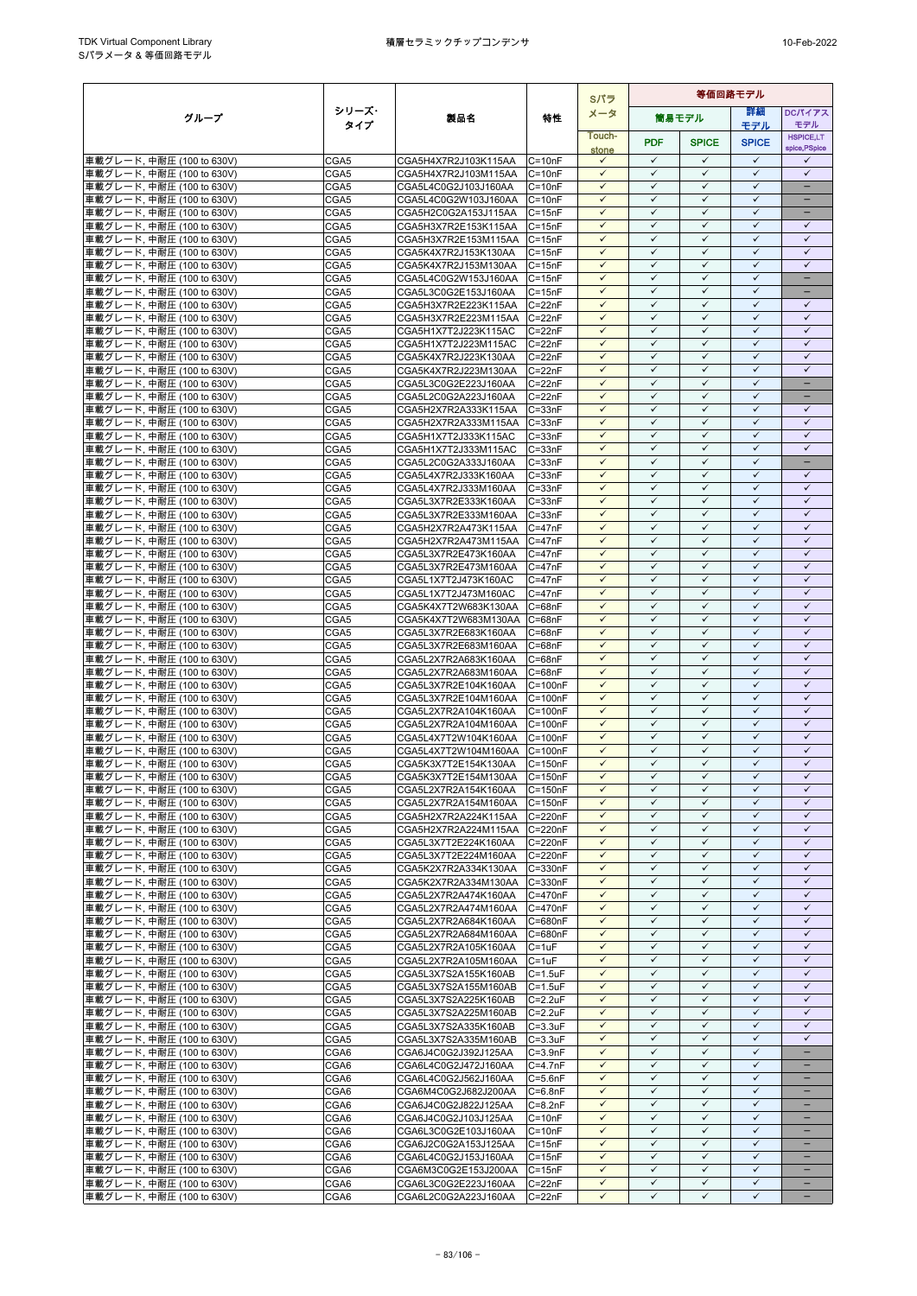|                                                        |              |                                              |                            | Sパラ                          | 等価回路モデル                      |                              |                              |                              |
|--------------------------------------------------------|--------------|----------------------------------------------|----------------------------|------------------------------|------------------------------|------------------------------|------------------------------|------------------------------|
| グループ                                                   | シリーズ・        | 製品名                                          | 特性                         | メータ                          |                              | 簡易モデル                        | 詳細                           | <b>DCパイアス</b>                |
|                                                        | タイプ          |                                              |                            | Touch-                       |                              |                              | モデル                          | モデル<br><b>HSPICE,LT</b>      |
|                                                        |              |                                              |                            | stone                        | <b>PDF</b>                   | <b>SPICE</b>                 | <b>SPICE</b>                 | spice, PSpice                |
| 車載グレード, 中耐圧 (100 to 630V)                              | CGA5         | CGA5H4X7R2J103K115AA                         | $C = 10nF$                 | $\checkmark$                 | $\checkmark$                 | $\checkmark$                 | $\checkmark$                 | $\checkmark$                 |
| 車載グレード, 中耐圧 (100 to 630V)                              | CGA5         | CGA5H4X7R2J103M115AA                         | $C = 10nF$                 | $\checkmark$                 | $\checkmark$                 | ✓                            | $\checkmark$                 | $\checkmark$                 |
| 車載グレード, 中耐圧 (100 to 630V)                              | CGA5         | CGA5L4C0G2J103J160AA                         | $C = 10nF$                 | $\checkmark$                 | $\checkmark$                 | $\checkmark$                 | $\checkmark$                 | $\overline{\phantom{a}}$     |
| 車載グレード, 中耐圧 (100 to 630V)<br>車載グレード, 中耐圧 (100 to 630V) | CGA5<br>CGA5 | CGA5L4C0G2W103J160AA<br>CGA5H2C0G2A153J115AA | $C = 10nF$<br>$C = 15nF$   | $\checkmark$<br>$\checkmark$ | $\checkmark$<br>$\checkmark$ | ✓<br>$\checkmark$            | $\checkmark$<br>$\checkmark$ | -                            |
| 車載グレード, 中耐圧 (100 to 630V)                              | CGA5         | CGA5H3X7R2E153K115AA                         | $C = 15nF$                 | $\checkmark$                 | $\checkmark$                 | $\checkmark$                 | $\checkmark$                 | $\checkmark$                 |
| 車載グレード, 中耐圧 (100 to 630V)                              | CGA5         | CGA5H3X7R2E153M115AA                         | $C = 15nF$                 | $\checkmark$                 | $\checkmark$                 | $\checkmark$                 | $\checkmark$                 | $\checkmark$                 |
| 車載グレード, 中耐圧 (100 to 630V)                              | CGA5         | CGA5K4X7R2J153K130AA                         | $C = 15nF$                 | $\checkmark$                 | $\checkmark$                 | $\checkmark$                 | $\checkmark$                 | $\checkmark$                 |
| 車載グレード, 中耐圧 (100 to 630V)                              | CGA5         | CGA5K4X7R2J153M130AA                         | $C = 15nF$                 | $\checkmark$                 | $\checkmark$                 | $\checkmark$                 | $\checkmark$                 | $\checkmark$                 |
| 車載グレード, 中耐圧 (100 to 630V)                              | CGA5         | CGA5L4C0G2W153J160AA                         | $C = 15nF$                 | $\checkmark$                 | $\checkmark$                 | $\checkmark$                 | $\checkmark$                 | $-$                          |
| 車載グレード, 中耐圧 (100 to 630V)<br>車載グレード. 中耐圧 (100 to 630V) | CGA5<br>CGA5 | CGA5L3C0G2E153J160AA<br>CGA5H3X7R2E223K115AA | $C = 15nF$<br>$C = 22nF$   | $\checkmark$<br>$\checkmark$ | $\checkmark$<br>✓            | $\checkmark$<br>✓            | $\checkmark$<br>$\checkmark$ | -<br>$\checkmark$            |
| 車載グレード, 中耐圧 (100 to 630V)                              | CGA5         | CGA5H3X7R2E223M115AA                         | $C = 22nF$                 | ✓                            | ✓                            | $\checkmark$                 | ✓                            | $\checkmark$                 |
| 車載グレード, 中耐圧 (100 to 630V)                              | CGA5         | CGA5H1X7T2J223K115AC                         | $C = 22nF$                 | $\checkmark$                 | $\checkmark$                 | $\checkmark$                 | $\checkmark$                 | $\checkmark$                 |
| 車載グレード, 中耐圧 (100 to 630V)                              | CGA5         | CGA5H1X7T2J223M115AC                         | $C = 22nF$                 | ✓                            | $\checkmark$                 | ✓                            | $\checkmark$                 | $\checkmark$                 |
| 車載グレード, 中耐圧 (100 to 630V)                              | CGA5         | CGA5K4X7R2J223K130AA                         | $C = 22nF$                 | $\checkmark$                 | $\checkmark$                 | $\checkmark$                 | $\checkmark$                 | $\checkmark$                 |
| 車載グレード, 中耐圧 (100 to 630V)                              | CGA5         | CGA5K4X7R2J223M130AA                         | $C = 22nF$                 | $\checkmark$                 | $\checkmark$                 | $\checkmark$                 | $\checkmark$                 | $\checkmark$                 |
| 車載グレード, 中耐圧 (100 to 630V)                              | CGA5<br>CGA5 | CGA5L3C0G2E223J160AA                         | $C = 22nF$<br>$C = 22nF$   | $\checkmark$<br>$\checkmark$ | ✓<br>$\checkmark$            | ✓<br>$\checkmark$            | $\checkmark$<br>$\checkmark$ | -                            |
| 車載グレード, 中耐圧 (100 to 630V)<br>車載グレード, 中耐圧 (100 to 630V) | CGA5         | CGA5L2C0G2A223J160AA<br>CGA5H2X7R2A333K115AA | $C = 33nF$                 | $\checkmark$                 | $\checkmark$                 | $\checkmark$                 | $\checkmark$                 | ✓                            |
| 車載グレード, 中耐圧 (100 to 630V)                              | CGA5         | CGA5H2X7R2A333M115AA                         | $C = 33nF$                 | $\checkmark$                 | $\checkmark$                 | ✓                            | $\checkmark$                 | $\checkmark$                 |
| 車載グレード, 中耐圧 (100 to 630V)                              | CGA5         | CGA5H1X7T2J333K115AC                         | $C = 33nF$                 | $\checkmark$                 | $\checkmark$                 | $\checkmark$                 | $\checkmark$                 | $\checkmark$                 |
| 車載グレード, 中耐圧 (100 to 630V)                              | CGA5         | CGA5H1X7T2J333M115AC                         | $C = 33nF$                 | $\checkmark$                 | $\checkmark$                 | ✓                            | $\checkmark$                 | $\checkmark$                 |
| 車載グレード, 中耐圧 (100 to 630V)                              | CGA5         | CGA5L2C0G2A333J160AA                         | $C = 33nF$                 | $\checkmark$                 | ✓                            | $\checkmark$                 | $\checkmark$                 | -                            |
| 車載グレード, 中耐圧 (100 to 630V)<br>車載グレード, 中耐圧 (100 to 630V) | CGA5<br>CGA5 | CGA5L4X7R2J333K160AA                         | $C = 33nF$                 | $\checkmark$<br>$\checkmark$ | $\checkmark$<br>$\checkmark$ | $\checkmark$<br>$\checkmark$ | $\checkmark$<br>$\checkmark$ | $\checkmark$<br>$\checkmark$ |
| 車載グレード, 中耐圧 (100 to 630V)                              | CGA5         | CGA5L4X7R2J333M160AA<br>CGA5L3X7R2E333K160AA | $C = 33nF$<br>$C = 33nF$   | ✓                            | ✓                            | ✓                            | $\checkmark$                 | $\checkmark$                 |
| 車載グレード, 中耐圧 (100 to 630V)                              | CGA5         | CGA5L3X7R2E333M160AA                         | $C = 33nF$                 | $\checkmark$                 | $\checkmark$                 | $\checkmark$                 | $\checkmark$                 | $\checkmark$                 |
| 車載グレード, 中耐圧 (100 to 630V)                              | CGA5         | CGA5H2X7R2A473K115AA                         | $C = 47nF$                 | $\checkmark$                 | $\checkmark$                 | $\checkmark$                 | $\checkmark$                 | $\checkmark$                 |
| 車載グレード, 中耐圧 (100 to 630V)                              | CGA5         | CGA5H2X7R2A473M115AA                         | $C = 47nF$                 | $\checkmark$                 | $\checkmark$                 | ✓                            | $\checkmark$                 | $\checkmark$                 |
| 車載グレード, 中耐圧 (100 to 630V)                              | CGA5         | CGA5L3X7R2E473K160AA                         | $C = 47nF$                 | $\checkmark$                 | $\checkmark$                 | $\checkmark$                 | $\checkmark$                 | $\checkmark$                 |
| 車載グレード, 中耐圧 (100 to 630V)                              | CGA5         | CGA5L3X7R2E473M160AA                         | $C = 47nF$<br>$C = 47nF$   | $\checkmark$<br>$\checkmark$ | $\checkmark$<br>$\checkmark$ | $\checkmark$<br>$\checkmark$ | $\checkmark$<br>$\checkmark$ | $\checkmark$<br>$\checkmark$ |
| 車載グレード, 中耐圧 (100 to 630V)<br>車載グレード, 中耐圧 (100 to 630V) | CGA5<br>CGA5 | CGA5L1X7T2J473K160AC<br>CGA5L1X7T2J473M160AC | $C = 47nF$                 | $\checkmark$                 | $\checkmark$                 | $\checkmark$                 | $\checkmark$                 | $\checkmark$                 |
| 車載グレード, 中耐圧 (100 to 630V)                              | CGA5         | CGA5K4X7T2W683K130AA                         | $C = 68nF$                 | $\checkmark$                 | $\checkmark$                 | ✓                            | $\checkmark$                 | $\checkmark$                 |
| 車載グレード, 中耐圧 (100 to 630V)                              | CGA5         | CGA5K4X7T2W683M130AA                         | $C = 68nF$                 | $\checkmark$                 | $\checkmark$                 | $\checkmark$                 | $\checkmark$                 | $\checkmark$                 |
| 車載グレード, 中耐圧 (100 to 630V)                              | CGA5         | CGA5L3X7R2E683K160AA                         | $C = 68nF$                 | $\checkmark$                 | ✓                            | ✓                            | ✓                            | $\checkmark$                 |
| 車載グレード, 中耐圧 (100 to 630V)                              | CGA5         | CGA5L3X7R2E683M160AA                         | $C = 68nF$                 | $\checkmark$                 | $\checkmark$                 | $\checkmark$                 | $\checkmark$                 | $\checkmark$                 |
| 車載グレード, 中耐圧 (100 to 630V)                              | CGA5<br>CGA5 | CGA5L2X7R2A683K160AA<br>CGA5L2X7R2A683M160AA | $C = 68nF$<br>$C = 68nF$   | $\checkmark$<br>$\checkmark$ | $\checkmark$<br>$\checkmark$ | $\checkmark$<br>✓            | $\checkmark$<br>$\checkmark$ | $\checkmark$<br>$\checkmark$ |
| 車載グレード, 中耐圧 (100 to 630V)<br>車載グレード, 中耐圧 (100 to 630V) | CGA5         | CGA5L3X7R2E104K160AA                         | C=100nF                    | $\checkmark$                 | $\checkmark$                 | $\checkmark$                 | $\checkmark$                 | $\checkmark$                 |
| 車載グレード, 中耐圧 (100 to 630V)                              | CGA5         | CGA5L3X7R2E104M160AA                         | $C = 100nF$                | $\checkmark$                 | $\checkmark$                 | $\checkmark$                 | $\checkmark$                 | $\checkmark$                 |
| 車載グレード, 中耐圧 (100 to 630V)                              | CGA5         | CGA5L2X7R2A104K160AA                         | C=100nF                    | $\checkmark$                 | ✓                            | $\checkmark$                 | $\checkmark$                 | $\checkmark$                 |
| 車載グレード, 中耐圧 (100 to 630V)                              | CGA5         | CGA5L2X7R2A104M160AA                         | C=100nF                    | $\checkmark$                 | $\checkmark$                 | $\checkmark$                 | $\checkmark$                 | $\checkmark$                 |
| 車載グレード, 中耐圧 (100 to 630V)                              | CGA5         | CGA5L4X7T2W104K160AA                         | $C = 100nF$                | $\checkmark$                 | $\checkmark$                 | $\checkmark$                 | $\checkmark$                 | $\checkmark$                 |
| 車載グレード, 中耐圧 (100 to 630V)<br>車載グレード, 中耐圧 (100 to 630V) | CGA5<br>CGA5 | CGA5L4X7T2W104M160AA<br>CGA5K3X7T2E154K130AA | $C = 100nF$<br>$C = 150nF$ | ✓<br>$\checkmark$            | ✓<br>$\checkmark$            | ✓<br>$\checkmark$            | $\checkmark$<br>$\checkmark$ | $\checkmark$<br>$\checkmark$ |
| 車載グレード, 中耐圧 (100 to 630V)                              | CGA5         | CGA5K3X7T2E154M130AA C=150nF                 |                            | $\checkmark$                 | $\checkmark$                 | $\checkmark$                 | $\checkmark$                 | $\checkmark$                 |
| 車載グレード, 中耐圧 (100 to 630V)                              | CGA5         | CGA5L2X7R2A154K160AA                         | $C = 150nF$                | $\checkmark$                 | ✓                            | $\checkmark$                 | ✓                            | $\checkmark$                 |
| 車載グレード, 中耐圧 (100 to 630V)                              | CGA5         | CGA5L2X7R2A154M160AA                         | $C = 150nF$                | $\checkmark$                 | $\checkmark$                 | $\checkmark$                 | $\checkmark$                 | $\checkmark$                 |
| 車載グレード, 中耐圧 (100 to 630V)                              | CGA5         | CGA5H2X7R2A224K115AA                         | C=220nF                    | $\checkmark$                 | $\checkmark$                 | $\checkmark$                 | $\checkmark$                 | $\checkmark$                 |
| 車載グレード, 中耐圧 (100 to 630V)                              | CGA5         | CGA5H2X7R2A224M115AA                         | C=220nF                    | $\checkmark$                 | $\checkmark$                 | $\checkmark$                 | $\checkmark$                 | $\checkmark$                 |
| 車載グレード, 中耐圧 (100 to 630V)                              | CGA5         | CGA5L3X7T2E224K160AA                         | C=220nF                    | $\checkmark$<br>$\checkmark$ | $\checkmark$<br>$\checkmark$ | $\checkmark$<br>✓            | $\checkmark$<br>$\checkmark$ | $\checkmark$<br>$\checkmark$ |
| 車載グレード, 中耐圧 (100 to 630V)<br>車載グレード, 中耐圧 (100 to 630V) | CGA5<br>CGA5 | CGA5L3X7T2E224M160AA<br>CGA5K2X7R2A334K130AA | C=220nF<br>C=330nF         | $\checkmark$                 | $\checkmark$                 | $\checkmark$                 | $\checkmark$                 | $\checkmark$                 |
| 車載グレード, 中耐圧 (100 to 630V)                              | CGA5         | CGA5K2X7R2A334M130AA                         | C=330nF                    | $\checkmark$                 | $\checkmark$                 | ✓                            | $\checkmark$                 | $\checkmark$                 |
| 車載グレード, 中耐圧 (100 to 630V)                              | CGA5         | CGA5L2X7R2A474K160AA                         | C=470nF                    | $\checkmark$                 | $\checkmark$                 | $\checkmark$                 | $\checkmark$                 | $\checkmark$                 |
| 車載グレード, 中耐圧 (100 to 630V)                              | CGA5         | CGA5L2X7R2A474M160AA                         | C=470nF                    | $\checkmark$                 | $\checkmark$                 | $\checkmark$                 | $\checkmark$                 | $\checkmark$                 |
| 車載グレード, 中耐圧 (100 to 630V)                              | CGA5         | CGA5L2X7R2A684K160AA                         | C=680nF                    | $\checkmark$                 | $\checkmark$                 | $\checkmark$                 | $\checkmark$                 | $\checkmark$                 |
| 車載グレード, 中耐圧 (100 to 630V)<br>車載グレード, 中耐圧 (100 to 630V) | CGA5<br>CGA5 | CGA5L2X7R2A684M160AA<br>CGA5L2X7R2A105K160AA | C=680nF<br>$C = 1uF$       | $\checkmark$<br>$\checkmark$ | $\checkmark$<br>$\checkmark$ | $\checkmark$<br>$\checkmark$ | $\checkmark$<br>$\checkmark$ | $\checkmark$<br>$\checkmark$ |
| 車載グレード, 中耐圧 (100 to 630V)                              | CGA5         | CGA5L2X7R2A105M160AA                         | $C = 1uF$                  | $\checkmark$                 | ✓                            | $\checkmark$                 | ✓                            | $\checkmark$                 |
| 車載グレード, 中耐圧 (100 to 630V)                              | CGA5         | CGA5L3X7S2A155K160AB                         | $C = 1.5$ u $F$            | $\checkmark$                 | $\checkmark$                 | $\checkmark$                 | $\checkmark$                 | $\checkmark$                 |
| 車載グレード, 中耐圧 (100 to 630V)                              | CGA5         | CGA5L3X7S2A155M160AB                         | $C = 1.5$ u $F$            | $\checkmark$                 | $\checkmark$                 | $\checkmark$                 | $\checkmark$                 | $\checkmark$                 |
| 車載グレード, 中耐圧 (100 to 630V)                              | CGA5         | CGA5L3X7S2A225K160AB                         | $C = 2.2uF$                | ✓                            | ✓                            | $\checkmark$                 | $\checkmark$                 | $\checkmark$                 |
| 車載グレード, 中耐圧 (100 to 630V)                              | CGA5         | CGA5L3X7S2A225M160AB                         | $C = 2.2uF$                | $\checkmark$                 | $\checkmark$                 | $\checkmark$                 | $\checkmark$                 | $\checkmark$                 |
| 車載グレード, 中耐圧 (100 to 630V)<br>車載グレード, 中耐圧 (100 to 630V) | CGA5<br>CGA5 | CGA5L3X7S2A335K160AB<br>CGA5L3X7S2A335M160AB | $C = 3.3uF$<br>$C = 3.3uF$ | $\checkmark$<br>$\checkmark$ | $\checkmark$<br>✓            | $\checkmark$<br>✓            | $\checkmark$<br>$\checkmark$ | $\checkmark$<br>$\checkmark$ |
| 車載グレード, 中耐圧 (100 to 630V)                              | CGA6         | CGA6J4C0G2J392J125AA                         | $C = 3.9nF$                | $\checkmark$                 | $\checkmark$                 | $\checkmark$                 | $\checkmark$                 | -                            |
| 車載グレード, 中耐圧 (100 to 630V)                              | CGA6         | CGA6L4C0G2J472J160AA                         | $C=4.7nF$                  | $\checkmark$                 | $\checkmark$                 | $\checkmark$                 | $\checkmark$                 |                              |
| 車載グレード, 中耐圧 (100 to 630V)                              | CGA6         | CGA6L4C0G2J562J160AA                         | $C = 5.6nF$                | $\checkmark$                 | $\checkmark$                 | ✓                            | $\checkmark$                 |                              |
| 車載グレード, 中耐圧 (100 to 630V)                              | CGA6         | CGA6M4C0G2J682J200AA                         | $C = 6.8nF$                | $\checkmark$                 | $\checkmark$                 | $\checkmark$                 | $\checkmark$                 | $\overline{\phantom{0}}$     |
| 車載グレード, 中耐圧 (100 to 630V)                              | CGA6         | CGA6J4C0G2J822J125AA                         | $C = 8.2nF$                | $\checkmark$                 | $\checkmark$<br>$\checkmark$ | ✓                            | $\checkmark$<br>$\checkmark$ |                              |
| 車載グレード, 中耐圧 (100 to 630V)<br>車載グレード, 中耐圧 (100 to 630V) | CGA6<br>CGA6 | CGA6J4C0G2J103J125AA<br>CGA6L3C0G2E103J160AA | $C = 10nF$<br>$C = 10nF$   | $\checkmark$<br>$\checkmark$ | $\checkmark$                 | $\checkmark$<br>$\checkmark$ | $\checkmark$                 | -                            |
| 車載グレード, 中耐圧 (100 to 630V)                              | CGA6         | CGA6J2C0G2A153J125AA                         | $C = 15nF$                 | $\checkmark$                 | $\checkmark$                 | $\checkmark$                 | $\checkmark$                 | -                            |
| 車載グレード, 中耐圧 (100 to 630V)                              | CGA6         | CGA6L4C0G2J153J160AA                         | $C = 15nF$                 | $\checkmark$                 | $\checkmark$                 | $\checkmark$                 | $\checkmark$                 |                              |
| 車載グレード, 中耐圧 (100 to 630V)                              | CGA6         | CGA6M3C0G2E153J200AA                         | $C = 15nF$                 | $\checkmark$                 | $\checkmark$                 | $\checkmark$                 | $\checkmark$                 |                              |
| 車載グレード, 中耐圧 (100 to 630V)                              | CGA6         | CGA6L3C0G2E223J160AA                         | $C = 22nF$                 | $\checkmark$                 | $\checkmark$                 | $\checkmark$                 | $\checkmark$                 | $\overline{\phantom{0}}$     |
| ┃車載グレード, 中耐圧 (100 to 630V)                             | CGA6         | CGA6L2C0G2A223J160AA                         | $C = 22nF$                 | $\checkmark$                 | $\checkmark$                 | $\checkmark$                 | $\checkmark$                 | $\qquad \qquad -$            |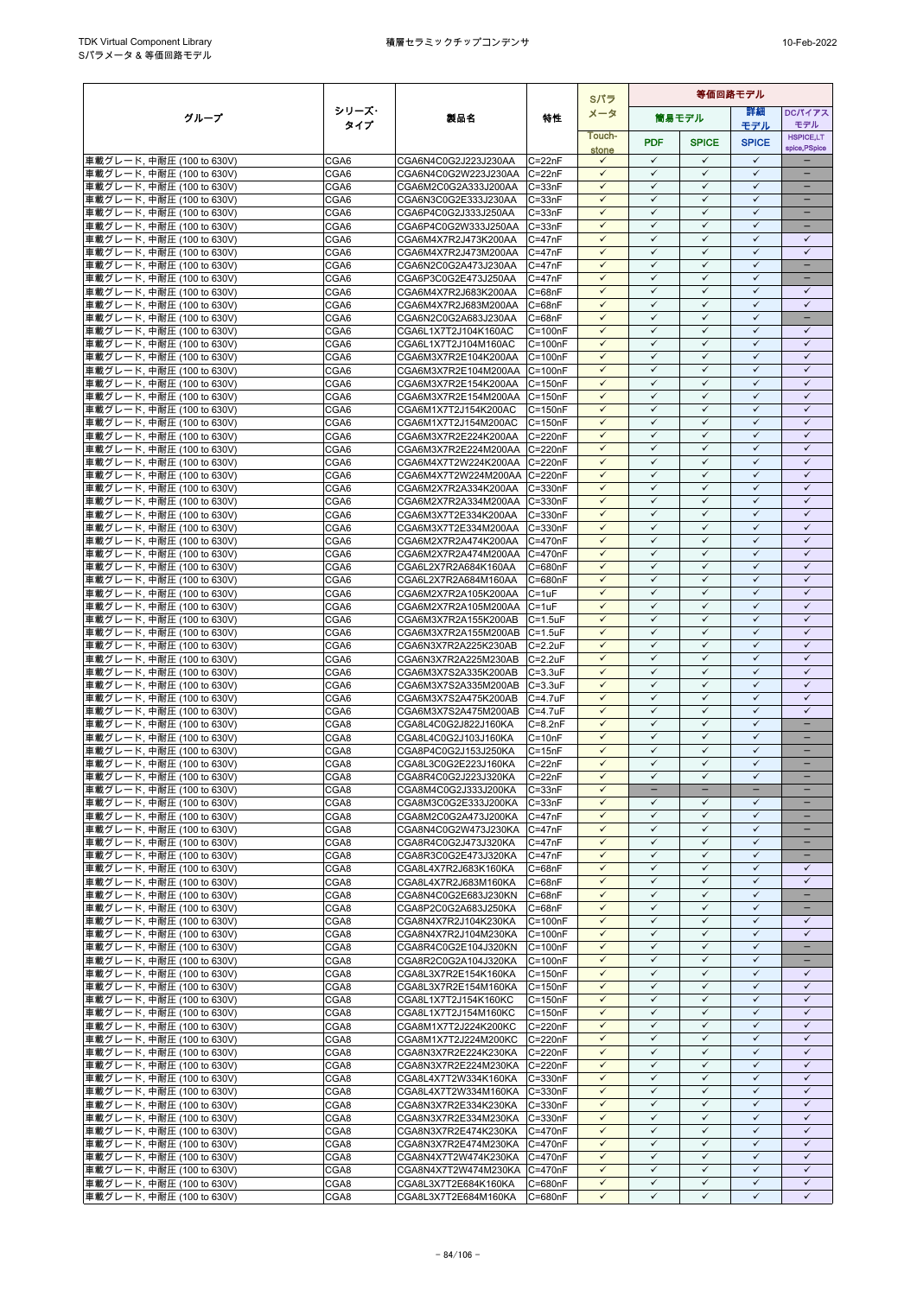|                                                        |              |                                                      | Sパラ                          | 等価回路モデル                      |                              |                              |                              |                                                      |
|--------------------------------------------------------|--------------|------------------------------------------------------|------------------------------|------------------------------|------------------------------|------------------------------|------------------------------|------------------------------------------------------|
| グループ                                                   | シリーズ・        | 製品名                                                  | 特性                           | メータ                          |                              | 筒易モデル                        | 詳細                           | <b>DCパイアス</b>                                        |
|                                                        | タイプ          |                                                      |                              | Touch-                       |                              |                              | モデル                          | モデル<br><b>HSPICE,LT</b>                              |
|                                                        |              |                                                      |                              | stone                        | <b>PDF</b>                   | <b>SPICE</b>                 | <b>SPICE</b>                 | spice, PSpice                                        |
| 車載グレード, 中耐圧 (100 to 630V)                              | CGA6         | CGA6N4C0G2J223J230AA                                 | $C = 22nF$                   | $\checkmark$                 | $\checkmark$                 | $\checkmark$                 | $\checkmark$                 |                                                      |
| 車載グレード, 中耐圧 (100 to 630V)                              | CGA6         | CGA6N4C0G2W223J230AA C=22nF                          |                              | $\checkmark$                 | $\checkmark$                 | $\checkmark$                 | $\checkmark$                 | -                                                    |
| 車載グレード, 中耐圧 (100 to 630V)<br>車載グレード, 中耐圧 (100 to 630V) | CGA6<br>CGA6 | CGA6M2C0G2A333J200AA<br>CGA6N3C0G2E333J230AA         | $C = 33nF$<br>$C = 33nF$     | $\checkmark$<br>$\checkmark$ | $\checkmark$<br>$\checkmark$ | $\checkmark$<br>$\checkmark$ | $\checkmark$<br>$\checkmark$ | -<br>-                                               |
| 車載グレード, 中耐圧 (100 to 630V)                              | CGA6         | CGA6P4C0G2J333J250AA                                 | $C = 33nF$                   | $\checkmark$                 | $\checkmark$                 | $\checkmark$                 | $\checkmark$                 | -                                                    |
| 車載グレード, 中耐圧 (100 to 630V)                              | CGA6         | CGA6P4C0G2W333J250AA                                 | $C = 33nF$                   | ✓                            | ✓                            | ✓                            | $\checkmark$                 |                                                      |
| 車載グレード, 中耐圧 (100 to 630V)                              | CGA6         | CGA6M4X7R2J473K200AA                                 | $C = 47nF$                   | $\checkmark$                 | $\checkmark$                 | $\checkmark$                 | $\checkmark$                 | $\checkmark$                                         |
| 車載グレード, 中耐圧 (100 to 630V)                              | CGA6         | CGA6M4X7R2J473M200AA                                 | $C = 47nF$                   | $\checkmark$                 | $\checkmark$                 | $\checkmark$                 | $\checkmark$                 | $\checkmark$                                         |
| 車載グレード, 中耐圧 (100 to 630V)                              | CGA6         | CGA6N2C0G2A473J230AA                                 | $C = 47nF$                   | $\checkmark$<br>$\checkmark$ | $\checkmark$<br>$\checkmark$ | ✓<br>$\checkmark$            | $\checkmark$<br>$\checkmark$ | $\overline{\phantom{0}}$<br>$\overline{\phantom{a}}$ |
| 車載グレード, 中耐圧 (100 to 630V)<br>車載グレード, 中耐圧 (100 to 630V) | CGA6<br>CGA6 | CGA6P3C0G2E473J250AA<br>CGA6M4X7R2J683K200AA         | $C = 47nF$<br>$C = 68nF$     | $\checkmark$                 | ✓                            | ✓                            | ✓                            | ✓                                                    |
| 車載グレード, 中耐圧 (100 to 630V)                              | CGA6         | CGA6M4X7R2J683M200AA                                 | $C = 68nF$                   | $\checkmark$                 | $\checkmark$                 | $\checkmark$                 | $\checkmark$                 | $\checkmark$                                         |
| 車載グレード, 中耐圧 (100 to 630V)                              | CGA6         | CGA6N2C0G2A683J230AA                                 | $C = 68nF$                   | $\checkmark$                 | $\checkmark$                 | $\checkmark$                 | $\checkmark$                 |                                                      |
| 車載グレード, 中耐圧 (100 to 630V)                              | CGA6         | CGA6L1X7T2J104K160AC                                 | $C = 100nF$                  | $\checkmark$                 | $\checkmark$                 | $\checkmark$                 | $\checkmark$                 | $\checkmark$                                         |
| 車載グレード, 中耐圧 (100 to 630V)                              | CGA6         | CGA6L1X7T2J104M160AC                                 | $C = 100nF$                  | $\checkmark$                 | $\checkmark$                 | $\checkmark$                 | $\checkmark$                 | $\checkmark$                                         |
| 車載グレード, 中耐圧 (100 to 630V)<br>車載グレード, 中耐圧 (100 to 630V) | CGA6<br>CGA6 | CGA6M3X7R2E104K200AA<br>CGA6M3X7R2E104M200AA         | $C = 100nF$<br>$C = 100nF$   | $\checkmark$<br>$\checkmark$ | $\checkmark$<br>$\checkmark$ | ✓<br>$\checkmark$            | $\checkmark$<br>$\checkmark$ | $\checkmark$<br>$\checkmark$                         |
| 車載グレード, 中耐圧 (100 to 630V)                              | CGA6         | CGA6M3X7R2E154K200AA                                 | $C = 150nF$                  | $\checkmark$                 | $\checkmark$                 | $\checkmark$                 | $\checkmark$                 | $\checkmark$                                         |
| 車載グレード, 中耐圧 (100 to 630V)                              | CGA6         | CGA6M3X7R2E154M200AA C=150nF                         |                              | $\checkmark$                 | $\checkmark$                 | $\checkmark$                 | $\checkmark$                 | $\checkmark$                                         |
| 車載グレード, 中耐圧 (100 to 630V)                              | CGA6         | CGA6M1X7T2J154K200AC                                 | $C = 150nF$                  | $\checkmark$                 | ✓                            | ✓                            | $\checkmark$                 | $\checkmark$                                         |
| 車載グレード, 中耐圧 (100 to 630V)                              | CGA6         | CGA6M1X7T2J154M200AC                                 | $C = 150nF$                  | $\checkmark$                 | $\checkmark$                 | $\checkmark$                 | $\checkmark$                 | $\checkmark$                                         |
| 車載グレード, 中耐圧 (100 to 630V)                              | CGA6         | CGA6M3X7R2E224K200AA                                 | C=220nF                      | $\checkmark$                 | $\checkmark$<br>$\checkmark$ | $\checkmark$<br>$\checkmark$ | $\checkmark$<br>$\checkmark$ | $\checkmark$<br>$\checkmark$                         |
| 車載グレード, 中耐圧 (100 to 630V)<br>車載グレード, 中耐圧 (100 to 630V) | CGA6<br>CGA6 | CGA6M3X7R2E224M200AA<br>CGA6M4X7T2W224K200AA         | C=220nF<br>C=220nF           | $\checkmark$<br>$\checkmark$ | $\checkmark$                 | $\checkmark$                 | $\checkmark$                 | $\checkmark$                                         |
| 車載グレード, 中耐圧 (100 to 630V)                              | CGA6         | CGA6M4X7T2W224M200AA C=220nF                         |                              | $\checkmark$                 | $\checkmark$                 | $\checkmark$                 | $\checkmark$                 | $\checkmark$                                         |
| 車載グレード, 中耐圧 (100 to 630V)                              | CGA6         | CGA6M2X7R2A334K200AA                                 | C=330nF                      | $\checkmark$                 | $\checkmark$                 | $\checkmark$                 | $\checkmark$                 | $\checkmark$                                         |
| 車載グレード, 中耐圧 (100 to 630V)                              | CGA6         | CGA6M2X7R2A334M200AA                                 | C=330nF                      | $\checkmark$                 | $\checkmark$                 | $\checkmark$                 | $\checkmark$                 | $\checkmark$                                         |
| 車載グレード, 中耐圧 (100 to 630V)                              | CGA6         | CGA6M3X7T2E334K200AA                                 | C=330nF                      | $\checkmark$                 | $\checkmark$                 | $\checkmark$                 | $\checkmark$                 | $\checkmark$                                         |
| 車載グレード, 中耐圧 (100 to 630V)<br>車載グレード, 中耐圧 (100 to 630V) | CGA6<br>CGA6 | CGA6M3X7T2E334M200AA<br>CGA6M2X7R2A474K200AA         | C=330nF<br>C=470nF           | $\checkmark$<br>$\checkmark$ | $\checkmark$<br>✓            | $\checkmark$<br>✓            | $\checkmark$<br>✓            | $\checkmark$<br>✓                                    |
| 車載グレード, 中耐圧 (100 to 630V)                              | CGA6         | CGA6M2X7R2A474M200AA                                 | C=470nF                      | $\checkmark$                 | $\checkmark$                 | $\checkmark$                 | $\checkmark$                 | $\checkmark$                                         |
| 車載グレード, 中耐圧 (100 to 630V)                              | CGA6         | CGA6L2X7R2A684K160AA                                 | C=680nF                      | $\checkmark$                 | $\checkmark$                 | $\checkmark$                 | $\checkmark$                 | $\checkmark$                                         |
| 車載グレード, 中耐圧 (100 to 630V)                              | CGA6         | CGA6L2X7R2A684M160AA                                 | C=680nF                      | $\checkmark$                 | $\checkmark$                 | $\checkmark$                 | $\checkmark$                 | $\checkmark$                                         |
| 車載グレード, 中耐圧 (100 to 630V)                              | CGA6         | CGA6M2X7R2A105K200AA                                 | $C = 1uF$                    | $\checkmark$                 | $\checkmark$                 | $\checkmark$                 | $\checkmark$                 | $\checkmark$                                         |
| 車載グレード, 中耐圧 (100 to 630V)                              | CGA6         | CGA6M2X7R2A105M200AA                                 | $C = 1uF$                    | $\checkmark$                 | $\checkmark$                 | $\checkmark$                 | $\checkmark$                 | $\checkmark$                                         |
| 車載グレード, 中耐圧 (100 to 630V)<br>車載グレード, 中耐圧 (100 to 630V) | CGA6<br>CGA6 | CGA6M3X7R2A155K200AB<br>CGA6M3X7R2A155M200AB C=1.5uF | $C = 1.5$ uF                 | $\checkmark$<br>$\checkmark$ | $\checkmark$<br>$\checkmark$ | $\checkmark$<br>$\checkmark$ | $\checkmark$<br>$\checkmark$ | $\checkmark$<br>$\checkmark$                         |
| 車載グレード, 中耐圧 (100 to 630V)                              | CGA6         | CGA6N3X7R2A225K230AB                                 | $C = 2.2uF$                  | $\checkmark$                 | $\checkmark$                 | $\checkmark$                 | $\checkmark$                 | $\checkmark$                                         |
| 車載グレード, 中耐圧 (100 to 630V)                              | CGA6         | CGA6N3X7R2A225M230AB                                 | $C = 2.2uF$                  | $\checkmark$                 | $\checkmark$                 | $\checkmark$                 | $\checkmark$                 | $\checkmark$                                         |
| 車載グレード, 中耐圧 (100 to 630V)                              | CGA6         | CGA6M3X7S2A335K200AB                                 | $C = 3.3uF$                  | $\checkmark$                 | $\checkmark$                 | $\checkmark$                 | $\checkmark$                 | $\checkmark$                                         |
| 車載グレード, 中耐圧 (100 to 630V)                              | CGA6         | CGA6M3X7S2A335M200AB C=3.3uF                         |                              | $\checkmark$                 | $\checkmark$                 | $\checkmark$                 | $\checkmark$                 | $\checkmark$                                         |
| 車載グレード, 中耐圧 (100 to 630V)                              | CGA6         | CGA6M3X7S2A475K200AB                                 | $C = 4.7$ uF                 | $\checkmark$<br>$\checkmark$ | $\checkmark$<br>$\checkmark$ | ✓<br>$\checkmark$            | $\checkmark$<br>$\checkmark$ | $\checkmark$<br>$\checkmark$                         |
| 車載グレード, 中耐圧 (100 to 630V)<br>車載グレード, 中耐圧 (100 to 630V) | CGA6<br>CGA8 | CGA6M3X7S2A475M200AB<br>CGA8L4C0G2J822J160KA         | $C=4.7$ u $F$<br>$C = 8.2nF$ | $\checkmark$                 | $\checkmark$                 | $\checkmark$                 | $\checkmark$                 |                                                      |
| 車載グレード, 中耐圧 (100 to 630V)                              | CGA8         | CGA8L4C0G2J103J160KA                                 | $C = 10nF$                   | $\checkmark$                 | $\checkmark$                 | $\checkmark$                 | $\checkmark$                 | ÷                                                    |
| 車載グレード, 中耐圧 (100 to 630V)                              | CGA8         | CGA8P4C0G2J153J250KA                                 | $C = 15nF$                   | $\checkmark$                 | $\checkmark$                 | $\checkmark$                 | $\checkmark$                 | ÷                                                    |
| 車載グレード, 中耐圧 (100 to 630V)                              | CGA8         | CGA8L3C0G2E223J160KA                                 | $C = 22nF$                   | $\checkmark$                 | $\checkmark$                 | $\checkmark$                 | $\checkmark$                 | -                                                    |
| 車載グレード, 中耐圧 (100 to 630V)                              | CGA8         | CGA8R4C0G2J223J320KA                                 | $C = 22nF$                   | $\checkmark$                 | $\checkmark$                 | $\checkmark$                 | $\checkmark$                 | -                                                    |
| 車載グレード, 中耐圧 (100 to 630V)<br>車載グレード, 中耐圧 (100 to 630V) | CGA8<br>CGA8 | CGA8M4C0G2J333J200KA<br>CGA8M3C0G2E333J200KA         | $C = 33nF$<br>$C = 33nF$     | $\checkmark$<br>$\checkmark$ | $\checkmark$                 | ✓                            | $\checkmark$                 |                                                      |
| 車載グレード, 中耐圧 (100 to 630V)                              | CGA8         | CGA8M2C0G2A473J200KA                                 | $C = 47nF$                   | $\checkmark$                 | $\checkmark$                 | $\checkmark$                 | $\checkmark$                 | -                                                    |
| 車載グレード, 中耐圧 (100 to 630V)                              | CGA8         | CGA8N4C0G2W473J230KA C=47nF                          |                              | $\checkmark$                 | $\checkmark$                 | $\checkmark$                 | $\checkmark$                 |                                                      |
| 車載グレード, 中耐圧 (100 to 630V)                              | CGA8         | CGA8R4C0G2J473J320KA                                 | $C = 47nF$                   | $\checkmark$                 | $\checkmark$                 | $\checkmark$                 | $\checkmark$                 | $\overline{\phantom{0}}$                             |
| 車載グレード, 中耐圧 (100 to 630V)                              | CGA8         | CGA8R3C0G2E473J320KA                                 | $C = 47nF$                   | $\checkmark$                 | $\checkmark$                 | $\checkmark$                 | $\checkmark$                 | -                                                    |
| 車載グレード, 中耐圧 (100 to 630V)                              | CGA8<br>CGA8 | CGA8L4X7R2J683K160KA                                 | $C = 68nF$                   | $\checkmark$<br>$\checkmark$ | $\checkmark$<br>$\checkmark$ | $\checkmark$<br>$\checkmark$ | $\checkmark$<br>$\checkmark$ | $\checkmark$<br>$\checkmark$                         |
| 車載グレード, 中耐圧 (100 to 630V)<br>車載グレード, 中耐圧 (100 to 630V) | CGA8         | CGA8L4X7R2J683M160KA<br>CGA8N4C0G2E683J230KN         | $C = 68nF$<br>$C = 68nF$     | $\checkmark$                 | $\checkmark$                 | $\checkmark$                 | $\checkmark$                 | ÷,                                                   |
| 車載グレード, 中耐圧 (100 to 630V)                              | CGA8         | CGA8P2C0G2A683J250KA                                 | $C = 68nF$                   | $\checkmark$                 | $\checkmark$                 | $\checkmark$                 | $\checkmark$                 |                                                      |
| 車載グレード, 中耐圧 (100 to 630V)                              | CGA8         | CGA8N4X7R2J104K230KA                                 | $C = 100nF$                  | $\checkmark$                 | $\checkmark$                 | $\checkmark$                 | $\checkmark$                 | $\checkmark$                                         |
| 車載グレード, 中耐圧 (100 to 630V)                              | CGA8         | CGA8N4X7R2J104M230KA                                 | $C = 100nF$                  | $\checkmark$                 | $\checkmark$                 | $\checkmark$                 | $\checkmark$                 | $\checkmark$                                         |
| 車載グレード, 中耐圧 (100 to 630V)                              | CGA8         | CGA8R4C0G2E104J320KN                                 | C=100nF                      | ✓<br>$\checkmark$            | ✓<br>$\checkmark$            | ✓<br>$\checkmark$            | ✓<br>$\checkmark$            | -                                                    |
| 車載グレード, 中耐圧 (100 to 630V)<br>車載グレード, 中耐圧 (100 to 630V) | CGA8<br>CGA8 | CGA8R2C0G2A104J320KA<br>CGA8L3X7R2E154K160KA         | $C = 100nF$<br>$C = 150nF$   | $\checkmark$                 | $\checkmark$                 | $\checkmark$                 | $\checkmark$                 | ✓                                                    |
| 車載グレード, 中耐圧 (100 to 630V)                              | CGA8         | CGA8L3X7R2E154M160KA                                 | $C = 150nF$                  | $\checkmark$                 | $\checkmark$                 | $\checkmark$                 | $\checkmark$                 | $\checkmark$                                         |
| 車載グレード, 中耐圧 (100 to 630V)                              | CGA8         | CGA8L1X7T2J154K160KC                                 | $C = 150nF$                  | $\checkmark$                 | $\checkmark$                 | $\checkmark$                 | $\checkmark$                 | $\checkmark$                                         |
| 車載グレード, 中耐圧 (100 to 630V)                              | CGA8         | CGA8L1X7T2J154M160KC                                 | $C = 150nF$                  | $\checkmark$                 | $\checkmark$                 | ✓                            | $\checkmark$                 | $\checkmark$                                         |
| 車載グレード, 中耐圧 (100 to 630V)                              | CGA8         | CGA8M1X7T2J224K200KC                                 | C=220nF                      | $\checkmark$                 | $\checkmark$                 | $\checkmark$                 | $\checkmark$                 | $\checkmark$                                         |
| 車載グレード, 中耐圧 (100 to 630V)                              | CGA8         | CGA8M1X7T2J224M200KC                                 | C=220nF<br>C=220nF           | $\checkmark$<br>$\checkmark$ | $\checkmark$<br>$\checkmark$ | $\checkmark$<br>$\checkmark$ | $\checkmark$<br>$\checkmark$ | $\checkmark$<br>$\checkmark$                         |
| 車載グレード, 中耐圧 (100 to 630V)<br>車載グレード, 中耐圧 (100 to 630V) | CGA8<br>CGA8 | CGA8N3X7R2E224K230KA<br>CGA8N3X7R2E224M230KA         | C=220nF                      | $\checkmark$                 | $\checkmark$                 | $\checkmark$                 | $\checkmark$                 | $\checkmark$                                         |
| 車載グレード, 中耐圧 (100 to 630V)                              | CGA8         | CGA8L4X7T2W334K160KA                                 | C=330nF                      | $\checkmark$                 | $\checkmark$                 | $\checkmark$                 | $\checkmark$                 | $\checkmark$                                         |
| 車載グレード, 中耐圧 (100 to 630V)                              | CGA8         | CGA8L4X7T2W334M160KA C=330nF                         |                              | $\checkmark$                 | $\checkmark$                 | $\checkmark$                 | $\checkmark$                 | $\checkmark$                                         |
| 車載グレード, 中耐圧 (100 to 630V)                              | CGA8         | CGA8N3X7R2E334K230KA                                 | C=330nF                      | $\checkmark$                 | $\checkmark$                 | $\checkmark$                 | $\checkmark$                 | $\checkmark$                                         |
| 車載グレード, 中耐圧 (100 to 630V)                              | CGA8         | CGA8N3X7R2E334M230KA C=330nF                         |                              | $\checkmark$                 | $\checkmark$                 | $\checkmark$                 | ✓                            | $\checkmark$                                         |
| 車載グレード, 中耐圧 (100 to 630V)<br>車載グレード, 中耐圧 (100 to 630V) | CGA8<br>CGA8 | CGA8N3X7R2E474K230KA<br>CGA8N3X7R2E474M230KA         | C=470nF<br>C=470nF           | $\checkmark$<br>$\checkmark$ | $\checkmark$<br>$\checkmark$ | ✓<br>$\checkmark$            | $\checkmark$<br>$\checkmark$ | $\checkmark$<br>$\checkmark$                         |
| 車載グレード, 中耐圧 (100 to 630V)                              | CGA8         | CGA8N4X7T2W474K230KA                                 | C=470nF                      | $\checkmark$                 | $\checkmark$                 | $\checkmark$                 | $\checkmark$                 | $\checkmark$                                         |
| 車載グレード, 中耐圧 (100 to 630V)                              | CGA8         | CGA8N4X7T2W474M230KA C=470nF                         |                              | $\checkmark$                 | $\checkmark$                 | $\checkmark$                 | $\checkmark$                 | $\checkmark$                                         |
| 車載グレード, 中耐圧 (100 to 630V)                              | CGA8         | CGA8L3X7T2E684K160KA                                 | C=680nF                      | $\checkmark$                 | $\checkmark$                 | $\checkmark$                 | $\checkmark$                 | $\checkmark$                                         |
| 車載グレード, 中耐圧 (100 to 630V)                              | CGA8         | CGA8L3X7T2E684M160KA                                 | C=680nF                      | ✓                            | ✓                            | ✓                            | ✓                            | ✓                                                    |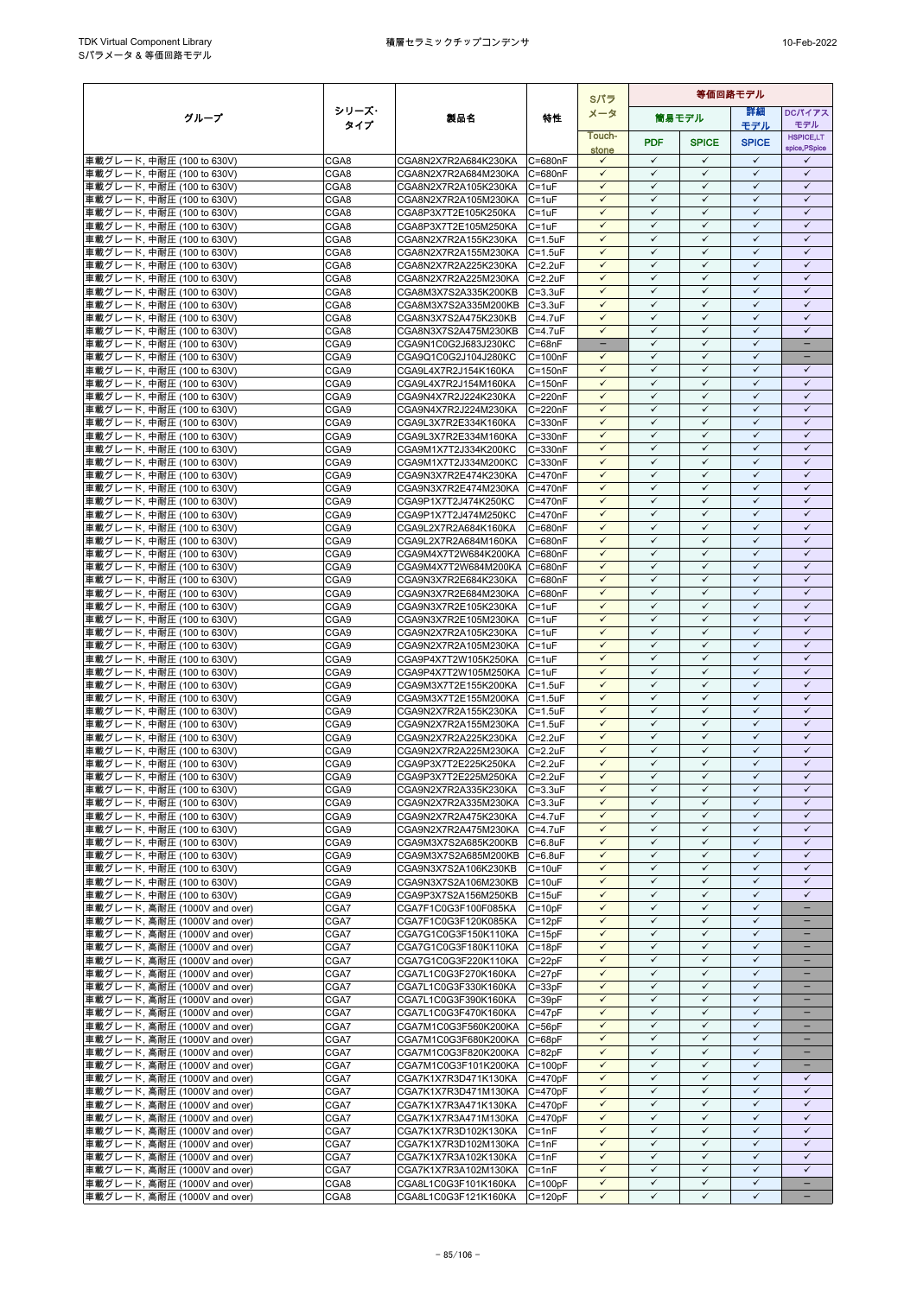|                                                               |              |                                              |                                | Sパラ                          | 等価回路モデル                      |                              |                              |                                   |
|---------------------------------------------------------------|--------------|----------------------------------------------|--------------------------------|------------------------------|------------------------------|------------------------------|------------------------------|-----------------------------------|
| グループ                                                          | シリーズ・        | 製品名                                          | 特性                             | メータ                          |                              | 筒易モデル                        | 詳細                           | <b>DCパイアス</b>                     |
|                                                               | タイプ          |                                              |                                |                              |                              |                              | モデル                          | モデル                               |
|                                                               |              |                                              |                                | Touch-                       | <b>PDF</b>                   | <b>SPICE</b>                 | <b>SPICE</b>                 | <b>HSPICE,LT</b><br>spice, PSpice |
| 車載グレード, 中耐圧 (100 to 630V)                                     | CGA8         | CGA8N2X7R2A684K230KA                         | C=680nF                        | stone<br>$\checkmark$        | $\checkmark$                 | $\checkmark$                 | $\checkmark$                 | ✓                                 |
| 車載グレード, 中耐圧 (100 to 630V)                                     | CGA8         | CGA8N2X7R2A684M230KA                         | C=680nF                        | $\checkmark$                 | $\checkmark$                 | $\checkmark$                 | $\checkmark$                 | $\checkmark$                      |
| 車載グレード, 中耐圧 (100 to 630V)                                     | CGA8         | CGA8N2X7R2A105K230KA                         | $C = 1uF$                      | $\checkmark$                 | $\checkmark$                 | $\checkmark$                 | $\checkmark$                 | $\checkmark$                      |
| 車載グレード. 中耐圧 (100 to 630V)                                     | CGA8         | CGA8N2X7R2A105M230KA                         | $C = 1uF$                      | ✓                            | ✓                            | $\checkmark$                 | ✓                            | ✓                                 |
| 車載グレード, 中耐圧 (100 to 630V)                                     | CGA8         | CGA8P3X7T2E105K250KA                         | $C = 1uF$                      | $\checkmark$                 | $\checkmark$                 | $\checkmark$                 | $\checkmark$                 | $\checkmark$                      |
| 車載グレード, 中耐圧 (100 to 630V)                                     | CGA8         | CGA8P3X7T2E105M250KA                         | $C = 1uF$                      | $\checkmark$                 | $\checkmark$                 | $\checkmark$                 | $\checkmark$                 | $\checkmark$                      |
| 車載グレード, 中耐圧 (100 to 630V)                                     | CGA8         | CGA8N2X7R2A155K230KA                         | $C = 1.5$ u $F$                | $\checkmark$                 | $\checkmark$                 | $\checkmark$                 | $\checkmark$                 | $\checkmark$                      |
| 車載グレード, 中耐圧 (100 to 630V)                                     | CGA8         | CGA8N2X7R2A155M230KA                         | $C = 1.5$ u $F$                | $\checkmark$                 | $\checkmark$                 | $\checkmark$                 | $\checkmark$                 | $\checkmark$                      |
| 車載グレード, 中耐圧 (100 to 630V)                                     | CGA8         | CGA8N2X7R2A225K230KA                         | $C = 2.2uF$                    | $\checkmark$                 | $\checkmark$                 | $\checkmark$                 | $\checkmark$                 | $\checkmark$                      |
| 車載グレード, 中耐圧 (100 to 630V)                                     | CGA8         | CGA8N2X7R2A225M230KA                         | $C = 2.2uF$                    | $\checkmark$                 | $\checkmark$                 | $\checkmark$                 | $\checkmark$                 | $\checkmark$                      |
| 車載グレード, 中耐圧 (100 to 630V)                                     | CGA8         | CGA8M3X7S2A335K200KB                         | $C = 3.3uF$                    | $\checkmark$<br>$\checkmark$ | ✓<br>$\checkmark$            | $\checkmark$<br>$\checkmark$ | $\checkmark$<br>$\checkmark$ | $\checkmark$<br>$\checkmark$      |
| 車載グレード, 中耐圧 (100 to 630V)                                     | CGA8<br>CGA8 | CGA8M3X7S2A335M200KB<br>CGA8N3X7S2A475K230KB | $C = 3.3uF$<br>$C = 4.7$ u $F$ | $\checkmark$                 | ✓                            | $\checkmark$                 | $\checkmark$                 | $\checkmark$                      |
| 車載グレード, 中耐圧 (100 to 630V)<br>車載グレード, 中耐圧 (100 to 630V)        | CGA8         | CGA8N3X7S2A475M230KB                         | C=4.7uF                        | $\checkmark$                 | $\checkmark$                 | $\checkmark$                 | $\checkmark$                 | $\checkmark$                      |
| 車載グレード, 中耐圧 (100 to 630V)                                     | CGA9         | CGA9N1C0G2J683J230KC                         | $C = 68nF$                     | $\qquad \qquad -$            | $\checkmark$                 | $\checkmark$                 | $\checkmark$                 | $\equiv$                          |
| 車載グレード, 中耐圧 (100 to 630V)                                     | CGA9         | CGA9Q1C0G2J104J280KC                         | $C = 100nF$                    | $\checkmark$                 | $\checkmark$                 | $\checkmark$                 | $\checkmark$                 | $\qquad \qquad -$                 |
| 車載グレード, 中耐圧 (100 to 630V)                                     | CGA9         | CGA9L4X7R2J154K160KA                         | $C = 150nF$                    | $\checkmark$                 | $\checkmark$                 | $\checkmark$                 | $\checkmark$                 | $\checkmark$                      |
| 車載グレード, 中耐圧 (100 to 630V)                                     | CGA9         | CGA9L4X7R2J154M160KA                         | $C = 150nF$                    | $\checkmark$                 | $\checkmark$                 | $\checkmark$                 | $\checkmark$                 | $\checkmark$                      |
| 車載グレード, 中耐圧 (100 to 630V)                                     | CGA9         | CGA9N4X7R2J224K230KA                         | $C = 220nF$                    | $\checkmark$                 | $\checkmark$                 | $\checkmark$                 | $\checkmark$                 | $\checkmark$                      |
| 車載グレード, 中耐圧 (100 to 630V)                                     | CGA9         | CGA9N4X7R2J224M230KA                         | C=220nF                        | $\checkmark$                 | $\checkmark$                 | $\checkmark$                 | $\checkmark$                 | $\checkmark$                      |
| 車載グレード, 中耐圧 (100 to 630V)                                     | CGA9         | CGA9L3X7R2E334K160KA                         | C=330nF                        | $\checkmark$                 | $\checkmark$                 | $\checkmark$                 | $\checkmark$                 | $\checkmark$                      |
| 車載グレード. 中耐圧 (100 to 630V)                                     | CGA9         | CGA9L3X7R2E334M160KA                         | C=330nF                        | $\checkmark$                 | $\checkmark$                 | $\checkmark$                 | $\checkmark$                 | $\checkmark$                      |
| 車載グレード, 中耐圧 (100 to 630V)                                     | CGA9         | CGA9M1X7T2J334K200KC                         | C=330nF                        | ✓<br>$\checkmark$            | ✓<br>$\checkmark$            | $\checkmark$<br>$\checkmark$ | ✓<br>$\checkmark$            | ✓<br>$\checkmark$                 |
| 車載グレード. 中耐圧 (100 to 630V)                                     | CGA9<br>CGA9 | CGA9M1X7T2J334M200KC                         | C=330nF<br>C=470nF             | $\checkmark$                 | $\checkmark$                 | $\checkmark$                 | $\checkmark$                 | $\checkmark$                      |
| 車載グレード, 中耐圧 (100 to 630V)<br>車載グレード, 中耐圧 (100 to 630V)        | CGA9         | CGA9N3X7R2E474K230KA<br>CGA9N3X7R2E474M230KA | C=470nF                        | $\checkmark$                 | $\checkmark$                 | $\checkmark$                 | $\checkmark$                 | $\checkmark$                      |
| 車載グレード, 中耐圧 (100 to 630V)                                     | CGA9         | CGA9P1X7T2J474K250KC                         | C=470nF                        | $\checkmark$                 | $\checkmark$                 | $\checkmark$                 | $\checkmark$                 | $\checkmark$                      |
| 車載グレード, 中耐圧 (100 to 630V)                                     | CGA9         | CGA9P1X7T2J474M250KC                         | C=470nF                        | $\checkmark$                 | $\checkmark$                 | $\checkmark$                 | $\checkmark$                 | $\checkmark$                      |
| 車載グレード, 中耐圧 (100 to 630V)                                     | CGA9         | CGA9L2X7R2A684K160KA                         | C=680nF                        | $\checkmark$                 | $\checkmark$                 | $\checkmark$                 | $\checkmark$                 | $\checkmark$                      |
| 車載グレード, 中耐圧 (100 to 630V)                                     | CGA9         | CGA9L2X7R2A684M160KA                         | C=680nF                        | $\checkmark$                 | $\checkmark$                 | $\checkmark$                 | $\checkmark$                 | ✓                                 |
| 車載グレード, 中耐圧 (100 to 630V)                                     | CGA9         | CGA9M4X7T2W684K200KA                         | C=680nF                        | $\checkmark$                 | $\checkmark$                 | $\checkmark$                 | $\checkmark$                 | $\checkmark$                      |
| 車載グレード, 中耐圧 (100 to 630V)                                     | CGA9         | CGA9M4X7T2W684M200KA C=680nF                 |                                | $\checkmark$                 | $\checkmark$                 | $\checkmark$                 | $\checkmark$                 | $\checkmark$                      |
| 車載グレード, 中耐圧 (100 to 630V)                                     | CGA9         | CGA9N3X7R2E684K230KA                         | C=680nF                        | $\checkmark$                 | $\checkmark$                 | $\checkmark$                 | $\checkmark$                 | $\checkmark$                      |
| 車載グレード, 中耐圧 (100 to 630V)                                     | CGA9         | CGA9N3X7R2E684M230KA                         | C=680nF                        | $\checkmark$                 | $\checkmark$                 | $\checkmark$                 | $\checkmark$                 | $\checkmark$                      |
| 車載グレード, 中耐圧 (100 to 630V)                                     | CGA9         | CGA9N3X7R2E105K230KA                         | $C = 1uF$                      | ✓                            | $\checkmark$                 | $\checkmark$                 | ✓                            | ✓                                 |
| 車載グレード, 中耐圧 (100 to 630V)                                     | CGA9         | CGA9N3X7R2E105M230KA                         | $C = 1uF$                      | $\checkmark$                 | $\checkmark$                 | $\checkmark$                 | $\checkmark$                 | $\checkmark$                      |
| 車載グレード, 中耐圧 (100 to 630V)                                     | CGA9         | CGA9N2X7R2A105K230KA                         | $C = 1uF$                      | ✓<br>$\checkmark$            | ✓<br>$\checkmark$            | $\checkmark$<br>$\checkmark$ | $\checkmark$<br>$\checkmark$ | $\checkmark$<br>$\checkmark$      |
| 車載グレード, 中耐圧 (100 to 630V)<br>車載グレード, 中耐圧 (100 to 630V)        | CGA9<br>CGA9 | CGA9N2X7R2A105M230KA<br>CGA9P4X7T2W105K250KA | $C = 1uF$<br>$C = 1uF$         | $\checkmark$                 | $\checkmark$                 | $\checkmark$                 | $\checkmark$                 | $\checkmark$                      |
| 車載グレード, 中耐圧 (100 to 630V)                                     | CGA9         | CGA9P4X7T2W105M250KA                         | $C = 1uF$                      | $\checkmark$                 | $\checkmark$                 | $\checkmark$                 | $\checkmark$                 | $\checkmark$                      |
| 車載グレード, 中耐圧 (100 to 630V)                                     | CGA9         | CGA9M3X7T2E155K200KA                         | $C = 1.5$ uF                   | $\checkmark$                 | $\checkmark$                 | $\checkmark$                 | $\checkmark$                 | $\checkmark$                      |
| 車載グレード, 中耐圧 (100 to 630V)                                     | CGA9         | CGA9M3X7T2E155M200KA                         | $C = 1.5$ u $F$                | ✓                            | $\checkmark$                 | $\checkmark$                 | $\checkmark$                 | $\checkmark$                      |
| 車載グレード, 中耐圧 (100 to 630V)                                     | CGA9         | CGA9N2X7R2A155K230KA                         | $C = 1.5$ u $F$                | $\checkmark$                 | $\checkmark$                 | $\checkmark$                 | $\checkmark$                 | $\checkmark$                      |
| 車載グレード, 中耐圧 (100 to 630V)                                     | CGA9         | CGA9N2X7R2A155M230KA                         | $C = 1.5$ u $F$                | $\checkmark$                 | $\checkmark$                 | $\checkmark$                 | $\checkmark$                 | $\checkmark$                      |
| 車載グレード, 中耐圧 (100 to 630V)                                     | CGA9         | CGA9N2X7R2A225K230KA                         | $C = 2.2uF$                    | $\checkmark$                 | $\checkmark$                 | $\checkmark$                 | $\checkmark$                 | $\checkmark$                      |
| 車載グレード, 中耐圧 (100 to 630V)                                     | CGA9         | CGA9N2X7R2A225M230KA                         | $C = 2.2uF$                    | $\checkmark$                 | $\checkmark$                 | $\checkmark$                 | $\checkmark$                 | $\checkmark$                      |
| 車載グレード, 中耐圧 (100 to 630V)                                     | CGA9         | CGA9P3X7T2E225K250KA                         | $C = 2.2uF$                    | $\checkmark$                 | $\checkmark$                 | $\checkmark$                 | $\checkmark$                 | $\checkmark$                      |
| 車載グレード. 中耐圧 (100 to 630V)                                     | CGA9         | CGA9P3X7T2E225M250KA                         | $C = 2.2uF$                    | $\checkmark$                 | $\checkmark$                 | $\checkmark$                 | $\checkmark$                 | $\checkmark$                      |
| 車載グレード, 中耐圧 (100 to 630V)                                     | CGA9         | CGA9N2X7R2A335K230KA                         | $C = 3.3uF$                    | $\checkmark$<br>$\checkmark$ | $\checkmark$<br>$\checkmark$ | $\checkmark$<br>$\checkmark$ | $\checkmark$<br>$\checkmark$ | $\checkmark$<br>$\checkmark$      |
| 車載グレード, 中耐圧 (100 to 630V)                                     | CGA9<br>CGA9 | CGA9N2X7R2A335M230KA<br>CGA9N2X7R2A475K230KA | $C = 3.3uF$<br>$C = 4.7uF$     | $\checkmark$                 | $\checkmark$                 | $\checkmark$                 | $\checkmark$                 | $\checkmark$                      |
| 車載グレード, 中耐圧 (100 to 630V)<br>車載グレード, 中耐圧 (100 to 630V)        | CGA9         | CGA9N2X7R2A475M230KA                         | C=4.7uF                        | $\checkmark$                 | $\checkmark$                 | $\checkmark$                 | $\checkmark$                 | $\checkmark$                      |
| 車載グレード, 中耐圧 (100 to 630V)                                     | CGA9         | CGA9M3X7S2A685K200KB                         | $C = 6.8$ u $F$                | $\checkmark$                 | $\checkmark$                 | $\checkmark$                 | $\checkmark$                 | $\checkmark$                      |
| 車載グレード, 中耐圧 (100 to 630V)                                     | CGA9         | CGA9M3X7S2A685M200KB                         | $C = 6.8$ uF                   | $\checkmark$                 | $\checkmark$                 | $\checkmark$                 | ✓                            | ✓                                 |
| 車載グレード, 中耐圧 (100 to 630V)                                     | CGA9         | CGA9N3X7S2A106K230KB                         | $C = 10uF$                     | $\checkmark$                 | $\checkmark$                 | $\checkmark$                 | $\checkmark$                 | $\checkmark$                      |
| 車載グレード, 中耐圧 (100 to 630V)                                     | CGA9         | CGA9N3X7S2A106M230KB                         | $C = 10uF$                     | $\checkmark$                 | $\checkmark$                 | $\checkmark$                 | $\checkmark$                 | $\checkmark$                      |
| 車載グレード, 中耐圧 (100 to 630V)                                     | CGA9         | CGA9P3X7S2A156M250KB                         | $C = 15uF$                     | $\checkmark$                 | ✓                            | $\checkmark$                 | $\checkmark$                 | ✓                                 |
| 車載グレード, 高耐圧 (1000V and over)                                  | CGA7         | CGA7F1C0G3F100F085KA                         | $C = 10pF$                     | $\checkmark$                 | $\checkmark$                 | $\checkmark$                 | $\checkmark$                 | ÷                                 |
| 車載グレード, 高耐圧 (1000V and over)                                  | CGA7         | CGA7F1C0G3F120K085KA                         | $C = 12pF$                     | $\checkmark$                 | $\checkmark$                 | $\checkmark$                 | $\checkmark$                 | -                                 |
| 車載グレード, 高耐圧 (1000V and over)                                  | CGA7         | CGA7G1C0G3F150K110KA                         | $C = 15pF$                     | $\checkmark$                 | $\checkmark$                 | $\checkmark$                 | $\checkmark$                 | -                                 |
| 車載グレード, 高耐圧 (1000V and over)                                  | CGA7         | CGA7G1C0G3F180K110KA                         | $C = 18pF$                     | ✓                            | $\checkmark$                 | $\checkmark$                 | $\checkmark$                 |                                   |
| 車載グレード, 高耐圧 (1000V and over)                                  | CGA7         | CGA7G1C0G3F220K110KA                         | $C = 22pF$                     | $\checkmark$<br>$\checkmark$ | $\checkmark$<br>$\checkmark$ | $\checkmark$<br>$\checkmark$ | $\checkmark$<br>$\checkmark$ | -<br>$\equiv$                     |
| 車載グレード, 高耐圧 (1000V and over)<br>車載グレード, 高耐圧 (1000V and over)  | CGA7<br>CGA7 | CGA7L1C0G3F270K160KA<br>CGA7L1C0G3F330K160KA | $C = 27pF$<br>$C = 33pF$       | $\checkmark$                 | $\checkmark$                 | $\checkmark$                 | $\checkmark$                 |                                   |
| 車載グレード, 高耐圧 (1000V and over)                                  | CGA7         | CGA7L1C0G3F390K160KA                         | $C = 39pF$                     | $\checkmark$                 | $\checkmark$                 | $\checkmark$                 | $\checkmark$                 | -                                 |
| 車載グレード, 高耐圧 (1000V and over)                                  | CGA7         | CGA7L1C0G3F470K160KA                         | $C = 47pF$                     | $\checkmark$                 | $\checkmark$                 | $\checkmark$                 | $\checkmark$                 | -                                 |
| 車載グレード, 高耐圧 (1000V and over)                                  | CGA7         | CGA7M1C0G3F560K200KA                         | $C = 56pF$                     | $\checkmark$                 | $\checkmark$                 | $\checkmark$                 | $\checkmark$                 | -                                 |
| 車載グレード, 高耐圧 (1000V and over)                                  | CGA7         | CGA7M1C0G3F680K200KA                         | $C = 68pF$                     | $\checkmark$                 | $\checkmark$                 | $\checkmark$                 | $\checkmark$                 |                                   |
| 車載グレード, 高耐圧 (1000V and over)                                  | CGA7         | CGA7M1C0G3F820K200KA                         | $C = 82pF$                     | $\checkmark$                 | $\checkmark$                 | $\checkmark$                 | $\checkmark$                 | ÷                                 |
| 車載グレード, 高耐圧 (1000V and over)                                  | CGA7         | CGA7M1C0G3F101K200KA                         | $C = 100pF$                    | $\checkmark$                 | $\checkmark$                 | $\checkmark$                 | $\checkmark$                 |                                   |
| 車載グレード, 高耐圧 (1000V and over)                                  | CGA7         | CGA7K1X7R3D471K130KA                         | $C = 470pF$                    | $\checkmark$                 | $\checkmark$                 | $\checkmark$                 | $\checkmark$                 | $\checkmark$                      |
| 車載グレード, 高耐圧 (1000V and over)                                  | CGA7         | CGA7K1X7R3D471M130KA C=470pF                 |                                | $\checkmark$                 | $\checkmark$                 | $\checkmark$                 | $\checkmark$                 | $\checkmark$                      |
| 車載グレード, 高耐圧 (1000V and over)                                  | CGA7         | CGA7K1X7R3A471K130KA                         | $C = 470pF$                    | $\checkmark$                 | $\checkmark$                 | $\checkmark$                 | ✓                            | ✓                                 |
| 車載グレード, 高耐圧 (1000V and over)                                  | CGA7         | CGA7K1X7R3A471M130KA                         | $C = 470pF$                    | $\checkmark$                 | $\checkmark$                 | $\checkmark$                 | $\checkmark$                 | $\checkmark$                      |
| 車載グレード, 高耐圧 (1000V and over)                                  | CGA7<br>CGA7 | CGA7K1X7R3D102K130KA                         | $C = 1nF$                      | $\checkmark$<br>$\checkmark$ | $\checkmark$<br>$\checkmark$ | $\checkmark$<br>$\checkmark$ | $\checkmark$<br>$\checkmark$ | $\checkmark$<br>$\checkmark$      |
| 車載グレード, 高耐圧 (1000V and over)<br> 車載グレード, 高耐圧 (1000V and over) | CGA7         | CGA7K1X7R3D102M130KA<br>CGA7K1X7R3A102K130KA | $C = 1nF$<br>$C = 1nF$         | $\checkmark$                 | $\checkmark$                 | $\checkmark$                 | $\checkmark$                 | $\checkmark$                      |
| 車載グレード, 高耐圧 (1000V and over)                                  | CGA7         | CGA7K1X7R3A102M130KA                         | $C = 1nF$                      | $\checkmark$                 | $\checkmark$                 | $\checkmark$                 | $\checkmark$                 | $\checkmark$                      |
| 車載グレード, 高耐圧 (1000V and over)                                  | CGA8         | CGA8L1C0G3F101K160KA                         | $C = 100pF$                    | $\checkmark$                 | $\checkmark$                 | $\checkmark$                 | $\checkmark$                 | $-$                               |
| 車載グレード, 高耐圧 (1000V and over)                                  | CGA8         | CGA8L1C0G3F121K160KA                         | $C = 120pF$                    | $\checkmark$                 | $\checkmark$                 | $\checkmark$                 | $\checkmark$                 | -                                 |
|                                                               |              |                                              |                                |                              |                              |                              |                              |                                   |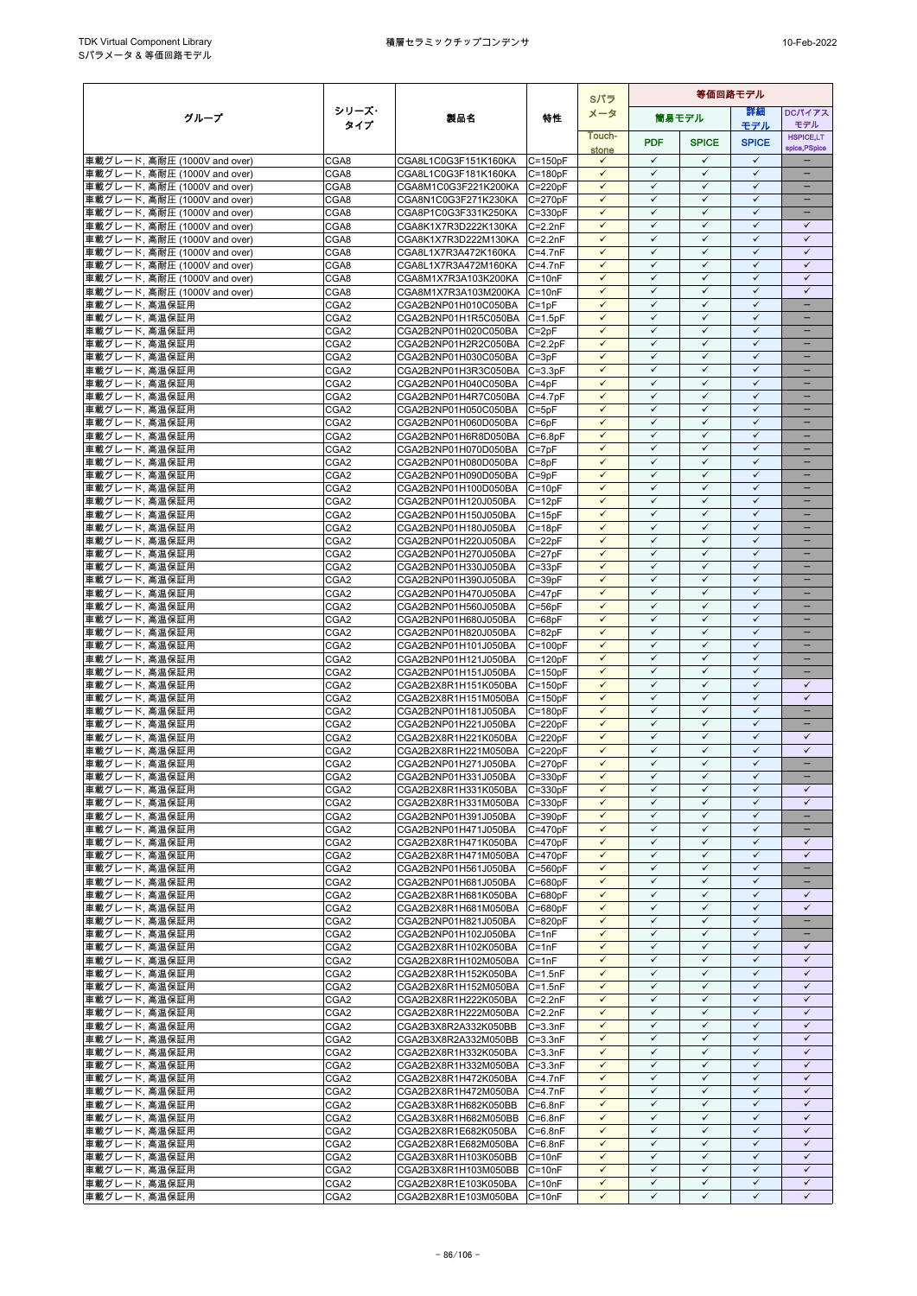|                                                              |                                      |                                                      |                            | Sパラ                          | 等価回路モデル                      |                              |                              |                                          |
|--------------------------------------------------------------|--------------------------------------|------------------------------------------------------|----------------------------|------------------------------|------------------------------|------------------------------|------------------------------|------------------------------------------|
| グループ                                                         | シリーズ・                                | 製品名                                                  | 特性                         | メータ                          |                              | 筒易モデル                        | 等細                           | <b>DCパイアス</b>                            |
|                                                              | タイプ                                  |                                                      |                            | Touch-                       |                              |                              | モデル                          | モデル<br><b>HSPICE,LT</b>                  |
|                                                              |                                      |                                                      |                            | stone                        | <b>PDF</b>                   | <b>SPICE</b>                 | <b>SPICE</b>                 | spice, PSpice                            |
| 車載グレード, 高耐圧 (1000V and over)                                 | CGA8                                 | CGA8L1C0G3F151K160KA                                 | $C = 150pF$                | $\checkmark$                 | $\checkmark$                 | $\checkmark$                 | $\checkmark$                 |                                          |
| 車載グレード, 高耐圧 (1000V and over)                                 | CGA8                                 | CGA8L1C0G3F181K160KA                                 | $C = 180pF$                | $\checkmark$                 | $\checkmark$                 | $\checkmark$                 | $\checkmark$                 | $\equiv$                                 |
| 車載グレード, 高耐圧 (1000V and over)                                 | CGA8<br>CGA8                         | CGA8M1C0G3F221K200KA<br>CGA8N1C0G3F271K230KA         | $C = 220pF$                | $\checkmark$<br>$\checkmark$ | $\checkmark$<br>$\checkmark$ | $\checkmark$<br>✓            | $\checkmark$<br>$\checkmark$ | $\overline{\phantom{0}}$<br>-            |
| 車載グレード, 高耐圧 (1000V and over)<br>車載グレード, 高耐圧 (1000V and over) | CGA8                                 | CGA8P1C0G3F331K250KA                                 | $C = 270pF$<br>$C = 330pF$ | $\checkmark$                 | $\checkmark$                 | $\checkmark$                 | $\checkmark$                 | $\overline{\phantom{a}}$                 |
| 車載グレード, 高耐圧 (1000V and over)                                 | CGA8                                 | CGA8K1X7R3D222K130KA                                 | $C=2.2nF$                  | $\checkmark$                 | $\checkmark$                 | $\checkmark$                 | $\checkmark$                 | $\checkmark$                             |
| 車載グレード, 高耐圧 (1000V and over)                                 | CGA8                                 | CGA8K1X7R3D222M130KA C=2.2nF                         |                            | $\checkmark$                 | $\checkmark$                 | $\checkmark$                 | $\checkmark$                 | $\checkmark$                             |
| 車載グレード, 高耐圧 (1000V and over)                                 | CGA8                                 | CGA8L1X7R3A472K160KA                                 | $C=4.7nF$                  | $\checkmark$                 | $\checkmark$                 | $\checkmark$                 | $\checkmark$                 | $\checkmark$                             |
| 車載グレード, 高耐圧 (1000V and over)                                 | CGA8                                 | CGA8L1X7R3A472M160KA                                 | $C = 4.7nF$                | $\checkmark$                 | $\checkmark$                 | $\checkmark$                 | $\checkmark$                 | $\checkmark$                             |
| 車載グレード, 高耐圧 (1000V and over)<br>車載グレード, 高耐圧 (1000V and over) | CGA8<br>CGA8                         | CGA8M1X7R3A103K200KA                                 | $C = 10nF$                 | $\checkmark$<br>$\checkmark$ | $\checkmark$<br>$\checkmark$ | $\checkmark$<br>$\checkmark$ | $\checkmark$<br>$\checkmark$ | $\checkmark$<br>$\checkmark$             |
| 車載グレード. 高温保証用                                                | CGA2                                 | CGA8M1X7R3A103M200KA C=10nF<br>CGA2B2NP01H010C050BA  | $C = 1pF$                  | $\checkmark$                 | ✓                            | $\checkmark$                 | $\checkmark$                 | -                                        |
| 車載グレード, 高温保証用                                                | CGA2                                 | CGA2B2NP01H1R5C050BA                                 | $C = 1.5pF$                | $\checkmark$                 | ✓                            | ✓                            | $\checkmark$                 |                                          |
| 車載グレード, 高温保証用                                                | CGA2                                 | CGA2B2NP01H020C050BA                                 | $C = 2pF$                  | $\checkmark$                 | $\checkmark$                 | $\checkmark$                 | $\checkmark$                 | ۳                                        |
| 車載グレード, 高温保証用                                                | CGA2                                 | CGA2B2NP01H2R2C050BA                                 | $C = 2.2pF$                | $\checkmark$                 | $\checkmark$                 | $\checkmark$                 | $\checkmark$                 |                                          |
| 車載グレード, 高温保証用                                                | CGA <sub>2</sub>                     | CGA2B2NP01H030C050BA                                 | $C = 3pF$                  | $\checkmark$                 | $\checkmark$                 | $\checkmark$                 | $\checkmark$                 | $\overline{\phantom{0}}$                 |
| 車載グレード, 高温保証用<br>車載グレード, 高温保証用                               | CGA2<br>CGA2                         | CGA2B2NP01H3R3C050BA C=3.3pF<br>CGA2B2NP01H040C050BA | $C = 4pF$                  | $\checkmark$<br>$\checkmark$ | $\checkmark$<br>✓            | $\checkmark$<br>✓            | $\checkmark$<br>$\checkmark$ | -                                        |
| 車載グレード, 高温保証用                                                | CGA <sub>2</sub>                     | CGA2B2NP01H4R7C050BA C=4.7pF                         |                            | $\checkmark$                 | $\checkmark$                 | $\checkmark$                 | $\checkmark$                 | -                                        |
| 車載グレード, 高温保証用                                                | CGA2                                 | CGA2B2NP01H050C050BA                                 | $C = 5pF$                  | $\checkmark$                 | $\checkmark$                 | $\checkmark$                 | $\checkmark$                 |                                          |
| 車載グレード, 高温保証用                                                | CGA2                                 | CGA2B2NP01H060D050BA                                 | $C = 6pF$                  | $\checkmark$                 | $\checkmark$                 | $\checkmark$                 | $\checkmark$                 |                                          |
| 車載グレード, 高温保証用                                                | CGA <sub>2</sub>                     | CGA2B2NP01H6R8D050BA                                 | $C = 6.8pF$                | $\checkmark$                 | $\checkmark$                 | $\checkmark$                 | $\checkmark$                 | $\overline{\phantom{0}}$                 |
| 車載グレード, 高温保証用                                                | CGA2                                 | CGA2B2NP01H070D050BA                                 | $C = 7pF$                  | $\checkmark$                 | $\checkmark$                 | ✓                            | $\checkmark$                 | -                                        |
| 車載グレード、高温保証用                                                 | CGA2                                 | CGA2B2NP01H080D050BA<br>CGA2B2NP01H090D050BA         | $C = 8pF$                  | $\checkmark$<br>$\checkmark$ | ✓<br>$\checkmark$            | $\checkmark$<br>$\checkmark$ | $\checkmark$<br>$\checkmark$ | -                                        |
| 車載グレード, 高温保証用<br>車載グレード, 高温保証用                               | CGA <sub>2</sub><br>CGA <sub>2</sub> | CGA2B2NP01H100D050BA                                 | $C = 9pF$<br>$C = 10pF$    | $\checkmark$                 | $\checkmark$                 | $\checkmark$                 | $\checkmark$                 |                                          |
| 車載グレード, 高温保証用                                                | CGA2                                 | CGA2B2NP01H120J050BA                                 | $C = 12pF$                 | $\checkmark$                 | $\checkmark$                 | $\checkmark$                 | $\checkmark$                 |                                          |
| 車載グレード, 高温保証用                                                | CGA2                                 | CGA2B2NP01H150J050BA                                 | $C = 15pF$                 | $\checkmark$                 | $\checkmark$                 | $\checkmark$                 | $\checkmark$                 | $\equiv$                                 |
| 車載グレード、高温保証用                                                 | CGA <sub>2</sub>                     | CGA2B2NP01H180J050BA                                 | $C = 18pF$                 | $\checkmark$                 | $\checkmark$                 | $\checkmark$                 | $\checkmark$                 | -                                        |
| 車載グレード, 高温保証用                                                | CGA2                                 | CGA2B2NP01H220J050BA                                 | $C = 22pF$                 | $\checkmark$                 | $\checkmark$                 | $\checkmark$                 | $\checkmark$                 | $\overline{\phantom{0}}$                 |
| 車載グレード, 高温保証用                                                | CGA <sub>2</sub>                     | CGA2B2NP01H270J050BA                                 | $C = 27pF$                 | $\checkmark$<br>$\checkmark$ | $\checkmark$<br>$\checkmark$ | $\checkmark$<br>$\checkmark$ | $\checkmark$<br>$\checkmark$ | -                                        |
| 車載グレード, 高温保証用<br>車載グレード, 高温保証用                               | CGA2<br>CGA <sub>2</sub>             | CGA2B2NP01H330J050BA<br>CGA2B2NP01H390J050BA         | $C = 33pF$<br>$C = 39pF$   | $\checkmark$                 | $\checkmark$                 | $\checkmark$                 | $\checkmark$                 | $=$                                      |
| 車載グレード, 高温保証用                                                | CGA2                                 | CGA2B2NP01H470J050BA                                 | $C = 47pF$                 | $\checkmark$                 | $\checkmark$                 | $\checkmark$                 | $\checkmark$                 |                                          |
| 車載グレード, 高温保証用                                                | CGA2                                 | CGA2B2NP01H560J050BA                                 | $C = 56pF$                 | $\checkmark$                 | $\checkmark$                 | $\checkmark$                 | $\checkmark$                 | $\equiv$                                 |
| 車載グレード, 高温保証用                                                | CGA2                                 | CGA2B2NP01H680J050BA                                 | $C = 68pF$                 | $\checkmark$                 | $\checkmark$                 | $\checkmark$                 | $\checkmark$                 | $\qquad \qquad -$                        |
| 車載グレード, 高温保証用                                                | CGA2                                 | CGA2B2NP01H820J050BA                                 | $C = 82pF$                 | $\checkmark$                 | ✓                            | ✓                            | ✓                            |                                          |
| 車載グレード, 高温保証用                                                | CGA <sub>2</sub>                     | CGA2B2NP01H101J050BA                                 | $C = 100pF$                | $\checkmark$<br>$\checkmark$ | $\checkmark$<br>$\checkmark$ | $\checkmark$<br>$\checkmark$ | $\checkmark$<br>$\checkmark$ | -                                        |
| 車載グレード, 高温保証用<br>車載グレード, 高温保証用                               | CGA2<br>CGA2                         | CGA2B2NP01H121J050BA<br>CGA2B2NP01H151J050BA         | $C = 120pF$<br>$C = 150pF$ | $\checkmark$                 | $\checkmark$                 | $\checkmark$                 | $\checkmark$                 | $\overline{\phantom{0}}$                 |
| 車載グレード、高温保証用                                                 | CGA <sub>2</sub>                     | CGA2B2X8R1H151K050BA                                 | $C = 150pF$                | $\checkmark$                 | $\checkmark$                 | $\checkmark$                 | $\checkmark$                 | $\checkmark$                             |
| 車載グレード, 高温保証用                                                | CGA2                                 | CGA2B2X8R1H151M050BA C=150pF                         |                            | $\checkmark$                 | $\checkmark$                 | $\checkmark$                 | $\checkmark$                 | $\checkmark$                             |
| 車載グレード、高温保証用                                                 | CGA2                                 | CGA2B2NP01H181J050BA                                 | $C = 180pF$                | $\checkmark$                 | ✓                            | $\checkmark$                 | $\checkmark$                 | -                                        |
| 車載グレード, 高温保証用                                                | CGA <sub>2</sub>                     | CGA2B2NP01H221J050BA                                 | $C = 220pF$                | $\checkmark$                 | $\checkmark$                 | $\checkmark$                 | $\checkmark$                 |                                          |
| 車載グレード, 高温保証用                                                | CGA <sub>2</sub><br>CGA2             | CGA2B2X8R1H221K050BA                                 | $C = 220pF$<br>$C = 220pF$ | $\checkmark$<br>$\checkmark$ | $\checkmark$<br>✓            | $\checkmark$<br>$\checkmark$ | $\checkmark$<br>$\checkmark$ | ✓<br>$\checkmark$                        |
| 車載グレード, 高温保証用<br>車載グレード, 高温保証用                               | CGA <sub>2</sub>                     | CGA2B2X8R1H221M050BA<br>CGA2B2NP01H271J050BA         | $C = 270pF$                | $\checkmark$                 | $\checkmark$                 | $\checkmark$                 | $\checkmark$                 | -                                        |
| 車載グレード, 高温保証用                                                | CGA <sub>2</sub>                     | CGA2B2NP01H331J050BA                                 | $C = 330pF$                | $\checkmark$                 | $\checkmark$                 | $\checkmark$                 | $\checkmark$                 |                                          |
| 車載グレード, 高温保証用                                                | CGA <sub>2</sub>                     | CGA2B2X8R1H331K050BA C=330pF                         |                            | $\checkmark$                 | ✓                            | ✓                            | $\checkmark$                 | ✓                                        |
| 車載グレード、高温保証用                                                 | CGA2                                 | CGA2B2X8R1H331M050BA C=330pF                         |                            | $\checkmark$                 | $\checkmark$                 | $\checkmark$                 | $\checkmark$                 | $\checkmark$                             |
| 車載グレード, 高温保証用                                                | CGA <sub>2</sub>                     | CGA2B2NP01H391J050BA                                 | $C = 390pF$                | $\checkmark$                 | $\checkmark$                 | $\checkmark$                 | $\checkmark$                 |                                          |
| 車載グレード, 高温保証用                                                | CGA <sub>2</sub>                     | CGA2B2NP01H471J050BA<br>CGA2B2X8R1H471K050BA         | $C = 470pF$                | $\checkmark$<br>$\checkmark$ | $\checkmark$<br>$\checkmark$ | $\checkmark$<br>$\checkmark$ | $\checkmark$<br>$\checkmark$ | $\overline{\phantom{0}}$<br>$\checkmark$ |
| 車載グレード, 高温保証用<br>車載グレード, 高温保証用                               | CGA2<br>CGA2                         | CGA2B2X8R1H471M050BA C=470pF                         | $C = 470pF$                | $\checkmark$                 | $\checkmark$                 | ✓                            | $\checkmark$                 | $\checkmark$                             |
| 車載グレード, 高温保証用                                                | CGA2                                 | CGA2B2NP01H561J050BA                                 | C=560pF                    | $\checkmark$                 | $\checkmark$                 | $\checkmark$                 | $\checkmark$                 | $-$                                      |
| 車載グレード, 高温保証用                                                | CGA2                                 | CGA2B2NP01H681J050BA                                 | $C = 680pF$                | $\checkmark$                 | ✓                            | ✓                            | $\checkmark$                 |                                          |
| 車載グレード, 高温保証用                                                | CGA <sub>2</sub>                     | CGA2B2X8R1H681K050BA                                 | $C = 680pF$                | $\checkmark$                 | $\checkmark$                 | $\checkmark$                 | $\checkmark$                 | $\checkmark$                             |
| 車載グレード, 高温保証用                                                | CGA2                                 | CGA2B2X8R1H681M050BA                                 | $C = 680pF$                | $\checkmark$                 | $\checkmark$                 | $\checkmark$                 | $\checkmark$                 | $\checkmark$                             |
| 車載グレード, 高温保証用<br>車載グレード, 高温保証用                               | CGA2<br>CGA2                         | CGA2B2NP01H821J050BA<br>CGA2B2NP01H102J050BA         | $C = 820pF$<br>$C = 1nF$   | $\checkmark$<br>$\checkmark$ | $\checkmark$<br>$\checkmark$ | $\checkmark$<br>$\checkmark$ | $\checkmark$<br>$\checkmark$ | $\overline{\phantom{0}}$                 |
| 車載グレード, 高温保証用                                                | CGA2                                 | CGA2B2X8R1H102K050BA                                 | $C = 1nF$                  | $\checkmark$                 | $\checkmark$                 | $\checkmark$                 | $\checkmark$                 | $\checkmark$                             |
| 車載グレード, 高温保証用                                                | CGA <sub>2</sub>                     | CGA2B2X8R1H102M050BA                                 | $C = 1nF$                  | $\checkmark$                 | ✓                            | $\checkmark$                 | $\checkmark$                 | $\checkmark$                             |
| 車載グレード, 高温保証用                                                | CGA <sub>2</sub>                     | CGA2B2X8R1H152K050BA                                 | $C = 1.5nF$                | $\checkmark$                 | $\checkmark$                 | $\checkmark$                 | $\checkmark$                 | $\checkmark$                             |
| 車載グレード, 高温保証用                                                | CGA2                                 | CGA2B2X8R1H152M050BA                                 | $C = 1.5nF$                | $\checkmark$                 | $\checkmark$                 | $\checkmark$                 | $\checkmark$                 | $\checkmark$                             |
| 車載グレード, 高温保証用                                                | CGA2                                 | CGA2B2X8R1H222K050BA                                 | $C = 2.2nF$                | $\checkmark$                 | $\checkmark$                 | $\checkmark$                 | $\checkmark$                 | $\checkmark$                             |
| 車載グレード, 高温保証用<br> 車載グレード, 高温保証用                              | CGA <sub>2</sub><br>CGA2             | CGA2B2X8R1H222M050BA<br>CGA2B3X8R2A332K050BB         | $C = 2.2nF$<br>$C = 3.3nF$ | $\checkmark$<br>$\checkmark$ | $\checkmark$<br>$\checkmark$ | $\checkmark$<br>$\checkmark$ | $\checkmark$<br>$\checkmark$ | $\checkmark$<br>$\checkmark$             |
| 車載グレード, 高温保証用                                                | CGA2                                 | CGA2B3X8R2A332M050BB C=3.3nF                         |                            | $\checkmark$                 | ✓                            | ✓                            | $\checkmark$                 | ✓                                        |
| 車載グレード、高温保証用                                                 | CGA <sub>2</sub>                     | CGA2B2X8R1H332K050BA                                 | $C = 3.3nF$                | $\checkmark$                 | $\checkmark$                 | $\checkmark$                 | $\checkmark$                 | $\checkmark$                             |
| 車載グレード, 高温保証用                                                | CGA2                                 | CGA2B2X8R1H332M050BA C=3.3nF                         |                            | $\checkmark$                 | $\checkmark$                 | $\checkmark$                 | $\checkmark$                 | $\checkmark$                             |
| 車載グレード, 高温保証用                                                | CGA2                                 | CGA2B2X8R1H472K050BA                                 | $C = 4.7nF$                | $\checkmark$                 | $\checkmark$                 | $\checkmark$                 | $\checkmark$                 | $\checkmark$                             |
| 車載グレード, 高温保証用                                                | CGA <sub>2</sub>                     | CGA2B2X8R1H472M050BA                                 | $C=4.7nF$                  | $\checkmark$                 | $\checkmark$                 | $\checkmark$                 | $\checkmark$                 | $\checkmark$                             |
| 車載グレード, 高温保証用<br> 車載グレード, 高温保証用                              | CGA <sub>2</sub><br>CGA2             | CGA2B3X8R1H682K050BB<br>CGA2B3X8R1H682M050BB C=6.8nF | $C = 6.8nF$                | $\checkmark$<br>$\checkmark$ | $\checkmark$<br>$\checkmark$ | ✓<br>$\checkmark$            | $\checkmark$<br>$\checkmark$ | $\checkmark$<br>$\checkmark$             |
| 車載グレード, 高温保証用                                                | CGA <sub>2</sub>                     | CGA2B2X8R1E682K050BA                                 | $C = 6.8nF$                | $\checkmark$                 | ✓                            | $\checkmark$                 | $\checkmark$                 | $\checkmark$                             |
| 車載グレード, 高温保証用                                                | CGA <sub>2</sub>                     | CGA2B2X8R1E682M050BA C=6.8nF                         |                            | $\checkmark$                 | $\checkmark$                 | $\checkmark$                 | $\checkmark$                 | $\checkmark$                             |
| 車載グレード, 高温保証用                                                | CGA2                                 | CGA2B3X8R1H103K050BB                                 | $C = 10nF$                 | $\checkmark$                 | ✓                            | $\checkmark$                 | $\checkmark$                 | $\checkmark$                             |
| 車載グレード, 高温保証用                                                | CGA2                                 | CGA2B3X8R1H103M050BB C=10nF                          |                            | $\checkmark$                 | $\checkmark$                 | $\checkmark$                 | $\checkmark$                 | $\checkmark$                             |
| 車載グレード,高温保証用                                                 | CGA2                                 | CGA2B2X8R1E103K050BA                                 | $C = 10nF$                 | $\checkmark$                 | $\checkmark$                 | $\checkmark$                 | $\checkmark$                 | $\checkmark$                             |
| 車載グレード、高温保証用                                                 | CGA2                                 | CGA2B2X8R1E103M050BA                                 | $C = 10nF$                 | $\checkmark$                 | $\checkmark$                 | $\checkmark$                 | $\checkmark$                 | $\checkmark$                             |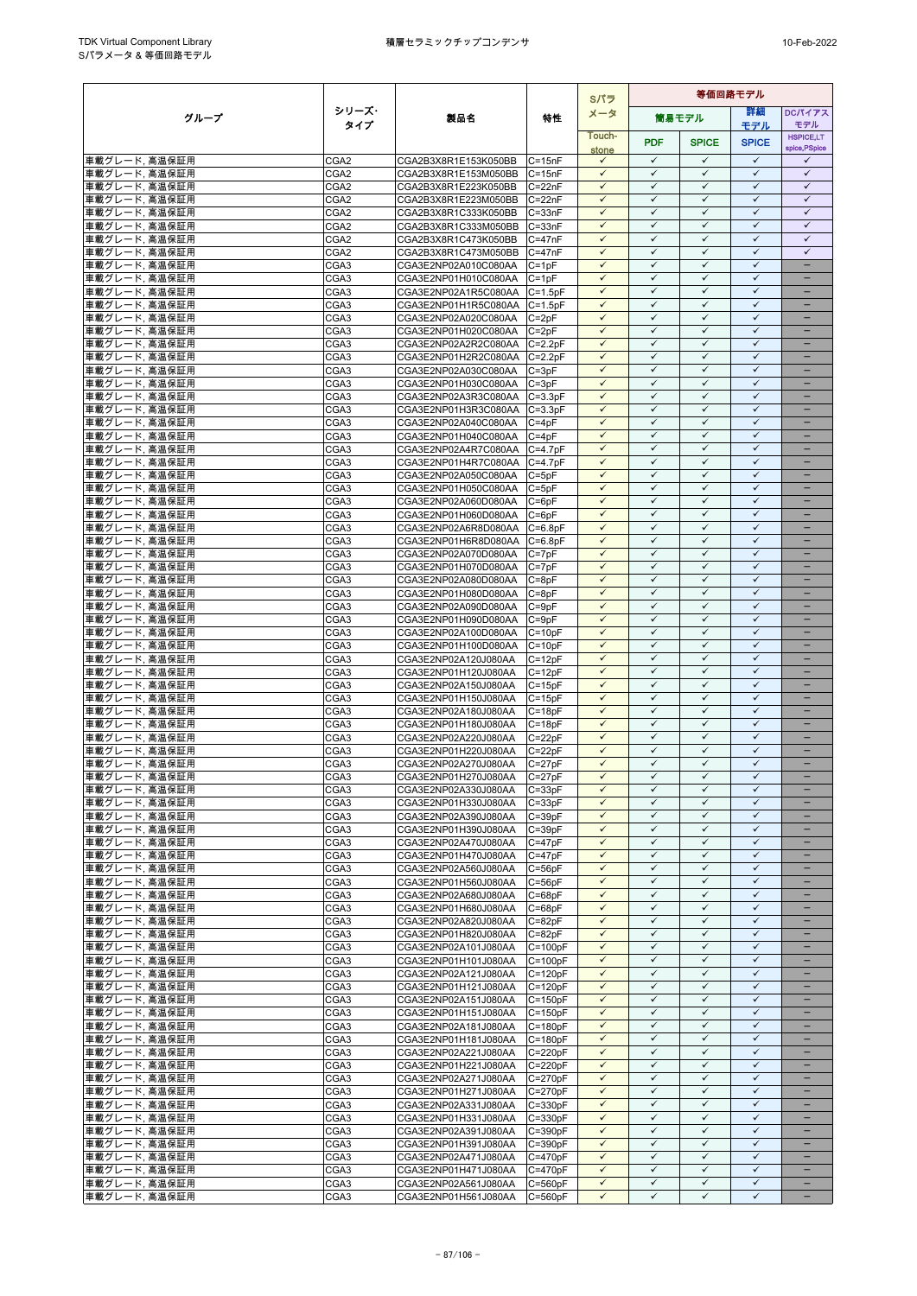|                                 |                                      |                                              |                            | Sパラ                          | 等価回路モデル                      |                              |                              |                                                      |  |  |
|---------------------------------|--------------------------------------|----------------------------------------------|----------------------------|------------------------------|------------------------------|------------------------------|------------------------------|------------------------------------------------------|--|--|
| グループ                            | シリーズ・                                | 製品名                                          | 特性                         | メータ                          |                              | 簡易モデル                        | 詳細                           | DCパイアス                                               |  |  |
|                                 | タイプ                                  |                                              |                            | Touch-                       |                              |                              | モデル                          | モデル<br><b>HSPICE,LT</b>                              |  |  |
|                                 |                                      |                                              |                            | stone                        | <b>PDF</b>                   | <b>SPICE</b>                 | <b>SPICE</b>                 | spice, PSpice                                        |  |  |
| 車載グレード、高温保証用                    | CGA <sub>2</sub>                     | CGA2B3X8R1E153K050BB                         | $C = 15nF$                 | $\checkmark$                 | $\checkmark$                 | $\checkmark$                 | $\checkmark$                 | $\checkmark$                                         |  |  |
| 車載グレード, 高温保証用                   | CGA <sub>2</sub>                     | CGA2B3X8R1E153M050BB                         | $C = 15nF$                 | $\checkmark$<br>$\checkmark$ | $\checkmark$<br>$\checkmark$ | ✓<br>$\checkmark$            | $\checkmark$<br>$\checkmark$ | $\checkmark$<br>$\checkmark$                         |  |  |
| 車載グレード, 高温保証用<br>車載グレード、高温保証用   | CGA2<br>CGA2                         | CGA2B3X8R1E223K050BB<br>CGA2B3X8R1E223M050BB | $C = 22nF$<br>$C = 22nF$   | $\checkmark$                 | $\checkmark$                 | $\checkmark$                 | $\checkmark$                 | $\checkmark$                                         |  |  |
| 車載グレード, 高温保証用                   | CGA <sub>2</sub>                     | CGA2B3X8R1C333K050BB                         | $C = 33nF$                 | $\checkmark$                 | $\checkmark$                 | $\checkmark$                 | $\checkmark$                 | $\checkmark$                                         |  |  |
| 車載グレード, 高温保証用                   | CGA <sub>2</sub>                     | CGA2B3X8R1C333M050BB                         | $C = 33nF$                 | $\checkmark$                 | $\checkmark$                 | $\checkmark$                 | $\checkmark$                 | $\checkmark$                                         |  |  |
| 車載グレード, 高温保証用                   | CGA <sub>2</sub>                     | CGA2B3X8R1C473K050BB                         | $C = 47nF$                 | $\checkmark$                 | $\checkmark$                 | $\checkmark$                 | $\checkmark$                 | $\checkmark$                                         |  |  |
| 車載グレード, 高温保証用                   | CGA <sub>2</sub>                     | CGA2B3X8R1C473M050BB                         | $C = 47nF$                 | $\checkmark$                 | $\checkmark$                 | $\checkmark$                 | $\checkmark$                 | $\checkmark$                                         |  |  |
| 車載グレード, 高温保証用                   | CGA3                                 | CGA3E2NP02A010C080AA                         | $C = 1pF$                  | $\checkmark$                 | $\checkmark$<br>$\checkmark$ | $\checkmark$                 | $\checkmark$<br>$\checkmark$ | $\equiv$                                             |  |  |
| 車載グレード, 高温保証用<br>車載グレード, 高温保証用  | CGA3<br>CGA3                         | CGA3E2NP01H010C080AA<br>CGA3E2NP02A1R5C080AA | $C = 1pF$<br>$C = 1.5pF$   | $\checkmark$<br>$\checkmark$ | $\checkmark$                 | $\checkmark$<br>$\checkmark$ | $\checkmark$                 | $\overline{\phantom{0}}$                             |  |  |
| 車載グレード, 高温保証用                   | CGA3                                 | CGA3E2NP01H1R5C080AA C=1.5pF                 |                            | $\checkmark$                 | ✓                            | $\checkmark$                 | $\checkmark$                 | -                                                    |  |  |
| 車載グレード, 高温保証用                   | CGA3                                 | CGA3E2NP02A020C080AA                         | $C = 2pF$                  | ✓                            | ✓                            | $\checkmark$                 | $\checkmark$                 |                                                      |  |  |
| 車載グレード, 高温保証用                   | CGA3                                 | CGA3E2NP01H020C080AA                         | $C = 2pF$                  | $\checkmark$                 | $\checkmark$                 | $\checkmark$                 | $\checkmark$                 | ۳                                                    |  |  |
| 車載グレード, 高温保証用                   | CGA3                                 | CGA3E2NP02A2R2C080AA                         | $C = 2.2pF$                | $\checkmark$                 | $\checkmark$                 | $\checkmark$                 | $\checkmark$                 |                                                      |  |  |
| 車載グレード, 高温保証用                   | CGA3                                 | CGA3E2NP01H2R2C080AA                         | $C = 2.2pF$                | $\checkmark$                 | $\checkmark$                 | $\checkmark$                 | $\checkmark$                 | $\equiv$                                             |  |  |
| 車載グレード, 高温保証用<br>車載グレード, 高温保証用  | CGA3<br>CGA <sub>3</sub>             | CGA3E2NP02A030C080AA                         | $C = 3pF$<br>$C = 3pF$     | $\checkmark$<br>$\checkmark$ | $\checkmark$<br>$\checkmark$ | $\checkmark$<br>✓            | $\checkmark$<br>$\checkmark$ | -                                                    |  |  |
| 車載グレード, 高温保証用                   | CGA3                                 | CGA3E2NP01H030C080AA<br>CGA3E2NP02A3R3C080AA | $C = 3.3pF$                | $\checkmark$                 | $\checkmark$                 | $\checkmark$                 | $\checkmark$                 |                                                      |  |  |
| 車載グレード, 高温保証用                   | CGA3                                 | CGA3E2NP01H3R3C080AA                         | $C = 3.3pF$                | $\checkmark$                 | $\checkmark$                 | $\checkmark$                 | $\checkmark$                 |                                                      |  |  |
| 車載グレード, 高温保証用                   | CGA3                                 | CGA3E2NP02A040C080AA                         | $C = 4pF$                  | $\checkmark$                 | $\checkmark$                 | $\checkmark$                 | $\checkmark$                 |                                                      |  |  |
| 車載グレード, 高温保証用                   | CGA3                                 | CGA3E2NP01H040C080AA                         | $C = 4pF$                  | $\checkmark$                 | $\checkmark$                 | $\checkmark$                 | $\checkmark$                 | $\overline{\phantom{0}}$                             |  |  |
| 車載グレード, 高温保証用                   | CGA3                                 | CGA3E2NP02A4R7C080AA                         | $C = 4.7pF$                | $\checkmark$                 | $\checkmark$                 | ✓                            | $\checkmark$                 |                                                      |  |  |
| 車載グレード、高温保証用<br>車載グレード, 高温保証用   | CGA <sub>3</sub><br>CGA <sub>3</sub> | CGA3E2NP01H4R7C080AA<br>CGA3E2NP02A050C080AA | $C=4.7pF$<br>$C = 5pF$     | $\checkmark$<br>$\checkmark$ | $\checkmark$<br>$\checkmark$ | $\checkmark$<br>$\checkmark$ | $\checkmark$<br>$\checkmark$ | $\overline{\phantom{0}}$                             |  |  |
| 車載グレード, 高温保証用                   | CGA3                                 | CGA3E2NP01H050C080AA                         | $C = 5pF$                  | $\checkmark$                 | $\checkmark$                 | $\checkmark$                 | $\checkmark$                 |                                                      |  |  |
| 車載グレード, 高温保証用                   | CGA <sub>3</sub>                     | CGA3E2NP02A060D080AA                         | $C = 6pF$                  | ✓                            | $\checkmark$                 | ✓                            | $\checkmark$                 |                                                      |  |  |
| 車載グレード, 高温保証用                   | CGA3                                 | CGA3E2NP01H060D080AA                         | $C = 6pF$                  | $\checkmark$                 | $\checkmark$                 | $\checkmark$                 | $\checkmark$                 | $\equiv$                                             |  |  |
| 車載グレード、高温保証用                    | CGA3                                 | CGA3E2NP02A6R8D080AA                         | $C = 6.8pF$                | $\checkmark$                 | $\checkmark$                 | $\checkmark$                 | $\checkmark$                 |                                                      |  |  |
| 車載グレード, 高温保証用                   | CGA3                                 | CGA3E2NP01H6R8D080AA                         | $C = 6.8pF$                | $\checkmark$                 | $\checkmark$                 | ✓                            | $\checkmark$                 | $\overline{\phantom{0}}$                             |  |  |
| 車載グレード, 高温保証用                   | CGA3                                 | CGA3E2NP02A070D080AA                         | $C = 7pF$                  | $\checkmark$<br>$\checkmark$ | $\checkmark$<br>$\checkmark$ | $\checkmark$<br>$\checkmark$ | $\checkmark$<br>$\checkmark$ | -                                                    |  |  |
| 車載グレード, 高温保証用<br>車載グレード, 高温保証用  | CGA3<br>CGA3                         | CGA3E2NP01H070D080AA<br>CGA3E2NP02A080D080AA | $C = 7pF$<br>$C = 8pF$     | $\checkmark$                 | $\checkmark$                 | $\checkmark$                 | $\checkmark$                 | ۳                                                    |  |  |
| 車載グレード, 高温保証用                   | CGA3                                 | CGA3E2NP01H080D080AA                         | $C = 8pF$                  | $\checkmark$                 | ✓                            | $\checkmark$                 | $\checkmark$                 |                                                      |  |  |
| 車載グレード, 高温保証用                   | CGA3                                 | CGA3E2NP02A090D080AA                         | $C = 9pF$                  | $\checkmark$                 | $\checkmark$                 | ✓                            | $\checkmark$                 |                                                      |  |  |
| 車載グレード, 高温保証用                   | CGA3                                 | CGA3E2NP01H090D080AA                         | $C = 9pF$                  | $\checkmark$                 | $\checkmark$                 | $\checkmark$                 | $\checkmark$                 | -                                                    |  |  |
| 車載グレード, 高温保証用                   | CGA3                                 | CGA3E2NP02A100D080AA                         | $C = 10pF$                 | ✓                            | ✓                            | ✓                            | ✓                            |                                                      |  |  |
| 車載グレード, 高温保証用                   | CGA3                                 | CGA3E2NP01H100D080AA                         | $C = 10pF$                 | $\checkmark$<br>$\checkmark$ | $\checkmark$<br>$\checkmark$ | $\checkmark$<br>$\checkmark$ | $\checkmark$<br>$\checkmark$ | $\overline{\phantom{0}}$                             |  |  |
| 車載グレード, 高温保証用<br>車載グレード, 高温保証用  | CGA3<br>CGA3                         | CGA3E2NP02A120J080AA<br>CGA3E2NP01H120J080AA | $C = 12pF$<br>$C = 12pF$   | $\checkmark$                 | $\checkmark$                 | $\checkmark$                 | $\checkmark$                 |                                                      |  |  |
| 車載グレード, 高温保証用                   | CGA3                                 | CGA3E2NP02A150J080AA                         | $C = 15pF$                 | $\checkmark$                 | $\checkmark$                 | $\checkmark$                 | $\checkmark$                 | $\overline{\phantom{0}}$                             |  |  |
| 車載グレード, 高温保証用                   | CGA3                                 | CGA3E2NP01H150J080AA                         | $C = 15pF$                 | $\checkmark$                 | $\checkmark$                 | $\checkmark$                 | $\checkmark$                 |                                                      |  |  |
| 車載グレード, 高温保証用                   | CGA <sub>3</sub>                     | CGA3E2NP02A180J080AA                         | $C = 18pF$                 | $\checkmark$                 | $\checkmark$                 | $\checkmark$                 | $\checkmark$                 | -                                                    |  |  |
| 車載グレード, 高温保証用                   | CGA3                                 | CGA3E2NP01H180J080AA                         | $C = 18pF$                 | $\checkmark$                 | $\checkmark$                 | $\checkmark$                 | $\checkmark$                 |                                                      |  |  |
| 車載グレード, 高温保証用                   | CGA3<br>CGA3                         | CGA3E2NP02A220J080AA<br>CGA3E2NP01H220J080AA | $C = 22pF$                 | $\checkmark$<br>✓            | $\checkmark$<br>✓            | $\checkmark$<br>✓            | $\checkmark$<br>$\checkmark$ |                                                      |  |  |
| 車載グレード, 高温保証用<br>車載グレード, 高温保証用  | CGA3                                 | CGA3E2NP02A270J080AA                         | $C = 22pF$<br>$C = 27pF$   | $\checkmark$                 | $\checkmark$                 | $\checkmark$                 | $\checkmark$                 | $\overline{\phantom{0}}$                             |  |  |
| 車載グレード, 高温保証用                   | CGA3                                 | CGA3E2NP01H270J080AA                         | $C = 27pF$                 | $\checkmark$                 | $\checkmark$                 | $\checkmark$                 | $\checkmark$                 |                                                      |  |  |
| 車載グレード, 高温保証用                   | CGA <sub>3</sub>                     | CGA3E2NP02A330J080AA                         | $C = 33pF$                 | $\checkmark$                 | $\checkmark$                 | ✓                            | ✓                            | $\overline{\phantom{0}}$                             |  |  |
| 車載グレード、高温保証用                    | CGA3                                 | CGA3E2NP01H330J080AA                         | $C = 33pF$                 | $\checkmark$                 | $\checkmark$                 | $\checkmark$                 | $\checkmark$                 |                                                      |  |  |
| 車載グレード, 高温保証用                   | CGA3                                 | CGA3E2NP02A390J080AA                         | $C = 39pF$                 | $\checkmark$                 | $\checkmark$                 | $\checkmark$                 | $\checkmark$                 |                                                      |  |  |
| 車載グレード, 高温保証用                   | CGA3                                 | CGA3E2NP01H390J080AA                         | $C = 39pF$                 | $\checkmark$<br>$\checkmark$ | $\checkmark$<br>$\checkmark$ | $\checkmark$<br>$\checkmark$ | $\checkmark$<br>$\checkmark$ | -                                                    |  |  |
| 車載グレード, 高温保証用<br>車載グレード, 高温保証用  | CGA3<br>CGA <sub>3</sub>             | CGA3E2NP02A470J080AA<br>CGA3E2NP01H470J080AA | $C = 47pF$<br>$C = 47pF$   | $\checkmark$                 | $\checkmark$                 | $\checkmark$                 | $\checkmark$                 |                                                      |  |  |
| 車載グレード, 高温保証用                   | CGA3                                 | CGA3E2NP02A560J080AA                         | $C = 56pF$                 | $\checkmark$                 | $\checkmark$                 | $\checkmark$                 | $\checkmark$                 | $-$                                                  |  |  |
| 車載グレード, 高温保証用                   | CGA3                                 | CGA3E2NP01H560J080AA                         | $C = 56pF$                 | ✓                            | ✓                            | ✓                            | ✓                            |                                                      |  |  |
| 車載グレード, 高温保証用                   | CGA3                                 | CGA3E2NP02A680J080AA                         | $C = 68pF$                 | $\checkmark$                 | $\checkmark$                 | $\checkmark$                 | $\checkmark$                 | -                                                    |  |  |
| 車載グレード, 高温保証用                   | CGA3                                 | CGA3E2NP01H680J080AA                         | $C = 68pF$                 | $\checkmark$                 | $\checkmark$                 | $\checkmark$                 | $\checkmark$                 | -                                                    |  |  |
| 車載グレード, 高温保証用                   | CGA3                                 | CGA3E2NP02A820J080AA                         | $C = 82pF$                 | $\checkmark$<br>$\checkmark$ | $\checkmark$<br>$\checkmark$ | $\checkmark$<br>$\checkmark$ | $\checkmark$<br>$\checkmark$ | $\equiv$                                             |  |  |
| 車載グレード, 高温保証用<br> 車載グレード, 高温保証用 | CGA3<br>CGA3                         | CGA3E2NP01H820J080AA<br>CGA3E2NP02A101J080AA | $C = 82pF$<br>$C = 100pF$  | $\checkmark$                 | $\checkmark$                 | $\checkmark$                 | $\checkmark$                 | $\qquad \qquad -$                                    |  |  |
| 車載グレード, 高温保証用                   | CGA3                                 | CGA3E2NP01H101J080AA                         | $C = 100pF$                | $\checkmark$                 | $\checkmark$                 | $\checkmark$                 | $\checkmark$                 |                                                      |  |  |
| 車載グレード, 高温保証用                   | CGA3                                 | CGA3E2NP02A121J080AA                         | $C = 120pF$                | $\checkmark$                 | $\checkmark$                 | $\checkmark$                 | $\checkmark$                 |                                                      |  |  |
| 車載グレード, 高温保証用                   | CGA3                                 | CGA3E2NP01H121J080AA                         | $C = 120pF$                | $\checkmark$                 | $\checkmark$                 | $\checkmark$                 | $\checkmark$                 |                                                      |  |  |
| 車載グレード, 高温保証用                   | CGA3                                 | CGA3E2NP02A151J080AA                         | $C = 150pF$                | $\checkmark$                 | ✓                            | $\checkmark$                 | $\checkmark$                 |                                                      |  |  |
| 車載グレード, 高温保証用                   | CGA3                                 | CGA3E2NP01H151J080AA                         | $C = 150pF$                | $\checkmark$<br>$\checkmark$ | $\checkmark$<br>$\checkmark$ | $\checkmark$<br>$\checkmark$ | $\checkmark$<br>$\checkmark$ | $\overline{\phantom{0}}$<br>$\overline{\phantom{0}}$ |  |  |
| 車載グレード, 高温保証用<br>車載グレード, 高温保証用  | CGA3<br>CGA3                         | CGA3E2NP02A181J080AA<br>CGA3E2NP01H181J080AA | $C = 180pF$<br>$C = 180pF$ | $\checkmark$                 | $\checkmark$                 | ✓                            | $\checkmark$                 | -                                                    |  |  |
| 車載グレード、高温保証用                    | CGA <sub>3</sub>                     | CGA3E2NP02A221J080AA                         | $C = 220pF$                | $\checkmark$                 | $\checkmark$                 | $\checkmark$                 | $\checkmark$                 | -                                                    |  |  |
| 車載グレード, 高温保証用                   | CGA3                                 | CGA3E2NP01H221J080AA                         | $C = 220pF$                | $\checkmark$                 | $\checkmark$                 | $\checkmark$                 | $\checkmark$                 |                                                      |  |  |
| 車載グレード, 高温保証用                   | CGA3                                 | CGA3E2NP02A271J080AA                         | $C = 270pF$                | $\checkmark$                 | $\checkmark$                 | $\checkmark$                 | $\checkmark$                 |                                                      |  |  |
| 車載グレード, 高温保証用                   | CGA <sub>3</sub>                     | CGA3E2NP01H271J080AA                         | $C = 270pF$                | $\checkmark$                 | $\checkmark$                 | $\checkmark$                 | $\checkmark$                 | $\overline{\phantom{0}}$                             |  |  |
| 車載グレード, 高温保証用                   | CGA <sub>3</sub>                     | CGA3E2NP02A331J080AA                         | $C = 330pF$                | $\checkmark$                 | $\checkmark$                 | $\checkmark$                 | $\checkmark$<br>$\checkmark$ |                                                      |  |  |
| 車載グレード, 高温保証用<br>車載グレード, 高温保証用  | CGA3<br>CGA3                         | CGA3E2NP01H331J080AA<br>CGA3E2NP02A391J080AA | $C = 330pF$<br>$C = 390pF$ | $\checkmark$<br>$\checkmark$ | $\checkmark$<br>$\checkmark$ | $\checkmark$<br>$\checkmark$ | $\checkmark$                 | $\qquad \qquad -$                                    |  |  |
| 車載グレード, 高温保証用                   | CGA <sub>3</sub>                     | CGA3E2NP01H391J080AA                         | $C = 390pF$                | $\checkmark$                 | $\checkmark$                 | $\checkmark$                 | $\checkmark$                 | -                                                    |  |  |
| 車載グレード, 高温保証用                   | CGA3                                 | CGA3E2NP02A471J080AA                         | $C = 470pF$                | $\checkmark$                 | $\checkmark$                 | $\checkmark$                 | $\checkmark$                 |                                                      |  |  |
| 車載グレード,高温保証用                    | CGA3                                 | CGA3E2NP01H471J080AA                         | $C = 470pF$                | $\checkmark$                 | $\checkmark$                 | $\checkmark$                 | $\checkmark$                 |                                                      |  |  |
| 車載グレード、高温保証用                    | CGA3                                 | CGA3E2NP02A561J080AA                         | $C = 560pF$                | $\checkmark$                 | $\checkmark$                 | $\checkmark$                 | $\checkmark$                 | $\overline{\phantom{0}}$                             |  |  |
| 車載グレード, 高温保証用                   | CGA3                                 | CGA3E2NP01H561J080AA                         | $C = 560pF$                | $\checkmark$                 | $\checkmark$                 | $\checkmark$                 | $\checkmark$                 | $\qquad \qquad -$                                    |  |  |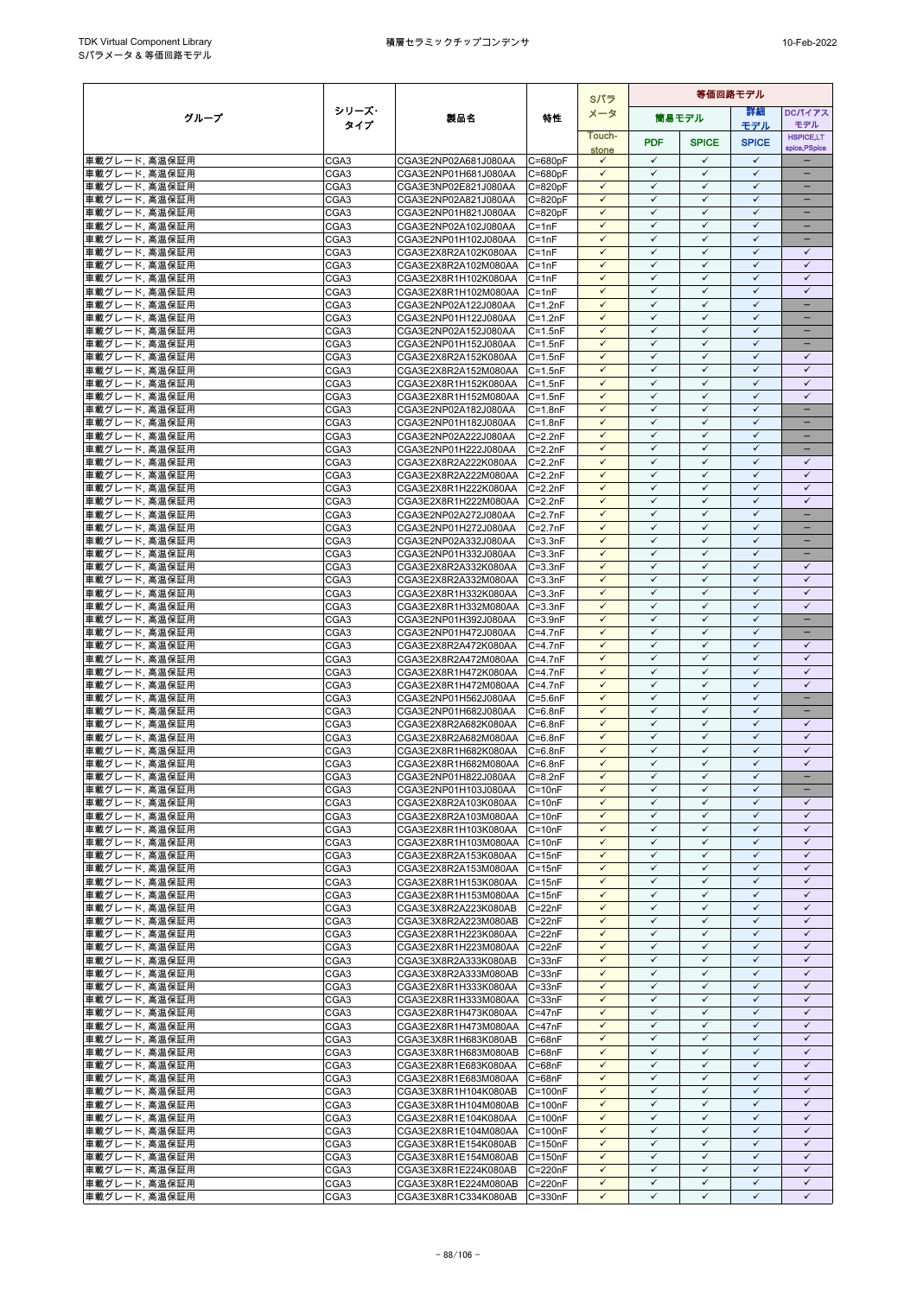|                                |                          |                                                      |                            | Sパラ                          | 等価回路モデル                      |                              |                              |                                   |
|--------------------------------|--------------------------|------------------------------------------------------|----------------------------|------------------------------|------------------------------|------------------------------|------------------------------|-----------------------------------|
| グループ                           | シリーズ・                    | 製品名                                                  | 特性                         | メータ                          |                              | 筒易モデル                        | 等細                           | <b>DCパイアス</b>                     |
|                                | タイプ                      |                                                      |                            | Touch-                       |                              |                              | モデル                          | モデル                               |
|                                |                          |                                                      |                            | stone                        | <b>PDF</b>                   | <b>SPICE</b>                 | <b>SPICE</b>                 | <b>HSPICE,LT</b><br>spice, PSpice |
| 車載グレード, 高温保証用                  | CGA3                     | CGA3E2NP02A681J080AA                                 | $C = 680pF$                | $\checkmark$                 | $\checkmark$                 | ✓                            | $\checkmark$                 |                                   |
| 車載グレード、高温保証用                   | CGA3                     | CGA3E2NP01H681J080AA                                 | $C = 680pF$                | $\checkmark$                 | $\checkmark$                 | $\checkmark$                 | $\checkmark$                 | $\overline{\phantom{0}}$          |
| 車載グレード、高温保証用                   | CGA3                     | CGA3E3NP02E821J080AA                                 | $C = 820pF$                | $\checkmark$                 | $\checkmark$                 | $\checkmark$                 | $\checkmark$                 | $\overline{\phantom{0}}$          |
| 車載グレード, 高温保証用                  | CGA3                     | CGA3E2NP02A821J080AA                                 | $C = 820pF$                | $\checkmark$                 | $\checkmark$                 | $\checkmark$                 | $\checkmark$                 |                                   |
| 車載グレード、高温保証用                   | CGA3                     | CGA3E2NP01H821J080AA                                 | $C = 820pF$                | $\checkmark$                 | $\checkmark$                 | $\checkmark$                 | $\checkmark$                 | $\qquad \qquad -$                 |
| 車載グレード、高温保証用                   | CGA3                     | CGA3E2NP02A102J080AA                                 | $C = 1nF$                  | ✓                            | $\checkmark$                 | ✓                            | $\checkmark$                 |                                   |
| 車載グレード, 高温保証用                  | CGA3                     | CGA3E2NP01H102J080AA<br>CGA3E2X8R2A102K080AA         | $C = 1nF$                  | $\checkmark$<br>✓            | $\checkmark$<br>$\checkmark$ | $\checkmark$<br>$\checkmark$ | $\checkmark$<br>$\checkmark$ | -<br>✓                            |
| 車載グレード, 高温保証用<br>車載グレード, 高温保証用 | CGA3<br>CGA3             | CGA3E2X8R2A102M080AA                                 | $C = 1nF$<br>$C = 1nF$     | $\checkmark$                 | $\checkmark$                 | $\checkmark$                 | $\checkmark$                 | $\checkmark$                      |
| 車載グレード, 高温保証用                  | CGA <sub>3</sub>         | CGA3E2X8R1H102K080AA                                 | $C = 1nF$                  | $\checkmark$                 | $\checkmark$                 | $\checkmark$                 | $\checkmark$                 | $\checkmark$                      |
| 車載グレード, 高温保証用                  | CGA3                     | CGA3E2X8R1H102M080AA                                 | $C = 1nF$                  | $\checkmark$                 | $\checkmark$                 | $\checkmark$                 | $\checkmark$                 | $\checkmark$                      |
| 車載グレード, 高温保証用                  | CGA3                     | CGA3E2NP02A122J080AA                                 | $C = 1.2nF$                | $\checkmark$                 | $\checkmark$                 | $\checkmark$                 | $\checkmark$                 | -                                 |
| 車載グレード, 高温保証用                  | CGA3                     | CGA3E2NP01H122J080AA                                 | $C = 1.2nF$                | $\checkmark$                 | ✓                            | ✓                            | $\checkmark$                 |                                   |
| 車載グレード, 高温保証用                  | CGA3                     | CGA3E2NP02A152J080AA                                 | $C = 1.5nF$                | $\checkmark$                 | $\checkmark$                 | $\checkmark$                 | $\checkmark$                 | $=$                               |
| 車載グレード, 高温保証用                  | CGA3                     | CGA3E2NP01H152J080AA                                 | $C = 1.5nF$                | ✓                            | $\checkmark$                 | $\checkmark$                 | $\checkmark$                 |                                   |
| 車載グレード, 高温保証用                  | CGA3                     | CGA3E2X8R2A152K080AA                                 | $C = 1.5nF$                | $\checkmark$                 | $\checkmark$                 | $\checkmark$                 | $\checkmark$                 | $\checkmark$                      |
| 車載グレード, 高温保証用                  | CGA3                     | CGA3E2X8R2A152M080AA                                 | $C = 1.5nF$                | $\checkmark$                 | $\checkmark$                 | $\checkmark$                 | $\checkmark$                 | $\checkmark$                      |
| 車載グレード, 高温保証用                  | CGA3                     | CGA3E2X8R1H152K080AA                                 | $C = 1.5nF$                | $\checkmark$                 | $\checkmark$                 | ✓                            | ✓                            | $\checkmark$                      |
| 車載グレード, 高温保証用                  | CGA3                     | CGA3E2X8R1H152M080AA                                 | $C = 1.5nF$                | $\checkmark$                 | $\checkmark$                 | $\checkmark$                 | $\checkmark$<br>$\checkmark$ | $\checkmark$                      |
| 車載グレード, 高温保証用<br>車載グレード, 高温保証用 | CGA3                     | CGA3E2NP02A182J080AA                                 | $C = 1.8nF$                | ✓<br>$\checkmark$            | $\checkmark$<br>$\checkmark$ | $\checkmark$<br>$\checkmark$ | $\checkmark$                 | $\overline{\phantom{0}}$          |
| 車載グレード, 高温保証用                  | CGA3<br>CGA3             | CGA3E2NP01H182J080AA<br>CGA3E2NP02A222J080AA         | $C = 1.8nF$<br>$C = 2.2nF$ | $\checkmark$                 | $\checkmark$                 | $\checkmark$                 | $\checkmark$                 | $\qquad \qquad -$                 |
| 車載グレード, 高温保証用                  | CGA3                     | CGA3E2NP01H222J080AA                                 | $C = 2.2nF$                | $\checkmark$                 | $\checkmark$                 | $\checkmark$                 | $\checkmark$                 | -                                 |
| 車載グレード, 高温保証用                  | CGA3                     | CGA3E2X8R2A222K080AA                                 | $C = 2.2nF$                | $\checkmark$                 | $\checkmark$                 | $\checkmark$                 | $\checkmark$                 | $\checkmark$                      |
| 車載グレード, 高温保証用                  | CGA3                     | CGA3E2X8R2A222M080AA                                 | $C = 2.2nF$                | $\checkmark$                 | $\checkmark$                 | $\checkmark$                 | $\checkmark$                 | $\checkmark$                      |
| 車載グレード, 高温保証用                  | CGA3                     | CGA3E2X8R1H222K080AA                                 | $C = 2.2nF$                | $\checkmark$                 | $\checkmark$                 | $\checkmark$                 | $\checkmark$                 | $\checkmark$                      |
| 車載グレード, 高温保証用                  | CGA3                     | CGA3E2X8R1H222M080AA                                 | $C = 2.2nF$                | $\checkmark$                 | $\checkmark$                 | ✓                            | $\checkmark$                 | $\checkmark$                      |
| 車載グレード、高温保証用                   | CGA3                     | CGA3E2NP02A272J080AA                                 | $C=2.7nF$                  | $\checkmark$                 | $\checkmark$                 | $\checkmark$                 | $\checkmark$                 | ÷                                 |
| 車載グレード、高温保証用                   | CGA3                     | CGA3E2NP01H272J080AA                                 | $C = 2.7nF$                | $\checkmark$                 | $\checkmark$                 | $\checkmark$                 | $\checkmark$                 | -                                 |
| 車載グレード, 高温保証用                  | CGA <sub>3</sub>         | CGA3E2NP02A332J080AA                                 | $C = 3.3nF$                | ✓                            | $\checkmark$                 | $\checkmark$                 | ✓                            | -                                 |
| 車載グレード, 高温保証用                  | CGA3                     | CGA3E2NP01H332J080AA                                 | $C = 3.3nF$                | $\checkmark$                 | $\checkmark$                 | $\checkmark$                 | $\checkmark$                 | -                                 |
| 車載グレード, 高温保証用                  | CGA3                     | CGA3E2X8R2A332K080AA                                 | $C = 3.3nF$                | $\checkmark$                 | $\checkmark$<br>$\checkmark$ | ✓<br>$\checkmark$            | $\checkmark$<br>$\checkmark$ | $\checkmark$                      |
| 車載グレード, 高温保証用                  | CGA3<br>CGA3             | CGA3E2X8R2A332M080AA<br>CGA3E2X8R1H332K080AA         | $C = 3.3nF$                | $\checkmark$<br>$\checkmark$ | $\checkmark$                 | $\checkmark$                 | $\checkmark$                 | $\checkmark$<br>$\checkmark$      |
| 車載グレード, 高温保証用<br>車載グレード, 高温保証用 | CGA3                     | CGA3E2X8R1H332M080AA                                 | $C = 3.3nF$<br>$C = 3.3nF$ | $\checkmark$                 | $\checkmark$                 | $\checkmark$                 | $\checkmark$                 | $\checkmark$                      |
| 車載グレード, 高温保証用                  | CGA3                     | CGA3E2NP01H392J080AA                                 | $C = 3.9nF$                | $\checkmark$                 | $\checkmark$                 | $\checkmark$                 | $\checkmark$                 | $\equiv$                          |
| 車載グレード, 高温保証用                  | CGA3                     | CGA3E2NP01H472J080AA                                 | $C=4.7nF$                  | ✓                            | ✓                            | ✓                            | ✓                            |                                   |
| 車載グレード, 高温保証用                  | CGA3                     | CGA3E2X8R2A472K080AA                                 | $C = 4.7nF$                | $\checkmark$                 | $\checkmark$                 | $\checkmark$                 | $\checkmark$                 | $\checkmark$                      |
| 車載グレード, 高温保証用                  | CGA3                     | CGA3E2X8R2A472M080AA                                 | $C=4.7nF$                  | ✓                            | $\checkmark$                 | $\checkmark$                 | $\checkmark$                 | $\checkmark$                      |
| 車載グレード, 高温保証用                  | CGA3                     | CGA3E2X8R1H472K080AA                                 | $C = 4.7nF$                | $\checkmark$                 | $\checkmark$                 | $\checkmark$                 | $\checkmark$                 | $\checkmark$                      |
| 車載グレード、高温保証用                   | CGA3                     | CGA3E2X8R1H472M080AA                                 | $C=4.7nF$                  | $\checkmark$                 | $\checkmark$                 | $\checkmark$                 | $\checkmark$                 | $\checkmark$                      |
| 車載グレード, 高温保証用                  | CGA3                     | CGA3E2NP01H562J080AA                                 | $C = 5.6nF$                | $\checkmark$                 | $\checkmark$                 | $\checkmark$                 | $\checkmark$                 | $\qquad \qquad -$                 |
| 車載グレード、高温保証用                   | CGA3                     | CGA3E2NP01H682J080AA                                 | $C = 6.8nF$                | $\checkmark$                 | $\checkmark$                 | $\checkmark$                 | $\checkmark$                 | -                                 |
| 車載グレード, 高温保証用                  | CGA3                     | CGA3E2X8R2A682K080AA                                 | $C = 6.8nF$                | $\checkmark$                 | $\checkmark$                 | $\checkmark$                 | $\checkmark$                 | $\checkmark$                      |
| 車載グレード、高温保証用                   | CGA3                     | CGA3E2X8R2A682M080AA                                 | $C = 6.8nF$                | $\checkmark$<br>✓            | $\checkmark$<br>✓            | $\checkmark$<br>✓            | $\checkmark$<br>$\checkmark$ | $\checkmark$<br>$\checkmark$      |
| 車載グレード, 高温保証用<br>車載グレード, 高温保証用 | CGA3<br>CGA3             | CGA3E2X8R1H682K080AA<br>CGA3E2X8R1H682M080AA         | $C = 6.8nF$<br>$C = 6.8nF$ | $\checkmark$                 | $\checkmark$                 | $\checkmark$                 | $\checkmark$                 | $\checkmark$                      |
| 車載グレード, 高温保証用                  | CGA3                     | CGA3E2NP01H822J080AA C=8.2nF                         |                            | $\checkmark$                 | $\checkmark$                 | $\checkmark$                 | $\checkmark$                 | $-$                               |
| 車載グレード, 高温保証用                  | CGA <sub>3</sub>         | CGA3E2NP01H103J080AA                                 | $C = 10nF$                 | $\checkmark$                 | ✓                            | $\checkmark$                 | ✓                            | $\qquad \qquad -$                 |
| 車載グレード、高温保証用                   | CGA3                     | CGA3E2X8R2A103K080AA                                 | $C = 10nF$                 | $\checkmark$                 | $\checkmark$                 | $\checkmark$                 | $\checkmark$                 | $\checkmark$                      |
| 車載グレード, 高温保証用                  | CGA3                     | CGA3E2X8R2A103M080AA                                 | $C = 10nF$                 | $\checkmark$                 | $\checkmark$                 | $\checkmark$                 | $\checkmark$                 | $\checkmark$                      |
| 車載グレード、高温保証用                   | CGA3                     | CGA3E2X8R1H103K080AA                                 | $C = 10nF$                 | $\checkmark$                 | $\checkmark$                 | $\checkmark$                 | $\checkmark$                 | $\checkmark$                      |
| 車載グレード, 高温保証用                  | CGA3                     | CGA3E2X8R1H103M080AA                                 | $C = 10nF$                 | $\checkmark$                 | $\checkmark$                 | $\checkmark$                 | $\checkmark$                 | $\checkmark$                      |
| 車載グレード, 高温保証用                  | CGA3                     | CGA3E2X8R2A153K080AA                                 | $C = 15nF$                 | $\checkmark$                 | $\checkmark$                 | $\checkmark$                 | $\checkmark$                 | $\checkmark$                      |
| 車載グレード, 高温保証用                  | CGA3                     | CGA3E2X8R2A153M080AA                                 | $C = 15nF$                 | $\checkmark$                 | $\checkmark$                 | $\checkmark$                 | $\checkmark$                 | $\checkmark$                      |
| 車載グレード, 高温保証用                  | CGA3                     | CGA3E2X8R1H153K080AA                                 | $C = 15nF$                 | ✓                            | ✓                            | ✓                            | ✓                            | $\checkmark$                      |
| 車載グレード、高温保証用                   | CGA3                     | CGA3E2X8R1H153M080AA C=15nF                          |                            | $\checkmark$                 | $\checkmark$                 | $\checkmark$                 | $\checkmark$                 | $\checkmark$                      |
| 車載グレード, 高温保証用                  | CGA3                     | CGA3E3X8R2A223K080AB                                 | $C = 22nF$                 | $\checkmark$<br>$\checkmark$ | $\checkmark$<br>$\checkmark$ | $\checkmark$<br>$\checkmark$ | $\checkmark$<br>$\checkmark$ | $\checkmark$<br>$\checkmark$      |
| 車載グレード, 高温保証用<br>車載グレード、高温保証用  | CGA3<br>CGA3             | CGA3E3X8R2A223M080AB<br>CGA3E2X8R1H223K080AA         | $C = 22nF$<br>$C = 22nF$   | $\checkmark$                 | $\checkmark$                 | $\checkmark$                 | $\checkmark$                 | $\checkmark$                      |
| 車載グレード, 高温保証用                  | CGA3                     | CGA3E2X8R1H223M080AA C=22nF                          |                            | $\checkmark$                 | $\checkmark$                 | $\checkmark$                 | $\checkmark$                 | $\checkmark$                      |
| 車載グレード, 高温保証用                  | CGA3                     | CGA3E3X8R2A333K080AB                                 | $C = 33nF$                 | $\checkmark$                 | ✓                            | $\checkmark$                 | $\checkmark$                 | $\checkmark$                      |
| 車載グレード, 高温保証用                  | CGA3                     | CGA3E3X8R2A333M080AB C=33nF                          |                            | $\checkmark$                 | $\checkmark$                 | ✓                            | $\checkmark$                 | $\checkmark$                      |
| 車載グレード, 高温保証用                  | CGA3                     | CGA3E2X8R1H333K080AA                                 | $C = 33nF$                 | $\checkmark$                 | $\checkmark$                 | $\checkmark$                 | $\checkmark$                 | $\checkmark$                      |
| 車載グレード, 高温保証用                  | CGA3                     | CGA3E2X8R1H333M080AA                                 | $C = 33nF$                 | $\checkmark$                 | $\checkmark$                 | $\checkmark$                 | $\checkmark$                 | $\checkmark$                      |
| 車載グレード, 高温保証用                  | CGA <sub>3</sub>         | CGA3E2X8R1H473K080AA                                 | $C = 47nF$                 | $\checkmark$                 | $\checkmark$                 | $\checkmark$                 | $\checkmark$                 | $\checkmark$                      |
| 車載グレード, 高温保証用                  | CGA3                     | CGA3E2X8R1H473M080AA C=47nF                          |                            | $\checkmark$                 | $\checkmark$                 | $\checkmark$                 | $\checkmark$                 | $\checkmark$                      |
| 車載グレード、高温保証用                   | CGA3                     | CGA3E3X8R1H683K080AB                                 | $C = 68nF$                 | $\checkmark$                 | $\checkmark$                 | $\checkmark$                 | ✓                            | ✓                                 |
| 車載グレード, 高温保証用                  | CGA3                     | CGA3E3X8R1H683M080AB C=68nF                          |                            | $\checkmark$                 | $\checkmark$                 | $\checkmark$                 | $\checkmark$                 | $\checkmark$                      |
| 車載グレード, 高温保証用                  | CGA3                     | CGA3E2X8R1E683K080AA                                 | $C = 68nF$                 | $\checkmark$                 | $\checkmark$                 | ✓                            | $\checkmark$                 | $\checkmark$                      |
| 車載グレード, 高温保証用                  | CGA3                     | CGA3E2X8R1E683M080AA                                 | $C = 68nF$                 | $\checkmark$<br>$\checkmark$ | $\checkmark$<br>$\checkmark$ | $\checkmark$<br>$\checkmark$ | $\checkmark$<br>$\checkmark$ | ✓<br>$\checkmark$                 |
| 車載グレード, 高温保証用<br>車載グレード, 高温保証用 | CGA <sub>3</sub><br>CGA3 | CGA3E3X8R1H104K080AB<br>CGA3E3X8R1H104M080AB C=100nF | $C = 100nF$                | $\checkmark$                 | $\checkmark$                 | $\checkmark$                 | $\checkmark$                 | $\checkmark$                      |
| 車載グレード, 高温保証用                  | CGA <sub>3</sub>         | CGA3E2X8R1E104K080AA                                 | $C = 100nF$                | $\checkmark$                 | $\checkmark$                 | $\checkmark$                 | $\checkmark$                 | $\checkmark$                      |
| 車載グレード, 高温保証用                  | CGA3                     | CGA3E2X8R1E104M080AA                                 | $C = 100nF$                | $\checkmark$                 | $\checkmark$                 | $\checkmark$                 | $\checkmark$                 | $\checkmark$                      |
| 車載グレード, 高温保証用                  | CGA3                     | CGA3E3X8R1E154K080AB                                 | $C = 150nF$                | $\checkmark$                 | $\checkmark$                 | $\checkmark$                 | $\checkmark$                 | $\checkmark$                      |
| 車載グレード, 高温保証用                  | CGA3                     | CGA3E3X8R1E154M080AB                                 | $C = 150nF$                | $\checkmark$                 | $\checkmark$                 | $\checkmark$                 | $\checkmark$                 | $\checkmark$                      |
| 車載グレード, 高温保証用                  | CGA3                     | CGA3E3X8R1E224K080AB                                 | C=220nF                    | $\checkmark$                 | $\checkmark$                 | $\checkmark$                 | $\checkmark$                 | $\checkmark$                      |
| 車載グレード、高温保証用                   | CGA3                     | CGA3E3X8R1E224M080AB                                 | C=220nF                    | $\checkmark$                 | $\checkmark$                 | $\checkmark$                 | $\checkmark$                 | $\checkmark$                      |
| 車載グレード、高温保証用                   | CGA3                     | CGA3E3X8R1C334K080AB                                 | C=330nF                    | $\checkmark$                 | $\checkmark$                 | $\checkmark$                 | $\checkmark$                 | $\checkmark$                      |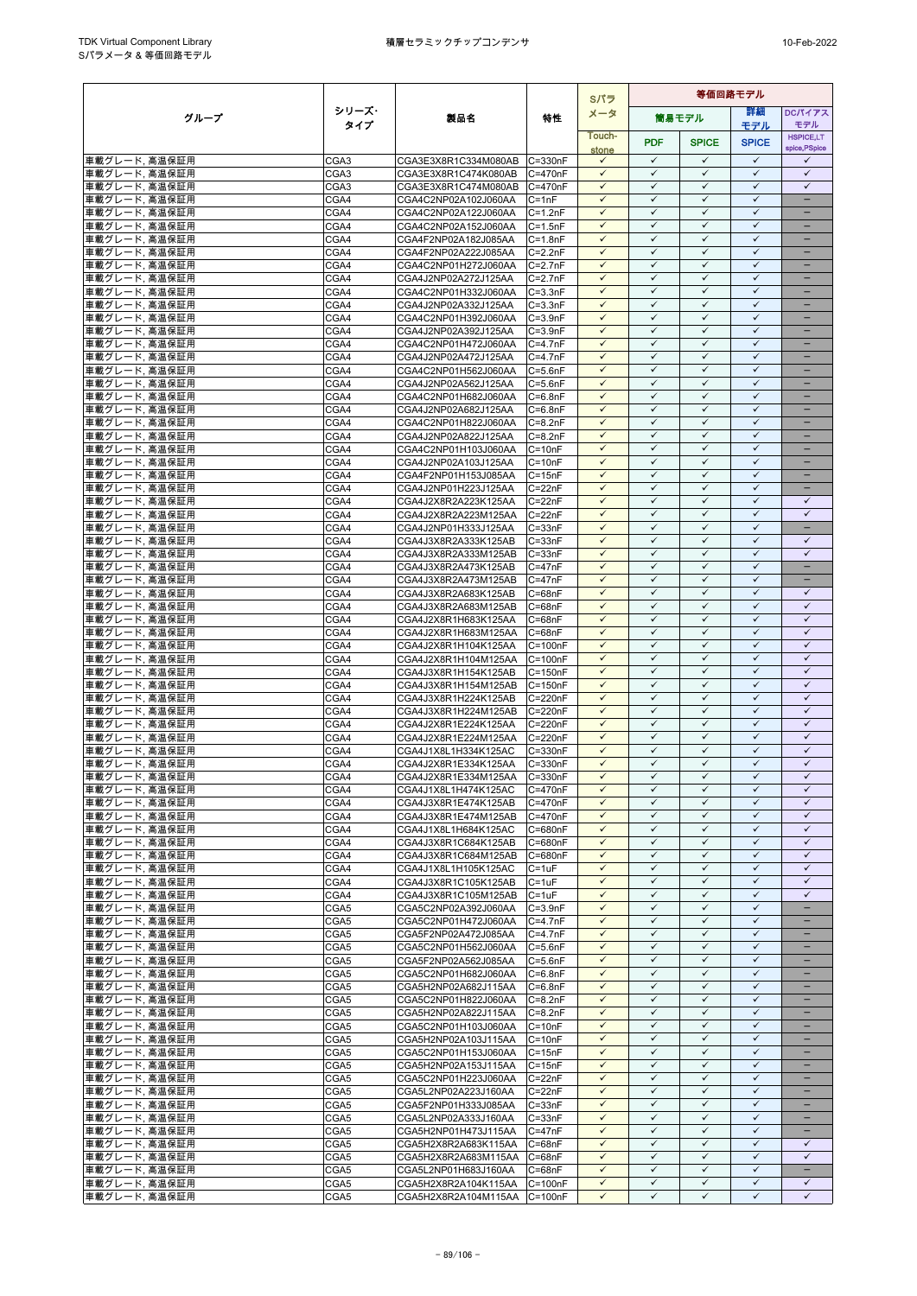|                                |                  |                                              |                            | Sパラ                          | 等価回路モデル                      |                              |                              |                                          |
|--------------------------------|------------------|----------------------------------------------|----------------------------|------------------------------|------------------------------|------------------------------|------------------------------|------------------------------------------|
| グループ                           | シリーズ・            | 製品名                                          | 特性                         | メータ                          |                              | 筒易モデル                        | 等細                           | <b>DCパイアス</b>                            |
|                                | タイプ              |                                              |                            | Touch-                       |                              |                              | モデル                          | モデル                                      |
|                                |                  |                                              |                            | stone                        | <b>PDF</b>                   | <b>SPICE</b>                 | <b>SPICE</b>                 | <b>HSPICE,LT</b><br>spice, PSpice        |
| 車載グレード, 高温保証用                  | CGA3             | CGA3E3X8R1C334M080AB C=330nF                 |                            | $\checkmark$                 | $\checkmark$                 | ✓                            | $\checkmark$                 | $\checkmark$                             |
| 車載グレード、高温保証用                   | CGA <sub>3</sub> | CGA3E3X8R1C474K080AB                         | C=470nF                    | $\checkmark$                 | $\checkmark$                 | $\checkmark$                 | $\checkmark$                 | $\checkmark$                             |
| 車載グレード, 高温保証用                  | CGA3             | CGA3E3X8R1C474M080AB                         | C=470nF                    | $\checkmark$                 | $\checkmark$                 | $\checkmark$                 | $\checkmark$                 | $\checkmark$                             |
| 車載グレード, 高温保証用                  | CGA4             | CGA4C2NP02A102J060AA                         | $C = 1nF$                  | $\checkmark$                 | $\checkmark$                 | $\checkmark$                 | ✓                            | $\qquad \qquad -$                        |
| 車載グレード、高温保証用                   | CGA4             | CGA4C2NP02A122J060AA                         | $C = 1.2nF$                | $\checkmark$                 | $\checkmark$                 | $\checkmark$                 | $\checkmark$                 | $\equiv$                                 |
| 車載グレード、高温保証用                   | CGA4             | CGA4C2NP02A152J060AA                         | $C = 1.5nF$                | ✓                            | $\checkmark$                 | ✓                            | $\checkmark$                 |                                          |
| 車載グレード, 高温保証用                  | CGA4             | CGA4F2NP02A182J085AA                         | $C = 1.8nF$                | $\checkmark$                 | $\checkmark$                 | $\checkmark$                 | $\checkmark$                 | -                                        |
| 車載グレード, 高温保証用                  | CGA4             | CGA4F2NP02A222J085AA                         | $C = 2.2nF$                | ✓                            | $\checkmark$                 | $\checkmark$                 | $\checkmark$                 | $\equiv$                                 |
| 車載グレード, 高温保証用                  | CGA4<br>CGA4     | CGA4C2NP01H272J060AA                         | $C = 2.7nF$                | $\checkmark$<br>$\checkmark$ | $\checkmark$<br>$\checkmark$ | $\checkmark$<br>$\checkmark$ | $\checkmark$<br>$\checkmark$ | $\overline{\phantom{0}}$<br>-            |
| 車載グレード, 高温保証用<br>車載グレード, 高温保証用 | CGA4             | CGA4J2NP02A272J125AA<br>CGA4C2NP01H332J060AA | $C = 2.7nF$<br>$C = 3.3nF$ | $\checkmark$                 | $\checkmark$                 | $\checkmark$                 | $\checkmark$                 | -                                        |
| 車載グレード. 高温保証用                  | CGA4             | CGA4J2NP02A332J125AA                         | $C = 3.3nF$                | $\checkmark$                 | $\checkmark$                 | $\checkmark$                 | $\checkmark$                 | -                                        |
| 車載グレード, 高温保証用                  | CGA4             | CGA4C2NP01H392J060AA                         | $C = 3.9nF$                | $\checkmark$                 | ✓                            | ✓                            | $\checkmark$                 |                                          |
| 車載グレード, 高温保証用                  | CGA4             | CGA4J2NP02A392J125AA                         | $C = 3.9nF$                | $\checkmark$                 | $\checkmark$                 | $\checkmark$                 | $\checkmark$                 | $=$                                      |
| 車載グレード, 高温保証用                  | CGA4             | CGA4C2NP01H472J060AA                         | $C=4.7nF$                  | ✓                            | $\checkmark$                 | $\checkmark$                 | $\checkmark$                 |                                          |
| 車載グレード, 高温保証用                  | CGA4             | CGA4J2NP02A472J125AA                         | $C=4.7nF$                  | $\checkmark$                 | $\checkmark$                 | $\checkmark$                 | $\checkmark$                 | $\overline{\phantom{0}}$                 |
| 車載グレード, 高温保証用                  | CGA4             | CGA4C2NP01H562J060AA                         | $C = 5.6nF$                | $\checkmark$                 | $\checkmark$                 | $\checkmark$                 | $\checkmark$                 | -                                        |
| 車載グレード、高温保証用                   | CGA4             | CGA4J2NP02A562J125AA                         | $C = 5.6nF$                | $\checkmark$                 | $\checkmark$                 | ✓                            | ✓                            |                                          |
| 車載グレード, 高温保証用                  | CGA4             | CGA4C2NP01H682J060AA                         | $C = 6.8nF$                | $\checkmark$                 | $\checkmark$                 | $\checkmark$                 | $\checkmark$                 | -                                        |
| 車載グレード, 高温保証用                  | CGA4             | CGA4J2NP02A682J125AA                         | $C = 6.8nF$                | ✓                            | $\checkmark$                 | $\checkmark$                 | $\checkmark$                 |                                          |
| 車載グレード, 高温保証用                  | CGA4             | CGA4C2NP01H822J060AA                         | $C = 8.2nF$                | $\checkmark$                 | $\checkmark$                 | $\checkmark$                 | $\checkmark$                 |                                          |
| 車載グレード, 高温保証用                  | CGA4             | CGA4J2NP02A822J125AA                         | $C = 8.2nF$                | $\checkmark$                 | $\checkmark$                 | $\checkmark$                 | $\checkmark$                 | $\overline{\phantom{0}}$                 |
| 車載グレード, 高温保証用                  | CGA4             | CGA4C2NP01H103J060AA                         | $C = 10nF$                 | $\checkmark$                 | $\checkmark$                 | $\checkmark$                 | $\checkmark$                 | -                                        |
| 車載グレード, 高温保証用                  | CGA4             | CGA4J2NP02A103J125AA                         | $C = 10nF$                 | $\checkmark$<br>$\checkmark$ | $\checkmark$<br>$\checkmark$ | $\checkmark$<br>$\checkmark$ | $\checkmark$<br>$\checkmark$ | $\qquad \qquad -$                        |
| 車載グレード, 高温保証用                  | CGA4<br>CGA4     | CGA4F2NP01H153J085AA<br>CGA4J2NP01H223J125AA | $C = 15nF$<br>$C = 22nF$   | $\checkmark$                 | $\checkmark$                 | $\checkmark$                 | $\checkmark$                 | -                                        |
| 車載グレード, 高温保証用<br>車載グレード, 高温保証用 | CGA4             | CGA4J2X8R2A223K125AA                         | $C = 22nF$                 | ✓                            | $\checkmark$                 | ✓                            | $\checkmark$                 | ✓                                        |
| 車載グレード、高温保証用                   | CGA4             | CGA4J2X8R2A223M125AA                         | $C = 22nF$                 | $\checkmark$                 | $\checkmark$                 | $\checkmark$                 | $\checkmark$                 | $\checkmark$                             |
| 車載グレード, 高温保証用                  | CGA4             | CGA4J2NP01H333J125AA                         | $C = 33nF$                 | $\checkmark$                 | $\checkmark$                 | $\checkmark$                 | $\checkmark$                 | $-$                                      |
| 車載グレード, 高温保証用                  | CGA4             | CGA4J3X8R2A333K125AB                         | $C = 33nF$                 | ✓                            | $\checkmark$                 | $\checkmark$                 | ✓                            | ✓                                        |
| 車載グレード, 高温保証用                  | CGA4             | CGA4J3X8R2A333M125AB                         | $C = 33nF$                 | $\checkmark$                 | $\checkmark$                 | $\checkmark$                 | $\checkmark$                 | $\checkmark$                             |
| 車載グレード, 高温保証用                  | CGA4             | CGA4J3X8R2A473K125AB                         | $C = 47nF$                 | $\checkmark$                 | $\checkmark$                 | ✓                            | $\checkmark$                 |                                          |
| 車載グレード, 高温保証用                  | CGA4             | CGA4J3X8R2A473M125AB                         | $C = 47nF$                 | $\checkmark$                 | $\checkmark$                 | $\checkmark$                 | $\checkmark$                 | $\overline{\phantom{0}}$                 |
| 車載グレード, 高温保証用                  | CGA4             | CGA4J3X8R2A683K125AB                         | $C = 68nF$                 | $\checkmark$                 | $\checkmark$                 | $\checkmark$                 | $\checkmark$                 | $\checkmark$                             |
| 車載グレード, 高温保証用                  | CGA4             | CGA4J3X8R2A683M125AB                         | $C = 68nF$                 | $\checkmark$                 | $\checkmark$                 | $\checkmark$                 | $\checkmark$                 | $\checkmark$                             |
| 車載グレード, 高温保証用                  | CGA4             | CGA4J2X8R1H683K125AA                         | $C = 68nF$                 | $\checkmark$                 | $\checkmark$                 | $\checkmark$                 | $\checkmark$                 | $\checkmark$                             |
| 車載グレード, 高温保証用                  | CGA4             | CGA4J2X8R1H683M125AA                         | $C = 68nF$                 | ✓                            | ✓                            | ✓                            | ✓                            | $\checkmark$                             |
| 車載グレード, 高温保証用                  | CGA4             | CGA4J2X8R1H104K125AA                         | $C = 100nF$                | $\checkmark$                 | $\checkmark$                 | $\checkmark$                 | $\checkmark$                 | $\checkmark$                             |
| 車載グレード, 高温保証用                  | CGA4             | CGA4J2X8R1H104M125AA                         | $C = 100nF$                | ✓                            | $\checkmark$                 | $\checkmark$                 | $\checkmark$                 | $\checkmark$                             |
| 車載グレード, 高温保証用                  | CGA4             | CGA4J3X8R1H154K125AB                         | $C = 150nF$                | $\checkmark$                 | $\checkmark$                 | $\checkmark$                 | $\checkmark$                 | $\checkmark$                             |
| 車載グレード、高温保証用                   | CGA4             | CGA4J3X8R1H154M125AB                         | $C = 150nF$                | $\checkmark$                 | $\checkmark$                 | $\checkmark$                 | $\checkmark$                 | $\checkmark$                             |
| 車載グレード, 高温保証用                  | CGA4             | CGA4J3X8R1H224K125AB                         | C=220nF                    | $\checkmark$                 | $\checkmark$                 | $\checkmark$                 | $\checkmark$                 | $\checkmark$                             |
| 車載グレード、高温保証用                   | CGA4             | CGA4J3X8R1H224M125AB                         | C=220nF                    | $\checkmark$<br>$\checkmark$ | $\checkmark$<br>$\checkmark$ | $\checkmark$<br>$\checkmark$ | $\checkmark$<br>$\checkmark$ | $\checkmark$<br>$\checkmark$             |
| 車載グレード, 高温保証用<br>車載グレード、高温保証用  | CGA4<br>CGA4     | CGA4J2X8R1E224K125AA<br>CGA4J2X8R1E224M125AA | C=220nF<br>C=220nF         | $\checkmark$                 | $\checkmark$                 | $\checkmark$                 | $\checkmark$                 | $\checkmark$                             |
| 車載グレード, 高温保証用                  | CGA4             | CGA4J1X8L1H334K125AC                         | $C = 330nF$                | ✓                            | ✓                            | ✓                            | $\checkmark$                 | $\checkmark$                             |
| 車載グレード, 高温保証用                  | CGA4             | CGA4J2X8R1E334K125AA                         | C=330nF                    | $\checkmark$                 | $\checkmark$                 | $\checkmark$                 | $\checkmark$                 | $\checkmark$                             |
| 車載グレード, 高温保証用                  | CGA4             | CGA4J2X8R1E334M125AA                         | $C = 330nF$                | $\checkmark$                 | $\checkmark$                 | $\checkmark$                 | $\checkmark$                 | $\checkmark$                             |
| 車載グレード, 高温保証用                  | CGA4             | CGA4J1X8L1H474K125AC                         | $C = 470nF$                | $\checkmark$                 | $\checkmark$                 | $\checkmark$                 | ✓                            | ✓                                        |
| 車載グレード、高温保証用                   | CGA4             | CGA4J3X8R1E474K125AB                         | C=470nF                    | $\checkmark$                 | $\checkmark$                 | $\checkmark$                 | $\checkmark$                 | $\checkmark$                             |
| 車載グレード, 高温保証用                  | CGA4             | CGA4J3X8R1E474M125AB                         | C=470nF                    | $\checkmark$                 | $\checkmark$                 | $\checkmark$                 | $\checkmark$                 | $\checkmark$                             |
| 車載グレード, 高温保証用                  | CGA4             | CGA4J1X8L1H684K125AC                         | C=680nF                    | $\checkmark$                 | $\checkmark$                 | $\checkmark$                 | $\checkmark$                 | $\checkmark$                             |
| 車載グレード、高温保証用                   | CGA4             | CGA4J3X8R1C684K125AB                         | C=680nF                    | $\checkmark$                 | $\checkmark$                 | $\checkmark$                 | $\checkmark$                 | $\checkmark$                             |
| 車載グレード, 高温保証用                  | CGA4             | CGA4J3X8R1C684M125AB                         | C=680nF                    | $\checkmark$                 | $\checkmark$                 | $\checkmark$                 | $\checkmark$                 | $\checkmark$                             |
| 車載グレード, 高温保証用                  | CGA4             | CGA4J1X8L1H105K125AC                         | $C = 1uF$                  | $\checkmark$                 | $\checkmark$                 | $\checkmark$                 | $\checkmark$                 | $\checkmark$                             |
| 車載グレード, 高温保証用                  | CGA4             | CGA4J3X8R1C105K125AB                         | $C = 1uF$                  | ✓                            | ✓                            | ✓                            | ✓                            | $\checkmark$                             |
| 車載グレード, 高温保証用                  | CGA4             | CGA4J3X8R1C105M125AB                         | $C = 1uF$                  | $\checkmark$                 | $\checkmark$                 | $\checkmark$                 | $\checkmark$<br>$\checkmark$ | $\checkmark$<br>$\overline{\phantom{0}}$ |
| 車載グレード, 高温保証用                  | CGA5<br>CGA5     | CGA5C2NP02A392J060AA                         | $C = 3.9nF$<br>$C=4.7nF$   | $\checkmark$<br>$\checkmark$ | $\checkmark$<br>$\checkmark$ | $\checkmark$<br>$\checkmark$ | $\checkmark$                 |                                          |
| 車載グレード, 高温保証用<br>車載グレード、高温保証用  | CGA5             | CGA5C2NP01H472J060AA<br>CGA5F2NP02A472J085AA | $C=4.7nF$                  | $\checkmark$                 | $\checkmark$                 | $\checkmark$                 | $\checkmark$                 | $\overline{\phantom{0}}$                 |
| 車載グレード, 高温保証用                  | CGA5             | CGA5C2NP01H562J060AA                         | $C = 5.6nF$                | $\checkmark$                 | $\checkmark$                 | $\checkmark$                 | $\checkmark$                 | $\qquad \qquad -$                        |
| 車載グレード, 高温保証用                  | CGA5             | CGA5F2NP02A562J085AA                         | $C = 5.6nF$                | $\checkmark$                 | ✓                            | $\checkmark$                 | $\checkmark$                 | -                                        |
| 車載グレード, 高温保証用                  | CGA5             | CGA5C2NP01H682J060AA                         | $C = 6.8nF$                | $\checkmark$                 | $\checkmark$                 | ✓                            | $\checkmark$                 |                                          |
| 車載グレード, 高温保証用                  | CGA5             | CGA5H2NP02A682J115AA                         | $C = 6.8nF$                | $\checkmark$                 | $\checkmark$                 | $\checkmark$                 | $\checkmark$                 |                                          |
| 車載グレード, 高温保証用                  | CGA5             | CGA5C2NP01H822J060AA                         | $C = 8.2nF$                | $\checkmark$                 | $\checkmark$                 | $\checkmark$                 | $\checkmark$                 |                                          |
| 車載グレード、高温保証用                   | CGA5             | CGA5H2NP02A822J115AA                         | $C = 8.2nF$                | $\checkmark$                 | $\checkmark$                 | $\checkmark$                 | $\checkmark$                 | $\overline{\phantom{0}}$                 |
| 車載グレード, 高温保証用                  | CGA5             | CGA5C2NP01H103J060AA                         | $C = 10nF$                 | $\checkmark$                 | $\checkmark$                 | $\checkmark$                 | $\checkmark$                 | -                                        |
| 車載グレード、高温保証用                   | CGA5             | CGA5H2NP02A103J115AA                         | $C = 10nF$                 | $\checkmark$                 | $\checkmark$                 | $\checkmark$                 | ✓                            | -                                        |
| 車載グレード、高温保証用                   | CGA5             | CGA5C2NP01H153J060AA                         | $C = 15nF$                 | $\checkmark$                 | $\checkmark$                 | $\checkmark$                 | $\checkmark$                 | $\qquad \qquad -$                        |
| 車載グレード, 高温保証用                  | CGA5             | CGA5H2NP02A153J115AA                         | $C = 15nF$                 | $\checkmark$                 | $\checkmark$                 | ✓                            | $\checkmark$                 |                                          |
| 車載グレード, 高温保証用                  | CGA5             | CGA5C2NP01H223J060AA                         | $C = 22nF$                 | $\checkmark$                 | $\checkmark$                 | $\checkmark$                 | $\checkmark$                 |                                          |
| 車載グレード, 高温保証用                  | CGA5             | CGA5L2NP02A223J160AA                         | $C = 22nF$                 | $\checkmark$                 | $\checkmark$                 | $\checkmark$                 | $\checkmark$                 | $\overline{\phantom{0}}$                 |
| 車載グレード, 高温保証用                  | CGA5             | CGA5F2NP01H333J085AA                         | $C = 33nF$                 | $\checkmark$                 | $\checkmark$                 | $\checkmark$                 | $\checkmark$                 |                                          |
| 車載グレード, 高温保証用                  | CGA5             | CGA5L2NP02A333J160AA                         | $C = 33nF$                 | $\checkmark$                 | $\checkmark$                 | $\checkmark$                 | $\checkmark$                 | -                                        |
| 車載グレード, 高温保証用                  | CGA5             | CGA5H2NP01H473J115AA                         | $C = 47nF$                 | $\checkmark$                 | $\checkmark$<br>$\checkmark$ | $\checkmark$<br>$\checkmark$ | $\checkmark$<br>$\checkmark$ |                                          |
| 車載グレード, 高温保証用                  | CGA5             | CGA5H2X8R2A683K115AA                         | $C = 68nF$                 | $\checkmark$<br>$\checkmark$ | $\checkmark$                 | $\checkmark$                 | $\checkmark$                 | $\checkmark$<br>$\checkmark$             |
| 車載グレード, 高温保証用                  | CGA5<br>CGA5     | CGA5H2X8R2A683M115AA                         | $C = 68nF$<br>$C = 68nF$   | $\checkmark$                 | $\checkmark$                 | $\checkmark$                 | $\checkmark$                 | -                                        |
| 車載グレード, 高温保証用<br>車載グレード、高温保証用  | CGA5             | CGA5L2NP01H683J160AA<br>CGA5H2X8R2A104K115AA | $C = 100nF$                | $\checkmark$                 | $\checkmark$                 | $\checkmark$                 | $\checkmark$                 | $\checkmark$                             |
| 車載グレード、高温保証用                   | CGA5             | CGA5H2X8R2A104M115AA C=100nF                 |                            | $\checkmark$                 | $\checkmark$                 | $\checkmark$                 | $\checkmark$                 | $\checkmark$                             |
|                                |                  |                                              |                            |                              |                              |                              |                              |                                          |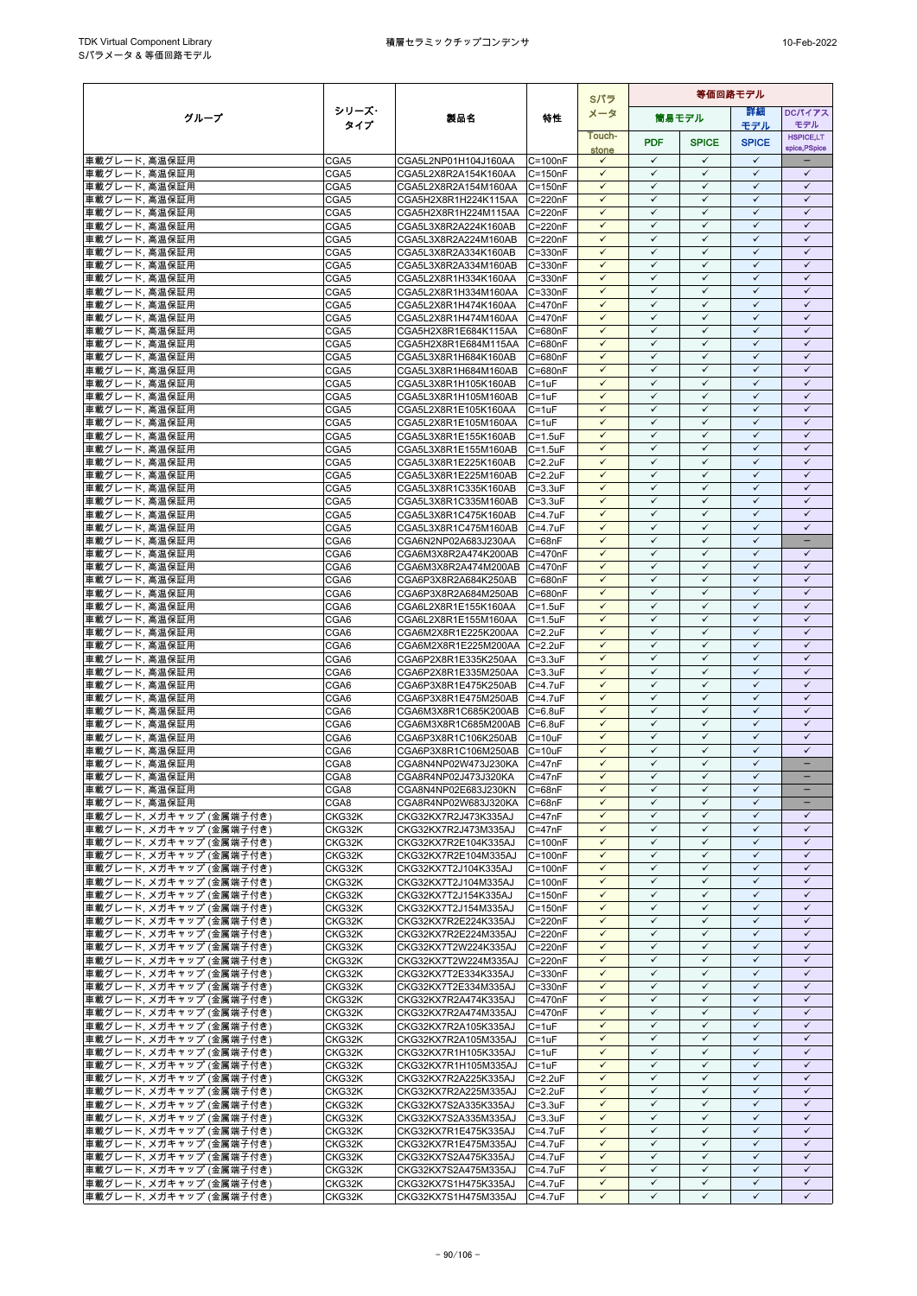|                                                    |                  |                                                              |                                | Sパラ                          | 等価回路モデル                      |                              |                              |                                   |
|----------------------------------------------------|------------------|--------------------------------------------------------------|--------------------------------|------------------------------|------------------------------|------------------------------|------------------------------|-----------------------------------|
| グループ                                               | シリーズ・            | 製品名                                                          | 特性                             | メータ                          |                              | 筒易モデル                        | 等細                           | <b>DCパイアス</b>                     |
|                                                    | タイプ              |                                                              |                                | Touch-                       |                              |                              | モデル                          | モデル<br><b>HSPICE,LT</b>           |
|                                                    |                  |                                                              |                                | stone                        | <b>PDF</b>                   | <b>SPICE</b>                 | <b>SPICE</b>                 | spice, PSpice                     |
| 車載グレード, 高温保証用                                      | CGA5             | CGA5L2NP01H104J160AA                                         | $C = 100nF$                    | $\checkmark$                 | $\checkmark$                 | ✓                            | $\checkmark$                 |                                   |
| 車載グレード、高温保証用                                       | CGA5             | CGA5L2X8R2A154K160AA                                         | $C = 150nF$                    | $\checkmark$                 | $\checkmark$                 | $\checkmark$                 | $\checkmark$                 | $\checkmark$                      |
| 車載グレード, 高温保証用<br>車載グレード、高温保証用                      | CGA5<br>CGA5     | CGA5L2X8R2A154M160AA                                         | $C = 150nF$<br>C=220nF         | $\checkmark$<br>$\checkmark$ | $\checkmark$<br>$\checkmark$ | $\checkmark$<br>✓            | $\checkmark$<br>$\checkmark$ | $\checkmark$<br>$\checkmark$      |
| 車載グレード, 高温保証用                                      | CGA5             | CGA5H2X8R1H224K115AA<br>CGA5H2X8R1H224M115AA C=220nF         |                                | $\checkmark$                 | $\checkmark$                 | $\checkmark$                 | $\checkmark$                 | $\checkmark$                      |
| 車載グレード, 高温保証用                                      | CGA5             | CGA5L3X8R2A224K160AB                                         | C=220nF                        | $\checkmark$                 | $\checkmark$                 | $\checkmark$                 | $\checkmark$                 | $\checkmark$                      |
| 車載グレード, 高温保証用                                      | CGA5             | CGA5L3X8R2A224M160AB                                         | C=220nF                        | $\checkmark$                 | $\checkmark$                 | $\checkmark$                 | $\checkmark$                 | $\checkmark$                      |
| 車載グレード, 高温保証用                                      | CGA5             | CGA5L3X8R2A334K160AB                                         | $C = 330nF$                    | $\checkmark$                 | $\checkmark$                 | $\checkmark$                 | $\checkmark$                 | $\checkmark$                      |
| 車載グレード, 高温保証用                                      | CGA5             | CGA5L3X8R2A334M160AB                                         | C=330nF                        | $\checkmark$                 | $\checkmark$                 | $\checkmark$                 | $\checkmark$                 | $\checkmark$                      |
| 車載グレード, 高温保証用<br>車載グレード, 高温保証用                     | CGA5<br>CGA5     | CGA5L2X8R1H334K160AA<br>CGA5L2X8R1H334M160AA                 | $C = 330nF$<br>C=330nF         | $\checkmark$<br>$\checkmark$ | $\checkmark$<br>$\checkmark$ | $\checkmark$<br>$\checkmark$ | $\checkmark$<br>$\checkmark$ | $\checkmark$<br>$\checkmark$      |
| 車載グレード, 高温保証用                                      | CGA5             | CGA5L2X8R1H474K160AA                                         | C=470nF                        | $\checkmark$                 | ✓                            | $\checkmark$                 | $\checkmark$                 | $\checkmark$                      |
| 車載グレード, 高温保証用                                      | CGA5             | CGA5L2X8R1H474M160AA                                         | C=470nF                        | $\checkmark$                 | ✓                            | ✓                            | $\checkmark$                 | ✓                                 |
| 車載グレード, 高温保証用                                      | CGA5             | CGA5H2X8R1E684K115AA                                         | C=680nF                        | $\checkmark$                 | $\checkmark$                 | $\checkmark$                 | $\checkmark$                 | $\checkmark$                      |
| 車載グレード, 高温保証用                                      | CGA5             | CGA5H2X8R1E684M115AA                                         | C=680nF                        | $\checkmark$                 | $\checkmark$                 | $\checkmark$                 | $\checkmark$                 | $\checkmark$                      |
| 車載グレード, 高温保証用                                      | CGA5             | CGA5L3X8R1H684K160AB                                         | C=680nF                        | $\checkmark$                 | $\checkmark$                 | $\checkmark$                 | $\checkmark$                 | $\checkmark$                      |
| 車載グレード, 高温保証用                                      | CGA5             | CGA5L3X8R1H684M160AB                                         | C=680nF                        | $\checkmark$<br>$\checkmark$ | $\checkmark$<br>✓            | $\checkmark$<br>✓            | $\checkmark$<br>$\checkmark$ | $\checkmark$<br>$\checkmark$      |
| 車載グレード, 高温保証用<br>車載グレード, 高温保証用                     | CGA5<br>CGA5     | CGA5L3X8R1H105K160AB<br>CGA5L3X8R1H105M160AB                 | $C = 1uF$<br>$C = 1uF$         | $\checkmark$                 | $\checkmark$                 | $\checkmark$                 | $\checkmark$                 | $\checkmark$                      |
| 車載グレード, 高温保証用                                      | CGA5             | CGA5L2X8R1E105K160AA                                         | $C = 1uF$                      | $\checkmark$                 | $\checkmark$                 | $\checkmark$                 | $\checkmark$                 | $\checkmark$                      |
| 車載グレード, 高温保証用                                      | CGA5             | CGA5L2X8R1E105M160AA                                         | $C = 1uF$                      | $\checkmark$                 | $\checkmark$                 | $\checkmark$                 | $\checkmark$                 | $\checkmark$                      |
| 車載グレード, 高温保証用                                      | CGA5             | CGA5L3X8R1E155K160AB                                         | $C = 1.5$ u $F$                | $\checkmark$                 | $\checkmark$                 | $\checkmark$                 | $\checkmark$                 | $\checkmark$                      |
| 車載グレード, 高温保証用                                      | CGA5             | CGA5L3X8R1E155M160AB                                         | $C = 1.5$ u $F$                | $\checkmark$                 | $\checkmark$                 | ✓                            | $\checkmark$                 | $\checkmark$                      |
| 車載グレード、高温保証用                                       | CGA5             | CGA5L3X8R1E225K160AB                                         | $C = 2.2uF$                    | $\checkmark$                 | ✓                            | $\checkmark$                 | $\checkmark$                 | $\checkmark$                      |
| 車載グレード, 高温保証用                                      | CGA5             | CGA5L3X8R1E225M160AB                                         | $C = 2.2uF$                    | $\checkmark$<br>$\checkmark$ | $\checkmark$<br>$\checkmark$ | $\checkmark$<br>$\checkmark$ | $\checkmark$<br>$\checkmark$ | $\checkmark$<br>$\checkmark$      |
| 車載グレード, 高温保証用<br>車載グレード, 高温保証用                     | CGA5<br>CGA5     | CGA5L3X8R1C335K160AB<br>CGA5L3X8R1C335M160AB                 | $C = 3.3uF$<br>$C = 3.3uF$     | $\checkmark$                 | ✓                            | $\checkmark$                 | $\checkmark$                 | $\checkmark$                      |
| 車載グレード, 高温保証用                                      | CGA5             | CGA5L3X8R1C475K160AB                                         | $C = 4.7$ u $F$                | $\checkmark$                 | $\checkmark$                 | $\checkmark$                 | $\checkmark$                 | $\checkmark$                      |
| 車載グレード、高温保証用                                       | CGA5             | CGA5L3X8R1C475M160AB                                         | $C = 4.7$ u $F$                | $\checkmark$                 | $\checkmark$                 | $\checkmark$                 | $\checkmark$                 | $\checkmark$                      |
| 車載グレード, 高温保証用                                      | CGA6             | CGA6N2NP02A683J230AA                                         | $C = 68nF$                     | $\checkmark$                 | $\checkmark$                 | ✓                            | $\checkmark$                 | $\qquad \qquad -$                 |
| 車載グレード, 高温保証用                                      | CGA6             | CGA6M3X8R2A474K200AB                                         | C=470nF                        | $\checkmark$                 | $\checkmark$                 | $\checkmark$                 | $\checkmark$                 | $\checkmark$                      |
| 車載グレード, 高温保証用                                      | CGA6             | CGA6M3X8R2A474M200AB                                         | C=470nF                        | $\checkmark$                 | $\checkmark$                 | $\checkmark$                 | $\checkmark$                 | $\checkmark$                      |
| 車載グレード, 高温保証用                                      | CGA6             | CGA6P3X8R2A684K250AB                                         | C=680nF                        | $\checkmark$<br>$\checkmark$ | $\checkmark$<br>$\checkmark$ | $\checkmark$<br>$\checkmark$ | $\checkmark$<br>$\checkmark$ | $\checkmark$<br>$\checkmark$      |
| 車載グレード, 高温保証用<br>車載グレード, 高温保証用                     | CGA6<br>CGA6     | CGA6P3X8R2A684M250AB<br>CGA6L2X8R1E155K160AA                 | C=680nF<br>$C = 1.5$ u $F$     | $\checkmark$                 | $\checkmark$                 | ✓                            | $\checkmark$                 | $\checkmark$                      |
| 車載グレード, 高温保証用                                      | CGA6             | CGA6L2X8R1E155M160AA                                         | $C = 1.5$ u $F$                | $\checkmark$                 | $\checkmark$                 | $\checkmark$                 | $\checkmark$                 | $\checkmark$                      |
| 車載グレード, 高温保証用                                      | CGA6             | CGA6M2X8R1E225K200AA                                         | $C = 2.2uF$                    | $\checkmark$                 | ✓                            | ✓                            | ✓                            | ✓                                 |
| 車載グレード, 高温保証用                                      | CGA6             | CGA6M2X8R1E225M200AA C=2.2uF                                 |                                | $\checkmark$                 | $\checkmark$                 | $\checkmark$                 | $\checkmark$                 | $\checkmark$                      |
| 車載グレード, 高温保証用                                      | CGA6             | CGA6P2X8R1E335K250AA                                         | $C = 3.3uF$                    | $\checkmark$                 | $\checkmark$                 | $\checkmark$                 | $\checkmark$                 | $\checkmark$                      |
| 車載グレード, 高温保証用                                      | CGA6             | CGA6P2X8R1E335M250AA                                         | $C = 3.3uF$                    | $\checkmark$                 | $\checkmark$                 | $\checkmark$                 | $\checkmark$                 | $\checkmark$                      |
| 車載グレード、高温保証用                                       | CGA6             | CGA6P3X8R1E475K250AB                                         | $C = 4.7$ u $F$                | $\checkmark$                 | $\checkmark$<br>$\checkmark$ | $\checkmark$<br>$\checkmark$ | $\checkmark$<br>$\checkmark$ | $\checkmark$                      |
| 車載グレード, 高温保証用<br> 車載グレード, 高温保証用                    | CGA6<br>CGA6     | CGA6P3X8R1E475M250AB C=4.7uF<br>CGA6M3X8R1C685K200AB C=6.8uF |                                | $\checkmark$<br>$\checkmark$ | ✓                            | $\checkmark$                 | $\checkmark$                 | $\checkmark$<br>$\checkmark$      |
| 車載グレード, 高温保証用                                      | CGA6             | CGA6M3X8R1C685M200AB C=6.8uF                                 |                                | $\checkmark$                 | $\checkmark$                 | $\checkmark$                 | $\checkmark$                 | $\checkmark$                      |
| 車載グレード, 高温保証用                                      | CGA6             | CGA6P3X8R1C106K250AB                                         | $C = 10uF$                     | $\checkmark$                 | $\checkmark$                 | $\checkmark$                 | $\checkmark$                 | $\checkmark$                      |
| 車載グレード, 高温保証用                                      | CGA6             | CGA6P3X8R1C106M250AB                                         | $C = 10uF$                     | $\checkmark$                 | ✓                            | $\checkmark$                 | $\checkmark$                 | $\checkmark$                      |
| 車載グレード、高温保証用                                       | CGA8             | CGA8N4NP02W473J230KA                                         | $C = 47nF$                     | $\checkmark$                 | $\checkmark$                 | $\checkmark$                 | $\checkmark$                 | -                                 |
| 車載グレード, 高温保証用                                      | CGA8             | CGA8R4NP02J473J320KA C=47nF                                  |                                | $\checkmark$                 | $\checkmark$                 | $\checkmark$                 | $\checkmark$                 |                                   |
| 車載グレード, 高温保証用                                      | CGA8             | CGA8N4NP02E683J230KN                                         | $C = 68nF$                     | $\checkmark$                 | ✓                            | ✓                            | $\checkmark$                 | $\overline{\phantom{0}}$          |
| 車載グレード、高温保証用<br>車載グレード, メガキャップ (金属端子付き)            | CGA8<br>CKG32K   | CGA8R4NP02W683J320KA<br>CKG32KX7R2J473K335AJ                 | $C = 68nF$<br>$C = 47nF$       | $\checkmark$<br>$\checkmark$ | $\checkmark$<br>$\checkmark$ | $\checkmark$<br>$\checkmark$ | $\checkmark$<br>$\checkmark$ | $\qquad \qquad -$<br>$\checkmark$ |
| 車載グレード, メガキャップ (金属端子付き)                            | CKG32K           | CKG32KX7R2J473M335AJ                                         | $C = 47nF$                     | $\checkmark$                 | $\checkmark$                 | $\checkmark$                 | $\checkmark$                 | $\checkmark$                      |
| 車載グレード, メガキャップ (金属端子付き)                            | CKG32K           | CKG32KX7R2E104K335AJ                                         | $C = 100nF$                    | $\checkmark$                 | $\checkmark$                 | $\checkmark$                 | $\checkmark$                 | $\checkmark$                      |
| 車載グレード、メガキャップ (金属端子付き)                             | CKG32K           | CKG32KX7R2E104M335AJ                                         | $C = 100nF$                    | $\checkmark$                 | $\checkmark$                 | ✓                            | $\checkmark$                 | $\checkmark$                      |
| 車載グレード、メガキャップ (金属端子付き)                             | CKG32K           | CKG32KX7T2J104K335AJ                                         | $C = 100nF$                    | $\checkmark$                 | $\checkmark$                 | $\checkmark$                 | $\checkmark$                 | $\checkmark$                      |
| 車載グレード, メガキャップ (金属端子付き)                            | CKG32K           | CKG32KX7T2J104M335AJ                                         | $C = 100nF$                    | $\checkmark$                 | ✓<br>$\checkmark$            | ✓                            | $\checkmark$                 | ✓                                 |
| 車載グレード, メガキャップ (金属端子付き)<br>車載グレード, メガキャップ (金属端子付き) | CKG32K<br>CKG32K | CKG32KX7T2J154K335AJ<br>CKG32KX7T2J154M335AJ                 | $C = 150nF$<br>$C = 150nF$     | $\checkmark$<br>$\checkmark$ | $\checkmark$                 | $\checkmark$<br>$\checkmark$ | $\checkmark$<br>$\checkmark$ | $\checkmark$<br>$\checkmark$      |
| 車載グレード, メガキャップ (金属端子付き)                            | CKG32K           | CKG32KX7R2E224K335AJ                                         | C=220nF                        | $\checkmark$                 | $\checkmark$                 | $\checkmark$                 | $\checkmark$                 | $\checkmark$                      |
| 車載グレード, メガキャップ (金属端子付き)                            | CKG32K           | CKG32KX7R2E224M335AJ                                         | C=220nF                        | $\checkmark$                 | $\checkmark$                 | $\checkmark$                 | $\checkmark$                 | $\checkmark$                      |
| 車載グレード, メガキャップ (金属端子付き)                            | CKG32K           | CKG32KX7T2W224K335AJ                                         | C=220nF                        | $\checkmark$                 | $\checkmark$                 | $\checkmark$                 | $\checkmark$                 | $\checkmark$                      |
| 車載グレード、メガキャップ (金属端子付き)                             | CKG32K           | CKG32KX7T2W224M335AJ                                         | $C = 220nF$                    | $\checkmark$                 | ✓                            | $\checkmark$                 | $\checkmark$                 | $\checkmark$                      |
| 車載グレード, メガキャップ (金属端子付き)                            | CKG32K           | CKG32KX7T2E334K335AJ                                         | C=330nF                        | $\checkmark$                 | $\checkmark$                 | $\checkmark$                 | $\checkmark$                 | $\checkmark$                      |
| 車載グレード, メガキャップ (金属端子付き)                            | CKG32K           | CKG32KX7T2E334M335AJ                                         | $C = 330nF$                    | $\checkmark$                 | $\checkmark$<br>$\checkmark$ | $\checkmark$<br>$\checkmark$ | $\checkmark$<br>$\checkmark$ | $\checkmark$<br>$\checkmark$      |
| 車載グレード, メガキャップ (金属端子付き)<br>車載グレード, メガキャップ (金属端子付き) | CKG32K<br>CKG32K | CKG32KX7R2A474K335AJ<br>CKG32KX7R2A474M335AJ                 | C=470nF<br>C=470nF             | $\checkmark$<br>$\checkmark$ | $\checkmark$                 | $\checkmark$                 | $\checkmark$                 | $\checkmark$                      |
| 車載グレード, メガキャップ (金属端子付き)                            | CKG32K           | CKG32KX7R2A105K335AJ                                         | $C = 1uF$                      | $\checkmark$                 | $\checkmark$                 | $\checkmark$                 | $\checkmark$                 | $\checkmark$                      |
| 車載グレード、メガキャップ (金属端子付き)                             | CKG32K           | CKG32KX7R2A105M335AJ                                         | $C = 1uF$                      | $\checkmark$                 | $\checkmark$                 | ✓                            | ✓                            | ✓                                 |
| 車載グレード, メガキャップ (金属端子付き)                            | CKG32K           | CKG32KX7R1H105K335AJ                                         | $C = 1uF$                      | $\checkmark$                 | $\checkmark$                 | $\checkmark$                 | $\checkmark$                 | $\checkmark$                      |
| 車載グレード, メガキャップ (金属端子付き)                            | CKG32K           | CKG32KX7R1H105M335AJ                                         | $C = 1uF$                      | $\checkmark$                 | $\checkmark$                 | ✓                            | $\checkmark$                 | $\checkmark$                      |
| 車載グレード, メガキャップ (金属端子付き)                            | CKG32K           | CKG32KX7R2A225K335AJ                                         | $C = 2.2uF$                    | $\checkmark$                 | $\checkmark$                 | $\checkmark$                 | $\checkmark$                 | $\checkmark$                      |
| 車載グレード, メガキャップ (金属端子付き)                            | CKG32K           | CKG32KX7R2A225M335AJ                                         | $C = 2.2uF$                    | $\checkmark$<br>$\checkmark$ | $\checkmark$<br>$\checkmark$ | $\checkmark$<br>✓            | $\checkmark$<br>$\checkmark$ | $\checkmark$<br>$\checkmark$      |
| 車載グレード, メガキャップ (金属端子付き)<br>車載グレード, メガキャップ (金属端子付き) | CKG32K<br>CKG32K | CKG32KX7S2A335K335AJ<br>CKG32KX7S2A335M335AJ                 | $C = 3.3uF$<br>$C = 3.3$ u $F$ | $\checkmark$                 | $\checkmark$                 | $\checkmark$                 | $\checkmark$                 | $\checkmark$                      |
| 車載グレード、メガキャップ (金属端子付き)                             | CKG32K           | CKG32KX7R1E475K335AJ                                         | $C = 4.7$ u $F$                | $\checkmark$                 | $\checkmark$                 | ✓                            | $\checkmark$                 | $\checkmark$                      |
| 車載グレード, メガキャップ (金属端子付き)                            | CKG32K           | CKG32KX7R1E475M335AJ                                         | $C = 4.7$ u $F$                | $\checkmark$                 | $\checkmark$                 | $\checkmark$                 | $\checkmark$                 | $\checkmark$                      |
| 車載グレード, メガキャップ (金属端子付き)                            | CKG32K           | CKG32KX7S2A475K335AJ                                         | $C = 4.7$ u $F$                | $\checkmark$                 | $\checkmark$                 | $\checkmark$                 | $\checkmark$                 | $\checkmark$                      |
| 車載グレード, メガキャップ (金属端子付き)                            | CKG32K           | CKG32KX7S2A475M335AJ                                         | $C = 4.7$ u $F$                | $\checkmark$                 | $\checkmark$                 | $\checkmark$                 | $\checkmark$                 | $\checkmark$                      |
| 車載グレード, メガキャップ (金属端子付き)                            | CKG32K           | CKG32KX7S1H475K335AJ                                         | $C = 4.7uF$                    | $\checkmark$                 | $\checkmark$                 | ✓                            | $\checkmark$                 | $\checkmark$                      |
| 車載グレード, メガキャップ (金属端子付き)                            | CKG32K           | CKG32KX7S1H475M335AJ                                         | $C = 4.7uF$                    | $\checkmark$                 | $\checkmark$                 | $\checkmark$                 | $\checkmark$                 | $\checkmark$                      |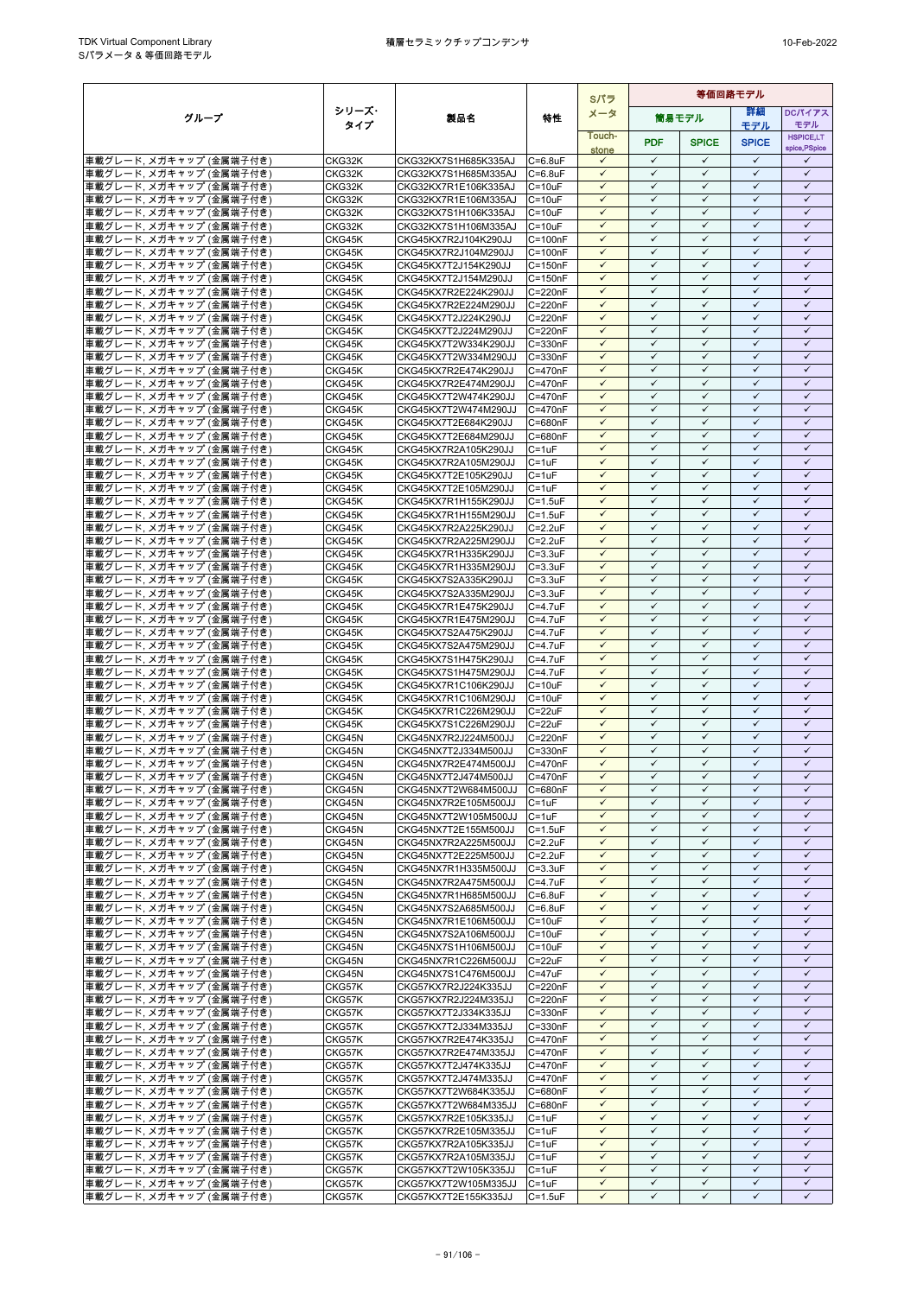|                                                     |                  |                                              |                            | Sパラ                          | 等価回路モデル                      |                              |                              |                                   |
|-----------------------------------------------------|------------------|----------------------------------------------|----------------------------|------------------------------|------------------------------|------------------------------|------------------------------|-----------------------------------|
| グループ                                                | シリーズ・            | 製品名                                          | 特性                         | メータ                          |                              | 筒易モデル                        | 詳細                           | <b>DCパイアス</b>                     |
|                                                     | タイプ              |                                              |                            |                              |                              |                              | モデル                          | モデル                               |
|                                                     |                  |                                              |                            | Touch-<br>stone              | <b>PDF</b>                   | <b>SPICE</b>                 | <b>SPICE</b>                 | <b>HSPICE,LT</b><br>spice, PSpice |
| 車載グレード, メガキャップ (金属端子付き)                             | CKG32K           | CKG32KX7S1H685K335AJ                         | $C = 6.8$ uF               | $\checkmark$                 | $\checkmark$                 | ✓                            | $\checkmark$                 | ✓                                 |
| 車載グレード, メガキャップ (金属端子付き)                             | CKG32K           | CKG32KX7S1H685M335AJ                         | $C = 6.8$ u $F$            | $\checkmark$                 | $\checkmark$                 | $\checkmark$                 | $\checkmark$                 | $\checkmark$                      |
| 車載グレード, メガキャップ (金属端子付き)                             | CKG32K           | CKG32KX7R1E106K335AJ                         | $C = 10uF$                 | $\checkmark$                 | $\checkmark$                 | $\checkmark$                 | $\checkmark$                 | $\checkmark$                      |
| 車載グレード, メガキャップ (金属端子付き)                             | CKG32K           | CKG32KX7R1E106M335AJ                         | $C = 10uF$                 | $\checkmark$                 | $\checkmark$                 | ✓                            | $\checkmark$                 | $\checkmark$                      |
| 車載グレード、メガキャップ (金属端子付き)                              | CKG32K           | CKG32KX7S1H106K335AJ                         | $C = 10uF$                 | $\checkmark$                 | $\checkmark$                 | $\checkmark$                 | $\checkmark$                 | $\checkmark$                      |
| 車載グレード, メガキャップ (金属端子付き)                             | CKG32K           | CKG32KX7S1H106M335AJ                         | $C = 10uF$                 | $\checkmark$                 | $\checkmark$<br>$\checkmark$ | ✓                            | $\checkmark$<br>$\checkmark$ | $\checkmark$<br>$\checkmark$      |
| 車載グレード、メガキャップ (金属端子付き)                              | CKG45K           | CKG45KX7R2J104K290JJ                         | $C = 100nF$                | $\checkmark$<br>$\checkmark$ | $\checkmark$                 | $\checkmark$<br>$\checkmark$ | $\checkmark$                 | $\checkmark$                      |
| 車載グレード、メガキャップ (金属端子付き)<br>車載グレード. メガキャップ (金属端子付き)   | CKG45K<br>CKG45K | CKG45KX7R2J104M290JJ<br>CKG45KX7T2J154K290JJ | $C = 100nF$<br>$C = 150nF$ | $\checkmark$                 | $\checkmark$                 | $\checkmark$                 | $\checkmark$                 | $\checkmark$                      |
| 車載グレード, メガキャップ (金属端子付き)                             | CKG45K           | CKG45KX7T2J154M290JJ                         | $C = 150nF$                | $\checkmark$                 | $\checkmark$                 | $\checkmark$                 | $\checkmark$                 | $\checkmark$                      |
| 車載グレード, メガキャップ (金属端子付き)                             | CKG45K           | CKG45KX7R2E224K290JJ                         | C=220nF                    | $\checkmark$                 | $\checkmark$                 | ✓                            | $\checkmark$                 | $\checkmark$                      |
| 車載グレード、メガキャップ (金属端子付き)                              | CKG45K           | CKG45KX7R2E224M290JJ                         | C=220nF                    | $\checkmark$                 | $\checkmark$                 | $\checkmark$                 | $\checkmark$                 | $\checkmark$                      |
| 車載グレード, メガキャップ (金属端子付き)                             | CKG45K           | CKG45KX7T2J224K290JJ                         | C=220nF                    |                              | ✓                            | ✓                            | ✓                            | ✓                                 |
| 車載グレード, メガキャップ (金属端子付き)                             | CKG45K           | CKG45KX7T2J224M290JJ                         | C=220nF                    | $\checkmark$                 | $\checkmark$                 | $\checkmark$                 | $\checkmark$                 | $\checkmark$                      |
| 車載グレード, メガキャップ (金属端子付き)                             | CKG45K           | CKG45KX7T2W334K290JJ                         | $C = 330nF$                | $\checkmark$                 | $\checkmark$                 | ✓                            | $\checkmark$                 | $\checkmark$                      |
| 車載グレード, メガキャップ (金属端子付き)                             | CKG45K           | CKG45KX7T2W334M290JJ                         | C=330nF                    | $\checkmark$                 | $\checkmark$                 | ✓                            | $\checkmark$                 | $\checkmark$                      |
| 車載グレード、メガキャップ (金属端子付き)                              | CKG45K           | CKG45KX7R2E474K290JJ                         | C=470nF                    | $\checkmark$                 | $\checkmark$                 | $\checkmark$                 | $\checkmark$                 | $\checkmark$                      |
| 車載グレード、メガキャップ (金属端子付き)                              | CKG45K           | CKG45KX7R2E474M290JJ                         | C=470nF                    | $\checkmark$                 | ✓                            | ✓                            | ✓                            | ✓                                 |
| 車載グレード, メガキャップ (金属端子付き)                             | CKG45K           | CKG45KX7T2W474K290JJ                         | C=470nF                    | $\checkmark$                 | $\checkmark$<br>$\checkmark$ | $\checkmark$<br>✓            | $\checkmark$<br>$\checkmark$ | $\checkmark$<br>$\checkmark$      |
| 車載グレード, メガキャップ (金属端子付き)                             | CKG45K           | CKG45KX7T2W474M290JJ                         | C=470nF                    | ✓<br>$\checkmark$            | $\checkmark$                 | $\checkmark$                 | $\checkmark$                 | $\checkmark$                      |
| 車載グレード, メガキャップ (金属端子付き)<br> 車載グレード, メガキャップ (金属端子付き) | CKG45K<br>CKG45K | CKG45KX7T2E684K290JJ<br>CKG45KX7T2E684M290JJ | C=680nF<br>C=680nF         | $\checkmark$                 | $\checkmark$                 | $\checkmark$                 | $\checkmark$                 | $\checkmark$                      |
| 車載グレード, メガキャップ (金属端子付き)                             | CKG45K           | CKG45KX7R2A105K290JJ                         | $C = 1uF$                  | $\checkmark$                 | $\checkmark$                 | ✓                            | $\checkmark$                 | $\checkmark$                      |
| 車載グレード、メガキャップ (金属端子付き)                              | CKG45K           | CKG45KX7R2A105M290JJ                         | $C = 1uF$                  | $\checkmark$                 | $\checkmark$                 | $\checkmark$                 | $\checkmark$                 | ✓                                 |
| 車載グレード, メガキャップ (金属端子付き)                             | CKG45K           | CKG45KX7T2E105K290JJ                         | $C = 1uF$                  | $\checkmark$                 | ✓                            | ✓                            | ✓                            | ✓                                 |
| 車載グレード, メガキャップ (金属端子付き)                             | CKG45K           | CKG45KX7T2E105M290JJ                         | $C = 1uF$                  | $\checkmark$                 | $\checkmark$                 | $\checkmark$                 | $\checkmark$                 | $\checkmark$                      |
| 車載グレード, メガキャップ (金属端子付き)                             | CKG45K           | CKG45KX7R1H155K290JJ                         | $C = 1.5$ u $F$            | ✓                            | ✓                            | ✓                            | $\checkmark$                 | ✓                                 |
| 車載グレード. メガキャップ (金属端子付き)                             | CKG45K           | CKG45KX7R1H155M290JJ                         | $C = 1.5$ u $F$            | $\checkmark$                 | $\checkmark$                 | $\checkmark$                 | $\checkmark$                 | $\checkmark$                      |
| 車載グレード, メガキャップ (金属端子付き)                             | CKG45K           | CKG45KX7R2A225K290JJ                         | $C = 2.2uF$                | $\checkmark$                 | $\checkmark$                 | $\checkmark$                 | $\checkmark$                 | $\checkmark$                      |
| 車載グレード、メガキャップ (金属端子付き)                              | CKG45K           | CKG45KX7R2A225M290JJ                         | $C = 2.2$ uF               | $\checkmark$                 | $\checkmark$                 | ✓                            | $\checkmark$                 | $\checkmark$                      |
| 車載グレード、メガキャップ (金属端子付き)                              | CKG45K           | CKG45KX7R1H335K290JJ                         | $C = 3.3uF$                | $\checkmark$                 | $\checkmark$                 | $\checkmark$                 | $\checkmark$                 | $\checkmark$                      |
| 車載グレード, メガキャップ (金属端子付き)                             | CKG45K           | CKG45KX7R1H335M290JJ                         | $C = 3.3uF$                | $\checkmark$                 | $\checkmark$                 | ✓                            | $\checkmark$<br>$\checkmark$ | $\checkmark$                      |
| 車載グレード, メガキャップ (金属端子付き)                             | CKG45K           | CKG45KX7S2A335K290JJ<br>CKG45KX7S2A335M290JJ | $C = 3.3uF$                | $\checkmark$<br>$\checkmark$ | $\checkmark$<br>$\checkmark$ | $\checkmark$<br>$\checkmark$ | $\checkmark$                 | $\checkmark$<br>$\checkmark$      |
| 車載グレード, メガキャップ (金属端子付き)<br>車載グレード、メガキャップ (金属端子付き)   | CKG45K<br>CKG45K | CKG45KX7R1E475K290JJ                         | $C = 3.3uF$<br>$C = 4.7uF$ | $\checkmark$                 | $\checkmark$                 | ✓                            | $\checkmark$                 | $\checkmark$                      |
| 車載グレード, メガキャップ (金属端子付き)                             | CKG45K           | CKG45KX7R1E475M290JJ                         | $C = 4.7$ uF               | $\checkmark$                 | $\checkmark$                 | $\checkmark$                 | $\checkmark$                 | $\checkmark$                      |
| 車載グレード, メガキャップ (金属端子付き)                             | CKG45K           | CKG45KX7S2A475K290JJ                         | $C = 4.7uF$                | ✓                            | ✓                            | ✓                            | ✓                            | ✓                                 |
| 車載グレード, メガキャップ (金属端子付き)                             | CKG45K           | CKG45KX7S2A475M290JJ                         | $C = 4.7$ u $F$            | $\checkmark$                 | $\checkmark$                 | $\checkmark$                 | $\checkmark$                 | $\checkmark$                      |
| 車載グレード, メガキャップ (金属端子付き)                             | CKG45K           | CKG45KX7S1H475K290JJ                         | $C = 4.7$ u $F$            | $\checkmark$                 | $\checkmark$                 | $\checkmark$                 | $\checkmark$                 | ✓                                 |
| 車載グレード, メガキャップ (金属端子付き)                             | CKG45K           | CKG45KX7S1H475M290JJ                         | $C = 4.7$ u $F$            | $\checkmark$                 | $\checkmark$                 | $\checkmark$                 | $\checkmark$                 | $\checkmark$                      |
| 車載グレード, メガキャップ (金属端子付き)                             | CKG45K           | CKG45KX7R1C106K290JJ                         | $C = 10uF$                 | $\checkmark$                 | $\checkmark$                 | $\checkmark$                 | $\checkmark$                 | $\checkmark$                      |
| 車載グレード, メガキャップ (金属端子付き)                             | CKG45K           | CKG45KX7R1C106M290JJ                         | $C = 10uF$                 | $\checkmark$                 | $\checkmark$                 | $\checkmark$                 | $\checkmark$                 | $\checkmark$                      |
| 車載グレード, メガキャップ (金属端子付き)                             | CKG45K           | CKG45KX7R1C226M290JJ                         | $C = 22uF$                 | $\checkmark$                 | $\checkmark$                 | $\checkmark$                 | $\checkmark$                 | $\checkmark$                      |
| 車載グレード, メガキャップ (金属端子付き)                             | CKG45K           | CKG45KX7S1C226M290JJ                         | $C = 22uF$                 | $\checkmark$                 | ✓                            | ✓                            | $\checkmark$                 | $\checkmark$                      |
| 車載グレード、メガキャップ (金属端子付き)                              | CKG45N           | CKG45NX7R2J224M500JJ                         | C=220nF                    | $\checkmark$                 | $\checkmark$<br>✓            | $\checkmark$<br>✓            | $\checkmark$<br>$\checkmark$ | $\checkmark$<br>✓                 |
| 車載グレード. メガキャップ (金属端子付き)<br>車載グレード, メガキャップ (金属端子付き)  | CKG45N<br>CKG45N | CKG45NX7T2J334M500JJ<br>CKG45NX7R2E474M500JJ | C=330nF<br>C=470nF         | $\checkmark$                 | $\checkmark$                 | $\checkmark$                 | $\checkmark$                 | $\checkmark$                      |
| 車載グレード, メガキャップ (金属端子付き)                             | CKG45N           | CKG45NX7T2J474M500JJ                         | C=470nF                    | $\checkmark$                 | $\checkmark$                 | $\checkmark$                 | $\checkmark$                 | $\checkmark$                      |
| 車載グレード, メガキャップ (金属端子付き)                             | CKG45N           | CKG45NX7T2W684M500JJ                         | C=680nF                    | $\checkmark$                 | $\checkmark$                 | ✓                            | $\checkmark$                 | ✓                                 |
| 車載グレード、メガキャップ (金属端子付き)                              | CKG45N           | CKG45NX7R2E105M500JJ                         | $C = 1uF$                  | $\checkmark$                 | $\checkmark$                 | $\checkmark$                 | $\checkmark$                 | $\checkmark$                      |
| 車載グレード, メガキャップ (金属端子付き)                             | CKG45N           | CKG45NX7T2W105M500JJ                         | $C = 1uF$                  | $\checkmark$                 | $\checkmark$                 | $\checkmark$                 | $\checkmark$                 | $\checkmark$                      |
| 車載グレード、メガキャップ (金属端子付き)                              | CKG45N           | CKG45NX7T2E155M500JJ                         | $C = 1.5uF$                | $\checkmark$                 | $\checkmark$                 | $\checkmark$                 | $\checkmark$                 | $\checkmark$                      |
| 車載グレード, メガキャップ (金属端子付き)                             | CKG45N           | CKG45NX7R2A225M500JJ                         | $C = 2.2uF$                | $\checkmark$                 | $\checkmark$                 | $\checkmark$                 | $\checkmark$                 | $\checkmark$                      |
| 車載グレード、メガキャップ (金属端子付き)                              | CKG45N           | CKG45NX7T2E225M500JJ                         | $C = 2.2uF$                | $\checkmark$                 | $\checkmark$                 | ✓                            | $\checkmark$                 | $\checkmark$                      |
| 車載グレード、メガキャップ (金属端子付き)                              | CKG45N           | CKG45NX7R1H335M500JJ                         | $C = 3.3uF$                | $\checkmark$                 | $\checkmark$                 | $\checkmark$                 | $\checkmark$                 | $\checkmark$                      |
| 車載グレード, メガキャップ (金属端子付き)                             | CKG45N           | CKG45NX7R2A475M500JJ                         | $C = 4.7$ u $F$            | ✓                            | ✓                            | ✓                            | ✓                            | ✓                                 |
| 車載グレード, メガキャップ (金属端子付き)                             | CKG45N           | CKG45NX7R1H685M500JJ                         | $C = 6.8$ u $F$            | $\checkmark$                 | $\checkmark$                 | $\checkmark$                 | $\checkmark$                 | $\checkmark$                      |
| 車載グレード, メガキャップ (金属端子付き)                             | CKG45N           | CKG45NX7S2A685M500JJ                         | $C = 6.8$ u $F$            | $\checkmark$<br>$\checkmark$ | $\checkmark$<br>$\checkmark$ | $\checkmark$<br>$\checkmark$ | $\checkmark$<br>$\checkmark$ | $\checkmark$<br>$\checkmark$      |
| 車載グレード、メガキャップ (金属端子付き)<br>車載グレード, メガキャップ (金属端子付き)   | CKG45N<br>CKG45N | CKG45NX7R1E106M500JJ<br>CKG45NX7S2A106M500JJ | $C = 10uF$<br>$C = 10uF$   | $\checkmark$                 | $\checkmark$                 | $\checkmark$                 | $\checkmark$                 | $\checkmark$                      |
| 車載グレード, メガキャップ (金属端子付き)                             | CKG45N           | CKG45NX7S1H106M500JJ                         | $C = 10uF$                 | $\checkmark$                 | $\checkmark$                 | ✓                            | $\checkmark$                 | ✓                                 |
| 車載グレード, メガキャップ (金属端子付き)                             | CKG45N           | CKG45NX7R1C226M500JJ                         | $C = 22uF$                 | $\checkmark$                 | $\checkmark$                 | $\checkmark$                 | $\checkmark$                 | $\checkmark$                      |
| 車載グレード, メガキャップ (金属端子付き)                             | CKG45N           | CKG45NX7S1C476M500JJ                         | $C = 47uF$                 | $\checkmark$                 | $\checkmark$                 | $\checkmark$                 | $\checkmark$                 | $\checkmark$                      |
| 車載グレード, メガキャップ (金属端子付き)                             | CKG57K           | CKG57KX7R2J224K335JJ                         | C=220nF                    | $\checkmark$                 | $\checkmark$                 | $\checkmark$                 | $\checkmark$                 | $\checkmark$                      |
| 車載グレード, メガキャップ (金属端子付き)                             | CKG57K           | CKG57KX7R2J224M335JJ                         | C=220nF                    | $\checkmark$                 | $\checkmark$                 | $\checkmark$                 | $\checkmark$                 | $\checkmark$                      |
| 車載グレード, メガキャップ (金属端子付き)                             | CKG57K           | CKG57KX7T2J334K335JJ                         | C=330nF                    | $\checkmark$                 | $\checkmark$                 | $\checkmark$                 | $\checkmark$                 | $\checkmark$                      |
| 車載グレード, メガキャップ (金属端子付き)                             | CKG57K           | CKG57KX7T2J334M335JJ                         | $C = 330nF$                | $\checkmark$                 | $\checkmark$                 | $\checkmark$                 | $\checkmark$                 | $\checkmark$                      |
| 車載グレード、メガキャップ (金属端子付き)                              | CKG57K           | CKG57KX7R2E474K335JJ                         | C=470nF                    | $\checkmark$                 | $\checkmark$                 | ✓                            | ✓                            | ✓                                 |
| 車載グレード, メガキャップ (金属端子付き)                             | CKG57K           | CKG57KX7R2E474M335JJ                         | C=470nF                    | $\checkmark$                 | $\checkmark$                 | $\checkmark$                 | $\checkmark$                 | $\checkmark$                      |
| 車載グレード, メガキャップ (金属端子付き)                             | CKG57K           | CKG57KX7T2J474K335JJ                         | C=470nF                    | $\checkmark$                 | $\checkmark$                 | $\checkmark$                 | $\checkmark$                 | $\checkmark$                      |
| 車載グレード, メガキャップ (金属端子付き)                             | CKG57K           | CKG57KX7T2J474M335JJ                         | C=470nF                    | $\checkmark$<br>$\checkmark$ | $\checkmark$<br>$\checkmark$ | $\checkmark$<br>$\checkmark$ | $\checkmark$<br>$\checkmark$ | $\checkmark$<br>$\checkmark$      |
| 車載グレード, メガキャップ (金属端子付き)<br> 車載グレード, メガキャップ (金属端子付き) | CKG57K<br>CKG57K | CKG57KX7T2W684K335JJ<br>CKG57KX7T2W684M335JJ | C=680nF<br>C=680nF         | $\checkmark$                 | $\checkmark$                 | ✓                            | $\checkmark$                 | $\checkmark$                      |
| 車載グレード、メガキャップ (金属端子付き)                              | CKG57K           | CKG57KX7R2E105K335JJ                         | $C = 1uF$                  | $\checkmark$                 | $\checkmark$                 | $\checkmark$                 | $\checkmark$                 | $\checkmark$                      |
| 車載グレード、メガキャップ (金属端子付き)                              | CKG57K           | CKG57KX7R2E105M335JJ                         | $C = 1uF$                  | $\checkmark$                 | $\checkmark$                 | ✓                            | $\checkmark$                 | $\checkmark$                      |
| 車載グレード, メガキャップ (金属端子付き)                             | CKG57K           | CKG57KX7R2A105K335JJ                         | $C = 1uF$                  | $\checkmark$                 | $\checkmark$                 | $\checkmark$                 | $\checkmark$                 | $\checkmark$                      |
| 車載グレード, メガキャップ (金属端子付き)                             | CKG57K           | CKG57KX7R2A105M335JJ                         | $C = 1uF$                  | $\checkmark$                 | $\checkmark$                 | $\checkmark$                 | $\checkmark$                 | $\checkmark$                      |
| 車載グレード, メガキャップ (金属端子付き)                             | CKG57K           | CKG57KX7T2W105K335JJ                         | $C = 1uF$                  | $\checkmark$                 | $\checkmark$                 | $\checkmark$                 | $\checkmark$                 | $\checkmark$                      |
| 車載グレード, メガキャップ (金属端子付き)                             | CKG57K           | CKG57KX7T2W105M335JJ                         | $C = 1uF$                  | $\checkmark$                 | $\checkmark$                 | $\checkmark$                 | $\checkmark$                 | $\checkmark$                      |
| 車載グレード, メガキャップ (金属端子付き)                             | CKG57K           | CKG57KX7T2E155K335JJ                         | $C = 1.5uF$                | $\checkmark$                 | $\checkmark$                 | ✓                            | $\checkmark$                 | ✓                                 |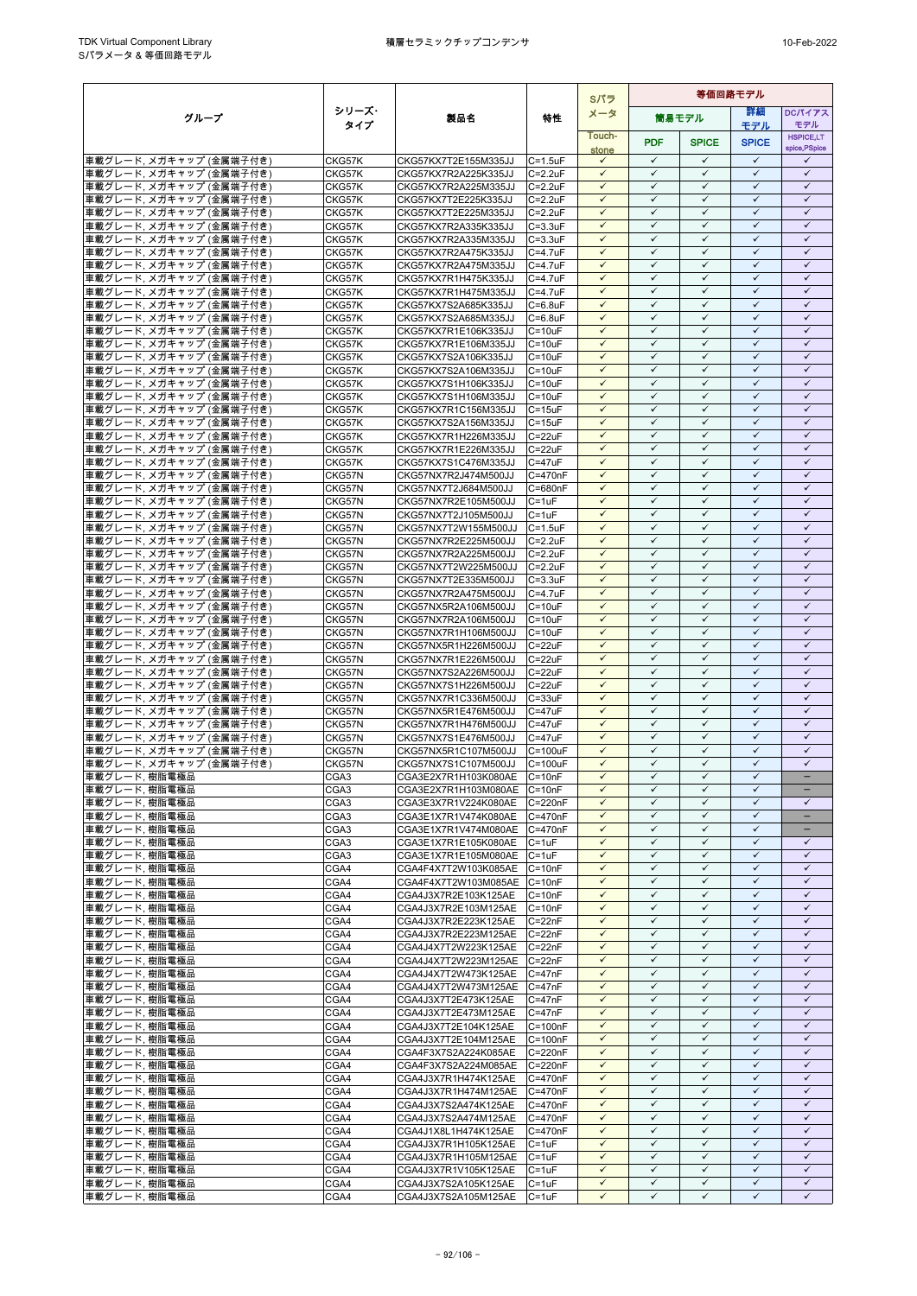|                                                     |                  |                                              |                              | Sパラ                          |                              | 等価回路モデル                      |                              |                              |  |  |  |
|-----------------------------------------------------|------------------|----------------------------------------------|------------------------------|------------------------------|------------------------------|------------------------------|------------------------------|------------------------------|--|--|--|
| グループ                                                | シリーズ・            | 製品名                                          | 特性                           | メータ                          |                              | 筒易モデル                        | 詳細                           | <b>DCパイアス</b>                |  |  |  |
|                                                     | タイプ              |                                              |                              | Touch-                       |                              |                              | モデル                          | モデル<br><b>HSPICE,LT</b>      |  |  |  |
|                                                     |                  |                                              |                              | stone                        | <b>PDF</b>                   | <b>SPICE</b>                 | <b>SPICE</b>                 | spice, PSpice                |  |  |  |
| 車載グレード, メガキャップ (金属端子付き)                             | CKG57K           | CKG57KX7T2E155M335JJ                         | $C = 1.5uF$                  | $\checkmark$                 | $\checkmark$                 | $\checkmark$                 | $\checkmark$                 | ✓                            |  |  |  |
| 車載グレード、メガキャップ (金属端子付き)                              | CKG57K           | CKG57KX7R2A225K335JJ                         | $C = 2.2uF$                  | $\checkmark$                 | $\checkmark$                 | $\checkmark$                 | $\checkmark$                 | $\checkmark$                 |  |  |  |
| 車載グレード, メガキャップ (金属端子付き)                             | CKG57K           | CKG57KX7R2A225M335JJ                         | $C = 2.2uF$                  | $\checkmark$<br>$\checkmark$ | $\checkmark$<br>$\checkmark$ | ✓<br>$\checkmark$            | $\checkmark$<br>$\checkmark$ | $\checkmark$<br>$\checkmark$ |  |  |  |
| 車載グレード, メガキャップ (金属端子付き)<br> 車載グレード, メガキャップ (金属端子付き) | CKG57K<br>CKG57K | CKG57KX7T2E225K335JJ<br>CKG57KX7T2E225M335JJ | $C = 2.2uF$<br>$C = 2.2uF$   | $\checkmark$                 | $\checkmark$                 | $\checkmark$                 | $\checkmark$                 | $\checkmark$                 |  |  |  |
| 車載グレード、メガキャップ (金属端子付き)                              | CKG57K           | CKG57KX7R2A335K335JJ                         | $C = 3.3uF$                  | ✓                            | ✓                            | ✓                            | ✓                            | ✓                            |  |  |  |
| 車載グレード, メガキャップ (金属端子付き)                             | CKG57K           | CKG57KX7R2A335M335JJ                         | $C = 3.3uF$                  | $\checkmark$                 | $\checkmark$                 | $\checkmark$                 | $\checkmark$                 | $\checkmark$                 |  |  |  |
| 車載グレード, メガキャップ (金属端子付き)                             | CKG57K           | CKG57KX7R2A475K335JJ                         | $C=4.7$ uF                   | $\checkmark$                 | $\checkmark$                 | $\checkmark$                 | $\checkmark$                 | $\checkmark$                 |  |  |  |
| 車載グレード, メガキャップ (金属端子付き)                             | CKG57K           | CKG57KX7R2A475M335JJ                         | $C = 4.7$ u $F$              | $\checkmark$                 | $\checkmark$                 | $\checkmark$                 | $\checkmark$                 | $\checkmark$                 |  |  |  |
| 車載グレード, メガキャップ (金属端子付き)                             | CKG57K           | CKG57KX7R1H475K335JJ                         | $C = 4.7uF$                  | $\checkmark$<br>$\checkmark$ | $\checkmark$<br>$\checkmark$ | $\checkmark$<br>✓            | $\checkmark$<br>$\checkmark$ | $\checkmark$<br>$\checkmark$ |  |  |  |
| 車載グレード, メガキャップ (金属端子付き)<br>車載グレード、メガキャップ (金属端子付き)   | CKG57K<br>CKG57K | CKG57KX7R1H475M335JJ<br>CKG57KX7S2A685K335JJ | $C = 4.7$ uF<br>$C = 6.8$ uF | $\checkmark$                 | $\checkmark$                 | $\checkmark$                 | $\checkmark$                 | $\checkmark$                 |  |  |  |
| 車載グレード, メガキャップ (金属端子付き)                             | CKG57K           | CKG57KX7S2A685M335JJ                         | $C = 6.8$ uF                 | $\checkmark$                 | $\checkmark$                 | ✓                            | ✓                            | ✓                            |  |  |  |
| 車載グレード, メガキャップ (金属端子付き)                             | CKG57K           | CKG57KX7R1E106K335JJ                         | $C = 10uF$                   | $\checkmark$                 | $\checkmark$                 | $\checkmark$                 | $\checkmark$                 | $\checkmark$                 |  |  |  |
| 車載グレード, メガキャップ (金属端子付き)                             | CKG57K           | CKG57KX7R1E106M335JJ                         | $C = 10uF$                   | $\checkmark$                 | $\checkmark$                 | $\checkmark$                 | $\checkmark$                 | $\checkmark$                 |  |  |  |
| 車載グレード, メガキャップ (金属端子付き)                             | CKG57K           | CKG57KX7S2A106K335JJ                         | $C = 10uF$                   | $\checkmark$                 | $\checkmark$                 | $\checkmark$                 | $\checkmark$                 | $\checkmark$                 |  |  |  |
| 車載グレード、メガキャップ (金属端子付き)                              | CKG57K           | CKG57KX7S2A106M335JJ                         | $C = 10uF$                   | $\checkmark$<br>$\checkmark$ | $\checkmark$<br>$\checkmark$ | $\checkmark$<br>$\checkmark$ | $\checkmark$<br>$\checkmark$ | $\checkmark$<br>$\checkmark$ |  |  |  |
| 車載グレード, メガキャップ (金属端子付き)<br>車載グレード、メガキャップ (金属端子付き)   | CKG57K<br>CKG57K | CKG57KX7S1H106K335JJ<br>CKG57KX7S1H106M335JJ | $C = 10uF$<br>$C = 10uF$     | $\checkmark$                 | $\checkmark$                 | $\checkmark$                 | $\checkmark$                 | $\checkmark$                 |  |  |  |
| 車載グレード, メガキャップ (金属端子付き)                             | CKG57K           | CKG57KX7R1C156M335JJ                         | $C = 15uF$                   |                              | ✓                            | ✓                            | ✓                            | ✓                            |  |  |  |
| 車載グレード, メガキャップ (金属端子付き)                             | CKG57K           | CKG57KX7S2A156M335JJ                         | $C = 15uF$                   | $\checkmark$                 | $\checkmark$                 | $\checkmark$                 | $\checkmark$                 | $\checkmark$                 |  |  |  |
| 車載グレード, メガキャップ (金属端子付き)                             | CKG57K           | CKG57KX7R1H226M335JJ                         | $C = 22uF$                   | $\checkmark$                 | $\checkmark$                 | $\checkmark$                 | $\checkmark$                 | $\checkmark$                 |  |  |  |
| 車載グレード, メガキャップ (金属端子付き)                             | CKG57K           | CKG57KX7R1E226M335JJ                         | $C = 22uF$                   | $\checkmark$                 | $\checkmark$                 | $\checkmark$                 | $\checkmark$                 | $\checkmark$                 |  |  |  |
| 車載グレード. メガキャップ (金属端子付き)                             | CKG57K           | CKG57KX7S1C476M335JJ                         | $C = 47uF$                   | $\checkmark$                 | $\checkmark$                 | $\checkmark$                 | $\checkmark$                 | $\checkmark$                 |  |  |  |
| 車載グレード、メガキャップ (金属端子付き)<br>車載グレード, メガキャップ (金属端子付き)   | CKG57N<br>CKG57N | CKG57NX7R2J474M500JJ<br>CKG57NX7T2J684M500JJ | C=470nF<br>C=680nF           | $\checkmark$<br>$\checkmark$ | ✓<br>$\checkmark$            | ✓<br>$\checkmark$            | ✓<br>$\checkmark$            | ✓<br>$\checkmark$            |  |  |  |
| 車載グレード, メガキャップ (金属端子付き)                             | CKG57N           | CKG57NX7R2E105M500JJ                         | $C = 1uF$                    | $\checkmark$                 | $\checkmark$                 | ✓                            | $\checkmark$                 | ✓                            |  |  |  |
| 車載グレード, メガキャップ (金属端子付き)                             | CKG57N           | CKG57NX7T2J105M500JJ                         | $C = 1uF$                    | $\checkmark$                 | $\checkmark$                 | $\checkmark$                 | $\checkmark$                 | $\checkmark$                 |  |  |  |
| 車載グレード、メガキャップ (金属端子付き)                              | CKG57N           | CKG57NX7T2W155M500JJ                         | $C = 1.5uF$                  | $\checkmark$                 | $\checkmark$                 | $\checkmark$                 | $\checkmark$                 | $\checkmark$                 |  |  |  |
| 車載グレード, メガキャップ (金属端子付き)                             | CKG57N           | CKG57NX7R2E225M500JJ                         | $C = 2.2uF$                  | $\checkmark$                 | $\checkmark$                 | ✓                            | $\checkmark$                 | $\checkmark$                 |  |  |  |
| 車載グレード、メガキャップ (金属端子付き)                              | CKG57N           | CKG57NX7R2A225M500JJ                         | $C = 2.2$ uF                 | $\checkmark$<br>$\checkmark$ | $\checkmark$<br>$\checkmark$ | $\checkmark$<br>✓            | $\checkmark$<br>$\checkmark$ | $\checkmark$<br>$\checkmark$ |  |  |  |
| 車載グレード, メガキャップ (金属端子付き)<br>車載グレード, メガキャップ (金属端子付き)  | CKG57N<br>CKG57N | CKG57NX7T2W225M500JJ<br>CKG57NX7T2E335M500JJ | $C = 2.2uF$<br>$C = 3.3uF$   | $\checkmark$                 | $\checkmark$                 | $\checkmark$                 | $\checkmark$                 | $\checkmark$                 |  |  |  |
| 車載グレード, メガキャップ (金属端子付き)                             | CKG57N           | CKG57NX7R2A475M500JJ                         | $C = 4.7$ uF                 | $\checkmark$                 | $\checkmark$                 | $\checkmark$                 | $\checkmark$                 | $\checkmark$                 |  |  |  |
| 車載グレード、メガキャップ (金属端子付き)                              | CKG57N           | CKG57NX5R2A106M500JJ                         | $C = 10uF$                   | $\checkmark$                 | $\checkmark$                 | $\checkmark$                 | $\checkmark$                 | $\checkmark$                 |  |  |  |
| 車載グレード, メガキャップ (金属端子付き)                             | CKG57N           | CKG57NX7R2A106M500JJ                         | $C = 10uF$                   | $\checkmark$                 | $\checkmark$                 | $\checkmark$                 | $\checkmark$                 | $\checkmark$                 |  |  |  |
| 車載グレード、メガキャップ (金属端子付き)                              | CKG57N           | CKG57NX7R1H106M500JJ                         | $C = 10uF$                   | $\checkmark$                 | $\checkmark$                 | ✓                            | $\checkmark$                 | $\checkmark$                 |  |  |  |
| 車載グレード、メガキャップ (金属端子付き)                              | CKG57N           | CKG57NX5R1H226M500JJ                         | $C = 22uF$                   | $\checkmark$<br>$\checkmark$ | $\checkmark$<br>$\checkmark$ | $\checkmark$<br>✓            | $\checkmark$<br>$\checkmark$ | $\checkmark$<br>$\checkmark$ |  |  |  |
| 車載グレード、メガキャップ (金属端子付き)<br>車載グレード, メガキャップ (金属端子付き)   | CKG57N<br>CKG57N | CKG57NX7R1E226M500JJ<br>CKG57NX7S2A226M500JJ | $C = 22uF$<br>$C = 22uF$     | $\checkmark$                 | $\checkmark$                 | $\checkmark$                 | $\checkmark$                 | $\checkmark$                 |  |  |  |
| 車載グレード, メガキャップ (金属端子付き)                             | CKG57N           | CKG57NX7S1H226M500JJ                         | $C = 22uF$                   | $\checkmark$                 | $\checkmark$                 | $\checkmark$                 | $\checkmark$                 | $\checkmark$                 |  |  |  |
| 車載グレード、メガキャップ (金属端子付き)                              | CKG57N           | CKG57NX7R1C336M500JJ                         | $C = 33uF$                   | $\checkmark$                 | $\checkmark$                 | ✓                            | $\checkmark$                 | $\checkmark$                 |  |  |  |
| 車載グレード, メガキャップ (金属端子付き)                             | CKG57N           | CKG57NX5R1E476M500JJ                         | $C = 47uF$                   | $\checkmark$                 | $\checkmark$                 | $\checkmark$                 | $\checkmark$                 | $\checkmark$                 |  |  |  |
| 車載グレード. メガキャップ (金属端子付き)                             | CKG57N           | CKG57NX7R1H476M500JJ                         | $C = 47uF$                   | $\checkmark$                 | $\checkmark$                 | ✓                            | $\checkmark$                 | ✓                            |  |  |  |
| 車載グレード, メガキャップ (金属端子付き)<br>車載グレード. メガキャップ (金属端子付き)  | CKG57N           | CKG57NX7S1E476M500JJ                         | $C = 47uF$                   | $\checkmark$                 | $\checkmark$<br>✓            | $\checkmark$<br>✓            | $\checkmark$<br>$\checkmark$ | $\checkmark$<br>✓            |  |  |  |
| 車載グレード, メガキャップ (金属端子付き)                             | CKG57N<br>CKG57N | CKG57NX5R1C107M500JJ<br>CKG57NX7S1C107M500JJ | C=100uF<br>$C = 100uF$       | $\checkmark$                 | $\checkmark$                 | $\checkmark$                 | $\checkmark$                 | $\checkmark$                 |  |  |  |
| 車載グレード, 樹脂電極品                                       | CGA3             | CGA3E2X7R1H103K080AE                         | $C = 10nF$                   | $\checkmark$                 | $\checkmark$                 | $\checkmark$                 | $\checkmark$                 |                              |  |  |  |
| 車載グレード, 樹脂電極品                                       | CGA <sub>3</sub> | CGA3E2X7R1H103M080AE C=10nF                  |                              | $\checkmark$                 | $\checkmark$                 | $\checkmark$                 | $\checkmark$                 |                              |  |  |  |
| 車載グレード, 樹脂電極品                                       | CGA <sub>3</sub> | CGA3E3X7R1V224K080AE                         | $C = 220nF$                  | $\checkmark$                 | $\checkmark$                 | $\checkmark$                 | $\checkmark$                 | $\checkmark$                 |  |  |  |
| 車載グレード, 樹脂電極品                                       | CGA <sub>3</sub> | CGA3E1X7R1V474K080AE                         | C=470nF                      | $\checkmark$                 | $\checkmark$                 | $\checkmark$                 | $\checkmark$                 |                              |  |  |  |
| 車載グレード, 樹脂電極品                                       | CGA <sub>3</sub> | CGA3E1X7R1V474M080AE C=470nF                 |                              | $\checkmark$<br>$\checkmark$ | $\checkmark$<br>$\checkmark$ | $\checkmark$<br>$\checkmark$ | $\checkmark$<br>$\checkmark$ | ✓                            |  |  |  |
| 車載グレード, 樹脂電極品<br>車載グレード, 樹脂電極品                      | CGA3<br>CGA3     | CGA3E1X7R1E105K080AE<br>CGA3E1X7R1E105M080AE | $C = 1uF$<br>$C = 1uF$       | $\checkmark$                 | $\checkmark$                 | $\checkmark$                 | $\checkmark$                 | $\checkmark$                 |  |  |  |
| 車載グレード、樹脂電極品                                        | CGA4             | CGA4F4X7T2W103K085AE C=10nF                  |                              | $\checkmark$                 | $\checkmark$                 | $\checkmark$                 | $\checkmark$                 | $\checkmark$                 |  |  |  |
| 車載グレード, 樹脂電極品                                       | CGA4             | CGA4F4X7T2W103M085AE C=10nF                  |                              | $\checkmark$                 | $\checkmark$                 | ✓                            | $\checkmark$                 | $\checkmark$                 |  |  |  |
| 車載グレード、樹脂電極品                                        | CGA4             | CGA4J3X7R2E103K125AE                         | $C = 10nF$                   | $\checkmark$                 | $\checkmark$                 | $\checkmark$                 | $\checkmark$                 | $\checkmark$                 |  |  |  |
| 車載グレード, 樹脂電極品                                       | CGA4             | CGA4J3X7R2E103M125AE                         | $C = 10nF$                   | $\checkmark$                 | $\checkmark$                 | $\checkmark$                 | $\checkmark$                 | $\checkmark$                 |  |  |  |
| 車載グレード, 樹脂電極品<br>車載グレード, 樹脂電極品                      | CGA4<br>CGA4     | CGA4J3X7R2E223K125AE<br>CGA4J3X7R2E223M125AE | $C = 22nF$<br>$C = 22nF$     | $\checkmark$<br>$\checkmark$ | $\checkmark$<br>$\checkmark$ | $\checkmark$<br>$\checkmark$ | $\checkmark$<br>$\checkmark$ | $\checkmark$<br>$\checkmark$ |  |  |  |
| 車載グレード, 樹脂電極品                                       | CGA4             | CGA4J4X7T2W223K125AE                         | $C = 22nF$                   | $\checkmark$                 | $\checkmark$                 | ✓                            | $\checkmark$                 | $\checkmark$                 |  |  |  |
| 車載グレード、樹脂電極品                                        | CGA4             | CGA4J4X7T2W223M125AE C=22nF                  |                              | $\checkmark$                 | $\checkmark$                 | $\checkmark$                 | $\checkmark$                 | $\checkmark$                 |  |  |  |
| 車載グレード, 樹脂電極品                                       | CGA4             | CGA4J4X7T2W473K125AE                         | $C = 47nF$                   | $\checkmark$                 | ✓                            | ✓                            | ✓                            | ✓                            |  |  |  |
| 車載グレード、樹脂電極品                                        | CGA4             | CGA4J4X7T2W473M125AE C=47nF                  |                              | $\checkmark$                 | $\checkmark$                 | $\checkmark$                 | $\checkmark$                 | $\checkmark$                 |  |  |  |
| 車載グレード, 樹脂電極品                                       | CGA4             | CGA4J3X7T2E473K125AE                         | $C = 47nF$                   | $\checkmark$                 | $\checkmark$                 | $\checkmark$                 | $\checkmark$                 | $\checkmark$                 |  |  |  |
| 車載グレード, 樹脂電極品<br>車載グレード, 樹脂電極品                      | CGA4<br>CGA4     | CGA4J3X7T2E473M125AE<br>CGA4J3X7T2E104K125AE | $C = 47nF$<br>$C = 100nF$    | $\checkmark$<br>$\checkmark$ | $\checkmark$<br>$\checkmark$ | $\checkmark$<br>$\checkmark$ | $\checkmark$<br>$\checkmark$ | $\checkmark$<br>$\checkmark$ |  |  |  |
| 車載グレード, 樹脂電極品                                       | CGA4             | CGA4J3X7T2E104M125AE                         | $C = 100nF$                  | $\checkmark$                 | $\checkmark$                 | $\checkmark$                 | $\checkmark$                 | $\checkmark$                 |  |  |  |
| 車載グレード, 樹脂電極品                                       | CGA4             | CGA4F3X7S2A224K085AE                         | C=220nF                      | $\checkmark$                 | $\checkmark$                 | $\checkmark$                 | $\checkmark$                 | $\checkmark$                 |  |  |  |
| 車載グレード, 樹脂電極品                                       | CGA4             | CGA4F3X7S2A224M085AE                         | C=220nF                      | $\checkmark$                 | $\checkmark$                 | $\checkmark$                 | $\checkmark$                 | $\checkmark$                 |  |  |  |
| 車載グレード, 樹脂電極品                                       | CGA4             | CGA4J3X7R1H474K125AE                         | C=470nF                      | $\checkmark$                 | $\checkmark$                 | $\checkmark$                 | $\checkmark$                 | $\checkmark$                 |  |  |  |
| 車載グレード, 樹脂電極品                                       | CGA4             | CGA4J3X7R1H474M125AE                         | C=470nF                      | $\checkmark$                 | $\checkmark$                 | $\checkmark$                 | $\checkmark$                 | $\checkmark$                 |  |  |  |
| 車載グレード, 樹脂電極品<br> 車載グレード, 樹脂電極品                     | CGA4<br>CGA4     | CGA4J3X7S2A474K125AE<br>CGA4J3X7S2A474M125AE | C=470nF<br>$C = 470nF$       | $\checkmark$<br>$\checkmark$ | $\checkmark$<br>$\checkmark$ | $\checkmark$<br>$\checkmark$ | $\checkmark$<br>$\checkmark$ | $\checkmark$<br>$\checkmark$ |  |  |  |
| 車載グレード, 樹脂電極品                                       | CGA4             | CGA4J1X8L1H474K125AE                         | C=470nF                      | $\checkmark$                 | $\checkmark$                 | ✓                            | ✓                            | $\checkmark$                 |  |  |  |
| 車載グレード, 樹脂電極品                                       | CGA4             | CGA4J3X7R1H105K125AE                         | $C = 1uF$                    | $\checkmark$                 | $\checkmark$                 | $\checkmark$                 | $\checkmark$                 | $\checkmark$                 |  |  |  |
| 車載グレード, 樹脂電極品                                       | CGA4             | CGA4J3X7R1H105M125AE                         | $C = 1uF$                    | $\checkmark$                 | $\checkmark$                 | $\checkmark$                 | $\checkmark$                 | $\checkmark$                 |  |  |  |
| 車載グレード, 樹脂電極品                                       | CGA4             | CGA4J3X7R1V105K125AE                         | $C = 1uF$                    | $\checkmark$                 | $\checkmark$                 | $\checkmark$                 | $\checkmark$                 | $\checkmark$                 |  |  |  |
| 車載グレード, 樹脂電極品                                       | CGA4             | CGA4J3X7S2A105K125AE                         | $C = 1uF$                    | $\checkmark$                 | $\checkmark$                 | $\checkmark$                 | $\checkmark$                 | $\checkmark$                 |  |  |  |
| 車載グレード, 樹脂電極品                                       | CGA4             | CGA4J3X7S2A105M125AE                         | $C = 1uF$                    | $\checkmark$                 | $\checkmark$                 | ✓                            | $\checkmark$                 | $\checkmark$                 |  |  |  |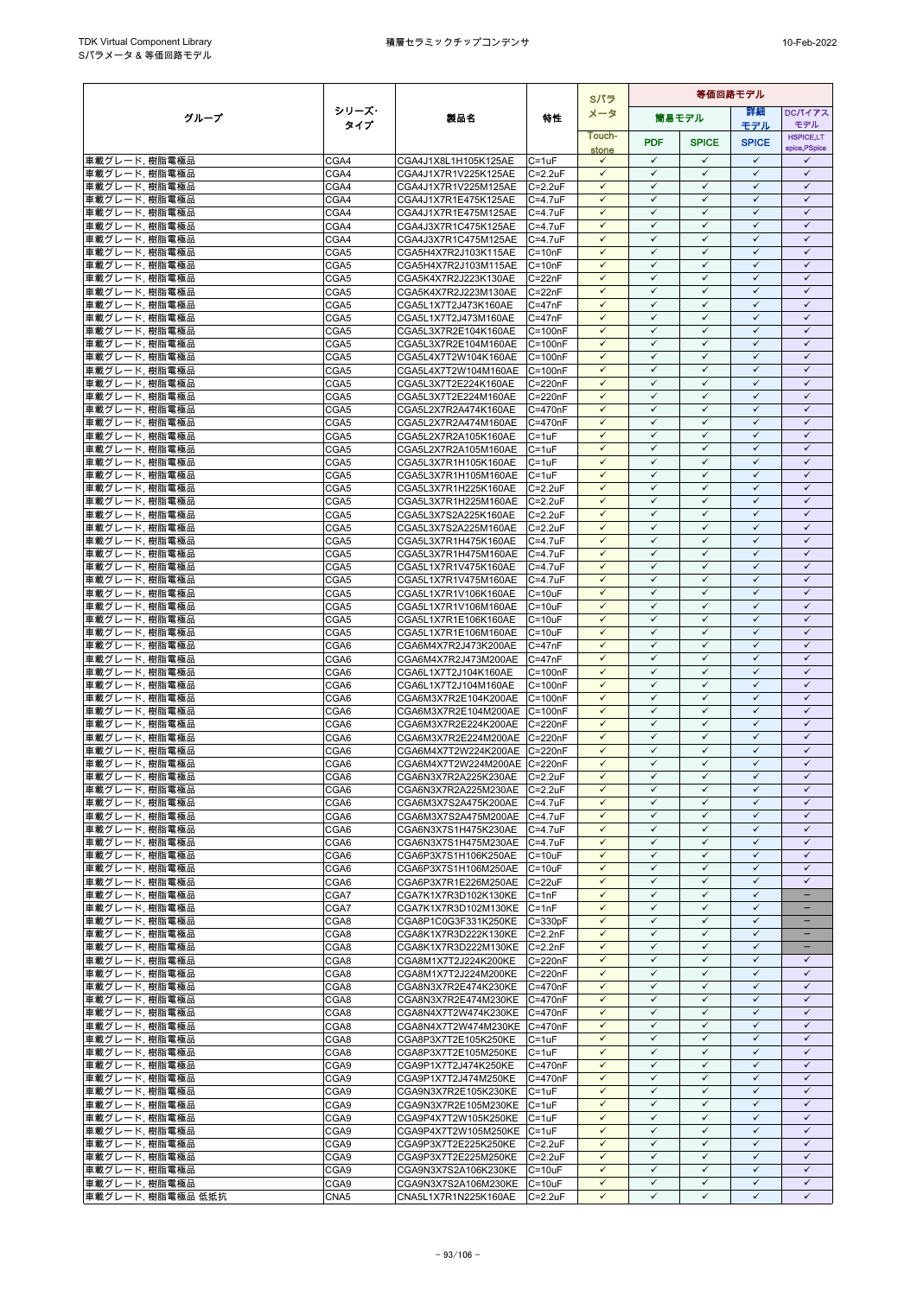|                                |              |                                                              |                                | Sパラ                          | 等価回路モデル                      |                              |                              |                                   |
|--------------------------------|--------------|--------------------------------------------------------------|--------------------------------|------------------------------|------------------------------|------------------------------|------------------------------|-----------------------------------|
| グループ                           | シリーズ・        | 製品名                                                          | 特性                             | メータ                          |                              | 簡易モデル                        | 詳細                           | <b>DCパイアス</b>                     |
|                                | タイプ          |                                                              |                                | Touch-                       |                              |                              | モデル                          | モデル                               |
|                                |              |                                                              |                                | stone                        | <b>PDF</b>                   | <b>SPICE</b>                 | <b>SPICE</b>                 | <b>HSPICE,LT</b><br>spice, PSpice |
| 車載グレード, 樹脂電極品                  | CGA4         | CGA4J1X8L1H105K125AE                                         | $C = 1uF$                      | $\checkmark$                 | $\checkmark$                 | $\checkmark$                 | $\checkmark$                 | $\checkmark$                      |
| 車載グレード, 樹脂電極品                  | CGA4         | CGA4J1X7R1V225K125AE                                         | $C = 2.2uF$                    | $\checkmark$                 | $\checkmark$                 | $\checkmark$                 | $\checkmark$                 | $\checkmark$                      |
| 車載グレード, 樹脂電極品                  | CGA4         | CGA4J1X7R1V225M125AE                                         | $C = 2.2uF$                    | $\checkmark$                 | $\checkmark$                 | $\checkmark$                 | $\checkmark$                 | $\checkmark$                      |
| 車載グレード, 樹脂電極品<br>車載グレード, 樹脂電極品 | CGA4<br>CGA4 | CGA4J1X7R1E475K125AE                                         | $C = 4.7uF$                    | $\checkmark$<br>$\checkmark$ | $\checkmark$<br>$\checkmark$ | $\checkmark$<br>$\checkmark$ | $\checkmark$<br>$\checkmark$ | $\checkmark$<br>$\checkmark$      |
| 車載グレード, 樹脂電極品                  | CGA4         | CGA4J1X7R1E475M125AE<br>CGA4J3X7R1C475K125AE                 | $C = 4.7uF$<br>$C = 4.7$ u $F$ | $\checkmark$                 | $\checkmark$                 | $\checkmark$                 | $\checkmark$                 | $\checkmark$                      |
| 車載グレード, 樹脂電極品                  | CGA4         | CGA4J3X7R1C475M125AE                                         | $C = 4.7$ u $F$                | $\checkmark$                 | $\checkmark$                 | $\checkmark$                 | $\checkmark$                 | $\checkmark$                      |
| 車載グレード, 樹脂電極品                  | CGA5         | CGA5H4X7R2J103K115AE                                         | $C = 10nF$                     | $\checkmark$                 | $\checkmark$                 | $\checkmark$                 | $\checkmark$                 | $\checkmark$                      |
| 車載グレード, 樹脂電極品                  | CGA5         | CGA5H4X7R2J103M115AE                                         | $C = 10nF$                     | $\checkmark$                 | $\checkmark$                 | $\checkmark$                 | $\checkmark$                 | $\checkmark$                      |
| 車載グレード, 樹脂電極品                  | CGA5         | CGA5K4X7R2J223K130AE                                         | $C = 22nF$                     | $\checkmark$                 | $\checkmark$                 | $\checkmark$                 | $\checkmark$                 | $\checkmark$                      |
| 車載グレード, 樹脂電極品                  | CGA5         | CGA5K4X7R2J223M130AE                                         | $C = 22nF$                     | $\checkmark$<br>$\checkmark$ | $\checkmark$<br>$\checkmark$ | $\checkmark$<br>$\checkmark$ | $\checkmark$<br>$\checkmark$ | $\checkmark$<br>$\checkmark$      |
| 車載グレード, 樹脂電極品<br>車載グレード, 樹脂電極品 | CGA5<br>CGA5 | CGA5L1X7T2J473K160AE<br>CGA5L1X7T2J473M160AE                 | $C = 47nF$<br>$C = 47nF$       | $\checkmark$                 | $\checkmark$                 | $\checkmark$                 | $\checkmark$                 | $\checkmark$                      |
| 車載グレード, 樹脂電極品                  | CGA5         | CGA5L3X7R2E104K160AE                                         | $C = 100nF$                    | $\checkmark$                 | $\checkmark$                 | $\checkmark$                 | $\checkmark$                 | $\checkmark$                      |
| 車載グレード, 樹脂電極品                  | CGA5         | CGA5L3X7R2E104M160AE                                         | $C = 100nF$                    | $\checkmark$                 | $\checkmark$                 | $\checkmark$                 | $\checkmark$                 | $\checkmark$                      |
| 車載グレード, 樹脂電極品                  | CGA5         | CGA5L4X7T2W104K160AE                                         | $C = 100nF$                    | $\checkmark$                 | $\checkmark$                 | $\checkmark$                 | $\checkmark$                 | $\checkmark$                      |
| 車載グレード, 樹脂電極品                  | CGA5         | CGA5L4X7T2W104M160AE                                         | $C = 100nF$                    | $\checkmark$                 | $\checkmark$                 | $\checkmark$                 | $\checkmark$                 | $\checkmark$                      |
| 車載グレード, 樹脂電極品                  | CGA5         | CGA5L3X7T2E224K160AE                                         | C=220nF                        | $\checkmark$<br>$\checkmark$ | $\checkmark$<br>$\checkmark$ | ✓<br>$\checkmark$            | ✓<br>$\checkmark$            | $\checkmark$<br>$\checkmark$      |
| 車載グレード, 樹脂電極品<br>車載グレード, 樹脂電極品 | CGA5<br>CGA5 | CGA5L3X7T2E224M160AE<br>CGA5L2X7R2A474K160AE                 | $C = 220nF$<br>$C = 470nF$     | $\checkmark$                 | $\checkmark$                 | $\checkmark$                 | $\checkmark$                 | $\checkmark$                      |
| 車載グレード, 樹脂電極品                  | CGA5         | CGA5L2X7R2A474M160AE                                         | $C = 470nF$                    | $\checkmark$                 | $\checkmark$                 | $\checkmark$                 | $\checkmark$                 | $\checkmark$                      |
| 車載グレード, 樹脂電極品                  | CGA5         | CGA5L2X7R2A105K160AE                                         | $C = 1uF$                      | $\checkmark$                 | $\checkmark$                 | $\checkmark$                 | $\checkmark$                 | $\checkmark$                      |
| 車載グレード, 樹脂電極品                  | CGA5         | CGA5L2X7R2A105M160AE                                         | $C = 1uF$                      | $\checkmark$                 | $\checkmark$                 | $\checkmark$                 | $\checkmark$                 | $\checkmark$                      |
| 車載グレード, 樹脂電極品                  | CGA5         | CGA5L3X7R1H105K160AE                                         | $C = 1uF$                      | $\checkmark$                 | $\checkmark$                 | $\checkmark$                 | $\checkmark$                 | $\checkmark$                      |
| 車載グレード, 樹脂電極品                  | CGA5         | CGA5L3X7R1H105M160AE                                         | $C = 1uF$                      | $\checkmark$<br>$\checkmark$ | $\checkmark$<br>$\checkmark$ | $\checkmark$<br>$\checkmark$ | $\checkmark$<br>$\checkmark$ | $\checkmark$<br>$\checkmark$      |
| 車載グレード, 樹脂電極品<br>車載グレード, 樹脂電極品 | CGA5<br>CGA5 | CGA5L3X7R1H225K160AE<br>CGA5L3X7R1H225M160AE                 | $C = 2.2uF$<br>$C = 2.2uF$     | $\checkmark$                 | ✓                            | $\checkmark$                 | $\checkmark$                 | $\checkmark$                      |
| 車載グレード,樹脂電極品                   | CGA5         | CGA5L3X7S2A225K160AE                                         | $C = 2.2uF$                    | $\checkmark$                 | $\checkmark$                 | $\checkmark$                 | $\checkmark$                 | $\checkmark$                      |
| 車載グレード, 樹脂電極品                  | CGA5         | CGA5L3X7S2A225M160AE                                         | $C = 2.2uF$                    | $\checkmark$                 | $\checkmark$                 | $\checkmark$                 | $\checkmark$                 | $\checkmark$                      |
| 車載グレード, 樹脂電極品                  | CGA5         | CGA5L3X7R1H475K160AE                                         | $C = 4.7uF$                    | $\checkmark$                 | $\checkmark$                 | $\checkmark$                 | $\checkmark$                 | $\checkmark$                      |
| 車載グレード, 樹脂電極品                  | CGA5         | CGA5L3X7R1H475M160AE                                         | $C = 4.7$ u $F$                | $\checkmark$                 | $\checkmark$                 | $\checkmark$                 | $\checkmark$                 | $\checkmark$                      |
| 車載グレード, 樹脂電極品                  | CGA5         | CGA5L1X7R1V475K160AE                                         | $C = 4.7$ u $F$                | $\checkmark$                 | $\checkmark$                 | $\checkmark$                 | $\checkmark$<br>$\checkmark$ | $\checkmark$                      |
| 車載グレード, 樹脂電極品<br>車載グレード, 樹脂電極品 | CGA5<br>CGA5 | CGA5L1X7R1V475M160AE<br>CGA5L1X7R1V106K160AE                 | $C = 4.7$ u $F$<br>$C = 10uF$  | $\checkmark$<br>$\checkmark$ | $\checkmark$<br>$\checkmark$ | $\checkmark$<br>$\checkmark$ | $\checkmark$                 | $\checkmark$<br>$\checkmark$      |
| 車載グレード, 樹脂電極品                  | CGA5         | CGA5L1X7R1V106M160AE                                         | $C = 10uF$                     | $\checkmark$                 | $\checkmark$                 | $\checkmark$                 | $\checkmark$                 | $\checkmark$                      |
| 車載グレード, 樹脂電極品                  | CGA5         | CGA5L1X7R1E106K160AE                                         | $C = 10uF$                     | $\checkmark$                 | $\checkmark$                 | $\checkmark$                 | $\checkmark$                 | $\checkmark$                      |
| 車載グレード, 樹脂電極品                  | CGA5         | CGA5L1X7R1E106M160AE                                         | $C = 10uF$                     | ✓                            | ✓                            | ✓                            | ✓                            | $\checkmark$                      |
| 車載グレード, 樹脂電極品                  | CGA6         | CGA6M4X7R2J473K200AE                                         | $C = 47nF$                     | $\checkmark$                 | $\checkmark$                 | $\checkmark$                 | $\checkmark$                 | $\checkmark$                      |
| 車載グレード, 樹脂電極品                  | CGA6         | CGA6M4X7R2J473M200AE                                         | $C = 47nF$                     | $\checkmark$                 | $\checkmark$<br>$\checkmark$ | $\checkmark$                 | $\checkmark$<br>$\checkmark$ | $\checkmark$                      |
| 車載グレード, 樹脂電極品<br>車載グレード, 樹脂電極品 | CGA6<br>CGA6 | CGA6L1X7T2J104K160AE<br>CGA6L1X7T2J104M160AE                 | $C = 100nF$<br>$C = 100nF$     | $\checkmark$<br>$\checkmark$ | $\checkmark$                 | $\checkmark$<br>$\checkmark$ | $\checkmark$                 | $\checkmark$<br>$\checkmark$      |
| 車載グレード, 樹脂電極品                  | CGA6         | CGA6M3X7R2E104K200AE C=100nF                                 |                                | $\checkmark$                 | $\checkmark$                 | $\checkmark$                 | $\checkmark$                 | $\checkmark$                      |
| 車載グレード, 樹脂電極品                  | CGA6         | CGA6M3X7R2E104M200AE C=100nF                                 |                                | $\checkmark$                 | $\checkmark$                 | $\checkmark$                 | $\checkmark$                 | $\checkmark$                      |
| 車載グレード, 樹脂電極品                  | CGA6         | CGA6M3X7R2E224K200AE                                         | C=220nF                        | $\checkmark$                 | $\checkmark$                 | $\checkmark$                 | $\checkmark$                 | $\checkmark$                      |
| 車載グレード, 樹脂電極品                  | CGA6         | CGA6M3X7R2E224M200AE C=220nF                                 |                                | $\checkmark$                 | $\checkmark$                 | $\checkmark$                 | $\checkmark$                 | $\checkmark$                      |
| 車載グレード, 樹脂電極品                  | CGA6         | CGA6M4X7T2W224K200AE                                         | $C = 220nF$                    | $\checkmark$<br>$\checkmark$ | $\checkmark$<br>$\checkmark$ | $\checkmark$                 | $\checkmark$<br>$\checkmark$ | $\checkmark$                      |
| 車載グレード, 樹脂電極品<br>車載グレード, 樹脂電極品 | CGA6<br>CGA6 | CGA6M4X7T2W224M200AE C=220nF<br>CGA6N3X7R2A225K230AE C=2.2uF |                                | $\checkmark$                 | $\checkmark$                 | $\checkmark$<br>$\checkmark$ | $\checkmark$                 | $\checkmark$<br>$\checkmark$      |
| 車載グレード、樹脂電極品                   | CGA6         | CGA6N3X7R2A225M230AE C=2.2uF                                 |                                | $\checkmark$                 | $\checkmark$                 | $\checkmark$                 | ✓                            | $\checkmark$                      |
| 車載グレード、樹脂電極品                   | CGA6         | CGA6M3X7S2A475K200AE C=4.7uF                                 |                                | $\checkmark$                 | $\checkmark$                 | $\checkmark$                 | $\checkmark$                 | $\checkmark$                      |
| 車載グレード, 樹脂電極品                  | CGA6         | CGA6M3X7S2A475M200AE C=4.7uF                                 |                                | $\checkmark$                 | $\checkmark$                 | $\checkmark$                 | $\checkmark$                 | $\checkmark$                      |
| 車載グレード, 樹脂電極品                  | CGA6         | CGA6N3X7S1H475K230AE                                         | $C=4.7$ uF                     | $\checkmark$                 | $\checkmark$                 | $\checkmark$                 | $\checkmark$                 | $\checkmark$                      |
| 車載グレード, 樹脂電極品                  | CGA6         | CGA6N3X7S1H475M230AE C=4.7uF                                 |                                | $\checkmark$                 | $\checkmark$                 | $\checkmark$                 | $\checkmark$                 | $\checkmark$                      |
| 車載グレード、樹脂電極品<br> 車載グレード, 樹脂電極品 | CGA6<br>CGA6 | CGA6P3X7S1H106K250AE<br>CGA6P3X7S1H106M250AE C=10uF          | $C = 10uF$                     | $\checkmark$<br>$\checkmark$ | $\checkmark$<br>$\checkmark$ | $\checkmark$<br>$\checkmark$ | $\checkmark$<br>$\checkmark$ | $\checkmark$<br>$\checkmark$      |
| 車載グレード, 樹脂電極品                  | CGA6         | CGA6P3X7R1E226M250AE C=22uF                                  |                                | ✓                            | $\checkmark$                 | ✓                            | ✓                            | $\checkmark$                      |
| 車載グレード, 樹脂電極品                  | CGA7         | CGA7K1X7R3D102K130KE                                         | $C = 1nF$                      | $\checkmark$                 | $\checkmark$                 | $\checkmark$                 | $\checkmark$                 | $\qquad \qquad -$                 |
| 車載グレード, 樹脂電極品                  | CGA7         | CGA7K1X7R3D102M130KE                                         | $C = 1nF$                      | $\checkmark$                 | $\checkmark$                 | $\checkmark$                 | $\checkmark$                 | $\qquad \qquad -$                 |
| 車載グレード, 樹脂電極品                  | CGA8         | CGA8P1C0G3F331K250KE                                         | $C = 330pF$                    | $\checkmark$                 | $\checkmark$                 | $\checkmark$                 | $\checkmark$                 |                                   |
| 車載グレード, 樹脂電極品                  | CGA8         | CGA8K1X7R3D222K130KE                                         | $C = 2.2nF$                    | $\checkmark$                 | $\checkmark$                 | $\checkmark$                 | $\checkmark$                 | $\qquad \qquad -$                 |
| 車載グレード, 樹脂電極品<br>車載グレード, 樹脂電極品 | CGA8<br>CGA8 | CGA8K1X7R3D222M130KE C=2.2nF<br>CGA8M1X7T2J224K200KE         | C=220nF                        | $\checkmark$<br>$\checkmark$ | $\checkmark$<br>$\checkmark$ | $\checkmark$<br>$\checkmark$ | $\checkmark$<br>$\checkmark$ | $\qquad \qquad -$<br>$\checkmark$ |
| 車載グレード, 樹脂電極品                  | CGA8         | CGA8M1X7T2J224M200KE                                         | $C = 220nF$                    | $\checkmark$                 | $\checkmark$                 | $\checkmark$                 | $\checkmark$                 | $\checkmark$                      |
| 車載グレード, 樹脂電極品                  | CGA8         | CGA8N3X7R2E474K230KE                                         | C=470nF                        | $\checkmark$                 | $\checkmark$                 | $\checkmark$                 | $\checkmark$                 | $\checkmark$                      |
| 車載グレード, 樹脂電極品                  | CGA8         | CGA8N3X7R2E474M230KE C=470nF                                 |                                | $\checkmark$                 | $\checkmark$                 | $\checkmark$                 | $\checkmark$                 | $\checkmark$                      |
| 車載グレード, 樹脂電極品                  | CGA8         | CGA8N4X7T2W474K230KE C=470nF                                 |                                | $\checkmark$                 | $\checkmark$                 | $\checkmark$                 | $\checkmark$                 | $\checkmark$                      |
| 車載グレード, 樹脂電極品                  | CGA8         | CGA8N4X7T2W474M230KE C=470nF                                 |                                | $\checkmark$                 | $\checkmark$                 | $\checkmark$                 | $\checkmark$                 | $\checkmark$                      |
| 車載グレード, 樹脂電極品<br>車載グレード, 樹脂電極品 | CGA8<br>CGA8 | CGA8P3X7T2E105K250KE<br>CGA8P3X7T2E105M250KE                 | $C = 1uF$<br>$C = 1uF$         | $\checkmark$<br>$\checkmark$ | ✓<br>$\checkmark$            | $\checkmark$<br>$\checkmark$ | ✓<br>$\checkmark$            | $\checkmark$<br>$\checkmark$      |
| 車載グレード, 樹脂電極品                  | CGA9         | CGA9P1X7T2J474K250KE                                         | C=470nF                        | $\checkmark$                 | $\checkmark$                 | $\checkmark$                 | $\checkmark$                 | $\checkmark$                      |
| 車載グレード, 樹脂電極品                  | CGA9         | CGA9P1X7T2J474M250KE                                         | $C = 470nF$                    | $\checkmark$                 | $\checkmark$                 | $\checkmark$                 | $\checkmark$                 | $\checkmark$                      |
| 車載グレード, 樹脂電極品                  | CGA9         | CGA9N3X7R2E105K230KE                                         | $C = 1uF$                      | $\checkmark$                 | $\checkmark$                 | $\checkmark$                 | $\checkmark$                 | $\checkmark$                      |
| 車載グレード, 樹脂電極品                  | CGA9         | CGA9N3X7R2E105M230KE C=1uF                                   |                                | $\checkmark$                 | $\checkmark$                 | $\checkmark$                 | $\checkmark$                 | $\checkmark$                      |
| 車載グレード, 樹脂電極品                  | CGA9         | CGA9P4X7T2W105K250KE                                         | $C = 1uF$                      | $\checkmark$                 | $\checkmark$<br>$\checkmark$ | $\checkmark$<br>$\checkmark$ | $\checkmark$<br>$\checkmark$ | $\checkmark$<br>$\checkmark$      |
| 車載グレード, 樹脂電極品<br>車載グレード, 樹脂電極品 | CGA9<br>CGA9 | CGA9P4X7T2W105M250KE C=1uF<br>CGA9P3X7T2E225K250KE           | $C = 2.2uF$                    | $\checkmark$<br>$\checkmark$ | $\checkmark$                 | $\checkmark$                 | $\checkmark$                 | $\checkmark$                      |
| 車載グレード, 樹脂電極品                  | CGA9         | CGA9P3X7T2E225M250KE                                         | $C = 2.2uF$                    | $\checkmark$                 | $\checkmark$                 | $\checkmark$                 | $\checkmark$                 | $\checkmark$                      |
| 車載グレード, 樹脂電極品                  | CGA9         | CGA9N3X7S2A106K230KE                                         | $C = 10uF$                     | $\checkmark$                 | $\checkmark$                 | $\checkmark$                 | $\checkmark$                 | $\checkmark$                      |
| 車載グレード, 樹脂電極品                  | CGA9         | CGA9N3X7S2A106M230KE                                         | $C = 10uF$                     | $\checkmark$                 | $\checkmark$                 | $\checkmark$                 | $\checkmark$                 | $\checkmark$                      |
| 車載グレード, 樹脂電極品 低抵抗              | CNA5         | CNA5L1X7R1N225K160AE                                         | $C = 2.2uF$                    | $\checkmark$                 | $\checkmark$                 | $\checkmark$                 | $\checkmark$                 | $\checkmark$                      |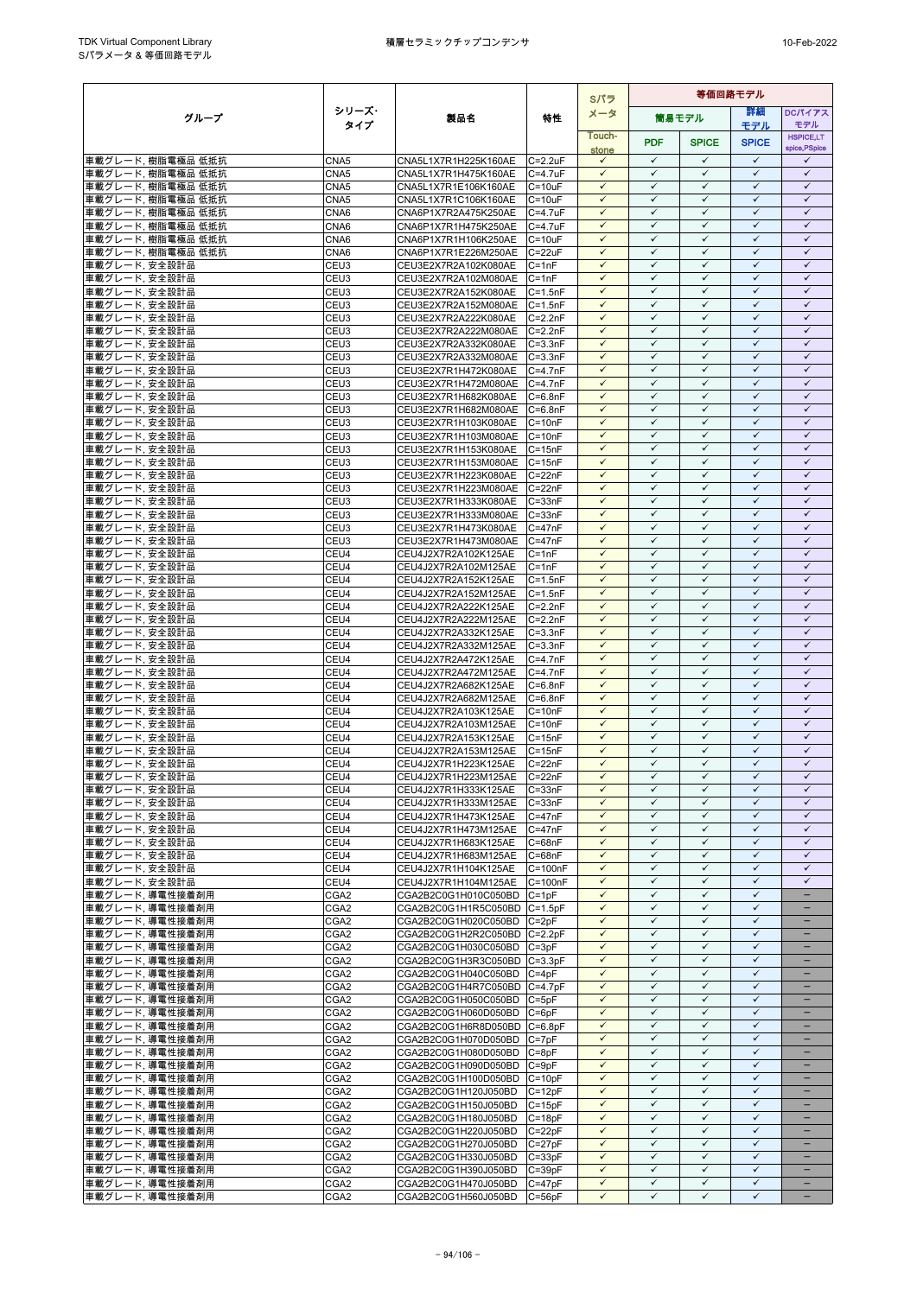|                                        |                                      |                                                            |                            | Sパラ                          | 等価回路モデル                      |                              |                              |                              |
|----------------------------------------|--------------------------------------|------------------------------------------------------------|----------------------------|------------------------------|------------------------------|------------------------------|------------------------------|------------------------------|
| グループ                                   | シリーズ・                                | 製品名                                                        | 特性                         | メータ                          |                              | 筒易モデル                        | 詳細                           | <b>DCパイアス</b>                |
|                                        | タイプ                                  |                                                            |                            | Touch-                       |                              |                              | モデル                          | モデル<br><b>HSPICE,LT</b>      |
|                                        |                                      |                                                            |                            | stone                        | <b>PDF</b>                   | <b>SPICE</b>                 | <b>SPICE</b>                 | spice, PSpice                |
| 車載グレード, 樹脂電極品 低抵抗                      | CNA5                                 | CNA5L1X7R1H225K160AE                                       | $C = 2.2uF$                | $\checkmark$                 | $\checkmark$                 | $\checkmark$                 | $\checkmark$                 | $\checkmark$                 |
| 車載グレード, 樹脂電極品 低抵抗                      | CNA5                                 | CNA5L1X7R1H475K160AE                                       | $C=4.7$ uF                 | $\checkmark$                 | $\checkmark$                 | $\checkmark$                 | $\checkmark$                 | $\checkmark$                 |
| 車載グレード, 樹脂電極品 低抵抗                      | CNA5                                 | CNA5L1X7R1E106K160AE                                       | $C = 10uF$                 | $\checkmark$<br>$\checkmark$ | $\checkmark$<br>$\checkmark$ | $\checkmark$<br>$\checkmark$ | $\checkmark$<br>$\checkmark$ | $\checkmark$<br>$\checkmark$ |
| 車載グレード, 樹脂電極品 低抵抗<br>車載グレード, 樹脂電極品 低抵抗 | CNA5<br>CNA6                         | CNA5L1X7R1C106K160AE<br>CNA6P1X7R2A475K250AE               | $C = 10uF$<br>$C = 4.7uF$  | $\checkmark$                 | $\checkmark$                 | $\checkmark$                 | $\checkmark$                 | $\checkmark$                 |
| 車載グレード, 樹脂電極品 低抵抗                      | CNA6                                 | CNA6P1X7R1H475K250AE                                       | $C = 4.7$ u $F$            | $\checkmark$                 | $\checkmark$                 | $\checkmark$                 | $\checkmark$                 | $\checkmark$                 |
| 車載グレード, 樹脂電極品 低抵抗                      | CNA6                                 | CNA6P1X7R1H106K250AE                                       | $C = 10uF$                 | $\checkmark$                 | $\checkmark$                 | $\checkmark$                 | $\checkmark$                 | $\checkmark$                 |
| 車載グレード, 樹脂電極品 低抵抗                      | CNA6                                 | CNA6P1X7R1E226M250AE                                       | $C = 22uF$                 | $\checkmark$                 | $\checkmark$                 | $\checkmark$                 | $\checkmark$                 | $\checkmark$                 |
| 車載グレード, 安全設計品                          | CEU3                                 | CEU3E2X7R2A102K080AE                                       | $C = 1nF$                  | $\checkmark$                 | $\checkmark$                 | $\checkmark$                 | $\checkmark$                 | $\checkmark$                 |
| 車載グレード, 安全設計品                          | CEU <sub>3</sub>                     | CEU3E2X7R2A102M080AE                                       | $C = 1nF$                  | $\checkmark$<br>$\checkmark$ | $\checkmark$<br>$\checkmark$ | $\checkmark$<br>$\checkmark$ | $\checkmark$<br>$\checkmark$ | $\checkmark$<br>$\checkmark$ |
| 車載グレード, 安全設計品<br>車載グレード. 安全設計品         | CEU3<br>CEU3                         | CEU3E2X7R2A152K080AE<br>CEU3E2X7R2A152M080AE               | $C = 1.5nF$<br>$C = 1.5nF$ | $\checkmark$                 | $\checkmark$                 | $\checkmark$                 | $\checkmark$                 | $\checkmark$                 |
| 車載グレード, 安全設計品                          | CEU3                                 | CEU3E2X7R2A222K080AE                                       | $C = 2.2nF$                | ✓                            | $\checkmark$                 | $\checkmark$                 | $\checkmark$                 | $\checkmark$                 |
| 車載グレード, 安全設計品                          | CEU3                                 | CEU3E2X7R2A222M080AE                                       | $C = 2.2nF$                | $\checkmark$                 | $\checkmark$                 | $\checkmark$                 | $\checkmark$                 | $\checkmark$                 |
| 車載グレード, 安全設計品                          | CEU3                                 | CEU3E2X7R2A332K080AE                                       | $C = 3.3nF$                | $\checkmark$                 | $\checkmark$                 | $\checkmark$                 | $\checkmark$                 | $\checkmark$                 |
| 車載グレード, 安全設計品                          | CEU3                                 | CEU3E2X7R2A332M080AE                                       | $C = 3.3nF$                | $\checkmark$                 | $\checkmark$                 | $\checkmark$                 | $\checkmark$                 | $\checkmark$                 |
| 車載グレード, 安全設計品                          | CEU3                                 | CEU3E2X7R1H472K080AE                                       | $C=4.7nF$                  | $\checkmark$                 | $\checkmark$                 | $\checkmark$                 | $\checkmark$                 | $\checkmark$                 |
| 車載グレード, 安全設計品<br>車載グレード, 安全設計品         | CEU3<br>CEU3                         | CEU3E2X7R1H472M080AE<br>CEU3E2X7R1H682K080AE               | $C=4.7nF$<br>$C = 6.8nF$   | $\checkmark$<br>$\checkmark$ | $\checkmark$<br>$\checkmark$ | $\checkmark$<br>$\checkmark$ | ✓<br>$\checkmark$            | $\checkmark$<br>$\checkmark$ |
| 車載グレード, 安全設計品                          | CEU3                                 | CEU3E2X7R1H682M080AE                                       | $C = 6.8nF$                | $\checkmark$                 | $\checkmark$                 | $\checkmark$                 | $\checkmark$                 | $\checkmark$                 |
| 車載グレード, 安全設計品                          | CEU3                                 | CEU3E2X7R1H103K080AE                                       | $C = 10nF$                 | $\checkmark$                 | $\checkmark$                 | $\checkmark$                 | $\checkmark$                 | $\checkmark$                 |
| 車載グレード, 安全設計品                          | CEU3                                 | CEU3E2X7R1H103M080AE                                       | $C = 10nF$                 | $\checkmark$                 | $\checkmark$                 | $\checkmark$                 | $\checkmark$                 | $\checkmark$                 |
| 車載グレード, 安全設計品                          | CEU3                                 | CEU3E2X7R1H153K080AE                                       | $C = 15nF$                 | $\checkmark$                 | $\checkmark$                 | $\checkmark$                 | $\checkmark$                 | $\checkmark$                 |
| 車載グレード. 安全設計品                          | CEU3                                 | CEU3E2X7R1H153M080AE                                       | $C = 15nF$                 | $\checkmark$                 | $\checkmark$                 | $\checkmark$                 | $\checkmark$<br>$\checkmark$ | $\checkmark$<br>$\checkmark$ |
| 車載グレード, 安全設計品<br>車載グレード, 安全設計品         | CEU3<br>CEU3                         | CEU3E2X7R1H223K080AE<br>CEU3E2X7R1H223M080AE               | $C = 22nF$<br>$C = 22nF$   | ✓<br>$\checkmark$            | $\checkmark$<br>$\checkmark$ | ✓<br>$\checkmark$            | $\checkmark$                 | $\checkmark$                 |
| 車載グレード, 安全設計品                          | CEU3                                 | CEU3E2X7R1H333K080AE                                       | $C = 33nF$                 | $\checkmark$                 | $\checkmark$                 | $\checkmark$                 | $\checkmark$                 | $\checkmark$                 |
| 車載グレード, 安全設計品                          | CEU3                                 | CEU3E2X7R1H333M080AE                                       | $C = 33nF$                 | $\checkmark$                 | $\checkmark$                 | $\checkmark$                 | $\checkmark$                 | $\checkmark$                 |
| 車載グレード, 安全設計品                          | CEU3                                 | CEU3E2X7R1H473K080AE                                       | $C = 47nF$                 | $\checkmark$                 | $\checkmark$                 | $\checkmark$                 | $\checkmark$                 | $\checkmark$                 |
| 車載グレード, 安全設計品                          | CEU3                                 | CEU3E2X7R1H473M080AE                                       | $C = 47nF$                 | $\checkmark$                 | $\checkmark$                 | $\checkmark$                 | $\checkmark$                 | $\checkmark$                 |
| 車載グレード, 安全設計品                          | CEU4                                 | CEU4J2X7R2A102K125AE                                       | $C = 1nF$                  | $\checkmark$                 | $\checkmark$                 | $\checkmark$                 | $\checkmark$<br>$\checkmark$ | $\checkmark$                 |
| 車載グレード, 安全設計品<br>車載グレード, 安全設計品         | CEU4<br>CEU4                         | CEU4J2X7R2A102M125AE<br>CEU4J2X7R2A152K125AE               | $C = 1nF$<br>$C = 1.5nF$   | $\checkmark$<br>$\checkmark$ | $\checkmark$<br>$\checkmark$ | $\checkmark$<br>$\checkmark$ | $\checkmark$                 | $\checkmark$<br>$\checkmark$ |
| 車載グレード, 安全設計品                          | CEU4                                 | CEU4J2X7R2A152M125AE                                       | $C = 1.5nF$                | $\checkmark$                 | $\checkmark$                 | $\checkmark$                 | $\checkmark$                 | $\checkmark$                 |
| 車載グレード, 安全設計品                          | CEU4                                 | CEU4J2X7R2A222K125AE                                       | $C = 2.2nF$                | $\checkmark$                 | $\checkmark$                 | $\checkmark$                 | $\checkmark$                 | $\checkmark$                 |
| 車載グレード, 安全設計品                          | CEU4                                 | CEU4J2X7R2A222M125AE                                       | $C = 2.2nF$                | $\checkmark$                 | $\checkmark$                 | $\checkmark$                 | $\checkmark$                 | $\checkmark$                 |
| 車載グレード, 安全設計品                          | CEU4                                 | CEU4J2X7R2A332K125AE                                       | $C = 3.3nF$                | ✓                            | $\checkmark$                 | ✓                            | ✓                            | $\checkmark$                 |
| 車載グレード, 安全設計品                          | CEU4                                 | CEU4J2X7R2A332M125AE                                       | $C = 3.3nF$                | $\checkmark$<br>$\checkmark$ | $\checkmark$<br>$\checkmark$ | $\checkmark$<br>$\checkmark$ | $\checkmark$<br>$\checkmark$ | $\checkmark$<br>$\checkmark$ |
| 車載グレード, 安全設計品<br>車載グレード, 安全設計品         | CEU4<br>CEU4                         | CEU4J2X7R2A472K125AE<br>CEU4J2X7R2A472M125AE               | $C = 4.7nF$<br>$C=4.7nF$   | $\checkmark$                 | $\checkmark$                 | $\checkmark$                 | $\checkmark$                 | $\checkmark$                 |
| 車載グレード, 安全設計品                          | CEU4                                 | CEU4J2X7R2A682K125AE                                       | $C = 6.8nF$                | $\checkmark$                 | $\checkmark$                 | $\checkmark$                 | $\checkmark$                 | $\checkmark$                 |
| 車載グレード, 安全設計品                          | CEU4                                 | CEU4J2X7R2A682M125AE                                       | $C = 6.8nF$                | $\checkmark$                 | $\checkmark$                 | $\checkmark$                 | $\checkmark$                 | $\checkmark$                 |
| 車載グレード, 安全設計品                          | CEU4                                 | CEU4J2X7R2A103K125AE                                       | $C = 10nF$                 | $\checkmark$                 | $\checkmark$                 | $\checkmark$                 | $\checkmark$                 | $\checkmark$                 |
| 車載グレード, 安全設計品                          | CEU4                                 | CEU4J2X7R2A103M125AE                                       | $C = 10nF$                 | $\checkmark$                 | $\checkmark$                 | $\checkmark$                 | $\checkmark$                 | $\checkmark$                 |
| 車載グレード, 安全設計品                          | CEU4                                 | CEU4J2X7R2A153K125AE                                       | $C = 15nF$                 | $\checkmark$<br>$\checkmark$ | $\checkmark$<br>✓            | $\checkmark$<br>$\checkmark$ | $\checkmark$<br>$\checkmark$ | $\checkmark$<br>$\checkmark$ |
| 車載グレード, 安全設計品<br>車載グレード, 安全設計品         | CEU4<br>CEU4                         | CEU4J2X7R2A153M125AE<br>CEU4J2X7R1H223K125AE               | $C = 15nF$<br>$C = 22nF$   | $\checkmark$                 | $\checkmark$                 | $\checkmark$                 | $\checkmark$                 | $\checkmark$                 |
| 車載グレード, 安全設計品                          | CEU4                                 | CEU4J2X7R1H223M125AE C=22nF                                |                            | $\checkmark$                 | $\checkmark$                 | $\checkmark$                 | $\checkmark$                 | $\checkmark$                 |
| 車載グレード, 安全設計品                          | CEU4                                 | CEU4J2X7R1H333K125AE                                       | $C = 33nF$                 | $\checkmark$                 | $\checkmark$                 | $\checkmark$                 | $\checkmark$                 | $\checkmark$                 |
| 車載グレード、安全設計品                           | CEU4                                 | CEU4J2X7R1H333M125AE                                       | $C = 33nF$                 | $\checkmark$                 | $\checkmark$                 | $\checkmark$                 | $\checkmark$                 | $\checkmark$                 |
| 車載グレード, 安全設計品                          | CEU4                                 | CEU4J2X7R1H473K125AE                                       | $C = 47nF$                 | $\checkmark$                 | $\checkmark$                 | $\checkmark$                 | $\checkmark$                 | $\checkmark$                 |
| 車載グレード, 安全設計品                          | CEU4                                 | CEU4J2X7R1H473M125AE                                       | $C = 47nF$                 | $\checkmark$                 | $\checkmark$<br>$\checkmark$ | $\checkmark$<br>$\checkmark$ | $\checkmark$<br>$\checkmark$ | $\checkmark$                 |
| 車載グレード, 安全設計品<br>車載グレード, 安全設計品         | CEU4<br>CEU4                         | CEU4J2X7R1H683K125AE<br>CEU4J2X7R1H683M125AE               | $C = 68nF$<br>$C = 68nF$   | $\checkmark$<br>$\checkmark$ | $\checkmark$                 | $\checkmark$                 | $\checkmark$                 | $\checkmark$<br>$\checkmark$ |
| 車載グレード,安全設計品                           | CEU4                                 | CEU4J2X7R1H104K125AE                                       | $C = 100nF$                | $\checkmark$                 | $\checkmark$                 | $\checkmark$                 | $\checkmark$                 | $\checkmark$                 |
| 車載グレード, 安全設計品                          | CEU4                                 | CEU4J2X7R1H104M125AE                                       | $C = 100nF$                | ✓                            | $\checkmark$                 | ✓                            | ✓                            | $\checkmark$                 |
| 車載グレード,導電性接着剤用                         | CGA <sub>2</sub>                     | CGA2B2C0G1H010C050BD C=1pF                                 |                            | $\checkmark$                 | $\checkmark$                 | $\checkmark$                 | $\checkmark$                 | -                            |
| 車載グレード,導電性接着剤用                         | CGA2                                 | CGA2B2C0G1H1R5C050BD                                       | $C = 1.5pF$                | $\checkmark$                 | $\checkmark$                 | $\checkmark$                 | $\checkmark$                 | ۰                            |
| 車載グレード,導電性接着剤用                         | CGA <sub>2</sub>                     | CGA2B2C0G1H020C050BD C=2pF                                 |                            | $\checkmark$                 | $\checkmark$                 | $\checkmark$                 | $\checkmark$<br>$\checkmark$ |                              |
| 車載グレード,導電性接着剤用<br> 車載グレード, 導電性接着剤用     | CGA <sub>2</sub><br>CGA <sub>2</sub> | CGA2B2C0G1H2R2C050BD C=2.2pF<br>CGA2B2C0G1H030C050BD C=3pF |                            | $\checkmark$<br>$\checkmark$ | $\checkmark$<br>$\checkmark$ | $\checkmark$<br>$\checkmark$ | $\checkmark$                 | $\qquad \qquad -$            |
| 車載グレード、導電性接着剤用                         | CGA <sub>2</sub>                     | CGA2B2C0G1H3R3C050BD C=3.3pF                               |                            | $\checkmark$                 | $\checkmark$                 | $\checkmark$                 | $\checkmark$                 | $\qquad \qquad -$            |
| 車載グレード,導電性接着剤用                         | CGA <sub>2</sub>                     | CGA2B2C0G1H040C050BD C=4pF                                 |                            | $\checkmark$                 | $\checkmark$                 | $\checkmark$                 | $\checkmark$                 |                              |
| 車載グレード,導電性接着剤用                         | CGA <sub>2</sub>                     | CGA2B2C0G1H4R7C050BD C=4.7pF                               |                            | $\checkmark$                 | $\checkmark$                 | $\checkmark$                 | $\checkmark$                 |                              |
| 車載グレード,導電性接着剤用                         | CGA <sub>2</sub>                     | CGA2B2C0G1H050C050BD                                       | $C = 5pF$                  | $\checkmark$                 | $\checkmark$                 | $\checkmark$                 | $\checkmark$                 |                              |
| 車載グレード,導電性接着剤用                         | CGA <sub>2</sub>                     | CGA2B2C0G1H060D050BD                                       | $C = 6pF$                  | $\checkmark$                 | $\checkmark$                 | $\checkmark$                 | $\checkmark$                 | $\overline{\phantom{0}}$     |
| 車載グレード,導電性接着剤用<br>車載グレード、導電性接着剤用       | CGA <sub>2</sub><br>CGA <sub>2</sub> | CGA2B2C0G1H6R8D050BD C=6.8pF<br>CGA2B2C0G1H070D050BD C=7pF |                            | $\checkmark$<br>$\checkmark$ | $\checkmark$<br>$\checkmark$ | $\checkmark$<br>$\checkmark$ | $\checkmark$<br>✓            |                              |
| 車載グレード,導電性接着剤用                         | CGA <sub>2</sub>                     | CGA2B2C0G1H080D050BD C=8pF                                 |                            | $\checkmark$                 | $\checkmark$                 | $\checkmark$                 | $\checkmark$                 | -                            |
| 車載グレード, 導電性接着剤用                        | CGA <sub>2</sub>                     | CGA2B2C0G1H090D050BD C=9pF                                 |                            | $\checkmark$                 | $\checkmark$                 | ✓                            | $\checkmark$                 |                              |
| 車載グレード,導電性接着剤用                         | CGA <sub>2</sub>                     | CGA2B2C0G1H100D050BD                                       | $C = 10pF$                 | $\checkmark$                 | $\checkmark$                 | $\checkmark$                 | $\checkmark$                 | $\equiv$                     |
| 車載グレード, 導電性接着剤用                        | CGA <sub>2</sub>                     | CGA2B2C0G1H120J050BD                                       | $C = 12pF$                 | $\checkmark$                 | $\checkmark$                 | $\checkmark$                 | $\checkmark$                 | $\overline{\phantom{0}}$     |
| 車載グレード, 導電性接着剤用                        | CGA <sub>2</sub>                     | CGA2B2C0G1H150J050BD                                       | $C = 15pF$                 | $\checkmark$                 | $\checkmark$                 | $\checkmark$                 | $\checkmark$                 |                              |
| 車載グレード,導電性接着剤用                         | CGA <sub>2</sub>                     | CGA2B2C0G1H180J050BD                                       | $C = 18pF$                 | $\checkmark$<br>$\checkmark$ | $\checkmark$<br>$\checkmark$ | $\checkmark$<br>$\checkmark$ | $\checkmark$<br>$\checkmark$ | $\qquad \qquad -$            |
| 車載グレード、導電性接着剤用<br> 車載グレード, 導電性接着剤用     | CGA <sub>2</sub><br>CGA <sub>2</sub> | CGA2B2C0G1H220J050BD<br>CGA2B2C0G1H270J050BD               | $C = 22pF$<br>$C = 27pF$   | $\checkmark$                 | $\checkmark$                 | $\checkmark$                 | $\checkmark$                 |                              |
| 車載グレード,導電性接着剤用                         | CGA2                                 | CGA2B2C0G1H330J050BD                                       | $C = 33pF$                 | $\checkmark$                 | $\checkmark$                 | $\checkmark$                 | $\checkmark$                 |                              |
| 車載グレード,導電性接着剤用                         | CGA <sub>2</sub>                     | CGA2B2C0G1H390J050BD                                       | $C = 39pF$                 | $\checkmark$                 | $\checkmark$                 | $\checkmark$                 | $\checkmark$                 |                              |
| 車載グレード,導電性接着剤用                         | CGA <sub>2</sub>                     | CGA2B2C0G1H470J050BD                                       | $C = 47pF$                 | $\checkmark$                 | $\checkmark$                 | $\checkmark$                 | $\checkmark$                 |                              |
| 車載グレード, 導電性接着剤用                        | CGA <sub>2</sub>                     | CGA2B2C0G1H560J050BD                                       | $C = 56pF$                 | $\checkmark$                 | $\checkmark$                 | $\checkmark$                 | $\checkmark$                 | $\qquad \qquad -$            |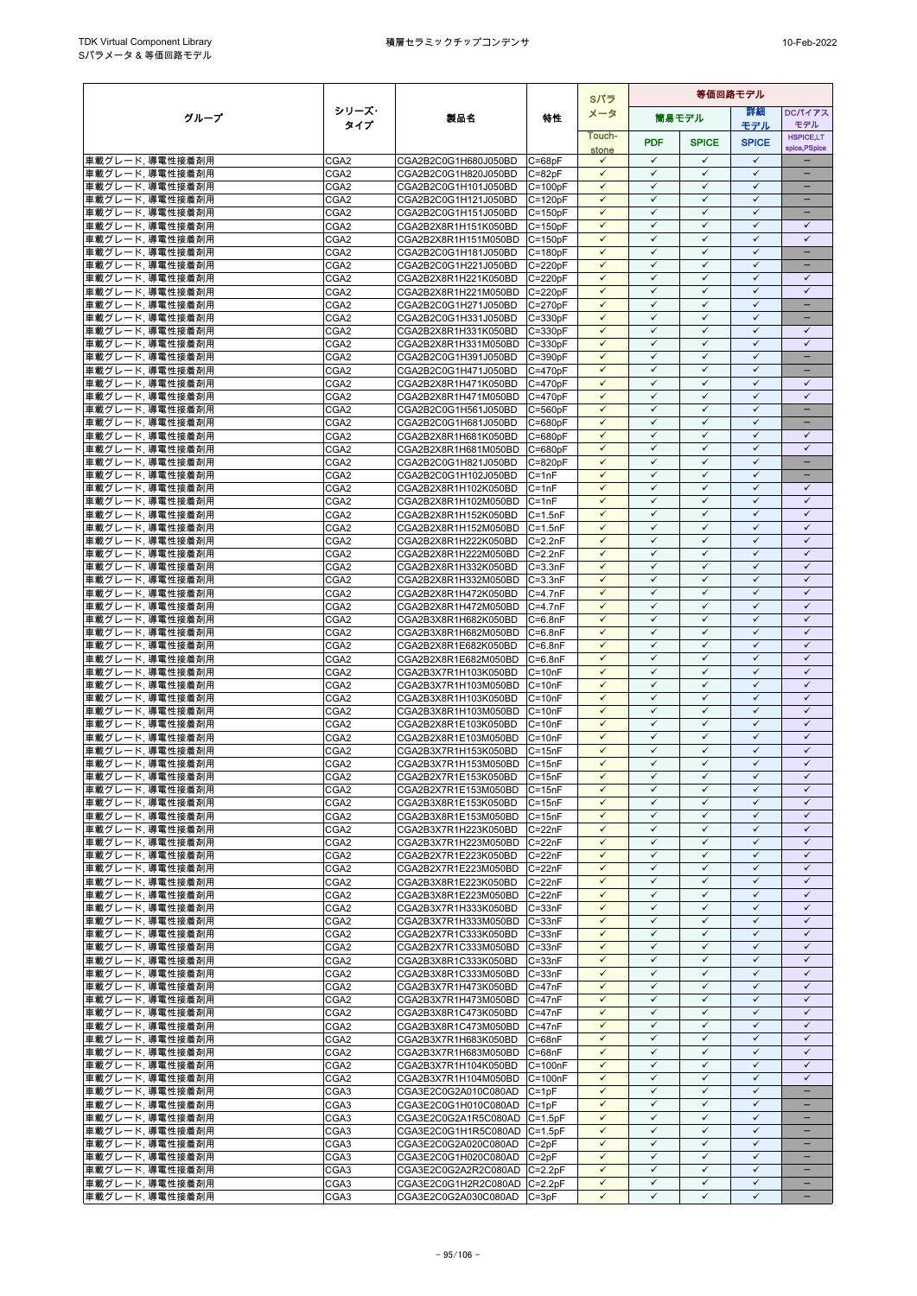|                                     |                          |                                              |                            | Sパラ                          | 等価回路モデル                      |                              |                              |                                   |
|-------------------------------------|--------------------------|----------------------------------------------|----------------------------|------------------------------|------------------------------|------------------------------|------------------------------|-----------------------------------|
| グループ                                | シリーズ・                    | 製品名                                          | 特性                         | メータ                          |                              | 筒易モデル                        | 詳細                           | <b>DCパイアス</b>                     |
|                                     | タイプ                      |                                              |                            | Touch-                       |                              |                              | モデル                          | モデル                               |
|                                     |                          |                                              |                            | stone                        | <b>PDF</b>                   | <b>SPICE</b>                 | <b>SPICE</b>                 | <b>HSPICE,LT</b><br>spice, PSpice |
| 車載グレード,導電性接着剤用                      | CGA2                     | CGA2B2C0G1H680J050BD                         | $C = 68pF$                 | $\checkmark$                 | $\checkmark$                 | $\checkmark$                 | $\checkmark$                 |                                   |
| 車載グレード,導電性接着剤用                      | CGA <sub>2</sub>         | CGA2B2C0G1H820J050BD                         | $C = 82pF$                 | $\checkmark$                 | $\checkmark$                 | $\checkmark$                 | $\checkmark$                 | $\overline{\phantom{0}}$          |
| 車載グレード,導電性接着剤用                      | CGA <sub>2</sub>         | CGA2B2C0G1H101J050BD                         | $C = 100pF$                | $\checkmark$                 | $\checkmark$                 | $\checkmark$                 | $\checkmark$                 | $\overline{\phantom{0}}$          |
| 車載グレード、導電性接着剤用                      | CGA <sub>2</sub>         | CGA2B2C0G1H121J050BD                         | $C = 120pF$                | $\checkmark$                 | $\checkmark$                 | $\checkmark$                 | $\checkmark$                 | -                                 |
| 車載グレード、導電性接着剤用                      | CGA <sub>2</sub>         | CGA2B2C0G1H151J050BD                         | $C = 150pF$                | $\checkmark$                 | $\checkmark$                 | $\checkmark$                 | $\checkmark$                 | $-$                               |
| 車載グレード, 導電性接着剤用                     | CGA <sub>2</sub>         | CGA2B2X8R1H151K050BD                         | $C = 150pF$                | ✓                            | $\checkmark$<br>$\checkmark$ | $\checkmark$                 | $\checkmark$<br>$\checkmark$ | $\checkmark$<br>$\checkmark$      |
| 車載グレード, 導電性接着剤用                     | CGA2                     | CGA2B2X8R1H151M050BD                         | $C = 150pF$                | $\checkmark$<br>$\checkmark$ | $\checkmark$                 | $\checkmark$<br>$\checkmark$ | $\checkmark$                 | $\equiv$                          |
| 車載グレード,導電性接着剤用<br>車載グレード,導電性接着剤用    | CGA2<br>CGA <sub>2</sub> | CGA2B2C0G1H181J050BD<br>CGA2B2C0G1H221J050BD | $C = 180pF$<br>$C = 220pF$ | $\checkmark$                 | $\checkmark$                 | $\checkmark$                 | $\checkmark$                 | $\overline{\phantom{0}}$          |
| 車載グレード, 導電性接着剤用                     | CGA <sub>2</sub>         | CGA2B2X8R1H221K050BD                         | $C = 220pF$                | $\checkmark$                 | $\checkmark$                 | $\checkmark$                 | $\checkmark$                 | $\checkmark$                      |
| 車載グレード,導電性接着剤用                      | CGA <sub>2</sub>         | CGA2B2X8R1H221M050BD                         | $C = 220pF$                | $\checkmark$                 | $\checkmark$                 | $\checkmark$                 | $\checkmark$                 | $\checkmark$                      |
| 車載グレード、導電性接着剤用                      | CGA <sub>2</sub>         | CGA2B2C0G1H271J050BD                         | $C = 270pF$                | $\checkmark$                 | $\checkmark$                 | $\checkmark$                 | $\checkmark$                 | -                                 |
| 車載グレード,導電性接着剤用                      | CGA2                     | CGA2B2C0G1H331J050BD                         | $C = 330pF$                | ✓                            | ✓                            | $\checkmark$                 | $\checkmark$                 |                                   |
| 車載グレード,導電性接着剤用                      | CGA2                     | CGA2B2X8R1H331K050BD                         | $C = 330pF$                | $\checkmark$                 | $\checkmark$                 | $\checkmark$                 | $\checkmark$                 | $\checkmark$                      |
| 車載グレード,導電性接着剤用                      | CGA2                     | CGA2B2X8R1H331M050BD                         | $C = 330pF$                | $\checkmark$                 | ✓                            | $\checkmark$                 | $\checkmark$                 | $\checkmark$                      |
| 車載グレード,導電性接着剤用                      | CGA <sub>2</sub>         | CGA2B2C0G1H391J050BD                         | $C = 390pF$                | $\checkmark$                 | $\checkmark$                 | $\checkmark$                 | $\checkmark$                 | ÷                                 |
| 車載グレード、導電性接着剤用                      | CGA <sub>2</sub>         | CGA2B2C0G1H471J050BD                         | $C = 470pF$                | $\checkmark$                 | $\checkmark$                 | $\checkmark$                 | $\checkmark$                 | $\qquad \qquad -$                 |
| 車載グレード,導電性接着剤用                      | CGA <sub>2</sub>         | CGA2B2X8R1H471K050BD                         | $C = 470pF$                | $\checkmark$                 | $\checkmark$                 | $\checkmark$                 | $\checkmark$                 | ✓                                 |
| 車載グレード,導電性接着剤用                      | CGA2                     | CGA2B2X8R1H471M050BD                         | $C = 470pF$                | $\checkmark$<br>$\checkmark$ | $\checkmark$<br>$\checkmark$ | $\checkmark$<br>$\checkmark$ | $\checkmark$<br>$\checkmark$ | $\checkmark$                      |
| 車載グレード,導電性接着剤用                      | CGA2                     | CGA2B2C0G1H561J050BD                         | $C = 560pF$                | $\checkmark$                 | $\checkmark$                 | $\checkmark$                 | $\checkmark$                 | $\overline{\phantom{0}}$          |
| 車載グレード,導電性接着剤用<br>車載グレード,導電性接着剤用    | CGA2<br>CGA2             | CGA2B2C0G1H681J050BD<br>CGA2B2X8R1H681K050BD | $C = 680pF$<br>$C = 680pF$ | $\checkmark$                 | $\checkmark$                 | $\checkmark$                 | $\checkmark$                 | $\checkmark$                      |
| 車載グレード,導電性接着剤用                      | CGA2                     | CGA2B2X8R1H681M050BD                         | $C = 680pF$                | $\checkmark$                 | $\checkmark$                 | $\checkmark$                 | $\checkmark$                 | $\checkmark$                      |
| 車載グレード、導電性接着剤用                      | CGA2                     | CGA2B2C0G1H821J050BD                         | $C = 820pF$                | $\checkmark$                 | $\checkmark$                 | $\checkmark$                 | $\checkmark$                 | -                                 |
| 車載グレード,導電性接着剤用                      | CGA2                     | CGA2B2C0G1H102J050BD                         | $C = 1nF$                  | $\checkmark$                 | $\checkmark$                 | $\checkmark$                 | $\checkmark$                 |                                   |
| 車載グレード,導電性接着剤用                      | CGA <sub>2</sub>         | CGA2B2X8R1H102K050BD                         | $C = 1nF$                  | $\checkmark$                 | $\checkmark$                 | $\checkmark$                 | $\checkmark$                 | $\checkmark$                      |
| 車載グレード,導電性接着剤用                      | CGA2                     | CGA2B2X8R1H102M050BD                         | $C = 1nF$                  | $\checkmark$                 | ✓                            | $\checkmark$                 | $\checkmark$                 | ✓                                 |
| 車載グレード、導電性接着剤用                      | CGA <sub>2</sub>         | CGA2B2X8R1H152K050BD                         | $C = 1.5nF$                | $\checkmark$                 | $\checkmark$                 | $\checkmark$                 | $\checkmark$                 | $\checkmark$                      |
| 車載グレード、導電性接着剤用                      | CGA <sub>2</sub>         | CGA2B2X8R1H152M050BD                         | $C = 1.5nF$                | $\checkmark$                 | $\checkmark$                 | $\checkmark$                 | $\checkmark$                 | $\checkmark$                      |
| 車載グレード,導電性接着剤用                      | CGA2                     | CGA2B2X8R1H222K050BD                         | $C = 2.2nF$                | $\checkmark$                 | $\checkmark$                 | $\checkmark$                 | $\checkmark$                 | $\checkmark$                      |
| 車載グレード、導電性接着剤用                      | CGA <sub>2</sub>         | CGA2B2X8R1H222M050BD                         | $C = 2.2nF$                | $\checkmark$                 | $\checkmark$                 | $\checkmark$                 | $\checkmark$                 | $\checkmark$                      |
| 車載グレード, 導電性接着剤用                     | CGA2                     | CGA2B2X8R1H332K050BD                         | $C = 3.3nF$                | $\checkmark$<br>$\checkmark$ | $\checkmark$<br>$\checkmark$ | $\checkmark$                 | $\checkmark$<br>$\checkmark$ | $\checkmark$                      |
| 車載グレード,導電性接着剤用                      | CGA2<br>CGA2             | CGA2B2X8R1H332M050BD<br>CGA2B2X8R1H472K050BD | $C = 3.3nF$                | $\checkmark$                 | $\checkmark$                 | $\checkmark$<br>$\checkmark$ | $\checkmark$                 | $\checkmark$<br>$\checkmark$      |
| 車載グレード,導電性接着剤用<br>車載グレード、導電性接着剤用    | CGA2                     | CGA2B2X8R1H472M050BD                         | $C = 4.7nF$<br>$C = 4.7nF$ | $\checkmark$                 | $\checkmark$                 | $\checkmark$                 | $\checkmark$                 | $\checkmark$                      |
| 車載グレード,導電性接着剤用                      | CGA <sub>2</sub>         | CGA2B3X8R1H682K050BD                         | $C = 6.8nF$                | $\checkmark$                 | $\checkmark$                 | $\checkmark$                 | $\checkmark$                 | $\checkmark$                      |
| 車載グレード, 導電性接着剤用                     | CGA2                     | CGA2B3X8R1H682M050BD                         | $C = 6.8nF$                | ✓                            | ✓                            | ✓                            | ✓                            | ✓                                 |
| 車載グレード,導電性接着剤用                      | CGA2                     | CGA2B2X8R1E682K050BD                         | $C = 6.8nF$                | $\checkmark$                 | $\checkmark$                 | $\checkmark$                 | $\checkmark$                 | $\checkmark$                      |
| 車載グレード,導電性接着剤用                      | CGA2                     | CGA2B2X8R1E682M050BD                         | $C = 6.8nF$                | $\checkmark$                 | $\checkmark$                 | $\checkmark$                 | $\checkmark$                 | $\checkmark$                      |
| 車載グレード,導電性接着剤用                      | CGA2                     | CGA2B3X7R1H103K050BD                         | $C = 10nF$                 | $\checkmark$                 | $\checkmark$                 | $\checkmark$                 | $\checkmark$                 | $\checkmark$                      |
| 車載グレード,導電性接着剤用                      | CGA2                     | CGA2B3X7R1H103M050BD                         | $C = 10nF$                 | $\checkmark$                 | $\checkmark$                 | $\checkmark$                 | $\checkmark$                 | $\checkmark$                      |
| 車載グレード,導電性接着剤用                      | CGA2                     | CGA2B3X8R1H103K050BD                         | $C = 10nF$                 | $\checkmark$                 | $\checkmark$                 | $\checkmark$                 | $\checkmark$                 | $\checkmark$                      |
| 車載グレード,導電性接着剤用                      | CGA <sub>2</sub>         | CGA2B3X8R1H103M050BD                         | $C = 10nF$                 | $\checkmark$                 | $\checkmark$                 | $\checkmark$                 | $\checkmark$                 | $\checkmark$                      |
| 車載グレード,導電性接着剤用                      | CGA2                     | CGA2B2X8R1E103K050BD                         | $C = 10nF$                 | $\checkmark$                 | $\checkmark$                 | $\checkmark$                 | $\checkmark$                 | $\checkmark$                      |
| 車載グレード,導電性接着剤用                      | CGA2                     | CGA2B2X8R1E103M050BD                         | $C = 10nF$                 | $\checkmark$<br>✓            | $\checkmark$<br>✓            | $\checkmark$<br>$\checkmark$ | $\checkmark$<br>$\checkmark$ | $\checkmark$<br>✓                 |
| 車載グレード,導電性接着剤用<br>車載グレード,導電性接着剤用    | CGA2<br>CGA <sub>2</sub> | CGA2B3X7R1H153K050BD<br>CGA2B3X7R1H153M050BD | $C = 15nF$<br>$C = 15nF$   | $\checkmark$                 | $\checkmark$                 | $\checkmark$                 | $\checkmark$                 | $\checkmark$                      |
| 車載グレード,導電性接着剤用                      | CGA2                     | CGA2B2X7R1E153K050BD C=15nF                  |                            | $\checkmark$                 | $\checkmark$                 | $\checkmark$                 | $\checkmark$                 | $\checkmark$                      |
| 車載グレード,導電性接着剤用                      | CGA <sub>2</sub>         | CGA2B2X7R1E153M050BD C=15nF                  |                            | $\checkmark$                 | $\checkmark$                 | $\checkmark$                 | ✓                            | ✓                                 |
| 車載グレード,導電性接着剤用                      | CGA <sub>2</sub>         | CGA2B3X8R1E153K050BD                         | $C = 15nF$                 | $\checkmark$                 | $\checkmark$                 | $\checkmark$                 | $\checkmark$                 | $\checkmark$                      |
| 車載グレード,導電性接着剤用                      | CGA2                     | CGA2B3X8R1E153M050BD                         | $C = 15nF$                 | $\checkmark$                 | $\checkmark$                 | $\checkmark$                 | $\checkmark$                 | $\checkmark$                      |
| 車載グレード,導電性接着剤用                      | CGA2                     | CGA2B3X7R1H223K050BD                         | $C = 22nF$                 | $\checkmark$                 | $\checkmark$                 | $\checkmark$                 | $\checkmark$                 | $\checkmark$                      |
| 車載グレード,導電性接着剤用                      | CGA2                     | CGA2B3X7R1H223M050BD                         | $C = 22nF$                 | $\checkmark$                 | $\checkmark$                 | $\checkmark$                 | $\checkmark$                 | $\checkmark$                      |
| 車載グレード, 導電性接着剤用                     | CGA2                     | CGA2B2X7R1E223K050BD                         | $C = 22nF$                 | $\checkmark$                 | $\checkmark$                 | $\checkmark$                 | $\checkmark$                 | $\checkmark$                      |
| 車載グレード,導電性接着剤用                      | CGA2                     | CGA2B2X7R1E223M050BD                         | $C = 22nF$                 | $\checkmark$                 | $\checkmark$                 | $\checkmark$                 | $\checkmark$                 | $\checkmark$                      |
| 車載グレード,導電性接着剤用                      | CGA2                     | CGA2B3X8R1E223K050BD                         | $C = 22nF$                 | ✓                            | ✓                            | $\checkmark$                 | ✓                            | ✓                                 |
| 車載グレード,導電性接着剤用                      | CGA2                     | CGA2B3X8R1E223M050BD                         | $C = 22nF$                 | $\checkmark$                 | $\checkmark$                 | $\checkmark$                 | $\checkmark$                 | $\checkmark$                      |
| 車載グレード,導電性接着剤用                      | CGA2                     | CGA2B3X7R1H333K050BD                         | $C = 33nF$                 | $\checkmark$<br>$\checkmark$ | $\checkmark$<br>$\checkmark$ | $\checkmark$<br>$\checkmark$ | $\checkmark$<br>$\checkmark$ | $\checkmark$<br>$\checkmark$      |
| 車載グレード,導電性接着剤用<br>車載グレード,導電性接着剤用    | CGA2<br>CGA2             | CGA2B3X7R1H333M050BD<br>CGA2B2X7R1C333K050BD | $C = 33nF$<br>$C = 33nF$   | $\checkmark$                 | $\checkmark$                 | $\checkmark$                 | $\checkmark$                 | $\checkmark$                      |
| 車載グレード、導電性接着剤用                      | CGA2                     | CGA2B2X7R1C333M050BD                         | $C = 33nF$                 | $\checkmark$                 | $\checkmark$                 | $\checkmark$                 | $\checkmark$                 | $\checkmark$                      |
| 車載グレード, 導電性接着剤用                     | CGA2                     | CGA2B3X8R1C333K050BD                         | $C = 33nF$                 | $\checkmark$                 | $\checkmark$                 | $\checkmark$                 | ✓                            | $\checkmark$                      |
| 車載グレード,導電性接着剤用                      | CGA <sub>2</sub>         | CGA2B3X8R1C333M050BD                         | $C = 33nF$                 | $\checkmark$                 | $\checkmark$                 | $\checkmark$                 | $\checkmark$                 | $\checkmark$                      |
| 車載グレード,導電性接着剤用                      | CGA2                     | CGA2B3X7R1H473K050BD                         | $C = 47nF$                 | $\checkmark$                 | $\checkmark$                 | $\checkmark$                 | $\checkmark$                 | $\checkmark$                      |
| 車載グレード,導電性接着剤用                      | CGA2                     | CGA2B3X7R1H473M050BD                         | $C = 47nF$                 | $\checkmark$                 | $\checkmark$                 | $\checkmark$                 | $\checkmark$                 | $\checkmark$                      |
| 車載グレード,導電性接着剤用                      | CGA2                     | CGA2B3X8R1C473K050BD                         | $C = 47nF$                 | $\checkmark$                 | $\checkmark$                 | $\checkmark$                 | $\checkmark$                 | $\checkmark$                      |
| 車載グレード, 導電性接着剤用                     | CGA2                     | CGA2B3X8R1C473M050BD                         | $C = 47nF$                 | $\checkmark$                 | $\checkmark$                 | $\checkmark$                 | $\checkmark$                 | $\checkmark$                      |
| 車載グレード、導電性接着剤用                      | CGA <sub>2</sub>         | CGA2B3X7R1H683K050BD                         | $C = 68nF$                 | $\checkmark$                 | ✓                            | $\checkmark$                 | ✓                            | ✓                                 |
| 車載グレード,導電性接着剤用                      | CGA <sub>2</sub>         | CGA2B3X7R1H683M050BD                         | $C = 68nF$                 | $\checkmark$                 | $\checkmark$                 | $\checkmark$                 | $\checkmark$                 | $\checkmark$                      |
| 車載グレード,導電性接着剤用                      | CGA2                     | CGA2B3X7R1H104K050BD                         | $C = 100nF$                | $\checkmark$                 | $\checkmark$                 | ✓                            | $\checkmark$                 | $\checkmark$                      |
| 車載グレード,導電性接着剤用                      | CGA2                     | CGA2B3X7R1H104M050BD                         | $C = 100nF$                | $\checkmark$<br>$\checkmark$ | $\checkmark$<br>$\checkmark$ | $\checkmark$<br>$\checkmark$ | $\checkmark$<br>$\checkmark$ | $\checkmark$<br>$\equiv$          |
| 車載グレード, 導電性接着剤用<br> 車載グレード, 導電性接着剤用 | CGA3<br>CGA3             | CGA3E2C0G2A010C080AD<br>CGA3E2C0G1H010C080AD | $C = 1pF$<br>$C = 1pF$     | $\checkmark$                 | $\checkmark$                 | $\checkmark$                 | $\checkmark$                 |                                   |
| 車載グレード,導電性接着剤用                      | CGA3                     | CGA3E2C0G2A1R5C080AD                         | $C = 1.5pF$                | $\checkmark$                 | $\checkmark$                 | $\checkmark$                 | $\checkmark$                 | $\qquad \qquad -$                 |
| 車載グレード、導電性接着剤用                      | CGA <sub>3</sub>         | CGA3E2C0G1H1R5C080AD                         | $C = 1.5pF$                | $\checkmark$                 | $\checkmark$                 | $\checkmark$                 | $\checkmark$                 |                                   |
| 車載グレード, 導電性接着剤用                     | CGA3                     | CGA3E2C0G2A020C080AD                         | $C = 2pF$                  | $\checkmark$                 | $\checkmark$                 | $\checkmark$                 | $\checkmark$                 | -                                 |
| 車載グレード,導電性接着剤用                      | CGA3                     | CGA3E2C0G1H020C080AD                         | $C = 2pF$                  | $\checkmark$                 | $\checkmark$                 | $\checkmark$                 | $\checkmark$                 | -                                 |
| 車載グレード,導電性接着剤用                      | CGA3                     | CGA3E2C0G2A2R2C080AD                         | $C = 2.2pF$                | $\checkmark$                 | $\checkmark$                 | $\checkmark$                 | $\checkmark$                 |                                   |
| 車載グレード,導電性接着剤用                      | CGA3                     | CGA3E2C0G1H2R2C080AD C=2.2pF                 |                            | $\checkmark$                 | $\checkmark$                 | $\checkmark$                 | $\checkmark$                 | $\overline{\phantom{0}}$          |
| 車載グレード,導電性接着剤用                      | CGA3                     | CGA3E2C0G2A030C080AD                         | $C = 3pF$                  | $\checkmark$                 | $\checkmark$                 | $\checkmark$                 | $\checkmark$                 | $\overline{\phantom{a}}$          |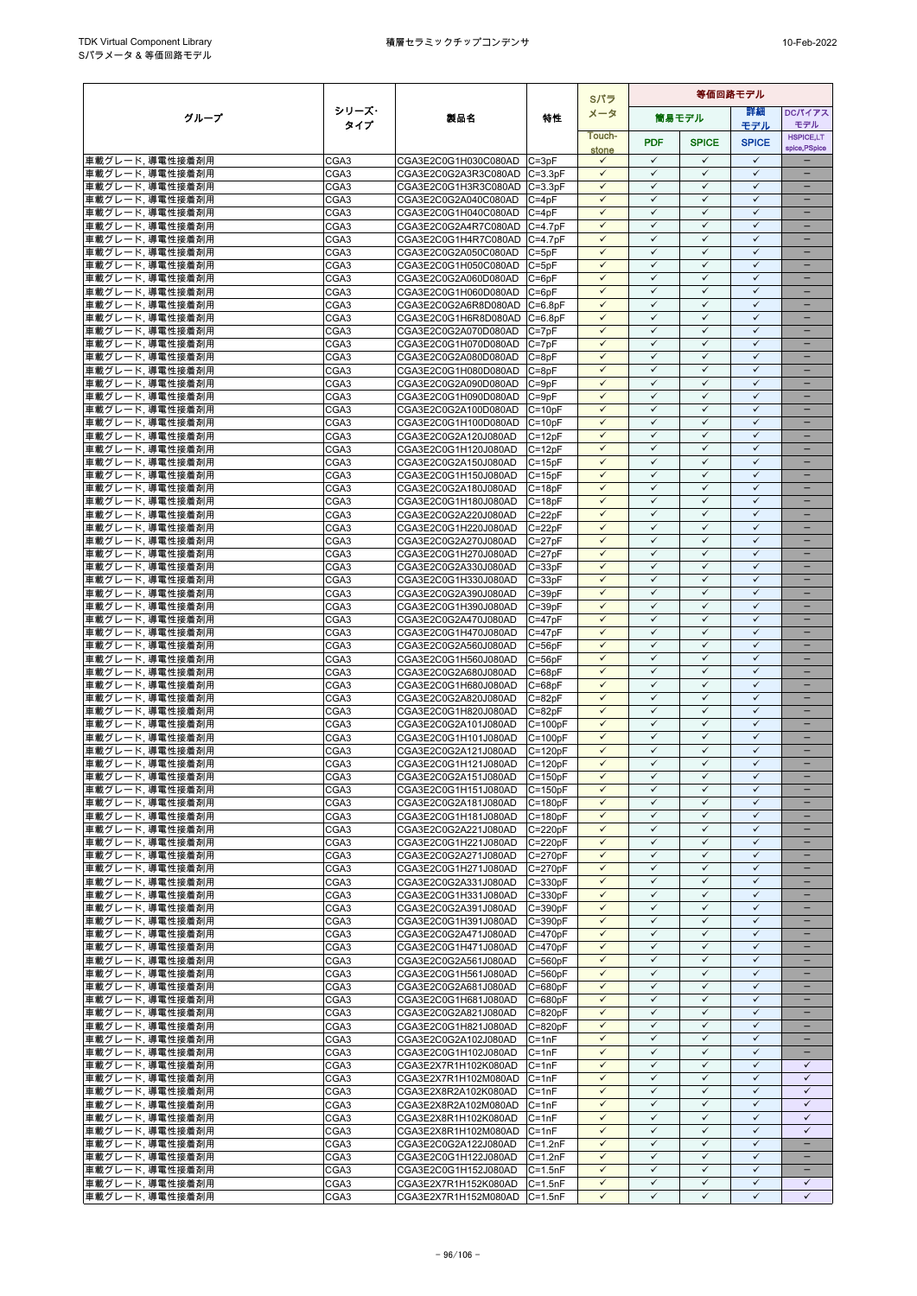|                                     |                  |                                              | Sパラ                        |                              |                              |                              | 等価回路モデル                      |                                   |
|-------------------------------------|------------------|----------------------------------------------|----------------------------|------------------------------|------------------------------|------------------------------|------------------------------|-----------------------------------|
| グループ                                | シリーズ・            | 製品名                                          | 特性                         | メータ                          |                              | 筒易モデル                        | 詳細                           | <b>DCパイアス</b>                     |
|                                     | タイプ              |                                              |                            | Touch-                       |                              |                              | モデル                          | モデル                               |
|                                     |                  |                                              |                            | stone                        | <b>PDF</b>                   | <b>SPICE</b>                 | <b>SPICE</b>                 | <b>HSPICE,LT</b><br>spice, PSpice |
| 車載グレード,導電性接着剤用                      | CGA3             | CGA3E2C0G1H030C080AD C=3pF                   |                            | $\checkmark$                 | $\checkmark$                 | $\checkmark$                 | $\checkmark$                 |                                   |
| 車載グレード,導電性接着剤用                      | CGA <sub>3</sub> | CGA3E2C0G2A3R3C080AD C=3.3pF                 |                            | $\checkmark$                 | $\checkmark$                 | $\checkmark$                 | $\checkmark$                 | $\overline{\phantom{0}}$          |
| 車載グレード,導電性接着剤用                      | CGA3             | CGA3E2C0G1H3R3C080AD C=3.3pF                 |                            | $\checkmark$                 | $\checkmark$                 | $\checkmark$                 | $\checkmark$                 | $\overline{\phantom{0}}$          |
| 車載グレード、導電性接着剤用                      | CGA3             | CGA3E2C0G2A040C080AD                         | $C = 4pF$                  | $\checkmark$                 | $\checkmark$                 | $\checkmark$                 | $\checkmark$                 |                                   |
| 車載グレード、導電性接着剤用                      | CGA3             | CGA3E2C0G1H040C080AD                         | $C = 4pF$                  | $\checkmark$                 | $\checkmark$                 | $\checkmark$                 | $\checkmark$                 | $\qquad \qquad -$                 |
| 車載グレード, 導電性接着剤用                     | CGA3             | CGA3E2C0G2A4R7C080AD                         | $C = 4.7pF$                | ✓                            | $\checkmark$<br>$\checkmark$ | $\checkmark$<br>$\checkmark$ | $\checkmark$<br>$\checkmark$ |                                   |
| 車載グレード, 導電性接着剤用                     | CGA3             | CGA3E2C0G1H4R7C080AD                         | $C = 4.7pF$                | $\checkmark$<br>$\checkmark$ | $\checkmark$                 | $\checkmark$                 | $\checkmark$                 | -<br>÷                            |
| 車載グレード,導電性接着剤用<br>車載グレード,導電性接着剤用    | CGA3<br>CGA3     | CGA3E2C0G2A050C080AD<br>CGA3E2C0G1H050C080AD | $C = 5pF$<br>$C = 5pF$     | $\checkmark$                 | $\checkmark$                 | $\checkmark$                 | $\checkmark$                 | -                                 |
| 車載グレード、導電性接着剤用                      | CGA3             | CGA3E2C0G2A060D080AD                         | $C = 6pF$                  | $\checkmark$                 | $\checkmark$                 | $\checkmark$                 | $\checkmark$                 | $\equiv$                          |
| 車載グレード,導電性接着剤用                      | CGA3             | CGA3E2C0G1H060D080AD                         | $C = 6pF$                  | $\checkmark$                 | $\checkmark$                 | $\checkmark$                 | $\checkmark$                 | -                                 |
| 車載グレード,導電性接着剤用                      | CGA3             | CGA3E2C0G2A6R8D080AD                         | $C = 6.8pF$                | $\checkmark$                 | $\checkmark$                 | $\checkmark$                 | $\checkmark$                 | -                                 |
| 車載グレード,導電性接着剤用                      | CGA3             | CGA3E2C0G1H6R8D080AD                         | $C = 6.8pF$                | $\checkmark$                 | ✓                            | $\checkmark$                 | $\checkmark$                 |                                   |
| 車載グレード,導電性接着剤用                      | CGA3             | CGA3E2C0G2A070D080AD                         | $C = 7pF$                  | $\checkmark$                 | $\checkmark$                 | $\checkmark$                 | $\checkmark$                 | ÷                                 |
| 車載グレード,導電性接着剤用                      | CGA3             | CGA3E2C0G1H070D080AD                         | $C = 7pF$                  | $\checkmark$                 | $\checkmark$                 | $\checkmark$                 | $\checkmark$                 |                                   |
| 車載グレード,導電性接着剤用                      | CGA3             | CGA3E2C0G2A080D080AD                         | $C = 8pF$                  | $\checkmark$                 | $\checkmark$                 | $\checkmark$                 | $\checkmark$                 | $\overline{\phantom{0}}$          |
| 車載グレード、導電性接着剤用                      | CGA3             | CGA3E2C0G1H080D080AD                         | $C = 8pF$                  | $\checkmark$                 | $\checkmark$                 | $\checkmark$                 | $\checkmark$                 | -                                 |
| 車載グレード,導電性接着剤用                      | CGA3             | CGA3E2C0G2A090D080AD                         | $C = 9pF$                  | ✓                            | $\checkmark$                 | $\checkmark$                 | $\checkmark$                 |                                   |
| 車載グレード,導電性接着剤用                      | CGA3             | CGA3E2C0G1H090D080AD                         | $C = 9pF$                  | $\checkmark$<br>$\checkmark$ | $\checkmark$<br>$\checkmark$ | $\checkmark$<br>$\checkmark$ | $\checkmark$<br>$\checkmark$ | -                                 |
| 車載グレード, 導電性接着剤用                     | CGA3             | CGA3E2C0G2A100D080AD                         | $C = 10pF$                 | $\checkmark$                 | $\checkmark$                 | $\checkmark$                 | $\checkmark$                 |                                   |
| 車載グレード,導電性接着剤用<br>車載グレード,導電性接着剤用    | CGA3<br>CGA3     | CGA3E2C0G1H100D080AD<br>CGA3E2C0G2A120J080AD | $C = 10pF$<br>$C = 12pF$   | $\checkmark$                 | $\checkmark$                 | $\checkmark$                 | $\checkmark$                 | $\overline{\phantom{0}}$          |
| 車載グレード,導電性接着剤用                      | CGA3             | CGA3E2C0G1H120J080AD                         | $C = 12pF$                 | $\checkmark$                 | $\checkmark$                 | $\checkmark$                 | $\checkmark$                 | -                                 |
| 車載グレード.導電性接着剤用                      | CGA3             | CGA3E2C0G2A150J080AD                         | $C = 15pF$                 | $\checkmark$                 | $\checkmark$                 | $\checkmark$                 | $\checkmark$                 | -                                 |
| 車載グレード,導電性接着剤用                      | CGA3             | CGA3E2C0G1H150J080AD                         | $C = 15pF$                 | $\checkmark$                 | $\checkmark$                 | $\checkmark$                 | $\checkmark$                 |                                   |
| 車載グレード,導電性接着剤用                      | CGA3             | CGA3E2C0G2A180J080AD                         | $C = 18pF$                 | $\checkmark$                 | $\checkmark$                 | $\checkmark$                 | $\checkmark$                 |                                   |
| 車載グレード,導電性接着剤用                      | CGA3             | CGA3E2C0G1H180J080AD                         | $C = 18pF$                 | ✓                            | ✓                            | $\checkmark$                 | $\checkmark$                 |                                   |
| 車載グレード,導電性接着剤用                      | CGA3             | CGA3E2C0G2A220J080AD                         | $C = 22pF$                 | $\checkmark$                 | $\checkmark$                 | $\checkmark$                 | $\checkmark$                 | $\equiv$                          |
| 車載グレード、導電性接着剤用                      | CGA3             | CGA3E2C0G1H220J080AD                         | $C = 22pF$                 | $\checkmark$                 | $\checkmark$                 | $\checkmark$                 | $\checkmark$                 | -                                 |
| 車載グレード,導電性接着剤用                      | CGA3             | CGA3E2C0G2A270J080AD                         | $C = 27pF$                 | $\checkmark$                 | $\checkmark$                 | $\checkmark$                 | $\checkmark$                 | $\overline{\phantom{0}}$          |
| 車載グレード、導電性接着剤用                      | CGA3             | CGA3E2C0G1H270J080AD                         | $C = 27pF$                 | $\checkmark$                 | $\checkmark$                 | $\checkmark$                 | $\checkmark$                 | -                                 |
| 車載グレード, 導電性接着剤用                     | CGA3             | CGA3E2C0G2A330J080AD                         | $C = 33pF$                 | $\checkmark$<br>$\checkmark$ | $\checkmark$<br>$\checkmark$ | $\checkmark$                 | $\checkmark$<br>$\checkmark$ | $=$                               |
| 車載グレード,導電性接着剤用                      | CGA3<br>CGA3     | CGA3E2C0G1H330J080AD<br>CGA3E2C0G2A390J080AD | $C = 33pF$<br>$C = 39pF$   | $\checkmark$                 | $\checkmark$                 | $\checkmark$<br>$\checkmark$ | $\checkmark$                 |                                   |
| 車載グレード,導電性接着剤用<br>車載グレード,導電性接着剤用    | CGA3             | CGA3E2C0G1H390J080AD                         | $C = 39pF$                 | $\checkmark$                 | $\checkmark$                 | $\checkmark$                 | $\checkmark$                 | $\equiv$                          |
| 車載グレード,導電性接着剤用                      | CGA3             | CGA3E2C0G2A470J080AD                         | $C = 47pF$                 | $\checkmark$                 | $\checkmark$                 | $\checkmark$                 | $\checkmark$                 | $\equiv$                          |
| 車載グレード, 導電性接着剤用                     | CGA3             | CGA3E2C0G1H470J080AD                         | $C = 47pF$                 | ✓                            | ✓                            | ✓                            | ✓                            |                                   |
| 車載グレード,導電性接着剤用                      | CGA3             | CGA3E2C0G2A560J080AD                         | $C = 56pF$                 | $\checkmark$                 | $\checkmark$                 | $\checkmark$                 | $\checkmark$                 | -                                 |
| 車載グレード,導電性接着剤用                      | CGA3             | CGA3E2C0G1H560J080AD                         | $C = 56pF$                 | $\checkmark$                 | $\checkmark$                 | $\checkmark$                 | $\checkmark$                 |                                   |
| 車載グレード,導電性接着剤用                      | CGA3             | CGA3E2C0G2A680J080AD                         | $C = 68pF$                 | $\checkmark$                 | $\checkmark$                 | $\checkmark$                 | $\checkmark$                 |                                   |
| 車載グレード,導電性接着剤用                      | CGA3             | CGA3E2C0G1H680J080AD                         | $C = 68pF$                 | $\checkmark$                 | $\checkmark$                 | $\checkmark$                 | $\checkmark$                 | $\overline{\phantom{0}}$          |
| 車載グレード,導電性接着剤用                      | CGA3             | CGA3E2C0G2A820J080AD                         | $C = 82pF$                 | $\checkmark$                 | $\checkmark$                 | $\checkmark$                 | $\checkmark$                 | -                                 |
| 車載グレード,導電性接着剤用                      | CGA3             | CGA3E2C0G1H820J080AD                         | $C = 82pF$                 | $\checkmark$                 | $\checkmark$                 | $\checkmark$                 | $\checkmark$                 | -                                 |
| 車載グレード,導電性接着剤用                      | CGA3             | CGA3E2C0G2A101J080AD                         | $C = 100pF$                | $\checkmark$                 | $\checkmark$                 | $\checkmark$                 | $\checkmark$                 |                                   |
| 車載グレード,導電性接着剤用                      | CGA3             | CGA3E2C0G1H101J080AD                         | $C = 100pF$                | $\checkmark$<br>✓            | $\checkmark$<br>✓            | $\checkmark$<br>$\checkmark$ | $\checkmark$<br>$\checkmark$ |                                   |
| 車載グレード,導電性接着剤用<br>車載グレード,導電性接着剤用    | CGA3<br>CGA3     | CGA3E2C0G2A121J080AD<br>CGA3E2C0G1H121J080AD | $C = 120nF$<br>$C = 120pF$ | $\checkmark$                 | $\checkmark$                 | $\checkmark$                 | $\checkmark$                 | -                                 |
| 車載グレード,導電性接着剤用                      | CGA3             | CGA3E2C0G2A151J080AD C=150pF                 |                            | $\checkmark$                 | $\checkmark$                 | $\checkmark$                 | $\checkmark$                 |                                   |
| 車載グレード, 導電性接着剤用                     | CGA <sub>3</sub> | CGA3E2C0G1H151J080AD                         | $C = 150pF$                | $\checkmark$                 | $\checkmark$                 | $\checkmark$                 | $\checkmark$                 | $\overline{\phantom{0}}$          |
| 車載グレード,導電性接着剤用                      | CGA <sub>3</sub> | CGA3E2C0G2A181J080AD                         | $C = 180pF$                | $\checkmark$                 | $\checkmark$                 | $\checkmark$                 | $\checkmark$                 | -                                 |
| 車載グレード,導電性接着剤用                      | CGA3             | CGA3E2C0G1H181J080AD                         | $C = 180pF$                | $\checkmark$                 | $\checkmark$                 | $\checkmark$                 | $\checkmark$                 |                                   |
| 車載グレード,導電性接着剤用                      | CGA3             | CGA3E2C0G2A221J080AD                         | $C = 220pF$                | $\checkmark$                 | $\checkmark$                 | $\checkmark$                 | $\checkmark$                 | ÷                                 |
| 車載グレード,導電性接着剤用                      | CGA3             | CGA3E2C0G1H221J080AD                         | $C = 220pF$                | $\checkmark$                 | $\checkmark$                 | $\checkmark$                 | $\checkmark$                 |                                   |
| 車載グレード, 導電性接着剤用                     | CGA3             | CGA3E2C0G2A271J080AD                         | $C = 270pF$                | $\checkmark$                 | $\checkmark$                 | $\checkmark$                 | $\checkmark$                 |                                   |
| 車載グレード,導電性接着剤用                      | CGA3             | CGA3E2C0G1H271J080AD                         | $C = 270pF$                | $\checkmark$                 | $\checkmark$                 | $\checkmark$                 | $\checkmark$                 | $\overline{\phantom{a}}$          |
| 車載グレード,導電性接着剤用                      | CGA3             | CGA3E2C0G2A331J080AD                         | $C = 330pF$                | ✓                            | ✓                            | $\checkmark$                 | ✓                            |                                   |
| 車載グレード,導電性接着剤用                      | CGA3             | CGA3E2C0G1H331J080AD                         | $C = 330pF$                | $\checkmark$                 | $\checkmark$                 | $\checkmark$                 | $\checkmark$                 | -                                 |
| 車載グレード,導電性接着剤用                      | CGA3             | CGA3E2C0G2A391J080AD                         | $C = 390pF$                | $\checkmark$<br>$\checkmark$ | $\checkmark$<br>$\checkmark$ | $\checkmark$<br>$\checkmark$ | $\checkmark$<br>$\checkmark$ | $\equiv$                          |
| 車載グレード,導電性接着剤用<br>車載グレード,導電性接着剤用    | CGA3<br>CGA3     | CGA3E2C0G1H391J080AD<br>CGA3E2C0G2A471J080AD | $C = 390pF$<br>$C = 470pF$ | $\checkmark$                 | $\checkmark$                 | $\checkmark$                 | $\checkmark$                 | $\equiv$                          |
| 車載グレード、導電性接着剤用                      | CGA3             | CGA3E2C0G1H471J080AD                         | $C = 470pF$                | $\checkmark$                 | $\checkmark$                 | $\checkmark$                 | $\checkmark$                 | -                                 |
| 車載グレード, 導電性接着剤用                     | CGA3             | CGA3E2C0G2A561J080AD                         | $C = 560pF$                | $\checkmark$                 | $\checkmark$                 | $\checkmark$                 | $\checkmark$                 | -                                 |
| 車載グレード,導電性接着剤用                      | CGA3             | CGA3E2C0G1H561J080AD                         | $C = 560pF$                | $\checkmark$                 | $\checkmark$                 | $\checkmark$                 | $\checkmark$                 |                                   |
| 車載グレード,導電性接着剤用                      | CGA3             | CGA3E2C0G2A681J080AD                         | $C = 680pF$                | $\checkmark$                 | $\checkmark$                 | $\checkmark$                 | $\checkmark$                 |                                   |
| 車載グレード,導電性接着剤用                      | CGA3             | CGA3E2C0G1H681J080AD                         | $C = 680pF$                | $\checkmark$                 | $\checkmark$                 | $\checkmark$                 | $\checkmark$                 |                                   |
| 車載グレード,導電性接着剤用                      | CGA3             | CGA3E2C0G2A821J080AD                         | $C = 820pF$                | $\checkmark$                 | $\checkmark$                 | $\checkmark$                 | $\checkmark$                 | $\overline{\phantom{0}}$          |
| 車載グレード, 導電性接着剤用                     | CGA3             | CGA3E2C0G1H821J080AD                         | $C = 820pF$                | $\checkmark$                 | $\checkmark$                 | $\checkmark$                 | $\checkmark$                 | -                                 |
| 車載グレード、導電性接着剤用                      | CGA3             | CGA3E2C0G2A102J080AD                         | $C = 1nF$                  | $\checkmark$                 | ✓                            | $\checkmark$                 | ✓                            | -                                 |
| 車載グレード,導電性接着剤用                      | CGA <sub>3</sub> | CGA3E2C0G1H102J080AD                         | $C = 1nF$                  | $\checkmark$                 | $\checkmark$                 | $\checkmark$                 | $\checkmark$                 | -                                 |
| 車載グレード,導電性接着剤用                      | CGA3             | CGA3E2X7R1H102K080AD                         | $C = 1nF$                  | $\checkmark$                 | $\checkmark$                 | $\checkmark$                 | $\checkmark$                 | ✓                                 |
| 車載グレード,導電性接着剤用                      | CGA3             | CGA3E2X7R1H102M080AD                         | $C = 1nF$                  | $\checkmark$<br>$\checkmark$ | $\checkmark$<br>$\checkmark$ | $\checkmark$<br>$\checkmark$ | $\checkmark$<br>$\checkmark$ | $\checkmark$<br>$\checkmark$      |
| 車載グレード, 導電性接着剤用<br> 車載グレード, 導電性接着剤用 | CGA3<br>CGA3     | CGA3E2X8R2A102K080AD<br>CGA3E2X8R2A102M080AD | $C = 1nF$<br>$C = 1nF$     | $\checkmark$                 | $\checkmark$                 | $\checkmark$                 | $\checkmark$                 | $\checkmark$                      |
| 車載グレード,導電性接着剤用                      | CGA3             | CGA3E2X8R1H102K080AD                         | $C = 1nF$                  | $\checkmark$                 | $\checkmark$                 | $\checkmark$                 | $\checkmark$                 | $\checkmark$                      |
| 車載グレード、導電性接着剤用                      | CGA <sub>3</sub> | CGA3E2X8R1H102M080AD                         | $C = 1nF$                  | $\checkmark$                 | $\checkmark$                 | $\checkmark$                 | $\checkmark$                 | $\checkmark$                      |
| 車載グレード, 導電性接着剤用                     | CGA3             | CGA3E2C0G2A122J080AD                         | $C = 1.2nF$                | $\checkmark$                 | $\checkmark$                 | $\checkmark$                 | $\checkmark$                 | -                                 |
| 車載グレード,導電性接着剤用                      | CGA3             | CGA3E2C0G1H122J080AD                         | $C = 1.2nF$                | $\checkmark$                 | $\checkmark$                 | $\checkmark$                 | $\checkmark$                 | $\equiv$                          |
| 車載グレード,導電性接着剤用                      | CGA3             | CGA3E2C0G1H152J080AD                         | $C = 1.5nF$                | $\checkmark$                 | $\checkmark$                 | $\checkmark$                 | $\checkmark$                 |                                   |
| 車載グレード,導電性接着剤用                      | CGA3             | CGA3E2X7R1H152K080AD                         | $C = 1.5nF$                | $\checkmark$                 | $\checkmark$                 | $\checkmark$                 | $\checkmark$                 | $\checkmark$                      |
| 車載グレード,導電性接着剤用                      | CGA3             | CGA3E2X7R1H152M080AD                         | $C = 1.5nF$                | $\checkmark$                 | $\checkmark$                 | $\checkmark$                 | $\checkmark$                 | $\checkmark$                      |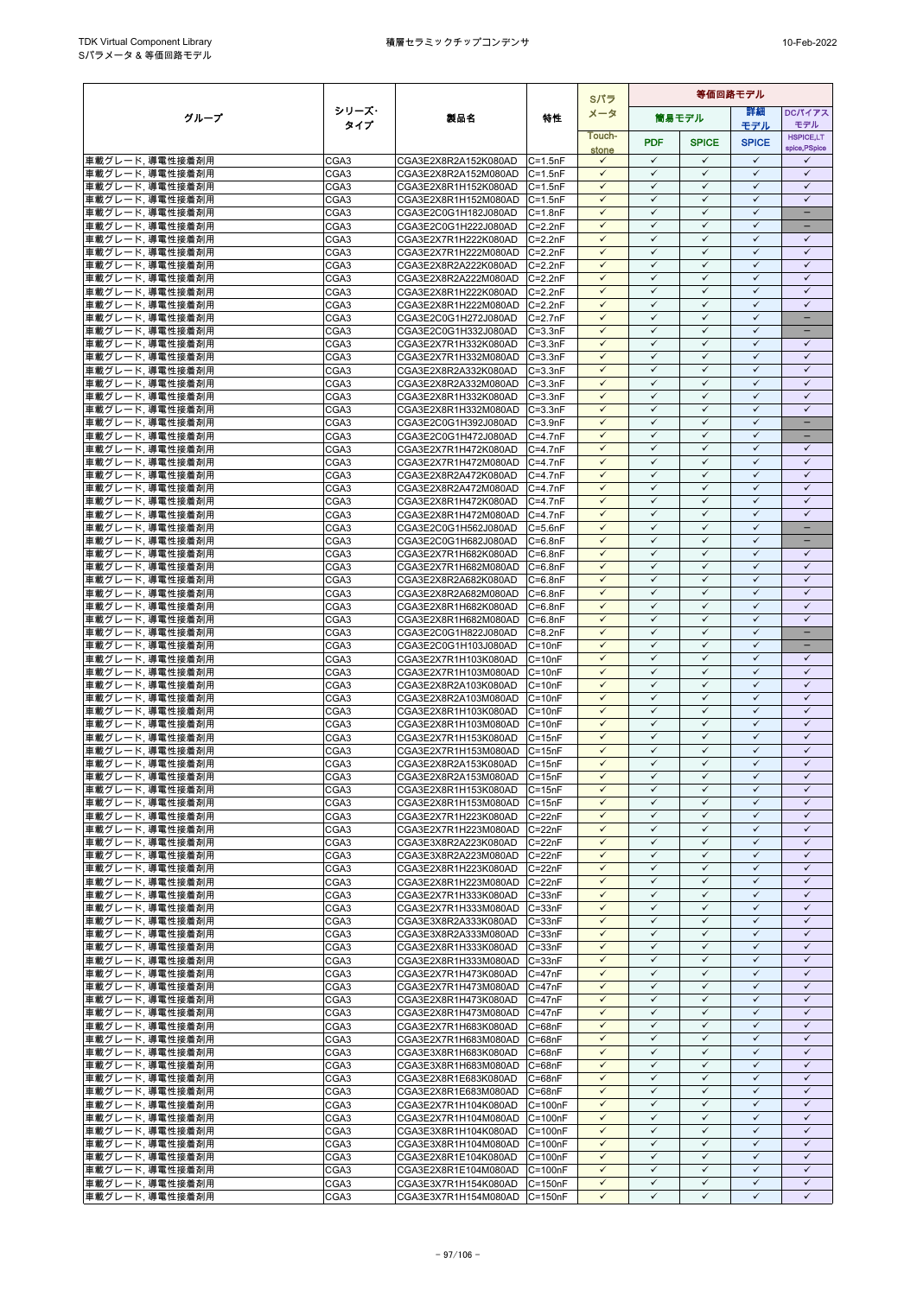|                                     |                  |                                              |                            | Sパラ                          | 等価回路モデル                      |                              |                              |                                   |  |
|-------------------------------------|------------------|----------------------------------------------|----------------------------|------------------------------|------------------------------|------------------------------|------------------------------|-----------------------------------|--|
| グループ                                | シリーズ・            | 製品名                                          | 特性                         | メータ                          |                              | 筒易モデル                        | 等細                           | <b>DCパイアス</b>                     |  |
|                                     | タイプ              |                                              |                            | Touch-                       |                              |                              | モデル                          | モデル                               |  |
|                                     |                  |                                              |                            | stone                        | <b>PDF</b>                   | <b>SPICE</b>                 | <b>SPICE</b>                 | <b>HSPICE,LT</b><br>spice, PSpice |  |
| 車載グレード, 導電性接着剤用                     | CGA3             | CGA3E2X8R2A152K080AD                         | $C = 1.5nF$                | $\checkmark$                 | $\checkmark$                 | $\checkmark$                 | $\checkmark$                 | $\checkmark$                      |  |
| 車載グレード、導電性接着剤用                      | CGA3             | CGA3E2X8R2A152M080AD                         | $C = 1.5nF$                | $\checkmark$                 | $\checkmark$                 | $\checkmark$                 | $\checkmark$                 | $\checkmark$                      |  |
| 車載グレード,導電性接着剤用                      | CGA3             | CGA3E2X8R1H152K080AD                         | $C = 1.5nF$                | $\checkmark$                 | $\checkmark$                 | $\checkmark$                 | $\checkmark$                 | $\checkmark$                      |  |
| 車載グレード, 導電性接着剤用                     | CGA3             | CGA3E2X8R1H152M080AD C=1.5nF                 |                            | $\checkmark$                 | $\checkmark$                 | $\checkmark$                 | $\checkmark$                 | $\checkmark$                      |  |
| 車載グレード、導電性接着剤用                      | CGA3             | CGA3E2C0G1H182J080AD                         | $C = 1.8nF$                | $\checkmark$                 | $\checkmark$                 | $\checkmark$                 | $\checkmark$                 | $\equiv$                          |  |
| 車載グレード、導電性接着剤用                      | CGA3             | CGA3E2C0G1H222J080AD                         | $C = 2.2nF$                | $\checkmark$                 | $\checkmark$                 | $\checkmark$                 | $\checkmark$                 |                                   |  |
| 車載グレード, 導電性接着剤用<br>車載グレード,導電性接着剤用   | CGA3             | CGA3E2X7R1H222K080AD                         | $C=2.2nF$                  | $\checkmark$<br>$\checkmark$ | $\checkmark$<br>$\checkmark$ | $\checkmark$<br>$\checkmark$ | $\checkmark$<br>$\checkmark$ | $\checkmark$<br>$\checkmark$      |  |
| 車載グレード,導電性接着剤用                      | CGA3<br>CGA3     | CGA3E2X7R1H222M080AD<br>CGA3E2X8R2A222K080AD | $C = 2.2nF$<br>$C=2.2nF$   | $\checkmark$                 | $\checkmark$                 | $\checkmark$                 | $\checkmark$                 | $\checkmark$                      |  |
| 車載グレード, 導電性接着剤用                     | CGA3             | CGA3E2X8R2A222M080AD                         | $C=2.2nF$                  | $\checkmark$                 | $\checkmark$                 | $\checkmark$                 | $\checkmark$                 | $\checkmark$                      |  |
| 車載グレード,導電性接着剤用                      | CGA3             | CGA3E2X8R1H222K080AD                         | $C = 2.2nF$                | $\checkmark$                 | $\checkmark$                 | $\checkmark$                 | $\checkmark$                 | $\checkmark$                      |  |
| 車載グレード、導電性接着剤用                      | CGA3             | CGA3E2X8R1H222M080AD C=2.2nF                 |                            | $\checkmark$                 | $\checkmark$                 | $\checkmark$                 | $\checkmark$                 | $\checkmark$                      |  |
| 車載グレード,導電性接着剤用                      | CGA3             | CGA3E2C0G1H272J080AD                         | $C=2.7nF$                  | $\checkmark$                 | ✓                            | ✓                            | $\checkmark$                 |                                   |  |
| 車載グレード,導電性接着剤用                      | CGA3             | CGA3E2C0G1H332J080AD                         | $C = 3.3nF$                | $\checkmark$                 | $\checkmark$                 | $\checkmark$                 | $\checkmark$                 | $\overline{\phantom{0}}$          |  |
| 車載グレード,導電性接着剤用                      | CGA3             | CGA3E2X7R1H332K080AD                         | $C = 3.3nF$                | $\checkmark$                 | $\checkmark$                 | $\checkmark$                 | $\checkmark$                 | $\checkmark$                      |  |
| 車載グレード,導電性接着剤用                      | CGA3             | CGA3E2X7R1H332M080AD                         | $C = 3.3nF$                | $\checkmark$                 | $\checkmark$                 | $\checkmark$                 | $\checkmark$                 | $\checkmark$                      |  |
| 車載グレード、導電性接着剤用                      | CGA3             | CGA3E2X8R2A332K080AD                         | $C = 3.3nF$                | $\checkmark$                 | $\checkmark$                 | $\checkmark$                 | $\checkmark$                 | $\checkmark$                      |  |
| 車載グレード,導電性接着剤用                      | CGA3             | CGA3E2X8R2A332M080AD                         | $C = 3.3nF$                | $\checkmark$                 | ✓                            | ✓                            | $\checkmark$                 | $\checkmark$                      |  |
| 車載グレード,導電性接着剤用                      | CGA3             | CGA3E2X8R1H332K080AD                         | $C = 3.3nF$                | $\checkmark$<br>$\checkmark$ | $\checkmark$<br>$\checkmark$ | $\checkmark$<br>✓            | $\checkmark$<br>$\checkmark$ | $\checkmark$<br>$\checkmark$      |  |
| 車載グレード,導電性接着剤用                      | CGA3             | CGA3E2X8R1H332M080AD                         | $C = 3.3nF$                | $\checkmark$                 | $\checkmark$                 | $\checkmark$                 | $\checkmark$                 | ÷                                 |  |
| 車載グレード,導電性接着剤用<br>車載グレード,導電性接着剤用    | CGA3<br>CGA3     | CGA3E2C0G1H392J080AD<br>CGA3E2C0G1H472J080AD | $C = 3.9nF$<br>$C=4.7nF$   | $\checkmark$                 | $\checkmark$                 | $\checkmark$                 | $\checkmark$                 | $\qquad \qquad -$                 |  |
| 車載グレード,導電性接着剤用                      | CGA3             | CGA3E2X7R1H472K080AD                         | $C = 4.7nF$                | $\checkmark$                 | $\checkmark$                 | ✓                            | $\checkmark$                 | $\checkmark$                      |  |
| 車載グレード、導電性接着剤用                      | CGA3             | CGA3E2X7R1H472M080AD                         | $C = 4.7nF$                | $\checkmark$                 | $\checkmark$                 | $\checkmark$                 | $\checkmark$                 | $\checkmark$                      |  |
| 車載グレード,導電性接着剤用                      | CGA3             | CGA3E2X8R2A472K080AD                         | $C = 4.7nF$                | $\checkmark$                 | $\checkmark$                 | $\checkmark$                 | $\checkmark$                 | $\checkmark$                      |  |
| 車載グレード, 導電性接着剤用                     | CGA3             | CGA3E2X8R2A472M080AD                         | $C = 4.7nF$                | $\checkmark$                 | $\checkmark$                 | $\checkmark$                 | $\checkmark$                 | $\checkmark$                      |  |
| 車載グレード,導電性接着剤用                      | CGA3             | CGA3E2X8R1H472K080AD                         | $C = 4.7nF$                | ✓                            | $\checkmark$                 | ✓                            | $\checkmark$                 | $\checkmark$                      |  |
| 車載グレード,導電性接着剤用                      | CGA3             | CGA3E2X8R1H472M080AD                         | $C=4.7nF$                  | $\checkmark$                 | $\checkmark$                 | $\checkmark$                 | $\checkmark$                 | $\checkmark$                      |  |
| 車載グレード、導電性接着剤用                      | CGA3             | CGA3E2C0G1H562J080AD                         | $C = 5.6nF$                | $\checkmark$                 | $\checkmark$                 | $\checkmark$                 | $\checkmark$                 | $\equiv$                          |  |
| 車載グレード,導電性接着剤用                      | CGA3             | CGA3E2C0G1H682J080AD                         | $C = 6.8nF$                | $\checkmark$                 | $\checkmark$                 | $\checkmark$                 | $\checkmark$                 | -                                 |  |
| 車載グレード、導電性接着剤用                      | CGA3             | CGA3E2X7R1H682K080AD                         | $C = 6.8nF$                | $\checkmark$                 | $\checkmark$                 | $\checkmark$                 | $\checkmark$                 | $\checkmark$                      |  |
| 車載グレード, 導電性接着剤用                     | CGA3             | CGA3E2X7R1H682M080AD C=6.8nF                 |                            | $\checkmark$                 | $\checkmark$<br>$\checkmark$ | $\checkmark$<br>$\checkmark$ | $\checkmark$<br>$\checkmark$ | $\checkmark$                      |  |
| 車載グレード、導電性接着剤用                      | CGA3<br>CGA3     | CGA3E2X8R2A682K080AD<br>CGA3E2X8R2A682M080AD | $C = 6.8nF$                | $\checkmark$<br>$\checkmark$ | $\checkmark$                 | $\checkmark$                 | $\checkmark$                 | $\checkmark$<br>$\checkmark$      |  |
| 車載グレード,導電性接着剤用<br>車載グレード,導電性接着剤用    | CGA3             | CGA3E2X8R1H682K080AD                         | $C = 6.8nF$<br>$C = 6.8nF$ | $\checkmark$                 | $\checkmark$                 | $\checkmark$                 | $\checkmark$                 | $\checkmark$                      |  |
| 車載グレード,導電性接着剤用                      | CGA3             | CGA3E2X8R1H682M080AD                         | $C = 6.8nF$                | $\checkmark$                 | $\checkmark$                 | $\checkmark$                 | $\checkmark$                 | $\checkmark$                      |  |
| 車載グレード,導電性接着剤用                      | CGA3             | CGA3E2C0G1H822J080AD                         | $C = 8.2nF$                | ✓                            | ✓                            | ✓                            | $\checkmark$                 | -                                 |  |
| 車載グレード,導電性接着剤用                      | CGA3             | CGA3E2C0G1H103J080AD                         | $C = 10nF$                 | $\checkmark$                 | $\checkmark$                 | $\checkmark$                 | $\checkmark$                 | -                                 |  |
| 車載グレード,導電性接着剤用                      | CGA3             | CGA3E2X7R1H103K080AD                         | $C = 10nF$                 | $\checkmark$                 | $\checkmark$                 | $\checkmark$                 | $\checkmark$                 | $\checkmark$                      |  |
| 車載グレード,導電性接着剤用                      | CGA3             | CGA3E2X7R1H103M080AD                         | $C = 10nF$                 | $\checkmark$                 | $\checkmark$                 | $\checkmark$                 | $\checkmark$                 | $\checkmark$                      |  |
| 車載グレード,導電性接着剤用                      | CGA3             | CGA3E2X8R2A103K080AD                         | $C = 10nF$                 | $\checkmark$                 | $\checkmark$                 | $\checkmark$                 | $\checkmark$                 | $\checkmark$                      |  |
| 車載グレード,導電性接着剤用                      | CGA3             | CGA3E2X8R2A103M080AD                         | $C = 10nF$                 | $\checkmark$                 | $\checkmark$                 | $\checkmark$                 | $\checkmark$                 | $\checkmark$                      |  |
| 車載グレード、導電性接着剤用                      | CGA3             | CGA3E2X8R1H103K080AD                         | $C = 10nF$                 | $\checkmark$                 | $\checkmark$                 | $\checkmark$                 | $\checkmark$                 | $\checkmark$                      |  |
| 車載グレード,導電性接着剤用                      | CGA3             | CGA3E2X8R1H103M080AD C=10nF                  |                            | $\checkmark$                 | $\checkmark$                 | $\checkmark$                 | $\checkmark$                 | $\checkmark$                      |  |
| 車載グレード、導電性接着剤用                      | CGA3             | CGA3E2X7R1H153K080AD                         | $C = 15nF$                 | $\checkmark$<br>✓            | $\checkmark$<br>$\checkmark$ | $\checkmark$<br>✓            | $\checkmark$<br>$\checkmark$ | $\checkmark$<br>$\checkmark$      |  |
| 車載グレード,導電性接着剤用<br>車載グレード,導電性接着剤用    | CGA3<br>CGA3     | CGA3E2X7R1H153M080AD<br>CGA3E2X8R2A153K080AD | $C = 15nF$<br>$C = 15nF$   | $\checkmark$                 | $\checkmark$                 | $\checkmark$                 | $\checkmark$                 | $\checkmark$                      |  |
| 車載グレード,導電性接着剤用                      | CGA <sub>3</sub> | CGA3E2X8R2A153M080AD C=15nF                  |                            | $\checkmark$                 | $\checkmark$                 | $\checkmark$                 | $\checkmark$                 | $\checkmark$                      |  |
| 車載グレード, 導電性接着剤用                     | CGA3             | CGA3E2X8R1H153K080AD C=15nF                  |                            | $\checkmark$                 | ✓                            | ✓                            | $\checkmark$                 | ✓                                 |  |
| 車載グレード,導電性接着剤用                      | CGA3             | CGA3E2X8R1H153M080AD C=15nF                  |                            | $\checkmark$                 | $\checkmark$                 | $\checkmark$                 | $\checkmark$                 | $\checkmark$                      |  |
| 車載グレード、導電性接着剤用                      | CGA3             | CGA3E2X7R1H223K080AD                         | $C = 22nF$                 | $\checkmark$                 | $\checkmark$                 | $\checkmark$                 | $\checkmark$                 | $\checkmark$                      |  |
| 車載グレード、導電性接着剤用                      | CGA3             | CGA3E2X7R1H223M080AD                         | $C = 22nF$                 | $\checkmark$                 | $\checkmark$                 | $\checkmark$                 | $\checkmark$                 | $\checkmark$                      |  |
| 車載グレード,導電性接着剤用                      | CGA3             | CGA3E3X8R2A223K080AD                         | $C = 22nF$                 | $\checkmark$                 | $\checkmark$                 | $\checkmark$                 | $\checkmark$                 | $\checkmark$                      |  |
| 車載グレード, 導電性接着剤用                     | CGA3             | CGA3E3X8R2A223M080AD                         | $C = 22nF$                 | $\checkmark$                 | $\checkmark$                 | $\checkmark$                 | $\checkmark$                 | $\checkmark$                      |  |
| 車載グレード,導電性接着剤用                      | CGA3             | CGA3E2X8R1H223K080AD                         | $C = 22nF$                 | $\checkmark$                 | $\checkmark$                 | $\checkmark$                 | $\checkmark$                 | $\checkmark$                      |  |
| 車載グレード,導電性接着剤用                      | CGA3             | CGA3E2X8R1H223M080AD C=22nF                  |                            | ✓                            | ✓                            | ✓                            | $\checkmark$                 | $\checkmark$                      |  |
| 車載グレード,導電性接着剤用                      | CGA3             | CGA3E2X7R1H333K080AD                         | $C = 33nF$                 | $\checkmark$                 | $\checkmark$                 | $\checkmark$                 | $\checkmark$                 | $\checkmark$                      |  |
| 車載グレード,導電性接着剤用                      | CGA3             | CGA3E2X7R1H333M080AD                         | $C = 33nF$                 | $\checkmark$<br>$\checkmark$ | $\checkmark$<br>$\checkmark$ | $\checkmark$<br>$\checkmark$ | $\checkmark$<br>$\checkmark$ | $\checkmark$<br>$\checkmark$      |  |
| 車載グレード,導電性接着剤用<br>車載グレード,導電性接着剤用    | CGA3<br>CGA3     | CGA3E3X8R2A333K080AD                         | $C = 33nF$<br>$C = 33nF$   | $\checkmark$                 | $\checkmark$                 | $\checkmark$                 | $\checkmark$                 | $\checkmark$                      |  |
| 車載グレード, 導電性接着剤用                     | CGA3             | CGA3E3X8R2A333M080AD<br>CGA3E2X8R1H333K080AD | $C = 33nF$                 | $\checkmark$                 | $\checkmark$                 | $\checkmark$                 | $\checkmark$                 | $\checkmark$                      |  |
| 車載グレード、導電性接着剤用                      | CGA3             | CGA3E2X8R1H333M080AD C=33nF                  |                            | $\checkmark$                 | $\checkmark$                 | $\checkmark$                 | $\checkmark$                 | $\checkmark$                      |  |
| 車載グレード,導電性接着剤用                      | CGA3             | CGA3E2X7R1H473K080AD                         | $C = 47nF$                 | $\checkmark$                 | $\checkmark$                 | $\checkmark$                 | $\checkmark$                 | $\checkmark$                      |  |
| 車載グレード,導電性接着剤用                      | CGA3             | CGA3E2X7R1H473M080AD                         | $C = 47nF$                 | $\checkmark$                 | $\checkmark$                 | $\checkmark$                 | $\checkmark$                 | $\checkmark$                      |  |
| 車載グレード,導電性接着剤用                      | CGA3             | CGA3E2X8R1H473K080AD                         | $C = 47nF$                 | $\checkmark$                 | $\checkmark$                 | $\checkmark$                 | $\checkmark$                 | $\checkmark$                      |  |
| 車載グレード,導電性接着剤用                      | CGA3             | CGA3E2X8R1H473M080AD                         | $C = 47nF$                 | $\checkmark$                 | $\checkmark$                 | $\checkmark$                 | $\checkmark$                 | $\checkmark$                      |  |
| 車載グレード, 導電性接着剤用                     | CGA3             | CGA3E2X7R1H683K080AD C=68nF                  |                            | $\checkmark$                 | $\checkmark$                 | $\checkmark$                 | $\checkmark$                 | $\checkmark$                      |  |
| 車載グレード、導電性接着剤用                      | CGA3             | CGA3E2X7R1H683M080AD C=68nF                  |                            | $\checkmark$                 | ✓                            | ✓                            | $\checkmark$                 | $\checkmark$                      |  |
| 車載グレード,導電性接着剤用                      | CGA3             | CGA3E3X8R1H683K080AD                         | $C = 68nF$                 | $\checkmark$                 | $\checkmark$                 | $\checkmark$                 | $\checkmark$                 | $\checkmark$                      |  |
| 車載グレード,導電性接着剤用                      | CGA3             | CGA3E3X8R1H683M080AD C=68nF                  |                            | $\checkmark$                 | $\checkmark$                 | $\checkmark$                 | $\checkmark$                 | $\checkmark$                      |  |
| 車載グレード、導電性接着剤用                      | CGA3             | CGA3E2X8R1E683K080AD                         | $C = 68nF$                 | $\checkmark$<br>$\checkmark$ | $\checkmark$<br>$\checkmark$ | $\checkmark$<br>$\checkmark$ | $\checkmark$<br>$\checkmark$ | ✓<br>$\checkmark$                 |  |
| 車載グレード, 導電性接着剤用<br> 車載グレード, 導電性接着剤用 | CGA3<br>CGA3     | CGA3E2X8R1E683M080AD<br>CGA3E2X7R1H104K080AD | $C = 68nF$<br>$C = 100nF$  | $\checkmark$                 | $\checkmark$                 | $\checkmark$                 | $\checkmark$                 | $\checkmark$                      |  |
| 車載グレード, 導電性接着剤用                     | CGA3             | CGA3E2X7R1H104M080AD C=100nF                 |                            | $\checkmark$                 | $\checkmark$                 | $\checkmark$                 | $\checkmark$                 | $\checkmark$                      |  |
| 車載グレード、導電性接着剤用                      | CGA3             | CGA3E3X8R1H104K080AD C=100nF                 |                            | $\checkmark$                 | $\checkmark$                 | $\checkmark$                 | $\checkmark$                 | $\checkmark$                      |  |
| 車載グレード, 導電性接着剤用                     | CGA3             | CGA3E3X8R1H104M080AD C=100nF                 |                            | $\checkmark$                 | $\checkmark$                 | $\checkmark$                 | $\checkmark$                 | $\checkmark$                      |  |
| 車載グレード,導電性接着剤用                      | CGA3             | CGA3E2X8R1E104K080AD                         | $C = 100nF$                | $\checkmark$                 | $\checkmark$                 | $\checkmark$                 | $\checkmark$                 | $\checkmark$                      |  |
| 車載グレード,導電性接着剤用                      | CGA3             | CGA3E2X8R1E104M080AD                         | $C = 100nF$                | $\checkmark$                 | $\checkmark$                 | $\checkmark$                 | $\checkmark$                 | $\checkmark$                      |  |
| 車載グレード,導電性接着剤用                      | CGA3             | CGA3E3X7R1H154K080AD                         | $C = 150nF$                | $\checkmark$                 | $\checkmark$                 | $\checkmark$                 | $\checkmark$                 | $\checkmark$                      |  |
| 車載グレード、導電性接着剤用                      | CGA3             | CGA3E3X7R1H154M080AD                         | $C = 150nF$                | $\checkmark$                 | $\checkmark$                 | $\checkmark$                 | $\checkmark$                 | $\checkmark$                      |  |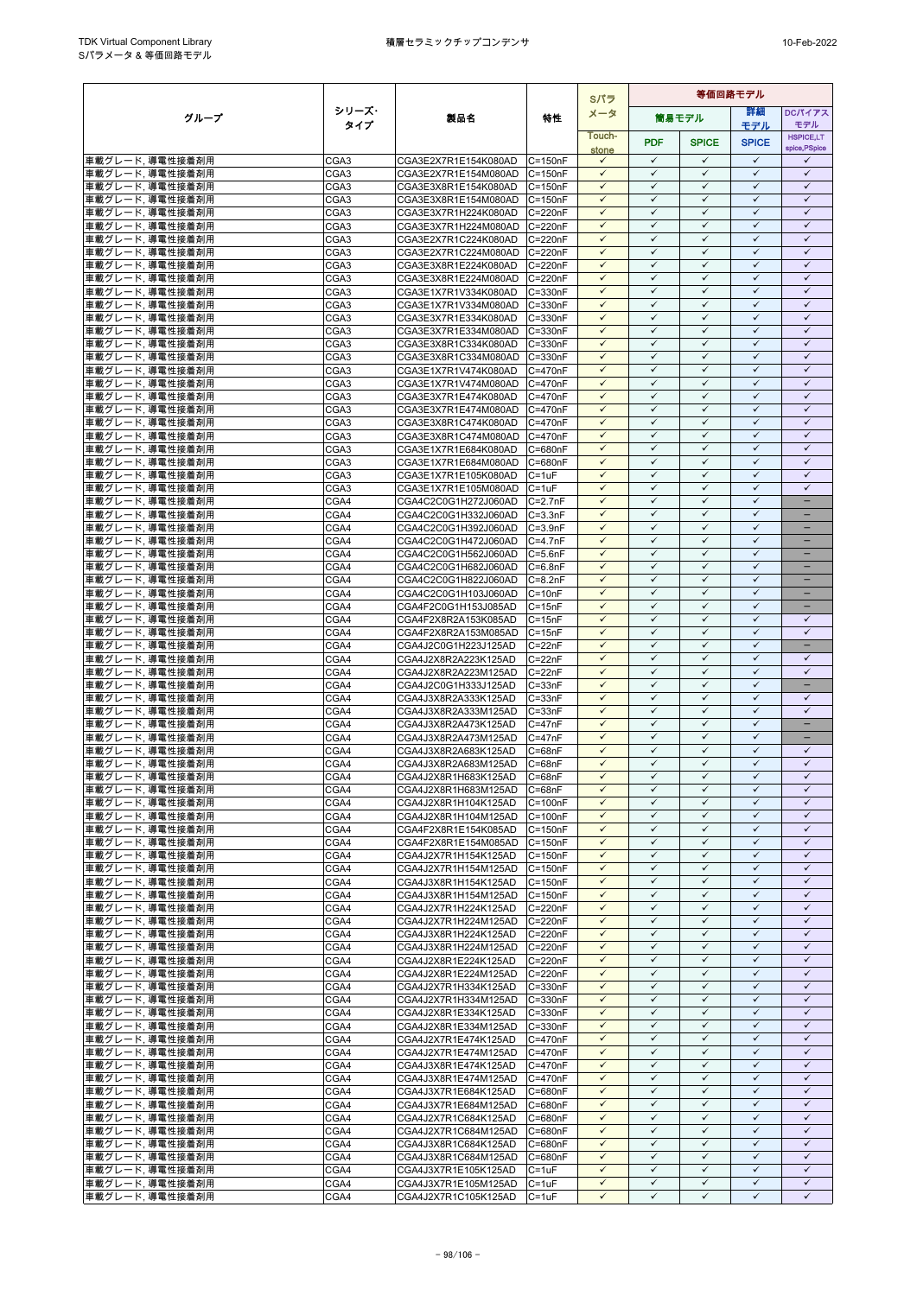|                                    |                  |                                              |                           | Sパラ                          |                              |                              | 等価回路モデル                      |                                   |
|------------------------------------|------------------|----------------------------------------------|---------------------------|------------------------------|------------------------------|------------------------------|------------------------------|-----------------------------------|
| グループ                               | シリーズ・            | 製品名                                          | 特性                        | メータ                          |                              | 筒易モデル                        | 詳細                           | <b>DCパイアス</b>                     |
|                                    | タイプ              |                                              |                           | Touch-                       |                              |                              | モデル                          | モデル                               |
|                                    |                  |                                              |                           | stone                        | <b>PDF</b>                   | <b>SPICE</b>                 | <b>SPICE</b>                 | <b>HSPICE,LT</b><br>spice, PSpice |
| 車載グレード,導電性接着剤用                     | CGA3             | CGA3E2X7R1E154K080AD                         | $C = 150nF$               | $\checkmark$                 | $\checkmark$                 | $\checkmark$                 | $\checkmark$                 | ✓                                 |
| 車載グレード、導電性接着剤用                     | CGA <sub>3</sub> | CGA3E2X7R1E154M080AD                         | $C = 150nF$               | $\checkmark$                 | $\checkmark$                 | $\checkmark$                 | $\checkmark$                 | $\checkmark$                      |
| 車載グレード,導電性接着剤用                     | CGA3             | CGA3E3X8R1E154K080AD                         | $C = 150nF$               | $\checkmark$                 | $\checkmark$                 | $\checkmark$                 | $\checkmark$                 | $\checkmark$                      |
| 車載グレード, 導電性接着剤用                    | CGA3             | CGA3E3X8R1E154M080AD                         | $C = 150nF$               | $\checkmark$                 | $\checkmark$                 | $\checkmark$                 | $\checkmark$                 | $\checkmark$                      |
| 車載グレード、導電性接着剤用                     | CGA3             | CGA3E3X7R1H224K080AD                         | $C = 220nF$               | $\checkmark$                 | $\checkmark$                 | $\checkmark$                 | $\checkmark$                 | $\checkmark$                      |
| 車載グレード、導電性接着剤用                     | CGA3             | CGA3E3X7R1H224M080AD                         | C=220nF                   | ✓                            | $\checkmark$<br>$\checkmark$ | $\checkmark$                 | $\checkmark$<br>$\checkmark$ | $\checkmark$<br>$\checkmark$      |
| 車載グレード, 導電性接着剤用                    | CGA3             | CGA3E2X7R1C224K080AD                         | C=220nF<br>$C = 220nF$    | $\checkmark$<br>$\checkmark$ | $\checkmark$                 | $\checkmark$<br>$\checkmark$ | $\checkmark$                 | $\checkmark$                      |
| 車載グレード,導電性接着剤用<br>車載グレード、導電性接着剤用   | CGA3<br>CGA3     | CGA3E2X7R1C224M080AD<br>CGA3E3X8R1E224K080AD | C=220nF                   | $\checkmark$                 | $\checkmark$                 | $\checkmark$                 | $\checkmark$                 | $\checkmark$                      |
| 車載グレード、導電性接着剤用                     | CGA3             | CGA3E3X8R1E224M080AD                         | C=220nF                   | $\checkmark$                 | $\checkmark$                 | $\checkmark$                 | $\checkmark$                 | $\checkmark$                      |
| 車載グレード,導電性接着剤用                     | CGA3             | CGA3E1X7R1V334K080AD                         | C=330nF                   | $\checkmark$                 | $\checkmark$                 | $\checkmark$                 | $\checkmark$                 | $\checkmark$                      |
| 車載グレード、導電性接着剤用                     | CGA3             | CGA3E1X7R1V334M080AD                         | C=330nF                   | $\checkmark$                 | $\checkmark$                 | $\checkmark$                 | $\checkmark$                 | $\checkmark$                      |
| 車載グレード,導電性接着剤用                     | CGA3             | CGA3E3X7R1E334K080AD                         | C=330nF                   | ✓                            | ✓                            | $\checkmark$                 | $\checkmark$                 | $\checkmark$                      |
| 車載グレード,導電性接着剤用                     | CGA3             | CGA3E3X7R1E334M080AD                         | C=330nF                   | $\checkmark$                 | $\checkmark$                 | $\checkmark$                 | $\checkmark$                 | $\checkmark$                      |
| 車載グレード,導電性接着剤用                     | CGA3             | CGA3E3X8R1C334K080AD                         | C=330nF                   | $\checkmark$                 | ✓                            | $\checkmark$                 | $\checkmark$                 | $\checkmark$                      |
| 車載グレード,導電性接着剤用                     | CGA3             | CGA3E3X8R1C334M080AD                         | C=330nF                   | $\checkmark$                 | $\checkmark$                 | $\checkmark$                 | $\checkmark$                 | $\checkmark$                      |
| 車載グレード、導電性接着剤用                     | CGA3             | CGA3E1X7R1V474K080AD                         | C=470nF                   | $\checkmark$                 | $\checkmark$                 | $\checkmark$                 | $\checkmark$                 | $\checkmark$                      |
| 車載グレード,導電性接着剤用                     | CGA3             | CGA3E1X7R1V474M080AD                         | C=470nF                   | $\checkmark$                 | $\checkmark$                 | $\checkmark$                 | $\checkmark$                 | $\checkmark$                      |
| 車載グレード,導電性接着剤用                     | CGA3             | CGA3E3X7R1E474K080AD                         | C=470nF                   | $\checkmark$<br>$\checkmark$ | $\checkmark$<br>$\checkmark$ | $\checkmark$<br>$\checkmark$ | $\checkmark$<br>$\checkmark$ | $\checkmark$<br>$\checkmark$      |
| 車載グレード,導電性接着剤用                     | CGA3             | CGA3E3X7R1E474M080AD                         | $C = 470nF$               | $\checkmark$                 | $\checkmark$                 | $\checkmark$                 | $\checkmark$                 | $\checkmark$                      |
| 車載グレード,導電性接着剤用<br>車載グレード,導電性接着剤用   | CGA3<br>CGA3     | CGA3E3X8R1C474K080AD<br>CGA3E3X8R1C474M080AD | C=470nF<br>C=470nF        | $\checkmark$                 | $\checkmark$                 | $\checkmark$                 | $\checkmark$                 | $\checkmark$                      |
| 車載グレード,導電性接着剤用                     | CGA3             | CGA3E1X7R1E684K080AD                         | C=680nF                   | $\checkmark$                 | $\checkmark$                 | $\checkmark$                 | $\checkmark$                 | $\checkmark$                      |
| 車載グレード.導電性接着剤用                     | CGA3             | CGA3E1X7R1E684M080AD                         | C=680nF                   | $\checkmark$                 | $\checkmark$                 | $\checkmark$                 | $\checkmark$                 | $\checkmark$                      |
| 車載グレード,導電性接着剤用                     | CGA3             | CGA3E1X7R1E105K080AD                         | $C = 1uF$                 | $\checkmark$                 | $\checkmark$                 | $\checkmark$                 | $\checkmark$                 | $\checkmark$                      |
| 車載グレード,導電性接着剤用                     | CGA3             | CGA3E1X7R1E105M080AD                         | $C = 1uF$                 | $\checkmark$                 | $\checkmark$                 | $\checkmark$                 | $\checkmark$                 | $\checkmark$                      |
| 車載グレード,導電性接着剤用                     | CGA4             | CGA4C2C0G1H272J060AD                         | $C = 2.7nF$               | $\checkmark$                 | ✓                            | $\checkmark$                 | $\checkmark$                 | ÷                                 |
| 車載グレード、導電性接着剤用                     | CGA4             | CGA4C2C0G1H332J060AD                         | $C = 3.3nF$               | $\checkmark$                 | $\checkmark$                 | $\checkmark$                 | $\checkmark$                 | $\equiv$                          |
| 車載グレード, 導電性接着剤用                    | CGA4             | CGA4C2C0G1H392J060AD                         | $C = 3.9nF$               | $\checkmark$                 | $\checkmark$                 | $\checkmark$                 | $\checkmark$                 | -                                 |
| 車載グレード,導電性接着剤用                     | CGA4             | CGA4C2C0G1H472J060AD                         | $C = 4.7nF$               | $\checkmark$                 | $\checkmark$                 | $\checkmark$                 | $\checkmark$                 | $\overline{\phantom{0}}$          |
| 車載グレード、導電性接着剤用                     | CGA4             | CGA4C2C0G1H562J060AD                         | $C = 5.6nF$               | $\checkmark$                 | $\checkmark$                 | $\checkmark$                 | $\checkmark$                 | -                                 |
| 車載グレード, 導電性接着剤用                    | CGA4             | CGA4C2C0G1H682J060AD                         | $C = 6.8nF$               | ✓<br>$\checkmark$            | $\checkmark$<br>$\checkmark$ | $\checkmark$                 | $\checkmark$<br>$\checkmark$ | $=$                               |
| 車載グレード,導電性接着剤用                     | CGA4<br>CGA4     | CGA4C2C0G1H822J060AD                         | $C = 8.2nF$<br>$C = 10nF$ | $\checkmark$                 | $\checkmark$                 | $\checkmark$<br>$\checkmark$ | $\checkmark$                 |                                   |
| 車載グレード,導電性接着剤用<br>車載グレード、導電性接着剤用   | CGA4             | CGA4C2C0G1H103J060AD<br>CGA4F2C0G1H153J085AD | $C = 15nF$                | $\checkmark$                 | $\checkmark$                 | $\checkmark$                 | $\checkmark$                 | $\overline{\phantom{0}}$          |
| 車載グレード, 導電性接着剤用                    | CGA4             | CGA4F2X8R2A153K085AD                         | $C = 15nF$                | $\checkmark$                 | $\checkmark$                 | $\checkmark$                 | $\checkmark$                 | $\checkmark$                      |
| 車載グレード, 導電性接着剤用                    | CGA4             | CGA4F2X8R2A153M085AD                         | $C = 15nF$                | ✓                            | ✓                            | ✓                            | ✓                            | ✓                                 |
| 車載グレード,導電性接着剤用                     | CGA4             | CGA4J2C0G1H223J125AD                         | $C = 22nF$                | $\checkmark$                 | $\checkmark$                 | $\checkmark$                 | $\checkmark$                 | Ξ.                                |
| 車載グレード,導電性接着剤用                     | CGA4             | CGA4J2X8R2A223K125AD                         | C=22nF                    | $\checkmark$                 | $\checkmark$                 | $\checkmark$                 | $\checkmark$                 | ✓                                 |
| 車載グレード,導電性接着剤用                     | CGA4             | CGA4J2X8R2A223M125AD                         | $C = 22nF$                | $\checkmark$                 | $\checkmark$                 | $\checkmark$                 | $\checkmark$                 | $\checkmark$                      |
| 車載グレード,導電性接着剤用                     | CGA4             | CGA4J2C0G1H333J125AD                         | $C = 33nF$                | $\checkmark$                 | $\checkmark$                 | $\checkmark$                 | $\checkmark$                 | $\overline{\phantom{0}}$          |
| 車載グレード,導電性接着剤用                     | CGA4             | CGA4J3X8R2A333K125AD                         | $C = 33nF$                | $\checkmark$                 | $\checkmark$                 | $\checkmark$                 | $\checkmark$                 | $\checkmark$                      |
| 車載グレード,導電性接着剤用                     | CGA4             | CGA4J3X8R2A333M125AD                         | $C = 33nF$                | $\checkmark$                 | $\checkmark$                 | $\checkmark$                 | $\checkmark$                 | $\checkmark$                      |
| 車載グレード,導電性接着剤用                     | CGA4             | CGA4J3X8R2A473K125AD                         | $C = 47nF$                | $\checkmark$                 | $\checkmark$                 | $\checkmark$                 | $\checkmark$                 |                                   |
| 車載グレード,導電性接着剤用                     | CGA4             | CGA4J3X8R2A473M125AD                         | $C = 47nF$                | $\checkmark$<br>✓            | $\checkmark$<br>✓            | $\checkmark$<br>$\checkmark$ | $\checkmark$<br>$\checkmark$ | -<br>✓                            |
| 車載グレード,導電性接着剤用<br>車載グレード、導電性接着剤用   | CGA4<br>CGA4     | CGA4J3X8R2A683K125AD<br>CGA4J3X8R2A683M125AD | C=68nF<br>$C = 68nF$      | $\checkmark$                 | $\checkmark$                 | $\checkmark$                 | $\checkmark$                 | $\checkmark$                      |
| 車載グレード,導電性接着剤用                     | CGA4             | CGA4J2X8R1H683K125AD                         | $C = 68nF$                | $\checkmark$                 | $\checkmark$                 | $\checkmark$                 | $\checkmark$                 | $\checkmark$                      |
| 車載グレード, 導電性接着剤用                    | CGA4             | CGA4J2X8R1H683M125AD C=68nF                  |                           | $\checkmark$                 | $\checkmark$                 | $\checkmark$                 | ✓                            | ✓                                 |
| 車載グレード,導電性接着剤用                     | CGA4             | CGA4J2X8R1H104K125AD                         | $C = 100nF$               | $\checkmark$                 | $\checkmark$                 | $\checkmark$                 | $\checkmark$                 | $\checkmark$                      |
| 車載グレード,導電性接着剤用                     | CGA4             | CGA4J2X8R1H104M125AD                         | $C = 100nF$               | $\checkmark$                 | $\checkmark$                 | $\checkmark$                 | $\checkmark$                 | $\checkmark$                      |
| 車載グレード,導電性接着剤用                     | CGA4             | CGA4F2X8R1E154K085AD                         | $C = 150nF$               | $\checkmark$                 | $\checkmark$                 | $\checkmark$                 | $\checkmark$                 | $\checkmark$                      |
| 車載グレード,導電性接着剤用                     | CGA4             | CGA4F2X8R1E154M085AD                         | $C = 150nF$               | $\checkmark$                 | $\checkmark$                 | $\checkmark$                 | $\checkmark$                 | $\checkmark$                      |
| 車載グレード、導電性接着剤用                     | CGA4             | CGA4J2X7R1H154K125AD                         | $C = 150nF$               | $\checkmark$                 | $\checkmark$                 | $\checkmark$                 | $\checkmark$                 | $\checkmark$                      |
| 車載グレード,導電性接着剤用                     | CGA4             | CGA4J2X7R1H154M125AD                         | $C = 150nF$               | $\checkmark$                 | $\checkmark$                 | $\checkmark$                 | $\checkmark$                 | $\checkmark$                      |
| 車載グレード,導電性接着剤用                     | CGA4             | CGA4J3X8R1H154K125AD                         | $C = 150nF$               | ✓                            | ✓                            | $\checkmark$                 | ✓                            | ✓                                 |
| 車載グレード,導電性接着剤用                     | CGA4             | CGA4J3X8R1H154M125AD                         | $C = 150nF$               | $\checkmark$                 | $\checkmark$                 | $\checkmark$                 | $\checkmark$                 | $\checkmark$                      |
| 車載グレード,導電性接着剤用<br>車載グレード,導電性接着剤用   | CGA4             | CGA4J2X7R1H224K125AD                         | C=220nF                   | $\checkmark$<br>$\checkmark$ | $\checkmark$<br>$\checkmark$ | $\checkmark$<br>$\checkmark$ | $\checkmark$<br>$\checkmark$ | $\checkmark$<br>$\checkmark$      |
| 車載グレード,導電性接着剤用                     | CGA4<br>CGA4     | CGA4J2X7R1H224M125AD<br>CGA4J3X8R1H224K125AD | C=220nF<br>C=220nF        | $\checkmark$                 | $\checkmark$                 | $\checkmark$                 | $\checkmark$                 | $\checkmark$                      |
| 車載グレード、導電性接着剤用                     | CGA4             | CGA4J3X8R1H224M125AD                         | $C = 220nF$               | $\checkmark$                 | $\checkmark$                 | $\checkmark$                 | $\checkmark$                 | $\checkmark$                      |
| 車載グレード,導電性接着剤用                     | CGA4             | CGA4J2X8R1E224K125AD                         | C=220nF                   | $\checkmark$                 | $\checkmark$                 | $\checkmark$                 | $\checkmark$                 | $\checkmark$                      |
| 車載グレード,導電性接着剤用                     | CGA4             | CGA4J2X8R1E224M125AD                         | C=220nF                   | $\checkmark$                 | $\checkmark$                 | $\checkmark$                 | $\checkmark$                 | $\checkmark$                      |
| 車載グレード,導電性接着剤用                     | CGA4             | CGA4J2X7R1H334K125AD                         | C=330nF                   | $\checkmark$                 | $\checkmark$                 | $\checkmark$                 | $\checkmark$                 | $\checkmark$                      |
| 車載グレード,導電性接着剤用                     | CGA4             | CGA4J2X7R1H334M125AD                         | $C = 330nF$               | $\checkmark$                 | $\checkmark$                 | $\checkmark$                 | $\checkmark$                 | $\checkmark$                      |
| 車載グレード,導電性接着剤用                     | CGA4             | CGA4J2X8R1E334K125AD                         | C=330nF                   | $\checkmark$                 | $\checkmark$                 | $\checkmark$                 | $\checkmark$                 | $\checkmark$                      |
| 車載グレード,導電性接着剤用                     | CGA4             | CGA4J2X8R1E334M125AD                         | $C = 330nF$               | $\checkmark$                 | $\checkmark$                 | $\checkmark$                 | $\checkmark$                 | $\checkmark$                      |
| 車載グレード、導電性接着剤用                     | CGA4             | CGA4J2X7R1E474K125AD                         | C=470nF                   | $\checkmark$                 | ✓                            | $\checkmark$                 | ✓                            | ✓                                 |
| 車載グレード,導電性接着剤用                     | CGA4             | CGA4J2X7R1E474M125AD                         | C=470nF                   | $\checkmark$                 | $\checkmark$                 | $\checkmark$                 | $\checkmark$                 | $\checkmark$                      |
| 車載グレード,導電性接着剤用                     | CGA4             | CGA4J3X8R1E474K125AD                         | C=470nF                   | $\checkmark$<br>$\checkmark$ | $\checkmark$<br>$\checkmark$ | $\checkmark$<br>$\checkmark$ | $\checkmark$<br>$\checkmark$ | $\checkmark$<br>$\checkmark$      |
| 車載グレード,導電性接着剤用<br> 車載グレード, 導電性接着剤用 | CGA4<br>CGA4     | CGA4J3X8R1E474M125AD<br>CGA4J3X7R1E684K125AD | $C = 470nF$<br>C=680nF    | $\checkmark$                 | $\checkmark$                 | $\checkmark$                 | $\checkmark$                 | $\checkmark$                      |
| 車載グレード, 導電性接着剤用                    | CGA4             | CGA4J3X7R1E684M125AD                         | C=680nF                   | $\checkmark$                 | $\checkmark$                 | $\checkmark$                 | $\checkmark$                 | $\checkmark$                      |
| 車載グレード,導電性接着剤用                     | CGA4             | CGA4J2X7R1C684K125AD                         | C=680nF                   | $\checkmark$                 | $\checkmark$                 | $\checkmark$                 | $\checkmark$                 | $\checkmark$                      |
| 車載グレード、導電性接着剤用                     | CGA4             | CGA4J2X7R1C684M125AD                         | C=680nF                   | $\checkmark$                 | $\checkmark$                 | $\checkmark$                 | $\checkmark$                 | $\checkmark$                      |
| 車載グレード, 導電性接着剤用                    | CGA4             | CGA4J3X8R1C684K125AD                         | C=680nF                   | $\checkmark$                 | $\checkmark$                 | $\checkmark$                 | $\checkmark$                 | $\checkmark$                      |
| 車載グレード,導電性接着剤用                     | CGA4             | CGA4J3X8R1C684M125AD                         | C=680nF                   | $\checkmark$                 | $\checkmark$                 | $\checkmark$                 | $\checkmark$                 | $\checkmark$                      |
| 車載グレード,導電性接着剤用                     | CGA4             | CGA4J3X7R1E105K125AD                         | $C = 1uF$                 | $\checkmark$                 | $\checkmark$                 | $\checkmark$                 | $\checkmark$                 | $\checkmark$                      |
| 車載グレード,導電性接着剤用                     | CGA4             | CGA4J3X7R1E105M125AD                         | $C = 1uF$                 | $\checkmark$                 | $\checkmark$                 | $\checkmark$                 | $\checkmark$                 | $\checkmark$                      |
| 車載グレード,導電性接着剤用                     | CGA4             | CGA4J2X7R1C105K125AD                         | $C = 1uF$                 | $\checkmark$                 | $\checkmark$                 | $\checkmark$                 | $\checkmark$                 | ✓                                 |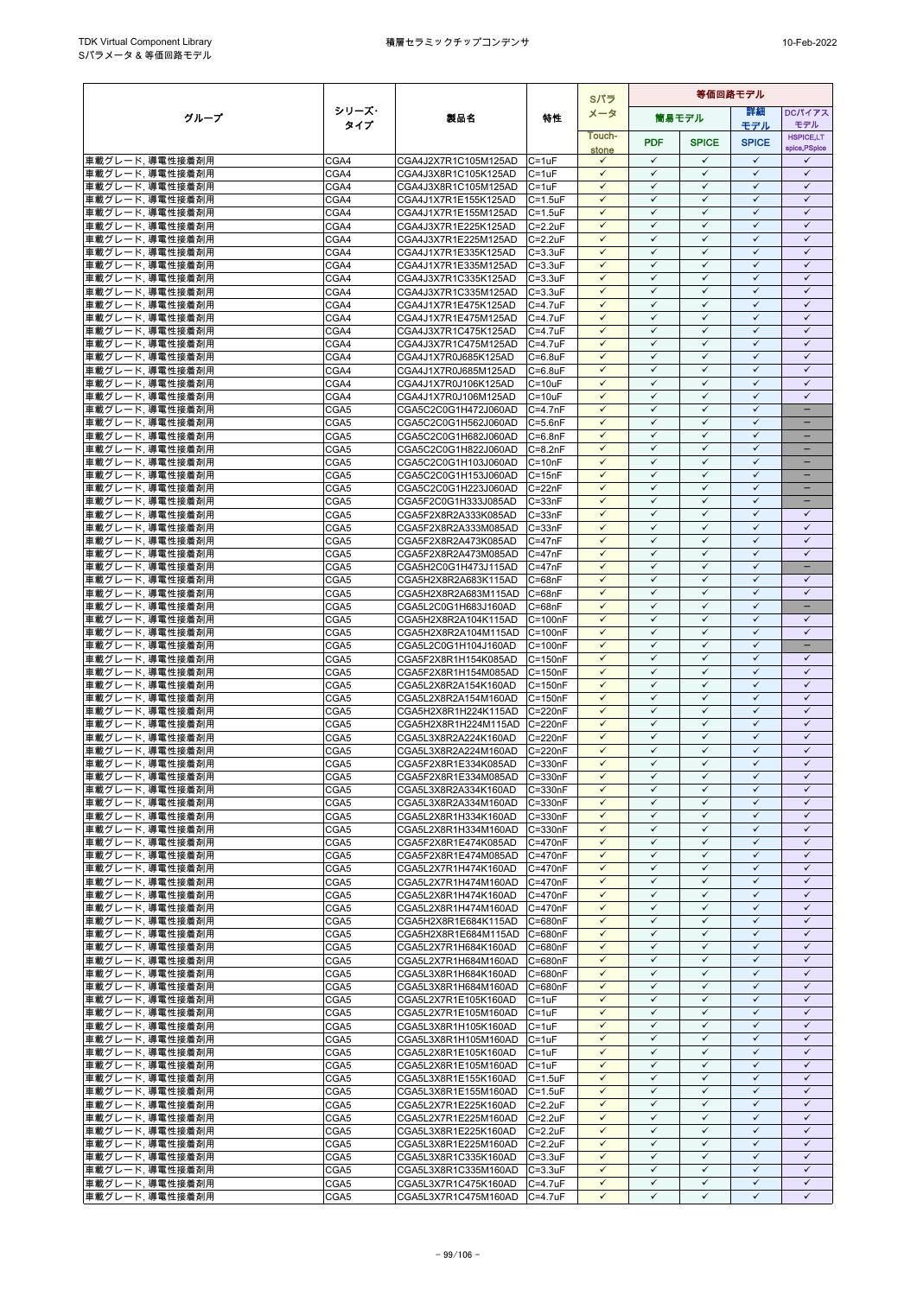|                                     |              |                                              |                            | Sパラ                          | 等価回路モデル                      |                              |                              |                                   |
|-------------------------------------|--------------|----------------------------------------------|----------------------------|------------------------------|------------------------------|------------------------------|------------------------------|-----------------------------------|
| グループ                                | シリーズ・        | 製品名                                          | 特性                         | メータ                          |                              | 筒易モデル                        | 詳細                           | <b>DCパイアス</b>                     |
|                                     | タイプ          |                                              |                            | Touch-                       |                              |                              | モデル                          | モデル                               |
|                                     |              |                                              |                            | stone                        | <b>PDF</b>                   | <b>SPICE</b>                 | <b>SPICE</b>                 | <b>HSPICE,LT</b><br>spice, PSpice |
| 車載グレード,導電性接着剤用                      | CGA4         | CGA4J2X7R1C105M125AD                         | $C = 1uF$                  | $\checkmark$                 | $\checkmark$                 | $\checkmark$                 | $\checkmark$                 | ✓                                 |
| 車載グレード、導電性接着剤用                      | CGA4         | CGA4J3X8R1C105K125AD                         | $C = 1uF$                  | $\checkmark$                 | $\checkmark$                 | $\checkmark$                 | $\checkmark$                 | $\checkmark$                      |
| 車載グレード,導電性接着剤用                      | CGA4         | CGA4J3X8R1C105M125AD                         | $C = 1uF$                  | $\checkmark$                 | $\checkmark$                 | $\checkmark$                 | $\checkmark$                 | $\checkmark$                      |
| 車載グレード, 導電性接着剤用                     | CGA4         | CGA4J1X7R1E155K125AD                         | $C = 1.5$ u $F$            | $\checkmark$                 | $\checkmark$                 | $\checkmark$                 | $\checkmark$                 | $\checkmark$                      |
| 車載グレード、導電性接着剤用                      | CGA4         | CGA4J1X7R1E155M125AD                         | $C = 1.5$ u $F$            | $\checkmark$                 | $\checkmark$                 | $\checkmark$                 | $\checkmark$                 | $\checkmark$                      |
| 車載グレード,導電性接着剤用                      | CGA4         | CGA4J3X7R1E225K125AD                         | $C = 2.2uF$                | ✓                            | $\checkmark$<br>$\checkmark$ | $\checkmark$                 | $\checkmark$<br>$\checkmark$ | $\checkmark$<br>$\checkmark$      |
| 車載グレード, 導電性接着剤用                     | CGA4         | CGA4J3X7R1E225M125AD<br>CGA4J1X7R1E335K125AD | $C = 2.2uF$                | $\checkmark$<br>$\checkmark$ | $\checkmark$                 | $\checkmark$<br>$\checkmark$ | $\checkmark$                 | $\checkmark$                      |
| 車載グレード,導電性接着剤用<br>車載グレード、導電性接着剤用    | CGA4<br>CGA4 | CGA4J1X7R1E335M125AD                         | $C = 3.3uF$<br>$C = 3.3uF$ | $\checkmark$                 | $\checkmark$                 | $\checkmark$                 | $\checkmark$                 | $\checkmark$                      |
| 車載グレード、導電性接着剤用                      | CGA4         | CGA4J3X7R1C335K125AD                         | $C = 3.3uF$                | $\checkmark$                 | $\checkmark$                 | $\checkmark$                 | $\checkmark$                 | $\checkmark$                      |
| 車載グレード,導電性接着剤用                      | CGA4         | CGA4J3X7R1C335M125AD                         | $C = 3.3uF$                | $\checkmark$                 | $\checkmark$                 | $\checkmark$                 | $\checkmark$                 | $\checkmark$                      |
| 車載グレード、導電性接着剤用                      | CGA4         | CGA4J1X7R1E475K125AD                         | $C = 4.7$ u $F$            | $\checkmark$                 | $\checkmark$                 | $\checkmark$                 | $\checkmark$                 | $\checkmark$                      |
| 車載グレード,導電性接着剤用                      | CGA4         | CGA4J1X7R1E475M125AD                         | $C = 4.7uF$                | $\checkmark$                 | ✓                            | $\checkmark$                 | $\checkmark$                 | ✓                                 |
| 車載グレード,導電性接着剤用                      | CGA4         | CGA4J3X7R1C475K125AD                         | $C = 4.7$ u $F$            | $\checkmark$                 | $\checkmark$                 | $\checkmark$                 | $\checkmark$                 | $\checkmark$                      |
| 車載グレード,導電性接着剤用                      | CGA4         | CGA4J3X7R1C475M125AD                         | $C = 4.7uF$                | $\checkmark$                 | ✓                            | $\checkmark$                 | $\checkmark$                 | $\checkmark$                      |
| 車載グレード,導電性接着剤用                      | CGA4         | CGA4J1X7R0J685K125AD                         | $C = 6.8$ u $F$            | $\checkmark$                 | $\checkmark$                 | $\checkmark$                 | $\checkmark$                 | $\checkmark$                      |
| 車載グレード、導電性接着剤用                      | CGA4         | CGA4J1X7R0J685M125AD                         | $C = 6.8$ u $F$            | $\checkmark$                 | $\checkmark$                 | $\checkmark$                 | $\checkmark$                 | $\checkmark$                      |
| 車載グレード,導電性接着剤用                      | CGA4         | CGA4J1X7R0J106K125AD                         | $C = 10uF$                 | $\checkmark$                 | $\checkmark$                 | $\checkmark$                 | ✓                            | $\checkmark$                      |
| 車載グレード,導電性接着剤用                      | CGA4         | CGA4J1X7R0J106M125AD                         | $C = 10uF$                 | $\checkmark$<br>$\checkmark$ | $\checkmark$<br>$\checkmark$ | $\checkmark$<br>$\checkmark$ | $\checkmark$<br>$\checkmark$ | $\checkmark$                      |
| 車載グレード,導電性接着剤用                      | CGA5         | CGA5C2C0G1H472J060AD                         | $C = 4.7nF$                | $\checkmark$                 | $\checkmark$                 | $\checkmark$                 | $\checkmark$                 |                                   |
| 車載グレード,導電性接着剤用<br>車載グレード,導電性接着剤用    | CGA5<br>CGA5 | CGA5C2C0G1H562J060AD<br>CGA5C2C0G1H682J060AD | $C = 5.6nF$<br>$C = 6.8nF$ | $\checkmark$                 | $\checkmark$                 | $\checkmark$                 | $\checkmark$                 | $\overline{\phantom{0}}$          |
| 車載グレード,導電性接着剤用                      | CGA5         | CGA5C2C0G1H822J060AD                         | $C = 8.2nF$                | $\checkmark$                 | $\checkmark$                 | $\checkmark$                 | $\checkmark$                 | -                                 |
| 車載グレード、導電性接着剤用                      | CGA5         | CGA5C2C0G1H103J060AD                         | $C = 10nF$                 | $\checkmark$                 | $\checkmark$                 | $\checkmark$                 | $\checkmark$                 | -                                 |
| 車載グレード,導電性接着剤用                      | CGA5         | CGA5C2C0G1H153J060AD                         | $C = 15nF$                 | $\checkmark$                 | $\checkmark$                 | $\checkmark$                 | $\checkmark$                 |                                   |
| 車載グレード,導電性接着剤用                      | CGA5         | CGA5C2C0G1H223J060AD                         | $C = 22nF$                 | $\checkmark$                 | $\checkmark$                 | $\checkmark$                 | $\checkmark$                 |                                   |
| 車載グレード,導電性接着剤用                      | CGA5         | CGA5F2C0G1H333J085AD                         | $C = 33nF$                 | $\checkmark$                 | ✓                            | $\checkmark$                 | $\checkmark$                 |                                   |
| 車載グレード、導電性接着剤用                      | CGA5         | CGA5F2X8R2A333K085AD                         | $C = 33nF$                 | $\checkmark$                 | $\checkmark$                 | $\checkmark$                 | $\checkmark$                 | $\checkmark$                      |
| 車載グレード, 導電性接着剤用                     | CGA5         | CGA5F2X8R2A333M085AD                         | $C = 33nF$                 | $\checkmark$                 | $\checkmark$                 | $\checkmark$                 | $\checkmark$                 | $\checkmark$                      |
| 車載グレード,導電性接着剤用                      | CGA5         | CGA5F2X8R2A473K085AD                         | $C = 47nF$                 | $\checkmark$                 | $\checkmark$                 | $\checkmark$                 | ✓                            | ✓                                 |
| 車載グレード、導電性接着剤用                      | CGA5         | CGA5F2X8R2A473M085AD                         | $C = 47nF$                 | $\checkmark$                 | $\checkmark$                 | $\checkmark$                 | $\checkmark$                 | $\checkmark$                      |
| 車載グレード, 導電性接着剤用                     | CGA5         | CGA5H2C0G1H473J115AD                         | $C = 47nF$                 | $\checkmark$<br>$\checkmark$ | ✓<br>$\checkmark$            | $\checkmark$                 | $\checkmark$<br>$\checkmark$ |                                   |
| 車載グレード,導電性接着剤用                      | CGA5<br>CGA5 | CGA5H2X8R2A683K115AD<br>CGA5H2X8R2A683M115AD | $C = 68nF$<br>$C = 68nF$   | $\checkmark$                 | $\checkmark$                 | $\checkmark$<br>$\checkmark$ | $\checkmark$                 | $\checkmark$<br>$\checkmark$      |
| 車載グレード,導電性接着剤用<br>車載グレード、導電性接着剤用    | CGA5         | CGA5L2C0G1H683J160AD                         | $C = 68nF$                 | $\checkmark$                 | $\checkmark$                 | $\checkmark$                 | $\checkmark$                 | $\overline{\phantom{0}}$          |
| 車載グレード,導電性接着剤用                      | CGA5         | CGA5H2X8R2A104K115AD                         | $C = 100nF$                | $\checkmark$                 | $\checkmark$                 | $\checkmark$                 | $\checkmark$                 | $\checkmark$                      |
| 車載グレード, 導電性接着剤用                     | CGA5         | CGA5H2X8R2A104M115AD                         | $C = 100nF$                | ✓                            | ✓                            | ✓                            | ✓                            | ✓                                 |
| 車載グレード,導電性接着剤用                      | CGA5         | CGA5L2C0G1H104J160AD                         | $C = 100nF$                | $\checkmark$                 | $\checkmark$                 | $\checkmark$                 | $\checkmark$                 | Ξ.                                |
| 車載グレード,導電性接着剤用                      | CGA5         | CGA5F2X8R1H154K085AD                         | C=150nF                    | $\checkmark$                 | $\checkmark$                 | $\checkmark$                 | $\checkmark$                 | ✓                                 |
| 車載グレード,導電性接着剤用                      | CGA5         | CGA5F2X8R1H154M085AD                         | $C = 150nF$                | $\checkmark$                 | $\checkmark$                 | $\checkmark$                 | $\checkmark$                 | $\checkmark$                      |
| 車載グレード,導電性接着剤用                      | CGA5         | CGA5L2X8R2A154K160AD                         | $C = 150nF$                | $\checkmark$                 | $\checkmark$                 | $\checkmark$                 | $\checkmark$                 | $\checkmark$                      |
| 車載グレード,導電性接着剤用                      | CGA5         | CGA5L2X8R2A154M160AD                         | $C = 150nF$                | $\checkmark$                 | $\checkmark$                 | $\checkmark$                 | $\checkmark$                 | $\checkmark$                      |
| 車載グレード,導電性接着剤用                      | CGA5         | CGA5H2X8R1H224K115AD                         | C=220nF                    | $\checkmark$                 | $\checkmark$                 | $\checkmark$                 | $\checkmark$                 | $\checkmark$                      |
| 車載グレード,導電性接着剤用                      | CGA5         | CGA5H2X8R1H224M115AD                         | C=220nF                    | $\checkmark$                 | $\checkmark$                 | $\checkmark$                 | $\checkmark$                 | $\checkmark$                      |
| 車載グレード,導電性接着剤用                      | CGA5         | CGA5L3X8R2A224K160AD                         | C=220nF                    | $\checkmark$<br>✓            | $\checkmark$<br>✓            | $\checkmark$<br>$\checkmark$ | $\checkmark$<br>$\checkmark$ | $\checkmark$<br>$\checkmark$      |
| 車載グレード,導電性接着剤用<br>車載グレード、導電性接着剤用    | CGA5<br>CGA5 | CGA5L3X8R2A224M160AD<br>CGA5F2X8R1E334K085AD | $C = 220nF$<br>C=330nF     | $\checkmark$                 | $\checkmark$                 | $\checkmark$                 | $\checkmark$                 | $\checkmark$                      |
| 車載グレード,導電性接着剤用                      | CGA5         | CGA5F2X8R1E334M085AD                         | $C = 330nF$                | $\checkmark$                 | $\checkmark$                 | $\checkmark$                 | $\checkmark$                 | $\checkmark$                      |
| 車載グレード, 導電性接着剤用                     | CGA5         | CGA5L3X8R2A334K160AD                         | C=330nF                    | $\checkmark$                 | $\checkmark$                 | $\checkmark$                 | ✓                            | ✓                                 |
| 車載グレード,導電性接着剤用                      | CGA5         | CGA5L3X8R2A334M160AD                         | C=330nF                    | $\checkmark$                 | $\checkmark$                 | $\checkmark$                 | $\checkmark$                 | $\checkmark$                      |
| 車載グレード,導電性接着剤用                      | CGA5         | CGA5L2X8R1H334K160AD                         | $C = 330nF$                | $\checkmark$                 | $\checkmark$                 | $\checkmark$                 | $\checkmark$                 | $\checkmark$                      |
| 車載グレード,導電性接着剤用                      | CGA5         | CGA5L2X8R1H334M160AD                         | C=330nF                    | $\checkmark$                 | $\checkmark$                 | $\checkmark$                 | $\checkmark$                 | $\checkmark$                      |
| 車載グレード,導電性接着剤用                      | CGA5         | CGA5F2X8R1E474K085AD                         | C=470nF                    | $\checkmark$                 | $\checkmark$                 | $\checkmark$                 | $\checkmark$                 | $\checkmark$                      |
| 車載グレード, 導電性接着剤用                     | CGA5         | CGA5F2X8R1E474M085AD                         | $C = 470nF$                | $\checkmark$                 | $\checkmark$                 | $\checkmark$                 | $\checkmark$                 | $\checkmark$                      |
| 車載グレード,導電性接着剤用                      | CGA5         | CGA5L2X7R1H474K160AD                         | C=470nF                    | $\checkmark$                 | $\checkmark$                 | $\checkmark$                 | $\checkmark$                 | $\checkmark$                      |
| 車載グレード,導電性接着剤用                      | CGA5         | CGA5L2X7R1H474M160AD                         | $C = 470nF$                | ✓                            | ✓                            | $\checkmark$                 | ✓                            | ✓                                 |
| 車載グレード,導電性接着剤用                      | CGA5         | CGA5L2X8R1H474K160AD                         | C=470nF                    | $\checkmark$                 | $\checkmark$                 | $\checkmark$                 | $\checkmark$                 | $\checkmark$                      |
| 車載グレード,導電性接着剤用                      | CGA5         | CGA5L2X8R1H474M160AD                         | C=470nF                    | $\checkmark$<br>$\checkmark$ | $\checkmark$<br>$\checkmark$ | $\checkmark$<br>$\checkmark$ | $\checkmark$<br>$\checkmark$ | $\checkmark$<br>$\checkmark$      |
| 車載グレード,導電性接着剤用<br>車載グレード,導電性接着剤用    | CGA5<br>CGA5 | CGA5H2X8R1E684K115AD<br>CGA5H2X8R1E684M115AD | C=680nF<br>C=680nF         | $\checkmark$                 | $\checkmark$                 | $\checkmark$                 | $\checkmark$                 | $\checkmark$                      |
| 車載グレード、導電性接着剤用                      | CGA5         | CGA5L2X7R1H684K160AD                         | C=680nF                    | $\checkmark$                 | $\checkmark$                 | $\checkmark$                 | $\checkmark$                 | $\checkmark$                      |
| 車載グレード, 導電性接着剤用                     | CGA5         | CGA5L2X7R1H684M160AD                         | C=680nF                    | $\checkmark$                 | $\checkmark$                 | $\checkmark$                 | $\checkmark$                 | $\checkmark$                      |
| 車載グレード,導電性接着剤用                      | CGA5         | CGA5L3X8R1H684K160AD                         | C=680nF                    | $\checkmark$                 | $\checkmark$                 | $\checkmark$                 | $\checkmark$                 | $\checkmark$                      |
| 車載グレード,導電性接着剤用                      | CGA5         | CGA5L3X8R1H684M160AD                         | C=680nF                    | $\checkmark$                 | $\checkmark$                 | $\checkmark$                 | $\checkmark$                 | $\checkmark$                      |
| 車載グレード,導電性接着剤用                      | CGA5         | CGA5L2X7R1E105K160AD                         | $C = 1uF$                  | $\checkmark$                 | $\checkmark$                 | $\checkmark$                 | $\checkmark$                 | $\checkmark$                      |
| 車載グレード,導電性接着剤用                      | CGA5         | CGA5L2X7R1E105M160AD                         | $C = 1uF$                  | $\checkmark$                 | $\checkmark$                 | $\checkmark$                 | $\checkmark$                 | $\checkmark$                      |
| 車載グレード, 導電性接着剤用                     | CGA5         | CGA5L3X8R1H105K160AD                         | $C = 1uF$                  | $\checkmark$                 | $\checkmark$                 | $\checkmark$                 | $\checkmark$                 | $\checkmark$                      |
| 車載グレード、導電性接着剤用                      | CGA5         | CGA5L3X8R1H105M160AD                         | $C = 1uF$                  | $\checkmark$                 | ✓                            | $\checkmark$                 | ✓                            | ✓                                 |
| 車載グレード,導電性接着剤用                      | CGA5         | CGA5L2X8R1E105K160AD                         | $C = 1uF$                  | $\checkmark$                 | $\checkmark$                 | $\checkmark$                 | $\checkmark$                 | $\checkmark$                      |
| 車載グレード,導電性接着剤用                      | CGA5         | CGA5L2X8R1E105M160AD                         | $C = 1uF$                  | $\checkmark$                 | $\checkmark$                 | $\checkmark$                 | $\checkmark$                 | $\checkmark$                      |
| 車載グレード,導電性接着剤用                      | CGA5         | CGA5L3X8R1E155K160AD                         | $C = 1.5uF$                | $\checkmark$<br>$\checkmark$ | $\checkmark$<br>$\checkmark$ | $\checkmark$<br>$\checkmark$ | $\checkmark$<br>$\checkmark$ | $\checkmark$<br>$\checkmark$      |
| 車載グレード, 導電性接着剤用<br> 車載グレード, 導電性接着剤用 | CGA5<br>CGA5 | CGA5L3X8R1E155M160AD<br>CGA5L2X7R1E225K160AD | $C = 1.5uF$<br>$C = 2.2uF$ | $\checkmark$                 | $\checkmark$                 | $\checkmark$                 | $\checkmark$                 | $\checkmark$                      |
| 車載グレード,導電性接着剤用                      | CGA5         | CGA5L2X7R1E225M160AD                         | $C = 2.2uF$                | $\checkmark$                 | $\checkmark$                 | $\checkmark$                 | $\checkmark$                 | $\checkmark$                      |
| 車載グレード、導電性接着剤用                      | CGA5         | CGA5L3X8R1E225K160AD                         | $C = 2.2uF$                | $\checkmark$                 | $\checkmark$                 | $\checkmark$                 | $\checkmark$                 | $\checkmark$                      |
| 車載グレード, 導電性接着剤用                     | CGA5         | CGA5L3X8R1E225M160AD                         | $C = 2.2uF$                | $\checkmark$                 | $\checkmark$                 | $\checkmark$                 | $\checkmark$                 | $\checkmark$                      |
| 車載グレード,導電性接着剤用                      | CGA5         | CGA5L3X8R1C335K160AD                         | $C = 3.3uF$                | $\checkmark$                 | $\checkmark$                 | $\checkmark$                 | $\checkmark$                 | $\checkmark$                      |
| 車載グレード,導電性接着剤用                      | CGA5         | CGA5L3X8R1C335M160AD                         | $C = 3.3uF$                | $\checkmark$                 | $\checkmark$                 | $\checkmark$                 | $\checkmark$                 | $\checkmark$                      |
| 車載グレード,導電性接着剤用                      | CGA5         | CGA5L3X7R1C475K160AD                         | $C = 4.7uF$                | $\checkmark$                 | $\checkmark$                 | $\checkmark$                 | $\checkmark$                 | $\checkmark$                      |
| 車載グレード,導電性接着剤用                      | CGA5         | CGA5L3X7R1C475M160AD                         | $C = 4.7uF$                | $\checkmark$                 | $\checkmark$                 | $\checkmark$                 | $\checkmark$                 | ✓                                 |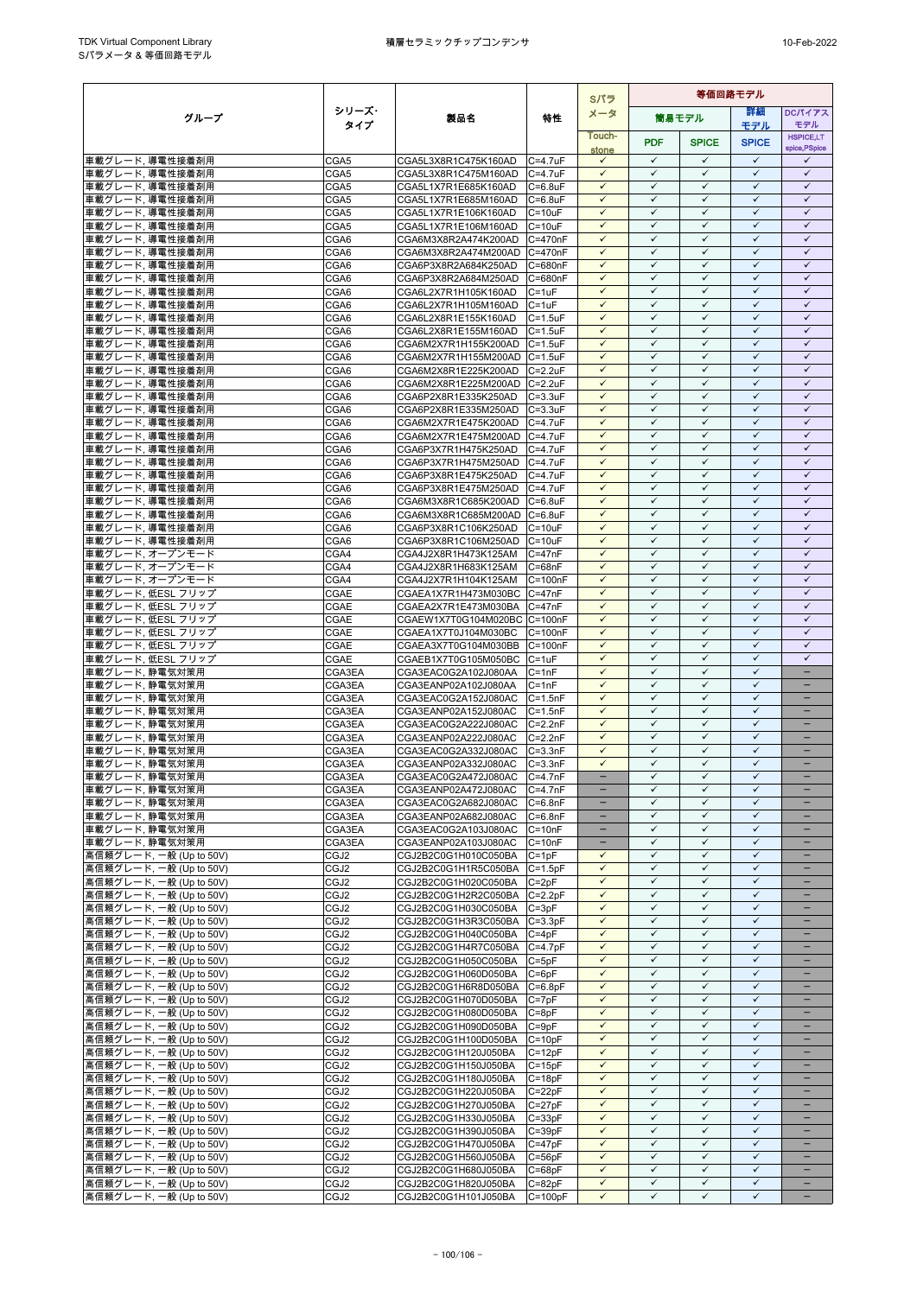|                                                    |                          |                                              |                             | Sパラ                          | 等価回路モデル                      |                              |                              |                                               |
|----------------------------------------------------|--------------------------|----------------------------------------------|-----------------------------|------------------------------|------------------------------|------------------------------|------------------------------|-----------------------------------------------|
| グループ                                               | シリーズ・                    | 製品名                                          | 特性                          | メータ                          |                              | 簡易モデル                        | 詳細                           | DCパイアス                                        |
|                                                    | タイプ                      |                                              |                             | Touch-                       |                              |                              | モデル                          | モデル<br><b>HSPICE,LT</b>                       |
|                                                    |                          |                                              |                             | stone                        | <b>PDF</b>                   | <b>SPICE</b>                 | <b>SPICE</b>                 | spice, PSpice                                 |
| 車載グレード、導電性接着剤用                                     | CGA5                     | CGA5L3X8R1C475K160AD                         | $C = 4.7$ uF                | $\checkmark$                 | $\checkmark$                 | $\checkmark$                 | $\checkmark$                 | $\checkmark$                                  |
| 車載グレード、導電性接着剤用                                     | CGA5                     | CGA5L3X8R1C475M160AD                         | $C = 4.7$ u $F$             | $\checkmark$                 | $\checkmark$                 | $\checkmark$                 | $\checkmark$                 | $\checkmark$                                  |
| 車載グレード,導電性接着剤用                                     | CGA5                     | CGA5L1X7R1E685K160AD                         | $C = 6.8$ uF                | $\checkmark$<br>$\checkmark$ | $\checkmark$<br>$\checkmark$ | $\checkmark$<br>$\checkmark$ | $\checkmark$<br>$\checkmark$ | $\checkmark$<br>$\checkmark$                  |
| 車載グレード, 導電性接着剤用<br>車載グレード、導電性接着剤用                  | CGA5<br>CGA5             | CGA5L1X7R1E685M160AD<br>CGA5L1X7R1E106K160AD | $C = 6.8$ uF<br>$C = 10uF$  | $\checkmark$                 | $\checkmark$                 | $\checkmark$                 | $\checkmark$                 | $\checkmark$                                  |
| 車載グレード、導電性接着剤用                                     | CGA5                     | CGA5L1X7R1E106M160AD                         | $C = 10uF$                  | $\checkmark$                 | $\checkmark$                 | $\checkmark$                 | $\checkmark$                 | $\checkmark$                                  |
| 車載グレード,導電性接着剤用                                     | CGA6                     | CGA6M3X8R2A474K200AD                         | $C = 470nF$                 | $\checkmark$                 | $\checkmark$                 | $\checkmark$                 | $\checkmark$                 | $\checkmark$                                  |
| 車載グレード,導電性接着剤用                                     | CGA6                     | CGA6M3X8R2A474M200AD                         | C=470nF                     | $\checkmark$                 | $\checkmark$                 | $\checkmark$                 | $\checkmark$                 | $\checkmark$                                  |
| 車載グレード,導電性接着剤用                                     | CGA6                     | CGA6P3X8R2A684K250AD                         | C=680nF                     | $\checkmark$                 | $\checkmark$                 | $\checkmark$                 | $\checkmark$                 | $\checkmark$                                  |
| 車載グレード、導電性接着剤用                                     | CGA6                     | CGA6P3X8R2A684M250AD                         | C=680nF                     | $\checkmark$<br>$\checkmark$ | $\checkmark$<br>$\checkmark$ | $\checkmark$<br>$\checkmark$ | $\checkmark$<br>$\checkmark$ | $\checkmark$<br>$\checkmark$                  |
| 車載グレード、導電性接着剤用<br>車載グレード、導電性接着剤用                   | CGA6<br>CGA6             | CGA6L2X7R1H105K160AD<br>CGA6L2X7R1H105M160AD | $C = 1uF$<br>$C = 1uF$      | $\checkmark$                 | $\checkmark$                 | $\checkmark$                 | $\checkmark$                 | $\checkmark$                                  |
| 車載グレード、導電性接着剤用                                     | CGA6                     | CGA6L2X8R1E155K160AD                         | $C = 1.5uF$                 | $\checkmark$                 | $\checkmark$                 | $\checkmark$                 | $\checkmark$                 | $\checkmark$                                  |
| 車載グレード、導電性接着剤用                                     | CGA6                     | CGA6L2X8R1E155M160AD                         | $C = 1.5$ u $F$             | $\checkmark$                 | $\checkmark$                 | $\checkmark$                 | $\checkmark$                 | $\checkmark$                                  |
| 車載グレード,導電性接着剤用                                     | CGA6                     | CGA6M2X7R1H155K200AD                         | $C = 1.5$ u $F$             | $\checkmark$                 | $\checkmark$                 | $\checkmark$                 | $\checkmark$                 | $\checkmark$                                  |
| 車載グレード,導電性接着剤用                                     | CGA6                     | CGA6M2X7R1H155M200AD                         | $C = 1.5$ u $F$             | $\checkmark$                 | $\checkmark$                 | $\checkmark$                 | $\checkmark$                 | $\checkmark$                                  |
| 車載グレード、導電性接着剤用                                     | CGA6                     | CGA6M2X8R1E225K200AD                         | $C = 2.2uF$                 | $\checkmark$                 | $\checkmark$                 | $\checkmark$                 | $\checkmark$                 | $\checkmark$                                  |
| 車載グレード、導電性接着剤用<br>車載グレード,導電性接着剤用                   | CGA6<br>CGA6             | CGA6M2X8R1E225M200AD<br>CGA6P2X8R1E335K250AD | $C = 2.2uF$<br>$C = 3.3uF$  | $\checkmark$<br>$\checkmark$ | $\checkmark$<br>$\checkmark$ | ✓<br>$\checkmark$            | ✓<br>$\checkmark$            | $\checkmark$<br>$\checkmark$                  |
| 車載グレード,導電性接着剤用                                     | CGA6                     | CGA6P2X8R1E335M250AD                         | $C = 3.3uF$                 | $\checkmark$                 | $\checkmark$                 | $\checkmark$                 | $\checkmark$                 | $\checkmark$                                  |
| 車載グレード,導電性接着剤用                                     | CGA6                     | CGA6M2X7R1E475K200AD                         | $C = 4.7$ u $F$             | $\checkmark$                 | $\checkmark$                 | $\checkmark$                 | $\checkmark$                 | $\checkmark$                                  |
| 車載グレード,導電性接着剤用                                     | CGA6                     | CGA6M2X7R1E475M200AD                         | $C = 4.7$ uF                | $\checkmark$                 | $\checkmark$                 | $\checkmark$                 | $\checkmark$                 | $\checkmark$                                  |
| 車載グレード,導電性接着剤用                                     | CGA6                     | CGA6P3X7R1H475K250AD                         | $C = 4.7uF$                 | $\checkmark$                 | $\checkmark$                 | $\checkmark$                 | $\checkmark$                 | $\checkmark$                                  |
| 車載グレード、導電性接着剤用                                     | CGA6                     | CGA6P3X7R1H475M250AD C=4.7uF                 |                             | $\checkmark$                 | $\checkmark$                 | $\checkmark$                 | $\checkmark$                 | $\checkmark$                                  |
| 車載グレード,導電性接着剤用<br>車載グレード,導電性接着剤用                   | CGA6<br>CGA6             | CGA6P3X8R1E475K250AD<br>CGA6P3X8R1E475M250AD | $C = 4.7uF$<br>$C = 4.7$ uF | $\checkmark$<br>$\checkmark$ | $\checkmark$<br>$\checkmark$ | $\checkmark$<br>$\checkmark$ | $\checkmark$<br>$\checkmark$ | $\checkmark$<br>$\checkmark$                  |
| 車載グレード,導電性接着剤用                                     | CGA6                     | CGA6M3X8R1C685K200AD                         | $C = 6.8$ uF                | $\checkmark$                 | ✓                            | $\checkmark$                 | $\checkmark$                 | $\checkmark$                                  |
| 車載グレード,導電性接着剤用                                     | CGA6                     | CGA6M3X8R1C685M200AD                         | $C = 6.8$ u $F$             | $\checkmark$                 | $\checkmark$                 | $\checkmark$                 | $\checkmark$                 | $\checkmark$                                  |
| 車載グレード, 導電性接着剤用                                    | CGA6                     | CGA6P3X8R1C106K250AD                         | $C = 10uF$                  | $\checkmark$                 | $\checkmark$                 | $\checkmark$                 | $\checkmark$                 | $\checkmark$                                  |
| 車載グレード,導電性接着剤用                                     | CGA6                     | CGA6P3X8R1C106M250AD                         | $C = 10uF$                  | $\checkmark$                 | $\checkmark$                 | $\checkmark$                 | $\checkmark$                 | $\checkmark$                                  |
| 車載グレード、オープンモード                                     | CGA4                     | CGA4J2X8R1H473K125AM                         | $C = 47nF$                  | $\checkmark$<br>$\checkmark$ | $\checkmark$<br>$\checkmark$ | $\checkmark$                 | $\checkmark$<br>$\checkmark$ | $\checkmark$                                  |
| 車載グレード, オープンモード<br>車載グレード、オープンモード                  | CGA4<br>CGA4             | CGA4J2X8R1H683K125AM<br>CGA4J2X7R1H104K125AM | $C = 68nF$<br>$C = 100nF$   | $\checkmark$                 | $\checkmark$                 | $\checkmark$<br>$\checkmark$ | $\checkmark$                 | $\checkmark$<br>$\checkmark$                  |
| 車載グレード,低ESL フリップ                                   | CGAE                     | CGAEA1X7R1H473M030BC                         | $C = 47nF$                  | $\checkmark$                 | $\checkmark$                 | $\checkmark$                 | $\checkmark$                 | $\checkmark$                                  |
| 車載グレード,低ESL フリップ                                   | CGAE                     | CGAEA2X7R1E473M030BA                         | $C = 47nF$                  | $\checkmark$                 | $\checkmark$                 | $\checkmark$                 | $\checkmark$                 | $\checkmark$                                  |
| 車載グレード,低ESL フリップ                                   | CGAE                     | CGAEW1X7T0G104M020BC C=100nF                 |                             | $\checkmark$                 | $\checkmark$                 | $\checkmark$                 | $\checkmark$                 | $\checkmark$                                  |
| 車載グレード,低ESL フリップ                                   | CGAE                     | CGAEA1X7T0J104M030BC                         | $C = 100nF$                 | ✓                            | ✓                            | ✓                            | ✓                            | $\checkmark$                                  |
| 車載グレード,低ESL フリップ                                   | CGAE                     | CGAEA3X7T0G104M030BB                         | $C = 100nF$                 | $\checkmark$<br>$\checkmark$ | $\checkmark$<br>$\checkmark$ | $\checkmark$<br>$\checkmark$ | $\checkmark$<br>$\checkmark$ | $\checkmark$<br>$\checkmark$                  |
| 車載グレード,低ESL フリップ<br>車載グレード,静電気対策用                  | CGAE<br>CGA3EA           | CGAEB1X7T0G105M050BC<br>CGA3EAC0G2A102J080AA | $C = 1uF$<br>$C = 1nF$      | $\checkmark$                 | $\checkmark$                 | $\checkmark$                 | $\checkmark$                 | $\overline{\phantom{0}}$                      |
| 車載グレード,静電気対策用                                      | CGA3EA                   | CGA3EANP02A102J080AA                         | $C = 1nF$                   | $\checkmark$                 | $\checkmark$                 | $\checkmark$                 | $\checkmark$                 | $\equiv$                                      |
| 車載グレード,静電気対策用                                      | CGA3EA                   | CGA3EAC0G2A152J080AC                         | $C = 1.5nF$                 | $\checkmark$                 | $\checkmark$                 | $\checkmark$                 | $\checkmark$                 |                                               |
| 車載グレード,静電気対策用                                      | CGA3EA                   | CGA3EANP02A152J080AC                         | $C = 1.5nF$                 | $\checkmark$                 | $\checkmark$                 | $\checkmark$                 | $\checkmark$                 |                                               |
| 車載グレード,静電気対策用                                      | CGA3EA                   | CGA3EAC0G2A222J080AC                         | $C = 2.2nF$                 | $\checkmark$                 | $\checkmark$                 | $\checkmark$                 | $\checkmark$                 |                                               |
| 車載グレード,静電気対策用                                      | CGA3EA                   | CGA3EANP02A222J080AC                         | $C = 2.2nF$                 | $\checkmark$<br>$\checkmark$ | $\checkmark$<br>$\checkmark$ | $\checkmark$<br>$\checkmark$ | $\checkmark$<br>$\checkmark$ |                                               |
| 車載グレード,静電気対策用<br>車載グレード,静電気対策用                     | CGA3EA<br>CGA3EA         | CGA3EAC0G2A332J080AC<br>CGA3EANP02A332J080AC | $C = 3.3nF$<br>$C = 3.3nF$  | $\checkmark$                 | $\checkmark$                 | $\checkmark$                 | $\checkmark$                 | $\overline{\phantom{0}}$                      |
| 車載グレード,静電気対策用                                      | CGA3EA                   | CGA3EAC0G2A472J080AC                         | $C=4.7nF$                   | $-$                          | $\checkmark$                 | $\checkmark$                 | $\checkmark$                 |                                               |
| 車載グレード,静電気対策用                                      | CGA3EA                   | CGA3EANP02A472J080AC C=4.7nF                 |                             | -                            | ✓                            | $\checkmark$                 | $\checkmark$                 | $\overline{\phantom{0}}$                      |
| 車載グレード、静電気対策用                                      | CGA3EA                   | CGA3EAC0G2A682J080AC                         | $C = 6.8nF$                 | -                            | $\checkmark$                 | $\checkmark$                 | $\checkmark$                 |                                               |
| 車載グレード,静電気対策用                                      | CGA3EA                   | CGA3EANP02A682J080AC                         | $C = 6.8nF$                 |                              | $\checkmark$                 | $\checkmark$                 | $\checkmark$                 |                                               |
| 車載グレード,静電気対策用                                      | CGA3EA                   | CGA3EAC0G2A103J080AC                         | $C = 10nF$                  | $\overline{\phantom{0}}$     | $\checkmark$                 | $\checkmark$                 | $\checkmark$                 | -                                             |
| 車載グレード、静電気対策用<br> 高信頼グレード, 一般 (Up to 50V)          | CGA3EA<br>CGJ2           | CGA3EANP02A103J080AC<br>CGJ2B2C0G1H010C050BA | $C = 10nF$<br>$C = 1pF$     | $\checkmark$                 | $\checkmark$<br>$\checkmark$ | $\checkmark$<br>$\checkmark$ | $\checkmark$<br>$\checkmark$ |                                               |
| 高信頼グレード, 一般 (Up to 50V)                            | CGJ2                     | CGJ2B2C0G1H1R5C050BA C=1.5pF                 |                             | $\checkmark$                 | $\checkmark$                 | $\checkmark$                 | $\checkmark$                 | $-$                                           |
| 高信頼グレード, 一般 (Up to 50V)                            | CGJ2                     | CGJ2B2C0G1H020C050BA                         | $C = 2pF$                   | ✓                            | ✓                            | ✓                            | ✓                            |                                               |
| 高信頼グレード, 一般 (Up to 50V)                            | CGJ2                     | CGJ2B2C0G1H2R2C050BA                         | $C = 2.2pF$                 | $\checkmark$                 | $\checkmark$                 | $\checkmark$                 | $\checkmark$                 | $\qquad \qquad -$                             |
| 高信頼グレード, 一般 (Up to 50V)                            | CGJ2                     | CGJ2B2C0G1H030C050BA                         | $C = 3pF$                   | $\checkmark$                 | $\checkmark$                 | $\checkmark$                 | $\checkmark$                 | $\overline{\phantom{0}}$                      |
| 高信頼グレード, 一般 (Up to 50V)                            | CGJ2                     | CGJ2B2C0G1H3R3C050BA                         | $C = 3.3pF$                 | $\checkmark$                 | $\checkmark$                 | $\checkmark$                 | $\checkmark$                 |                                               |
| 高信頼グレード, 一般 (Up to 50V)<br>高信頼グレード, 一般 (Up to 50V) | CGJ2<br>CGJ2             | CGJ2B2C0G1H040C050BA<br>CGJ2B2C0G1H4R7C050BA | $C = 4pF$<br>$C=4.7pF$      | $\checkmark$<br>$\checkmark$ | $\checkmark$<br>$\checkmark$ | $\checkmark$<br>$\checkmark$ | $\checkmark$<br>$\checkmark$ | $\overline{\phantom{0}}$<br>$\qquad \qquad -$ |
| 高信頼グレード, 一般 (Up to 50V)                            | CGJ2                     | CGJ2B2C0G1H050C050BA                         | $C = 5pF$                   | $\checkmark$                 | $\checkmark$                 | $\checkmark$                 | $\checkmark$                 |                                               |
| 高信頼グレード, 一般 (Up to 50V)                            | CGJ2                     | CGJ2B2C0G1H060D050BA                         | $C = 6pF$                   | $\checkmark$                 | $\checkmark$                 | $\checkmark$                 | $\checkmark$                 |                                               |
| 高信頼グレード, 一般 (Up to 50V)                            | CGJ2                     | CGJ2B2C0G1H6R8D050BA                         | $C = 6.8pF$                 | $\checkmark$                 | $\checkmark$                 | $\checkmark$                 | $\checkmark$                 |                                               |
| 高信頼グレード, 一般 (Up to 50V)                            | CGJ2                     | CGJ2B2C0G1H070D050BA                         | $C = 7pF$                   | $\checkmark$                 | $\checkmark$                 | $\checkmark$                 | $\checkmark$                 |                                               |
| 高信頼グレード, 一般 (Up to 50V)                            | CGJ2                     | CGJ2B2C0G1H080D050BA                         | $C = 8pF$                   | $\checkmark$                 | $\checkmark$                 | $\checkmark$                 | $\checkmark$                 | $\overline{\phantom{0}}$                      |
| 高信頼グレード, 一般 (Up to 50V)<br>高信頼グレード, 一般 (Up to 50V) | CGJ2                     | CGJ2B2C0G1H090D050BA<br>CGJ2B2C0G1H100D050BA | $C = 9pF$<br>$C = 10pF$     | $\checkmark$<br>$\checkmark$ | $\checkmark$<br>✓            | $\checkmark$<br>$\checkmark$ | $\checkmark$<br>$\checkmark$ | $\overline{\phantom{0}}$                      |
| 高信頼グレード, 一般 (Up to 50V)                            | CGJ2<br>CGJ <sub>2</sub> | CGJ2B2C0G1H120J050BA                         | $C = 12pF$                  | $\checkmark$                 | $\checkmark$                 | $\checkmark$                 | $\checkmark$                 | $\qquad \qquad -$                             |
| 高信頼グレード, 一般 (Up to 50V)                            | CGJ2                     | CGJ2B2C0G1H150J050BA                         | $C = 15pF$                  | $\checkmark$                 | $\checkmark$                 | $\checkmark$                 | $\checkmark$                 |                                               |
| 高信頼グレード, 一般 (Up to 50V)                            | CGJ2                     | CGJ2B2C0G1H180J050BA                         | $C = 18pF$                  | $\checkmark$                 | $\checkmark$                 | $\checkmark$                 | $\checkmark$                 |                                               |
| 高信頼グレード, 一般 (Up to 50V)                            | CGJ2                     | CGJ2B2C0G1H220J050BA                         | $C = 22pF$                  | $\checkmark$                 | $\checkmark$                 | $\checkmark$                 | $\checkmark$                 | $\equiv$                                      |
| 高信頼グレード, 一般 (Up to 50V)                            | CGJ2                     | CGJ2B2C0G1H270J050BA                         | $C = 27pF$                  | $\checkmark$                 | $\checkmark$                 | $\checkmark$                 | $\checkmark$                 |                                               |
| 高信頼グレード, 一般 (Up to 50V)                            | CGJ2                     | CGJ2B2C0G1H330J050BA                         | $C = 33pF$                  | $\checkmark$<br>$\checkmark$ | $\checkmark$<br>$\checkmark$ | $\checkmark$<br>$\checkmark$ | $\checkmark$<br>$\checkmark$ | $\qquad \qquad -$                             |
| 高信頼グレード, 一般 (Up to 50V)<br>高信頼グレード, 一般 (Up to 50V) | CGJ2<br>CGJ2             | CGJ2B2C0G1H390J050BA<br>CGJ2B2C0G1H470J050BA | $C = 39pF$<br>$C = 47pF$    | $\checkmark$                 | $\checkmark$                 | $\checkmark$                 | $\checkmark$                 | -                                             |
| 高信頼グレード, 一般 (Up to 50V)                            | CGJ2                     | CGJ2B2C0G1H560J050BA                         | $C = 56pF$                  | $\checkmark$                 | $\checkmark$                 | $\checkmark$                 | $\checkmark$                 |                                               |
| 高信頼グレード, 一般 (Up to 50V)                            | CGJ2                     | CGJ2B2C0G1H680J050BA                         | $C = 68pF$                  | $\checkmark$                 | $\checkmark$                 | $\checkmark$                 | $\checkmark$                 |                                               |
| 高信頼グレード, 一般 (Up to 50V)                            | CGJ2                     | CGJ2B2C0G1H820J050BA                         | $C = 82pF$                  | $\checkmark$                 | $\checkmark$                 | $\checkmark$                 | $\checkmark$                 | $\overline{\phantom{0}}$                      |
| 高信頼グレード, 一般 (Up to 50V)                            | CGJ2                     | CGJ2B2C0G1H101J050BA                         | $C=100pF$                   | $\checkmark$                 | $\checkmark$                 | $\checkmark$                 | $\checkmark$                 | $\qquad \qquad -$                             |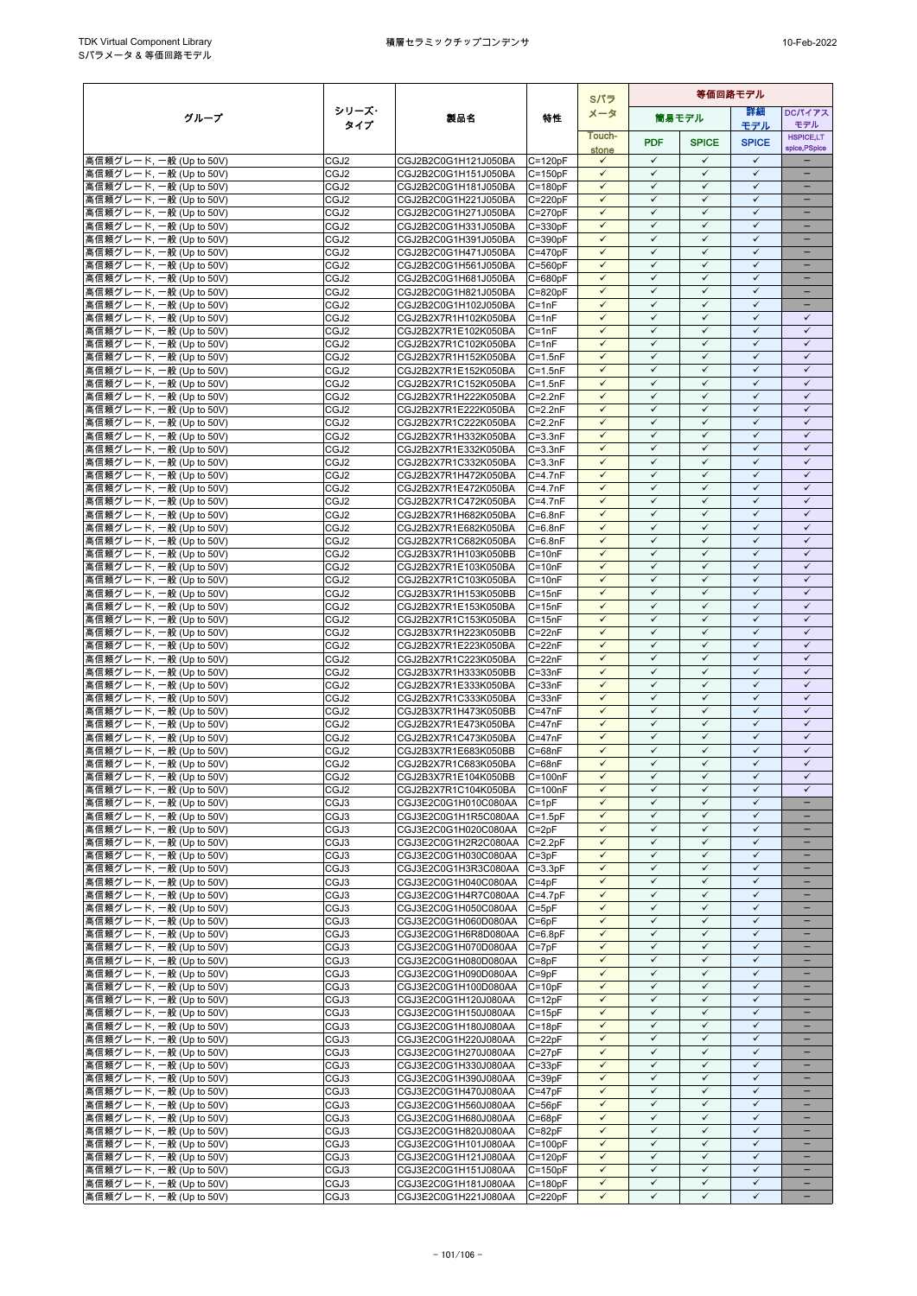|                                                    |                          |                                              |                            | Sパラ                          | 等価回路モデル                      |                              |                              |                               |
|----------------------------------------------------|--------------------------|----------------------------------------------|----------------------------|------------------------------|------------------------------|------------------------------|------------------------------|-------------------------------|
| グループ                                               | シリーズ・                    | 製品名                                          | 特性                         | メータ                          |                              | 筒易モデル                        | 詳細                           | DCパイアス                        |
|                                                    | タイプ                      |                                              |                            | Touch-                       |                              |                              | モデル                          | モデル<br><b>HSPICE,LT</b>       |
|                                                    |                          |                                              |                            | stone                        | <b>PDF</b>                   | <b>SPICE</b>                 | <b>SPICE</b>                 | spice, PSpice                 |
| 高信頼グレード, 一般 (Up to 50V)                            | CGJ2                     | CGJ2B2C0G1H121J050BA                         | $C = 120pF$                | $\checkmark$                 | $\checkmark$                 | $\checkmark$                 | $\checkmark$                 |                               |
| 高信頼グレード, 一般 (Up to 50V)                            | CGJ2                     | CGJ2B2C0G1H151J050BA                         | $C = 150pF$                | $\checkmark$                 | $\checkmark$                 | ✓                            | $\checkmark$                 | ÷                             |
| 高信頼グレード, 一般 (Up to 50V)                            | CGJ2                     | CGJ2B2C0G1H181J050BA                         | $C = 180pF$<br>$C = 220pF$ | $\checkmark$<br>$\checkmark$ | $\checkmark$<br>$\checkmark$ | $\checkmark$<br>✓            | $\checkmark$<br>$\checkmark$ | ÷                             |
| 高信頼グレード, 一般 (Up to 50V)<br>高信頼グレード, 一般 (Up to 50V) | CGJ2<br>CGJ2             | CGJ2B2C0G1H221J050BA<br>CGJ2B2C0G1H271J050BA | $C = 270pF$                | $\checkmark$                 | $\checkmark$                 | $\checkmark$                 | ✓                            | $\qquad \qquad -$             |
| 高信頼グレード, 一般 (Up to 50V)                            | CGJ2                     | CGJ2B2C0G1H331J050BA                         | $C = 330pF$                | $\checkmark$                 | $\checkmark$                 | $\checkmark$                 | $\checkmark$                 |                               |
| 高信頼グレード, 一般 (Up to 50V)                            | CGJ2                     | CGJ2B2C0G1H391J050BA                         | $C = 390pF$                | $\checkmark$                 | $\checkmark$                 | $\checkmark$                 | $\checkmark$                 |                               |
| 高信頼グレード, 一般 (Up to 50V)                            | CGJ2                     | CGJ2B2C0G1H471J050BA                         | $C = 470pF$                | $\checkmark$                 | $\checkmark$                 | $\checkmark$                 | $\checkmark$                 | ۳                             |
| 高信頼グレード, 一般 (Up to 50V)                            | CGJ2                     | CGJ2B2C0G1H561J050BA                         | $C = 560pF$                | $\checkmark$                 | $\checkmark$                 | $\checkmark$                 | $\checkmark$                 | $\equiv$                      |
| 高信頼グレード, 一般 (Up to 50V)                            | CGJ2                     | CGJ2B2C0G1H681J050BA                         | $C = 680pF$                | $\checkmark$<br>$\checkmark$ | $\checkmark$<br>$\checkmark$ | $\checkmark$<br>$\checkmark$ | $\checkmark$<br>$\checkmark$ | $\equiv$                      |
| 高信頼グレード, 一般 (Up to 50V)<br>高信頼グレード. 一般 (Up to 50V) | CGJ2<br>CGJ2             | CGJ2B2C0G1H821J050BA<br>CGJ2B2C0G1H102J050BA | $C = 820pF$<br>$C = 1nF$   | $\checkmark$                 | $\checkmark$                 | ✓                            | ✓                            | -                             |
| 高信頼グレード, 一般 (Up to 50V)                            | CGJ2                     | CGJ2B2X7R1H102K050BA                         | $C = 1nF$                  | $\checkmark$                 | $\checkmark$                 | ✓                            | $\checkmark$                 | ✓                             |
| 高信頼グレード, 一般 (Up to 50V)                            | CGJ2                     | CGJ2B2X7R1E102K050BA                         | $C = 1nF$                  | $\checkmark$                 | $\checkmark$                 | $\checkmark$                 | $\checkmark$                 | $\checkmark$                  |
| 高信頼グレード, 一般 (Up to 50V)                            | CGJ2                     | CGJ2B2X7R1C102K050BA                         | $C = 1nF$                  | $\checkmark$                 | $\checkmark$                 | ✓                            | $\checkmark$                 | $\checkmark$                  |
| 高信頼グレード, 一般 (Up to 50V)                            | CGJ2                     | CGJ2B2X7R1H152K050BA                         | $C = 1.5nF$                | $\checkmark$                 | $\checkmark$                 | $\checkmark$                 | $\checkmark$                 | $\checkmark$                  |
| 高信頼グレード, 一般 (Up to 50V)                            | CGJ2                     | CGJ2B2X7R1E152K050BA                         | $C = 1.5nF$                | $\checkmark$                 | $\checkmark$                 | $\checkmark$                 | $\checkmark$                 | $\checkmark$                  |
| 高信頼グレード, 一般 (Up to 50V)<br>高信頼グレード, 一般 (Up to 50V) | CGJ <sub>2</sub><br>CGJ2 | CGJ2B2X7R1C152K050BA<br>CGJ2B2X7R1H222K050BA | $C = 1.5nF$<br>$C = 2.2nF$ | $\checkmark$<br>$\checkmark$ | ✓<br>$\checkmark$            | ✓<br>$\checkmark$            | $\checkmark$<br>$\checkmark$ | ✓<br>$\checkmark$             |
| 高信頼グレード, 一般 (Up to 50V)                            | CGJ2                     | CGJ2B2X7R1E222K050BA                         | $C = 2.2nF$                | $\checkmark$                 | $\checkmark$                 | $\checkmark$                 | $\checkmark$                 | $\checkmark$                  |
| 高信頼グレード, 一般 (Up to 50V)                            | CGJ2                     | CGJ2B2X7R1C222K050BA                         | $C = 2.2nF$                | $\checkmark$                 | $\checkmark$                 | ✓                            | $\checkmark$                 | $\checkmark$                  |
| 高信頼グレード, 一般 (Up to 50V)                            | CGJ2                     | CGJ2B2X7R1H332K050BA                         | $C = 3.3nF$                | $\checkmark$                 | $\checkmark$                 | $\checkmark$                 | $\checkmark$                 | $\checkmark$                  |
| 高信頼グレード, 一般 (Up to 50V)                            | CGJ2                     | CGJ2B2X7R1E332K050BA                         | $C = 3.3nF$                | $\checkmark$                 | $\checkmark$                 | ✓                            | $\checkmark$                 | $\checkmark$                  |
| 高信頼グレード, 一般 (Up to 50V)                            | CGJ2                     | CGJ2B2X7R1C332K050BA                         | $C = 3.3nF$                | $\checkmark$                 | $\checkmark$                 | $\checkmark$                 | ✓                            | $\checkmark$                  |
| 高信頼グレード, 一般 (Up to 50V)<br>高信頼グレード, 一般 (Up to 50V) | CGJ2<br>CGJ2             | CGJ2B2X7R1H472K050BA<br>CGJ2B2X7R1E472K050BA | $C = 4.7nF$<br>$C = 4.7nF$ | $\checkmark$<br>$\checkmark$ | $\checkmark$<br>$\checkmark$ | $\checkmark$<br>$\checkmark$ | $\checkmark$<br>$\checkmark$ | $\checkmark$<br>$\checkmark$  |
| 高信頼グレード, 一般 (Up to 50V)                            | CGJ2                     | CGJ2B2X7R1C472K050BA                         | $C = 4.7nF$                | ✓                            | ✓                            | ✓                            | $\checkmark$                 | $\checkmark$                  |
| 高信頼グレード, 一般 (Up to 50V)                            | CGJ2                     | CGJ2B2X7R1H682K050BA                         | $C = 6.8nF$                | $\checkmark$                 | $\checkmark$                 | $\checkmark$                 | $\checkmark$                 | $\checkmark$                  |
| 高信頼グレード, 一般 (Up to 50V)                            | CGJ2                     | CGJ2B2X7R1E682K050BA                         | $C = 6.8nF$                | $\checkmark$                 | $\checkmark$                 | $\checkmark$                 | $\checkmark$                 | $\checkmark$                  |
| 高信頼グレード, 一般 (Up to 50V)                            | CGJ2                     | CGJ2B2X7R1C682K050BA                         | $C = 6.8nF$                | $\checkmark$                 | $\checkmark$                 | $\checkmark$                 | $\checkmark$                 | $\checkmark$                  |
| 高信頼グレード, 一般 (Up to 50V)                            | CGJ2                     | CGJ2B3X7R1H103K050BB                         | $C = 10nF$                 | $\checkmark$                 | $\checkmark$<br>$\checkmark$ | $\checkmark$                 | $\checkmark$<br>$\checkmark$ | $\checkmark$                  |
| 高信頼グレード, 一般 (Up to 50V)<br>高信頼グレード, 一般 (Up to 50V) | CGJ2<br>CGJ2             | CGJ2B2X7R1E103K050BA<br>CGJ2B2X7R1C103K050BA | $C = 10nF$<br>$C = 10nF$   | $\checkmark$<br>$\checkmark$ | $\checkmark$                 | $\checkmark$<br>$\checkmark$ | $\checkmark$                 | $\checkmark$<br>$\checkmark$  |
| 高信頼グレード, 一般 (Up to 50V)                            | CGJ2                     | CGJ2B3X7R1H153K050BB                         | $C = 15nF$                 | $\checkmark$                 | $\checkmark$                 | $\checkmark$                 | $\checkmark$                 | $\checkmark$                  |
| 高信頼グレード, 一般 (Up to 50V)                            | CGJ2                     | CGJ2B2X7R1E153K050BA                         | $C = 15nF$                 | $\checkmark$                 | $\checkmark$                 | ✓                            | $\checkmark$                 | $\checkmark$                  |
| 高信頼グレード, 一般 (Up to 50V)                            | CGJ2                     | CGJ2B2X7R1C153K050BA                         | $C = 15nF$                 | $\checkmark$                 | $\checkmark$                 | $\checkmark$                 | $\checkmark$                 | $\checkmark$                  |
| 高信頼グレード, 一般 (Up to 50V)                            | CGJ2                     | CGJ2B3X7R1H223K050BB                         | $C = 22nF$                 | ✓                            | ✓                            | ✓                            | $\checkmark$                 | ✓                             |
| 高信頼グレード, 一般 (Up to 50V)                            | CGJ2                     | CGJ2B2X7R1E223K050BA                         | $C = 22nF$                 | $\checkmark$<br>$\checkmark$ | $\checkmark$<br>$\checkmark$ | $\checkmark$<br>$\checkmark$ | $\checkmark$<br>$\checkmark$ | $\checkmark$<br>$\checkmark$  |
| 高信頼グレード, 一般 (Up to 50V)<br>高信頼グレード, 一般 (Up to 50V) | CGJ2<br>CGJ2             | CGJ2B2X7R1C223K050BA<br>CGJ2B3X7R1H333K050BB | $C = 22nF$<br>$C = 33nF$   | $\checkmark$                 | $\checkmark$                 | ✓                            | $\checkmark$                 | $\checkmark$                  |
| 高信頼グレード, 一般 (Up to 50V)                            | CGJ2                     | CGJ2B2X7R1E333K050BA                         | $C = 33nF$                 | $\checkmark$                 | $\checkmark$                 | $\checkmark$                 | $\checkmark$                 | $\checkmark$                  |
| 高信頼グレード, 一般 (Up to 50V)                            | CGJ2                     | CGJ2B2X7R1C333K050BA                         | $C = 33nF$                 | $\checkmark$                 | $\checkmark$                 | $\checkmark$                 | $\checkmark$                 | $\checkmark$                  |
| 高信頼グレード, 一般 (Up to 50V)                            | CGJ2                     | CGJ2B3X7R1H473K050BB                         | $C = 47nF$                 | $\checkmark$                 | $\checkmark$                 | $\checkmark$                 | $\checkmark$                 | $\checkmark$                  |
| 高信頼グレード, 一般 (Up to 50V)                            | CGJ2                     | CGJ2B2X7R1E473K050BA                         | $C = 47nF$                 | $\checkmark$                 | $\checkmark$                 | $\checkmark$                 | $\checkmark$                 | $\checkmark$                  |
| 高信頼グレード, 一般 (Up to 50V)                            | CGJ2                     | CGJ2B2X7R1C473K050BA                         | $C = 47nF$                 | $\checkmark$<br>✓            | $\checkmark$<br>✓            | $\checkmark$<br>✓            | $\checkmark$<br>$\checkmark$ | $\checkmark$<br>$\checkmark$  |
| 高信頼グレード, 一般 (Up to 50V)<br>高信頼グレード, 一般 (Up to 50V) | CGJ2<br>CGJ2             | CGJ2B3X7R1E683K050BB<br>CGJ2B2X7R1C683K050BA | C=68nF<br>$C = 68nF$       | $\checkmark$                 | $\checkmark$                 | $\checkmark$                 | $\checkmark$                 | $\checkmark$                  |
| 高信頼グレード, 一般 (Up to 50V)                            | CGJ2                     | CGJ2B3X7R1E104K050BB                         | $C = 100nF$                | $\checkmark$                 | $\checkmark$                 | $\checkmark$                 | $\checkmark$                 | $\checkmark$                  |
| 高信頼グレード, 一般 (Up to 50V)                            | CGJ <sub>2</sub>         | CGJ2B2X7R1C104K050BA                         | $C = 100nF$                | $\checkmark$                 | $\checkmark$                 | $\checkmark$                 | ✓                            | ✓                             |
| 高信頼グレード, 一般 (Up to 50V)                            | CGJ3                     | CGJ3E2C0G1H010C080AA                         | $C = 1pF$                  | $\checkmark$                 | $\checkmark$                 | $\checkmark$                 | $\checkmark$                 | -                             |
| 高信頼グレード, 一般 (Up to 50V)                            | CGJ3                     | CGJ3E2C0G1H1R5C080AA                         | $C=1.5pF$                  | $\checkmark$                 | $\checkmark$                 | $\checkmark$                 | $\checkmark$                 |                               |
| 高信頼グレード, 一般 (Up to 50V)                            | CGJ3                     | CGJ3E2C0G1H020C080AA                         | $C = 2pF$                  | $\checkmark$                 | $\checkmark$                 | $\checkmark$                 | $\checkmark$<br>$\checkmark$ | ÷                             |
| 高信頼グレード, 一般 (Up to 50V)<br>高信頼グレード, 一般 (Up to 50V) | CGJ3<br>CGJ3             | CGJ3E2C0G1H2R2C080AA<br>CGJ3E2C0G1H030C080AA | $C = 2.2pF$<br>$C = 3pF$   | $\checkmark$<br>$\checkmark$ | $\checkmark$<br>$\checkmark$ | $\checkmark$<br>$\checkmark$ | $\checkmark$                 |                               |
| 高信頼グレード, 一般 (Up to 50V)                            | CGJ3                     | CGJ3E2C0G1H3R3C080AA                         | $C = 3.3pF$                | $\checkmark$                 | $\checkmark$                 | $\checkmark$                 | $\checkmark$                 | -                             |
| 高信頼グレード, 一般 (Up to 50V)                            | CGJ3                     | CGJ3E2C0G1H040C080AA                         | $C = 4pF$                  | ✓                            | ✓                            | ✓                            | ✓                            |                               |
| 高信頼グレード, 一般 (Up to 50V)                            | CGJ3                     | CGJ3E2C0G1H4R7C080AA                         | $C = 4.7pF$                | $\checkmark$                 | $\checkmark$                 | $\checkmark$                 | $\checkmark$                 | -                             |
| 高信頼グレード, 一般 (Up to 50V)                            | CGJ3                     | CGJ3E2C0G1H050C080AA                         | $C = 5pF$                  | $\checkmark$                 | $\checkmark$                 | $\checkmark$                 | $\checkmark$                 | $\equiv$                      |
| 高信頼グレード, 一般 (Up to 50V)                            | CGJ3                     | CGJ3E2C0G1H060D080AA                         | $C = 6pF$                  | $\checkmark$                 | $\checkmark$                 | $\checkmark$                 | $\checkmark$                 |                               |
| 高信頼グレード, 一般 (Up to 50V)<br>高信頼グレード, 一般 (Up to 50V) | CGJ3<br>CGJ3             | CGJ3E2C0G1H6R8D080AA<br>CGJ3E2C0G1H070D080AA | $C = 6.8pF$<br>$C = 7pF$   | $\checkmark$<br>$\checkmark$ | $\checkmark$<br>$\checkmark$ | $\checkmark$<br>$\checkmark$ | $\checkmark$<br>$\checkmark$ | $\equiv$<br>$\qquad \qquad -$ |
| 高信頼グレード, 一般 (Up to 50V)                            | CGJ3                     | CGJ3E2C0G1H080D080AA                         | $C = 8pF$                  | $\checkmark$                 | $\checkmark$                 | $\checkmark$                 | $\checkmark$                 | -                             |
| 高信頼グレード, 一般 (Up to 50V)                            | CGJ3                     | CGJ3E2C0G1H090D080AA                         | $C = 9pF$                  | $\checkmark$                 | $\checkmark$                 | $\checkmark$                 | $\checkmark$                 |                               |
| 高信頼グレード, 一般 (Up to 50V)                            | CGJ3                     | CGJ3E2C0G1H100D080AA                         | $C = 10pF$                 | $\checkmark$                 | $\checkmark$                 | $\checkmark$                 | $\checkmark$                 |                               |
| 高信頼グレード, 一般 (Up to 50V)                            | CGJ3                     | CGJ3E2C0G1H120J080AA                         | $C = 12pF$                 | $\checkmark$                 | ✓                            | $\checkmark$                 | $\checkmark$                 |                               |
| 高信頼グレード, 一般 (Up to 50V)                            | CGJ3                     | CGJ3E2C0G1H150J080AA                         | $C = 15pF$                 | $\checkmark$                 | $\checkmark$                 | $\checkmark$                 | $\checkmark$                 | $\overline{\phantom{0}}$      |
| 高信頼グレード, 一般 (Up to 50V)<br>高信頼グレード, 一般 (Up to 50V) | CGJ3                     | CGJ3E2C0G1H180J080AA<br>CGJ3E2C0G1H220J080AA | $C = 18pF$<br>$C = 22pF$   | $\checkmark$<br>✓            | $\checkmark$<br>$\checkmark$ | $\checkmark$<br>✓            | $\checkmark$<br>✓            | -<br>-                        |
| 高信頼グレード, 一般 (Up to 50V)                            | CGJ3<br>CGJ3             | CGJ3E2C0G1H270J080AA                         | $C = 27pF$                 | $\checkmark$                 | $\checkmark$                 | $\checkmark$                 | $\checkmark$                 | -                             |
| 高信頼グレード, 一般 (Up to 50V)                            | CGJ3                     | CGJ3E2C0G1H330J080AA                         | $C = 33pF$                 | $\checkmark$                 | $\checkmark$                 | $\checkmark$                 | $\checkmark$                 |                               |
| 高信頼グレード, 一般 (Up to 50V)                            | CGJ3                     | CGJ3E2C0G1H390J080AA                         | $C = 39pF$                 | $\checkmark$                 | $\checkmark$                 | ✓                            | ✓                            |                               |
| 高信頼グレード, 一般 (Up to 50V)                            | CGJ3                     | CGJ3E2C0G1H470J080AA                         | $C = 47pF$                 | $\checkmark$                 | $\checkmark$                 | $\checkmark$                 | $\checkmark$                 | $\overline{\phantom{0}}$      |
| 高信頼グレード, 一般 (Up to 50V)                            | CGJ3                     | CGJ3E2C0G1H560J080AA                         | $C = 56pF$                 | $\checkmark$                 | $\checkmark$                 | $\checkmark$                 | $\checkmark$                 |                               |
| 高信頼グレード, 一般 (Up to 50V)<br>高信頼グレード, 一般 (Up to 50V) | CGJ3<br>CGJ3             | CGJ3E2C0G1H680J080AA                         | $C = 68pF$<br>$C = 82pF$   | $\checkmark$<br>$\checkmark$ | $\checkmark$<br>$\checkmark$ | $\checkmark$<br>$\checkmark$ | $\checkmark$<br>$\checkmark$ | $\qquad \qquad -$             |
| 高信頼グレード, 一般 (Up to 50V)                            | CGJ3                     | CGJ3E2C0G1H820J080AA<br>CGJ3E2C0G1H101J080AA | $C = 100pF$                | $\checkmark$                 | $\checkmark$                 | $\checkmark$                 | $\checkmark$                 | -                             |
| 高信頼グレード, 一般 (Up to 50V)                            | CGJ3                     | CGJ3E2C0G1H121J080AA                         | $C = 120pF$                | $\checkmark$                 | ✓                            | $\checkmark$                 | $\checkmark$                 | $\equiv$                      |
| 高信頼グレード, 一般 (Up to 50V)                            | CGJ3                     | CGJ3E2C0G1H151J080AA                         | $C = 150pF$                | $\checkmark$                 | $\checkmark$                 | $\checkmark$                 | ✓                            |                               |
| 高信頼グレード, 一般 (Up to 50V)                            | CGJ3                     | CGJ3E2C0G1H181J080AA                         | $C = 180pF$                | $\checkmark$                 | $\checkmark$                 | $\checkmark$                 | $\checkmark$                 | $\overline{\phantom{0}}$      |
| 高信頼グレード, 一般 (Up to 50V)                            | CGJ3                     | CGJ3E2C0G1H221J080AA                         | $C = 220pF$                | $\checkmark$                 | $\checkmark$                 | $\checkmark$                 | $\checkmark$                 | $\qquad \qquad -$             |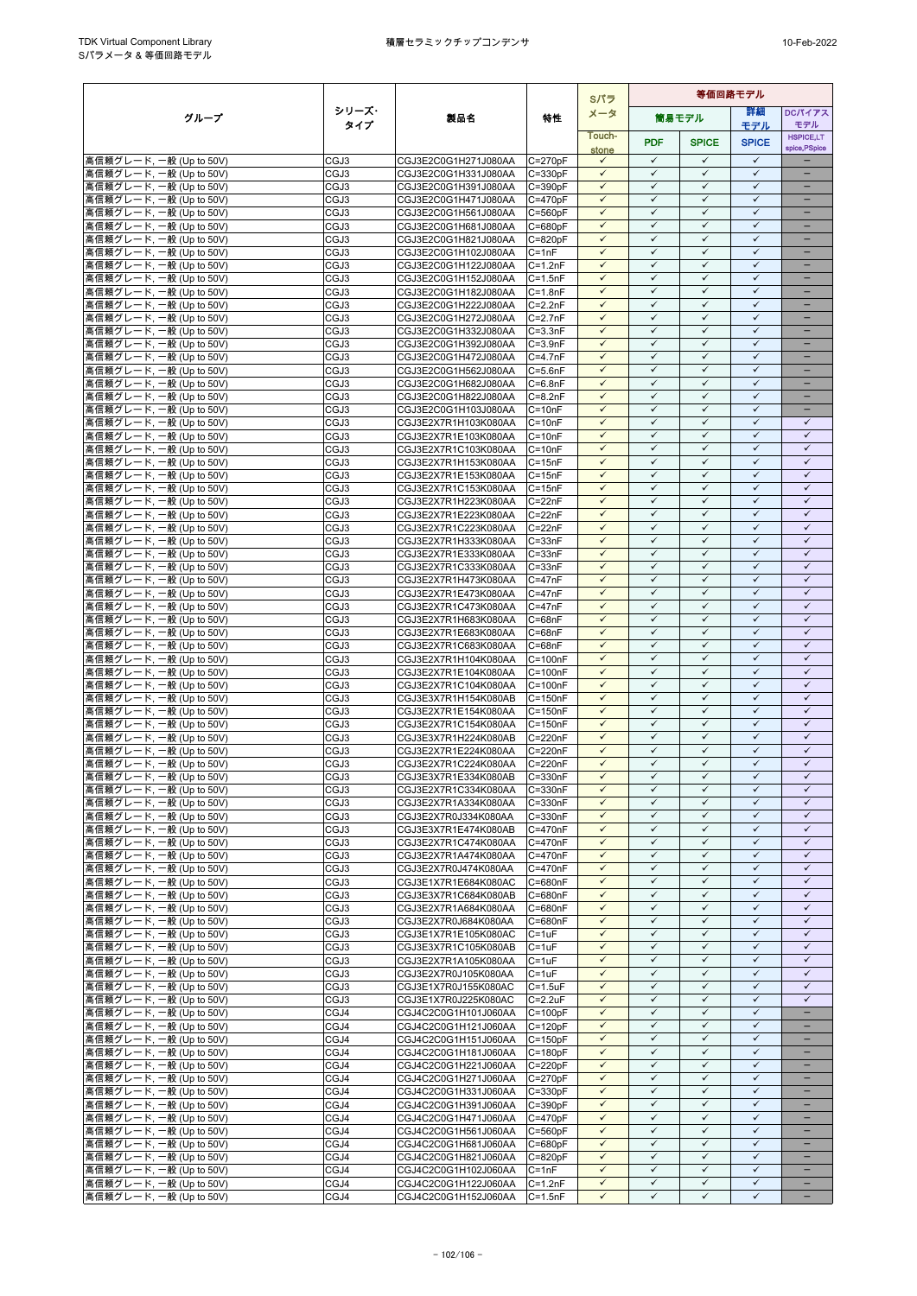|                                                    |              |                                              |                            | Sパラ                          | 等価回路モデル                      |                              |                              |                              |
|----------------------------------------------------|--------------|----------------------------------------------|----------------------------|------------------------------|------------------------------|------------------------------|------------------------------|------------------------------|
| グループ                                               | シリーズ・        | 製品名                                          | 特性                         | メータ                          |                              | 筒易モデル                        | 詳細                           | DCパイアス                       |
|                                                    | タイプ          |                                              |                            | Touch-                       |                              |                              | モデル                          | モデル<br><b>HSPICE,LT</b>      |
|                                                    |              |                                              |                            | stone                        | <b>PDF</b>                   | <b>SPICE</b>                 | <b>SPICE</b>                 | spice, PSpice                |
| 高信頼グレード, 一般 (Up to 50V)                            | CGJ3         | CGJ3E2C0G1H271J080AA                         | $C = 270pF$                | $\checkmark$                 | $\checkmark$                 | $\checkmark$                 | $\checkmark$                 |                              |
| 高信頼グレード, 一般 (Up to 50V)                            | CGJ3         | CGJ3E2C0G1H331J080AA                         | $C = 330pF$                | $\checkmark$                 | $\checkmark$                 | ✓                            | $\checkmark$                 | ÷                            |
| 高信頼グレード, 一般 (Up to 50V)<br>高信頼グレード, 一般 (Up to 50V) | CGJ3         | CGJ3E2C0G1H391J080AA                         | $C = 390pF$                | $\checkmark$<br>$\checkmark$ | $\checkmark$<br>$\checkmark$ | $\checkmark$<br>✓            | $\checkmark$<br>$\checkmark$ | ÷                            |
| 高信頼グレード, 一般 (Up to 50V)                            | CGJ3<br>CGJ3 | CGJ3E2C0G1H471J080AA<br>CGJ3E2C0G1H561J080AA | $C = 470pF$<br>$C = 560pF$ | $\checkmark$                 | $\checkmark$                 | $\checkmark$                 | ✓                            | $\qquad \qquad -$            |
| 高信頼グレード, 一般 (Up to 50V)                            | CGJ3         | CGJ3E2C0G1H681J080AA                         | $C = 680pF$                | $\checkmark$                 | $\checkmark$                 | $\checkmark$                 | $\checkmark$                 |                              |
| 高信頼グレード, 一般 (Up to 50V)                            | CGJ3         | CGJ3E2C0G1H821J080AA                         | $C = 820pF$                | $\checkmark$                 | $\checkmark$                 | $\checkmark$                 | $\checkmark$                 |                              |
| 高信頼グレード, 一般 (Up to 50V)                            | CGJ3         | CGJ3E2C0G1H102J080AA                         | $C = 1nF$                  | $\checkmark$                 | $\checkmark$                 | $\checkmark$                 | $\checkmark$                 | ۳                            |
| 高信頼グレード, 一般 (Up to 50V)                            | CGJ3         | CGJ3E2C0G1H122J080AA                         | $C = 1.2nF$                | $\checkmark$                 | $\checkmark$                 | $\checkmark$                 | $\checkmark$                 | $\equiv$                     |
| 高信頼グレード, 一般 (Up to 50V)                            | CGJ3         | CGJ3E2C0G1H152J080AA                         | $C = 1.5nF$                | $\checkmark$<br>$\checkmark$ | $\checkmark$<br>$\checkmark$ | $\checkmark$<br>$\checkmark$ | $\checkmark$<br>$\checkmark$ | $\equiv$                     |
| 高信頼グレード, 一般 (Up to 50V)<br>高信頼グレード, 一般 (Up to 50V) | CGJ3<br>CGJ3 | CGJ3E2C0G1H182J080AA<br>CGJ3E2C0G1H222J080AA | $C = 1.8nF$<br>$C = 2.2nF$ | $\checkmark$                 | $\checkmark$                 | ✓                            | $\checkmark$                 | -                            |
| 高信頼グレード, 一般 (Up to 50V)                            | CGJ3         | CGJ3E2C0G1H272J080AA                         | $C = 2.7nF$                | $\checkmark$                 | $\checkmark$                 | ✓                            | $\checkmark$                 |                              |
| 高信頼グレード, 一般 (Up to 50V)                            | CGJ3         | CGJ3E2C0G1H332J080AA                         | $C = 3.3nF$                | $\checkmark$                 | $\checkmark$                 | $\checkmark$                 | $\checkmark$                 | ۳                            |
| 高信頼グレード, 一般 (Up to 50V)                            | CGJ3         | CGJ3E2C0G1H392J080AA                         | $C = 3.9nF$                | $\checkmark$                 | $\checkmark$                 | ✓                            | $\checkmark$                 |                              |
| 高信頼グレード, 一般 (Up to 50V)                            | CGJ3         | CGJ3E2C0G1H472J080AA                         | $C = 4.7nF$                | $\checkmark$                 | $\checkmark$                 | $\checkmark$                 | $\checkmark$                 | $\equiv$                     |
| 高信頼グレード, 一般 (Up to 50V)                            | CGJ3         | CGJ3E2C0G1H562J080AA                         | $C = 5.6nF$                | $\checkmark$                 | $\checkmark$                 | $\checkmark$                 | $\checkmark$                 | -                            |
| 高信頼グレード, 一般 (Up to 50V)<br>高信頼グレード, 一般 (Up to 50V) | CGJ3<br>CGJ3 | CGJ3E2C0G1H682J080AA<br>CGJ3E2C0G1H822J080AA | $C = 6.8nF$<br>$C = 8.2nF$ | ✓<br>$\checkmark$            | ✓<br>$\checkmark$            | ✓<br>$\checkmark$            | $\checkmark$<br>$\checkmark$ |                              |
| 高信頼グレード, 一般 (Up to 50V)                            | CGJ3         | CGJ3E2C0G1H103J080AA                         | $C = 10nF$                 | $\checkmark$                 | $\checkmark$                 | $\checkmark$                 | $\checkmark$                 |                              |
| 高信頼グレード, 一般 (Up to 50V)                            | CGJ3         | CGJ3E2X7R1H103K080AA                         | $C = 10nF$                 | $\checkmark$                 | $\checkmark$                 | ✓                            | $\checkmark$                 | $\checkmark$                 |
| 高信頼グレード, 一般 (Up to 50V)                            | CGJ3         | CGJ3E2X7R1E103K080AA                         | $C = 10nF$                 | $\checkmark$                 | $\checkmark$                 | $\checkmark$                 | $\checkmark$                 | $\checkmark$                 |
| 高信頼グレード, 一般 (Up to 50V)                            | CGJ3         | CGJ3E2X7R1C103K080AA                         | $C = 10nF$                 | $\checkmark$                 | $\checkmark$                 | ✓                            | $\checkmark$                 | $\checkmark$                 |
| 高信頼グレード, 一般 (Up to 50V)                            | CGJ3         | CGJ3E2X7R1H153K080AA                         | $C = 15nF$                 | $\checkmark$                 | $\checkmark$                 | $\checkmark$                 | $\checkmark$                 | $\checkmark$                 |
| 高信頼グレード, 一般 (Up to 50V)<br>高信頼グレード, 一般 (Up to 50V) | CGJ3<br>CGJ3 | CGJ3E2X7R1E153K080AA<br>CGJ3E2X7R1C153K080AA | $C = 15nF$<br>$C = 15nF$   | $\checkmark$<br>$\checkmark$ | $\checkmark$<br>$\checkmark$ | $\checkmark$<br>$\checkmark$ | $\checkmark$<br>$\checkmark$ | $\checkmark$<br>$\checkmark$ |
| 高信頼グレード, 一般 (Up to 50V)                            | CGJ3         | CGJ3E2X7R1H223K080AA                         | $C = 22nF$                 | ✓                            | ✓                            | ✓                            | $\checkmark$                 | $\checkmark$                 |
| 高信頼グレード, 一般 (Up to 50V)                            | CGJ3         | CGJ3E2X7R1E223K080AA                         | $C = 22nF$                 | $\checkmark$                 | $\checkmark$                 | $\checkmark$                 | $\checkmark$                 | $\checkmark$                 |
| 高信頼グレード, 一般 (Up to 50V)                            | CGJ3         | CGJ3E2X7R1C223K080AA                         | $C = 22nF$                 | $\checkmark$                 | $\checkmark$                 | $\checkmark$                 | $\checkmark$                 | $\checkmark$                 |
| 高信頼グレード, 一般 (Up to 50V)                            | CGJ3         | CGJ3E2X7R1H333K080AA                         | $C = 33nF$                 | $\checkmark$                 | $\checkmark$                 | $\checkmark$                 | $\checkmark$                 | $\checkmark$                 |
| 高信頼グレード, 一般 (Up to 50V)                            | CGJ3         | CGJ3E2X7R1E333K080AA                         | $C = 33nF$                 | $\checkmark$                 | $\checkmark$<br>$\checkmark$ | $\checkmark$                 | $\checkmark$<br>$\checkmark$ | $\checkmark$                 |
| 高信頼グレード, 一般 (Up to 50V)<br>高信頼グレード, 一般 (Up to 50V) | CGJ3<br>CGJ3 | CGJ3E2X7R1C333K080AA<br>CGJ3E2X7R1H473K080AA | $C = 33nF$<br>$C = 47nF$   | $\checkmark$<br>$\checkmark$ | $\checkmark$                 | $\checkmark$<br>$\checkmark$ | $\checkmark$                 | $\checkmark$<br>$\checkmark$ |
| 高信頼グレード, 一般 (Up to 50V)                            | CGJ3         | CGJ3E2X7R1E473K080AA                         | $C = 47nF$                 | $\checkmark$                 | $\checkmark$                 | $\checkmark$                 | $\checkmark$                 | $\checkmark$                 |
| 高信頼グレード, 一般 (Up to 50V)                            | CGJ3         | CGJ3E2X7R1C473K080AA                         | $C = 47nF$                 | $\checkmark$                 | $\checkmark$                 | $\checkmark$                 | $\checkmark$                 | $\checkmark$                 |
| 高信頼グレード, 一般 (Up to 50V)                            | CGJ3         | CGJ3E2X7R1H683K080AA                         | $C = 68nF$                 | $\checkmark$                 | $\checkmark$                 | $\checkmark$                 | $\checkmark$                 | $\checkmark$                 |
| 高信頼グレード, 一般 (Up to 50V)                            | CGJ3         | CGJ3E2X7R1E683K080AA                         | $C = 68nF$                 | ✓                            | ✓                            | ✓                            | $\checkmark$                 | ✓                            |
| 高信頼グレード, 一般 (Up to 50V)                            | CGJ3         | CGJ3E2X7R1C683K080AA                         | $C = 68nF$                 | $\checkmark$<br>$\checkmark$ | $\checkmark$<br>$\checkmark$ | $\checkmark$<br>$\checkmark$ | $\checkmark$<br>$\checkmark$ | $\checkmark$<br>$\checkmark$ |
| 高信頼グレード, 一般 (Up to 50V)<br>高信頼グレード, 一般 (Up to 50V) | CGJ3<br>CGJ3 | CGJ3E2X7R1H104K080AA<br>CGJ3E2X7R1E104K080AA | $C = 100nF$<br>$C = 100nF$ | $\checkmark$                 | $\checkmark$                 | ✓                            | $\checkmark$                 | $\checkmark$                 |
| 高信頼グレード, 一般 (Up to 50V)                            | CGJ3         | CGJ3E2X7R1C104K080AA                         | $C = 100nF$                | $\checkmark$                 | $\checkmark$                 | $\checkmark$                 | $\checkmark$                 | $\checkmark$                 |
| 高信頼グレード, 一般 (Up to 50V)                            | CGJ3         | CGJ3E3X7R1H154K080AB                         | $C = 150nF$                | $\checkmark$                 | $\checkmark$                 | $\checkmark$                 | $\checkmark$                 | $\checkmark$                 |
| 高信頼グレード, 一般 (Up to 50V)                            | CGJ3         | CGJ3E2X7R1E154K080AA                         | $C = 150nF$                | $\checkmark$                 | $\checkmark$                 | $\checkmark$                 | ✓                            | $\checkmark$                 |
| 高信頼グレード, 一般 (Up to 50V)                            | CGJ3         | CGJ3E2X7R1C154K080AA                         | $C = 150nF$                | $\checkmark$                 | $\checkmark$                 | $\checkmark$                 | $\checkmark$                 | $\checkmark$                 |
| 高信頼グレード, 一般 (Up to 50V)                            | CGJ3         | CGJ3E3X7R1H224K080AB                         | C=220nF                    | $\checkmark$<br>✓            | $\checkmark$<br>✓            | $\checkmark$<br>✓            | $\checkmark$<br>$\checkmark$ | $\checkmark$<br>$\checkmark$ |
| 高信頼グレード, 一般 (Up to 50V)<br>高信頼グレード, 一般 (Up to 50V) | CGJ3<br>CGJ3 | CGJ3E2X7R1E224K080AA<br>CGJ3E2X7R1C224K080AA | $C = 220nF$<br>$C = 220nF$ | $\checkmark$                 | $\checkmark$                 | $\checkmark$                 | $\checkmark$                 | $\checkmark$                 |
| 高信頼グレード, 一般 (Up to 50V)                            | CGJ3         | CGJ3E3X7R1E334K080AB                         | $C = 330nF$                | $\checkmark$                 | $\checkmark$                 | $\checkmark$                 | $\checkmark$                 | $\checkmark$                 |
| 高信頼グレード, 一般 (Up to 50V)                            | CGJ3         | CGJ3E2X7R1C334K080AA                         | C=330nF                    | $\checkmark$                 | ✓                            | ✓                            | ✓                            | $\checkmark$                 |
| 高信頼グレード, 一般 (Up to 50V)                            | CGJ3         | CGJ3E2X7R1A334K080AA                         | $C = 330nF$                | $\checkmark$                 | $\checkmark$                 | $\checkmark$                 | $\checkmark$                 | $\checkmark$                 |
| 高信頼グレード, 一般 (Up to 50V)                            | CGJ3         | CGJ3E2X7R0J334K080AA                         | $C = 330nF$                | $\checkmark$                 | $\checkmark$                 | $\checkmark$                 | $\checkmark$                 | $\checkmark$                 |
| 高信頼グレード, 一般 (Up to 50V)                            | CGJ3         | CGJ3E3X7R1E474K080AB                         | $C = 470nF$                | $\checkmark$                 | $\checkmark$                 | $\checkmark$                 | $\checkmark$<br>$\checkmark$ | $\checkmark$                 |
| 高信頼グレード, 一般 (Up to 50V)<br>高信頼グレード, 一般 (Up to 50V) | CGJ3<br>CGJ3 | CGJ3E2X7R1C474K080AA<br>CGJ3E2X7R1A474K080AA | C=470nF<br>$C = 470nF$     | $\checkmark$<br>$\checkmark$ | $\checkmark$<br>$\checkmark$ | $\checkmark$<br>$\checkmark$ | $\checkmark$                 | $\checkmark$<br>$\checkmark$ |
| 高信頼グレード, 一般 (Up to 50V)                            | CGJ3         | CGJ3E2X7R0J474K080AA                         | $C = 470nF$                | $\checkmark$                 | $\checkmark$                 | $\checkmark$                 | $\checkmark$                 | $\checkmark$                 |
| 高信頼グレード, 一般 (Up to 50V)                            | CGJ3         | CGJ3E1X7R1E684K080AC                         | C=680nF                    | ✓                            | ✓                            | ✓                            | ✓                            | $\checkmark$                 |
| 高信頼グレード, 一般 (Up to 50V)                            | CGJ3         | CGJ3E3X7R1C684K080AB                         | C=680nF                    | $\checkmark$                 | $\checkmark$                 | $\checkmark$                 | $\checkmark$                 | $\checkmark$                 |
| 高信頼グレード, 一般 (Up to 50V)                            | CGJ3         | CGJ3E2X7R1A684K080AA                         | C=680nF                    | $\checkmark$                 | $\checkmark$                 | $\checkmark$                 | $\checkmark$                 | $\checkmark$                 |
| 高信頼グレード, 一般 (Up to 50V)                            | CGJ3         | CGJ3E2X7R0J684K080AA                         | C=680nF                    | $\checkmark$                 | $\checkmark$                 | $\checkmark$                 | ✓                            | $\checkmark$                 |
| 高信頼グレード, 一般 (Up to 50V)<br>高信頼グレード, 一般 (Up to 50V) | CGJ3<br>CGJ3 | CGJ3E1X7R1E105K080AC<br>CGJ3E3X7R1C105K080AB | $C = 1uF$<br>$C = 1uF$     | $\checkmark$<br>$\checkmark$ | $\checkmark$<br>$\checkmark$ | $\checkmark$<br>$\checkmark$ | $\checkmark$<br>✓            | $\checkmark$<br>$\checkmark$ |
| 高信頼グレード, 一般 (Up to 50V)                            | CGJ3         | CGJ3E2X7R1A105K080AA                         | $C = 1uF$                  | $\checkmark$                 | $\checkmark$                 | $\checkmark$                 | $\checkmark$                 | $\checkmark$                 |
| 高信頼グレード, 一般 (Up to 50V)                            | CGJ3         | CGJ3E2X7R0J105K080AA                         | $C = 1uF$                  | $\checkmark$                 | $\checkmark$                 | $\checkmark$                 | $\checkmark$                 | $\checkmark$                 |
| 高信頼グレード, 一般 (Up to 50V)                            | CGJ3         | CGJ3E1X7R0J155K080AC                         | $C = 1.5$ u $F$            | $\checkmark$                 | $\checkmark$                 | $\checkmark$                 | $\checkmark$                 | $\checkmark$                 |
| 高信頼グレード, 一般 (Up to 50V)                            | CGJ3         | CGJ3E1X7R0J225K080AC                         | $C = 2.2uF$                | $\checkmark$                 | ✓                            | $\checkmark$                 | $\checkmark$                 | $\checkmark$                 |
| 高信頼グレード, 一般 (Up to 50V)                            | CGJ4         | CGJ4C2C0G1H101J060AA                         | $C = 100pF$                | $\checkmark$                 | $\checkmark$                 | $\checkmark$                 | $\checkmark$                 | $\overline{\phantom{0}}$     |
| 高信頼グレード, 一般 (Up to 50V)<br>高信頼グレード, 一般 (Up to 50V) | CGJ4<br>CGJ4 | CGJ4C2C0G1H121J060AA<br>CGJ4C2C0G1H151J060AA | $C = 120pF$<br>$C = 150pF$ | $\checkmark$<br>$\checkmark$ | $\checkmark$<br>$\checkmark$ | $\checkmark$<br>✓            | $\checkmark$<br>✓            | -<br>-                       |
| 高信頼グレード, 一般 (Up to 50V)                            | CGJ4         | CGJ4C2C0G1H181J060AA                         | $C = 180pF$                | $\checkmark$                 | $\checkmark$                 | $\checkmark$                 | $\checkmark$                 | -                            |
| 高信頼グレード, 一般 (Up to 50V)                            | CGJ4         | CGJ4C2C0G1H221J060AA                         | $C = 220pF$                | $\checkmark$                 | $\checkmark$                 | $\checkmark$                 | $\checkmark$                 |                              |
| 高信頼グレード, 一般 (Up to 50V)                            | CGJ4         | CGJ4C2C0G1H271J060AA                         | $C = 270pF$                | $\checkmark$                 | $\checkmark$                 | ✓                            | ✓                            |                              |
| 高信頼グレード, 一般 (Up to 50V)                            | CGJ4         | CGJ4C2C0G1H331J060AA                         | $C = 330pF$                | $\checkmark$                 | $\checkmark$                 | $\checkmark$                 | $\checkmark$                 | $\overline{\phantom{0}}$     |
| 高信頼グレード, 一般 (Up to 50V)                            | CGJ4         | CGJ4C2C0G1H391J060AA                         | $C = 390pF$                | $\checkmark$                 | $\checkmark$                 | $\checkmark$                 | $\checkmark$                 |                              |
| 高信頼グレード, 一般 (Up to 50V)                            | CGJ4         | CGJ4C2C0G1H471J060AA                         | $C = 470pF$                | $\checkmark$<br>$\checkmark$ | $\checkmark$<br>$\checkmark$ | $\checkmark$<br>$\checkmark$ | $\checkmark$<br>$\checkmark$ | $\qquad \qquad -$            |
| 高信頼グレード, 一般 (Up to 50V)<br>高信頼グレード, 一般 (Up to 50V) | CGJ4<br>CGJ4 | CGJ4C2C0G1H561J060AA<br>CGJ4C2C0G1H681J060AA | $C = 560pF$<br>$C = 680pF$ | $\checkmark$                 | $\checkmark$                 | $\checkmark$                 | $\checkmark$                 | -                            |
| 高信頼グレード, 一般 (Up to 50V)                            | CGJ4         | CGJ4C2C0G1H821J060AA                         | $C = 820pF$                | $\checkmark$                 | ✓                            | $\checkmark$                 | $\checkmark$                 |                              |
| 高信頼グレード, 一般 (Up to 50V)                            | CGJ4         | CGJ4C2C0G1H102J060AA                         | $C = 1nF$                  | $\checkmark$                 | $\checkmark$                 | $\checkmark$                 | ✓                            |                              |
| 高信頼グレード, 一般 (Up to 50V)                            | CGJ4         | CGJ4C2C0G1H122J060AA                         | $C = 1.2nF$                | $\checkmark$                 | $\checkmark$                 | $\checkmark$                 | $\checkmark$                 | $\overline{\phantom{0}}$     |
| 高信頼グレード, 一般 (Up to 50V)                            | CGJ4         | CGJ4C2C0G1H152J060AA                         | $C = 1.5nF$                | $\checkmark$                 | $\checkmark$                 | $\checkmark$                 | $\checkmark$                 | $\qquad \qquad -$            |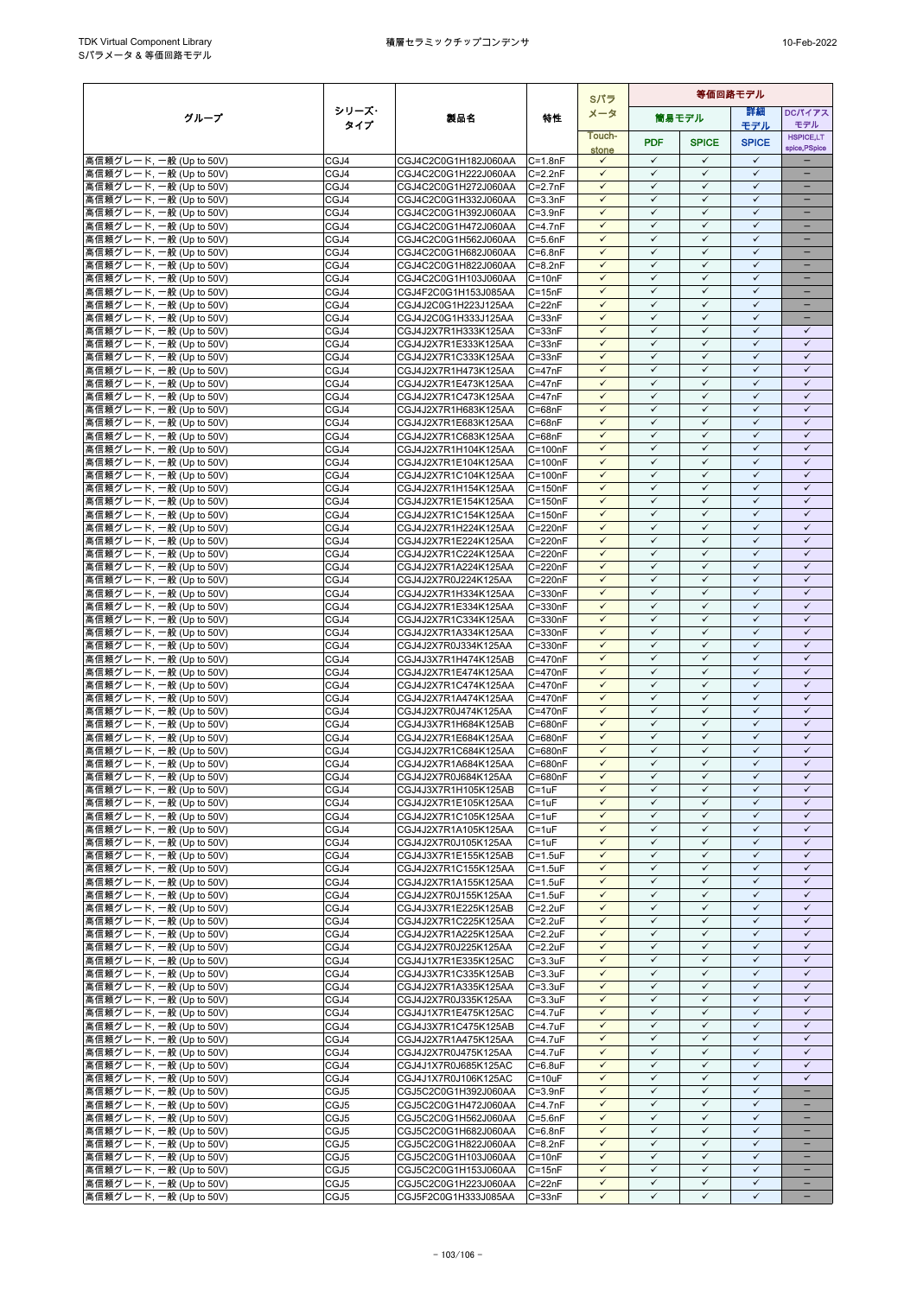|                                                    |              |                                              |                                | Sパラ                          | 等価回路モデル                      |                              |                              |                              |
|----------------------------------------------------|--------------|----------------------------------------------|--------------------------------|------------------------------|------------------------------|------------------------------|------------------------------|------------------------------|
| グループ                                               | シリーズ・        | 製品名                                          | 特性                             | メータ                          |                              | 筒易モデル                        | 詳細                           | DCパイアス                       |
|                                                    | タイプ          |                                              |                                | Touch-                       |                              |                              | モデル                          | モデル<br><b>HSPICE,LT</b>      |
|                                                    |              |                                              |                                | stone                        | <b>PDF</b>                   | <b>SPICE</b>                 | <b>SPICE</b>                 | spice, PSpice                |
| 高信頼グレード, 一般 (Up to 50V)                            | CGJ4         | CGJ4C2C0G1H182J060AA                         | $C = 1.8nF$                    | $\checkmark$                 | $\checkmark$                 | $\checkmark$                 | $\checkmark$                 |                              |
| 高信頼グレード, 一般 (Up to 50V)                            | CGJ4         | CGJ4C2C0G1H222J060AA                         | $C = 2.2nF$                    | $\checkmark$                 | $\checkmark$                 | ✓                            | $\checkmark$                 | ÷                            |
| 高信頼グレード, 一般 (Up to 50V)                            | CGJ4         | CGJ4C2C0G1H272J060AA                         | $C = 2.7nF$                    | $\checkmark$<br>$\checkmark$ | $\checkmark$<br>$\checkmark$ | $\checkmark$<br>✓            | $\checkmark$<br>$\checkmark$ | ÷                            |
| 高信頼グレード, 一般 (Up to 50V)<br>高信頼グレード, 一般 (Up to 50V) | CGJ4<br>CGJ4 | CGJ4C2C0G1H332J060AA<br>CGJ4C2C0G1H392J060AA | $C = 3.3nF$<br>$C = 3.9nF$     | $\checkmark$                 | $\checkmark$                 | $\checkmark$                 | ✓                            | $\qquad \qquad -$            |
| 高信頼グレード, 一般 (Up to 50V)                            | CGJ4         | CGJ4C2C0G1H472J060AA                         | $C = 4.7nF$                    | $\checkmark$                 | $\checkmark$                 | $\checkmark$                 | $\checkmark$                 |                              |
| 高信頼グレード, 一般 (Up to 50V)                            | CGJ4         | CGJ4C2C0G1H562J060AA                         | $C = 5.6nF$                    | $\checkmark$                 | $\checkmark$                 | $\checkmark$                 | $\checkmark$                 |                              |
| 高信頼グレード, 一般 (Up to 50V)                            | CGJ4         | CGJ4C2C0G1H682J060AA                         | $C = 6.8nF$                    | $\checkmark$                 | $\checkmark$                 | $\checkmark$                 | $\checkmark$                 | ۳                            |
| 高信頼グレード, 一般 (Up to 50V)                            | CGJ4         | CGJ4C2C0G1H822J060AA                         | $C = 8.2nF$                    | $\checkmark$                 | $\checkmark$                 | $\checkmark$                 | $\checkmark$                 | $\equiv$                     |
| 高信頼グレード, 一般 (Up to 50V)                            | CGJ4         | CGJ4C2C0G1H103J060AA                         | $C = 10nF$                     | $\checkmark$<br>$\checkmark$ | $\checkmark$<br>$\checkmark$ | $\checkmark$<br>$\checkmark$ | $\checkmark$<br>$\checkmark$ | $\equiv$                     |
| 高信頼グレード, 一般 (Up to 50V)<br>高信頼グレード. 一般 (Up to 50V) | CGJ4<br>CGJ4 | CGJ4F2C0G1H153J085AA<br>CGJ4J2C0G1H223J125AA | $C = 15nF$<br>$C = 22nF$       | $\checkmark$                 | $\checkmark$                 | ✓                            | ✓                            | -                            |
| 高信頼グレード, 一般 (Up to 50V)                            | CGJ4         | CGJ4J2C0G1H333J125AA                         | $C = 33nF$                     | $\checkmark$                 | $\checkmark$                 | ✓                            | $\checkmark$                 |                              |
| 高信頼グレード, 一般 (Up to 50V)                            | CGJ4         | CGJ4J2X7R1H333K125AA                         | $C = 33nF$                     | $\checkmark$                 | $\checkmark$                 | $\checkmark$                 | $\checkmark$                 | $\checkmark$                 |
| 高信頼グレード, 一般 (Up to 50V)                            | CGJ4         | CGJ4J2X7R1E333K125AA                         | $C = 33nF$                     | $\checkmark$                 | $\checkmark$                 | ✓                            | $\checkmark$                 | $\checkmark$                 |
| 高信頼グレード, 一般 (Up to 50V)                            | CGJ4         | CGJ4J2X7R1C333K125AA                         | $C = 33nF$                     | $\checkmark$                 | $\checkmark$                 | $\checkmark$                 | $\checkmark$                 | $\checkmark$                 |
| 高信頼グレード, 一般 (Up to 50V)                            | CGJ4         | CGJ4J2X7R1H473K125AA                         | $C = 47nF$                     | $\checkmark$                 | $\checkmark$                 | $\checkmark$                 | $\checkmark$                 | $\checkmark$                 |
| 高信頼グレード, 一般 (Up to 50V)<br>高信頼グレード, 一般 (Up to 50V) | CGJ4<br>CGJ4 | CGJ4J2X7R1E473K125AA<br>CGJ4J2X7R1C473K125AA | $C = 47nF$<br>$C = 47nF$       | ✓<br>$\checkmark$            | ✓<br>$\checkmark$            | ✓<br>$\checkmark$            | $\checkmark$<br>$\checkmark$ | ✓<br>$\checkmark$            |
| 高信頼グレード, 一般 (Up to 50V)                            | CGJ4         | CGJ4J2X7R1H683K125AA                         | $C = 68nF$                     | $\checkmark$                 | $\checkmark$                 | $\checkmark$                 | $\checkmark$                 | $\checkmark$                 |
| 高信頼グレード, 一般 (Up to 50V)                            | CGJ4         | CGJ4J2X7R1E683K125AA                         | $C = 68nF$                     | $\checkmark$                 | $\checkmark$                 | ✓                            | $\checkmark$                 | $\checkmark$                 |
| 高信頼グレード, 一般 (Up to 50V)                            | CGJ4         | CGJ4J2X7R1C683K125AA                         | $C = 68nF$                     | $\checkmark$                 | $\checkmark$                 | $\checkmark$                 | $\checkmark$                 | $\checkmark$                 |
| 高信頼グレード, 一般 (Up to 50V)                            | CGJ4         | CGJ4J2X7R1H104K125AA                         | $C = 100nF$                    | $\checkmark$                 | $\checkmark$                 | ✓                            | $\checkmark$                 | $\checkmark$                 |
| 高信頼グレード, 一般 (Up to 50V)                            | CGJ4         | CGJ4J2X7R1E104K125AA                         | $C = 100nF$                    | $\checkmark$                 | $\checkmark$                 | $\checkmark$                 | $\checkmark$                 | $\checkmark$                 |
| 高信頼グレード, 一般 (Up to 50V)<br>高信頼グレード, 一般 (Up to 50V) | CGJ4<br>CGJ4 | CGJ4J2X7R1C104K125AA<br>CGJ4J2X7R1H154K125AA | $C = 100nF$<br>$C = 150nF$     | $\checkmark$<br>$\checkmark$ | $\checkmark$<br>$\checkmark$ | $\checkmark$<br>$\checkmark$ | $\checkmark$<br>$\checkmark$ | $\checkmark$<br>$\checkmark$ |
| 高信頼グレード, 一般 (Up to 50V)                            | CGJ4         | CGJ4J2X7R1E154K125AA                         | $C = 150nF$                    | ✓                            | ✓                            | ✓                            | $\checkmark$                 | $\checkmark$                 |
| 高信頼グレード, 一般 (Up to 50V)                            | CGJ4         | CGJ4J2X7R1C154K125AA                         | $C = 150nF$                    | $\checkmark$                 | $\checkmark$                 | $\checkmark$                 | $\checkmark$                 | $\checkmark$                 |
| 高信頼グレード, 一般 (Up to 50V)                            | CGJ4         | CGJ4J2X7R1H224K125AA                         | $C = 220nF$                    | $\checkmark$                 | $\checkmark$                 | $\checkmark$                 | $\checkmark$                 | $\checkmark$                 |
| 高信頼グレード, 一般 (Up to 50V)                            | CGJ4         | CGJ4J2X7R1E224K125AA                         | C=220nF                        | $\checkmark$                 | $\checkmark$                 | $\checkmark$                 | $\checkmark$                 | $\checkmark$                 |
| 高信頼グレード, 一般 (Up to 50V)                            | CGJ4         | CGJ4J2X7R1C224K125AA                         | $C = 220nF$                    | $\checkmark$                 | $\checkmark$<br>$\checkmark$ | $\checkmark$                 | $\checkmark$<br>$\checkmark$ | $\checkmark$                 |
| 高信頼グレード, 一般 (Up to 50V)<br>高信頼グレード, 一般 (Up to 50V) | CGJ4<br>CGJ4 | CGJ4J2X7R1A224K125AA<br>CGJ4J2X7R0J224K125AA | C=220nF<br>C=220nF             | $\checkmark$<br>$\checkmark$ | $\checkmark$                 | $\checkmark$<br>$\checkmark$ | $\checkmark$                 | $\checkmark$<br>$\checkmark$ |
| 高信頼グレード, 一般 (Up to 50V)                            | CGJ4         | CGJ4J2X7R1H334K125AA                         | C=330nF                        | $\checkmark$                 | $\checkmark$                 | $\checkmark$                 | $\checkmark$                 | $\checkmark$                 |
| 高信頼グレード, 一般 (Up to 50V)                            | CGJ4         | CGJ4J2X7R1E334K125AA                         | C=330nF                        | $\checkmark$                 | $\checkmark$                 | ✓                            | $\checkmark$                 | $\checkmark$                 |
| 高信頼グレード, 一般 (Up to 50V)                            | CGJ4         | CGJ4J2X7R1C334K125AA                         | $C = 330nF$                    | $\checkmark$                 | $\checkmark$                 | $\checkmark$                 | $\checkmark$                 | $\checkmark$                 |
| 高信頼グレード, 一般 (Up to 50V)                            | CGJ4         | CGJ4J2X7R1A334K125AA                         | C=330nF                        | ✓                            | ✓                            | ✓                            | $\checkmark$                 | ✓                            |
| 高信頼グレード, 一般 (Up to 50V)                            | CGJ4         | CGJ4J2X7R0J334K125AA                         | C=330nF                        | $\checkmark$<br>$\checkmark$ | $\checkmark$<br>$\checkmark$ | $\checkmark$<br>$\checkmark$ | $\checkmark$<br>$\checkmark$ | $\checkmark$<br>$\checkmark$ |
| 高信頼グレード, 一般 (Up to 50V)<br>高信頼グレード, 一般 (Up to 50V) | CGJ4<br>CGJ4 | CGJ4J3X7R1H474K125AB<br>CGJ4J2X7R1E474K125AA | C=470nF<br>$C = 470nF$         | $\checkmark$                 | $\checkmark$                 | ✓                            | $\checkmark$                 | $\checkmark$                 |
| 高信頼グレード, 一般 (Up to 50V)                            | CGJ4         | CGJ4J2X7R1C474K125AA                         | $C = 470nF$                    | $\checkmark$                 | $\checkmark$                 | $\checkmark$                 | $\checkmark$                 | $\checkmark$                 |
| 高信頼グレード, 一般 (Up to 50V)                            | CGJ4         | CGJ4J2X7R1A474K125AA                         | C=470nF                        | $\checkmark$                 | $\checkmark$                 | $\checkmark$                 | $\checkmark$                 | $\checkmark$                 |
| 高信頼グレード, 一般 (Up to 50V)                            | CGJ4         | CGJ4J2X7R0J474K125AA                         | $C = 470nF$                    | $\checkmark$                 | $\checkmark$                 | $\checkmark$                 | $\checkmark$                 | $\checkmark$                 |
| 高信頼グレード, 一般 (Up to 50V)                            | CGJ4         | CGJ4J3X7R1H684K125AB                         | C=680nF                        | $\checkmark$                 | $\checkmark$                 | $\checkmark$                 | $\checkmark$                 | $\checkmark$                 |
| 高信頼グレード, 一般 (Up to 50V)                            | CGJ4         | CGJ4J2X7R1E684K125AA                         | C=680nF                        | $\checkmark$<br>✓            | $\checkmark$<br>✓            | $\checkmark$<br>✓            | $\checkmark$<br>$\checkmark$ | $\checkmark$<br>$\checkmark$ |
| 高信頼グレード, 一般 (Up to 50V)<br>高信頼グレード, 一般 (Up to 50V) | CGJ4<br>CGJ4 | CGJ4J2X7R1C684K125AA<br>CGJ4J2X7R1A684K125AA | C=680nF<br>C=680nF             | $\checkmark$                 | $\checkmark$                 | $\checkmark$                 | $\checkmark$                 | $\checkmark$                 |
| 高信頼グレード, 一般 (Up to 50V)                            | CGJ4         | CGJ4J2X7R0J684K125AA                         | C=680nF                        | $\checkmark$                 | $\checkmark$                 | $\checkmark$                 | $\checkmark$                 | $\checkmark$                 |
| 高信頼グレード, 一般 (Up to 50V)                            | CGJ4         | CGJ4J3X7R1H105K125AB                         | $C = 1uF$                      | $\checkmark$                 | ✓                            | ✓                            | ✓                            | $\checkmark$                 |
| 高信頼グレード, 一般 (Up to 50V)                            | CGJ4         | CGJ4J2X7R1E105K125AA                         | $C = 1uF$                      | $\checkmark$                 | $\checkmark$                 | $\checkmark$                 | $\checkmark$                 | $\checkmark$                 |
| 高信頼グレード, 一般 (Up to 50V)                            | CGJ4         | CGJ4J2X7R1C105K125AA                         | $C = 1uF$                      | $\checkmark$                 | $\checkmark$                 | $\checkmark$                 | $\checkmark$                 | $\checkmark$                 |
| 高信頼グレード, 一般 (Up to 50V)                            | CGJ4         | CGJ4J2X7R1A105K125AA                         | $C = 1uF$                      | $\checkmark$                 | $\checkmark$                 | $\checkmark$                 | $\checkmark$                 | $\checkmark$                 |
| 高信頼グレード, 一般 (Up to 50V)<br>高信頼グレード, 一般 (Up to 50V) | CGJ4<br>CGJ4 | CGJ4J2X7R0J105K125AA<br>CGJ4J3X7R1E155K125AB | $C = 1uF$<br>$C = 1.5uF$       | $\checkmark$<br>$\checkmark$ | $\checkmark$<br>$\checkmark$ | $\checkmark$<br>$\checkmark$ | $\checkmark$<br>$\checkmark$ | $\checkmark$<br>$\checkmark$ |
| 高信頼グレード, 一般 (Up to 50V)                            | CGJ4         | CGJ4J2X7R1C155K125AA                         | $C = 1.5uF$                    | $\checkmark$                 | $\checkmark$                 | $\checkmark$                 | $\checkmark$                 | $\checkmark$                 |
| 高信頼グレード, 一般 (Up to 50V)                            | CGJ4         | CGJ4J2X7R1A155K125AA                         | $C = 1.5uF$                    | ✓                            | ✓                            | ✓                            | $\checkmark$                 | $\checkmark$                 |
| 高信頼グレード, 一般 (Up to 50V)                            | CGJ4         | CGJ4J2X7R0J155K125AA                         | $C = 1.5$ u $F$                | $\checkmark$                 | $\checkmark$                 | $\checkmark$                 | $\checkmark$                 | $\checkmark$                 |
| 高信頼グレード, 一般 (Up to 50V)                            | CGJ4         | CGJ4J3X7R1E225K125AB                         | $C = 2.2uF$                    | $\checkmark$                 | $\checkmark$                 | $\checkmark$                 | $\checkmark$                 | $\checkmark$                 |
| 高信頼グレード, 一般 (Up to 50V)                            | CGJ4         | CGJ4J2X7R1C225K125AA                         | $C = 2.2uF$                    | $\checkmark$                 | $\checkmark$                 | $\checkmark$                 | $\checkmark$                 | $\checkmark$                 |
| 高信頼グレード, 一般 (Up to 50V)<br>高信頼グレード, 一般 (Up to 50V) | CGJ4<br>CGJ4 | CGJ4J2X7R1A225K125AA<br>CGJ4J2X7R0J225K125AA | $C = 2.2uF$<br>$C = 2.2uF$     | $\checkmark$<br>$\checkmark$ | $\checkmark$<br>$\checkmark$ | $\checkmark$<br>$\checkmark$ | $\checkmark$<br>$\checkmark$ | $\checkmark$<br>$\checkmark$ |
| 高信頼グレード, 一般 (Up to 50V)                            | CGJ4         | CGJ4J1X7R1E335K125AC                         | $C = 3.3uF$                    | $\checkmark$                 | $\checkmark$                 | $\checkmark$                 | $\checkmark$                 | $\checkmark$                 |
| 高信頼グレード, 一般 (Up to 50V)                            | CGJ4         | CGJ4J3X7R1C335K125AB                         | $C = 3.3uF$                    | $\checkmark$                 | $\checkmark$                 | $\checkmark$                 | $\checkmark$                 | $\checkmark$                 |
| 高信頼グレード, 一般 (Up to 50V)                            | CGJ4         | CGJ4J2X7R1A335K125AA                         | $C = 3.3uF$                    | $\checkmark$                 | $\checkmark$                 | $\checkmark$                 | $\checkmark$                 | $\checkmark$                 |
| 高信頼グレード, 一般 (Up to 50V)                            | CGJ4         | CGJ4J2X7R0J335K125AA                         | $C = 3.3uF$                    | $\checkmark$                 | ✓                            | $\checkmark$                 | $\checkmark$                 | $\checkmark$                 |
| 高信頼グレード, 一般 (Up to 50V)                            | CGJ4         | CGJ4J1X7R1E475K125AC                         | $C = 4.7$ u $F$                | $\checkmark$                 | $\checkmark$                 | $\checkmark$                 | $\checkmark$                 | $\checkmark$                 |
| 高信頼グレード, 一般 (Up to 50V)<br>高信頼グレード, 一般 (Up to 50V) | CGJ4<br>CGJ4 | CGJ4J3X7R1C475K125AB<br>CGJ4J2X7R1A475K125AA | $C = 4.7$ u $F$<br>$C = 4.7uF$ | $\checkmark$<br>$\checkmark$ | $\checkmark$<br>$\checkmark$ | $\checkmark$<br>✓            | $\checkmark$<br>✓            | $\checkmark$<br>$\checkmark$ |
| 高信頼グレード, 一般 (Up to 50V)                            | CGJ4         | CGJ4J2X7R0J475K125AA                         | $C = 4.7$ u $F$                | $\checkmark$                 | $\checkmark$                 | $\checkmark$                 | $\checkmark$                 | $\checkmark$                 |
| 高信頼グレード, 一般 (Up to 50V)                            | CGJ4         | CGJ4J1X7R0J685K125AC                         | $C = 6.8$ u $F$                | $\checkmark$                 | $\checkmark$                 | $\checkmark$                 | $\checkmark$                 | $\checkmark$                 |
| 高信頼グレード, 一般 (Up to 50V)                            | CGJ4         | CGJ4J1X7R0J106K125AC                         | $C = 10uF$                     | $\checkmark$                 | $\checkmark$                 | $\checkmark$                 | $\checkmark$                 | $\checkmark$                 |
| 高信頼グレード, 一般 (Up to 50V)                            | CGJ5         | CGJ5C2C0G1H392J060AA                         | $C = 3.9nF$                    | $\checkmark$                 | $\checkmark$                 | $\checkmark$                 | $\checkmark$                 | $\overline{\phantom{0}}$     |
| 高信頼グレード, 一般 (Up to 50V)                            | CGJ5         | CGJ5C2C0G1H472J060AA                         | $C = 4.7nF$                    | $\checkmark$                 | $\checkmark$                 | $\checkmark$                 | $\checkmark$                 |                              |
| 高信頼グレード, 一般 (Up to 50V)                            | CGJ5         | CGJ5C2C0G1H562J060AA                         | $C = 5.6nF$                    | $\checkmark$<br>$\checkmark$ | $\checkmark$<br>$\checkmark$ | $\checkmark$<br>$\checkmark$ | $\checkmark$<br>$\checkmark$ | $\qquad \qquad -$            |
| 高信頼グレード, 一般 (Up to 50V)<br>高信頼グレード, 一般 (Up to 50V) | CGJ5<br>CGJ5 | CGJ5C2C0G1H682J060AA<br>CGJ5C2C0G1H822J060AA | $C = 6.8nF$<br>$C = 8.2nF$     | $\checkmark$                 | $\checkmark$                 | $\checkmark$                 | $\checkmark$                 | -                            |
| 高信頼グレード, 一般 (Up to 50V)                            | CGJ5         | CGJ5C2C0G1H103J060AA                         | $C = 10nF$                     | $\checkmark$                 | ✓                            | $\checkmark$                 | $\checkmark$                 |                              |
| 高信頼グレード, 一般 (Up to 50V)                            | CGJ5         | CGJ5C2C0G1H153J060AA                         | $C = 15nF$                     | $\checkmark$                 | $\checkmark$                 | $\checkmark$                 | $\checkmark$                 |                              |
| 高信頼グレード, 一般 (Up to 50V)                            | CGJ5         | CGJ5C2C0G1H223J060AA                         | $C = 22nF$                     | $\checkmark$                 | $\checkmark$                 | $\checkmark$                 | $\checkmark$                 | $\overline{\phantom{0}}$     |
| 高信頼グレード, 一般 (Up to 50V)                            | CGJ5         | CGJ5F2C0G1H333J085AA                         | $C = 33nF$                     | $\checkmark$                 | $\checkmark$                 | $\checkmark$                 | $\checkmark$                 | $\qquad \qquad -$            |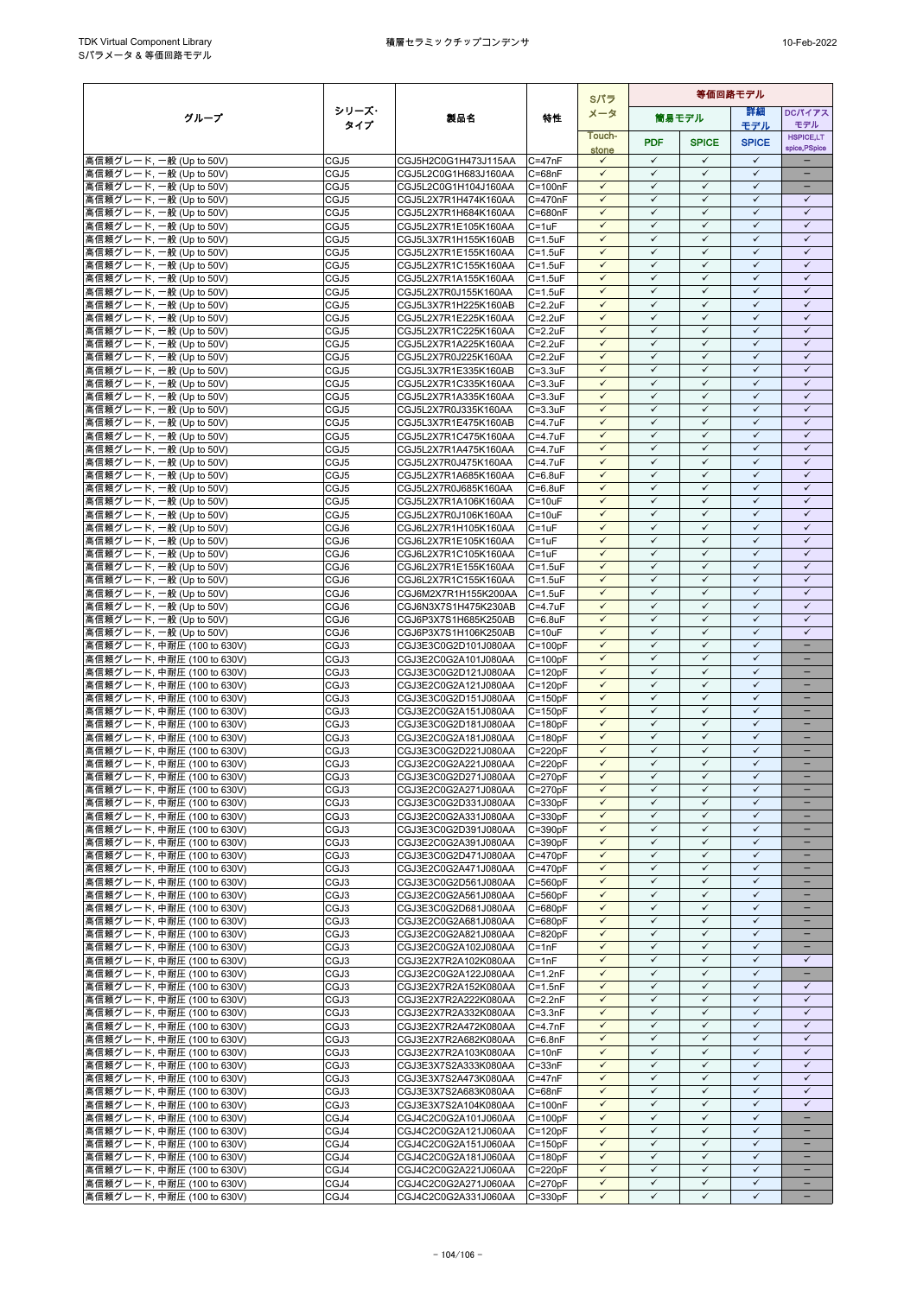|                                                           |              |                                              |                                    | Sパラ                          | 等価回路モデル                      |                              |                              |                              |
|-----------------------------------------------------------|--------------|----------------------------------------------|------------------------------------|------------------------------|------------------------------|------------------------------|------------------------------|------------------------------|
| グループ                                                      | シリーズ・        | 製品名                                          | 特性                                 | メータ                          |                              | 筒易モデル                        | 詳細                           | DCパイアス                       |
|                                                           | タイプ          |                                              |                                    | Touch-                       |                              |                              | モデル                          | モデル<br><b>HSPICE,LT</b>      |
|                                                           |              |                                              |                                    | stone                        | <b>PDF</b>                   | <b>SPICE</b>                 | <b>SPICE</b>                 | spice, PSpice                |
| 高信頼グレード, 一般 (Up to 50V)                                   | CGJ5         | CGJ5H2C0G1H473J115AA                         | $C = 47nF$                         | $\checkmark$                 | $\checkmark$                 | $\checkmark$                 | $\checkmark$                 |                              |
| 高信頼グレード, 一般 (Up to 50V)                                   | CGJ5         | CGJ5L2C0G1H683J160AA                         | $C = 68nF$                         | $\checkmark$                 | $\checkmark$                 | ✓                            | $\checkmark$                 | $\equiv$                     |
| 高信頼グレード, 一般 (Up to 50V)                                   | CGJ5         | CGJ5L2C0G1H104J160AA                         | $C = 100nF$                        | $\checkmark$                 | $\checkmark$                 | $\checkmark$                 | $\checkmark$                 | $\overline{\phantom{a}}$     |
| 高信頼グレード, 一般 (Up to 50V)                                   | CGJ5         | CGJ5L2X7R1H474K160AA                         | C=470nF                            | ✓                            | ✓                            | ✓                            | ✓                            | ✓                            |
| 高信頼グレード, 一般 (Up to 50V)                                   | CGJ5         | CGJ5L2X7R1H684K160AA                         | C=680nF                            | $\checkmark$<br>$\checkmark$ | $\checkmark$<br>$\checkmark$ | $\checkmark$<br>$\checkmark$ | $\checkmark$<br>$\checkmark$ | $\checkmark$<br>$\checkmark$ |
| 高信頼グレード, 一般 (Up to 50V)<br>高信頼グレード, 一般 (Up to 50V)        | CGJ5<br>CGJ5 | CGJ5L2X7R1E105K160AA<br>CGJ5L3X7R1H155K160AB | C=1uF<br>$C = 1.5$ u $F$           | $\checkmark$                 | $\checkmark$                 | $\checkmark$                 | $\checkmark$                 | $\checkmark$                 |
| 高信頼グレード, 一般 (Up to 50V)                                   | CGJ5         | CGJ5L2X7R1E155K160AA                         | $C = 1.5$ u $F$                    | $\checkmark$                 | $\checkmark$                 | $\checkmark$                 | $\checkmark$                 | $\checkmark$                 |
| 高信頼グレード, 一般 (Up to 50V)                                   | CGJ5         | CGJ5L2X7R1C155K160AA                         | $C = 1.5$ u $F$                    | $\checkmark$                 | $\checkmark$                 | $\checkmark$                 | $\checkmark$                 | $\checkmark$                 |
| 高信頼グレード, 一般 (Up to 50V)                                   | CGJ5         | CGJ5L2X7R1A155K160AA                         | $C = 1.5$ u $F$                    | $\checkmark$                 | $\checkmark$                 | $\checkmark$                 | ✓                            | $\checkmark$                 |
| 高信頼グレード, 一般 (Up to 50V)                                   | CGJ5         | CGJ5L2X7R0J155K160AA                         | $C = 1.5$ u $F$                    | $\checkmark$                 | $\checkmark$                 | $\checkmark$                 | $\checkmark$                 | $\checkmark$                 |
| 高信頼グレード, 一般 (Up to 50V)                                   | CGJ5         | CGJ5L3X7R1H225K160AB                         | $C = 2.2uF$                        | $\checkmark$                 | $\checkmark$                 | $\checkmark$                 | $\checkmark$                 | $\checkmark$                 |
| 高信頼グレード, 一般 (Up to 50V)                                   | CGJ5         | CGJ5L2X7R1E225K160AA                         | $C = 2.2uF$                        | $\checkmark$                 | ✓                            | ✓                            | $\checkmark$                 | $\checkmark$                 |
| 高信頼グレード, 一般 (Up to 50V)                                   | CGJ5         | CGJ5L2X7R1C225K160AA                         | $C = 2.2uF$                        | $\checkmark$                 | $\checkmark$                 | $\checkmark$                 | $\checkmark$                 | $\checkmark$                 |
| 高信頼グレード, 一般 (Up to 50V)                                   | CGJ5         | CGJ5L2X7R1A225K160AA                         | $C = 2.2uF$                        | $\checkmark$                 | $\checkmark$                 | $\checkmark$                 | $\checkmark$                 | $\checkmark$                 |
| 高信頼グレード, 一般 (Up to 50V)                                   | CGJ5         | CGJ5L2X7R0J225K160AA                         | $C = 2.2uF$                        | $\checkmark$                 | $\checkmark$                 | $\checkmark$                 | $\checkmark$                 | $\checkmark$                 |
| 高信頼グレード, 一般 (Up to 50V)                                   | CGJ5         | CGJ5L3X7R1E335K160AB                         | $C = 3.3uF$                        | $\checkmark$                 | $\checkmark$                 | $\checkmark$                 | $\checkmark$                 | $\checkmark$                 |
| 高信頼グレード, 一般 (Up to 50V)                                   | CGJ5         | CGJ5L2X7R1C335K160AA                         | $C = 3.3uF$                        | $\checkmark$<br>$\checkmark$ | $\checkmark$<br>$\checkmark$ | $\checkmark$<br>$\checkmark$ | $\checkmark$<br>$\checkmark$ | $\checkmark$<br>$\checkmark$ |
| 高信頼グレード, 一般 (Up to 50V)<br>高信頼グレード, 一般 (Up to 50V)        | CGJ5<br>CGJ5 | CGJ5L2X7R1A335K160AA<br>CGJ5L2X7R0J335K160AA | $C = 3.3uF$<br>$C = 3.3uF$         | $\checkmark$                 | $\checkmark$                 | $\checkmark$                 | $\checkmark$                 | $\checkmark$                 |
| 高信頼グレード, 一般 (Up to 50V)                                   | CGJ5         | CGJ5L3X7R1E475K160AB                         | $C = 4.7$ u $F$                    | $\checkmark$                 | $\checkmark$                 | ✓                            | $\checkmark$                 | $\checkmark$                 |
| 高信頼グレード, 一般 (Up to 50V)                                   | CGJ5         | CGJ5L2X7R1C475K160AA                         | $C = 4.7$ u $F$                    | $\checkmark$                 | $\checkmark$                 | $\checkmark$                 | $\checkmark$                 | $\checkmark$                 |
| 高信頼グレード, 一般 (Up to 50V)                                   | CGJ5         | CGJ5L2X7R1A475K160AA                         | C=4.7uF                            | ✓                            | ✓                            | ✓                            | $\checkmark$                 | ✓                            |
| 高信頼グレード, 一般 (Up to 50V)                                   | CGJ5         | CGJ5L2X7R0J475K160AA                         | C=4.7uF                            | $\checkmark$                 | $\checkmark$                 | $\checkmark$                 | $\checkmark$                 | $\checkmark$                 |
| 高信頼グレード, 一般 (Up to 50V)                                   | CGJ5         | CGJ5L2X7R1A685K160AA                         | $C = 6.8$ u $F$                    | $\checkmark$                 | $\checkmark$                 | $\checkmark$                 | $\checkmark$                 | $\checkmark$                 |
| 高信頼グレード, 一般 (Up to 50V)                                   | CGJ5         | CGJ5L2X7R0J685K160AA                         | $C = 6.8$ u $F$                    | $\checkmark$                 | $\checkmark$                 | $\checkmark$                 | $\checkmark$                 | $\checkmark$                 |
| 高信頼グレード, 一般 (Up to 50V)                                   | CGJ5         | CGJ5L2X7R1A106K160AA                         | $C = 10uF$                         | $\checkmark$                 | $\checkmark$                 | $\checkmark$                 | $\checkmark$                 | $\checkmark$                 |
| 高信頼グレード, 一般 (Up to 50V)                                   | CGJ5         | CGJ5L2X7R0J106K160AA                         | $C = 10uF$                         | $\checkmark$                 | $\checkmark$                 | $\checkmark$                 | $\checkmark$                 | $\checkmark$                 |
| 高信頼グレード, 一般 (Up to 50V)                                   | CGJ6         | CGJ6L2X7R1H105K160AA                         | $C = 1uF$                          | $\checkmark$                 | $\checkmark$                 | $\checkmark$                 | $\checkmark$                 | $\checkmark$                 |
| 高信頼グレード, 一般 (Up to 50V)                                   | CGJ6         | CGJ6L2X7R1E105K160AA                         | $C = 1uF$                          | $\checkmark$                 | ✓                            | $\checkmark$                 | $\checkmark$                 | $\checkmark$                 |
| 高信頼グレード, 一般 (Up to 50V)                                   | CGJ6         | CGJ6L2X7R1C105K160AA                         | $C = 1uF$                          | $\checkmark$<br>$\checkmark$ | $\checkmark$<br>$\checkmark$ | $\checkmark$<br>$\checkmark$ | $\checkmark$<br>$\checkmark$ | $\checkmark$<br>$\checkmark$ |
| 高信頼グレード, 一般 (Up to 50V)                                   | CGJ6<br>CGJ6 | CGJ6L2X7R1E155K160AA                         | $C = 1.5$ u $F$<br>$C = 1.5$ u $F$ | $\checkmark$                 | $\checkmark$                 | $\checkmark$                 | $\checkmark$                 | $\checkmark$                 |
| 高信頼グレード, 一般 (Up to 50V)<br>高信頼グレード, 一般 (Up to 50V)        | CGJ6         | CGJ6L2X7R1C155K160AA<br>CGJ6M2X7R1H155K200AA | $C = 1.5$ u $F$                    | $\checkmark$                 | $\checkmark$                 | $\checkmark$                 | $\checkmark$                 | $\checkmark$                 |
| 高信頼グレード, 一般 (Up to 50V)                                   | CGJ6         | CGJ6N3X7S1H475K230AB                         | C=4.7uF                            | $\checkmark$                 | $\checkmark$                 | ✓                            | $\checkmark$                 | ✓                            |
| 高信頼グレード, 一般 (Up to 50V)                                   | CGJ6         | CGJ6P3X7S1H685K250AB                         | $C=6.8$ u $F$                      | $\checkmark$                 | $\checkmark$                 | $\checkmark$                 | $\checkmark$                 | $\checkmark$                 |
| 高信頼グレード, 一般 (Up to 50V)                                   | CGJ6         | CGJ6P3X7S1H106K250AB                         | $C = 10uF$                         | $\checkmark$                 | ✓                            | $\checkmark$                 | $\checkmark$                 | $\checkmark$                 |
| 高信頼グレード, 中耐圧 (100 to 630V)                                | CGJ3         | CGJ3E3C0G2D101J080AA                         | $C = 100pF$                        | $\checkmark$                 | $\checkmark$                 | ✓                            | $\checkmark$                 | ۳                            |
| 高信頼グレード, 中耐圧 (100 to 630V)                                | CGJ3         | CGJ3E2C0G2A101J080AA                         | $C = 100pF$                        | $\checkmark$                 | $\checkmark$                 | $\checkmark$                 | $\checkmark$                 | $\equiv$                     |
| 高信頼グレード, 中耐圧 (100 to 630V)                                | CGJ3         | CGJ3E3C0G2D121J080AA                         | $C = 120pF$                        | $\checkmark$                 | $\checkmark$                 | ✓                            | $\checkmark$                 |                              |
| 高信頼グレード, 中耐圧 (100 to 630V)                                | CGJ3         | CGJ3E2C0G2A121J080AA                         | $C = 120pF$                        | $\checkmark$                 | $\checkmark$                 | $\checkmark$                 | $\checkmark$                 | $\qquad \qquad -$            |
| 高信頼グレード. 中耐圧 (100 to 630V)                                | CGJ3         | CGJ3E3C0G2D151J080AA                         | $C = 150pF$                        | $\checkmark$                 | $\checkmark$                 | $\checkmark$                 | $\checkmark$                 |                              |
| 高信頼グレード, 中耐圧 (100 to 630V)                                | CGJ3         | CGJ3E2C0G2A151J080AA                         | $C = 150pF$                        | $\checkmark$                 | $\checkmark$                 | $\checkmark$                 | $\checkmark$                 |                              |
| 高信頼グレード, 中耐圧 (100 to 630V)                                | CGJ3         | CGJ3E3C0G2D181J080AA                         | $C = 180pF$                        | $\checkmark$                 | $\checkmark$                 | $\checkmark$                 | $\checkmark$                 | -                            |
| 高信頼グレード, 中耐圧 (100 to 630V)                                | CGJ3         | CGJ3E2C0G2A181J080AA                         | $C = 180pF$                        | $\checkmark$<br>$\checkmark$ | $\checkmark$<br>$\checkmark$ | $\checkmark$<br>$\checkmark$ | $\checkmark$<br>$\checkmark$ | $\equiv$                     |
| 高信頼グレード, 中耐圧 (100 to 630V)<br>高信頼グレード, 中耐圧 (100 to 630V)  | CGJ3<br>CGJ3 | CGJ3E3C0G2D221J080AA<br>CGJ3E2C0G2A221J080AA | $C = 220pF$<br>$C = 220pF$         | $\checkmark$                 | $\checkmark$                 | $\checkmark$                 | $\checkmark$                 | $\qquad \qquad -$            |
| 高信頼グレード, 中耐圧 (100 to 630V)                                | CGJ3         | CGJ3E3C0G2D271J080AA                         | $C = 270pF$                        | $\checkmark$                 | $\checkmark$                 | $\checkmark$                 | $\checkmark$                 |                              |
| 高信頼グレード, 中耐圧 (100 to 630V)                                | CGJ3         | CGJ3E2C0G2A271J080AA                         | $C = 270pF$                        | $\checkmark$                 | $\checkmark$                 | $\checkmark$                 | $\checkmark$                 |                              |
| 高信頼グレード, 中耐圧 (100 to 630V)                                | CGJ3         | CGJ3E3C0G2D331J080AA                         | $C = 330pF$                        | $\checkmark$                 | $\checkmark$                 | $\checkmark$                 | $\checkmark$                 | -                            |
| 高信頼グレード, 中耐圧 (100 to 630V)                                | CGJ3         | CGJ3E2C0G2A331J080AA                         | $C = 330pF$                        | $\checkmark$                 | $\checkmark$                 | $\checkmark$                 | $\checkmark$                 |                              |
| 高信頼グレード, 中耐圧 (100 to 630V)                                | CGJ3         | CGJ3E3C0G2D391J080AA                         | $C = 390pF$                        | $\checkmark$                 | $\checkmark$                 | $\checkmark$                 | $\checkmark$                 | $\equiv$                     |
| 高信頼グレード, 中耐圧 (100 to 630V)                                | CGJ3         | CGJ3E2C0G2A391J080AA                         | $C = 390pF$                        | $\checkmark$                 | $\checkmark$                 | $\checkmark$                 | $\checkmark$                 | -                            |
| 高信頼グレード, 中耐圧 (100 to 630V)                                | CGJ3         | CGJ3E3C0G2D471J080AA                         | $C = 470pF$                        | ✓                            | ✓                            | ✓                            | $\checkmark$                 |                              |
| 高信頼グレード, 中耐圧 (100 to 630V)                                | CGJ3         | CGJ3E2C0G2A471J080AA                         | $C = 470pF$                        | $\checkmark$                 | $\checkmark$                 | $\checkmark$                 | $\checkmark$                 | -                            |
| 高信頼グレード, 中耐圧 (100 to 630V)                                | CGJ3         | CGJ3E3C0G2D561J080AA                         | $C = 560pF$                        | $\checkmark$                 | $\checkmark$                 | $\checkmark$                 | $\checkmark$                 |                              |
| 高信頼グレード, 中耐圧 (100 to 630V)                                | CGJ3         | CGJ3E2C0G2A561J080AA                         | $C = 560pF$                        | $\checkmark$                 | ✓                            | ✓                            | $\checkmark$                 |                              |
| 高信頼グレード, 中耐圧 (100 to 630V)                                | CGJ3         | CGJ3E3C0G2D681J080AA                         | $C = 680pF$                        | $\checkmark$<br>$\checkmark$ | $\checkmark$<br>$\checkmark$ | $\checkmark$<br>$\checkmark$ | $\checkmark$<br>$\checkmark$ | $\overline{\phantom{0}}$     |
| 高信頼グレード, 中耐圧 (100 to 630V)                                | CGJ3<br>CGJ3 | CGJ3E2C0G2A681J080AA                         | $C = 680pF$<br>$C = 820pF$         | $\checkmark$                 | $\checkmark$                 | $\checkmark$                 | $\checkmark$                 | -                            |
| 高信頼グレード, 中耐圧 (100 to 630V)<br> 高信頼グレード, 中耐圧 (100 to 630V) | CGJ3         | CGJ3E2C0G2A821J080AA<br>CGJ3E2C0G2A102J080AA | $C = 1nF$                          | $\checkmark$                 | $\checkmark$                 | $\checkmark$                 | $\checkmark$                 |                              |
| 高信頼グレード, 中耐圧 (100 to 630V)                                | CGJ3         | CGJ3E2X7R2A102K080AA                         | $C = 1nF$                          | $\checkmark$                 | $\checkmark$                 | $\checkmark$                 | $\checkmark$                 | $\checkmark$                 |
| 高信頼グレード, 中耐圧 (100 to 630V)                                | CGJ3         | CGJ3E2C0G2A122J080AA                         | $C = 1.2nF$                        | $\checkmark$                 | $\checkmark$                 | $\checkmark$                 | $\checkmark$                 | ÷                            |
| 高信頼グレード, 中耐圧 (100 to 630V)                                | CGJ3         | CGJ3E2X7R2A152K080AA                         | $C = 1.5nF$                        | $\checkmark$                 | $\checkmark$                 | $\checkmark$                 | $\checkmark$                 | $\checkmark$                 |
| 高信頼グレード, 中耐圧 (100 to 630V)                                | CGJ3         | CGJ3E2X7R2A222K080AA                         | $C=2.2nF$                          | $\checkmark$                 | $\checkmark$                 | $\checkmark$                 | $\checkmark$                 | $\checkmark$                 |
| 高信頼グレード, 中耐圧 (100 to 630V)                                | CGJ3         | CGJ3E2X7R2A332K080AA                         | $C = 3.3nF$                        | $\checkmark$                 | ✓                            | ✓                            | $\checkmark$                 | $\checkmark$                 |
| 高信頼グレード, 中耐圧 (100 to 630V)                                | CGJ3         | CGJ3E2X7R2A472K080AA                         | $C = 4.7nF$                        | $\checkmark$                 | ✓                            | $\checkmark$                 | ✓                            | $\checkmark$                 |
| 高信頼グレード, 中耐圧 (100 to 630V)                                | CGJ3         | CGJ3E2X7R2A682K080AA                         | $C = 6.8nF$                        | $\checkmark$                 | $\checkmark$                 | $\checkmark$                 | $\checkmark$                 | $\checkmark$                 |
| 高信頼グレード, 中耐圧 (100 to 630V)                                | CGJ3         | CGJ3E2X7R2A103K080AA                         | $C = 10nF$                         | $\checkmark$                 | $\checkmark$                 | $\checkmark$                 | $\checkmark$                 | $\checkmark$                 |
| 高信頼グレード, 中耐圧 (100 to 630V)                                | CGJ3         | CGJ3E3X7S2A333K080AA                         | $C = 33nF$                         | $\checkmark$                 | $\checkmark$                 | $\checkmark$                 | $\checkmark$                 | $\checkmark$                 |
| 高信頼グレード, 中耐圧 (100 to 630V)                                | CGJ3         | CGJ3E3X7S2A473K080AA                         | $C = 47nF$                         | $\checkmark$<br>$\checkmark$ | $\checkmark$<br>$\checkmark$ | ✓<br>$\checkmark$            | $\checkmark$<br>$\checkmark$ | $\checkmark$<br>$\checkmark$ |
| 高信頼グレード, 中耐圧 (100 to 630V)                                | CGJ3<br>CGJ3 | CGJ3E3X7S2A683K080AA                         | $C = 68nF$                         | ✓                            | ✓                            | ✓                            | $\checkmark$                 | ✓                            |
| 高信頼グレード, 中耐圧 (100 to 630V)<br>高信頼グレード, 中耐圧 (100 to 630V)  | CGJ4         | CGJ3E3X7S2A104K080AA<br>CGJ4C2C0G2A101J060AA | $C = 100nF$<br>$C = 100pF$         | $\checkmark$                 | $\checkmark$                 | $\checkmark$                 | $\checkmark$                 | -                            |
| 高信頼グレード, 中耐圧 (100 to 630V)                                | CGJ4         | CGJ4C2C0G2A121J060AA                         | $C = 120pF$                        | $\checkmark$                 | ✓                            | $\checkmark$                 | $\checkmark$                 |                              |
| 高信頼グレード, 中耐圧 (100 to 630V)                                | CGJ4         | CGJ4C2C0G2A151J060AA                         | $C = 150pF$                        | $\checkmark$                 | ✓                            | ✓                            | ✓                            |                              |
| 高信頼グレード, 中耐圧 (100 to 630V)                                | CGJ4         | CGJ4C2C0G2A181J060AA                         | $C = 180pF$                        | $\checkmark$                 | $\checkmark$                 | $\checkmark$                 | $\checkmark$                 | $\overline{\phantom{0}}$     |
| 高信頼グレード, 中耐圧 (100 to 630V)                                | CGJ4         | CGJ4C2C0G2A221J060AA                         | $C = 220pF$                        | $\checkmark$                 | $\checkmark$                 | $\checkmark$                 | $\checkmark$                 |                              |
| 高信頼グレード, 中耐圧 (100 to 630V)                                | CGJ4         | CGJ4C2C0G2A271J060AA                         | $C = 270pF$                        | $\checkmark$                 | $\checkmark$                 | $\checkmark$                 | $\checkmark$                 | -                            |
| 高信頼グレード, 中耐圧 (100 to 630V)                                | CGJ4         | CGJ4C2C0G2A331J060AA                         | $C = 330pF$                        | $\checkmark$                 | $\checkmark$                 | $\checkmark$                 | $\checkmark$                 |                              |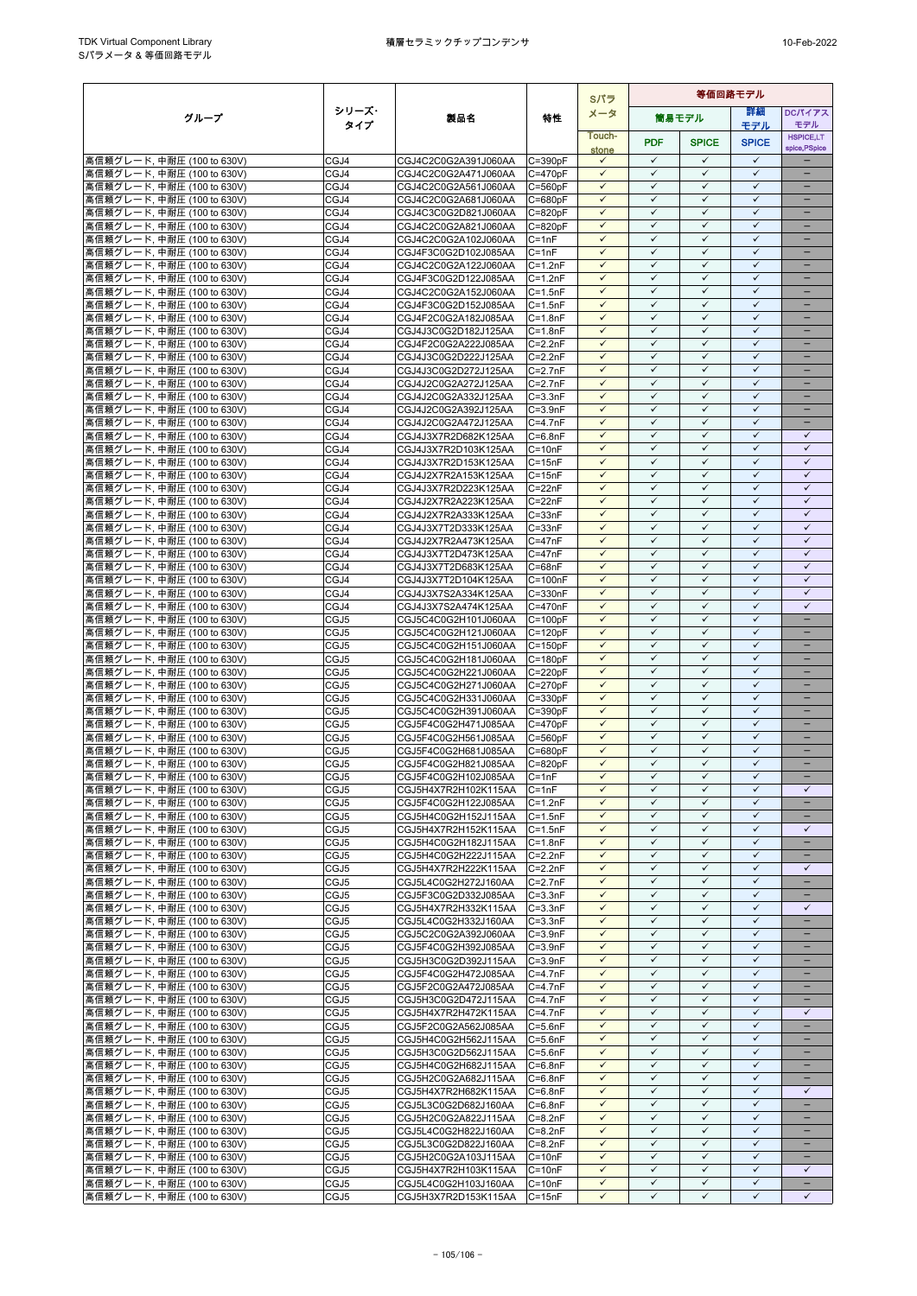|                                                           |              |                                              |                            | Sパラ                          | 等価回路モデル                      |                              |                              |                               |
|-----------------------------------------------------------|--------------|----------------------------------------------|----------------------------|------------------------------|------------------------------|------------------------------|------------------------------|-------------------------------|
| グループ                                                      | シリーズ・        | 製品名                                          | 特性                         | メータ                          |                              | 筒易モデル                        | 詳細                           | <b>DCパイアス</b>                 |
|                                                           | タイプ          |                                              |                            | Touch-                       |                              |                              | モデル                          | モデル<br><b>HSPICE,LT</b>       |
|                                                           |              |                                              |                            | stone                        | <b>PDF</b>                   | <b>SPICE</b>                 | <b>SPICE</b>                 | spice, PSpice                 |
| 高信頼グレード, 中耐圧 (100 to 630V)                                | CGJ4         | CGJ4C2C0G2A391J060AA                         | C=390pF                    | $\checkmark$                 | $\checkmark$                 | ✓                            | $\checkmark$                 |                               |
| 高信頼グレード, 中耐圧 (100 to 630V)                                | CGJ4         | CGJ4C2C0G2A471J060AA                         | $C = 470pF$                | $\checkmark$                 | $\checkmark$                 | $\checkmark$                 | $\checkmark$                 | -                             |
| 高信頼グレード, 中耐圧 (100 to 630V)                                | CGJ4         | CGJ4C2C0G2A561J060AA                         | $C = 560pF$                | $\checkmark$                 | $\checkmark$<br>✓            | $\checkmark$<br>✓            | $\checkmark$<br>$\checkmark$ | -<br>$\overline{\phantom{0}}$ |
| 高信頼グレード, 中耐圧 (100 to 630V)<br>高信頼グレード, 中耐圧 (100 to 630V)  | CGJ4<br>CGJ4 | CGJ4C2C0G2A681J060AA<br>CGJ4C3C0G2D821J060AA | $C = 680pF$<br>$C = 820pF$ | $\checkmark$<br>$\checkmark$ | ✓                            | $\checkmark$                 | $\checkmark$                 | -                             |
| 高信頼グレード, 中耐圧 (100 to 630V)                                | CGJ4         | CGJ4C2C0G2A821J060AA                         | $C = 820pF$                | $\checkmark$                 | ✓                            | ✓                            | $\checkmark$                 |                               |
| 高信頼グレード, 中耐圧 (100 to 630V)                                | CGJ4         | CGJ4C2C0G2A102J060AA                         | $C = 1nF$                  | $\checkmark$                 | $\checkmark$                 | $\checkmark$                 | $\checkmark$                 | =                             |
| 高信頼グレード, 中耐圧 (100 to 630V)                                | CGJ4         | CGJ4F3C0G2D102J085AA                         | $C = 1nF$                  | $\checkmark$                 | $\checkmark$                 | $\checkmark$                 | $\checkmark$                 |                               |
| 高信頼グレード, 中耐圧 (100 to 630V)                                | CGJ4         | CGJ4C2C0G2A122J060AA                         | $C = 1.2nF$                | $\checkmark$                 | $\checkmark$                 | ✓                            | $\checkmark$                 | -                             |
| 高信頼グレード, 中耐圧 (100 to 630V)<br>高信頼グレード. 中耐圧 (100 to 630V)  | CGJ4         | CGJ4F3C0G2D122J085AA                         | $C = 1.2nF$                | $\checkmark$                 | $\checkmark$<br>✓            | $\checkmark$<br>✓            | $\checkmark$<br>✓            | $\qquad \qquad -$             |
| 高信頼グレード, 中耐圧 (100 to 630V)                                | CGJ4<br>CGJ4 | CGJ4C2C0G2A152J060AA<br>CGJ4F3C0G2D152J085AA | $C = 1.5nF$<br>$C = 1.5nF$ | $\checkmark$<br>$\checkmark$ | $\checkmark$                 | $\checkmark$                 | $\checkmark$                 |                               |
| 高信頼グレード, 中耐圧 (100 to 630V)                                | CGJ4         | CGJ4F2C0G2A182J085AA                         | $C = 1.8nF$                | $\checkmark$                 | $\checkmark$                 | $\checkmark$                 | $\checkmark$                 |                               |
| 高信頼グレード, 中耐圧 (100 to 630V)                                | CGJ4         | CGJ4J3C0G2D182J125AA                         | $C = 1.8nF$                | $\checkmark$                 | $\checkmark$                 | $\checkmark$                 | $\checkmark$                 |                               |
| 高信頼グレード, 中耐圧 (100 to 630V)                                | CGJ4         | CGJ4F2C0G2A222J085AA                         | $C = 2.2nF$                | $\checkmark$                 | $\checkmark$                 | $\checkmark$                 | $\checkmark$                 | $\overline{\phantom{0}}$      |
| 高信頼グレード, 中耐圧 (100 to 630V)                                | CGJ4         | CGJ4J3C0G2D222J125AA                         | $C=2.2nF$                  | $\checkmark$                 | $\checkmark$                 | ✓                            | $\checkmark$                 |                               |
| 高信頼グレード, 中耐圧 (100 to 630V)                                | CGJ4         | CGJ4J3C0G2D272J125AA                         | $C=2.7nF$                  | $\checkmark$<br>$\checkmark$ | $\checkmark$<br>✓            | $\checkmark$<br>$\checkmark$ | $\checkmark$<br>$\checkmark$ | -                             |
| 高信頼グレード, 中耐圧 (100 to 630V)<br> 高信頼グレード, 中耐圧 (100 to 630V) | CGJ4<br>CGJ4 | CGJ4J2C0G2A272J125AA<br>CGJ4J2C0G2A332J125AA | $C=2.7nF$<br>$C = 3.3nF$   | $\checkmark$                 | $\checkmark$                 | $\checkmark$                 | $\checkmark$                 |                               |
| 高信頼グレード, 中耐圧 (100 to 630V)                                | CGJ4         | CGJ4J2C0G2A392J125AA                         | $C = 3.9nF$                | $\checkmark$                 | ✓                            | $\checkmark$                 | $\checkmark$                 |                               |
| 高信頼グレード, 中耐圧 (100 to 630V)                                | CGJ4         | CGJ4J2C0G2A472J125AA                         | $C = 4.7nF$                | $\checkmark$                 | $\checkmark$                 | $\checkmark$                 | $\checkmark$                 | $\equiv$                      |
| 高信頼グレード, 中耐圧 (100 to 630V)                                | CGJ4         | CGJ4J3X7R2D682K125AA                         | $C = 6.8nF$                | $\checkmark$                 | $\checkmark$                 | $\checkmark$                 | $\checkmark$                 | $\checkmark$                  |
| 高信頼グレード, 中耐圧 (100 to 630V)                                | CGJ4         | CGJ4J3X7R2D103K125AA                         | $C = 10nF$                 | $\checkmark$                 | ✓                            | ✓                            | $\checkmark$                 | $\checkmark$                  |
| 高信頼グレード. 中耐圧 (100 to 630V)                                | CGJ4         | CGJ4J3X7R2D153K125AA                         | $C = 15nF$                 | $\checkmark$                 | $\checkmark$                 | $\checkmark$                 | $\checkmark$                 | $\checkmark$                  |
| 高信頼グレード, 中耐圧 (100 to 630V)                                | CGJ4<br>CGJ4 | CGJ4J2X7R2A153K125AA                         | $C = 15nF$<br>$C = 22nF$   | $\checkmark$<br>$\checkmark$ | $\checkmark$<br>$\checkmark$ | $\checkmark$<br>$\checkmark$ | $\checkmark$<br>$\checkmark$ | ✓<br>$\checkmark$             |
| 高信頼グレード, 中耐圧 (100 to 630V)<br>高信頼グレード, 中耐圧 (100 to 630V)  | CGJ4         | CGJ4J3X7R2D223K125AA<br>CGJ4J2X7R2A223K125AA | $C = 22nF$                 | $\checkmark$                 | $\checkmark$                 | $\checkmark$                 | $\checkmark$                 | $\checkmark$                  |
| 高信頼グレード, 中耐圧 (100 to 630V)                                | CGJ4         | CGJ4J2X7R2A333K125AA                         | $C = 33nF$                 | $\checkmark$                 | $\checkmark$                 | ✓                            | $\checkmark$                 | $\checkmark$                  |
| 高信頼グレード, 中耐圧 (100 to 630V)                                | CGJ4         | CGJ4J3X7T2D333K125AA                         | $C = 33nF$                 | $\checkmark$                 | $\checkmark$                 | $\checkmark$                 | $\checkmark$                 | $\checkmark$                  |
| 高信頼グレード, 中耐圧 (100 to 630V)                                | CGJ4         | CGJ4J2X7R2A473K125AA                         | $C = 47nF$                 | $\checkmark$                 | ✓                            | ✓                            | ✓                            | ✓                             |
| 高信頼グレード, 中耐圧 (100 to 630V)                                | CGJ4         | CGJ4J3X7T2D473K125AA                         | $C = 47nF$                 | $\checkmark$                 | $\checkmark$                 | $\checkmark$                 | $\checkmark$                 | $\checkmark$                  |
| 高信頼グレード, 中耐圧 (100 to 630V)                                | CGJ4         | CGJ4J3X7T2D683K125AA                         | $C = 68nF$                 | $\checkmark$                 | $\checkmark$                 | $\checkmark$                 | $\checkmark$                 | $\checkmark$                  |
| 高信頼グレード, 中耐圧 (100 to 630V)<br>高信頼グレード, 中耐圧 (100 to 630V)  | CGJ4<br>CGJ4 | CGJ4J3X7T2D104K125AA<br>CGJ4J3X7S2A334K125AA | $C = 100nF$<br>C=330nF     | $\checkmark$<br>$\checkmark$ | $\checkmark$<br>$\checkmark$ | $\checkmark$<br>$\checkmark$ | $\checkmark$<br>$\checkmark$ | $\checkmark$<br>$\checkmark$  |
| 高信頼グレード, 中耐圧 (100 to 630V)                                | CGJ4         | CGJ4J3X7S2A474K125AA                         | C=470nF                    | $\checkmark$                 | $\checkmark$                 | $\checkmark$                 | $\checkmark$                 | ✓                             |
| 高信頼グレード, 中耐圧 (100 to 630V)                                | CGJ5         | CGJ5C4C0G2H101J060AA                         | $C = 100pF$                | $\checkmark$                 | $\checkmark$                 | $\checkmark$                 | $\checkmark$                 | -                             |
| 高信頼グレード, 中耐圧 (100 to 630V)                                | CGJ5         | CGJ5C4C0G2H121J060AA                         | $C = 120pF$                | $\checkmark$                 | $\checkmark$                 | $\checkmark$                 | $\checkmark$                 |                               |
| 高信頼グレード, 中耐圧 (100 to 630V)                                | CGJ5         | CGJ5C4C0G2H151J060AA                         | $C = 150pF$                | $\checkmark$                 | $\checkmark$                 | $\checkmark$                 | $\checkmark$                 |                               |
| 高信頼グレード, 中耐圧 (100 to 630V)                                | CGJ5         | CGJ5C4C0G2H181J060AA                         | $C = 180pF$                | $\checkmark$                 | ✓                            | $\checkmark$                 | $\checkmark$                 |                               |
| 高信頼グレード, 中耐圧 (100 to 630V)                                | CGJ5         | CGJ5C4C0G2H221J060AA                         | $C = 220pF$                | $\checkmark$<br>$\checkmark$ | $\checkmark$<br>$\checkmark$ | $\checkmark$<br>$\checkmark$ | $\checkmark$<br>$\checkmark$ | $\equiv$<br>-                 |
| 高信頼グレード, 中耐圧 (100 to 630V)<br>高信頼グレード, 中耐圧 (100 to 630V)  | CGJ5<br>CGJ5 | CGJ5C4C0G2H271J060AA<br>CGJ5C4C0G2H331J060AA | $C = 270pF$<br>$C = 330pF$ | $\checkmark$                 | ✓                            | ✓                            | ✓                            | -                             |
| 高信頼グレード, 中耐圧 (100 to 630V)                                | CGJ5         | CGJ5C4C0G2H391J060AA                         | $C = 390pF$                | $\checkmark$                 | $\checkmark$                 | $\checkmark$                 | $\checkmark$                 | -                             |
| 高信頼グレード, 中耐圧 (100 to 630V)                                | CGJ5         | CGJ5F4C0G2H471J085AA                         | $C = 470pF$                | $\checkmark$                 | $\checkmark$                 | $\checkmark$                 | $\checkmark$                 |                               |
| 高信頼グレード, 中耐圧 (100 to 630V)                                | CGJ5         | CGJ5F4C0G2H561J085AA                         | $C = 560pF$                | $\checkmark$                 | $\checkmark$                 | $\checkmark$                 | $\checkmark$                 | -                             |
| 高信頼グレード, 中耐圧 (100 to 630V)                                | CGJ5         | CGJ5F4C0G2H681J085AA                         | $C = 680pF$                | $\checkmark$                 | $\checkmark$                 | $\checkmark$                 | $\checkmark$                 | $\equiv$                      |
| 高信頼グレード, 中耐圧 (100 to 630V)                                | CGJ5         | CGJ5F4C0G2H821J085AA                         | $C = 820pF$<br>$C = 1nF$   | $\checkmark$<br>$\checkmark$ | $\checkmark$<br>$\checkmark$ | ✓<br>$\checkmark$            | $\checkmark$<br>$\checkmark$ |                               |
| 高信頼グレード, 中耐圧 (100 to 630V)<br> 高信頼グレード, 中耐圧 (100 to 630V) | CGJ5<br>CGJ5 | CGJ5F4C0G2H102J085AA<br>CGJ5H4X7R2H102K115AA | $C = 1nF$                  | $\checkmark$                 | $\checkmark$                 | $\checkmark$                 | $\checkmark$                 | -<br>$\checkmark$             |
| 高信頼グレード, 中耐圧 (100 to 630V)                                | CGJ5         | CGJ5F4C0G2H122J085AA                         | $C = 1.2nF$                | $\checkmark$                 | $\checkmark$                 | $\checkmark$                 | $\checkmark$                 |                               |
| 高信頼グレード, 中耐圧 (100 to 630V)                                | CGJ5         | CGJ5H4C0G2H152J115AA                         | $C = 1.5nF$                | $\checkmark$                 | ✓                            | $\checkmark$                 | $\checkmark$                 | -                             |
| 高信頼グレード, 中耐圧 (100 to 630V)                                | CGJ5         | CGJ5H4X7R2H152K115AA                         | $C = 1.5nF$                | $\checkmark$                 | $\checkmark$                 | $\checkmark$                 | ✓                            | $\checkmark$                  |
| 高信頼グレード, 中耐圧 (100 to 630V)                                | CGJ5         | CGJ5H4C0G2H182J115AA                         | $C = 1.8nF$                | $\checkmark$                 | $\checkmark$                 | $\checkmark$                 | $\checkmark$                 | $\overline{\phantom{a}}$      |
| 高信頼グレード, 中耐圧 (100 to 630V)                                | CGJ5         | CGJ5H4C0G2H222J115AA                         | $C = 2.2nF$                | $\checkmark$<br>$\checkmark$ | $\checkmark$<br>✓            | $\checkmark$<br>$\checkmark$ | $\checkmark$<br>$\checkmark$ | $\qquad \qquad -$             |
| 高信頼グレード, 中耐圧 (100 to 630V)<br>高信頼グレード, 中耐圧 (100 to 630V)  | CGJ5<br>CGJ5 | CGJ5H4X7R2H222K115AA<br>CGJ5L4C0G2H272J160AA | $C = 2.2nF$<br>$C=2.7nF$   | $\checkmark$                 | $\checkmark$                 | $\checkmark$                 | $\checkmark$                 | ✓                             |
| 高信頼グレード, 中耐圧 (100 to 630V)                                | CGJ5         | CGJ5F3C0G2D332J085AA                         | $C = 3.3nF$                | $\checkmark$                 | $\checkmark$                 | $\checkmark$                 | $\checkmark$                 |                               |
| 高信頼グレード, 中耐圧 (100 to 630V)                                | CGJ5         | CGJ5H4X7R2H332K115AA                         | $C = 3.3nF$                | $\checkmark$                 | ✓                            | $\checkmark$                 | $\checkmark$                 | ✓                             |
| 高信頼グレード, 中耐圧 (100 to 630V)                                | CGJ5         | CGJ5L4C0G2H332J160AA                         | $C = 3.3nF$                | $\checkmark$                 | $\checkmark$                 | $\checkmark$                 | $\checkmark$                 | $\equiv$                      |
| 高信頼グレード, 中耐圧 (100 to 630V)                                | CGJ5         | CGJ5C2C0G2A392J060AA                         | $C = 3.9nF$                | $\checkmark$                 | $\checkmark$                 | $\checkmark$                 | $\checkmark$                 | -                             |
| 高信頼グレード, 中耐圧 (100 to 630V)                                | CGJ5         | CGJ5F4C0G2H392J085AA                         | $C = 3.9nF$                | $\checkmark$<br>$\checkmark$ | ✓<br>$\checkmark$            | ✓<br>$\checkmark$            | $\checkmark$<br>$\checkmark$ | -                             |
| 高信頼グレード, 中耐圧 (100 to 630V)<br> 高信頼グレード, 中耐圧 (100 to 630V) | CGJ5<br>CGJ5 | CGJ5H3C0G2D392J115AA<br>CGJ5F4C0G2H472J085AA | $C = 3.9nF$<br>$C=4.7nF$   | $\checkmark$                 | $\checkmark$                 | ✓                            | $\checkmark$                 |                               |
| 高信頼グレード, 中耐圧 (100 to 630V)                                | CGJ5         | CGJ5F2C0G2A472J085AA                         | $C = 4.7nF$                | $\checkmark$                 | $\checkmark$                 | $\checkmark$                 | ✓                            |                               |
| 高信頼グレード, 中耐圧 (100 to 630V)                                | CGJ5         | CGJ5H3C0G2D472J115AA                         | $C=4.7nF$                  | $\checkmark$                 | $\checkmark$                 | $\checkmark$                 | $\checkmark$                 |                               |
| 高信頼グレード, 中耐圧 (100 to 630V)                                | CGJ5         | CGJ5H4X7R2H472K115AA                         | $C=4.7nF$                  | $\checkmark$                 | $\checkmark$                 | ✓                            | $\checkmark$                 | $\checkmark$                  |
| 高信頼グレード, 中耐圧 (100 to 630V)                                | CGJ5         | CGJ5F2C0G2A562J085AA                         | $C = 5.6nF$                | $\checkmark$                 | $\checkmark$                 | $\checkmark$                 | $\checkmark$                 | $\equiv$                      |
| 高信頼グレード, 中耐圧 (100 to 630V)                                | CGJ5         | CGJ5H4C0G2H562J115AA                         | $C = 5.6nF$                | $\checkmark$<br>$\checkmark$ | ✓<br>$\checkmark$            | ✓<br>$\checkmark$            | $\checkmark$<br>$\checkmark$ | -                             |
| 高信頼グレード, 中耐圧 (100 to 630V)<br>高信頼グレード, 中耐圧 (100 to 630V)  | CGJ5<br>CGJ5 | CGJ5H3C0G2D562J115AA<br>CGJ5H4C0G2H682J115AA | $C = 5.6nF$<br>$C=6.8nF$   | $\checkmark$                 | ✓                            | $\checkmark$                 | $\checkmark$                 | $\overline{\phantom{0}}$      |
| 高信頼グレード, 中耐圧 (100 to 630V)                                | CGJ5         | CGJ5H2C0G2A682J115AA                         | $C = 6.8nF$                | $\checkmark$                 | $\checkmark$                 | $\checkmark$                 | $\checkmark$                 |                               |
| 高信頼グレード, 中耐圧 (100 to 630V)                                | CGJ5         | CGJ5H4X7R2H682K115AA                         | $C = 6.8nF$                | $\checkmark$                 | $\checkmark$                 | $\checkmark$                 | $\checkmark$                 | $\checkmark$                  |
| 高信頼グレード, 中耐圧 (100 to 630V)                                | CGJ5         | CGJ5L3C0G2D682J160AA                         | $C = 6.8nF$                | $\checkmark$                 | $\checkmark$                 | ✓                            | $\checkmark$                 | -                             |
| 高信頼グレード, 中耐圧 (100 to 630V)                                | CGJ5         | CGJ5H2C0G2A822J115AA                         | $C = 8.2nF$                | $\checkmark$                 | ✓                            | $\checkmark$                 | $\checkmark$                 | -                             |
| 高信頼グレード, 中耐圧 (100 to 630V)                                | CGJ5         | CGJ5L4C0G2H822J160AA                         | $C = 8.2nF$                | $\checkmark$                 | $\checkmark$                 | $\checkmark$                 | $\checkmark$                 | ÷                             |
| 高信頼グレード, 中耐圧 (100 to 630V)<br> 高信頼グレード, 中耐圧 (100 to 630V) | CGJ5<br>CGJ5 | CGJ5L3C0G2D822J160AA<br>CGJ5H2C0G2A103J115AA | $C = 8.2nF$<br>$C = 10nF$  | $\checkmark$<br>✓            | $\checkmark$<br>$\checkmark$ | $\checkmark$<br>$\checkmark$ | $\checkmark$<br>$\checkmark$ |                               |
| 高信頼グレード, 中耐圧 (100 to 630V)                                | CGJ5         | CGJ5H4X7R2H103K115AA                         | $C = 10nF$                 | $\checkmark$                 | $\checkmark$                 | $\checkmark$                 | $\checkmark$                 | $\checkmark$                  |
| 高信頼グレード, 中耐圧 (100 to 630V)                                | CGJ5         | CGJ5L4C0G2H103J160AA                         | $C = 10nF$                 | $\checkmark$                 | $\checkmark$                 | $\checkmark$                 | $\checkmark$                 | $\overline{\phantom{a}}$      |
| 高信頼グレード, 中耐圧 (100 to 630V)                                | CGJ5         | CGJ5H3X7R2D153K115AA                         | $C = 15nF$                 | $\checkmark$                 | ✓                            | ✓                            | ✓                            | ✓                             |